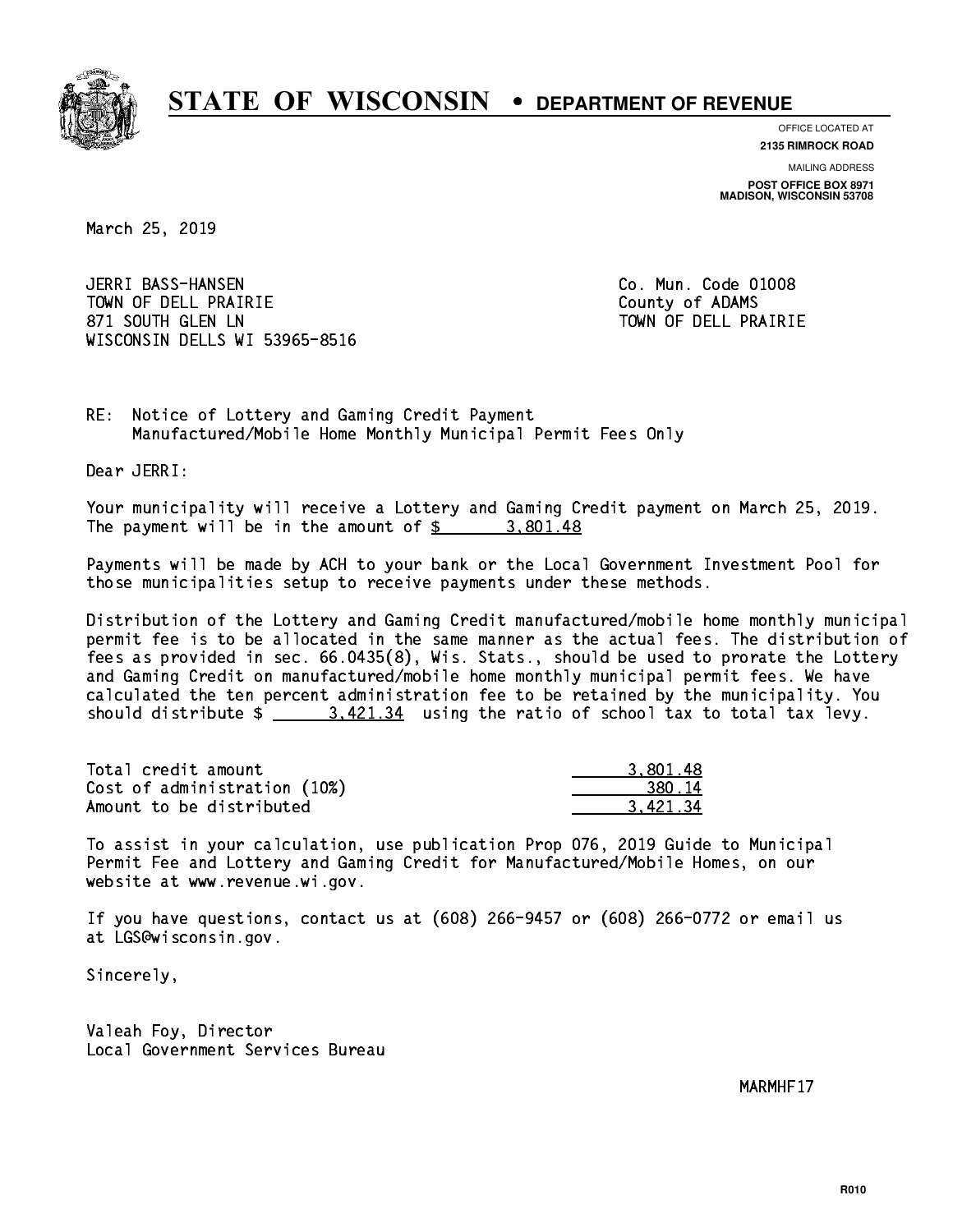

**OFFICE LOCATED AT**

**2135 RIMROCK ROAD**

**MAILING ADDRESS POST OFFICE BOX 8971 MADISON, WISCONSIN 53708**

March 25, 2019

 JERRI BASS-HANSEN Co. Mun. Code 01008 TOWN OF DELL PRAIRIE County of ADAMS 871 SOUTH GLEN LN TOWN OF DELL PRAIRIE WISCONSIN DELLS WI 53965-8516

RE: Notice of Lottery and Gaming Credit Payment Manufactured/Mobile Home Monthly Municipal Permit Fees Only

Dear JERRI:

 Your municipality will receive a Lottery and Gaming Credit payment on March 25, 2019. The payment will be in the amount of  $\frac{2}{3}$  3,801.48

 Payments will be made by ACH to your bank or the Local Government Investment Pool for those municipalities setup to receive payments under these methods.

 Distribution of the Lottery and Gaming Credit manufactured/mobile home monthly municipal permit fee is to be allocated in the same manner as the actual fees. The distribution of fees as provided in sec. 66.0435(8), Wis. Stats., should be used to prorate the Lottery and Gaming Credit on manufactured/mobile home monthly municipal permit fees. We have calculated the ten percent administration fee to be retained by the municipality. You should distribute  $\frac{2}{3}$   $\frac{3,421.34}{2}$  using the ratio of school tax to total tax levy.

| Total credit amount          | 3,801.48 |
|------------------------------|----------|
| Cost of administration (10%) | 380.14   |
| Amount to be distributed     | 3.421.34 |

 To assist in your calculation, use publication Prop 076, 2019 Guide to Municipal Permit Fee and Lottery and Gaming Credit for Manufactured/Mobile Homes, on our website at www.revenue.wi.gov.

 If you have questions, contact us at (608) 266-9457 or (608) 266-0772 or email us at LGS@wisconsin.gov.

Sincerely,

 Valeah Foy, Director Local Government Services Bureau

MARMHF17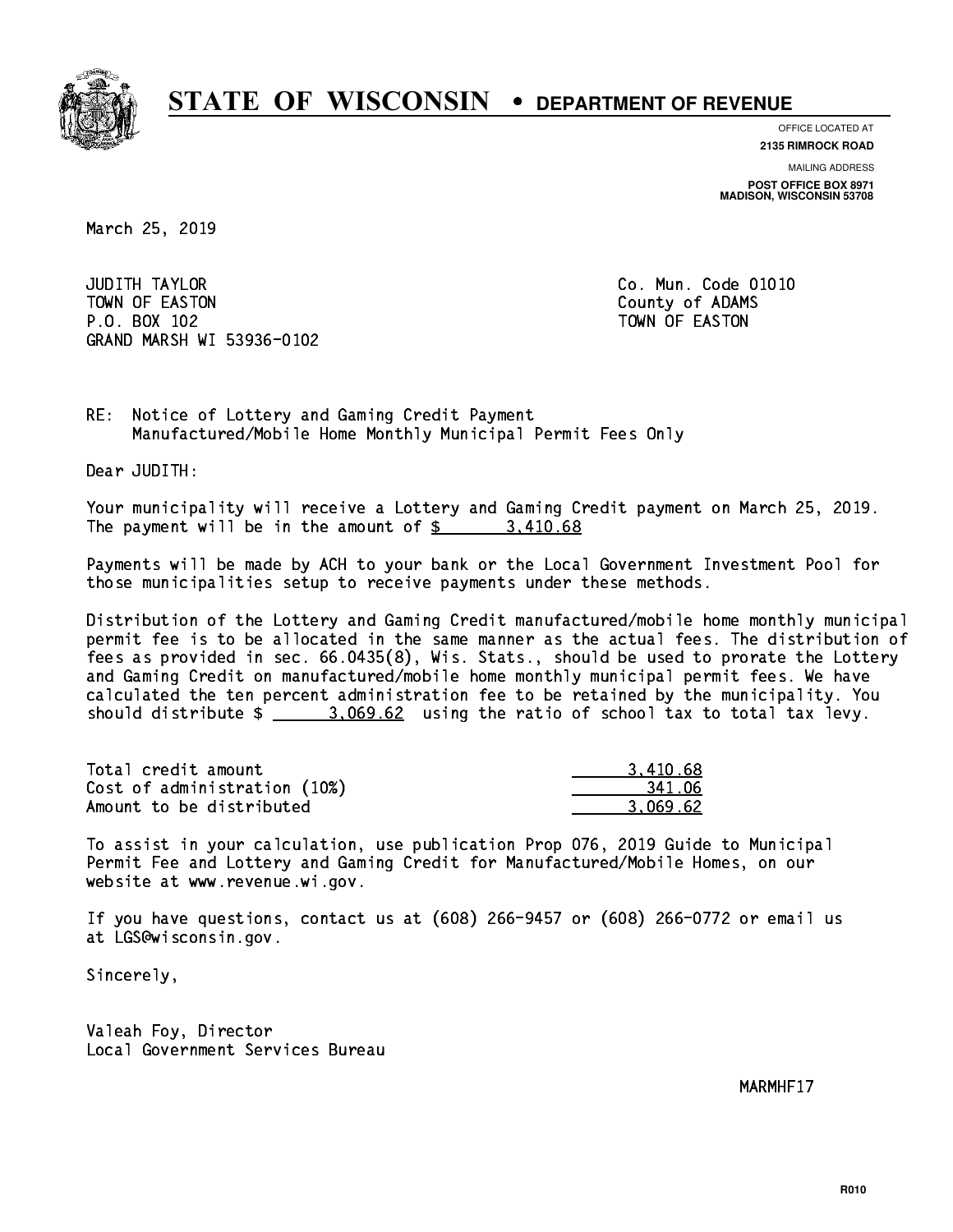

**OFFICE LOCATED AT**

**2135 RIMROCK ROAD**

**MAILING ADDRESS POST OFFICE BOX 8971 MADISON, WISCONSIN 53708**

March 25, 2019

**JUDITH TAYLOR** TOWN OF EASTON COUNTY OF ALCOHOL COUNTY OF ADAMS P.O. BOX 102 TOWN OF EASTON GRAND MARSH WI 53936-0102

Co. Mun. Code 01010

RE: Notice of Lottery and Gaming Credit Payment Manufactured/Mobile Home Monthly Municipal Permit Fees Only

Dear JUDITH:

 Your municipality will receive a Lottery and Gaming Credit payment on March 25, 2019. The payment will be in the amount of \$ 3,410.68 \_\_\_\_\_\_\_\_\_\_\_\_\_\_\_\_

 Payments will be made by ACH to your bank or the Local Government Investment Pool for those municipalities setup to receive payments under these methods.

 Distribution of the Lottery and Gaming Credit manufactured/mobile home monthly municipal permit fee is to be allocated in the same manner as the actual fees. The distribution of fees as provided in sec. 66.0435(8), Wis. Stats., should be used to prorate the Lottery and Gaming Credit on manufactured/mobile home monthly municipal permit fees. We have calculated the ten percent administration fee to be retained by the municipality. You should distribute  $\frac{2}{2}$   $\frac{3.069.62}{2}$  using the ratio of school tax to total tax levy.

| Total credit amount          | 3,410.68 |
|------------------------------|----------|
| Cost of administration (10%) | 341.06   |
| Amount to be distributed     | 3.069.62 |

 To assist in your calculation, use publication Prop 076, 2019 Guide to Municipal Permit Fee and Lottery and Gaming Credit for Manufactured/Mobile Homes, on our website at www.revenue.wi.gov.

 If you have questions, contact us at (608) 266-9457 or (608) 266-0772 or email us at LGS@wisconsin.gov.

Sincerely,

 Valeah Foy, Director Local Government Services Bureau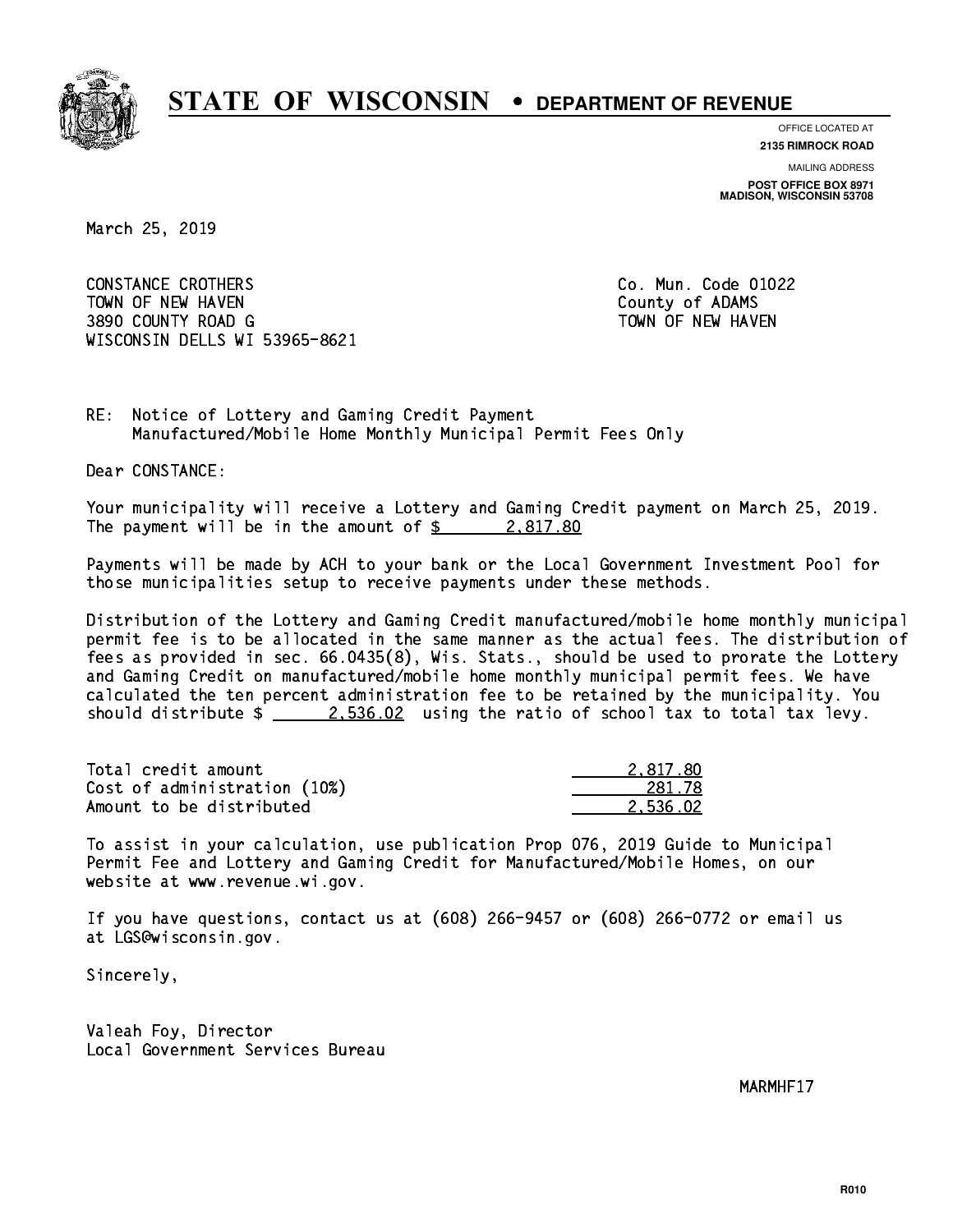

**OFFICE LOCATED AT 2135 RIMROCK ROAD**

**MAILING ADDRESS**

**POST OFFICE BOX 8971 MADISON, WISCONSIN 53708**

March 25, 2019

 CONSTANCE CROTHERS Co. Mun. Code 01022 TOWN OF NEW HAVEN **COUNTY OF A SERVICE COULD A** COUNTY OF ADAMS 3890 COUNTY ROAD G TOWN OF NEW HAVEN WISCONSIN DELLS WI 53965-8621

RE: Notice of Lottery and Gaming Credit Payment Manufactured/Mobile Home Monthly Municipal Permit Fees Only

Dear CONSTANCE:

 Your municipality will receive a Lottery and Gaming Credit payment on March 25, 2019. The payment will be in the amount of  $\frac{2.817.80}{2.002}$ 

 Payments will be made by ACH to your bank or the Local Government Investment Pool for those municipalities setup to receive payments under these methods.

 Distribution of the Lottery and Gaming Credit manufactured/mobile home monthly municipal permit fee is to be allocated in the same manner as the actual fees. The distribution of fees as provided in sec. 66.0435(8), Wis. Stats., should be used to prorate the Lottery and Gaming Credit on manufactured/mobile home monthly municipal permit fees. We have calculated the ten percent administration fee to be retained by the municipality. You should distribute  $\frac{2.536.02}{2.536.02}$  using the ratio of school tax to total tax levy.

| Total credit amount          | 2.817.80 |
|------------------------------|----------|
| Cost of administration (10%) | 281.78   |
| Amount to be distributed     | 2.536.02 |

 To assist in your calculation, use publication Prop 076, 2019 Guide to Municipal Permit Fee and Lottery and Gaming Credit for Manufactured/Mobile Homes, on our website at www.revenue.wi.gov.

 If you have questions, contact us at (608) 266-9457 or (608) 266-0772 or email us at LGS@wisconsin.gov.

Sincerely,

 Valeah Foy, Director Local Government Services Bureau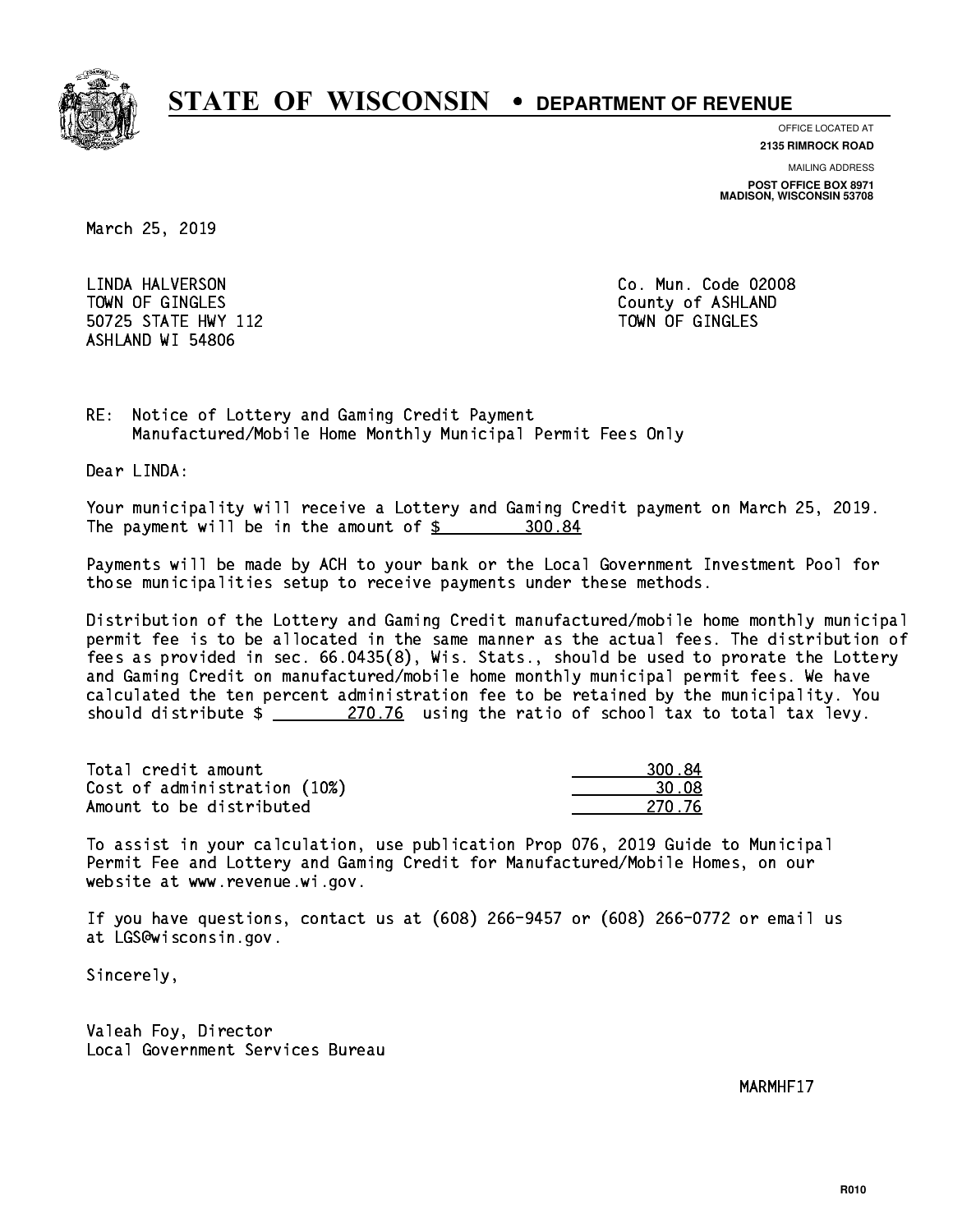

**OFFICE LOCATED AT**

**2135 RIMROCK ROAD**

**MAILING ADDRESS**

**POST OFFICE BOX 8971 MADISON, WISCONSIN 53708**

March 25, 2019

 LINDA HALVERSON Co. Mun. Code 02008 TOWN OF GINGLES County of ASHLAND 50725 STATE HWY 112 TOWN OF GINGLES ASHLAND WI 54806

RE: Notice of Lottery and Gaming Credit Payment Manufactured/Mobile Home Monthly Municipal Permit Fees Only

Dear LINDA:

 Your municipality will receive a Lottery and Gaming Credit payment on March 25, 2019. The payment will be in the amount of  $\frac{2}{300.84}$ 

 Payments will be made by ACH to your bank or the Local Government Investment Pool for those municipalities setup to receive payments under these methods.

 Distribution of the Lottery and Gaming Credit manufactured/mobile home monthly municipal permit fee is to be allocated in the same manner as the actual fees. The distribution of fees as provided in sec. 66.0435(8), Wis. Stats., should be used to prorate the Lottery and Gaming Credit on manufactured/mobile home monthly municipal permit fees. We have calculated the ten percent administration fee to be retained by the municipality. You should distribute  $\frac{270.76}{270.76}$  using the ratio of school tax to total tax levy.

Total credit amount Cost of administration (10%) Amount to be distributed

| 0.84   |
|--------|
| n nx   |
| 270.76 |

 To assist in your calculation, use publication Prop 076, 2019 Guide to Municipal Permit Fee and Lottery and Gaming Credit for Manufactured/Mobile Homes, on our website at www.revenue.wi.gov.

 If you have questions, contact us at (608) 266-9457 or (608) 266-0772 or email us at LGS@wisconsin.gov.

Sincerely,

 Valeah Foy, Director Local Government Services Bureau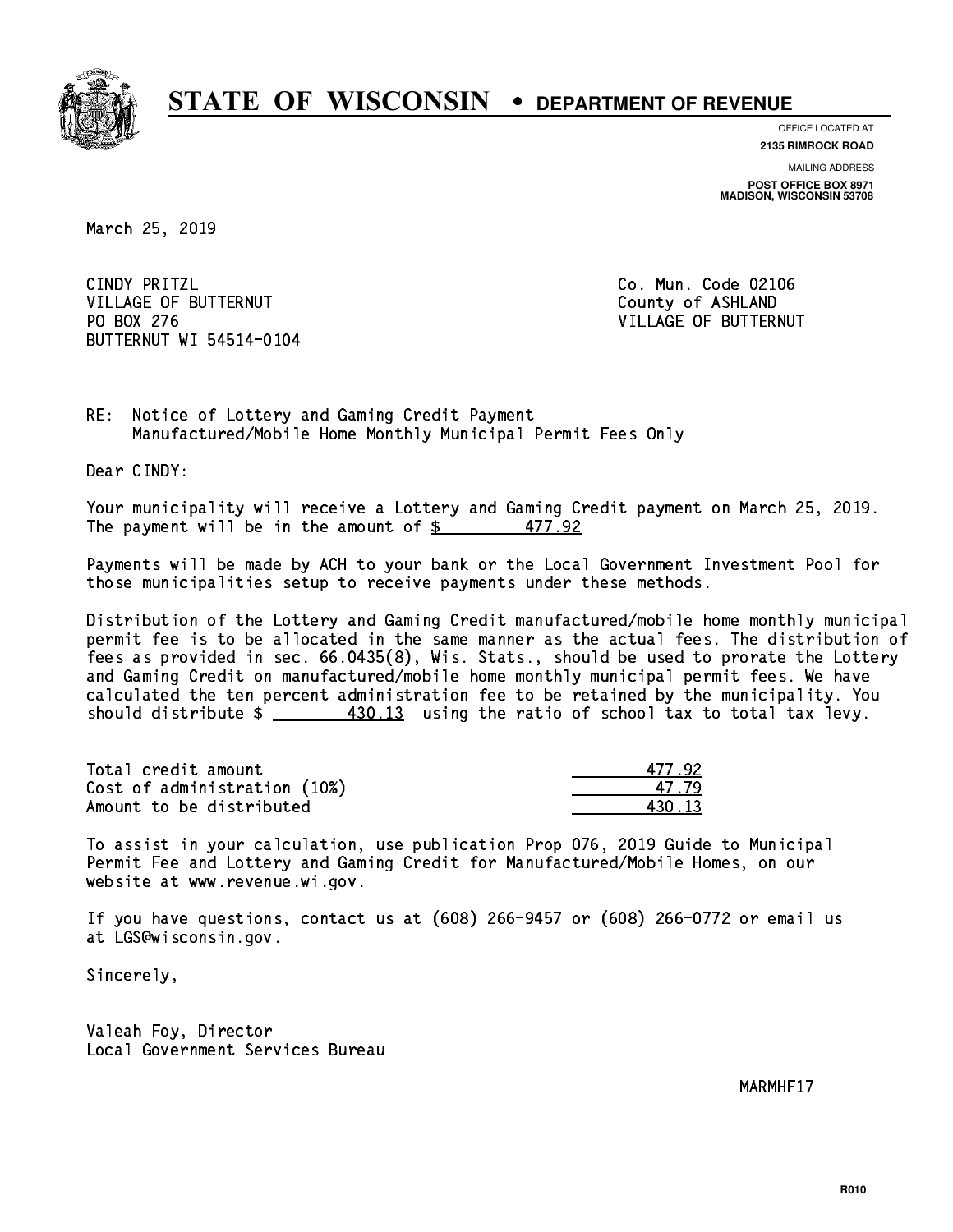

**OFFICE LOCATED AT**

**2135 RIMROCK ROAD**

**MAILING ADDRESS POST OFFICE BOX 8971 MADISON, WISCONSIN 53708**

March 25, 2019

CINDY PRITZL VILLAGE OF BUTTERNUT COUNTY OF ASHLAND PO BOX 276 BUTTERNUT WI 54514-0104

Co. Mun. Code 02106 VILLAGE OF BUTTERNUT

RE: Notice of Lottery and Gaming Credit Payment Manufactured/Mobile Home Monthly Municipal Permit Fees Only

Dear CINDY:

 Your municipality will receive a Lottery and Gaming Credit payment on March 25, 2019. The payment will be in the amount of  $\frac{27}{3}$ 477.92

 Payments will be made by ACH to your bank or the Local Government Investment Pool for those municipalities setup to receive payments under these methods.

 Distribution of the Lottery and Gaming Credit manufactured/mobile home monthly municipal permit fee is to be allocated in the same manner as the actual fees. The distribution of fees as provided in sec. 66.0435(8), Wis. Stats., should be used to prorate the Lottery and Gaming Credit on manufactured/mobile home monthly municipal permit fees. We have calculated the ten percent administration fee to be retained by the municipality. You should distribute  $\frac{430.13}{13}$  using the ratio of school tax to total tax levy.

Total credit amount Cost of administration (10%) Amount to be distributed

| 77.92 |
|-------|
| -7.79 |
| ा २   |

 To assist in your calculation, use publication Prop 076, 2019 Guide to Municipal Permit Fee and Lottery and Gaming Credit for Manufactured/Mobile Homes, on our website at www.revenue.wi.gov.

 If you have questions, contact us at (608) 266-9457 or (608) 266-0772 or email us at LGS@wisconsin.gov.

Sincerely,

 Valeah Foy, Director Local Government Services Bureau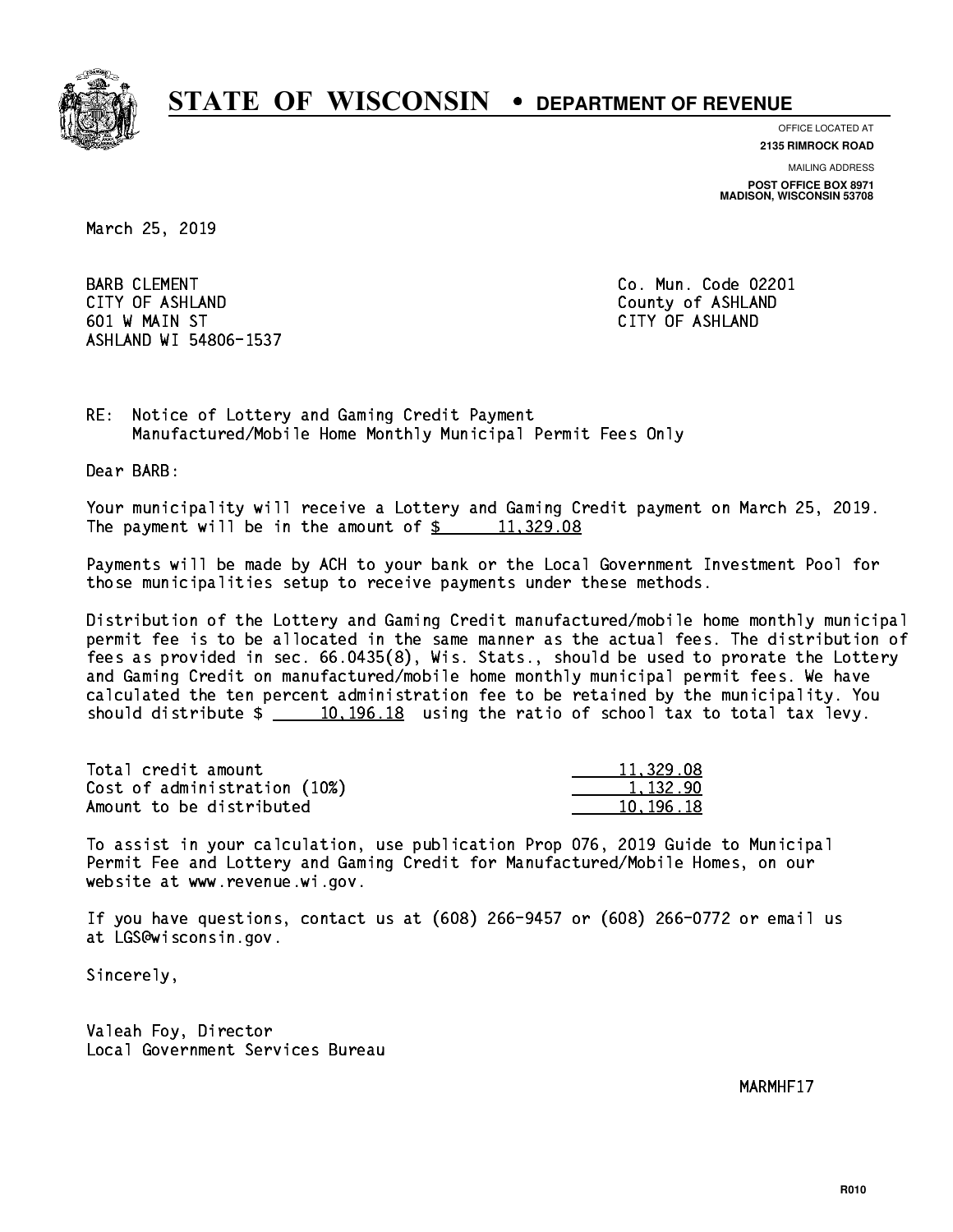

**OFFICE LOCATED AT**

**2135 RIMROCK ROAD**

**MAILING ADDRESS**

**POST OFFICE BOX 8971 MADISON, WISCONSIN 53708**

March 25, 2019

BARB CLEMENT **COMENT** CONSULTED THE CONSULTER SERVICE CONSULTER COMMUNIST CONSULTER COMMUNIST COMMUNIST COMMUNIST COMMUNIST COMMUNIST COMMUNIST COMMUNIST COMMUNIST COMMUNIST COMMUNIST COMMUNIST COMMUNIST COMMUNIST COMMUNIS CITY OF ASHLAND County of ASHLAND 601 W MAIN ST CITY OF ASHLAND ASHLAND WI 54806-1537

RE: Notice of Lottery and Gaming Credit Payment Manufactured/Mobile Home Monthly Municipal Permit Fees Only

Dear BARB:

 Your municipality will receive a Lottery and Gaming Credit payment on March 25, 2019. The payment will be in the amount of  $\frac{2}{3}$  11,329.08

 Payments will be made by ACH to your bank or the Local Government Investment Pool for those municipalities setup to receive payments under these methods.

 Distribution of the Lottery and Gaming Credit manufactured/mobile home monthly municipal permit fee is to be allocated in the same manner as the actual fees. The distribution of fees as provided in sec. 66.0435(8), Wis. Stats., should be used to prorate the Lottery and Gaming Credit on manufactured/mobile home monthly municipal permit fees. We have calculated the ten percent administration fee to be retained by the municipality. You should distribute  $\frac{10,196.18}{2}$  using the ratio of school tax to total tax levy.

| Total credit amount          | 11,329.08 |
|------------------------------|-----------|
| Cost of administration (10%) | 1.132.90  |
| Amount to be distributed     | 10.196.18 |

 To assist in your calculation, use publication Prop 076, 2019 Guide to Municipal Permit Fee and Lottery and Gaming Credit for Manufactured/Mobile Homes, on our website at www.revenue.wi.gov.

 If you have questions, contact us at (608) 266-9457 or (608) 266-0772 or email us at LGS@wisconsin.gov.

Sincerely,

 Valeah Foy, Director Local Government Services Bureau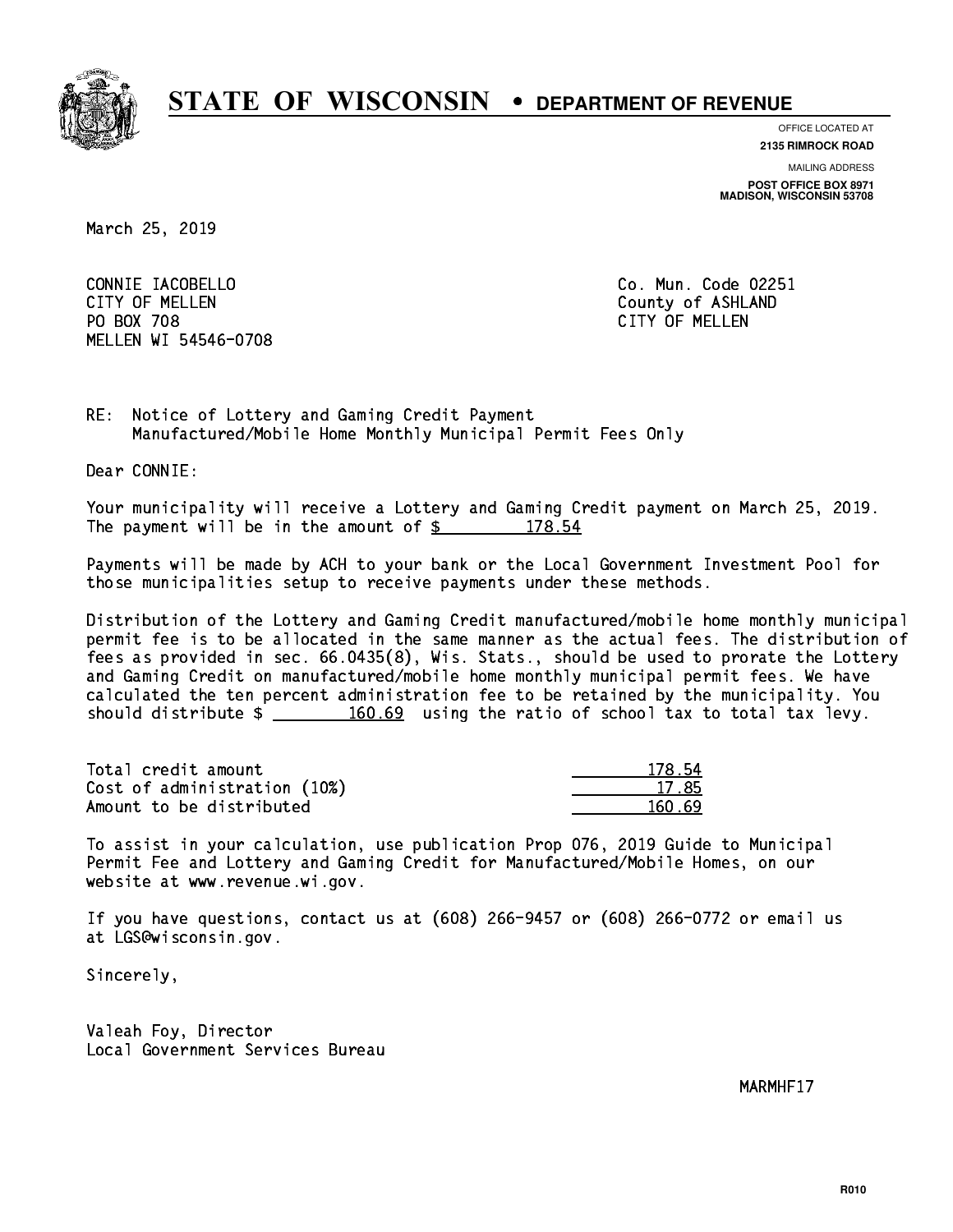

**OFFICE LOCATED AT**

**2135 RIMROCK ROAD**

**MAILING ADDRESS**

**POST OFFICE BOX 8971 MADISON, WISCONSIN 53708**

March 25, 2019

 CONNIE IACOBELLO Co. Mun. Code 02251 CITY OF MELLEN COUNTY OF ASHLAND PO BOX 708 CITY OF MELLEN MELLEN WI 54546-0708

RE: Notice of Lottery and Gaming Credit Payment Manufactured/Mobile Home Monthly Municipal Permit Fees Only

Dear CONNIE:

 Your municipality will receive a Lottery and Gaming Credit payment on March 25, 2019. The payment will be in the amount of  $\frac{2}{3}$  178.54

 Payments will be made by ACH to your bank or the Local Government Investment Pool for those municipalities setup to receive payments under these methods.

 Distribution of the Lottery and Gaming Credit manufactured/mobile home monthly municipal permit fee is to be allocated in the same manner as the actual fees. The distribution of fees as provided in sec. 66.0435(8), Wis. Stats., should be used to prorate the Lottery and Gaming Credit on manufactured/mobile home monthly municipal permit fees. We have calculated the ten percent administration fee to be retained by the municipality. You should distribute  $\frac{160.69}{2}$  using the ratio of school tax to total tax levy.

Total credit amount 178.54 Cost of administration (10%) 17.85 \_\_\_\_\_\_\_\_\_\_\_\_\_\_ Amount to be distributed and the set of  $\sim$  160.69

 To assist in your calculation, use publication Prop 076, 2019 Guide to Municipal Permit Fee and Lottery and Gaming Credit for Manufactured/Mobile Homes, on our website at www.revenue.wi.gov.

 If you have questions, contact us at (608) 266-9457 or (608) 266-0772 or email us at LGS@wisconsin.gov.

Sincerely,

 Valeah Foy, Director Local Government Services Bureau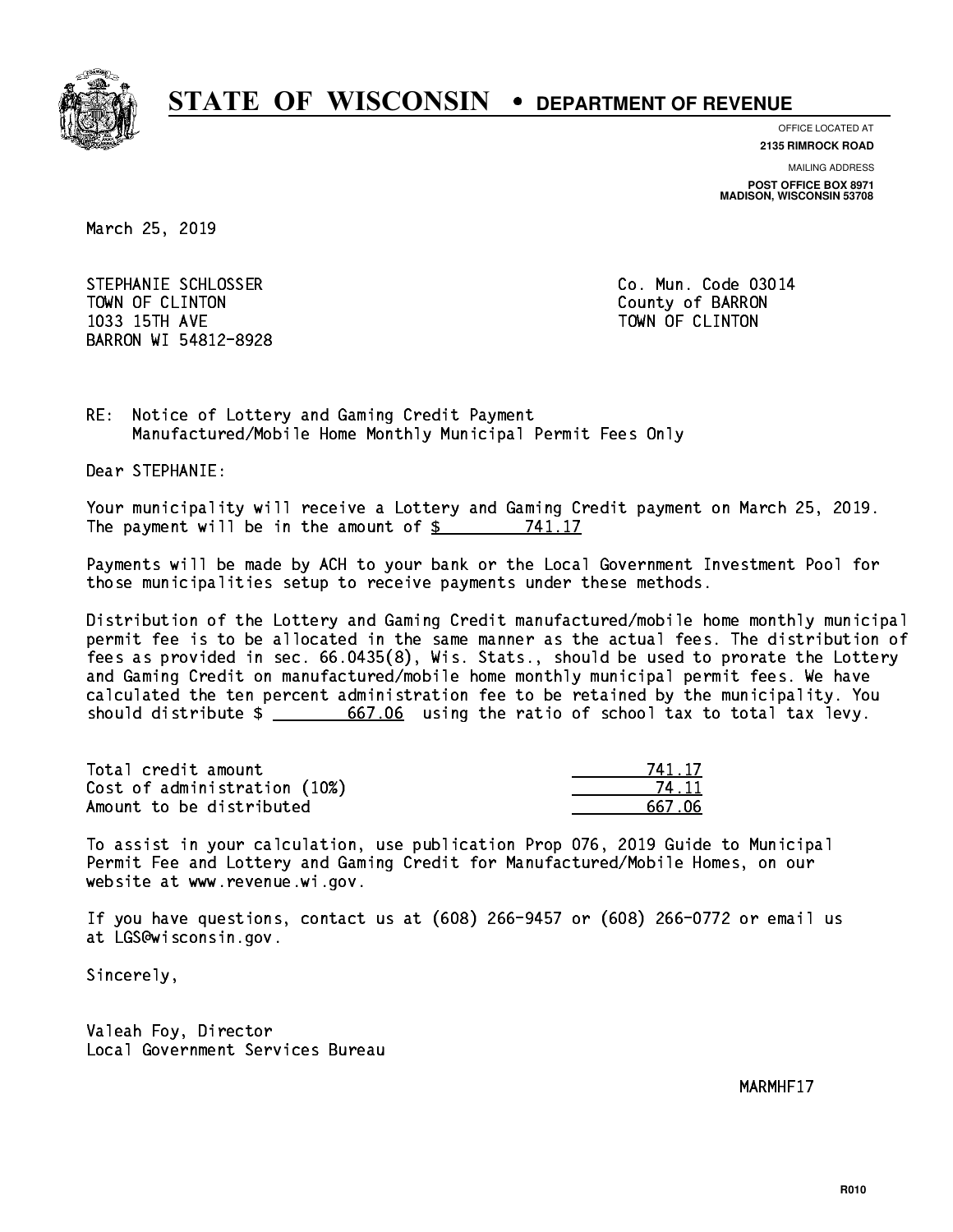

**OFFICE LOCATED AT 2135 RIMROCK ROAD**

**MAILING ADDRESS POST OFFICE BOX 8971 MADISON, WISCONSIN 53708**

March 25, 2019

STEPHANIE SCHLOSSER CO. Mun. Code 03014 TOWN OF CLINTON County of BARRON 1033 15TH AVE TOWN OF CLINTON BARRON WI 54812-8928

RE: Notice of Lottery and Gaming Credit Payment Manufactured/Mobile Home Monthly Municipal Permit Fees Only

Dear STEPHANIE:

 Your municipality will receive a Lottery and Gaming Credit payment on March 25, 2019. The payment will be in the amount of \$ 741.17 \_\_\_\_\_\_\_\_\_\_\_\_\_\_\_\_

 Payments will be made by ACH to your bank or the Local Government Investment Pool for those municipalities setup to receive payments under these methods.

 Distribution of the Lottery and Gaming Credit manufactured/mobile home monthly municipal permit fee is to be allocated in the same manner as the actual fees. The distribution of fees as provided in sec. 66.0435(8), Wis. Stats., should be used to prorate the Lottery and Gaming Credit on manufactured/mobile home monthly municipal permit fees. We have calculated the ten percent administration fee to be retained by the municipality. You should distribute  $\frac{2}{\sqrt{5}}$   $\frac{667.06}{\sqrt{5}}$  using the ratio of school tax to total tax levy.

Total credit amount Cost of administration (10%) Amount to be distributed

| 41.17  |
|--------|
| 411    |
| 667.06 |

 To assist in your calculation, use publication Prop 076, 2019 Guide to Municipal Permit Fee and Lottery and Gaming Credit for Manufactured/Mobile Homes, on our website at www.revenue.wi.gov.

 If you have questions, contact us at (608) 266-9457 or (608) 266-0772 or email us at LGS@wisconsin.gov.

Sincerely,

 Valeah Foy, Director Local Government Services Bureau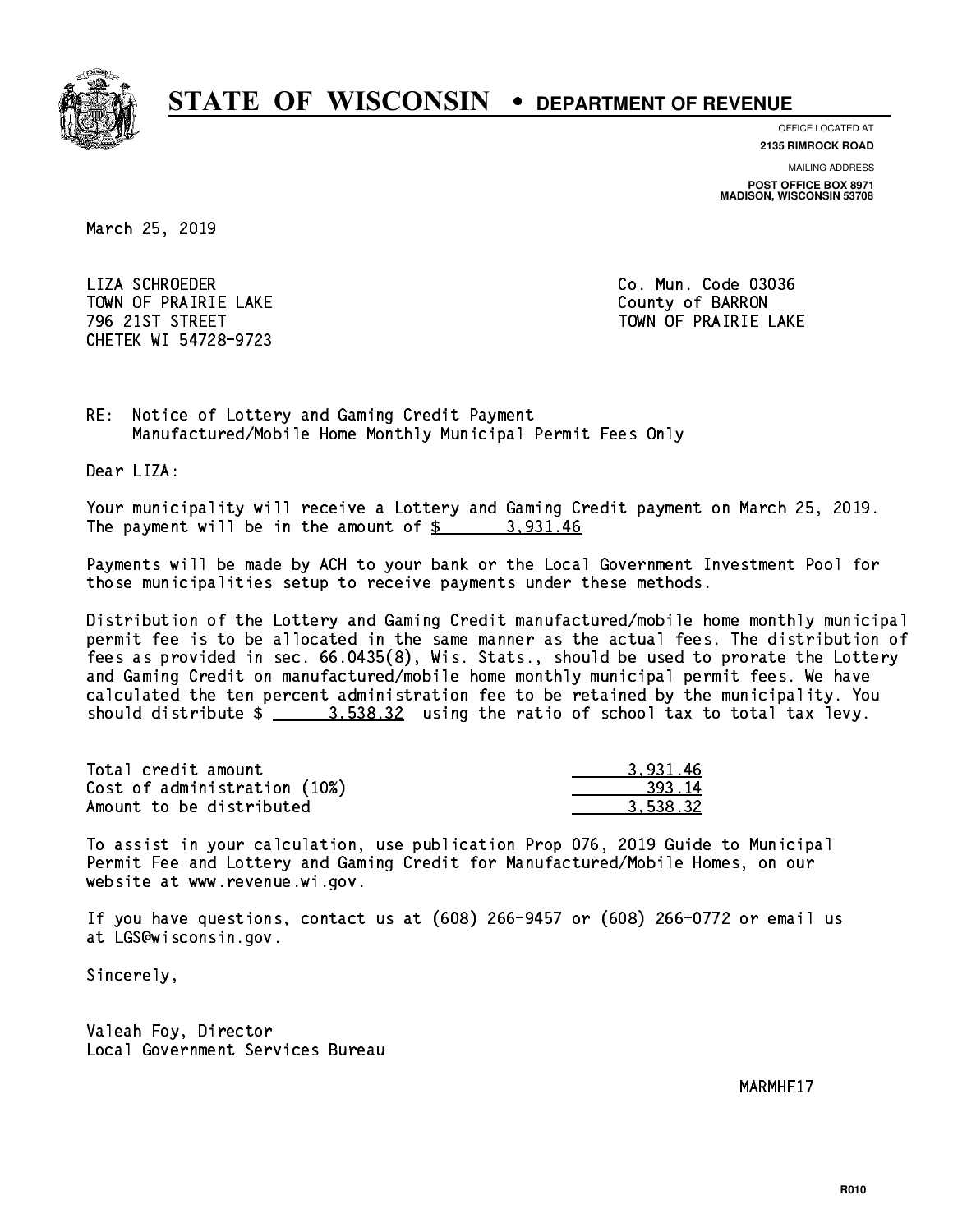

**OFFICE LOCATED AT**

**2135 RIMROCK ROAD**

**MAILING ADDRESS**

**POST OFFICE BOX 8971 MADISON, WISCONSIN 53708**

March 25, 2019

 LIZA SCHROEDER Co. Mun. Code 03036 TOWN OF PRAIRIE LAKE **COUNTY OF SALES IN TOWAL COUNTY OF BARRON** CHETEK WI 54728-9723

796 21ST STREET TOWN OF PRAIRIE LAKE

RE: Notice of Lottery and Gaming Credit Payment Manufactured/Mobile Home Monthly Municipal Permit Fees Only

Dear LIZA:

 Your municipality will receive a Lottery and Gaming Credit payment on March 25, 2019. The payment will be in the amount of  $\frac{2}{3}$  3,931.46

 Payments will be made by ACH to your bank or the Local Government Investment Pool for those municipalities setup to receive payments under these methods.

 Distribution of the Lottery and Gaming Credit manufactured/mobile home monthly municipal permit fee is to be allocated in the same manner as the actual fees. The distribution of fees as provided in sec. 66.0435(8), Wis. Stats., should be used to prorate the Lottery and Gaming Credit on manufactured/mobile home monthly municipal permit fees. We have calculated the ten percent administration fee to be retained by the municipality. You should distribute  $\frac{2}{2}$   $\frac{3.538.32}{2}$  using the ratio of school tax to total tax levy.

| Total credit amount          | 3.931.46 |
|------------------------------|----------|
| Cost of administration (10%) | 393.14   |
| Amount to be distributed     | 3.538.32 |

 To assist in your calculation, use publication Prop 076, 2019 Guide to Municipal Permit Fee and Lottery and Gaming Credit for Manufactured/Mobile Homes, on our website at www.revenue.wi.gov.

 If you have questions, contact us at (608) 266-9457 or (608) 266-0772 or email us at LGS@wisconsin.gov.

Sincerely,

 Valeah Foy, Director Local Government Services Bureau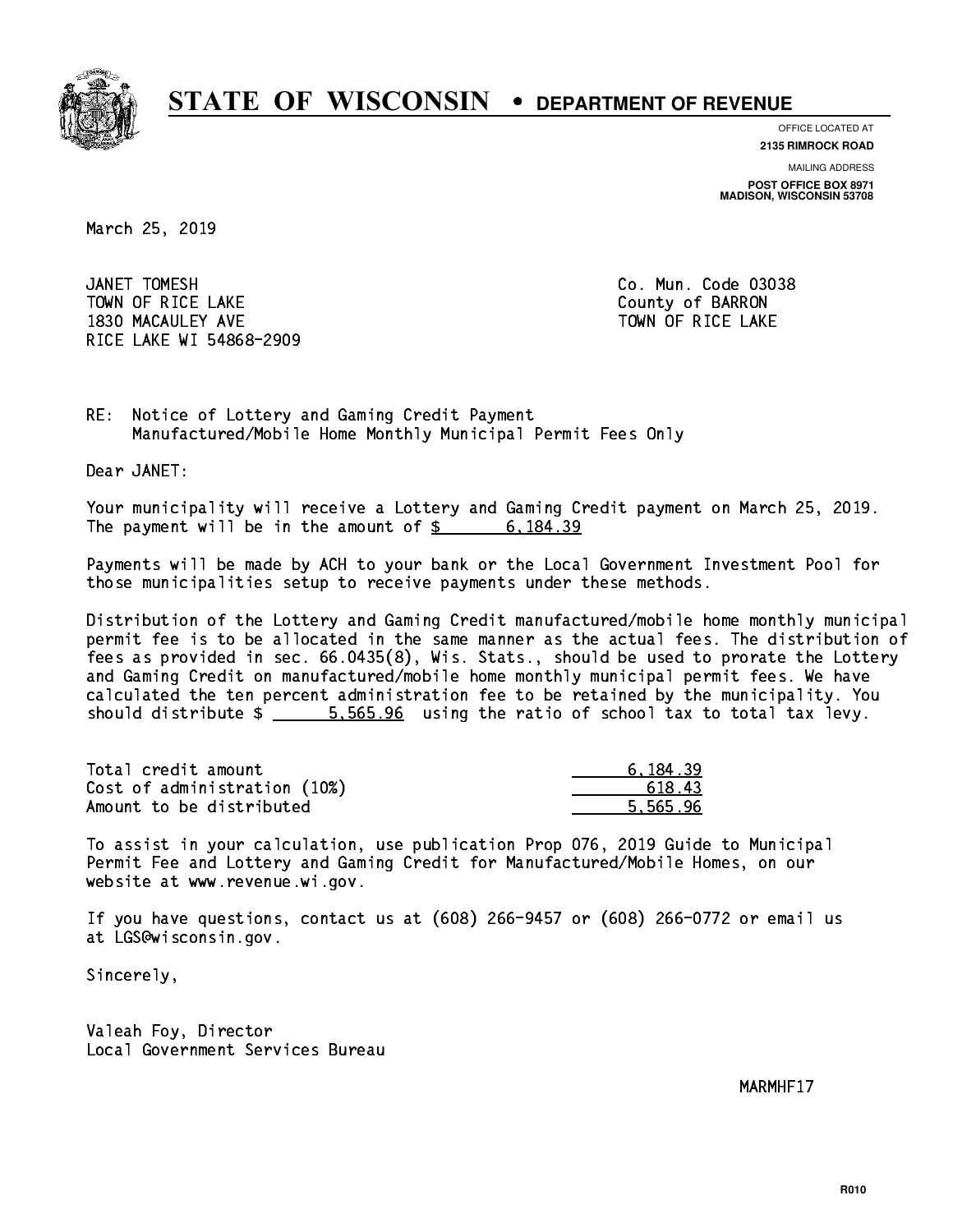

**OFFICE LOCATED AT**

**2135 RIMROCK ROAD**

**MAILING ADDRESS POST OFFICE BOX 8971 MADISON, WISCONSIN 53708**

March 25, 2019

JANET TOMESH TOWN OF RICE LAKE **THE COUNTY OF BARRON** 1830 MACAULEY AVE **TOWN OF RICE LAKE** RICE LAKE WI 54868-2909

Co. Mun. Code 03038

RE: Notice of Lottery and Gaming Credit Payment Manufactured/Mobile Home Monthly Municipal Permit Fees Only

Dear JANET:

 Your municipality will receive a Lottery and Gaming Credit payment on March 25, 2019. The payment will be in the amount of  $\frac{2}{3}$  6,184.39

 Payments will be made by ACH to your bank or the Local Government Investment Pool for those municipalities setup to receive payments under these methods.

 Distribution of the Lottery and Gaming Credit manufactured/mobile home monthly municipal permit fee is to be allocated in the same manner as the actual fees. The distribution of fees as provided in sec. 66.0435(8), Wis. Stats., should be used to prorate the Lottery and Gaming Credit on manufactured/mobile home monthly municipal permit fees. We have calculated the ten percent administration fee to be retained by the municipality. You should distribute  $\frac{2}{1}$   $\frac{5}{565.96}$  using the ratio of school tax to total tax levy.

| Total credit amount          | 6.184.39 |
|------------------------------|----------|
| Cost of administration (10%) | 618.43   |
| Amount to be distributed     | 5.565.96 |

 To assist in your calculation, use publication Prop 076, 2019 Guide to Municipal Permit Fee and Lottery and Gaming Credit for Manufactured/Mobile Homes, on our website at www.revenue.wi.gov.

 If you have questions, contact us at (608) 266-9457 or (608) 266-0772 or email us at LGS@wisconsin.gov.

Sincerely,

 Valeah Foy, Director Local Government Services Bureau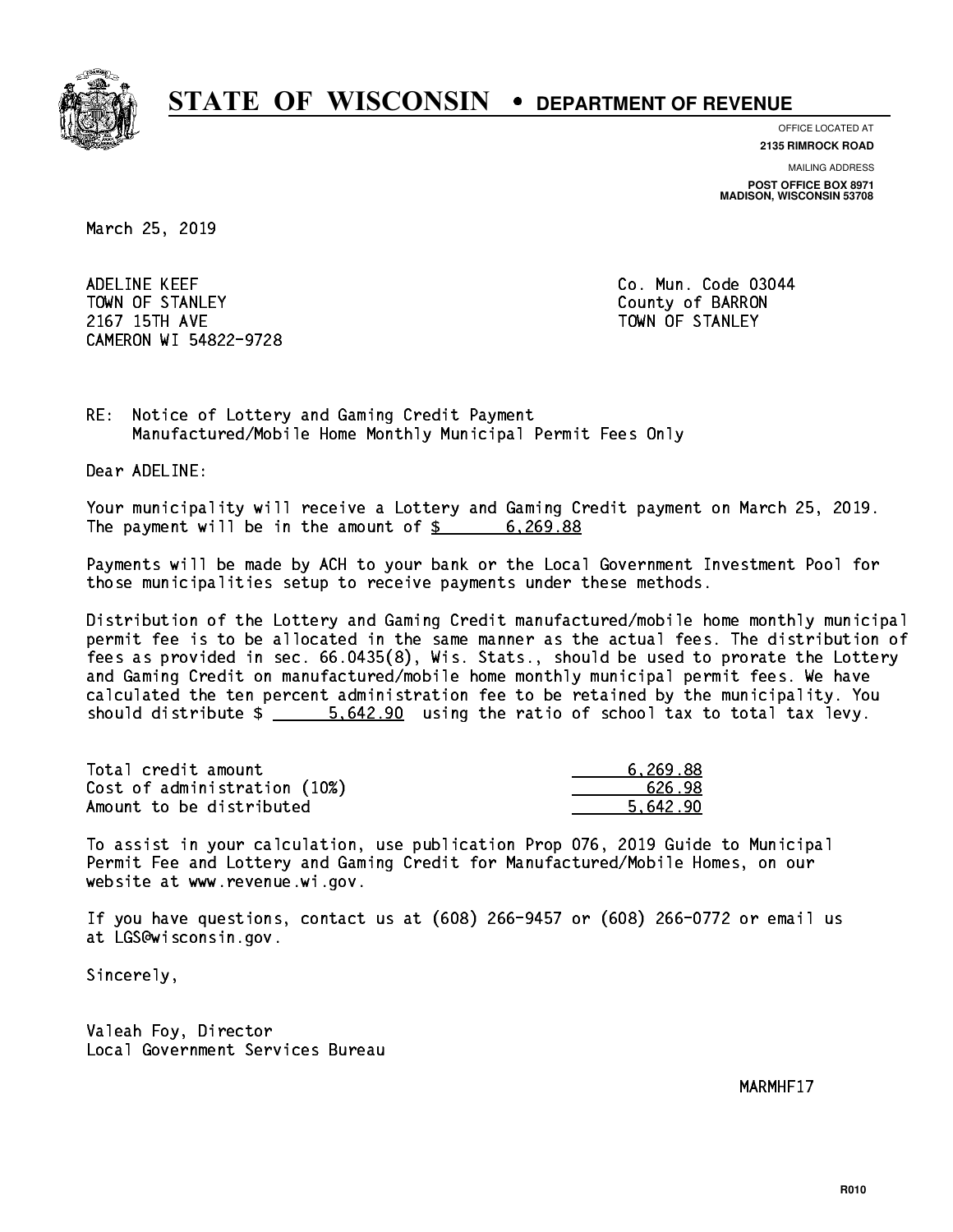

**OFFICE LOCATED AT**

**2135 RIMROCK ROAD**

**MAILING ADDRESS POST OFFICE BOX 8971 MADISON, WISCONSIN 53708**

March 25, 2019

 ADELINE KEEF Co. Mun. Code 03044 TOWN OF STANLEY COUNTY COUNTY OF BARRON 2167 15TH AVE TOWN OF STANLEY CAMERON WI 54822-9728

RE: Notice of Lottery and Gaming Credit Payment Manufactured/Mobile Home Monthly Municipal Permit Fees Only

Dear ADELINE:

 Your municipality will receive a Lottery and Gaming Credit payment on March 25, 2019. The payment will be in the amount of \$ 6,269.88 \_\_\_\_\_\_\_\_\_\_\_\_\_\_\_\_

 Payments will be made by ACH to your bank or the Local Government Investment Pool for those municipalities setup to receive payments under these methods.

 Distribution of the Lottery and Gaming Credit manufactured/mobile home monthly municipal permit fee is to be allocated in the same manner as the actual fees. The distribution of fees as provided in sec. 66.0435(8), Wis. Stats., should be used to prorate the Lottery and Gaming Credit on manufactured/mobile home monthly municipal permit fees. We have calculated the ten percent administration fee to be retained by the municipality. You should distribute  $\frac{2}{1}$   $\frac{5.642.90}{2}$  using the ratio of school tax to total tax levy.

| Total credit amount          | 6.269.88 |
|------------------------------|----------|
| Cost of administration (10%) | 626.98   |
| Amount to be distributed     | 5.642.90 |

 To assist in your calculation, use publication Prop 076, 2019 Guide to Municipal Permit Fee and Lottery and Gaming Credit for Manufactured/Mobile Homes, on our website at www.revenue.wi.gov.

 If you have questions, contact us at (608) 266-9457 or (608) 266-0772 or email us at LGS@wisconsin.gov.

Sincerely,

 Valeah Foy, Director Local Government Services Bureau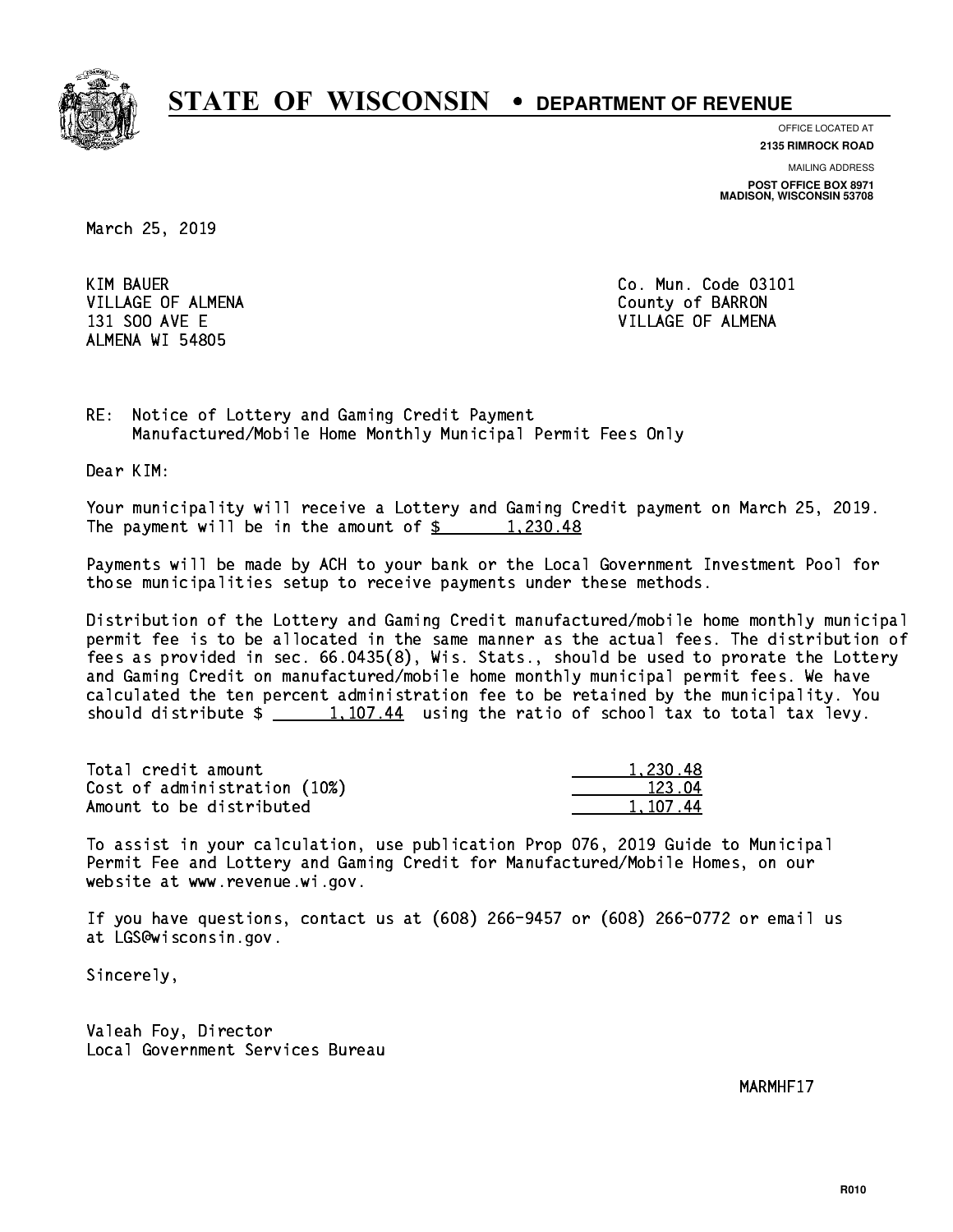

**OFFICE LOCATED AT**

**2135 RIMROCK ROAD**

**MAILING ADDRESS POST OFFICE BOX 8971 MADISON, WISCONSIN 53708**

March 25, 2019

**KIM BAUER** VILLAGE OF ALMENA County of BARRON ALMENA WI 54805

Co. Mun. Code 03101 131 SOO AVE E VILLAGE OF ALMENA

RE: Notice of Lottery and Gaming Credit Payment Manufactured/Mobile Home Monthly Municipal Permit Fees Only

Dear KIM:

 Your municipality will receive a Lottery and Gaming Credit payment on March 25, 2019. The payment will be in the amount of  $\frac{2}{3}$  1,230.48

 Payments will be made by ACH to your bank or the Local Government Investment Pool for those municipalities setup to receive payments under these methods.

 Distribution of the Lottery and Gaming Credit manufactured/mobile home monthly municipal permit fee is to be allocated in the same manner as the actual fees. The distribution of fees as provided in sec. 66.0435(8), Wis. Stats., should be used to prorate the Lottery and Gaming Credit on manufactured/mobile home monthly municipal permit fees. We have calculated the ten percent administration fee to be retained by the municipality. You should distribute  $\frac{1,107.44}{1,107.44}$  using the ratio of school tax to total tax levy.

| Total credit amount          | 1.230.48 |
|------------------------------|----------|
| Cost of administration (10%) | 123.04   |
| Amount to be distributed     | 1.107.44 |

 To assist in your calculation, use publication Prop 076, 2019 Guide to Municipal Permit Fee and Lottery and Gaming Credit for Manufactured/Mobile Homes, on our website at www.revenue.wi.gov.

 If you have questions, contact us at (608) 266-9457 or (608) 266-0772 or email us at LGS@wisconsin.gov.

Sincerely,

 Valeah Foy, Director Local Government Services Bureau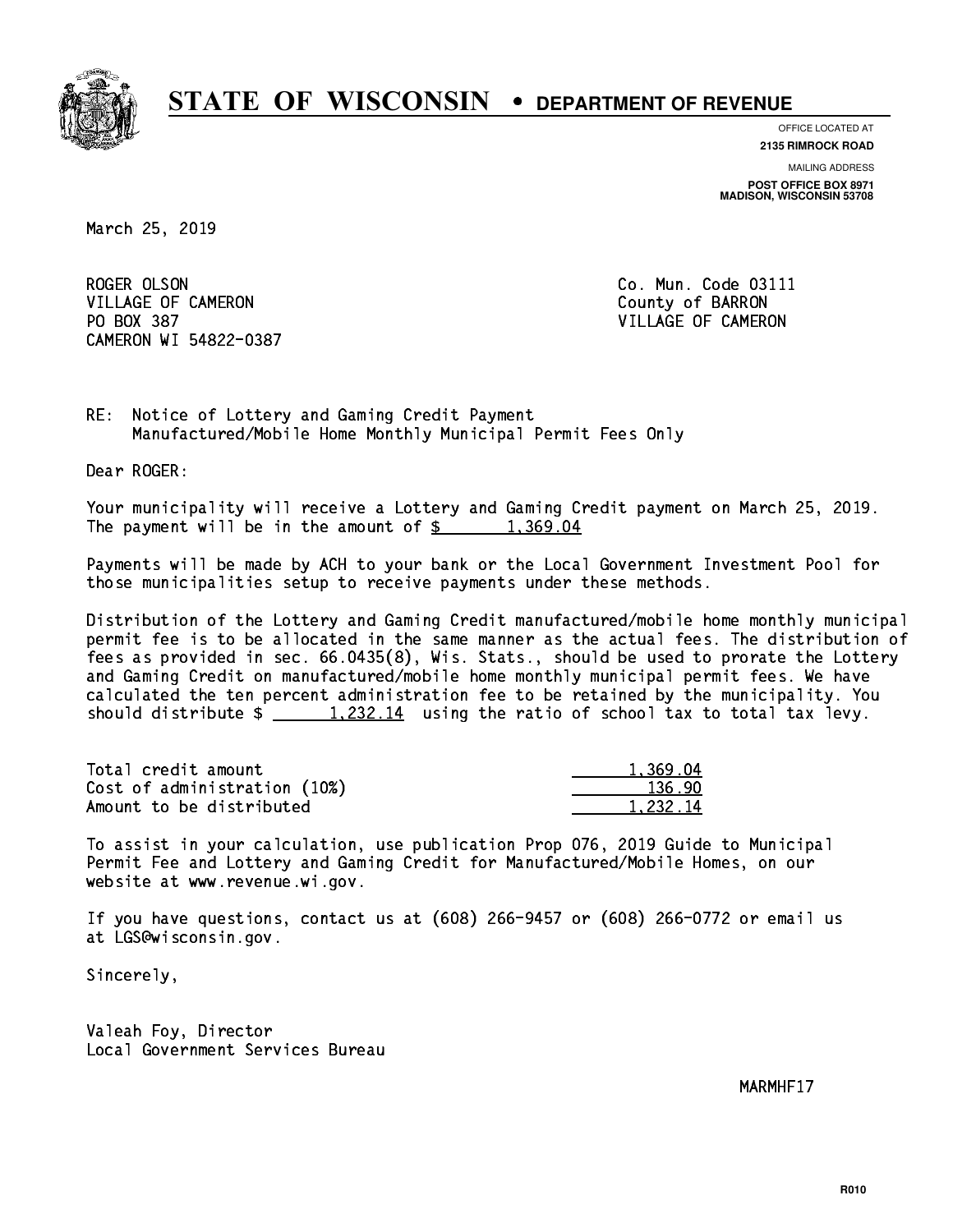

**OFFICE LOCATED AT**

**2135 RIMROCK ROAD**

**MAILING ADDRESS POST OFFICE BOX 8971 MADISON, WISCONSIN 53708**

March 25, 2019

ROGER OLSON VILLAGE OF CAMERON COUNTY OF BARRON PO BOX 387 VILLAGE OF CAMERON CAMERON WI 54822-0387

Co. Mun. Code 03111

RE: Notice of Lottery and Gaming Credit Payment Manufactured/Mobile Home Monthly Municipal Permit Fees Only

Dear ROGER:

 Your municipality will receive a Lottery and Gaming Credit payment on March 25, 2019. The payment will be in the amount of  $\frac{2}{3}$  1,369.04

 Payments will be made by ACH to your bank or the Local Government Investment Pool for those municipalities setup to receive payments under these methods.

 Distribution of the Lottery and Gaming Credit manufactured/mobile home monthly municipal permit fee is to be allocated in the same manner as the actual fees. The distribution of fees as provided in sec. 66.0435(8), Wis. Stats., should be used to prorate the Lottery and Gaming Credit on manufactured/mobile home monthly municipal permit fees. We have calculated the ten percent administration fee to be retained by the municipality. You should distribute  $\frac{1,232.14}{1,232.14}$  using the ratio of school tax to total tax levy.

| Total credit amount          | 1.369.04 |
|------------------------------|----------|
| Cost of administration (10%) | 136.90   |
| Amount to be distributed     | 1.232.14 |

 To assist in your calculation, use publication Prop 076, 2019 Guide to Municipal Permit Fee and Lottery and Gaming Credit for Manufactured/Mobile Homes, on our website at www.revenue.wi.gov.

 If you have questions, contact us at (608) 266-9457 or (608) 266-0772 or email us at LGS@wisconsin.gov.

Sincerely,

 Valeah Foy, Director Local Government Services Bureau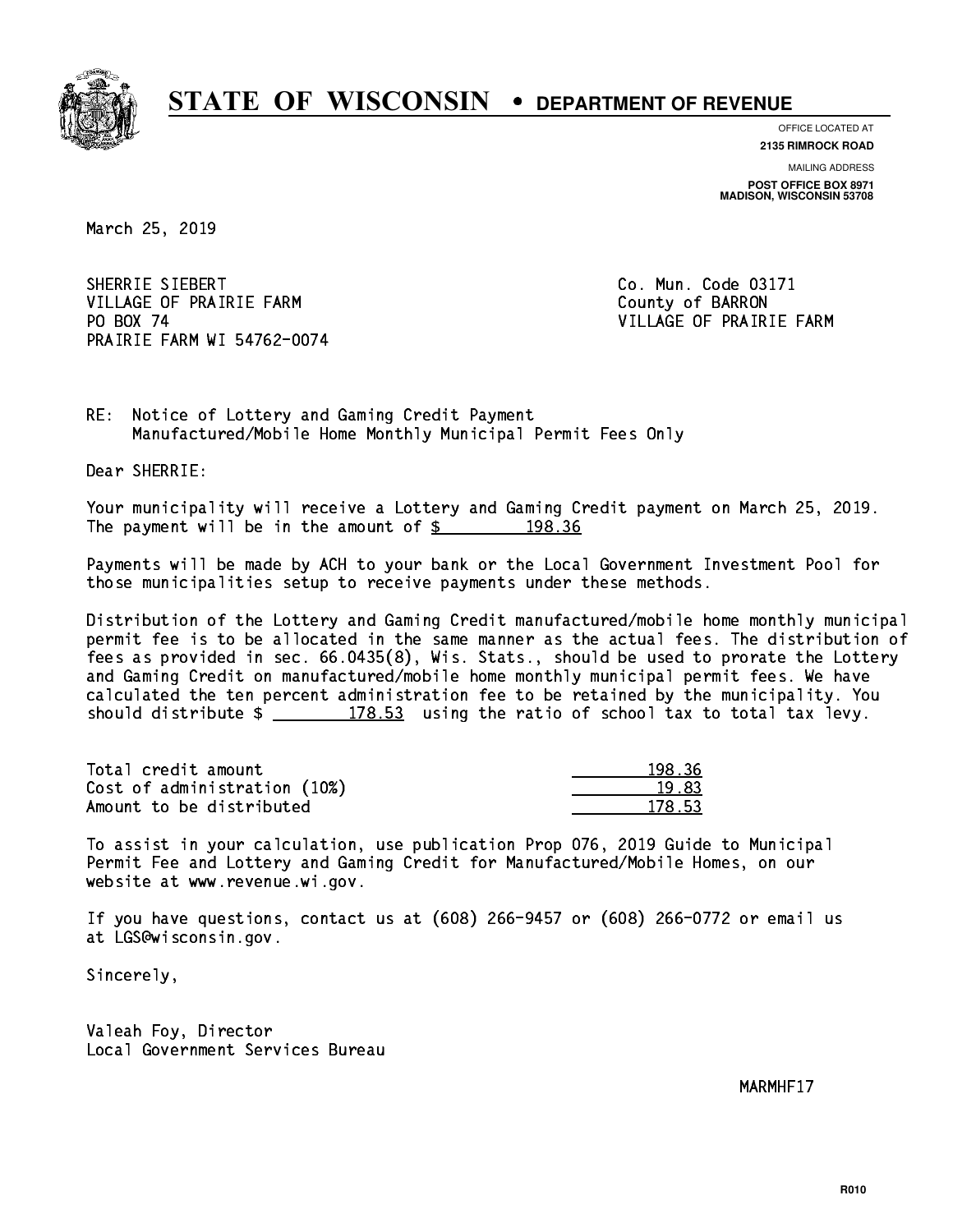

**OFFICE LOCATED AT**

**2135 RIMROCK ROAD**

**MAILING ADDRESS POST OFFICE BOX 8971 MADISON, WISCONSIN 53708**

March 25, 2019

SHERRIE SIEBERT Co. Mun. Code 03171 VILLAGE OF PRAIRIE FARM COUNTY OF BARRON PO BOX 74 PRAIRIE FARM WI 54762-0074

VILLAGE OF PRAIRIE FARM

RE: Notice of Lottery and Gaming Credit Payment Manufactured/Mobile Home Monthly Municipal Permit Fees Only

Dear SHERRIE:

 Your municipality will receive a Lottery and Gaming Credit payment on March 25, 2019. The payment will be in the amount of  $\frac{2}{3}$  198.36

 Payments will be made by ACH to your bank or the Local Government Investment Pool for those municipalities setup to receive payments under these methods.

 Distribution of the Lottery and Gaming Credit manufactured/mobile home monthly municipal permit fee is to be allocated in the same manner as the actual fees. The distribution of fees as provided in sec. 66.0435(8), Wis. Stats., should be used to prorate the Lottery and Gaming Credit on manufactured/mobile home monthly municipal permit fees. We have calculated the ten percent administration fee to be retained by the municipality. You should distribute  $\frac{2}{2}$   $\frac{178.53}{2}$  using the ratio of school tax to total tax levy.

Total credit amount Cost of administration (10%) Amount to be distributed

| ' २६      |
|-----------|
| प3 ।<br>ъ |
| -53       |

 To assist in your calculation, use publication Prop 076, 2019 Guide to Municipal Permit Fee and Lottery and Gaming Credit for Manufactured/Mobile Homes, on our website at www.revenue.wi.gov.

 If you have questions, contact us at (608) 266-9457 or (608) 266-0772 or email us at LGS@wisconsin.gov.

Sincerely,

 Valeah Foy, Director Local Government Services Bureau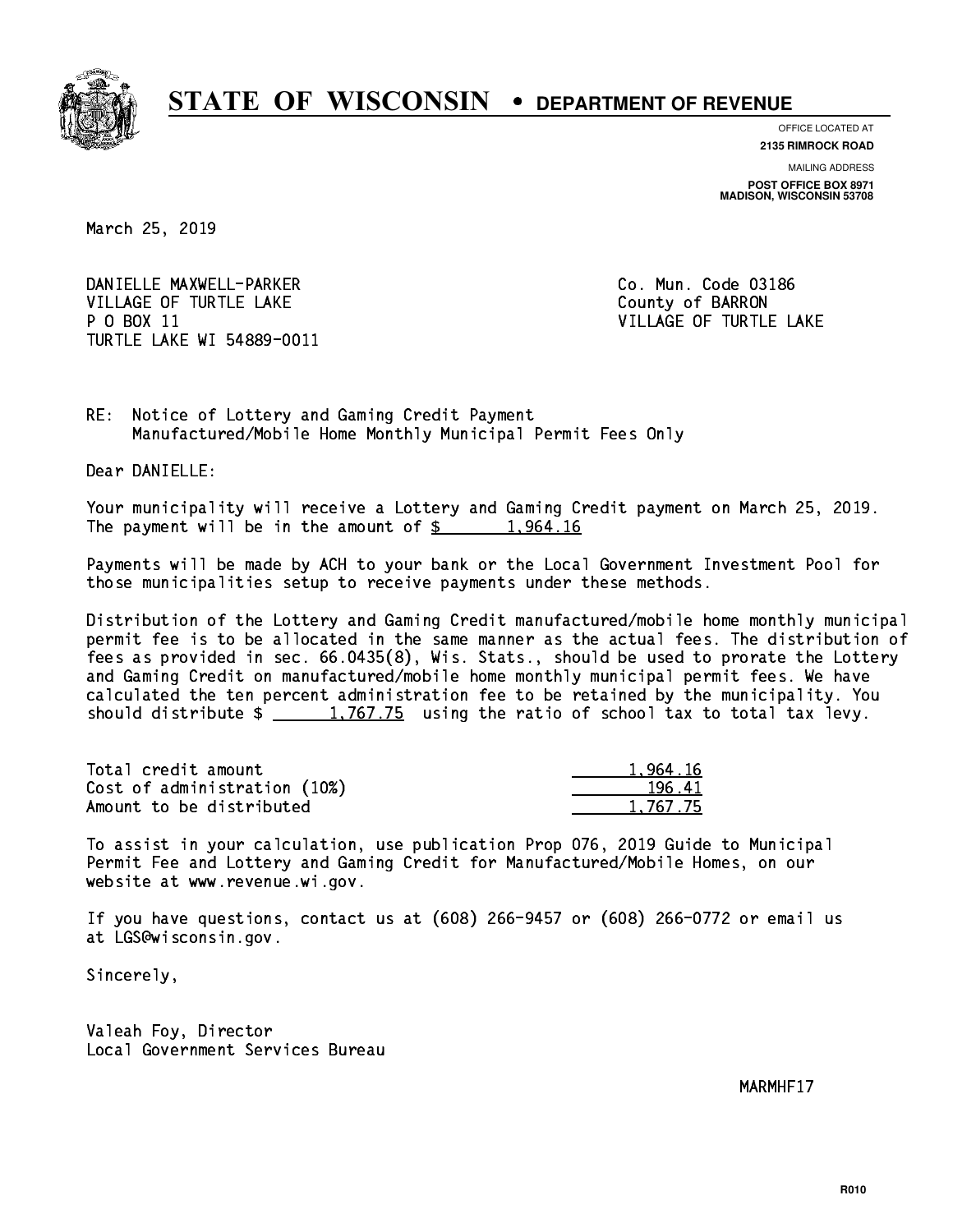

**OFFICE LOCATED AT**

**2135 RIMROCK ROAD**

**MAILING ADDRESS POST OFFICE BOX 8971 MADISON, WISCONSIN 53708**

March 25, 2019

DANIELLE MAXWELL-PARKER CO. Mun. Code 03186 VILLAGE OF TURTLE LAKE COUNTY OF BARRON P O BOX 11 VILLAGE OF TURTLE LAKE TURTLE LAKE WI 54889-0011

RE: Notice of Lottery and Gaming Credit Payment Manufactured/Mobile Home Monthly Municipal Permit Fees Only

Dear DANIELLE:

 Your municipality will receive a Lottery and Gaming Credit payment on March 25, 2019. The payment will be in the amount of  $\frac{2}{3}$  1,964.16

 Payments will be made by ACH to your bank or the Local Government Investment Pool for those municipalities setup to receive payments under these methods.

 Distribution of the Lottery and Gaming Credit manufactured/mobile home monthly municipal permit fee is to be allocated in the same manner as the actual fees. The distribution of fees as provided in sec. 66.0435(8), Wis. Stats., should be used to prorate the Lottery and Gaming Credit on manufactured/mobile home monthly municipal permit fees. We have calculated the ten percent administration fee to be retained by the municipality. You should distribute  $\frac{1,767.75}{1,767.75}$  using the ratio of school tax to total tax levy.

| Total credit amount          | 1.964.16 |
|------------------------------|----------|
| Cost of administration (10%) | 196.41   |
| Amount to be distributed     | 1.767.75 |

 To assist in your calculation, use publication Prop 076, 2019 Guide to Municipal Permit Fee and Lottery and Gaming Credit for Manufactured/Mobile Homes, on our website at www.revenue.wi.gov.

 If you have questions, contact us at (608) 266-9457 or (608) 266-0772 or email us at LGS@wisconsin.gov.

Sincerely,

 Valeah Foy, Director Local Government Services Bureau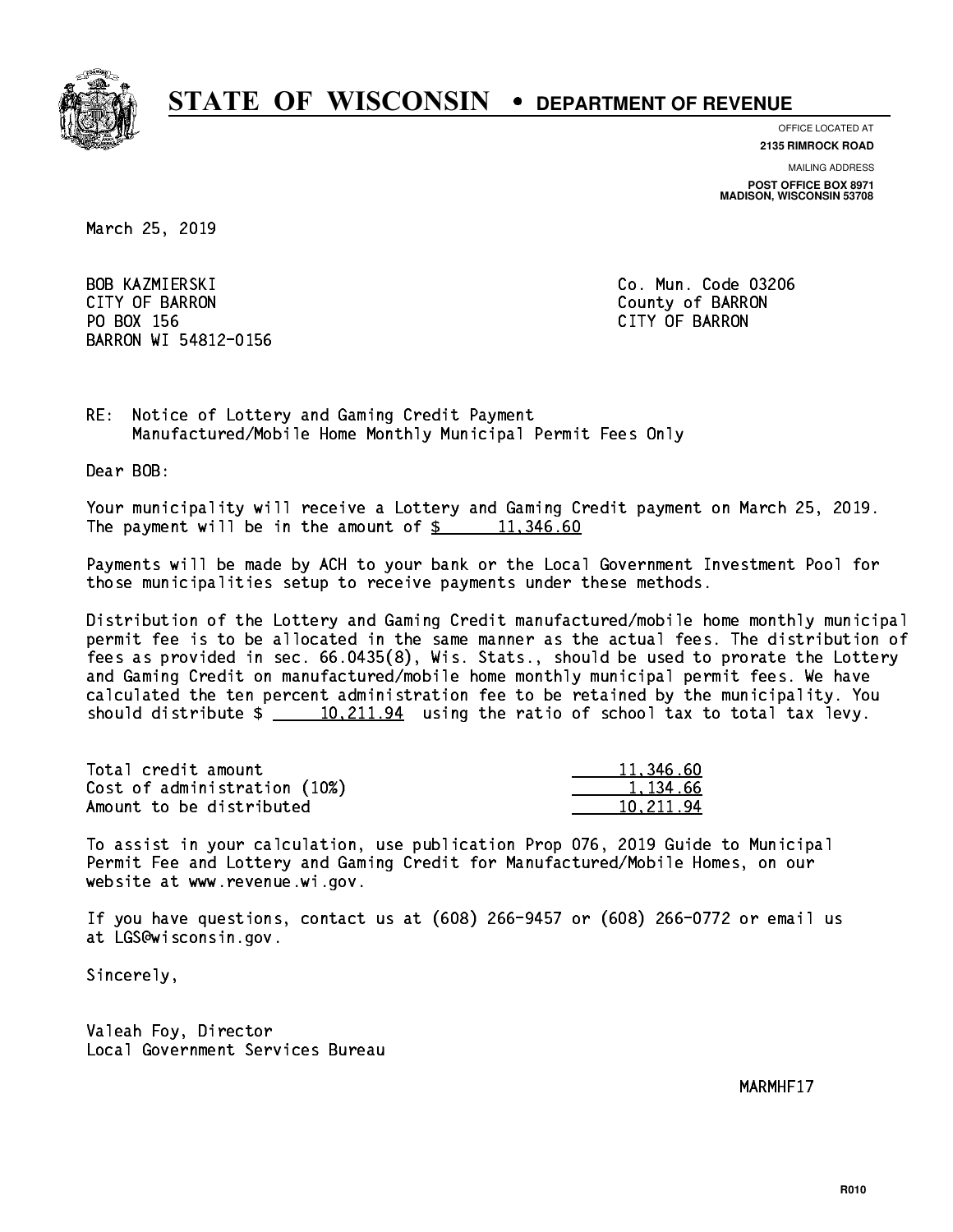

**OFFICE LOCATED AT**

**2135 RIMROCK ROAD**

**MAILING ADDRESS**

**POST OFFICE BOX 8971 MADISON, WISCONSIN 53708**

March 25, 2019

**BOB KAZMIERSKI**  CITY OF BARRON County of BARRON PO BOX 156 CITY OF BARRON BARRON WI 54812-0156

Co. Mun. Code 03206

RE: Notice of Lottery and Gaming Credit Payment Manufactured/Mobile Home Monthly Municipal Permit Fees Only

Dear BOB:

 Your municipality will receive a Lottery and Gaming Credit payment on March 25, 2019. The payment will be in the amount of  $\frac{2}{3}$  11,346.60

 Payments will be made by ACH to your bank or the Local Government Investment Pool for those municipalities setup to receive payments under these methods.

 Distribution of the Lottery and Gaming Credit manufactured/mobile home monthly municipal permit fee is to be allocated in the same manner as the actual fees. The distribution of fees as provided in sec. 66.0435(8), Wis. Stats., should be used to prorate the Lottery and Gaming Credit on manufactured/mobile home monthly municipal permit fees. We have calculated the ten percent administration fee to be retained by the municipality. You should distribute  $\frac{10,211.94}{2}$  using the ratio of school tax to total tax levy.

| Total credit amount          | 11,346.60 |
|------------------------------|-----------|
| Cost of administration (10%) | 1.134.66  |
| Amount to be distributed     | 10.211.94 |

 To assist in your calculation, use publication Prop 076, 2019 Guide to Municipal Permit Fee and Lottery and Gaming Credit for Manufactured/Mobile Homes, on our website at www.revenue.wi.gov.

 If you have questions, contact us at (608) 266-9457 or (608) 266-0772 or email us at LGS@wisconsin.gov.

Sincerely,

 Valeah Foy, Director Local Government Services Bureau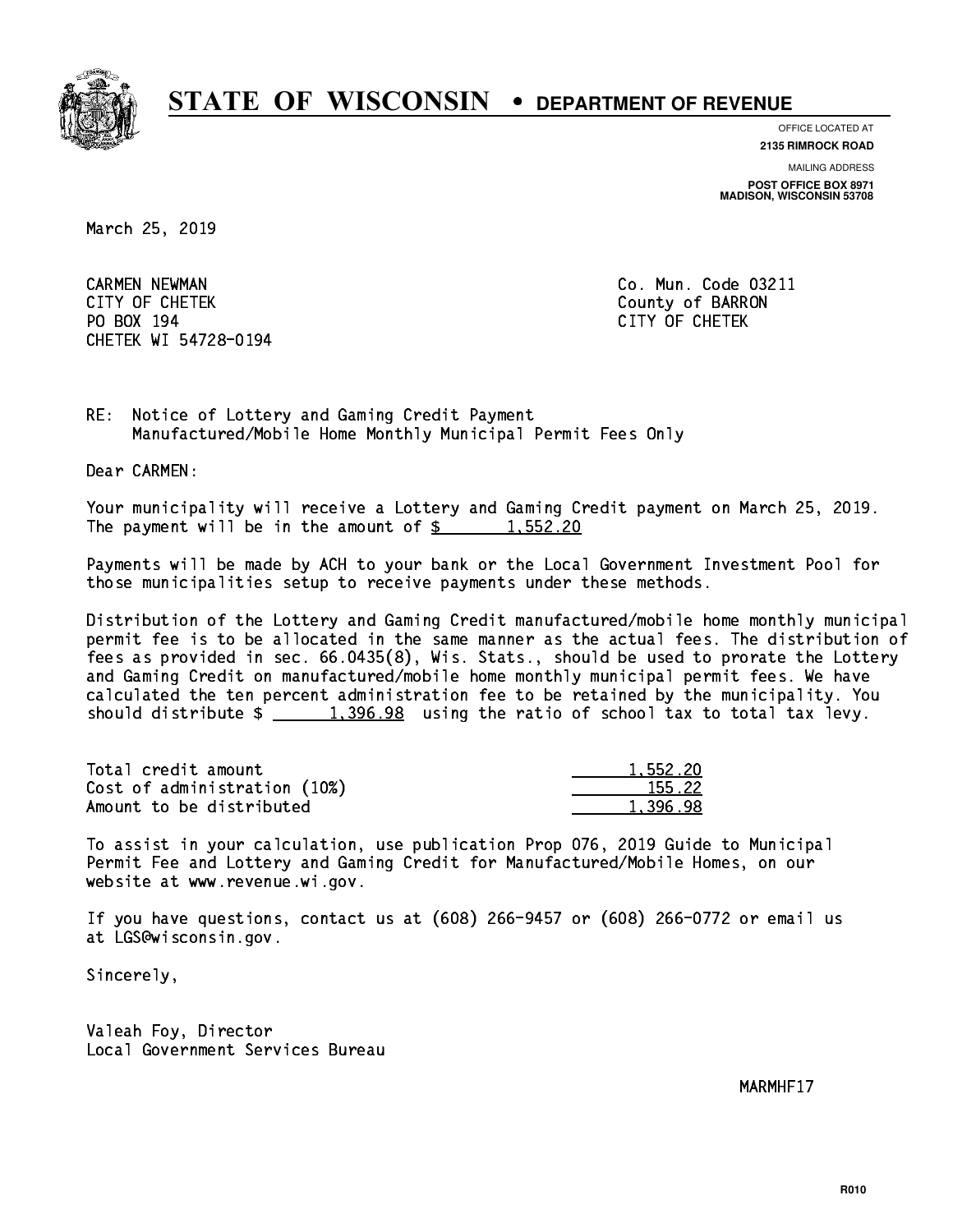

**OFFICE LOCATED AT**

**MAILING ADDRESS 2135 RIMROCK ROAD**

**POST OFFICE BOX 8971 MADISON, WISCONSIN 53708**

March 25, 2019

 CARMEN NEWMAN Co. Mun. Code 03211 CITY OF CHETEK County of BARRON PO BOX 194 CITY OF CHETEK CHETEK WI 54728-0194

RE: Notice of Lottery and Gaming Credit Payment Manufactured/Mobile Home Monthly Municipal Permit Fees Only

Dear CARMEN:

 Your municipality will receive a Lottery and Gaming Credit payment on March 25, 2019. The payment will be in the amount of  $\frac{2}{3}$  1,552.20

 Payments will be made by ACH to your bank or the Local Government Investment Pool for those municipalities setup to receive payments under these methods.

 Distribution of the Lottery and Gaming Credit manufactured/mobile home monthly municipal permit fee is to be allocated in the same manner as the actual fees. The distribution of fees as provided in sec. 66.0435(8), Wis. Stats., should be used to prorate the Lottery and Gaming Credit on manufactured/mobile home monthly municipal permit fees. We have calculated the ten percent administration fee to be retained by the municipality. You should distribute  $\frac{2}{1,396.98}$  using the ratio of school tax to total tax levy.

| Total credit amount          | 1,552.20 |
|------------------------------|----------|
| Cost of administration (10%) | 155.22   |
| Amount to be distributed     | 1,396.98 |

 To assist in your calculation, use publication Prop 076, 2019 Guide to Municipal Permit Fee and Lottery and Gaming Credit for Manufactured/Mobile Homes, on our website at www.revenue.wi.gov.

 If you have questions, contact us at (608) 266-9457 or (608) 266-0772 or email us at LGS@wisconsin.gov.

Sincerely,

 Valeah Foy, Director Local Government Services Bureau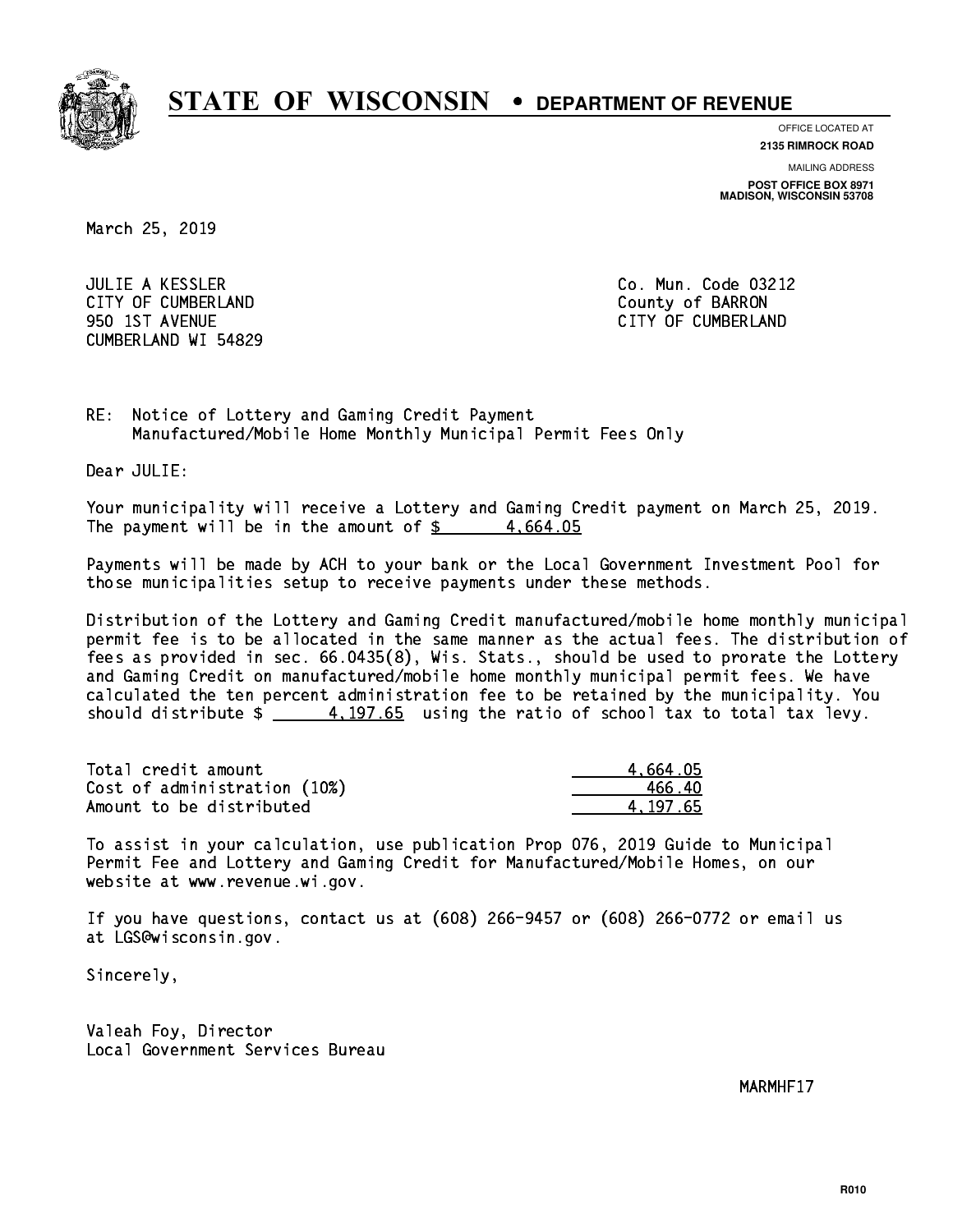

**OFFICE LOCATED AT**

**MAILING ADDRESS 2135 RIMROCK ROAD**

**POST OFFICE BOX 8971 MADISON, WISCONSIN 53708**

March 25, 2019

 JULIE A KESSLER Co. Mun. Code 03212 CITY OF CUMBERLAND COUNTY COUNTY OF BARRON 950 1ST AVENUE CITY OF CUMBERLAND CUMBERLAND WI 54829

RE: Notice of Lottery and Gaming Credit Payment Manufactured/Mobile Home Monthly Municipal Permit Fees Only

Dear JULIE:

 Your municipality will receive a Lottery and Gaming Credit payment on March 25, 2019. The payment will be in the amount of  $\frac{2}{3}$  4,664.05

 Payments will be made by ACH to your bank or the Local Government Investment Pool for those municipalities setup to receive payments under these methods.

 Distribution of the Lottery and Gaming Credit manufactured/mobile home monthly municipal permit fee is to be allocated in the same manner as the actual fees. The distribution of fees as provided in sec. 66.0435(8), Wis. Stats., should be used to prorate the Lottery and Gaming Credit on manufactured/mobile home monthly municipal permit fees. We have calculated the ten percent administration fee to be retained by the municipality. You should distribute  $\frac{4.197.65}{2}$  using the ratio of school tax to total tax levy.

| Total credit amount          | 4.664.05 |
|------------------------------|----------|
| Cost of administration (10%) | 466.40   |
| Amount to be distributed     | 4.197.65 |

 To assist in your calculation, use publication Prop 076, 2019 Guide to Municipal Permit Fee and Lottery and Gaming Credit for Manufactured/Mobile Homes, on our website at www.revenue.wi.gov.

 If you have questions, contact us at (608) 266-9457 or (608) 266-0772 or email us at LGS@wisconsin.gov.

Sincerely,

 Valeah Foy, Director Local Government Services Bureau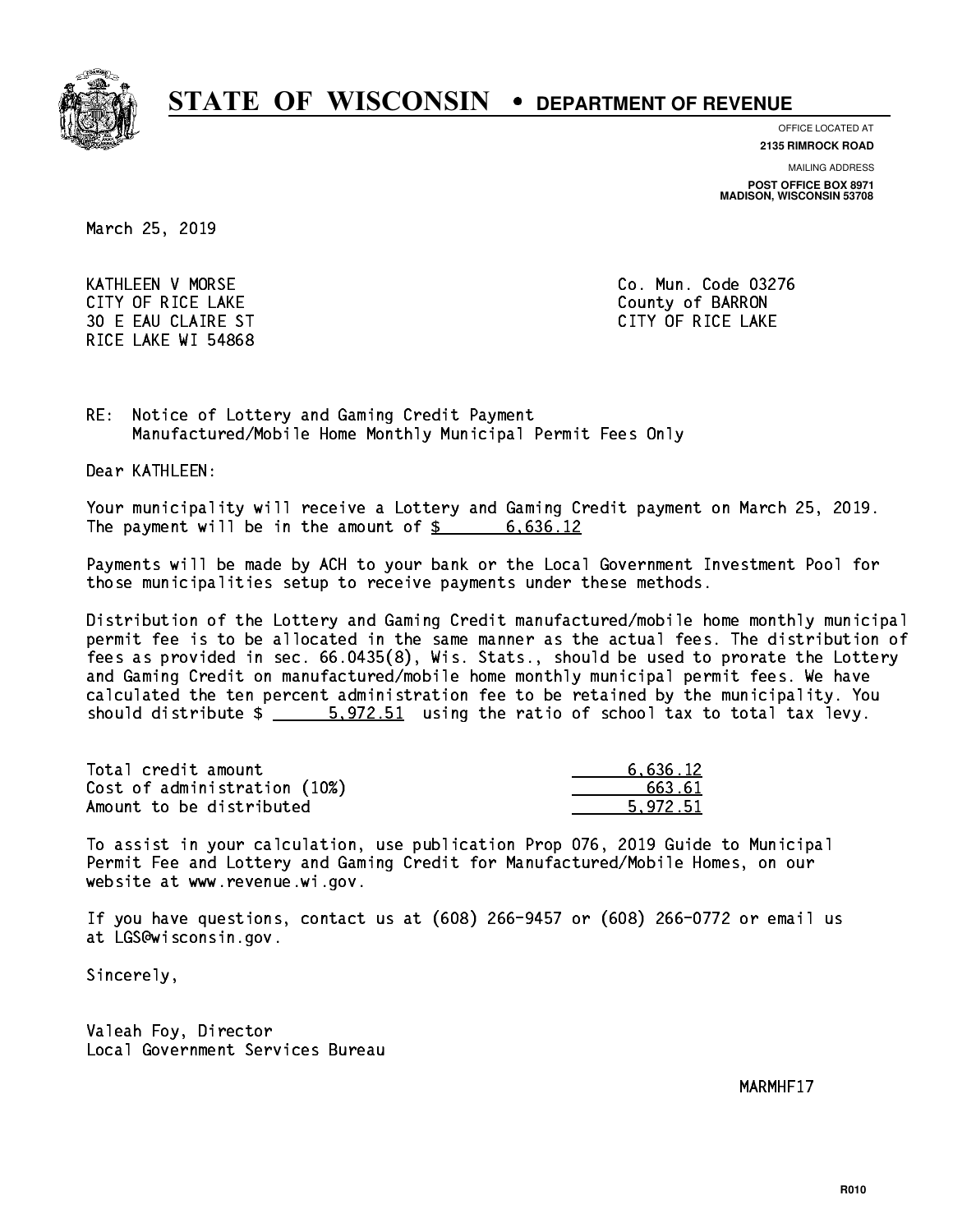

**OFFICE LOCATED AT**

**2135 RIMROCK ROAD**

**MAILING ADDRESS**

**POST OFFICE BOX 8971 MADISON, WISCONSIN 53708**

March 25, 2019

 KATHLEEN V MORSE Co. Mun. Code 03276 CITY OF RICE LAKE **COUNTY OF RICE LAKE** 30 E EAU CLAIRE ST CONTROLLED TO CLAIR CARD TO CLAIR CARD CARD CARD CARD CARD CARD CARD OF RICE LAKE RICE LAKE WI 54868

RE: Notice of Lottery and Gaming Credit Payment Manufactured/Mobile Home Monthly Municipal Permit Fees Only

Dear KATHLEEN:

 Your municipality will receive a Lottery and Gaming Credit payment on March 25, 2019. The payment will be in the amount of  $\frac{2}{3}$  6,636.12

 Payments will be made by ACH to your bank or the Local Government Investment Pool for those municipalities setup to receive payments under these methods.

 Distribution of the Lottery and Gaming Credit manufactured/mobile home monthly municipal permit fee is to be allocated in the same manner as the actual fees. The distribution of fees as provided in sec. 66.0435(8), Wis. Stats., should be used to prorate the Lottery and Gaming Credit on manufactured/mobile home monthly municipal permit fees. We have calculated the ten percent administration fee to be retained by the municipality. You should distribute  $\frac{2}{1}$   $\frac{5.972.51}{2}$  using the ratio of school tax to total tax levy.

| Total credit amount          | 6.636.12 |
|------------------------------|----------|
| Cost of administration (10%) | 663.61   |
| Amount to be distributed     | 5.972.51 |

 To assist in your calculation, use publication Prop 076, 2019 Guide to Municipal Permit Fee and Lottery and Gaming Credit for Manufactured/Mobile Homes, on our website at www.revenue.wi.gov.

 If you have questions, contact us at (608) 266-9457 or (608) 266-0772 or email us at LGS@wisconsin.gov.

Sincerely,

 Valeah Foy, Director Local Government Services Bureau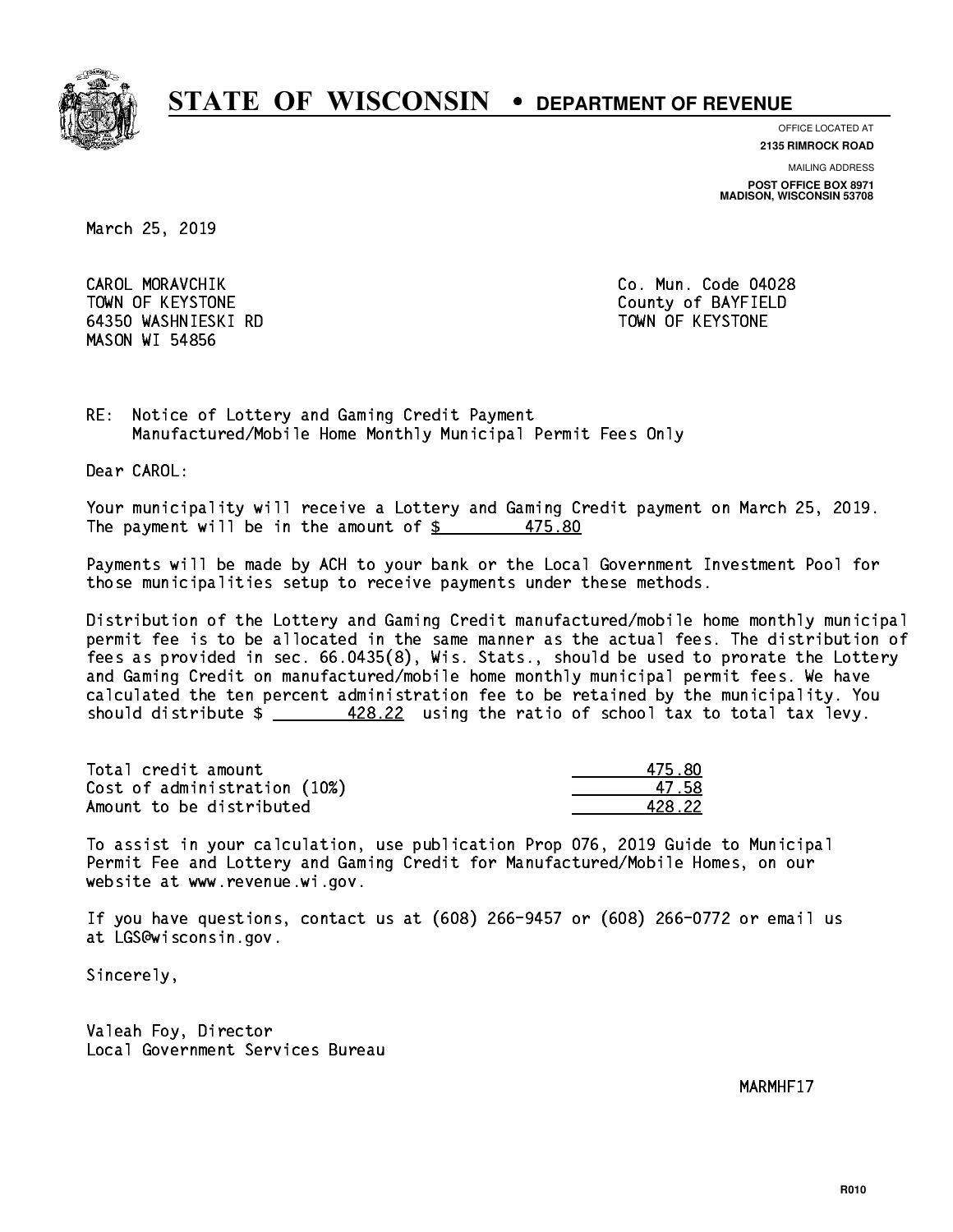

**OFFICE LOCATED AT**

**2135 RIMROCK ROAD**

**MAILING ADDRESS**

**POST OFFICE BOX 8971 MADISON, WISCONSIN 53708**

March 25, 2019

CAROL MORAVCHIK TOWN OF KEYSTONE County of BAYFIELD 64350 WASHNIESKI RD TOWN OF KEYSTONE MASON WI 54856

Co. Mun. Code 04028

RE: Notice of Lottery and Gaming Credit Payment Manufactured/Mobile Home Monthly Municipal Permit Fees Only

Dear CAROL:

 Your municipality will receive a Lottery and Gaming Credit payment on March 25, 2019. The payment will be in the amount of  $\frac{25}{36}$ 475.80

 Payments will be made by ACH to your bank or the Local Government Investment Pool for those municipalities setup to receive payments under these methods.

 Distribution of the Lottery and Gaming Credit manufactured/mobile home monthly municipal permit fee is to be allocated in the same manner as the actual fees. The distribution of fees as provided in sec. 66.0435(8), Wis. Stats., should be used to prorate the Lottery and Gaming Credit on manufactured/mobile home monthly municipal permit fees. We have calculated the ten percent administration fee to be retained by the municipality. You should distribute  $\frac{428.22}{1}$  using the ratio of school tax to total tax levy.

Total credit amount Cost of administration (10%) Amount to be distributed

| ,<br>h RN |
|-----------|
| 758       |
| 8.22      |

 To assist in your calculation, use publication Prop 076, 2019 Guide to Municipal Permit Fee and Lottery and Gaming Credit for Manufactured/Mobile Homes, on our website at www.revenue.wi.gov.

 If you have questions, contact us at (608) 266-9457 or (608) 266-0772 or email us at LGS@wisconsin.gov.

Sincerely,

 Valeah Foy, Director Local Government Services Bureau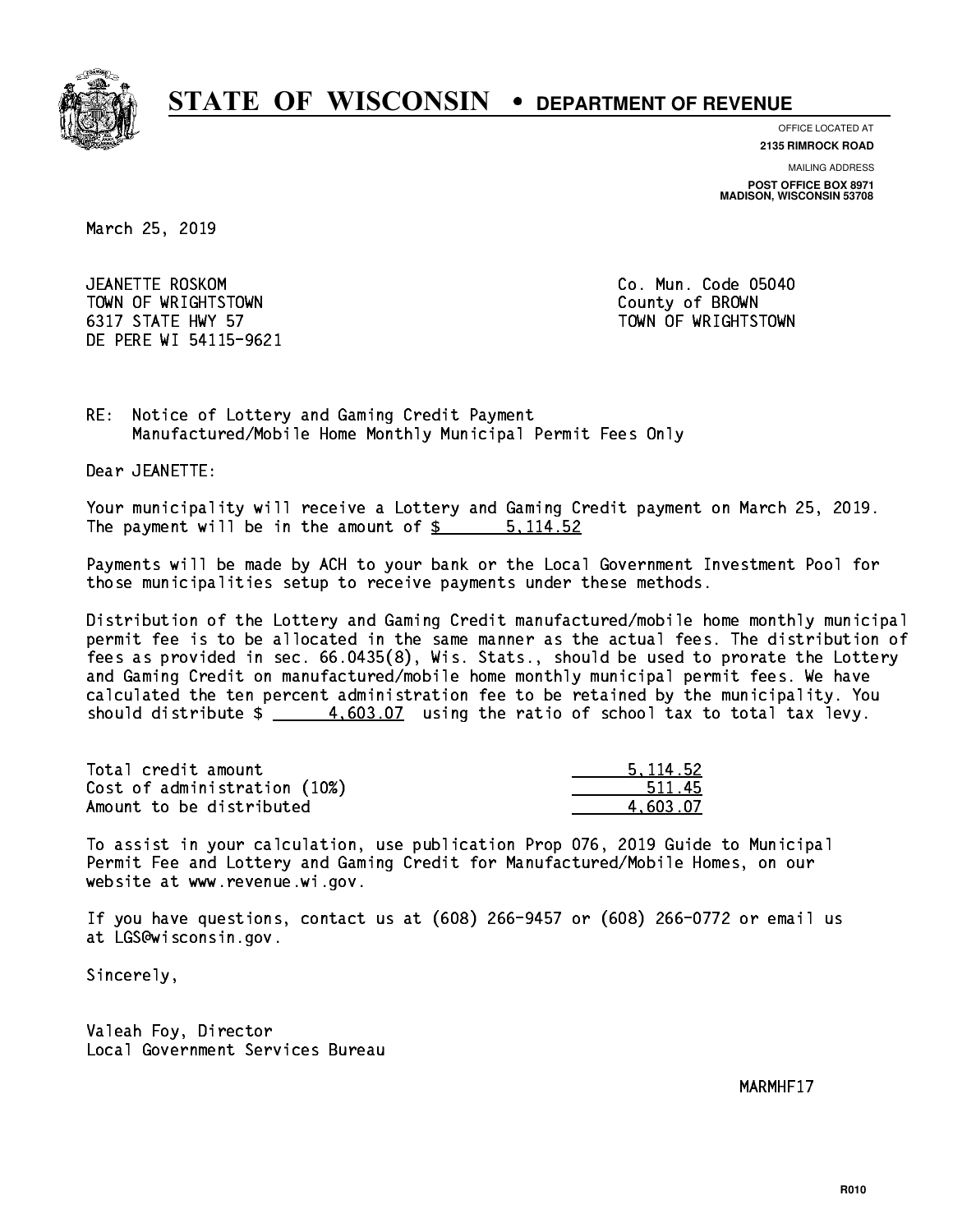

**OFFICE LOCATED AT**

**2135 RIMROCK ROAD**

**MAILING ADDRESS**

**POST OFFICE BOX 8971 MADISON, WISCONSIN 53708**

March 25, 2019

JEANETTE ROSKOM TOWN OF WRIGHTSTOWN County of BROWN 6317 STATE HWY 57 TOWN OF WRIGHTSTOWN DE PERE WI 54115-9621

Co. Mun. Code 05040

RE: Notice of Lottery and Gaming Credit Payment Manufactured/Mobile Home Monthly Municipal Permit Fees Only

Dear JEANETTE:

 Your municipality will receive a Lottery and Gaming Credit payment on March 25, 2019. The payment will be in the amount of \$ 5,114.52 \_\_\_\_\_\_\_\_\_\_\_\_\_\_\_\_

 Payments will be made by ACH to your bank or the Local Government Investment Pool for those municipalities setup to receive payments under these methods.

 Distribution of the Lottery and Gaming Credit manufactured/mobile home monthly municipal permit fee is to be allocated in the same manner as the actual fees. The distribution of fees as provided in sec. 66.0435(8), Wis. Stats., should be used to prorate the Lottery and Gaming Credit on manufactured/mobile home monthly municipal permit fees. We have calculated the ten percent administration fee to be retained by the municipality. You should distribute  $\frac{4.603.07}{4.603.07}$  using the ratio of school tax to total tax levy.

| Total credit amount          | 5.114.52 |
|------------------------------|----------|
| Cost of administration (10%) | 511.45   |
| Amount to be distributed     | 4.603.07 |

 To assist in your calculation, use publication Prop 076, 2019 Guide to Municipal Permit Fee and Lottery and Gaming Credit for Manufactured/Mobile Homes, on our website at www.revenue.wi.gov.

 If you have questions, contact us at (608) 266-9457 or (608) 266-0772 or email us at LGS@wisconsin.gov.

Sincerely,

 Valeah Foy, Director Local Government Services Bureau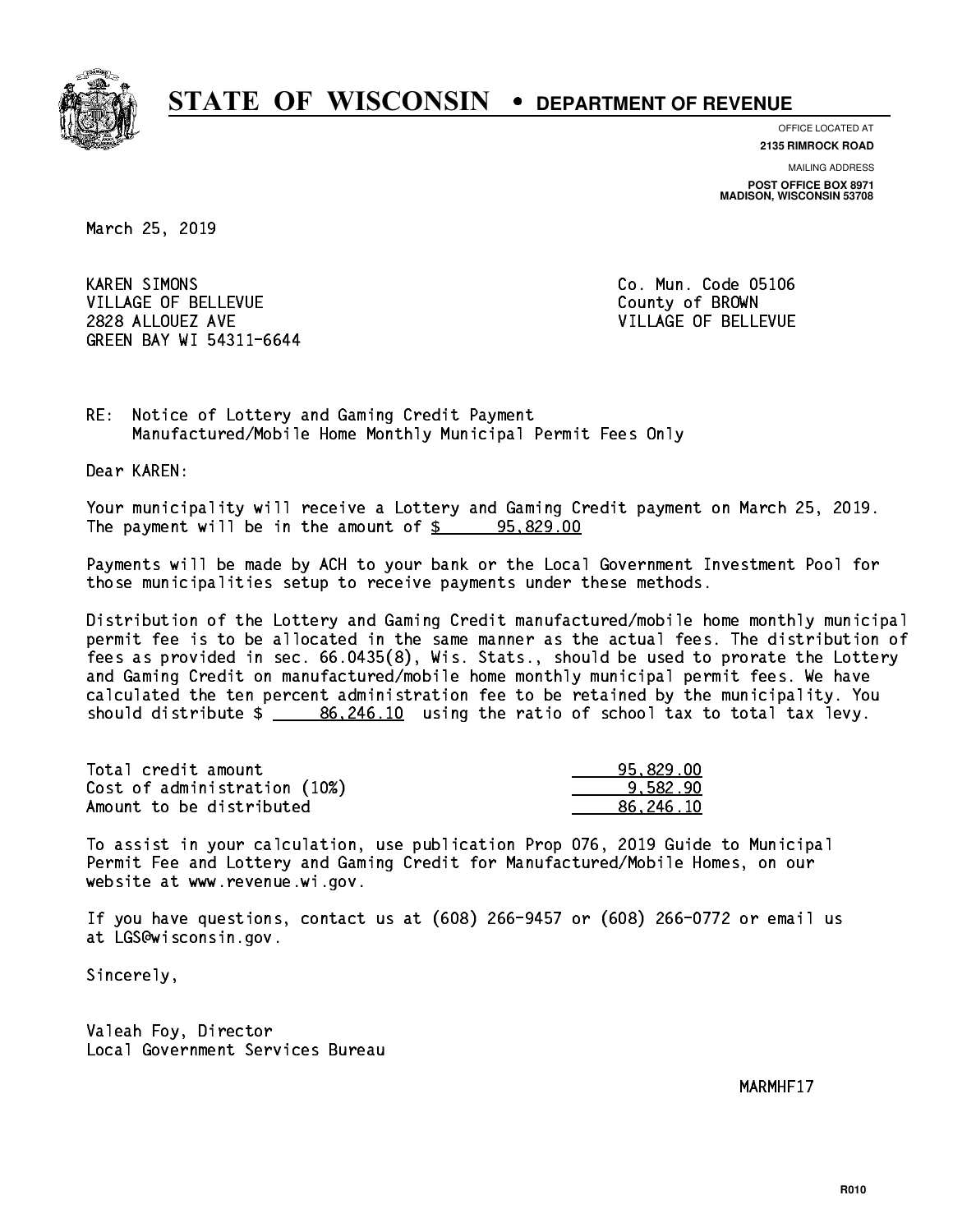

**OFFICE LOCATED AT**

**2135 RIMROCK ROAD**

**MAILING ADDRESS POST OFFICE BOX 8971 MADISON, WISCONSIN 53708**

March 25, 2019

**KAREN SIMONS** VILLAGE OF BELLEVUE COUNTY OF BROWN 2828 ALLOUEZ AVE VILLAGE OF BELLEVUE GREEN BAY WI 54311-6644

Co. Mun. Code 05106

RE: Notice of Lottery and Gaming Credit Payment Manufactured/Mobile Home Monthly Municipal Permit Fees Only

Dear KAREN:

 Your municipality will receive a Lottery and Gaming Credit payment on March 25, 2019. The payment will be in the amount of  $\frac{2}{3}$  95,829.00

 Payments will be made by ACH to your bank or the Local Government Investment Pool for those municipalities setup to receive payments under these methods.

 Distribution of the Lottery and Gaming Credit manufactured/mobile home monthly municipal permit fee is to be allocated in the same manner as the actual fees. The distribution of fees as provided in sec. 66.0435(8), Wis. Stats., should be used to prorate the Lottery and Gaming Credit on manufactured/mobile home monthly municipal permit fees. We have calculated the ten percent administration fee to be retained by the municipality. You should distribute  $\frac{26,246.10}{2}$  using the ratio of school tax to total tax levy.

| Total credit amount          | 95.829.00 |
|------------------------------|-----------|
| Cost of administration (10%) | 9.582.90  |
| Amount to be distributed     | 86.246.10 |

 To assist in your calculation, use publication Prop 076, 2019 Guide to Municipal Permit Fee and Lottery and Gaming Credit for Manufactured/Mobile Homes, on our website at www.revenue.wi.gov.

 If you have questions, contact us at (608) 266-9457 or (608) 266-0772 or email us at LGS@wisconsin.gov.

Sincerely,

 Valeah Foy, Director Local Government Services Bureau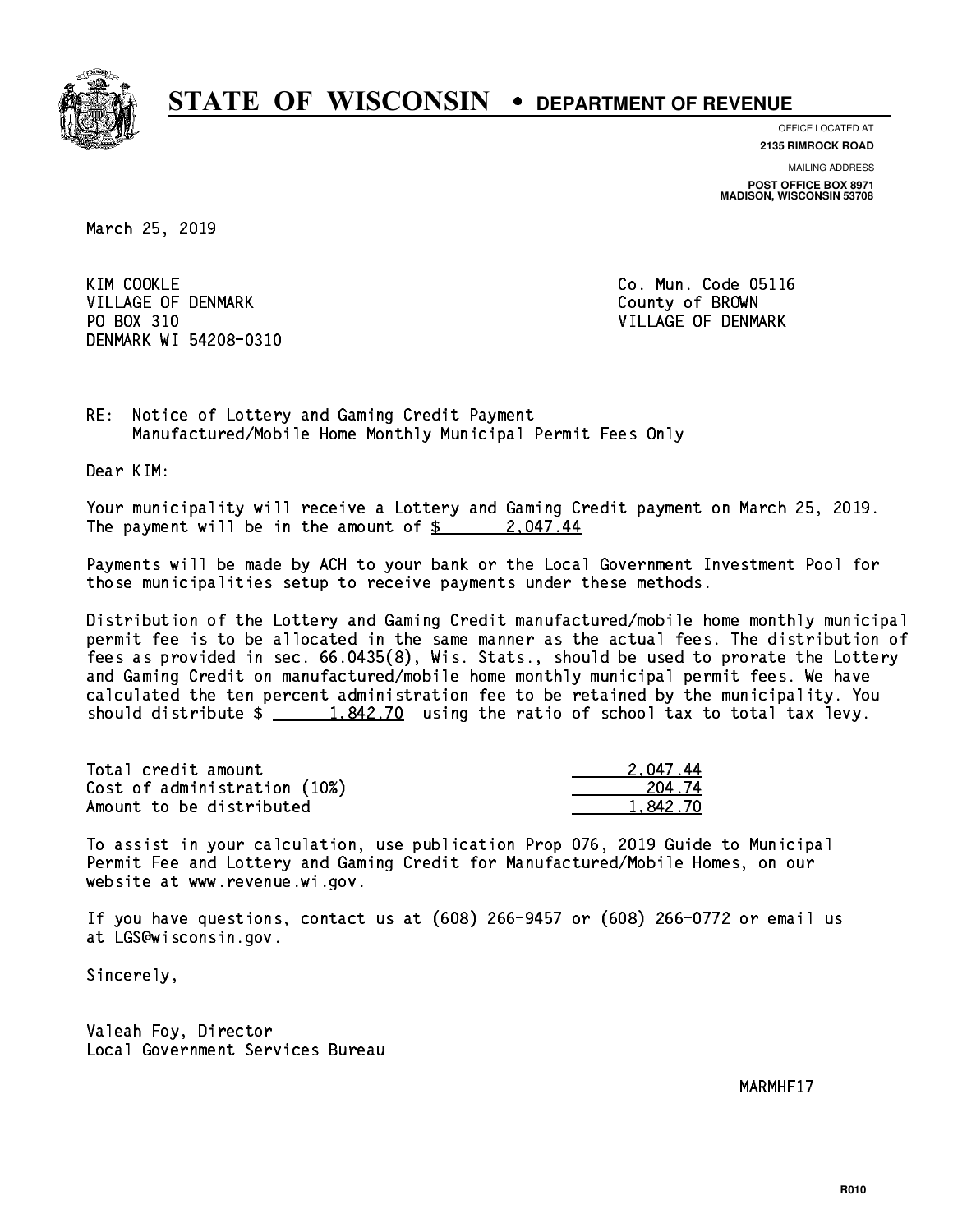

**OFFICE LOCATED AT**

**2135 RIMROCK ROAD**

**MAILING ADDRESS POST OFFICE BOX 8971 MADISON, WISCONSIN 53708**

March 25, 2019

KIM COOKLE VILLAGE OF DENMARK COUNTY OF BROWN PO BOX 310 VILLAGE OF DENMARK DENMARK WI 54208-0310

Co. Mun. Code 05116

RE: Notice of Lottery and Gaming Credit Payment Manufactured/Mobile Home Monthly Municipal Permit Fees Only

Dear KIM:

 Your municipality will receive a Lottery and Gaming Credit payment on March 25, 2019. The payment will be in the amount of  $\frac{2.047.44}{2.047.44}$ 

 Payments will be made by ACH to your bank or the Local Government Investment Pool for those municipalities setup to receive payments under these methods.

 Distribution of the Lottery and Gaming Credit manufactured/mobile home monthly municipal permit fee is to be allocated in the same manner as the actual fees. The distribution of fees as provided in sec. 66.0435(8), Wis. Stats., should be used to prorate the Lottery and Gaming Credit on manufactured/mobile home monthly municipal permit fees. We have calculated the ten percent administration fee to be retained by the municipality. You should distribute  $\frac{1.842.70}{ }$  using the ratio of school tax to total tax levy.

| Total credit amount          | 2.047.44 |
|------------------------------|----------|
| Cost of administration (10%) | 204.74   |
| Amount to be distributed     | 1.842.70 |

 To assist in your calculation, use publication Prop 076, 2019 Guide to Municipal Permit Fee and Lottery and Gaming Credit for Manufactured/Mobile Homes, on our website at www.revenue.wi.gov.

 If you have questions, contact us at (608) 266-9457 or (608) 266-0772 or email us at LGS@wisconsin.gov.

Sincerely,

 Valeah Foy, Director Local Government Services Bureau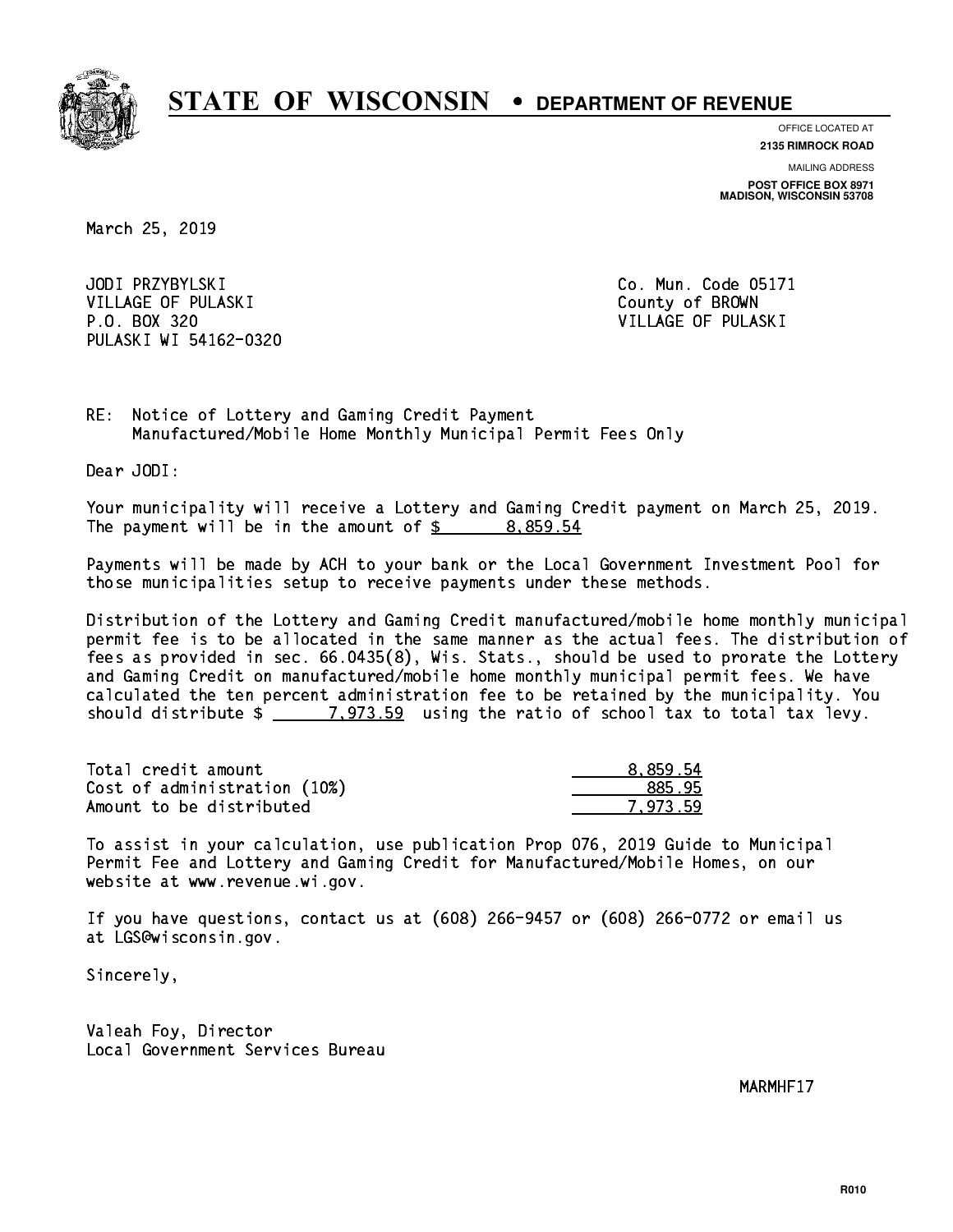

**OFFICE LOCATED AT**

**2135 RIMROCK ROAD**

**MAILING ADDRESS POST OFFICE BOX 8971 MADISON, WISCONSIN 53708**

March 25, 2019

JODI PRZYBYLSKI VILLAGE OF PULASKI COUNTY OF BROWN P.O. BOX 320 VILLAGE OF PULASKI PULASKI WI 54162-0320

Co. Mun. Code 05171

RE: Notice of Lottery and Gaming Credit Payment Manufactured/Mobile Home Monthly Municipal Permit Fees Only

Dear JODI:

 Your municipality will receive a Lottery and Gaming Credit payment on March 25, 2019. The payment will be in the amount of  $\frac{2}{3}$  8,859.54

 Payments will be made by ACH to your bank or the Local Government Investment Pool for those municipalities setup to receive payments under these methods.

 Distribution of the Lottery and Gaming Credit manufactured/mobile home monthly municipal permit fee is to be allocated in the same manner as the actual fees. The distribution of fees as provided in sec. 66.0435(8), Wis. Stats., should be used to prorate the Lottery and Gaming Credit on manufactured/mobile home monthly municipal permit fees. We have calculated the ten percent administration fee to be retained by the municipality. You should distribute  $\frac{2}{2}$   $\frac{7,973.59}{2}$  using the ratio of school tax to total tax levy.

| Total credit amount          | 8.859.54 |
|------------------------------|----------|
| Cost of administration (10%) | 885.95   |
| Amount to be distributed     | 7.973.59 |

 To assist in your calculation, use publication Prop 076, 2019 Guide to Municipal Permit Fee and Lottery and Gaming Credit for Manufactured/Mobile Homes, on our website at www.revenue.wi.gov.

 If you have questions, contact us at (608) 266-9457 or (608) 266-0772 or email us at LGS@wisconsin.gov.

Sincerely,

 Valeah Foy, Director Local Government Services Bureau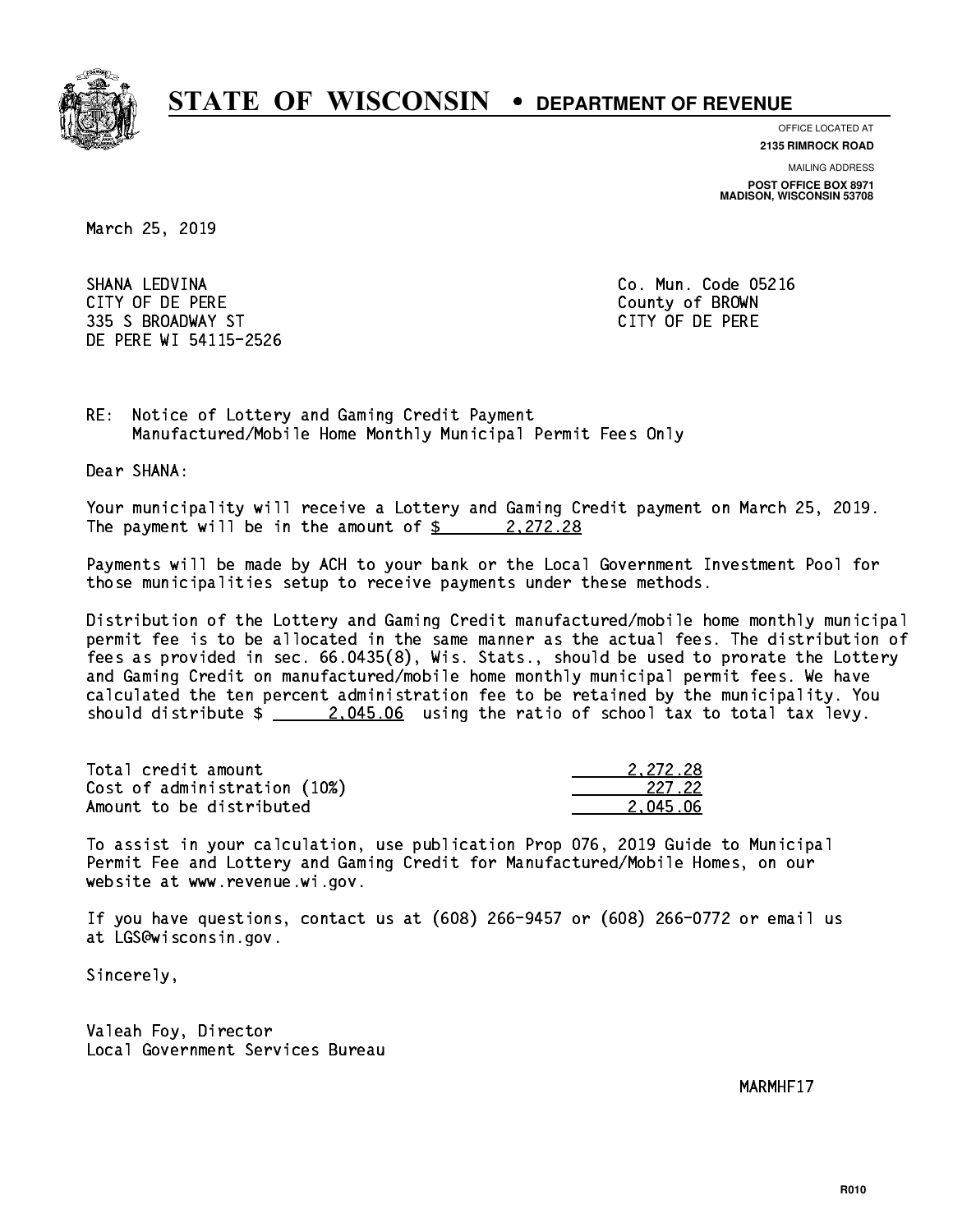

**OFFICE LOCATED AT**

**2135 RIMROCK ROAD**

**MAILING ADDRESS POST OFFICE BOX 8971 MADISON, WISCONSIN 53708**

March 25, 2019

 SHANA LEDVINA Co. Mun. Code 05216 CITY OF DE PERE County of BROWN 335 S BROADWAY ST CITY OF DE PERE DE PERE WI 54115-2526

RE: Notice of Lottery and Gaming Credit Payment Manufactured/Mobile Home Monthly Municipal Permit Fees Only

Dear SHANA:

 Your municipality will receive a Lottery and Gaming Credit payment on March 25, 2019. The payment will be in the amount of  $\frac{2}{3}$  2,272.28

 Payments will be made by ACH to your bank or the Local Government Investment Pool for those municipalities setup to receive payments under these methods.

 Distribution of the Lottery and Gaming Credit manufactured/mobile home monthly municipal permit fee is to be allocated in the same manner as the actual fees. The distribution of fees as provided in sec. 66.0435(8), Wis. Stats., should be used to prorate the Lottery and Gaming Credit on manufactured/mobile home monthly municipal permit fees. We have calculated the ten percent administration fee to be retained by the municipality. You should distribute  $\frac{2.045.06}{2.045.06}$  using the ratio of school tax to total tax levy.

| Total credit amount          | 2.272.28 |
|------------------------------|----------|
| Cost of administration (10%) | 227.22   |
| Amount to be distributed     | 2.045.06 |

 To assist in your calculation, use publication Prop 076, 2019 Guide to Municipal Permit Fee and Lottery and Gaming Credit for Manufactured/Mobile Homes, on our website at www.revenue.wi.gov.

 If you have questions, contact us at (608) 266-9457 or (608) 266-0772 or email us at LGS@wisconsin.gov.

Sincerely,

 Valeah Foy, Director Local Government Services Bureau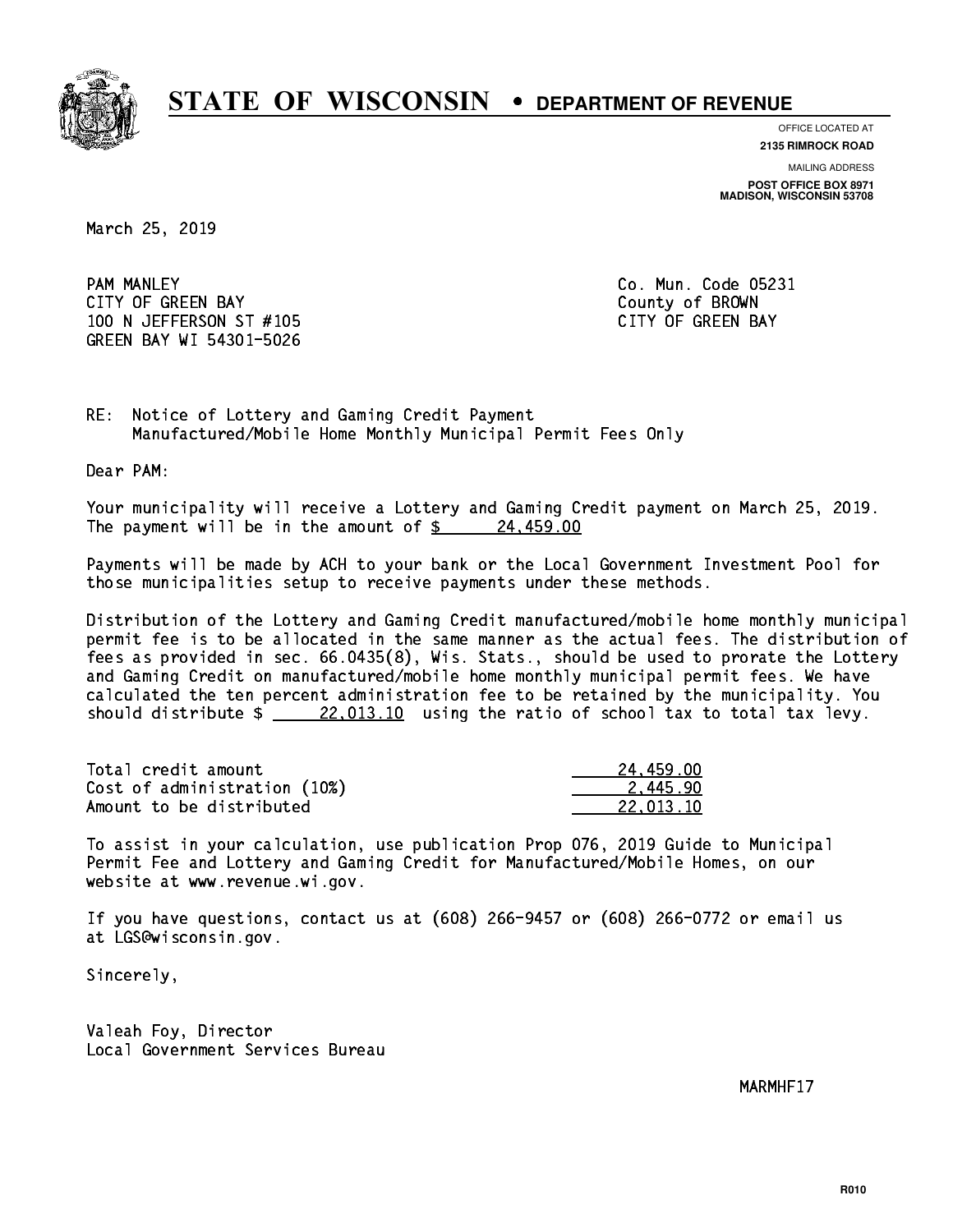

**OFFICE LOCATED AT**

**MAILING ADDRESS 2135 RIMROCK ROAD**

**POST OFFICE BOX 8971 MADISON, WISCONSIN 53708**

March 25, 2019

**PAM MANLEY** CITY OF GREEN BAY **COUNTY COULD A** COUNTY OF BROWN 100 N JEFFERSON ST #105 CONTROL CONTROLLER TO A SAME CAPACITY OF GREEN BAY GREEN BAY WI 54301-5026

Co. Mun. Code 05231

RE: Notice of Lottery and Gaming Credit Payment Manufactured/Mobile Home Monthly Municipal Permit Fees Only

Dear PAM:

 Your municipality will receive a Lottery and Gaming Credit payment on March 25, 2019. The payment will be in the amount of  $\frac{24}{100}$ 

 Payments will be made by ACH to your bank or the Local Government Investment Pool for those municipalities setup to receive payments under these methods.

 Distribution of the Lottery and Gaming Credit manufactured/mobile home monthly municipal permit fee is to be allocated in the same manner as the actual fees. The distribution of fees as provided in sec. 66.0435(8), Wis. Stats., should be used to prorate the Lottery and Gaming Credit on manufactured/mobile home monthly municipal permit fees. We have calculated the ten percent administration fee to be retained by the municipality. You should distribute  $\frac{22,013.10}{22,013.10}$  using the ratio of school tax to total tax levy.

| Total credit amount          | 24.459.00 |
|------------------------------|-----------|
| Cost of administration (10%) | 2.445.90  |
| Amount to be distributed     | 22.013.10 |

 To assist in your calculation, use publication Prop 076, 2019 Guide to Municipal Permit Fee and Lottery and Gaming Credit for Manufactured/Mobile Homes, on our website at www.revenue.wi.gov.

 If you have questions, contact us at (608) 266-9457 or (608) 266-0772 or email us at LGS@wisconsin.gov.

Sincerely,

 Valeah Foy, Director Local Government Services Bureau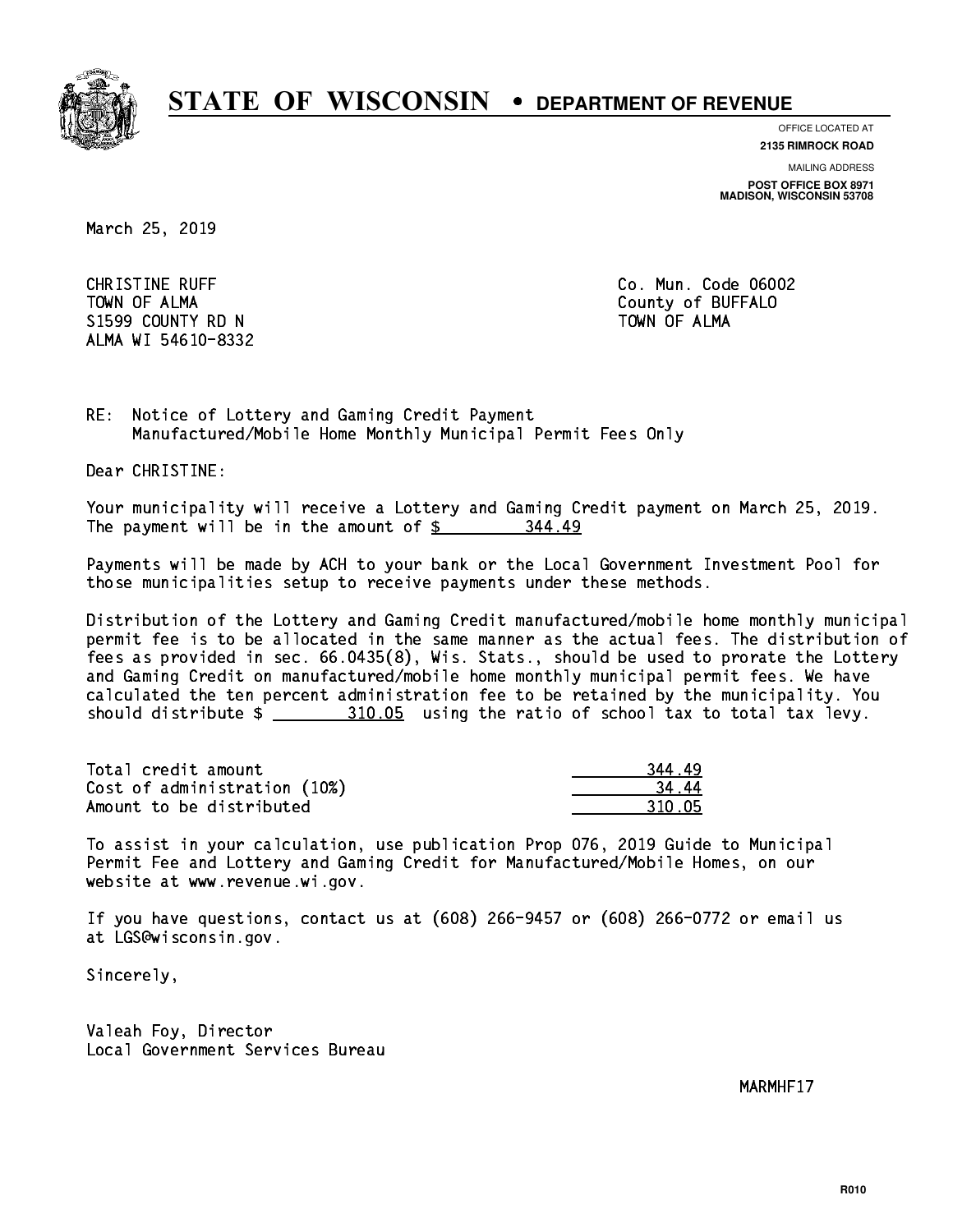

**OFFICE LOCATED AT**

**2135 RIMROCK ROAD**

**MAILING ADDRESS**

**POST OFFICE BOX 8971 MADISON, WISCONSIN 53708**

March 25, 2019

**CHRISTINE RUFF**  TOWN OF ALMA County of BUFFALO S1599 COUNTY RD N ALMA WI 54610-8332

Co. Mun. Code 06002 TOWN OF ALMA

RE: Notice of Lottery and Gaming Credit Payment Manufactured/Mobile Home Monthly Municipal Permit Fees Only

Dear CHRISTINE:

 Your municipality will receive a Lottery and Gaming Credit payment on March 25, 2019. The payment will be in the amount of  $\frac{2}{3}$ 344.49

 Payments will be made by ACH to your bank or the Local Government Investment Pool for those municipalities setup to receive payments under these methods.

 Distribution of the Lottery and Gaming Credit manufactured/mobile home monthly municipal permit fee is to be allocated in the same manner as the actual fees. The distribution of fees as provided in sec. 66.0435(8), Wis. Stats., should be used to prorate the Lottery and Gaming Credit on manufactured/mobile home monthly municipal permit fees. We have calculated the ten percent administration fee to be retained by the municipality. You should distribute \$ 310.05 using the ratio of school tax to total tax levy. \_\_\_\_\_\_\_\_\_\_\_\_\_\_

Total credit amount Cost of administration (10%) Amount to be distributed

| .q         |
|------------|
| Δ          |
| በ በ5<br>31 |

 To assist in your calculation, use publication Prop 076, 2019 Guide to Municipal Permit Fee and Lottery and Gaming Credit for Manufactured/Mobile Homes, on our website at www.revenue.wi.gov.

 If you have questions, contact us at (608) 266-9457 or (608) 266-0772 or email us at LGS@wisconsin.gov.

Sincerely,

 Valeah Foy, Director Local Government Services Bureau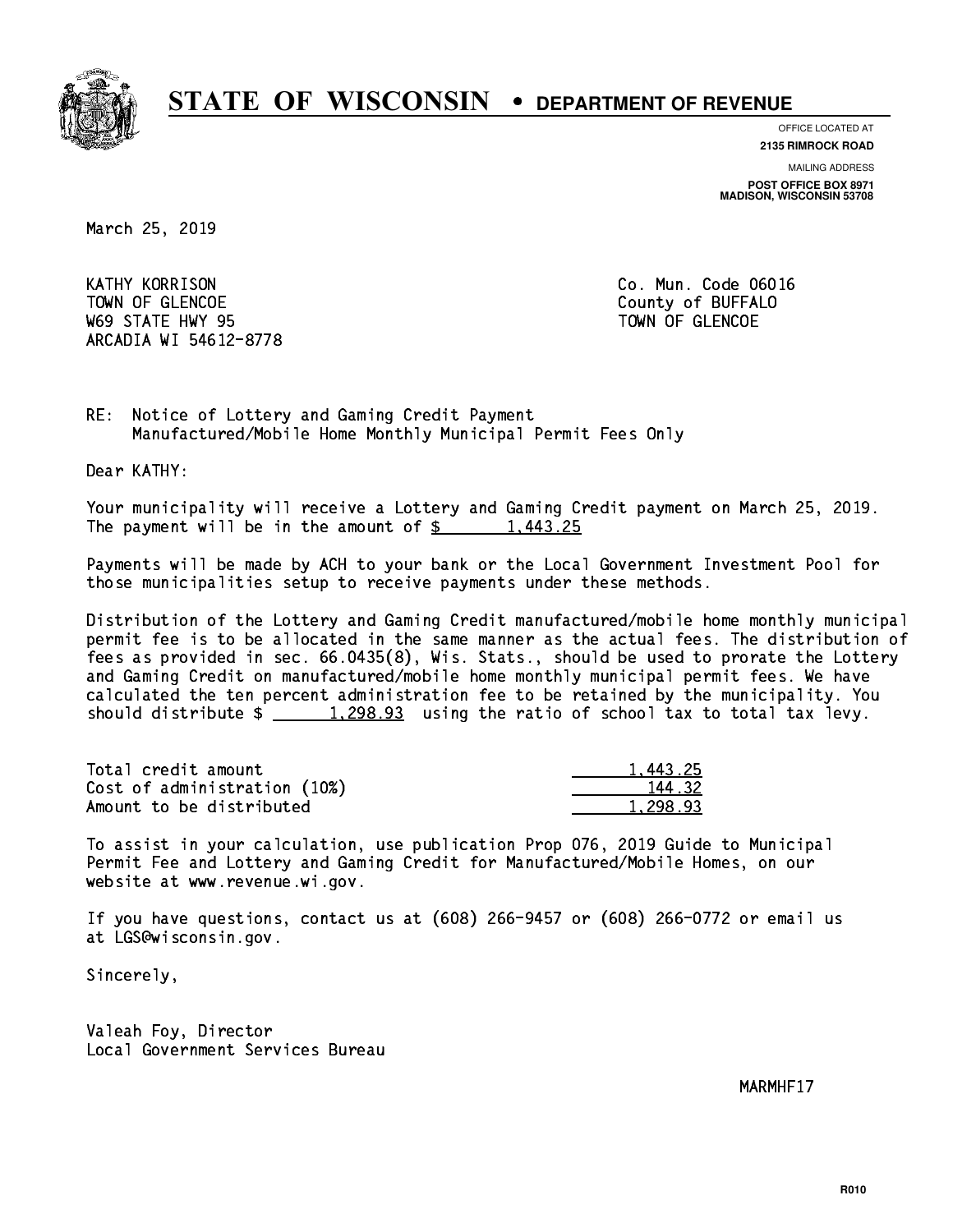

**OFFICE LOCATED AT 2135 RIMROCK ROAD**

**MAILING ADDRESS**

**POST OFFICE BOX 8971 MADISON, WISCONSIN 53708**

March 25, 2019

**KATHY KORRISON** TOWN OF GLENCOE COUNTY OF BUFFALO where the state  $\sim$  state  $\sim$  state  $\sim$  state  $\sim$  state  $\sim$  state  $\sim$ ARCADIA WI 54612-8778

Co. Mun. Code 06016

RE: Notice of Lottery and Gaming Credit Payment Manufactured/Mobile Home Monthly Municipal Permit Fees Only

Dear KATHY:

 Your municipality will receive a Lottery and Gaming Credit payment on March 25, 2019. The payment will be in the amount of  $\frac{2}{3}$  1,443.25

 Payments will be made by ACH to your bank or the Local Government Investment Pool for those municipalities setup to receive payments under these methods.

 Distribution of the Lottery and Gaming Credit manufactured/mobile home monthly municipal permit fee is to be allocated in the same manner as the actual fees. The distribution of fees as provided in sec. 66.0435(8), Wis. Stats., should be used to prorate the Lottery and Gaming Credit on manufactured/mobile home monthly municipal permit fees. We have calculated the ten percent administration fee to be retained by the municipality. You should distribute  $\frac{1,298.93}{1,298.93}$  using the ratio of school tax to total tax levy.

| Total credit amount          | 1.443.25 |
|------------------------------|----------|
| Cost of administration (10%) | 144.32   |
| Amount to be distributed     | 1.298.93 |

 To assist in your calculation, use publication Prop 076, 2019 Guide to Municipal Permit Fee and Lottery and Gaming Credit for Manufactured/Mobile Homes, on our website at www.revenue.wi.gov.

 If you have questions, contact us at (608) 266-9457 or (608) 266-0772 or email us at LGS@wisconsin.gov.

Sincerely,

 Valeah Foy, Director Local Government Services Bureau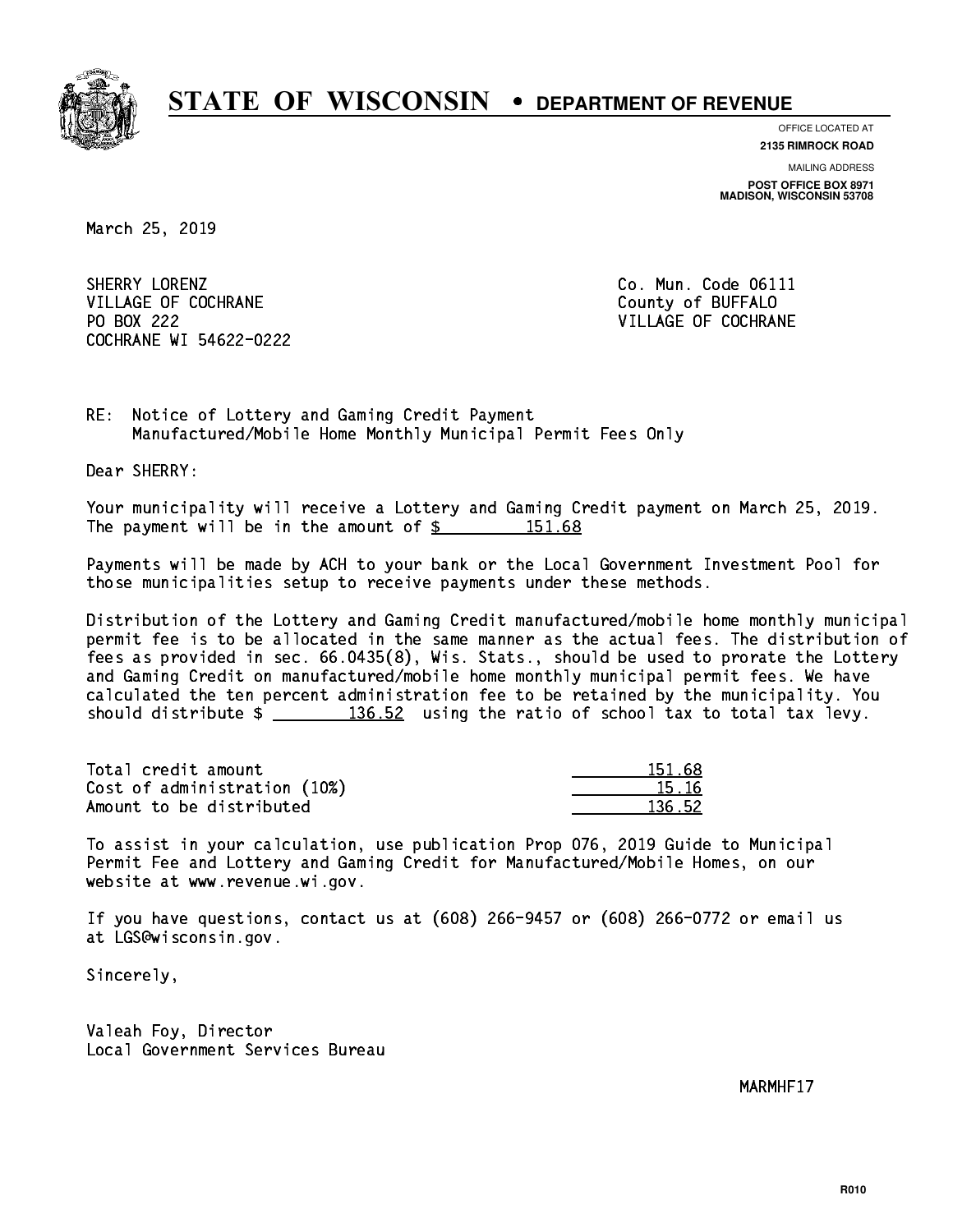

**OFFICE LOCATED AT**

**2135 RIMROCK ROAD**

**MAILING ADDRESS POST OFFICE BOX 8971 MADISON, WISCONSIN 53708**

March 25, 2019

SHERRY LORENZ VILLAGE OF COCHRANE COUNTY OF BUFFALO PO BOX 222 COCHRANE WI 54622-0222

Co. Mun. Code 06111 VILLAGE OF COCHRANE

RE: Notice of Lottery and Gaming Credit Payment Manufactured/Mobile Home Monthly Municipal Permit Fees Only

Dear SHERRY:

 Your municipality will receive a Lottery and Gaming Credit payment on March 25, 2019. The payment will be in the amount of  $\frac{2}{3}$  151.68

 Payments will be made by ACH to your bank or the Local Government Investment Pool for those municipalities setup to receive payments under these methods.

 Distribution of the Lottery and Gaming Credit manufactured/mobile home monthly municipal permit fee is to be allocated in the same manner as the actual fees. The distribution of fees as provided in sec. 66.0435(8), Wis. Stats., should be used to prorate the Lottery and Gaming Credit on manufactured/mobile home monthly municipal permit fees. We have calculated the ten percent administration fee to be retained by the municipality. You should distribute  $\frac{2}{136.52}$  using the ratio of school tax to total tax levy.

Total credit amount Cost of administration (10%) Amount to be distributed

| 151.68 |
|--------|
| 5.16   |
| 136.52 |

 To assist in your calculation, use publication Prop 076, 2019 Guide to Municipal Permit Fee and Lottery and Gaming Credit for Manufactured/Mobile Homes, on our website at www.revenue.wi.gov.

 If you have questions, contact us at (608) 266-9457 or (608) 266-0772 or email us at LGS@wisconsin.gov.

Sincerely,

 Valeah Foy, Director Local Government Services Bureau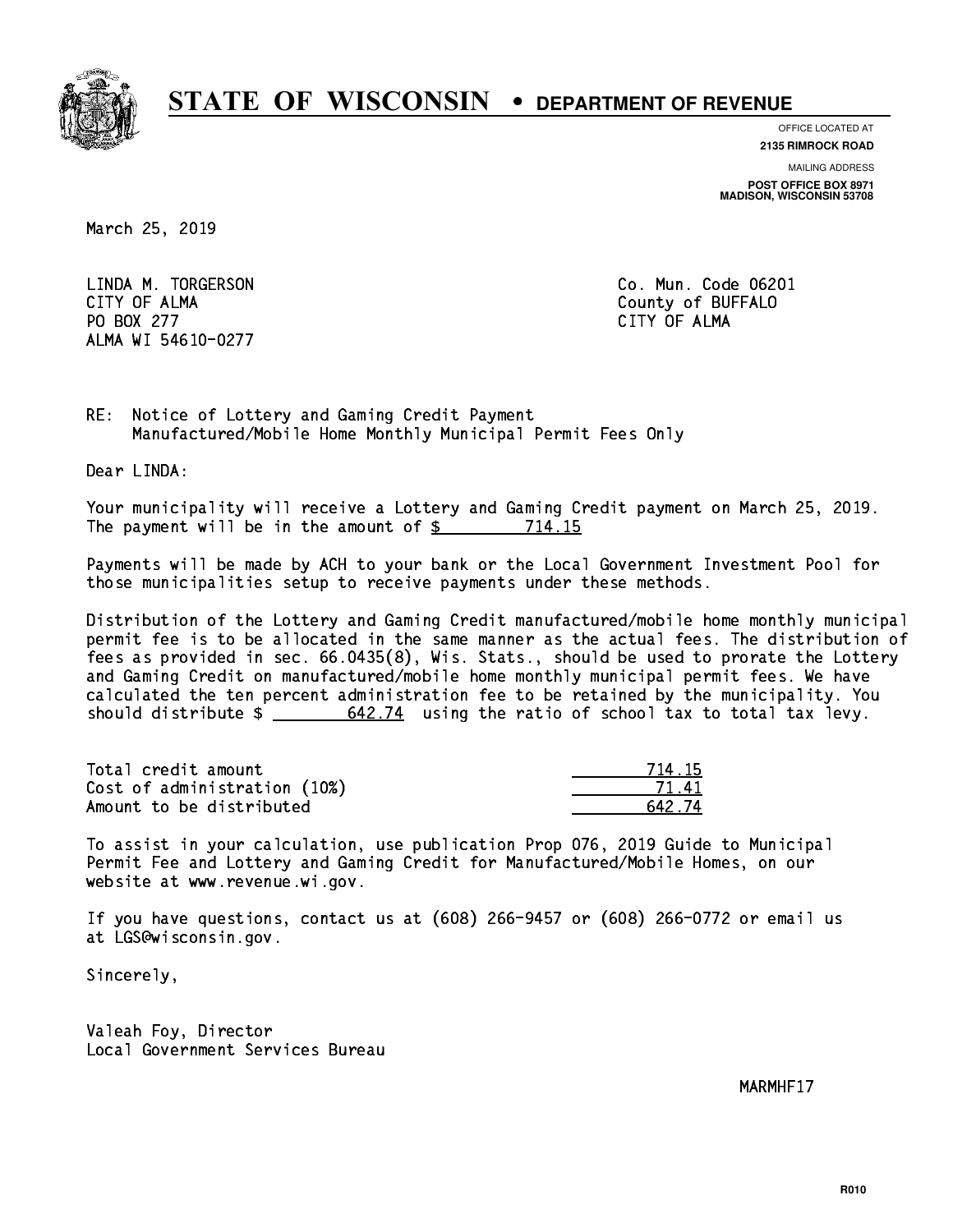

**OFFICE LOCATED AT 2135 RIMROCK ROAD**

**MAILING ADDRESS**

**POST OFFICE BOX 8971 MADISON, WISCONSIN 53708**

March 25, 2019

 LINDA M. TORGERSON Co. Mun. Code 06201 CITY OF ALMA County of BUFFALO PO BOX 277 CITY OF ALMA ALMA WI 54610-0277

CITY OF ALMA

RE: Notice of Lottery and Gaming Credit Payment Manufactured/Mobile Home Monthly Municipal Permit Fees Only

Dear LINDA:

 Your municipality will receive a Lottery and Gaming Credit payment on March 25, 2019. The payment will be in the amount of \$ 714.15 \_\_\_\_\_\_\_\_\_\_\_\_\_\_\_\_

 Payments will be made by ACH to your bank or the Local Government Investment Pool for those municipalities setup to receive payments under these methods.

 Distribution of the Lottery and Gaming Credit manufactured/mobile home monthly municipal permit fee is to be allocated in the same manner as the actual fees. The distribution of fees as provided in sec. 66.0435(8), Wis. Stats., should be used to prorate the Lottery and Gaming Credit on manufactured/mobile home monthly municipal permit fees. We have calculated the ten percent administration fee to be retained by the municipality. You should distribute  $\frac{2}{\sqrt{5}} \frac{642.74}{2}$  using the ratio of school tax to total tax levy.

Total credit amount Cost of administration (10%) Amount to be distributed

| 4.15      |
|-----------|
| 71.<br>ΊΙ |
| 42.74     |

 To assist in your calculation, use publication Prop 076, 2019 Guide to Municipal Permit Fee and Lottery and Gaming Credit for Manufactured/Mobile Homes, on our website at www.revenue.wi.gov.

 If you have questions, contact us at (608) 266-9457 or (608) 266-0772 or email us at LGS@wisconsin.gov.

Sincerely,

 Valeah Foy, Director Local Government Services Bureau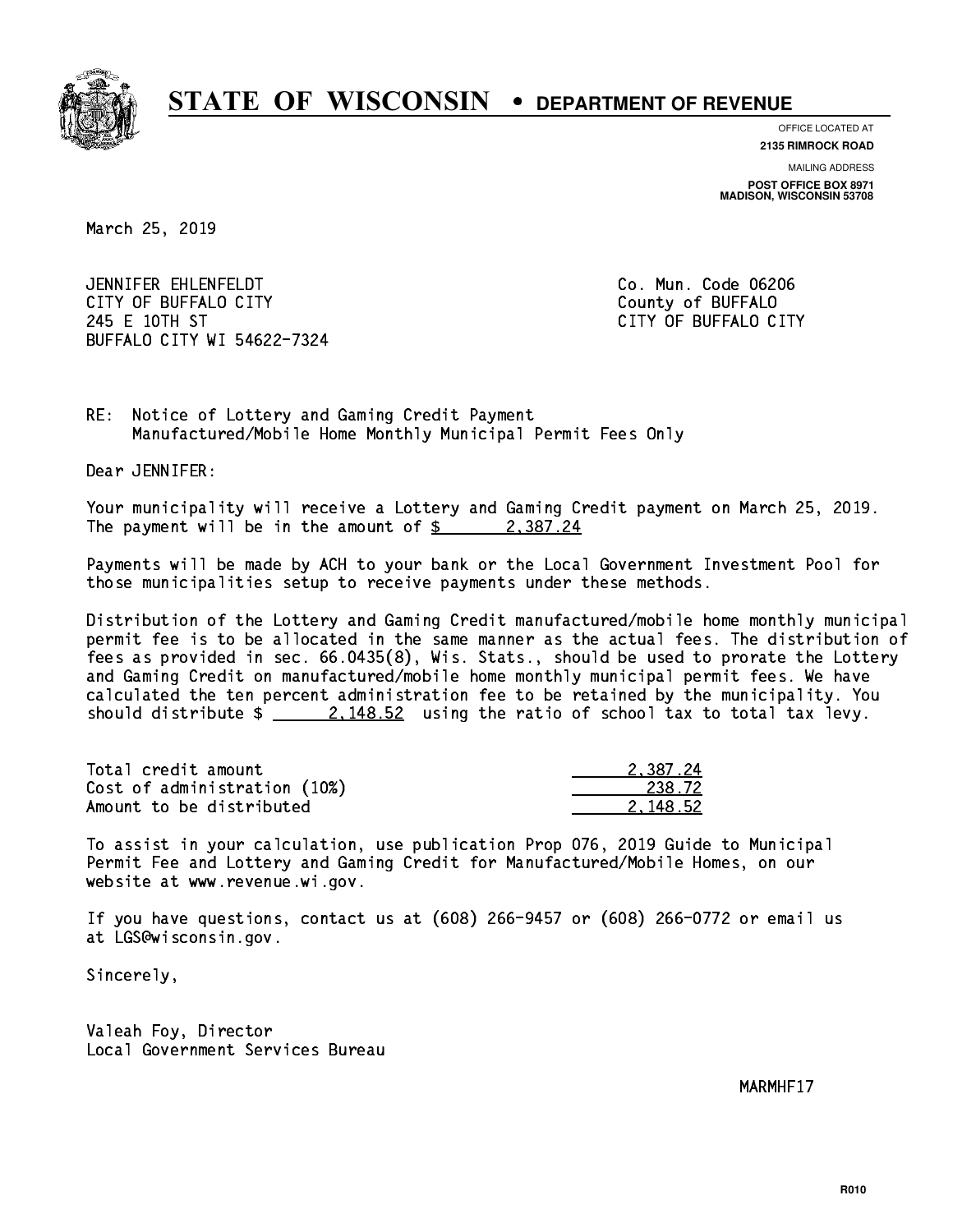

**OFFICE LOCATED AT 2135 RIMROCK ROAD**

**MAILING ADDRESS POST OFFICE BOX 8971 MADISON, WISCONSIN 53708**

March 25, 2019

 JENNIFER EHLENFELDT Co. Mun. Code 06206 CITY OF BUFFALO CITY **COULD ACCOUNT COULD COULD COULD** COUNTY COUNTY 245 E 10TH ST CITY OF BUFFALO CITY BUFFALO CITY WI 54622-7324

RE: Notice of Lottery and Gaming Credit Payment Manufactured/Mobile Home Monthly Municipal Permit Fees Only

Dear JENNIFER:

 Your municipality will receive a Lottery and Gaming Credit payment on March 25, 2019. The payment will be in the amount of  $\frac{2}{3}$  2,387.24

 Payments will be made by ACH to your bank or the Local Government Investment Pool for those municipalities setup to receive payments under these methods.

 Distribution of the Lottery and Gaming Credit manufactured/mobile home monthly municipal permit fee is to be allocated in the same manner as the actual fees. The distribution of fees as provided in sec. 66.0435(8), Wis. Stats., should be used to prorate the Lottery and Gaming Credit on manufactured/mobile home monthly municipal permit fees. We have calculated the ten percent administration fee to be retained by the municipality. You should distribute  $\frac{2.148.52}{2.148.52}$  using the ratio of school tax to total tax levy.

| Total credit amount          | 2.387.24 |
|------------------------------|----------|
| Cost of administration (10%) | 238.72   |
| Amount to be distributed     | 2.148.52 |

 To assist in your calculation, use publication Prop 076, 2019 Guide to Municipal Permit Fee and Lottery and Gaming Credit for Manufactured/Mobile Homes, on our website at www.revenue.wi.gov.

 If you have questions, contact us at (608) 266-9457 or (608) 266-0772 or email us at LGS@wisconsin.gov.

Sincerely,

 Valeah Foy, Director Local Government Services Bureau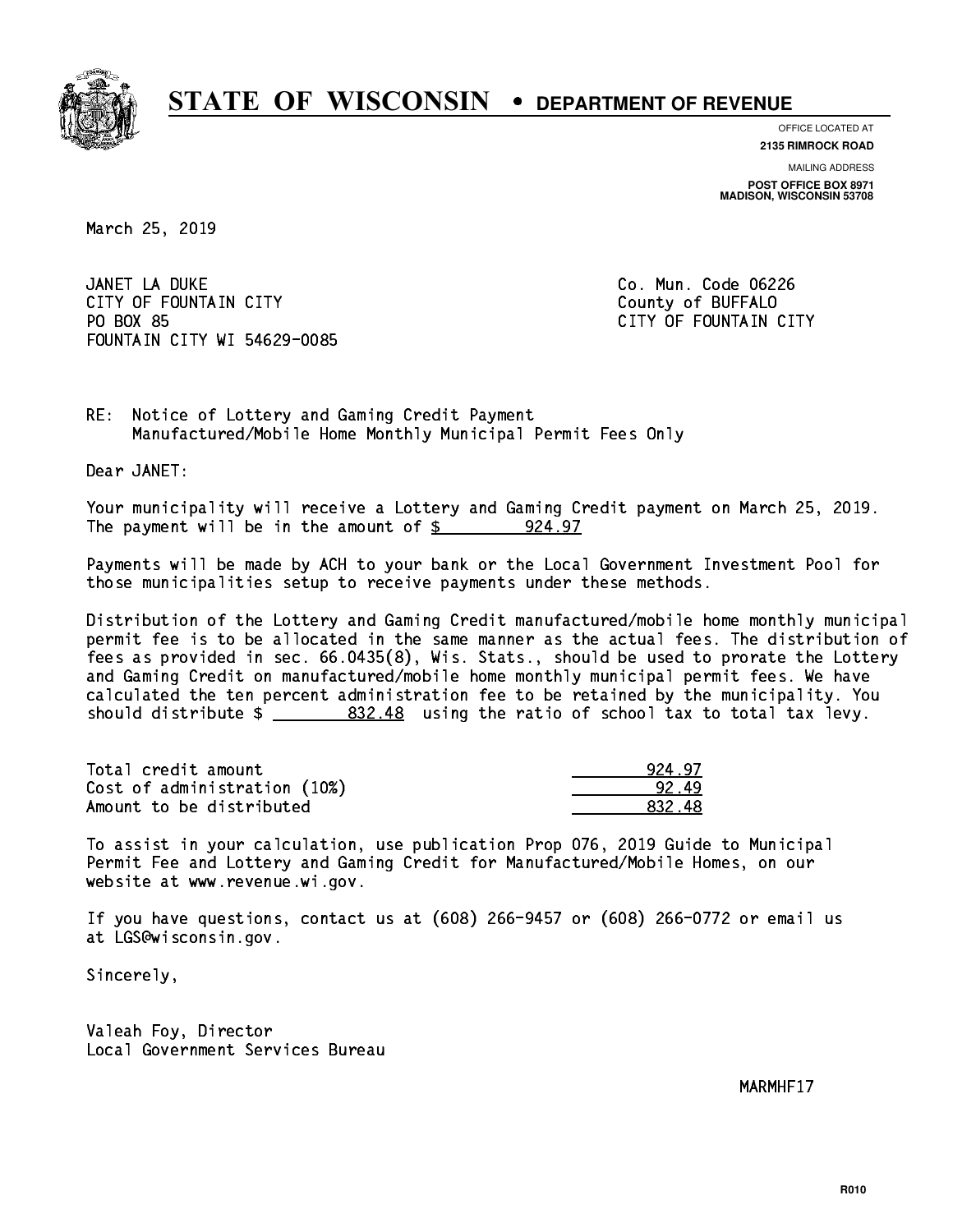

**OFFICE LOCATED AT**

**2135 RIMROCK ROAD**

**MAILING ADDRESS POST OFFICE BOX 8971 MADISON, WISCONSIN 53708**

March 25, 2019

 JANET LA DUKE Co. Mun. Code 06226 CITY OF FOUNTAIN CITY COUNTROLLED COUNTROLLED COUNTROLLED COUNTROLLED COUNTROLLED COUNTROLLED COUNTROLLED COUNTROLLED COUNTROLLED AT A COUNTROLLED COUNTROLLED AT A COUNTROLLED COUNTROLLED AT A COUNTROLLED COUNTROLLED AT A PO BOX 85 FOUNTAIN CITY WI 54629-0085

CITY OF FOUNTAIN CITY

RE: Notice of Lottery and Gaming Credit Payment Manufactured/Mobile Home Monthly Municipal Permit Fees Only

Dear JANET:

 Your municipality will receive a Lottery and Gaming Credit payment on March 25, 2019. The payment will be in the amount of  $\frac{24.97}{2}$ 

 Payments will be made by ACH to your bank or the Local Government Investment Pool for those municipalities setup to receive payments under these methods.

 Distribution of the Lottery and Gaming Credit manufactured/mobile home monthly municipal permit fee is to be allocated in the same manner as the actual fees. The distribution of fees as provided in sec. 66.0435(8), Wis. Stats., should be used to prorate the Lottery and Gaming Credit on manufactured/mobile home monthly municipal permit fees. We have calculated the ten percent administration fee to be retained by the municipality. You should distribute  $\frac{2}{2}$   $\frac{832.48}{2}$  using the ratio of school tax to total tax levy.

| Total credit amount          | 924.97 |
|------------------------------|--------|
| Cost of administration (10%) | 92.49  |
| Amount to be distributed     | 832.48 |

 To assist in your calculation, use publication Prop 076, 2019 Guide to Municipal Permit Fee and Lottery and Gaming Credit for Manufactured/Mobile Homes, on our website at www.revenue.wi.gov.

 If you have questions, contact us at (608) 266-9457 or (608) 266-0772 or email us at LGS@wisconsin.gov.

Sincerely,

 Valeah Foy, Director Local Government Services Bureau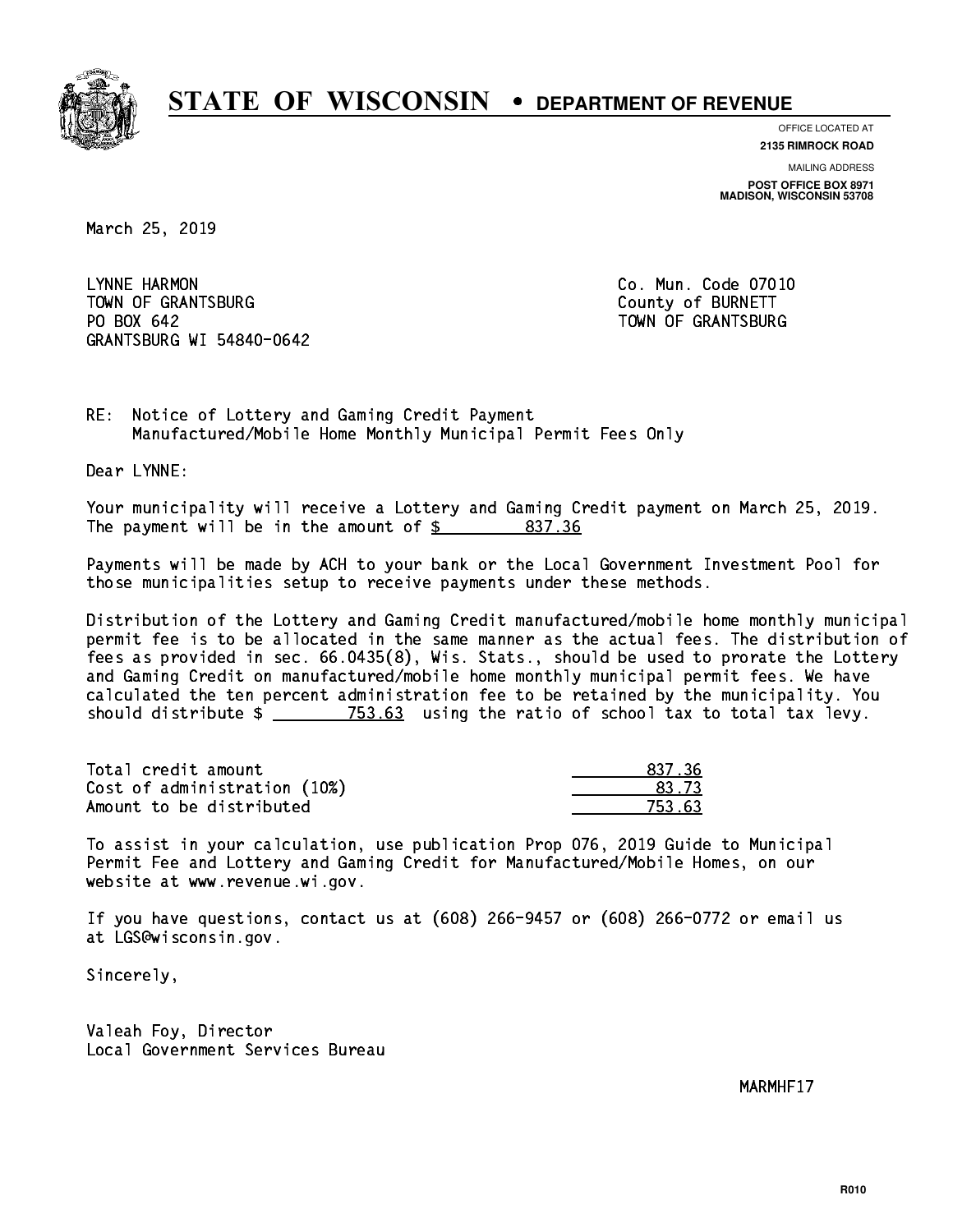

**OFFICE LOCATED AT**

**2135 RIMROCK ROAD**

**MAILING ADDRESS POST OFFICE BOX 8971 MADISON, WISCONSIN 53708**

March 25, 2019

 LYNNE HARMON Co. Mun. Code 07010 TOWN OF GRANTSBURG COUNTY OF BURNETT PO BOX 642 GRANTSBURG WI 54840-0642

TOWN OF GRANTSBURG

RE: Notice of Lottery and Gaming Credit Payment Manufactured/Mobile Home Monthly Municipal Permit Fees Only

Dear LYNNE:

 Your municipality will receive a Lottery and Gaming Credit payment on March 25, 2019. The payment will be in the amount of  $\frac{2}{3}$  837.36

 Payments will be made by ACH to your bank or the Local Government Investment Pool for those municipalities setup to receive payments under these methods.

 Distribution of the Lottery and Gaming Credit manufactured/mobile home monthly municipal permit fee is to be allocated in the same manner as the actual fees. The distribution of fees as provided in sec. 66.0435(8), Wis. Stats., should be used to prorate the Lottery and Gaming Credit on manufactured/mobile home monthly municipal permit fees. We have calculated the ten percent administration fee to be retained by the municipality. You should distribute  $\frac{2}{2}$   $\frac{753.63}{2}$  using the ratio of school tax to total tax levy.

| Total credit amount          | 837.36 |
|------------------------------|--------|
| Cost of administration (10%) | -83.73 |
| Amount to be distributed     | 753.63 |

 To assist in your calculation, use publication Prop 076, 2019 Guide to Municipal Permit Fee and Lottery and Gaming Credit for Manufactured/Mobile Homes, on our website at www.revenue.wi.gov.

 If you have questions, contact us at (608) 266-9457 or (608) 266-0772 or email us at LGS@wisconsin.gov.

Sincerely,

 Valeah Foy, Director Local Government Services Bureau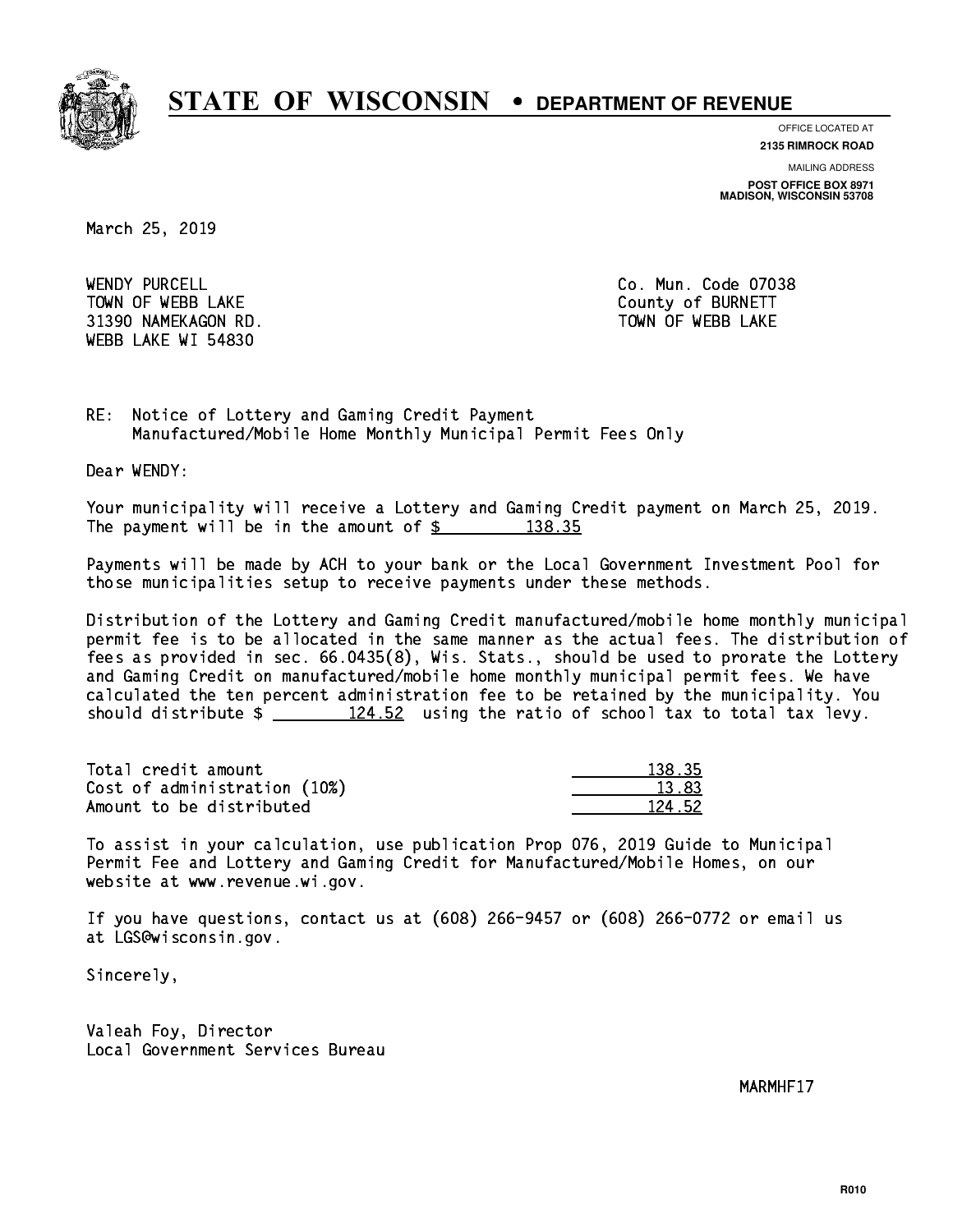

**OFFICE LOCATED AT**

**2135 RIMROCK ROAD**

**MAILING ADDRESS POST OFFICE BOX 8971 MADISON, WISCONSIN 53708**

March 25, 2019

WENDY PURCELL TOWN OF WEBB LAKE County of BURNETT 31390 NAMEKAGON RD. TOWN OF WEBB LAKE WEBB LAKE WI 54830

Co. Mun. Code 07038

RE: Notice of Lottery and Gaming Credit Payment Manufactured/Mobile Home Monthly Municipal Permit Fees Only

Dear WENDY:

 Your municipality will receive a Lottery and Gaming Credit payment on March 25, 2019. The payment will be in the amount of  $\frac{2}{3}$  138.35

 Payments will be made by ACH to your bank or the Local Government Investment Pool for those municipalities setup to receive payments under these methods.

 Distribution of the Lottery and Gaming Credit manufactured/mobile home monthly municipal permit fee is to be allocated in the same manner as the actual fees. The distribution of fees as provided in sec. 66.0435(8), Wis. Stats., should be used to prorate the Lottery and Gaming Credit on manufactured/mobile home monthly municipal permit fees. We have calculated the ten percent administration fee to be retained by the municipality. You should distribute  $\frac{24.52}{124.52}$  using the ratio of school tax to total tax levy.

Total credit amount Cost of administration (10%) Amount to be distributed

| 35         |
|------------|
| 3.83       |
| 52.<br>- 7 |

 To assist in your calculation, use publication Prop 076, 2019 Guide to Municipal Permit Fee and Lottery and Gaming Credit for Manufactured/Mobile Homes, on our website at www.revenue.wi.gov.

 If you have questions, contact us at (608) 266-9457 or (608) 266-0772 or email us at LGS@wisconsin.gov.

Sincerely,

 Valeah Foy, Director Local Government Services Bureau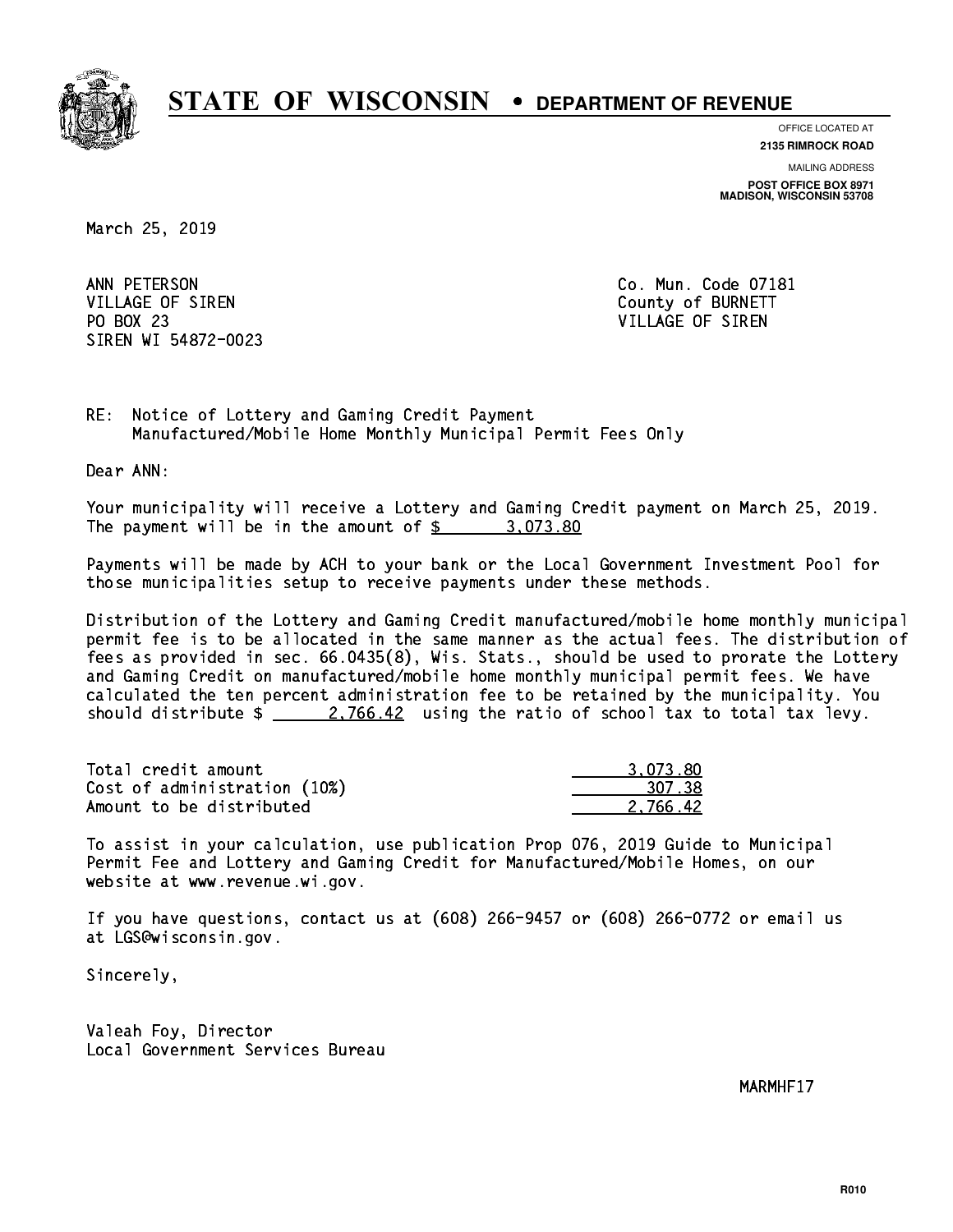

**OFFICE LOCATED AT**

**2135 RIMROCK ROAD**

**MAILING ADDRESS POST OFFICE BOX 8971 MADISON, WISCONSIN 53708**

March 25, 2019

ANN PETERSON VILLAGE OF SIREN COUNTY OF BURNETT PO BOX 23 PO BOX 23 VILLAGE OF SIREN SIREN WI 54872-0023

Co. Mun. Code 07181

RE: Notice of Lottery and Gaming Credit Payment Manufactured/Mobile Home Monthly Municipal Permit Fees Only

Dear ANN:

 Your municipality will receive a Lottery and Gaming Credit payment on March 25, 2019. The payment will be in the amount of  $\frac{2}{3}$  3,073.80

 Payments will be made by ACH to your bank or the Local Government Investment Pool for those municipalities setup to receive payments under these methods.

 Distribution of the Lottery and Gaming Credit manufactured/mobile home monthly municipal permit fee is to be allocated in the same manner as the actual fees. The distribution of fees as provided in sec. 66.0435(8), Wis. Stats., should be used to prorate the Lottery and Gaming Credit on manufactured/mobile home monthly municipal permit fees. We have calculated the ten percent administration fee to be retained by the municipality. You should distribute  $\frac{2.766.42}{2.766.42}$  using the ratio of school tax to total tax levy.

| Total credit amount          | 3.073.80 |
|------------------------------|----------|
| Cost of administration (10%) | 307.38   |
| Amount to be distributed     | 2.766.42 |

 To assist in your calculation, use publication Prop 076, 2019 Guide to Municipal Permit Fee and Lottery and Gaming Credit for Manufactured/Mobile Homes, on our website at www.revenue.wi.gov.

 If you have questions, contact us at (608) 266-9457 or (608) 266-0772 or email us at LGS@wisconsin.gov.

Sincerely,

 Valeah Foy, Director Local Government Services Bureau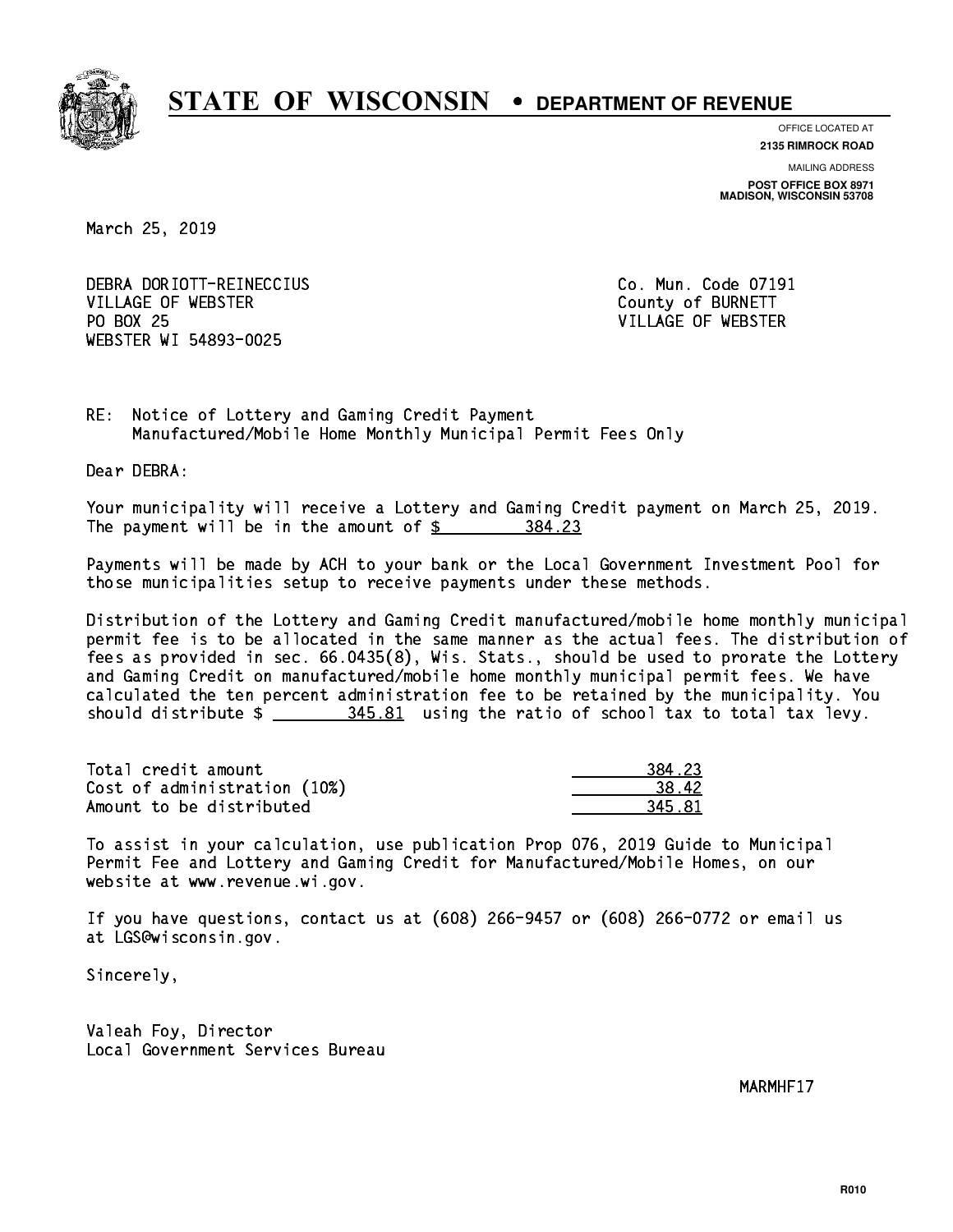

**OFFICE LOCATED AT**

**2135 RIMROCK ROAD**

**MAILING ADDRESS POST OFFICE BOX 8971 MADISON, WISCONSIN 53708**

March 25, 2019

 DEBRA DORIOTT-REINECCIUS Co. Mun. Code 07191 VILLAGE OF WEBSTER County of BURNETT PO BOX 25 WEBSTER WI 54893-0025

VILLAGE OF WEBSTER

RE: Notice of Lottery and Gaming Credit Payment Manufactured/Mobile Home Monthly Municipal Permit Fees Only

Dear DEBRA:

 Your municipality will receive a Lottery and Gaming Credit payment on March 25, 2019. The payment will be in the amount of \$ 384.23 \_\_\_\_\_\_\_\_\_\_\_\_\_\_\_\_

 Payments will be made by ACH to your bank or the Local Government Investment Pool for those municipalities setup to receive payments under these methods.

 Distribution of the Lottery and Gaming Credit manufactured/mobile home monthly municipal permit fee is to be allocated in the same manner as the actual fees. The distribution of fees as provided in sec. 66.0435(8), Wis. Stats., should be used to prorate the Lottery and Gaming Credit on manufactured/mobile home monthly municipal permit fees. We have calculated the ten percent administration fee to be retained by the municipality. You should distribute  $\frac{245.81}{1000}$  using the ratio of school tax to total tax levy.

| Total credit amount          | 384.23 |
|------------------------------|--------|
| Cost of administration (10%) | 38.42  |
| Amount to be distributed     | 345.81 |

 To assist in your calculation, use publication Prop 076, 2019 Guide to Municipal Permit Fee and Lottery and Gaming Credit for Manufactured/Mobile Homes, on our website at www.revenue.wi.gov.

 If you have questions, contact us at (608) 266-9457 or (608) 266-0772 or email us at LGS@wisconsin.gov.

Sincerely,

 Valeah Foy, Director Local Government Services Bureau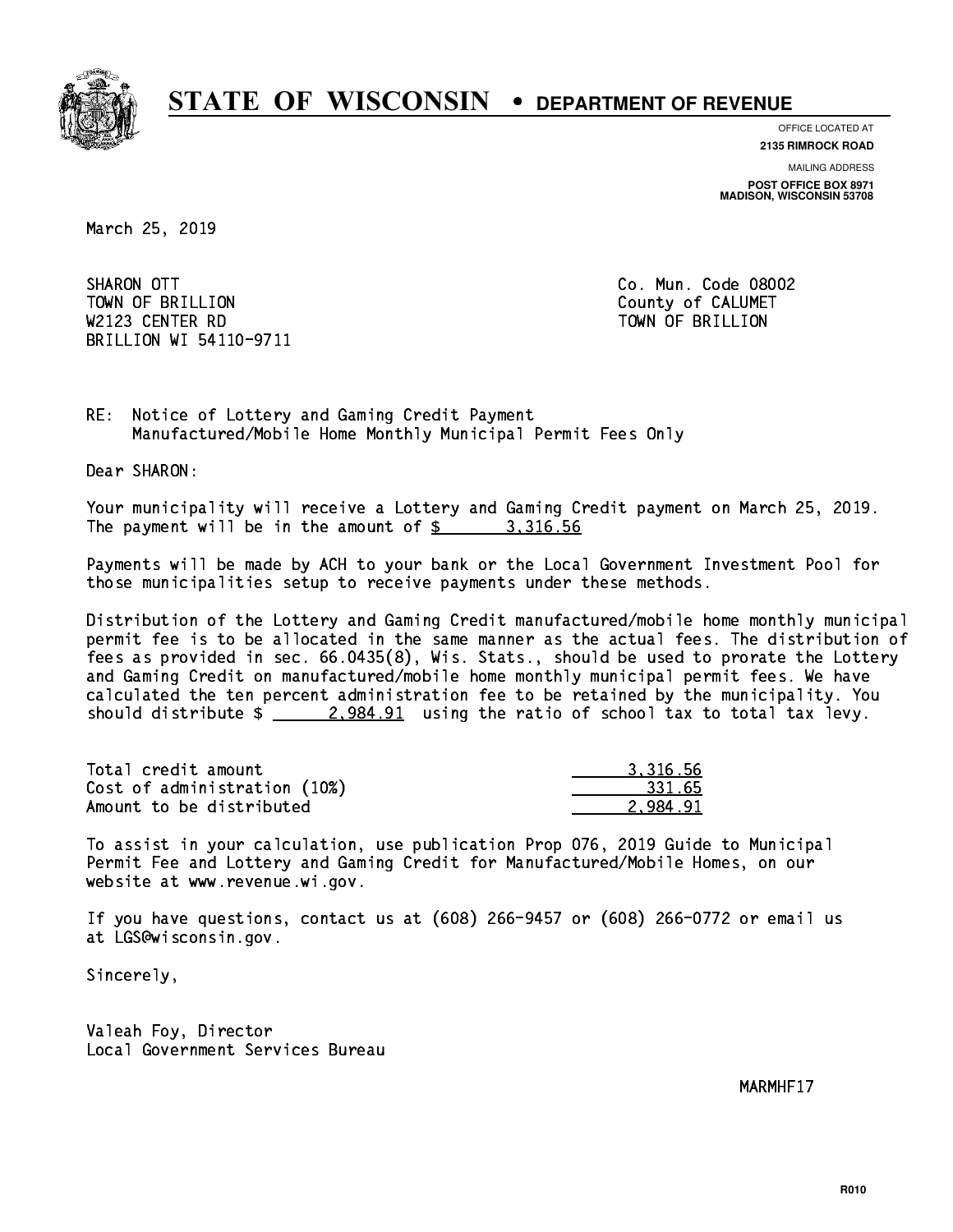

**OFFICE LOCATED AT**

**2135 RIMROCK ROAD**

**MAILING ADDRESS POST OFFICE BOX 8971 MADISON, WISCONSIN 53708**

March 25, 2019

SHARON OTT TOWN OF BRILLION County of CALUMET W2123 CENTER RD TOWN OF BRIDGE RD TOWN OF BRILLION COMMUNIST COMMUNIST COMMUNIST COMMUNIST COMMUNIST COMMUNIST COMMUNIST COMMUNIST COMMUNIST COMMUNIST COMMUNIST COMMUNIST COMMUNIST COMMUNIST COMMUNIST COMMUNIST COMMUNIST C BRILLION WI 54110-9711

Co. Mun. Code 08002

RE: Notice of Lottery and Gaming Credit Payment Manufactured/Mobile Home Monthly Municipal Permit Fees Only

Dear SHARON:

 Your municipality will receive a Lottery and Gaming Credit payment on March 25, 2019. The payment will be in the amount of  $\frac{2}{3}$  3,316.56

 Payments will be made by ACH to your bank or the Local Government Investment Pool for those municipalities setup to receive payments under these methods.

 Distribution of the Lottery and Gaming Credit manufactured/mobile home monthly municipal permit fee is to be allocated in the same manner as the actual fees. The distribution of fees as provided in sec. 66.0435(8), Wis. Stats., should be used to prorate the Lottery and Gaming Credit on manufactured/mobile home monthly municipal permit fees. We have calculated the ten percent administration fee to be retained by the municipality. You should distribute  $\frac{2.984.91}{2.984.91}$  using the ratio of school tax to total tax levy.

| Total credit amount          | 3.316.56 |
|------------------------------|----------|
| Cost of administration (10%) | 331.65   |
| Amount to be distributed     | 2.984.91 |

 To assist in your calculation, use publication Prop 076, 2019 Guide to Municipal Permit Fee and Lottery and Gaming Credit for Manufactured/Mobile Homes, on our website at www.revenue.wi.gov.

 If you have questions, contact us at (608) 266-9457 or (608) 266-0772 or email us at LGS@wisconsin.gov.

Sincerely,

 Valeah Foy, Director Local Government Services Bureau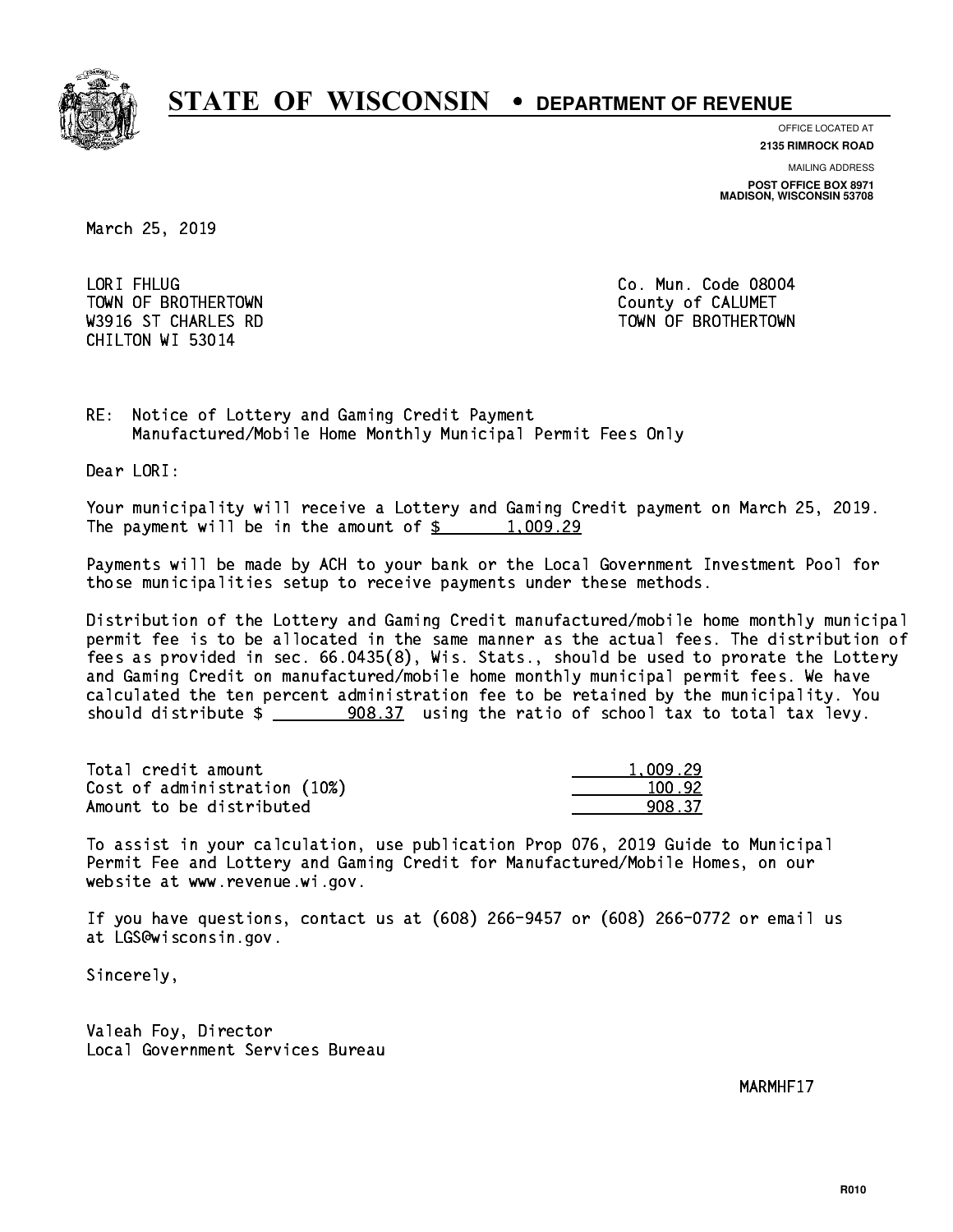

**OFFICE LOCATED AT**

**2135 RIMROCK ROAD**

**MAILING ADDRESS POST OFFICE BOX 8971 MADISON, WISCONSIN 53708**

March 25, 2019

LORI FHLUG TOWN OF BROTHERTOWN COUNTY COUNTY OF CALUMET CHILTON WI 53014

Co. Mun. Code 08004 W3916 ST CHARLES RD TOWN OF BROTHERTOWN

RE: Notice of Lottery and Gaming Credit Payment Manufactured/Mobile Home Monthly Municipal Permit Fees Only

Dear LORI:

 Your municipality will receive a Lottery and Gaming Credit payment on March 25, 2019. The payment will be in the amount of  $\frac{2}{3}$  1,009.29

 Payments will be made by ACH to your bank or the Local Government Investment Pool for those municipalities setup to receive payments under these methods.

 Distribution of the Lottery and Gaming Credit manufactured/mobile home monthly municipal permit fee is to be allocated in the same manner as the actual fees. The distribution of fees as provided in sec. 66.0435(8), Wis. Stats., should be used to prorate the Lottery and Gaming Credit on manufactured/mobile home monthly municipal permit fees. We have calculated the ten percent administration fee to be retained by the municipality. You should distribute  $\frac{208.37}{208.37}$  using the ratio of school tax to total tax levy.

| Total credit amount          | 1.009.29 |
|------------------------------|----------|
| Cost of administration (10%) | 100.92   |
| Amount to be distributed     | 908.37   |

 To assist in your calculation, use publication Prop 076, 2019 Guide to Municipal Permit Fee and Lottery and Gaming Credit for Manufactured/Mobile Homes, on our website at www.revenue.wi.gov.

 If you have questions, contact us at (608) 266-9457 or (608) 266-0772 or email us at LGS@wisconsin.gov.

Sincerely,

 Valeah Foy, Director Local Government Services Bureau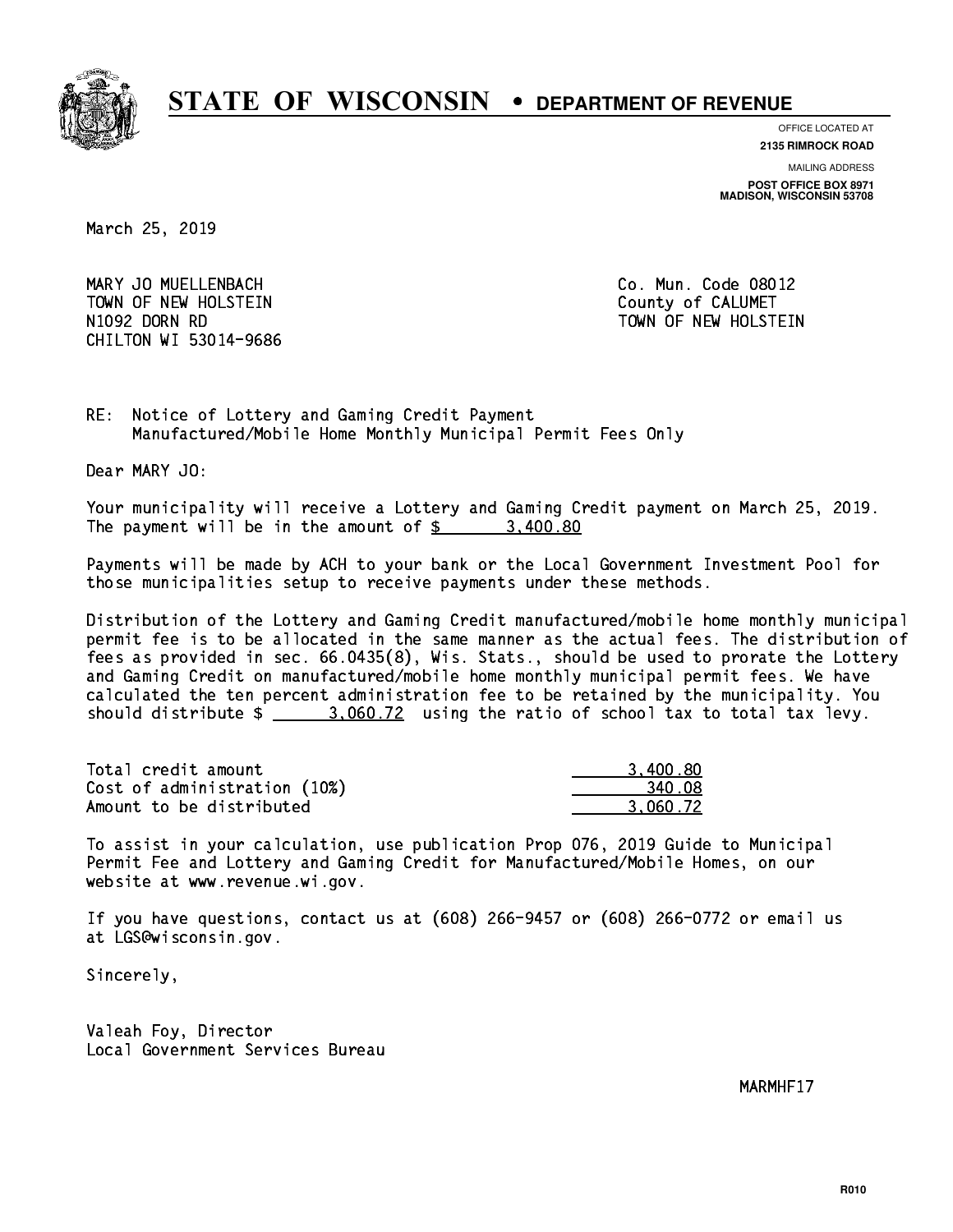

**OFFICE LOCATED AT**

**2135 RIMROCK ROAD**

**MAILING ADDRESS**

**POST OFFICE BOX 8971 MADISON, WISCONSIN 53708**

March 25, 2019

 MARY JO MUELLENBACH Co. Mun. Code 08012 TOWN OF NEW HOLSTEIN County of CALUMET N1092 DORN RD TOWN OF NEW HOLSTEIN CHILTON WI 53014-9686

RE: Notice of Lottery and Gaming Credit Payment Manufactured/Mobile Home Monthly Municipal Permit Fees Only

Dear MARY JO:

 Your municipality will receive a Lottery and Gaming Credit payment on March 25, 2019. The payment will be in the amount of  $\frac{2}{3}$  3,400.80

 Payments will be made by ACH to your bank or the Local Government Investment Pool for those municipalities setup to receive payments under these methods.

 Distribution of the Lottery and Gaming Credit manufactured/mobile home monthly municipal permit fee is to be allocated in the same manner as the actual fees. The distribution of fees as provided in sec. 66.0435(8), Wis. Stats., should be used to prorate the Lottery and Gaming Credit on manufactured/mobile home monthly municipal permit fees. We have calculated the ten percent administration fee to be retained by the municipality. You should distribute  $\frac{2}{2}$  3,060.72 using the ratio of school tax to total tax levy.

| Total credit amount          | 3,400.80 |
|------------------------------|----------|
| Cost of administration (10%) | 340.08   |
| Amount to be distributed     | 3.060.72 |

 To assist in your calculation, use publication Prop 076, 2019 Guide to Municipal Permit Fee and Lottery and Gaming Credit for Manufactured/Mobile Homes, on our website at www.revenue.wi.gov.

 If you have questions, contact us at (608) 266-9457 or (608) 266-0772 or email us at LGS@wisconsin.gov.

Sincerely,

 Valeah Foy, Director Local Government Services Bureau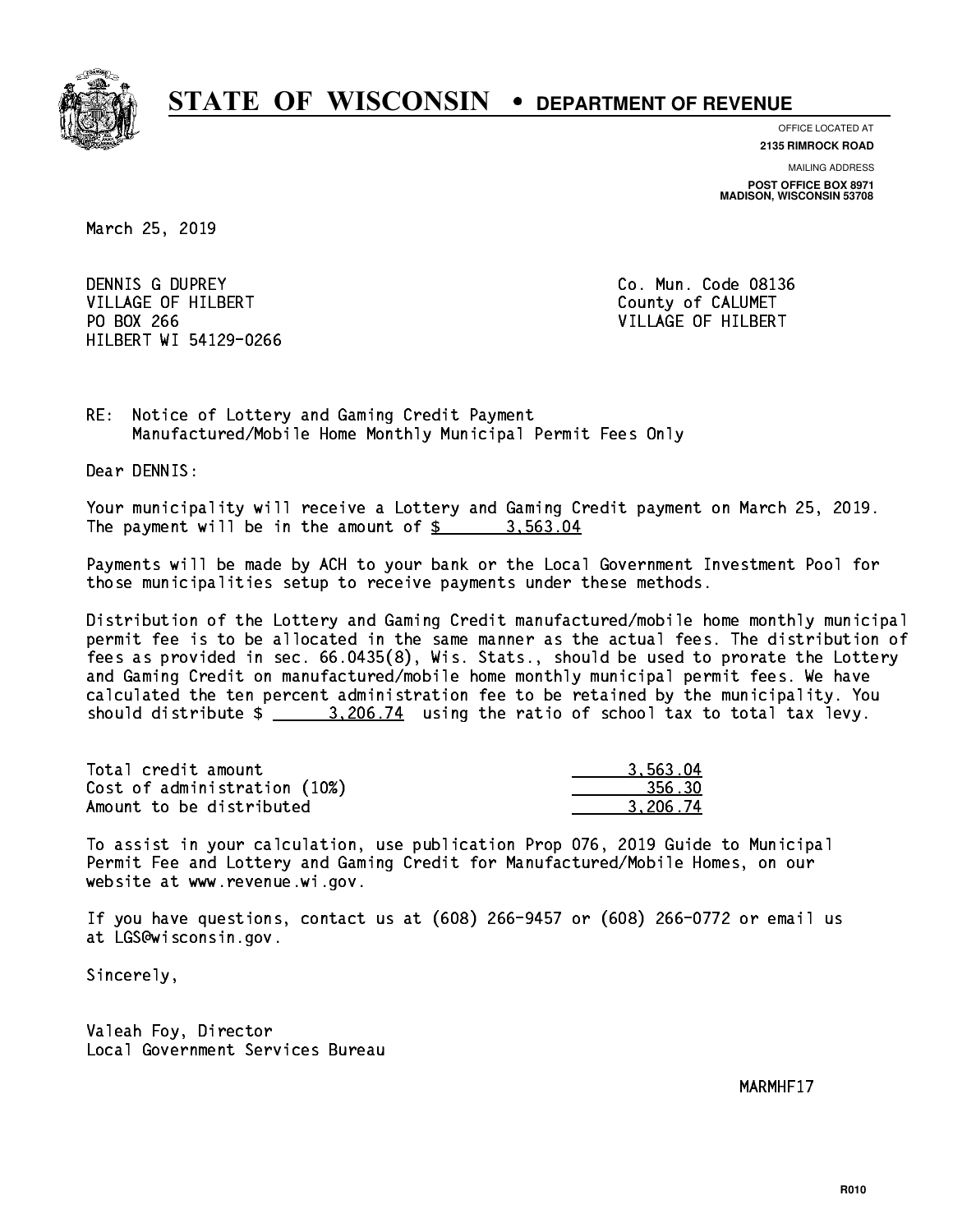

**OFFICE LOCATED AT**

**2135 RIMROCK ROAD**

**MAILING ADDRESS POST OFFICE BOX 8971 MADISON, WISCONSIN 53708**

March 25, 2019

 DENNIS G DUPREY Co. Mun. Code 08136 VILLAGE OF HILBERT COUNTY OF CALUMET PO BOX 266 VILLAGE OF HILBERT HILBERT WI 54129-0266

RE: Notice of Lottery and Gaming Credit Payment Manufactured/Mobile Home Monthly Municipal Permit Fees Only

Dear DENNIS:

 Your municipality will receive a Lottery and Gaming Credit payment on March 25, 2019. The payment will be in the amount of  $\frac{2}{3}$  3,563.04

 Payments will be made by ACH to your bank or the Local Government Investment Pool for those municipalities setup to receive payments under these methods.

 Distribution of the Lottery and Gaming Credit manufactured/mobile home monthly municipal permit fee is to be allocated in the same manner as the actual fees. The distribution of fees as provided in sec. 66.0435(8), Wis. Stats., should be used to prorate the Lottery and Gaming Credit on manufactured/mobile home monthly municipal permit fees. We have calculated the ten percent administration fee to be retained by the municipality. You should distribute  $\frac{2.206.74}{2.206.74}$  using the ratio of school tax to total tax levy.

| Total credit amount          | 3.563.04 |
|------------------------------|----------|
| Cost of administration (10%) | 356.30   |
| Amount to be distributed     | 3.206.74 |

 To assist in your calculation, use publication Prop 076, 2019 Guide to Municipal Permit Fee and Lottery and Gaming Credit for Manufactured/Mobile Homes, on our website at www.revenue.wi.gov.

 If you have questions, contact us at (608) 266-9457 or (608) 266-0772 or email us at LGS@wisconsin.gov.

Sincerely,

 Valeah Foy, Director Local Government Services Bureau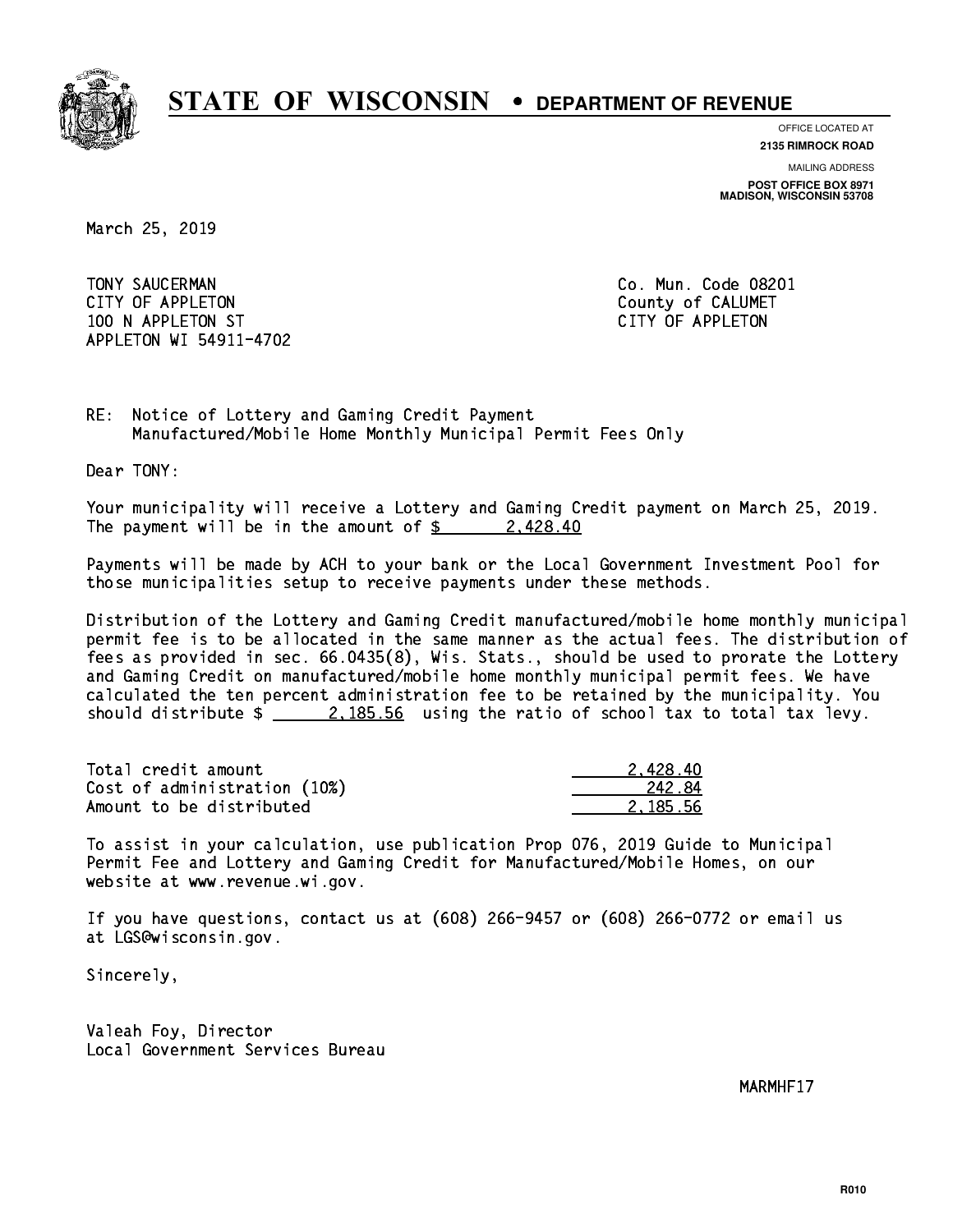

**OFFICE LOCATED AT**

**2135 RIMROCK ROAD**

**MAILING ADDRESS POST OFFICE BOX 8971 MADISON, WISCONSIN 53708**

March 25, 2019

 TONY SAUCERMAN Co. Mun. Code 08201 CITY OF APPLETON COUNTY COUNTY OF CALUMET 100 N APPLETON ST CITY OF APPLETON APPLETON WI 54911-4702

RE: Notice of Lottery and Gaming Credit Payment Manufactured/Mobile Home Monthly Municipal Permit Fees Only

Dear TONY:

 Your municipality will receive a Lottery and Gaming Credit payment on March 25, 2019. The payment will be in the amount of  $\frac{2}{3}$  2,428.40

 Payments will be made by ACH to your bank or the Local Government Investment Pool for those municipalities setup to receive payments under these methods.

 Distribution of the Lottery and Gaming Credit manufactured/mobile home monthly municipal permit fee is to be allocated in the same manner as the actual fees. The distribution of fees as provided in sec. 66.0435(8), Wis. Stats., should be used to prorate the Lottery and Gaming Credit on manufactured/mobile home monthly municipal permit fees. We have calculated the ten percent administration fee to be retained by the municipality. You should distribute  $\frac{2.185.56}{2.185.56}$  using the ratio of school tax to total tax levy.

| Total credit amount          | 2.428.40 |
|------------------------------|----------|
| Cost of administration (10%) | 242.84   |
| Amount to be distributed     | 2.185.56 |

 To assist in your calculation, use publication Prop 076, 2019 Guide to Municipal Permit Fee and Lottery and Gaming Credit for Manufactured/Mobile Homes, on our website at www.revenue.wi.gov.

 If you have questions, contact us at (608) 266-9457 or (608) 266-0772 or email us at LGS@wisconsin.gov.

Sincerely,

 Valeah Foy, Director Local Government Services Bureau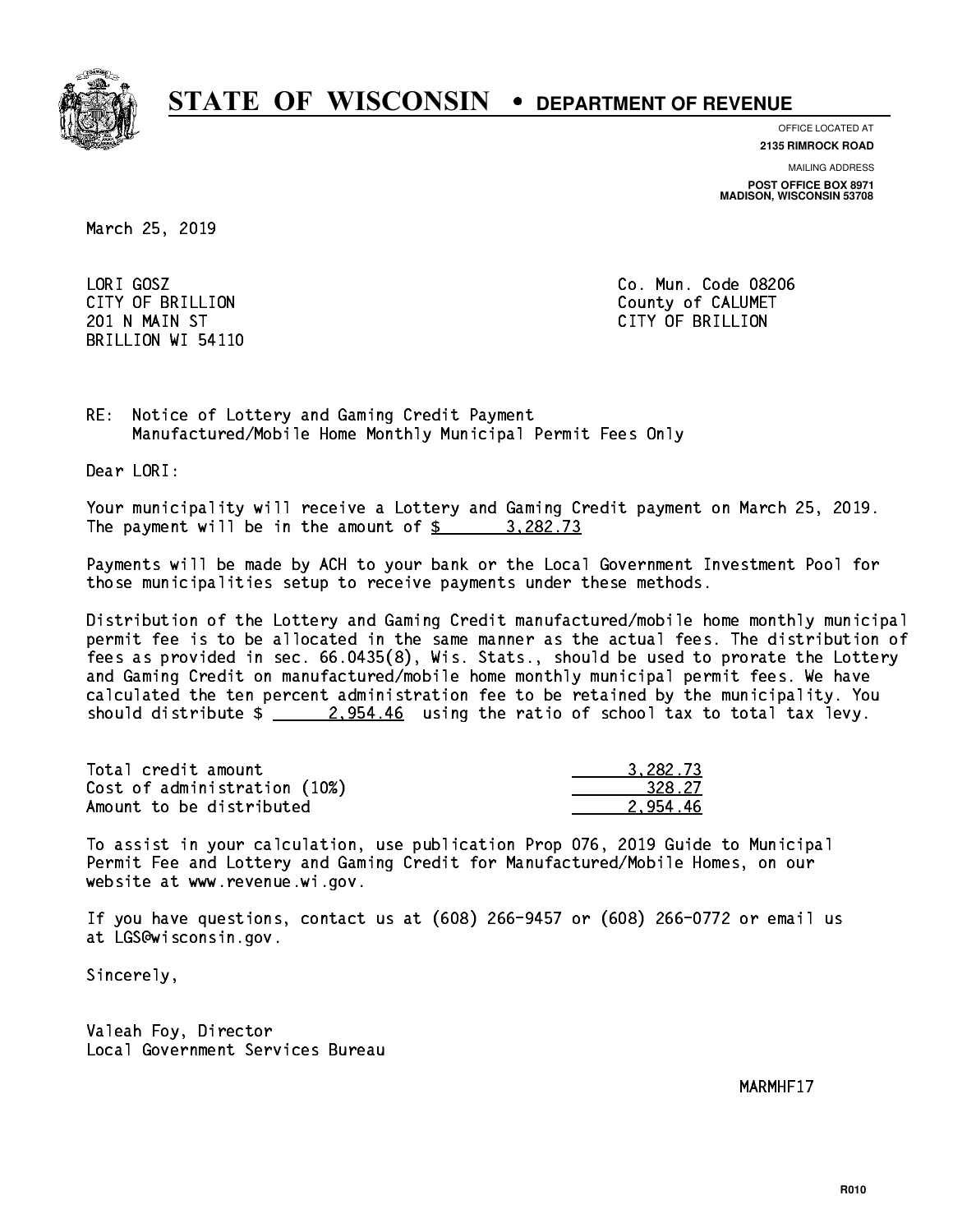

**OFFICE LOCATED AT**

**2135 RIMROCK ROAD**

**MAILING ADDRESS**

**POST OFFICE BOX 8971 MADISON, WISCONSIN 53708**

March 25, 2019

LORI GOSZ BRILLION WI 54110

Co. Mun. Code 08206 CITY OF BRILLION County of CALUMET 201 N MAIN ST CITY OF BRIDGE OF BRIDGE OF BRIDGE OF BRIDGE OF BRIDGE OF BRIDGE OF BRIDGE OF BRIDGE OF BRIDGE O

RE: Notice of Lottery and Gaming Credit Payment Manufactured/Mobile Home Monthly Municipal Permit Fees Only

Dear LORI:

 Your municipality will receive a Lottery and Gaming Credit payment on March 25, 2019. The payment will be in the amount of \$ 3,282.73 \_\_\_\_\_\_\_\_\_\_\_\_\_\_\_\_

 Payments will be made by ACH to your bank or the Local Government Investment Pool for those municipalities setup to receive payments under these methods.

 Distribution of the Lottery and Gaming Credit manufactured/mobile home monthly municipal permit fee is to be allocated in the same manner as the actual fees. The distribution of fees as provided in sec. 66.0435(8), Wis. Stats., should be used to prorate the Lottery and Gaming Credit on manufactured/mobile home monthly municipal permit fees. We have calculated the ten percent administration fee to be retained by the municipality. You should distribute  $\frac{2.954.46}{2.954.46}$  using the ratio of school tax to total tax levy.

| Total credit amount          | 3.282.73 |
|------------------------------|----------|
| Cost of administration (10%) | 328.27   |
| Amount to be distributed     | 2.954.46 |

 To assist in your calculation, use publication Prop 076, 2019 Guide to Municipal Permit Fee and Lottery and Gaming Credit for Manufactured/Mobile Homes, on our website at www.revenue.wi.gov.

 If you have questions, contact us at (608) 266-9457 or (608) 266-0772 or email us at LGS@wisconsin.gov.

Sincerely,

 Valeah Foy, Director Local Government Services Bureau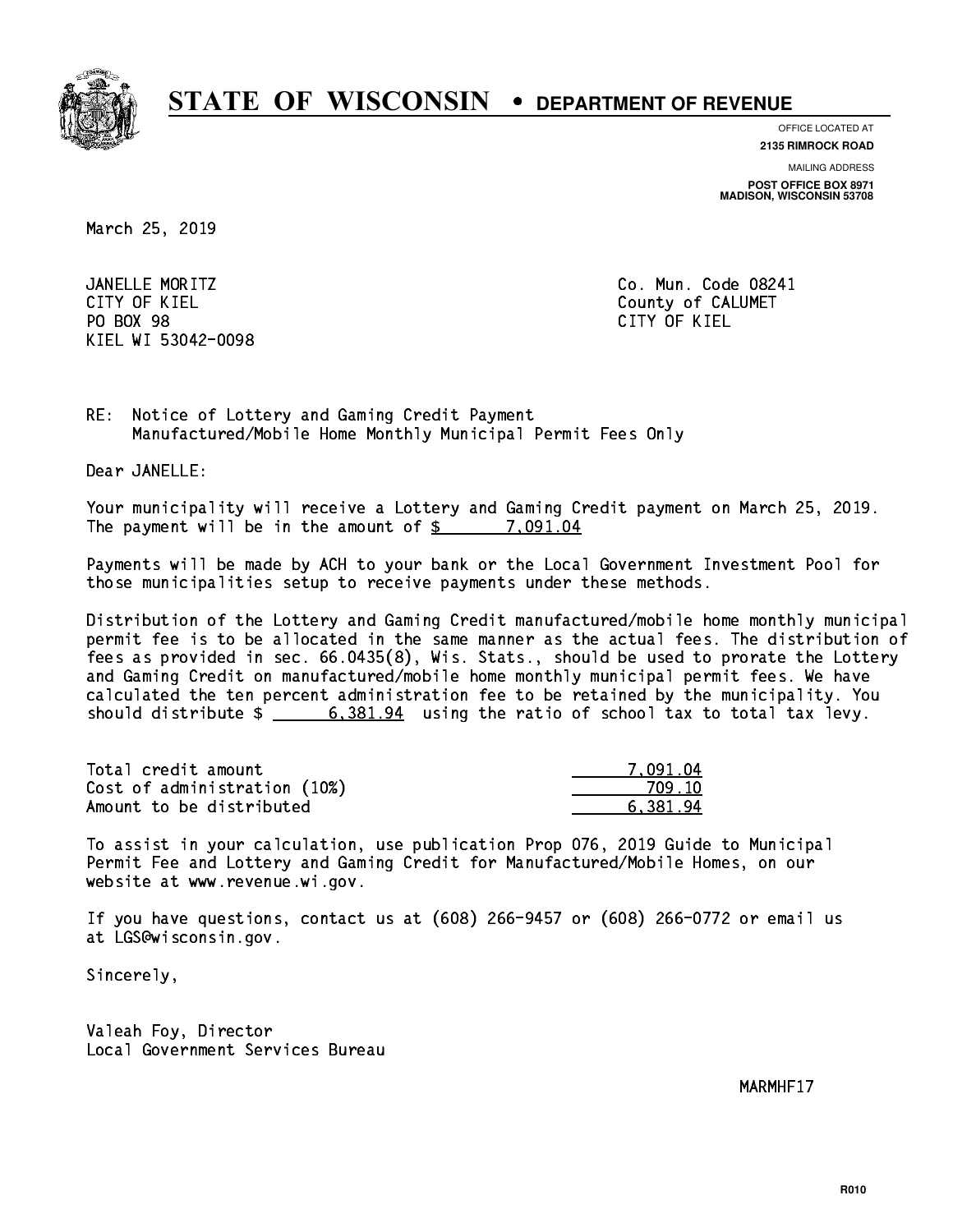

**OFFICE LOCATED AT**

**2135 RIMROCK ROAD**

**MAILING ADDRESS**

**POST OFFICE BOX 8971 MADISON, WISCONSIN 53708**

March 25, 2019

 JANELLE MORITZ Co. Mun. Code 08241 CITY OF KIEL **COUNTY COUNTY OF CALUMET** PO BOX 98 PO BOX 98 CITY OF KIEL KIEL WI 53042-0098

CITY OF KIEL

RE: Notice of Lottery and Gaming Credit Payment Manufactured/Mobile Home Monthly Municipal Permit Fees Only

Dear JANELLE:

 Your municipality will receive a Lottery and Gaming Credit payment on March 25, 2019. The payment will be in the amount of  $\frac{2}{3}$  7,091.04

 Payments will be made by ACH to your bank or the Local Government Investment Pool for those municipalities setup to receive payments under these methods.

 Distribution of the Lottery and Gaming Credit manufactured/mobile home monthly municipal permit fee is to be allocated in the same manner as the actual fees. The distribution of fees as provided in sec. 66.0435(8), Wis. Stats., should be used to prorate the Lottery and Gaming Credit on manufactured/mobile home monthly municipal permit fees. We have calculated the ten percent administration fee to be retained by the municipality. You should distribute  $\frac{2}{1}$   $\frac{6,381.94}{2}$  using the ratio of school tax to total tax levy.

| Total credit amount          | 7.091.04 |
|------------------------------|----------|
| Cost of administration (10%) | 709 10   |
| Amount to be distributed     | 6.381.94 |

 To assist in your calculation, use publication Prop 076, 2019 Guide to Municipal Permit Fee and Lottery and Gaming Credit for Manufactured/Mobile Homes, on our website at www.revenue.wi.gov.

 If you have questions, contact us at (608) 266-9457 or (608) 266-0772 or email us at LGS@wisconsin.gov.

Sincerely,

 Valeah Foy, Director Local Government Services Bureau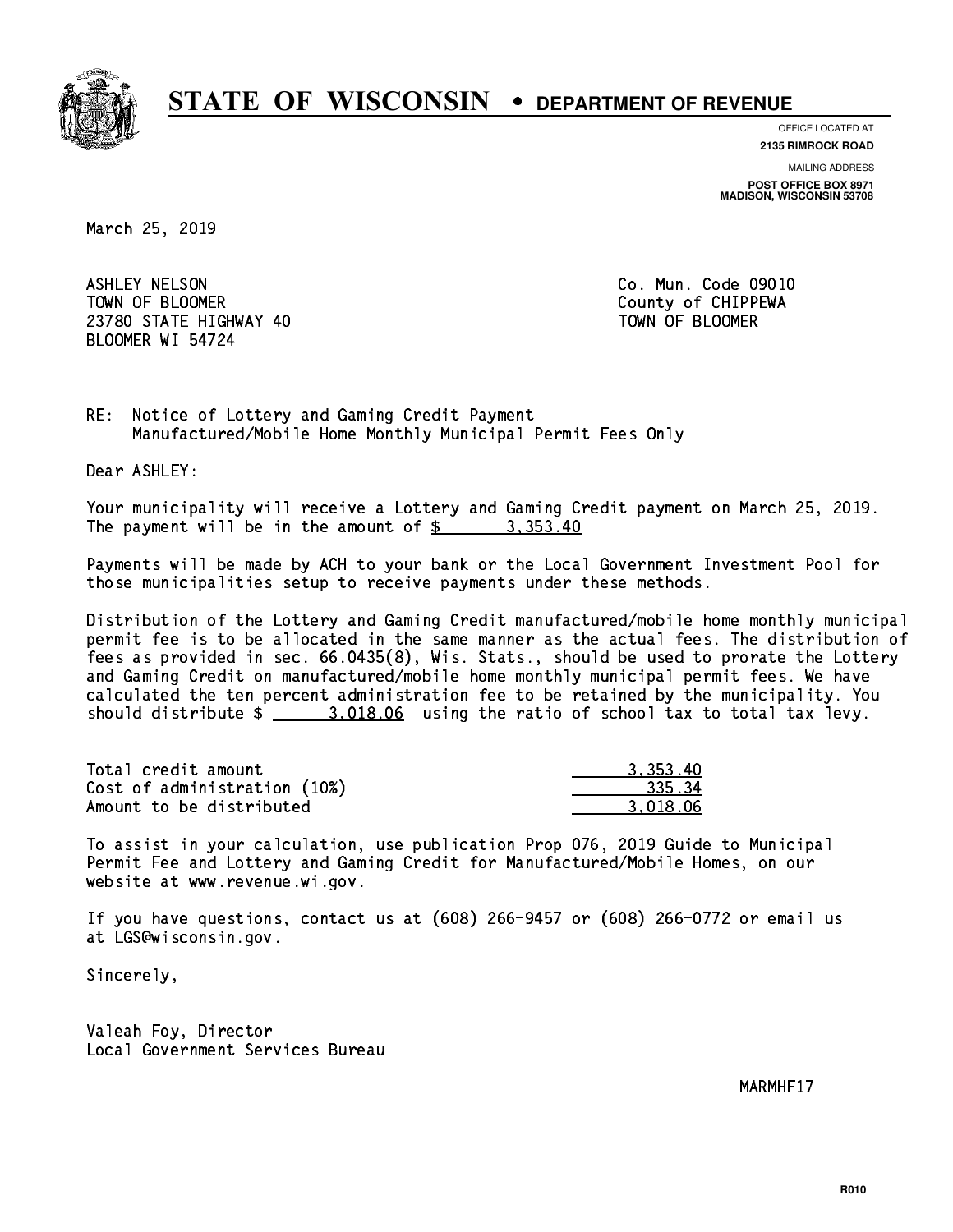

**OFFICE LOCATED AT**

**2135 RIMROCK ROAD**

**MAILING ADDRESS POST OFFICE BOX 8971 MADISON, WISCONSIN 53708**

March 25, 2019

 ASHLEY NELSON Co. Mun. Code 09010 TOWN OF BLOOMER County of CHIPPEWA 23780 STATE HIGHWAY 40 TOWN OF BLOOMER BLOOMER WI 54724

RE: Notice of Lottery and Gaming Credit Payment Manufactured/Mobile Home Monthly Municipal Permit Fees Only

Dear ASHLEY:

 Your municipality will receive a Lottery and Gaming Credit payment on March 25, 2019. The payment will be in the amount of  $\frac{2}{3}$  3,353.40

 Payments will be made by ACH to your bank or the Local Government Investment Pool for those municipalities setup to receive payments under these methods.

 Distribution of the Lottery and Gaming Credit manufactured/mobile home monthly municipal permit fee is to be allocated in the same manner as the actual fees. The distribution of fees as provided in sec. 66.0435(8), Wis. Stats., should be used to prorate the Lottery and Gaming Credit on manufactured/mobile home monthly municipal permit fees. We have calculated the ten percent administration fee to be retained by the municipality. You should distribute  $\frac{2.018.06}{2.018.06}$  using the ratio of school tax to total tax levy.

| Total credit amount          | 3.353.40 |
|------------------------------|----------|
| Cost of administration (10%) | 335.34   |
| Amount to be distributed     | 3.018.06 |

 To assist in your calculation, use publication Prop 076, 2019 Guide to Municipal Permit Fee and Lottery and Gaming Credit for Manufactured/Mobile Homes, on our website at www.revenue.wi.gov.

 If you have questions, contact us at (608) 266-9457 or (608) 266-0772 or email us at LGS@wisconsin.gov.

Sincerely,

 Valeah Foy, Director Local Government Services Bureau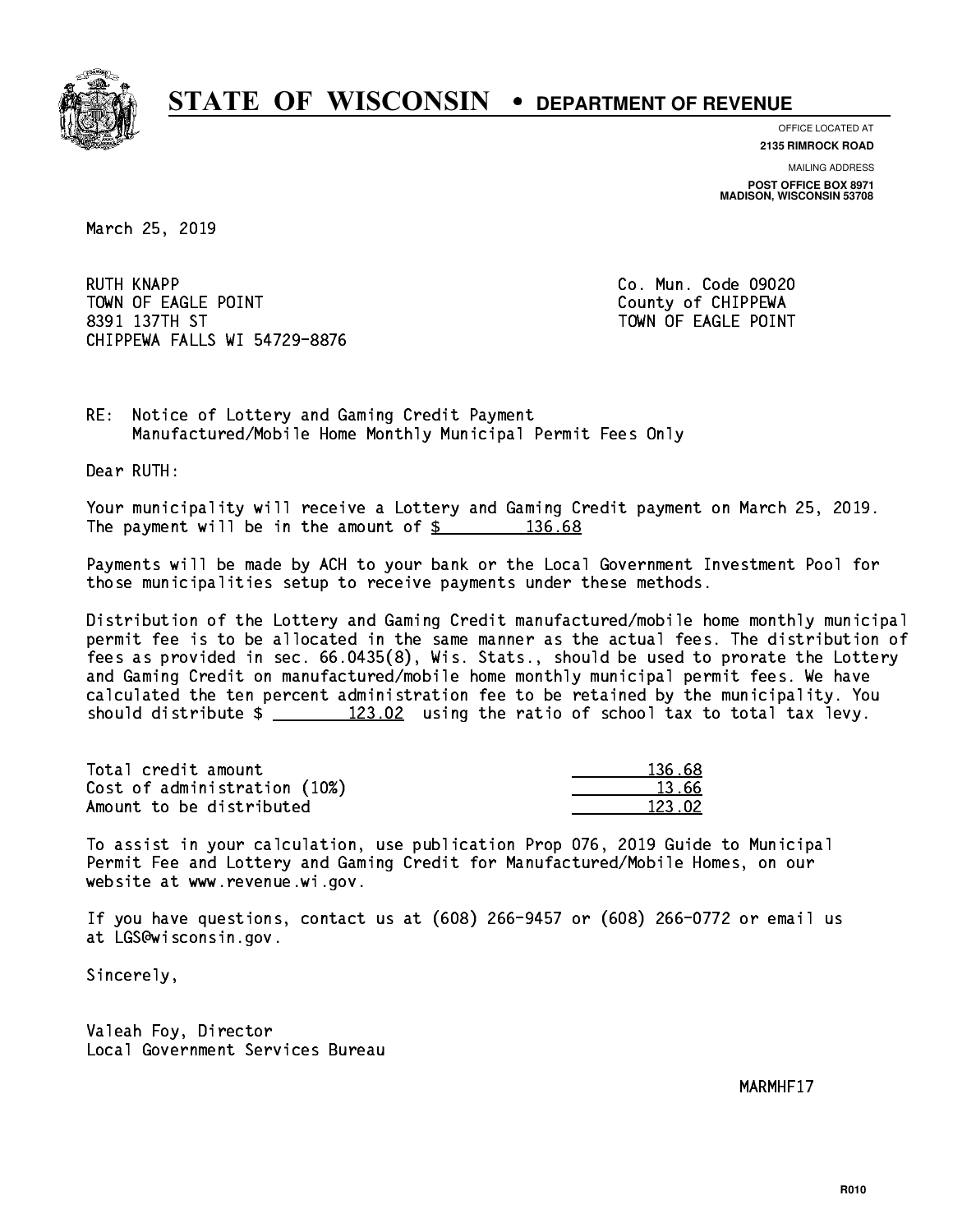

**OFFICE LOCATED AT**

**2135 RIMROCK ROAD**

**MAILING ADDRESS POST OFFICE BOX 8971 MADISON, WISCONSIN 53708**

March 25, 2019

**RUTH KNAPP** TOWN OF EAGLE POINT COUNTS AND TOWN OF CHIPPEWA 8391 137TH ST TOWN OF EAGLE POINT CHIPPEWA FALLS WI 54729-8876

Co. Mun. Code 09020

RE: Notice of Lottery and Gaming Credit Payment Manufactured/Mobile Home Monthly Municipal Permit Fees Only

Dear RUTH:

 Your municipality will receive a Lottery and Gaming Credit payment on March 25, 2019. The payment will be in the amount of  $\frac{2}{3}$  136.68

 Payments will be made by ACH to your bank or the Local Government Investment Pool for those municipalities setup to receive payments under these methods.

 Distribution of the Lottery and Gaming Credit manufactured/mobile home monthly municipal permit fee is to be allocated in the same manner as the actual fees. The distribution of fees as provided in sec. 66.0435(8), Wis. Stats., should be used to prorate the Lottery and Gaming Credit on manufactured/mobile home monthly municipal permit fees. We have calculated the ten percent administration fee to be retained by the municipality. You should distribute  $\frac{2}{2}$   $\frac{123.02}{2}$  using the ratio of school tax to total tax levy.

Total credit amount Cost of administration (10%) Amount to be distributed

| 136.68 |
|--------|
| 13.66  |
| 123.02 |

 To assist in your calculation, use publication Prop 076, 2019 Guide to Municipal Permit Fee and Lottery and Gaming Credit for Manufactured/Mobile Homes, on our website at www.revenue.wi.gov.

 If you have questions, contact us at (608) 266-9457 or (608) 266-0772 or email us at LGS@wisconsin.gov.

Sincerely,

 Valeah Foy, Director Local Government Services Bureau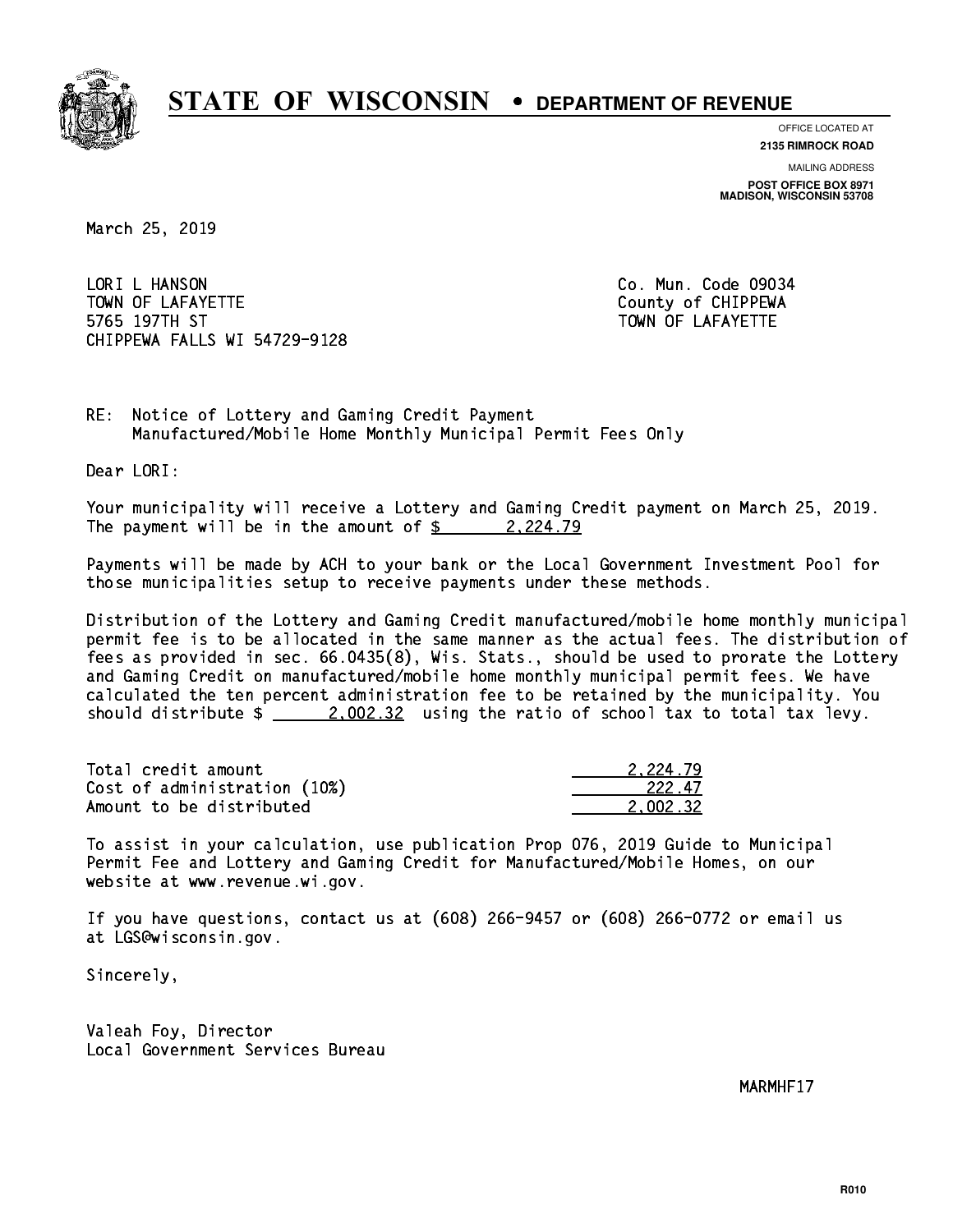

**OFFICE LOCATED AT**

**2135 RIMROCK ROAD**

**MAILING ADDRESS POST OFFICE BOX 8971 MADISON, WISCONSIN 53708**

March 25, 2019

LORI L HANSON TOWN OF LAFAYETTE TOWN OF LAFAYETTE 5765 197TH ST TOWN OF LAFAYETTE CHIPPEWA FALLS WI 54729-9128

Co. Mun. Code 09034

RE: Notice of Lottery and Gaming Credit Payment Manufactured/Mobile Home Monthly Municipal Permit Fees Only

Dear LORI:

 Your municipality will receive a Lottery and Gaming Credit payment on March 25, 2019. The payment will be in the amount of  $\frac{2}{2}$  2,224.79

 Payments will be made by ACH to your bank or the Local Government Investment Pool for those municipalities setup to receive payments under these methods.

 Distribution of the Lottery and Gaming Credit manufactured/mobile home monthly municipal permit fee is to be allocated in the same manner as the actual fees. The distribution of fees as provided in sec. 66.0435(8), Wis. Stats., should be used to prorate the Lottery and Gaming Credit on manufactured/mobile home monthly municipal permit fees. We have calculated the ten percent administration fee to be retained by the municipality. You should distribute  $\frac{2.002.32}{ }$  using the ratio of school tax to total tax levy.

| Total credit amount          | 2.224.79 |
|------------------------------|----------|
| Cost of administration (10%) | 222.47   |
| Amount to be distributed     | 2.002.32 |

 To assist in your calculation, use publication Prop 076, 2019 Guide to Municipal Permit Fee and Lottery and Gaming Credit for Manufactured/Mobile Homes, on our website at www.revenue.wi.gov.

 If you have questions, contact us at (608) 266-9457 or (608) 266-0772 or email us at LGS@wisconsin.gov.

Sincerely,

 Valeah Foy, Director Local Government Services Bureau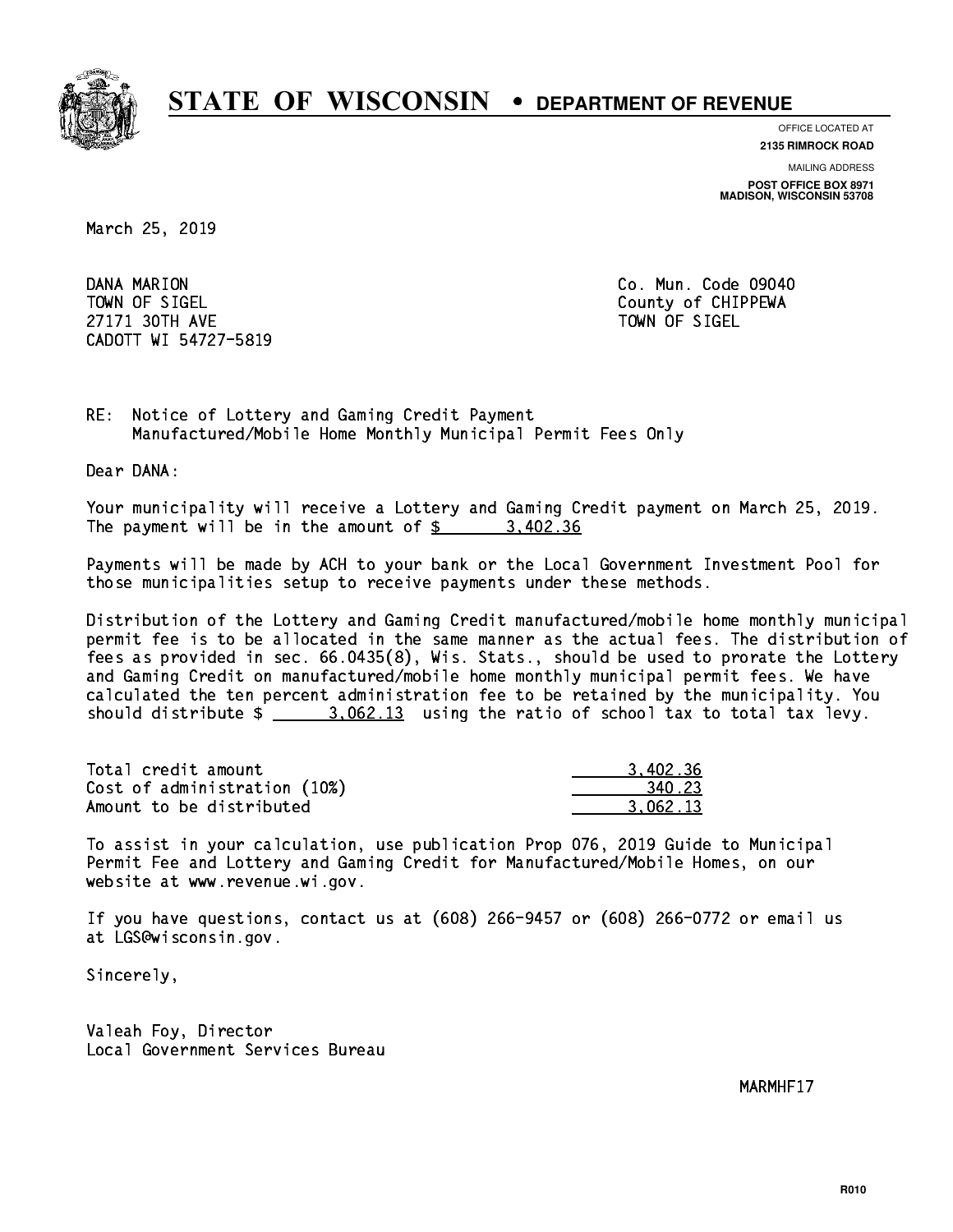

**OFFICE LOCATED AT**

**2135 RIMROCK ROAD**

**MAILING ADDRESS POST OFFICE BOX 8971 MADISON, WISCONSIN 53708**

March 25, 2019

DANA MARION TOWN OF SIGEL County of CHIPPEWA 27171 30TH AVE 27171 30TH AVE CADOTT WI 54727-5819

Co. Mun. Code 09040

RE: Notice of Lottery and Gaming Credit Payment Manufactured/Mobile Home Monthly Municipal Permit Fees Only

Dear DANA:

 Your municipality will receive a Lottery and Gaming Credit payment on March 25, 2019. The payment will be in the amount of \$ 3,402.36 \_\_\_\_\_\_\_\_\_\_\_\_\_\_\_\_

 Payments will be made by ACH to your bank or the Local Government Investment Pool for those municipalities setup to receive payments under these methods.

 Distribution of the Lottery and Gaming Credit manufactured/mobile home monthly municipal permit fee is to be allocated in the same manner as the actual fees. The distribution of fees as provided in sec. 66.0435(8), Wis. Stats., should be used to prorate the Lottery and Gaming Credit on manufactured/mobile home monthly municipal permit fees. We have calculated the ten percent administration fee to be retained by the municipality. You should distribute  $\frac{2}{2}$   $\frac{3.062.13}{2}$  using the ratio of school tax to total tax levy.

| Total credit amount          | 3.402.36 |
|------------------------------|----------|
| Cost of administration (10%) | 340.23   |
| Amount to be distributed     | 3.062.13 |

 To assist in your calculation, use publication Prop 076, 2019 Guide to Municipal Permit Fee and Lottery and Gaming Credit for Manufactured/Mobile Homes, on our website at www.revenue.wi.gov.

 If you have questions, contact us at (608) 266-9457 or (608) 266-0772 or email us at LGS@wisconsin.gov.

Sincerely,

 Valeah Foy, Director Local Government Services Bureau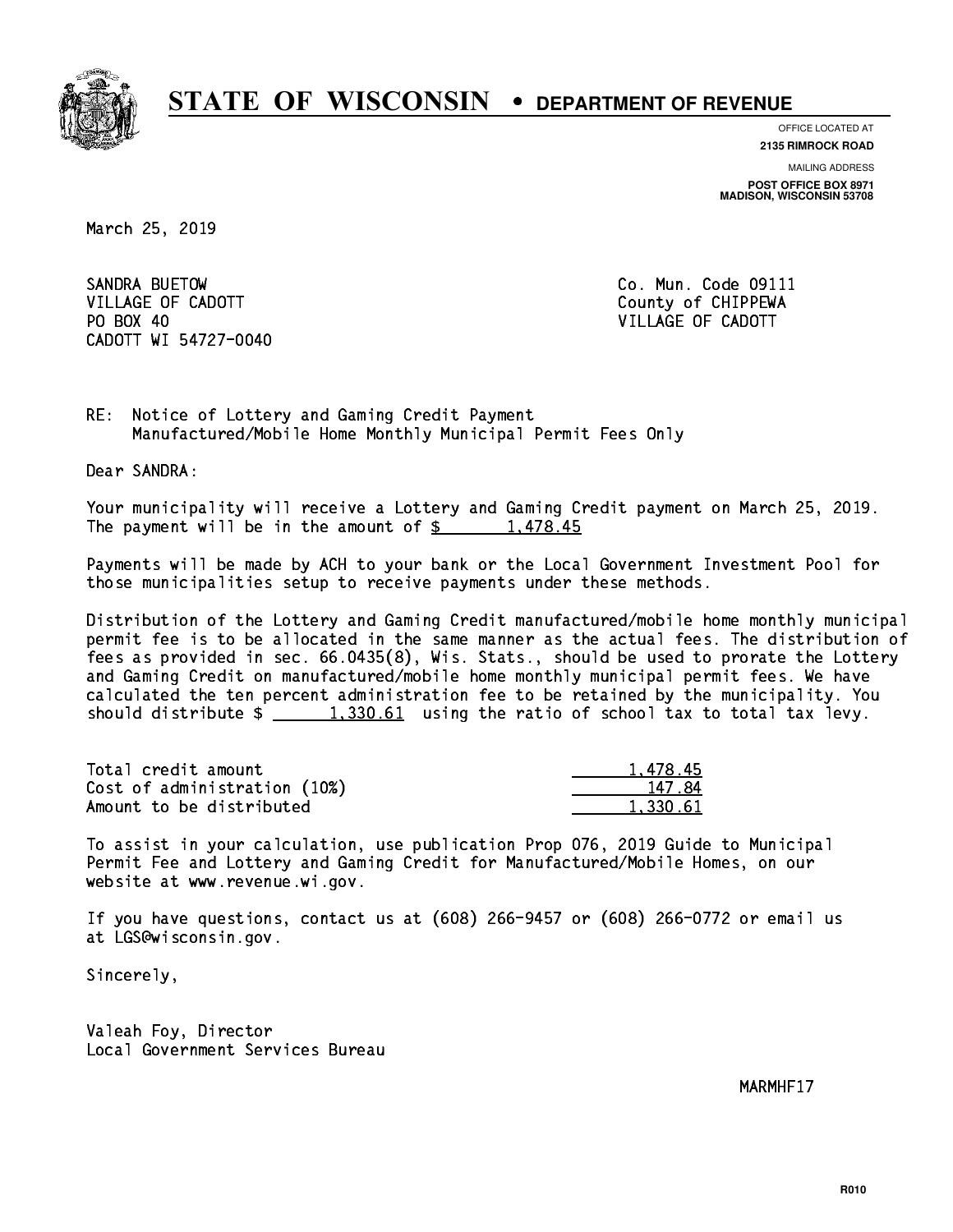

**OFFICE LOCATED AT**

**2135 RIMROCK ROAD**

**MAILING ADDRESS POST OFFICE BOX 8971 MADISON, WISCONSIN 53708**

March 25, 2019

SANDRA BUETOW VILLAGE OF CADOTT COUNTY COUNTY COUNTY OF CHIPPEWA PO BOX 40 CADOTT WI 54727-0040

Co. Mun. Code 09111 VILLAGE OF CADOTT

RE: Notice of Lottery and Gaming Credit Payment Manufactured/Mobile Home Monthly Municipal Permit Fees Only

Dear SANDRA:

 Your municipality will receive a Lottery and Gaming Credit payment on March 25, 2019. The payment will be in the amount of  $\frac{2}{3}$  1,478.45

 Payments will be made by ACH to your bank or the Local Government Investment Pool for those municipalities setup to receive payments under these methods.

 Distribution of the Lottery and Gaming Credit manufactured/mobile home monthly municipal permit fee is to be allocated in the same manner as the actual fees. The distribution of fees as provided in sec. 66.0435(8), Wis. Stats., should be used to prorate the Lottery and Gaming Credit on manufactured/mobile home monthly municipal permit fees. We have calculated the ten percent administration fee to be retained by the municipality. You should distribute  $\frac{1,330.61}{1,330.61}$  using the ratio of school tax to total tax levy.

| Total credit amount          | 1.478.45 |
|------------------------------|----------|
| Cost of administration (10%) | 147.84   |
| Amount to be distributed     | 1.330.61 |

 To assist in your calculation, use publication Prop 076, 2019 Guide to Municipal Permit Fee and Lottery and Gaming Credit for Manufactured/Mobile Homes, on our website at www.revenue.wi.gov.

 If you have questions, contact us at (608) 266-9457 or (608) 266-0772 or email us at LGS@wisconsin.gov.

Sincerely,

 Valeah Foy, Director Local Government Services Bureau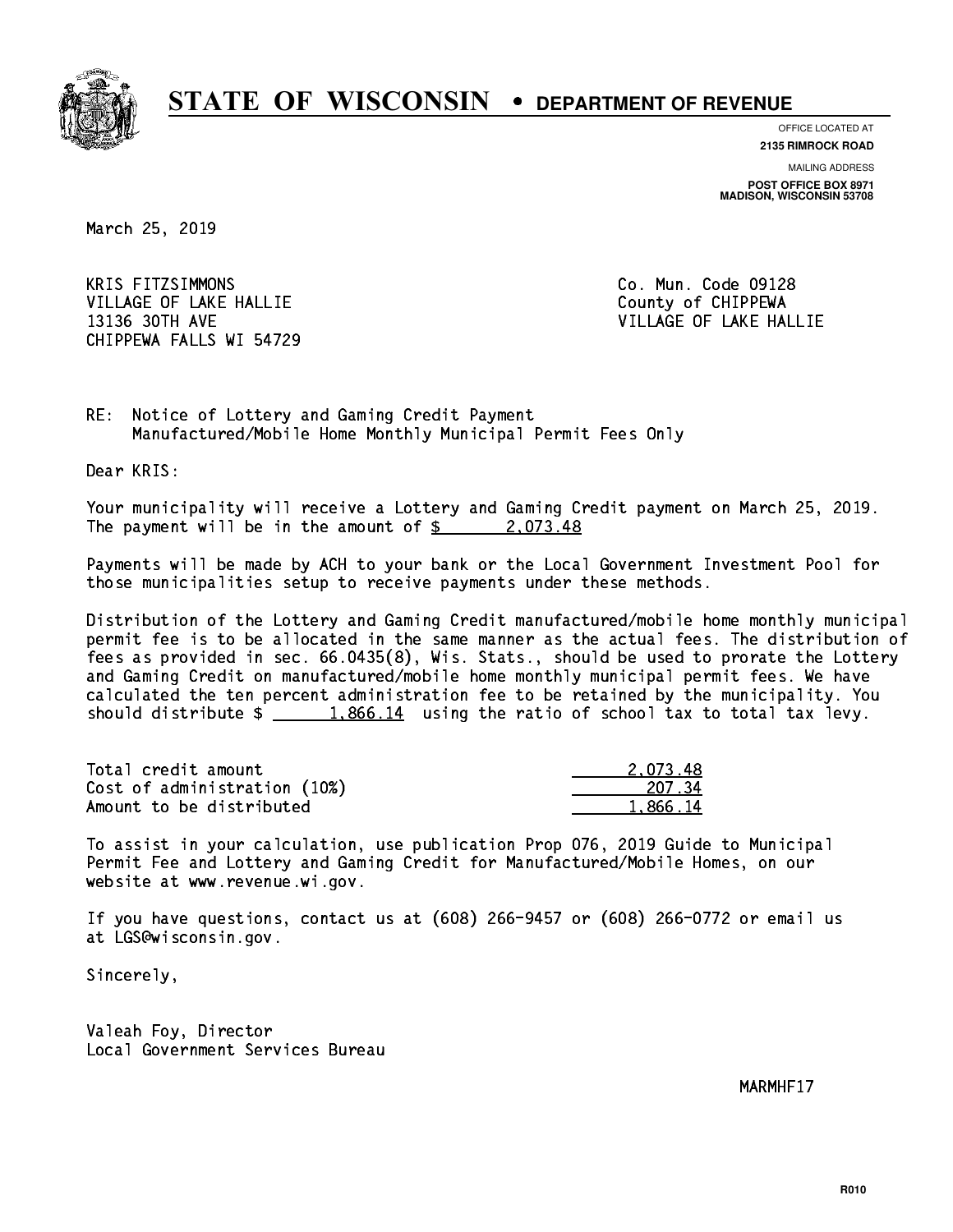

**OFFICE LOCATED AT**

**2135 RIMROCK ROAD**

**MAILING ADDRESS POST OFFICE BOX 8971 MADISON, WISCONSIN 53708**

March 25, 2019

**KRIS FITZSIMMONS** VILLAGE OF LAKE HALLIE COUNTY OF CHIPPEWA 13136 30TH AVE VILLAGE OF LAKE HALLIE CHIPPEWA FALLS WI 54729

Co. Mun. Code 09128

RE: Notice of Lottery and Gaming Credit Payment Manufactured/Mobile Home Monthly Municipal Permit Fees Only

Dear KRIS:

 Your municipality will receive a Lottery and Gaming Credit payment on March 25, 2019. The payment will be in the amount of  $\frac{2.073.48}{2.023.48}$ 

 Payments will be made by ACH to your bank or the Local Government Investment Pool for those municipalities setup to receive payments under these methods.

 Distribution of the Lottery and Gaming Credit manufactured/mobile home monthly municipal permit fee is to be allocated in the same manner as the actual fees. The distribution of fees as provided in sec. 66.0435(8), Wis. Stats., should be used to prorate the Lottery and Gaming Credit on manufactured/mobile home monthly municipal permit fees. We have calculated the ten percent administration fee to be retained by the municipality. You should distribute  $\frac{1,866.14}{1,866.14}$  using the ratio of school tax to total tax levy.

| Total credit amount          | 2.073.48 |
|------------------------------|----------|
| Cost of administration (10%) | 207.34   |
| Amount to be distributed     | 1.866.14 |

 To assist in your calculation, use publication Prop 076, 2019 Guide to Municipal Permit Fee and Lottery and Gaming Credit for Manufactured/Mobile Homes, on our website at www.revenue.wi.gov.

 If you have questions, contact us at (608) 266-9457 or (608) 266-0772 or email us at LGS@wisconsin.gov.

Sincerely,

 Valeah Foy, Director Local Government Services Bureau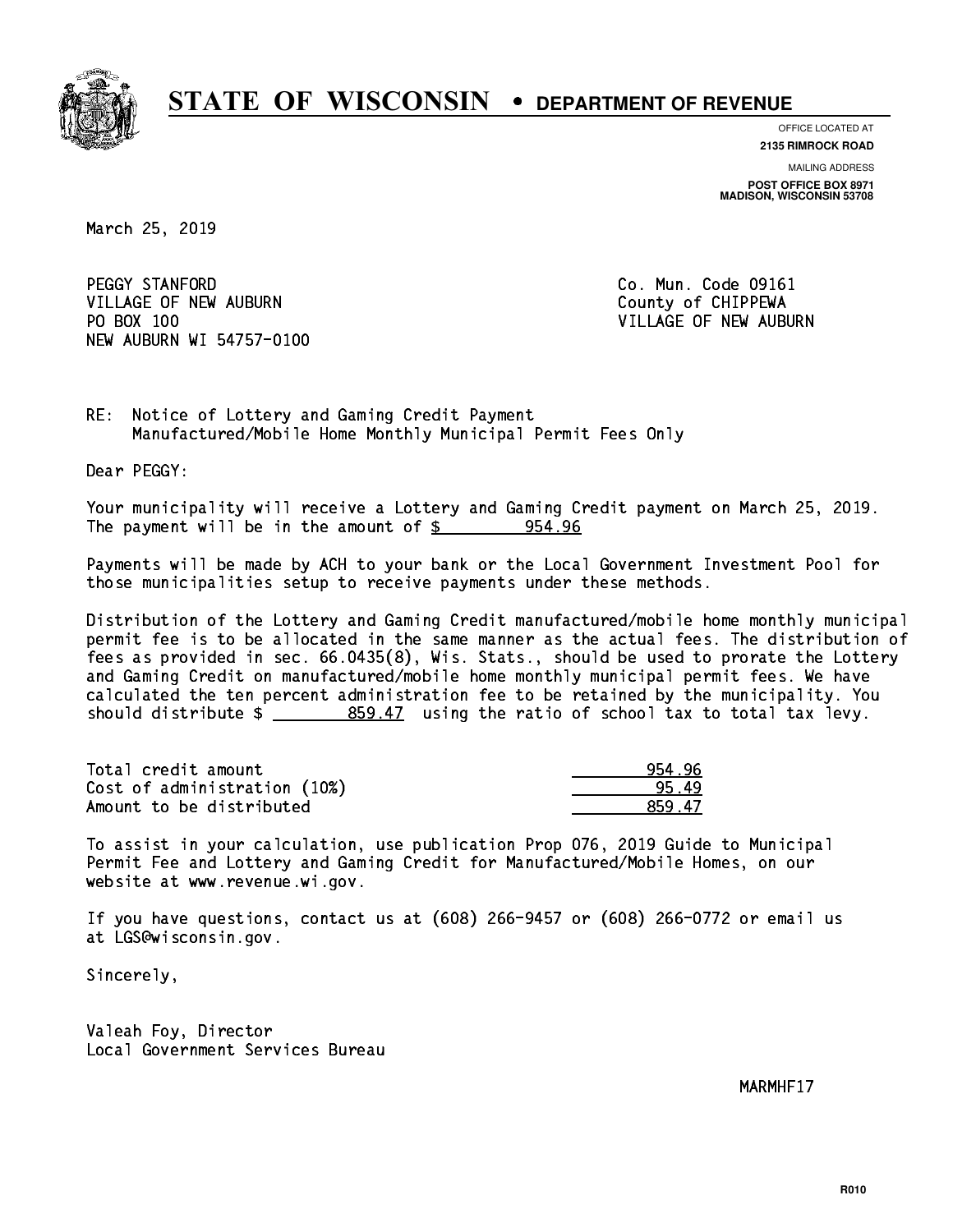

**OFFICE LOCATED AT**

**2135 RIMROCK ROAD**

**MAILING ADDRESS POST OFFICE BOX 8971 MADISON, WISCONSIN 53708**

March 25, 2019

PEGGY STANFORD VILLAGE OF NEW AUBURN COUNTY OF CHIPPEWA PO BOX 100 NEW AUBURN WI 54757-0100

Co. Mun. Code 09161 VILLAGE OF NEW AUBURN

RE: Notice of Lottery and Gaming Credit Payment Manufactured/Mobile Home Monthly Municipal Permit Fees Only

Dear PEGGY:

 Your municipality will receive a Lottery and Gaming Credit payment on March 25, 2019. The payment will be in the amount of  $\frac{2}{3}$  954.96

 Payments will be made by ACH to your bank or the Local Government Investment Pool for those municipalities setup to receive payments under these methods.

 Distribution of the Lottery and Gaming Credit manufactured/mobile home monthly municipal permit fee is to be allocated in the same manner as the actual fees. The distribution of fees as provided in sec. 66.0435(8), Wis. Stats., should be used to prorate the Lottery and Gaming Credit on manufactured/mobile home monthly municipal permit fees. We have calculated the ten percent administration fee to be retained by the municipality. You should distribute  $\frac{2}{2}$   $\frac{859.47}{2}$  using the ratio of school tax to total tax levy.

| Total credit amount          | 954.96 |
|------------------------------|--------|
| Cost of administration (10%) | 95.49  |
| Amount to be distributed     | 859.47 |

 To assist in your calculation, use publication Prop 076, 2019 Guide to Municipal Permit Fee and Lottery and Gaming Credit for Manufactured/Mobile Homes, on our website at www.revenue.wi.gov.

 If you have questions, contact us at (608) 266-9457 or (608) 266-0772 or email us at LGS@wisconsin.gov.

Sincerely,

 Valeah Foy, Director Local Government Services Bureau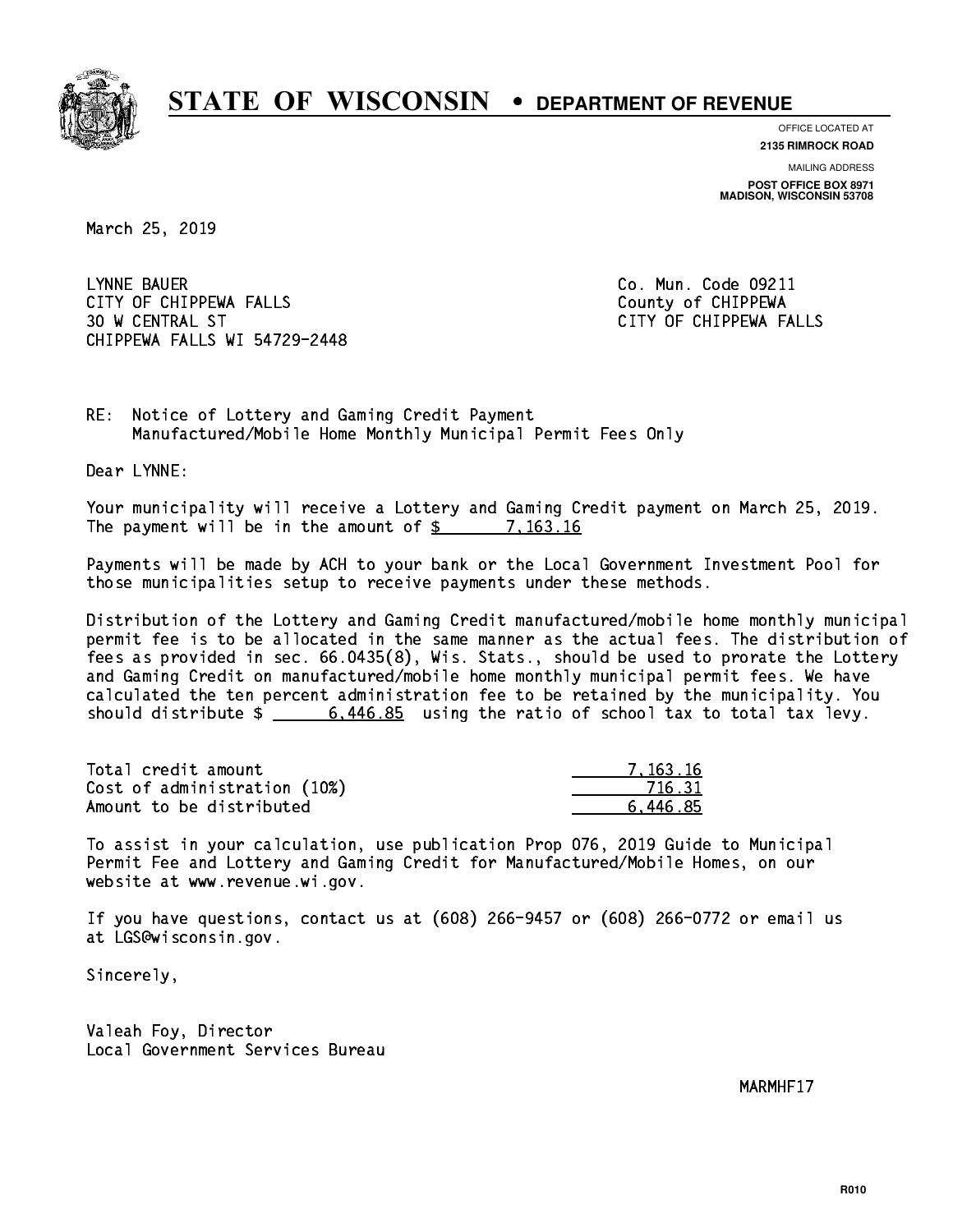

**OFFICE LOCATED AT**

**2135 RIMROCK ROAD**

**MAILING ADDRESS POST OFFICE BOX 8971 MADISON, WISCONSIN 53708**

March 25, 2019

 LYNNE BAUER Co. Mun. Code 09211 CITY OF CHIPPEWA FALLS County of CHIPPEWA 30 W CENTRAL ST CITY OF CHIPPEWA FALLS CHIPPEWA FALLS WI 54729-2448

RE: Notice of Lottery and Gaming Credit Payment Manufactured/Mobile Home Monthly Municipal Permit Fees Only

Dear LYNNE:

 Your municipality will receive a Lottery and Gaming Credit payment on March 25, 2019. The payment will be in the amount of \$ 7,163.16 \_\_\_\_\_\_\_\_\_\_\_\_\_\_\_\_

 Payments will be made by ACH to your bank or the Local Government Investment Pool for those municipalities setup to receive payments under these methods.

 Distribution of the Lottery and Gaming Credit manufactured/mobile home monthly municipal permit fee is to be allocated in the same manner as the actual fees. The distribution of fees as provided in sec. 66.0435(8), Wis. Stats., should be used to prorate the Lottery and Gaming Credit on manufactured/mobile home monthly municipal permit fees. We have calculated the ten percent administration fee to be retained by the municipality. You should distribute  $\frac{2}{1}$   $\frac{6,446.85}{2}$  using the ratio of school tax to total tax levy.

| Total credit amount          | 7.163.16 |
|------------------------------|----------|
| Cost of administration (10%) | 716.31   |
| Amount to be distributed     | 6.446.85 |

 To assist in your calculation, use publication Prop 076, 2019 Guide to Municipal Permit Fee and Lottery and Gaming Credit for Manufactured/Mobile Homes, on our website at www.revenue.wi.gov.

 If you have questions, contact us at (608) 266-9457 or (608) 266-0772 or email us at LGS@wisconsin.gov.

Sincerely,

 Valeah Foy, Director Local Government Services Bureau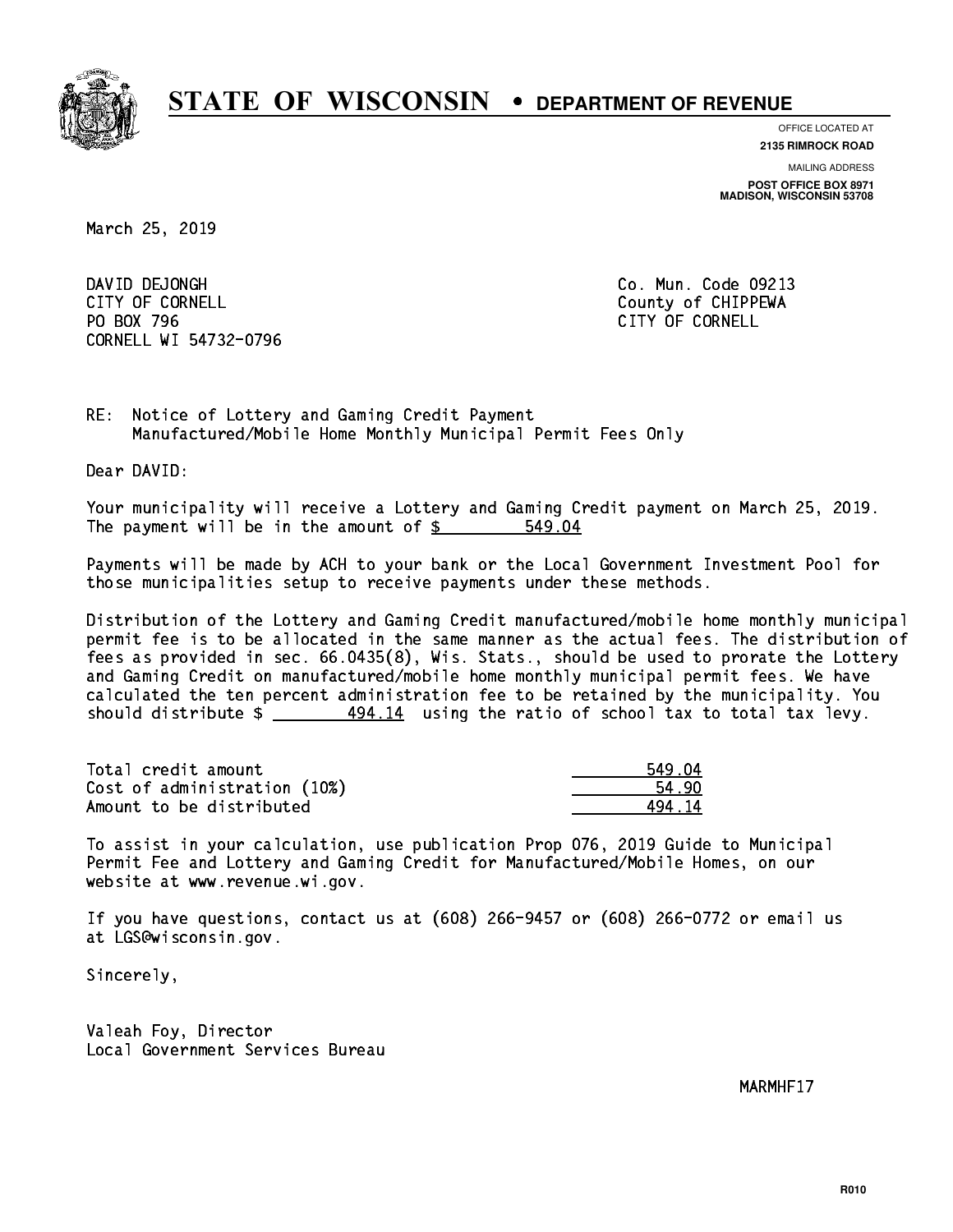

**OFFICE LOCATED AT**

**2135 RIMROCK ROAD**

**MAILING ADDRESS POST OFFICE BOX 8971 MADISON, WISCONSIN 53708**

March 25, 2019

DAVID DEJONGH CITY OF CORNELL CITY OF COUNTLE COUNTRY OF CHIPPEWA PO BOX 796 CITY OF CORNELL CORNELL WI 54732-0796

Co. Mun. Code 09213

RE: Notice of Lottery and Gaming Credit Payment Manufactured/Mobile Home Monthly Municipal Permit Fees Only

Dear DAVID:

 Your municipality will receive a Lottery and Gaming Credit payment on March 25, 2019. The payment will be in the amount of  $$ 549.04$ 

 Payments will be made by ACH to your bank or the Local Government Investment Pool for those municipalities setup to receive payments under these methods.

 Distribution of the Lottery and Gaming Credit manufactured/mobile home monthly municipal permit fee is to be allocated in the same manner as the actual fees. The distribution of fees as provided in sec. 66.0435(8), Wis. Stats., should be used to prorate the Lottery and Gaming Credit on manufactured/mobile home monthly municipal permit fees. We have calculated the ten percent administration fee to be retained by the municipality. You should distribute  $\frac{494.14}{12}$  using the ratio of school tax to total tax levy.

| Total credit amount          | 549.04 |
|------------------------------|--------|
| Cost of administration (10%) | 54.90  |
| Amount to be distributed     | 494 14 |

 To assist in your calculation, use publication Prop 076, 2019 Guide to Municipal Permit Fee and Lottery and Gaming Credit for Manufactured/Mobile Homes, on our website at www.revenue.wi.gov.

 If you have questions, contact us at (608) 266-9457 or (608) 266-0772 or email us at LGS@wisconsin.gov.

Sincerely,

 Valeah Foy, Director Local Government Services Bureau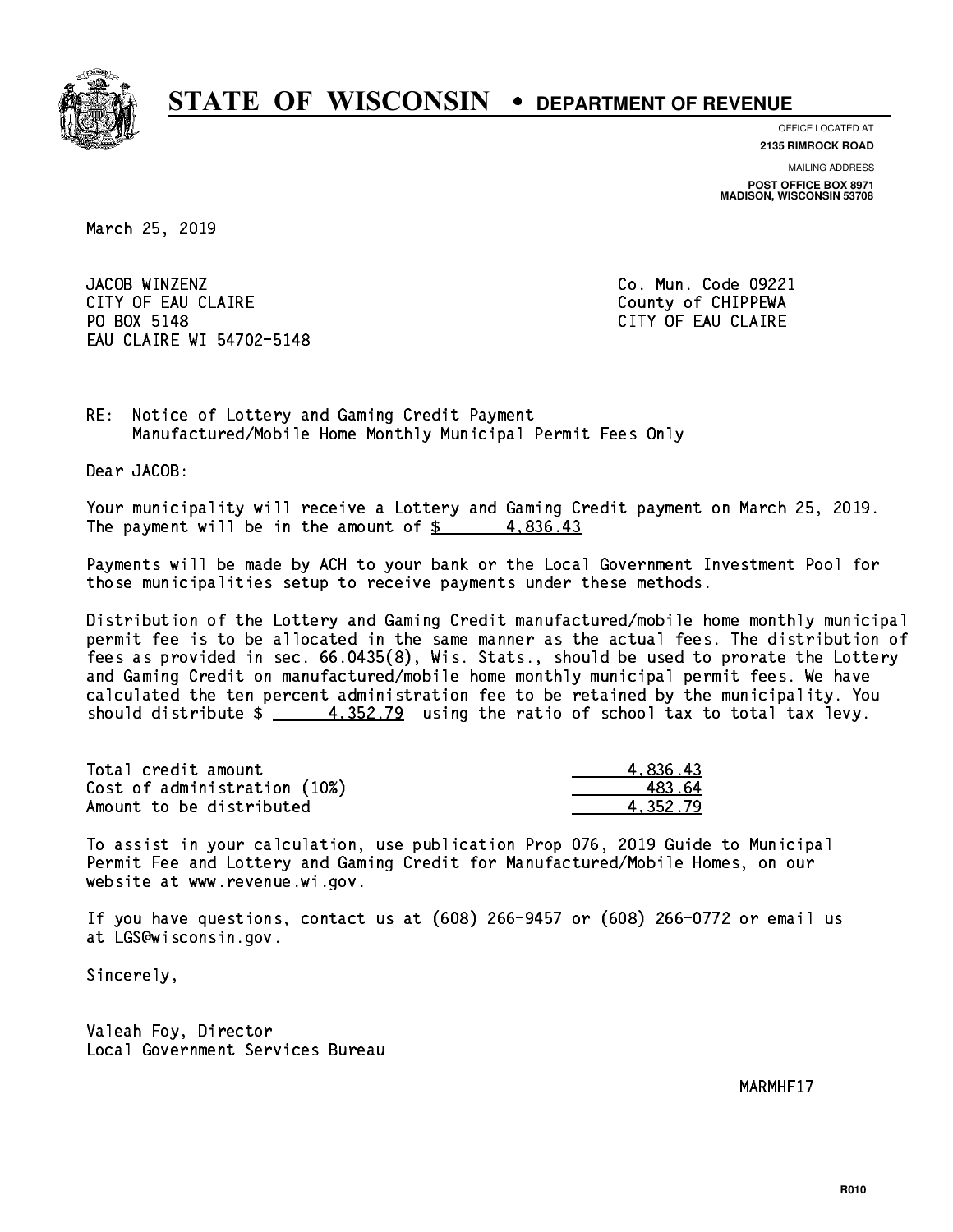

**OFFICE LOCATED AT**

**2135 RIMROCK ROAD**

**MAILING ADDRESS POST OFFICE BOX 8971 MADISON, WISCONSIN 53708**

March 25, 2019

JACOB WINZENZ CITY OF EAU CLAIRE **COUNTY COUNTY OF CHIPPEWA** PO BOX 5148 EAU CLAIRE WI 54702-5148

Co. Mun. Code 09221 CITY OF EAU CLAIRE

RE: Notice of Lottery and Gaming Credit Payment Manufactured/Mobile Home Monthly Municipal Permit Fees Only

Dear JACOB:

 Your municipality will receive a Lottery and Gaming Credit payment on March 25, 2019. The payment will be in the amount of  $\frac{2}{3}$  4,836.43

 Payments will be made by ACH to your bank or the Local Government Investment Pool for those municipalities setup to receive payments under these methods.

 Distribution of the Lottery and Gaming Credit manufactured/mobile home monthly municipal permit fee is to be allocated in the same manner as the actual fees. The distribution of fees as provided in sec. 66.0435(8), Wis. Stats., should be used to prorate the Lottery and Gaming Credit on manufactured/mobile home monthly municipal permit fees. We have calculated the ten percent administration fee to be retained by the municipality. You should distribute  $\frac{4}{100}$   $\frac{4}{352.79}$  using the ratio of school tax to total tax levy.

| Total credit amount          | 4.836.43 |
|------------------------------|----------|
| Cost of administration (10%) | 483.64   |
| Amount to be distributed     | 4.352.79 |

 To assist in your calculation, use publication Prop 076, 2019 Guide to Municipal Permit Fee and Lottery and Gaming Credit for Manufactured/Mobile Homes, on our website at www.revenue.wi.gov.

 If you have questions, contact us at (608) 266-9457 or (608) 266-0772 or email us at LGS@wisconsin.gov.

Sincerely,

 Valeah Foy, Director Local Government Services Bureau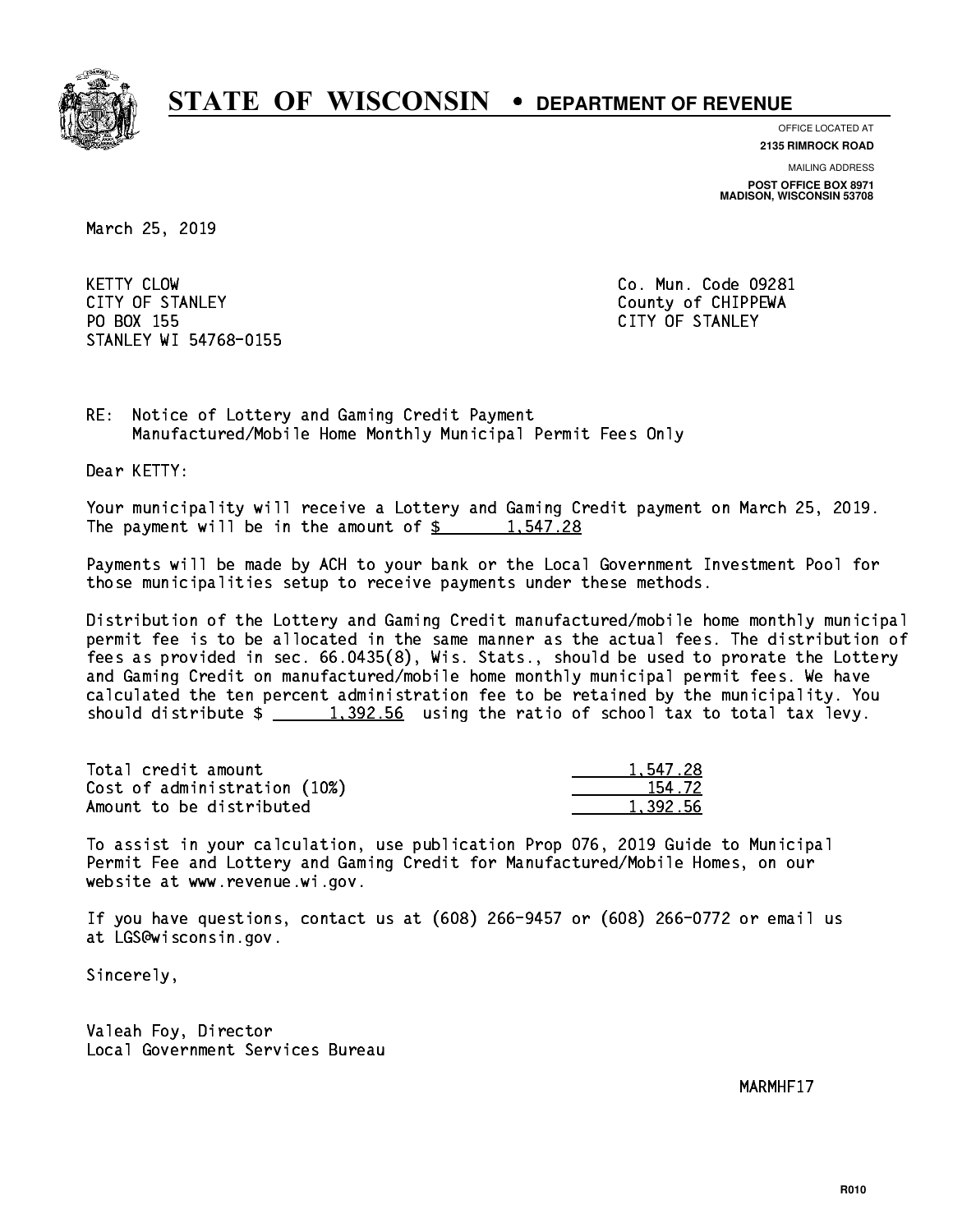

**OFFICE LOCATED AT**

**2135 RIMROCK ROAD**

**MAILING ADDRESS**

**POST OFFICE BOX 8971 MADISON, WISCONSIN 53708**

March 25, 2019

**KETTY CLOW** CITY OF STANLEY COUNTY COUNTY OF STANLEY PO BOX 155 CITY OF STANLEY STANLEY WI 54768-0155

Co. Mun. Code 09281

RE: Notice of Lottery and Gaming Credit Payment Manufactured/Mobile Home Monthly Municipal Permit Fees Only

Dear KETTY:

 Your municipality will receive a Lottery and Gaming Credit payment on March 25, 2019. The payment will be in the amount of  $\frac{2}{3}$  1,547.28

 Payments will be made by ACH to your bank or the Local Government Investment Pool for those municipalities setup to receive payments under these methods.

 Distribution of the Lottery and Gaming Credit manufactured/mobile home monthly municipal permit fee is to be allocated in the same manner as the actual fees. The distribution of fees as provided in sec. 66.0435(8), Wis. Stats., should be used to prorate the Lottery and Gaming Credit on manufactured/mobile home monthly municipal permit fees. We have calculated the ten percent administration fee to be retained by the municipality. You should distribute  $\frac{1,392.56}{1,392.56}$  using the ratio of school tax to total tax levy.

| Total credit amount          | 1.547.28 |
|------------------------------|----------|
| Cost of administration (10%) | 154.72   |
| Amount to be distributed     | 1.392.56 |

 To assist in your calculation, use publication Prop 076, 2019 Guide to Municipal Permit Fee and Lottery and Gaming Credit for Manufactured/Mobile Homes, on our website at www.revenue.wi.gov.

 If you have questions, contact us at (608) 266-9457 or (608) 266-0772 or email us at LGS@wisconsin.gov.

Sincerely,

 Valeah Foy, Director Local Government Services Bureau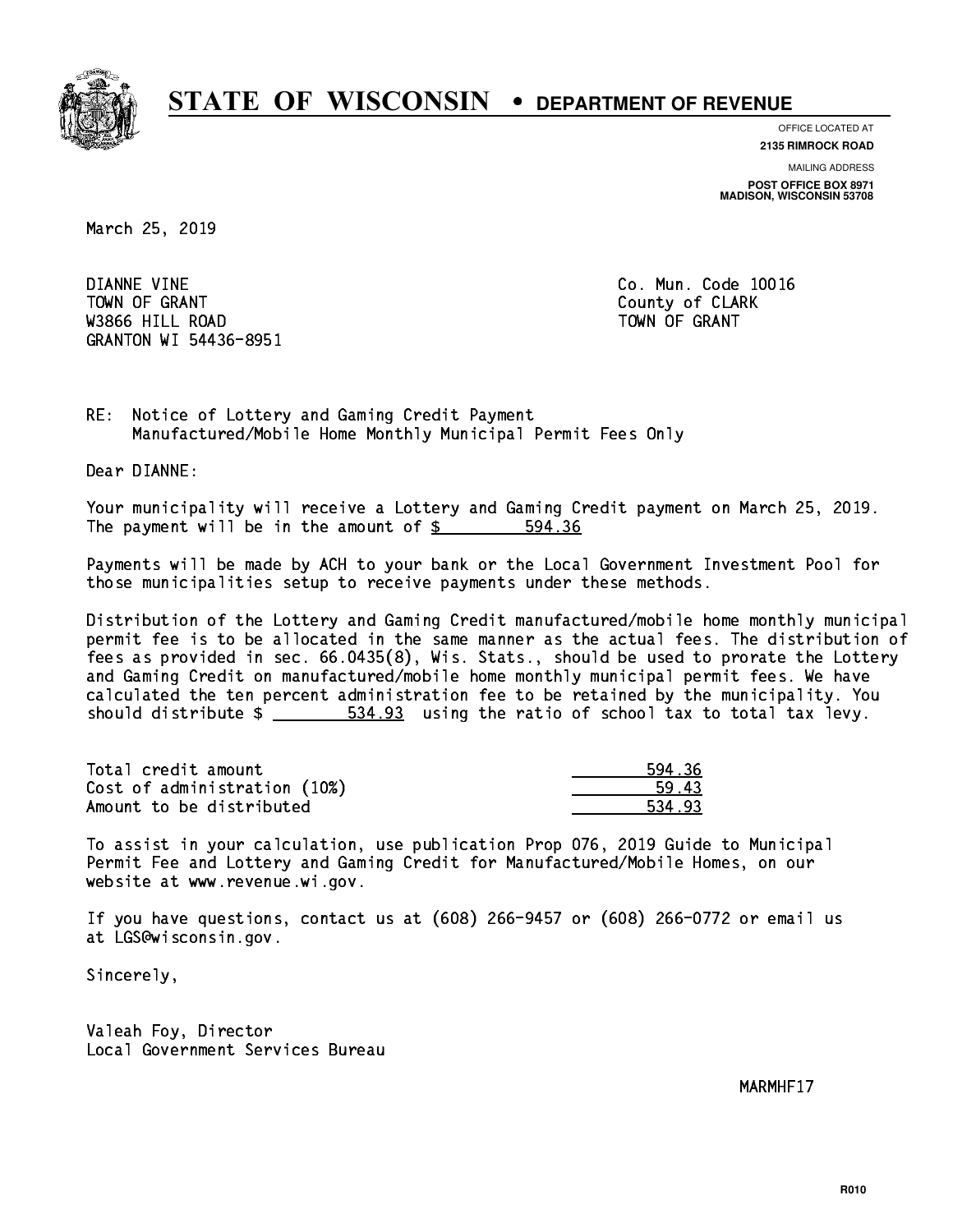

**OFFICE LOCATED AT**

**2135 RIMROCK ROAD**

**MAILING ADDRESS POST OFFICE BOX 8971 MADISON, WISCONSIN 53708**

March 25, 2019

 DIANNE VINE Co. Mun. Code 10016 Town of Grant County of Grant County of Clark County of Clark County of Clark County of Clark County of Clark was a contract of the contract of the contract of the contract of the contract of the contract of the contract of the contract of the contract of the contract of the contract of the contract of the contract of the contract GRANTON WI 54436-8951

RE: Notice of Lottery and Gaming Credit Payment Manufactured/Mobile Home Monthly Municipal Permit Fees Only

Dear DIANNE:

 Your municipality will receive a Lottery and Gaming Credit payment on March 25, 2019. The payment will be in the amount of \$ 594.36 \_\_\_\_\_\_\_\_\_\_\_\_\_\_\_\_

 Payments will be made by ACH to your bank or the Local Government Investment Pool for those municipalities setup to receive payments under these methods.

 Distribution of the Lottery and Gaming Credit manufactured/mobile home monthly municipal permit fee is to be allocated in the same manner as the actual fees. The distribution of fees as provided in sec. 66.0435(8), Wis. Stats., should be used to prorate the Lottery and Gaming Credit on manufactured/mobile home monthly municipal permit fees. We have calculated the ten percent administration fee to be retained by the municipality. You should distribute  $\frac{2}{2}$   $\frac{534.93}{2}$  using the ratio of school tax to total tax levy.

| Total credit amount          | 594.36 |
|------------------------------|--------|
| Cost of administration (10%) | 59.43  |
| Amount to be distributed     | 534.93 |

 To assist in your calculation, use publication Prop 076, 2019 Guide to Municipal Permit Fee and Lottery and Gaming Credit for Manufactured/Mobile Homes, on our website at www.revenue.wi.gov.

 If you have questions, contact us at (608) 266-9457 or (608) 266-0772 or email us at LGS@wisconsin.gov.

Sincerely,

 Valeah Foy, Director Local Government Services Bureau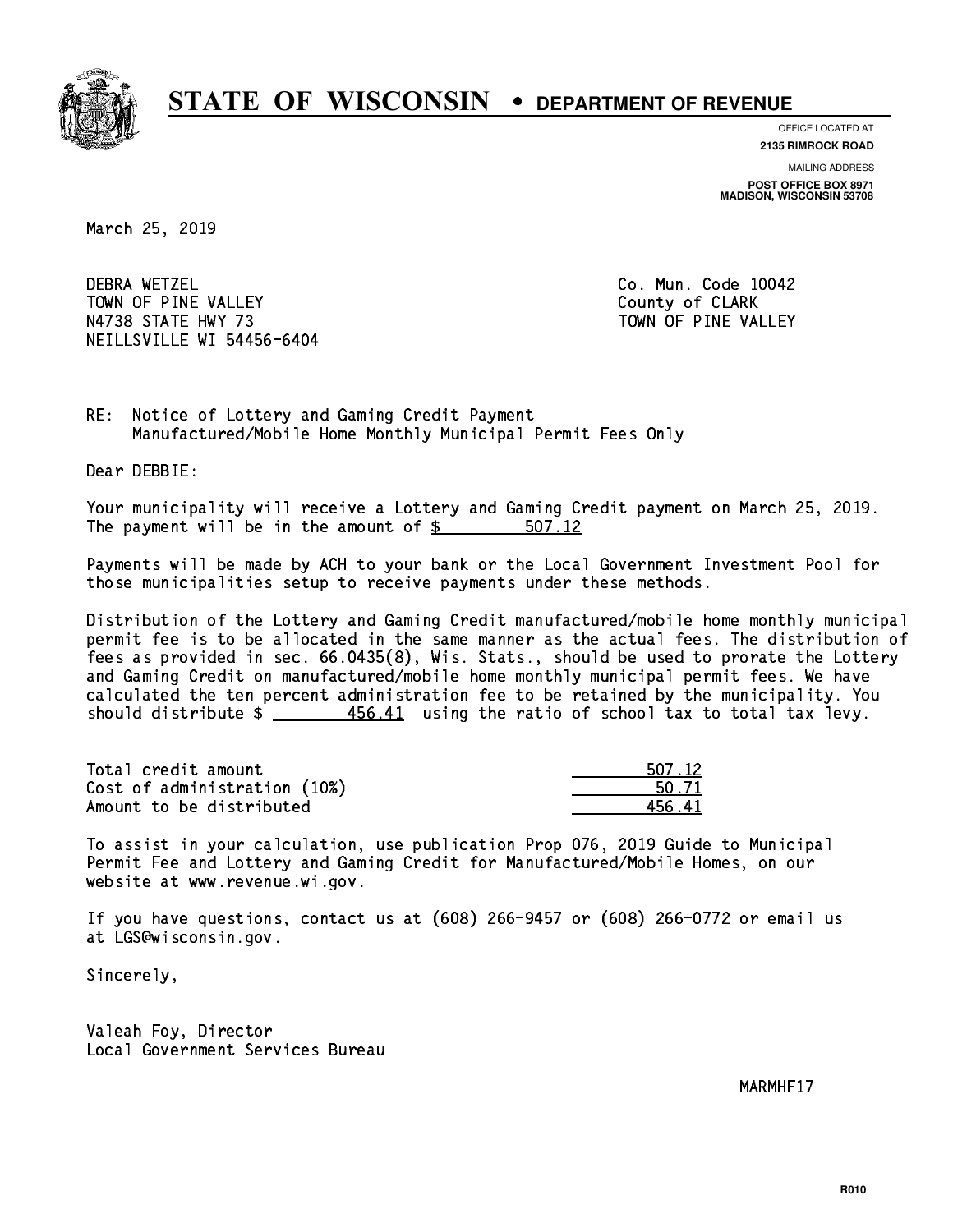

**OFFICE LOCATED AT**

**2135 RIMROCK ROAD**

**MAILING ADDRESS POST OFFICE BOX 8971 MADISON, WISCONSIN 53708**

March 25, 2019

**DEBRA WETZEL** TOWN OF PINE VALLEY **COUNTY COUNTY OF CLARK** N4738 STATE HWY 73 TOWN OF PINE VALLEY NEILLSVILLE WI 54456-6404

Co. Mun. Code 10042

RE: Notice of Lottery and Gaming Credit Payment Manufactured/Mobile Home Monthly Municipal Permit Fees Only

Dear DEBBIE:

 Your municipality will receive a Lottery and Gaming Credit payment on March 25, 2019. The payment will be in the amount of \$ 507.12 \_\_\_\_\_\_\_\_\_\_\_\_\_\_\_\_

 Payments will be made by ACH to your bank or the Local Government Investment Pool for those municipalities setup to receive payments under these methods.

 Distribution of the Lottery and Gaming Credit manufactured/mobile home monthly municipal permit fee is to be allocated in the same manner as the actual fees. The distribution of fees as provided in sec. 66.0435(8), Wis. Stats., should be used to prorate the Lottery and Gaming Credit on manufactured/mobile home monthly municipal permit fees. We have calculated the ten percent administration fee to be retained by the municipality. You should distribute  $\frac{456.41}{2}$  using the ratio of school tax to total tax levy.

| Total credit amount          | 507.12 |
|------------------------------|--------|
| Cost of administration (10%) | 50.71  |
| Amount to be distributed     | 456 41 |

 To assist in your calculation, use publication Prop 076, 2019 Guide to Municipal Permit Fee and Lottery and Gaming Credit for Manufactured/Mobile Homes, on our website at www.revenue.wi.gov.

 If you have questions, contact us at (608) 266-9457 or (608) 266-0772 or email us at LGS@wisconsin.gov.

Sincerely,

 Valeah Foy, Director Local Government Services Bureau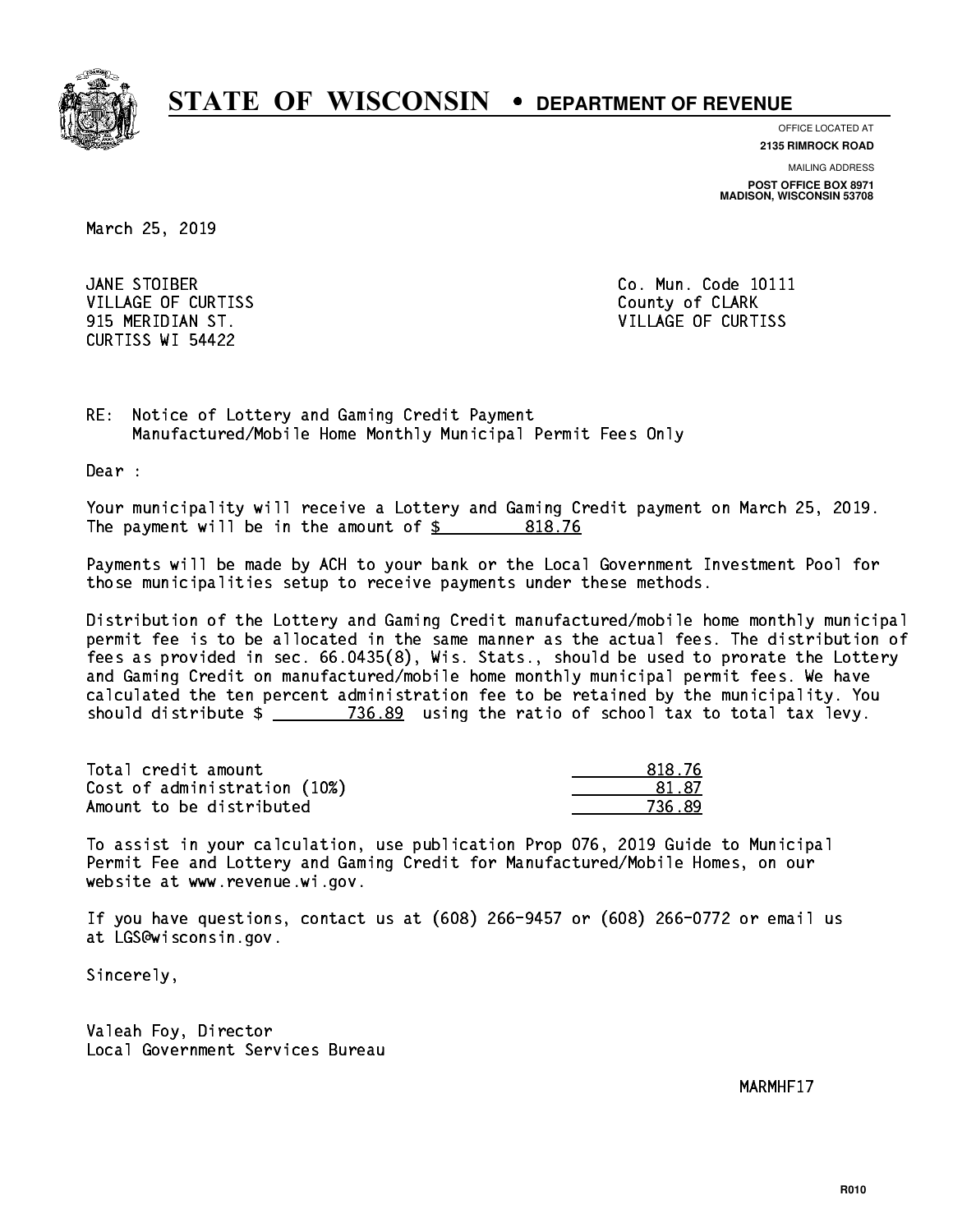

**OFFICE LOCATED AT**

**2135 RIMROCK ROAD**

**MAILING ADDRESS POST OFFICE BOX 8971 MADISON, WISCONSIN 53708**

March 25, 2019

JANE STOIBER VILLAGE OF CURTISS **County of CLARK** CURTISS WI 54422

Co. Mun. Code 10111 915 MERIDIAN ST. VILLAGE OF CURTISS

RE: Notice of Lottery and Gaming Credit Payment Manufactured/Mobile Home Monthly Municipal Permit Fees Only

Dear :

 Your municipality will receive a Lottery and Gaming Credit payment on March 25, 2019. The payment will be in the amount of  $\frac{2}{3}$  818.76

 Payments will be made by ACH to your bank or the Local Government Investment Pool for those municipalities setup to receive payments under these methods.

 Distribution of the Lottery and Gaming Credit manufactured/mobile home monthly municipal permit fee is to be allocated in the same manner as the actual fees. The distribution of fees as provided in sec. 66.0435(8), Wis. Stats., should be used to prorate the Lottery and Gaming Credit on manufactured/mobile home monthly municipal permit fees. We have calculated the ten percent administration fee to be retained by the municipality. You should distribute  $\frac{2}{2}$   $\frac{736.89}{2}$  using the ratio of school tax to total tax levy.

| Total credit amount          | 818.76       |
|------------------------------|--------------|
| Cost of administration (10%) | <b>81 87</b> |
| Amount to be distributed     | 736.89       |

 To assist in your calculation, use publication Prop 076, 2019 Guide to Municipal Permit Fee and Lottery and Gaming Credit for Manufactured/Mobile Homes, on our website at www.revenue.wi.gov.

 If you have questions, contact us at (608) 266-9457 or (608) 266-0772 or email us at LGS@wisconsin.gov.

Sincerely,

 Valeah Foy, Director Local Government Services Bureau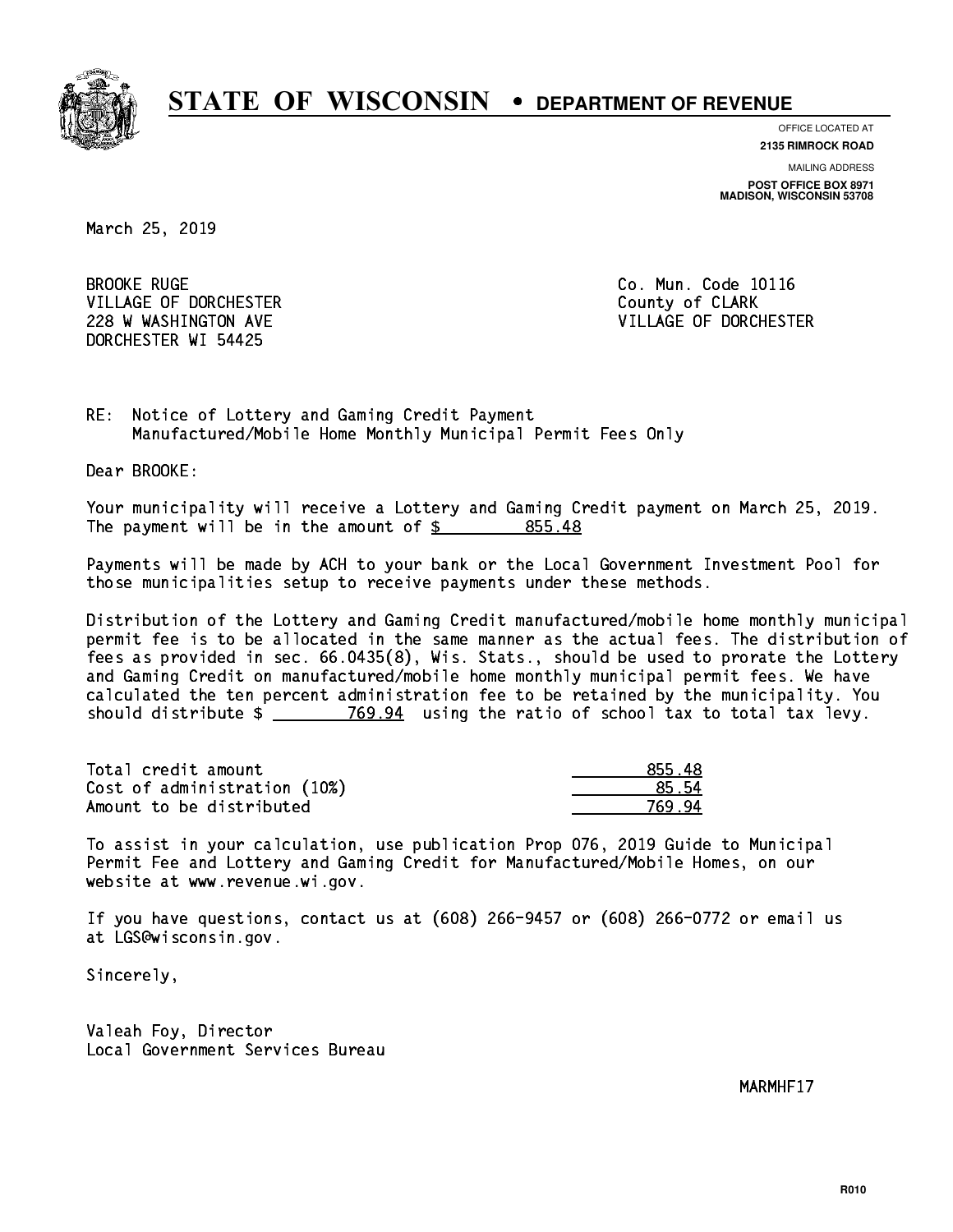

**OFFICE LOCATED AT**

**2135 RIMROCK ROAD**

**MAILING ADDRESS POST OFFICE BOX 8971 MADISON, WISCONSIN 53708**

March 25, 2019

**BROOKE RUGE** VILLAGE OF DORCHESTER **COULD ACCEPT OF CLARK** DORCHESTER WI 54425

Co. Mun. Code 10116 228 W WASHINGTON AVE **VILLAGE OF DORCHESTER** 

RE: Notice of Lottery and Gaming Credit Payment Manufactured/Mobile Home Monthly Municipal Permit Fees Only

Dear BROOKE:

 Your municipality will receive a Lottery and Gaming Credit payment on March 25, 2019. The payment will be in the amount of \$ 855.48 \_\_\_\_\_\_\_\_\_\_\_\_\_\_\_\_

 Payments will be made by ACH to your bank or the Local Government Investment Pool for those municipalities setup to receive payments under these methods.

 Distribution of the Lottery and Gaming Credit manufactured/mobile home monthly municipal permit fee is to be allocated in the same manner as the actual fees. The distribution of fees as provided in sec. 66.0435(8), Wis. Stats., should be used to prorate the Lottery and Gaming Credit on manufactured/mobile home monthly municipal permit fees. We have calculated the ten percent administration fee to be retained by the municipality. You should distribute  $\frac{2}{2}$   $\frac{769.94}{2}$  using the ratio of school tax to total tax levy.

| Total credit amount          | 855.48 |
|------------------------------|--------|
| Cost of administration (10%) | 85.54  |
| Amount to be distributed     | 769 94 |

 To assist in your calculation, use publication Prop 076, 2019 Guide to Municipal Permit Fee and Lottery and Gaming Credit for Manufactured/Mobile Homes, on our website at www.revenue.wi.gov.

 If you have questions, contact us at (608) 266-9457 or (608) 266-0772 or email us at LGS@wisconsin.gov.

Sincerely,

 Valeah Foy, Director Local Government Services Bureau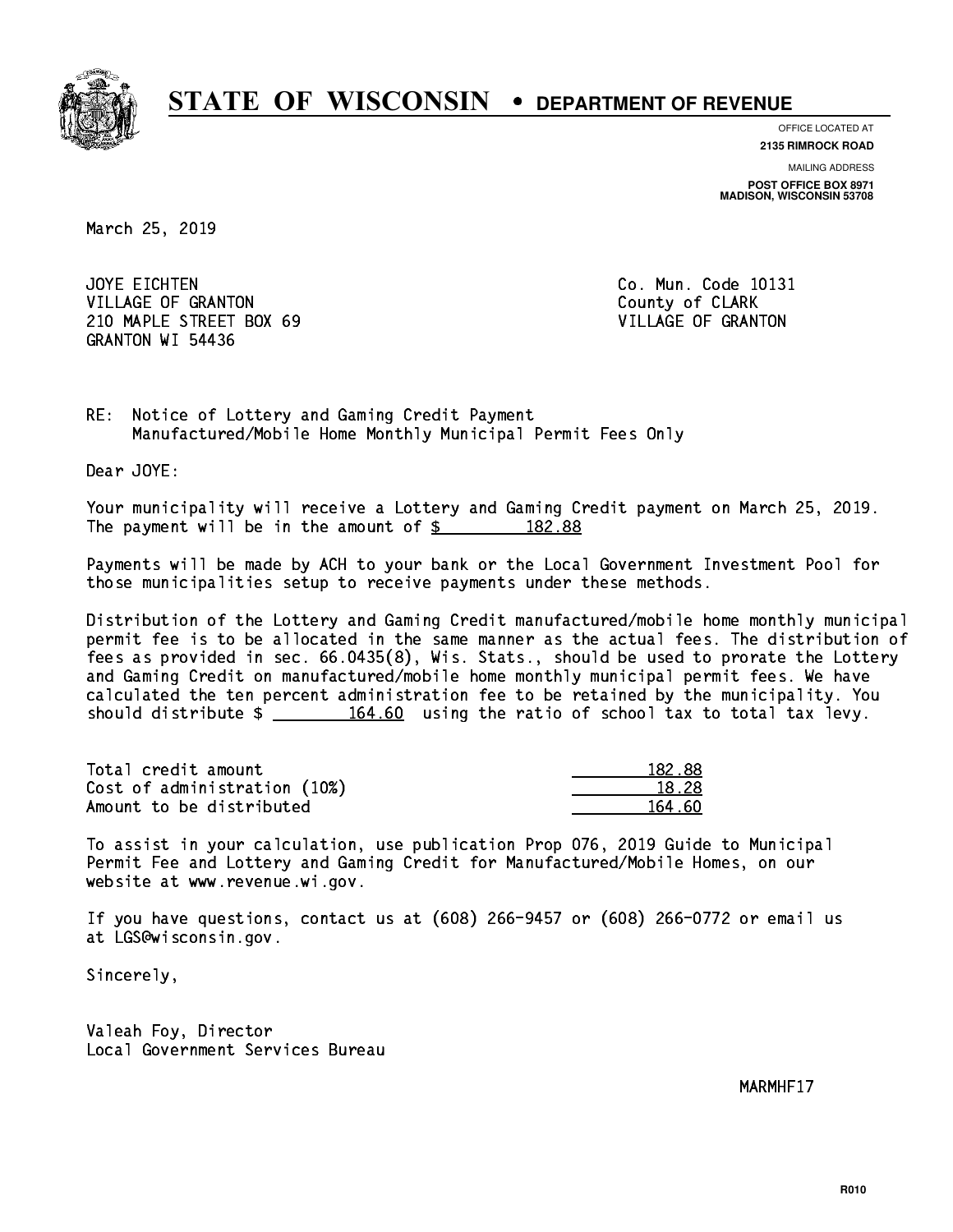

**OFFICE LOCATED AT**

**2135 RIMROCK ROAD**

**MAILING ADDRESS POST OFFICE BOX 8971 MADISON, WISCONSIN 53708**

March 25, 2019

JOYE EICHTEN VILLAGE OF GRANTON COUNTY OF CLARK 210 MAPLE STREET BOX 69 VILLAGE OF GRANTON GRANTON WI 54436

Co. Mun. Code 10131

RE: Notice of Lottery and Gaming Credit Payment Manufactured/Mobile Home Monthly Municipal Permit Fees Only

Dear JOYE:

 Your municipality will receive a Lottery and Gaming Credit payment on March 25, 2019. The payment will be in the amount of  $\frac{2}{3}$  182.88

 Payments will be made by ACH to your bank or the Local Government Investment Pool for those municipalities setup to receive payments under these methods.

 Distribution of the Lottery and Gaming Credit manufactured/mobile home monthly municipal permit fee is to be allocated in the same manner as the actual fees. The distribution of fees as provided in sec. 66.0435(8), Wis. Stats., should be used to prorate the Lottery and Gaming Credit on manufactured/mobile home monthly municipal permit fees. We have calculated the ten percent administration fee to be retained by the municipality. You should distribute  $\frac{164.60}{164.60}$  using the ratio of school tax to total tax levy.

Total credit amount Cost of administration (10%) Amount to be distributed

| 82.88 |
|-------|
| 828   |
| 4 AN  |

 To assist in your calculation, use publication Prop 076, 2019 Guide to Municipal Permit Fee and Lottery and Gaming Credit for Manufactured/Mobile Homes, on our website at www.revenue.wi.gov.

 If you have questions, contact us at (608) 266-9457 or (608) 266-0772 or email us at LGS@wisconsin.gov.

Sincerely,

 Valeah Foy, Director Local Government Services Bureau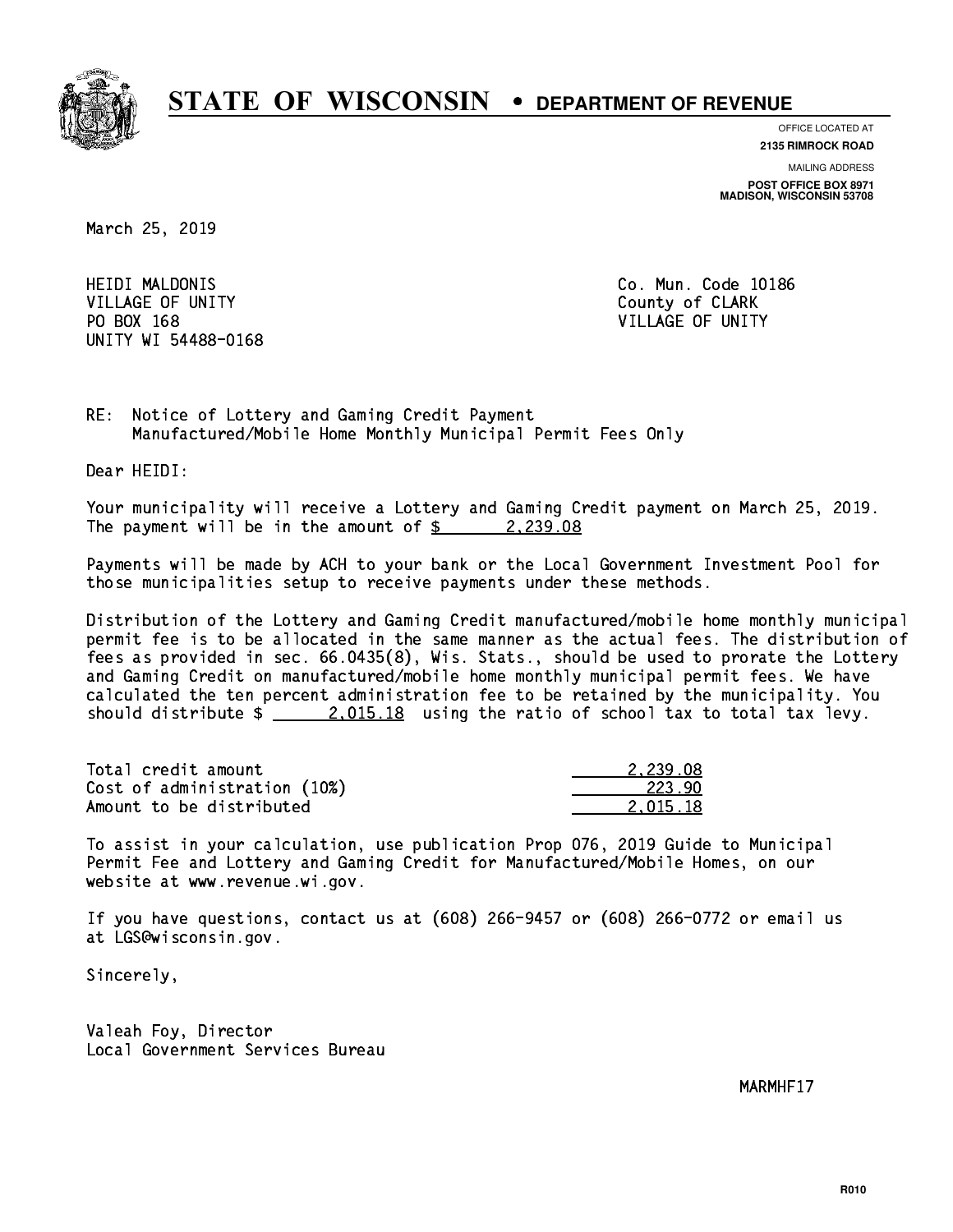

**OFFICE LOCATED AT**

**2135 RIMROCK ROAD**

**MAILING ADDRESS POST OFFICE BOX 8971 MADISON, WISCONSIN 53708**

March 25, 2019

**HEIDI MALDONIS** VILLAGE OF UNITY COUNTY COUNTY PO BOX 168 VILLAGE OF UNITY UNITY WI 54488-0168

Co. Mun. Code 10186

RE: Notice of Lottery and Gaming Credit Payment Manufactured/Mobile Home Monthly Municipal Permit Fees Only

Dear HEIDI:

 Your municipality will receive a Lottery and Gaming Credit payment on March 25, 2019. The payment will be in the amount of  $\frac{2}{3}$  2,239.08

 Payments will be made by ACH to your bank or the Local Government Investment Pool for those municipalities setup to receive payments under these methods.

 Distribution of the Lottery and Gaming Credit manufactured/mobile home monthly municipal permit fee is to be allocated in the same manner as the actual fees. The distribution of fees as provided in sec. 66.0435(8), Wis. Stats., should be used to prorate the Lottery and Gaming Credit on manufactured/mobile home monthly municipal permit fees. We have calculated the ten percent administration fee to be retained by the municipality. You should distribute  $\frac{2.015.18}{2.015.18}$  using the ratio of school tax to total tax levy.

| Total credit amount          | 2.239.08 |
|------------------------------|----------|
| Cost of administration (10%) | 223.90   |
| Amount to be distributed     | 2.015.18 |

 To assist in your calculation, use publication Prop 076, 2019 Guide to Municipal Permit Fee and Lottery and Gaming Credit for Manufactured/Mobile Homes, on our website at www.revenue.wi.gov.

 If you have questions, contact us at (608) 266-9457 or (608) 266-0772 or email us at LGS@wisconsin.gov.

Sincerely,

 Valeah Foy, Director Local Government Services Bureau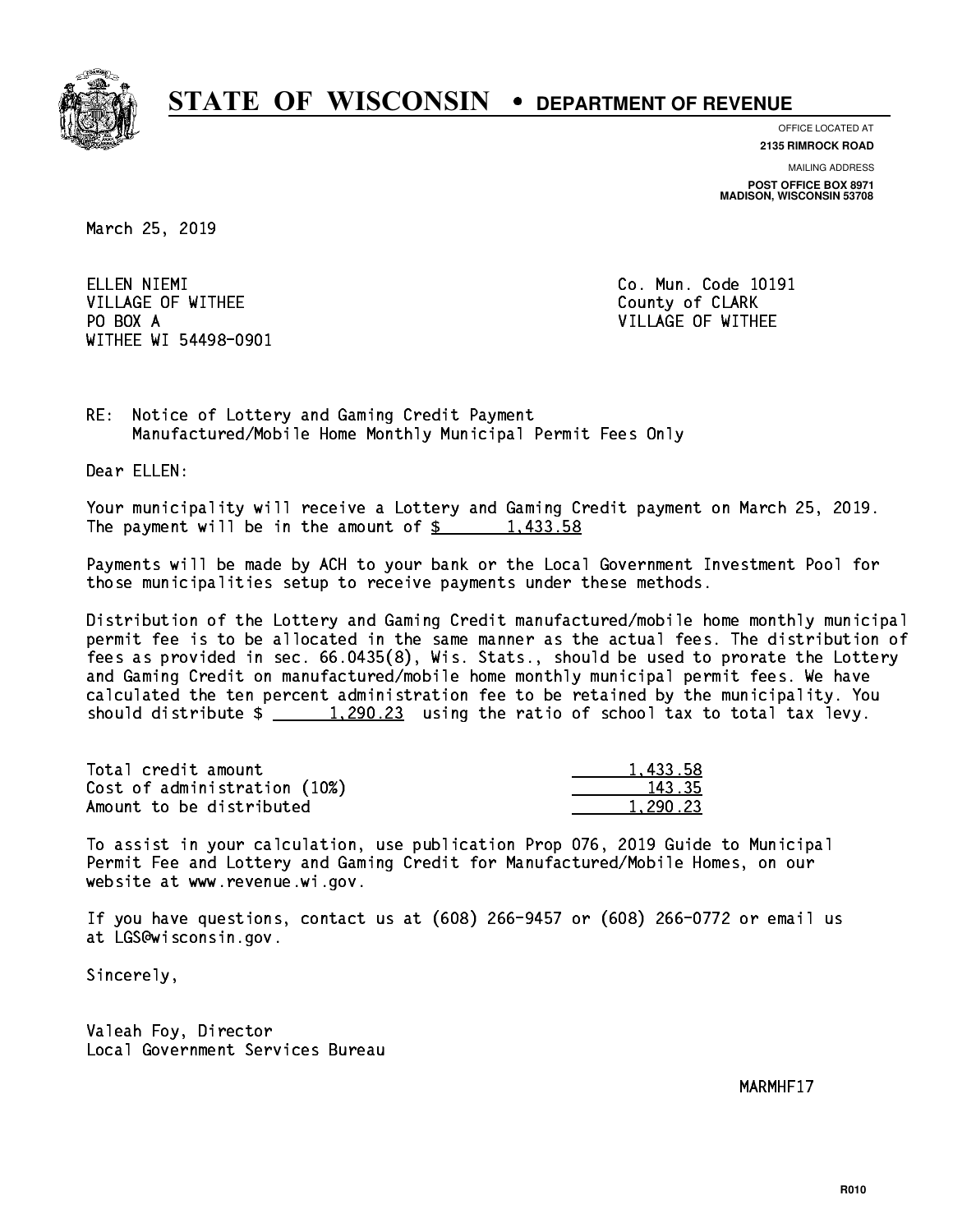

**OFFICE LOCATED AT**

**2135 RIMROCK ROAD**

**MAILING ADDRESS POST OFFICE BOX 8971 MADISON, WISCONSIN 53708**

March 25, 2019

ELLEN NIEMI VILLAGE OF WITHEE COUNTY OF CLARK PO BOX A VILLAGE OF WITHEE WITHEE WI 54498-0901

Co. Mun. Code 10191

RE: Notice of Lottery and Gaming Credit Payment Manufactured/Mobile Home Monthly Municipal Permit Fees Only

Dear ELLEN:

 Your municipality will receive a Lottery and Gaming Credit payment on March 25, 2019. The payment will be in the amount of  $\frac{2}{3}$  1,433.58

 Payments will be made by ACH to your bank or the Local Government Investment Pool for those municipalities setup to receive payments under these methods.

 Distribution of the Lottery and Gaming Credit manufactured/mobile home monthly municipal permit fee is to be allocated in the same manner as the actual fees. The distribution of fees as provided in sec. 66.0435(8), Wis. Stats., should be used to prorate the Lottery and Gaming Credit on manufactured/mobile home monthly municipal permit fees. We have calculated the ten percent administration fee to be retained by the municipality. You should distribute  $\frac{1,290.23}{1,290.23}$  using the ratio of school tax to total tax levy.

| Total credit amount          | 1.433.58 |
|------------------------------|----------|
| Cost of administration (10%) | 143.35   |
| Amount to be distributed     | 1,290.23 |

 To assist in your calculation, use publication Prop 076, 2019 Guide to Municipal Permit Fee and Lottery and Gaming Credit for Manufactured/Mobile Homes, on our website at www.revenue.wi.gov.

 If you have questions, contact us at (608) 266-9457 or (608) 266-0772 or email us at LGS@wisconsin.gov.

Sincerely,

 Valeah Foy, Director Local Government Services Bureau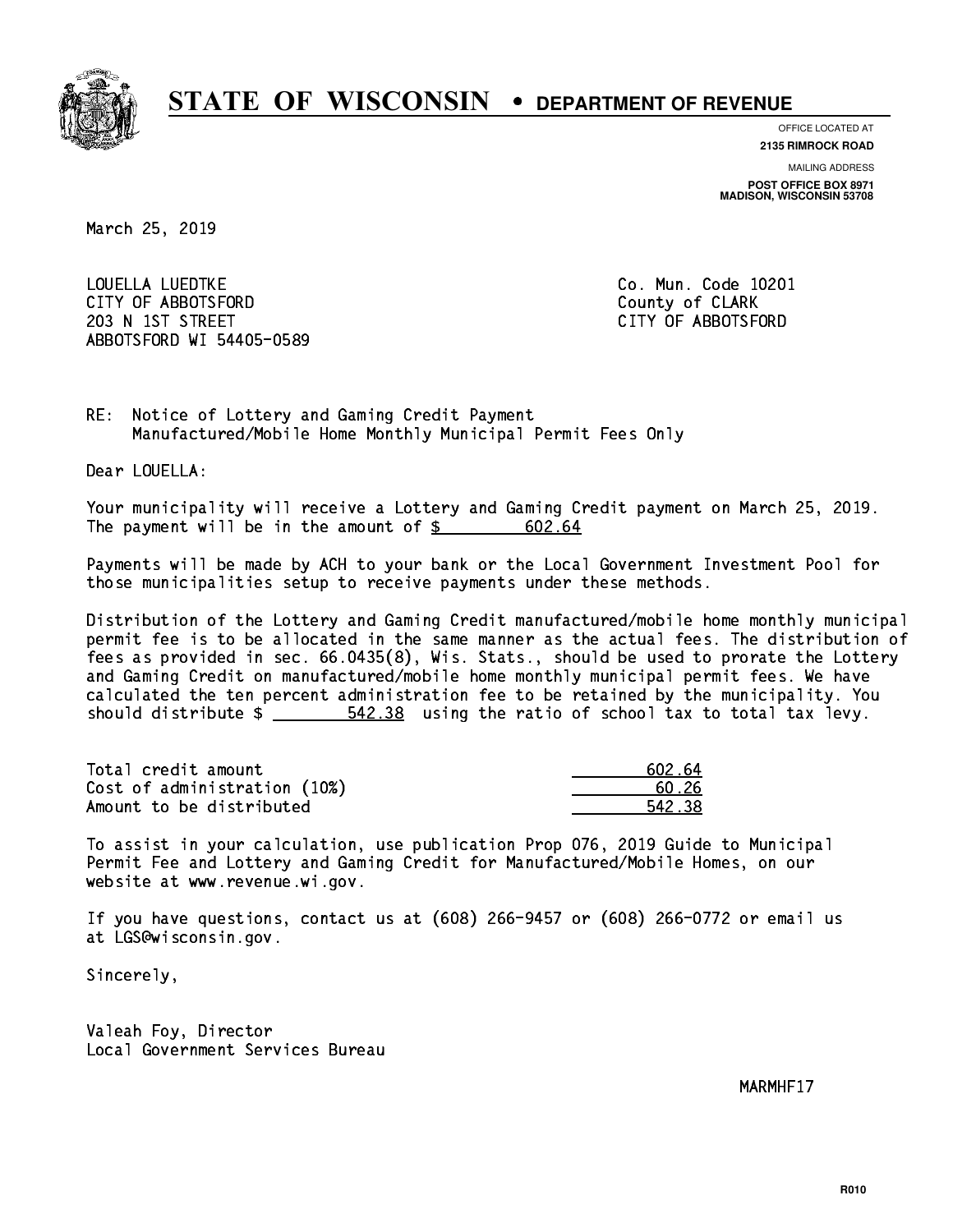

**OFFICE LOCATED AT**

**2135 RIMROCK ROAD**

**MAILING ADDRESS POST OFFICE BOX 8971 MADISON, WISCONSIN 53708**

March 25, 2019

 LOUELLA LUEDTKE Co. Mun. Code 10201 CITY OF ABBOTSFORD County of CLARK 203 N 1ST STREET CITY OF ABBOTSFORD ABBOTSFORD WI 54405-0589

RE: Notice of Lottery and Gaming Credit Payment Manufactured/Mobile Home Monthly Municipal Permit Fees Only

Dear LOUELLA:

 Your municipality will receive a Lottery and Gaming Credit payment on March 25, 2019. The payment will be in the amount of  $\frac{2}{3}$ 602.64

 Payments will be made by ACH to your bank or the Local Government Investment Pool for those municipalities setup to receive payments under these methods.

 Distribution of the Lottery and Gaming Credit manufactured/mobile home monthly municipal permit fee is to be allocated in the same manner as the actual fees. The distribution of fees as provided in sec. 66.0435(8), Wis. Stats., should be used to prorate the Lottery and Gaming Credit on manufactured/mobile home monthly municipal permit fees. We have calculated the ten percent administration fee to be retained by the municipality. You should distribute  $\frac{2}{1}$   $\frac{542.38}{2}$  using the ratio of school tax to total tax levy.

Total credit amount Cost of administration (10%) Amount to be distributed

| 602.64 |
|--------|
| 0.26   |
| 542 38 |

 To assist in your calculation, use publication Prop 076, 2019 Guide to Municipal Permit Fee and Lottery and Gaming Credit for Manufactured/Mobile Homes, on our website at www.revenue.wi.gov.

 If you have questions, contact us at (608) 266-9457 or (608) 266-0772 or email us at LGS@wisconsin.gov.

Sincerely,

 Valeah Foy, Director Local Government Services Bureau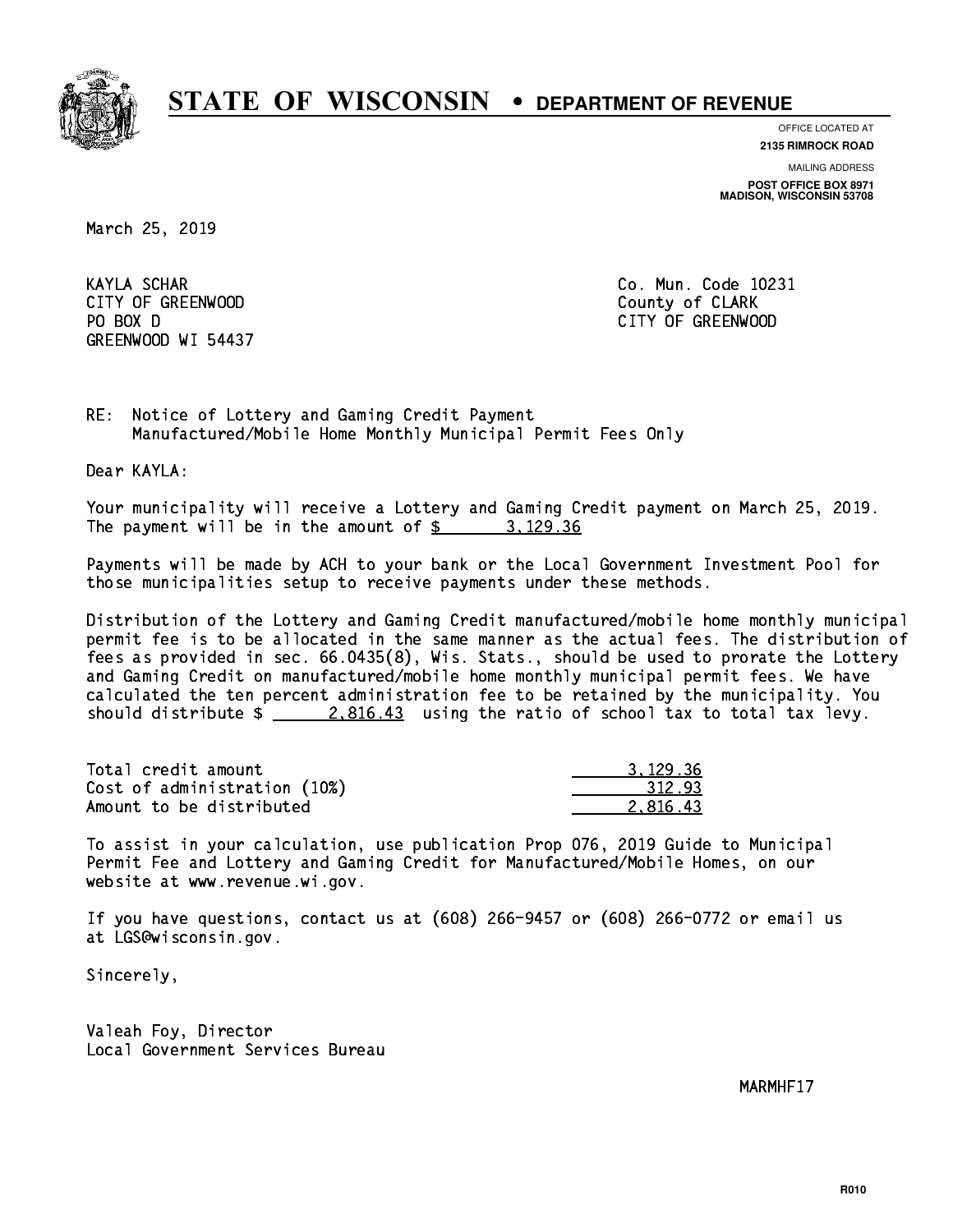

**OFFICE LOCATED AT**

**2135 RIMROCK ROAD**

**MAILING ADDRESS POST OFFICE BOX 8971 MADISON, WISCONSIN 53708**

March 25, 2019

 KAYLA SCHAR Co. Mun. Code 10231 CITY OF GREENWOOD COUNTY COUNTY OF CLARK PO BOX D GREENWOOD WI 54437

CITY OF GREENWOOD

RE: Notice of Lottery and Gaming Credit Payment Manufactured/Mobile Home Monthly Municipal Permit Fees Only

Dear KAYLA:

 Your municipality will receive a Lottery and Gaming Credit payment on March 25, 2019. The payment will be in the amount of \$ 3,129.36 \_\_\_\_\_\_\_\_\_\_\_\_\_\_\_\_

 Payments will be made by ACH to your bank or the Local Government Investment Pool for those municipalities setup to receive payments under these methods.

 Distribution of the Lottery and Gaming Credit manufactured/mobile home monthly municipal permit fee is to be allocated in the same manner as the actual fees. The distribution of fees as provided in sec. 66.0435(8), Wis. Stats., should be used to prorate the Lottery and Gaming Credit on manufactured/mobile home monthly municipal permit fees. We have calculated the ten percent administration fee to be retained by the municipality. You should distribute  $\frac{2.816.43}{2.816.43}$  using the ratio of school tax to total tax levy.

| Total credit amount          | 3.129.36 |
|------------------------------|----------|
| Cost of administration (10%) | 312.93   |
| Amount to be distributed     | 2.816.43 |

 To assist in your calculation, use publication Prop 076, 2019 Guide to Municipal Permit Fee and Lottery and Gaming Credit for Manufactured/Mobile Homes, on our website at www.revenue.wi.gov.

 If you have questions, contact us at (608) 266-9457 or (608) 266-0772 or email us at LGS@wisconsin.gov.

Sincerely,

 Valeah Foy, Director Local Government Services Bureau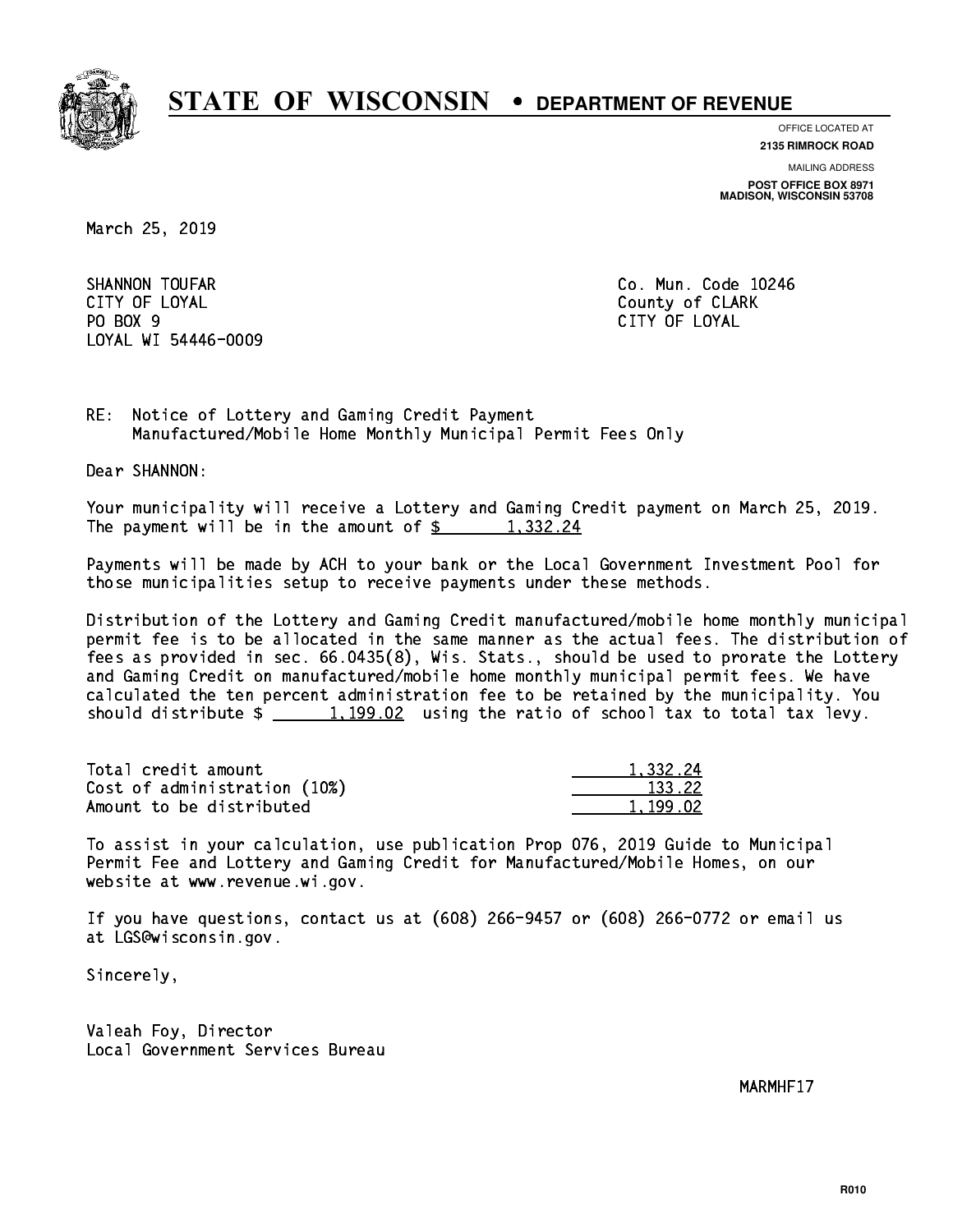

**OFFICE LOCATED AT**

**MAILING ADDRESS 2135 RIMROCK ROAD**

**POST OFFICE BOX 8971 MADISON, WISCONSIN 53708**

March 25, 2019

SHANNON TOUFAR Co. Mun. Code 10246 CITY OF LOYAL County of CLARK PO BOX 9 PO BOX 9 CITY OF LOYAL LOYAL WI 54446-0009

CITY OF LOYAL

RE: Notice of Lottery and Gaming Credit Payment Manufactured/Mobile Home Monthly Municipal Permit Fees Only

Dear SHANNON:

 Your municipality will receive a Lottery and Gaming Credit payment on March 25, 2019. The payment will be in the amount of  $\frac{2}{3}$  1,332.24

 Payments will be made by ACH to your bank or the Local Government Investment Pool for those municipalities setup to receive payments under these methods.

 Distribution of the Lottery and Gaming Credit manufactured/mobile home monthly municipal permit fee is to be allocated in the same manner as the actual fees. The distribution of fees as provided in sec. 66.0435(8), Wis. Stats., should be used to prorate the Lottery and Gaming Credit on manufactured/mobile home monthly municipal permit fees. We have calculated the ten percent administration fee to be retained by the municipality. You should distribute  $\frac{1,199.02}{1,199.02}$  using the ratio of school tax to total tax levy.

| Total credit amount          | 1.332.24 |
|------------------------------|----------|
| Cost of administration (10%) | 133.22   |
| Amount to be distributed     | 1.199.02 |

 To assist in your calculation, use publication Prop 076, 2019 Guide to Municipal Permit Fee and Lottery and Gaming Credit for Manufactured/Mobile Homes, on our website at www.revenue.wi.gov.

 If you have questions, contact us at (608) 266-9457 or (608) 266-0772 or email us at LGS@wisconsin.gov.

Sincerely,

 Valeah Foy, Director Local Government Services Bureau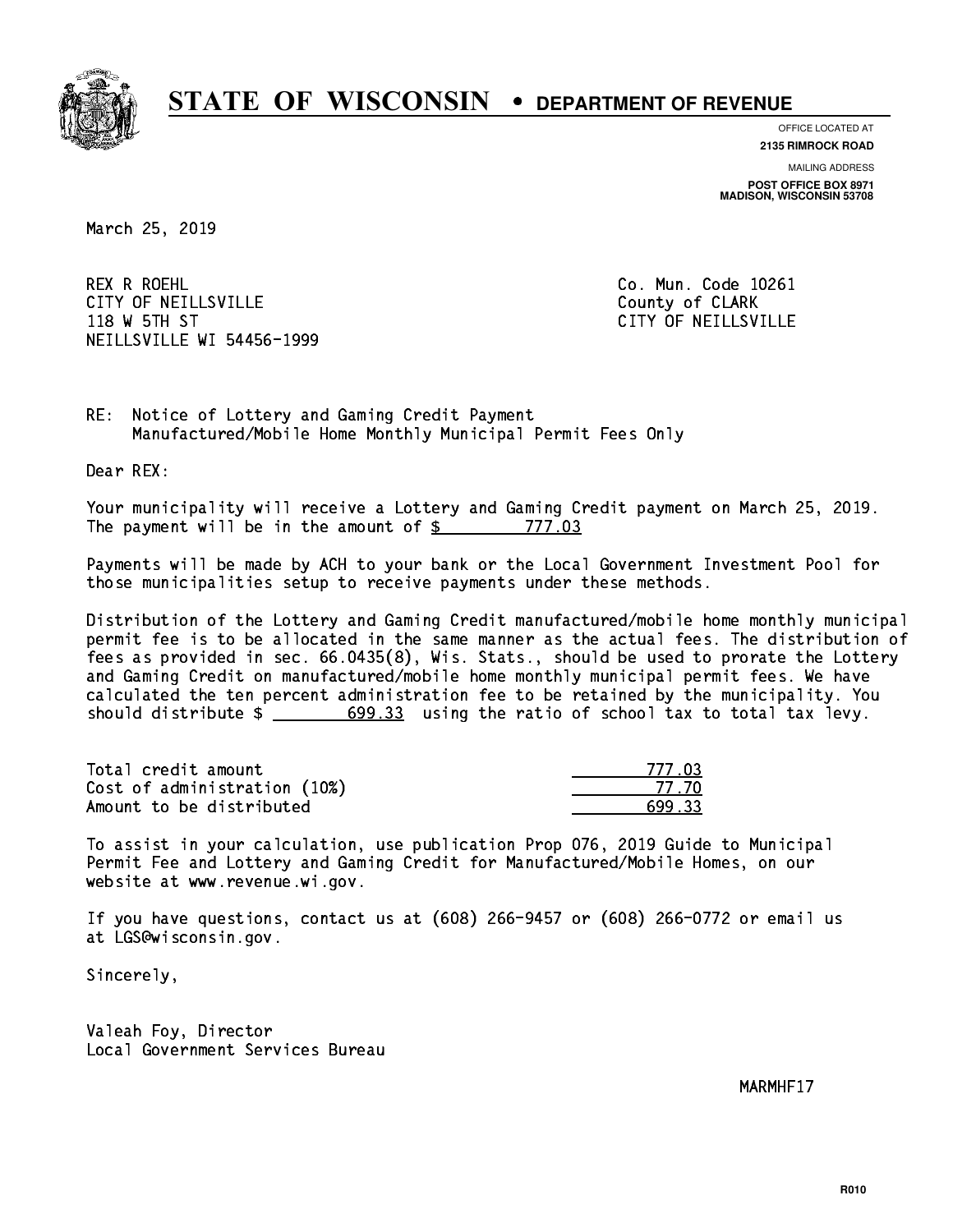

**OFFICE LOCATED AT**

**2135 RIMROCK ROAD**

**MAILING ADDRESS POST OFFICE BOX 8971 MADISON, WISCONSIN 53708**

March 25, 2019

 REX R ROEHL Co. Mun. Code 10261 CITY OF NEILLSVILLE **COUNTY COULD AND COULD COULD COULD** COUNTY OF CLARK 118 W 5TH ST CITY OF NEILLSVILLE NEILLSVILLE WI 54456-1999

RE: Notice of Lottery and Gaming Credit Payment Manufactured/Mobile Home Monthly Municipal Permit Fees Only

Dear REX:

 Your municipality will receive a Lottery and Gaming Credit payment on March 25, 2019. The payment will be in the amount of \$ 777.03 \_\_\_\_\_\_\_\_\_\_\_\_\_\_\_\_

 Payments will be made by ACH to your bank or the Local Government Investment Pool for those municipalities setup to receive payments under these methods.

 Distribution of the Lottery and Gaming Credit manufactured/mobile home monthly municipal permit fee is to be allocated in the same manner as the actual fees. The distribution of fees as provided in sec. 66.0435(8), Wis. Stats., should be used to prorate the Lottery and Gaming Credit on manufactured/mobile home monthly municipal permit fees. We have calculated the ten percent administration fee to be retained by the municipality. You should distribute  $\frac{2}{1}$   $\frac{699.33}{2}$  using the ratio of school tax to total tax levy.

| Total credit amount          | 777 N3 |
|------------------------------|--------|
| Cost of administration (10%) | -77.70 |
| Amount to be distributed     | 699.33 |

| ' <i>'''</i> r |
|----------------|
| 77 - 711       |
| - २२           |

 To assist in your calculation, use publication Prop 076, 2019 Guide to Municipal Permit Fee and Lottery and Gaming Credit for Manufactured/Mobile Homes, on our website at www.revenue.wi.gov.

 If you have questions, contact us at (608) 266-9457 or (608) 266-0772 or email us at LGS@wisconsin.gov.

Sincerely,

 Valeah Foy, Director Local Government Services Bureau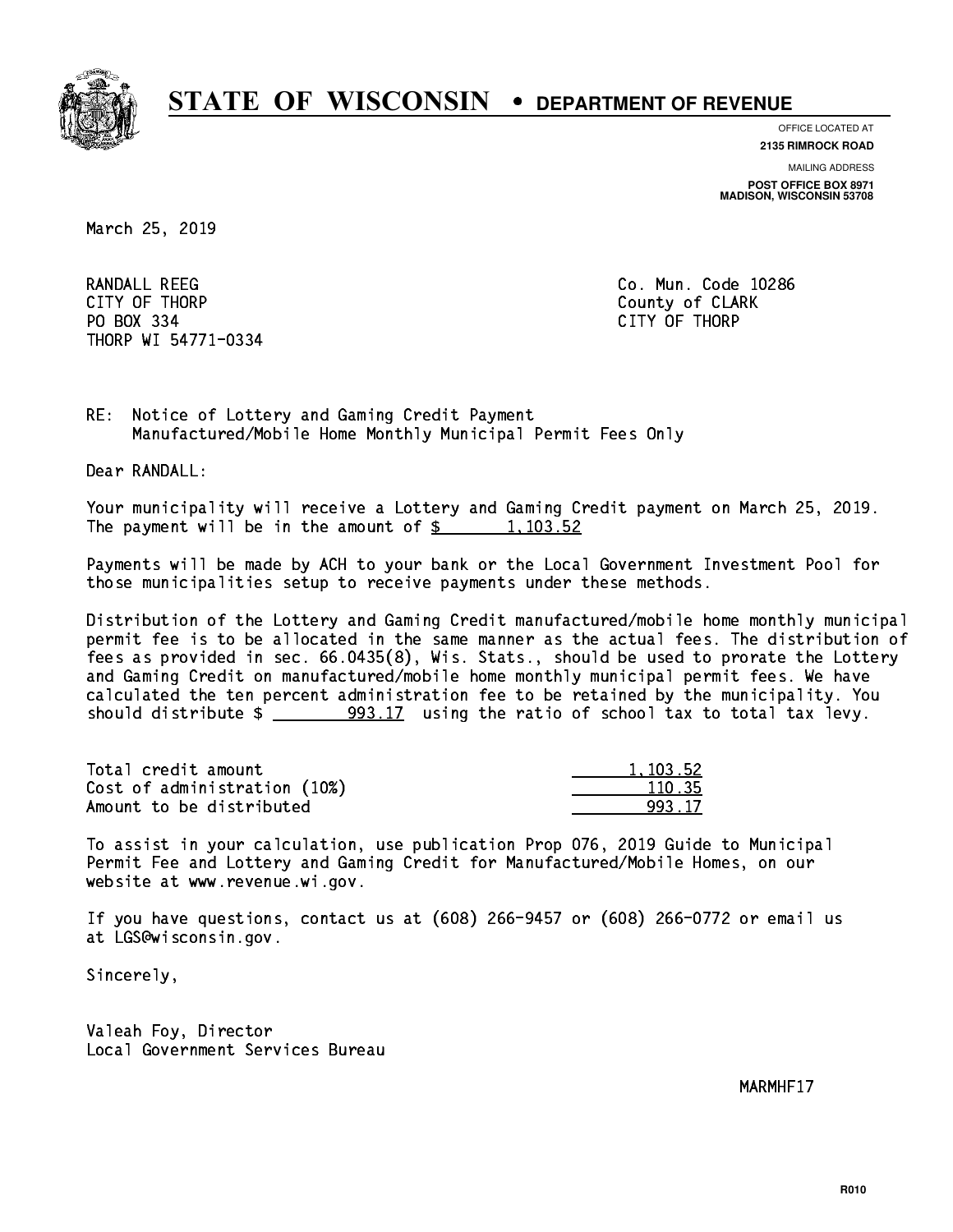

**OFFICE LOCATED AT 2135 RIMROCK ROAD**

**MAILING ADDRESS**

**POST OFFICE BOX 8971 MADISON, WISCONSIN 53708**

March 25, 2019

 RANDALL REEG Co. Mun. Code 10286 CITY OF THE CITY OF THE COUNTY OF THE COUNTY OF COUNTY OF COUNTY OF COUNTY OF COUNTY OF COUNTY OF COUNTY OF COUNTY OF COUNTY OF COUNTY OF COUNTY OF COUNTY OF COUNTY OF COUNTY OF COUNTY OF COUNTY OF COUNTY OF COUNTY OF COUN PO BOX 334 PO BOX 334 CITY OF THORP THORP WI 54771-0334

RE: Notice of Lottery and Gaming Credit Payment Manufactured/Mobile Home Monthly Municipal Permit Fees Only

Dear RANDALL:

 Your municipality will receive a Lottery and Gaming Credit payment on March 25, 2019. The payment will be in the amount of  $\frac{2}{3}$  1,103.52

 Payments will be made by ACH to your bank or the Local Government Investment Pool for those municipalities setup to receive payments under these methods.

 Distribution of the Lottery and Gaming Credit manufactured/mobile home monthly municipal permit fee is to be allocated in the same manner as the actual fees. The distribution of fees as provided in sec. 66.0435(8), Wis. Stats., should be used to prorate the Lottery and Gaming Credit on manufactured/mobile home monthly municipal permit fees. We have calculated the ten percent administration fee to be retained by the municipality. You should distribute \$ 993.17 using the ratio of school tax to total tax levy. \_\_\_\_\_\_\_\_\_\_\_\_\_\_

| Total credit amount          | 1.103.52 |
|------------------------------|----------|
| Cost of administration (10%) | 110.35   |
| Amount to be distributed     | 993 17   |

 To assist in your calculation, use publication Prop 076, 2019 Guide to Municipal Permit Fee and Lottery and Gaming Credit for Manufactured/Mobile Homes, on our website at www.revenue.wi.gov.

 If you have questions, contact us at (608) 266-9457 or (608) 266-0772 or email us at LGS@wisconsin.gov.

Sincerely,

 Valeah Foy, Director Local Government Services Bureau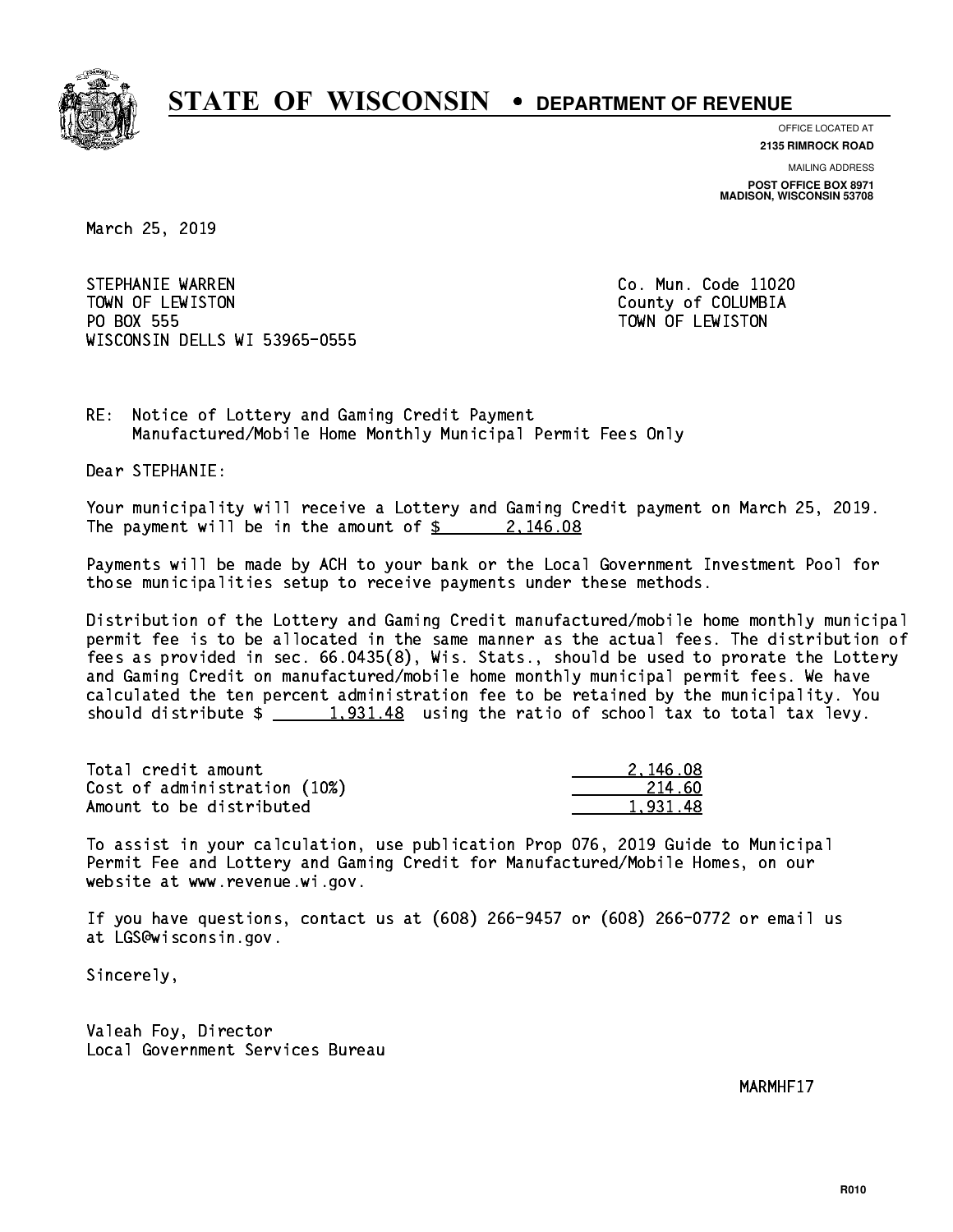

**OFFICE LOCATED AT**

**2135 RIMROCK ROAD**

**MAILING ADDRESS POST OFFICE BOX 8971 MADISON, WISCONSIN 53708**

March 25, 2019

STEPHANIE WARREN CO. Mun. Code 11020 TOWN OF LEWISTON County of COLUMBIA PO BOX 555 PO BOX 555 TOWN OF LEWISTON WISCONSIN DELLS WI 53965-0555

RE: Notice of Lottery and Gaming Credit Payment Manufactured/Mobile Home Monthly Municipal Permit Fees Only

Dear STEPHANIE:

 Your municipality will receive a Lottery and Gaming Credit payment on March 25, 2019. The payment will be in the amount of  $\frac{2}{3}$  2, 146.08

 Payments will be made by ACH to your bank or the Local Government Investment Pool for those municipalities setup to receive payments under these methods.

 Distribution of the Lottery and Gaming Credit manufactured/mobile home monthly municipal permit fee is to be allocated in the same manner as the actual fees. The distribution of fees as provided in sec. 66.0435(8), Wis. Stats., should be used to prorate the Lottery and Gaming Credit on manufactured/mobile home monthly municipal permit fees. We have calculated the ten percent administration fee to be retained by the municipality. You should distribute  $\frac{1,931.48}{2}$  using the ratio of school tax to total tax levy.

| Total credit amount          | 2.146.08 |
|------------------------------|----------|
| Cost of administration (10%) | -214.60  |
| Amount to be distributed     | 1.931.48 |

 To assist in your calculation, use publication Prop 076, 2019 Guide to Municipal Permit Fee and Lottery and Gaming Credit for Manufactured/Mobile Homes, on our website at www.revenue.wi.gov.

 If you have questions, contact us at (608) 266-9457 or (608) 266-0772 or email us at LGS@wisconsin.gov.

Sincerely,

 Valeah Foy, Director Local Government Services Bureau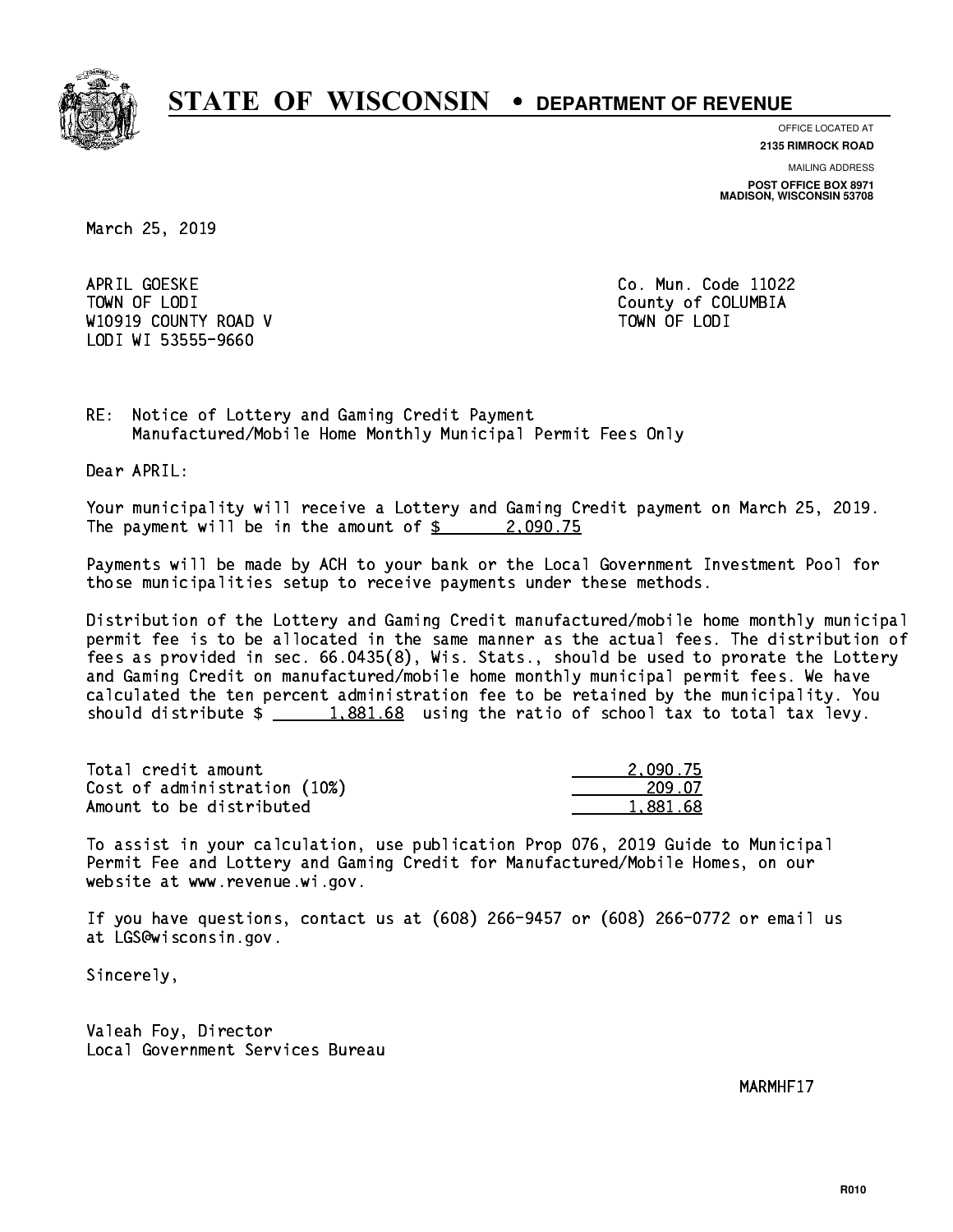

**OFFICE LOCATED AT**

**2135 RIMROCK ROAD**

**MAILING ADDRESS POST OFFICE BOX 8971 MADISON, WISCONSIN 53708**

March 25, 2019

APRIL GOESKE TOWN OF LODI County of COLUMBIA W10919 COUNTY ROAD V TOWN OF LODI LODI WI 53555-9660

Co. Mun. Code 11022

RE: Notice of Lottery and Gaming Credit Payment Manufactured/Mobile Home Monthly Municipal Permit Fees Only

Dear APRIL:

 Your municipality will receive a Lottery and Gaming Credit payment on March 25, 2019. The payment will be in the amount of  $\frac{2}{3}$  2,090.75

 Payments will be made by ACH to your bank or the Local Government Investment Pool for those municipalities setup to receive payments under these methods.

 Distribution of the Lottery and Gaming Credit manufactured/mobile home monthly municipal permit fee is to be allocated in the same manner as the actual fees. The distribution of fees as provided in sec. 66.0435(8), Wis. Stats., should be used to prorate the Lottery and Gaming Credit on manufactured/mobile home monthly municipal permit fees. We have calculated the ten percent administration fee to be retained by the municipality. You should distribute  $\frac{1,881.68}{1,881.68}$  using the ratio of school tax to total tax levy.

| Total credit amount          | 2.090.75 |
|------------------------------|----------|
| Cost of administration (10%) | 209.07   |
| Amount to be distributed     | 1.881.68 |

 To assist in your calculation, use publication Prop 076, 2019 Guide to Municipal Permit Fee and Lottery and Gaming Credit for Manufactured/Mobile Homes, on our website at www.revenue.wi.gov.

 If you have questions, contact us at (608) 266-9457 or (608) 266-0772 or email us at LGS@wisconsin.gov.

Sincerely,

 Valeah Foy, Director Local Government Services Bureau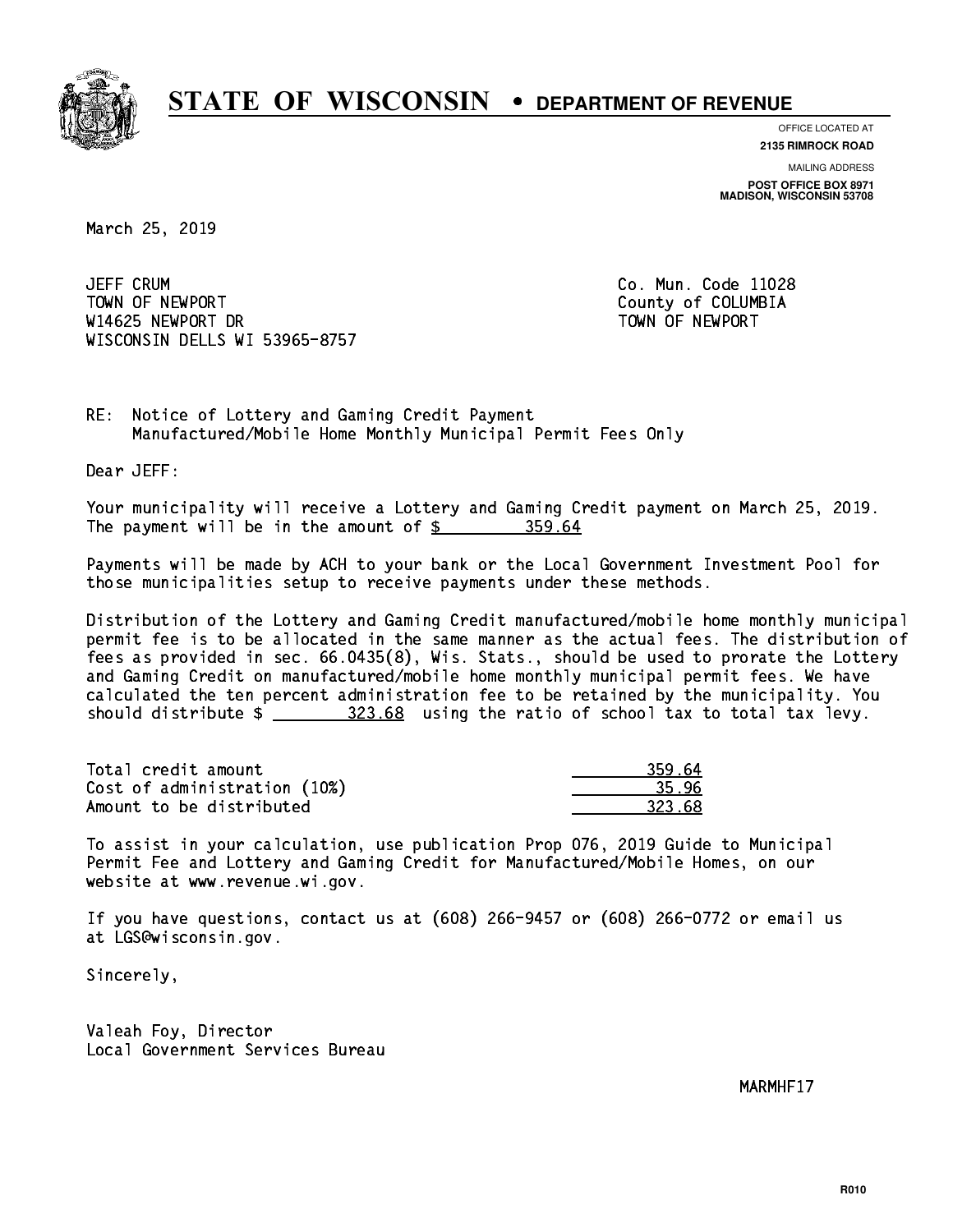

**OFFICE LOCATED AT**

**2135 RIMROCK ROAD**

**MAILING ADDRESS POST OFFICE BOX 8971 MADISON, WISCONSIN 53708**

March 25, 2019

**JEFF CRUM**  TOWN OF NEWPORT County of COLUMBIA W14625 NEWPORT DR TOWN OF NEWPORT WISCONSIN DELLS WI 53965-8757

Co. Mun. Code 11028

RE: Notice of Lottery and Gaming Credit Payment Manufactured/Mobile Home Monthly Municipal Permit Fees Only

Dear JEFF:

 Your municipality will receive a Lottery and Gaming Credit payment on March 25, 2019. The payment will be in the amount of  $\frac{25}{10}$  359.64

 Payments will be made by ACH to your bank or the Local Government Investment Pool for those municipalities setup to receive payments under these methods.

 Distribution of the Lottery and Gaming Credit manufactured/mobile home monthly municipal permit fee is to be allocated in the same manner as the actual fees. The distribution of fees as provided in sec. 66.0435(8), Wis. Stats., should be used to prorate the Lottery and Gaming Credit on manufactured/mobile home monthly municipal permit fees. We have calculated the ten percent administration fee to be retained by the municipality. You should distribute  $\frac{223.68}{2}$  using the ratio of school tax to total tax levy.

| Total credit amount          | 359.64 |
|------------------------------|--------|
| Cost of administration (10%) | 35.96  |
| Amount to be distributed     | 323.68 |

 To assist in your calculation, use publication Prop 076, 2019 Guide to Municipal Permit Fee and Lottery and Gaming Credit for Manufactured/Mobile Homes, on our website at www.revenue.wi.gov.

 If you have questions, contact us at (608) 266-9457 or (608) 266-0772 or email us at LGS@wisconsin.gov.

Sincerely,

 Valeah Foy, Director Local Government Services Bureau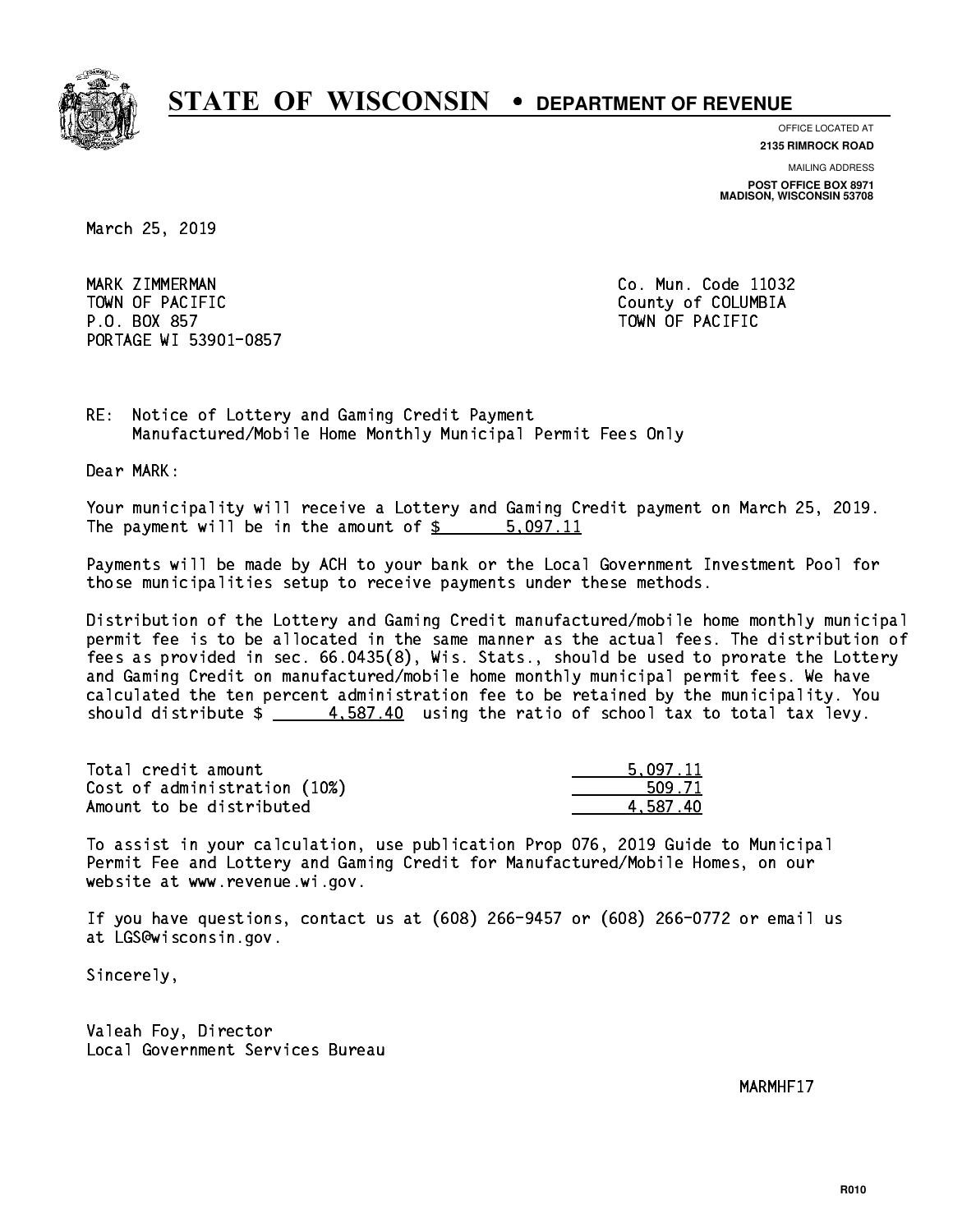

**OFFICE LOCATED AT**

**2135 RIMROCK ROAD**

**MAILING ADDRESS POST OFFICE BOX 8971 MADISON, WISCONSIN 53708**

March 25, 2019

MARK ZIMMERMAN TOWN OF PACIFIC **COLLECTION** COUNTY OF COLUMBIA P.O. BOX 857 TOWN OF PACIFIC PORTAGE WI 53901-0857

Co. Mun. Code 11032

RE: Notice of Lottery and Gaming Credit Payment Manufactured/Mobile Home Monthly Municipal Permit Fees Only

Dear MARK:

 Your municipality will receive a Lottery and Gaming Credit payment on March 25, 2019. The payment will be in the amount of \$ 5,097.11 \_\_\_\_\_\_\_\_\_\_\_\_\_\_\_\_

 Payments will be made by ACH to your bank or the Local Government Investment Pool for those municipalities setup to receive payments under these methods.

 Distribution of the Lottery and Gaming Credit manufactured/mobile home monthly municipal permit fee is to be allocated in the same manner as the actual fees. The distribution of fees as provided in sec. 66.0435(8), Wis. Stats., should be used to prorate the Lottery and Gaming Credit on manufactured/mobile home monthly municipal permit fees. We have calculated the ten percent administration fee to be retained by the municipality. You should distribute  $\frac{2}{1}$   $\frac{4.587.40}{1000}$  using the ratio of school tax to total tax levy.

| Total credit amount          | 5.097.11 |
|------------------------------|----------|
| Cost of administration (10%) | 509.71   |
| Amount to be distributed     | 4.587.40 |

 To assist in your calculation, use publication Prop 076, 2019 Guide to Municipal Permit Fee and Lottery and Gaming Credit for Manufactured/Mobile Homes, on our website at www.revenue.wi.gov.

 If you have questions, contact us at (608) 266-9457 or (608) 266-0772 or email us at LGS@wisconsin.gov.

Sincerely,

 Valeah Foy, Director Local Government Services Bureau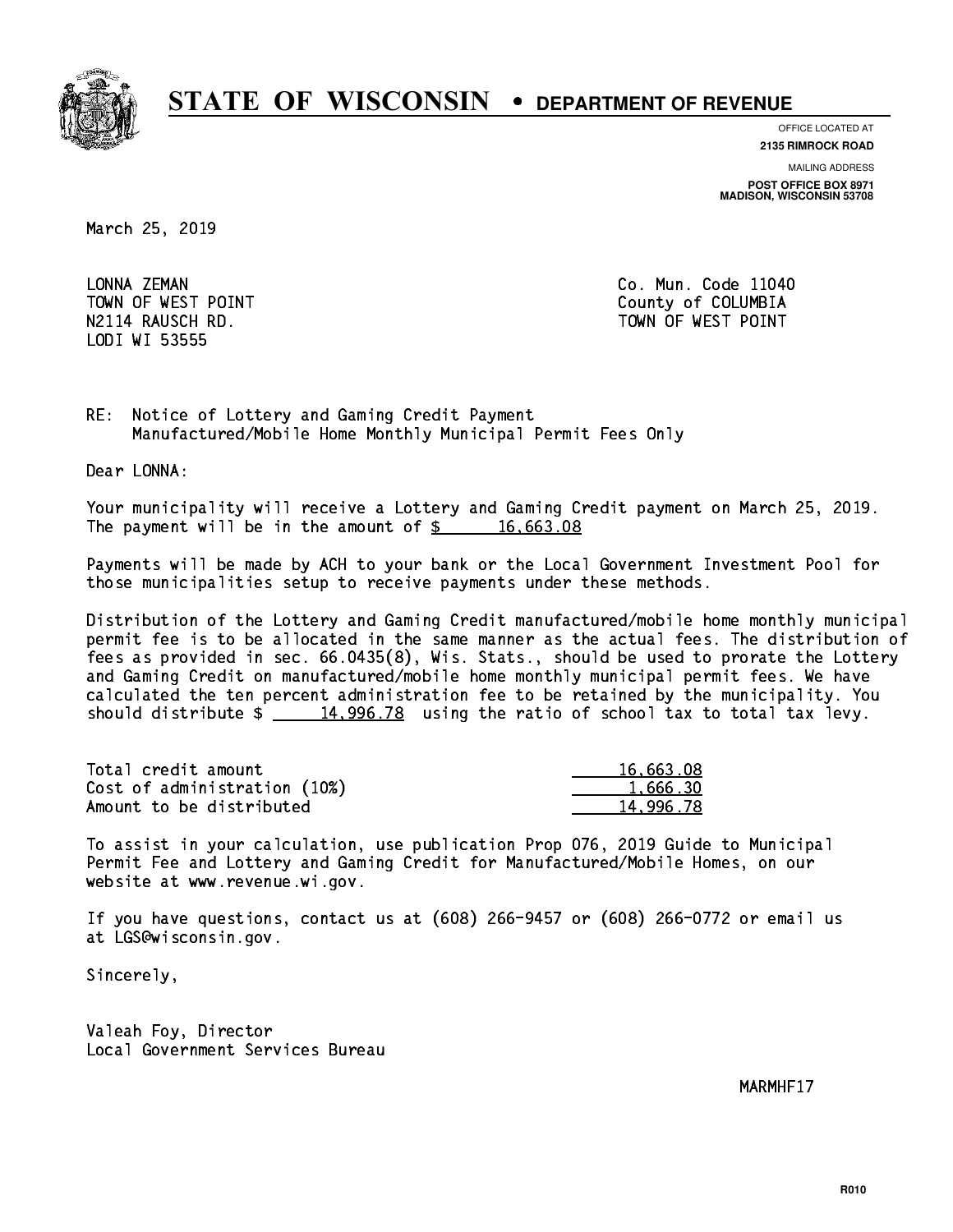

**OFFICE LOCATED AT**

**2135 RIMROCK ROAD**

**MAILING ADDRESS POST OFFICE BOX 8971 MADISON, WISCONSIN 53708**

March 25, 2019

LONNA ZEMAN LODI WI 53555

Co. Mun. Code 11040 TOWN OF WEST POINT County of COLUMBIA N2114 RAUSCH RD. TOWN OF WEST POINT

RE: Notice of Lottery and Gaming Credit Payment Manufactured/Mobile Home Monthly Municipal Permit Fees Only

Dear LONNA:

 Your municipality will receive a Lottery and Gaming Credit payment on March 25, 2019. The payment will be in the amount of  $\frac{2}{3}$  16,663.08

 Payments will be made by ACH to your bank or the Local Government Investment Pool for those municipalities setup to receive payments under these methods.

 Distribution of the Lottery and Gaming Credit manufactured/mobile home monthly municipal permit fee is to be allocated in the same manner as the actual fees. The distribution of fees as provided in sec. 66.0435(8), Wis. Stats., should be used to prorate the Lottery and Gaming Credit on manufactured/mobile home monthly municipal permit fees. We have calculated the ten percent administration fee to be retained by the municipality. You should distribute  $\frac{14,996.78}{2}$  using the ratio of school tax to total tax levy.

| Total credit amount          | 16,663.08 |
|------------------------------|-----------|
| Cost of administration (10%) | 1.666.30  |
| Amount to be distributed     | 14,996.78 |

 To assist in your calculation, use publication Prop 076, 2019 Guide to Municipal Permit Fee and Lottery and Gaming Credit for Manufactured/Mobile Homes, on our website at www.revenue.wi.gov.

 If you have questions, contact us at (608) 266-9457 or (608) 266-0772 or email us at LGS@wisconsin.gov.

Sincerely,

 Valeah Foy, Director Local Government Services Bureau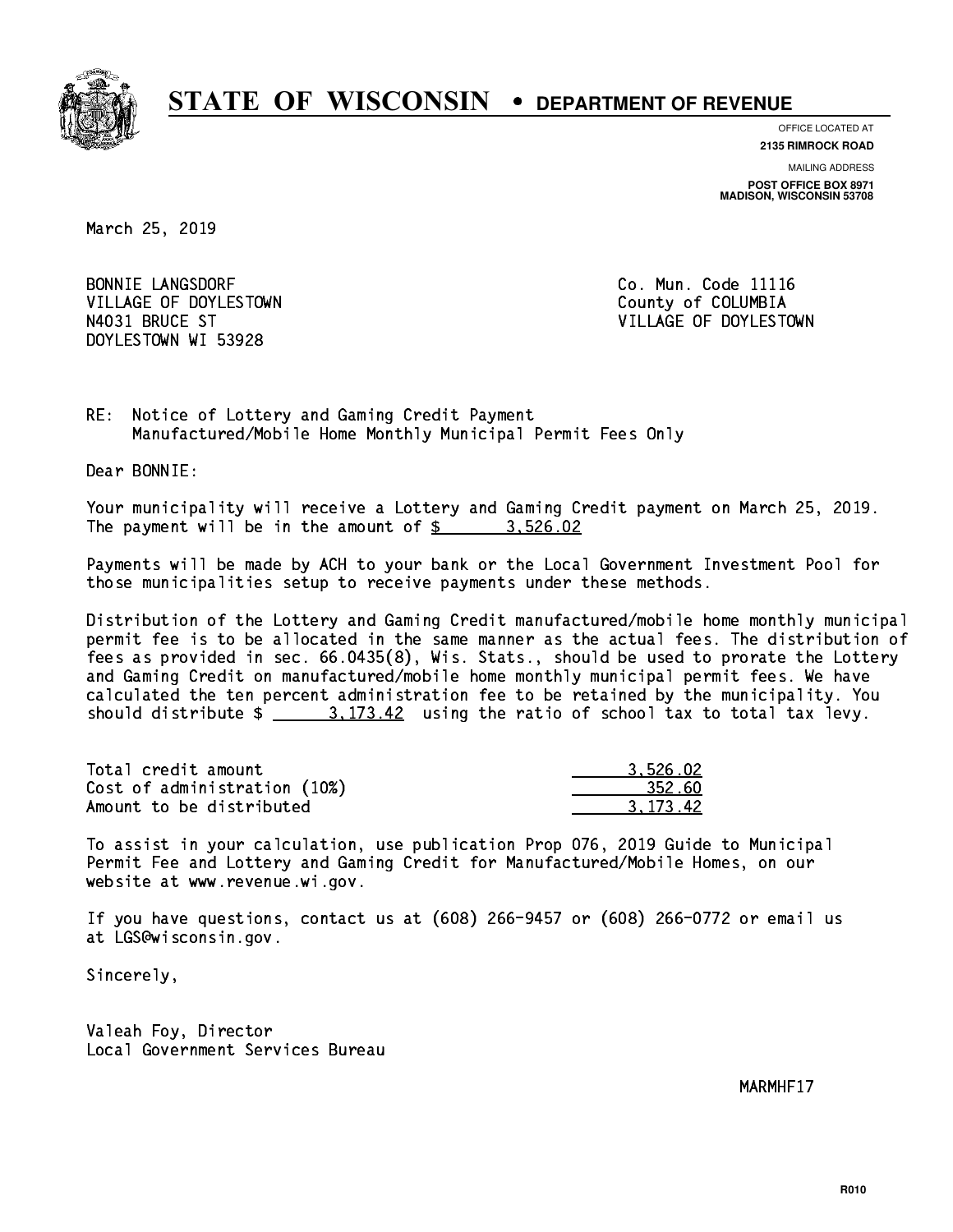

**OFFICE LOCATED AT**

**2135 RIMROCK ROAD**

**MAILING ADDRESS POST OFFICE BOX 8971 MADISON, WISCONSIN 53708**

March 25, 2019

**BONNIE LANGSDORF** VILLAGE OF DOYLESTOWN **COUNTY OF COLUMBIA** DOYLESTOWN WI 53928

Co. Mun. Code 11116 N4031 BRUCE ST VILLAGE OF DOYLESTOWN

RE: Notice of Lottery and Gaming Credit Payment Manufactured/Mobile Home Monthly Municipal Permit Fees Only

Dear BONNIE:

 Your municipality will receive a Lottery and Gaming Credit payment on March 25, 2019. The payment will be in the amount of  $\frac{2}{3}$  3,526.02

 Payments will be made by ACH to your bank or the Local Government Investment Pool for those municipalities setup to receive payments under these methods.

 Distribution of the Lottery and Gaming Credit manufactured/mobile home monthly municipal permit fee is to be allocated in the same manner as the actual fees. The distribution of fees as provided in sec. 66.0435(8), Wis. Stats., should be used to prorate the Lottery and Gaming Credit on manufactured/mobile home monthly municipal permit fees. We have calculated the ten percent administration fee to be retained by the municipality. You should distribute  $\frac{2}{2}$   $\frac{3.173.42}{2}$  using the ratio of school tax to total tax levy.

| Total credit amount          | 3.526.02 |
|------------------------------|----------|
| Cost of administration (10%) | 352.60   |
| Amount to be distributed     | 3.173.42 |

 To assist in your calculation, use publication Prop 076, 2019 Guide to Municipal Permit Fee and Lottery and Gaming Credit for Manufactured/Mobile Homes, on our website at www.revenue.wi.gov.

 If you have questions, contact us at (608) 266-9457 or (608) 266-0772 or email us at LGS@wisconsin.gov.

Sincerely,

 Valeah Foy, Director Local Government Services Bureau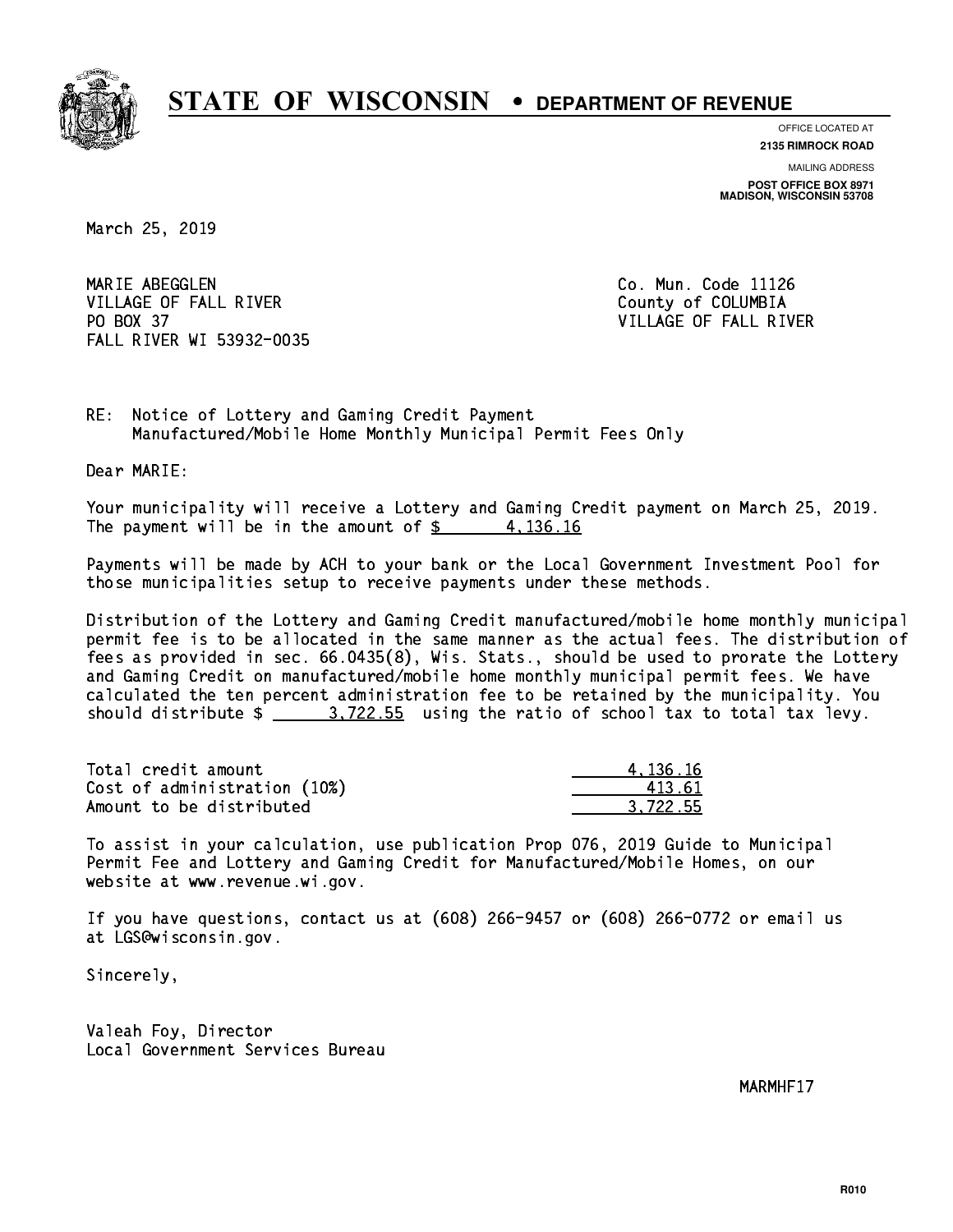

**OFFICE LOCATED AT**

**2135 RIMROCK ROAD**

**MAILING ADDRESS POST OFFICE BOX 8971 MADISON, WISCONSIN 53708**

March 25, 2019

MARIE ABEGGLEN VILLAGE OF FALL RIVER **COLLECT IN THE COLLECT OF SALE ASSESS** PO BOX 37 FALL RIVER WI 53932-0035

Co. Mun. Code 11126 VILLAGE OF FALL RIVER

RE: Notice of Lottery and Gaming Credit Payment Manufactured/Mobile Home Monthly Municipal Permit Fees Only

Dear MARIE:

 Your municipality will receive a Lottery and Gaming Credit payment on March 25, 2019. The payment will be in the amount of  $\frac{2}{3}$  4,136.16

 Payments will be made by ACH to your bank or the Local Government Investment Pool for those municipalities setup to receive payments under these methods.

 Distribution of the Lottery and Gaming Credit manufactured/mobile home monthly municipal permit fee is to be allocated in the same manner as the actual fees. The distribution of fees as provided in sec. 66.0435(8), Wis. Stats., should be used to prorate the Lottery and Gaming Credit on manufactured/mobile home monthly municipal permit fees. We have calculated the ten percent administration fee to be retained by the municipality. You should distribute  $\frac{2}{1}$   $\frac{3.722.55}{2}$  using the ratio of school tax to total tax levy.

| Total credit amount          | 4.136.16 |
|------------------------------|----------|
| Cost of administration (10%) | 413.61   |
| Amount to be distributed     | 3.722.55 |

 To assist in your calculation, use publication Prop 076, 2019 Guide to Municipal Permit Fee and Lottery and Gaming Credit for Manufactured/Mobile Homes, on our website at www.revenue.wi.gov.

 If you have questions, contact us at (608) 266-9457 or (608) 266-0772 or email us at LGS@wisconsin.gov.

Sincerely,

 Valeah Foy, Director Local Government Services Bureau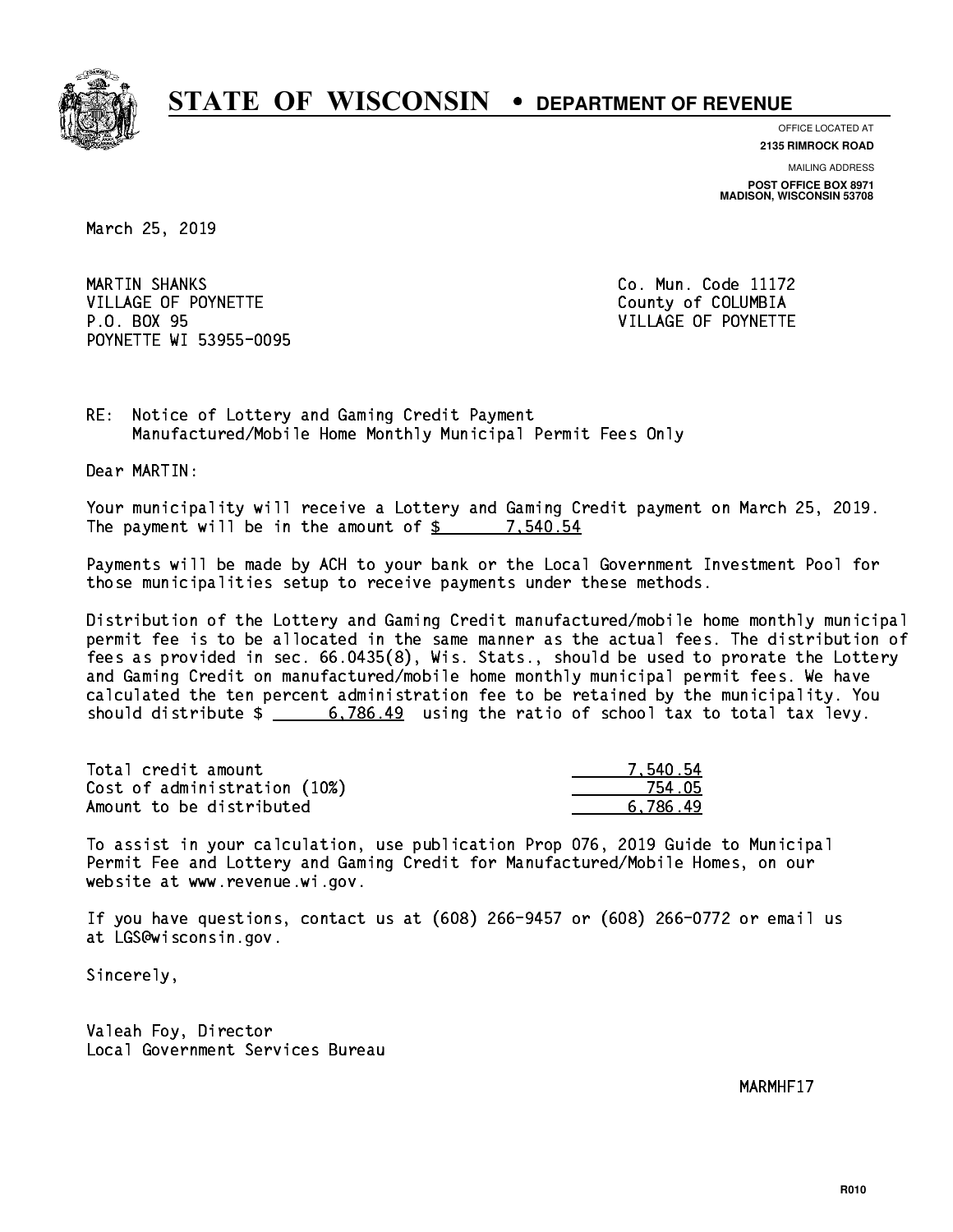

**OFFICE LOCATED AT**

**2135 RIMROCK ROAD**

**MAILING ADDRESS POST OFFICE BOX 8971 MADISON, WISCONSIN 53708**

March 25, 2019

MARTIN SHANKS VILLAGE OF POYNETTE COUNTY OF COLUMBIA P.O. BOX 95 VILLAGE OF POYNETTE POYNETTE WI 53955-0095

Co. Mun. Code 11172

RE: Notice of Lottery and Gaming Credit Payment Manufactured/Mobile Home Monthly Municipal Permit Fees Only

Dear MARTIN:

 Your municipality will receive a Lottery and Gaming Credit payment on March 25, 2019. The payment will be in the amount of  $\frac{2}{3}$  7,540.54

 Payments will be made by ACH to your bank or the Local Government Investment Pool for those municipalities setup to receive payments under these methods.

 Distribution of the Lottery and Gaming Credit manufactured/mobile home monthly municipal permit fee is to be allocated in the same manner as the actual fees. The distribution of fees as provided in sec. 66.0435(8), Wis. Stats., should be used to prorate the Lottery and Gaming Credit on manufactured/mobile home monthly municipal permit fees. We have calculated the ten percent administration fee to be retained by the municipality. You should distribute  $\frac{2}{1}$   $\frac{6,786.49}{2}$  using the ratio of school tax to total tax levy.

| Total credit amount          | 7.540.54 |
|------------------------------|----------|
| Cost of administration (10%) | 754.05   |
| Amount to be distributed     | 6.786.49 |

 To assist in your calculation, use publication Prop 076, 2019 Guide to Municipal Permit Fee and Lottery and Gaming Credit for Manufactured/Mobile Homes, on our website at www.revenue.wi.gov.

 If you have questions, contact us at (608) 266-9457 or (608) 266-0772 or email us at LGS@wisconsin.gov.

Sincerely,

 Valeah Foy, Director Local Government Services Bureau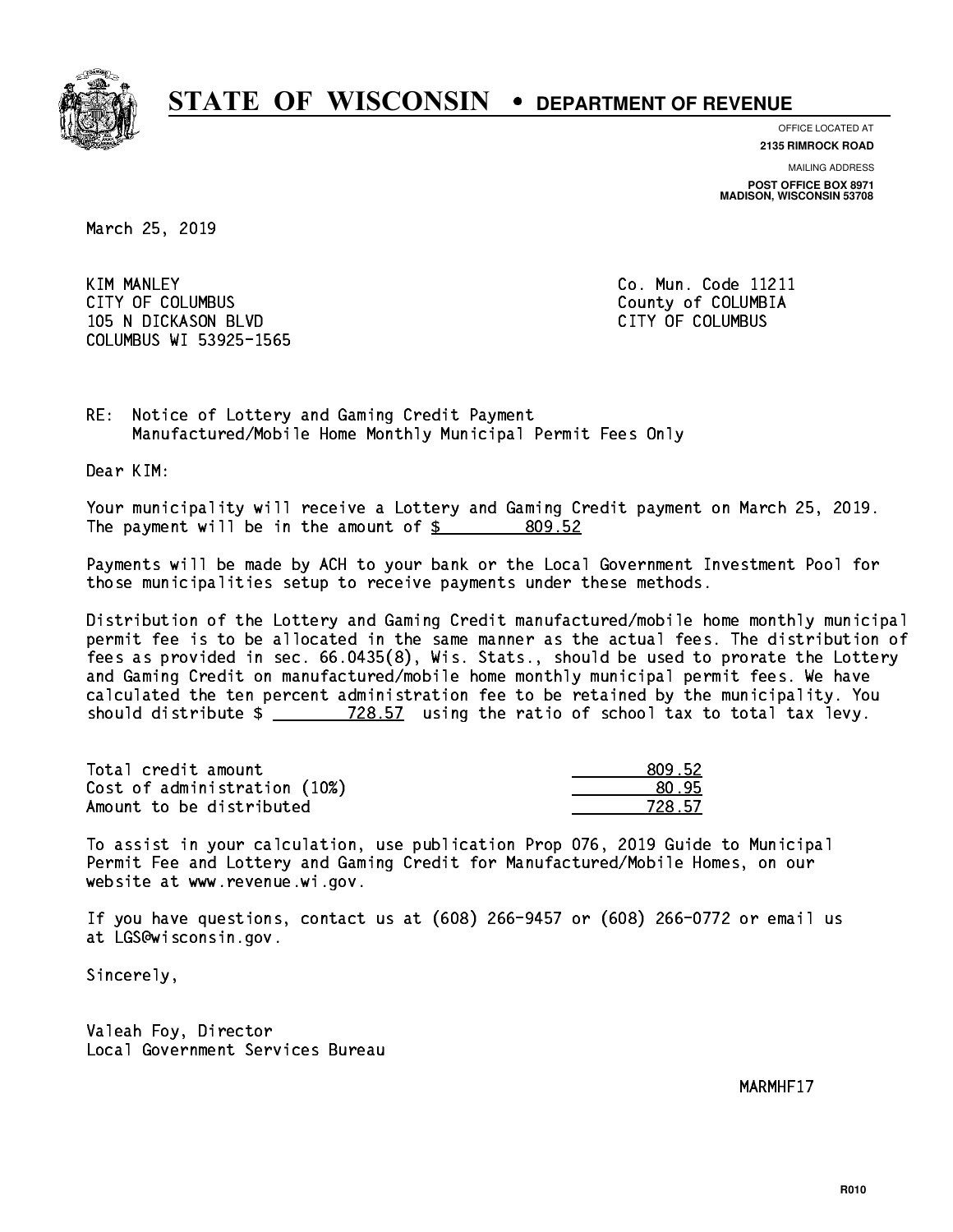

**OFFICE LOCATED AT**

**2135 RIMROCK ROAD**

**MAILING ADDRESS POST OFFICE BOX 8971 MADISON, WISCONSIN 53708**

March 25, 2019

**KIM MANLEY** CITY OF COLUMBUS COME CONSULTED A COUNTY OF COLUMBIA 105 N DICKASON BLVD CITY OF COLUMBUS COLUMBUS WI 53925-1565

Co. Mun. Code 11211

RE: Notice of Lottery and Gaming Credit Payment Manufactured/Mobile Home Monthly Municipal Permit Fees Only

Dear KIM:

 Your municipality will receive a Lottery and Gaming Credit payment on March 25, 2019. The payment will be in the amount of \$ 809.52 \_\_\_\_\_\_\_\_\_\_\_\_\_\_\_\_

 Payments will be made by ACH to your bank or the Local Government Investment Pool for those municipalities setup to receive payments under these methods.

 Distribution of the Lottery and Gaming Credit manufactured/mobile home monthly municipal permit fee is to be allocated in the same manner as the actual fees. The distribution of fees as provided in sec. 66.0435(8), Wis. Stats., should be used to prorate the Lottery and Gaming Credit on manufactured/mobile home monthly municipal permit fees. We have calculated the ten percent administration fee to be retained by the municipality. You should distribute  $\frac{28.57}{128.57}$  using the ratio of school tax to total tax levy.

| Total credit amount          | 809.52 |
|------------------------------|--------|
| Cost of administration (10%) | 80.95  |
| Amount to be distributed     | 728 57 |

| .52    |
|--------|
| วร     |
| 728.57 |

 To assist in your calculation, use publication Prop 076, 2019 Guide to Municipal Permit Fee and Lottery and Gaming Credit for Manufactured/Mobile Homes, on our website at www.revenue.wi.gov.

 If you have questions, contact us at (608) 266-9457 or (608) 266-0772 or email us at LGS@wisconsin.gov.

Sincerely,

 Valeah Foy, Director Local Government Services Bureau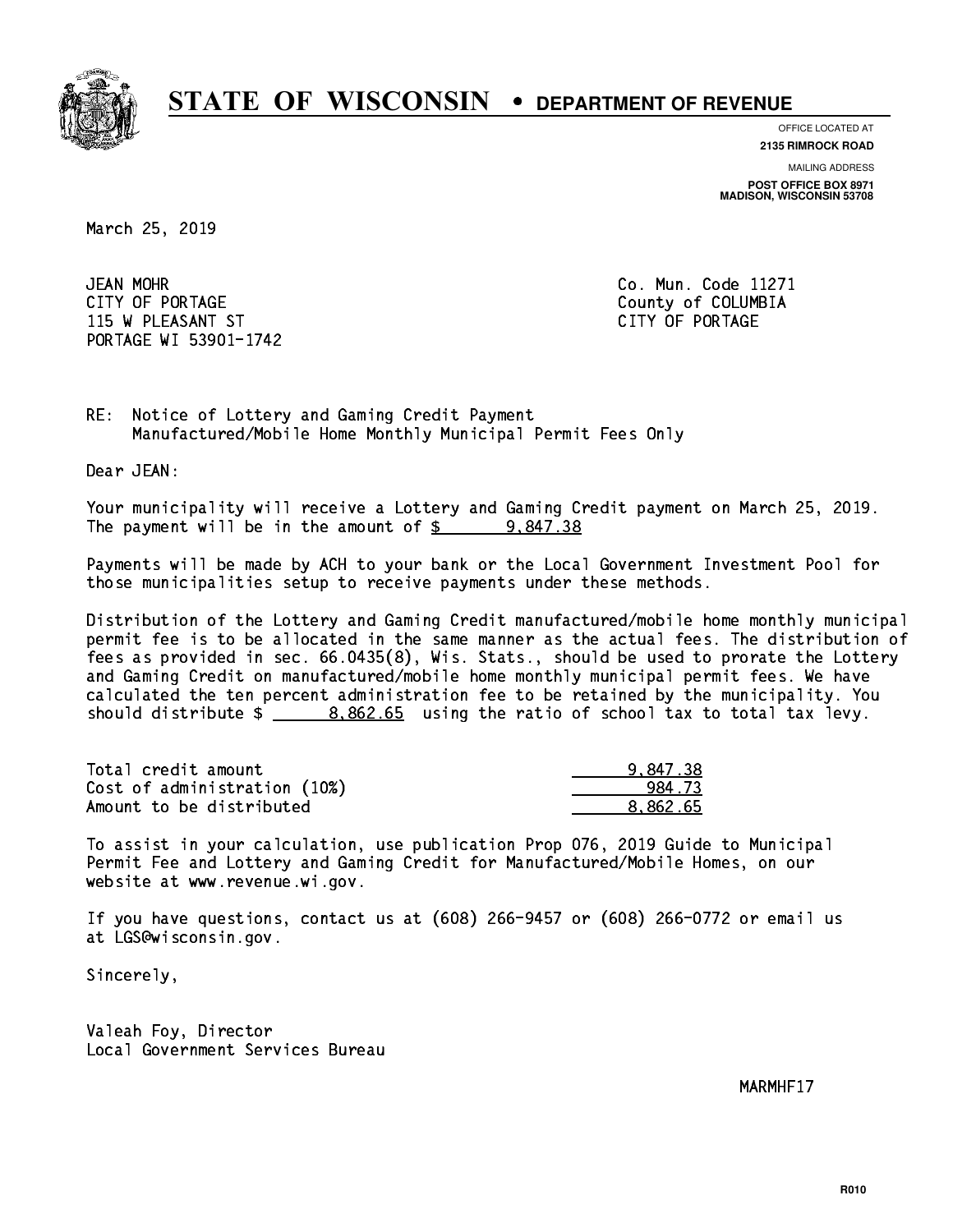

**OFFICE LOCATED AT**

**2135 RIMROCK ROAD**

**MAILING ADDRESS POST OFFICE BOX 8971 MADISON, WISCONSIN 53708**

March 25, 2019

JEAN MOHR CITY OF PORTAGE COUNTER COUNTY OF COLUMBIA 115 W PLEASANT ST CITY OF PORTAGE PORTAGE WI 53901-1742

Co. Mun. Code 11271

RE: Notice of Lottery and Gaming Credit Payment Manufactured/Mobile Home Monthly Municipal Permit Fees Only

Dear JEAN:

 Your municipality will receive a Lottery and Gaming Credit payment on March 25, 2019. The payment will be in the amount of  $\frac{2}{3}$  9,847.38

 Payments will be made by ACH to your bank or the Local Government Investment Pool for those municipalities setup to receive payments under these methods.

 Distribution of the Lottery and Gaming Credit manufactured/mobile home monthly municipal permit fee is to be allocated in the same manner as the actual fees. The distribution of fees as provided in sec. 66.0435(8), Wis. Stats., should be used to prorate the Lottery and Gaming Credit on manufactured/mobile home monthly municipal permit fees. We have calculated the ten percent administration fee to be retained by the municipality. You should distribute  $\frac{2}{1}$   $\frac{8,862.65}{2}$  using the ratio of school tax to total tax levy.

| Total credit amount          | 9.847.38 |
|------------------------------|----------|
| Cost of administration (10%) | 984.73   |
| Amount to be distributed     | 8.862.65 |

 To assist in your calculation, use publication Prop 076, 2019 Guide to Municipal Permit Fee and Lottery and Gaming Credit for Manufactured/Mobile Homes, on our website at www.revenue.wi.gov.

 If you have questions, contact us at (608) 266-9457 or (608) 266-0772 or email us at LGS@wisconsin.gov.

Sincerely,

 Valeah Foy, Director Local Government Services Bureau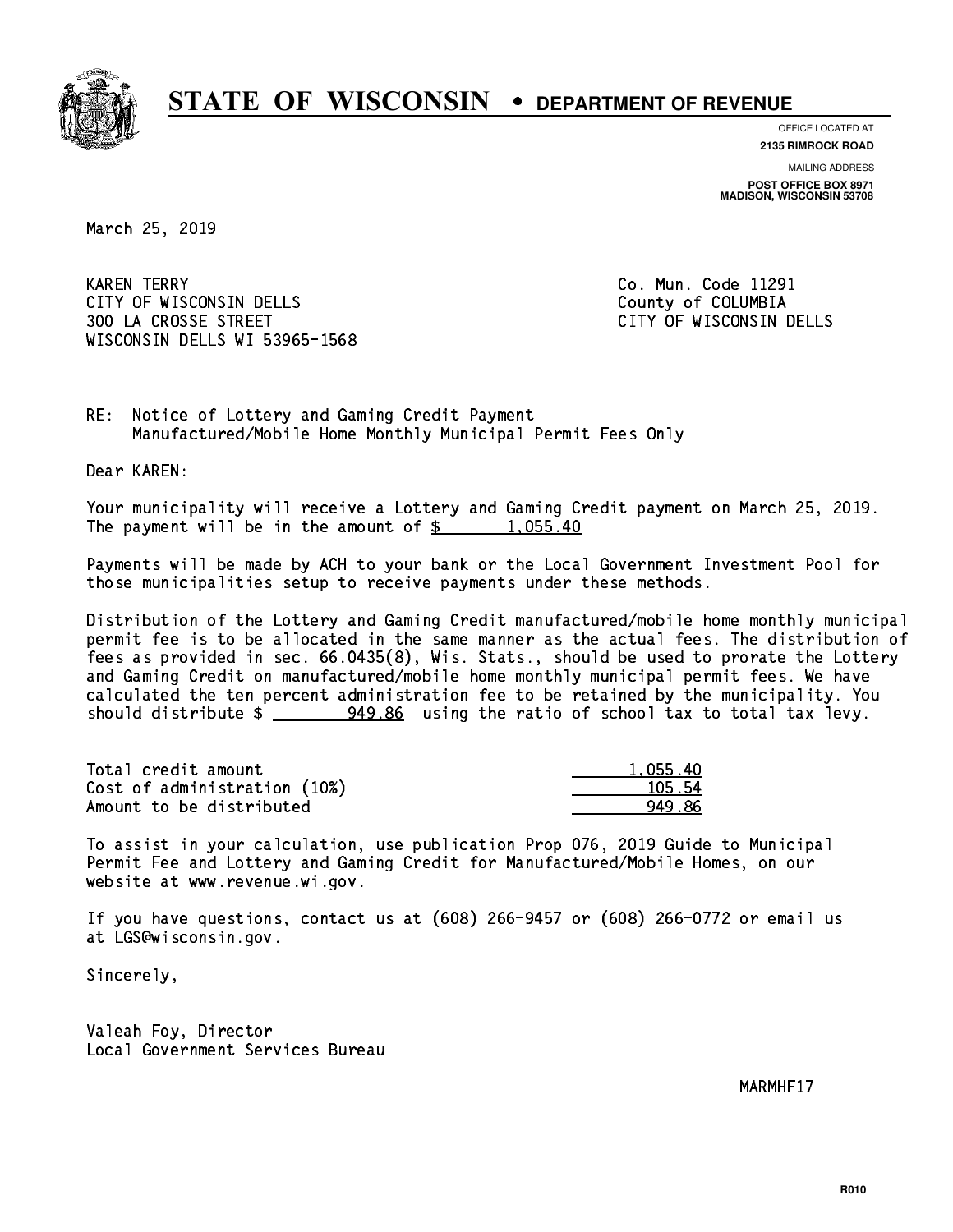

**OFFICE LOCATED AT**

**2135 RIMROCK ROAD**

**MAILING ADDRESS POST OFFICE BOX 8971 MADISON, WISCONSIN 53708**

March 25, 2019

**KAREN TERRY** CITY OF WISCONSIN DELLS COUNTY OF COLUMBIA 300 LA CROSSE STREET CITY OF WISCONSIN DELLS WISCONSIN DELLS WI 53965-1568

Co. Mun. Code 11291

RE: Notice of Lottery and Gaming Credit Payment Manufactured/Mobile Home Monthly Municipal Permit Fees Only

Dear KAREN:

 Your municipality will receive a Lottery and Gaming Credit payment on March 25, 2019. The payment will be in the amount of  $\frac{2}{3}$  1,055.40

 Payments will be made by ACH to your bank or the Local Government Investment Pool for those municipalities setup to receive payments under these methods.

 Distribution of the Lottery and Gaming Credit manufactured/mobile home monthly municipal permit fee is to be allocated in the same manner as the actual fees. The distribution of fees as provided in sec. 66.0435(8), Wis. Stats., should be used to prorate the Lottery and Gaming Credit on manufactured/mobile home monthly municipal permit fees. We have calculated the ten percent administration fee to be retained by the municipality. You should distribute \$ 949.86 using the ratio of school tax to total tax levy. \_\_\_\_\_\_\_\_\_\_\_\_\_\_

| Total credit amount          | 1.055.40 |
|------------------------------|----------|
| Cost of administration (10%) | 105.54   |
| Amount to be distributed     | 949 86   |

 To assist in your calculation, use publication Prop 076, 2019 Guide to Municipal Permit Fee and Lottery and Gaming Credit for Manufactured/Mobile Homes, on our website at www.revenue.wi.gov.

 If you have questions, contact us at (608) 266-9457 or (608) 266-0772 or email us at LGS@wisconsin.gov.

Sincerely,

 Valeah Foy, Director Local Government Services Bureau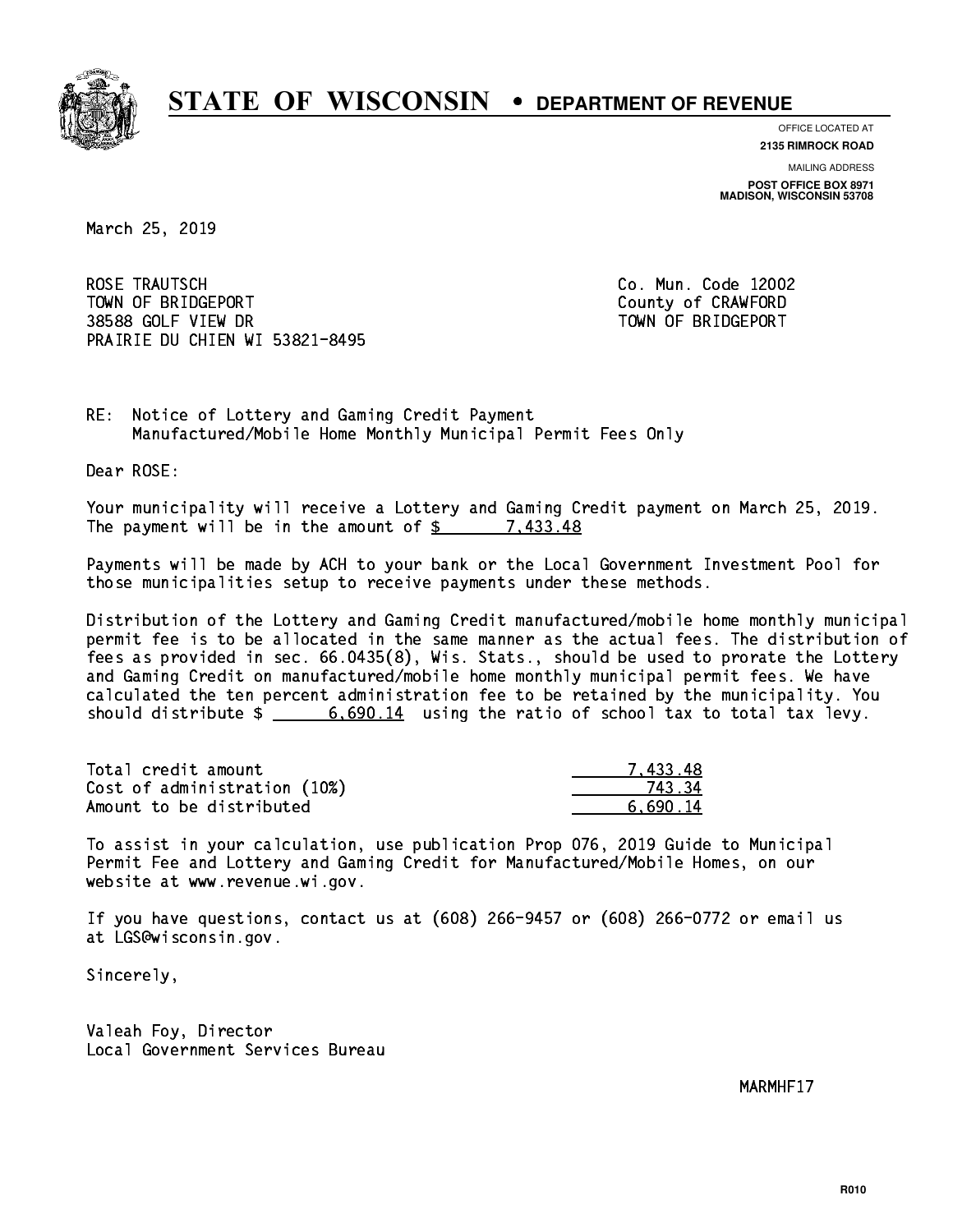

**OFFICE LOCATED AT**

**2135 RIMROCK ROAD**

**MAILING ADDRESS POST OFFICE BOX 8971 MADISON, WISCONSIN 53708**

March 25, 2019

 ROSE TRAUTSCH Co. Mun. Code 12002 TOWN OF BRIDGEPORT County of CRAWFORD 38588 GOLF VIEW DR TOWN OF BRIDGEPORT PRAIRIE DU CHIEN WI 53821-8495

RE: Notice of Lottery and Gaming Credit Payment Manufactured/Mobile Home Monthly Municipal Permit Fees Only

Dear ROSE:

 Your municipality will receive a Lottery and Gaming Credit payment on March 25, 2019. The payment will be in the amount of  $\frac{2}{3}$  7,433.48

 Payments will be made by ACH to your bank or the Local Government Investment Pool for those municipalities setup to receive payments under these methods.

 Distribution of the Lottery and Gaming Credit manufactured/mobile home monthly municipal permit fee is to be allocated in the same manner as the actual fees. The distribution of fees as provided in sec. 66.0435(8), Wis. Stats., should be used to prorate the Lottery and Gaming Credit on manufactured/mobile home monthly municipal permit fees. We have calculated the ten percent administration fee to be retained by the municipality. You should distribute  $\frac{2}{3}$   $\frac{6,690.14}{2}$  using the ratio of school tax to total tax levy.

| Total credit amount          | 7 433.48 |
|------------------------------|----------|
| Cost of administration (10%) | 743.34   |
| Amount to be distributed     | 6.690.14 |

 To assist in your calculation, use publication Prop 076, 2019 Guide to Municipal Permit Fee and Lottery and Gaming Credit for Manufactured/Mobile Homes, on our website at www.revenue.wi.gov.

 If you have questions, contact us at (608) 266-9457 or (608) 266-0772 or email us at LGS@wisconsin.gov.

Sincerely,

 Valeah Foy, Director Local Government Services Bureau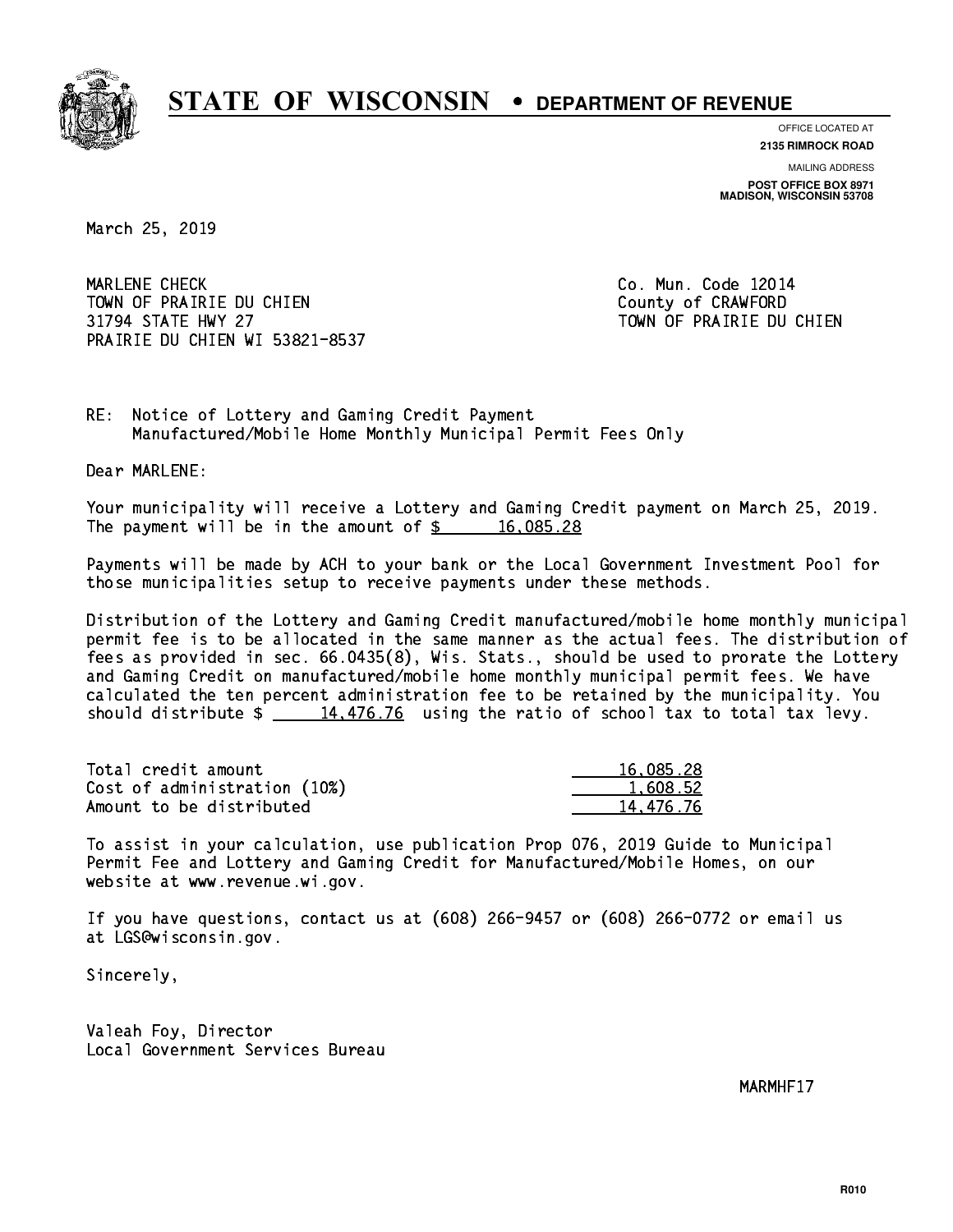

**OFFICE LOCATED AT**

**2135 RIMROCK ROAD**

**MAILING ADDRESS POST OFFICE BOX 8971 MADISON, WISCONSIN 53708**

March 25, 2019

 MARLENE CHECK Co. Mun. Code 12014 TOWN OF PRAIRIE DU CHIEN COUNTY OF CRAWFORD 31794 STATE HWY 27 TOWN OF PRAIRIE DU CHIEN PRAIRIE DU CHIEN WI 53821-8537

RE: Notice of Lottery and Gaming Credit Payment Manufactured/Mobile Home Monthly Municipal Permit Fees Only

Dear MARLENE:

 Your municipality will receive a Lottery and Gaming Credit payment on March 25, 2019. The payment will be in the amount of  $\frac{2}{3}$  16,085.28

 Payments will be made by ACH to your bank or the Local Government Investment Pool for those municipalities setup to receive payments under these methods.

 Distribution of the Lottery and Gaming Credit manufactured/mobile home monthly municipal permit fee is to be allocated in the same manner as the actual fees. The distribution of fees as provided in sec. 66.0435(8), Wis. Stats., should be used to prorate the Lottery and Gaming Credit on manufactured/mobile home monthly municipal permit fees. We have calculated the ten percent administration fee to be retained by the municipality. You should distribute  $\frac{14,476.76}{2}$  using the ratio of school tax to total tax levy.

| Total credit amount          | 16,085.28 |
|------------------------------|-----------|
| Cost of administration (10%) | 1.608.52  |
| Amount to be distributed     | 14.476.76 |

 To assist in your calculation, use publication Prop 076, 2019 Guide to Municipal Permit Fee and Lottery and Gaming Credit for Manufactured/Mobile Homes, on our website at www.revenue.wi.gov.

 If you have questions, contact us at (608) 266-9457 or (608) 266-0772 or email us at LGS@wisconsin.gov.

Sincerely,

 Valeah Foy, Director Local Government Services Bureau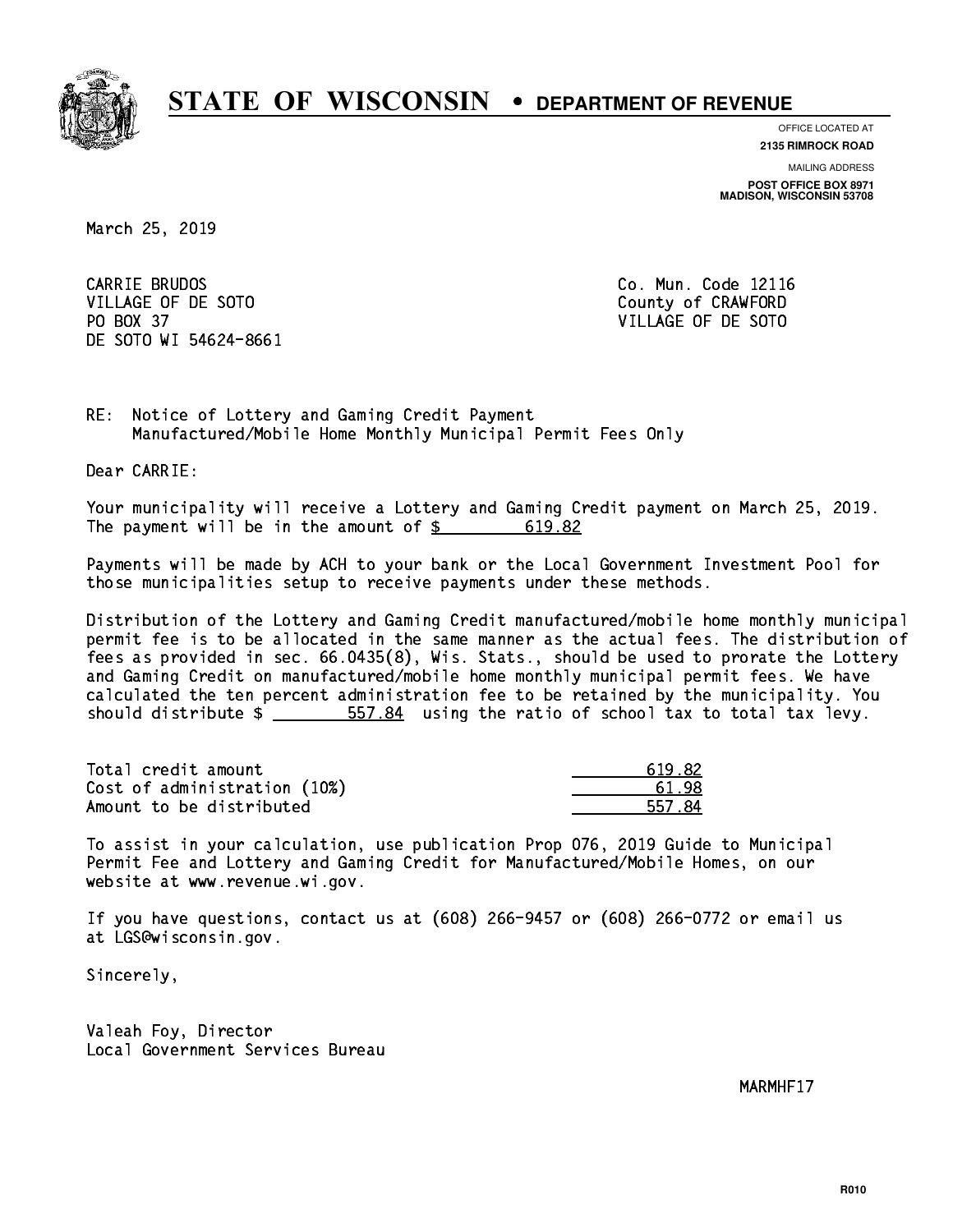

**OFFICE LOCATED AT 2135 RIMROCK ROAD**

**MAILING ADDRESS POST OFFICE BOX 8971 MADISON, WISCONSIN 53708**

March 25, 2019

CARRIE BRUDOS VILLAGE OF DE SOTO COUNTY OF CRAWFORD PO BOX 37 VILLAGE OF DE SOTO DE SOTO WI 54624-8661

Co. Mun. Code 12116

RE: Notice of Lottery and Gaming Credit Payment Manufactured/Mobile Home Monthly Municipal Permit Fees Only

Dear CARRIE:

 Your municipality will receive a Lottery and Gaming Credit payment on March 25, 2019. The payment will be in the amount of \$ 619.82 \_\_\_\_\_\_\_\_\_\_\_\_\_\_\_\_

 Payments will be made by ACH to your bank or the Local Government Investment Pool for those municipalities setup to receive payments under these methods.

 Distribution of the Lottery and Gaming Credit manufactured/mobile home monthly municipal permit fee is to be allocated in the same manner as the actual fees. The distribution of fees as provided in sec. 66.0435(8), Wis. Stats., should be used to prorate the Lottery and Gaming Credit on manufactured/mobile home monthly municipal permit fees. We have calculated the ten percent administration fee to be retained by the municipality. You should distribute  $\frac{2}{1}$   $\frac{557.84}{1000}$  using the ratio of school tax to total tax levy.

| Total credit amount          | 619.82 |
|------------------------------|--------|
| Cost of administration (10%) | 61.98  |
| Amount to be distributed     | 557.84 |

 To assist in your calculation, use publication Prop 076, 2019 Guide to Municipal Permit Fee and Lottery and Gaming Credit for Manufactured/Mobile Homes, on our website at www.revenue.wi.gov.

 If you have questions, contact us at (608) 266-9457 or (608) 266-0772 or email us at LGS@wisconsin.gov.

Sincerely,

 Valeah Foy, Director Local Government Services Bureau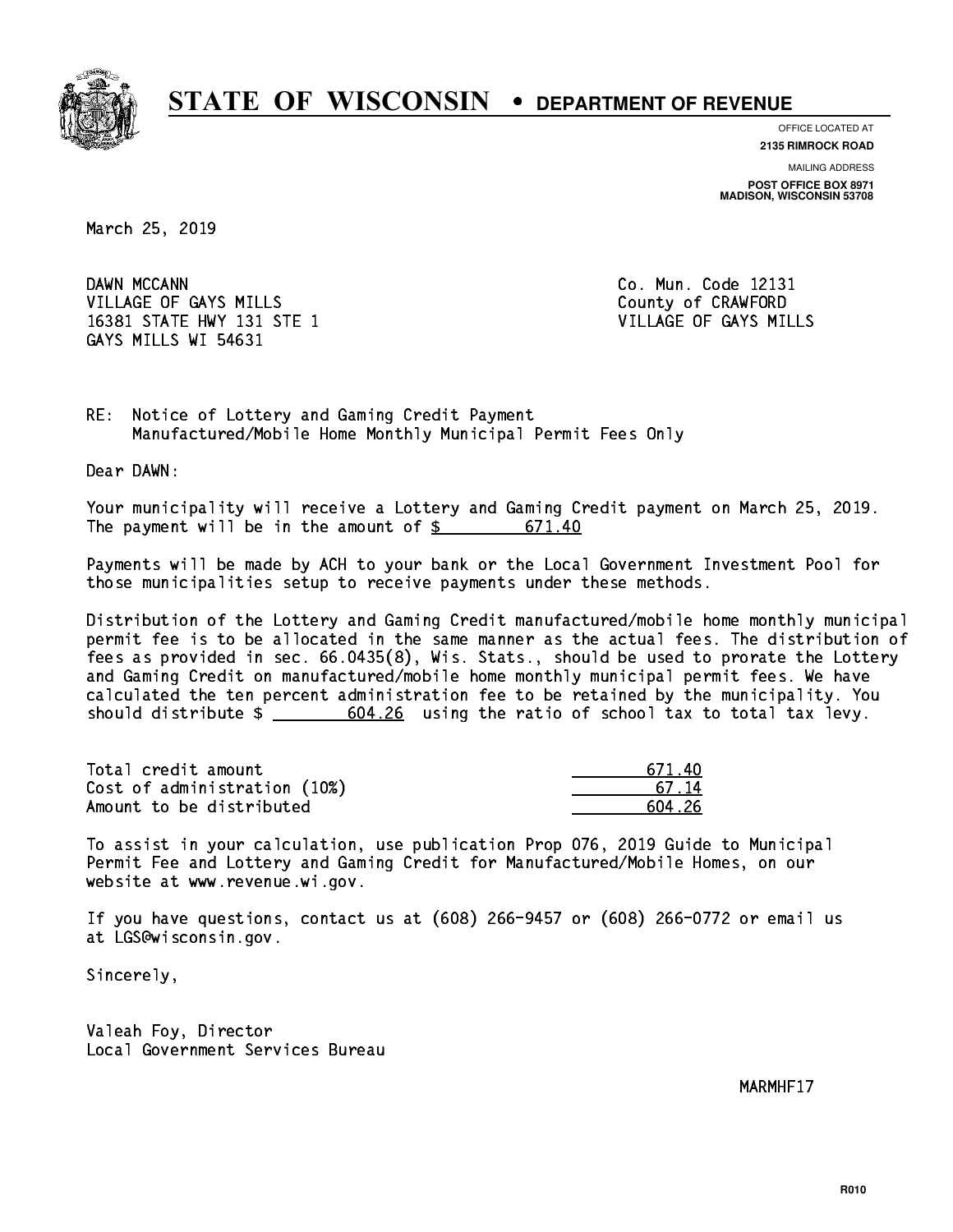

**OFFICE LOCATED AT 2135 RIMROCK ROAD**

**MAILING ADDRESS POST OFFICE BOX 8971 MADISON, WISCONSIN 53708**

March 25, 2019

DAWN MCCANN VILLAGE OF GAYS MILLS County of CRAWFORD 16381 STATE HWY 131 STE 1 VILLAGE OF GAYS MILLS GAYS MILLS WI 54631

Co. Mun. Code 12131

RE: Notice of Lottery and Gaming Credit Payment Manufactured/Mobile Home Monthly Municipal Permit Fees Only

Dear DAWN:

 Your municipality will receive a Lottery and Gaming Credit payment on March 25, 2019. The payment will be in the amount of \$ 671.40 \_\_\_\_\_\_\_\_\_\_\_\_\_\_\_\_

 Payments will be made by ACH to your bank or the Local Government Investment Pool for those municipalities setup to receive payments under these methods.

 Distribution of the Lottery and Gaming Credit manufactured/mobile home monthly municipal permit fee is to be allocated in the same manner as the actual fees. The distribution of fees as provided in sec. 66.0435(8), Wis. Stats., should be used to prorate the Lottery and Gaming Credit on manufactured/mobile home monthly municipal permit fees. We have calculated the ten percent administration fee to be retained by the municipality. You should distribute  $\frac{26}{1000}$   $\frac{604.26}{1000}$  using the ratio of school tax to total tax levy.

| Total credit amount          | 671.40  |
|------------------------------|---------|
| Cost of administration (10%) | 67 14   |
| Amount to be distributed     | .604 26 |

 To assist in your calculation, use publication Prop 076, 2019 Guide to Municipal Permit Fee and Lottery and Gaming Credit for Manufactured/Mobile Homes, on our website at www.revenue.wi.gov.

 If you have questions, contact us at (608) 266-9457 or (608) 266-0772 or email us at LGS@wisconsin.gov.

Sincerely,

 Valeah Foy, Director Local Government Services Bureau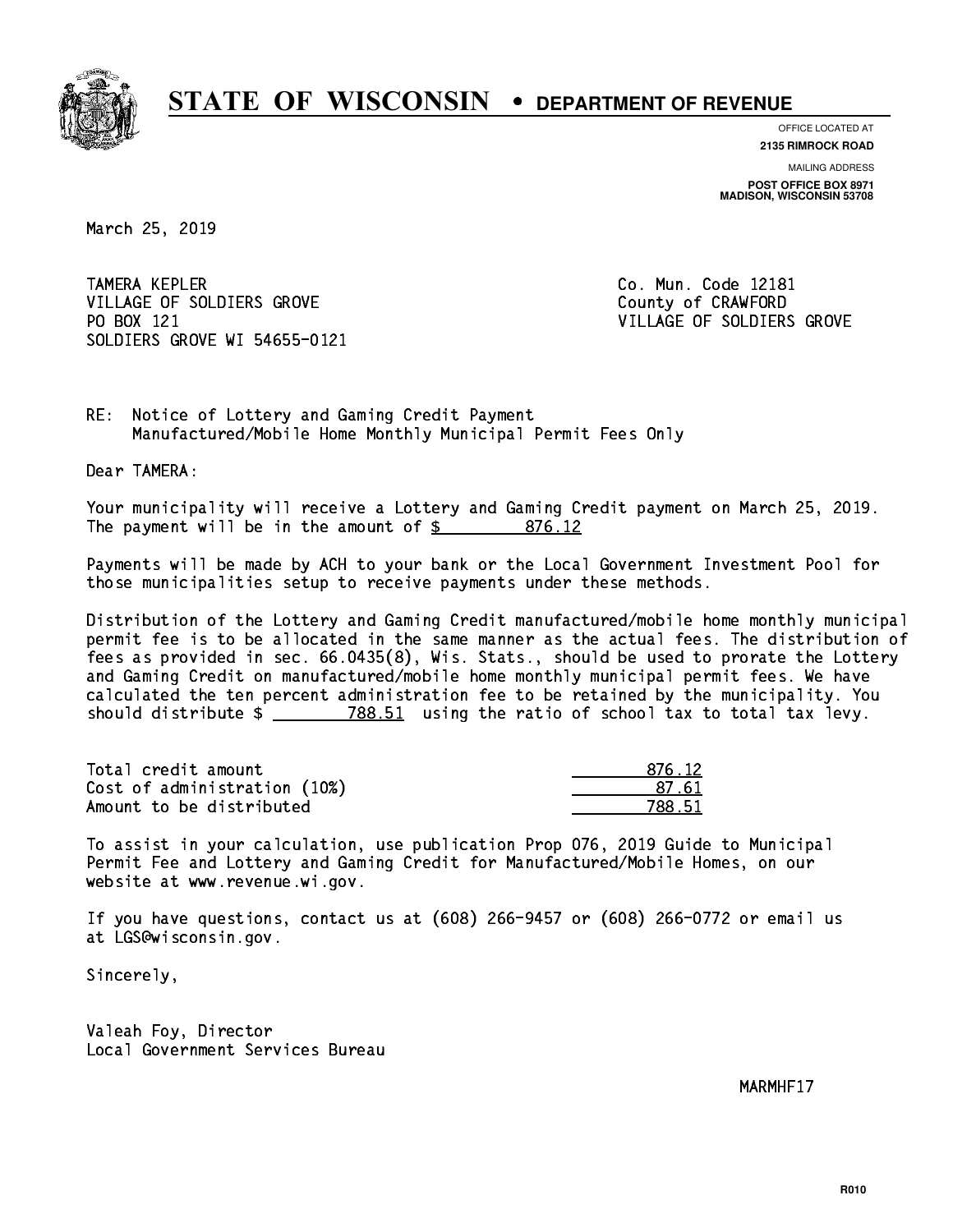

**OFFICE LOCATED AT**

**2135 RIMROCK ROAD**

**MAILING ADDRESS POST OFFICE BOX 8971 MADISON, WISCONSIN 53708**

March 25, 2019

**TAMERA KEPLER** VILLAGE OF SOLDIERS GROVE COUNTY OF CRAWFORD PO BOX 121 VILLAGE OF SOLDIERS GROVE SOLDIERS GROVE WI 54655-0121

Co. Mun. Code 12181

RE: Notice of Lottery and Gaming Credit Payment Manufactured/Mobile Home Monthly Municipal Permit Fees Only

Dear TAMERA:

 Your municipality will receive a Lottery and Gaming Credit payment on March 25, 2019. The payment will be in the amount of \$ 876.12 \_\_\_\_\_\_\_\_\_\_\_\_\_\_\_\_

 Payments will be made by ACH to your bank or the Local Government Investment Pool for those municipalities setup to receive payments under these methods.

 Distribution of the Lottery and Gaming Credit manufactured/mobile home monthly municipal permit fee is to be allocated in the same manner as the actual fees. The distribution of fees as provided in sec. 66.0435(8), Wis. Stats., should be used to prorate the Lottery and Gaming Credit on manufactured/mobile home monthly municipal permit fees. We have calculated the ten percent administration fee to be retained by the municipality. You should distribute  $\frac{2}{2}$   $\frac{788.51}{2}$  using the ratio of school tax to total tax levy.

| Total credit amount          | 876.12 |
|------------------------------|--------|
| Cost of administration (10%) | .87.6  |
| Amount to be distributed     | 788.51 |

 To assist in your calculation, use publication Prop 076, 2019 Guide to Municipal Permit Fee and Lottery and Gaming Credit for Manufactured/Mobile Homes, on our website at www.revenue.wi.gov.

 If you have questions, contact us at (608) 266-9457 or (608) 266-0772 or email us at LGS@wisconsin.gov.

Sincerely,

 Valeah Foy, Director Local Government Services Bureau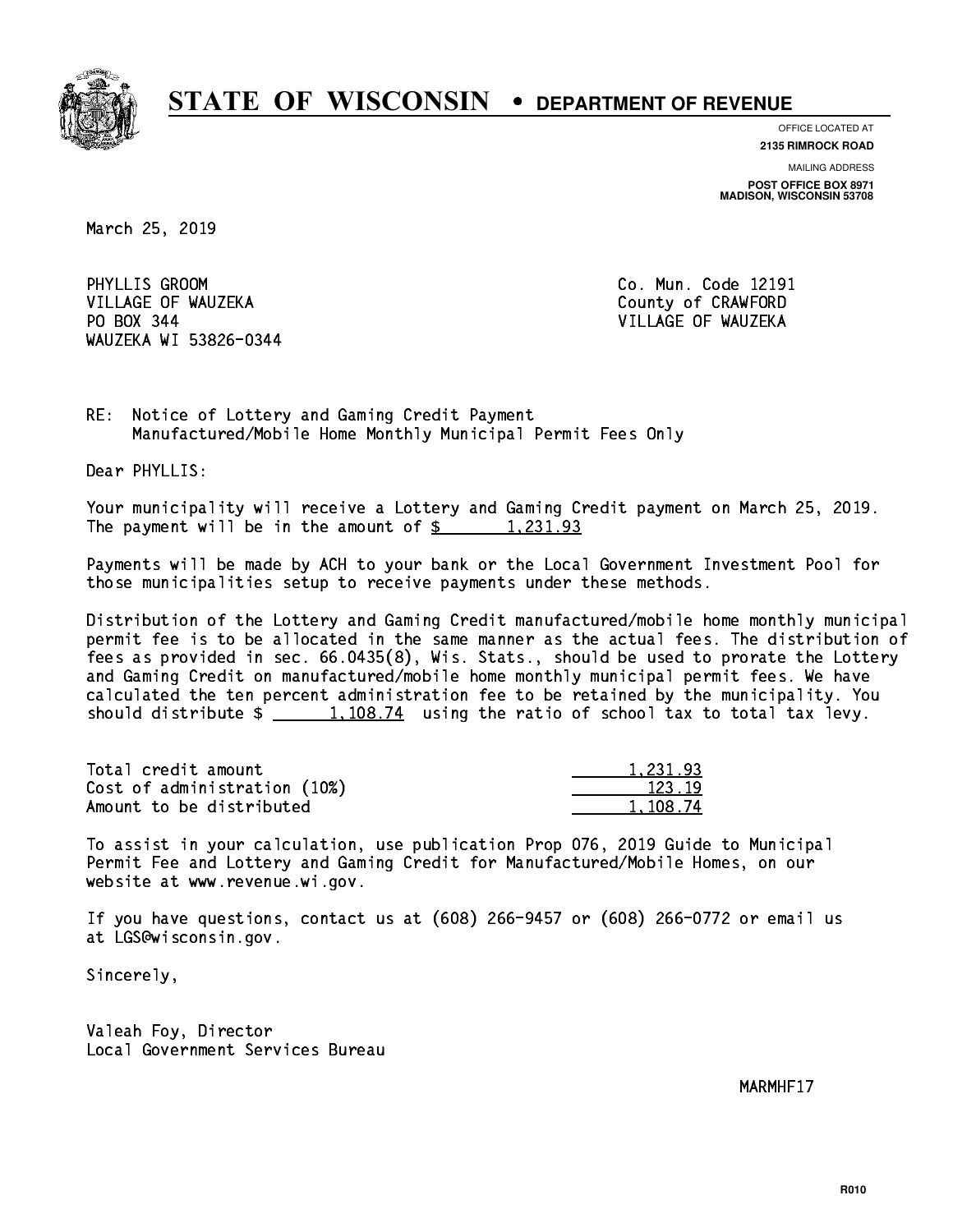

**OFFICE LOCATED AT**

**2135 RIMROCK ROAD**

**MAILING ADDRESS POST OFFICE BOX 8971 MADISON, WISCONSIN 53708**

March 25, 2019

PHYLLIS GROOM VILLAGE OF WAUZEKA COUNTY OF CRAWFORD PO BOX 344 VILLAGE OF WAUZEKA WAUZEKA WI 53826-0344

Co. Mun. Code 12191

RE: Notice of Lottery and Gaming Credit Payment Manufactured/Mobile Home Monthly Municipal Permit Fees Only

Dear PHYLLIS:

 Your municipality will receive a Lottery and Gaming Credit payment on March 25, 2019. The payment will be in the amount of  $\frac{2}{3}$  1,231.93

 Payments will be made by ACH to your bank or the Local Government Investment Pool for those municipalities setup to receive payments under these methods.

 Distribution of the Lottery and Gaming Credit manufactured/mobile home monthly municipal permit fee is to be allocated in the same manner as the actual fees. The distribution of fees as provided in sec. 66.0435(8), Wis. Stats., should be used to prorate the Lottery and Gaming Credit on manufactured/mobile home monthly municipal permit fees. We have calculated the ten percent administration fee to be retained by the municipality. You should distribute  $\frac{1,108.74}{1,108.74}$  using the ratio of school tax to total tax levy.

| Total credit amount          | 1.231.93 |
|------------------------------|----------|
| Cost of administration (10%) | 123.19   |
| Amount to be distributed     | 1,108.74 |

 To assist in your calculation, use publication Prop 076, 2019 Guide to Municipal Permit Fee and Lottery and Gaming Credit for Manufactured/Mobile Homes, on our website at www.revenue.wi.gov.

 If you have questions, contact us at (608) 266-9457 or (608) 266-0772 or email us at LGS@wisconsin.gov.

Sincerely,

 Valeah Foy, Director Local Government Services Bureau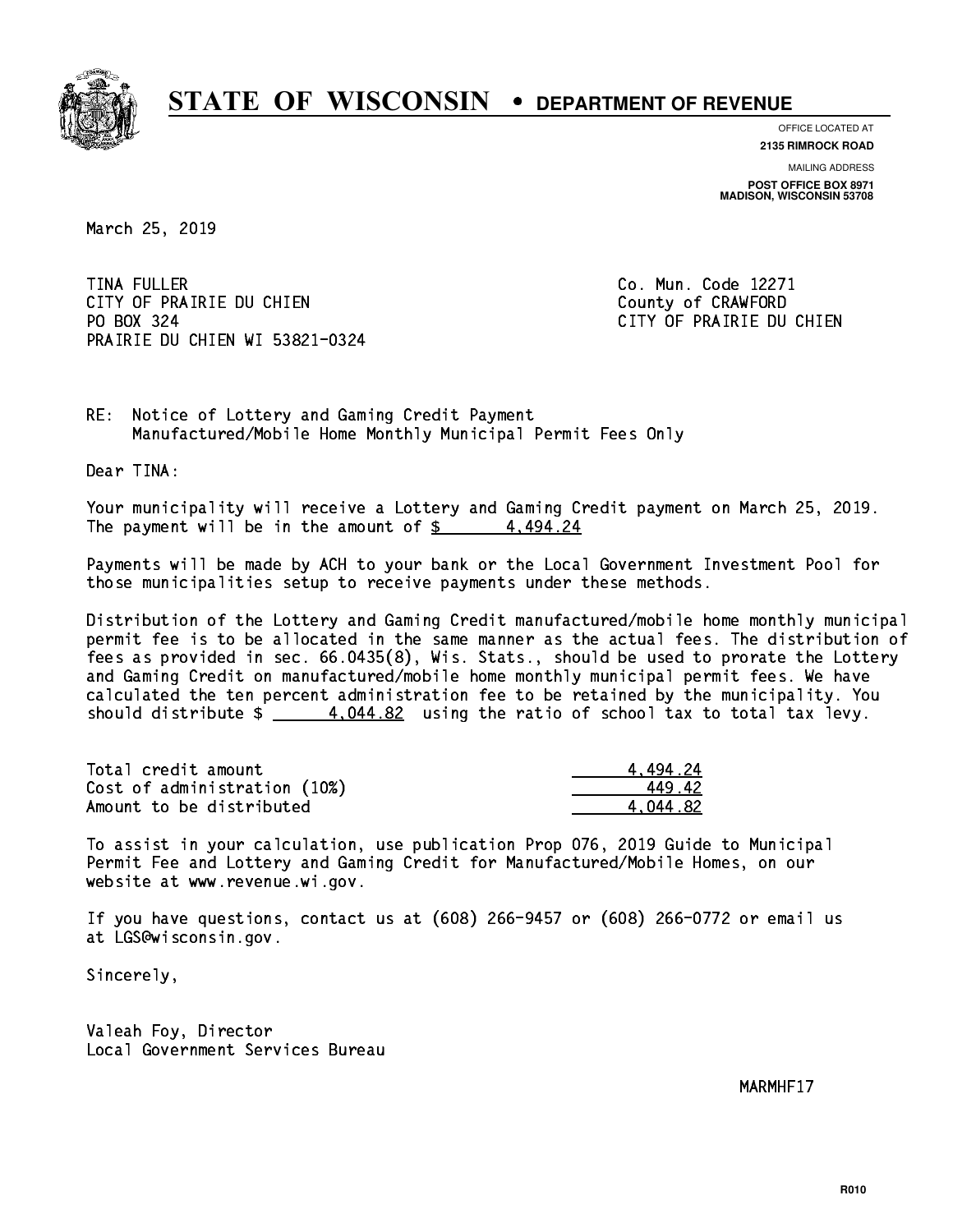

**OFFICE LOCATED AT**

**2135 RIMROCK ROAD**

**MAILING ADDRESS POST OFFICE BOX 8971 MADISON, WISCONSIN 53708**

March 25, 2019

**TINA FULLER** CITY OF PRAIRIE DU CHIEN COUNTY OF CRAWFORD PO BOX 324 PRAIRIE DU CHIEN WI 53821-0324

Co. Mun. Code 12271 CITY OF PRAIRIE DU CHIEN

RE: Notice of Lottery and Gaming Credit Payment Manufactured/Mobile Home Monthly Municipal Permit Fees Only

Dear TINA:

 Your municipality will receive a Lottery and Gaming Credit payment on March 25, 2019. The payment will be in the amount of  $\frac{2}{3}$  4,494.24

 Payments will be made by ACH to your bank or the Local Government Investment Pool for those municipalities setup to receive payments under these methods.

 Distribution of the Lottery and Gaming Credit manufactured/mobile home monthly municipal permit fee is to be allocated in the same manner as the actual fees. The distribution of fees as provided in sec. 66.0435(8), Wis. Stats., should be used to prorate the Lottery and Gaming Credit on manufactured/mobile home monthly municipal permit fees. We have calculated the ten percent administration fee to be retained by the municipality. You should distribute  $\frac{4.044.82}{2}$  using the ratio of school tax to total tax levy.

| Total credit amount          | 4.494.24 |
|------------------------------|----------|
| Cost of administration (10%) | 44942    |
| Amount to be distributed     | 4.044.82 |

 To assist in your calculation, use publication Prop 076, 2019 Guide to Municipal Permit Fee and Lottery and Gaming Credit for Manufactured/Mobile Homes, on our website at www.revenue.wi.gov.

 If you have questions, contact us at (608) 266-9457 or (608) 266-0772 or email us at LGS@wisconsin.gov.

Sincerely,

 Valeah Foy, Director Local Government Services Bureau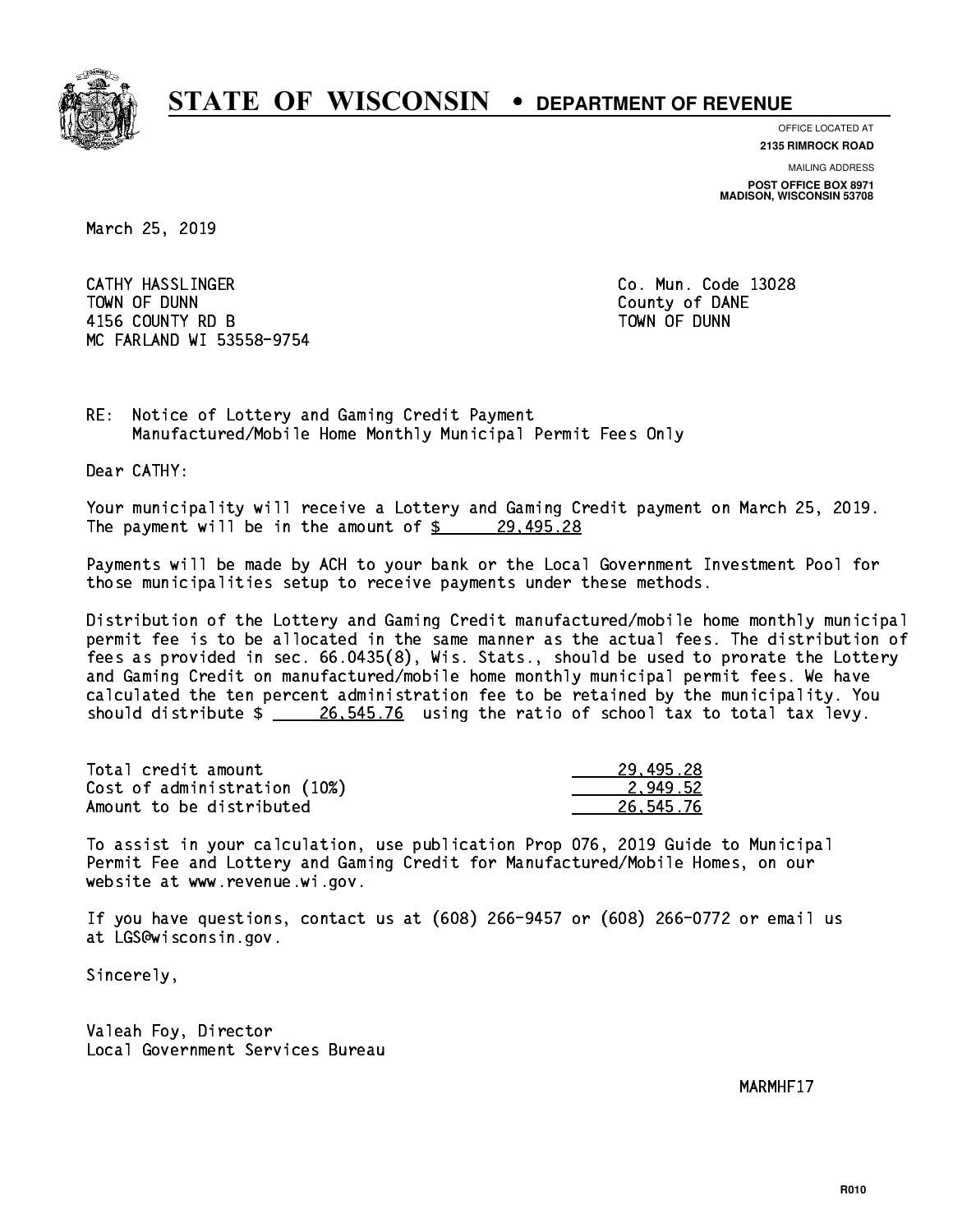

**OFFICE LOCATED AT**

**2135 RIMROCK ROAD**

**MAILING ADDRESS POST OFFICE BOX 8971 MADISON, WISCONSIN 53708**

March 25, 2019

 CATHY HASSLINGER Co. Mun. Code 13028 TOWN OF DUNN County of DANE 4156 COUNTY RD B TOWN OF DUNN MC FARLAND WI 53558-9754

RE: Notice of Lottery and Gaming Credit Payment Manufactured/Mobile Home Monthly Municipal Permit Fees Only

Dear CATHY:

 Your municipality will receive a Lottery and Gaming Credit payment on March 25, 2019. The payment will be in the amount of  $\frac{29,495.28}{29,495.28}$ 

 Payments will be made by ACH to your bank or the Local Government Investment Pool for those municipalities setup to receive payments under these methods.

 Distribution of the Lottery and Gaming Credit manufactured/mobile home monthly municipal permit fee is to be allocated in the same manner as the actual fees. The distribution of fees as provided in sec. 66.0435(8), Wis. Stats., should be used to prorate the Lottery and Gaming Credit on manufactured/mobile home monthly municipal permit fees. We have calculated the ten percent administration fee to be retained by the municipality. You should distribute  $\frac{26,545.76}{26,545.76}$  using the ratio of school tax to total tax levy.

| Total credit amount          | 29,495.28 |
|------------------------------|-----------|
| Cost of administration (10%) | 2.949.52  |
| Amount to be distributed     | 26,545.76 |

 To assist in your calculation, use publication Prop 076, 2019 Guide to Municipal Permit Fee and Lottery and Gaming Credit for Manufactured/Mobile Homes, on our website at www.revenue.wi.gov.

 If you have questions, contact us at (608) 266-9457 or (608) 266-0772 or email us at LGS@wisconsin.gov.

Sincerely,

 Valeah Foy, Director Local Government Services Bureau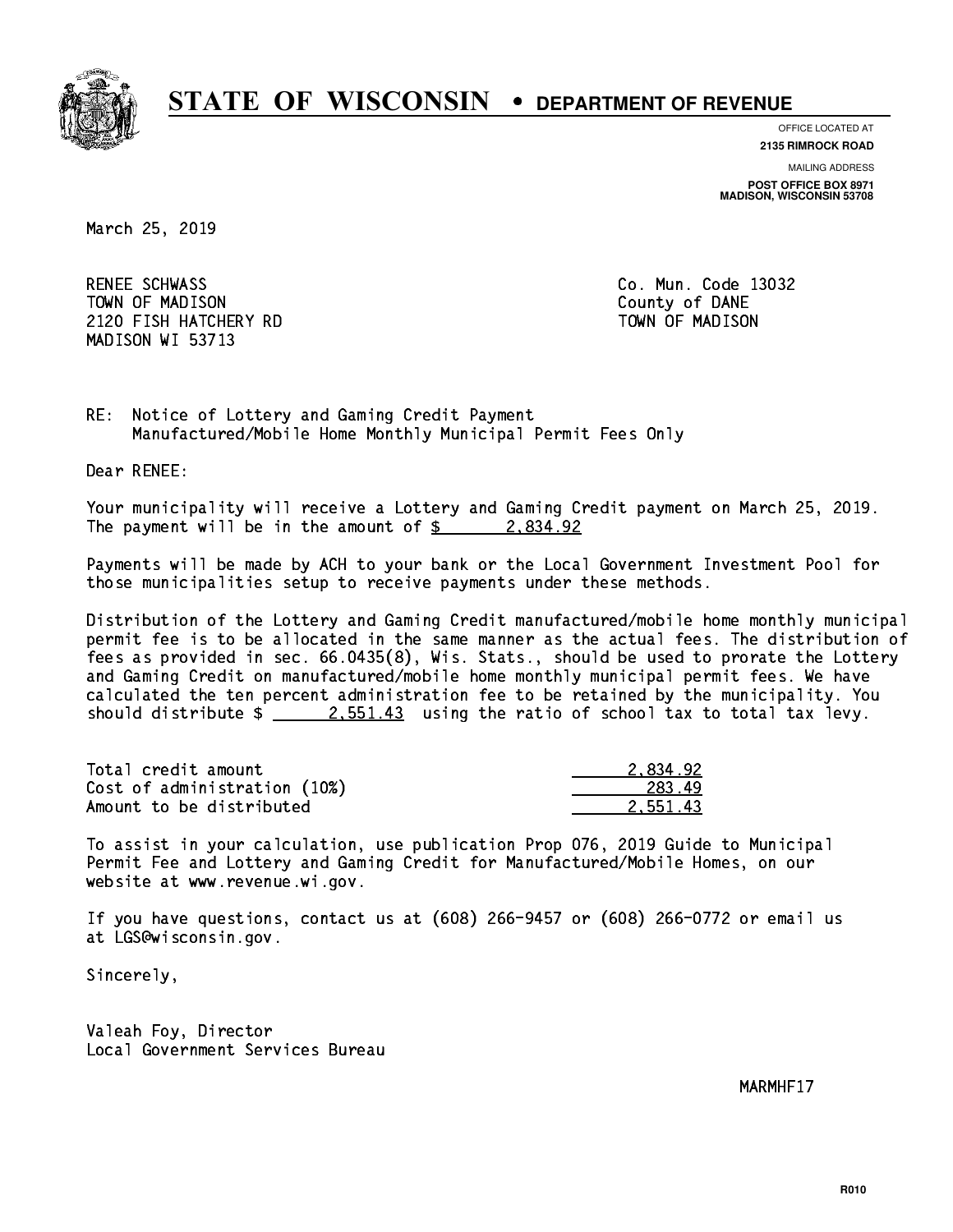

**OFFICE LOCATED AT**

**2135 RIMROCK ROAD**

**MAILING ADDRESS POST OFFICE BOX 8971 MADISON, WISCONSIN 53708**

March 25, 2019

RENEE SCHWASS TOWN OF MADISON County of DANE 2120 FISH HATCHERY RD TOWN OF MADISON MADISON WI 53713

Co. Mun. Code 13032

RE: Notice of Lottery and Gaming Credit Payment Manufactured/Mobile Home Monthly Municipal Permit Fees Only

Dear RENEE:

 Your municipality will receive a Lottery and Gaming Credit payment on March 25, 2019. The payment will be in the amount of  $\frac{2}{3}$  2,834.92

 Payments will be made by ACH to your bank or the Local Government Investment Pool for those municipalities setup to receive payments under these methods.

 Distribution of the Lottery and Gaming Credit manufactured/mobile home monthly municipal permit fee is to be allocated in the same manner as the actual fees. The distribution of fees as provided in sec. 66.0435(8), Wis. Stats., should be used to prorate the Lottery and Gaming Credit on manufactured/mobile home monthly municipal permit fees. We have calculated the ten percent administration fee to be retained by the municipality. You should distribute  $\frac{2.551.43}{2.551.43}$  using the ratio of school tax to total tax levy.

| Total credit amount          | 2.834.92 |
|------------------------------|----------|
| Cost of administration (10%) | 283.49   |
| Amount to be distributed     | 2.551.43 |

 To assist in your calculation, use publication Prop 076, 2019 Guide to Municipal Permit Fee and Lottery and Gaming Credit for Manufactured/Mobile Homes, on our website at www.revenue.wi.gov.

 If you have questions, contact us at (608) 266-9457 or (608) 266-0772 or email us at LGS@wisconsin.gov.

Sincerely,

 Valeah Foy, Director Local Government Services Bureau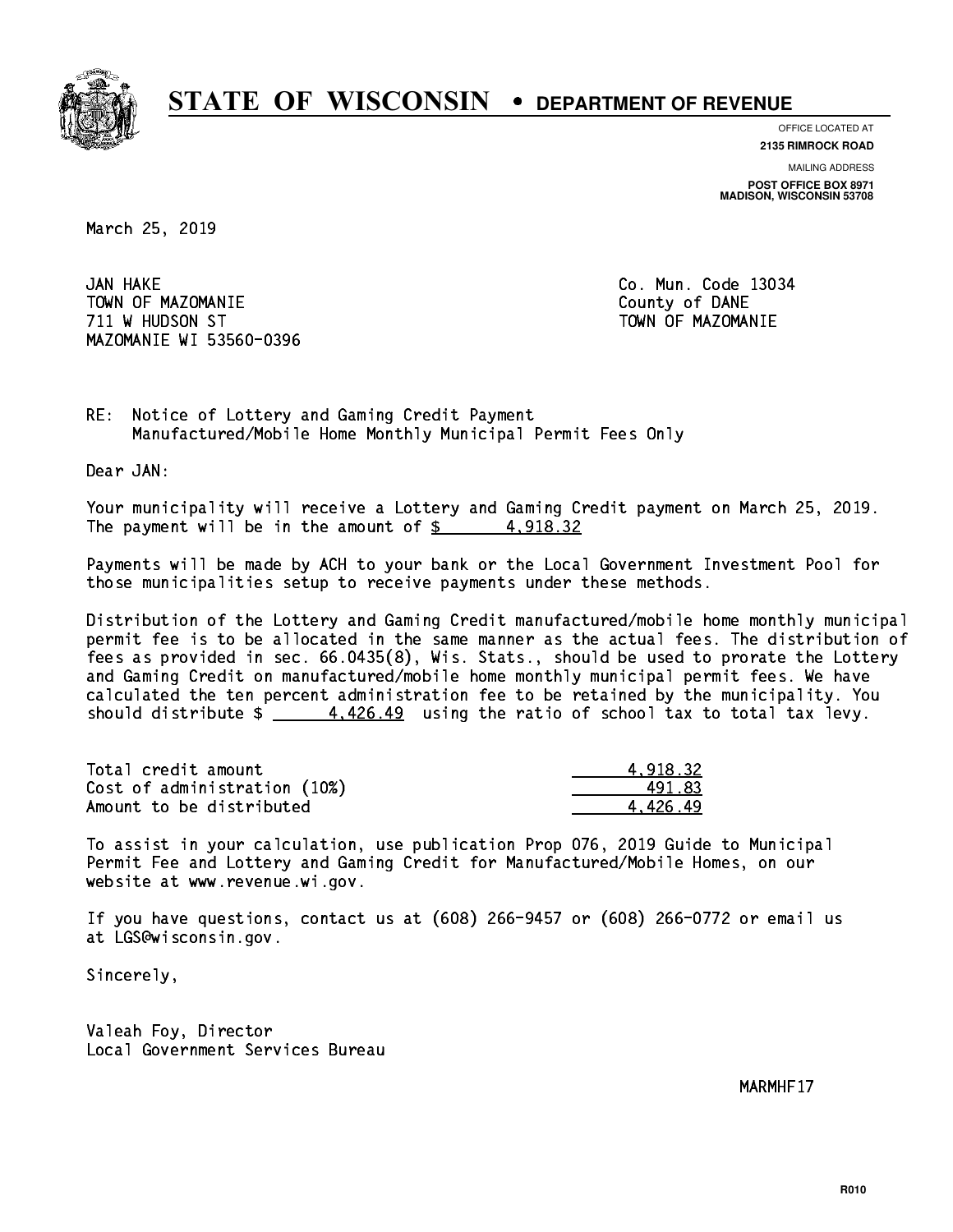

**OFFICE LOCATED AT**

**2135 RIMROCK ROAD**

**MAILING ADDRESS POST OFFICE BOX 8971 MADISON, WISCONSIN 53708**

March 25, 2019

JAN HAKE TOWN OF MAZOMANIE COUNTY OF DANE 711 W HUDSON ST TOWN OF MAZOMANIE MAZOMANIE WI 53560-0396

Co. Mun. Code 13034

RE: Notice of Lottery and Gaming Credit Payment Manufactured/Mobile Home Monthly Municipal Permit Fees Only

Dear JAN:

 Your municipality will receive a Lottery and Gaming Credit payment on March 25, 2019. The payment will be in the amount of  $\frac{2}{3}$  4,918.32

 Payments will be made by ACH to your bank or the Local Government Investment Pool for those municipalities setup to receive payments under these methods.

 Distribution of the Lottery and Gaming Credit manufactured/mobile home monthly municipal permit fee is to be allocated in the same manner as the actual fees. The distribution of fees as provided in sec. 66.0435(8), Wis. Stats., should be used to prorate the Lottery and Gaming Credit on manufactured/mobile home monthly municipal permit fees. We have calculated the ten percent administration fee to be retained by the municipality. You should distribute  $\frac{4}{1.426.49}$  using the ratio of school tax to total tax levy.

| Total credit amount          | 4.918.32 |
|------------------------------|----------|
| Cost of administration (10%) | 491.83   |
| Amount to be distributed     | 4.426.49 |

 To assist in your calculation, use publication Prop 076, 2019 Guide to Municipal Permit Fee and Lottery and Gaming Credit for Manufactured/Mobile Homes, on our website at www.revenue.wi.gov.

 If you have questions, contact us at (608) 266-9457 or (608) 266-0772 or email us at LGS@wisconsin.gov.

Sincerely,

 Valeah Foy, Director Local Government Services Bureau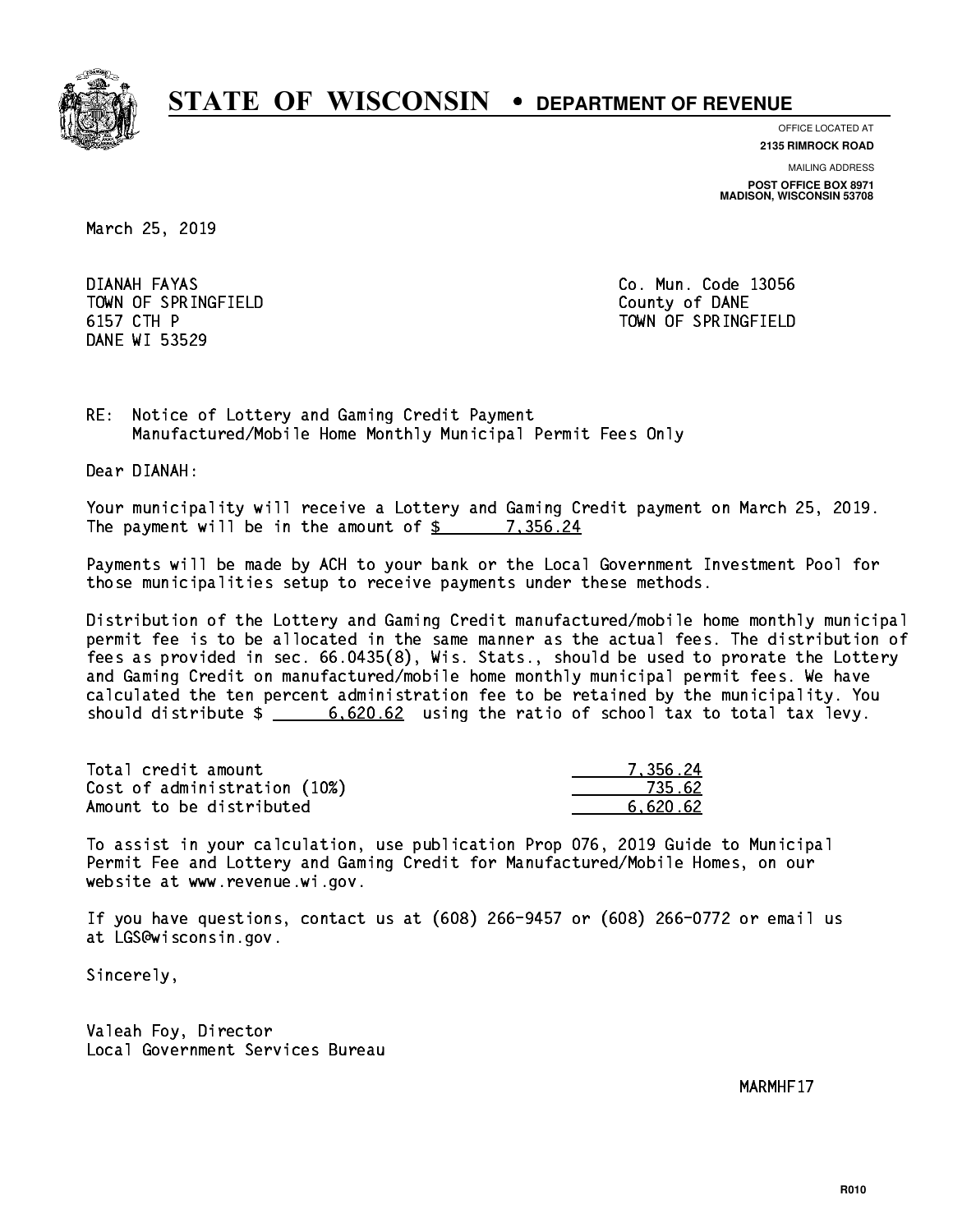

**OFFICE LOCATED AT**

**2135 RIMROCK ROAD**

**MAILING ADDRESS POST OFFICE BOX 8971 MADISON, WISCONSIN 53708**

March 25, 2019

DIANAH FAYAS TOWN OF SPRINGFIELD **COUNTY OF SAME IN TIME OF SPRINGFIELD** 6157 CTH P DANE WI 53529

Co. Mun. Code 13056 TOWN OF SPRINGFIELD

RE: Notice of Lottery and Gaming Credit Payment Manufactured/Mobile Home Monthly Municipal Permit Fees Only

Dear DIANAH:

 Your municipality will receive a Lottery and Gaming Credit payment on March 25, 2019. The payment will be in the amount of \$ \_\_\_\_\_\_\_\_\_\_\_\_\_\_\_\_ 7,356.24

 Payments will be made by ACH to your bank or the Local Government Investment Pool for those municipalities setup to receive payments under these methods.

 Distribution of the Lottery and Gaming Credit manufactured/mobile home monthly municipal permit fee is to be allocated in the same manner as the actual fees. The distribution of fees as provided in sec. 66.0435(8), Wis. Stats., should be used to prorate the Lottery and Gaming Credit on manufactured/mobile home monthly municipal permit fees. We have calculated the ten percent administration fee to be retained by the municipality. You should distribute  $\frac{2}{1}$   $\frac{6,620.62}{2}$  using the ratio of school tax to total tax levy.

| Total credit amount          | 7.356.24 |
|------------------------------|----------|
| Cost of administration (10%) | 735.62   |
| Amount to be distributed     | 6.620.62 |

 To assist in your calculation, use publication Prop 076, 2019 Guide to Municipal Permit Fee and Lottery and Gaming Credit for Manufactured/Mobile Homes, on our website at www.revenue.wi.gov.

 If you have questions, contact us at (608) 266-9457 or (608) 266-0772 or email us at LGS@wisconsin.gov.

Sincerely,

 Valeah Foy, Director Local Government Services Bureau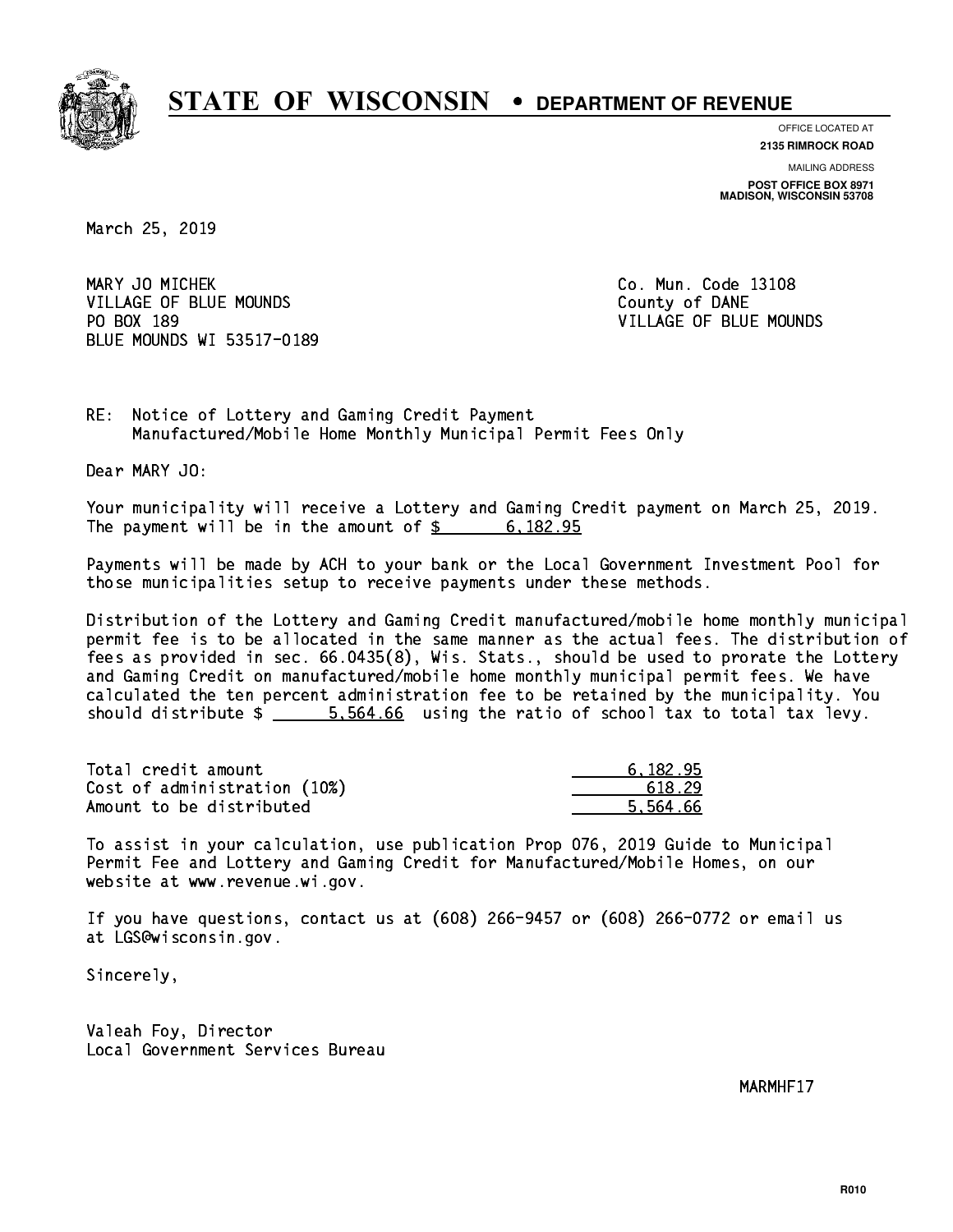

**OFFICE LOCATED AT**

**2135 RIMROCK ROAD**

**MAILING ADDRESS POST OFFICE BOX 8971 MADISON, WISCONSIN 53708**

March 25, 2019

MARY JO MICHEK **Co. Mun. Code 13108** VILLAGE OF BLUE MOUNDS **COUNTY OF BLUE MOUNDS** COUNTY OF DANE PO BOX 189 BLUE MOUNDS WI 53517-0189

VILLAGE OF BLUE MOUNDS

RE: Notice of Lottery and Gaming Credit Payment Manufactured/Mobile Home Monthly Municipal Permit Fees Only

Dear MARY JO:

 Your municipality will receive a Lottery and Gaming Credit payment on March 25, 2019. The payment will be in the amount of  $\frac{2}{3}$  6,182.95

 Payments will be made by ACH to your bank or the Local Government Investment Pool for those municipalities setup to receive payments under these methods.

 Distribution of the Lottery and Gaming Credit manufactured/mobile home monthly municipal permit fee is to be allocated in the same manner as the actual fees. The distribution of fees as provided in sec. 66.0435(8), Wis. Stats., should be used to prorate the Lottery and Gaming Credit on manufactured/mobile home monthly municipal permit fees. We have calculated the ten percent administration fee to be retained by the municipality. You should distribute \$ 5,564.66 using the ratio of school tax to total tax levy. \_\_\_\_\_\_\_\_\_\_\_\_\_\_

| Total credit amount          | 6.182.95 |
|------------------------------|----------|
| Cost of administration (10%) | 618.29   |
| Amount to be distributed     | 5.564.66 |

 To assist in your calculation, use publication Prop 076, 2019 Guide to Municipal Permit Fee and Lottery and Gaming Credit for Manufactured/Mobile Homes, on our website at www.revenue.wi.gov.

 If you have questions, contact us at (608) 266-9457 or (608) 266-0772 or email us at LGS@wisconsin.gov.

Sincerely,

 Valeah Foy, Director Local Government Services Bureau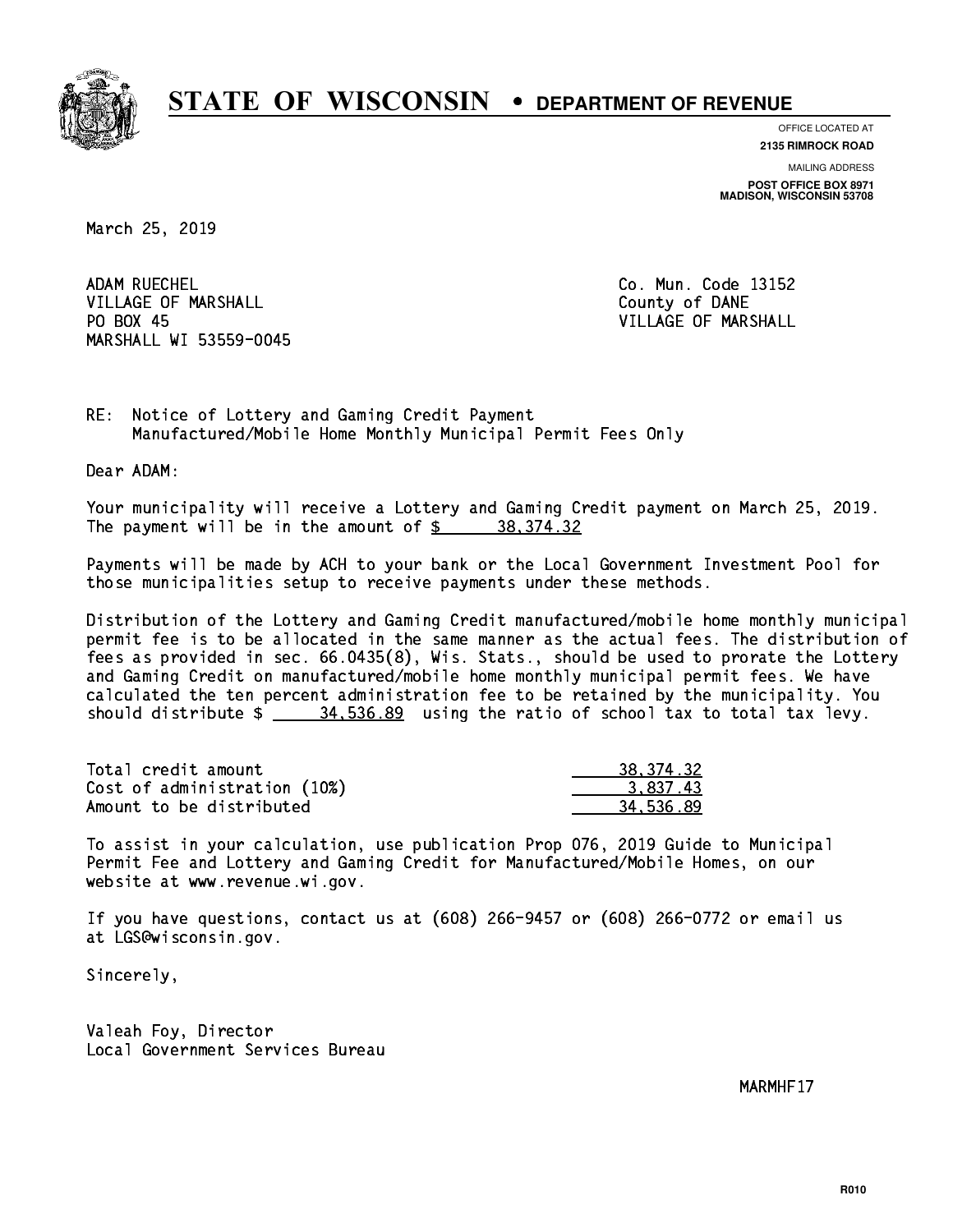

**OFFICE LOCATED AT**

**2135 RIMROCK ROAD**

**MAILING ADDRESS POST OFFICE BOX 8971 MADISON, WISCONSIN 53708**

March 25, 2019

ADAM RUECHEL VILLAGE OF MARSHALL **COUNTY OF MARSHALL** PO BOX 45 MARSHALL WI 53559-0045

Co. Mun. Code 13152 VILLAGE OF MARSHALL

RE: Notice of Lottery and Gaming Credit Payment Manufactured/Mobile Home Monthly Municipal Permit Fees Only

Dear ADAM:

 Your municipality will receive a Lottery and Gaming Credit payment on March 25, 2019. The payment will be in the amount of  $\frac{2}{3}$  38,374.32

 Payments will be made by ACH to your bank or the Local Government Investment Pool for those municipalities setup to receive payments under these methods.

 Distribution of the Lottery and Gaming Credit manufactured/mobile home monthly municipal permit fee is to be allocated in the same manner as the actual fees. The distribution of fees as provided in sec. 66.0435(8), Wis. Stats., should be used to prorate the Lottery and Gaming Credit on manufactured/mobile home monthly municipal permit fees. We have calculated the ten percent administration fee to be retained by the municipality. You should distribute  $\frac{24.536.89}{24.536.89}$  using the ratio of school tax to total tax levy.

| Total credit amount          | 38, 374. 32 |
|------------------------------|-------------|
| Cost of administration (10%) | 3.837.43    |
| Amount to be distributed     | 34.536.89   |

 To assist in your calculation, use publication Prop 076, 2019 Guide to Municipal Permit Fee and Lottery and Gaming Credit for Manufactured/Mobile Homes, on our website at www.revenue.wi.gov.

 If you have questions, contact us at (608) 266-9457 or (608) 266-0772 or email us at LGS@wisconsin.gov.

Sincerely,

 Valeah Foy, Director Local Government Services Bureau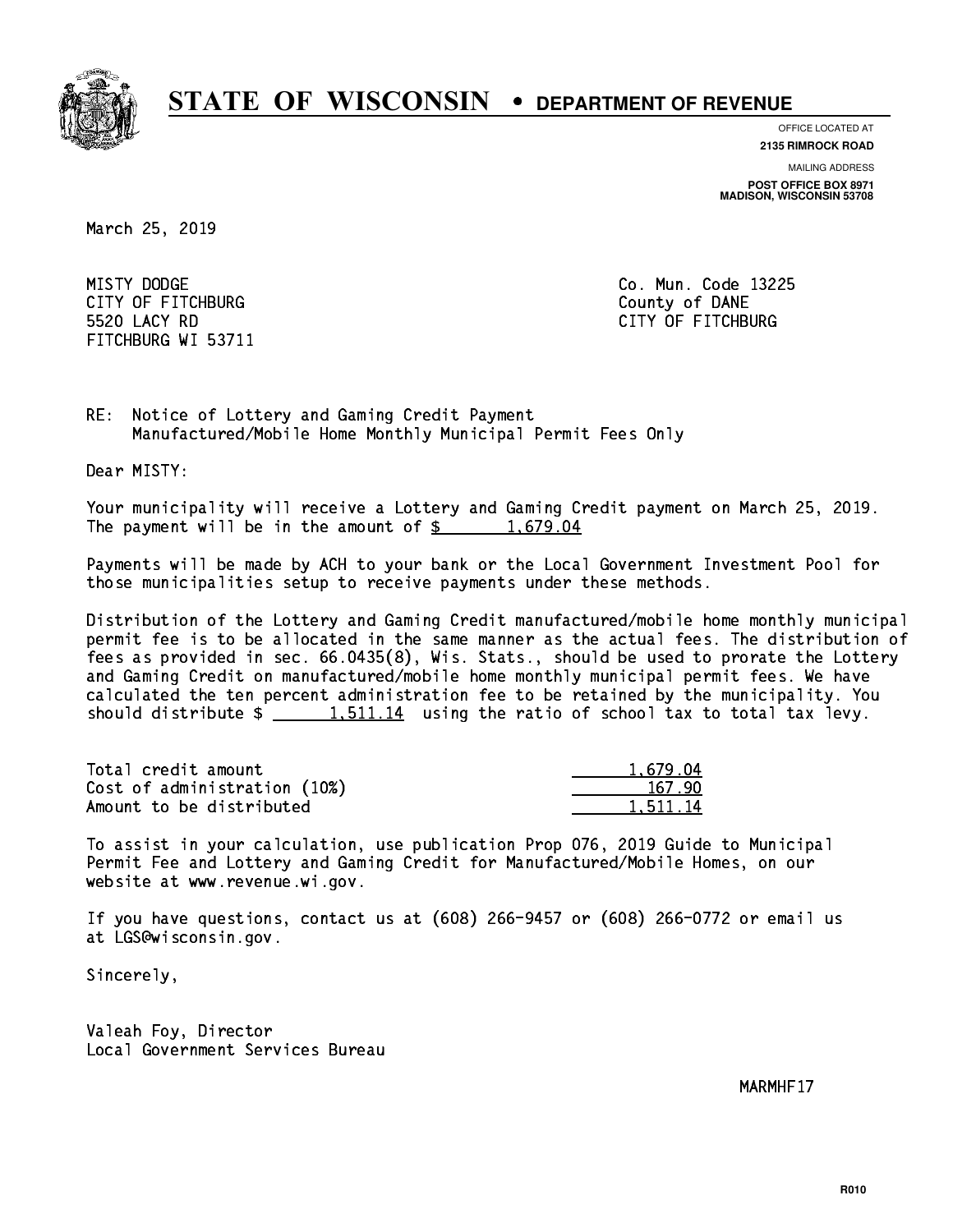

**OFFICE LOCATED AT**

**2135 RIMROCK ROAD**

**MAILING ADDRESS POST OFFICE BOX 8971 MADISON, WISCONSIN 53708**

March 25, 2019

MISTY DODGE CITY OF FITCHBURG COUNTY COUNTY OF DANE 5520 LACY RD FITCHBURG WI 53711

Co. Mun. Code 13225 CITY OF FITCHBURG

RE: Notice of Lottery and Gaming Credit Payment Manufactured/Mobile Home Monthly Municipal Permit Fees Only

Dear MISTY:

 Your municipality will receive a Lottery and Gaming Credit payment on March 25, 2019. The payment will be in the amount of  $\frac{2}{3}$  1,679.04

 Payments will be made by ACH to your bank or the Local Government Investment Pool for those municipalities setup to receive payments under these methods.

 Distribution of the Lottery and Gaming Credit manufactured/mobile home monthly municipal permit fee is to be allocated in the same manner as the actual fees. The distribution of fees as provided in sec. 66.0435(8), Wis. Stats., should be used to prorate the Lottery and Gaming Credit on manufactured/mobile home monthly municipal permit fees. We have calculated the ten percent administration fee to be retained by the municipality. You should distribute  $\frac{1.511.14}{1.511.14}$  using the ratio of school tax to total tax levy.

| Total credit amount          | 1.679.04 |
|------------------------------|----------|
| Cost of administration (10%) | 167.90   |
| Amount to be distributed     | 1.511.14 |

 To assist in your calculation, use publication Prop 076, 2019 Guide to Municipal Permit Fee and Lottery and Gaming Credit for Manufactured/Mobile Homes, on our website at www.revenue.wi.gov.

 If you have questions, contact us at (608) 266-9457 or (608) 266-0772 or email us at LGS@wisconsin.gov.

Sincerely,

 Valeah Foy, Director Local Government Services Bureau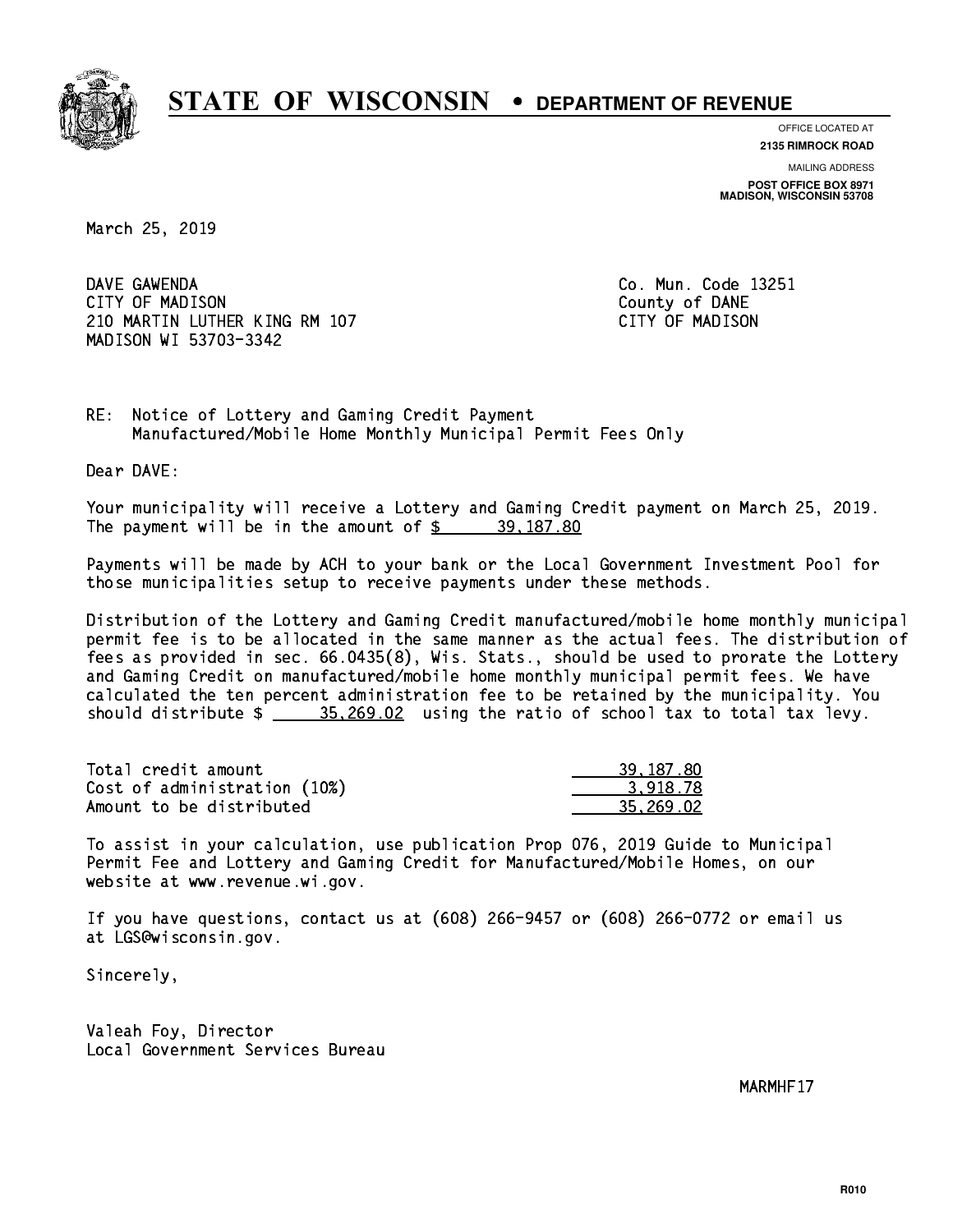

**OFFICE LOCATED AT**

**2135 RIMROCK ROAD**

**MAILING ADDRESS POST OFFICE BOX 8971 MADISON, WISCONSIN 53708**

March 25, 2019

DAVE GAWENDA CITY OF MADISON County of DANE 210 MARTIN LUTHER KING RM 107 CONTROLLER STATES TO MADISON MADISON WI 53703-3342

Co. Mun. Code 13251

RE: Notice of Lottery and Gaming Credit Payment Manufactured/Mobile Home Monthly Municipal Permit Fees Only

Dear DAVE:

 Your municipality will receive a Lottery and Gaming Credit payment on March 25, 2019. The payment will be in the amount of  $\frac{2}{3}$  39,187.80

 Payments will be made by ACH to your bank or the Local Government Investment Pool for those municipalities setup to receive payments under these methods.

 Distribution of the Lottery and Gaming Credit manufactured/mobile home monthly municipal permit fee is to be allocated in the same manner as the actual fees. The distribution of fees as provided in sec. 66.0435(8), Wis. Stats., should be used to prorate the Lottery and Gaming Credit on manufactured/mobile home monthly municipal permit fees. We have calculated the ten percent administration fee to be retained by the municipality. You should distribute  $\frac{25.269.02}{2}$  using the ratio of school tax to total tax levy.

| Total credit amount          | 39, 187, 80 |
|------------------------------|-------------|
| Cost of administration (10%) | 3.918.78    |
| Amount to be distributed     | 35.269.02   |

 To assist in your calculation, use publication Prop 076, 2019 Guide to Municipal Permit Fee and Lottery and Gaming Credit for Manufactured/Mobile Homes, on our website at www.revenue.wi.gov.

 If you have questions, contact us at (608) 266-9457 or (608) 266-0772 or email us at LGS@wisconsin.gov.

Sincerely,

 Valeah Foy, Director Local Government Services Bureau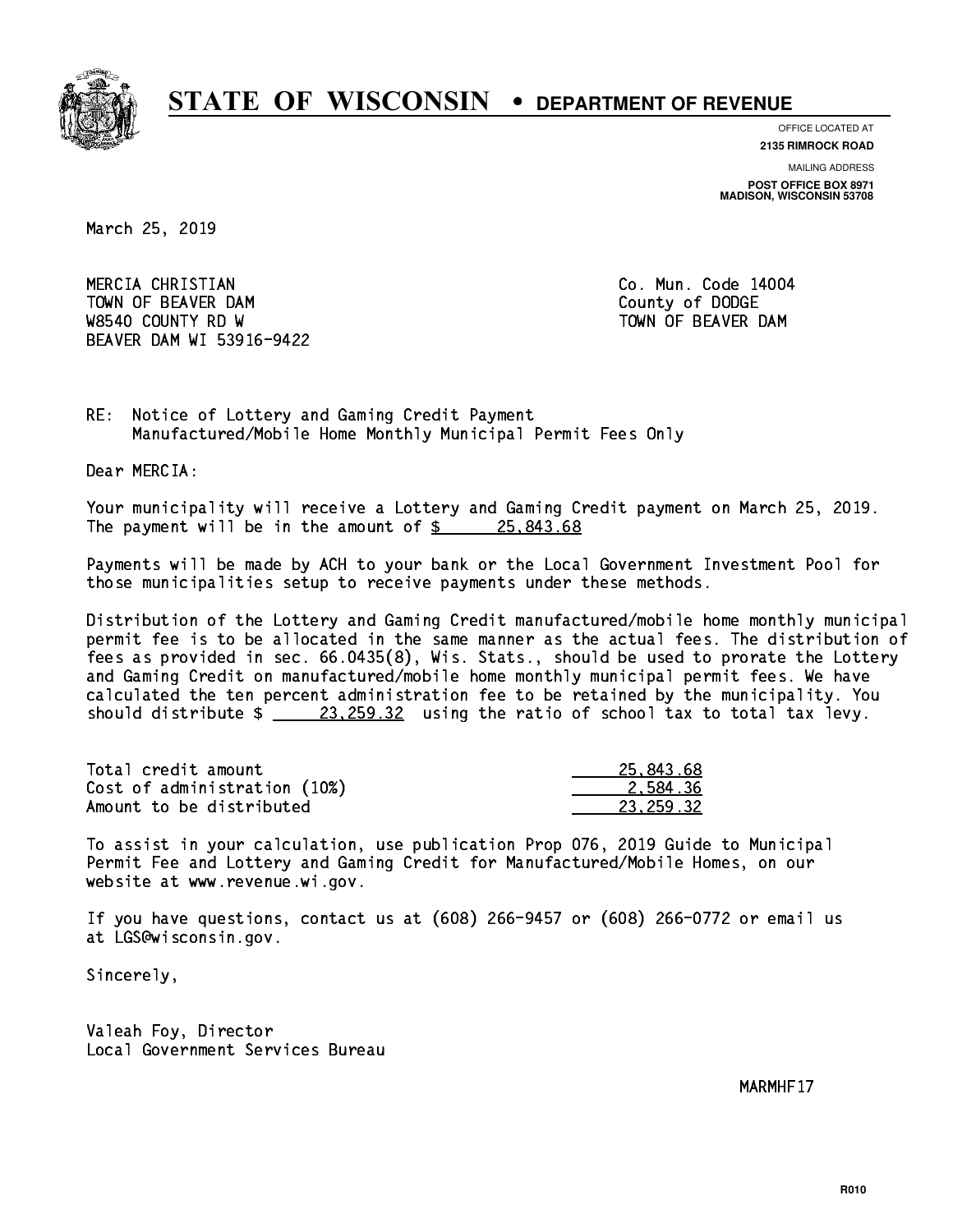

**OFFICE LOCATED AT**

**2135 RIMROCK ROAD**

**MAILING ADDRESS POST OFFICE BOX 8971 MADISON, WISCONSIN 53708**

March 25, 2019

 MERCIA CHRISTIAN Co. Mun. Code 14004 TOWN OF BEAVER DAM **COUNTY OF SEARCH COUNTY OF DODGE** W8540 COUNTY RD W TOWN OF BEAVER DAM BEAVER DAM WI 53916-9422

RE: Notice of Lottery and Gaming Credit Payment Manufactured/Mobile Home Monthly Municipal Permit Fees Only

Dear MERCIA:

 Your municipality will receive a Lottery and Gaming Credit payment on March 25, 2019. The payment will be in the amount of  $\frac{25.843.68}{25.843.68}$ 

 Payments will be made by ACH to your bank or the Local Government Investment Pool for those municipalities setup to receive payments under these methods.

 Distribution of the Lottery and Gaming Credit manufactured/mobile home monthly municipal permit fee is to be allocated in the same manner as the actual fees. The distribution of fees as provided in sec. 66.0435(8), Wis. Stats., should be used to prorate the Lottery and Gaming Credit on manufactured/mobile home monthly municipal permit fees. We have calculated the ten percent administration fee to be retained by the municipality. You should distribute  $\frac{23,259.32}{23,259.32}$  using the ratio of school tax to total tax levy.

| Total credit amount          | 25,843.68 |
|------------------------------|-----------|
| Cost of administration (10%) | 2.584.36  |
| Amount to be distributed     | 23.259.32 |

 To assist in your calculation, use publication Prop 076, 2019 Guide to Municipal Permit Fee and Lottery and Gaming Credit for Manufactured/Mobile Homes, on our website at www.revenue.wi.gov.

 If you have questions, contact us at (608) 266-9457 or (608) 266-0772 or email us at LGS@wisconsin.gov.

Sincerely,

 Valeah Foy, Director Local Government Services Bureau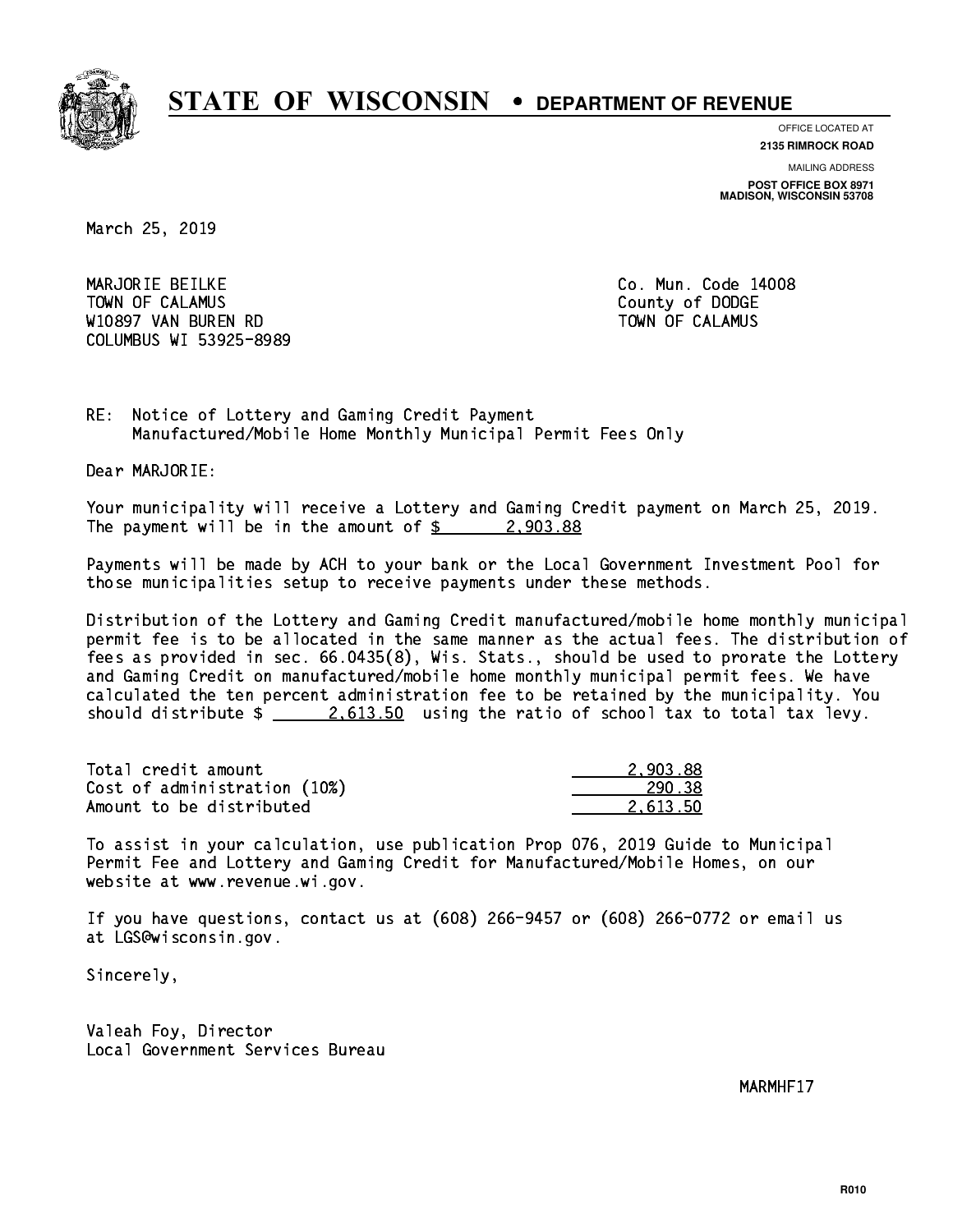

**OFFICE LOCATED AT 2135 RIMROCK ROAD**

**MAILING ADDRESS POST OFFICE BOX 8971 MADISON, WISCONSIN 53708**

March 25, 2019

 MARJORIE BEILKE Co. Mun. Code 14008 Town of Calamus County of Dodge County of Dodge County of Dodge County of Dodge County of Dodge County of Dodge W10897 VAN BUREN RD TOWN OF CALAMUS COLUMBUS WI 53925-8989

RE: Notice of Lottery and Gaming Credit Payment Manufactured/Mobile Home Monthly Municipal Permit Fees Only

Dear MARJORIE:

 Your municipality will receive a Lottery and Gaming Credit payment on March 25, 2019. The payment will be in the amount of  $\frac{2}{9}$  2,903.88

 Payments will be made by ACH to your bank or the Local Government Investment Pool for those municipalities setup to receive payments under these methods.

 Distribution of the Lottery and Gaming Credit manufactured/mobile home monthly municipal permit fee is to be allocated in the same manner as the actual fees. The distribution of fees as provided in sec. 66.0435(8), Wis. Stats., should be used to prorate the Lottery and Gaming Credit on manufactured/mobile home monthly municipal permit fees. We have calculated the ten percent administration fee to be retained by the municipality. You should distribute  $\frac{2.613.50}{2.613.50}$  using the ratio of school tax to total tax levy.

| Total credit amount          | 2.903.88 |
|------------------------------|----------|
| Cost of administration (10%) | 290.38   |
| Amount to be distributed     | 2.613.50 |

 To assist in your calculation, use publication Prop 076, 2019 Guide to Municipal Permit Fee and Lottery and Gaming Credit for Manufactured/Mobile Homes, on our website at www.revenue.wi.gov.

 If you have questions, contact us at (608) 266-9457 or (608) 266-0772 or email us at LGS@wisconsin.gov.

Sincerely,

 Valeah Foy, Director Local Government Services Bureau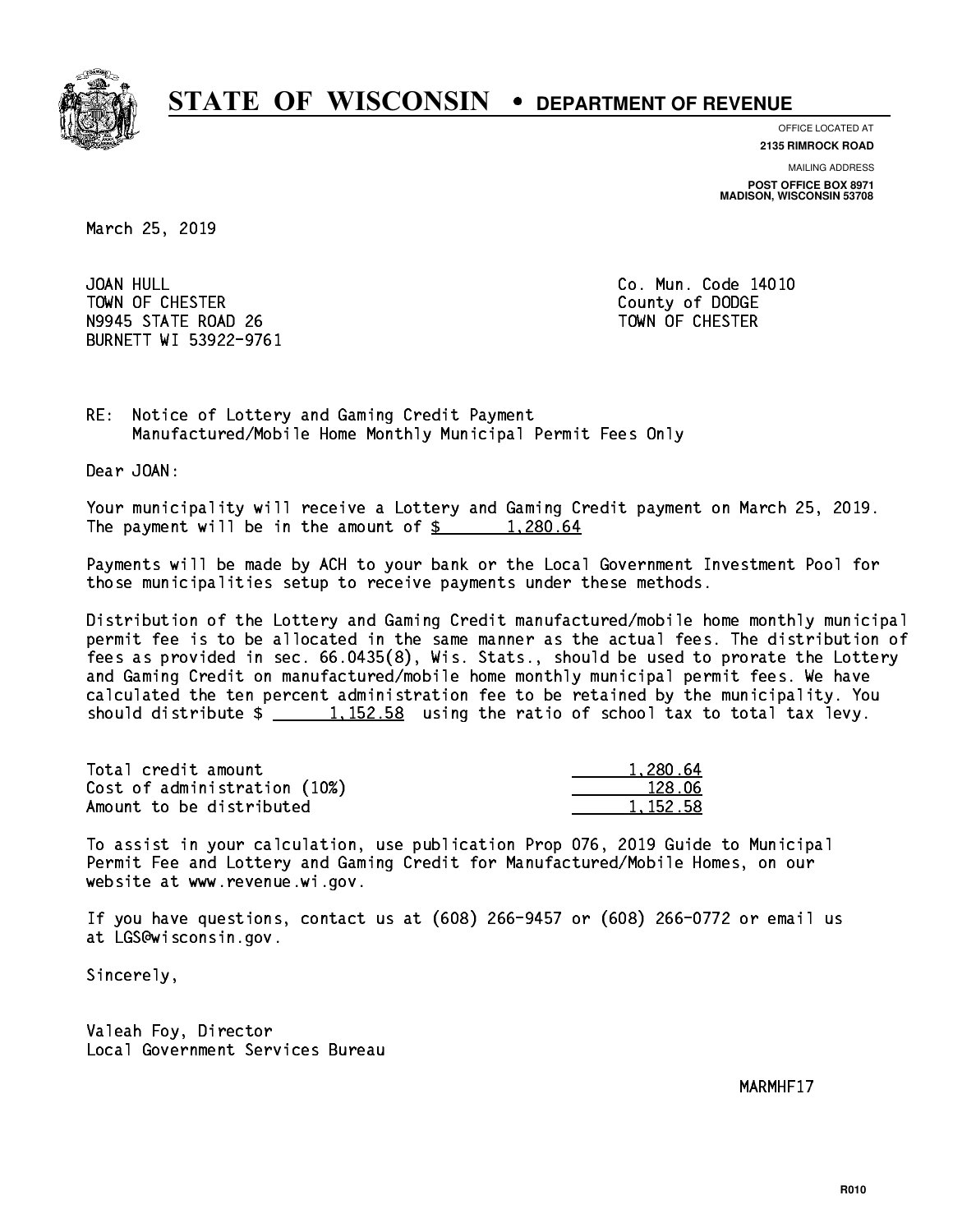

**OFFICE LOCATED AT**

**2135 RIMROCK ROAD**

**MAILING ADDRESS POST OFFICE BOX 8971 MADISON, WISCONSIN 53708**

March 25, 2019

JOAN HULL TOWN OF CHESTER COUNTY OF DODGE COUNTY OF DODGE N9945 STATE ROAD 26 TOWN OF CHESTER BURNETT WI 53922-9761

Co. Mun. Code 14010

RE: Notice of Lottery and Gaming Credit Payment Manufactured/Mobile Home Monthly Municipal Permit Fees Only

Dear JOAN:

 Your municipality will receive a Lottery and Gaming Credit payment on March 25, 2019. The payment will be in the amount of  $\frac{2}{3}$  1,280.64

 Payments will be made by ACH to your bank or the Local Government Investment Pool for those municipalities setup to receive payments under these methods.

 Distribution of the Lottery and Gaming Credit manufactured/mobile home monthly municipal permit fee is to be allocated in the same manner as the actual fees. The distribution of fees as provided in sec. 66.0435(8), Wis. Stats., should be used to prorate the Lottery and Gaming Credit on manufactured/mobile home monthly municipal permit fees. We have calculated the ten percent administration fee to be retained by the municipality. You should distribute  $\frac{1}{2}$   $\frac{1}{152.58}$  using the ratio of school tax to total tax levy.

| Total credit amount          | 1,280.64   |
|------------------------------|------------|
| Cost of administration (10%) | 128.06     |
| Amount to be distributed     | 1, 152, 58 |

 To assist in your calculation, use publication Prop 076, 2019 Guide to Municipal Permit Fee and Lottery and Gaming Credit for Manufactured/Mobile Homes, on our website at www.revenue.wi.gov.

 If you have questions, contact us at (608) 266-9457 or (608) 266-0772 or email us at LGS@wisconsin.gov.

Sincerely,

 Valeah Foy, Director Local Government Services Bureau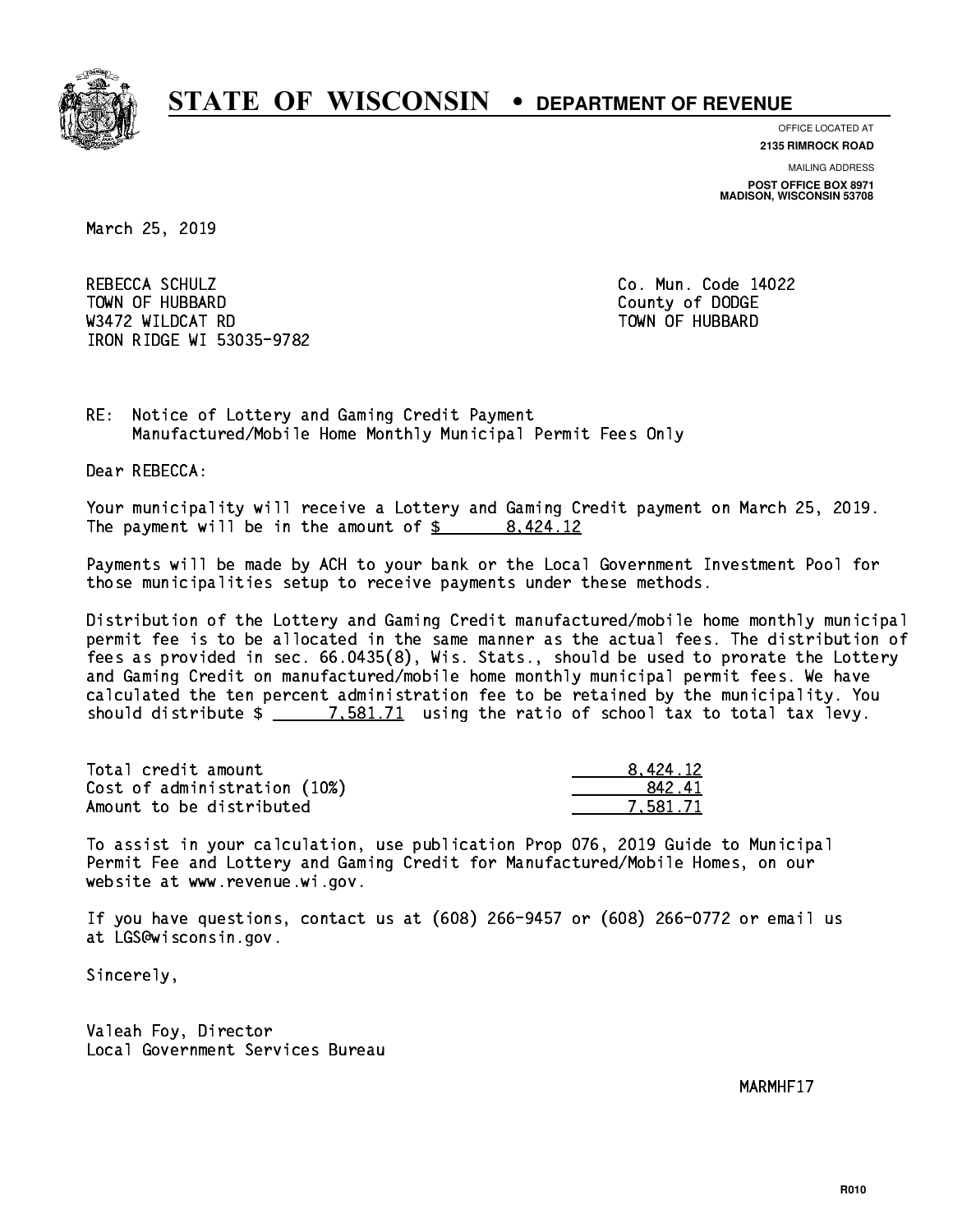

**OFFICE LOCATED AT 2135 RIMROCK ROAD**

**MAILING ADDRESS**

**POST OFFICE BOX 8971 MADISON, WISCONSIN 53708**

March 25, 2019

 REBECCA SCHULZ Co. Mun. Code 14022 Town of Hubbard County of Dodge County of Dodge County of Dodge County of Dodge County of Dodge County of Dodge County of Dodge County of Dodge County of Dodge County of Dodge County of Dodge County of Dodge County of Dodg was a constructed by the construction of the construction of the construction of the construction of the construction of the construction of the construction of the construction of the construction of the construction of t IRON RIDGE WI 53035-9782

RE: Notice of Lottery and Gaming Credit Payment Manufactured/Mobile Home Monthly Municipal Permit Fees Only

Dear REBECCA:

 Your municipality will receive a Lottery and Gaming Credit payment on March 25, 2019. The payment will be in the amount of \$ 8,424.12 \_\_\_\_\_\_\_\_\_\_\_\_\_\_\_\_

 Payments will be made by ACH to your bank or the Local Government Investment Pool for those municipalities setup to receive payments under these methods.

 Distribution of the Lottery and Gaming Credit manufactured/mobile home monthly municipal permit fee is to be allocated in the same manner as the actual fees. The distribution of fees as provided in sec. 66.0435(8), Wis. Stats., should be used to prorate the Lottery and Gaming Credit on manufactured/mobile home monthly municipal permit fees. We have calculated the ten percent administration fee to be retained by the municipality. You should distribute  $\frac{2}{1}$   $\frac{7.581.71}{2}$  using the ratio of school tax to total tax levy.

| Total credit amount          | 8.424.12 |
|------------------------------|----------|
| Cost of administration (10%) | 842.41   |
| Amount to be distributed     | 7.581.71 |

 To assist in your calculation, use publication Prop 076, 2019 Guide to Municipal Permit Fee and Lottery and Gaming Credit for Manufactured/Mobile Homes, on our website at www.revenue.wi.gov.

 If you have questions, contact us at (608) 266-9457 or (608) 266-0772 or email us at LGS@wisconsin.gov.

Sincerely,

 Valeah Foy, Director Local Government Services Bureau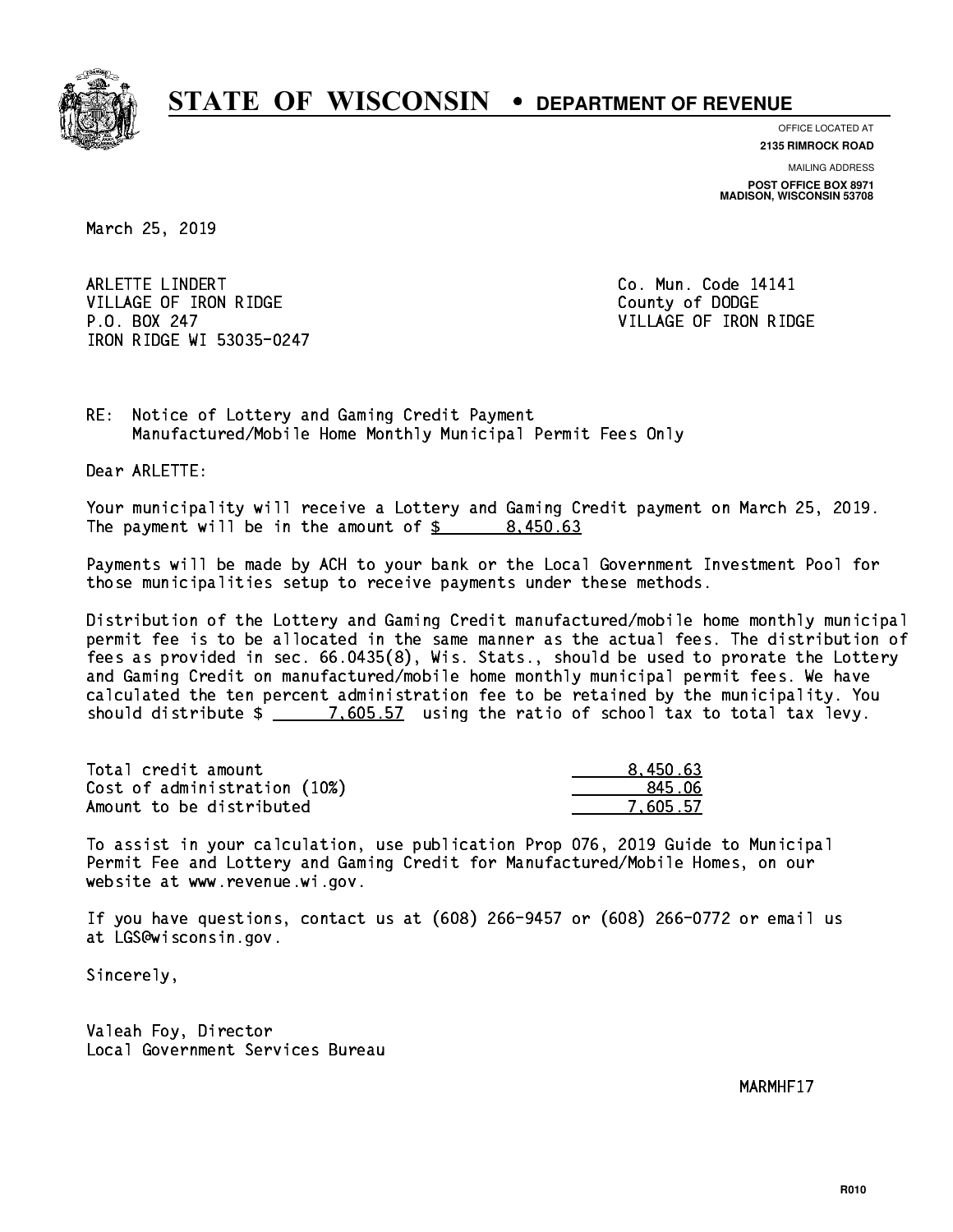

**OFFICE LOCATED AT**

**2135 RIMROCK ROAD**

**MAILING ADDRESS POST OFFICE BOX 8971 MADISON, WISCONSIN 53708**

March 25, 2019

ARLETTE LINDERT **Co. Mun. Code 14141** VILLAGE OF IRON RIDGE COUNTY OF DODGE P.O. BOX 247 VILLAGE OF IRON RIDGE IRON RIDGE WI 53035-0247

RE: Notice of Lottery and Gaming Credit Payment Manufactured/Mobile Home Monthly Municipal Permit Fees Only

Dear ARLETTE:

 Your municipality will receive a Lottery and Gaming Credit payment on March 25, 2019. The payment will be in the amount of  $\frac{2}{3}$  8,450.63

 Payments will be made by ACH to your bank or the Local Government Investment Pool for those municipalities setup to receive payments under these methods.

 Distribution of the Lottery and Gaming Credit manufactured/mobile home monthly municipal permit fee is to be allocated in the same manner as the actual fees. The distribution of fees as provided in sec. 66.0435(8), Wis. Stats., should be used to prorate the Lottery and Gaming Credit on manufactured/mobile home monthly municipal permit fees. We have calculated the ten percent administration fee to be retained by the municipality. You should distribute  $\frac{2}{1.605.57}$  using the ratio of school tax to total tax levy.

| Total credit amount          | 8.450.63 |
|------------------------------|----------|
| Cost of administration (10%) | 845.06   |
| Amount to be distributed     | 7.605.57 |

 To assist in your calculation, use publication Prop 076, 2019 Guide to Municipal Permit Fee and Lottery and Gaming Credit for Manufactured/Mobile Homes, on our website at www.revenue.wi.gov.

 If you have questions, contact us at (608) 266-9457 or (608) 266-0772 or email us at LGS@wisconsin.gov.

Sincerely,

 Valeah Foy, Director Local Government Services Bureau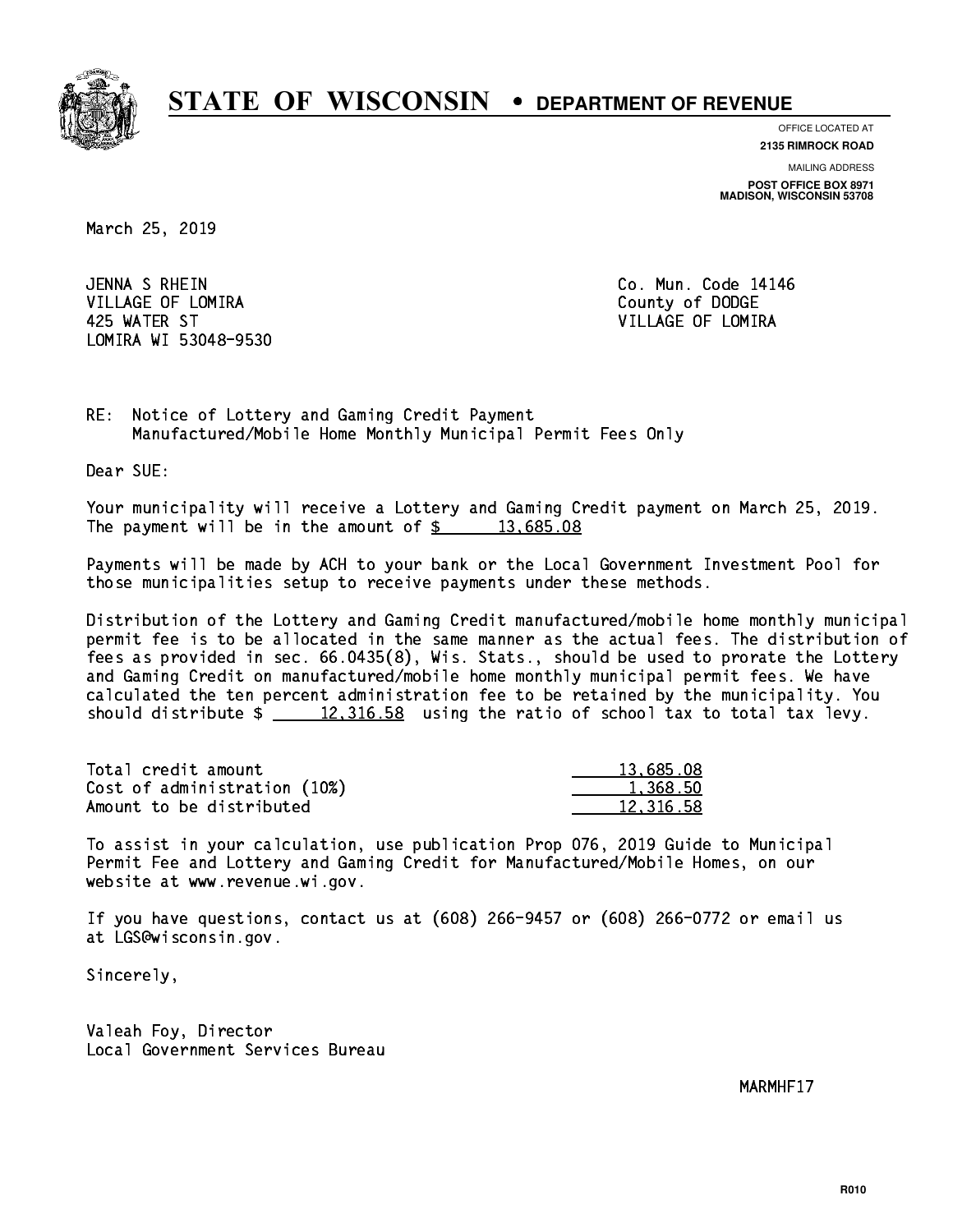

**OFFICE LOCATED AT**

**2135 RIMROCK ROAD**

**MAILING ADDRESS POST OFFICE BOX 8971 MADISON, WISCONSIN 53708**

March 25, 2019

 JENNA S RHEIN Co. Mun. Code 14146 VILLAGE OF LOMIRA **COUNTY OF LOGAL COUNTY OF DODGE**  425 WATER ST VILLAGE OF LOMIRA LOMIRA WI 53048-9530

RE: Notice of Lottery and Gaming Credit Payment Manufactured/Mobile Home Monthly Municipal Permit Fees Only

Dear SUE:

 Your municipality will receive a Lottery and Gaming Credit payment on March 25, 2019. The payment will be in the amount of  $\frac{2}{3}$  13,685.08

 Payments will be made by ACH to your bank or the Local Government Investment Pool for those municipalities setup to receive payments under these methods.

 Distribution of the Lottery and Gaming Credit manufactured/mobile home monthly municipal permit fee is to be allocated in the same manner as the actual fees. The distribution of fees as provided in sec. 66.0435(8), Wis. Stats., should be used to prorate the Lottery and Gaming Credit on manufactured/mobile home monthly municipal permit fees. We have calculated the ten percent administration fee to be retained by the municipality. You should distribute  $\frac{2}{2}$   $\frac{12,316.58}{2}$  using the ratio of school tax to total tax levy.

| Total credit amount          | 13,685.08 |
|------------------------------|-----------|
| Cost of administration (10%) | 1.368.50  |
| Amount to be distributed     | 12,316.58 |

 To assist in your calculation, use publication Prop 076, 2019 Guide to Municipal Permit Fee and Lottery and Gaming Credit for Manufactured/Mobile Homes, on our website at www.revenue.wi.gov.

 If you have questions, contact us at (608) 266-9457 or (608) 266-0772 or email us at LGS@wisconsin.gov.

Sincerely,

 Valeah Foy, Director Local Government Services Bureau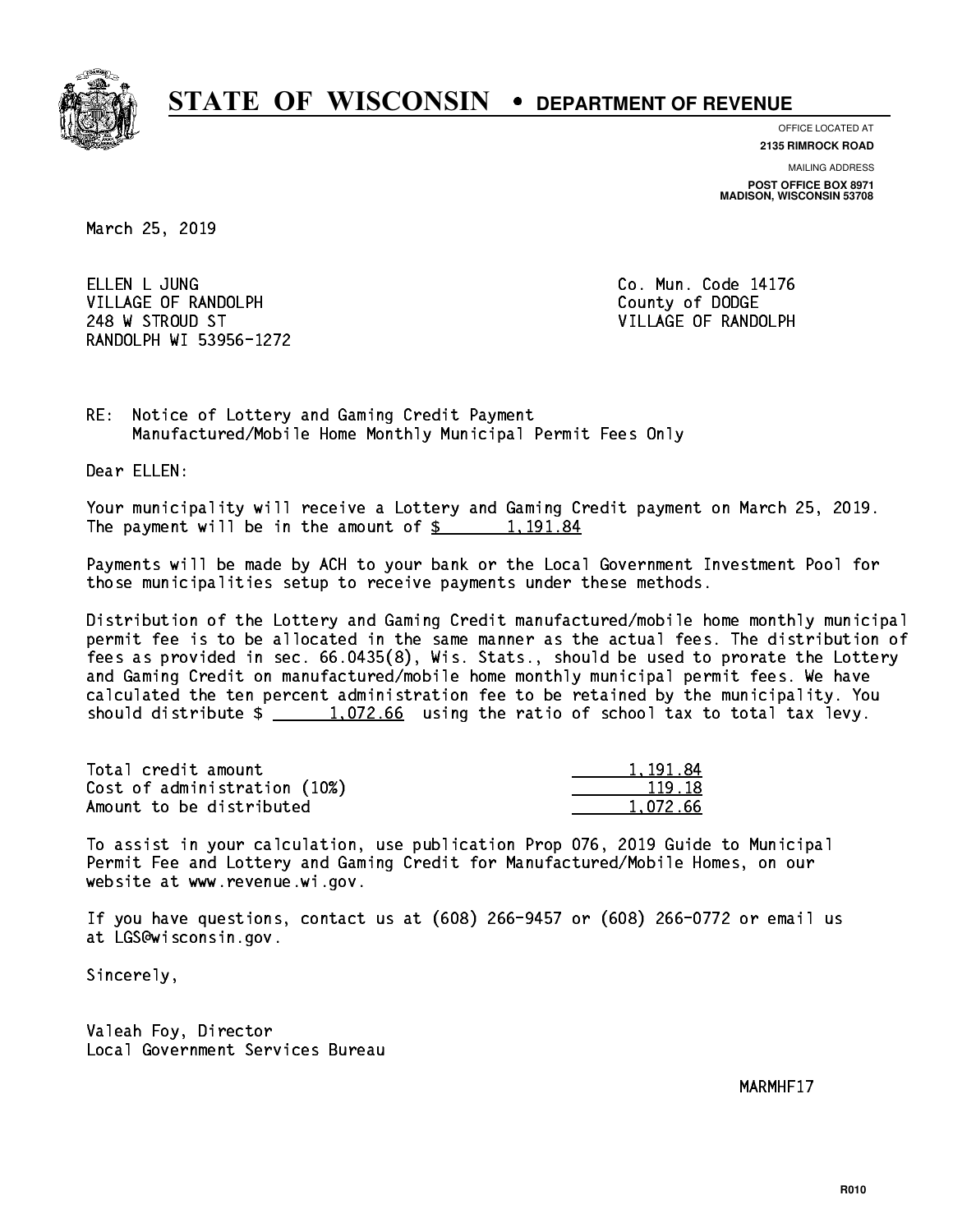

**OFFICE LOCATED AT**

**2135 RIMROCK ROAD**

**MAILING ADDRESS POST OFFICE BOX 8971 MADISON, WISCONSIN 53708**

March 25, 2019

ELLEN L JUNG VILLAGE OF RANDOLPH COUNTY COUNTY OF DODGE 248 W STROUD ST VILLAGE OF RANDOLPH RANDOLPH WI 53956-1272

Co. Mun. Code 14176

RE: Notice of Lottery and Gaming Credit Payment Manufactured/Mobile Home Monthly Municipal Permit Fees Only

Dear ELLEN:

 Your municipality will receive a Lottery and Gaming Credit payment on March 25, 2019. The payment will be in the amount of  $\frac{2}{3}$  1,191.84

 Payments will be made by ACH to your bank or the Local Government Investment Pool for those municipalities setup to receive payments under these methods.

 Distribution of the Lottery and Gaming Credit manufactured/mobile home monthly municipal permit fee is to be allocated in the same manner as the actual fees. The distribution of fees as provided in sec. 66.0435(8), Wis. Stats., should be used to prorate the Lottery and Gaming Credit on manufactured/mobile home monthly municipal permit fees. We have calculated the ten percent administration fee to be retained by the municipality. You should distribute  $\frac{1.072.66}{1.072.66}$  using the ratio of school tax to total tax levy.

| Total credit amount          | 1.191.84 |
|------------------------------|----------|
| Cost of administration (10%) | 119.18   |
| Amount to be distributed     | 1.072.66 |

 To assist in your calculation, use publication Prop 076, 2019 Guide to Municipal Permit Fee and Lottery and Gaming Credit for Manufactured/Mobile Homes, on our website at www.revenue.wi.gov.

 If you have questions, contact us at (608) 266-9457 or (608) 266-0772 or email us at LGS@wisconsin.gov.

Sincerely,

 Valeah Foy, Director Local Government Services Bureau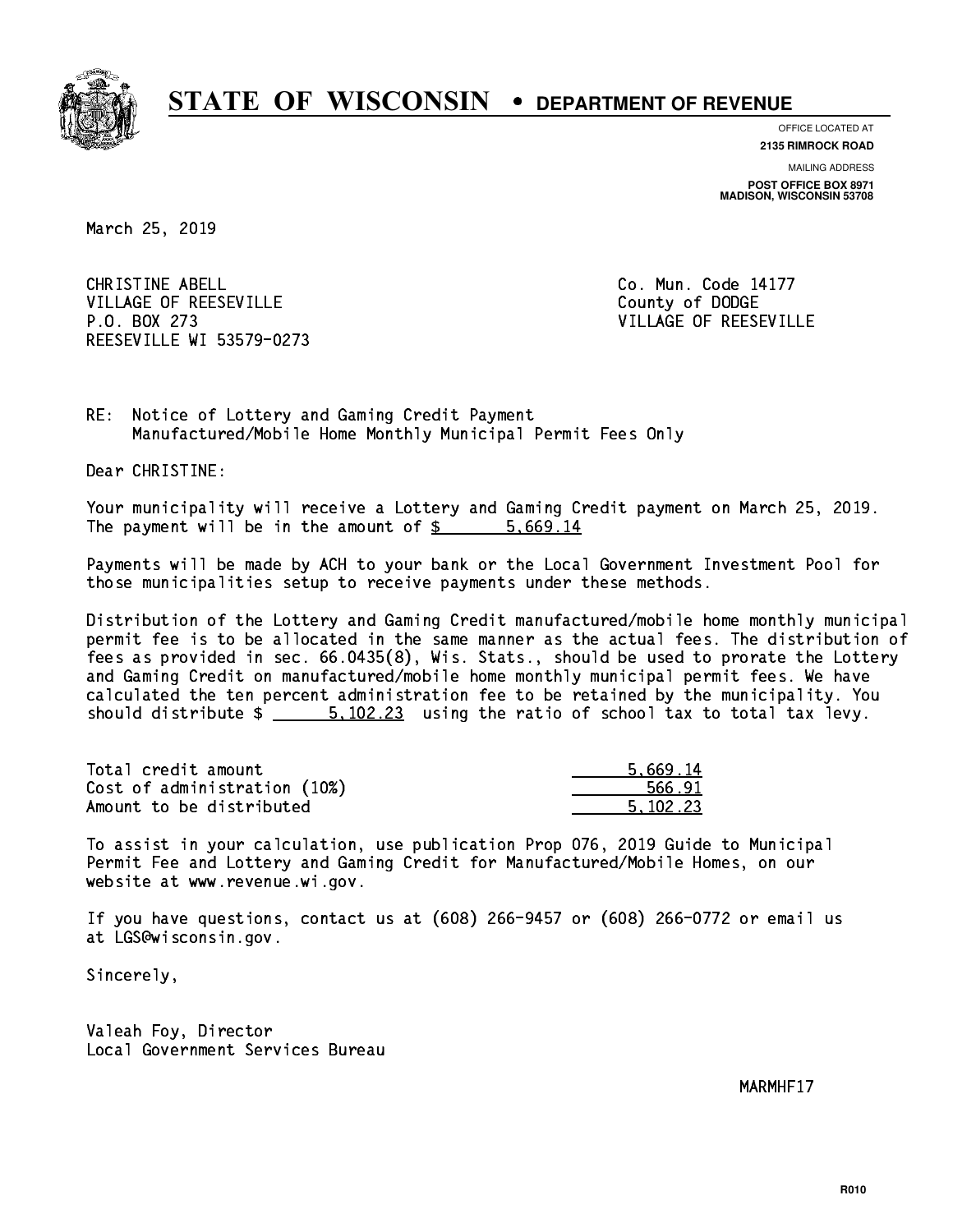

**OFFICE LOCATED AT**

**2135 RIMROCK ROAD**

**MAILING ADDRESS POST OFFICE BOX 8971 MADISON, WISCONSIN 53708**

March 25, 2019

CHRISTINE ABELL **CHRISTINE ABELL** VILLAGE OF REESEVILLE COUNTY OF DODGE P.O. BOX 273 VILLAGE OF REESEVILLE REESEVILLE WI 53579-0273

RE: Notice of Lottery and Gaming Credit Payment Manufactured/Mobile Home Monthly Municipal Permit Fees Only

Dear CHRISTINE:

 Your municipality will receive a Lottery and Gaming Credit payment on March 25, 2019. The payment will be in the amount of \$ 5,669.14 \_\_\_\_\_\_\_\_\_\_\_\_\_\_\_\_

 Payments will be made by ACH to your bank or the Local Government Investment Pool for those municipalities setup to receive payments under these methods.

 Distribution of the Lottery and Gaming Credit manufactured/mobile home monthly municipal permit fee is to be allocated in the same manner as the actual fees. The distribution of fees as provided in sec. 66.0435(8), Wis. Stats., should be used to prorate the Lottery and Gaming Credit on manufactured/mobile home monthly municipal permit fees. We have calculated the ten percent administration fee to be retained by the municipality. You should distribute  $\frac{2}{1}$   $\frac{5,102.23}{2}$  using the ratio of school tax to total tax levy.

| Total credit amount          | 5.669.14 |
|------------------------------|----------|
| Cost of administration (10%) | 566.91   |
| Amount to be distributed     | 5.102.23 |

 To assist in your calculation, use publication Prop 076, 2019 Guide to Municipal Permit Fee and Lottery and Gaming Credit for Manufactured/Mobile Homes, on our website at www.revenue.wi.gov.

 If you have questions, contact us at (608) 266-9457 or (608) 266-0772 or email us at LGS@wisconsin.gov.

Sincerely,

 Valeah Foy, Director Local Government Services Bureau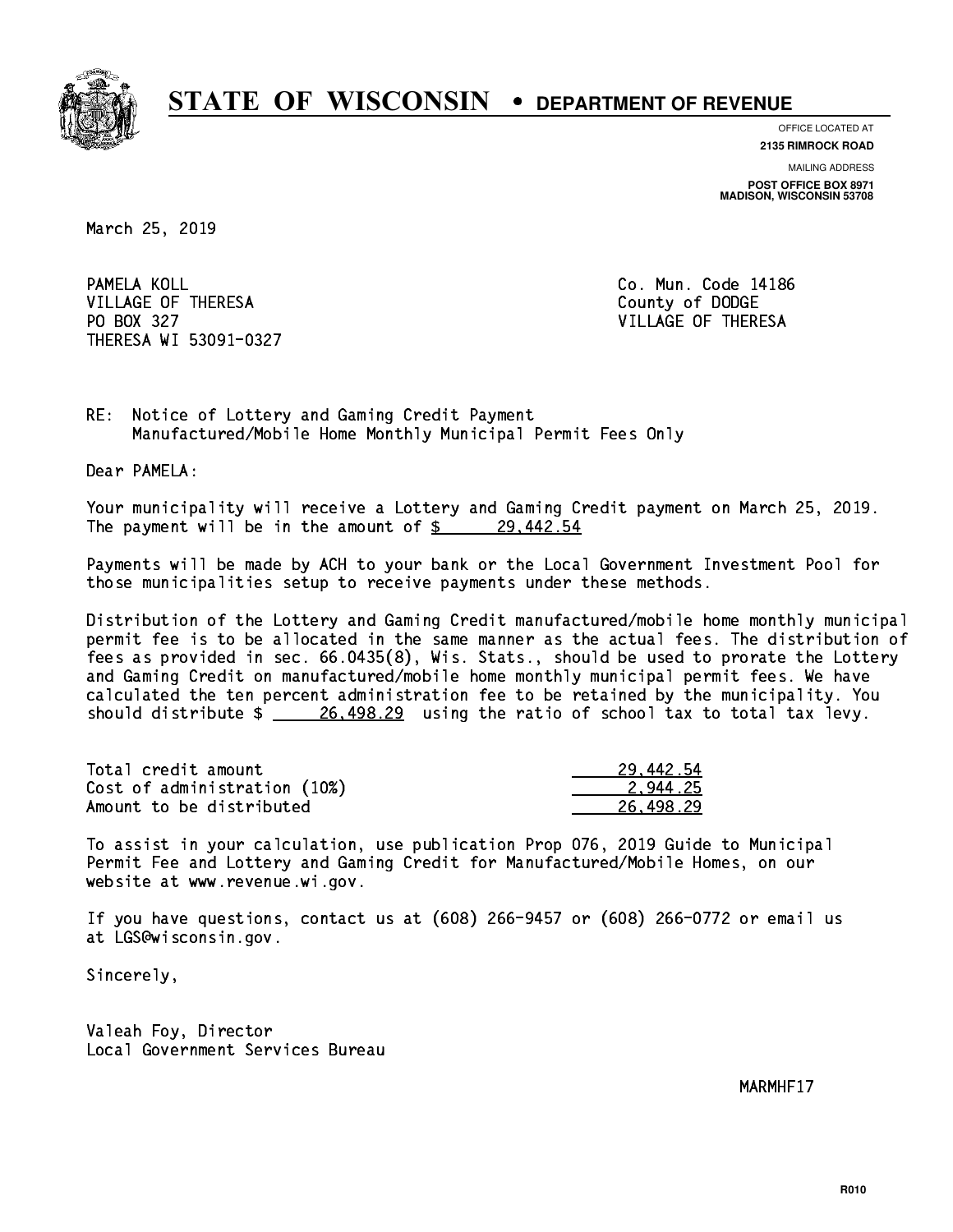

**OFFICE LOCATED AT**

**2135 RIMROCK ROAD**

**MAILING ADDRESS POST OFFICE BOX 8971 MADISON, WISCONSIN 53708**

March 25, 2019

PAMELA KOLL VILLAGE OF THERESA COUNTY OF DODGE PO BOX 327 VILLAGE OF THERESA THERESA WI 53091-0327

Co. Mun. Code 14186

RE: Notice of Lottery and Gaming Credit Payment Manufactured/Mobile Home Monthly Municipal Permit Fees Only

Dear PAMELA:

 Your municipality will receive a Lottery and Gaming Credit payment on March 25, 2019. The payment will be in the amount of  $\frac{29.442.54}{29.442.54}$ 

 Payments will be made by ACH to your bank or the Local Government Investment Pool for those municipalities setup to receive payments under these methods.

 Distribution of the Lottery and Gaming Credit manufactured/mobile home monthly municipal permit fee is to be allocated in the same manner as the actual fees. The distribution of fees as provided in sec. 66.0435(8), Wis. Stats., should be used to prorate the Lottery and Gaming Credit on manufactured/mobile home monthly municipal permit fees. We have calculated the ten percent administration fee to be retained by the municipality. You should distribute  $\frac{26,498.29}{26,498.29}$  using the ratio of school tax to total tax levy.

| Total credit amount          | 29,442.54 |
|------------------------------|-----------|
| Cost of administration (10%) | 2.944.25  |
| Amount to be distributed     | 26.498.29 |

 To assist in your calculation, use publication Prop 076, 2019 Guide to Municipal Permit Fee and Lottery and Gaming Credit for Manufactured/Mobile Homes, on our website at www.revenue.wi.gov.

 If you have questions, contact us at (608) 266-9457 or (608) 266-0772 or email us at LGS@wisconsin.gov.

Sincerely,

 Valeah Foy, Director Local Government Services Bureau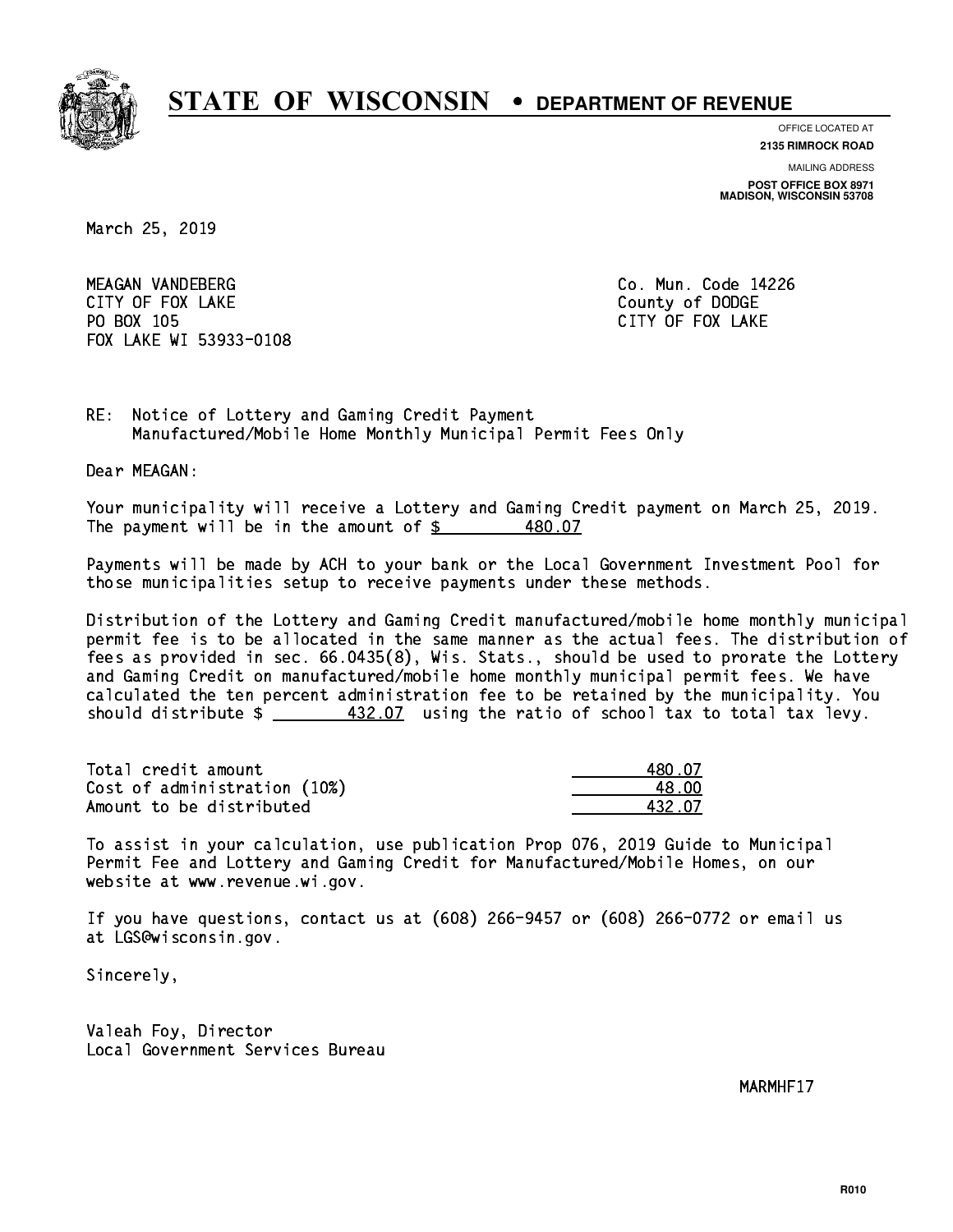

**OFFICE LOCATED AT**

**2135 RIMROCK ROAD**

**MAILING ADDRESS POST OFFICE BOX 8971 MADISON, WISCONSIN 53708**

March 25, 2019

 MEAGAN VANDEBERG Co. Mun. Code 14226 CITY OF FOUR COUNTY OF FOUR COUNTY OF DODGE COUNTY OF DODGE COUNTY OF DODGE COUNTY OF DODGE COUNTY OF DODGE CO PO BOX 105 PO BOX 105 CITY OF FOX 105 CITY OF FOX 200 CITY OF FOX 200 CITY OF FOX 200 CITY OF FOX 200 CITY OF FOX 200 CITY FOX LAKE WI 53933-0108

RE: Notice of Lottery and Gaming Credit Payment Manufactured/Mobile Home Monthly Municipal Permit Fees Only

Dear MEAGAN:

 Your municipality will receive a Lottery and Gaming Credit payment on March 25, 2019. The payment will be in the amount of  $$$ 480.07

 Payments will be made by ACH to your bank or the Local Government Investment Pool for those municipalities setup to receive payments under these methods.

 Distribution of the Lottery and Gaming Credit manufactured/mobile home monthly municipal permit fee is to be allocated in the same manner as the actual fees. The distribution of fees as provided in sec. 66.0435(8), Wis. Stats., should be used to prorate the Lottery and Gaming Credit on manufactured/mobile home monthly municipal permit fees. We have calculated the ten percent administration fee to be retained by the municipality. You should distribute  $\frac{432.07}{1}$  using the ratio of school tax to total tax levy.

Total credit amount Cost of administration (10%) Amount to be distributed

| 0.07   |
|--------|
| a nn   |
| 432.07 |

 To assist in your calculation, use publication Prop 076, 2019 Guide to Municipal Permit Fee and Lottery and Gaming Credit for Manufactured/Mobile Homes, on our website at www.revenue.wi.gov.

 If you have questions, contact us at (608) 266-9457 or (608) 266-0772 or email us at LGS@wisconsin.gov.

Sincerely,

 Valeah Foy, Director Local Government Services Bureau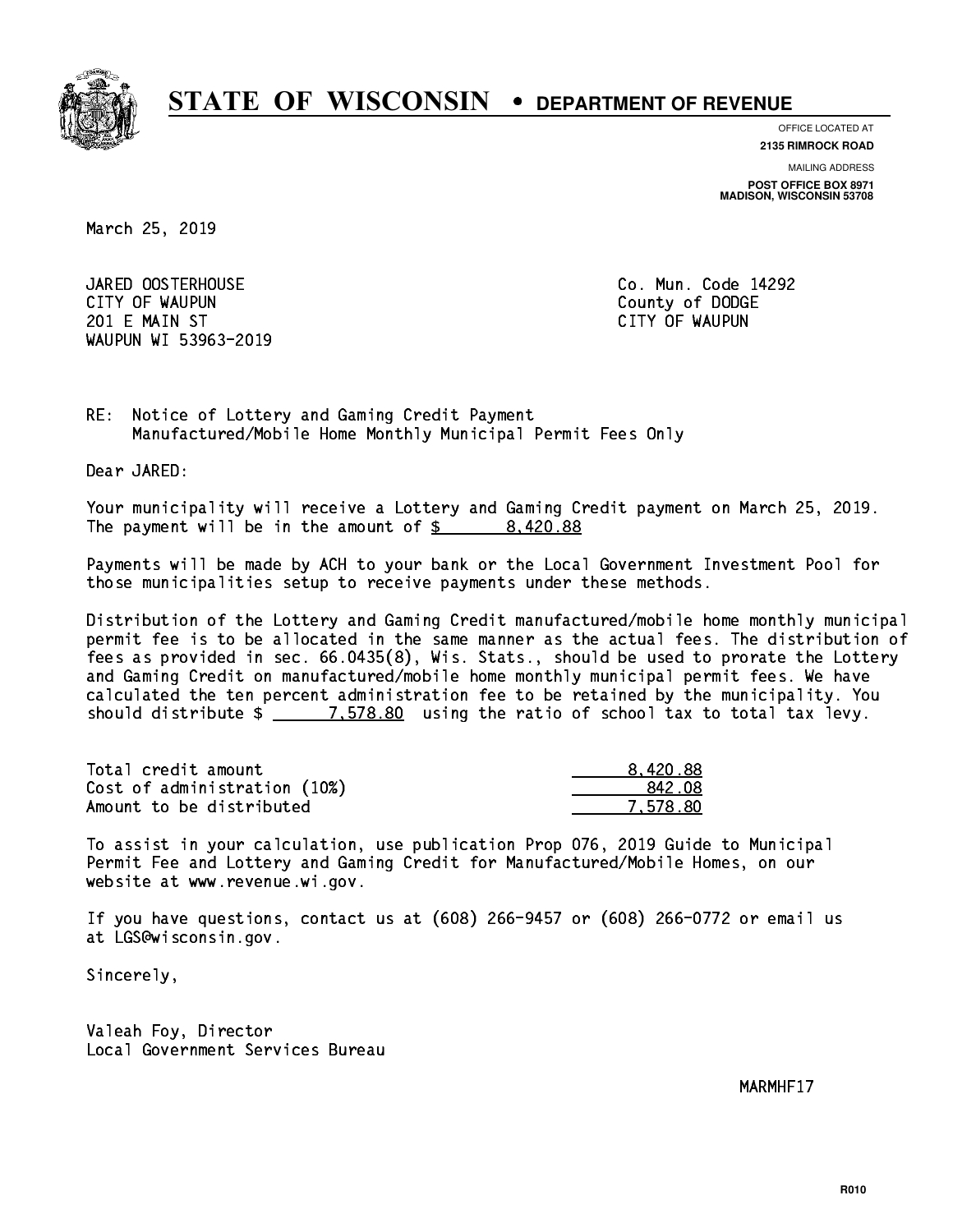

**OFFICE LOCATED AT 2135 RIMROCK ROAD**

**MAILING ADDRESS**

**POST OFFICE BOX 8971 MADISON, WISCONSIN 53708**

March 25, 2019

 JARED OOSTERHOUSE Co. Mun. Code 14292 CITY OF WAUPUN County of DODGE 201 E MAIN ST CITY OF WAUPUN WAUPUN WI 53963-2019

RE: Notice of Lottery and Gaming Credit Payment Manufactured/Mobile Home Monthly Municipal Permit Fees Only

Dear JARED:

 Your municipality will receive a Lottery and Gaming Credit payment on March 25, 2019. The payment will be in the amount of  $\frac{2}{3}$  8,420.88

 Payments will be made by ACH to your bank or the Local Government Investment Pool for those municipalities setup to receive payments under these methods.

 Distribution of the Lottery and Gaming Credit manufactured/mobile home monthly municipal permit fee is to be allocated in the same manner as the actual fees. The distribution of fees as provided in sec. 66.0435(8), Wis. Stats., should be used to prorate the Lottery and Gaming Credit on manufactured/mobile home monthly municipal permit fees. We have calculated the ten percent administration fee to be retained by the municipality. You should distribute  $\frac{2}{2}$   $\frac{7.578.80}{2}$  using the ratio of school tax to total tax levy.

| Total credit amount          | 8.420.88 |
|------------------------------|----------|
| Cost of administration (10%) | 842.08   |
| Amount to be distributed     | 7.578.80 |

 To assist in your calculation, use publication Prop 076, 2019 Guide to Municipal Permit Fee and Lottery and Gaming Credit for Manufactured/Mobile Homes, on our website at www.revenue.wi.gov.

 If you have questions, contact us at (608) 266-9457 or (608) 266-0772 or email us at LGS@wisconsin.gov.

Sincerely,

 Valeah Foy, Director Local Government Services Bureau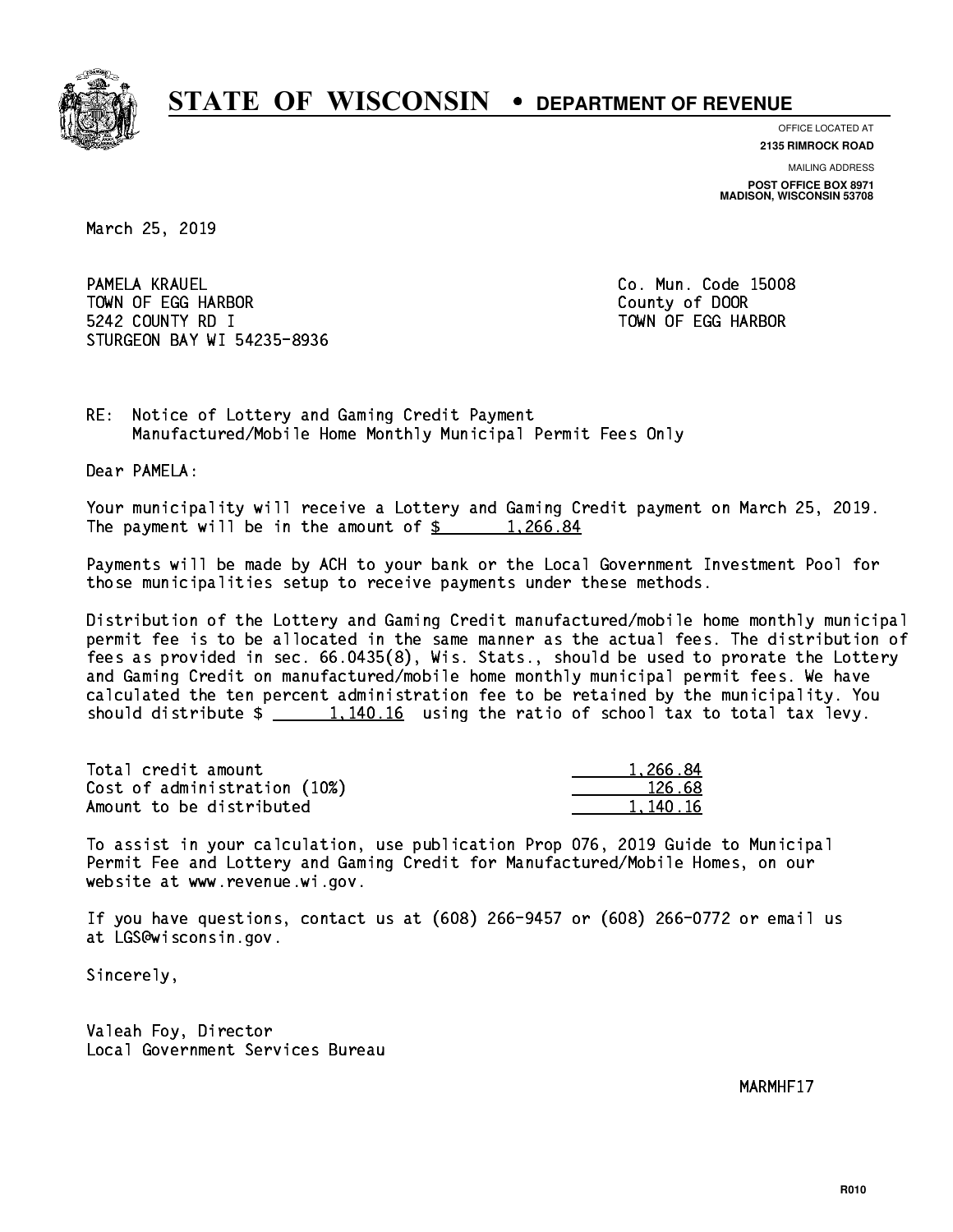

**OFFICE LOCATED AT**

**2135 RIMROCK ROAD**

**MAILING ADDRESS POST OFFICE BOX 8971 MADISON, WISCONSIN 53708**

March 25, 2019

PAMELA KRAUEL TOWN OF EGG HARBOR County of DOOR 5242 COUNTY RD I TOWN OF EGG HARBOR STURGEON BAY WI 54235-8936

Co. Mun. Code 15008

RE: Notice of Lottery and Gaming Credit Payment Manufactured/Mobile Home Monthly Municipal Permit Fees Only

Dear PAMELA:

 Your municipality will receive a Lottery and Gaming Credit payment on March 25, 2019. The payment will be in the amount of  $\frac{2}{3}$  1,266.84

 Payments will be made by ACH to your bank or the Local Government Investment Pool for those municipalities setup to receive payments under these methods.

 Distribution of the Lottery and Gaming Credit manufactured/mobile home monthly municipal permit fee is to be allocated in the same manner as the actual fees. The distribution of fees as provided in sec. 66.0435(8), Wis. Stats., should be used to prorate the Lottery and Gaming Credit on manufactured/mobile home monthly municipal permit fees. We have calculated the ten percent administration fee to be retained by the municipality. You should distribute  $\frac{1,140.16}{1,140.16}$  using the ratio of school tax to total tax levy.

| Total credit amount          | 1.266.84 |
|------------------------------|----------|
| Cost of administration (10%) | 126.68   |
| Amount to be distributed     | 1.140.16 |

 To assist in your calculation, use publication Prop 076, 2019 Guide to Municipal Permit Fee and Lottery and Gaming Credit for Manufactured/Mobile Homes, on our website at www.revenue.wi.gov.

 If you have questions, contact us at (608) 266-9457 or (608) 266-0772 or email us at LGS@wisconsin.gov.

Sincerely,

 Valeah Foy, Director Local Government Services Bureau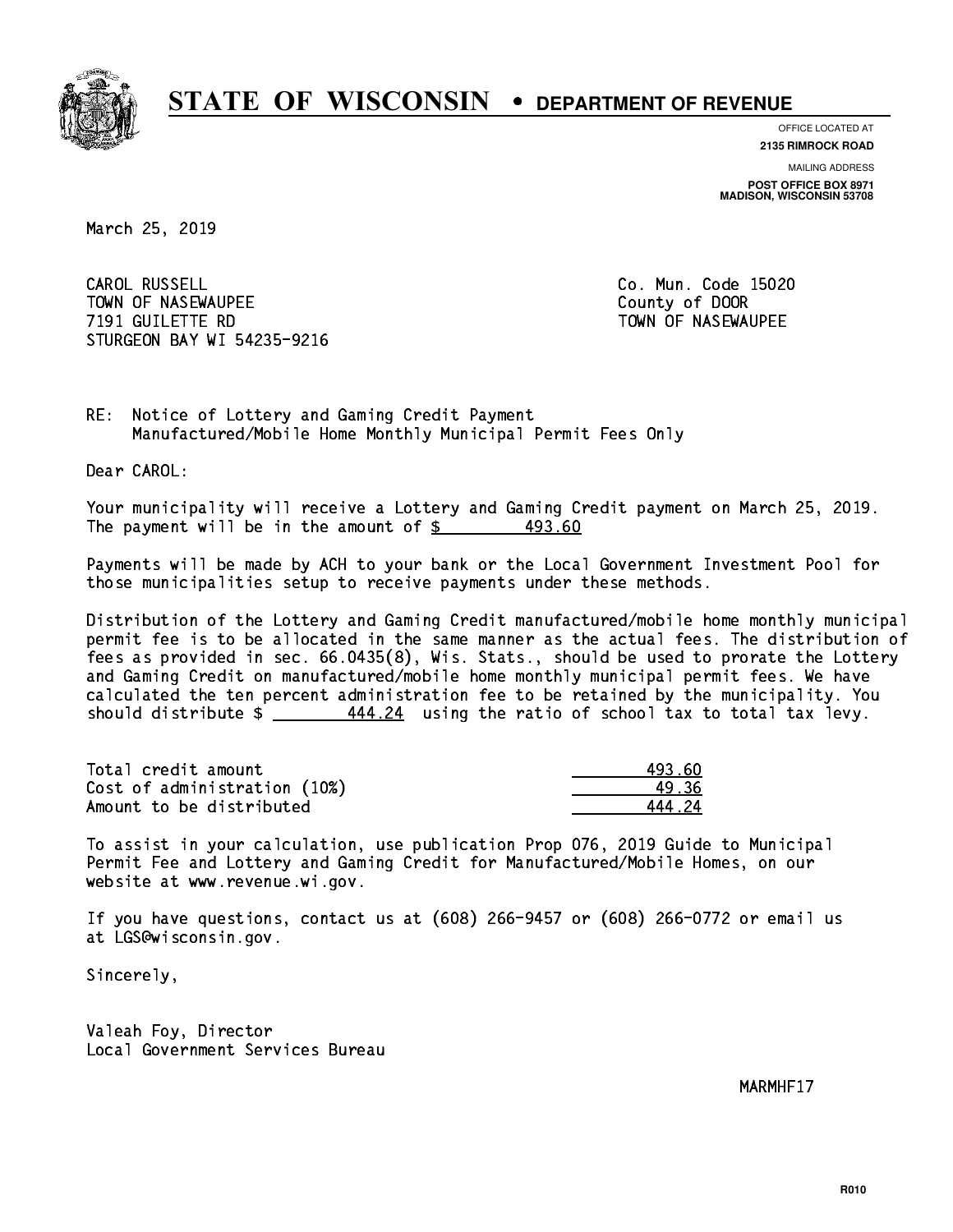

**OFFICE LOCATED AT**

**2135 RIMROCK ROAD**

**MAILING ADDRESS POST OFFICE BOX 8971 MADISON, WISCONSIN 53708**

March 25, 2019

CAROL RUSSELL TOWN OF NASEWAUPEE **TOWA COUNTY OF SEXUAL COUNTY OF DOOR**  7191 GUILETTE RD TOWN OF NASEWAUPEE STURGEON BAY WI 54235-9216

Co. Mun. Code 15020

RE: Notice of Lottery and Gaming Credit Payment Manufactured/Mobile Home Monthly Municipal Permit Fees Only

Dear CAROL:

 Your municipality will receive a Lottery and Gaming Credit payment on March 25, 2019. The payment will be in the amount of \$ 493.60 \_\_\_\_\_\_\_\_\_\_\_\_\_\_\_\_

 Payments will be made by ACH to your bank or the Local Government Investment Pool for those municipalities setup to receive payments under these methods.

 Distribution of the Lottery and Gaming Credit manufactured/mobile home monthly municipal permit fee is to be allocated in the same manner as the actual fees. The distribution of fees as provided in sec. 66.0435(8), Wis. Stats., should be used to prorate the Lottery and Gaming Credit on manufactured/mobile home monthly municipal permit fees. We have calculated the ten percent administration fee to be retained by the municipality. You should distribute  $\frac{444.24}{1}$  using the ratio of school tax to total tax levy.

| Total credit amount          | 493.60 |
|------------------------------|--------|
| Cost of administration (10%) | 49.36  |
| Amount to be distributed     | 44424  |

 To assist in your calculation, use publication Prop 076, 2019 Guide to Municipal Permit Fee and Lottery and Gaming Credit for Manufactured/Mobile Homes, on our website at www.revenue.wi.gov.

 If you have questions, contact us at (608) 266-9457 or (608) 266-0772 or email us at LGS@wisconsin.gov.

Sincerely,

 Valeah Foy, Director Local Government Services Bureau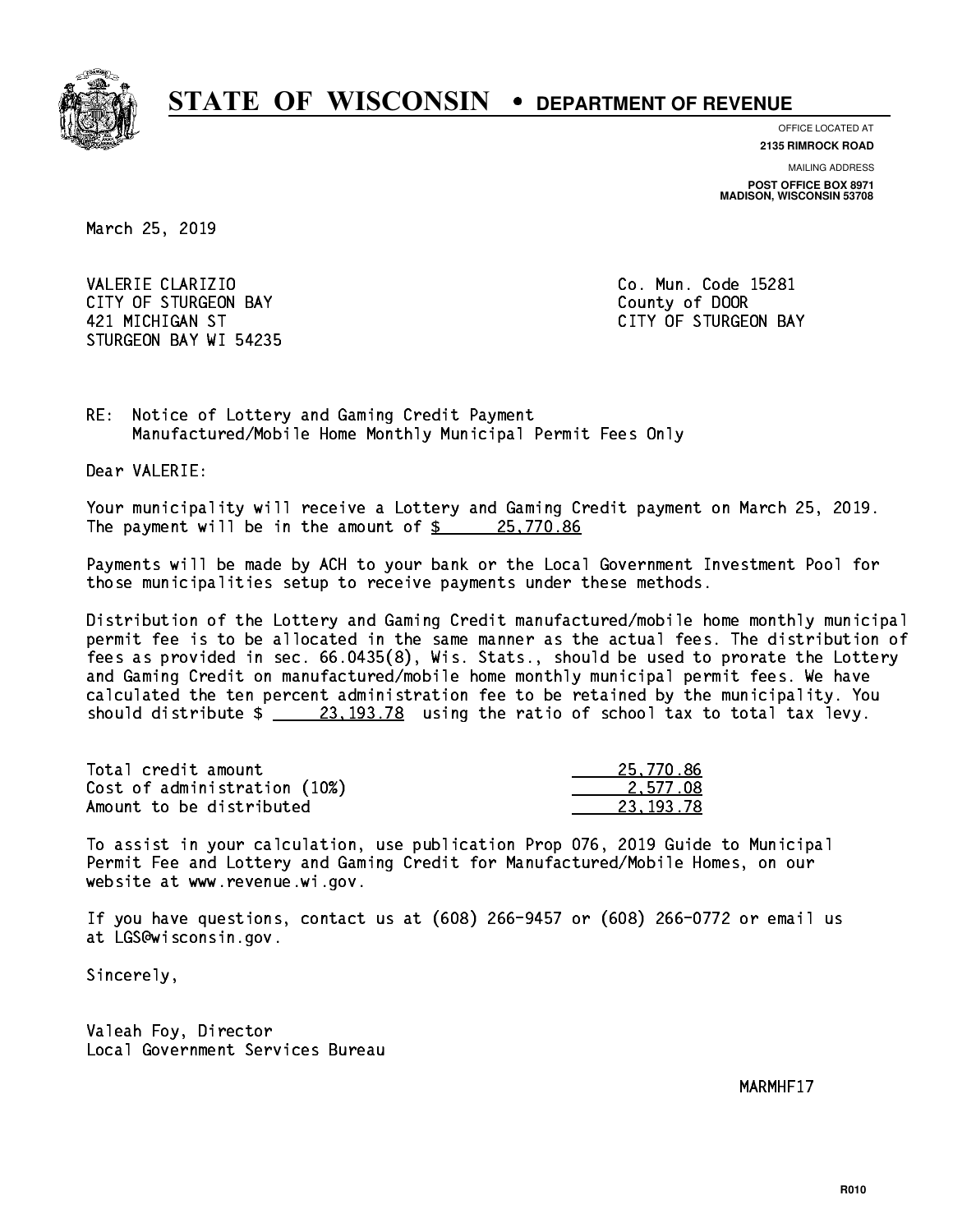

**OFFICE LOCATED AT**

**2135 RIMROCK ROAD**

**MAILING ADDRESS POST OFFICE BOX 8971 MADISON, WISCONSIN 53708**

March 25, 2019

VALERIE CLARIZIO **Co. Mun. Code 15281** CITY OF STURGEON BAY **COUNTY COUNTY OF STURGEON BAY**  421 MICHIGAN ST CITY OF STURGEON BAY STURGEON BAY WI 54235

RE: Notice of Lottery and Gaming Credit Payment Manufactured/Mobile Home Monthly Municipal Permit Fees Only

Dear VALERIE:

 Your municipality will receive a Lottery and Gaming Credit payment on March 25, 2019. The payment will be in the amount of  $\frac{25,770.86}{25,770.86}$ 

 Payments will be made by ACH to your bank or the Local Government Investment Pool for those municipalities setup to receive payments under these methods.

 Distribution of the Lottery and Gaming Credit manufactured/mobile home monthly municipal permit fee is to be allocated in the same manner as the actual fees. The distribution of fees as provided in sec. 66.0435(8), Wis. Stats., should be used to prorate the Lottery and Gaming Credit on manufactured/mobile home monthly municipal permit fees. We have calculated the ten percent administration fee to be retained by the municipality. You should distribute  $\frac{23,193.78}{23,193.78}$  using the ratio of school tax to total tax levy.

| Total credit amount          | 25,770.86 |
|------------------------------|-----------|
| Cost of administration (10%) | 2.577.08  |
| Amount to be distributed     | 23.193.78 |

 To assist in your calculation, use publication Prop 076, 2019 Guide to Municipal Permit Fee and Lottery and Gaming Credit for Manufactured/Mobile Homes, on our website at www.revenue.wi.gov.

 If you have questions, contact us at (608) 266-9457 or (608) 266-0772 or email us at LGS@wisconsin.gov.

Sincerely,

 Valeah Foy, Director Local Government Services Bureau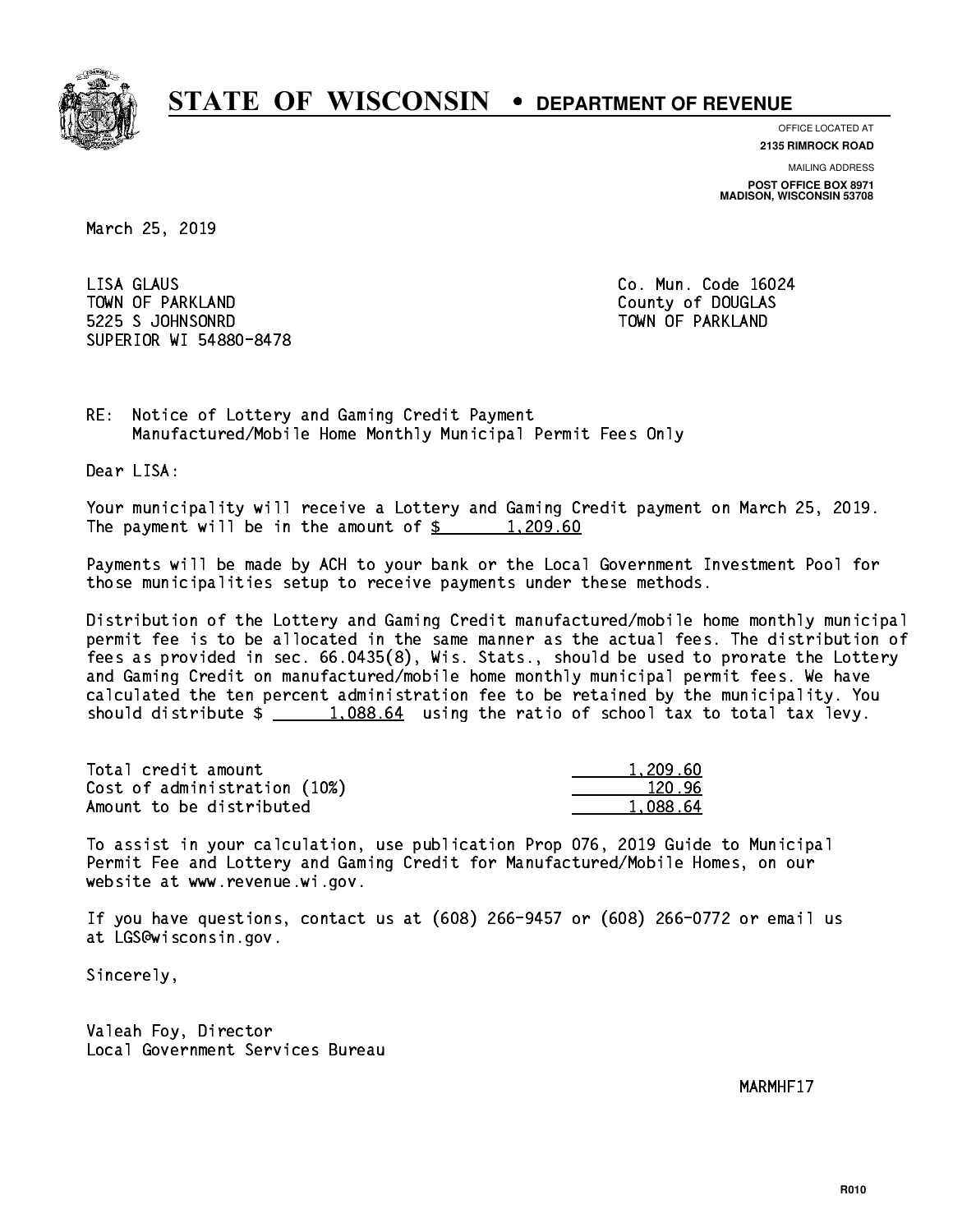

**OFFICE LOCATED AT**

**2135 RIMROCK ROAD**

**MAILING ADDRESS POST OFFICE BOX 8971 MADISON, WISCONSIN 53708**

March 25, 2019

 LISA GLAUS Co. Mun. Code 16024 TOWN OF PARKLAND COUNTY OF DOUGLAS 5225 S JOHNSONRD TOWN OF PARKLAND SUPERIOR WI 54880-8478

RE: Notice of Lottery and Gaming Credit Payment Manufactured/Mobile Home Monthly Municipal Permit Fees Only

Dear LISA:

 Your municipality will receive a Lottery and Gaming Credit payment on March 25, 2019. The payment will be in the amount of  $\frac{2}{3}$  1,209.60

 Payments will be made by ACH to your bank or the Local Government Investment Pool for those municipalities setup to receive payments under these methods.

 Distribution of the Lottery and Gaming Credit manufactured/mobile home monthly municipal permit fee is to be allocated in the same manner as the actual fees. The distribution of fees as provided in sec. 66.0435(8), Wis. Stats., should be used to prorate the Lottery and Gaming Credit on manufactured/mobile home monthly municipal permit fees. We have calculated the ten percent administration fee to be retained by the municipality. You should distribute  $\frac{1.088.64}{1.088.64}$  using the ratio of school tax to total tax levy.

| Total credit amount          | 1,209.60 |
|------------------------------|----------|
| Cost of administration (10%) | 120.96   |
| Amount to be distributed     | 1,088.64 |

 To assist in your calculation, use publication Prop 076, 2019 Guide to Municipal Permit Fee and Lottery and Gaming Credit for Manufactured/Mobile Homes, on our website at www.revenue.wi.gov.

 If you have questions, contact us at (608) 266-9457 or (608) 266-0772 or email us at LGS@wisconsin.gov.

Sincerely,

 Valeah Foy, Director Local Government Services Bureau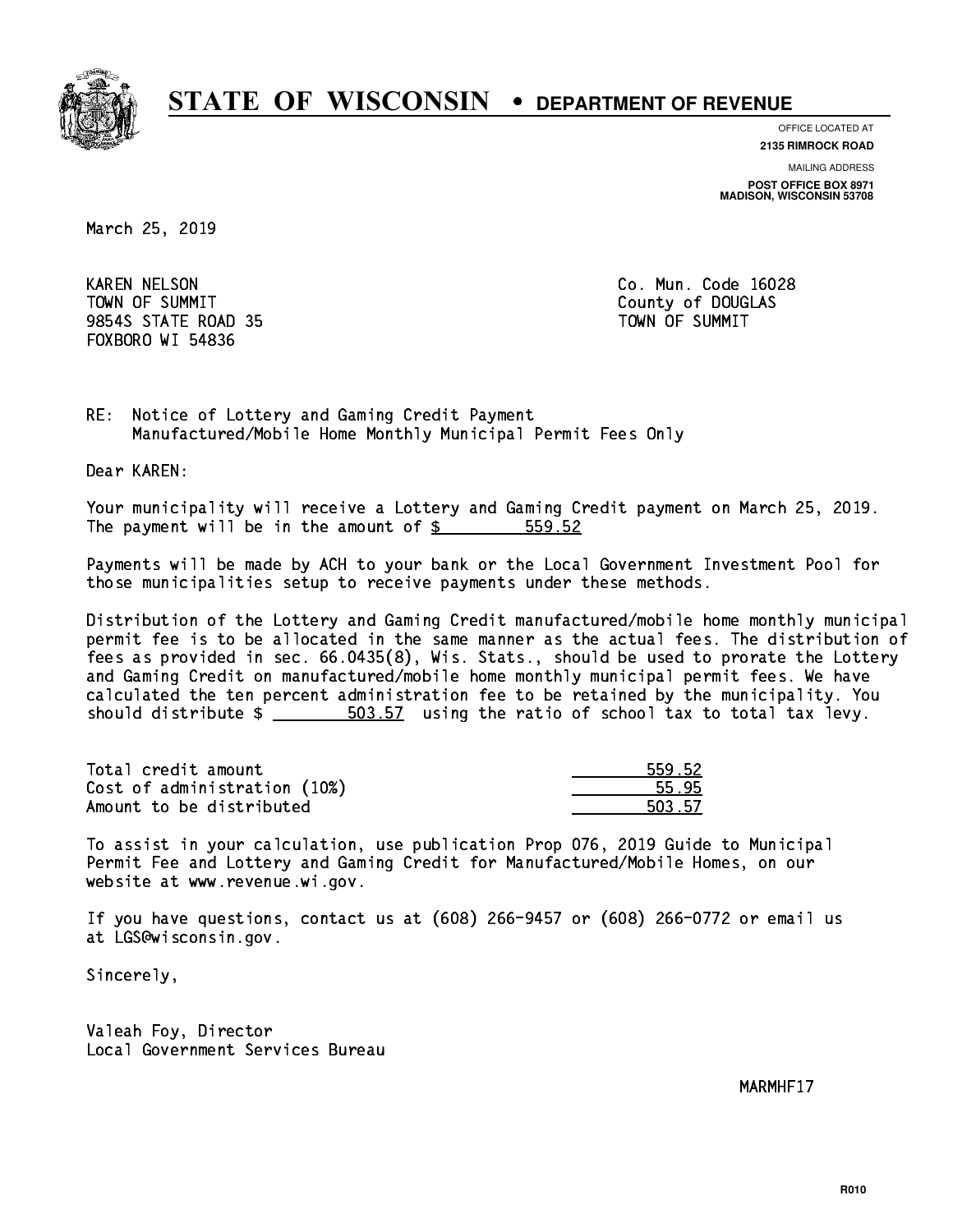

**OFFICE LOCATED AT**

**2135 RIMROCK ROAD**

**MAILING ADDRESS POST OFFICE BOX 8971 MADISON, WISCONSIN 53708**

March 25, 2019

 KAREN NELSON Co. Mun. Code 16028 TOWN OF SUMMIT County of DOUGLAS 9854S STATE ROAD 35 TOWN OF SUMMIT FOXBORO WI 54836

RE: Notice of Lottery and Gaming Credit Payment Manufactured/Mobile Home Monthly Municipal Permit Fees Only

Dear KAREN:

 Your municipality will receive a Lottery and Gaming Credit payment on March 25, 2019. The payment will be in the amount of \$ 559.52 \_\_\_\_\_\_\_\_\_\_\_\_\_\_\_\_

 Payments will be made by ACH to your bank or the Local Government Investment Pool for those municipalities setup to receive payments under these methods.

 Distribution of the Lottery and Gaming Credit manufactured/mobile home monthly municipal permit fee is to be allocated in the same manner as the actual fees. The distribution of fees as provided in sec. 66.0435(8), Wis. Stats., should be used to prorate the Lottery and Gaming Credit on manufactured/mobile home monthly municipal permit fees. We have calculated the ten percent administration fee to be retained by the municipality. You should distribute  $\frac{2}{1-x} = \frac{503.57}{1-x}$  using the ratio of school tax to total tax levy.

| Total credit amount          | 559.52 |
|------------------------------|--------|
| Cost of administration (10%) | 55.95  |
| Amount to be distributed     | 503.57 |

| -52 |
|-----|
| E.  |
| -57 |

 To assist in your calculation, use publication Prop 076, 2019 Guide to Municipal Permit Fee and Lottery and Gaming Credit for Manufactured/Mobile Homes, on our website at www.revenue.wi.gov.

 If you have questions, contact us at (608) 266-9457 or (608) 266-0772 or email us at LGS@wisconsin.gov.

Sincerely,

 Valeah Foy, Director Local Government Services Bureau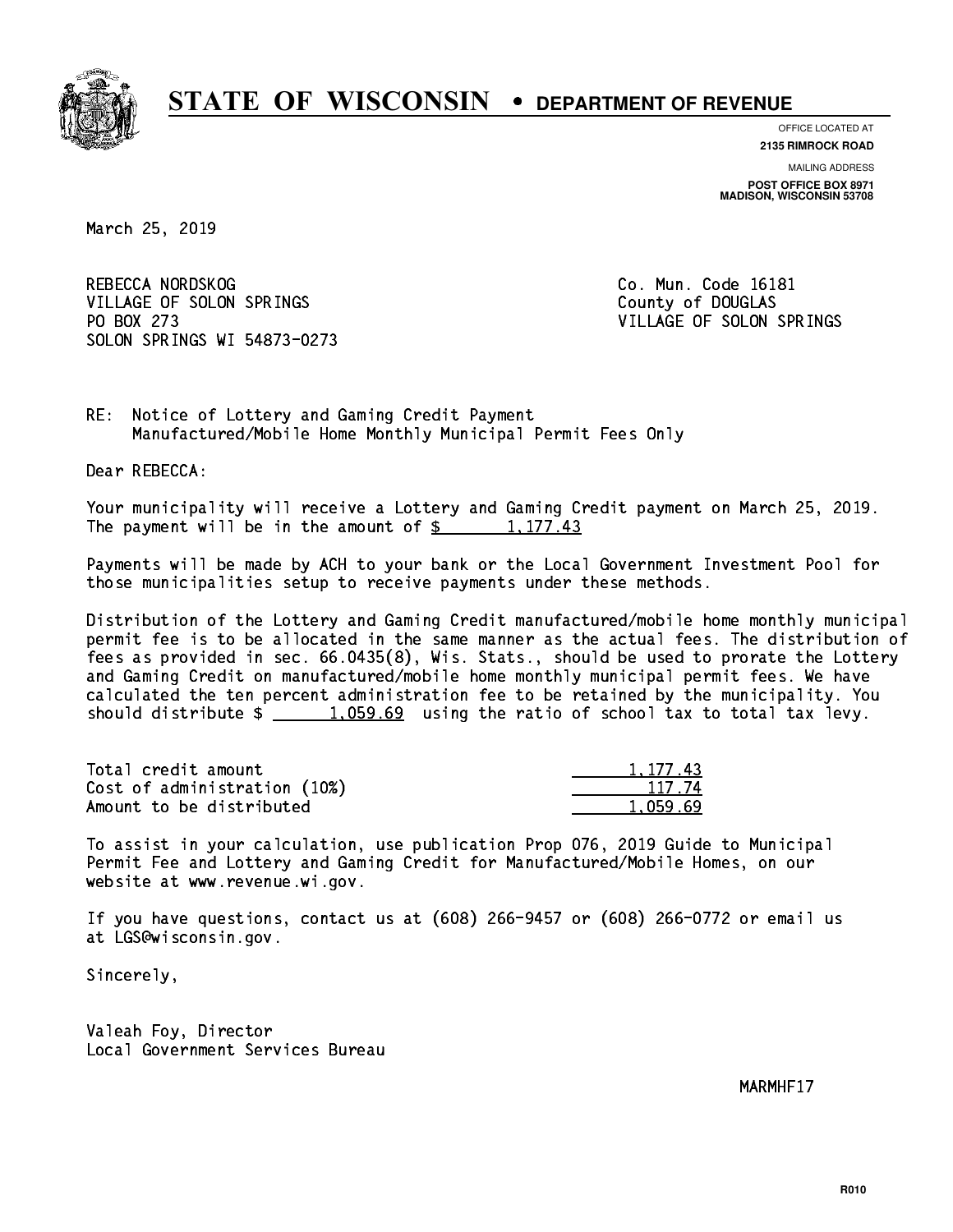

**OFFICE LOCATED AT**

**2135 RIMROCK ROAD**

**MAILING ADDRESS POST OFFICE BOX 8971 MADISON, WISCONSIN 53708**

March 25, 2019

REBECCA NORDSKOG COME CO. Mun. Code 16181 VILLAGE OF SOLON SPRINGS COUNTY OF DOUGLAS PO BOX 273 VILLAGE OF SOLON SPRINGS SOLON SPRINGS WI 54873-0273

RE: Notice of Lottery and Gaming Credit Payment Manufactured/Mobile Home Monthly Municipal Permit Fees Only

Dear REBECCA:

 Your municipality will receive a Lottery and Gaming Credit payment on March 25, 2019. The payment will be in the amount of  $\frac{2}{3}$  1,177.43

 Payments will be made by ACH to your bank or the Local Government Investment Pool for those municipalities setup to receive payments under these methods.

 Distribution of the Lottery and Gaming Credit manufactured/mobile home monthly municipal permit fee is to be allocated in the same manner as the actual fees. The distribution of fees as provided in sec. 66.0435(8), Wis. Stats., should be used to prorate the Lottery and Gaming Credit on manufactured/mobile home monthly municipal permit fees. We have calculated the ten percent administration fee to be retained by the municipality. You should distribute  $\frac{1}{2}$   $\frac{1}{2}$   $\frac{1}{2}$   $\frac{1}{2}$   $\frac{1}{2}$  using the ratio of school tax to total tax levy.

| Total credit amount          | 1.177.43 |
|------------------------------|----------|
| Cost of administration (10%) | 117 74   |
| Amount to be distributed     | 1.059.69 |

 To assist in your calculation, use publication Prop 076, 2019 Guide to Municipal Permit Fee and Lottery and Gaming Credit for Manufactured/Mobile Homes, on our website at www.revenue.wi.gov.

 If you have questions, contact us at (608) 266-9457 or (608) 266-0772 or email us at LGS@wisconsin.gov.

Sincerely,

 Valeah Foy, Director Local Government Services Bureau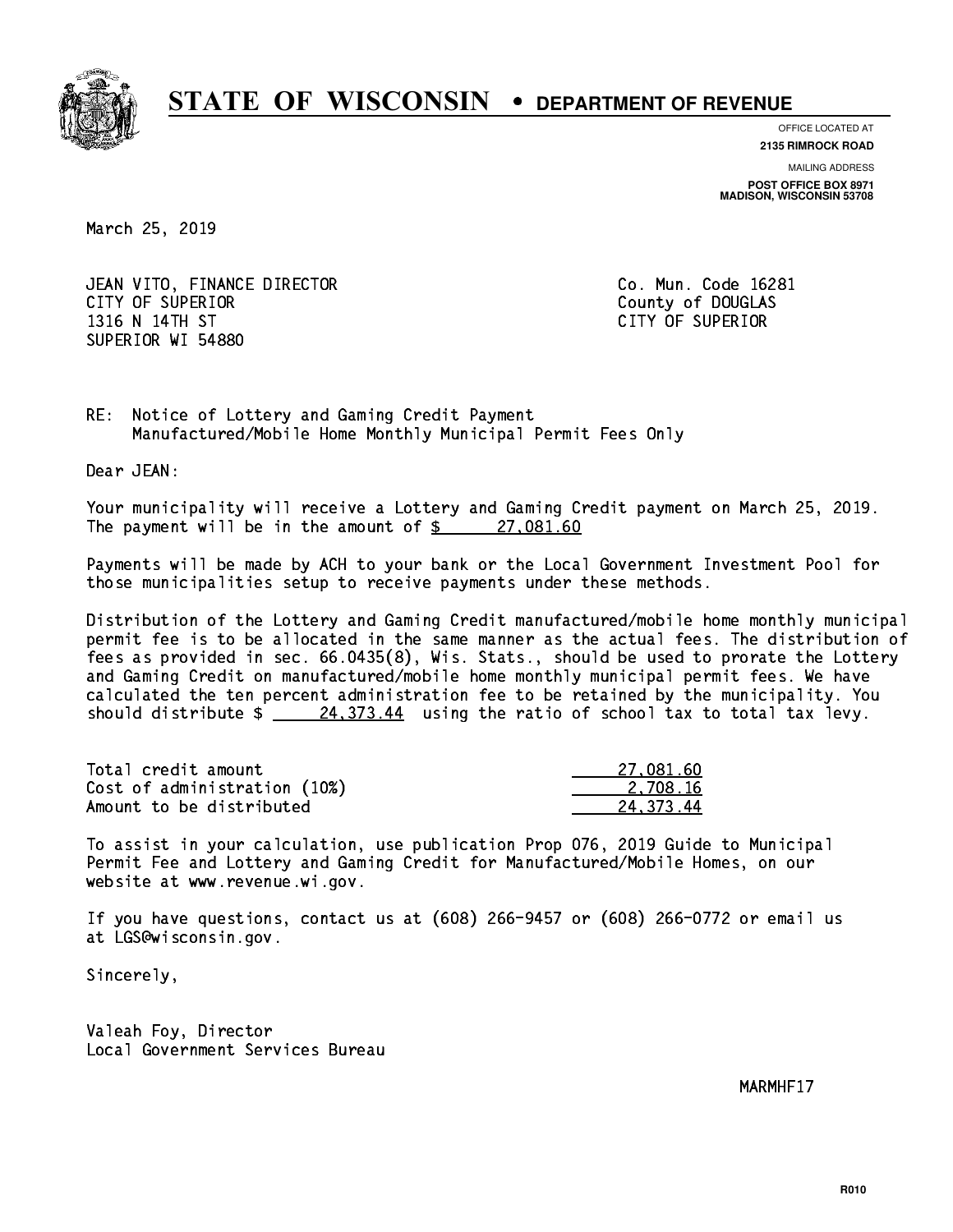

**OFFICE LOCATED AT**

**2135 RIMROCK ROAD**

**MAILING ADDRESS POST OFFICE BOX 8971 MADISON, WISCONSIN 53708**

March 25, 2019

 JEAN VITO, FINANCE DIRECTOR Co. Mun. Code 16281 CITY OF SUPERIOR COUNTY OF SUPERIOR 1316 N 14TH ST CITY OF SUPERIOR SUPERIOR WI 54880

RE: Notice of Lottery and Gaming Credit Payment Manufactured/Mobile Home Monthly Municipal Permit Fees Only

Dear JEAN:

 Your municipality will receive a Lottery and Gaming Credit payment on March 25, 2019. The payment will be in the amount of  $\frac{27,081.60}{27}$ 

 Payments will be made by ACH to your bank or the Local Government Investment Pool for those municipalities setup to receive payments under these methods.

 Distribution of the Lottery and Gaming Credit manufactured/mobile home monthly municipal permit fee is to be allocated in the same manner as the actual fees. The distribution of fees as provided in sec. 66.0435(8), Wis. Stats., should be used to prorate the Lottery and Gaming Credit on manufactured/mobile home monthly municipal permit fees. We have calculated the ten percent administration fee to be retained by the municipality. You should distribute  $\frac{24,373.44}{24,373.44}$  using the ratio of school tax to total tax levy.

| Total credit amount          | 27.081.60 |
|------------------------------|-----------|
| Cost of administration (10%) | 2.708.16  |
| Amount to be distributed     | 24.373.44 |

 To assist in your calculation, use publication Prop 076, 2019 Guide to Municipal Permit Fee and Lottery and Gaming Credit for Manufactured/Mobile Homes, on our website at www.revenue.wi.gov.

 If you have questions, contact us at (608) 266-9457 or (608) 266-0772 or email us at LGS@wisconsin.gov.

Sincerely,

 Valeah Foy, Director Local Government Services Bureau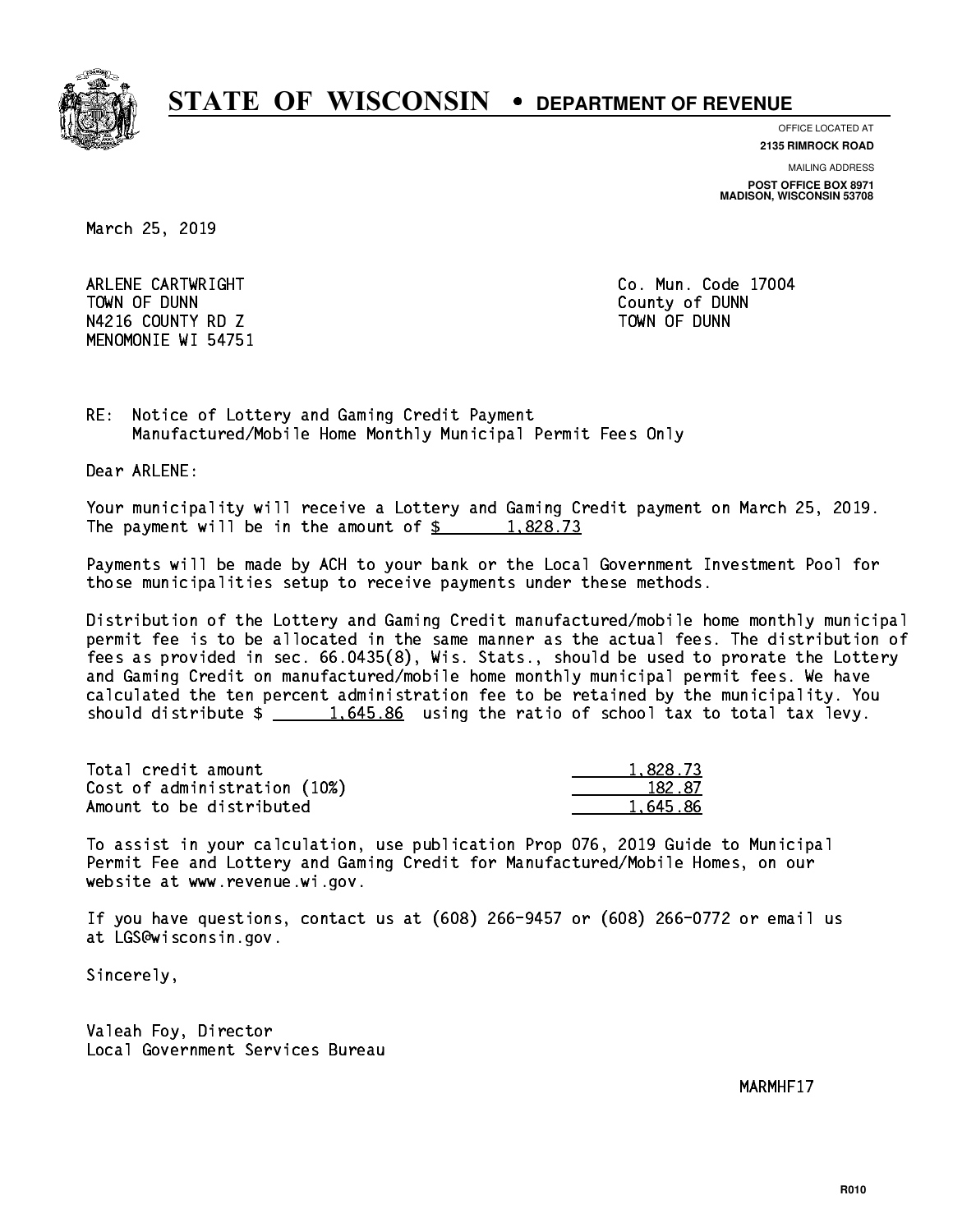

**OFFICE LOCATED AT 2135 RIMROCK ROAD**

**MAILING ADDRESS**

**POST OFFICE BOX 8971 MADISON, WISCONSIN 53708**

March 25, 2019

 ARLENE CARTWRIGHT Co. Mun. Code 17004 TOWN OF DUNN County of DUNN N4216 COUNTY RD Z TOWN OF DUNN MENOMONIE WI 54751

RE: Notice of Lottery and Gaming Credit Payment Manufactured/Mobile Home Monthly Municipal Permit Fees Only

Dear ARLENE:

 Your municipality will receive a Lottery and Gaming Credit payment on March 25, 2019. The payment will be in the amount of  $\frac{2}{3}$  1,828.73

 Payments will be made by ACH to your bank or the Local Government Investment Pool for those municipalities setup to receive payments under these methods.

 Distribution of the Lottery and Gaming Credit manufactured/mobile home monthly municipal permit fee is to be allocated in the same manner as the actual fees. The distribution of fees as provided in sec. 66.0435(8), Wis. Stats., should be used to prorate the Lottery and Gaming Credit on manufactured/mobile home monthly municipal permit fees. We have calculated the ten percent administration fee to be retained by the municipality. You should distribute  $\frac{1.645.86}{1.645.86}$  using the ratio of school tax to total tax levy.

| Total credit amount          | 1,828.73 |
|------------------------------|----------|
| Cost of administration (10%) | 182.87   |
| Amount to be distributed     | 1.645.86 |

 To assist in your calculation, use publication Prop 076, 2019 Guide to Municipal Permit Fee and Lottery and Gaming Credit for Manufactured/Mobile Homes, on our website at www.revenue.wi.gov.

 If you have questions, contact us at (608) 266-9457 or (608) 266-0772 or email us at LGS@wisconsin.gov.

Sincerely,

 Valeah Foy, Director Local Government Services Bureau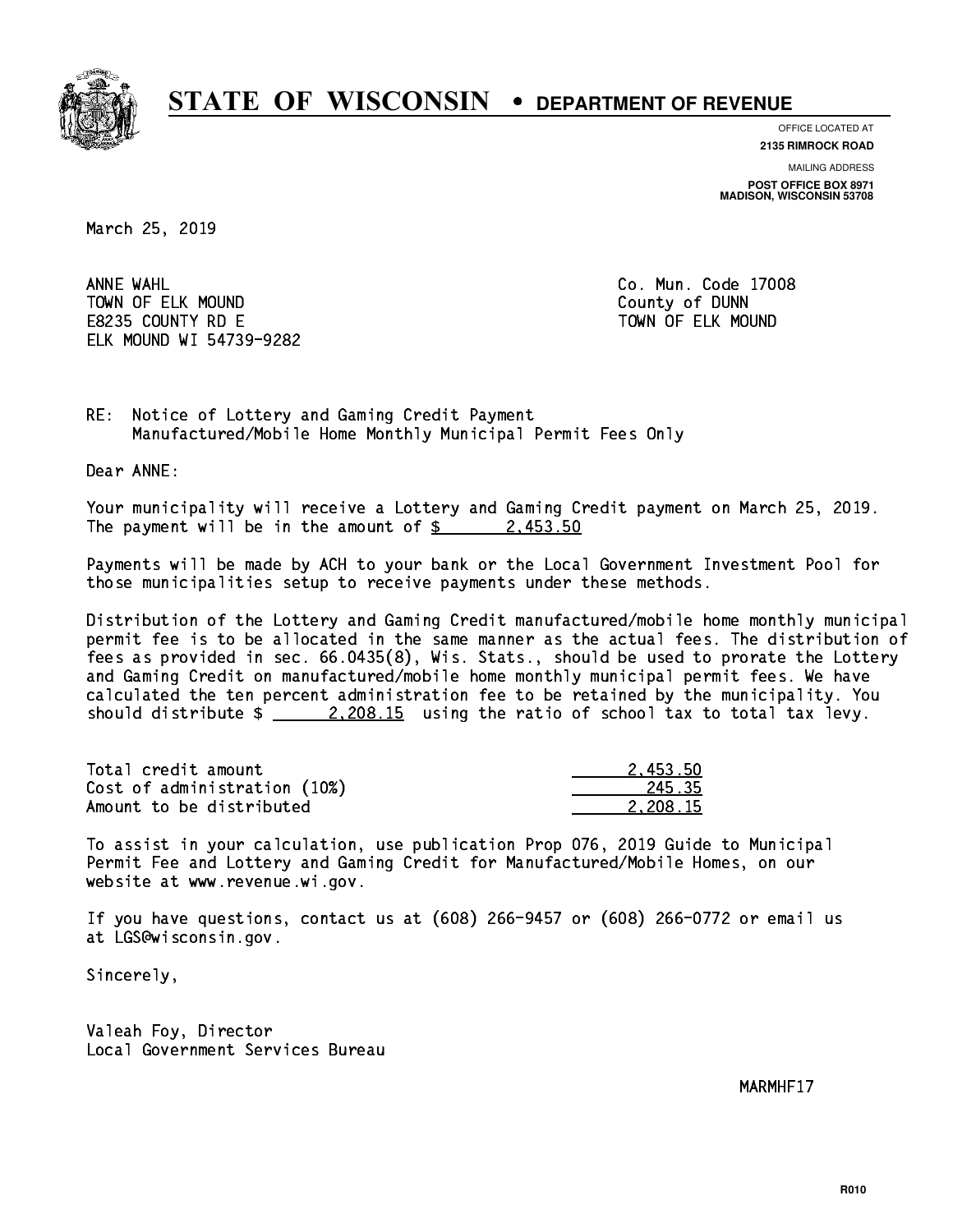

**OFFICE LOCATED AT**

**2135 RIMROCK ROAD**

**MAILING ADDRESS POST OFFICE BOX 8971 MADISON, WISCONSIN 53708**

March 25, 2019

ANNE WAHL TOWN OF ELK MOUND COUNTY OF BUNNING COUNTY OF DUNNING COUNTY OF DUNNING COUNTY OF DUNNING COUNTY OF DUNNING COUNTY OF DUNNING COUNTY OF DUNNING COUNTY OF DUNNING COUNTY OF DUNNING COUNTY OF DUNNING COUNTY OF DUNNING COUNTY E8235 COUNTY RD E TOWN OF ELK MOUND ELK MOUND WI 54739-9282

Co. Mun. Code 17008

RE: Notice of Lottery and Gaming Credit Payment Manufactured/Mobile Home Monthly Municipal Permit Fees Only

Dear ANNE:

 Your municipality will receive a Lottery and Gaming Credit payment on March 25, 2019. The payment will be in the amount of  $\frac{2}{3}$  2,453.50

 Payments will be made by ACH to your bank or the Local Government Investment Pool for those municipalities setup to receive payments under these methods.

 Distribution of the Lottery and Gaming Credit manufactured/mobile home monthly municipal permit fee is to be allocated in the same manner as the actual fees. The distribution of fees as provided in sec. 66.0435(8), Wis. Stats., should be used to prorate the Lottery and Gaming Credit on manufactured/mobile home monthly municipal permit fees. We have calculated the ten percent administration fee to be retained by the municipality. You should distribute  $\frac{2.208.15}{2.208.15}$  using the ratio of school tax to total tax levy.

| Total credit amount          | 2.453.50 |
|------------------------------|----------|
| Cost of administration (10%) | 245.35   |
| Amount to be distributed     | 2.208.15 |

 To assist in your calculation, use publication Prop 076, 2019 Guide to Municipal Permit Fee and Lottery and Gaming Credit for Manufactured/Mobile Homes, on our website at www.revenue.wi.gov.

 If you have questions, contact us at (608) 266-9457 or (608) 266-0772 or email us at LGS@wisconsin.gov.

Sincerely,

 Valeah Foy, Director Local Government Services Bureau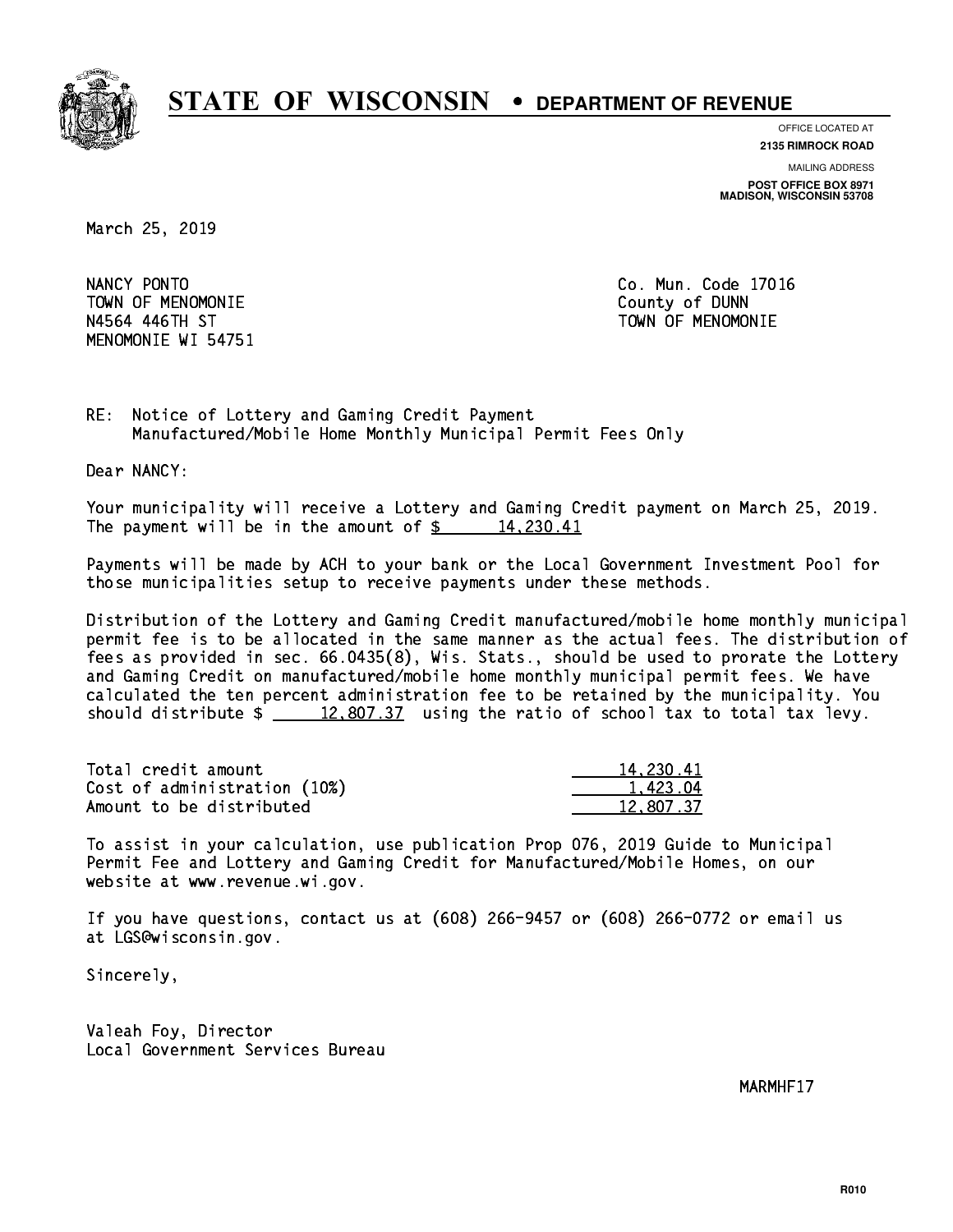

**OFFICE LOCATED AT**

**2135 RIMROCK ROAD**

**MAILING ADDRESS POST OFFICE BOX 8971 MADISON, WISCONSIN 53708**

March 25, 2019

NANCY PONTO TOWN OF MENOMONIE County of DUNN N4564 446TH ST TOWN OF MENOMONIE MENOMONIE WI 54751

Co. Mun. Code 17016

RE: Notice of Lottery and Gaming Credit Payment Manufactured/Mobile Home Monthly Municipal Permit Fees Only

Dear NANCY:

 Your municipality will receive a Lottery and Gaming Credit payment on March 25, 2019. The payment will be in the amount of  $\frac{2}{3}$  14,230.41

 Payments will be made by ACH to your bank or the Local Government Investment Pool for those municipalities setup to receive payments under these methods.

 Distribution of the Lottery and Gaming Credit manufactured/mobile home monthly municipal permit fee is to be allocated in the same manner as the actual fees. The distribution of fees as provided in sec. 66.0435(8), Wis. Stats., should be used to prorate the Lottery and Gaming Credit on manufactured/mobile home monthly municipal permit fees. We have calculated the ten percent administration fee to be retained by the municipality. You should distribute  $\frac{2}{2}$   $\frac{12,807.37}{2}$  using the ratio of school tax to total tax levy.

| Total credit amount          | 14,230.41 |
|------------------------------|-----------|
| Cost of administration (10%) | 1.423.04  |
| Amount to be distributed     | 12,807.37 |

 To assist in your calculation, use publication Prop 076, 2019 Guide to Municipal Permit Fee and Lottery and Gaming Credit for Manufactured/Mobile Homes, on our website at www.revenue.wi.gov.

 If you have questions, contact us at (608) 266-9457 or (608) 266-0772 or email us at LGS@wisconsin.gov.

Sincerely,

 Valeah Foy, Director Local Government Services Bureau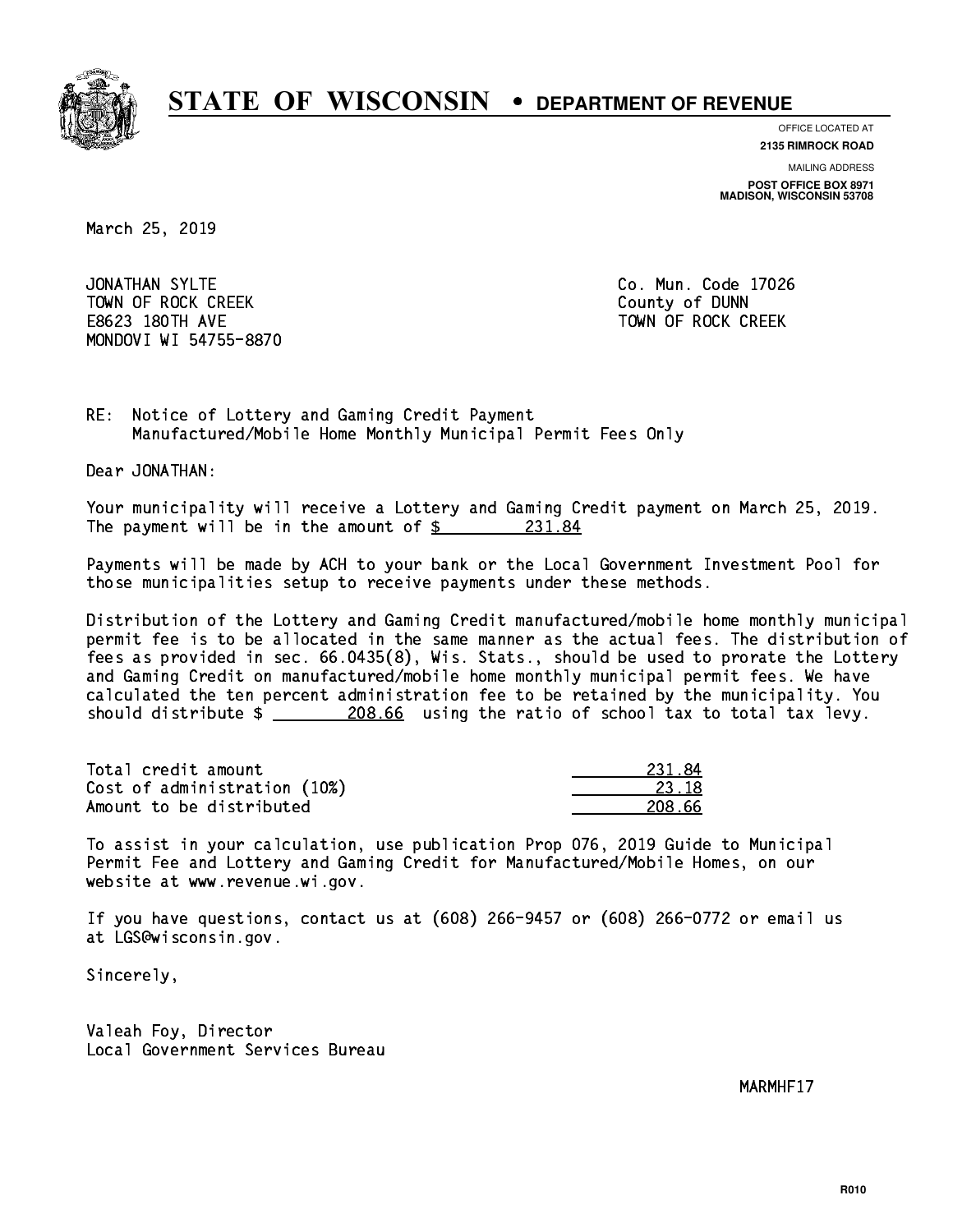

**OFFICE LOCATED AT**

**2135 RIMROCK ROAD**

**MAILING ADDRESS POST OFFICE BOX 8971 MADISON, WISCONSIN 53708**

March 25, 2019

JONATHAN SYLTE TOWN OF ROCK CREEK COUNTY OF DUNN E8623 180TH AVE TOWN OF ROCK CREEK MONDOVI WI 54755-8870

Co. Mun. Code 17026

RE: Notice of Lottery and Gaming Credit Payment Manufactured/Mobile Home Monthly Municipal Permit Fees Only

Dear JONATHAN:

 Your municipality will receive a Lottery and Gaming Credit payment on March 25, 2019. The payment will be in the amount of  $\frac{231.84}{5}$ 

 Payments will be made by ACH to your bank or the Local Government Investment Pool for those municipalities setup to receive payments under these methods.

 Distribution of the Lottery and Gaming Credit manufactured/mobile home monthly municipal permit fee is to be allocated in the same manner as the actual fees. The distribution of fees as provided in sec. 66.0435(8), Wis. Stats., should be used to prorate the Lottery and Gaming Credit on manufactured/mobile home monthly municipal permit fees. We have calculated the ten percent administration fee to be retained by the municipality. You should distribute  $\frac{208.66}{208.66}$  using the ratio of school tax to total tax levy.

Total credit amount Cost of administration (10%) Amount to be distributed

| 34<br>ツマエーキ |
|-------------|
| 73. IS      |
| ' 66<br>.,  |

 To assist in your calculation, use publication Prop 076, 2019 Guide to Municipal Permit Fee and Lottery and Gaming Credit for Manufactured/Mobile Homes, on our website at www.revenue.wi.gov.

 If you have questions, contact us at (608) 266-9457 or (608) 266-0772 or email us at LGS@wisconsin.gov.

Sincerely,

 Valeah Foy, Director Local Government Services Bureau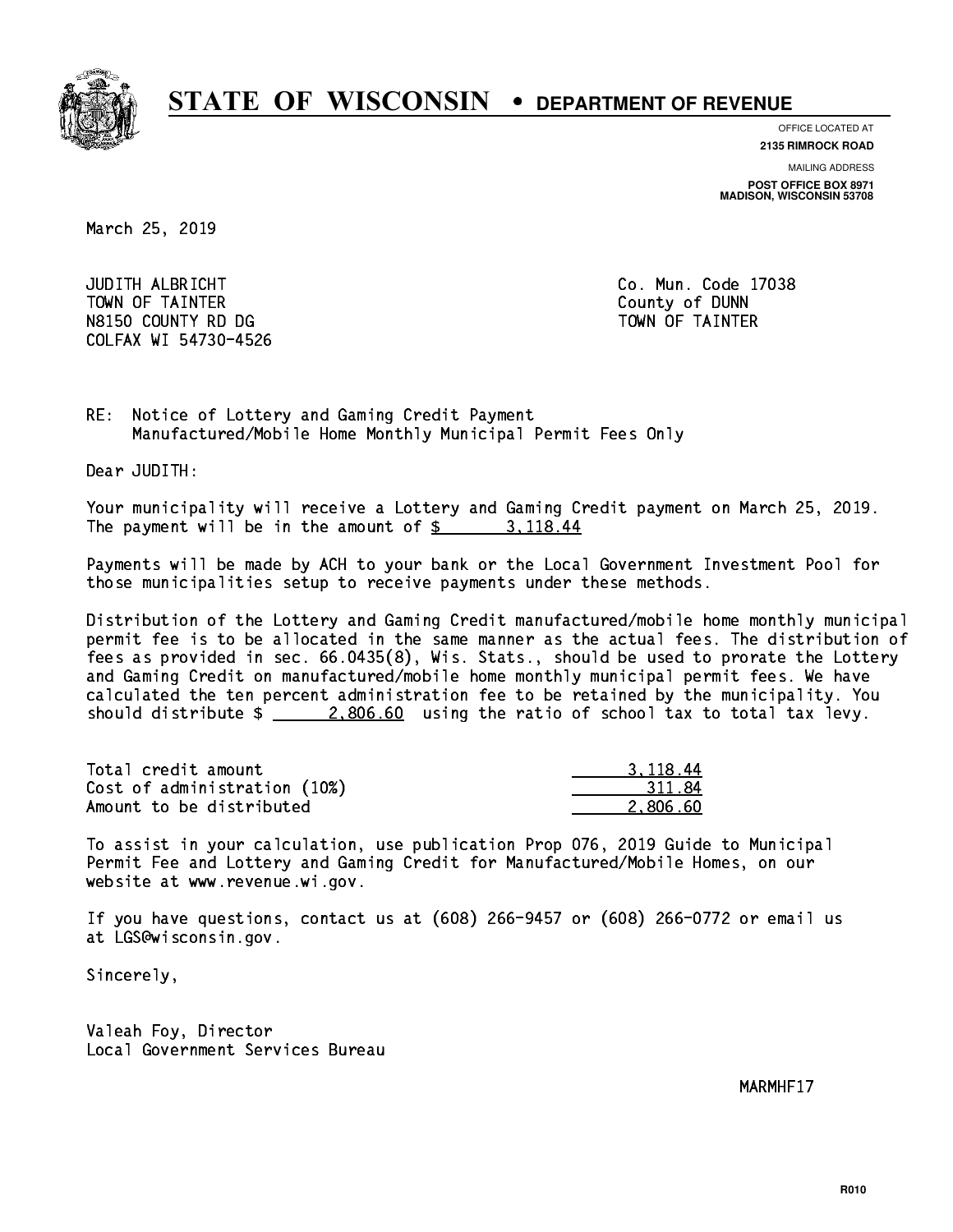

**OFFICE LOCATED AT**

**2135 RIMROCK ROAD**

**MAILING ADDRESS POST OFFICE BOX 8971 MADISON, WISCONSIN 53708**

March 25, 2019

 JUDITH ALBRICHT Co. Mun. Code 17038 TOWN OF TAINTER County of DUNN N8150 COUNTY RD DG TAINTER TOWN OF TAINTER COLFAX WI 54730-4526

RE: Notice of Lottery and Gaming Credit Payment Manufactured/Mobile Home Monthly Municipal Permit Fees Only

Dear JUDITH:

 Your municipality will receive a Lottery and Gaming Credit payment on March 25, 2019. The payment will be in the amount of  $\frac{2}{3}$  3, 118.44

 Payments will be made by ACH to your bank or the Local Government Investment Pool for those municipalities setup to receive payments under these methods.

 Distribution of the Lottery and Gaming Credit manufactured/mobile home monthly municipal permit fee is to be allocated in the same manner as the actual fees. The distribution of fees as provided in sec. 66.0435(8), Wis. Stats., should be used to prorate the Lottery and Gaming Credit on manufactured/mobile home monthly municipal permit fees. We have calculated the ten percent administration fee to be retained by the municipality. You should distribute  $\frac{2,806.60}{2}$  using the ratio of school tax to total tax levy.

| Total credit amount          | 3.118.44 |
|------------------------------|----------|
| Cost of administration (10%) | 311.84   |
| Amount to be distributed     | 2.806.60 |

 To assist in your calculation, use publication Prop 076, 2019 Guide to Municipal Permit Fee and Lottery and Gaming Credit for Manufactured/Mobile Homes, on our website at www.revenue.wi.gov.

 If you have questions, contact us at (608) 266-9457 or (608) 266-0772 or email us at LGS@wisconsin.gov.

Sincerely,

 Valeah Foy, Director Local Government Services Bureau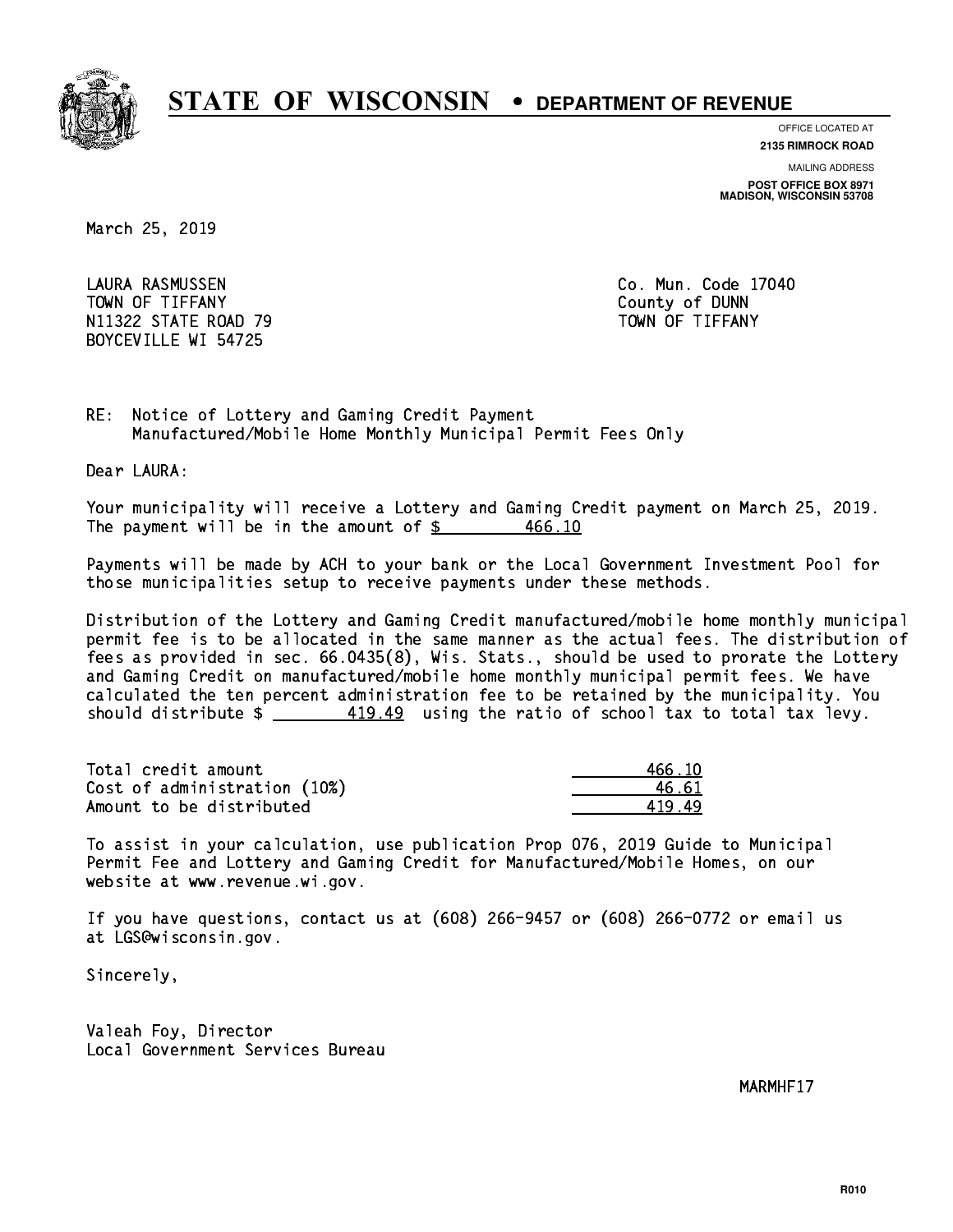

**OFFICE LOCATED AT**

**2135 RIMROCK ROAD**

**MAILING ADDRESS POST OFFICE BOX 8971 MADISON, WISCONSIN 53708**

March 25, 2019

 LAURA RASMUSSEN Co. Mun. Code 17040 TOWN OF TIFFANY County of DUNN N11322 STATE ROAD 79 TOWN OF TIFFANY BOYCEVILLE WI 54725

RE: Notice of Lottery and Gaming Credit Payment Manufactured/Mobile Home Monthly Municipal Permit Fees Only

Dear LAURA:

 Your municipality will receive a Lottery and Gaming Credit payment on March 25, 2019. The payment will be in the amount of \$ 466.10 \_\_\_\_\_\_\_\_\_\_\_\_\_\_\_\_

 Payments will be made by ACH to your bank or the Local Government Investment Pool for those municipalities setup to receive payments under these methods.

 Distribution of the Lottery and Gaming Credit manufactured/mobile home monthly municipal permit fee is to be allocated in the same manner as the actual fees. The distribution of fees as provided in sec. 66.0435(8), Wis. Stats., should be used to prorate the Lottery and Gaming Credit on manufactured/mobile home monthly municipal permit fees. We have calculated the ten percent administration fee to be retained by the municipality. You should distribute  $\frac{419.49}{2}$  using the ratio of school tax to total tax levy.

Total credit amount Cost of administration (10%) Amount to be distributed

| 466.10     |
|------------|
| 46.61      |
| 49<br>41 Q |

 To assist in your calculation, use publication Prop 076, 2019 Guide to Municipal Permit Fee and Lottery and Gaming Credit for Manufactured/Mobile Homes, on our website at www.revenue.wi.gov.

 If you have questions, contact us at (608) 266-9457 or (608) 266-0772 or email us at LGS@wisconsin.gov.

Sincerely,

 Valeah Foy, Director Local Government Services Bureau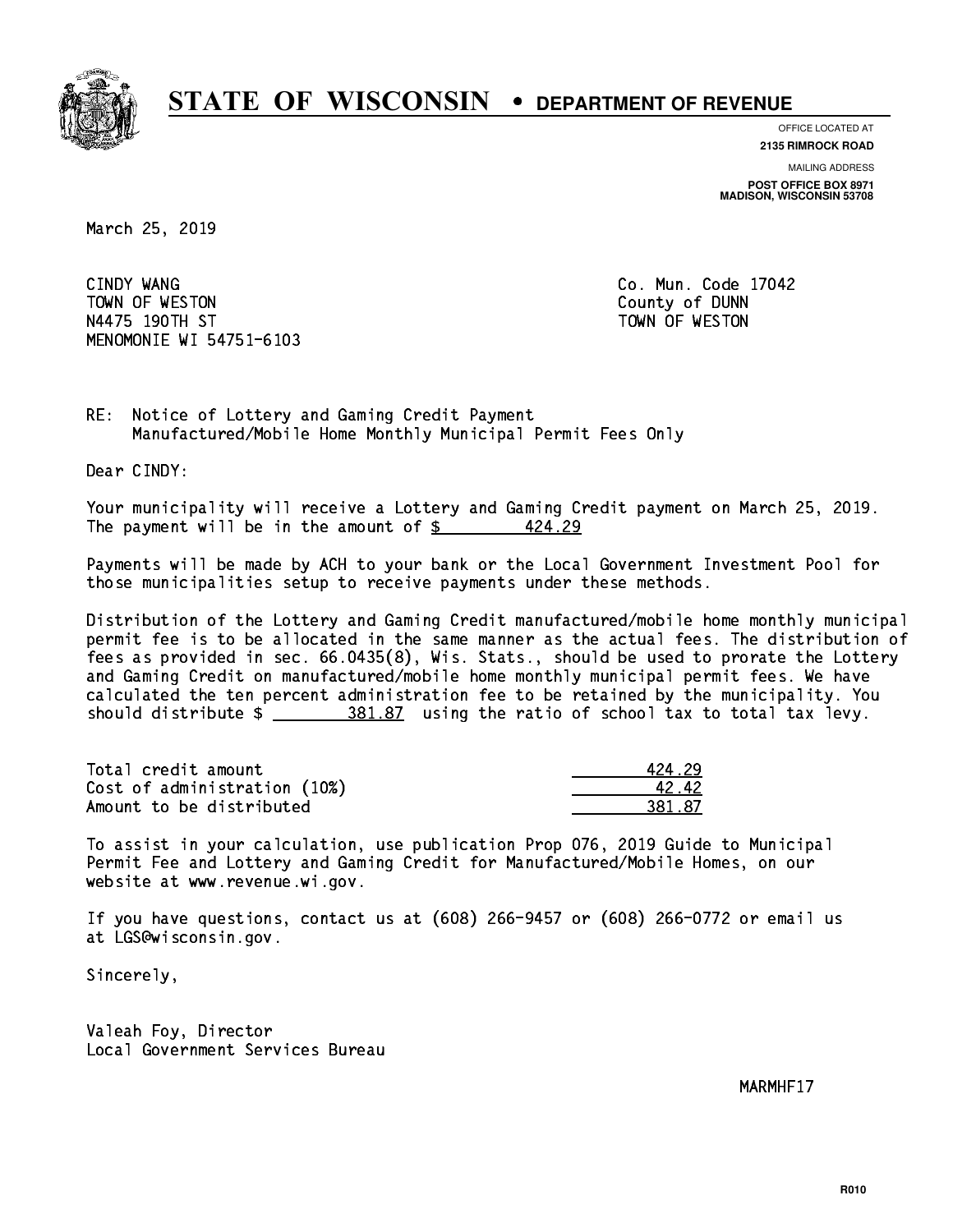

**OFFICE LOCATED AT 2135 RIMROCK ROAD**

**MAILING ADDRESS**

**POST OFFICE BOX 8971 MADISON, WISCONSIN 53708**

March 25, 2019

CINDY WANG TOWN OF WESTON COUNTY OF DUNN N4475 190TH ST TOWN OF WESTON MENOMONIE WI 54751-6103

Co. Mun. Code 17042

RE: Notice of Lottery and Gaming Credit Payment Manufactured/Mobile Home Monthly Municipal Permit Fees Only

Dear CINDY:

 Your municipality will receive a Lottery and Gaming Credit payment on March 25, 2019. The payment will be in the amount of  $\frac{2}{3}$ 424.29

 Payments will be made by ACH to your bank or the Local Government Investment Pool for those municipalities setup to receive payments under these methods.

 Distribution of the Lottery and Gaming Credit manufactured/mobile home monthly municipal permit fee is to be allocated in the same manner as the actual fees. The distribution of fees as provided in sec. 66.0435(8), Wis. Stats., should be used to prorate the Lottery and Gaming Credit on manufactured/mobile home monthly municipal permit fees. We have calculated the ten percent administration fee to be retained by the municipality. You should distribute  $\frac{281.87}{1000}$  using the ratio of school tax to total tax levy.

| Total credit amount          | 424 29 |
|------------------------------|--------|
| Cost of administration (10%) | 4242   |
| Amount to be distributed     | 381.87 |

 To assist in your calculation, use publication Prop 076, 2019 Guide to Municipal Permit Fee and Lottery and Gaming Credit for Manufactured/Mobile Homes, on our website at www.revenue.wi.gov.

 If you have questions, contact us at (608) 266-9457 or (608) 266-0772 or email us at LGS@wisconsin.gov.

Sincerely,

 Valeah Foy, Director Local Government Services Bureau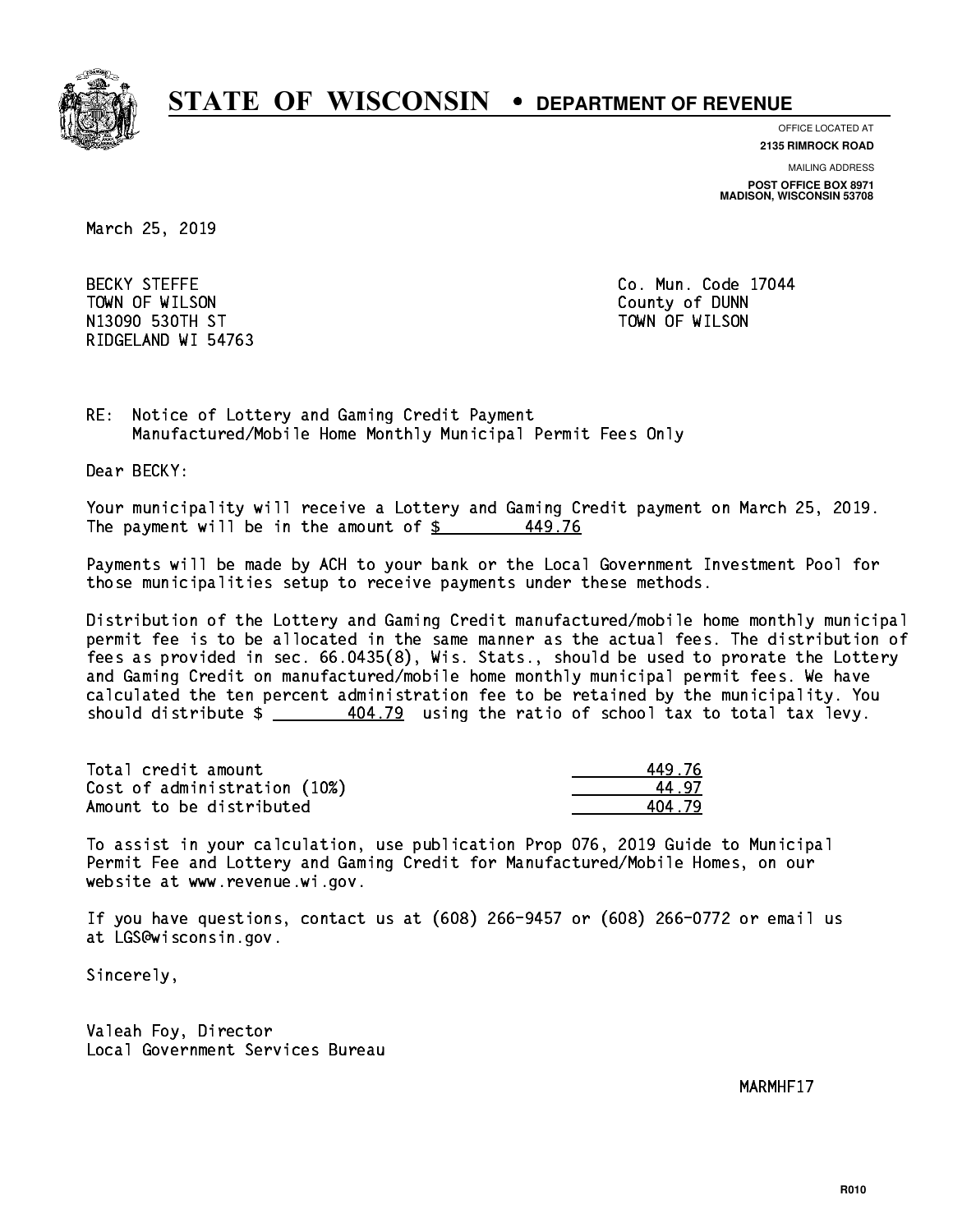

**OFFICE LOCATED AT**

**MAILING ADDRESS 2135 RIMROCK ROAD**

**POST OFFICE BOX 8971 MADISON, WISCONSIN 53708**

March 25, 2019

**BECKY STEFFE** TOWN OF WILSON County of DUNN N13090 ST TOWN OF WILSON OF WILSON OF WILSON OF WILSON OF WILSON OF WILSON OF WILSON OF WILSON OF WILSON OF WI RIDGELAND WI 54763

Co. Mun. Code 17044

RE: Notice of Lottery and Gaming Credit Payment Manufactured/Mobile Home Monthly Municipal Permit Fees Only

Dear BECKY:

 Your municipality will receive a Lottery and Gaming Credit payment on March 25, 2019. The payment will be in the amount of  $\frac{2}{3}$ 449.76

 Payments will be made by ACH to your bank or the Local Government Investment Pool for those municipalities setup to receive payments under these methods.

 Distribution of the Lottery and Gaming Credit manufactured/mobile home monthly municipal permit fee is to be allocated in the same manner as the actual fees. The distribution of fees as provided in sec. 66.0435(8), Wis. Stats., should be used to prorate the Lottery and Gaming Credit on manufactured/mobile home monthly municipal permit fees. We have calculated the ten percent administration fee to be retained by the municipality. You should distribute  $\frac{404.79}{2}$  using the ratio of school tax to total tax levy.

Total credit amount Cost of administration (10%) Amount to be distributed

| 9.76 |
|------|
| . 97 |
| 4.79 |

 To assist in your calculation, use publication Prop 076, 2019 Guide to Municipal Permit Fee and Lottery and Gaming Credit for Manufactured/Mobile Homes, on our website at www.revenue.wi.gov.

 If you have questions, contact us at (608) 266-9457 or (608) 266-0772 or email us at LGS@wisconsin.gov.

Sincerely,

 Valeah Foy, Director Local Government Services Bureau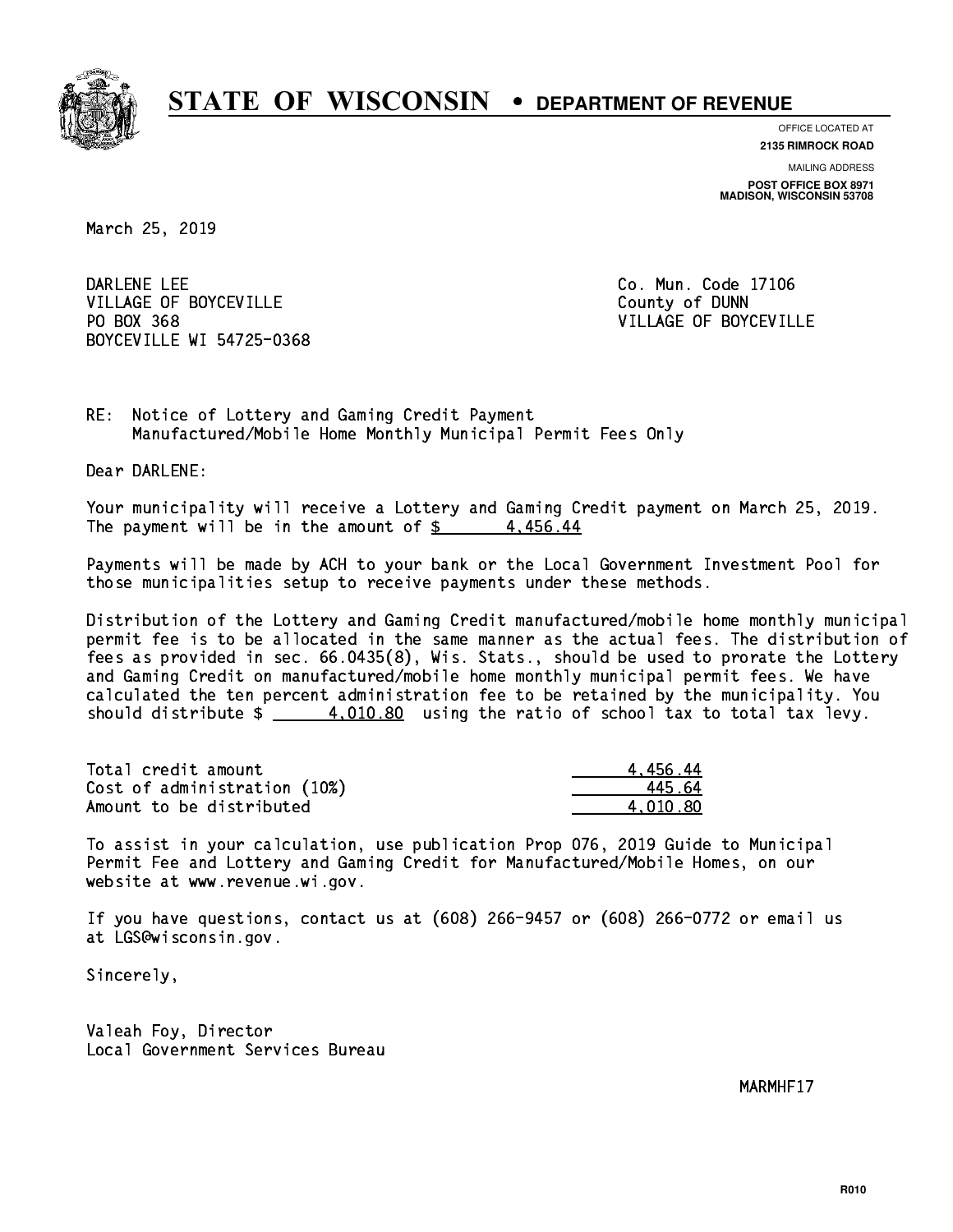

**OFFICE LOCATED AT**

**2135 RIMROCK ROAD**

**MAILING ADDRESS POST OFFICE BOX 8971 MADISON, WISCONSIN 53708**

March 25, 2019

DARLENE LEE VILLAGE OF BOYCEVILLE **COUNTY OF SEXUAL COUNTY OF BOYCEVILLE** PO BOX 368 BOYCEVILLE WI 54725-0368

Co. Mun. Code 17106 VILLAGE OF BOYCEVILLE

RE: Notice of Lottery and Gaming Credit Payment Manufactured/Mobile Home Monthly Municipal Permit Fees Only

Dear DARLENE:

 Your municipality will receive a Lottery and Gaming Credit payment on March 25, 2019. The payment will be in the amount of  $\frac{2}{3}$  4,456.44

 Payments will be made by ACH to your bank or the Local Government Investment Pool for those municipalities setup to receive payments under these methods.

 Distribution of the Lottery and Gaming Credit manufactured/mobile home monthly municipal permit fee is to be allocated in the same manner as the actual fees. The distribution of fees as provided in sec. 66.0435(8), Wis. Stats., should be used to prorate the Lottery and Gaming Credit on manufactured/mobile home monthly municipal permit fees. We have calculated the ten percent administration fee to be retained by the municipality. You should distribute  $\frac{4,010.80}{2}$  using the ratio of school tax to total tax levy.

| Total credit amount          | 4.456.44 |
|------------------------------|----------|
| Cost of administration (10%) | 445.64   |
| Amount to be distributed     | 4.010.80 |

 To assist in your calculation, use publication Prop 076, 2019 Guide to Municipal Permit Fee and Lottery and Gaming Credit for Manufactured/Mobile Homes, on our website at www.revenue.wi.gov.

 If you have questions, contact us at (608) 266-9457 or (608) 266-0772 or email us at LGS@wisconsin.gov.

Sincerely,

 Valeah Foy, Director Local Government Services Bureau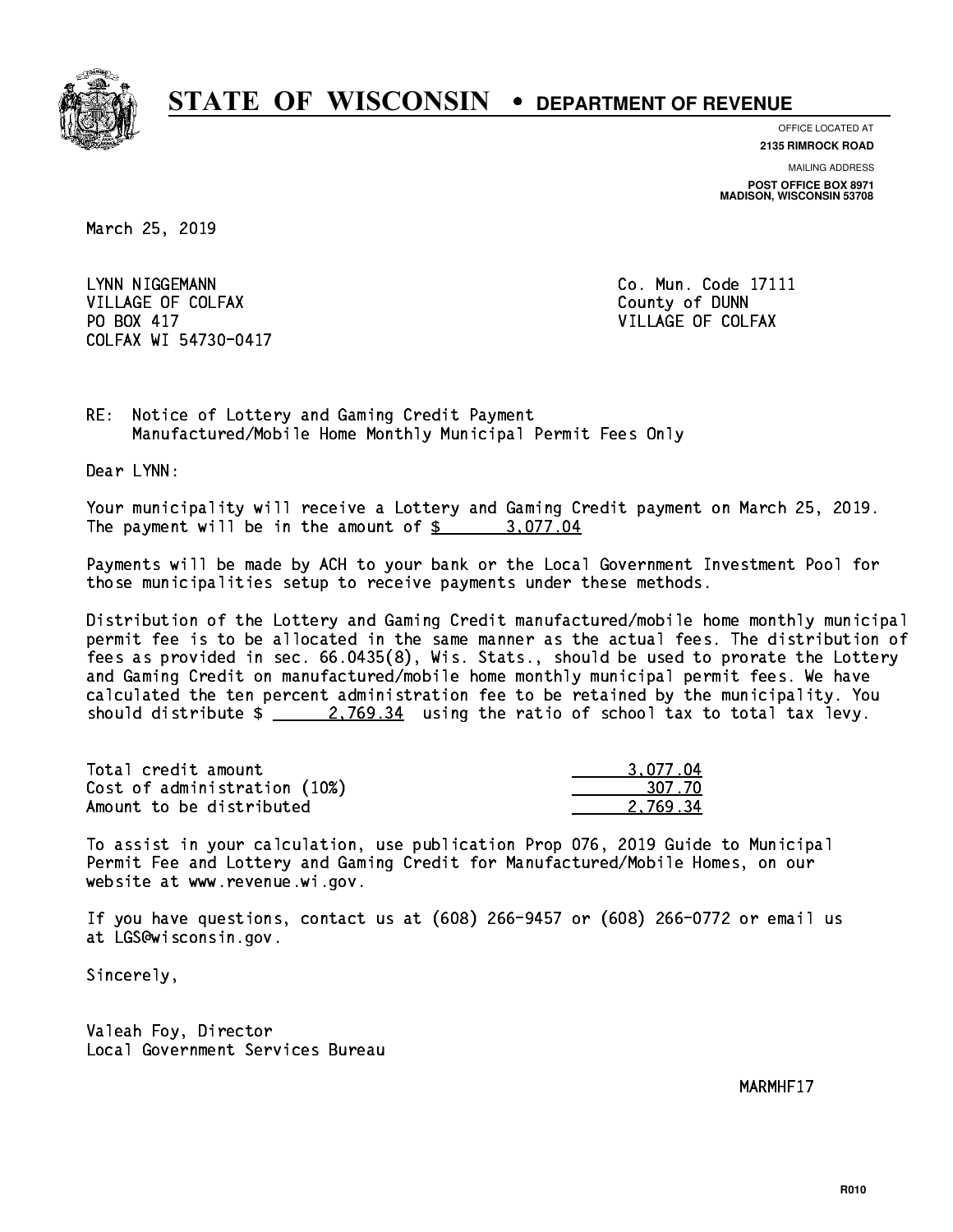

**OFFICE LOCATED AT**

**2135 RIMROCK ROAD**

**MAILING ADDRESS POST OFFICE BOX 8971 MADISON, WISCONSIN 53708**

March 25, 2019

LYNN NIGGEMANN VILLAGE OF COLFAX COUNTY OF DUNN PO BOX 417 COLFAX WI 54730-0417

Co. Mun. Code 17111 VILLAGE OF COLFAX

RE: Notice of Lottery and Gaming Credit Payment Manufactured/Mobile Home Monthly Municipal Permit Fees Only

Dear LYNN:

 Your municipality will receive a Lottery and Gaming Credit payment on March 25, 2019. The payment will be in the amount of  $\frac{2}{3}$  3,077.04

 Payments will be made by ACH to your bank or the Local Government Investment Pool for those municipalities setup to receive payments under these methods.

 Distribution of the Lottery and Gaming Credit manufactured/mobile home monthly municipal permit fee is to be allocated in the same manner as the actual fees. The distribution of fees as provided in sec. 66.0435(8), Wis. Stats., should be used to prorate the Lottery and Gaming Credit on manufactured/mobile home monthly municipal permit fees. We have calculated the ten percent administration fee to be retained by the municipality. You should distribute  $\frac{2.769.34}{2.769.34}$  using the ratio of school tax to total tax levy.

| Total credit amount          | 3.077.04 |
|------------------------------|----------|
| Cost of administration (10%) | 307.70   |
| Amount to be distributed     | 2.769.34 |

 To assist in your calculation, use publication Prop 076, 2019 Guide to Municipal Permit Fee and Lottery and Gaming Credit for Manufactured/Mobile Homes, on our website at www.revenue.wi.gov.

 If you have questions, contact us at (608) 266-9457 or (608) 266-0772 or email us at LGS@wisconsin.gov.

Sincerely,

 Valeah Foy, Director Local Government Services Bureau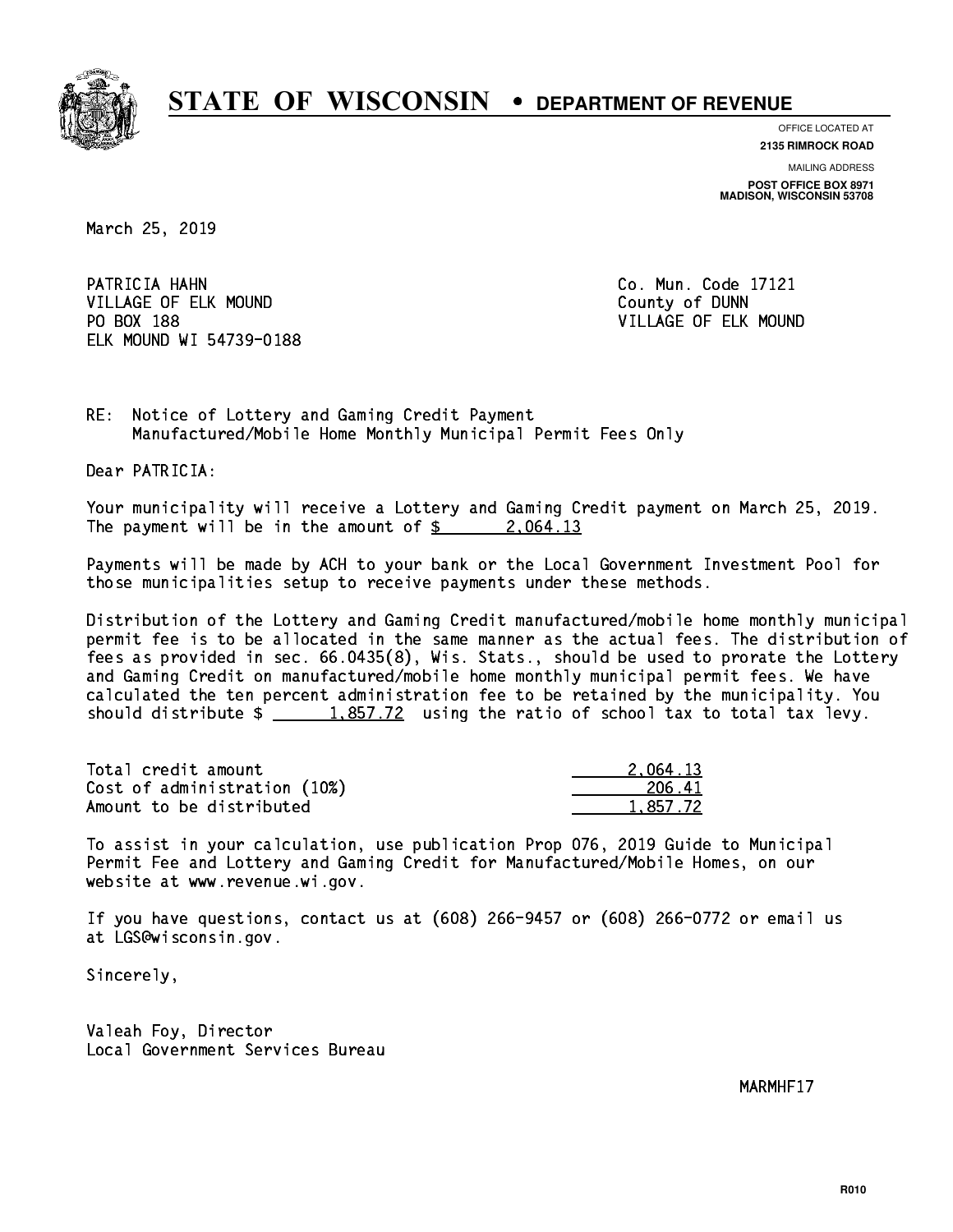

**OFFICE LOCATED AT**

**2135 RIMROCK ROAD**

**MAILING ADDRESS POST OFFICE BOX 8971 MADISON, WISCONSIN 53708**

March 25, 2019

PATRICIA HAHN VILLAGE OF ELK MOUND COUNTY OF DUNN PO BOX 188 ELK MOUND WI 54739-0188

Co. Mun. Code 17121 VILLAGE OF ELK MOUND

RE: Notice of Lottery and Gaming Credit Payment Manufactured/Mobile Home Monthly Municipal Permit Fees Only

Dear PATRICIA:

 Your municipality will receive a Lottery and Gaming Credit payment on March 25, 2019. The payment will be in the amount of  $\frac{2.064.13}{2.064.13}$ 

 Payments will be made by ACH to your bank or the Local Government Investment Pool for those municipalities setup to receive payments under these methods.

 Distribution of the Lottery and Gaming Credit manufactured/mobile home monthly municipal permit fee is to be allocated in the same manner as the actual fees. The distribution of fees as provided in sec. 66.0435(8), Wis. Stats., should be used to prorate the Lottery and Gaming Credit on manufactured/mobile home monthly municipal permit fees. We have calculated the ten percent administration fee to be retained by the municipality. You should distribute  $\frac{1.857.72}{1.857.72}$  using the ratio of school tax to total tax levy.

| Total credit amount          | 2.064.13 |
|------------------------------|----------|
| Cost of administration (10%) | 206.41   |
| Amount to be distributed     | 1,857.72 |

 To assist in your calculation, use publication Prop 076, 2019 Guide to Municipal Permit Fee and Lottery and Gaming Credit for Manufactured/Mobile Homes, on our website at www.revenue.wi.gov.

 If you have questions, contact us at (608) 266-9457 or (608) 266-0772 or email us at LGS@wisconsin.gov.

Sincerely,

 Valeah Foy, Director Local Government Services Bureau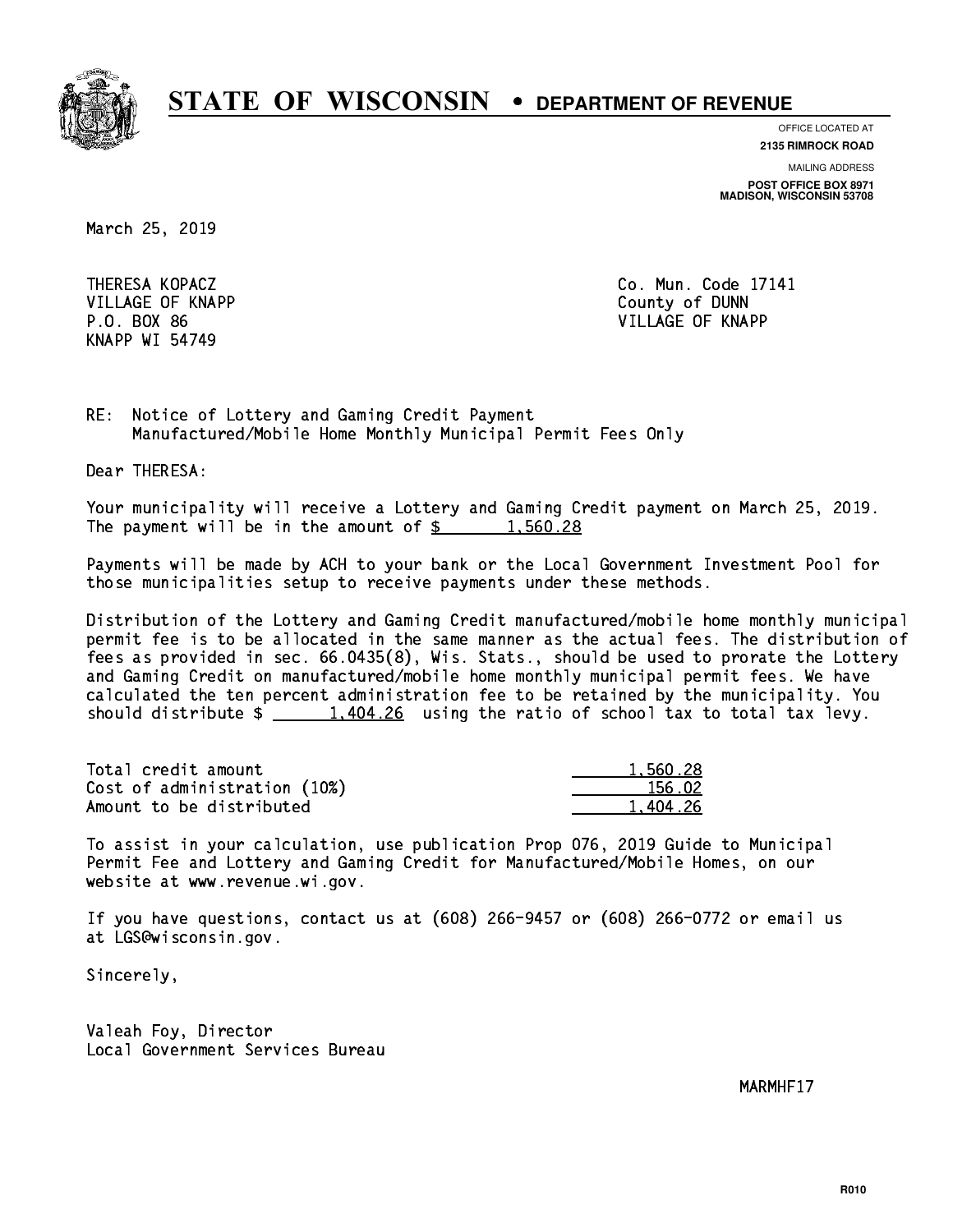

**OFFICE LOCATED AT**

**2135 RIMROCK ROAD**

**MAILING ADDRESS POST OFFICE BOX 8971 MADISON, WISCONSIN 53708**

March 25, 2019

 VILLAGE OF KNAPP County of DUNN KNAPP WI 54749

 THERESA KOPACZ Co. Mun. Code 17141 P.O. BOX 86 VILLAGE OF KNAPP

RE: Notice of Lottery and Gaming Credit Payment Manufactured/Mobile Home Monthly Municipal Permit Fees Only

Dear THERESA:

 Your municipality will receive a Lottery and Gaming Credit payment on March 25, 2019. The payment will be in the amount of  $\frac{2}{3}$  1,560.28

 Payments will be made by ACH to your bank or the Local Government Investment Pool for those municipalities setup to receive payments under these methods.

 Distribution of the Lottery and Gaming Credit manufactured/mobile home monthly municipal permit fee is to be allocated in the same manner as the actual fees. The distribution of fees as provided in sec. 66.0435(8), Wis. Stats., should be used to prorate the Lottery and Gaming Credit on manufactured/mobile home monthly municipal permit fees. We have calculated the ten percent administration fee to be retained by the municipality. You should distribute  $\frac{1,404.26}{1,404.26}$  using the ratio of school tax to total tax levy.

| Total credit amount          | 1,560.28 |
|------------------------------|----------|
| Cost of administration (10%) | 156.02   |
| Amount to be distributed     | 1,404.26 |

 To assist in your calculation, use publication Prop 076, 2019 Guide to Municipal Permit Fee and Lottery and Gaming Credit for Manufactured/Mobile Homes, on our website at www.revenue.wi.gov.

 If you have questions, contact us at (608) 266-9457 or (608) 266-0772 or email us at LGS@wisconsin.gov.

Sincerely,

 Valeah Foy, Director Local Government Services Bureau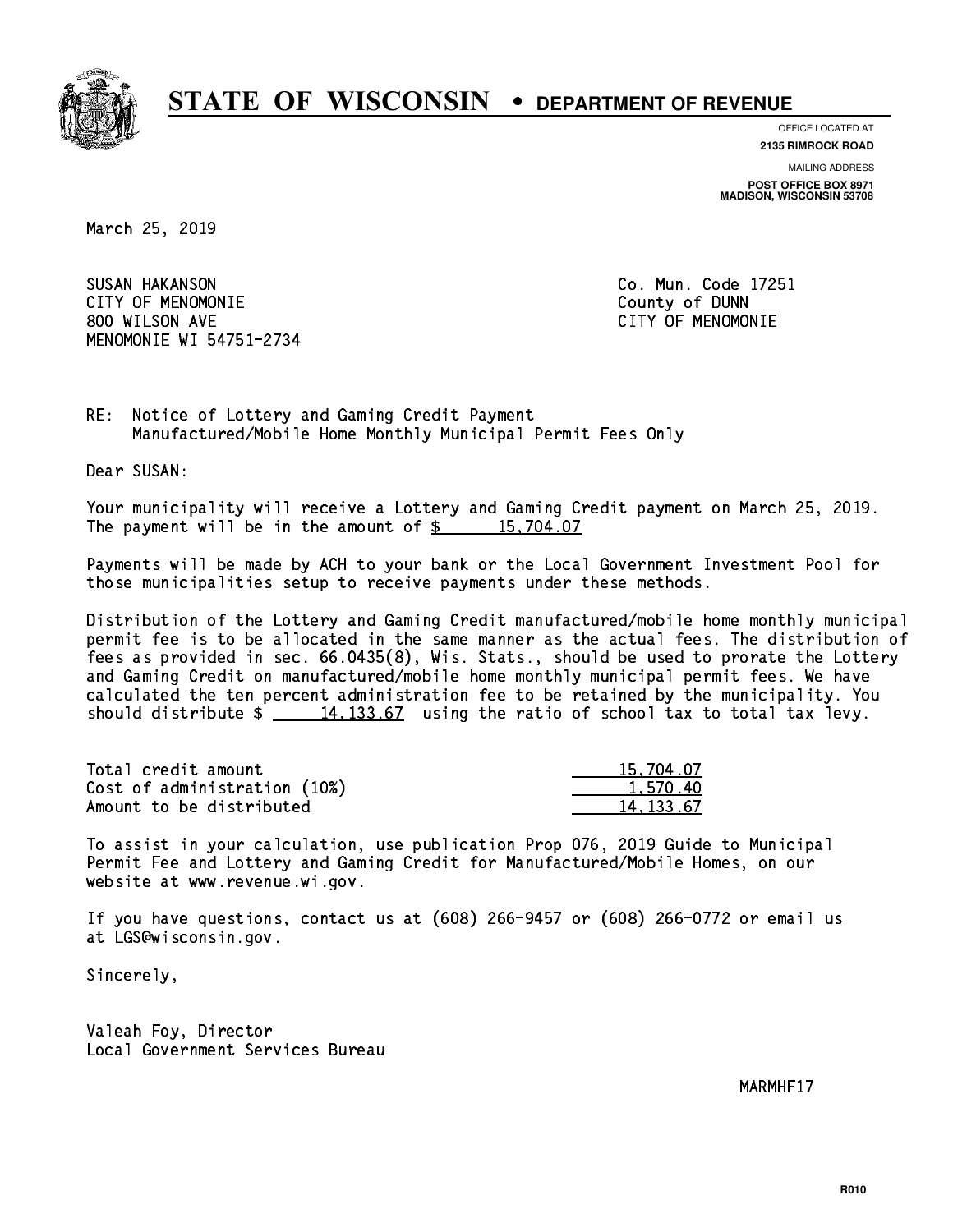

**OFFICE LOCATED AT**

**2135 RIMROCK ROAD**

**MAILING ADDRESS POST OFFICE BOX 8971 MADISON, WISCONSIN 53708**

March 25, 2019

 SUSAN HAKANSON Co. Mun. Code 17251 CITY OF MENOMONIE County of DUNN 800 WILSON AVE CITY OF MENOMONIE MENOMONIE WI 54751-2734

RE: Notice of Lottery and Gaming Credit Payment Manufactured/Mobile Home Monthly Municipal Permit Fees Only

Dear SUSAN:

 Your municipality will receive a Lottery and Gaming Credit payment on March 25, 2019. The payment will be in the amount of  $\frac{2}{3}$  15,704.07

 Payments will be made by ACH to your bank or the Local Government Investment Pool for those municipalities setup to receive payments under these methods.

 Distribution of the Lottery and Gaming Credit manufactured/mobile home monthly municipal permit fee is to be allocated in the same manner as the actual fees. The distribution of fees as provided in sec. 66.0435(8), Wis. Stats., should be used to prorate the Lottery and Gaming Credit on manufactured/mobile home monthly municipal permit fees. We have calculated the ten percent administration fee to be retained by the municipality. You should distribute  $\frac{14,133.67}{2}$  using the ratio of school tax to total tax levy.

| Total credit amount          | 15,704.07 |
|------------------------------|-----------|
| Cost of administration (10%) | 1.570.40  |
| Amount to be distributed     | 14.133.67 |

 To assist in your calculation, use publication Prop 076, 2019 Guide to Municipal Permit Fee and Lottery and Gaming Credit for Manufactured/Mobile Homes, on our website at www.revenue.wi.gov.

 If you have questions, contact us at (608) 266-9457 or (608) 266-0772 or email us at LGS@wisconsin.gov.

Sincerely,

 Valeah Foy, Director Local Government Services Bureau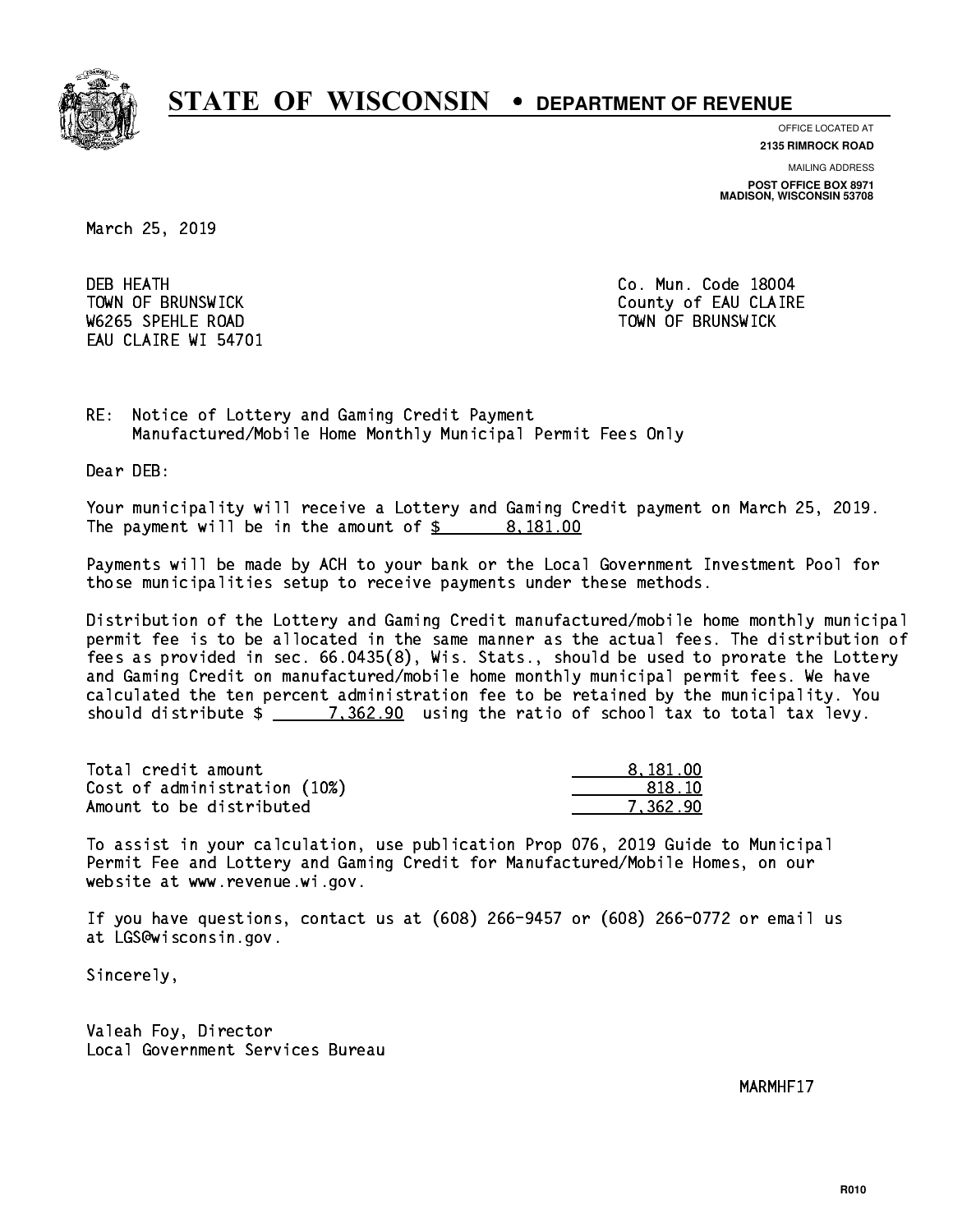

**OFFICE LOCATED AT**

**2135 RIMROCK ROAD**

**MAILING ADDRESS POST OFFICE BOX 8971 MADISON, WISCONSIN 53708**

March 25, 2019

**DEB HEATH** W6265 SPEHLE ROAD TOWN OF BRUNSWICK EAU CLAIRE WI 54701

Co. Mun. Code 18004 TOWN OF BRUNSWICK County of EAU CLAIRE

RE: Notice of Lottery and Gaming Credit Payment Manufactured/Mobile Home Monthly Municipal Permit Fees Only

Dear DEB:

 Your municipality will receive a Lottery and Gaming Credit payment on March 25, 2019. The payment will be in the amount of  $\frac{2}{3}$  8,181.00

 Payments will be made by ACH to your bank or the Local Government Investment Pool for those municipalities setup to receive payments under these methods.

 Distribution of the Lottery and Gaming Credit manufactured/mobile home monthly municipal permit fee is to be allocated in the same manner as the actual fees. The distribution of fees as provided in sec. 66.0435(8), Wis. Stats., should be used to prorate the Lottery and Gaming Credit on manufactured/mobile home monthly municipal permit fees. We have calculated the ten percent administration fee to be retained by the municipality. You should distribute  $\frac{2}{2}$   $\frac{7,362.90}{2}$  using the ratio of school tax to total tax levy.

| Total credit amount          | 8.181.00 |
|------------------------------|----------|
| Cost of administration (10%) | -818.10  |
| Amount to be distributed     | 7.362.90 |

 To assist in your calculation, use publication Prop 076, 2019 Guide to Municipal Permit Fee and Lottery and Gaming Credit for Manufactured/Mobile Homes, on our website at www.revenue.wi.gov.

 If you have questions, contact us at (608) 266-9457 or (608) 266-0772 or email us at LGS@wisconsin.gov.

Sincerely,

 Valeah Foy, Director Local Government Services Bureau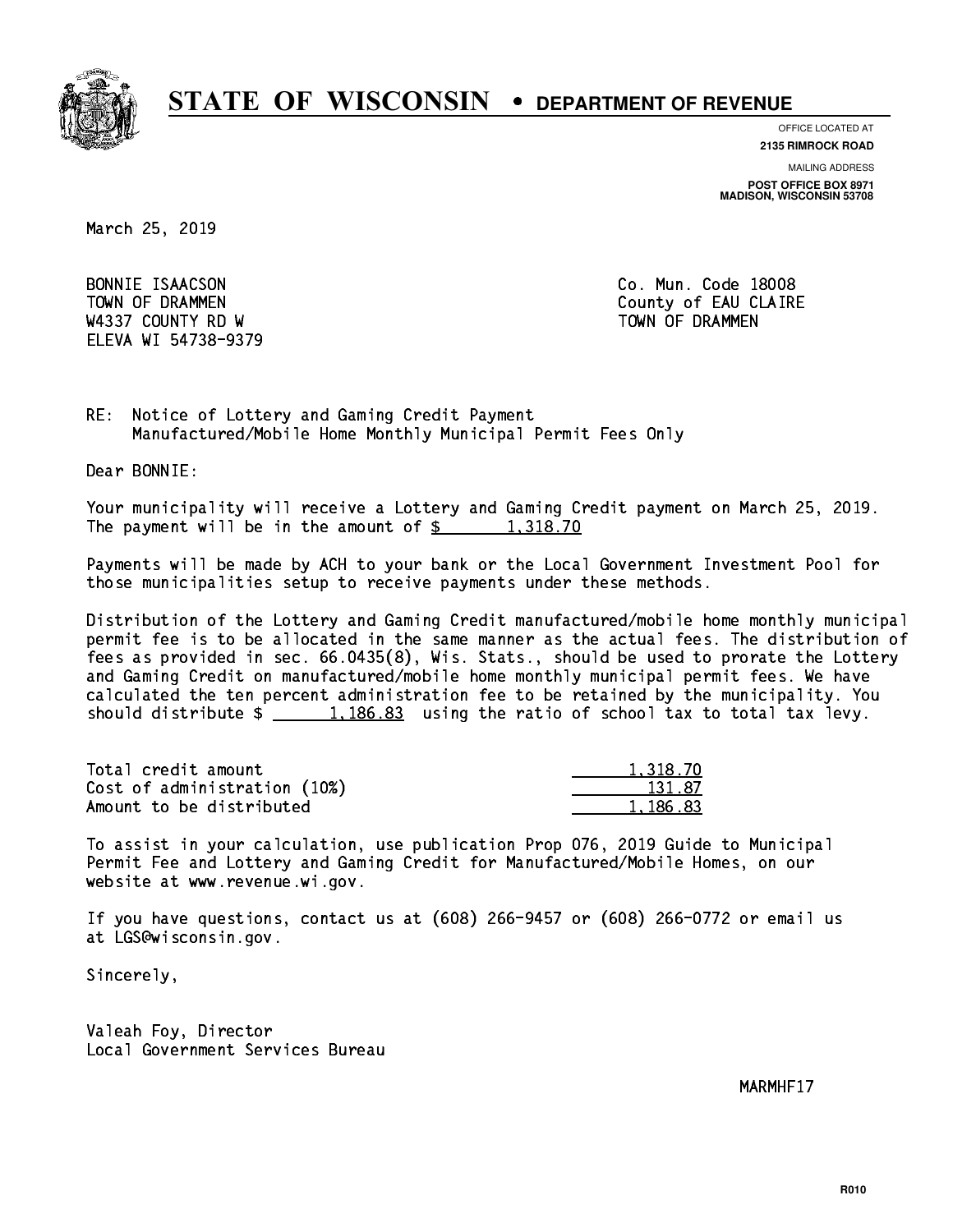

**OFFICE LOCATED AT**

**2135 RIMROCK ROAD**

**MAILING ADDRESS POST OFFICE BOX 8971 MADISON, WISCONSIN 53708**

March 25, 2019

BONNIE ISAACSON W4337 COUNTY RD W TOWN OF DRAMMEN ELEVA WI 54738-9379

Co. Mun. Code 18008 TOWN OF DRAMMEN COUNTY OF EAU CLAIRE

RE: Notice of Lottery and Gaming Credit Payment Manufactured/Mobile Home Monthly Municipal Permit Fees Only

Dear BONNIE:

 Your municipality will receive a Lottery and Gaming Credit payment on March 25, 2019. The payment will be in the amount of  $\frac{2}{3}$  1,318.70

 Payments will be made by ACH to your bank or the Local Government Investment Pool for those municipalities setup to receive payments under these methods.

 Distribution of the Lottery and Gaming Credit manufactured/mobile home monthly municipal permit fee is to be allocated in the same manner as the actual fees. The distribution of fees as provided in sec. 66.0435(8), Wis. Stats., should be used to prorate the Lottery and Gaming Credit on manufactured/mobile home monthly municipal permit fees. We have calculated the ten percent administration fee to be retained by the municipality. You should distribute  $\frac{1,186.83}{1,186.83}$  using the ratio of school tax to total tax levy.

| Total credit amount          | 1.318.70 |
|------------------------------|----------|
| Cost of administration (10%) | 131.87   |
| Amount to be distributed     | 1,186.83 |

 To assist in your calculation, use publication Prop 076, 2019 Guide to Municipal Permit Fee and Lottery and Gaming Credit for Manufactured/Mobile Homes, on our website at www.revenue.wi.gov.

 If you have questions, contact us at (608) 266-9457 or (608) 266-0772 or email us at LGS@wisconsin.gov.

Sincerely,

 Valeah Foy, Director Local Government Services Bureau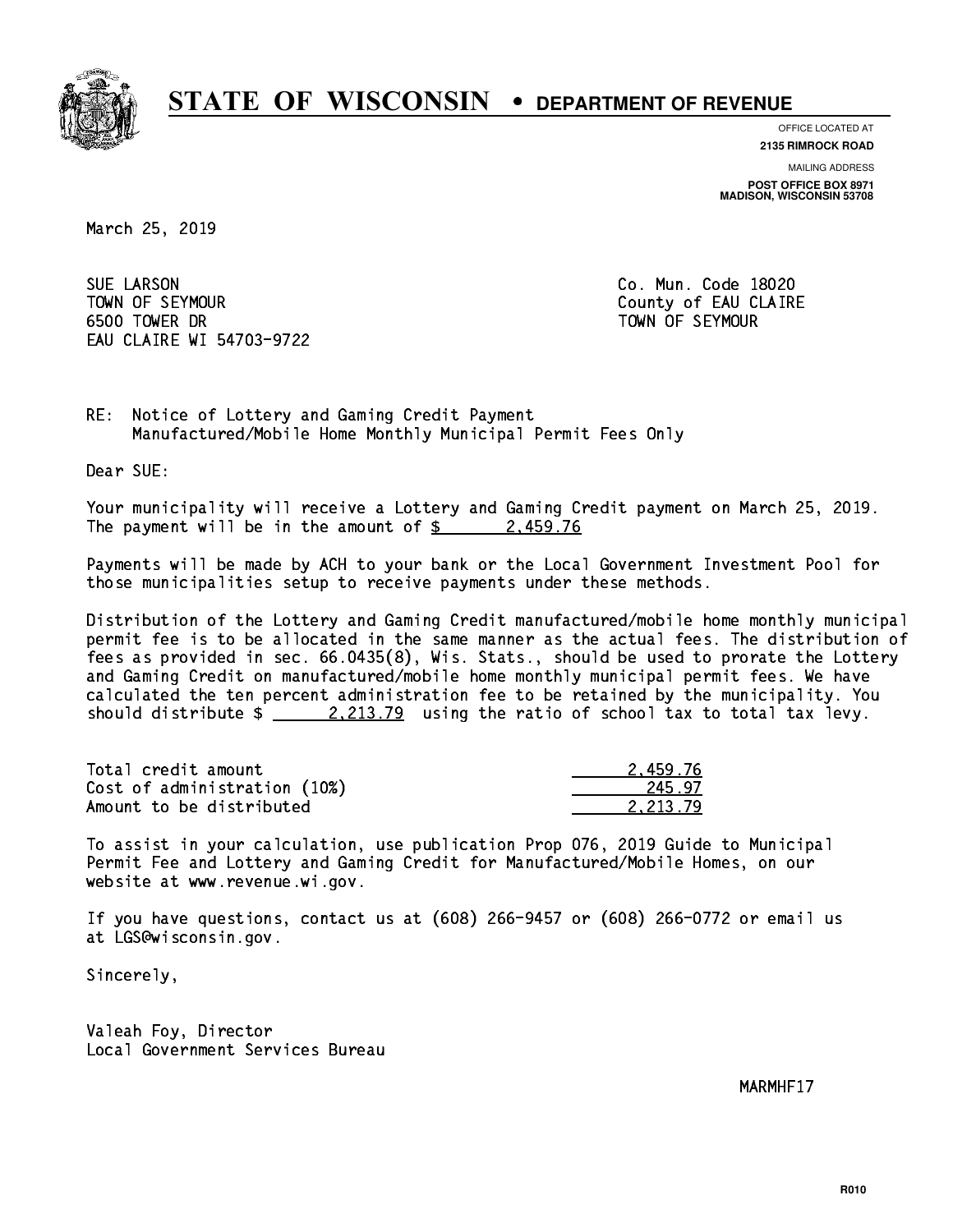

**OFFICE LOCATED AT 2135 RIMROCK ROAD**

**MAILING ADDRESS POST OFFICE BOX 8971 MADISON, WISCONSIN 53708**

March 25, 2019

**SUE LARSON**  TOWN OF SEYMOUR County of EAU CLAIRE 6500 TOWER DR TOWN OF SEYMOUR EAU CLAIRE WI 54703-9722

Co. Mun. Code 18020

RE: Notice of Lottery and Gaming Credit Payment Manufactured/Mobile Home Monthly Municipal Permit Fees Only

Dear SUE:

 Your municipality will receive a Lottery and Gaming Credit payment on March 25, 2019. The payment will be in the amount of  $\frac{2}{3}$  2,459.76

 Payments will be made by ACH to your bank or the Local Government Investment Pool for those municipalities setup to receive payments under these methods.

 Distribution of the Lottery and Gaming Credit manufactured/mobile home monthly municipal permit fee is to be allocated in the same manner as the actual fees. The distribution of fees as provided in sec. 66.0435(8), Wis. Stats., should be used to prorate the Lottery and Gaming Credit on manufactured/mobile home monthly municipal permit fees. We have calculated the ten percent administration fee to be retained by the municipality. You should distribute  $\frac{2.213.79}{2.213.79}$  using the ratio of school tax to total tax levy.

| Total credit amount          | 2.459.76 |
|------------------------------|----------|
| Cost of administration (10%) | 245.97   |
| Amount to be distributed     | 2.213.79 |

 To assist in your calculation, use publication Prop 076, 2019 Guide to Municipal Permit Fee and Lottery and Gaming Credit for Manufactured/Mobile Homes, on our website at www.revenue.wi.gov.

 If you have questions, contact us at (608) 266-9457 or (608) 266-0772 or email us at LGS@wisconsin.gov.

Sincerely,

 Valeah Foy, Director Local Government Services Bureau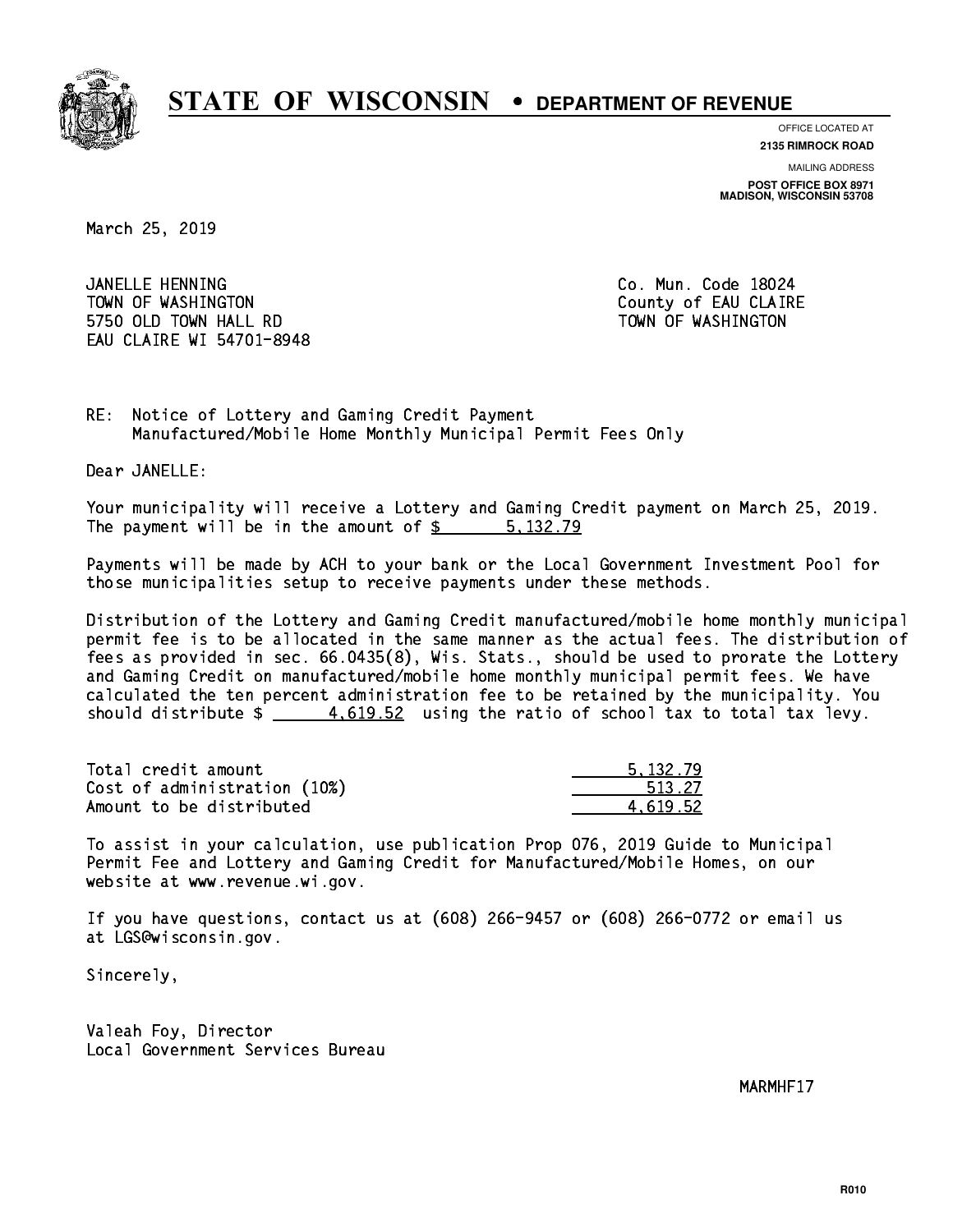

**OFFICE LOCATED AT**

**2135 RIMROCK ROAD**

**MAILING ADDRESS POST OFFICE BOX 8971 MADISON, WISCONSIN 53708**

March 25, 2019

 JANELLE HENNING Co. Mun. Code 18024 TOWN OF WASHINGTON COUNTY OF EAU CLAIRE 5750 OLD TOWN HALL RD TOWN OF WASHINGTON EAU CLAIRE WI 54701-8948

RE: Notice of Lottery and Gaming Credit Payment Manufactured/Mobile Home Monthly Municipal Permit Fees Only

Dear JANELLE:

 Your municipality will receive a Lottery and Gaming Credit payment on March 25, 2019. The payment will be in the amount of \$ 5,132.79 \_\_\_\_\_\_\_\_\_\_\_\_\_\_\_\_

 Payments will be made by ACH to your bank or the Local Government Investment Pool for those municipalities setup to receive payments under these methods.

 Distribution of the Lottery and Gaming Credit manufactured/mobile home monthly municipal permit fee is to be allocated in the same manner as the actual fees. The distribution of fees as provided in sec. 66.0435(8), Wis. Stats., should be used to prorate the Lottery and Gaming Credit on manufactured/mobile home monthly municipal permit fees. We have calculated the ten percent administration fee to be retained by the municipality. You should distribute  $\frac{4.619.52}{4.619.52}$  using the ratio of school tax to total tax levy.

| Total credit amount          | 5.132.79 |
|------------------------------|----------|
| Cost of administration (10%) | 513.27   |
| Amount to be distributed     | 4.619.52 |

 To assist in your calculation, use publication Prop 076, 2019 Guide to Municipal Permit Fee and Lottery and Gaming Credit for Manufactured/Mobile Homes, on our website at www.revenue.wi.gov.

 If you have questions, contact us at (608) 266-9457 or (608) 266-0772 or email us at LGS@wisconsin.gov.

Sincerely,

 Valeah Foy, Director Local Government Services Bureau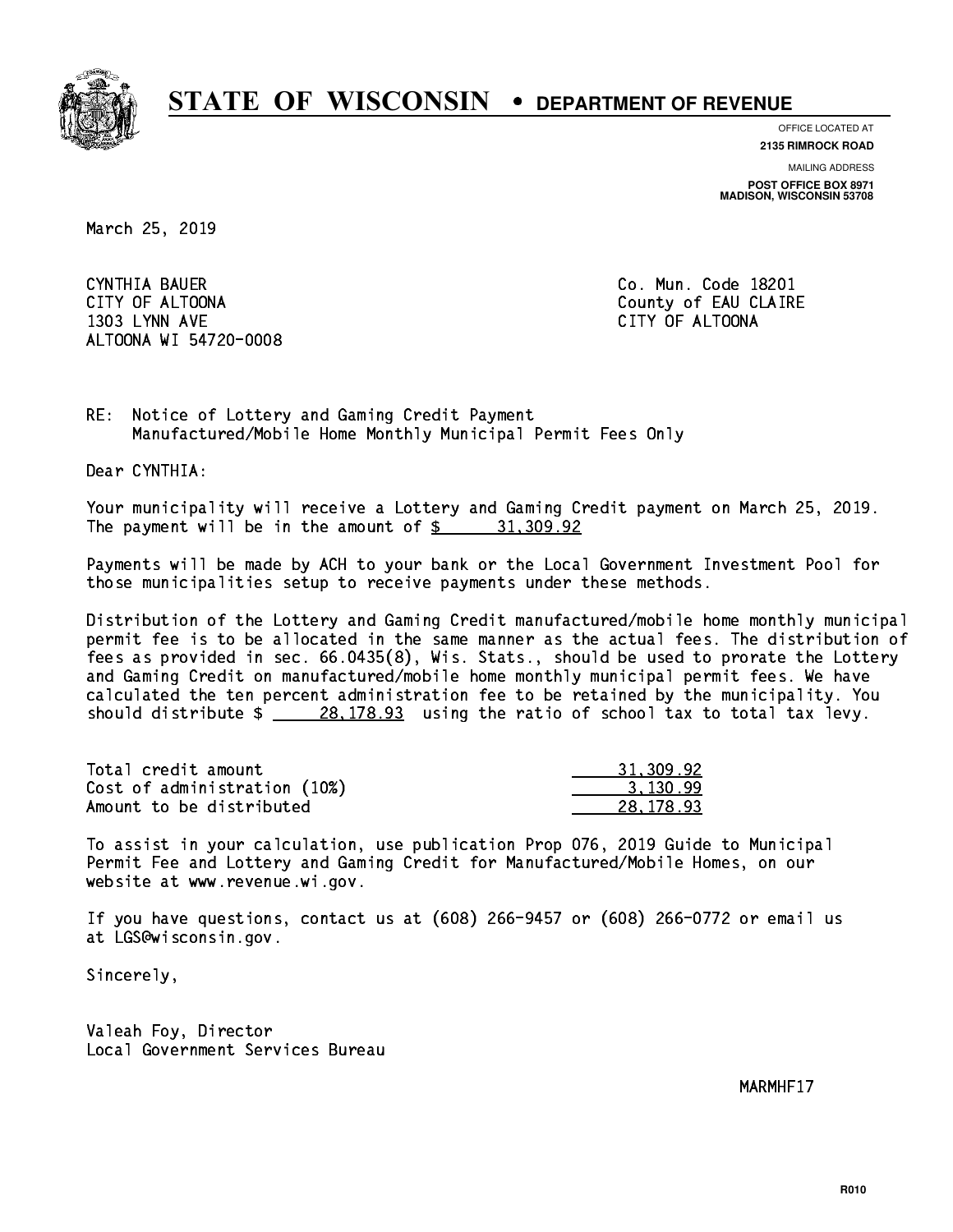

**OFFICE LOCATED AT**

**2135 RIMROCK ROAD**

**MAILING ADDRESS POST OFFICE BOX 8971 MADISON, WISCONSIN 53708**

March 25, 2019

CYNTHIA BAUER CITY OF ALTOONA COUNTY OF ALTOONA 1303 LYNN AVE CITY OF ALTOONA ALTOONA WI 54720-0008

Co. Mun. Code 18201

RE: Notice of Lottery and Gaming Credit Payment Manufactured/Mobile Home Monthly Municipal Permit Fees Only

Dear CYNTHIA:

 Your municipality will receive a Lottery and Gaming Credit payment on March 25, 2019. The payment will be in the amount of  $\frac{2}{3}$  31,309.92

 Payments will be made by ACH to your bank or the Local Government Investment Pool for those municipalities setup to receive payments under these methods.

 Distribution of the Lottery and Gaming Credit manufactured/mobile home monthly municipal permit fee is to be allocated in the same manner as the actual fees. The distribution of fees as provided in sec. 66.0435(8), Wis. Stats., should be used to prorate the Lottery and Gaming Credit on manufactured/mobile home monthly municipal permit fees. We have calculated the ten percent administration fee to be retained by the municipality. You should distribute  $\frac{28,178.93}{28,178.93}$  using the ratio of school tax to total tax levy.

| Total credit amount          | 31,309.92 |
|------------------------------|-----------|
| Cost of administration (10%) | 3.130.99  |
| Amount to be distributed     | 28,178.93 |

 To assist in your calculation, use publication Prop 076, 2019 Guide to Municipal Permit Fee and Lottery and Gaming Credit for Manufactured/Mobile Homes, on our website at www.revenue.wi.gov.

 If you have questions, contact us at (608) 266-9457 or (608) 266-0772 or email us at LGS@wisconsin.gov.

Sincerely,

 Valeah Foy, Director Local Government Services Bureau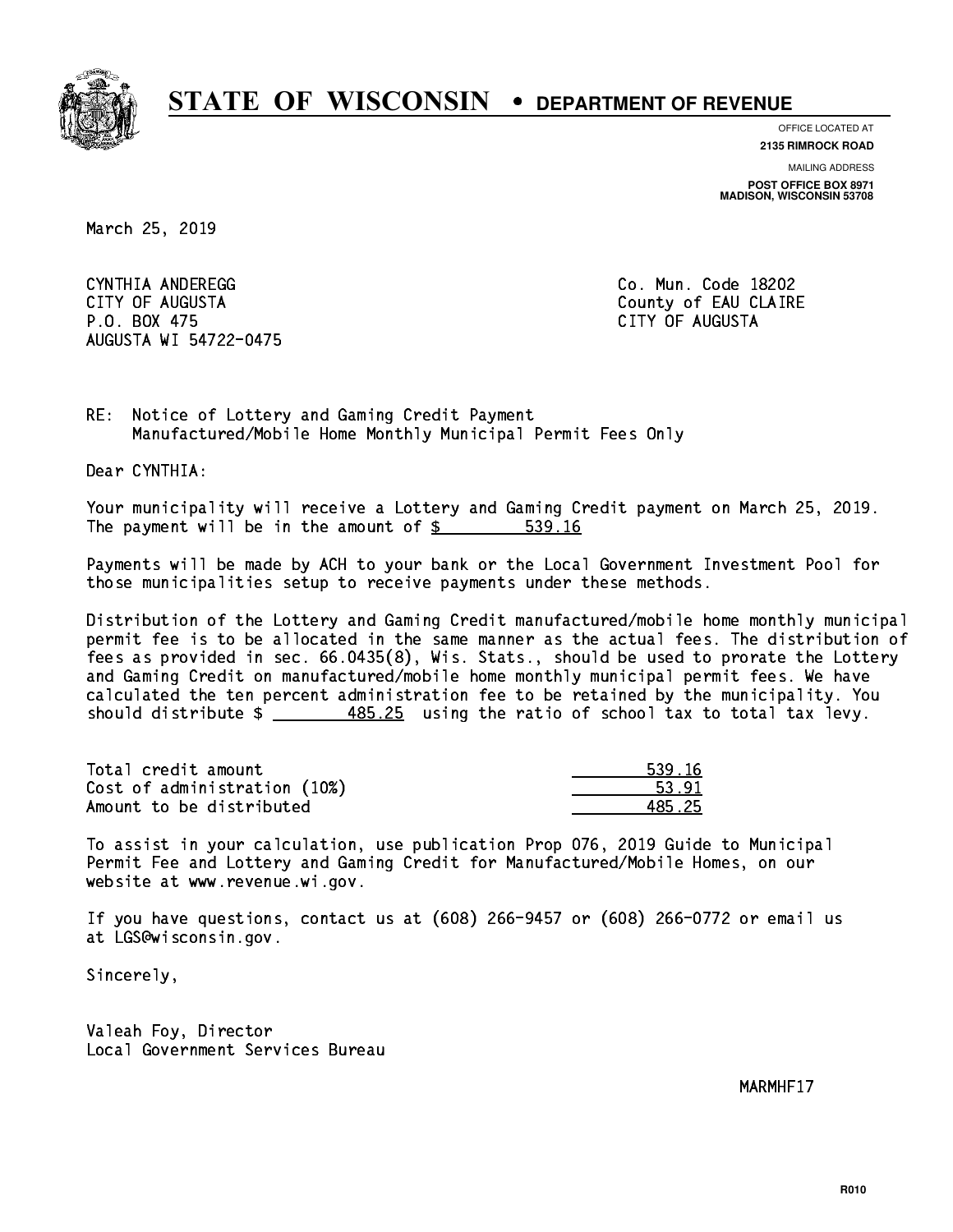

**OFFICE LOCATED AT**

**2135 RIMROCK ROAD**

**MAILING ADDRESS**

**POST OFFICE BOX 8971 MADISON, WISCONSIN 53708**

March 25, 2019

 CYNTHIA ANDEREGG Co. Mun. Code 18202 CITY OF AUGUSTA County of EAU CLAIRE P.O. BOX 475 CITY OF AUGUSTA AUGUSTA WI 54722-0475

RE: Notice of Lottery and Gaming Credit Payment Manufactured/Mobile Home Monthly Municipal Permit Fees Only

Dear CYNTHIA:

 Your municipality will receive a Lottery and Gaming Credit payment on March 25, 2019. The payment will be in the amount of \$ 539.16 \_\_\_\_\_\_\_\_\_\_\_\_\_\_\_\_

 Payments will be made by ACH to your bank or the Local Government Investment Pool for those municipalities setup to receive payments under these methods.

 Distribution of the Lottery and Gaming Credit manufactured/mobile home monthly municipal permit fee is to be allocated in the same manner as the actual fees. The distribution of fees as provided in sec. 66.0435(8), Wis. Stats., should be used to prorate the Lottery and Gaming Credit on manufactured/mobile home monthly municipal permit fees. We have calculated the ten percent administration fee to be retained by the municipality. You should distribute  $\frac{485.25}{1000}$  using the ratio of school tax to total tax levy.

| Total credit amount          | 539.16 |
|------------------------------|--------|
| Cost of administration (10%) | 53.91  |
| Amount to be distributed     | 485 25 |

| 1 1 A |
|-------|
| 91    |
| - 25  |

 To assist in your calculation, use publication Prop 076, 2019 Guide to Municipal Permit Fee and Lottery and Gaming Credit for Manufactured/Mobile Homes, on our website at www.revenue.wi.gov.

 If you have questions, contact us at (608) 266-9457 or (608) 266-0772 or email us at LGS@wisconsin.gov.

Sincerely,

 Valeah Foy, Director Local Government Services Bureau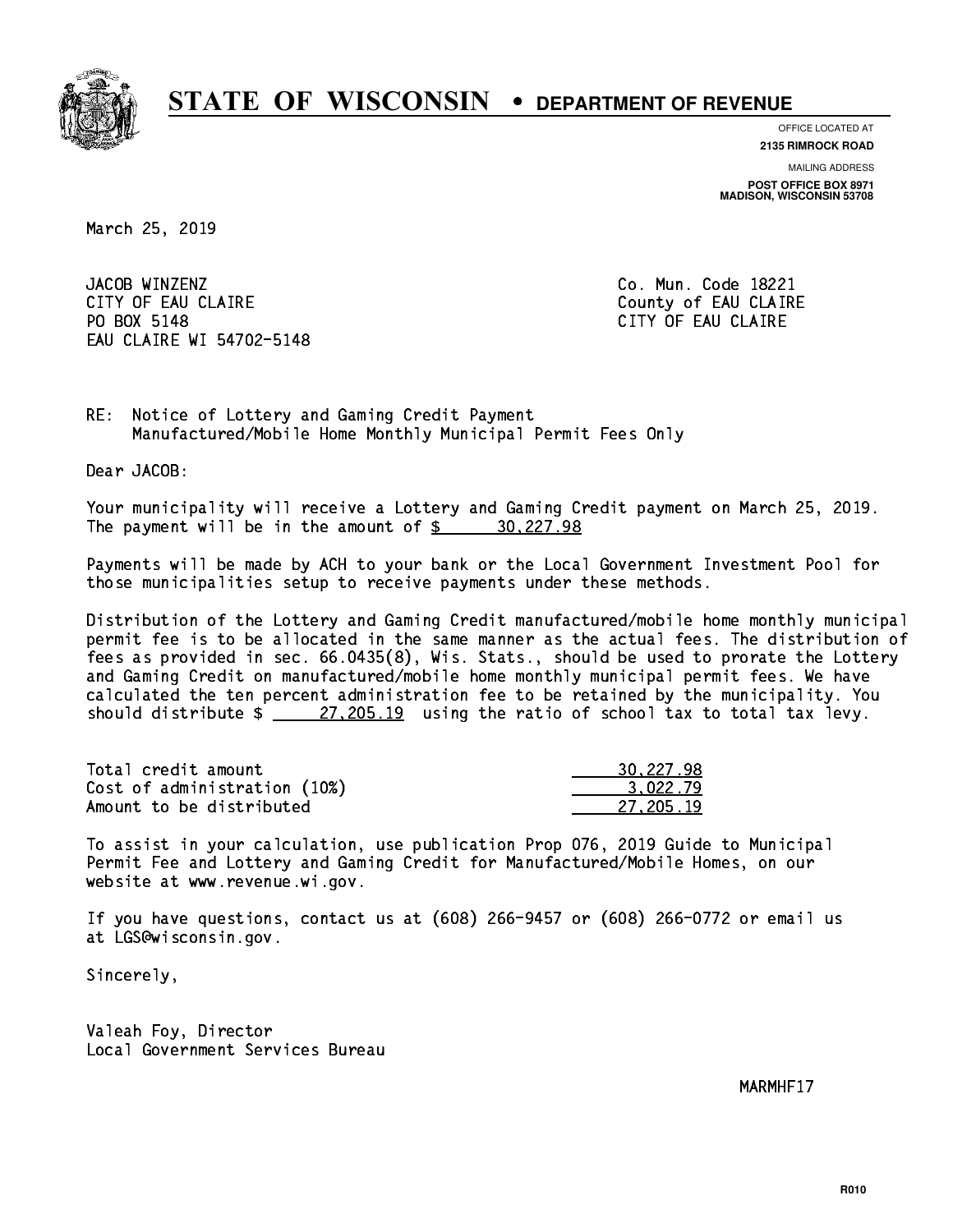

**OFFICE LOCATED AT 2135 RIMROCK ROAD**

**MAILING ADDRESS**

**POST OFFICE BOX 8971 MADISON, WISCONSIN 53708**

March 25, 2019

JACOB WINZENZ CITY OF EAU CLAIRE **COUNTY OF EAU CLAIRE** PO BOX 5148 EAU CLAIRE WI 54702-5148

Co. Mun. Code 18221 CITY OF EAU CLAIRE

RE: Notice of Lottery and Gaming Credit Payment Manufactured/Mobile Home Monthly Municipal Permit Fees Only

Dear JACOB:

 Your municipality will receive a Lottery and Gaming Credit payment on March 25, 2019. The payment will be in the amount of  $\frac{20,227.98}{20,227.98}$ 

 Payments will be made by ACH to your bank or the Local Government Investment Pool for those municipalities setup to receive payments under these methods.

 Distribution of the Lottery and Gaming Credit manufactured/mobile home monthly municipal permit fee is to be allocated in the same manner as the actual fees. The distribution of fees as provided in sec. 66.0435(8), Wis. Stats., should be used to prorate the Lottery and Gaming Credit on manufactured/mobile home monthly municipal permit fees. We have calculated the ten percent administration fee to be retained by the municipality. You should distribute  $\frac{27,205.19}{27,205.19}$  using the ratio of school tax to total tax levy.

| Total credit amount          | 30,227.98 |
|------------------------------|-----------|
| Cost of administration (10%) | 3.022.79  |
| Amount to be distributed     | 27.205.19 |

 To assist in your calculation, use publication Prop 076, 2019 Guide to Municipal Permit Fee and Lottery and Gaming Credit for Manufactured/Mobile Homes, on our website at www.revenue.wi.gov.

 If you have questions, contact us at (608) 266-9457 or (608) 266-0772 or email us at LGS@wisconsin.gov.

Sincerely,

 Valeah Foy, Director Local Government Services Bureau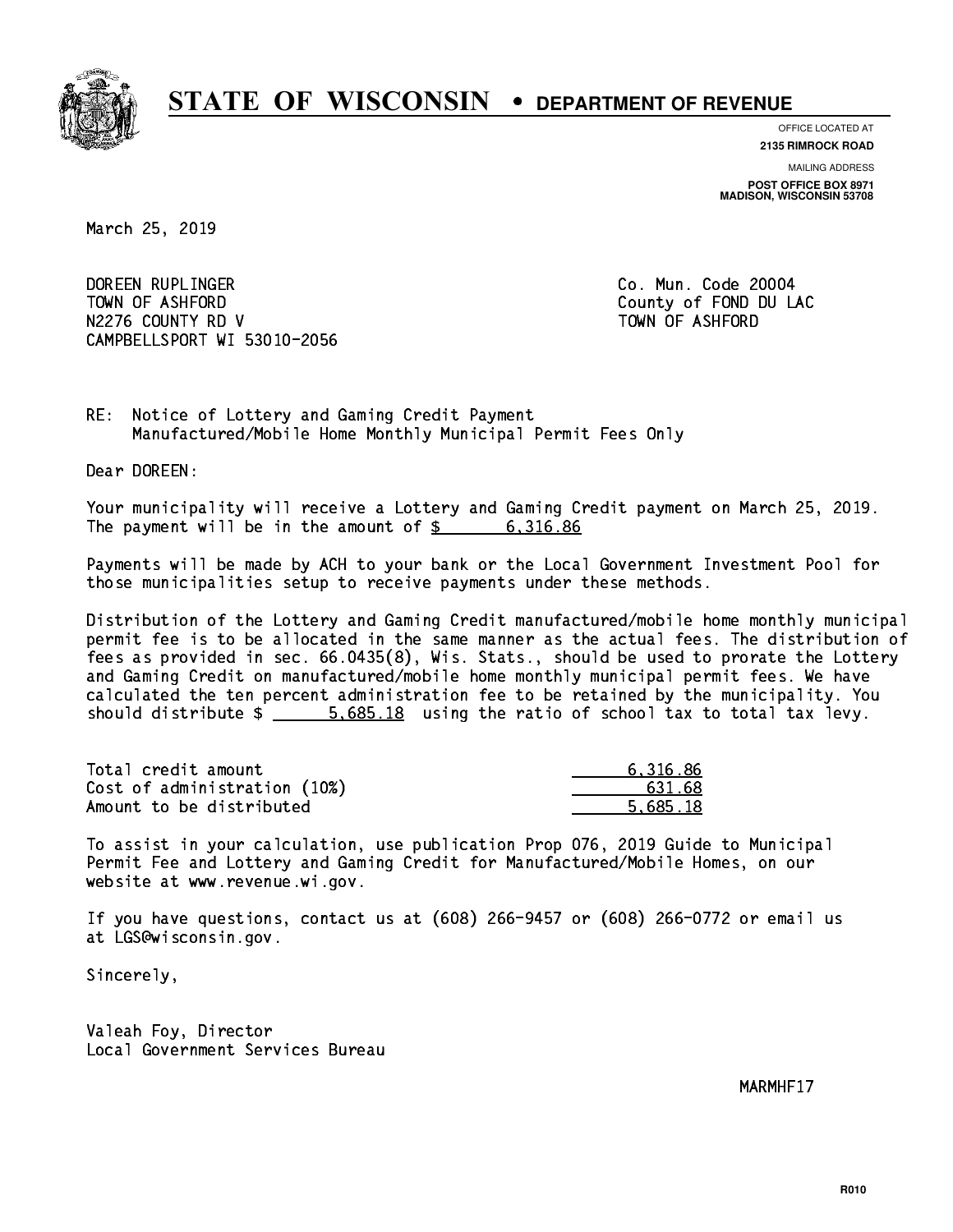

**OFFICE LOCATED AT**

**2135 RIMROCK ROAD**

**MAILING ADDRESS POST OFFICE BOX 8971 MADISON, WISCONSIN 53708**

March 25, 2019

 DOREEN RUPLINGER Co. Mun. Code 20004 TOWN OF ASHFORD County of FOND DU LAC N2276 COUNTY RD V TOWN OF ASHFORD CAMPBELLSPORT WI 53010-2056

RE: Notice of Lottery and Gaming Credit Payment Manufactured/Mobile Home Monthly Municipal Permit Fees Only

Dear DOREEN:

 Your municipality will receive a Lottery and Gaming Credit payment on March 25, 2019. The payment will be in the amount of \$ 6,316.86 \_\_\_\_\_\_\_\_\_\_\_\_\_\_\_\_

 Payments will be made by ACH to your bank or the Local Government Investment Pool for those municipalities setup to receive payments under these methods.

 Distribution of the Lottery and Gaming Credit manufactured/mobile home monthly municipal permit fee is to be allocated in the same manner as the actual fees. The distribution of fees as provided in sec. 66.0435(8), Wis. Stats., should be used to prorate the Lottery and Gaming Credit on manufactured/mobile home monthly municipal permit fees. We have calculated the ten percent administration fee to be retained by the municipality. You should distribute  $\frac{2}{1}$   $\frac{5.685.18}{10.685.18}$  using the ratio of school tax to total tax levy.

| Total credit amount          | 6.316.86 |
|------------------------------|----------|
| Cost of administration (10%) | 631.68   |
| Amount to be distributed     | 5.685.18 |

 To assist in your calculation, use publication Prop 076, 2019 Guide to Municipal Permit Fee and Lottery and Gaming Credit for Manufactured/Mobile Homes, on our website at www.revenue.wi.gov.

 If you have questions, contact us at (608) 266-9457 or (608) 266-0772 or email us at LGS@wisconsin.gov.

Sincerely,

 Valeah Foy, Director Local Government Services Bureau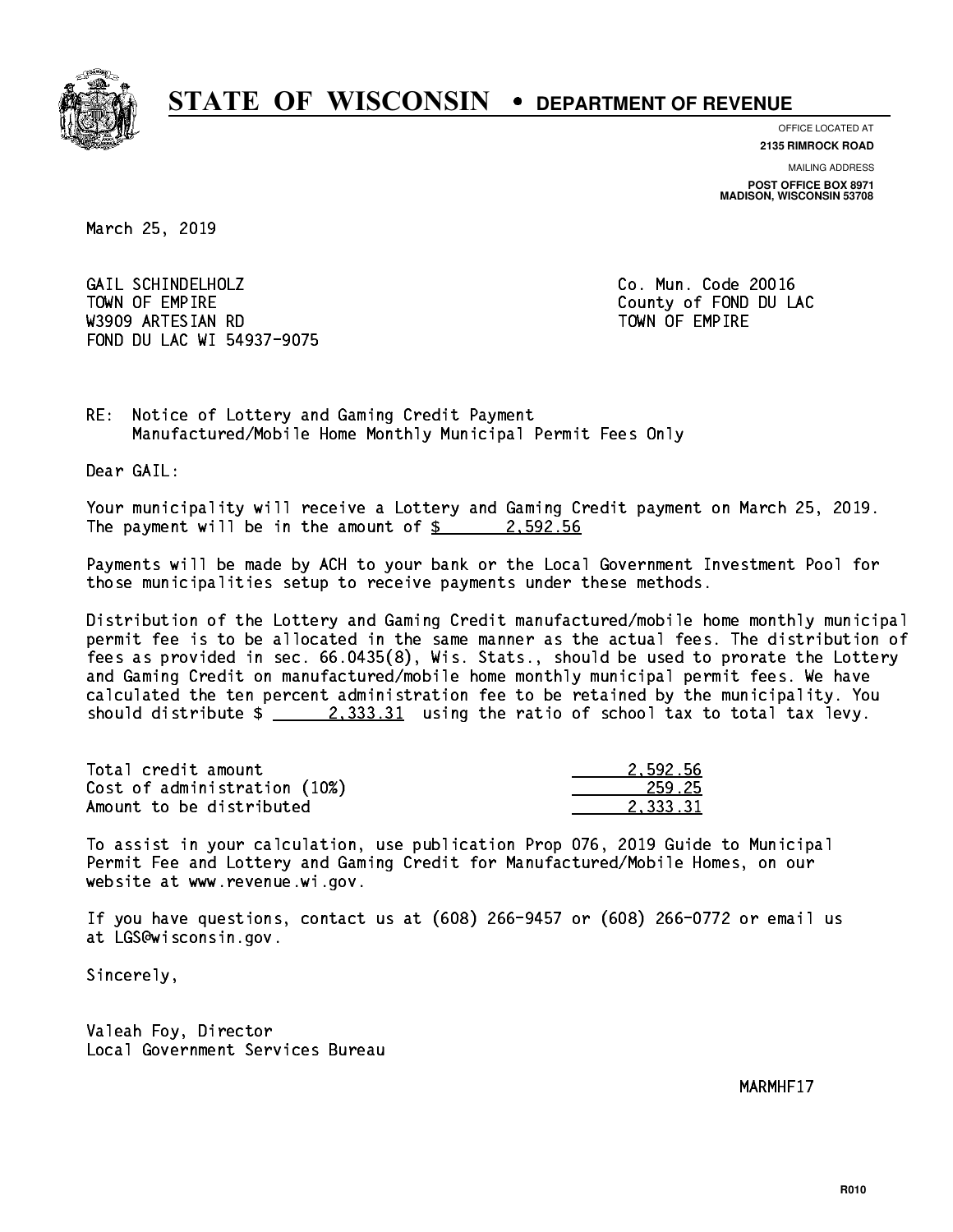

**OFFICE LOCATED AT 2135 RIMROCK ROAD**

**MAILING ADDRESS POST OFFICE BOX 8971 MADISON, WISCONSIN 53708**

March 25, 2019

 GAIL SCHINDELHOLZ Co. Mun. Code 20016 TOWN OF EMPIRE County of FOND DU LAC W3909 ARTESIAN RD TOWN OF EMPIRE FOND DU LAC WI 54937-9075

RE: Notice of Lottery and Gaming Credit Payment Manufactured/Mobile Home Monthly Municipal Permit Fees Only

Dear GAIL:

 Your municipality will receive a Lottery and Gaming Credit payment on March 25, 2019. The payment will be in the amount of  $\frac{2}{3}$  2,592.56

 Payments will be made by ACH to your bank or the Local Government Investment Pool for those municipalities setup to receive payments under these methods.

 Distribution of the Lottery and Gaming Credit manufactured/mobile home monthly municipal permit fee is to be allocated in the same manner as the actual fees. The distribution of fees as provided in sec. 66.0435(8), Wis. Stats., should be used to prorate the Lottery and Gaming Credit on manufactured/mobile home monthly municipal permit fees. We have calculated the ten percent administration fee to be retained by the municipality. You should distribute  $\frac{2,333.31}{2}$  using the ratio of school tax to total tax levy.

| Total credit amount          | 2.592.56 |
|------------------------------|----------|
| Cost of administration (10%) | 259.25   |
| Amount to be distributed     | 2.333.31 |

 To assist in your calculation, use publication Prop 076, 2019 Guide to Municipal Permit Fee and Lottery and Gaming Credit for Manufactured/Mobile Homes, on our website at www.revenue.wi.gov.

 If you have questions, contact us at (608) 266-9457 or (608) 266-0772 or email us at LGS@wisconsin.gov.

Sincerely,

 Valeah Foy, Director Local Government Services Bureau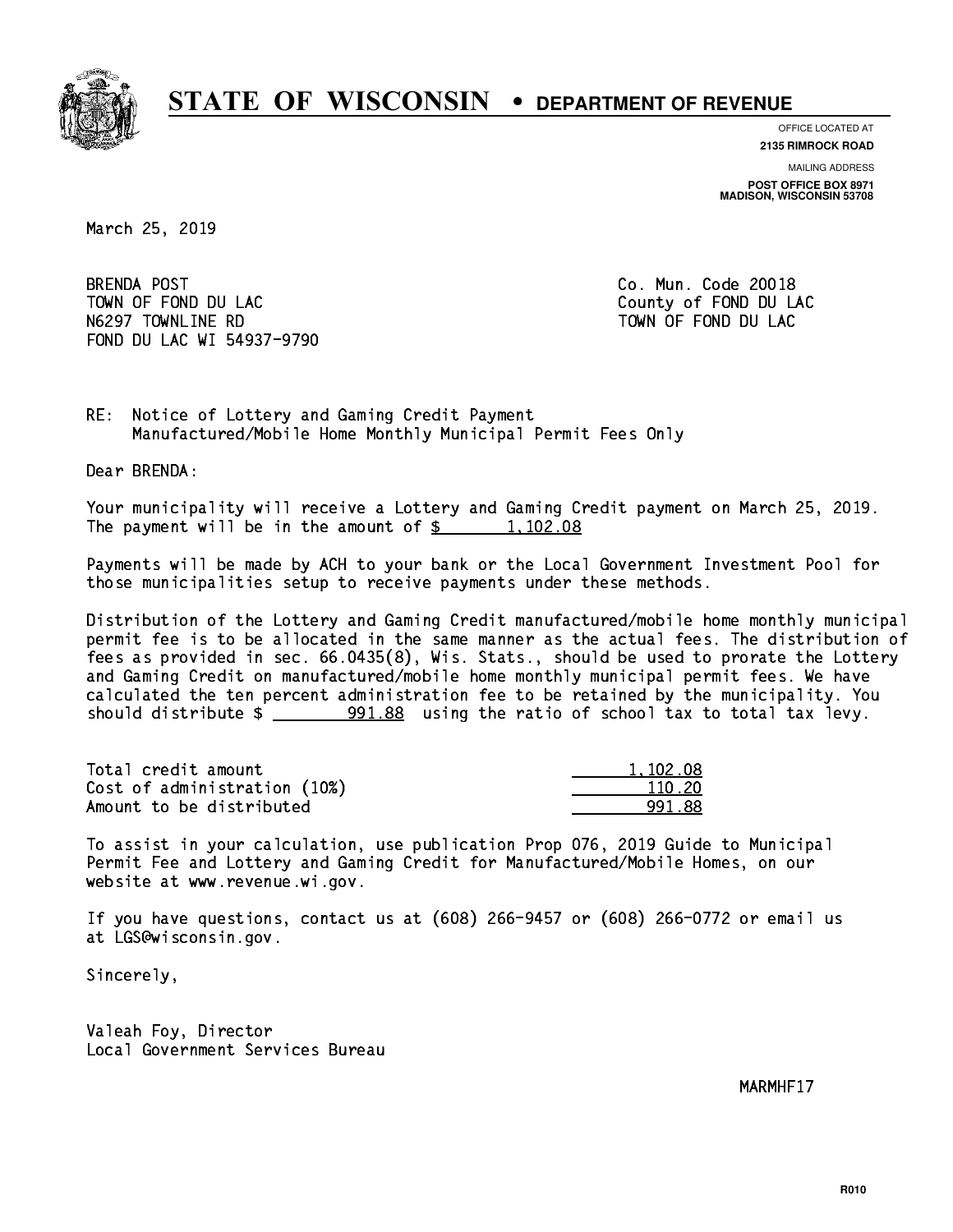

**OFFICE LOCATED AT**

**2135 RIMROCK ROAD**

**MAILING ADDRESS POST OFFICE BOX 8971 MADISON, WISCONSIN 53708**

March 25, 2019

BRENDA POST TOWN OF FOND DU LAC **COUNTY OF FOND DU LAC** N6297 TOWNLINE RD TO TO TOWN OF FOND DU LAC FOND DU LAC WI 54937-9790

Co. Mun. Code 20018

RE: Notice of Lottery and Gaming Credit Payment Manufactured/Mobile Home Monthly Municipal Permit Fees Only

Dear BRENDA:

 Your municipality will receive a Lottery and Gaming Credit payment on March 25, 2019. The payment will be in the amount of  $\frac{2}{3}$  1,102.08

 Payments will be made by ACH to your bank or the Local Government Investment Pool for those municipalities setup to receive payments under these methods.

 Distribution of the Lottery and Gaming Credit manufactured/mobile home monthly municipal permit fee is to be allocated in the same manner as the actual fees. The distribution of fees as provided in sec. 66.0435(8), Wis. Stats., should be used to prorate the Lottery and Gaming Credit on manufactured/mobile home monthly municipal permit fees. We have calculated the ten percent administration fee to be retained by the municipality. You should distribute  $\frac{201.88}{1000}$  using the ratio of school tax to total tax levy.

| Total credit amount          | 1.102.08 |
|------------------------------|----------|
| Cost of administration (10%) | 110.20   |
| Amount to be distributed     | 991-88   |

 To assist in your calculation, use publication Prop 076, 2019 Guide to Municipal Permit Fee and Lottery and Gaming Credit for Manufactured/Mobile Homes, on our website at www.revenue.wi.gov.

 If you have questions, contact us at (608) 266-9457 or (608) 266-0772 or email us at LGS@wisconsin.gov.

Sincerely,

 Valeah Foy, Director Local Government Services Bureau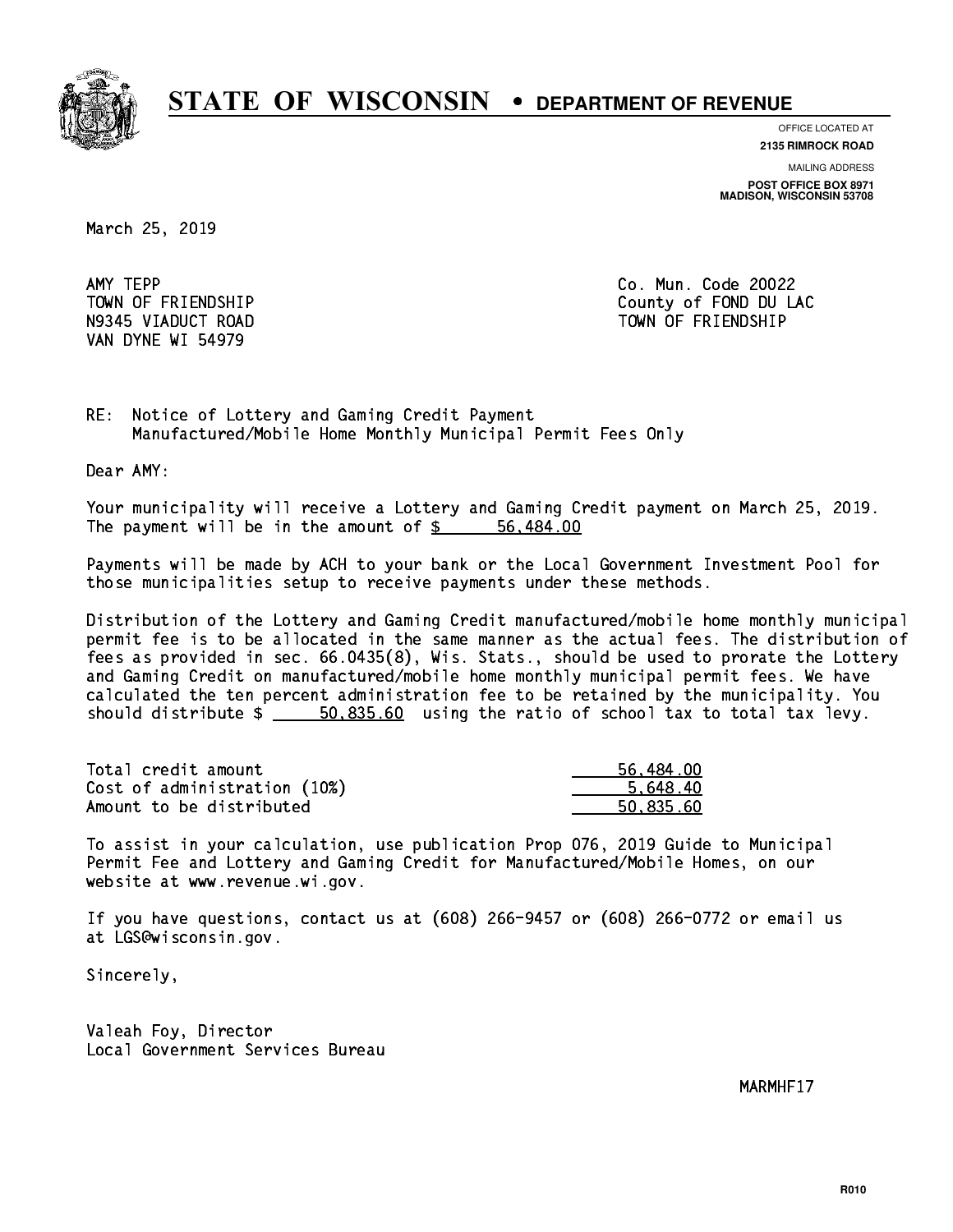

**OFFICE LOCATED AT**

**2135 RIMROCK ROAD**

**MAILING ADDRESS POST OFFICE BOX 8971 MADISON, WISCONSIN 53708**

March 25, 2019

AMY TEPP VAN DYNE WI 54979

Co. Mun. Code 20022 TOWN OF FRIENDSHIP County of FOND DU LAC N9345 VIADUCT ROAD TOWN OF FRIENDSHIP

RE: Notice of Lottery and Gaming Credit Payment Manufactured/Mobile Home Monthly Municipal Permit Fees Only

Dear AMY:

 Your municipality will receive a Lottery and Gaming Credit payment on March 25, 2019. The payment will be in the amount of \$ 56,484.00 \_\_\_\_\_\_\_\_\_\_\_\_\_\_\_\_

 Payments will be made by ACH to your bank or the Local Government Investment Pool for those municipalities setup to receive payments under these methods.

 Distribution of the Lottery and Gaming Credit manufactured/mobile home monthly municipal permit fee is to be allocated in the same manner as the actual fees. The distribution of fees as provided in sec. 66.0435(8), Wis. Stats., should be used to prorate the Lottery and Gaming Credit on manufactured/mobile home monthly municipal permit fees. We have calculated the ten percent administration fee to be retained by the municipality. You should distribute  $\frac{2}{1}$   $\frac{50,835.60}{20,835.60}$  using the ratio of school tax to total tax levy.

| Total credit amount          | 56.484.00 |
|------------------------------|-----------|
| Cost of administration (10%) | 5.648.40  |
| Amount to be distributed     | 50.835.60 |

 To assist in your calculation, use publication Prop 076, 2019 Guide to Municipal Permit Fee and Lottery and Gaming Credit for Manufactured/Mobile Homes, on our website at www.revenue.wi.gov.

 If you have questions, contact us at (608) 266-9457 or (608) 266-0772 or email us at LGS@wisconsin.gov.

Sincerely,

 Valeah Foy, Director Local Government Services Bureau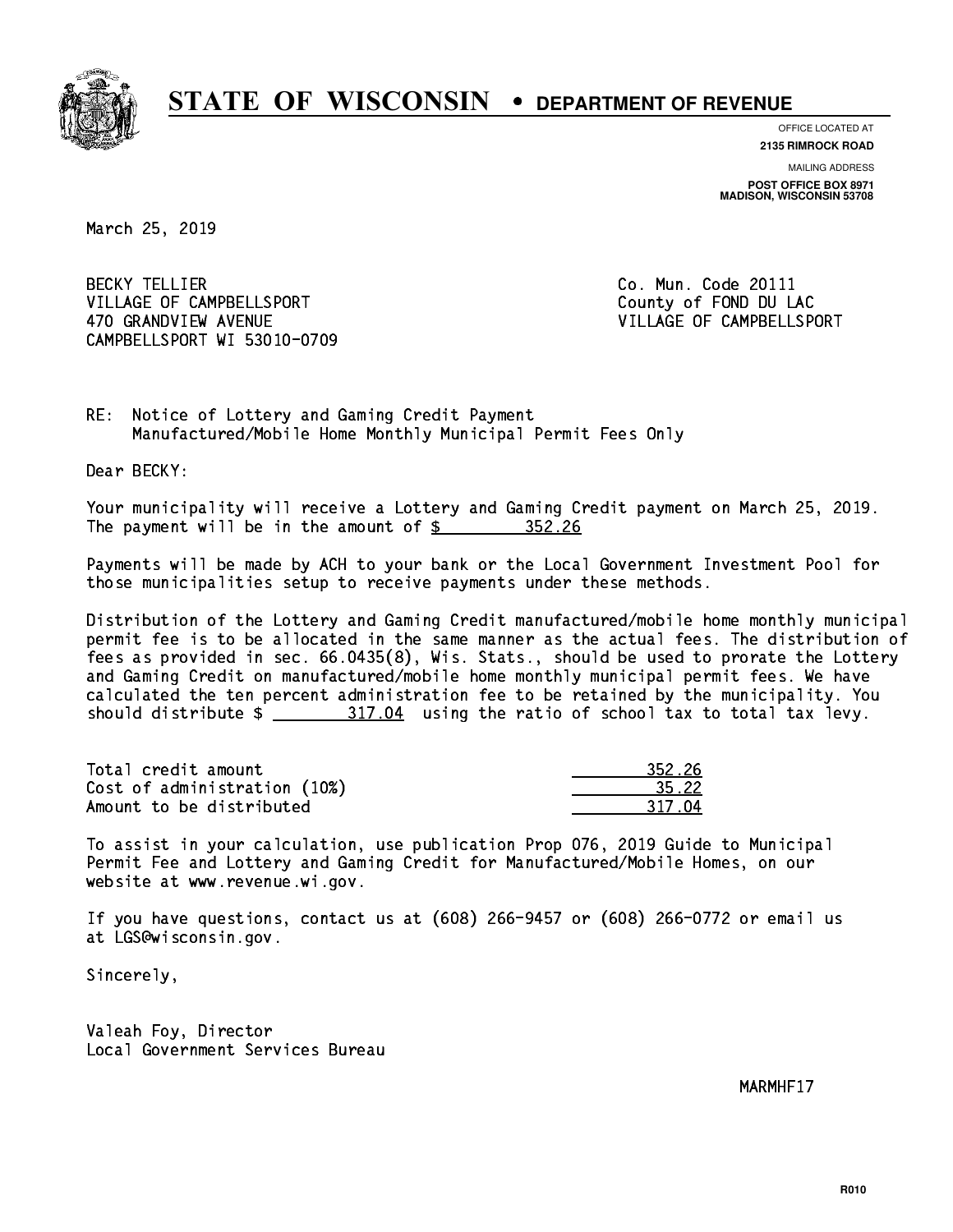

**OFFICE LOCATED AT 2135 RIMROCK ROAD**

**MAILING ADDRESS**

**POST OFFICE BOX 8971 MADISON, WISCONSIN 53708**

March 25, 2019

**BECKY TELLIER** VILLAGE OF CAMPBELLSPORT COUNTY County of FOND DU LAC 470 GRANDVIEW AVENUE **VILLAGE OF CAMPBELLSPORT** CAMPBELLSPORT WI 53010-0709

Co. Mun. Code 20111

RE: Notice of Lottery and Gaming Credit Payment Manufactured/Mobile Home Monthly Municipal Permit Fees Only

Dear BECKY:

 Your municipality will receive a Lottery and Gaming Credit payment on March 25, 2019. The payment will be in the amount of  $\frac{25}{10}$  352.26

 Payments will be made by ACH to your bank or the Local Government Investment Pool for those municipalities setup to receive payments under these methods.

 Distribution of the Lottery and Gaming Credit manufactured/mobile home monthly municipal permit fee is to be allocated in the same manner as the actual fees. The distribution of fees as provided in sec. 66.0435(8), Wis. Stats., should be used to prorate the Lottery and Gaming Credit on manufactured/mobile home monthly municipal permit fees. We have calculated the ten percent administration fee to be retained by the municipality. You should distribute  $\frac{217.04}{2}$  using the ratio of school tax to total tax levy.

Total credit amount Cost of administration (10%) Amount to be distributed

| 2.26  |
|-------|
| .72   |
| 2 T Z |

 To assist in your calculation, use publication Prop 076, 2019 Guide to Municipal Permit Fee and Lottery and Gaming Credit for Manufactured/Mobile Homes, on our website at www.revenue.wi.gov.

 If you have questions, contact us at (608) 266-9457 or (608) 266-0772 or email us at LGS@wisconsin.gov.

Sincerely,

 Valeah Foy, Director Local Government Services Bureau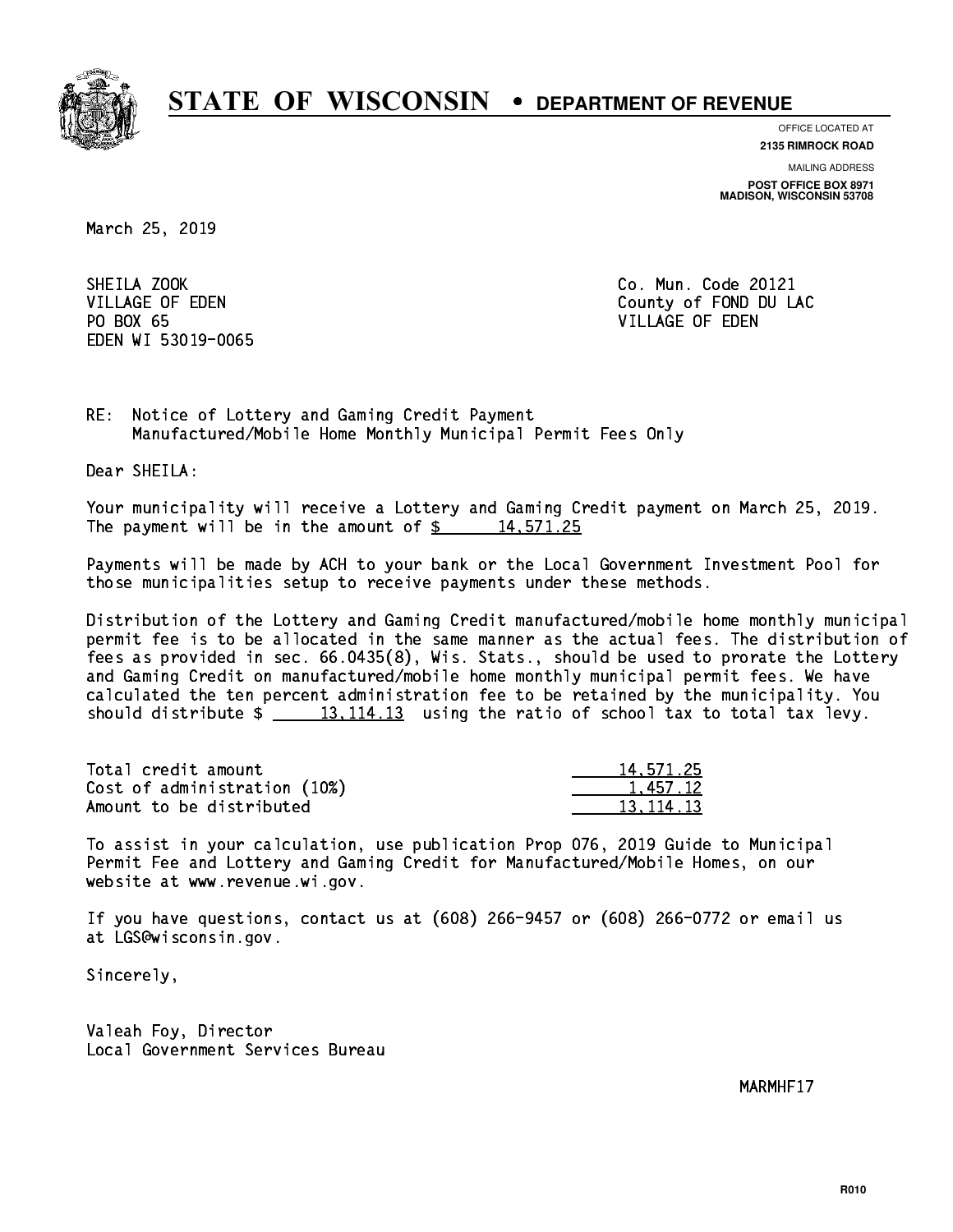

**OFFICE LOCATED AT**

**2135 RIMROCK ROAD**

**MAILING ADDRESS POST OFFICE BOX 8971 MADISON, WISCONSIN 53708**

March 25, 2019

SHEILA ZOOK PO BOX 65 PO BOX 65 VILLAGE OF EDEN EDEN WI 53019-0065

Co. Mun. Code 20121 VILLAGE OF EDEN County of FOND DU LAC

RE: Notice of Lottery and Gaming Credit Payment Manufactured/Mobile Home Monthly Municipal Permit Fees Only

Dear SHEILA:

 Your municipality will receive a Lottery and Gaming Credit payment on March 25, 2019. The payment will be in the amount of  $\frac{2}{3}$  14,571.25

 Payments will be made by ACH to your bank or the Local Government Investment Pool for those municipalities setup to receive payments under these methods.

 Distribution of the Lottery and Gaming Credit manufactured/mobile home monthly municipal permit fee is to be allocated in the same manner as the actual fees. The distribution of fees as provided in sec. 66.0435(8), Wis. Stats., should be used to prorate the Lottery and Gaming Credit on manufactured/mobile home monthly municipal permit fees. We have calculated the ten percent administration fee to be retained by the municipality. You should distribute  $\frac{13,114.13}{13}$  using the ratio of school tax to total tax levy.

| Total credit amount          | 14,571.25 |
|------------------------------|-----------|
| Cost of administration (10%) | 1.457.12  |
| Amount to be distributed     | 13.114.13 |

 To assist in your calculation, use publication Prop 076, 2019 Guide to Municipal Permit Fee and Lottery and Gaming Credit for Manufactured/Mobile Homes, on our website at www.revenue.wi.gov.

 If you have questions, contact us at (608) 266-9457 or (608) 266-0772 or email us at LGS@wisconsin.gov.

Sincerely,

 Valeah Foy, Director Local Government Services Bureau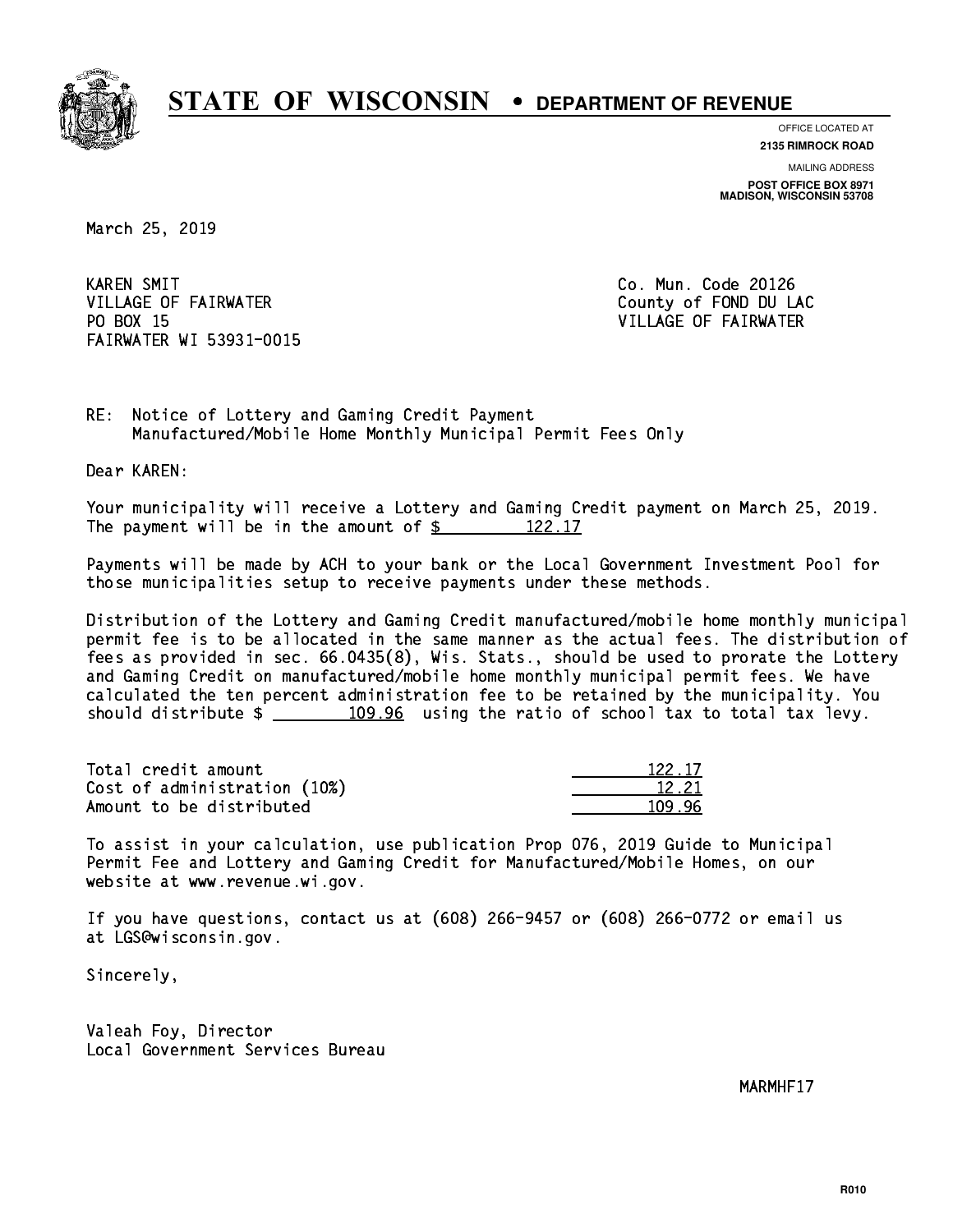

**OFFICE LOCATED AT**

**2135 RIMROCK ROAD**

**MAILING ADDRESS POST OFFICE BOX 8971 MADISON, WISCONSIN 53708**

March 25, 2019

**KAREN SMIT** VILLAGE OF FAIRWATER COUNTY OF FOND DU LAC PO BOX 15 FAIRWATER WI 53931-0015

Co. Mun. Code 20126 VILLAGE OF FAIRWATER

RE: Notice of Lottery and Gaming Credit Payment Manufactured/Mobile Home Monthly Municipal Permit Fees Only

Dear KAREN:

 Your municipality will receive a Lottery and Gaming Credit payment on March 25, 2019. The payment will be in the amount of  $\frac{2}{122.17}$ 

 Payments will be made by ACH to your bank or the Local Government Investment Pool for those municipalities setup to receive payments under these methods.

 Distribution of the Lottery and Gaming Credit manufactured/mobile home monthly municipal permit fee is to be allocated in the same manner as the actual fees. The distribution of fees as provided in sec. 66.0435(8), Wis. Stats., should be used to prorate the Lottery and Gaming Credit on manufactured/mobile home monthly municipal permit fees. We have calculated the ten percent administration fee to be retained by the municipality. You should distribute  $\frac{109.96}{2}$  using the ratio of school tax to total tax levy.

Total credit amount Cost of administration (10%) Amount to be distributed

| 22.17 |
|-------|
| 1221  |
|       |

 To assist in your calculation, use publication Prop 076, 2019 Guide to Municipal Permit Fee and Lottery and Gaming Credit for Manufactured/Mobile Homes, on our website at www.revenue.wi.gov.

 If you have questions, contact us at (608) 266-9457 or (608) 266-0772 or email us at LGS@wisconsin.gov.

Sincerely,

 Valeah Foy, Director Local Government Services Bureau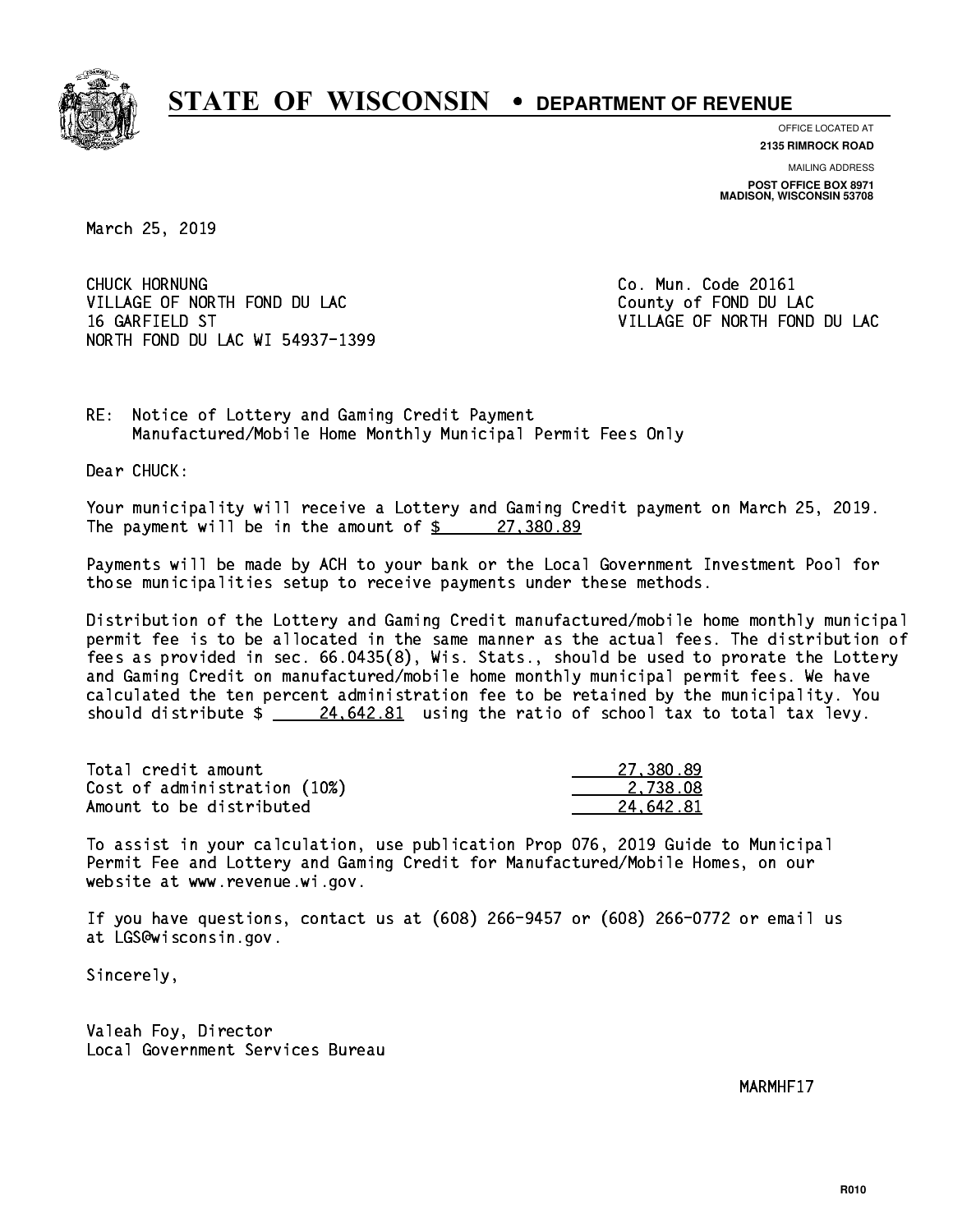

**OFFICE LOCATED AT**

**2135 RIMROCK ROAD**

**MAILING ADDRESS POST OFFICE BOX 8971 MADISON, WISCONSIN 53708**

March 25, 2019

CHUCK HORNUNG VILLAGE OF NORTH FOND DU LAC County of FOND DU LAC 16 GARFIELD ST VILLAGE OF NORTH FOND DU LAC NORTH FOND DU LAC WI 54937-1399

Co. Mun. Code 20161

RE: Notice of Lottery and Gaming Credit Payment Manufactured/Mobile Home Monthly Municipal Permit Fees Only

Dear CHUCK:

 Your municipality will receive a Lottery and Gaming Credit payment on March 25, 2019. The payment will be in the amount of  $\frac{27,380.89}{27}$ 

 Payments will be made by ACH to your bank or the Local Government Investment Pool for those municipalities setup to receive payments under these methods.

 Distribution of the Lottery and Gaming Credit manufactured/mobile home monthly municipal permit fee is to be allocated in the same manner as the actual fees. The distribution of fees as provided in sec. 66.0435(8), Wis. Stats., should be used to prorate the Lottery and Gaming Credit on manufactured/mobile home monthly municipal permit fees. We have calculated the ten percent administration fee to be retained by the municipality. You should distribute  $\frac{24.642.81}{24.642.81}$  using the ratio of school tax to total tax levy.

| Total credit amount          | 27.380.89 |
|------------------------------|-----------|
| Cost of administration (10%) | 2.738.08  |
| Amount to be distributed     | 24.642.81 |

 To assist in your calculation, use publication Prop 076, 2019 Guide to Municipal Permit Fee and Lottery and Gaming Credit for Manufactured/Mobile Homes, on our website at www.revenue.wi.gov.

 If you have questions, contact us at (608) 266-9457 or (608) 266-0772 or email us at LGS@wisconsin.gov.

Sincerely,

 Valeah Foy, Director Local Government Services Bureau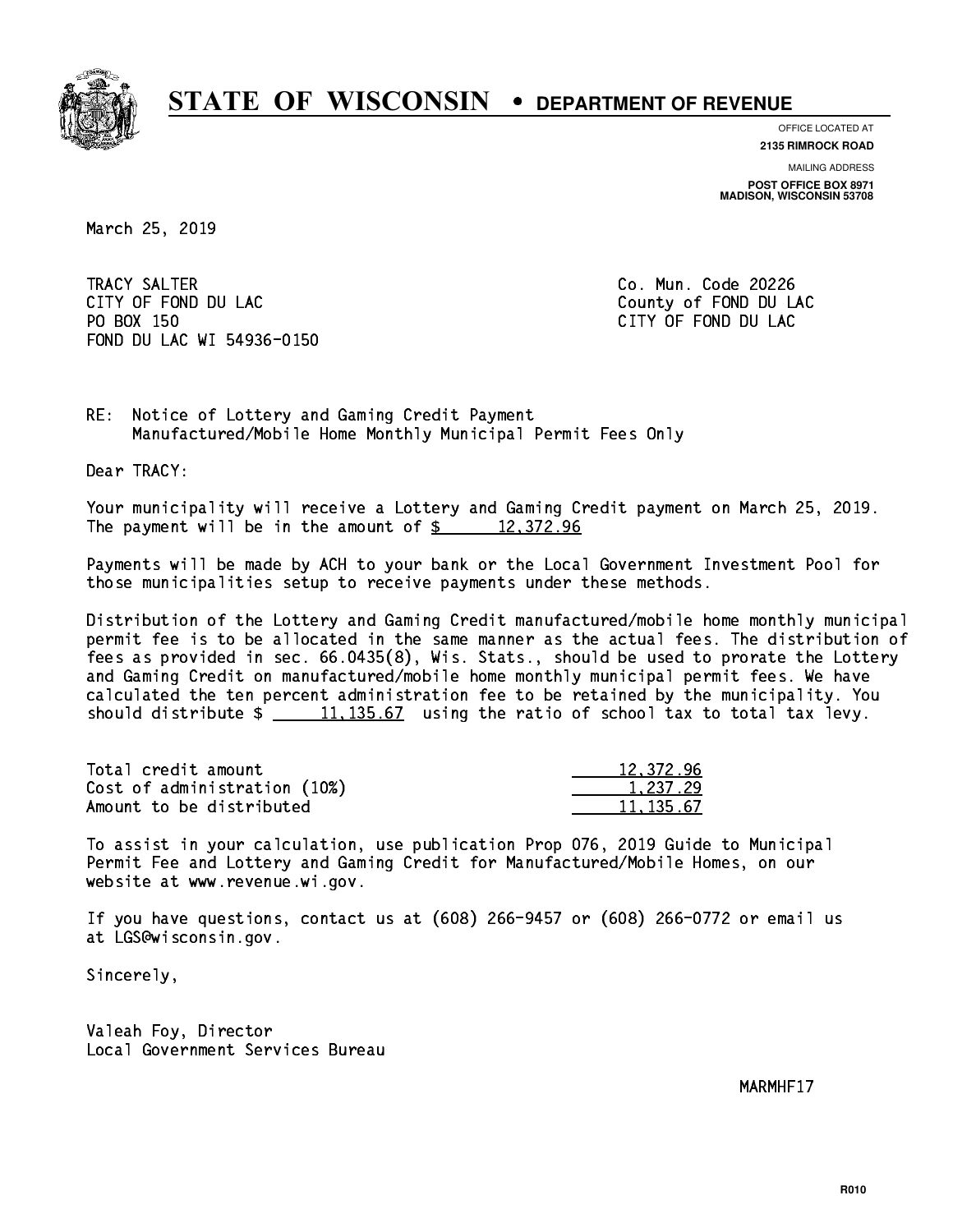

**OFFICE LOCATED AT**

**2135 RIMROCK ROAD**

**MAILING ADDRESS POST OFFICE BOX 8971 MADISON, WISCONSIN 53708**

March 25, 2019

 TRACY SALTER Co. Mun. Code 20226 CITY OF FOND DU LAC **COUNTY OF FOND DU LAC**  PO BOX 150 CITY OF FOND DU LAC FOND DU LAC WI 54936-0150

RE: Notice of Lottery and Gaming Credit Payment Manufactured/Mobile Home Monthly Municipal Permit Fees Only

Dear TRACY:

 Your municipality will receive a Lottery and Gaming Credit payment on March 25, 2019. The payment will be in the amount of  $\frac{2}{3}$  12,372.96

 Payments will be made by ACH to your bank or the Local Government Investment Pool for those municipalities setup to receive payments under these methods.

 Distribution of the Lottery and Gaming Credit manufactured/mobile home monthly municipal permit fee is to be allocated in the same manner as the actual fees. The distribution of fees as provided in sec. 66.0435(8), Wis. Stats., should be used to prorate the Lottery and Gaming Credit on manufactured/mobile home monthly municipal permit fees. We have calculated the ten percent administration fee to be retained by the municipality. You should distribute  $\frac{11,135.67}{2}$  using the ratio of school tax to total tax levy.

| Total credit amount          | 12,372.96 |
|------------------------------|-----------|
| Cost of administration (10%) | 1.237.29  |
| Amount to be distributed     | 11,135.67 |

 To assist in your calculation, use publication Prop 076, 2019 Guide to Municipal Permit Fee and Lottery and Gaming Credit for Manufactured/Mobile Homes, on our website at www.revenue.wi.gov.

 If you have questions, contact us at (608) 266-9457 or (608) 266-0772 or email us at LGS@wisconsin.gov.

Sincerely,

 Valeah Foy, Director Local Government Services Bureau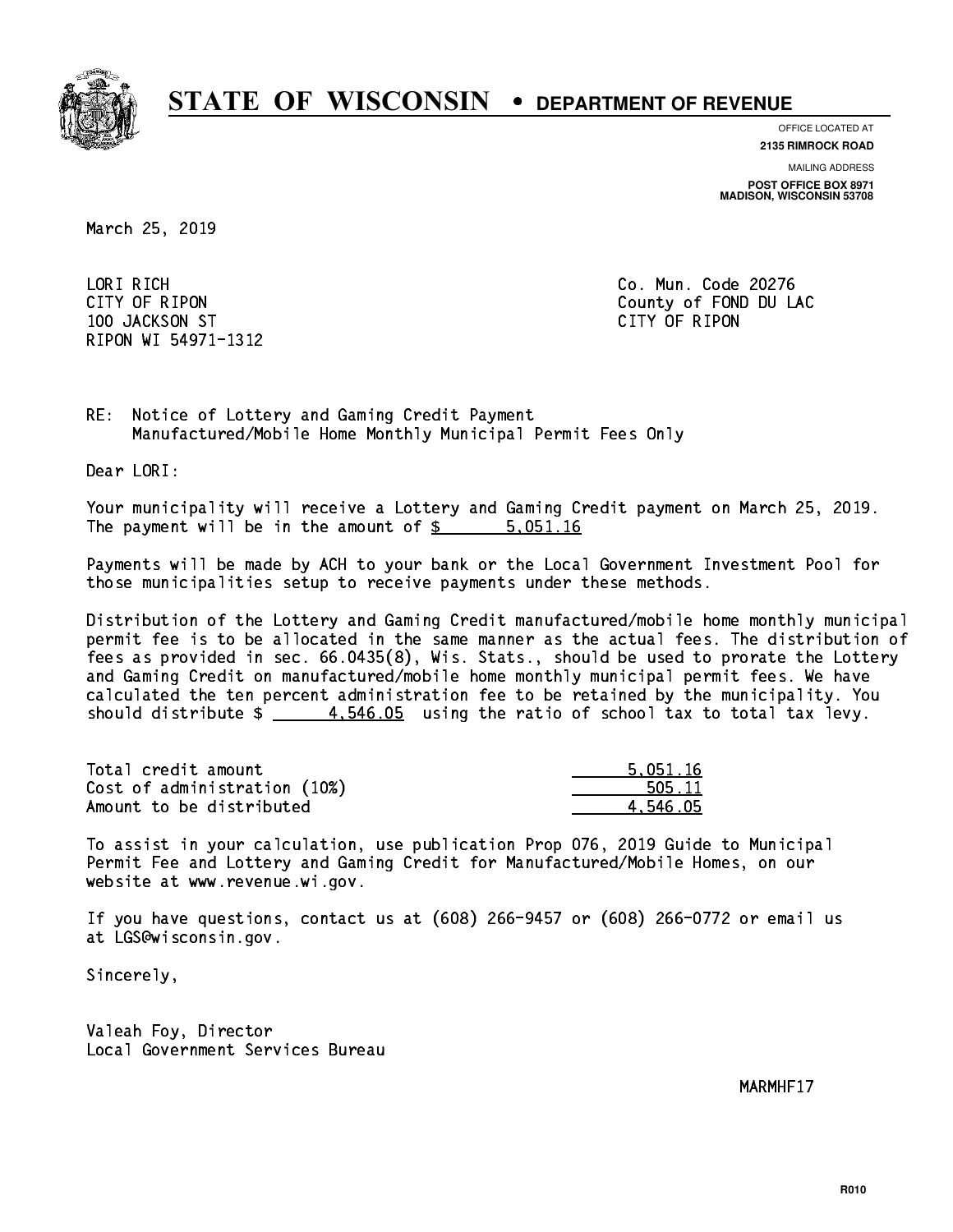

**OFFICE LOCATED AT**

**2135 RIMROCK ROAD**

**MAILING ADDRESS POST OFFICE BOX 8971 MADISON, WISCONSIN 53708**

March 25, 2019

 LORI RICH Co. Mun. Code 20276 100 JACKSON ST CITY OF RIPON RIPON WI 54971-1312

CITY OF RIPON COUNTY COUNTY OF RIPON

RE: Notice of Lottery and Gaming Credit Payment Manufactured/Mobile Home Monthly Municipal Permit Fees Only

Dear LORI:

 Your municipality will receive a Lottery and Gaming Credit payment on March 25, 2019. The payment will be in the amount of \$ 5,051.16 \_\_\_\_\_\_\_\_\_\_\_\_\_\_\_\_

 Payments will be made by ACH to your bank or the Local Government Investment Pool for those municipalities setup to receive payments under these methods.

 Distribution of the Lottery and Gaming Credit manufactured/mobile home monthly municipal permit fee is to be allocated in the same manner as the actual fees. The distribution of fees as provided in sec. 66.0435(8), Wis. Stats., should be used to prorate the Lottery and Gaming Credit on manufactured/mobile home monthly municipal permit fees. We have calculated the ten percent administration fee to be retained by the municipality. You should distribute  $\frac{4.546.05}{2}$  using the ratio of school tax to total tax levy.

| Total credit amount          | 5.051.16 |
|------------------------------|----------|
| Cost of administration (10%) | 505.11   |
| Amount to be distributed     | 4.546.05 |

 To assist in your calculation, use publication Prop 076, 2019 Guide to Municipal Permit Fee and Lottery and Gaming Credit for Manufactured/Mobile Homes, on our website at www.revenue.wi.gov.

 If you have questions, contact us at (608) 266-9457 or (608) 266-0772 or email us at LGS@wisconsin.gov.

Sincerely,

 Valeah Foy, Director Local Government Services Bureau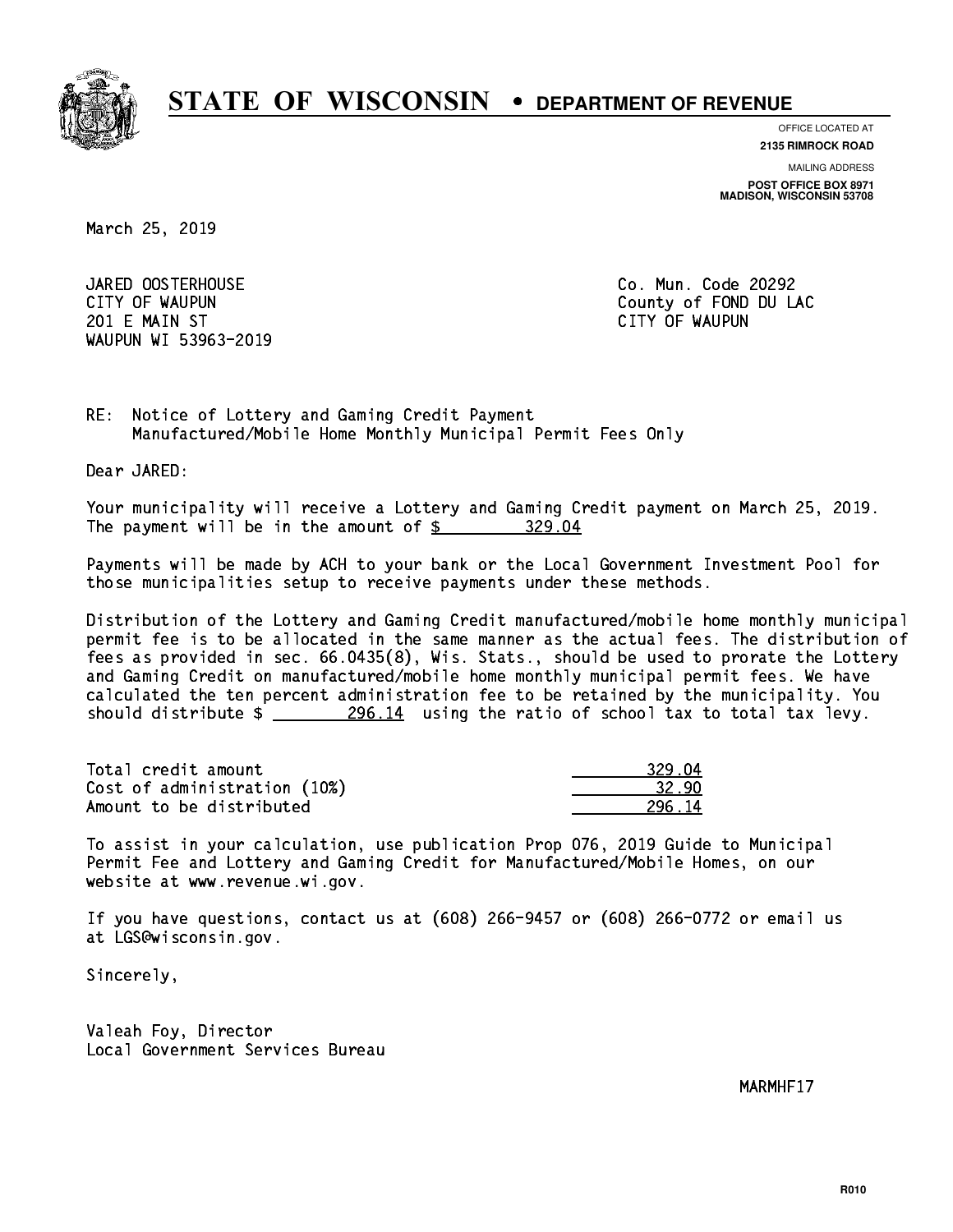

**OFFICE LOCATED AT**

**2135 RIMROCK ROAD**

**MAILING ADDRESS POST OFFICE BOX 8971 MADISON, WISCONSIN 53708**

March 25, 2019

 JARED OOSTERHOUSE Co. Mun. Code 20292 201 E MAIN ST CITY OF WAUPUN WAUPUN WI 53963-2019

CITY OF WAUPUN COUNTY COUNTY OF MAUPUN

RE: Notice of Lottery and Gaming Credit Payment Manufactured/Mobile Home Monthly Municipal Permit Fees Only

Dear JARED:

 Your municipality will receive a Lottery and Gaming Credit payment on March 25, 2019. The payment will be in the amount of  $$ 329.04$ 

 Payments will be made by ACH to your bank or the Local Government Investment Pool for those municipalities setup to receive payments under these methods.

 Distribution of the Lottery and Gaming Credit manufactured/mobile home monthly municipal permit fee is to be allocated in the same manner as the actual fees. The distribution of fees as provided in sec. 66.0435(8), Wis. Stats., should be used to prorate the Lottery and Gaming Credit on manufactured/mobile home monthly municipal permit fees. We have calculated the ten percent administration fee to be retained by the municipality. You should distribute  $\frac{296.14}{296.14}$  using the ratio of school tax to total tax levy.

| Total credit amount          | 329.04 |
|------------------------------|--------|
| Cost of administration (10%) | 32.90  |
| Amount to be distributed     | 296.14 |

 To assist in your calculation, use publication Prop 076, 2019 Guide to Municipal Permit Fee and Lottery and Gaming Credit for Manufactured/Mobile Homes, on our website at www.revenue.wi.gov.

 If you have questions, contact us at (608) 266-9457 or (608) 266-0772 or email us at LGS@wisconsin.gov.

Sincerely,

 Valeah Foy, Director Local Government Services Bureau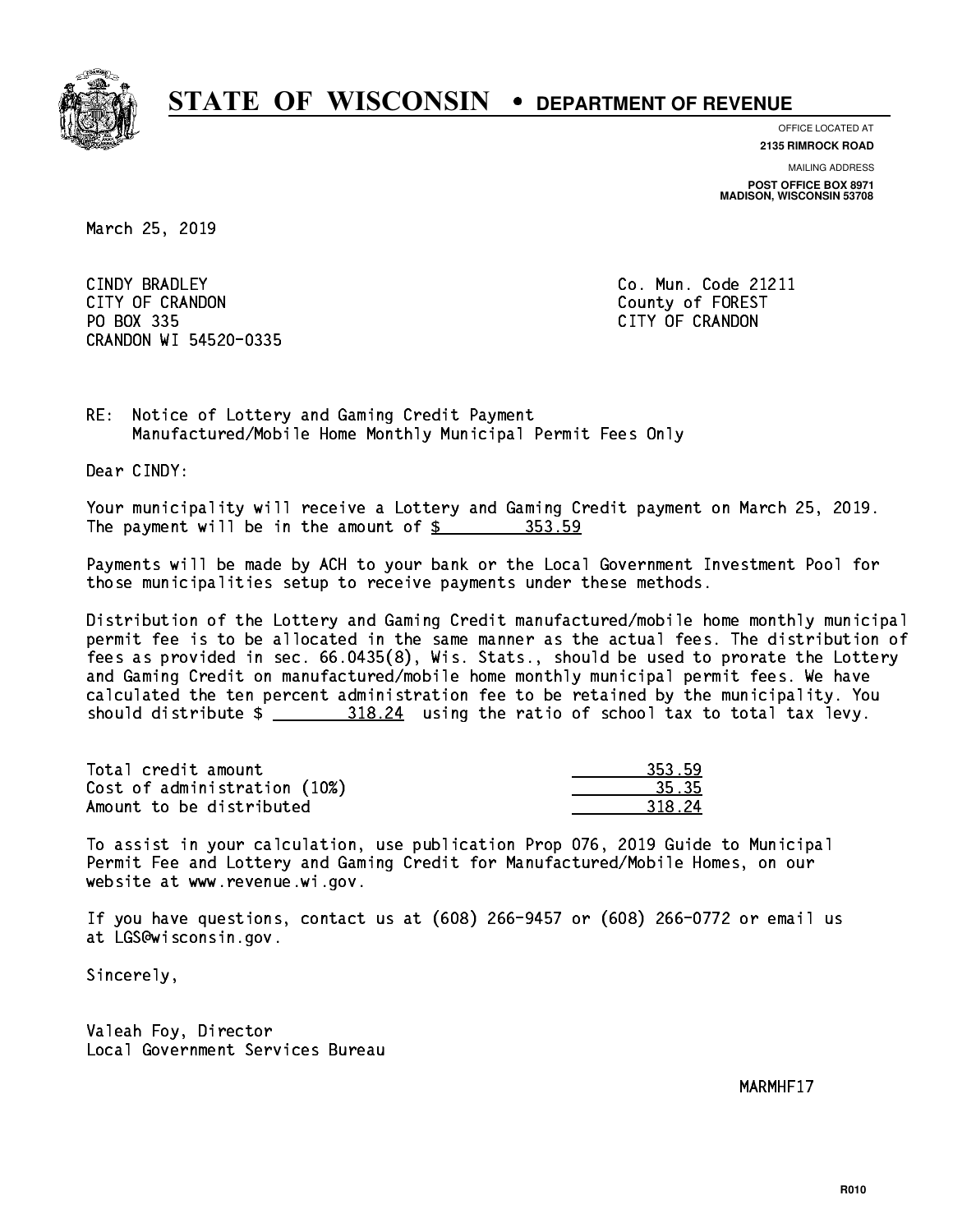

**OFFICE LOCATED AT**

**2135 RIMROCK ROAD**

**MAILING ADDRESS POST OFFICE BOX 8971 MADISON, WISCONSIN 53708**

March 25, 2019

CINDY BRADLEY CITY OF CRANDON County of FOREST PO BOX 335 PO BOX 335 CITY OF CRANDON CRANDON WI 54520-0335

Co. Mun. Code 21211

RE: Notice of Lottery and Gaming Credit Payment Manufactured/Mobile Home Monthly Municipal Permit Fees Only

Dear CINDY:

 Your municipality will receive a Lottery and Gaming Credit payment on March 25, 2019. The payment will be in the amount of \$ 353.59 \_\_\_\_\_\_\_\_\_\_\_\_\_\_\_\_

 Payments will be made by ACH to your bank or the Local Government Investment Pool for those municipalities setup to receive payments under these methods.

 Distribution of the Lottery and Gaming Credit manufactured/mobile home monthly municipal permit fee is to be allocated in the same manner as the actual fees. The distribution of fees as provided in sec. 66.0435(8), Wis. Stats., should be used to prorate the Lottery and Gaming Credit on manufactured/mobile home monthly municipal permit fees. We have calculated the ten percent administration fee to be retained by the municipality. You should distribute  $\frac{24}{24}$  using the ratio of school tax to total tax levy.

| Total credit amount          | 353.59 |
|------------------------------|--------|
| Cost of administration (10%) | 35.35  |
| Amount to be distributed     | 318.24 |

 To assist in your calculation, use publication Prop 076, 2019 Guide to Municipal Permit Fee and Lottery and Gaming Credit for Manufactured/Mobile Homes, on our website at www.revenue.wi.gov.

 If you have questions, contact us at (608) 266-9457 or (608) 266-0772 or email us at LGS@wisconsin.gov.

Sincerely,

 Valeah Foy, Director Local Government Services Bureau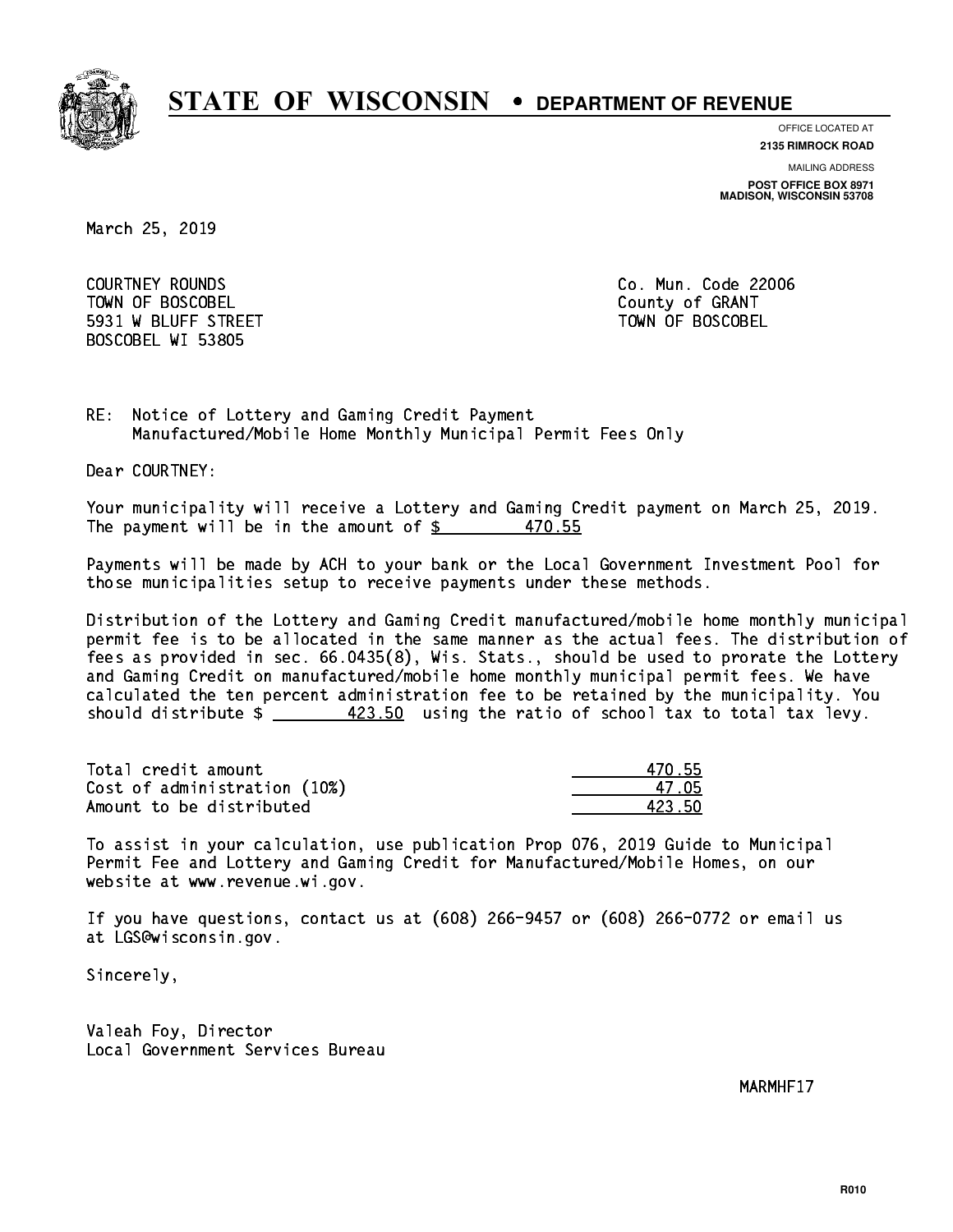

**OFFICE LOCATED AT**

**2135 RIMROCK ROAD**

**MAILING ADDRESS**

**POST OFFICE BOX 8971 MADISON, WISCONSIN 53708**

March 25, 2019

 COURTNEY ROUNDS Co. Mun. Code 22006 Town of Boscobel County of Granty of Granty of Granty of Granty of Granty of Granty of Granty of Granty of Gra 5931 W BLUFF STREET TOWN OF BOSCOBEL BOSCOBEL WI 53805

RE: Notice of Lottery and Gaming Credit Payment Manufactured/Mobile Home Monthly Municipal Permit Fees Only

Dear COURTNEY:

 Your municipality will receive a Lottery and Gaming Credit payment on March 25, 2019. The payment will be in the amount of  $\frac{2}{3}$  470.55

 Payments will be made by ACH to your bank or the Local Government Investment Pool for those municipalities setup to receive payments under these methods.

 Distribution of the Lottery and Gaming Credit manufactured/mobile home monthly municipal permit fee is to be allocated in the same manner as the actual fees. The distribution of fees as provided in sec. 66.0435(8), Wis. Stats., should be used to prorate the Lottery and Gaming Credit on manufactured/mobile home monthly municipal permit fees. We have calculated the ten percent administration fee to be retained by the municipality. You should distribute  $\frac{423.50}{2}$  using the ratio of school tax to total tax levy.

Total credit amount 470.55 Cost of administration (10%) 47.05 \_\_\_\_\_\_\_\_\_\_\_\_\_\_ Amount to be distributed and the set of  $\sim$  423.50

 To assist in your calculation, use publication Prop 076, 2019 Guide to Municipal Permit Fee and Lottery and Gaming Credit for Manufactured/Mobile Homes, on our website at www.revenue.wi.gov.

 If you have questions, contact us at (608) 266-9457 or (608) 266-0772 or email us at LGS@wisconsin.gov.

Sincerely,

 Valeah Foy, Director Local Government Services Bureau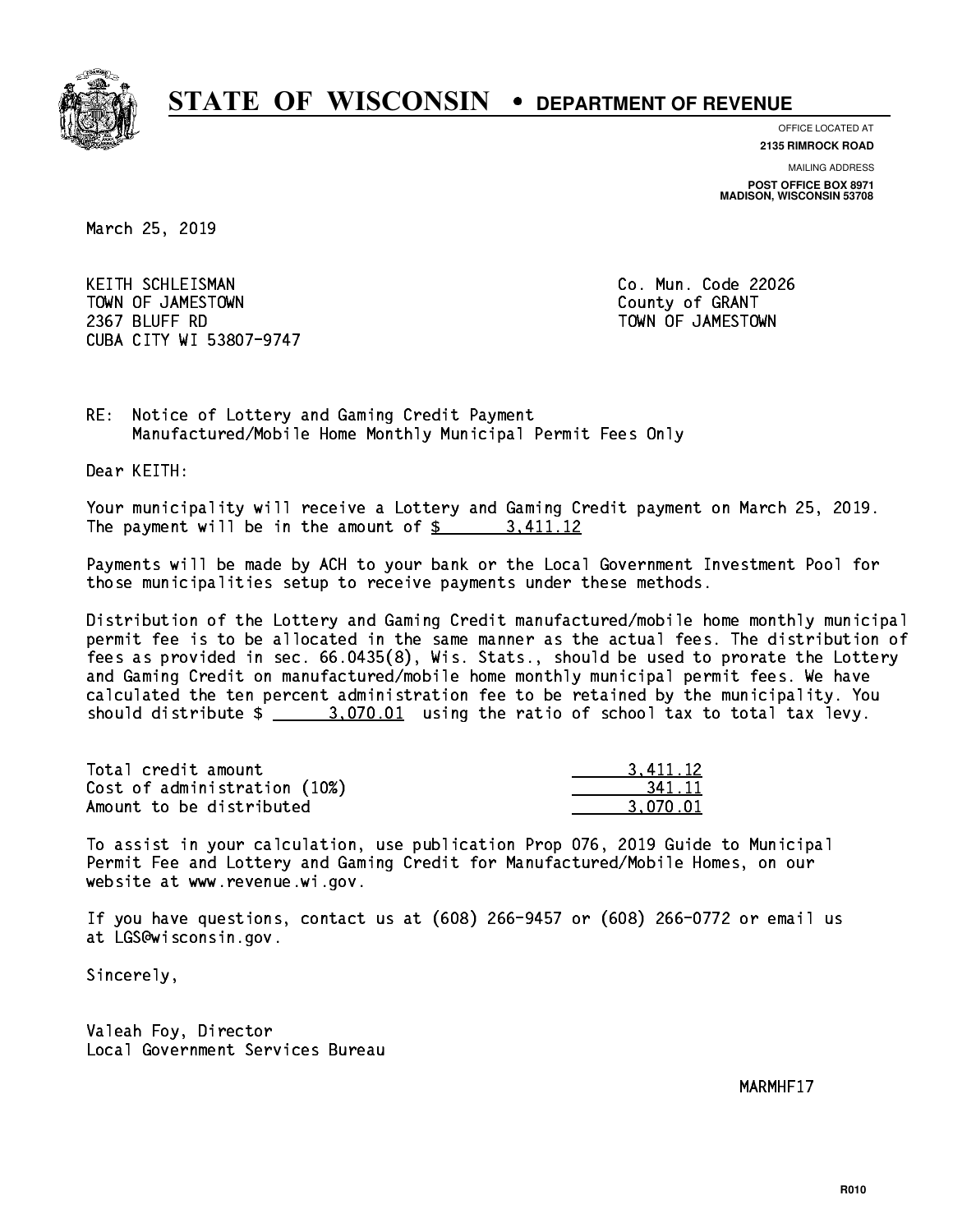

**OFFICE LOCATED AT**

**2135 RIMROCK ROAD**

**MAILING ADDRESS POST OFFICE BOX 8971 MADISON, WISCONSIN 53708**

March 25, 2019

 KEITH SCHLEISMAN Co. Mun. Code 22026 TOWN OF JAMESTOWN County of GRANT 2367 BLUFF RD TOWN OF JAMESTOWN CUBA CITY WI 53807-9747

RE: Notice of Lottery and Gaming Credit Payment Manufactured/Mobile Home Monthly Municipal Permit Fees Only

Dear KEITH:

 Your municipality will receive a Lottery and Gaming Credit payment on March 25, 2019. The payment will be in the amount of  $\frac{2}{3}$  3,411.12

 Payments will be made by ACH to your bank or the Local Government Investment Pool for those municipalities setup to receive payments under these methods.

 Distribution of the Lottery and Gaming Credit manufactured/mobile home monthly municipal permit fee is to be allocated in the same manner as the actual fees. The distribution of fees as provided in sec. 66.0435(8), Wis. Stats., should be used to prorate the Lottery and Gaming Credit on manufactured/mobile home monthly municipal permit fees. We have calculated the ten percent administration fee to be retained by the municipality. You should distribute  $\frac{2.070.01}{2}$  using the ratio of school tax to total tax levy.

| Total credit amount          | 3.411.12 |
|------------------------------|----------|
| Cost of administration (10%) | 341.11   |
| Amount to be distributed     | 3.070.01 |

 To assist in your calculation, use publication Prop 076, 2019 Guide to Municipal Permit Fee and Lottery and Gaming Credit for Manufactured/Mobile Homes, on our website at www.revenue.wi.gov.

 If you have questions, contact us at (608) 266-9457 or (608) 266-0772 or email us at LGS@wisconsin.gov.

Sincerely,

 Valeah Foy, Director Local Government Services Bureau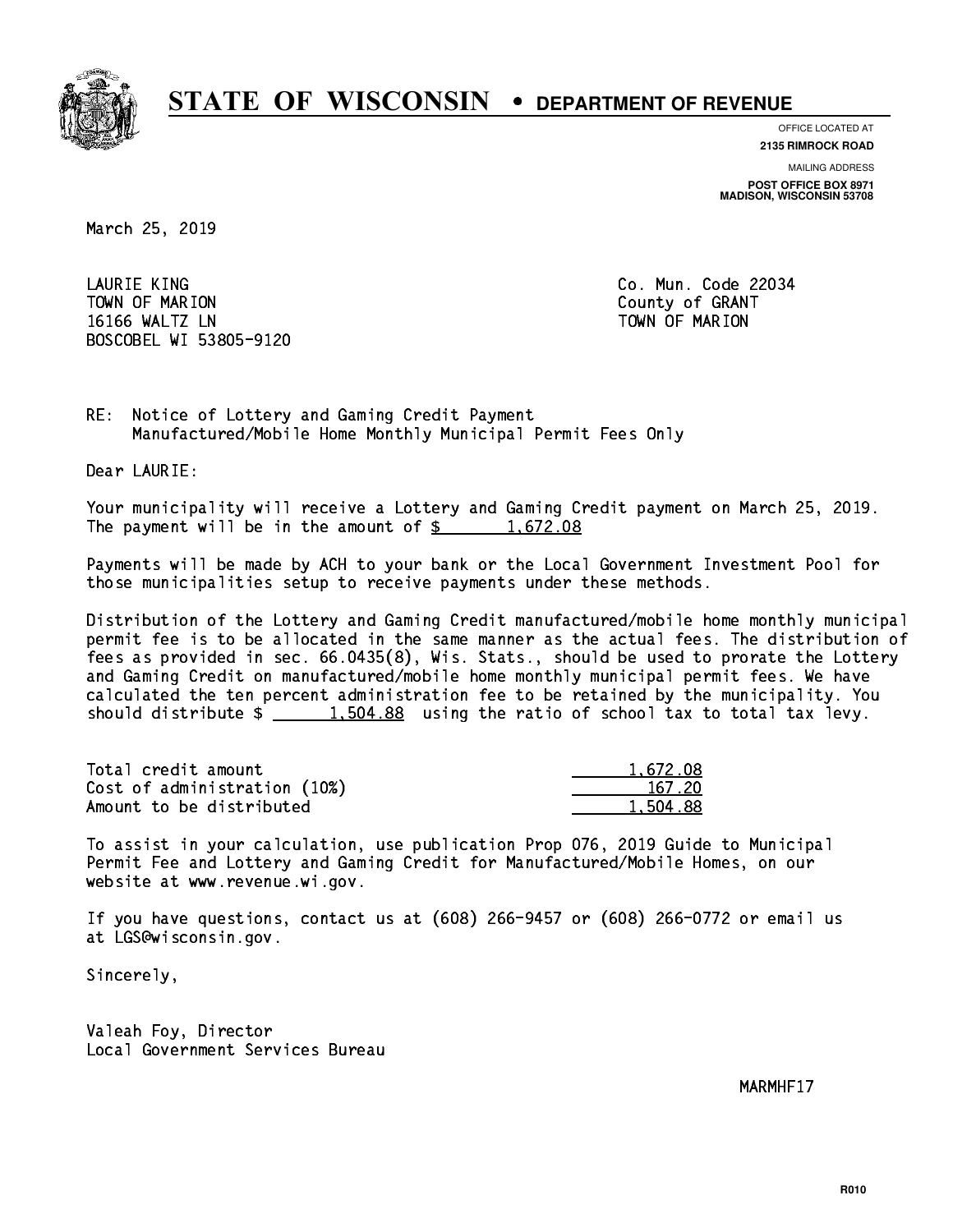

**OFFICE LOCATED AT 2135 RIMROCK ROAD**

**MAILING ADDRESS**

**POST OFFICE BOX 8971 MADISON, WISCONSIN 53708**

March 25, 2019

 LAURIE KING Co. Mun. Code 22034 Town of Marion County of Grants of Grants of Grants of Grants of Grants of Grants of Grants of Grants of Grants 16166 WALTZ LN TOWN OF MARION BOSCOBEL WI 53805-9120

RE: Notice of Lottery and Gaming Credit Payment Manufactured/Mobile Home Monthly Municipal Permit Fees Only

Dear LAURIE:

 Your municipality will receive a Lottery and Gaming Credit payment on March 25, 2019. The payment will be in the amount of  $\frac{2}{3}$  1,672.08

 Payments will be made by ACH to your bank or the Local Government Investment Pool for those municipalities setup to receive payments under these methods.

 Distribution of the Lottery and Gaming Credit manufactured/mobile home monthly municipal permit fee is to be allocated in the same manner as the actual fees. The distribution of fees as provided in sec. 66.0435(8), Wis. Stats., should be used to prorate the Lottery and Gaming Credit on manufactured/mobile home monthly municipal permit fees. We have calculated the ten percent administration fee to be retained by the municipality. You should distribute  $\frac{1.504.88}{1.504.88}$  using the ratio of school tax to total tax levy.

| Total credit amount          | 1,672.08 |
|------------------------------|----------|
| Cost of administration (10%) | 167.20   |
| Amount to be distributed     | 1,504.88 |

 To assist in your calculation, use publication Prop 076, 2019 Guide to Municipal Permit Fee and Lottery and Gaming Credit for Manufactured/Mobile Homes, on our website at www.revenue.wi.gov.

 If you have questions, contact us at (608) 266-9457 or (608) 266-0772 or email us at LGS@wisconsin.gov.

Sincerely,

 Valeah Foy, Director Local Government Services Bureau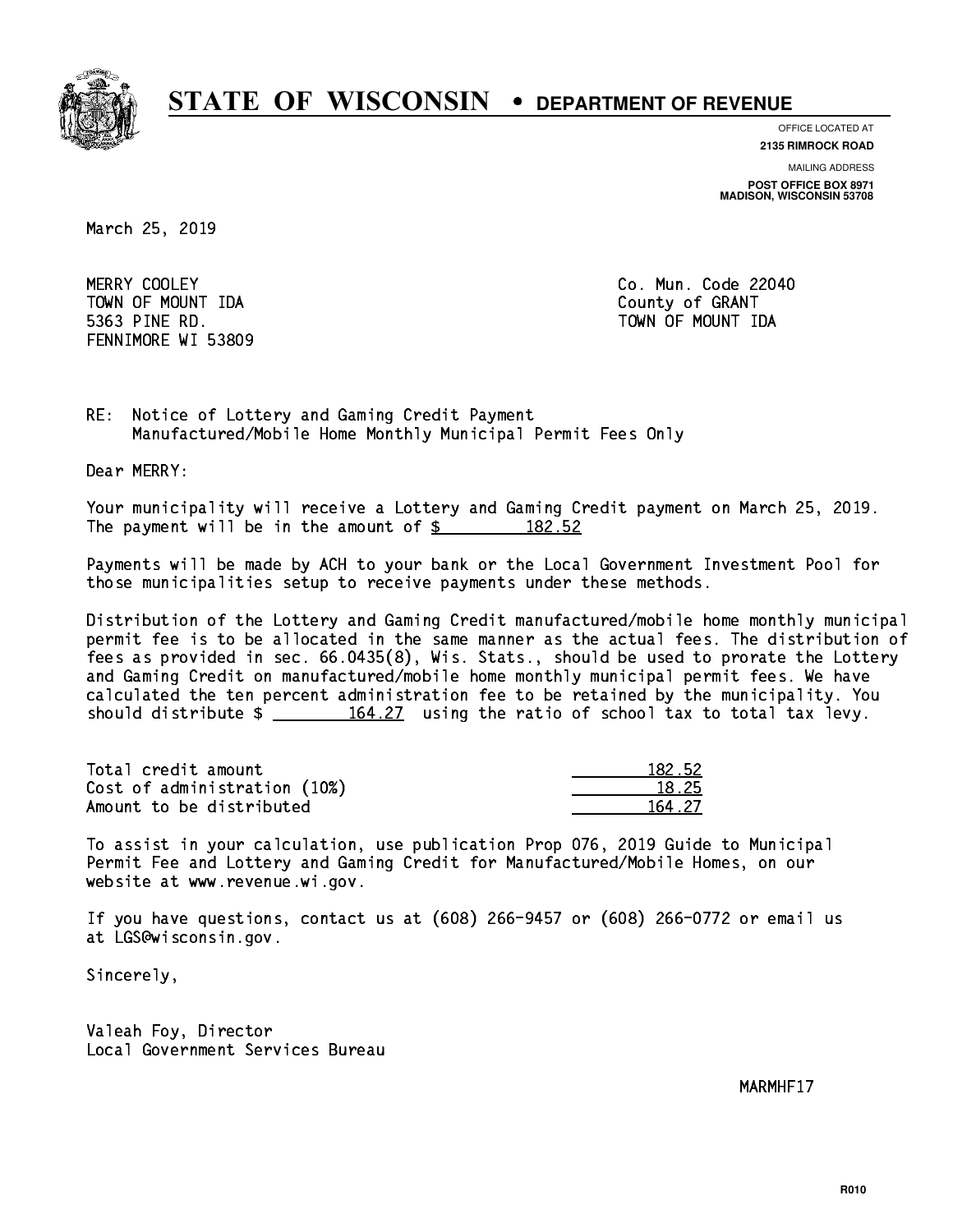

**OFFICE LOCATED AT**

**2135 RIMROCK ROAD**

**MAILING ADDRESS POST OFFICE BOX 8971 MADISON, WISCONSIN 53708**

March 25, 2019

MERRY COOLEY TOWN OF MOUNT IDA County of GRANT 5363 PINE RD. TOWN OF MOUNT IDA FENNIMORE WI 53809

Co. Mun. Code 22040

RE: Notice of Lottery and Gaming Credit Payment Manufactured/Mobile Home Monthly Municipal Permit Fees Only

Dear MERRY:

 Your municipality will receive a Lottery and Gaming Credit payment on March 25, 2019. The payment will be in the amount of  $\frac{2}{3}$  182.52

 Payments will be made by ACH to your bank or the Local Government Investment Pool for those municipalities setup to receive payments under these methods.

 Distribution of the Lottery and Gaming Credit manufactured/mobile home monthly municipal permit fee is to be allocated in the same manner as the actual fees. The distribution of fees as provided in sec. 66.0435(8), Wis. Stats., should be used to prorate the Lottery and Gaming Credit on manufactured/mobile home monthly municipal permit fees. We have calculated the ten percent administration fee to be retained by the municipality. You should distribute  $\frac{164.27}{164.27}$  using the ratio of school tax to total tax levy.

Total credit amount Cost of administration (10%) Amount to be distributed

| 12.52 |
|-------|
| ' 25  |
| . 27  |

 To assist in your calculation, use publication Prop 076, 2019 Guide to Municipal Permit Fee and Lottery and Gaming Credit for Manufactured/Mobile Homes, on our website at www.revenue.wi.gov.

 If you have questions, contact us at (608) 266-9457 or (608) 266-0772 or email us at LGS@wisconsin.gov.

Sincerely,

 Valeah Foy, Director Local Government Services Bureau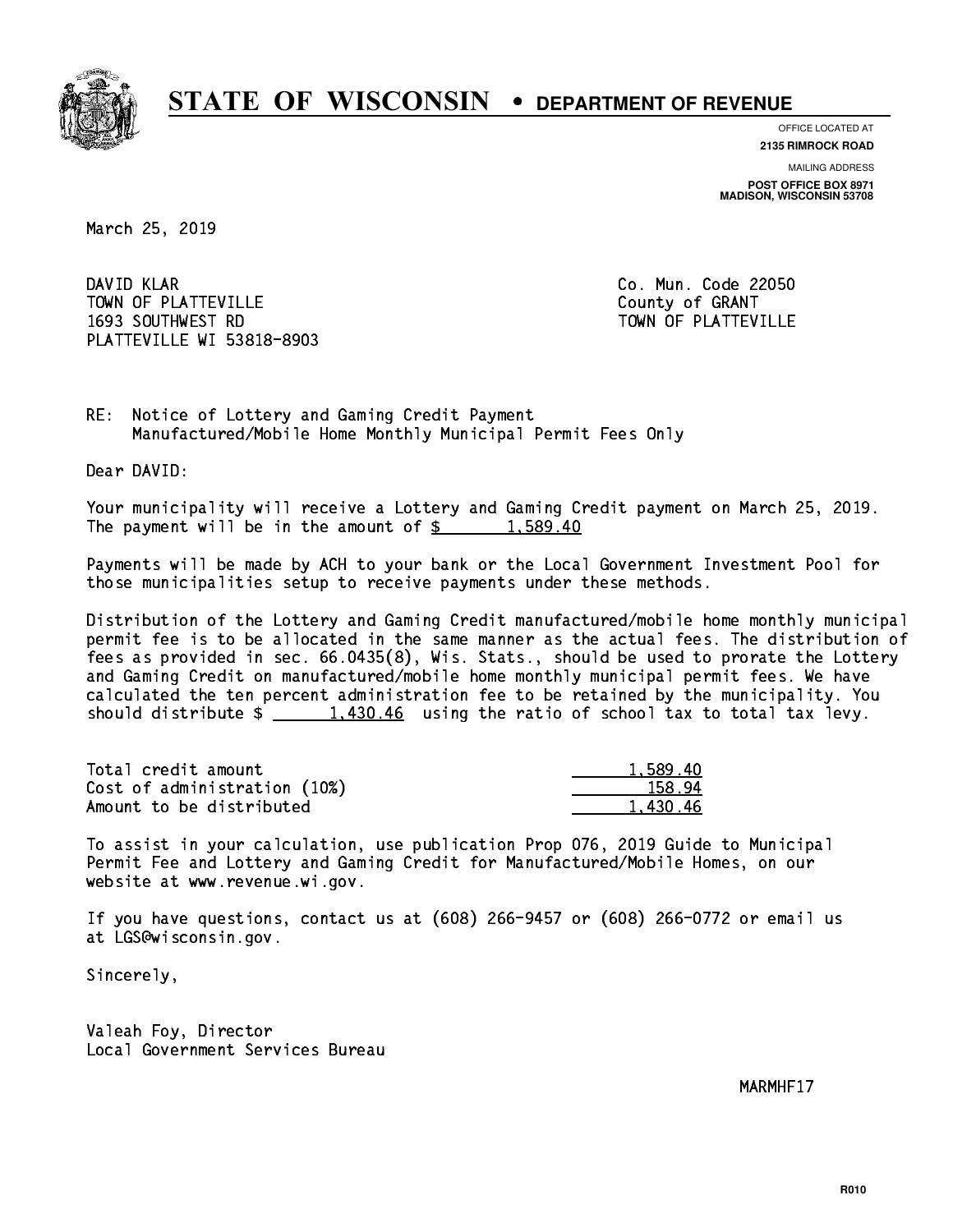

**OFFICE LOCATED AT**

**2135 RIMROCK ROAD**

**MAILING ADDRESS POST OFFICE BOX 8971 MADISON, WISCONSIN 53708**

March 25, 2019

DAVID KLAR TOWN OF PLATTEVILLE COUNTY OF GRANT 1693 SOUTHWEST RD TOWN OF PLATTEVILLE PLATTEVILLE WI 53818-8903

Co. Mun. Code 22050

RE: Notice of Lottery and Gaming Credit Payment Manufactured/Mobile Home Monthly Municipal Permit Fees Only

Dear DAVID:

 Your municipality will receive a Lottery and Gaming Credit payment on March 25, 2019. The payment will be in the amount of  $\frac{2}{3}$  1,589.40

 Payments will be made by ACH to your bank or the Local Government Investment Pool for those municipalities setup to receive payments under these methods.

 Distribution of the Lottery and Gaming Credit manufactured/mobile home monthly municipal permit fee is to be allocated in the same manner as the actual fees. The distribution of fees as provided in sec. 66.0435(8), Wis. Stats., should be used to prorate the Lottery and Gaming Credit on manufactured/mobile home monthly municipal permit fees. We have calculated the ten percent administration fee to be retained by the municipality. You should distribute  $\frac{1,430.46}{2}$  using the ratio of school tax to total tax levy.

| Total credit amount          | 1,589.40 |
|------------------------------|----------|
| Cost of administration (10%) | 158.94   |
| Amount to be distributed     | 1,430.46 |

 To assist in your calculation, use publication Prop 076, 2019 Guide to Municipal Permit Fee and Lottery and Gaming Credit for Manufactured/Mobile Homes, on our website at www.revenue.wi.gov.

 If you have questions, contact us at (608) 266-9457 or (608) 266-0772 or email us at LGS@wisconsin.gov.

Sincerely,

 Valeah Foy, Director Local Government Services Bureau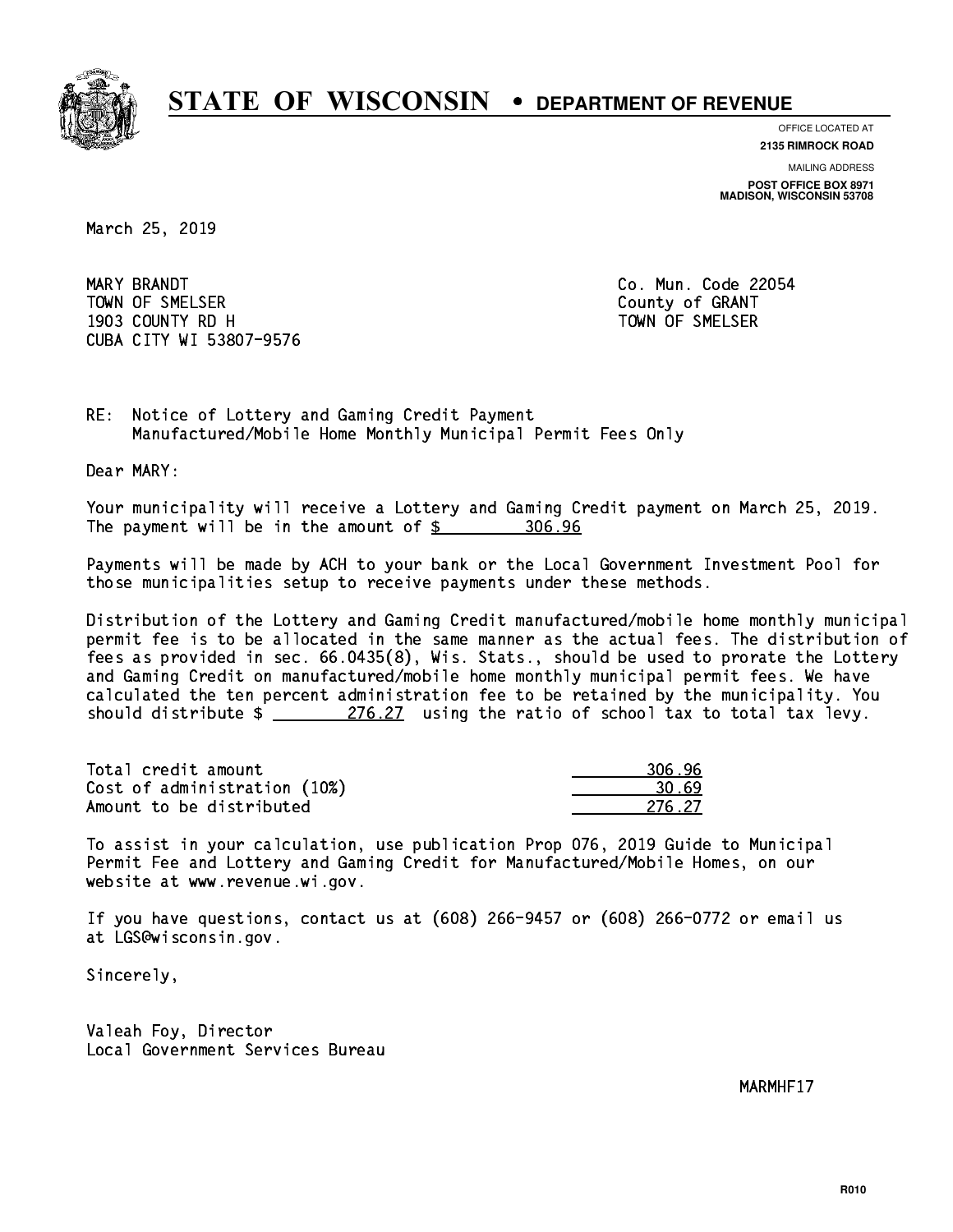

**OFFICE LOCATED AT 2135 RIMROCK ROAD**

**MAILING ADDRESS**

**POST OFFICE BOX 8971 MADISON, WISCONSIN 53708**

March 25, 2019

MARY BRANDT Town of Streets. The Small county of Grants of Grants of Grants of Grants of Grants of Grants of Grants of Gra 1903 COUNTY RD H TOWN OF SMELSER CUBA CITY WI 53807-9576

Co. Mun. Code 22054

RE: Notice of Lottery and Gaming Credit Payment Manufactured/Mobile Home Monthly Municipal Permit Fees Only

Dear MARY:

 Your municipality will receive a Lottery and Gaming Credit payment on March 25, 2019. The payment will be in the amount of \$ 306.96 \_\_\_\_\_\_\_\_\_\_\_\_\_\_\_\_

 Payments will be made by ACH to your bank or the Local Government Investment Pool for those municipalities setup to receive payments under these methods.

 Distribution of the Lottery and Gaming Credit manufactured/mobile home monthly municipal permit fee is to be allocated in the same manner as the actual fees. The distribution of fees as provided in sec. 66.0435(8), Wis. Stats., should be used to prorate the Lottery and Gaming Credit on manufactured/mobile home monthly municipal permit fees. We have calculated the ten percent administration fee to be retained by the municipality. You should distribute  $\frac{276.27}{276.27}$  using the ratio of school tax to total tax levy.

| Total credit amount          | 306.96 |
|------------------------------|--------|
| Cost of administration (10%) | 30. 69 |
| Amount to be distributed     | 276 27 |

| 16.96  |
|--------|
| N 69   |
| 276.27 |

 To assist in your calculation, use publication Prop 076, 2019 Guide to Municipal Permit Fee and Lottery and Gaming Credit for Manufactured/Mobile Homes, on our website at www.revenue.wi.gov.

 If you have questions, contact us at (608) 266-9457 or (608) 266-0772 or email us at LGS@wisconsin.gov.

Sincerely,

 Valeah Foy, Director Local Government Services Bureau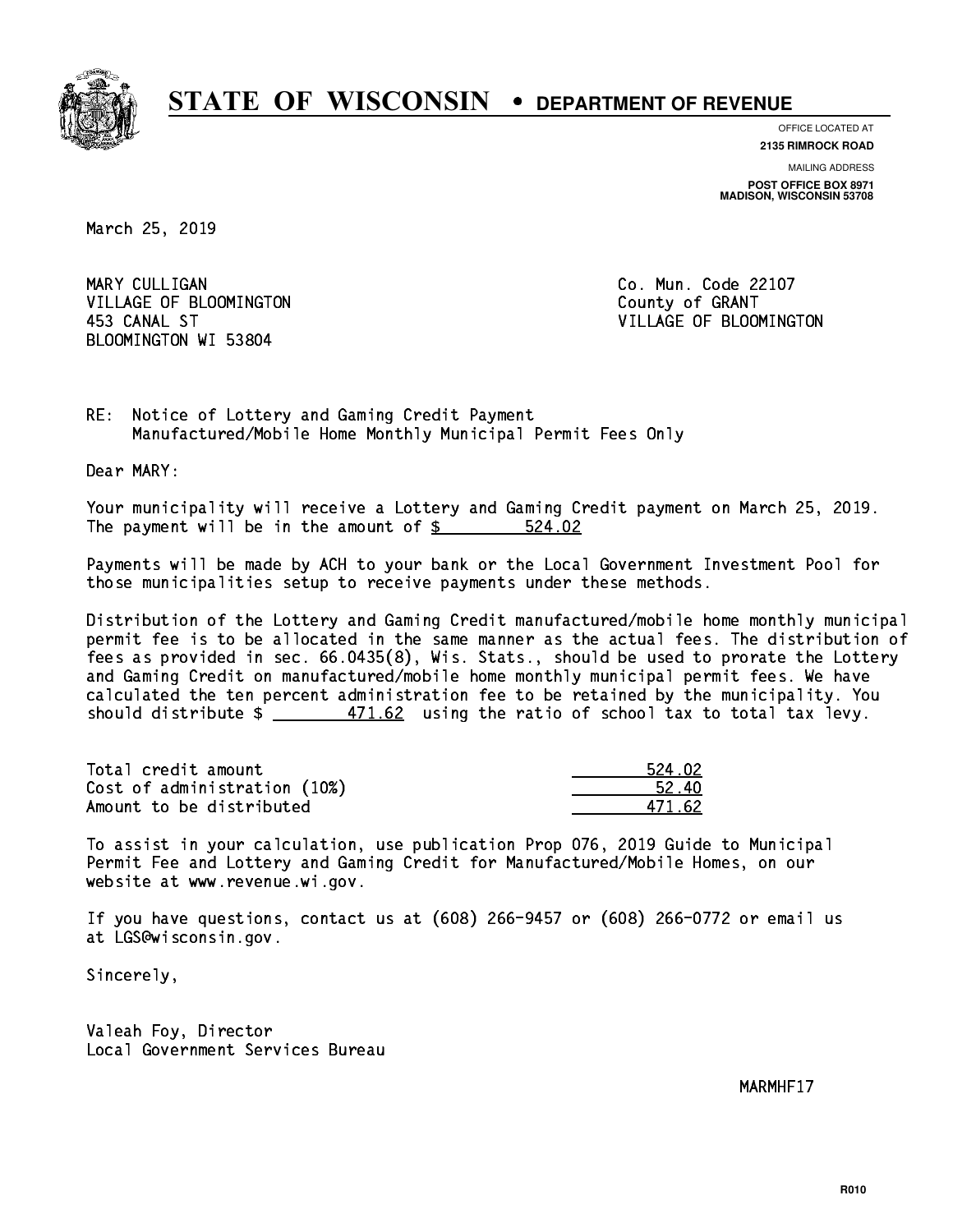

**OFFICE LOCATED AT**

**2135 RIMROCK ROAD**

**MAILING ADDRESS POST OFFICE BOX 8971 MADISON, WISCONSIN 53708**

March 25, 2019

MARY CULLIGAN VILLAGE OF BLOOMINGTON COUNTY OF GRANT BLOOMINGTON WI 53804

Co. Mun. Code 22107 453 CANAL ST VILLAGE OF BLOOMINGTON

RE: Notice of Lottery and Gaming Credit Payment Manufactured/Mobile Home Monthly Municipal Permit Fees Only

Dear MARY:

 Your municipality will receive a Lottery and Gaming Credit payment on March 25, 2019. The payment will be in the amount of \$ 524.02 \_\_\_\_\_\_\_\_\_\_\_\_\_\_\_\_

 Payments will be made by ACH to your bank or the Local Government Investment Pool for those municipalities setup to receive payments under these methods.

 Distribution of the Lottery and Gaming Credit manufactured/mobile home monthly municipal permit fee is to be allocated in the same manner as the actual fees. The distribution of fees as provided in sec. 66.0435(8), Wis. Stats., should be used to prorate the Lottery and Gaming Credit on manufactured/mobile home monthly municipal permit fees. We have calculated the ten percent administration fee to be retained by the municipality. You should distribute  $\frac{2}{1.62}$  using the ratio of school tax to total tax levy.

Total credit amount Cost of administration (10%) Amount to be distributed

| 4. N2.<br>521 |
|---------------|
| 52.<br>Lω     |
| 171.62        |

 To assist in your calculation, use publication Prop 076, 2019 Guide to Municipal Permit Fee and Lottery and Gaming Credit for Manufactured/Mobile Homes, on our website at www.revenue.wi.gov.

 If you have questions, contact us at (608) 266-9457 or (608) 266-0772 or email us at LGS@wisconsin.gov.

Sincerely,

 Valeah Foy, Director Local Government Services Bureau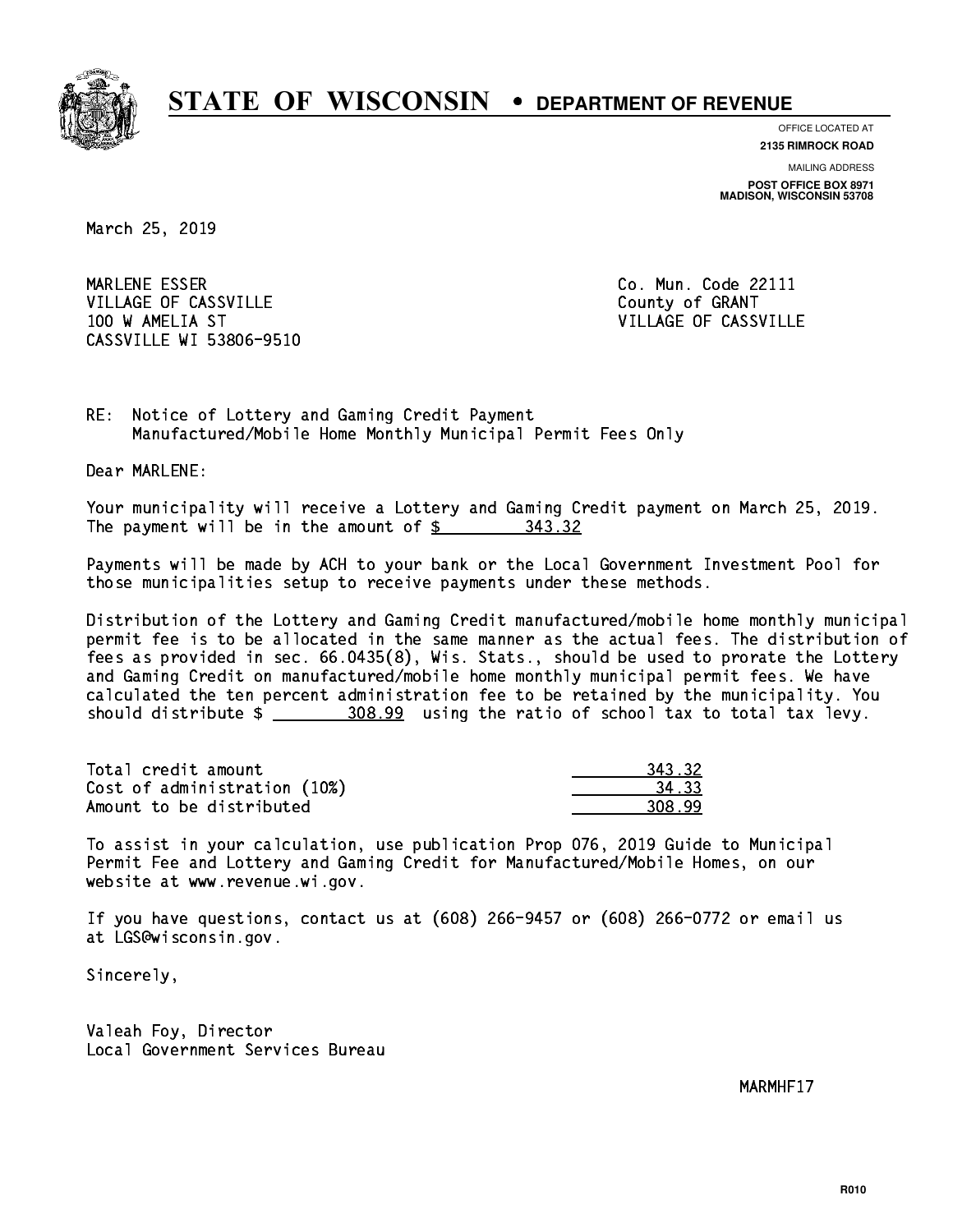

**OFFICE LOCATED AT**

**2135 RIMROCK ROAD**

**MAILING ADDRESS POST OFFICE BOX 8971 MADISON, WISCONSIN 53708**

March 25, 2019

MARLENE ESSER VILLAGE OF CASSVILLE COUNTY OF GRANT 100 W AMELIA ST VILLAGE OF CASSVILLE CASSVILLE WI 53806-9510

Co. Mun. Code 22111

RE: Notice of Lottery and Gaming Credit Payment Manufactured/Mobile Home Monthly Municipal Permit Fees Only

Dear MARLENE:

 Your municipality will receive a Lottery and Gaming Credit payment on March 25, 2019. The payment will be in the amount of \$ 343.32 \_\_\_\_\_\_\_\_\_\_\_\_\_\_\_\_

 Payments will be made by ACH to your bank or the Local Government Investment Pool for those municipalities setup to receive payments under these methods.

 Distribution of the Lottery and Gaming Credit manufactured/mobile home monthly municipal permit fee is to be allocated in the same manner as the actual fees. The distribution of fees as provided in sec. 66.0435(8), Wis. Stats., should be used to prorate the Lottery and Gaming Credit on manufactured/mobile home monthly municipal permit fees. We have calculated the ten percent administration fee to be retained by the municipality. You should distribute  $\frac{208.99}{208.99}$  using the ratio of school tax to total tax levy.

| Total credit amount          | 343.32 |
|------------------------------|--------|
| Cost of administration (10%) | 34.33  |
| Amount to be distributed     | 308.99 |

| L 32.     |
|-----------|
| . २२      |
| . റ<br>יי |

 To assist in your calculation, use publication Prop 076, 2019 Guide to Municipal Permit Fee and Lottery and Gaming Credit for Manufactured/Mobile Homes, on our website at www.revenue.wi.gov.

 If you have questions, contact us at (608) 266-9457 or (608) 266-0772 or email us at LGS@wisconsin.gov.

Sincerely,

 Valeah Foy, Director Local Government Services Bureau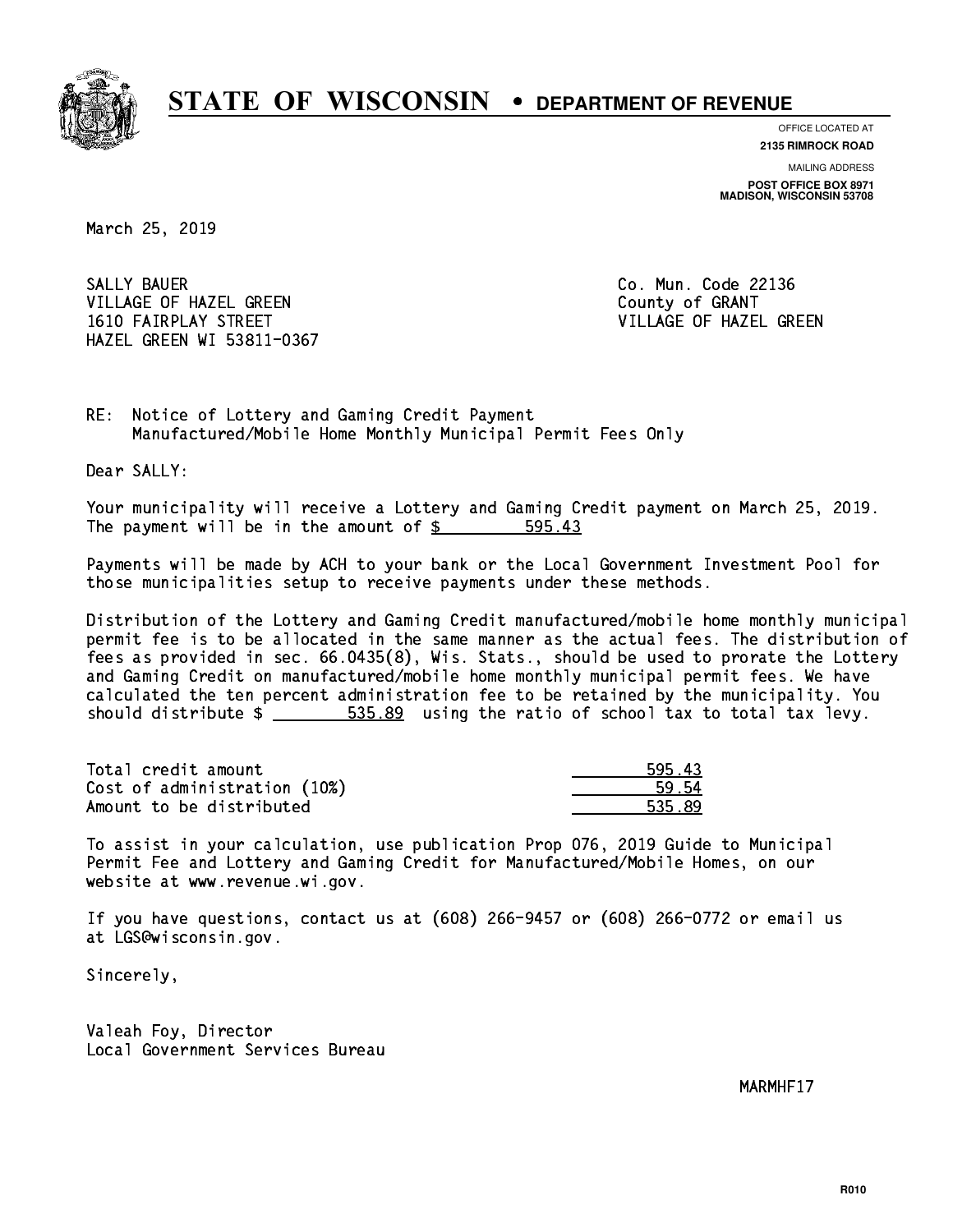

**OFFICE LOCATED AT**

**2135 RIMROCK ROAD**

**MAILING ADDRESS POST OFFICE BOX 8971 MADISON, WISCONSIN 53708**

March 25, 2019

SALLY BAUER VILLAGE OF HAZEL GREEN COUNTY OF GRANT 1610 FAIRPLAY STREET VILLAGE OF HAZEL GREEN HAZEL GREEN WI 53811-0367

Co. Mun. Code 22136

RE: Notice of Lottery and Gaming Credit Payment Manufactured/Mobile Home Monthly Municipal Permit Fees Only

Dear SALLY:

 Your municipality will receive a Lottery and Gaming Credit payment on March 25, 2019. The payment will be in the amount of \$ 595.43 \_\_\_\_\_\_\_\_\_\_\_\_\_\_\_\_

 Payments will be made by ACH to your bank or the Local Government Investment Pool for those municipalities setup to receive payments under these methods.

 Distribution of the Lottery and Gaming Credit manufactured/mobile home monthly municipal permit fee is to be allocated in the same manner as the actual fees. The distribution of fees as provided in sec. 66.0435(8), Wis. Stats., should be used to prorate the Lottery and Gaming Credit on manufactured/mobile home monthly municipal permit fees. We have calculated the ten percent administration fee to be retained by the municipality. You should distribute  $\frac{2}{1}$   $\frac{535.89}{2}$  using the ratio of school tax to total tax levy.

| Total credit amount          | 595.43 |
|------------------------------|--------|
| Cost of administration (10%) | 59.54  |
| Amount to be distributed     | 535.89 |

 To assist in your calculation, use publication Prop 076, 2019 Guide to Municipal Permit Fee and Lottery and Gaming Credit for Manufactured/Mobile Homes, on our website at www.revenue.wi.gov.

 If you have questions, contact us at (608) 266-9457 or (608) 266-0772 or email us at LGS@wisconsin.gov.

Sincerely,

 Valeah Foy, Director Local Government Services Bureau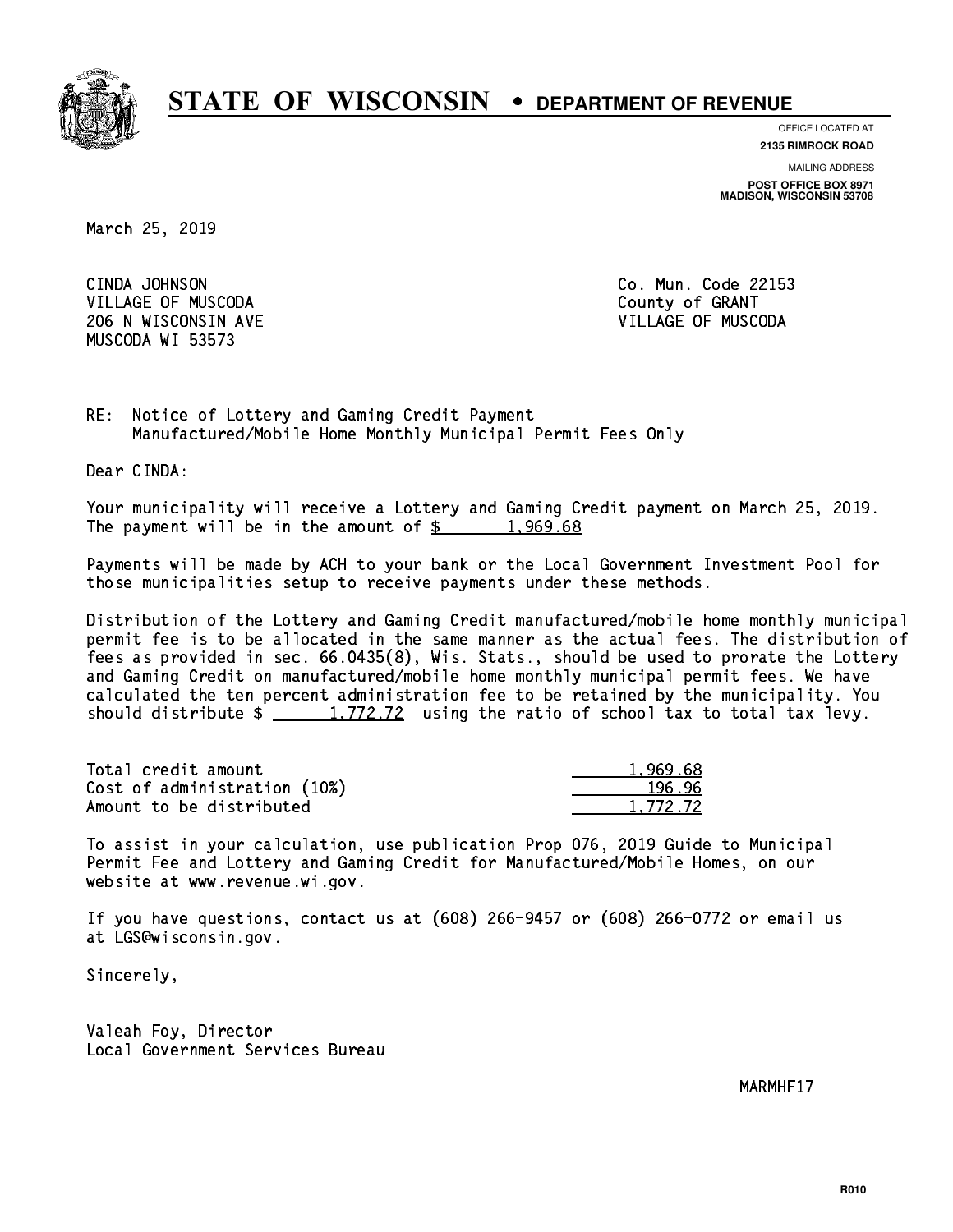

**OFFICE LOCATED AT**

**2135 RIMROCK ROAD**

**MAILING ADDRESS POST OFFICE BOX 8971 MADISON, WISCONSIN 53708**

March 25, 2019

CINDA JOHNSON VILLAGE OF MUSCODA COUNTY OF GRANT 206 N WISCONSIN AVE VILLAGE OF MUSCODA MUSCODA WI 53573

Co. Mun. Code 22153

RE: Notice of Lottery and Gaming Credit Payment Manufactured/Mobile Home Monthly Municipal Permit Fees Only

Dear CINDA:

 Your municipality will receive a Lottery and Gaming Credit payment on March 25, 2019. The payment will be in the amount of  $\frac{2}{3}$  1,969.68

 Payments will be made by ACH to your bank or the Local Government Investment Pool for those municipalities setup to receive payments under these methods.

 Distribution of the Lottery and Gaming Credit manufactured/mobile home monthly municipal permit fee is to be allocated in the same manner as the actual fees. The distribution of fees as provided in sec. 66.0435(8), Wis. Stats., should be used to prorate the Lottery and Gaming Credit on manufactured/mobile home monthly municipal permit fees. We have calculated the ten percent administration fee to be retained by the municipality. You should distribute  $\frac{1,772.72}{1,772.72}$  using the ratio of school tax to total tax levy.

| Total credit amount          | 1.969.68 |
|------------------------------|----------|
| Cost of administration (10%) | 196.96   |
| Amount to be distributed     | 1,772.72 |

 To assist in your calculation, use publication Prop 076, 2019 Guide to Municipal Permit Fee and Lottery and Gaming Credit for Manufactured/Mobile Homes, on our website at www.revenue.wi.gov.

 If you have questions, contact us at (608) 266-9457 or (608) 266-0772 or email us at LGS@wisconsin.gov.

Sincerely,

 Valeah Foy, Director Local Government Services Bureau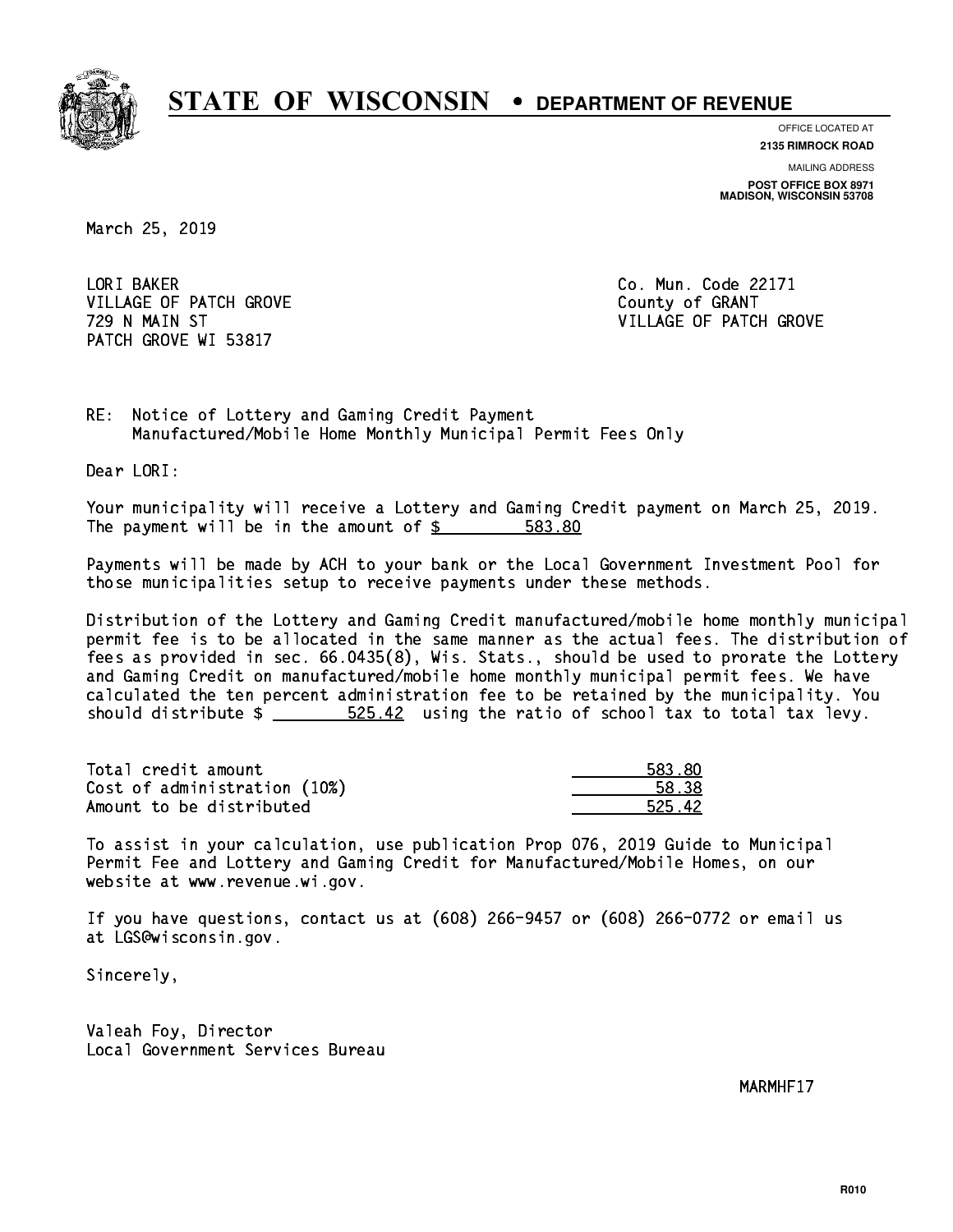

**OFFICE LOCATED AT**

**2135 RIMROCK ROAD**

**MAILING ADDRESS POST OFFICE BOX 8971 MADISON, WISCONSIN 53708**

March 25, 2019

LORI BAKER VILLAGE OF PATCH GROVE COUNTY OF GRANT PATCH GROVE WI 53817

Co. Mun. Code 22171 729 N MAIN ST VILLAGE OF PATCH GROVE

RE: Notice of Lottery and Gaming Credit Payment Manufactured/Mobile Home Monthly Municipal Permit Fees Only

Dear LORI:

 Your municipality will receive a Lottery and Gaming Credit payment on March 25, 2019. The payment will be in the amount of \$ 583.80 \_\_\_\_\_\_\_\_\_\_\_\_\_\_\_\_

 Payments will be made by ACH to your bank or the Local Government Investment Pool for those municipalities setup to receive payments under these methods.

 Distribution of the Lottery and Gaming Credit manufactured/mobile home monthly municipal permit fee is to be allocated in the same manner as the actual fees. The distribution of fees as provided in sec. 66.0435(8), Wis. Stats., should be used to prorate the Lottery and Gaming Credit on manufactured/mobile home monthly municipal permit fees. We have calculated the ten percent administration fee to be retained by the municipality. You should distribute  $\frac{25-42}{2}$  using the ratio of school tax to total tax levy.

Total credit amount Cost of administration (10%) Amount to be distributed

| ווא צא<br>- 1 |
|---------------|
| १ २२          |
| 12<br>-76     |

 To assist in your calculation, use publication Prop 076, 2019 Guide to Municipal Permit Fee and Lottery and Gaming Credit for Manufactured/Mobile Homes, on our website at www.revenue.wi.gov.

 If you have questions, contact us at (608) 266-9457 or (608) 266-0772 or email us at LGS@wisconsin.gov.

Sincerely,

 Valeah Foy, Director Local Government Services Bureau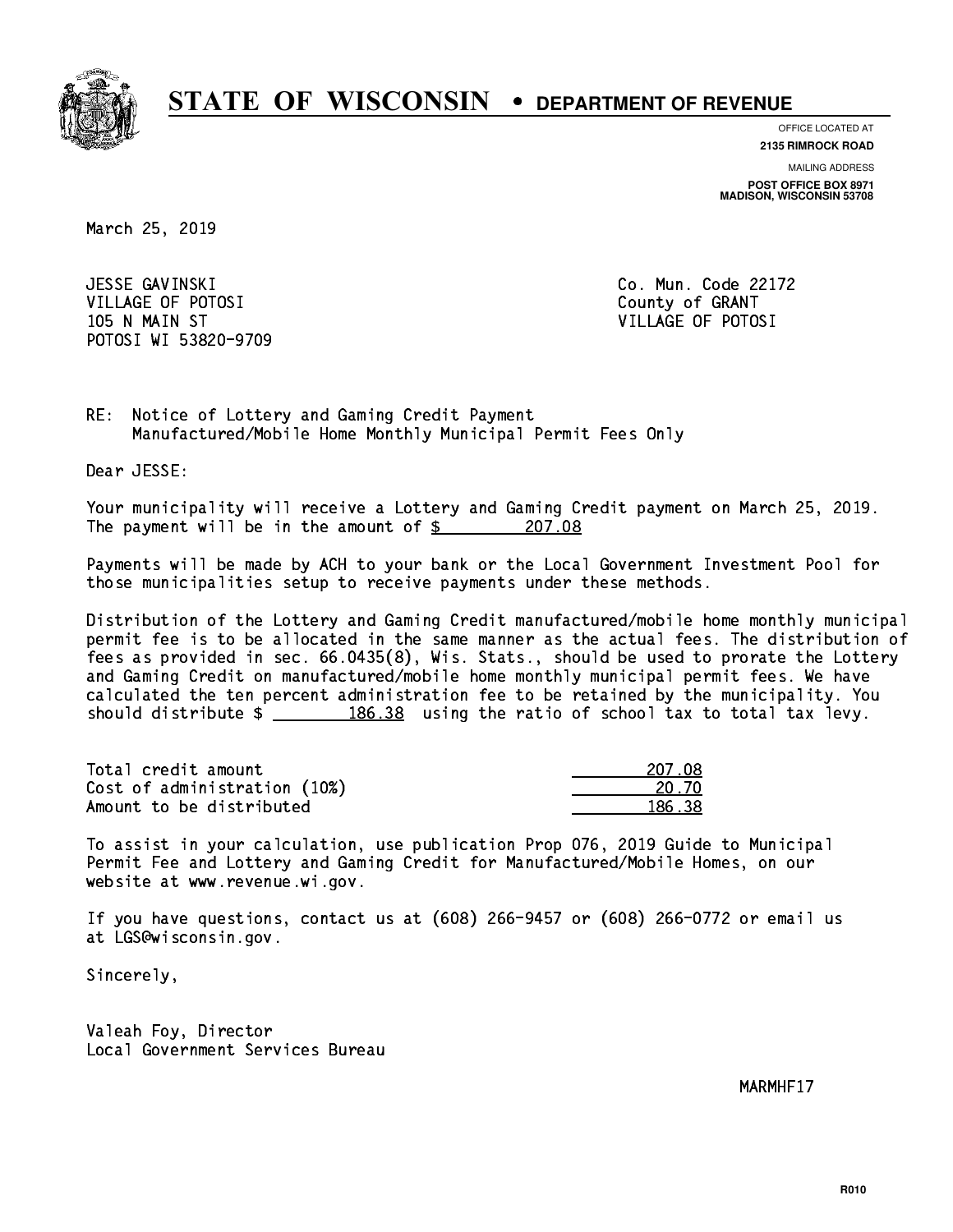

**OFFICE LOCATED AT**

**2135 RIMROCK ROAD**

**MAILING ADDRESS POST OFFICE BOX 8971 MADISON, WISCONSIN 53708**

March 25, 2019

 JESSE GAVINSKI Co. Mun. Code 22172 VILLAGE OF POTOSI COUNTY OF GRANT 105 N MAIN ST VILLAGE OF POTOSI POTOSI WI 53820-9709

RE: Notice of Lottery and Gaming Credit Payment Manufactured/Mobile Home Monthly Municipal Permit Fees Only

Dear JESSE:

 Your municipality will receive a Lottery and Gaming Credit payment on March 25, 2019. The payment will be in the amount of  $\frac{207.08}{200}$ 

 Payments will be made by ACH to your bank or the Local Government Investment Pool for those municipalities setup to receive payments under these methods.

 Distribution of the Lottery and Gaming Credit manufactured/mobile home monthly municipal permit fee is to be allocated in the same manner as the actual fees. The distribution of fees as provided in sec. 66.0435(8), Wis. Stats., should be used to prorate the Lottery and Gaming Credit on manufactured/mobile home monthly municipal permit fees. We have calculated the ten percent administration fee to be retained by the municipality. You should distribute  $\frac{2}{2}$   $\frac{186.38}{2}$  using the ratio of school tax to total tax levy.

Total credit amount Cost of administration (10%) Amount to be distributed

| 207.08     |
|------------|
| n zn<br>۰, |
| 186.38     |

 To assist in your calculation, use publication Prop 076, 2019 Guide to Municipal Permit Fee and Lottery and Gaming Credit for Manufactured/Mobile Homes, on our website at www.revenue.wi.gov.

 If you have questions, contact us at (608) 266-9457 or (608) 266-0772 or email us at LGS@wisconsin.gov.

Sincerely,

 Valeah Foy, Director Local Government Services Bureau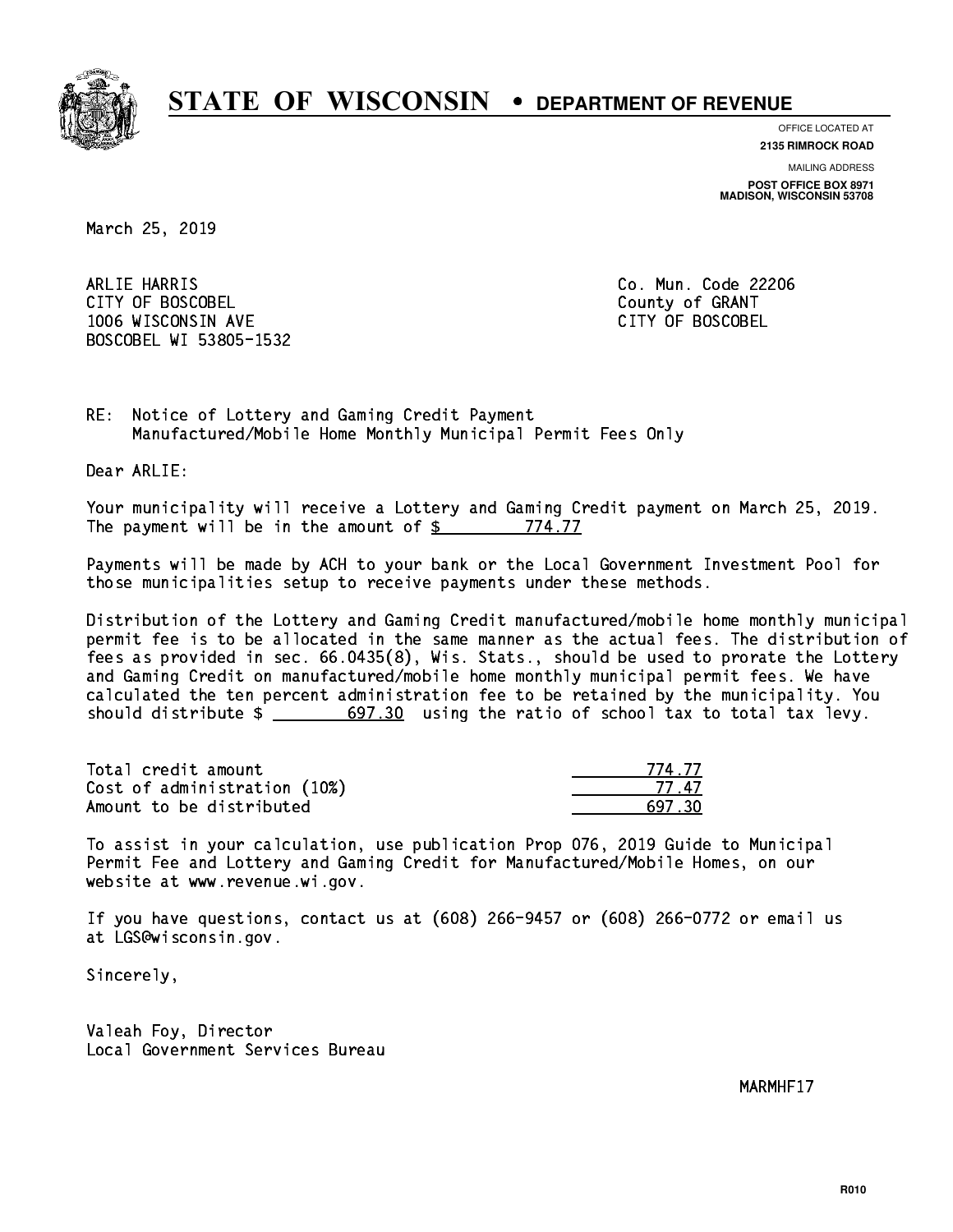

**OFFICE LOCATED AT**

**2135 RIMROCK ROAD**

**MAILING ADDRESS POST OFFICE BOX 8971 MADISON, WISCONSIN 53708**

March 25, 2019

 ARLIE HARRIS Co. Mun. Code 22206 CITY OF BOSCOBEL County of GRANT 1006 WISCONSIN AVE CITY OF BOSCOBEL BOSCOBEL WI 53805-1532

RE: Notice of Lottery and Gaming Credit Payment Manufactured/Mobile Home Monthly Municipal Permit Fees Only

Dear ARLIE:

 Your municipality will receive a Lottery and Gaming Credit payment on March 25, 2019. The payment will be in the amount of \$ 774.77 \_\_\_\_\_\_\_\_\_\_\_\_\_\_\_\_

 Payments will be made by ACH to your bank or the Local Government Investment Pool for those municipalities setup to receive payments under these methods.

 Distribution of the Lottery and Gaming Credit manufactured/mobile home monthly municipal permit fee is to be allocated in the same manner as the actual fees. The distribution of fees as provided in sec. 66.0435(8), Wis. Stats., should be used to prorate the Lottery and Gaming Credit on manufactured/mobile home monthly municipal permit fees. We have calculated the ten percent administration fee to be retained by the municipality. You should distribute  $\frac{2}{1}$   $\frac{697.30}{1000}$  using the ratio of school tax to total tax levy.

Total credit amount Cost of administration (10%) Amount to be distributed

| L 77      |
|-----------|
| II.<br>17 |
| 17 RN     |

 To assist in your calculation, use publication Prop 076, 2019 Guide to Municipal Permit Fee and Lottery and Gaming Credit for Manufactured/Mobile Homes, on our website at www.revenue.wi.gov.

 If you have questions, contact us at (608) 266-9457 or (608) 266-0772 or email us at LGS@wisconsin.gov.

Sincerely,

 Valeah Foy, Director Local Government Services Bureau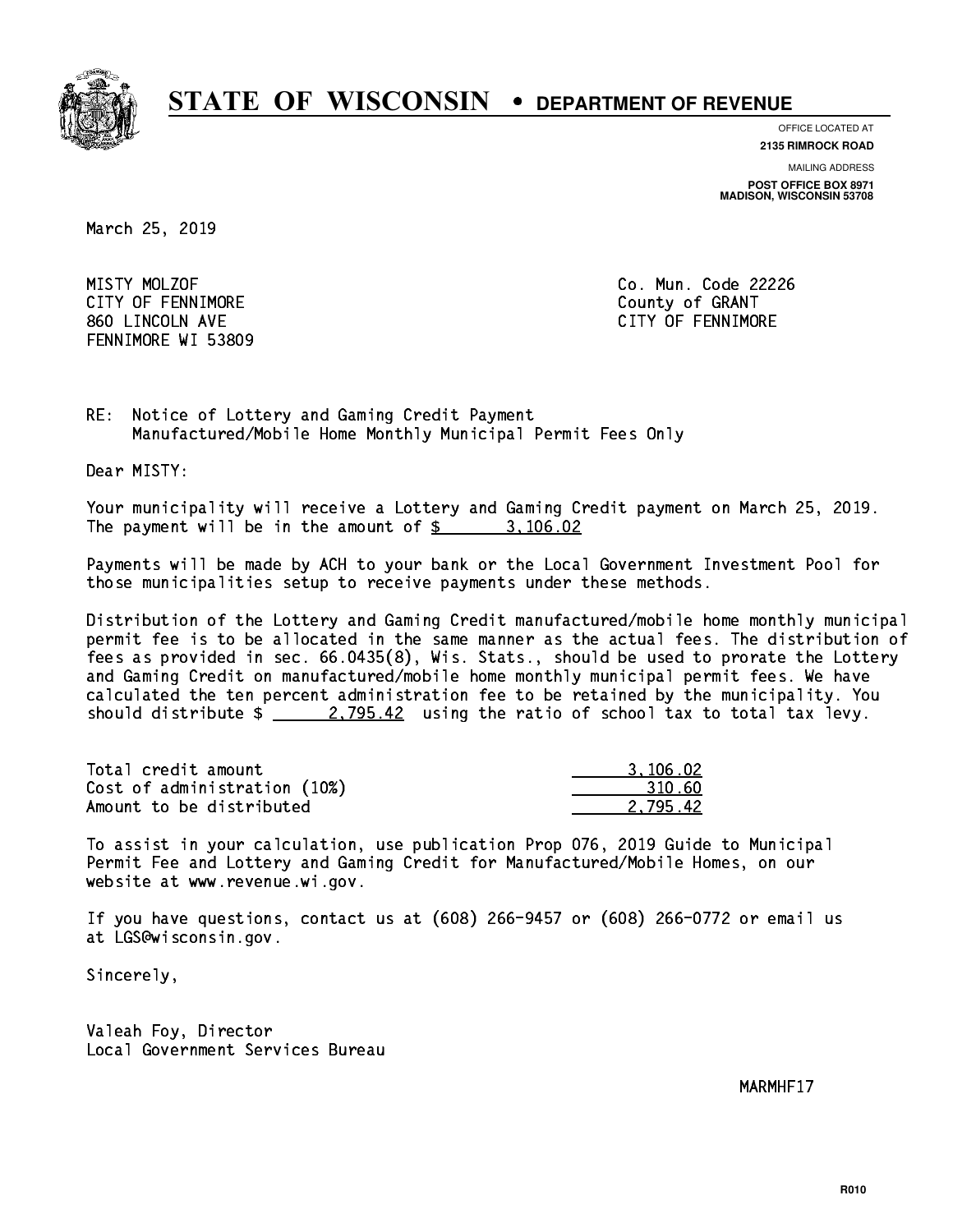

**OFFICE LOCATED AT**

**2135 RIMROCK ROAD**

**MAILING ADDRESS**

**POST OFFICE BOX 8971 MADISON, WISCONSIN 53708**

March 25, 2019

MISTY MOLZOF CITY OF FENNIMORE **COULD COULD COULD COULD COULD** 860 LINCOLN AVE CONTROLLER SERVICE SERVICE SERVICE SERVICE SERVICE SERVICE SERVICE SERVICE SERVICE SERVICE SERVICE SERVICE SERVICE SERVICE SERVICE SERVICE SERVICE SERVICE SERVICE SERVICE SERVICE SERVICE SERVICE SERVICE SER FENNIMORE WI 53809

Co. Mun. Code 22226

RE: Notice of Lottery and Gaming Credit Payment Manufactured/Mobile Home Monthly Municipal Permit Fees Only

Dear MISTY:

 Your municipality will receive a Lottery and Gaming Credit payment on March 25, 2019. The payment will be in the amount of  $\frac{2}{3}$  3,106.02

 Payments will be made by ACH to your bank or the Local Government Investment Pool for those municipalities setup to receive payments under these methods.

 Distribution of the Lottery and Gaming Credit manufactured/mobile home monthly municipal permit fee is to be allocated in the same manner as the actual fees. The distribution of fees as provided in sec. 66.0435(8), Wis. Stats., should be used to prorate the Lottery and Gaming Credit on manufactured/mobile home monthly municipal permit fees. We have calculated the ten percent administration fee to be retained by the municipality. You should distribute  $\frac{2.795.42}{2.795.42}$  using the ratio of school tax to total tax levy.

| Total credit amount          | 3,106.02 |
|------------------------------|----------|
| Cost of administration (10%) | 310.60   |
| Amount to be distributed     | 2.795.42 |

 To assist in your calculation, use publication Prop 076, 2019 Guide to Municipal Permit Fee and Lottery and Gaming Credit for Manufactured/Mobile Homes, on our website at www.revenue.wi.gov.

 If you have questions, contact us at (608) 266-9457 or (608) 266-0772 or email us at LGS@wisconsin.gov.

Sincerely,

 Valeah Foy, Director Local Government Services Bureau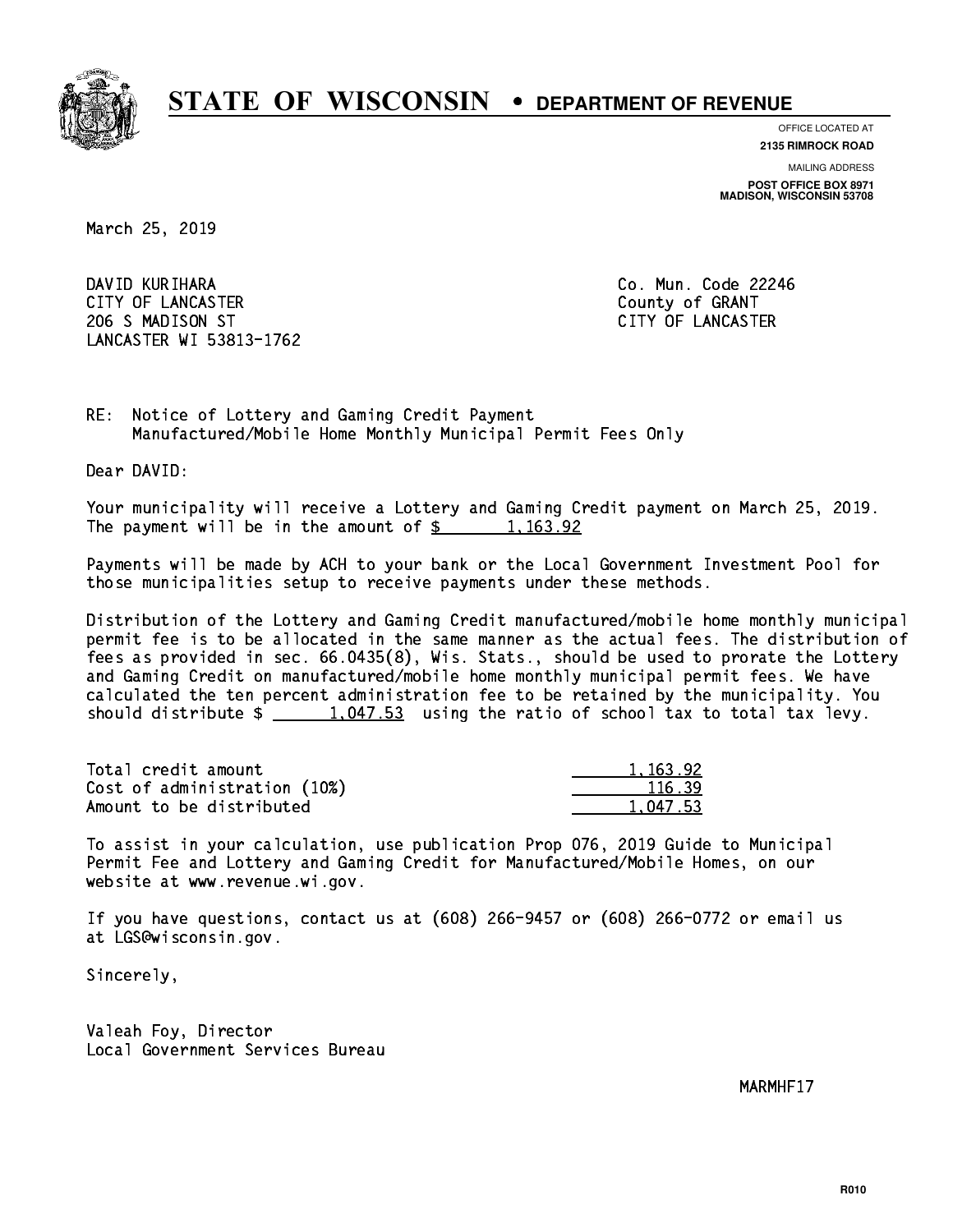

**OFFICE LOCATED AT**

**2135 RIMROCK ROAD**

**MAILING ADDRESS POST OFFICE BOX 8971 MADISON, WISCONSIN 53708**

March 25, 2019

 DAVID KURIHARA Co. Mun. Code 22246 CITY OF LANCASTER **COUNTY COULD AND COULD COULD COULD** COUNTY OF GRANT 206 S MADISON ST CITY OF LANCASTER LANCASTER WI 53813-1762

RE: Notice of Lottery and Gaming Credit Payment Manufactured/Mobile Home Monthly Municipal Permit Fees Only

Dear DAVID:

 Your municipality will receive a Lottery and Gaming Credit payment on March 25, 2019. The payment will be in the amount of  $\frac{2}{3}$  1,163.92

 Payments will be made by ACH to your bank or the Local Government Investment Pool for those municipalities setup to receive payments under these methods.

 Distribution of the Lottery and Gaming Credit manufactured/mobile home monthly municipal permit fee is to be allocated in the same manner as the actual fees. The distribution of fees as provided in sec. 66.0435(8), Wis. Stats., should be used to prorate the Lottery and Gaming Credit on manufactured/mobile home monthly municipal permit fees. We have calculated the ten percent administration fee to be retained by the municipality. You should distribute  $\frac{1,047.53}{1,047.53}$  using the ratio of school tax to total tax levy.

| Total credit amount          | 1,163.92 |
|------------------------------|----------|
| Cost of administration (10%) | 116.39   |
| Amount to be distributed     | 1.047.53 |

 To assist in your calculation, use publication Prop 076, 2019 Guide to Municipal Permit Fee and Lottery and Gaming Credit for Manufactured/Mobile Homes, on our website at www.revenue.wi.gov.

 If you have questions, contact us at (608) 266-9457 or (608) 266-0772 or email us at LGS@wisconsin.gov.

Sincerely,

 Valeah Foy, Director Local Government Services Bureau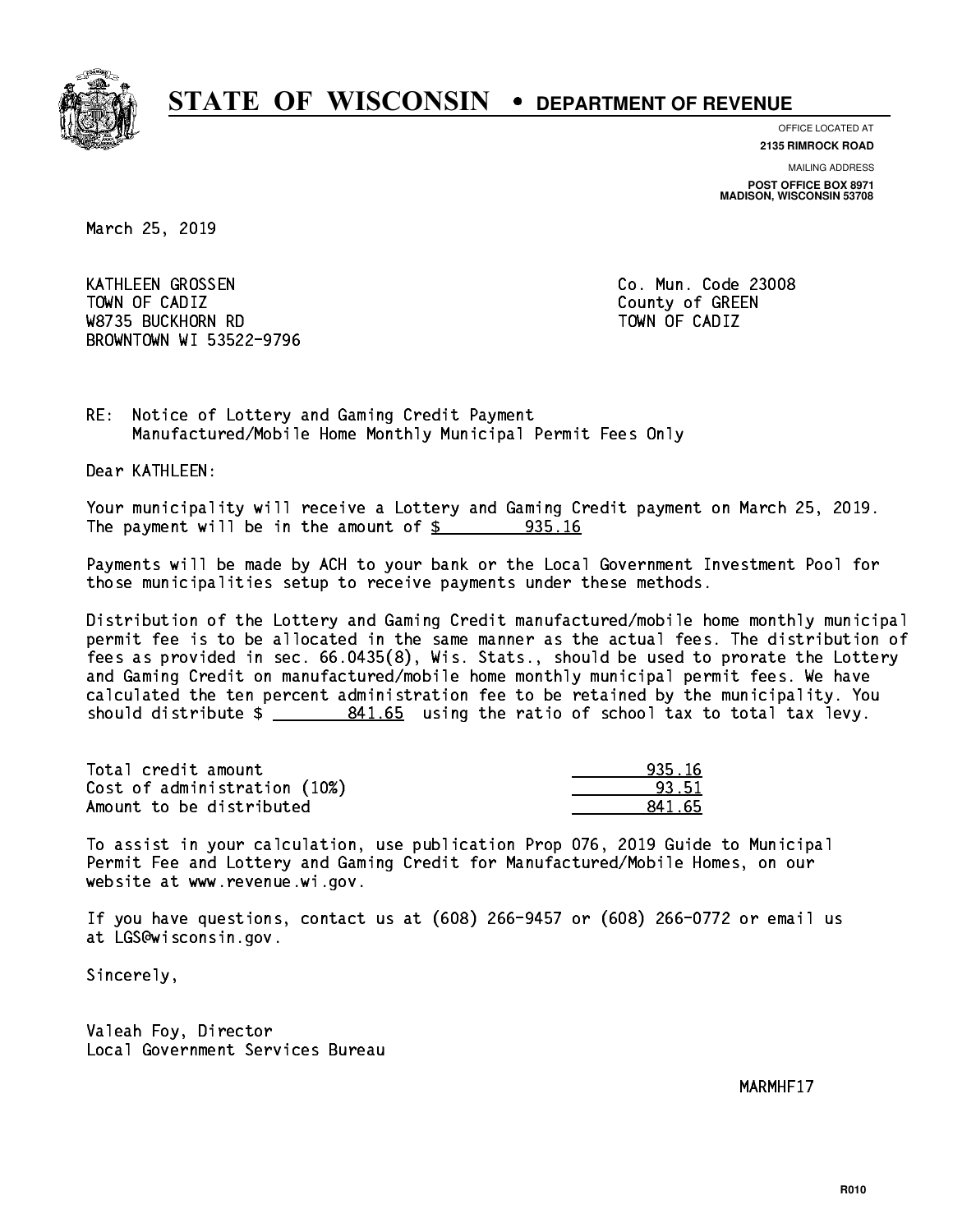

**OFFICE LOCATED AT 2135 RIMROCK ROAD**

**MAILING ADDRESS**

**POST OFFICE BOX 8971 MADISON, WISCONSIN 53708**

March 25, 2019

 KATHLEEN GROSSEN Co. Mun. Code 23008 Town of California  $\mathcal{L}$  county of Green county of Green county of Green county of Green county of Green county of Green county of Green county of Green county of Green county of Green county of Green county of Green co W8735 BUCKHORN RD TOWN OF CADIZ BROWNTOWN WI 53522-9796

RE: Notice of Lottery and Gaming Credit Payment Manufactured/Mobile Home Monthly Municipal Permit Fees Only

Dear KATHLEEN:

 Your municipality will receive a Lottery and Gaming Credit payment on March 25, 2019. The payment will be in the amount of  $\frac{2}{3}$  935.16

 Payments will be made by ACH to your bank or the Local Government Investment Pool for those municipalities setup to receive payments under these methods.

 Distribution of the Lottery and Gaming Credit manufactured/mobile home monthly municipal permit fee is to be allocated in the same manner as the actual fees. The distribution of fees as provided in sec. 66.0435(8), Wis. Stats., should be used to prorate the Lottery and Gaming Credit on manufactured/mobile home monthly municipal permit fees. We have calculated the ten percent administration fee to be retained by the municipality. You should distribute  $\frac{2}{2}$   $\frac{841.65}{2}$  using the ratio of school tax to total tax levy.

Total credit amount Cost of administration (10%) Amount to be distributed

| 5.16<br>וכח |
|-------------|
| 33.51       |
| 55.         |

 To assist in your calculation, use publication Prop 076, 2019 Guide to Municipal Permit Fee and Lottery and Gaming Credit for Manufactured/Mobile Homes, on our website at www.revenue.wi.gov.

 If you have questions, contact us at (608) 266-9457 or (608) 266-0772 or email us at LGS@wisconsin.gov.

Sincerely,

 Valeah Foy, Director Local Government Services Bureau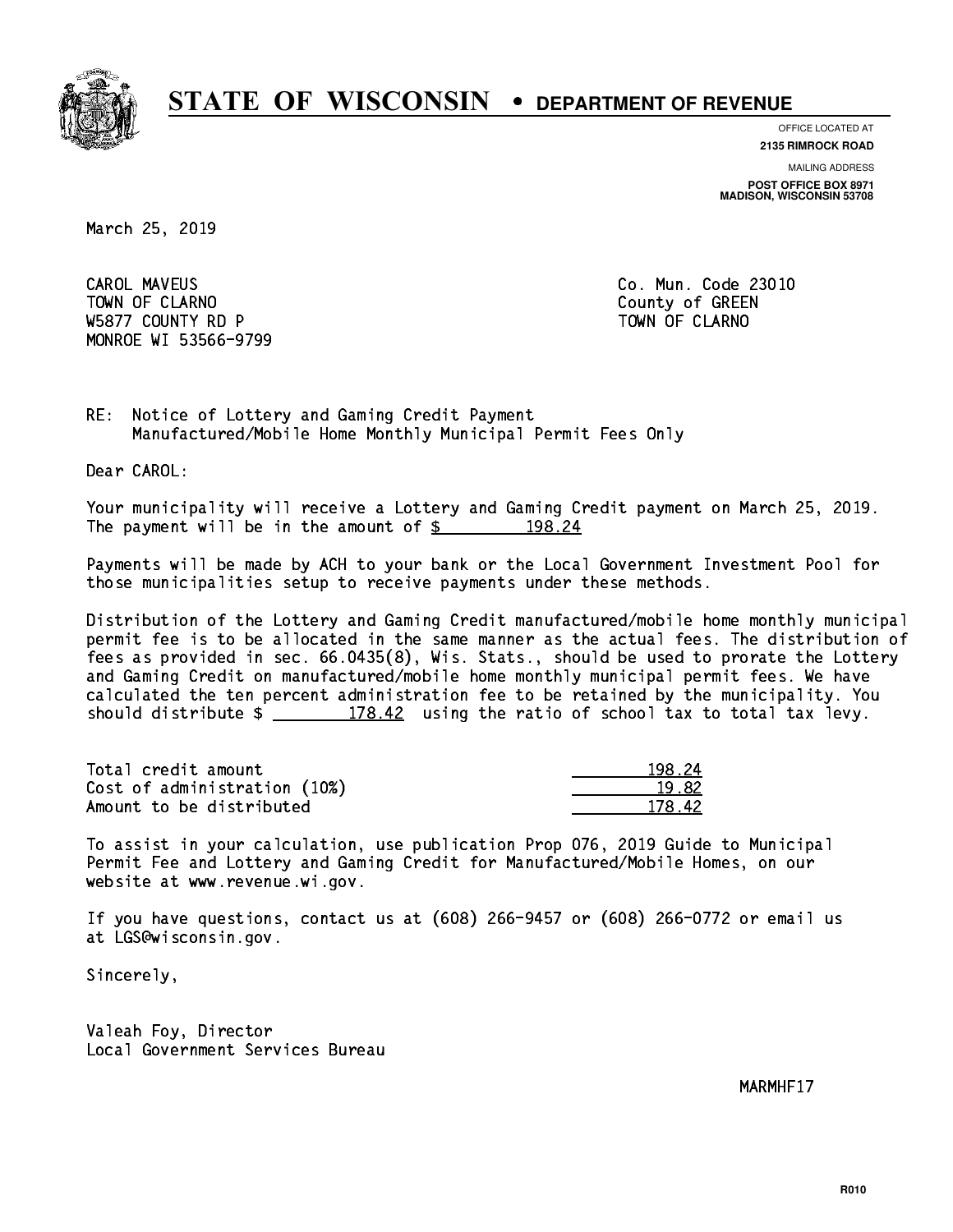

**OFFICE LOCATED AT**

**MAILING ADDRESS 2135 RIMROCK ROAD**

**POST OFFICE BOX 8971 MADISON, WISCONSIN 53708**

March 25, 2019

**CAROL MAVEUS** Town of Claramon County of Green County of Green County of Green County of Green County of Green County of Green County of Green County of Green County of Green County of Green County of Green County of Green County of Gre W5877 COUNTY RD P TO THE TOWN OF CLARNO MONROE WI 53566-9799

Co. Mun. Code 23010

RE: Notice of Lottery and Gaming Credit Payment Manufactured/Mobile Home Monthly Municipal Permit Fees Only

Dear CAROL:

 Your municipality will receive a Lottery and Gaming Credit payment on March 25, 2019. The payment will be in the amount of  $\frac{2}{3}$  198.24

 Payments will be made by ACH to your bank or the Local Government Investment Pool for those municipalities setup to receive payments under these methods.

 Distribution of the Lottery and Gaming Credit manufactured/mobile home monthly municipal permit fee is to be allocated in the same manner as the actual fees. The distribution of fees as provided in sec. 66.0435(8), Wis. Stats., should be used to prorate the Lottery and Gaming Credit on manufactured/mobile home monthly municipal permit fees. We have calculated the ten percent administration fee to be retained by the municipality. You should distribute  $\frac{2}{2}$   $\frac{178.42}{2}$  using the ratio of school tax to total tax levy.

Total credit amount Cost of administration (10%) Amount to be distributed

| - 24 |
|------|
| -82  |
| 42.  |

 To assist in your calculation, use publication Prop 076, 2019 Guide to Municipal Permit Fee and Lottery and Gaming Credit for Manufactured/Mobile Homes, on our website at www.revenue.wi.gov.

 If you have questions, contact us at (608) 266-9457 or (608) 266-0772 or email us at LGS@wisconsin.gov.

Sincerely,

 Valeah Foy, Director Local Government Services Bureau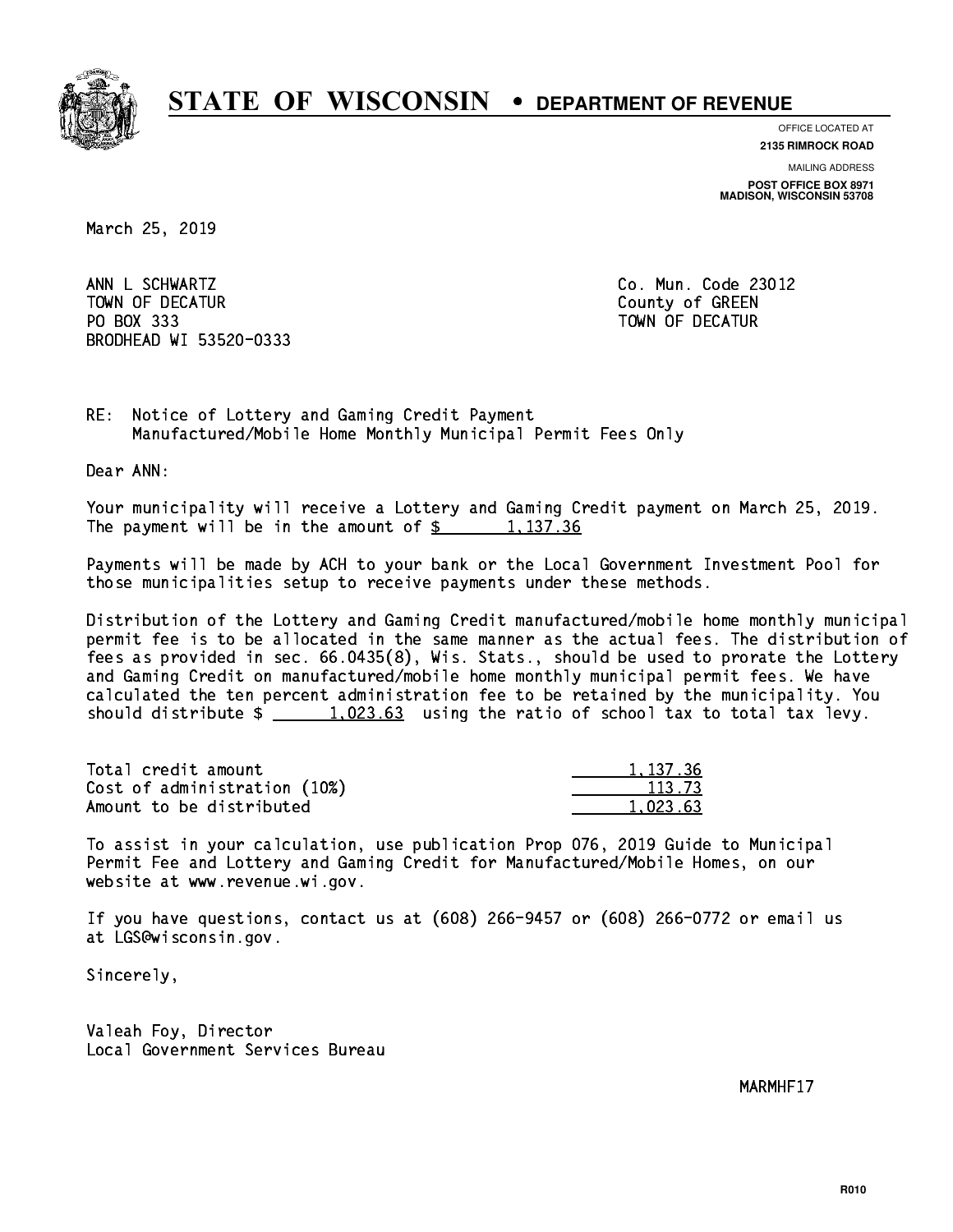

**OFFICE LOCATED AT 2135 RIMROCK ROAD**

**MAILING ADDRESS**

**POST OFFICE BOX 8971 MADISON, WISCONSIN 53708**

March 25, 2019

ANN L SCHWARTZ TOWN OF DECATUR COUNTY OF GREEN PO BOX 333 PO BOX 333 TOWN OF DECATUR BRODHEAD WI 53520-0333

Co. Mun. Code 23012

RE: Notice of Lottery and Gaming Credit Payment Manufactured/Mobile Home Monthly Municipal Permit Fees Only

Dear ANN:

 Your municipality will receive a Lottery and Gaming Credit payment on March 25, 2019. The payment will be in the amount of  $\frac{2}{3}$  1,137.36

 Payments will be made by ACH to your bank or the Local Government Investment Pool for those municipalities setup to receive payments under these methods.

 Distribution of the Lottery and Gaming Credit manufactured/mobile home monthly municipal permit fee is to be allocated in the same manner as the actual fees. The distribution of fees as provided in sec. 66.0435(8), Wis. Stats., should be used to prorate the Lottery and Gaming Credit on manufactured/mobile home monthly municipal permit fees. We have calculated the ten percent administration fee to be retained by the municipality. You should distribute  $\frac{1.023.63}{1.023.63}$  using the ratio of school tax to total tax levy.

| Total credit amount          | 1.137.36 |
|------------------------------|----------|
| Cost of administration (10%) | 113.73   |
| Amount to be distributed     | 1.023.63 |

 To assist in your calculation, use publication Prop 076, 2019 Guide to Municipal Permit Fee and Lottery and Gaming Credit for Manufactured/Mobile Homes, on our website at www.revenue.wi.gov.

 If you have questions, contact us at (608) 266-9457 or (608) 266-0772 or email us at LGS@wisconsin.gov.

Sincerely,

 Valeah Foy, Director Local Government Services Bureau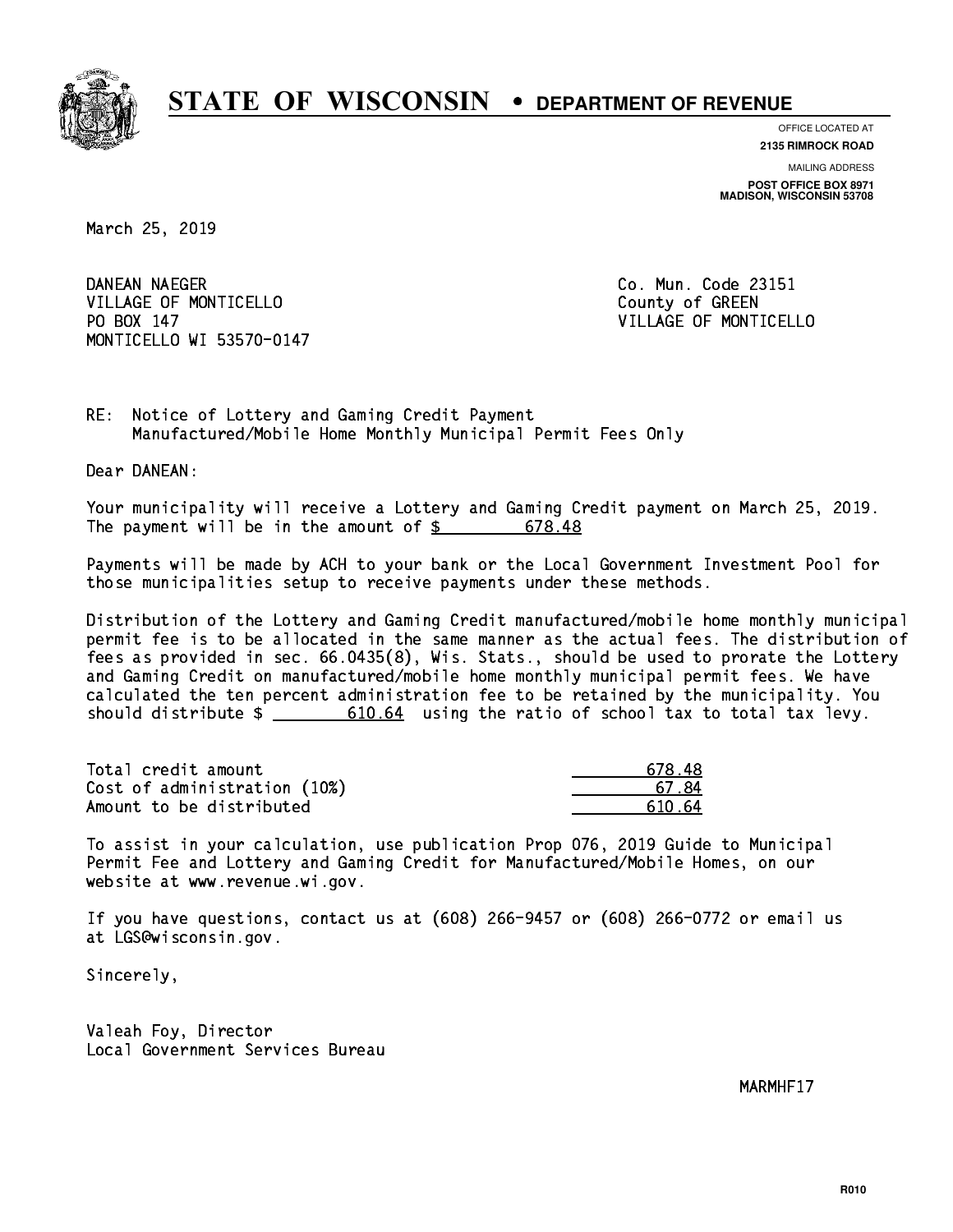

**OFFICE LOCATED AT**

**2135 RIMROCK ROAD**

**MAILING ADDRESS POST OFFICE BOX 8971 MADISON, WISCONSIN 53708**

March 25, 2019

DANEAN NAEGER VILLAGE OF MONTICELLO **COUNTY COULD AND COULD COULD COULD** PO BOX 147 MONTICELLO WI 53570-0147

Co. Mun. Code 23151 VILLAGE OF MONTICELLO

RE: Notice of Lottery and Gaming Credit Payment Manufactured/Mobile Home Monthly Municipal Permit Fees Only

Dear DANEAN:

 Your municipality will receive a Lottery and Gaming Credit payment on March 25, 2019. The payment will be in the amount of  $\frac{2}{3}$  678.48

 Payments will be made by ACH to your bank or the Local Government Investment Pool for those municipalities setup to receive payments under these methods.

 Distribution of the Lottery and Gaming Credit manufactured/mobile home monthly municipal permit fee is to be allocated in the same manner as the actual fees. The distribution of fees as provided in sec. 66.0435(8), Wis. Stats., should be used to prorate the Lottery and Gaming Credit on manufactured/mobile home monthly municipal permit fees. We have calculated the ten percent administration fee to be retained by the municipality. You should distribute  $\frac{2}{1}$   $\frac{610.64}{64}$  using the ratio of school tax to total tax levy.

| Total credit amount          | 678.48  |
|------------------------------|---------|
| Cost of administration (10%) | 67.84   |
| Amount to be distributed     | .610.64 |

 To assist in your calculation, use publication Prop 076, 2019 Guide to Municipal Permit Fee and Lottery and Gaming Credit for Manufactured/Mobile Homes, on our website at www.revenue.wi.gov.

 If you have questions, contact us at (608) 266-9457 or (608) 266-0772 or email us at LGS@wisconsin.gov.

Sincerely,

 Valeah Foy, Director Local Government Services Bureau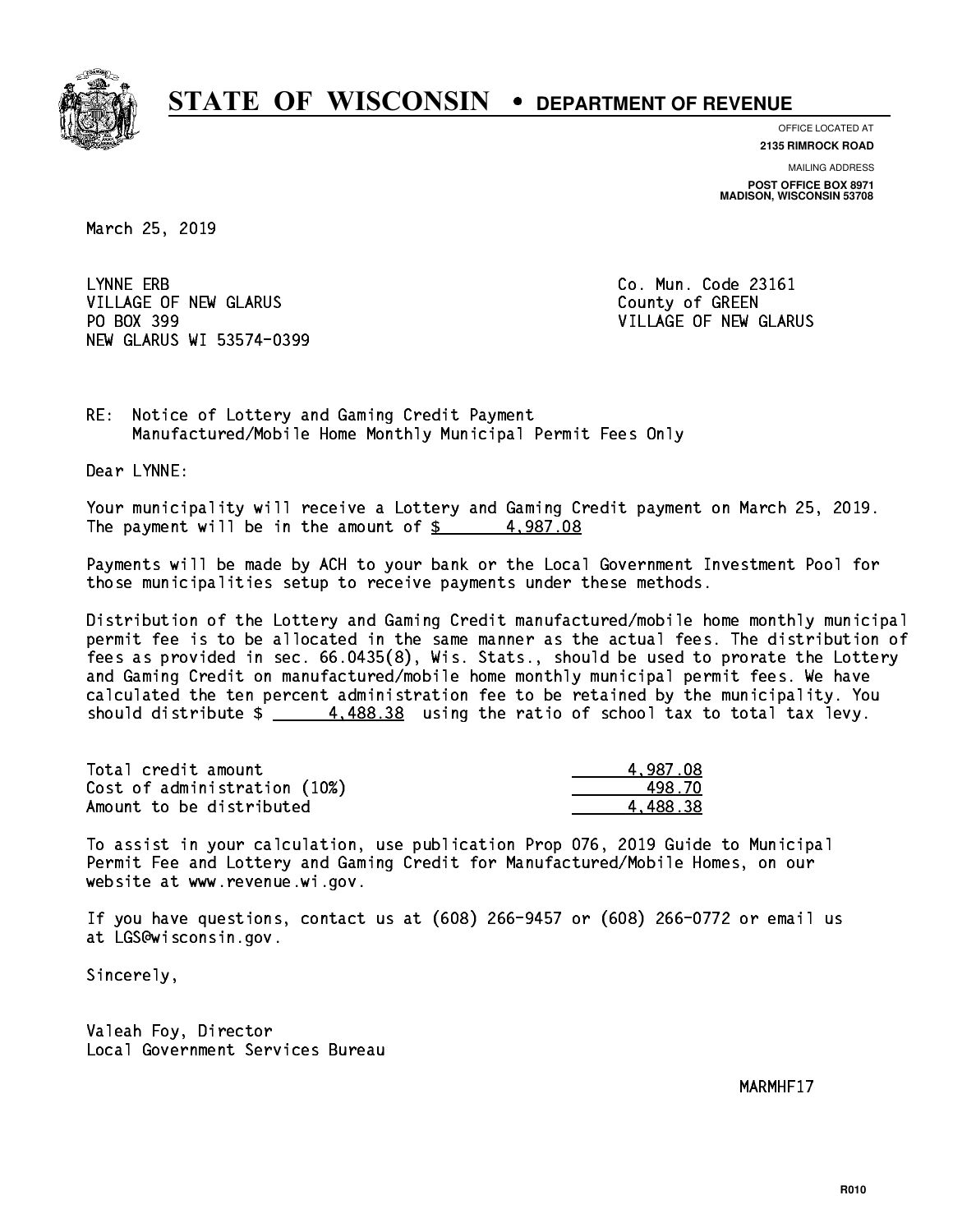

**OFFICE LOCATED AT**

**2135 RIMROCK ROAD**

**MAILING ADDRESS POST OFFICE BOX 8971 MADISON, WISCONSIN 53708**

March 25, 2019

LYNNE ERB VILLAGE OF NEW GLARUS **COUNTY OF GREEN** PO BOX 399 NEW GLARUS WI 53574-0399

Co. Mun. Code 23161 VILLAGE OF NEW GLARUS

RE: Notice of Lottery and Gaming Credit Payment Manufactured/Mobile Home Monthly Municipal Permit Fees Only

Dear LYNNE:

 Your municipality will receive a Lottery and Gaming Credit payment on March 25, 2019. The payment will be in the amount of  $\frac{2}{3}$  4,987.08

 Payments will be made by ACH to your bank or the Local Government Investment Pool for those municipalities setup to receive payments under these methods.

 Distribution of the Lottery and Gaming Credit manufactured/mobile home monthly municipal permit fee is to be allocated in the same manner as the actual fees. The distribution of fees as provided in sec. 66.0435(8), Wis. Stats., should be used to prorate the Lottery and Gaming Credit on manufactured/mobile home monthly municipal permit fees. We have calculated the ten percent administration fee to be retained by the municipality. You should distribute  $\frac{4.488.38}{2}$  using the ratio of school tax to total tax levy.

| Total credit amount          | 4.987.08 |
|------------------------------|----------|
| Cost of administration (10%) | 498.70   |
| Amount to be distributed     | 4.488.38 |

 To assist in your calculation, use publication Prop 076, 2019 Guide to Municipal Permit Fee and Lottery and Gaming Credit for Manufactured/Mobile Homes, on our website at www.revenue.wi.gov.

 If you have questions, contact us at (608) 266-9457 or (608) 266-0772 or email us at LGS@wisconsin.gov.

Sincerely,

 Valeah Foy, Director Local Government Services Bureau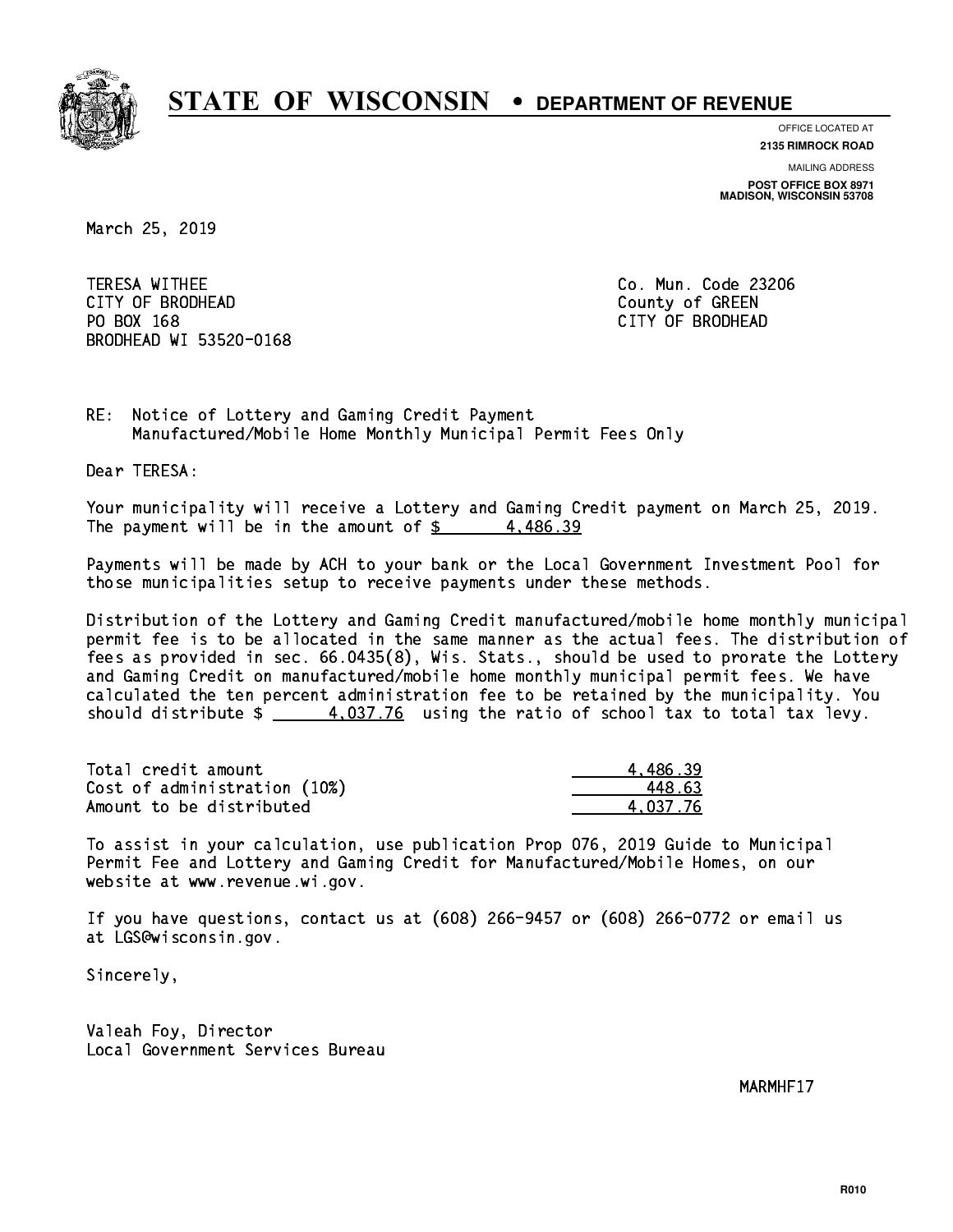

**OFFICE LOCATED AT**

**MAILING ADDRESS 2135 RIMROCK ROAD**

**POST OFFICE BOX 8971 MADISON, WISCONSIN 53708**

March 25, 2019

 TERESA WITHEE Co. Mun. Code 23206 CITY OF BRODHEAD County of GREEN PO BOX 168 PO BOX 168 CITY OF BRODHEAD BRODHEAD WI 53520-0168

RE: Notice of Lottery and Gaming Credit Payment Manufactured/Mobile Home Monthly Municipal Permit Fees Only

Dear TERESA:

 Your municipality will receive a Lottery and Gaming Credit payment on March 25, 2019. The payment will be in the amount of  $\frac{2}{3}$  4,486.39

 Payments will be made by ACH to your bank or the Local Government Investment Pool for those municipalities setup to receive payments under these methods.

 Distribution of the Lottery and Gaming Credit manufactured/mobile home monthly municipal permit fee is to be allocated in the same manner as the actual fees. The distribution of fees as provided in sec. 66.0435(8), Wis. Stats., should be used to prorate the Lottery and Gaming Credit on manufactured/mobile home monthly municipal permit fees. We have calculated the ten percent administration fee to be retained by the municipality. You should distribute  $\frac{4.037.76}{2}$  using the ratio of school tax to total tax levy.

| Total credit amount          | 4.486.39 |
|------------------------------|----------|
| Cost of administration (10%) | 448.63   |
| Amount to be distributed     | 4.037.76 |

 To assist in your calculation, use publication Prop 076, 2019 Guide to Municipal Permit Fee and Lottery and Gaming Credit for Manufactured/Mobile Homes, on our website at www.revenue.wi.gov.

 If you have questions, contact us at (608) 266-9457 or (608) 266-0772 or email us at LGS@wisconsin.gov.

Sincerely,

 Valeah Foy, Director Local Government Services Bureau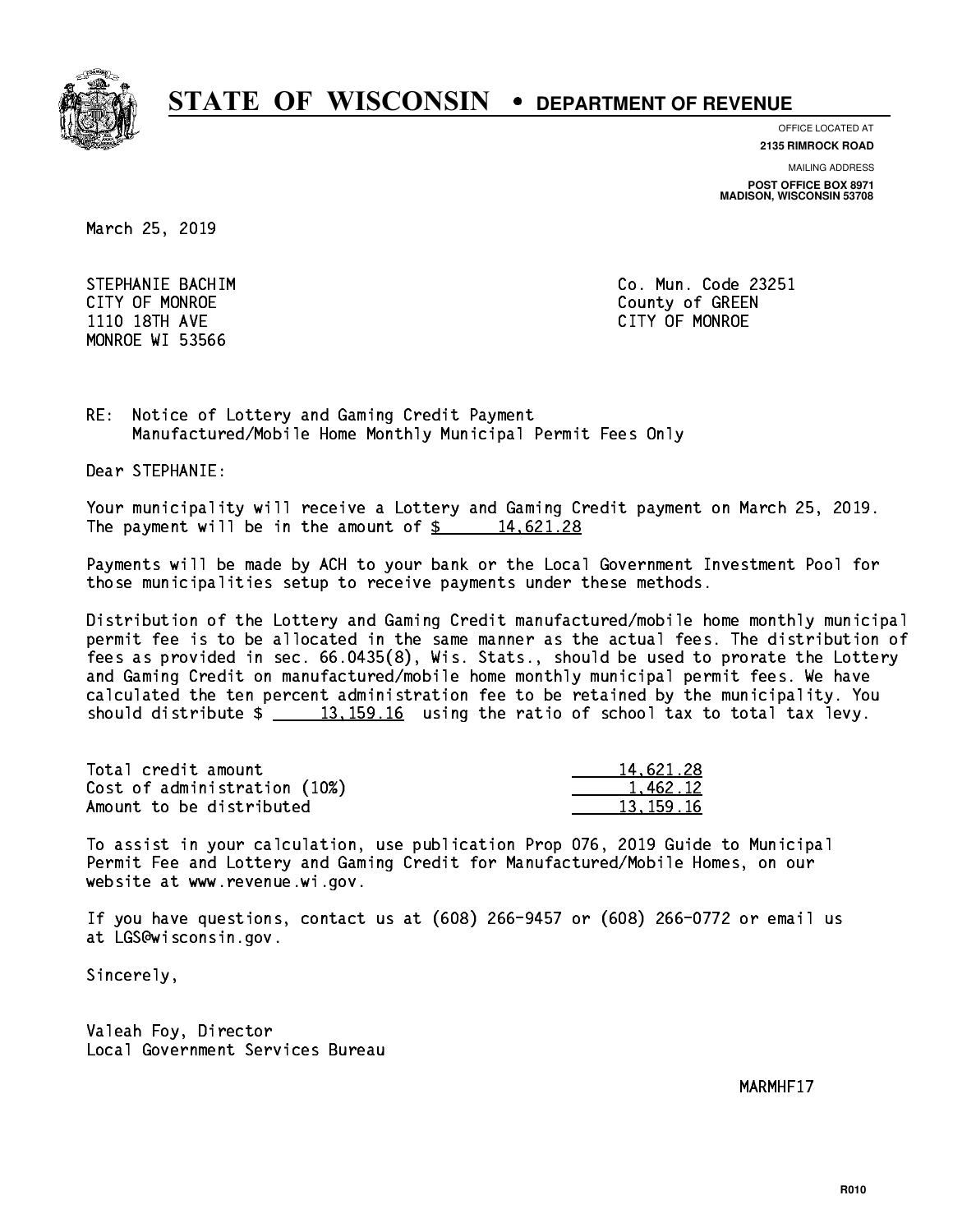

**OFFICE LOCATED AT 2135 RIMROCK ROAD**

**MAILING ADDRESS**

**POST OFFICE BOX 8971 MADISON, WISCONSIN 53708**

March 25, 2019

STEPHANIE BACHIM **CO. Mun. Code 23251**  1110 18TH AVE CITY OF MONROE MONROE WI 53566

CITY OF MONROE County of GREEN

RE: Notice of Lottery and Gaming Credit Payment Manufactured/Mobile Home Monthly Municipal Permit Fees Only

Dear STEPHANIE:

 Your municipality will receive a Lottery and Gaming Credit payment on March 25, 2019. The payment will be in the amount of  $\frac{2}{3}$  14,621.28

 Payments will be made by ACH to your bank or the Local Government Investment Pool for those municipalities setup to receive payments under these methods.

 Distribution of the Lottery and Gaming Credit manufactured/mobile home monthly municipal permit fee is to be allocated in the same manner as the actual fees. The distribution of fees as provided in sec. 66.0435(8), Wis. Stats., should be used to prorate the Lottery and Gaming Credit on manufactured/mobile home monthly municipal permit fees. We have calculated the ten percent administration fee to be retained by the municipality. You should distribute  $\frac{13,159.16}{2}$  using the ratio of school tax to total tax levy.

| Total credit amount          | 14,621.28 |
|------------------------------|-----------|
| Cost of administration (10%) | 1.462.12  |
| Amount to be distributed     | 13.159.16 |

 To assist in your calculation, use publication Prop 076, 2019 Guide to Municipal Permit Fee and Lottery and Gaming Credit for Manufactured/Mobile Homes, on our website at www.revenue.wi.gov.

 If you have questions, contact us at (608) 266-9457 or (608) 266-0772 or email us at LGS@wisconsin.gov.

Sincerely,

 Valeah Foy, Director Local Government Services Bureau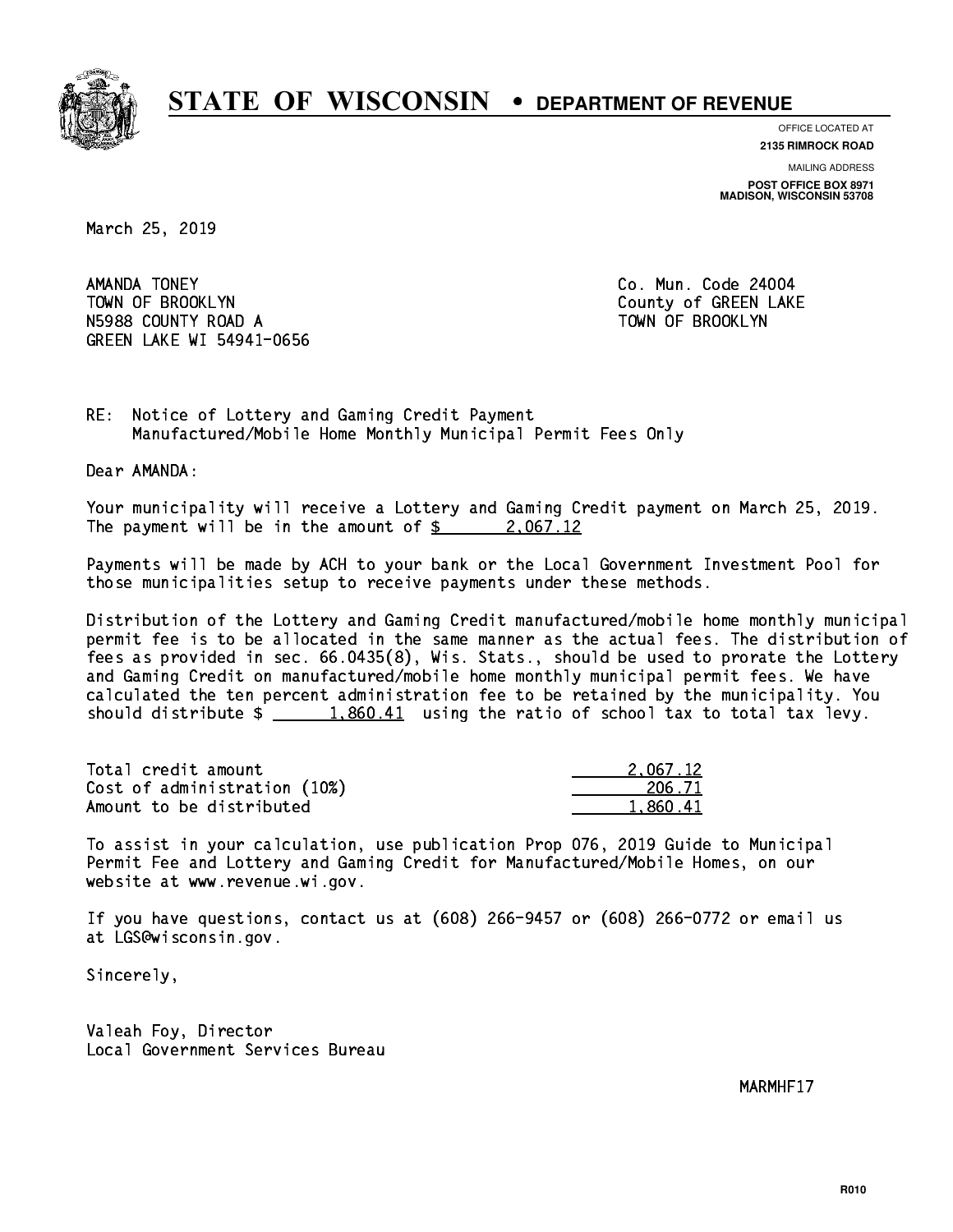

**OFFICE LOCATED AT 2135 RIMROCK ROAD**

**MAILING ADDRESS POST OFFICE BOX 8971 MADISON, WISCONSIN 53708**

March 25, 2019

AMANDA TONEY TOWN OF BROOKLYN COUNTY COUNTY OF GREEN LAKE N5988 COUNTY ROAD A TOWN OF BROOKLYN GREEN LAKE WI 54941-0656

Co. Mun. Code 24004

RE: Notice of Lottery and Gaming Credit Payment Manufactured/Mobile Home Monthly Municipal Permit Fees Only

Dear AMANDA:

 Your municipality will receive a Lottery and Gaming Credit payment on March 25, 2019. The payment will be in the amount of  $\frac{2}{3}$  2,067.12

 Payments will be made by ACH to your bank or the Local Government Investment Pool for those municipalities setup to receive payments under these methods.

 Distribution of the Lottery and Gaming Credit manufactured/mobile home monthly municipal permit fee is to be allocated in the same manner as the actual fees. The distribution of fees as provided in sec. 66.0435(8), Wis. Stats., should be used to prorate the Lottery and Gaming Credit on manufactured/mobile home monthly municipal permit fees. We have calculated the ten percent administration fee to be retained by the municipality. You should distribute  $\frac{1,860.41}{1,860.41}$  using the ratio of school tax to total tax levy.

| Total credit amount          | 2.067.12 |
|------------------------------|----------|
| Cost of administration (10%) | 206.71   |
| Amount to be distributed     | 1.860.41 |

 To assist in your calculation, use publication Prop 076, 2019 Guide to Municipal Permit Fee and Lottery and Gaming Credit for Manufactured/Mobile Homes, on our website at www.revenue.wi.gov.

 If you have questions, contact us at (608) 266-9457 or (608) 266-0772 or email us at LGS@wisconsin.gov.

Sincerely,

 Valeah Foy, Director Local Government Services Bureau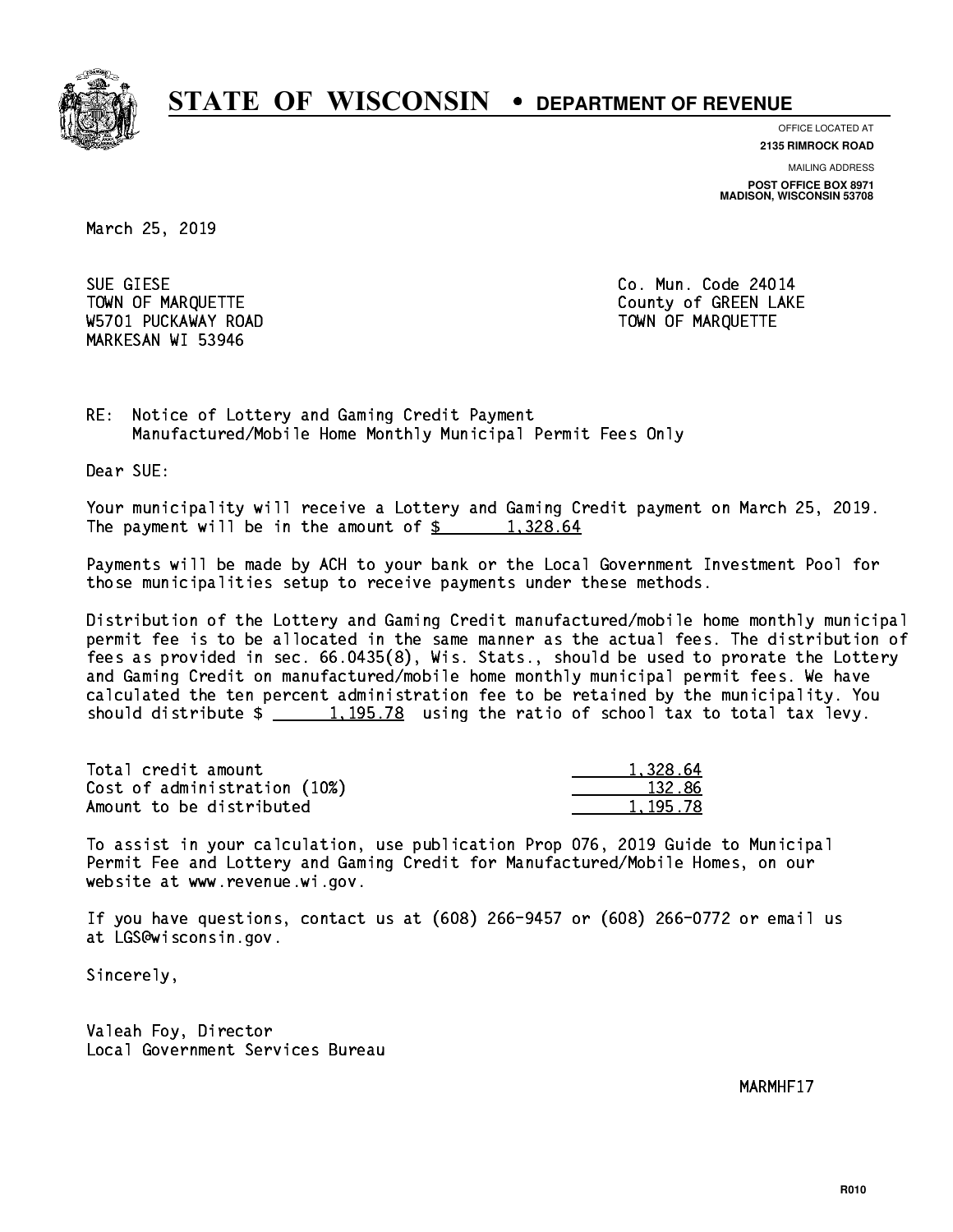

**OFFICE LOCATED AT**

**2135 RIMROCK ROAD**

**MAILING ADDRESS POST OFFICE BOX 8971 MADISON, WISCONSIN 53708**

March 25, 2019

 SUE GIESE Co. Mun. Code 24014 W5701 PUCKAWAY ROAD TOWN OF MARQUETTE MARKESAN WI 53946

TOWN OF MARQUETTE TOWN OF MARQUETTE

RE: Notice of Lottery and Gaming Credit Payment Manufactured/Mobile Home Monthly Municipal Permit Fees Only

Dear SUE:

 Your municipality will receive a Lottery and Gaming Credit payment on March 25, 2019. The payment will be in the amount of  $\frac{2}{3}$  1,328.64

 Payments will be made by ACH to your bank or the Local Government Investment Pool for those municipalities setup to receive payments under these methods.

 Distribution of the Lottery and Gaming Credit manufactured/mobile home monthly municipal permit fee is to be allocated in the same manner as the actual fees. The distribution of fees as provided in sec. 66.0435(8), Wis. Stats., should be used to prorate the Lottery and Gaming Credit on manufactured/mobile home monthly municipal permit fees. We have calculated the ten percent administration fee to be retained by the municipality. You should distribute  $\frac{1,195.78}{2}$  using the ratio of school tax to total tax levy.

| Total credit amount          | 1.328.64   |
|------------------------------|------------|
| Cost of administration (10%) | 132.86     |
| Amount to be distributed     | 1, 195, 78 |

 To assist in your calculation, use publication Prop 076, 2019 Guide to Municipal Permit Fee and Lottery and Gaming Credit for Manufactured/Mobile Homes, on our website at www.revenue.wi.gov.

 If you have questions, contact us at (608) 266-9457 or (608) 266-0772 or email us at LGS@wisconsin.gov.

Sincerely,

 Valeah Foy, Director Local Government Services Bureau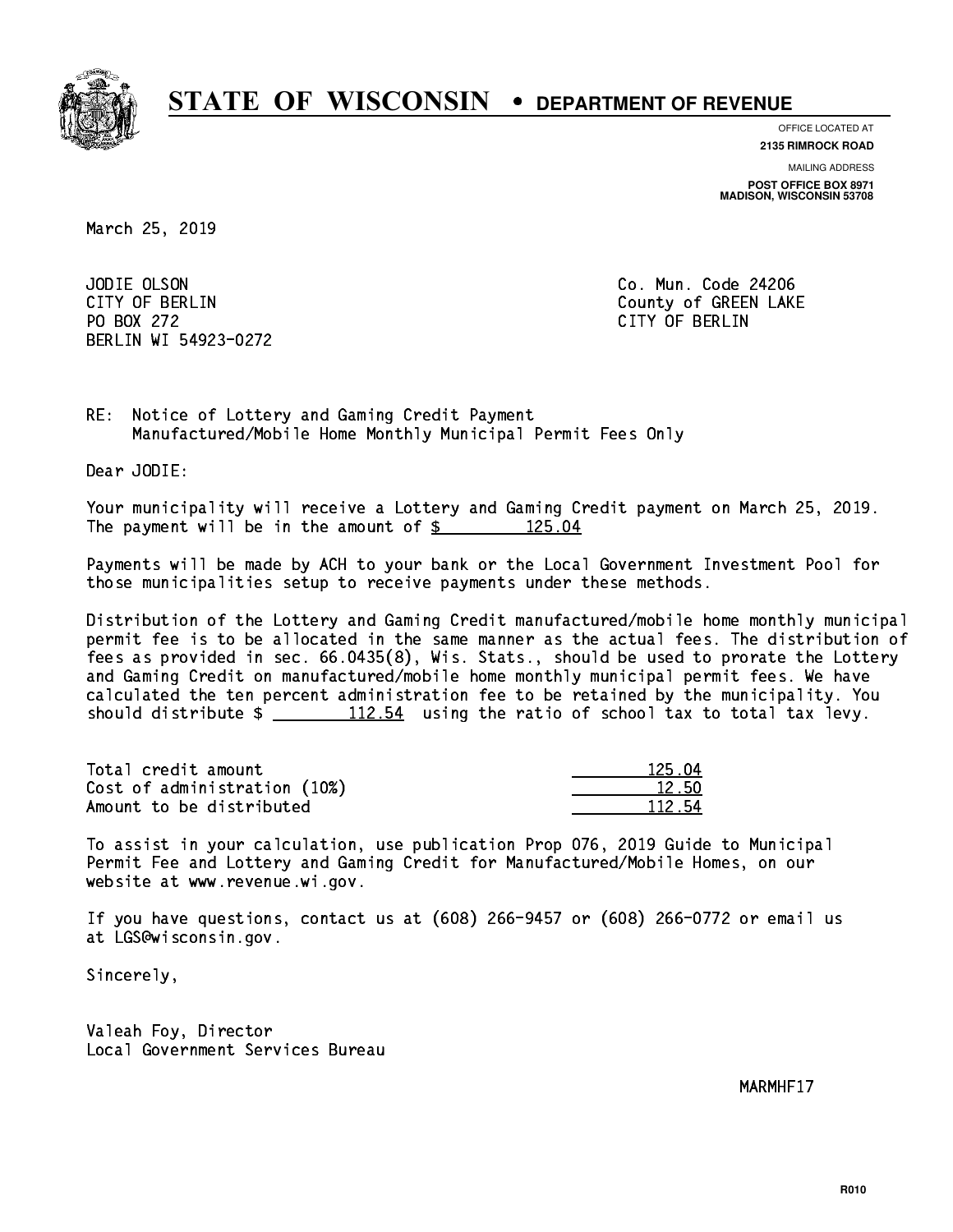

**OFFICE LOCATED AT**

**2135 RIMROCK ROAD**

**MAILING ADDRESS**

**POST OFFICE BOX 8971 MADISON, WISCONSIN 53708**

March 25, 2019

JODIE OLSON PO BOX 272 CITY OF BERLIN BERLIN WI 54923-0272

Co. Mun. Code 24206 CITY OF BERLIN COUNTY OF BERLIN

RE: Notice of Lottery and Gaming Credit Payment Manufactured/Mobile Home Monthly Municipal Permit Fees Only

Dear JODIE:

 Your municipality will receive a Lottery and Gaming Credit payment on March 25, 2019. The payment will be in the amount of  $\frac{25.04}{125.04}$ 

 Payments will be made by ACH to your bank or the Local Government Investment Pool for those municipalities setup to receive payments under these methods.

 Distribution of the Lottery and Gaming Credit manufactured/mobile home monthly municipal permit fee is to be allocated in the same manner as the actual fees. The distribution of fees as provided in sec. 66.0435(8), Wis. Stats., should be used to prorate the Lottery and Gaming Credit on manufactured/mobile home monthly municipal permit fees. We have calculated the ten percent administration fee to be retained by the municipality. You should distribute  $\frac{112.54}{12.54}$  using the ratio of school tax to total tax levy.

Total credit amount Cost of administration (10%) Amount to be distributed

| м<br>クトー |
|----------|
| 12 5በ    |
| 112.54   |

 To assist in your calculation, use publication Prop 076, 2019 Guide to Municipal Permit Fee and Lottery and Gaming Credit for Manufactured/Mobile Homes, on our website at www.revenue.wi.gov.

 If you have questions, contact us at (608) 266-9457 or (608) 266-0772 or email us at LGS@wisconsin.gov.

Sincerely,

 Valeah Foy, Director Local Government Services Bureau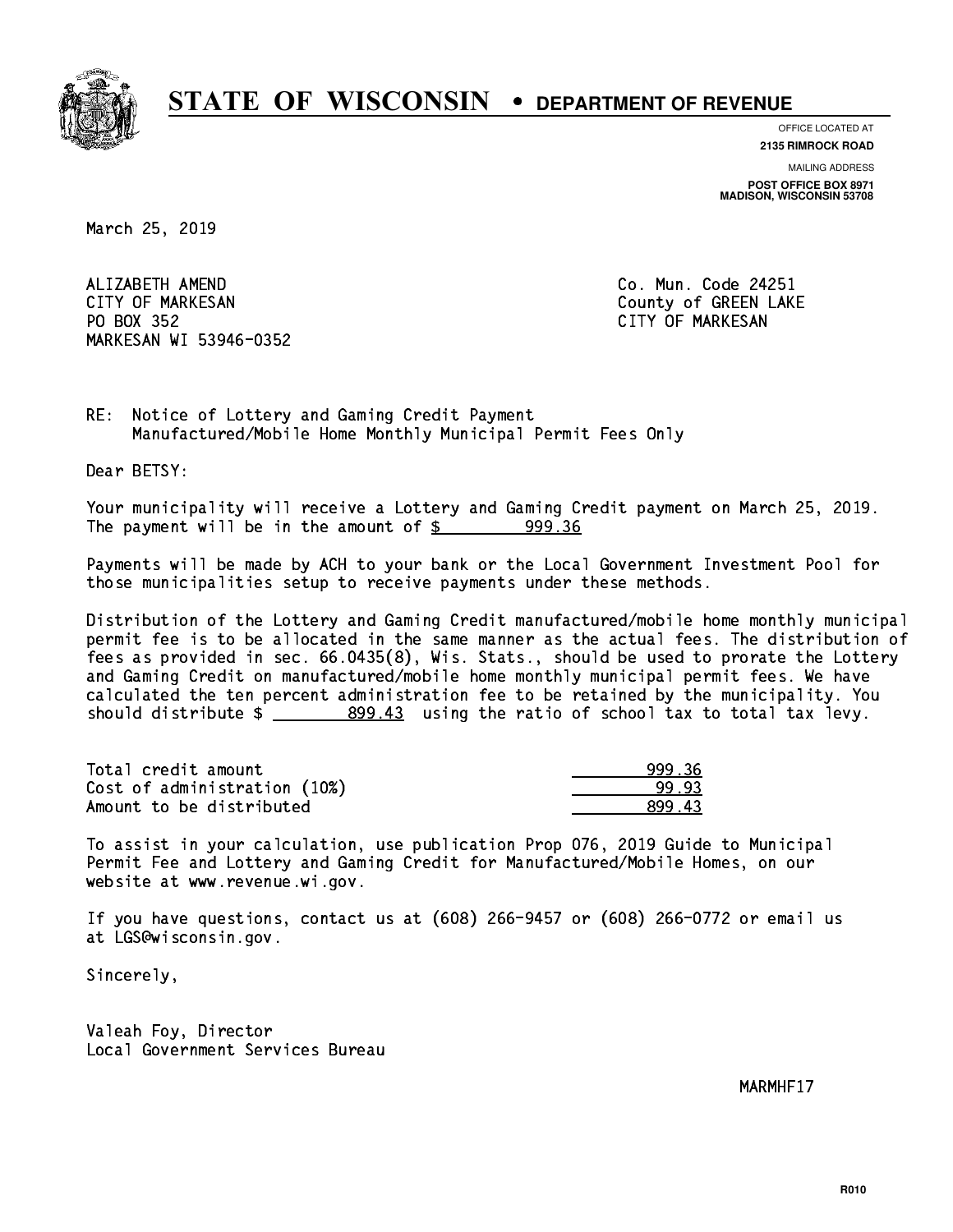

**OFFICE LOCATED AT**

**2135 RIMROCK ROAD**

**MAILING ADDRESS POST OFFICE BOX 8971 MADISON, WISCONSIN 53708**

March 25, 2019

 ALIZABETH AMEND Co. Mun. Code 24251 CITY OF MARKESAN County of GREEN LAKE PO BOX 352 PO BOX 352 CITY OF MARKESAN MARKESAN WI 53946-0352

RE: Notice of Lottery and Gaming Credit Payment Manufactured/Mobile Home Monthly Municipal Permit Fees Only

Dear BETSY:

 Your municipality will receive a Lottery and Gaming Credit payment on March 25, 2019. The payment will be in the amount of  $\frac{2}{3}$  999.36

 Payments will be made by ACH to your bank or the Local Government Investment Pool for those municipalities setup to receive payments under these methods.

 Distribution of the Lottery and Gaming Credit manufactured/mobile home monthly municipal permit fee is to be allocated in the same manner as the actual fees. The distribution of fees as provided in sec. 66.0435(8), Wis. Stats., should be used to prorate the Lottery and Gaming Credit on manufactured/mobile home monthly municipal permit fees. We have calculated the ten percent administration fee to be retained by the municipality. You should distribute  $\frac{209.43}{20.43}$  using the ratio of school tax to total tax levy.

| Total credit amount          | 999.36 |
|------------------------------|--------|
| Cost of administration (10%) | 99.93  |
| Amount to be distributed     | 899.43 |

 To assist in your calculation, use publication Prop 076, 2019 Guide to Municipal Permit Fee and Lottery and Gaming Credit for Manufactured/Mobile Homes, on our website at www.revenue.wi.gov.

 If you have questions, contact us at (608) 266-9457 or (608) 266-0772 or email us at LGS@wisconsin.gov.

Sincerely,

 Valeah Foy, Director Local Government Services Bureau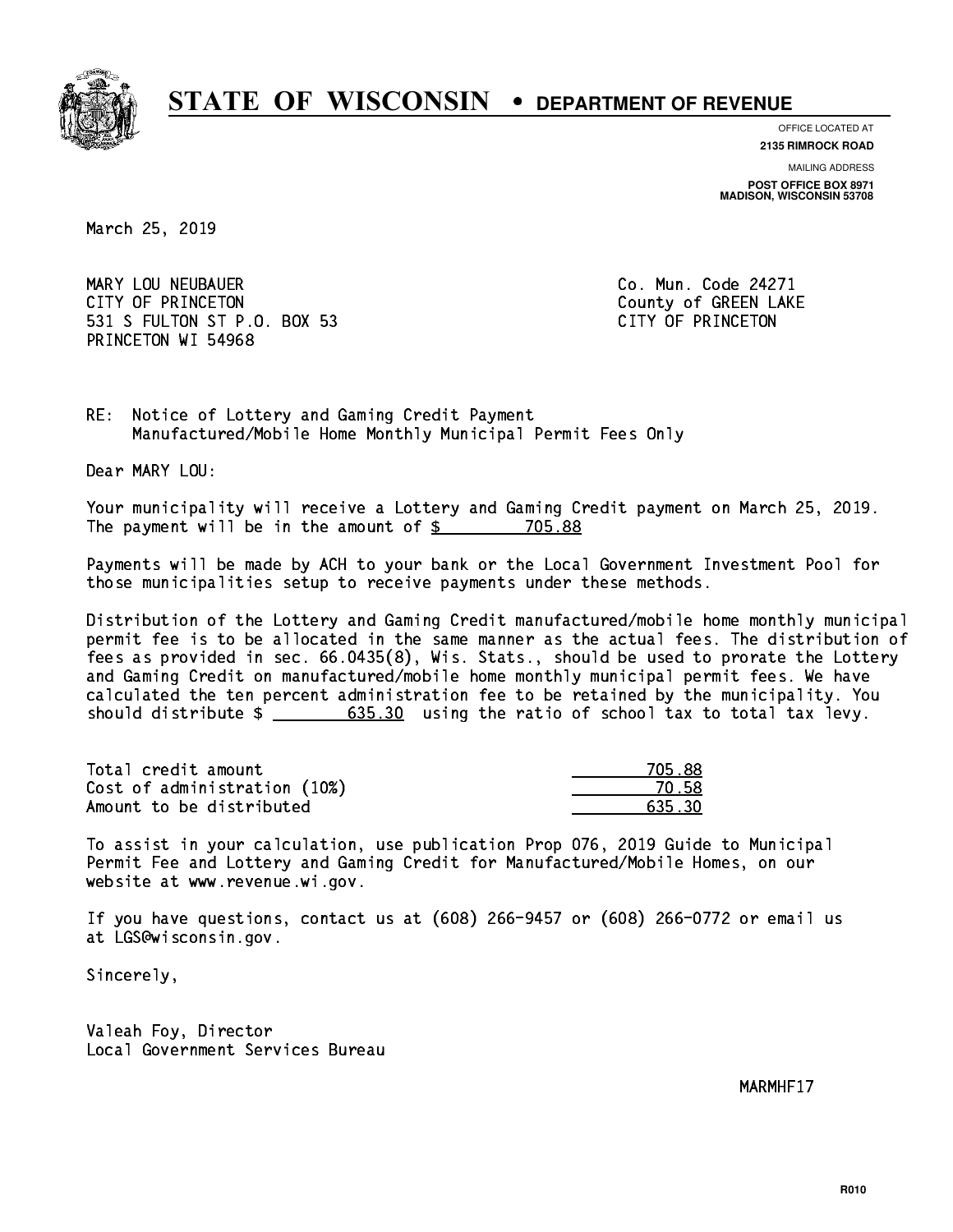

**OFFICE LOCATED AT**

**2135 RIMROCK ROAD**

**MAILING ADDRESS POST OFFICE BOX 8971 MADISON, WISCONSIN 53708**

March 25, 2019

 MARY LOU NEUBAUER Co. Mun. Code 24271 CITY OF PRINCETON COUNTY OF PRINCETON 531 S FULTON ST P.O. BOX 53 CITY OF PRINCETON PRINCETON WI 54968

RE: Notice of Lottery and Gaming Credit Payment Manufactured/Mobile Home Monthly Municipal Permit Fees Only

Dear MARY LOU:

 Your municipality will receive a Lottery and Gaming Credit payment on March 25, 2019. The payment will be in the amount of  $$ 705.88$ 

 Payments will be made by ACH to your bank or the Local Government Investment Pool for those municipalities setup to receive payments under these methods.

 Distribution of the Lottery and Gaming Credit manufactured/mobile home monthly municipal permit fee is to be allocated in the same manner as the actual fees. The distribution of fees as provided in sec. 66.0435(8), Wis. Stats., should be used to prorate the Lottery and Gaming Credit on manufactured/mobile home monthly municipal permit fees. We have calculated the ten percent administration fee to be retained by the municipality. You should distribute  $\frac{2}{1}$   $\frac{635.30}{2}$  using the ratio of school tax to total tax levy.

Total credit amount Cost of administration (10%) Amount to be distributed

| 88<br>7.<br>∤ או |
|------------------|
| N 58             |
| 635 30           |

 To assist in your calculation, use publication Prop 076, 2019 Guide to Municipal Permit Fee and Lottery and Gaming Credit for Manufactured/Mobile Homes, on our website at www.revenue.wi.gov.

 If you have questions, contact us at (608) 266-9457 or (608) 266-0772 or email us at LGS@wisconsin.gov.

Sincerely,

 Valeah Foy, Director Local Government Services Bureau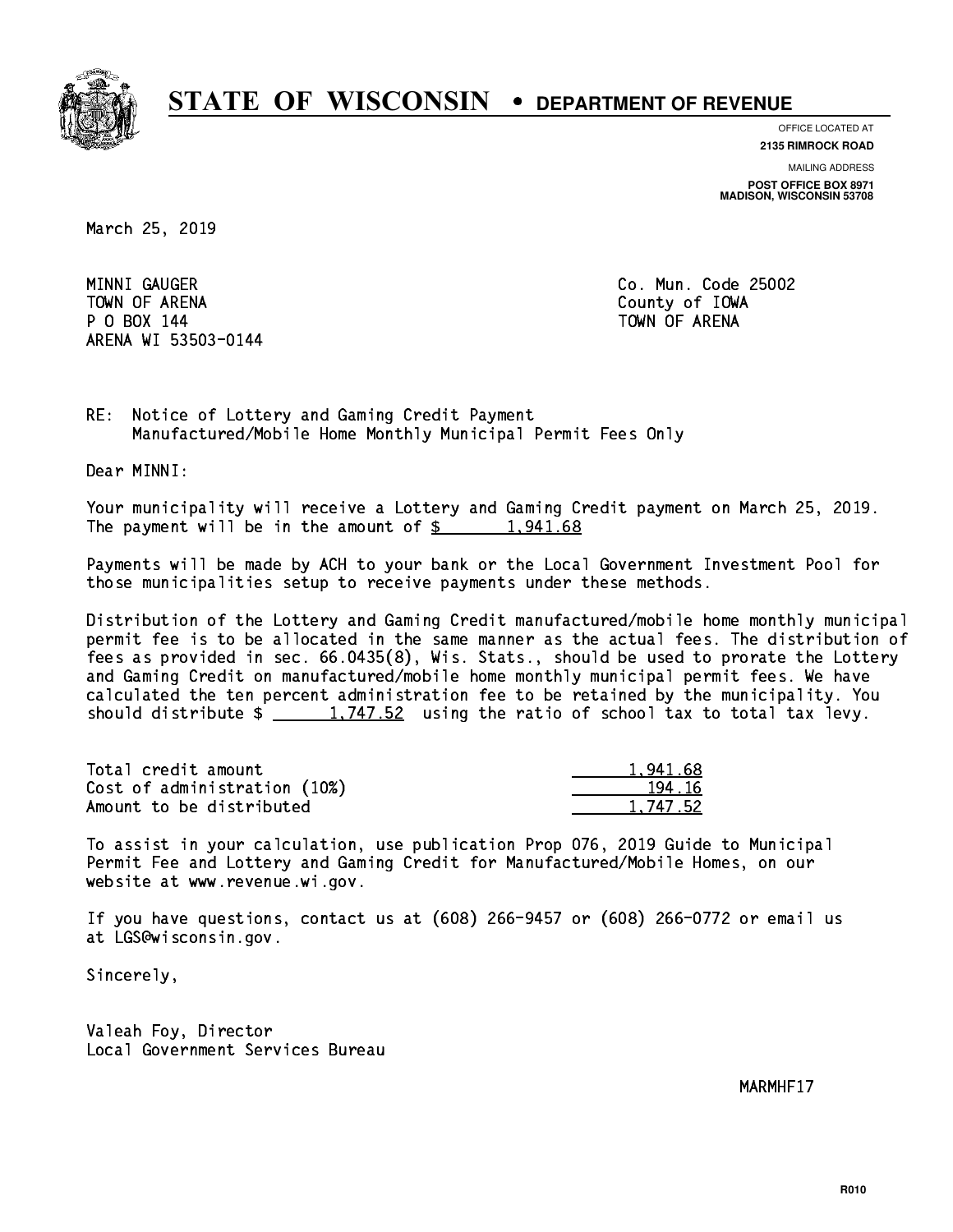

**OFFICE LOCATED AT**

**2135 RIMROCK ROAD**

**MAILING ADDRESS POST OFFICE BOX 8971 MADISON, WISCONSIN 53708**

March 25, 2019

MINNI GAUGER TOWN OF ARENA County of IOWA P O BOX 144 TOWN OF ARENA ARENA WI 53503-0144

Co. Mun. Code 25002

RE: Notice of Lottery and Gaming Credit Payment Manufactured/Mobile Home Monthly Municipal Permit Fees Only

Dear MINNI:

 Your municipality will receive a Lottery and Gaming Credit payment on March 25, 2019. The payment will be in the amount of  $\frac{2}{3}$  1,941.68

 Payments will be made by ACH to your bank or the Local Government Investment Pool for those municipalities setup to receive payments under these methods.

 Distribution of the Lottery and Gaming Credit manufactured/mobile home monthly municipal permit fee is to be allocated in the same manner as the actual fees. The distribution of fees as provided in sec. 66.0435(8), Wis. Stats., should be used to prorate the Lottery and Gaming Credit on manufactured/mobile home monthly municipal permit fees. We have calculated the ten percent administration fee to be retained by the municipality. You should distribute  $\frac{1,747.52}{1,747.52}$  using the ratio of school tax to total tax levy.

| Total credit amount          | 1.941.68 |
|------------------------------|----------|
| Cost of administration (10%) | 194.16   |
| Amount to be distributed     | 1.747.52 |

 To assist in your calculation, use publication Prop 076, 2019 Guide to Municipal Permit Fee and Lottery and Gaming Credit for Manufactured/Mobile Homes, on our website at www.revenue.wi.gov.

 If you have questions, contact us at (608) 266-9457 or (608) 266-0772 or email us at LGS@wisconsin.gov.

Sincerely,

 Valeah Foy, Director Local Government Services Bureau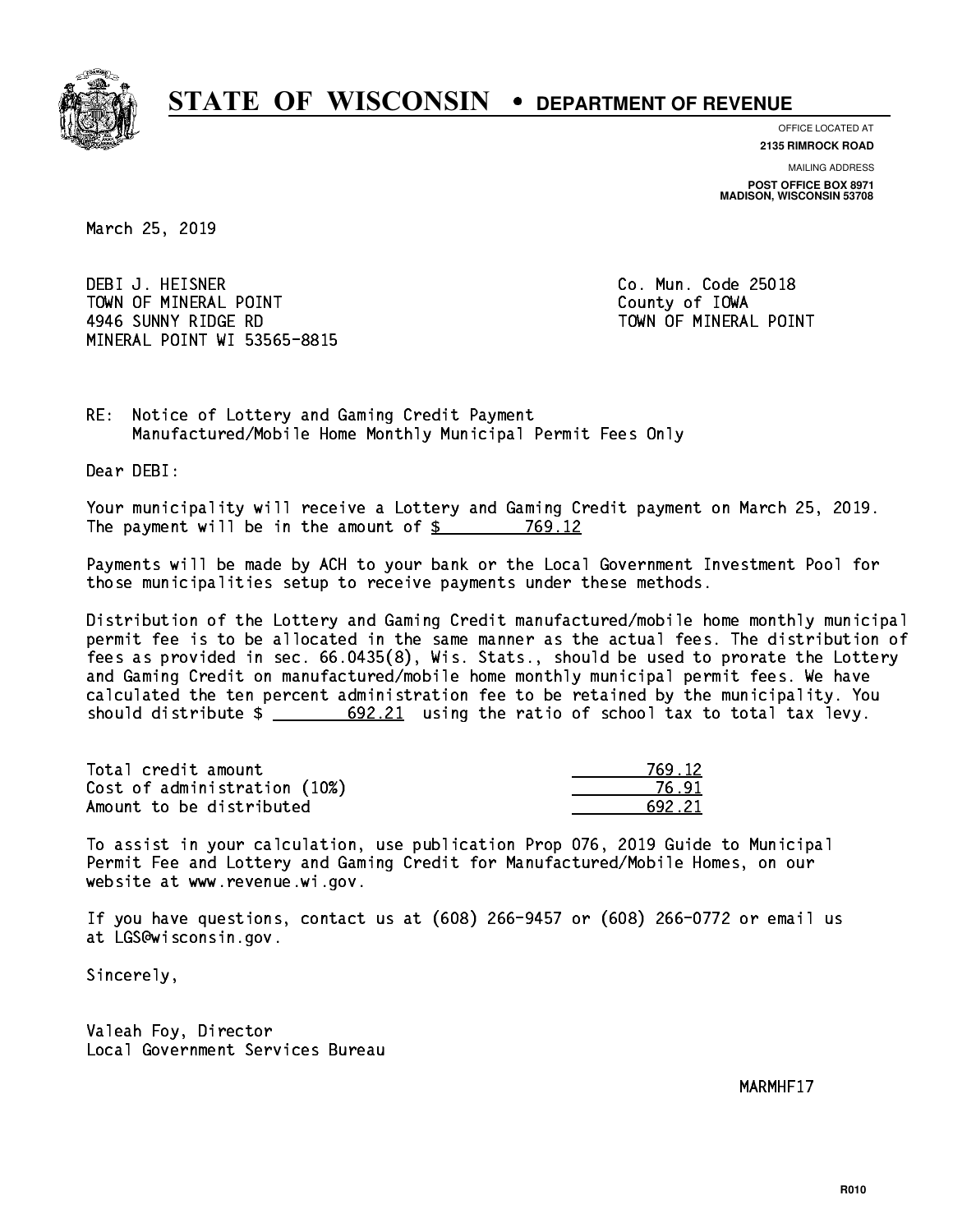

**OFFICE LOCATED AT**

**2135 RIMROCK ROAD**

**MAILING ADDRESS POST OFFICE BOX 8971 MADISON, WISCONSIN 53708**

March 25, 2019

 DEBI J. HEISNER Co. Mun. Code 25018 TOWN OF MINERAL POINT TOWN TOWN County of IOWA 4946 SUNNY RIDGE RD TOWN OF MINERAL POINT MINERAL POINT WI 53565-8815

RE: Notice of Lottery and Gaming Credit Payment Manufactured/Mobile Home Monthly Municipal Permit Fees Only

Dear DEBI:

 Your municipality will receive a Lottery and Gaming Credit payment on March 25, 2019. The payment will be in the amount of \$ 769.12 \_\_\_\_\_\_\_\_\_\_\_\_\_\_\_\_

 Payments will be made by ACH to your bank or the Local Government Investment Pool for those municipalities setup to receive payments under these methods.

 Distribution of the Lottery and Gaming Credit manufactured/mobile home monthly municipal permit fee is to be allocated in the same manner as the actual fees. The distribution of fees as provided in sec. 66.0435(8), Wis. Stats., should be used to prorate the Lottery and Gaming Credit on manufactured/mobile home monthly municipal permit fees. We have calculated the ten percent administration fee to be retained by the municipality. You should distribute  $\frac{2}{2}$   $\frac{692.21}{2}$  using the ratio of school tax to total tax levy.

| Total credit amount          | 769 12 |
|------------------------------|--------|
| Cost of administration (10%) | 76.9   |
| Amount to be distributed     | 692 21 |

 To assist in your calculation, use publication Prop 076, 2019 Guide to Municipal Permit Fee and Lottery and Gaming Credit for Manufactured/Mobile Homes, on our website at www.revenue.wi.gov.

 If you have questions, contact us at (608) 266-9457 or (608) 266-0772 or email us at LGS@wisconsin.gov.

Sincerely,

 Valeah Foy, Director Local Government Services Bureau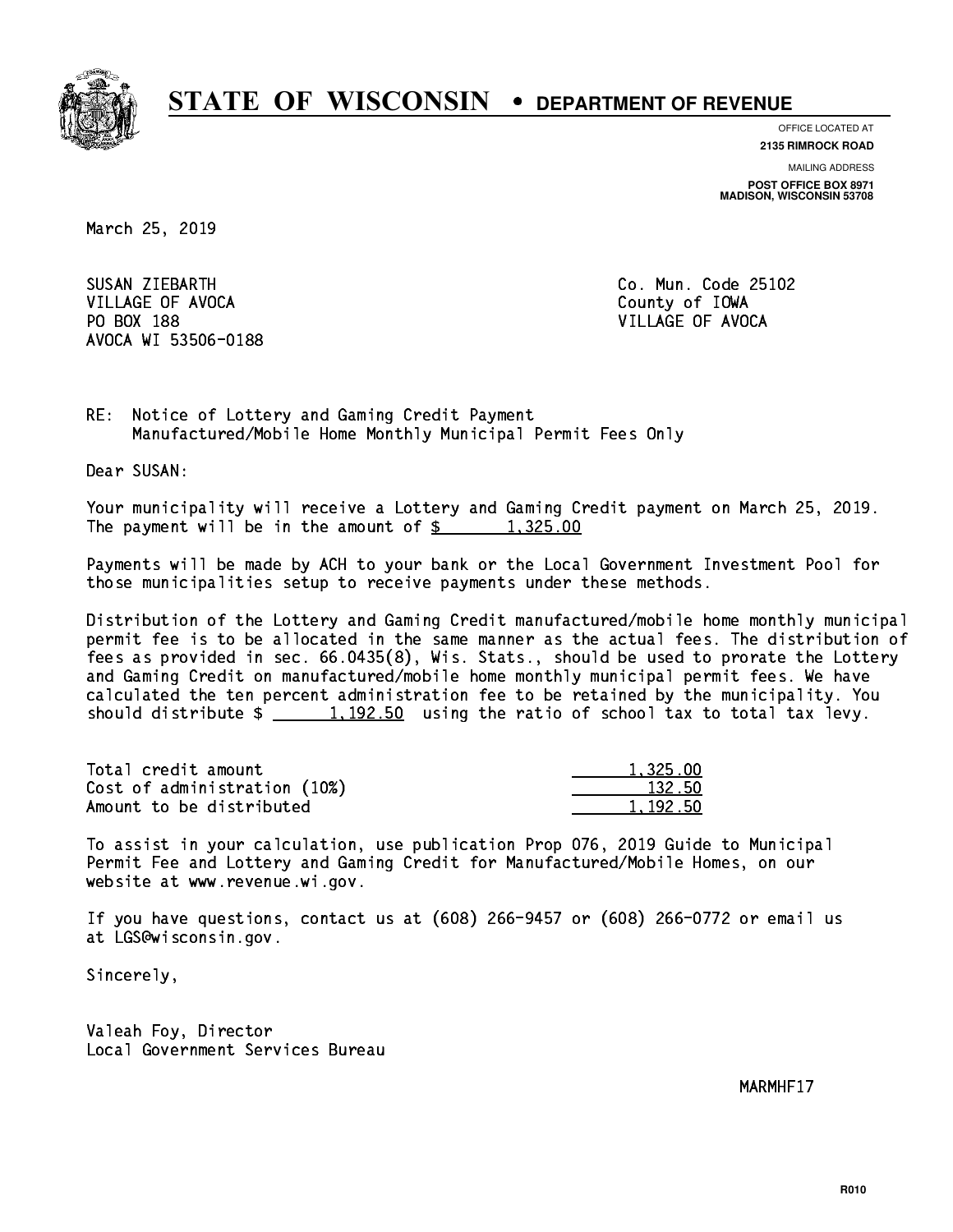

**OFFICE LOCATED AT**

**2135 RIMROCK ROAD**

**MAILING ADDRESS POST OFFICE BOX 8971 MADISON, WISCONSIN 53708**

March 25, 2019

SUSAN ZIEBARTH VILLAGE OF AVOCA County of IOWA PO BOX 188 VILLAGE OF AVOCA AVOCA WI 53506-0188

Co. Mun. Code 25102

RE: Notice of Lottery and Gaming Credit Payment Manufactured/Mobile Home Monthly Municipal Permit Fees Only

Dear SUSAN:

 Your municipality will receive a Lottery and Gaming Credit payment on March 25, 2019. The payment will be in the amount of  $\frac{2}{3}$  1,325.00

 Payments will be made by ACH to your bank or the Local Government Investment Pool for those municipalities setup to receive payments under these methods.

 Distribution of the Lottery and Gaming Credit manufactured/mobile home monthly municipal permit fee is to be allocated in the same manner as the actual fees. The distribution of fees as provided in sec. 66.0435(8), Wis. Stats., should be used to prorate the Lottery and Gaming Credit on manufactured/mobile home monthly municipal permit fees. We have calculated the ten percent administration fee to be retained by the municipality. You should distribute  $\frac{1,192.50}{1,192.50}$  using the ratio of school tax to total tax levy.

| Total credit amount          | 1,325.00 |
|------------------------------|----------|
| Cost of administration (10%) | 132.50   |
| Amount to be distributed     | 1.192.50 |

 To assist in your calculation, use publication Prop 076, 2019 Guide to Municipal Permit Fee and Lottery and Gaming Credit for Manufactured/Mobile Homes, on our website at www.revenue.wi.gov.

 If you have questions, contact us at (608) 266-9457 or (608) 266-0772 or email us at LGS@wisconsin.gov.

Sincerely,

 Valeah Foy, Director Local Government Services Bureau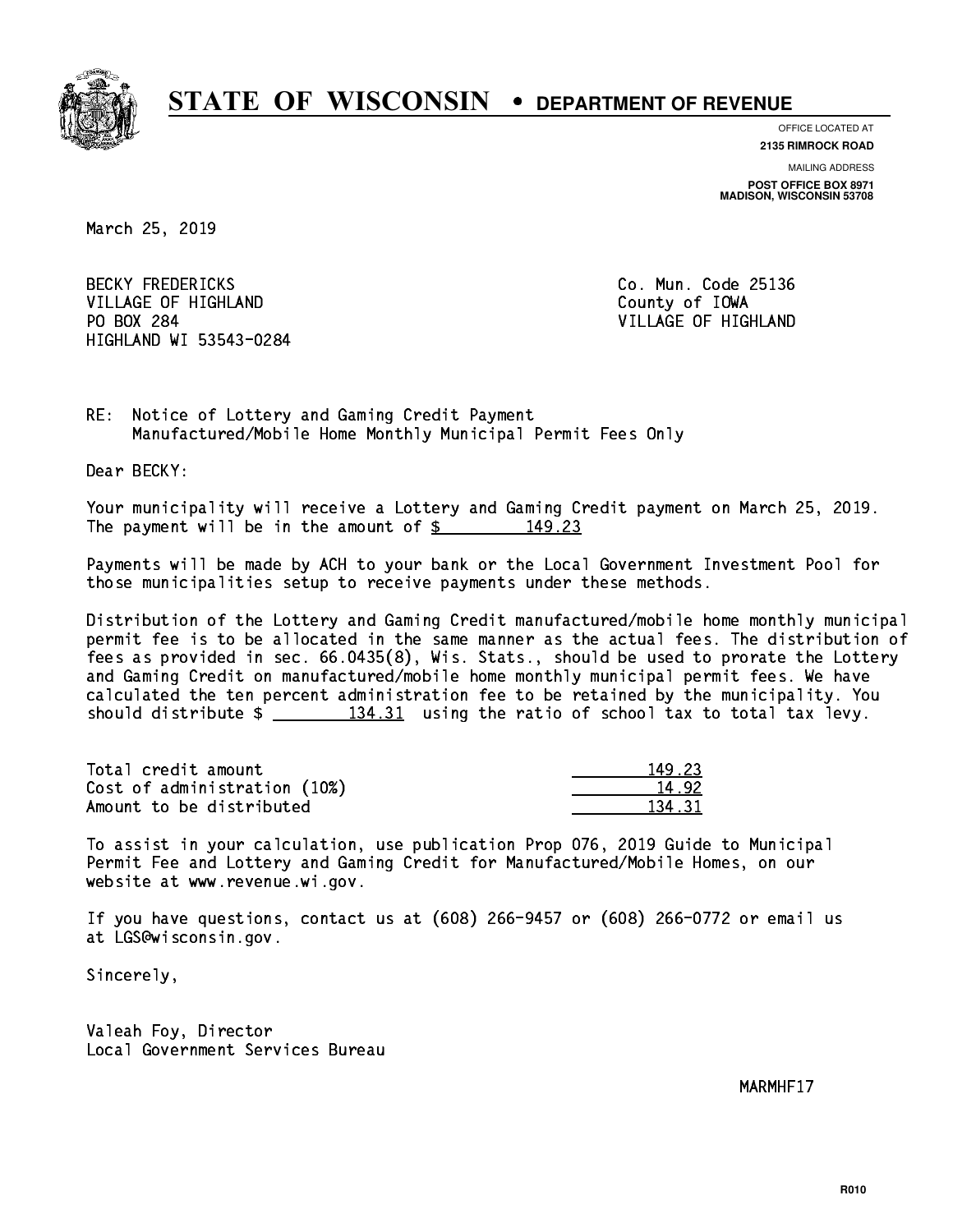

**OFFICE LOCATED AT**

**2135 RIMROCK ROAD**

**MAILING ADDRESS POST OFFICE BOX 8971 MADISON, WISCONSIN 53708**

March 25, 2019

**BECKY FREDERICKS** VILLAGE OF HIGHLAND **County of IOWA** PO BOX 284 HIGHLAND WI 53543-0284

Co. Mun. Code 25136 VILLAGE OF HIGHLAND

RE: Notice of Lottery and Gaming Credit Payment Manufactured/Mobile Home Monthly Municipal Permit Fees Only

Dear BECKY:

 Your municipality will receive a Lottery and Gaming Credit payment on March 25, 2019. The payment will be in the amount of \$ 149.23 \_\_\_\_\_\_\_\_\_\_\_\_\_\_\_\_

 Payments will be made by ACH to your bank or the Local Government Investment Pool for those municipalities setup to receive payments under these methods.

 Distribution of the Lottery and Gaming Credit manufactured/mobile home monthly municipal permit fee is to be allocated in the same manner as the actual fees. The distribution of fees as provided in sec. 66.0435(8), Wis. Stats., should be used to prorate the Lottery and Gaming Credit on manufactured/mobile home monthly municipal permit fees. We have calculated the ten percent administration fee to be retained by the municipality. You should distribute  $\frac{134.31}{134.31}$  using the ratio of school tax to total tax levy.

Total credit amount Cost of administration (10%) Amount to be distributed

| - 23       |
|------------|
| 12.        |
| . 21<br>п. |

 To assist in your calculation, use publication Prop 076, 2019 Guide to Municipal Permit Fee and Lottery and Gaming Credit for Manufactured/Mobile Homes, on our website at www.revenue.wi.gov.

 If you have questions, contact us at (608) 266-9457 or (608) 266-0772 or email us at LGS@wisconsin.gov.

Sincerely,

 Valeah Foy, Director Local Government Services Bureau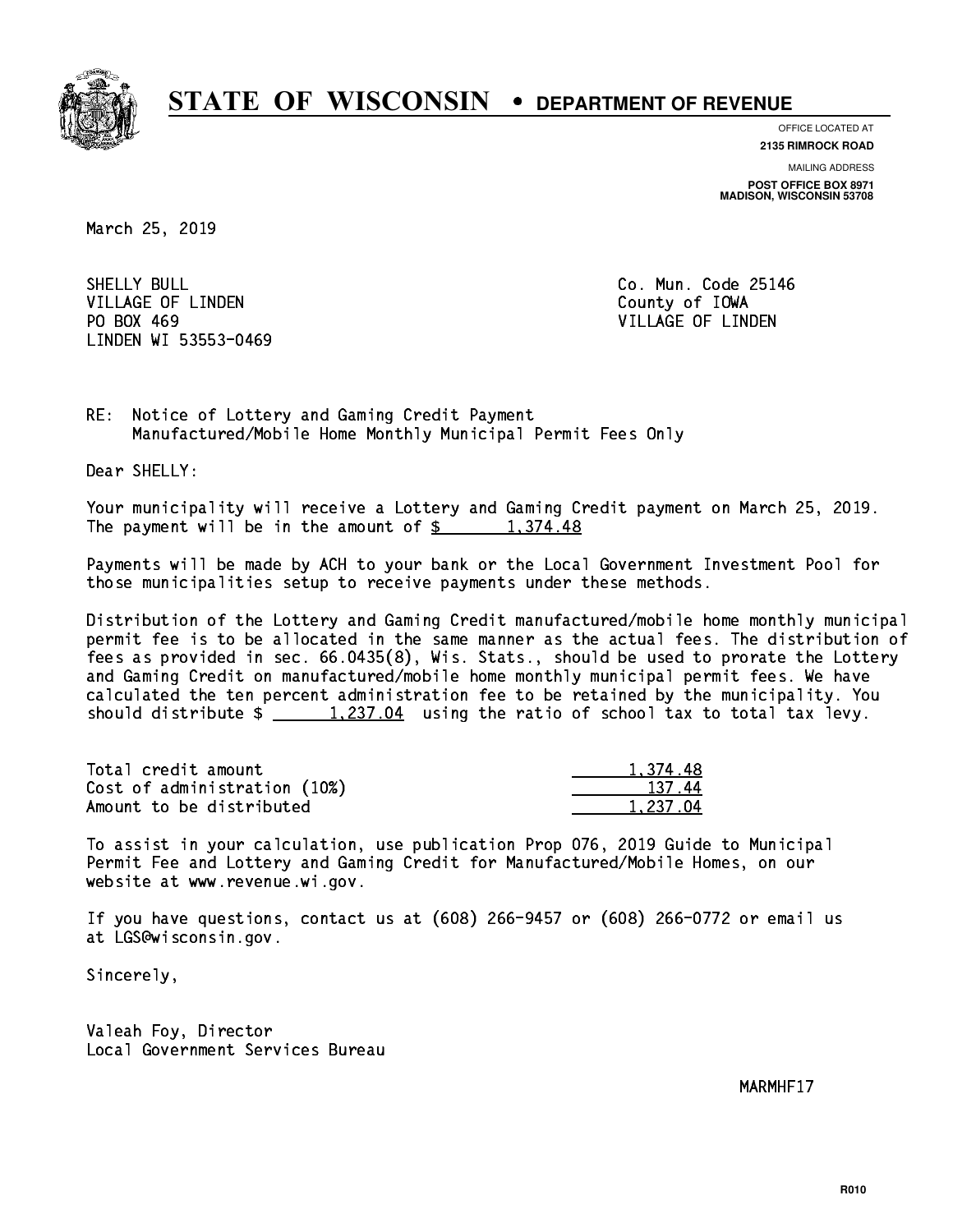

**OFFICE LOCATED AT**

**2135 RIMROCK ROAD**

**MAILING ADDRESS POST OFFICE BOX 8971 MADISON, WISCONSIN 53708**

March 25, 2019

SHELLY BULL VILLAGE OF LINDEN COUNTY OF LOOKS PO BOX 469 LINDEN WI 53553-0469

Co. Mun. Code 25146 VILLAGE OF LINDEN

RE: Notice of Lottery and Gaming Credit Payment Manufactured/Mobile Home Monthly Municipal Permit Fees Only

Dear SHELLY:

 Your municipality will receive a Lottery and Gaming Credit payment on March 25, 2019. The payment will be in the amount of  $\frac{2}{3}$  1,374.48

 Payments will be made by ACH to your bank or the Local Government Investment Pool for those municipalities setup to receive payments under these methods.

 Distribution of the Lottery and Gaming Credit manufactured/mobile home monthly municipal permit fee is to be allocated in the same manner as the actual fees. The distribution of fees as provided in sec. 66.0435(8), Wis. Stats., should be used to prorate the Lottery and Gaming Credit on manufactured/mobile home monthly municipal permit fees. We have calculated the ten percent administration fee to be retained by the municipality. You should distribute  $\frac{1,237.04}{1,237.04}$  using the ratio of school tax to total tax levy.

| Total credit amount          | 1.374.48 |
|------------------------------|----------|
| Cost of administration (10%) | 137.44   |
| Amount to be distributed     | 1.237.04 |

 To assist in your calculation, use publication Prop 076, 2019 Guide to Municipal Permit Fee and Lottery and Gaming Credit for Manufactured/Mobile Homes, on our website at www.revenue.wi.gov.

 If you have questions, contact us at (608) 266-9457 or (608) 266-0772 or email us at LGS@wisconsin.gov.

Sincerely,

 Valeah Foy, Director Local Government Services Bureau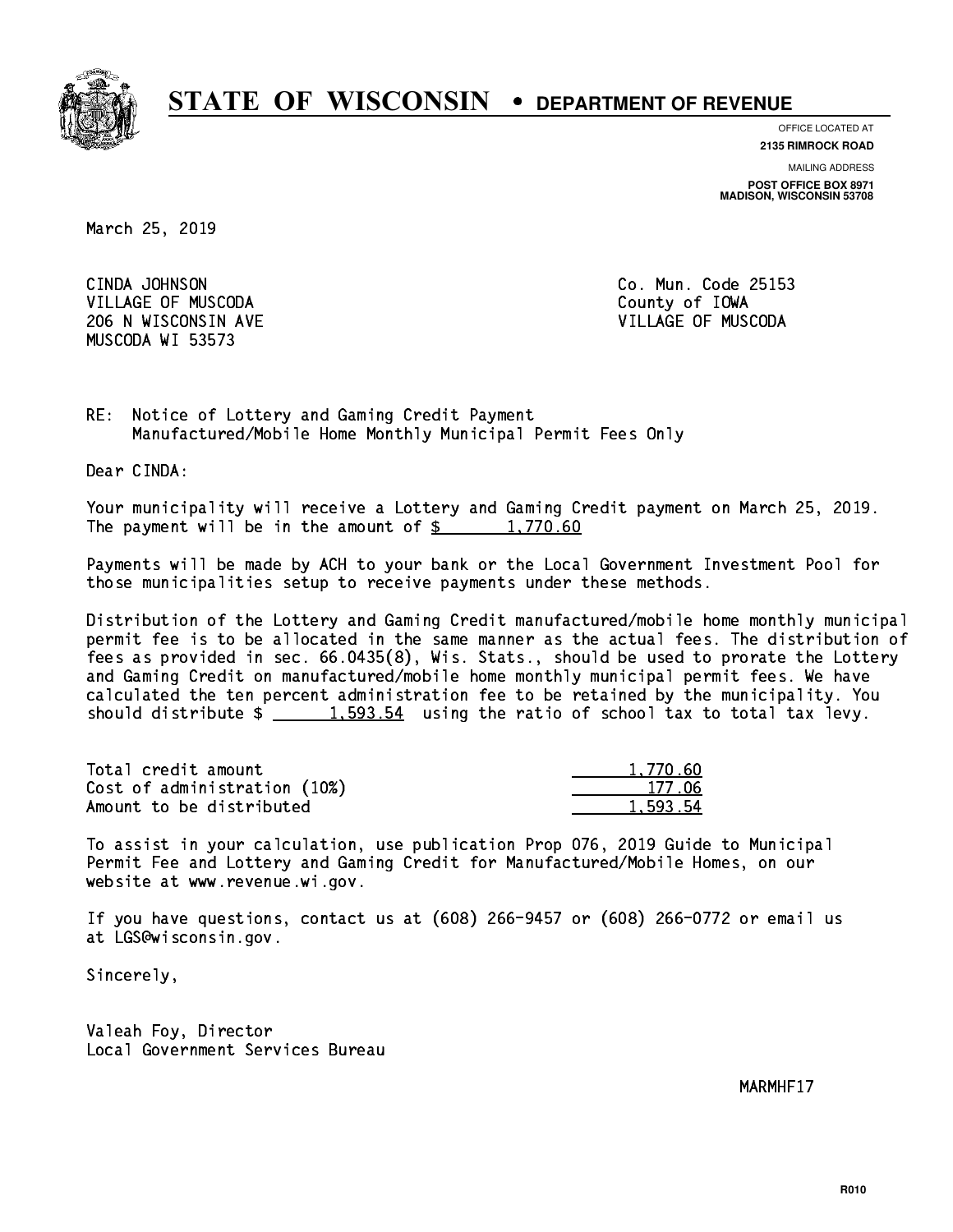

**OFFICE LOCATED AT**

**2135 RIMROCK ROAD**

**MAILING ADDRESS POST OFFICE BOX 8971 MADISON, WISCONSIN 53708**

March 25, 2019

CINDA JOHNSON VILLAGE OF MUSCODA County of IOWA 206 N WISCONSIN AVE VILLAGE OF MUSCODA MUSCODA WI 53573

Co. Mun. Code 25153

RE: Notice of Lottery and Gaming Credit Payment Manufactured/Mobile Home Monthly Municipal Permit Fees Only

Dear CINDA:

 Your municipality will receive a Lottery and Gaming Credit payment on March 25, 2019. The payment will be in the amount of  $\frac{2}{3}$  1,770.60

 Payments will be made by ACH to your bank or the Local Government Investment Pool for those municipalities setup to receive payments under these methods.

 Distribution of the Lottery and Gaming Credit manufactured/mobile home monthly municipal permit fee is to be allocated in the same manner as the actual fees. The distribution of fees as provided in sec. 66.0435(8), Wis. Stats., should be used to prorate the Lottery and Gaming Credit on manufactured/mobile home monthly municipal permit fees. We have calculated the ten percent administration fee to be retained by the municipality. You should distribute  $\frac{1.593.54}{1.593.54}$  using the ratio of school tax to total tax levy.

| Total credit amount          | 1,770.60 |
|------------------------------|----------|
| Cost of administration (10%) | 177.06   |
| Amount to be distributed     | 1,593.54 |

 To assist in your calculation, use publication Prop 076, 2019 Guide to Municipal Permit Fee and Lottery and Gaming Credit for Manufactured/Mobile Homes, on our website at www.revenue.wi.gov.

 If you have questions, contact us at (608) 266-9457 or (608) 266-0772 or email us at LGS@wisconsin.gov.

Sincerely,

 Valeah Foy, Director Local Government Services Bureau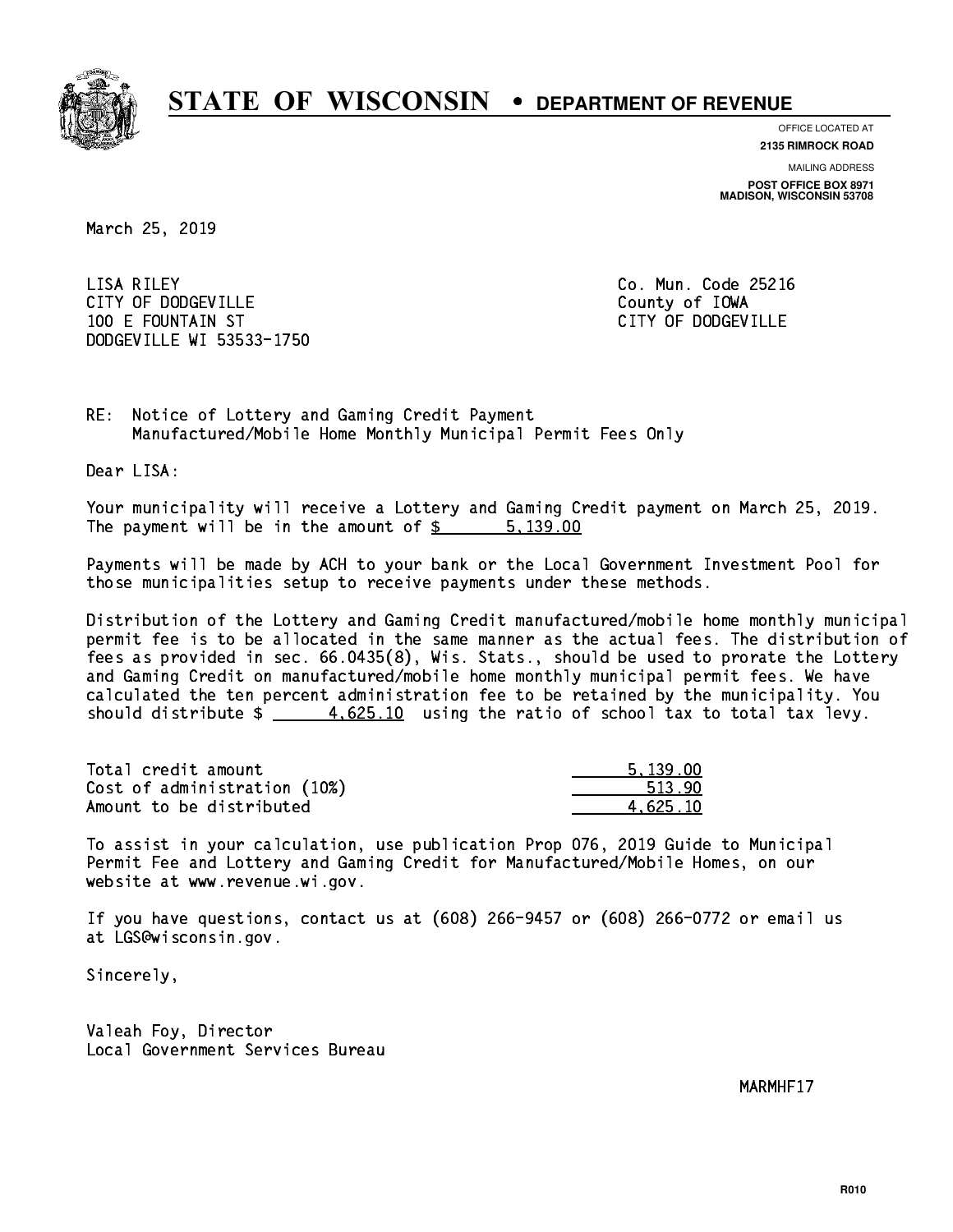

**OFFICE LOCATED AT**

**2135 RIMROCK ROAD**

**MAILING ADDRESS POST OFFICE BOX 8971 MADISON, WISCONSIN 53708**

March 25, 2019

 LISA RILEY Co. Mun. Code 25216 CITY OF DODGEVILLE **COUNTY COUNTY OF IOWA**  100 E FOUNTAIN ST CITY OF DODGEVILLE DODGEVILLE WI 53533-1750

RE: Notice of Lottery and Gaming Credit Payment Manufactured/Mobile Home Monthly Municipal Permit Fees Only

Dear LISA:

 Your municipality will receive a Lottery and Gaming Credit payment on March 25, 2019. The payment will be in the amount of \$ 5,139.00 \_\_\_\_\_\_\_\_\_\_\_\_\_\_\_\_

 Payments will be made by ACH to your bank or the Local Government Investment Pool for those municipalities setup to receive payments under these methods.

 Distribution of the Lottery and Gaming Credit manufactured/mobile home monthly municipal permit fee is to be allocated in the same manner as the actual fees. The distribution of fees as provided in sec. 66.0435(8), Wis. Stats., should be used to prorate the Lottery and Gaming Credit on manufactured/mobile home monthly municipal permit fees. We have calculated the ten percent administration fee to be retained by the municipality. You should distribute  $\frac{4.625.10}{1}$  using the ratio of school tax to total tax levy.

| Total credit amount          | 5.139.00 |
|------------------------------|----------|
| Cost of administration (10%) | 513.90   |
| Amount to be distributed     | 4.625.10 |

 To assist in your calculation, use publication Prop 076, 2019 Guide to Municipal Permit Fee and Lottery and Gaming Credit for Manufactured/Mobile Homes, on our website at www.revenue.wi.gov.

 If you have questions, contact us at (608) 266-9457 or (608) 266-0772 or email us at LGS@wisconsin.gov.

Sincerely,

 Valeah Foy, Director Local Government Services Bureau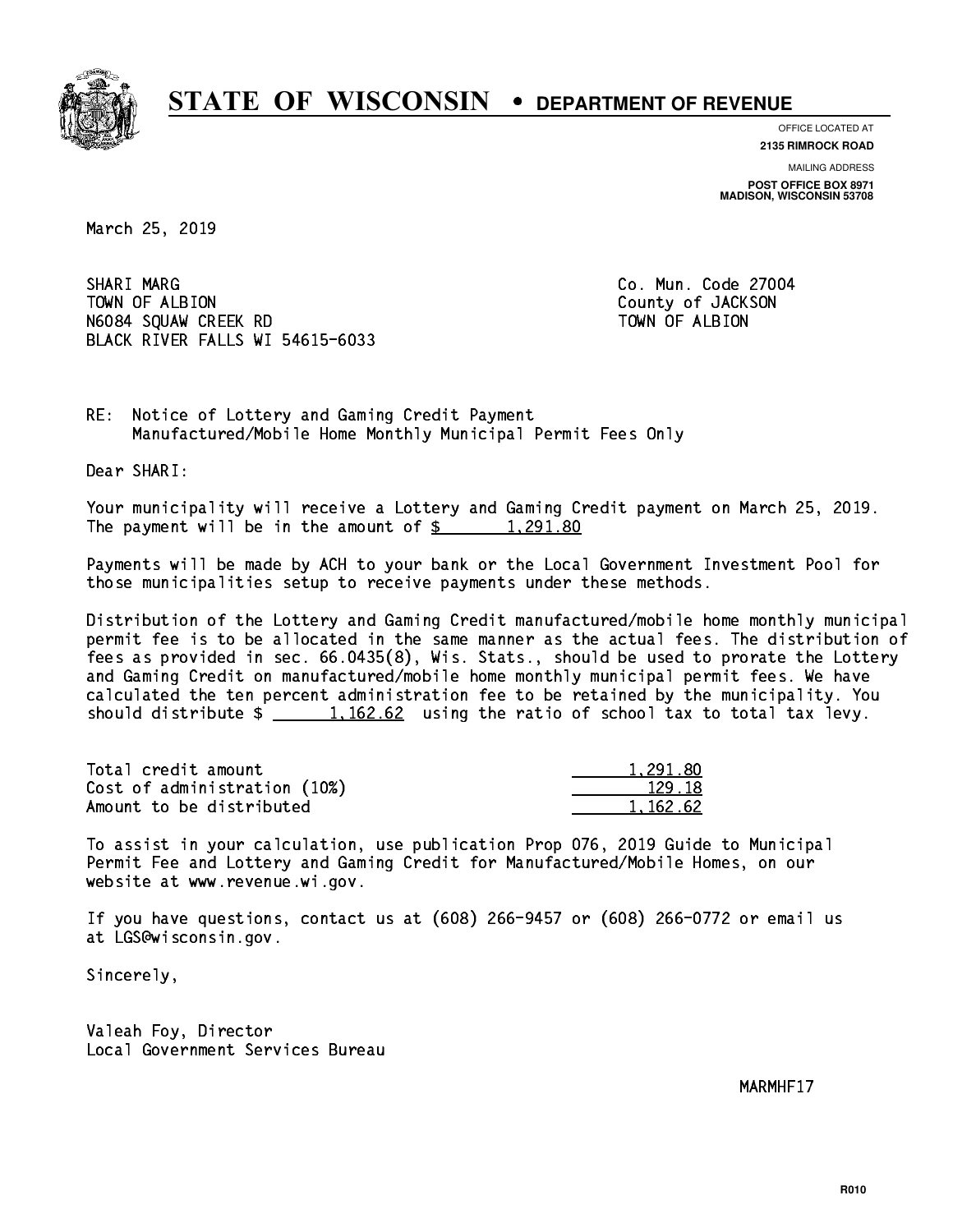

**OFFICE LOCATED AT 2135 RIMROCK ROAD**

**MAILING ADDRESS**

**POST OFFICE BOX 8971 MADISON, WISCONSIN 53708**

March 25, 2019

SHARI MARG TOWN OF ALBION County of JACKSON N6084 SQUAW CREEK RD TOWN OF ALBION BLACK RIVER FALLS WI 54615-6033

Co. Mun. Code 27004

RE: Notice of Lottery and Gaming Credit Payment Manufactured/Mobile Home Monthly Municipal Permit Fees Only

Dear SHARI:

 Your municipality will receive a Lottery and Gaming Credit payment on March 25, 2019. The payment will be in the amount of  $\frac{2}{3}$  1,291.80

 Payments will be made by ACH to your bank or the Local Government Investment Pool for those municipalities setup to receive payments under these methods.

 Distribution of the Lottery and Gaming Credit manufactured/mobile home monthly municipal permit fee is to be allocated in the same manner as the actual fees. The distribution of fees as provided in sec. 66.0435(8), Wis. Stats., should be used to prorate the Lottery and Gaming Credit on manufactured/mobile home monthly municipal permit fees. We have calculated the ten percent administration fee to be retained by the municipality. You should distribute  $\frac{1}{2}$   $\frac{1}{162.62}$  using the ratio of school tax to total tax levy.

| Total credit amount          | 1,291.80 |
|------------------------------|----------|
| Cost of administration (10%) | 129.18   |
| Amount to be distributed     | 1.162.62 |

 To assist in your calculation, use publication Prop 076, 2019 Guide to Municipal Permit Fee and Lottery and Gaming Credit for Manufactured/Mobile Homes, on our website at www.revenue.wi.gov.

 If you have questions, contact us at (608) 266-9457 or (608) 266-0772 or email us at LGS@wisconsin.gov.

Sincerely,

 Valeah Foy, Director Local Government Services Bureau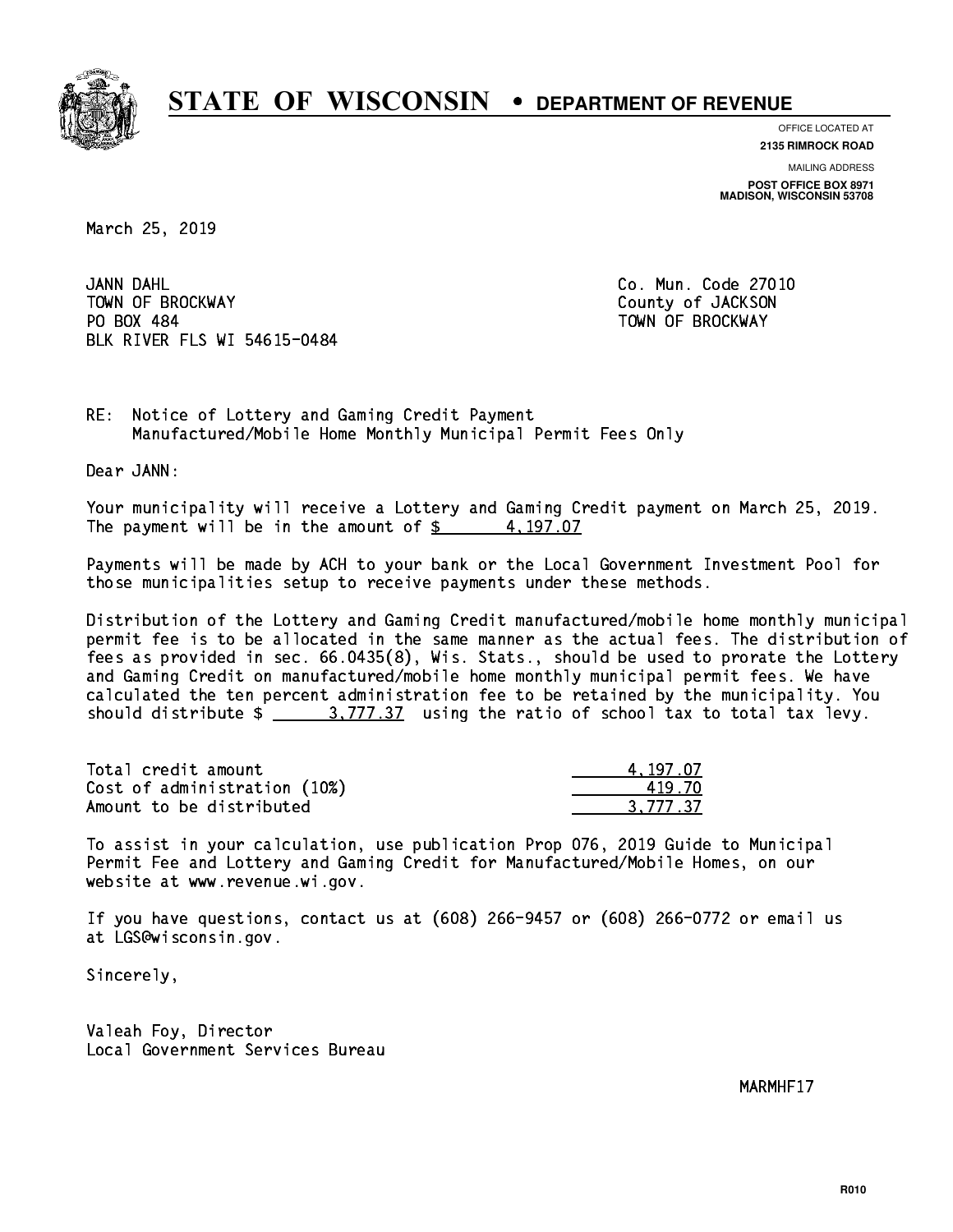

**OFFICE LOCATED AT**

**2135 RIMROCK ROAD**

**MAILING ADDRESS POST OFFICE BOX 8971 MADISON, WISCONSIN 53708**

March 25, 2019

JANN DAHL TOWN OF BROCKWAY **COUNTY OF SECOND-** TOWN OF BROCKWAY PO BOX 484 PO BOX 484 TOWN OF BROCKWAY BLK RIVER FLS WI 54615-0484

Co. Mun. Code 27010

RE: Notice of Lottery and Gaming Credit Payment Manufactured/Mobile Home Monthly Municipal Permit Fees Only

Dear JANN:

 Your municipality will receive a Lottery and Gaming Credit payment on March 25, 2019. The payment will be in the amount of  $\frac{2}{3}$  4,197.07

 Payments will be made by ACH to your bank or the Local Government Investment Pool for those municipalities setup to receive payments under these methods.

 Distribution of the Lottery and Gaming Credit manufactured/mobile home monthly municipal permit fee is to be allocated in the same manner as the actual fees. The distribution of fees as provided in sec. 66.0435(8), Wis. Stats., should be used to prorate the Lottery and Gaming Credit on manufactured/mobile home monthly municipal permit fees. We have calculated the ten percent administration fee to be retained by the municipality. You should distribute  $\frac{2}{1}$   $\frac{3}{777.37}$  using the ratio of school tax to total tax levy.

| Total credit amount          | 4.197.07 |
|------------------------------|----------|
| Cost of administration (10%) | 419 70   |
| Amount to be distributed     | 3.777.37 |

 To assist in your calculation, use publication Prop 076, 2019 Guide to Municipal Permit Fee and Lottery and Gaming Credit for Manufactured/Mobile Homes, on our website at www.revenue.wi.gov.

 If you have questions, contact us at (608) 266-9457 or (608) 266-0772 or email us at LGS@wisconsin.gov.

Sincerely,

 Valeah Foy, Director Local Government Services Bureau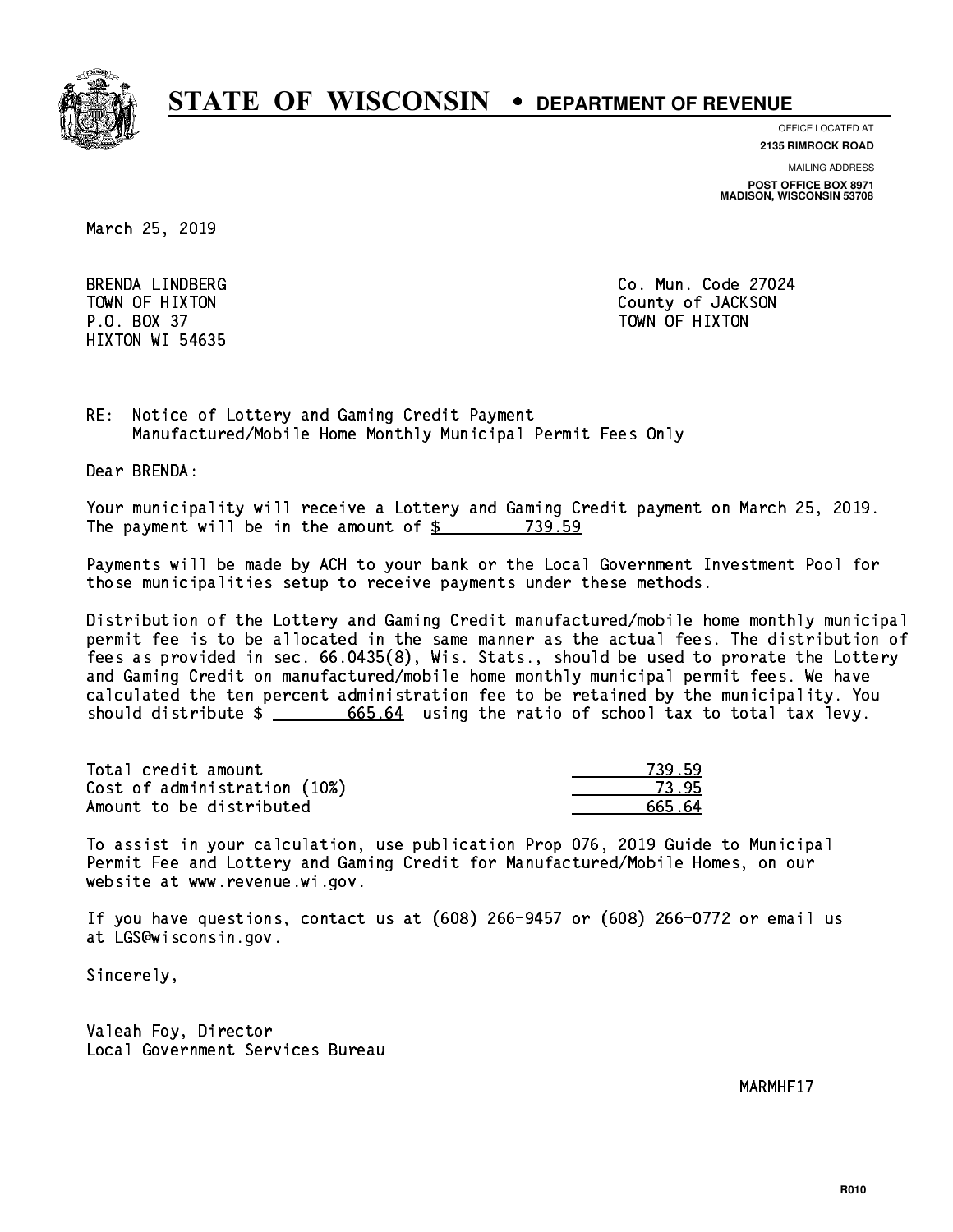

**OFFICE LOCATED AT**

**2135 RIMROCK ROAD**

**MAILING ADDRESS**

**POST OFFICE BOX 8971 MADISON, WISCONSIN 53708**

March 25, 2019

 P.O. BOX 37 TOWN OF HIXTON HIXTON WI 54635

 BRENDA LINDBERG Co. Mun. Code 27024 TOWN OF HIXTON COUNTY OF SALES AND TOWN OF HIXTON

RE: Notice of Lottery and Gaming Credit Payment Manufactured/Mobile Home Monthly Municipal Permit Fees Only

Dear BRENDA:

 Your municipality will receive a Lottery and Gaming Credit payment on March 25, 2019. The payment will be in the amount of \$ 739.59 \_\_\_\_\_\_\_\_\_\_\_\_\_\_\_\_

 Payments will be made by ACH to your bank or the Local Government Investment Pool for those municipalities setup to receive payments under these methods.

 Distribution of the Lottery and Gaming Credit manufactured/mobile home monthly municipal permit fee is to be allocated in the same manner as the actual fees. The distribution of fees as provided in sec. 66.0435(8), Wis. Stats., should be used to prorate the Lottery and Gaming Credit on manufactured/mobile home monthly municipal permit fees. We have calculated the ten percent administration fee to be retained by the municipality. You should distribute  $\frac{2}{1}$   $\frac{665.64}{665.64}$  using the ratio of school tax to total tax levy.

| Total credit amount          | 739.59 |
|------------------------------|--------|
| Cost of administration (10%) | 73.95  |
| Amount to be distributed     | 665 64 |

 To assist in your calculation, use publication Prop 076, 2019 Guide to Municipal Permit Fee and Lottery and Gaming Credit for Manufactured/Mobile Homes, on our website at www.revenue.wi.gov.

 If you have questions, contact us at (608) 266-9457 or (608) 266-0772 or email us at LGS@wisconsin.gov.

Sincerely,

 Valeah Foy, Director Local Government Services Bureau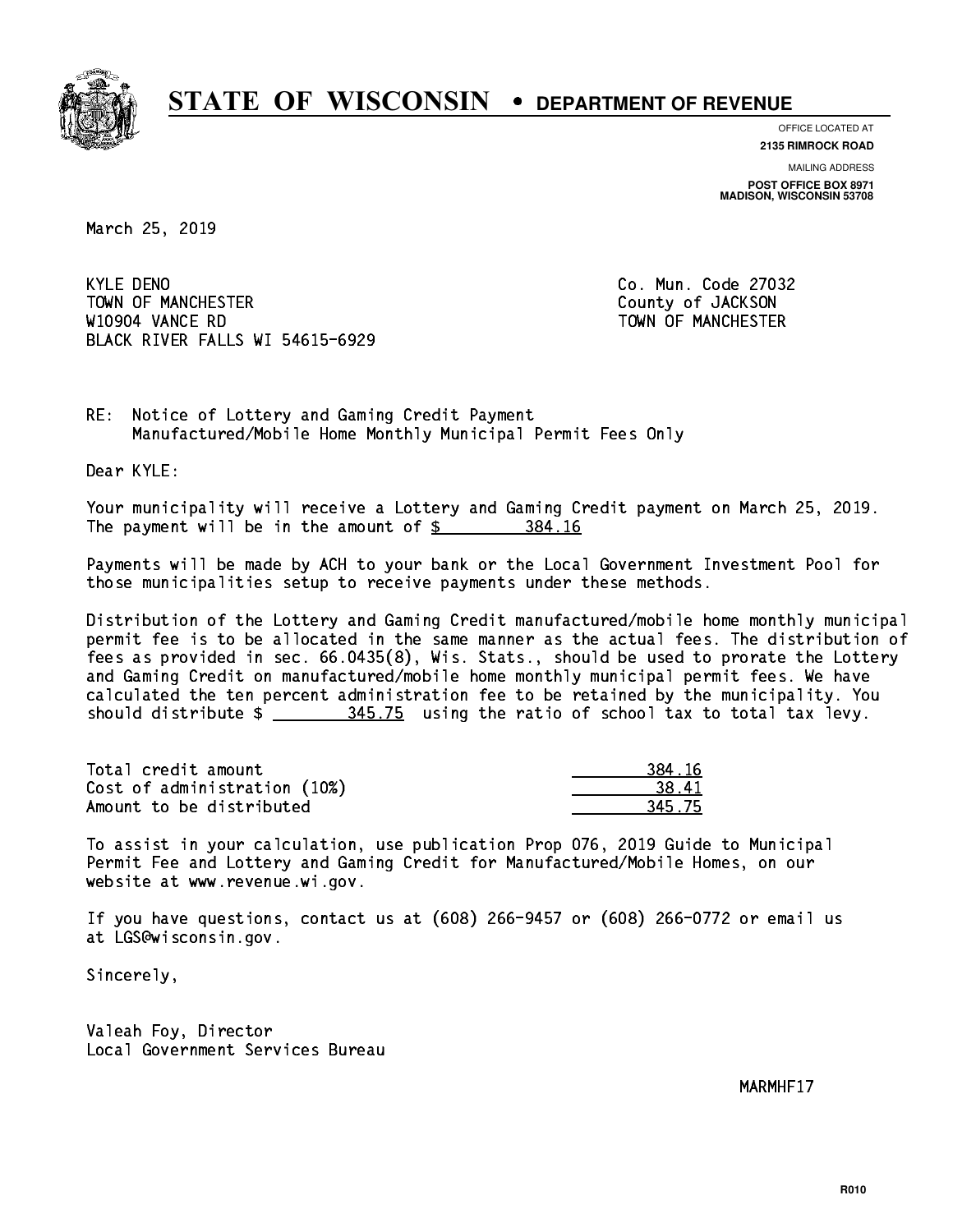

**OFFICE LOCATED AT**

**2135 RIMROCK ROAD**

**MAILING ADDRESS POST OFFICE BOX 8971 MADISON, WISCONSIN 53708**

March 25, 2019

**KYLE DENO** TOWN OF MANCHESTER COUNTY OF JACKSON W10904 VANCE RD TOWN OF MANCHESTER BLACK RIVER FALLS WI 54615-6929

Co. Mun. Code 27032

RE: Notice of Lottery and Gaming Credit Payment Manufactured/Mobile Home Monthly Municipal Permit Fees Only

Dear KYLE:

 Your municipality will receive a Lottery and Gaming Credit payment on March 25, 2019. The payment will be in the amount of \$ 384.16 \_\_\_\_\_\_\_\_\_\_\_\_\_\_\_\_

 Payments will be made by ACH to your bank or the Local Government Investment Pool for those municipalities setup to receive payments under these methods.

 Distribution of the Lottery and Gaming Credit manufactured/mobile home monthly municipal permit fee is to be allocated in the same manner as the actual fees. The distribution of fees as provided in sec. 66.0435(8), Wis. Stats., should be used to prorate the Lottery and Gaming Credit on manufactured/mobile home monthly municipal permit fees. We have calculated the ten percent administration fee to be retained by the municipality. You should distribute  $\frac{245.75}{2}$  using the ratio of school tax to total tax levy.

| Total credit amount          | 384.16            |
|------------------------------|-------------------|
| Cost of administration (10%) | 38.4 <sup>°</sup> |
| Amount to be distributed     | 345.75            |

| 1 16 |
|------|
| 11   |
| 5.75 |

 To assist in your calculation, use publication Prop 076, 2019 Guide to Municipal Permit Fee and Lottery and Gaming Credit for Manufactured/Mobile Homes, on our website at www.revenue.wi.gov.

 If you have questions, contact us at (608) 266-9457 or (608) 266-0772 or email us at LGS@wisconsin.gov.

Sincerely,

 Valeah Foy, Director Local Government Services Bureau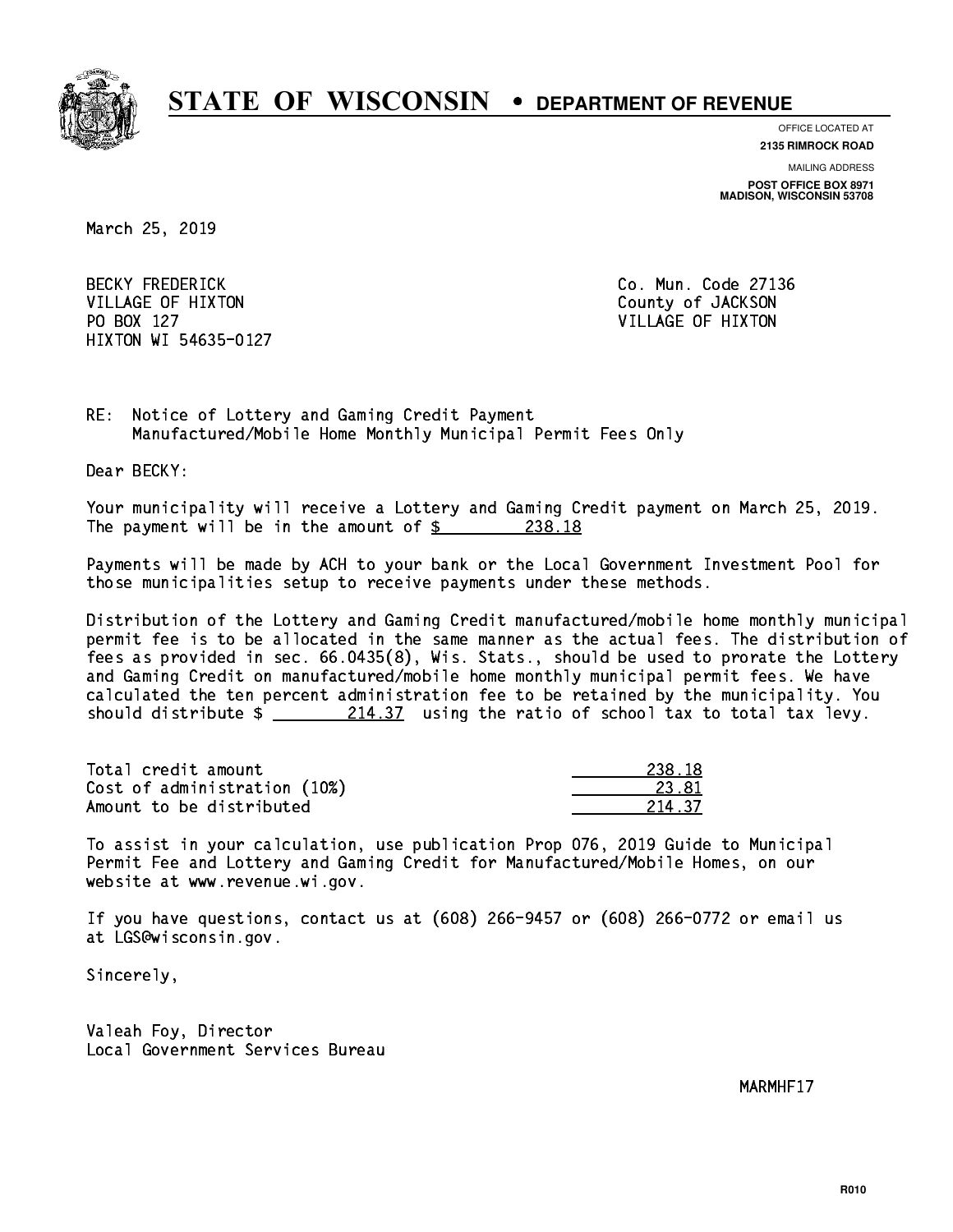

**OFFICE LOCATED AT**

**2135 RIMROCK ROAD**

**MAILING ADDRESS**

**POST OFFICE BOX 8971 MADISON, WISCONSIN 53708**

March 25, 2019

BECKY FREDERICK **Co. Mun. Code 27136** VILLAGE OF HIXTON COUNTY OF JACKSON PO BOX 127 VILLAGE OF HIXTON HIXTON WI 54635-0127

RE: Notice of Lottery and Gaming Credit Payment Manufactured/Mobile Home Monthly Municipal Permit Fees Only

Dear BECKY:

 Your municipality will receive a Lottery and Gaming Credit payment on March 25, 2019. The payment will be in the amount of  $\frac{238.18}{2}$ 

 Payments will be made by ACH to your bank or the Local Government Investment Pool for those municipalities setup to receive payments under these methods.

 Distribution of the Lottery and Gaming Credit manufactured/mobile home monthly municipal permit fee is to be allocated in the same manner as the actual fees. The distribution of fees as provided in sec. 66.0435(8), Wis. Stats., should be used to prorate the Lottery and Gaming Credit on manufactured/mobile home monthly municipal permit fees. We have calculated the ten percent administration fee to be retained by the municipality. You should distribute  $\frac{214.37}{214.37}$  using the ratio of school tax to total tax levy.

Total credit amount Cost of administration (10%) Amount to be distributed

| .R        |
|-----------|
| ×Т        |
| -27<br>27 |

 To assist in your calculation, use publication Prop 076, 2019 Guide to Municipal Permit Fee and Lottery and Gaming Credit for Manufactured/Mobile Homes, on our website at www.revenue.wi.gov.

 If you have questions, contact us at (608) 266-9457 or (608) 266-0772 or email us at LGS@wisconsin.gov.

Sincerely,

 Valeah Foy, Director Local Government Services Bureau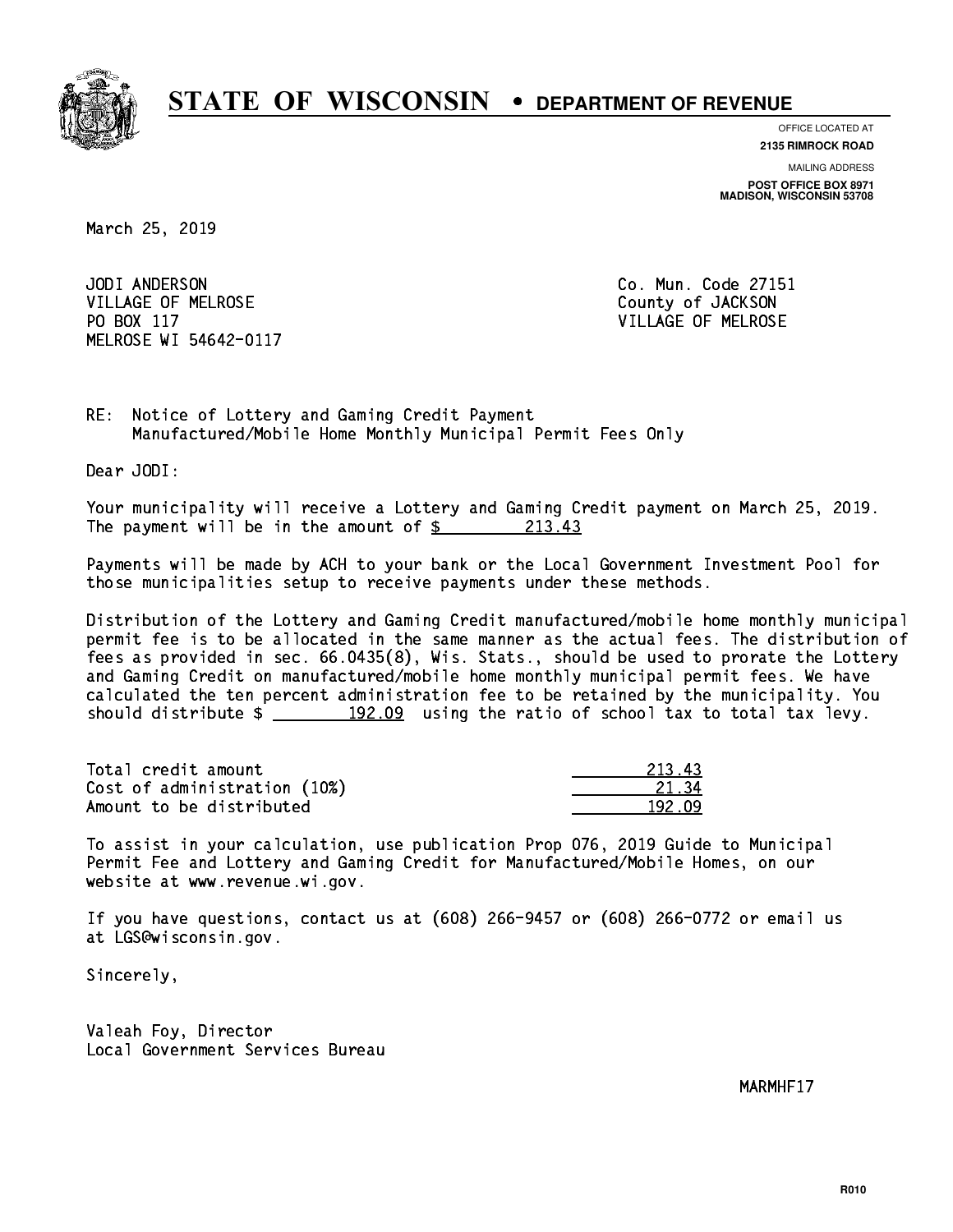

**OFFICE LOCATED AT**

**2135 RIMROCK ROAD**

**MAILING ADDRESS**

**POST OFFICE BOX 8971 MADISON, WISCONSIN 53708**

March 25, 2019

JODI ANDERSON VILLAGE OF MELROSE COUNTY OF JACKSON PO BOX 117 VILLAGE OF MELROSE MELROSE WI 54642-0117

Co. Mun. Code 27151

RE: Notice of Lottery and Gaming Credit Payment Manufactured/Mobile Home Monthly Municipal Permit Fees Only

Dear JODI:

 Your municipality will receive a Lottery and Gaming Credit payment on March 25, 2019. The payment will be in the amount of  $\frac{213.43}{2}$ 

 Payments will be made by ACH to your bank or the Local Government Investment Pool for those municipalities setup to receive payments under these methods.

 Distribution of the Lottery and Gaming Credit manufactured/mobile home monthly municipal permit fee is to be allocated in the same manner as the actual fees. The distribution of fees as provided in sec. 66.0435(8), Wis. Stats., should be used to prorate the Lottery and Gaming Credit on manufactured/mobile home monthly municipal permit fees. We have calculated the ten percent administration fee to be retained by the municipality. You should distribute  $\frac{192.09}{192.09}$  using the ratio of school tax to total tax levy.

Total credit amount 213.43 Cost of administration (10%) 21.34 \_\_\_\_\_\_\_\_\_\_\_\_\_\_ Amount to be distributed and the set of the 192.09

 To assist in your calculation, use publication Prop 076, 2019 Guide to Municipal Permit Fee and Lottery and Gaming Credit for Manufactured/Mobile Homes, on our website at www.revenue.wi.gov.

 If you have questions, contact us at (608) 266-9457 or (608) 266-0772 or email us at LGS@wisconsin.gov.

Sincerely,

 Valeah Foy, Director Local Government Services Bureau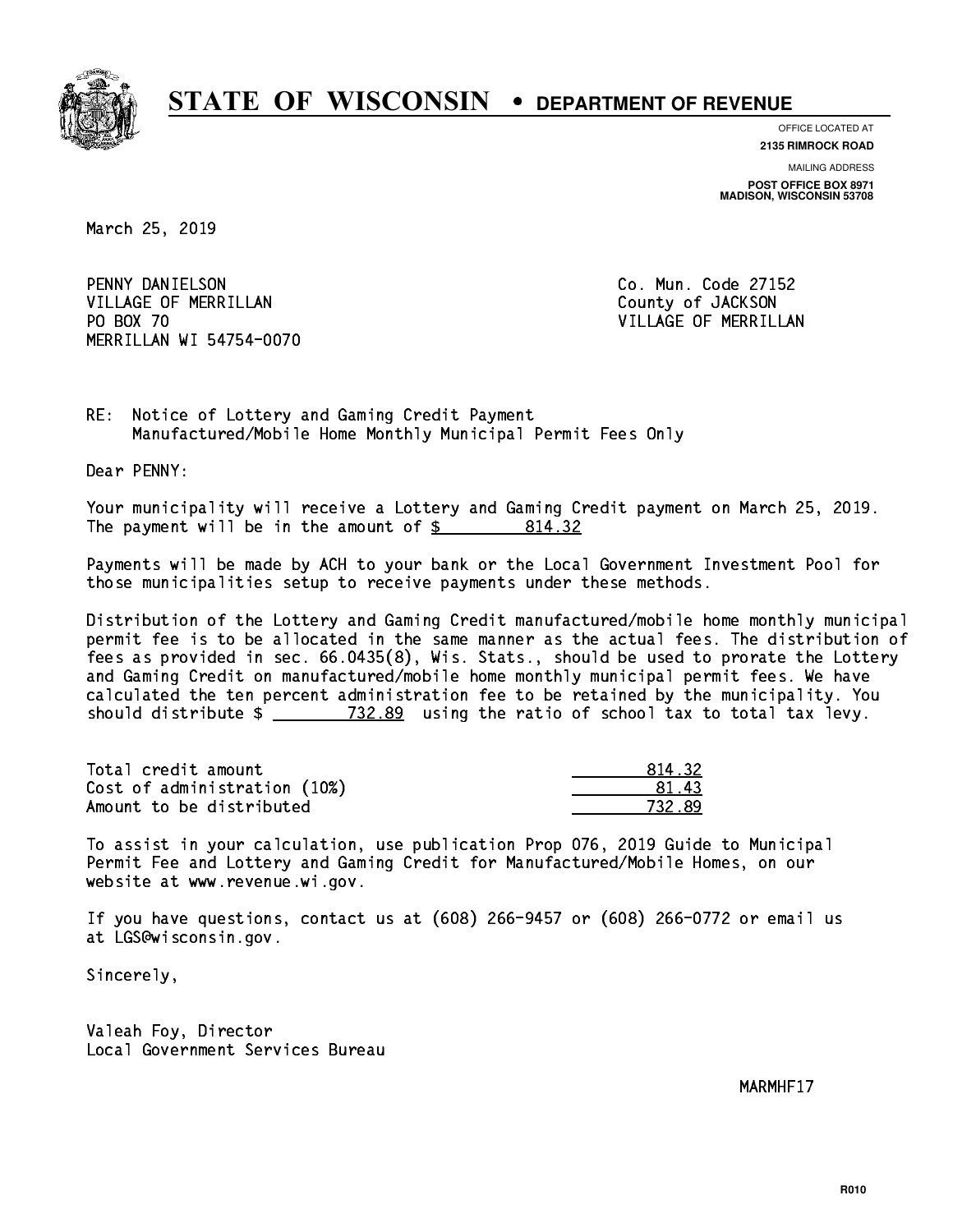

**OFFICE LOCATED AT**

**2135 RIMROCK ROAD**

**MAILING ADDRESS POST OFFICE BOX 8971 MADISON, WISCONSIN 53708**

March 25, 2019

 PENNY DANIELSON Co. Mun. Code 27152 VILLAGE OF MERRILLAN County of JACKSON PO BOX 70 MERRILLAN WI 54754-0070

VILLAGE OF MERRILLAN

RE: Notice of Lottery and Gaming Credit Payment Manufactured/Mobile Home Monthly Municipal Permit Fees Only

Dear PENNY:

 Your municipality will receive a Lottery and Gaming Credit payment on March 25, 2019. The payment will be in the amount of \$ 814.32 \_\_\_\_\_\_\_\_\_\_\_\_\_\_\_\_

 Payments will be made by ACH to your bank or the Local Government Investment Pool for those municipalities setup to receive payments under these methods.

 Distribution of the Lottery and Gaming Credit manufactured/mobile home monthly municipal permit fee is to be allocated in the same manner as the actual fees. The distribution of fees as provided in sec. 66.0435(8), Wis. Stats., should be used to prorate the Lottery and Gaming Credit on manufactured/mobile home monthly municipal permit fees. We have calculated the ten percent administration fee to be retained by the municipality. You should distribute  $\frac{2}{2}$   $\frac{732.89}{2}$  using the ratio of school tax to total tax levy.

Total credit amount Cost of administration (10%) Amount to be distributed

| U. 32.    |
|-----------|
| પ મ       |
| ⋾<br>, 22 |

 To assist in your calculation, use publication Prop 076, 2019 Guide to Municipal Permit Fee and Lottery and Gaming Credit for Manufactured/Mobile Homes, on our website at www.revenue.wi.gov.

 If you have questions, contact us at (608) 266-9457 or (608) 266-0772 or email us at LGS@wisconsin.gov.

Sincerely,

 Valeah Foy, Director Local Government Services Bureau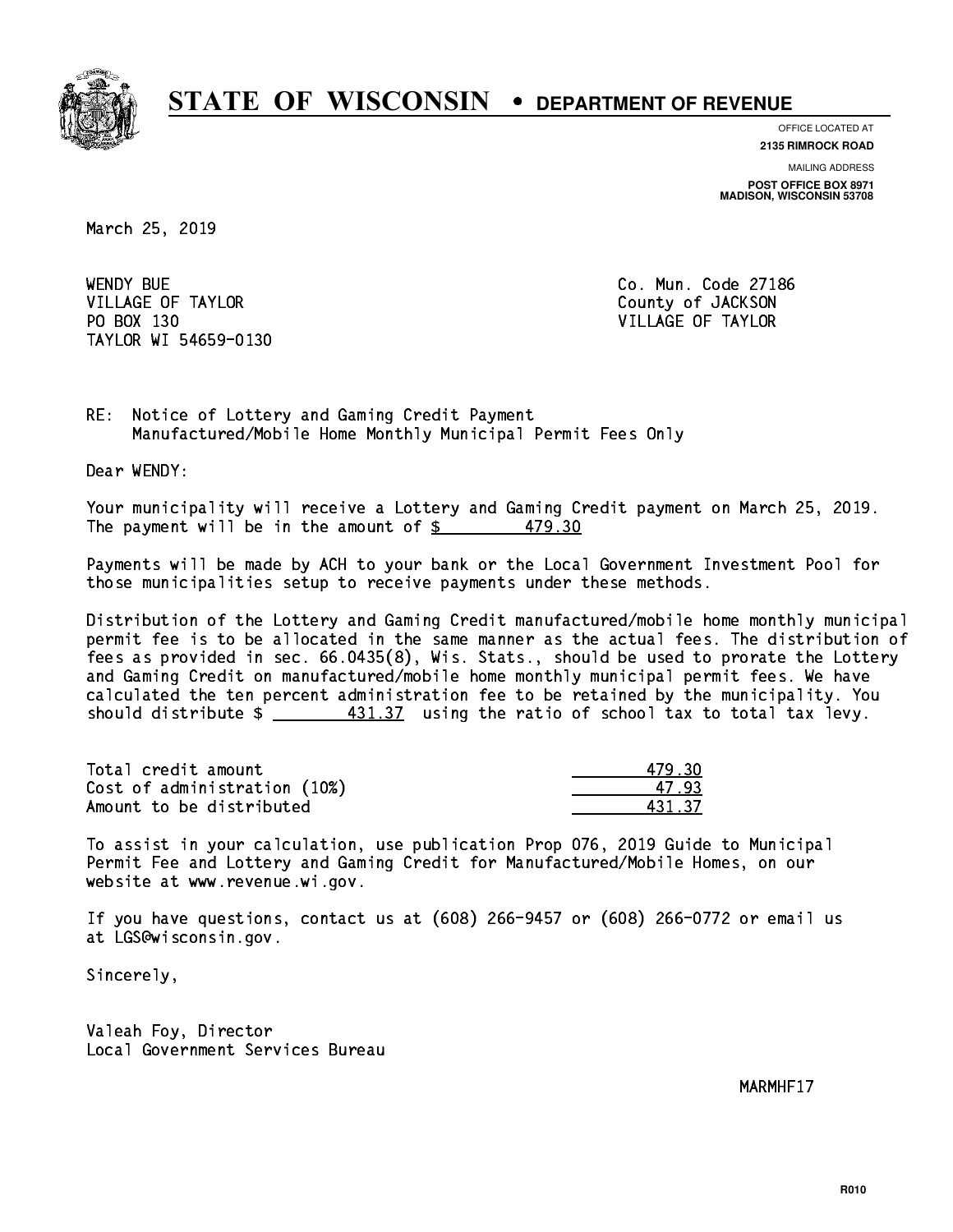

**OFFICE LOCATED AT 2135 RIMROCK ROAD**

**MAILING ADDRESS**

**POST OFFICE BOX 8971 MADISON, WISCONSIN 53708**

March 25, 2019

**WENDY BUE** VILLAGE OF TAYLOR COUNTY OF JACKSON PO BOX 130 VILLAGE OF TAYLOR TAYLOR WI 54659-0130

Co. Mun. Code 27186

RE: Notice of Lottery and Gaming Credit Payment Manufactured/Mobile Home Monthly Municipal Permit Fees Only

Dear WENDY:

 Your municipality will receive a Lottery and Gaming Credit payment on March 25, 2019. The payment will be in the amount of  $\frac{2}{3}$  479.30

 Payments will be made by ACH to your bank or the Local Government Investment Pool for those municipalities setup to receive payments under these methods.

 Distribution of the Lottery and Gaming Credit manufactured/mobile home monthly municipal permit fee is to be allocated in the same manner as the actual fees. The distribution of fees as provided in sec. 66.0435(8), Wis. Stats., should be used to prorate the Lottery and Gaming Credit on manufactured/mobile home monthly municipal permit fees. We have calculated the ten percent administration fee to be retained by the municipality. You should distribute  $\frac{431.37}{2}$  using the ratio of school tax to total tax levy.

| Total credit amount          | 479.30 |
|------------------------------|--------|
| Cost of administration (10%) | 47 93  |
| Amount to be distributed     | 43137  |

 To assist in your calculation, use publication Prop 076, 2019 Guide to Municipal Permit Fee and Lottery and Gaming Credit for Manufactured/Mobile Homes, on our website at www.revenue.wi.gov.

 If you have questions, contact us at (608) 266-9457 or (608) 266-0772 or email us at LGS@wisconsin.gov.

Sincerely,

 Valeah Foy, Director Local Government Services Bureau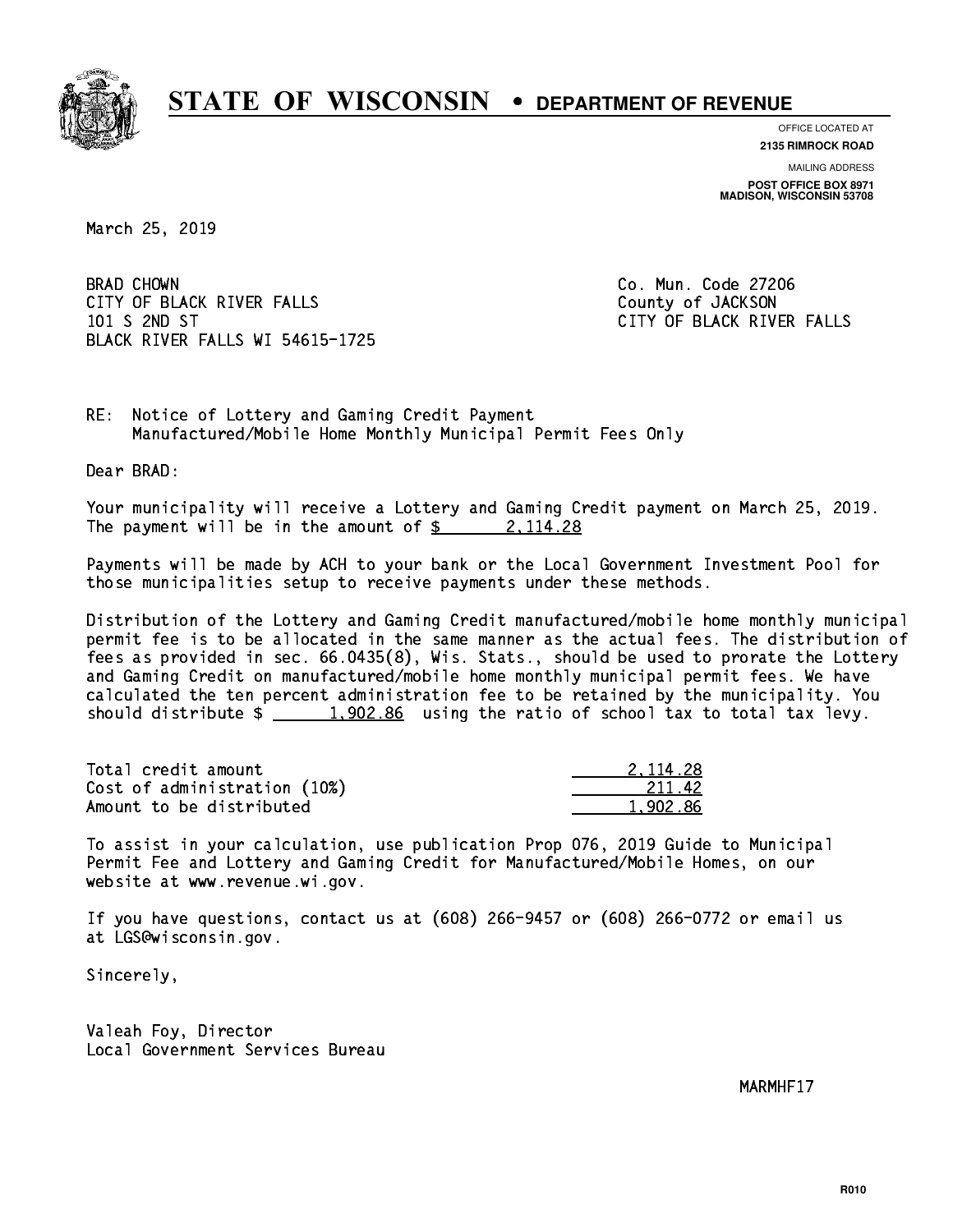

**OFFICE LOCATED AT 2135 RIMROCK ROAD**

**MAILING ADDRESS POST OFFICE BOX 8971 MADISON, WISCONSIN 53708**

March 25, 2019

**BRAD CHOWN** CITY OF BLACK RIVER FALLS COUNTY OF JACKSON 101 S 2ND ST CITY OF BLACK RIVER FALLS BLACK RIVER FALLS WI 54615-1725

Co. Mun. Code 27206

RE: Notice of Lottery and Gaming Credit Payment Manufactured/Mobile Home Monthly Municipal Permit Fees Only

Dear BRAD:

 Your municipality will receive a Lottery and Gaming Credit payment on March 25, 2019. The payment will be in the amount of  $\frac{2}{3}$  2, 114.28

 Payments will be made by ACH to your bank or the Local Government Investment Pool for those municipalities setup to receive payments under these methods.

 Distribution of the Lottery and Gaming Credit manufactured/mobile home monthly municipal permit fee is to be allocated in the same manner as the actual fees. The distribution of fees as provided in sec. 66.0435(8), Wis. Stats., should be used to prorate the Lottery and Gaming Credit on manufactured/mobile home monthly municipal permit fees. We have calculated the ten percent administration fee to be retained by the municipality. You should distribute  $\frac{1,902.86}{1,902.86}$  using the ratio of school tax to total tax levy.

| Total credit amount          | 2.114.28 |
|------------------------------|----------|
| Cost of administration (10%) | 211.42   |
| Amount to be distributed     | 1,902.86 |

 To assist in your calculation, use publication Prop 076, 2019 Guide to Municipal Permit Fee and Lottery and Gaming Credit for Manufactured/Mobile Homes, on our website at www.revenue.wi.gov.

 If you have questions, contact us at (608) 266-9457 or (608) 266-0772 or email us at LGS@wisconsin.gov.

Sincerely,

 Valeah Foy, Director Local Government Services Bureau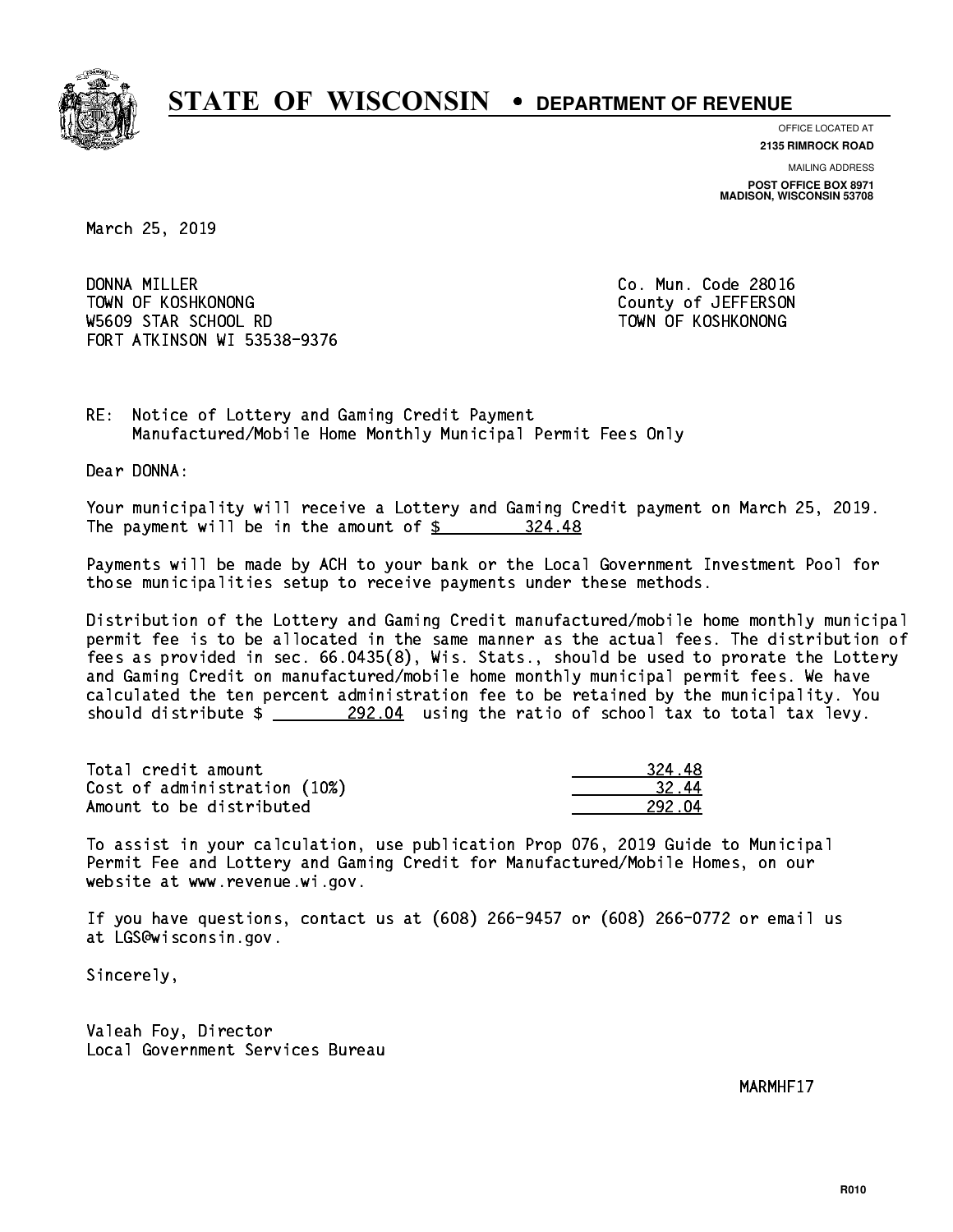

**OFFICE LOCATED AT**

**2135 RIMROCK ROAD**

**MAILING ADDRESS**

**POST OFFICE BOX 8971 MADISON, WISCONSIN 53708**

March 25, 2019

DONNA MILLER TOWN OF KOSHKONONG COUNTY OF A SERIES ON TOWN OF A SERIES ON W5609 STAR SCHOOL RD TOWN OF KOSHKONONG FORT ATKINSON WI 53538-9376

Co. Mun. Code 28016

RE: Notice of Lottery and Gaming Credit Payment Manufactured/Mobile Home Monthly Municipal Permit Fees Only

Dear DONNA:

 Your municipality will receive a Lottery and Gaming Credit payment on March 25, 2019. The payment will be in the amount of \$ 324.48 \_\_\_\_\_\_\_\_\_\_\_\_\_\_\_\_

 Payments will be made by ACH to your bank or the Local Government Investment Pool for those municipalities setup to receive payments under these methods.

 Distribution of the Lottery and Gaming Credit manufactured/mobile home monthly municipal permit fee is to be allocated in the same manner as the actual fees. The distribution of fees as provided in sec. 66.0435(8), Wis. Stats., should be used to prorate the Lottery and Gaming Credit on manufactured/mobile home monthly municipal permit fees. We have calculated the ten percent administration fee to be retained by the municipality. You should distribute  $\frac{292.04}{292.04}$  using the ratio of school tax to total tax levy.

| Total credit amount          | 324.48 |
|------------------------------|--------|
| Cost of administration (10%) | 32.44  |
| Amount to be distributed     | 292 N4 |

| 18         |
|------------|
| 14<br>32 I |
| 92 N4      |

 To assist in your calculation, use publication Prop 076, 2019 Guide to Municipal Permit Fee and Lottery and Gaming Credit for Manufactured/Mobile Homes, on our website at www.revenue.wi.gov.

 If you have questions, contact us at (608) 266-9457 or (608) 266-0772 or email us at LGS@wisconsin.gov.

Sincerely,

 Valeah Foy, Director Local Government Services Bureau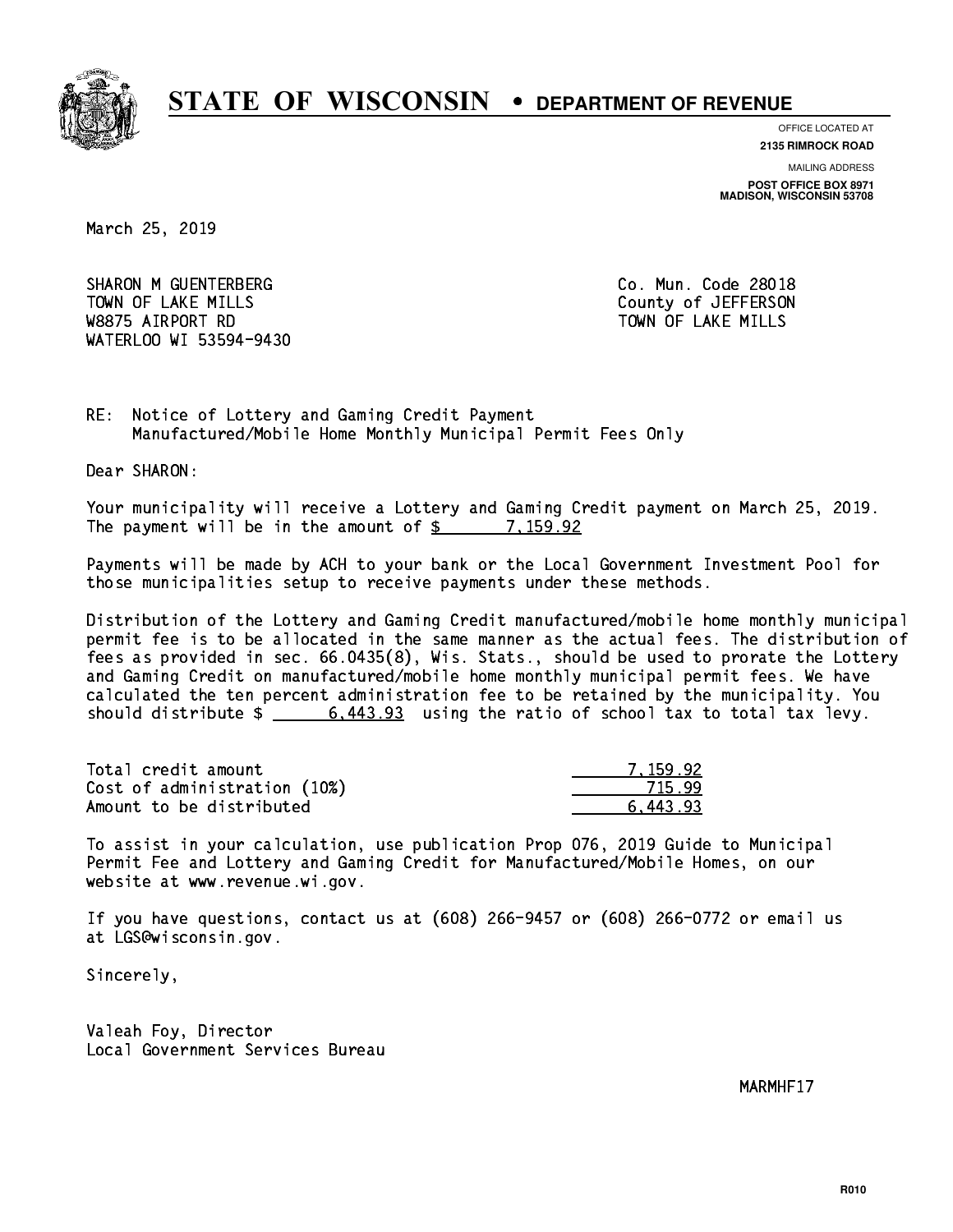

**OFFICE LOCATED AT**

**2135 RIMROCK ROAD**

**MAILING ADDRESS POST OFFICE BOX 8971 MADISON, WISCONSIN 53708**

March 25, 2019

SHARON M GUENTERBERG CO. Mun. Code 28018 TOWN OF LAKE MILLS **TOWN OF LAKE MILLS**  W8875 AIRPORT RD TOWN OF LAKE MILLS WATERLOO WI 53594-9430

RE: Notice of Lottery and Gaming Credit Payment Manufactured/Mobile Home Monthly Municipal Permit Fees Only

Dear SHARON:

 Your municipality will receive a Lottery and Gaming Credit payment on March 25, 2019. The payment will be in the amount of \$ 7,159.92 \_\_\_\_\_\_\_\_\_\_\_\_\_\_\_\_

 Payments will be made by ACH to your bank or the Local Government Investment Pool for those municipalities setup to receive payments under these methods.

 Distribution of the Lottery and Gaming Credit manufactured/mobile home monthly municipal permit fee is to be allocated in the same manner as the actual fees. The distribution of fees as provided in sec. 66.0435(8), Wis. Stats., should be used to prorate the Lottery and Gaming Credit on manufactured/mobile home monthly municipal permit fees. We have calculated the ten percent administration fee to be retained by the municipality. You should distribute  $\frac{2}{3}$  6,443.93 using the ratio of school tax to total tax levy.

| Total credit amount          | 7.159.92 |
|------------------------------|----------|
| Cost of administration (10%) | 715.99   |
| Amount to be distributed     | 6.443.93 |

 To assist in your calculation, use publication Prop 076, 2019 Guide to Municipal Permit Fee and Lottery and Gaming Credit for Manufactured/Mobile Homes, on our website at www.revenue.wi.gov.

 If you have questions, contact us at (608) 266-9457 or (608) 266-0772 or email us at LGS@wisconsin.gov.

Sincerely,

 Valeah Foy, Director Local Government Services Bureau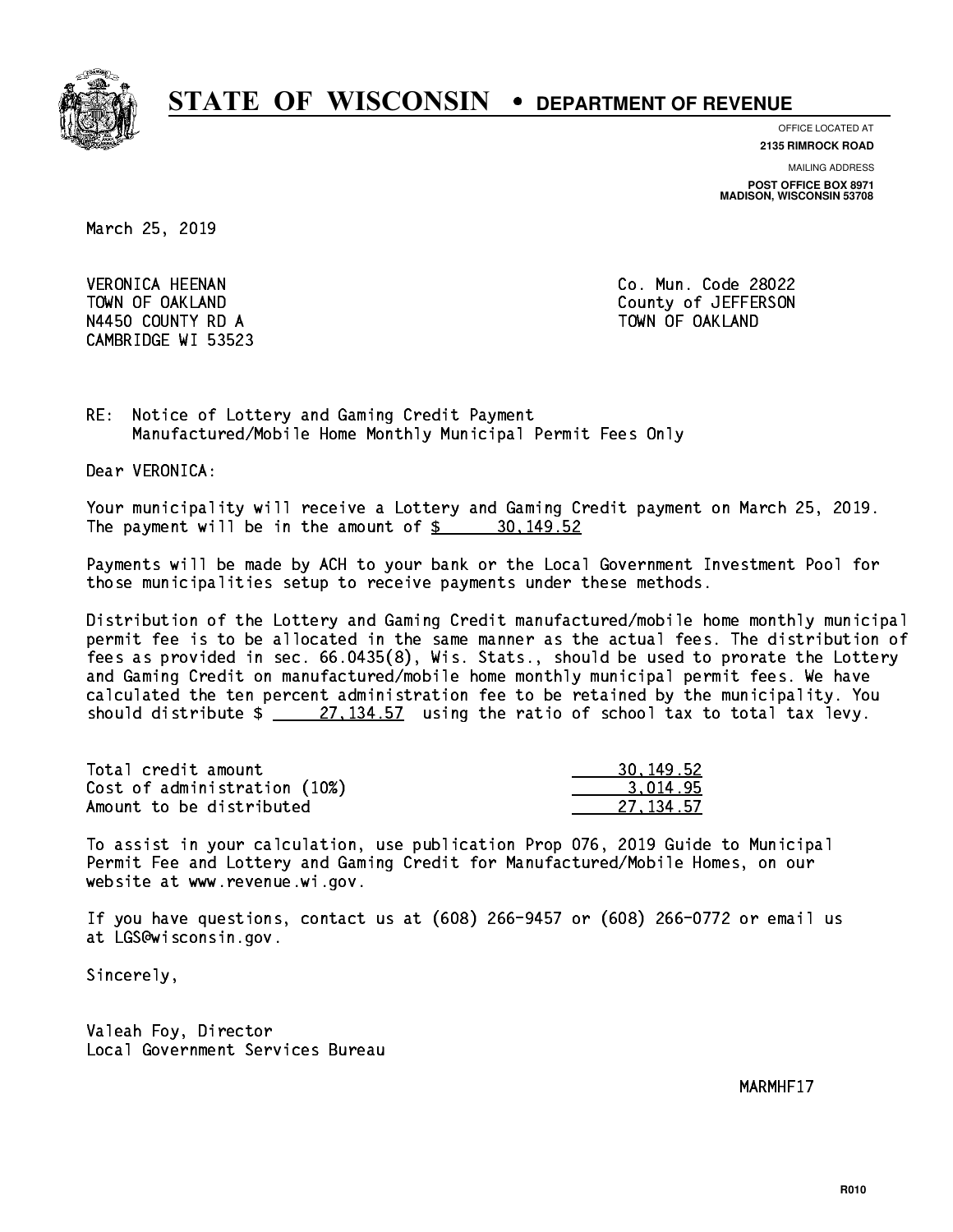

**OFFICE LOCATED AT**

**2135 RIMROCK ROAD**

**MAILING ADDRESS**

**POST OFFICE BOX 8971 MADISON, WISCONSIN 53708**

March 25, 2019

 VERONICA HEENAN Co. Mun. Code 28022 N4450 COUNTY RD A TOWN OF OAKLAND CAMBRIDGE WI 53523

TOWN OF OAKLAND County of JEFFERSON

RE: Notice of Lottery and Gaming Credit Payment Manufactured/Mobile Home Monthly Municipal Permit Fees Only

Dear VERONICA:

 Your municipality will receive a Lottery and Gaming Credit payment on March 25, 2019. The payment will be in the amount of  $\frac{2}{3}$  30,149.52

 Payments will be made by ACH to your bank or the Local Government Investment Pool for those municipalities setup to receive payments under these methods.

 Distribution of the Lottery and Gaming Credit manufactured/mobile home monthly municipal permit fee is to be allocated in the same manner as the actual fees. The distribution of fees as provided in sec. 66.0435(8), Wis. Stats., should be used to prorate the Lottery and Gaming Credit on manufactured/mobile home monthly municipal permit fees. We have calculated the ten percent administration fee to be retained by the municipality. You should distribute  $\frac{27,134.57}{27,134.57}$  using the ratio of school tax to total tax levy.

| Total credit amount          | 30, 149, 52 |
|------------------------------|-------------|
| Cost of administration (10%) | 3.014.95    |
| Amount to be distributed     | 27.134.57   |

 To assist in your calculation, use publication Prop 076, 2019 Guide to Municipal Permit Fee and Lottery and Gaming Credit for Manufactured/Mobile Homes, on our website at www.revenue.wi.gov.

 If you have questions, contact us at (608) 266-9457 or (608) 266-0772 or email us at LGS@wisconsin.gov.

Sincerely,

 Valeah Foy, Director Local Government Services Bureau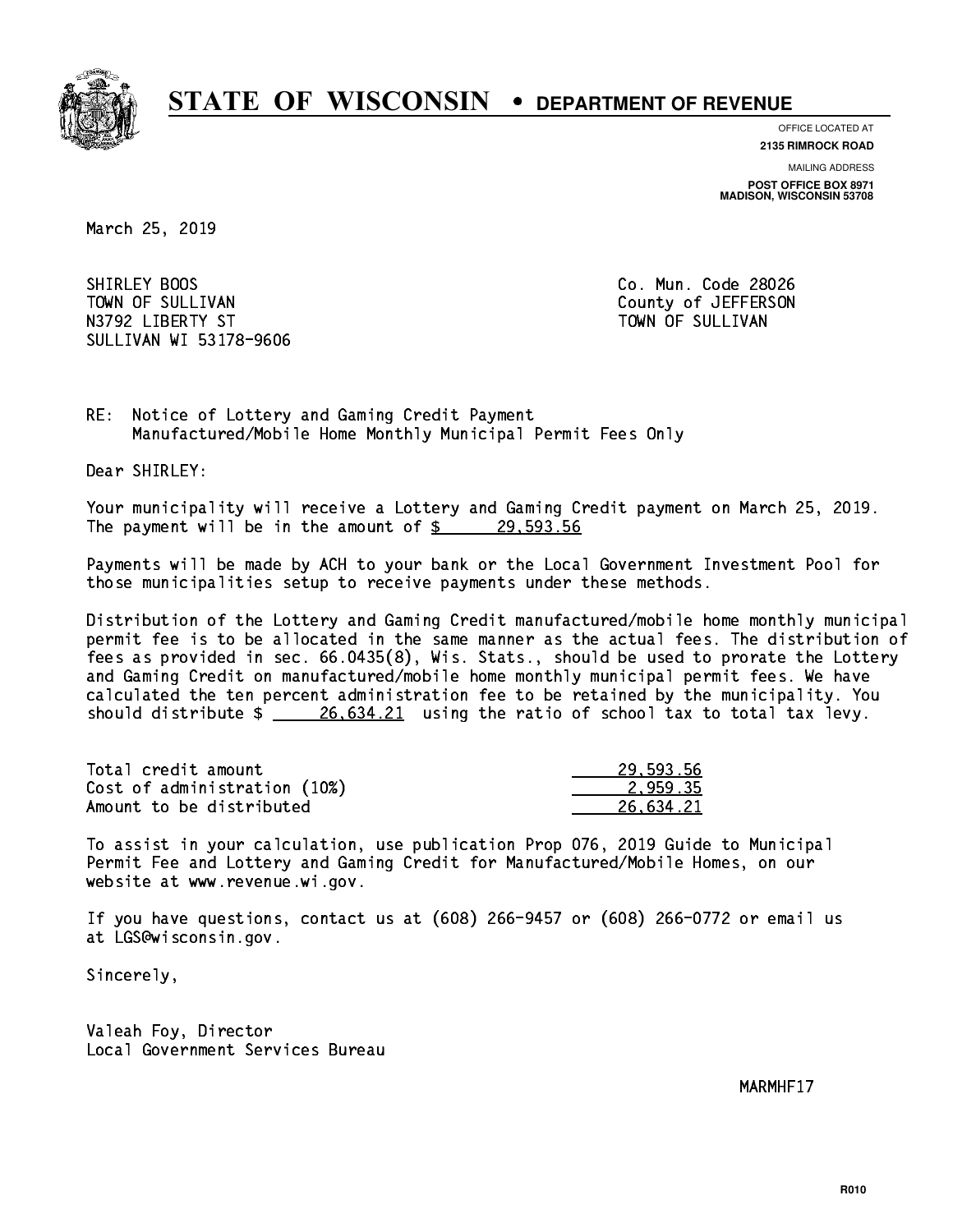

**OFFICE LOCATED AT**

**2135 RIMROCK ROAD**

**MAILING ADDRESS POST OFFICE BOX 8971 MADISON, WISCONSIN 53708**

March 25, 2019

SHIRLEY BOOS TOWN OF SULLIVAN COUNTY OF SULLIVAN N3792 LIBERTY ST TOWN OF SULLIVAN SULLIVAN WI 53178-9606

Co. Mun. Code 28026

RE: Notice of Lottery and Gaming Credit Payment Manufactured/Mobile Home Monthly Municipal Permit Fees Only

Dear SHIRLEY:

 Your municipality will receive a Lottery and Gaming Credit payment on March 25, 2019. The payment will be in the amount of  $\frac{29}{5}$  29,593.56

 Payments will be made by ACH to your bank or the Local Government Investment Pool for those municipalities setup to receive payments under these methods.

 Distribution of the Lottery and Gaming Credit manufactured/mobile home monthly municipal permit fee is to be allocated in the same manner as the actual fees. The distribution of fees as provided in sec. 66.0435(8), Wis. Stats., should be used to prorate the Lottery and Gaming Credit on manufactured/mobile home monthly municipal permit fees. We have calculated the ten percent administration fee to be retained by the municipality. You should distribute  $\frac{26,634.21}{26,634.21}$  using the ratio of school tax to total tax levy.

| Total credit amount          | 29.593.56 |
|------------------------------|-----------|
| Cost of administration (10%) | 2.959.35  |
| Amount to be distributed     | 26.634.21 |

 To assist in your calculation, use publication Prop 076, 2019 Guide to Municipal Permit Fee and Lottery and Gaming Credit for Manufactured/Mobile Homes, on our website at www.revenue.wi.gov.

 If you have questions, contact us at (608) 266-9457 or (608) 266-0772 or email us at LGS@wisconsin.gov.

Sincerely,

 Valeah Foy, Director Local Government Services Bureau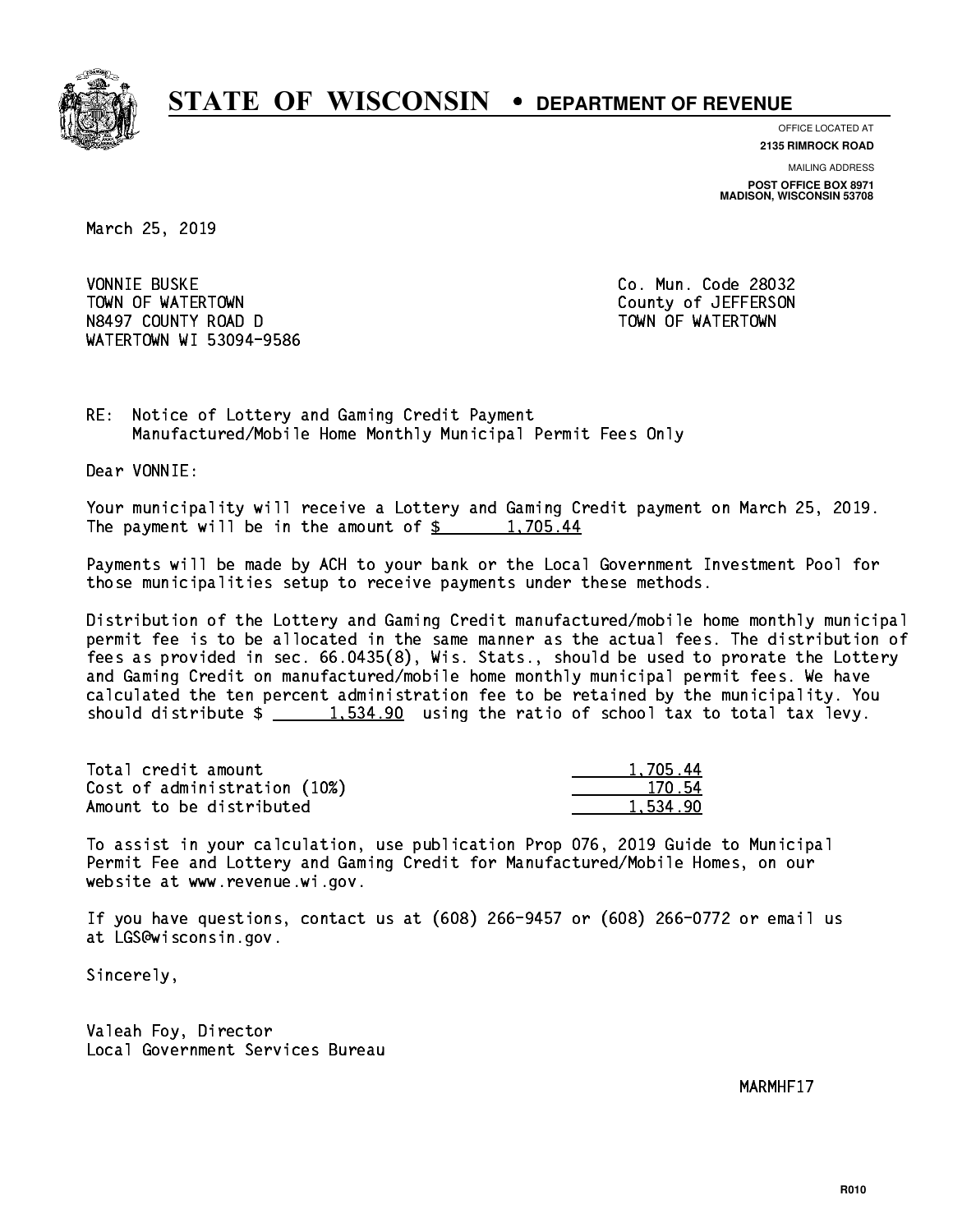

**OFFICE LOCATED AT 2135 RIMROCK ROAD**

**MAILING ADDRESS**

**POST OFFICE BOX 8971 MADISON, WISCONSIN 53708**

March 25, 2019

**VONNIE BUSKE** TOWN OF WATERTOWN COUNTY OF VALUE OF THE COUNTY OF A LIFT OF THE COUNTY OF A LIFT OF THE COUNTY OF THE COUNTY OF THE COUNTY OF THE COUNTY OF THE COUNTY OF THE COUNTY OF THE COUNTY OF THE COUNTY OF THE COUNTY OF THE COUNTY N8497 COUNTY ROAD D TOWN OF WATERTOWN NAME OF STATE OF STATE OF STATE OF STATE OF STATE OF STATE OF STATE OF S WATERTOWN WI 53094-9586

Co. Mun. Code 28032

RE: Notice of Lottery and Gaming Credit Payment Manufactured/Mobile Home Monthly Municipal Permit Fees Only

Dear VONNIE:

 Your municipality will receive a Lottery and Gaming Credit payment on March 25, 2019. The payment will be in the amount of  $\frac{2}{3}$  1,705.44

 Payments will be made by ACH to your bank or the Local Government Investment Pool for those municipalities setup to receive payments under these methods.

 Distribution of the Lottery and Gaming Credit manufactured/mobile home monthly municipal permit fee is to be allocated in the same manner as the actual fees. The distribution of fees as provided in sec. 66.0435(8), Wis. Stats., should be used to prorate the Lottery and Gaming Credit on manufactured/mobile home monthly municipal permit fees. We have calculated the ten percent administration fee to be retained by the municipality. You should distribute  $\frac{2}{1,534.90}$  using the ratio of school tax to total tax levy.

| Total credit amount          | 1,705.44 |
|------------------------------|----------|
| Cost of administration (10%) | 170.54   |
| Amount to be distributed     | 1.534.90 |

 To assist in your calculation, use publication Prop 076, 2019 Guide to Municipal Permit Fee and Lottery and Gaming Credit for Manufactured/Mobile Homes, on our website at www.revenue.wi.gov.

 If you have questions, contact us at (608) 266-9457 or (608) 266-0772 or email us at LGS@wisconsin.gov.

Sincerely,

 Valeah Foy, Director Local Government Services Bureau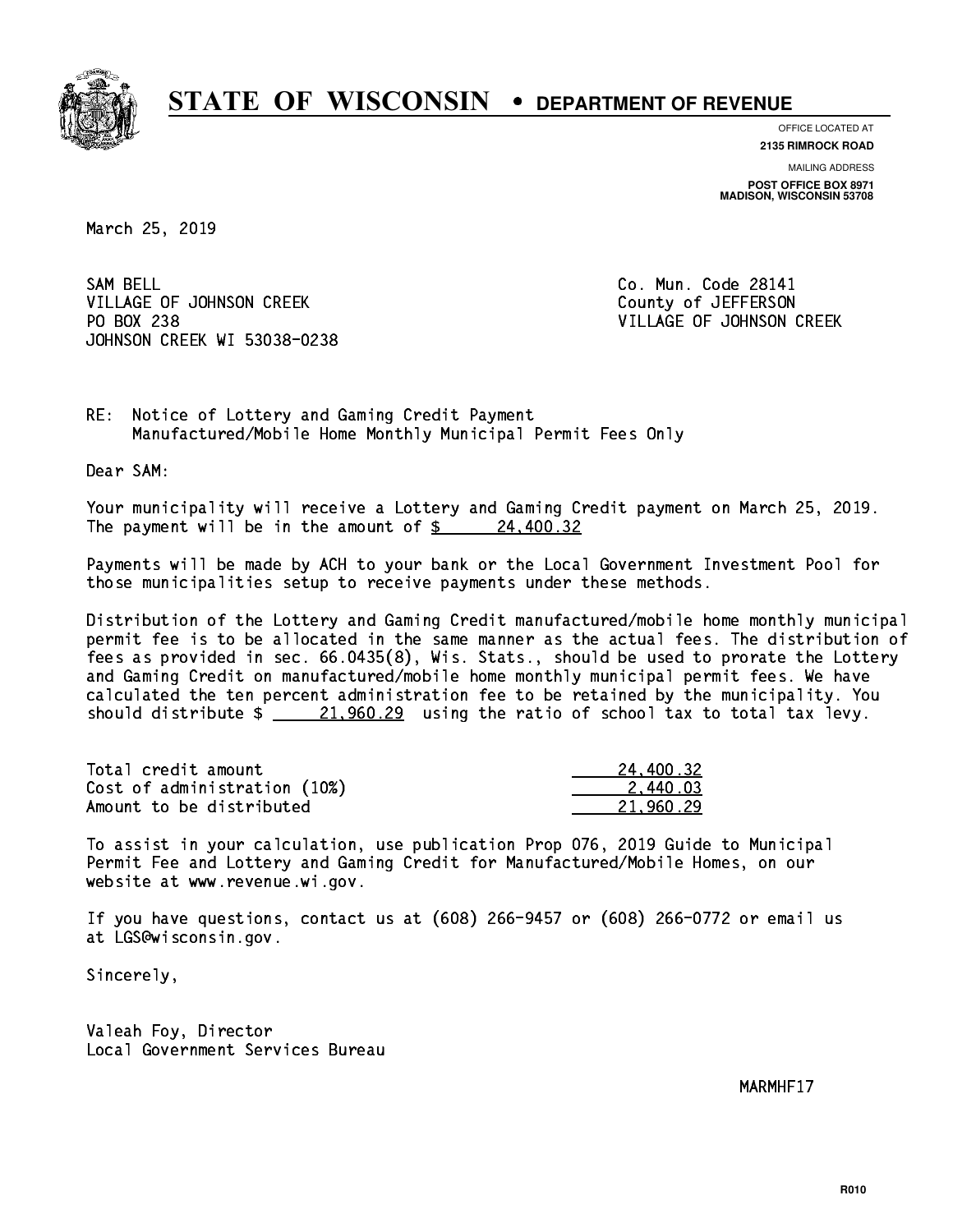

**OFFICE LOCATED AT 2135 RIMROCK ROAD**

**MAILING ADDRESS POST OFFICE BOX 8971 MADISON, WISCONSIN 53708**

March 25, 2019

SAM BELL VILLAGE OF JOHNSON CREEK COUNTY OF JEFFERSON PO BOX 238 JOHNSON CREEK WI 53038-0238

Co. Mun. Code 28141 VILLAGE OF JOHNSON CREEK

RE: Notice of Lottery and Gaming Credit Payment Manufactured/Mobile Home Monthly Municipal Permit Fees Only

Dear SAM:

 Your municipality will receive a Lottery and Gaming Credit payment on March 25, 2019. The payment will be in the amount of  $\frac{24,400.32}{2}$ 

 Payments will be made by ACH to your bank or the Local Government Investment Pool for those municipalities setup to receive payments under these methods.

 Distribution of the Lottery and Gaming Credit manufactured/mobile home monthly municipal permit fee is to be allocated in the same manner as the actual fees. The distribution of fees as provided in sec. 66.0435(8), Wis. Stats., should be used to prorate the Lottery and Gaming Credit on manufactured/mobile home monthly municipal permit fees. We have calculated the ten percent administration fee to be retained by the municipality. You should distribute  $\frac{21,960.29}{21,960.29}$  using the ratio of school tax to total tax levy.

| Total credit amount          | 24,400.32 |
|------------------------------|-----------|
| Cost of administration (10%) | 2.440.03  |
| Amount to be distributed     | 21.960.29 |

 To assist in your calculation, use publication Prop 076, 2019 Guide to Municipal Permit Fee and Lottery and Gaming Credit for Manufactured/Mobile Homes, on our website at www.revenue.wi.gov.

 If you have questions, contact us at (608) 266-9457 or (608) 266-0772 or email us at LGS@wisconsin.gov.

Sincerely,

 Valeah Foy, Director Local Government Services Bureau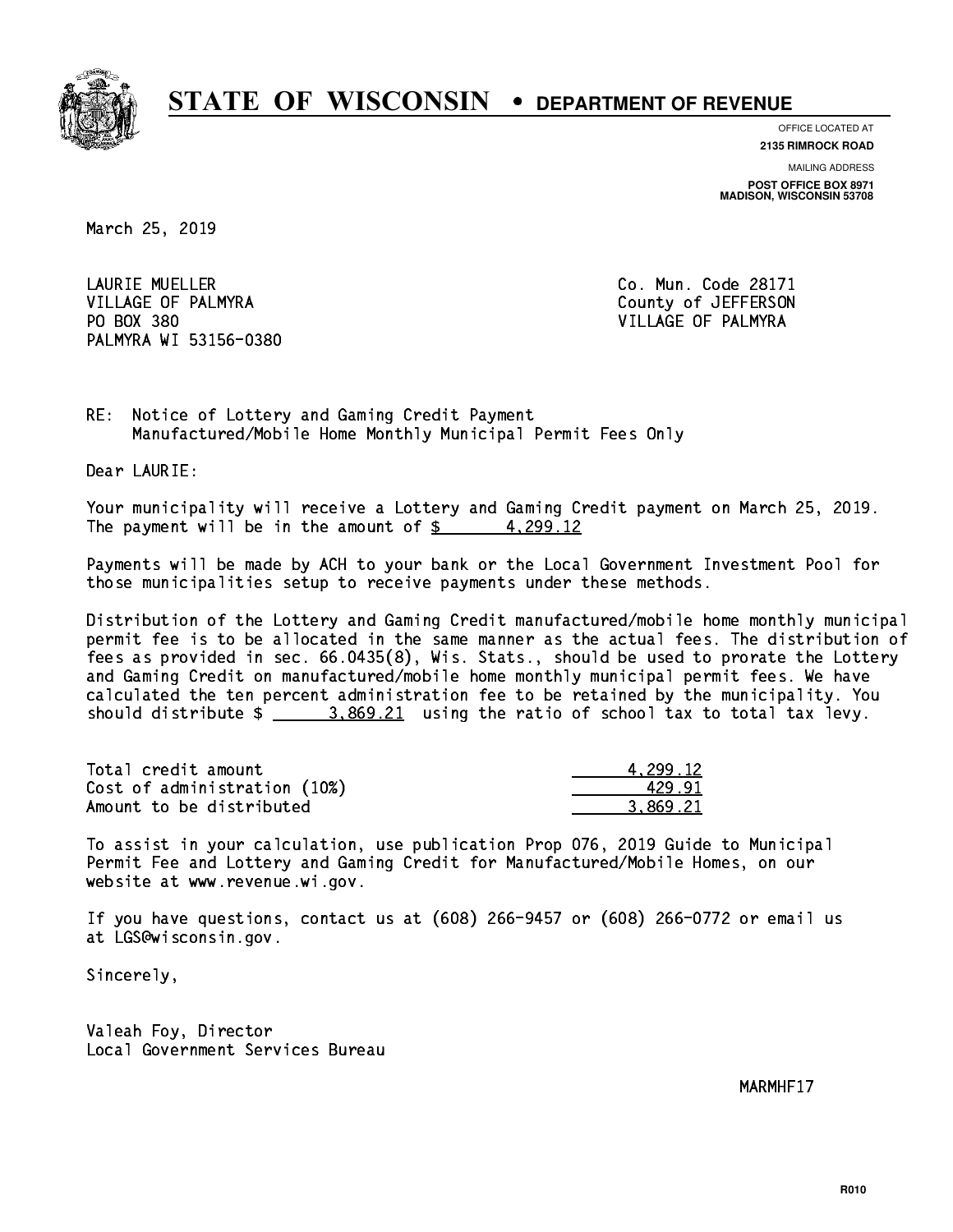

**OFFICE LOCATED AT**

**2135 RIMROCK ROAD**

**MAILING ADDRESS POST OFFICE BOX 8971 MADISON, WISCONSIN 53708**

March 25, 2019

 LAURIE MUELLER Co. Mun. Code 28171 VILLAGE OF PALMYRA COUNTY OF JEFFERSON PO BOX 380 VILLAGE OF PALMYRA PALMYRA WI 53156-0380

RE: Notice of Lottery and Gaming Credit Payment Manufactured/Mobile Home Monthly Municipal Permit Fees Only

Dear LAURIE:

 Your municipality will receive a Lottery and Gaming Credit payment on March 25, 2019. The payment will be in the amount of  $\frac{2}{3}$  4,299.12

 Payments will be made by ACH to your bank or the Local Government Investment Pool for those municipalities setup to receive payments under these methods.

 Distribution of the Lottery and Gaming Credit manufactured/mobile home monthly municipal permit fee is to be allocated in the same manner as the actual fees. The distribution of fees as provided in sec. 66.0435(8), Wis. Stats., should be used to prorate the Lottery and Gaming Credit on manufactured/mobile home monthly municipal permit fees. We have calculated the ten percent administration fee to be retained by the municipality. You should distribute  $\frac{2}{1}$   $\frac{3.869.21}{2}$  using the ratio of school tax to total tax levy.

| Total credit amount          | 4.299.12 |
|------------------------------|----------|
| Cost of administration (10%) | 429.91   |
| Amount to be distributed     | 3.869.21 |

 To assist in your calculation, use publication Prop 076, 2019 Guide to Municipal Permit Fee and Lottery and Gaming Credit for Manufactured/Mobile Homes, on our website at www.revenue.wi.gov.

 If you have questions, contact us at (608) 266-9457 or (608) 266-0772 or email us at LGS@wisconsin.gov.

Sincerely,

 Valeah Foy, Director Local Government Services Bureau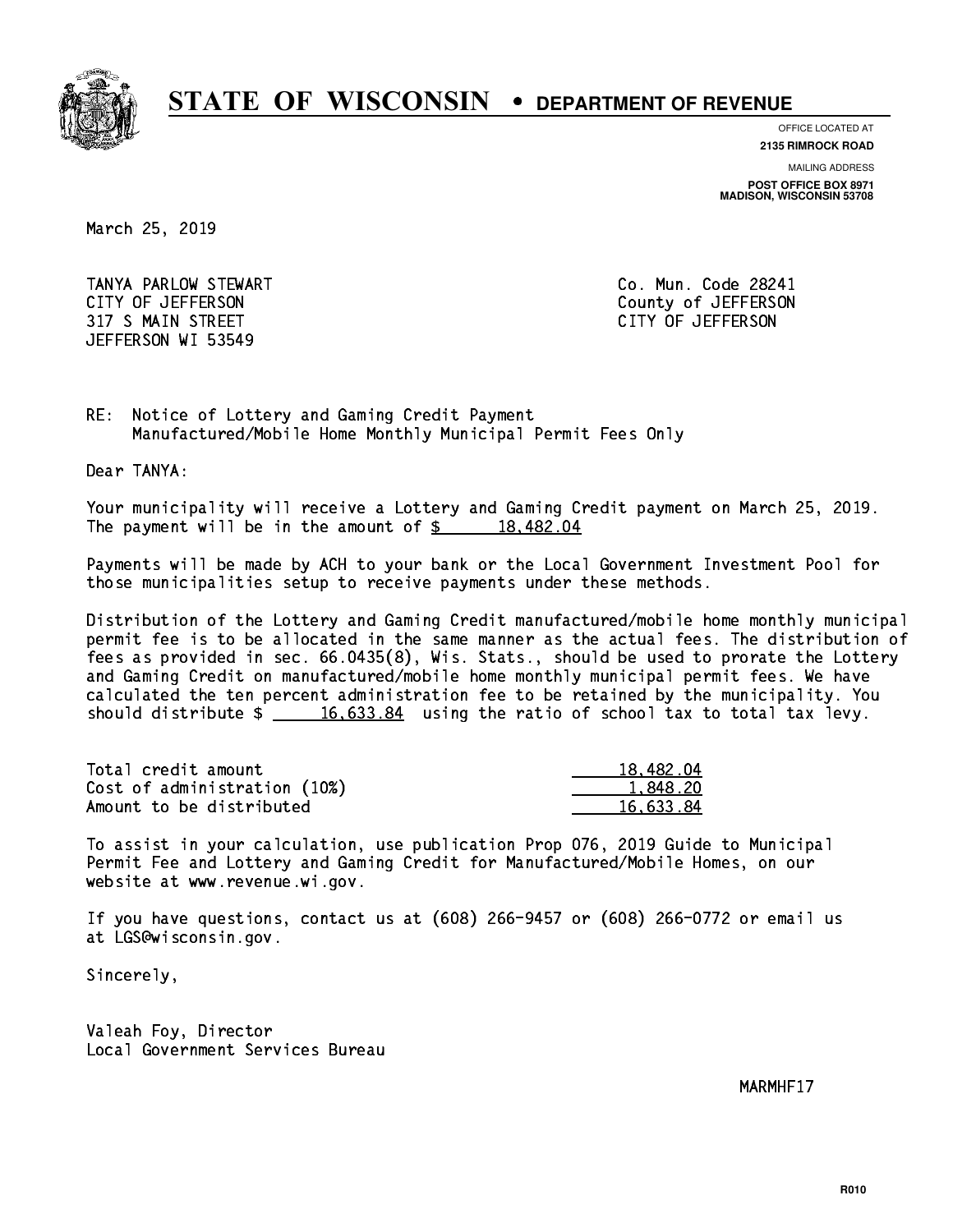

**OFFICE LOCATED AT**

**2135 RIMROCK ROAD**

**MAILING ADDRESS**

**POST OFFICE BOX 8971 MADISON, WISCONSIN 53708**

March 25, 2019

 TANYA PARLOW STEWART Co. Mun. Code 28241 CITY OF JEFFERSON County of JEFFERSON 317 S MAIN STREET CITY OF JEFFERSON JEFFERSON WI 53549

RE: Notice of Lottery and Gaming Credit Payment Manufactured/Mobile Home Monthly Municipal Permit Fees Only

Dear TANYA:

 Your municipality will receive a Lottery and Gaming Credit payment on March 25, 2019. The payment will be in the amount of  $\frac{2}{3}$  18,482.04

 Payments will be made by ACH to your bank or the Local Government Investment Pool for those municipalities setup to receive payments under these methods.

 Distribution of the Lottery and Gaming Credit manufactured/mobile home monthly municipal permit fee is to be allocated in the same manner as the actual fees. The distribution of fees as provided in sec. 66.0435(8), Wis. Stats., should be used to prorate the Lottery and Gaming Credit on manufactured/mobile home monthly municipal permit fees. We have calculated the ten percent administration fee to be retained by the municipality. You should distribute  $\frac{16,633.84}{2}$  using the ratio of school tax to total tax levy.

| Total credit amount          | 18,482.04 |
|------------------------------|-----------|
| Cost of administration (10%) | 1.848.20  |
| Amount to be distributed     | 16.633.84 |

 To assist in your calculation, use publication Prop 076, 2019 Guide to Municipal Permit Fee and Lottery and Gaming Credit for Manufactured/Mobile Homes, on our website at www.revenue.wi.gov.

 If you have questions, contact us at (608) 266-9457 or (608) 266-0772 or email us at LGS@wisconsin.gov.

Sincerely,

 Valeah Foy, Director Local Government Services Bureau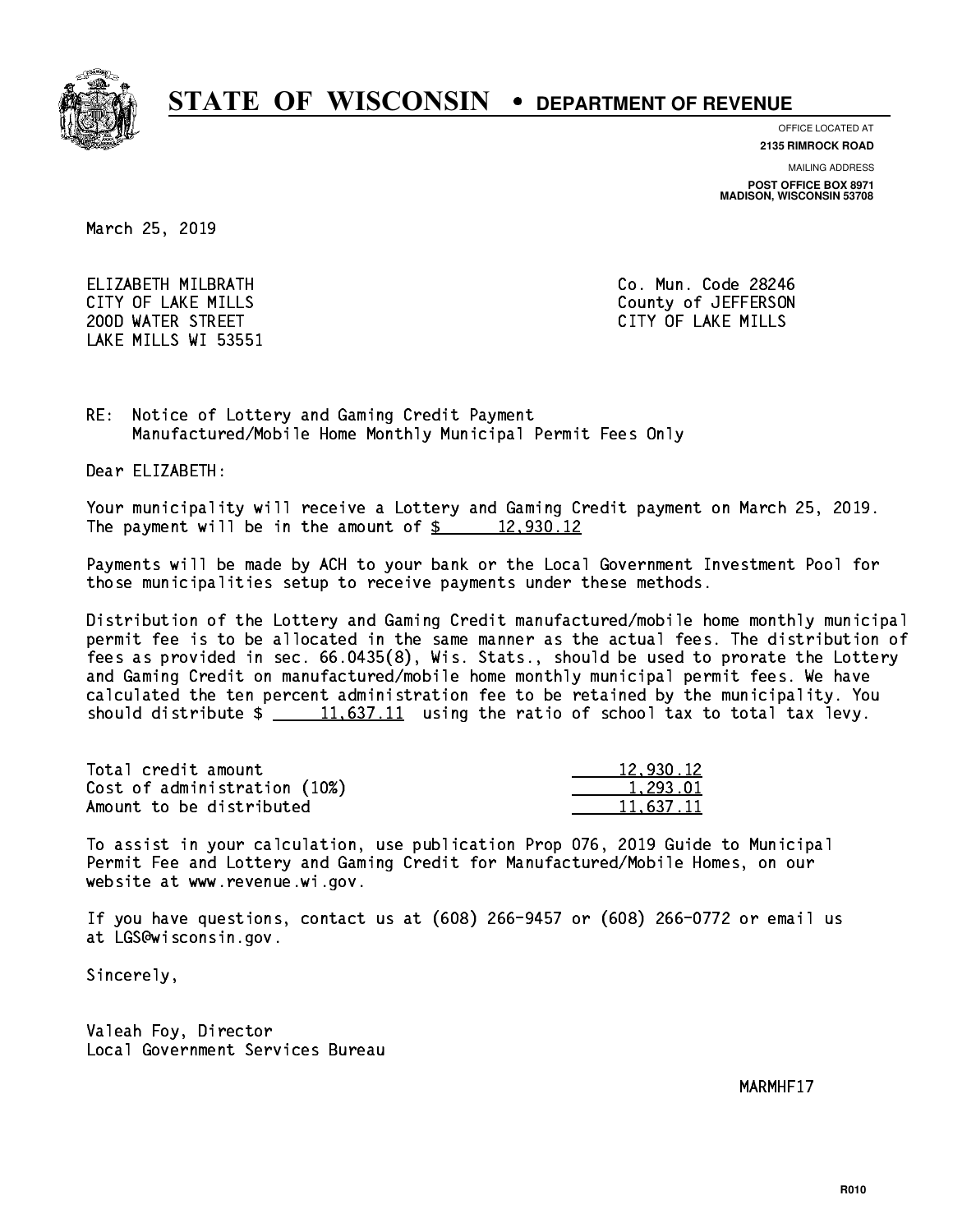

**OFFICE LOCATED AT**

**2135 RIMROCK ROAD**

**MAILING ADDRESS**

**POST OFFICE BOX 8971 MADISON, WISCONSIN 53708**

March 25, 2019

 ELIZABETH MILBRATH Co. Mun. Code 28246 200D WATER STREET CITY OF LAKE MILLS LAKE MILLS WI 53551

CITY OF LAKE MILLS COUNTY OF LAKE MILLS

RE: Notice of Lottery and Gaming Credit Payment Manufactured/Mobile Home Monthly Municipal Permit Fees Only

Dear ELIZABETH:

 Your municipality will receive a Lottery and Gaming Credit payment on March 25, 2019. The payment will be in the amount of  $\frac{2}{12}$   $\frac{12,930.12}{2}$ 

 Payments will be made by ACH to your bank or the Local Government Investment Pool for those municipalities setup to receive payments under these methods.

 Distribution of the Lottery and Gaming Credit manufactured/mobile home monthly municipal permit fee is to be allocated in the same manner as the actual fees. The distribution of fees as provided in sec. 66.0435(8), Wis. Stats., should be used to prorate the Lottery and Gaming Credit on manufactured/mobile home monthly municipal permit fees. We have calculated the ten percent administration fee to be retained by the municipality. You should distribute  $\frac{11.637.11}{2}$  using the ratio of school tax to total tax levy.

| Total credit amount          | 12.930.12 |
|------------------------------|-----------|
| Cost of administration (10%) | 1.293.01  |
| Amount to be distributed     | 11.637.11 |

 To assist in your calculation, use publication Prop 076, 2019 Guide to Municipal Permit Fee and Lottery and Gaming Credit for Manufactured/Mobile Homes, on our website at www.revenue.wi.gov.

 If you have questions, contact us at (608) 266-9457 or (608) 266-0772 or email us at LGS@wisconsin.gov.

Sincerely,

 Valeah Foy, Director Local Government Services Bureau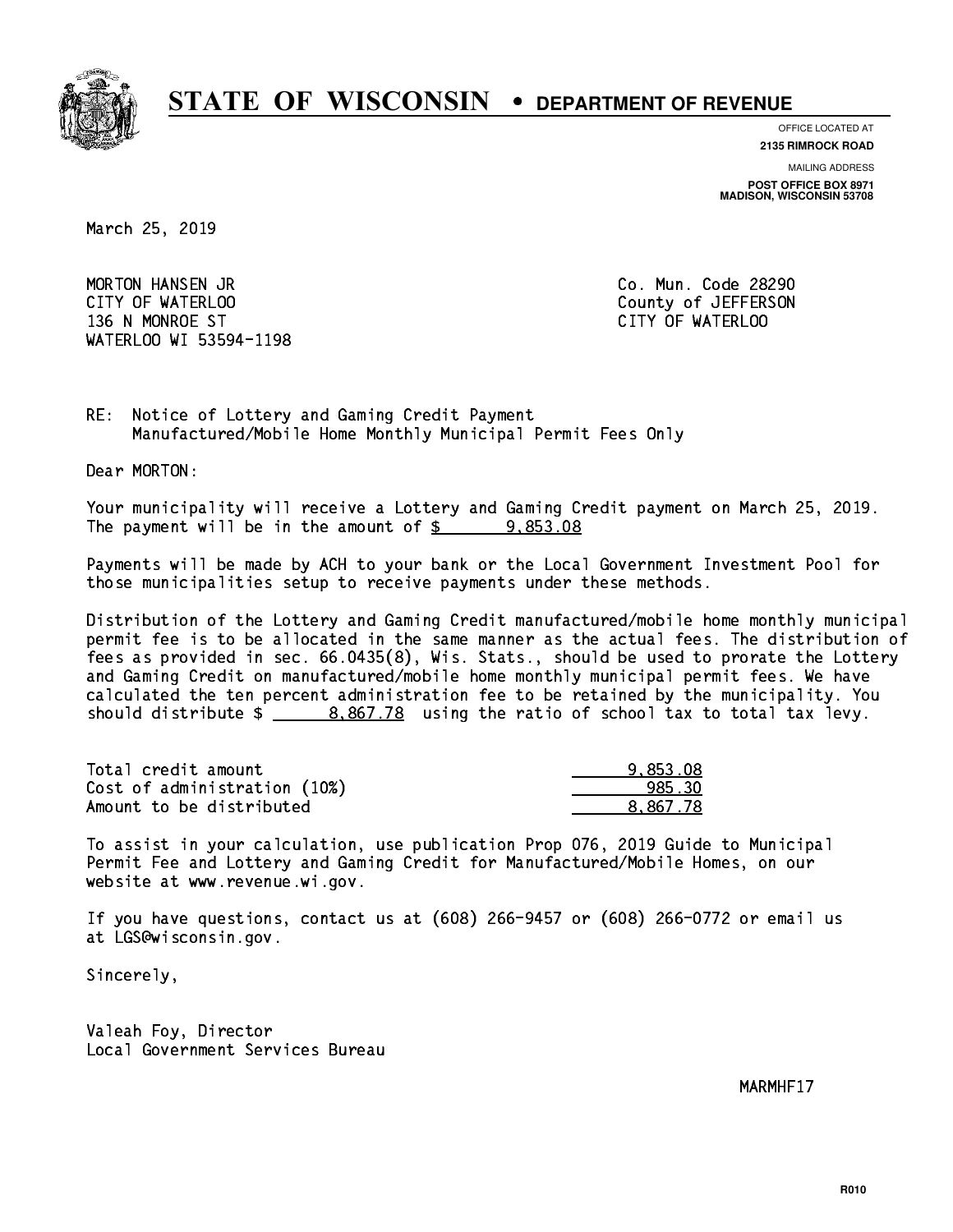

**OFFICE LOCATED AT**

**2135 RIMROCK ROAD**

**MAILING ADDRESS**

**POST OFFICE BOX 8971 MADISON, WISCONSIN 53708**

March 25, 2019

 MORTON HANSEN JR Co. Mun. Code 28290 CITY OF WATERLOO COUNTY OF WATERS ON COUNTY OF SALES AND THE COUNTY OF JEFFERSON 136 N MONROE ST CITY OF WATERLOO WATERLOO WI 53594-1198

RE: Notice of Lottery and Gaming Credit Payment Manufactured/Mobile Home Monthly Municipal Permit Fees Only

Dear MORTON:

 Your municipality will receive a Lottery and Gaming Credit payment on March 25, 2019. The payment will be in the amount of  $\frac{2}{3}$  9,853.08

 Payments will be made by ACH to your bank or the Local Government Investment Pool for those municipalities setup to receive payments under these methods.

 Distribution of the Lottery and Gaming Credit manufactured/mobile home monthly municipal permit fee is to be allocated in the same manner as the actual fees. The distribution of fees as provided in sec. 66.0435(8), Wis. Stats., should be used to prorate the Lottery and Gaming Credit on manufactured/mobile home monthly municipal permit fees. We have calculated the ten percent administration fee to be retained by the municipality. You should distribute  $\frac{2}{1}$   $\frac{8,867.78}{2}$  using the ratio of school tax to total tax levy.

| Total credit amount          | 9.853.08 |
|------------------------------|----------|
| Cost of administration (10%) | 985.30   |
| Amount to be distributed     | 8.867.78 |

 To assist in your calculation, use publication Prop 076, 2019 Guide to Municipal Permit Fee and Lottery and Gaming Credit for Manufactured/Mobile Homes, on our website at www.revenue.wi.gov.

 If you have questions, contact us at (608) 266-9457 or (608) 266-0772 or email us at LGS@wisconsin.gov.

Sincerely,

 Valeah Foy, Director Local Government Services Bureau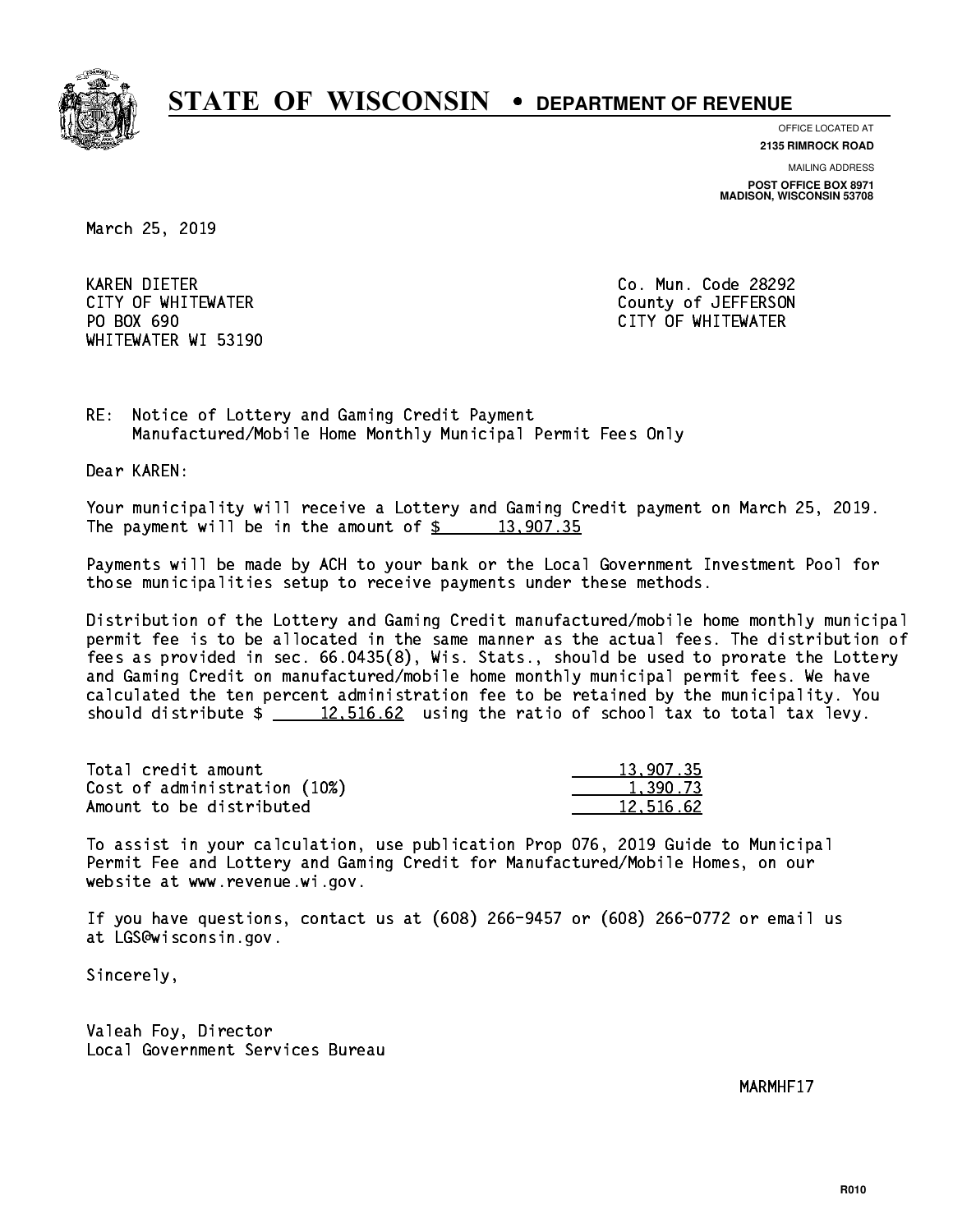

**OFFICE LOCATED AT**

**2135 RIMROCK ROAD**

**MAILING ADDRESS**

**POST OFFICE BOX 8971 MADISON, WISCONSIN 53708**

March 25, 2019

 KAREN DIETER Co. Mun. Code 28292 PO BOX 690 WHITEWATER WI 53190

 CITY OF WHITEWATER County of JEFFERSON CITY OF WHITEWATER

RE: Notice of Lottery and Gaming Credit Payment Manufactured/Mobile Home Monthly Municipal Permit Fees Only

Dear KAREN:

 Your municipality will receive a Lottery and Gaming Credit payment on March 25, 2019. The payment will be in the amount of  $\frac{2}{3}$  13,907.35

 Payments will be made by ACH to your bank or the Local Government Investment Pool for those municipalities setup to receive payments under these methods.

 Distribution of the Lottery and Gaming Credit manufactured/mobile home monthly municipal permit fee is to be allocated in the same manner as the actual fees. The distribution of fees as provided in sec. 66.0435(8), Wis. Stats., should be used to prorate the Lottery and Gaming Credit on manufactured/mobile home monthly municipal permit fees. We have calculated the ten percent administration fee to be retained by the municipality. You should distribute  $\frac{2}{2}$   $\frac{12,516.62}{2}$  using the ratio of school tax to total tax levy.

| Total credit amount          | 13,907.35 |
|------------------------------|-----------|
| Cost of administration (10%) | 1,390.73  |
| Amount to be distributed     | 12.516.62 |

 To assist in your calculation, use publication Prop 076, 2019 Guide to Municipal Permit Fee and Lottery and Gaming Credit for Manufactured/Mobile Homes, on our website at www.revenue.wi.gov.

 If you have questions, contact us at (608) 266-9457 or (608) 266-0772 or email us at LGS@wisconsin.gov.

Sincerely,

 Valeah Foy, Director Local Government Services Bureau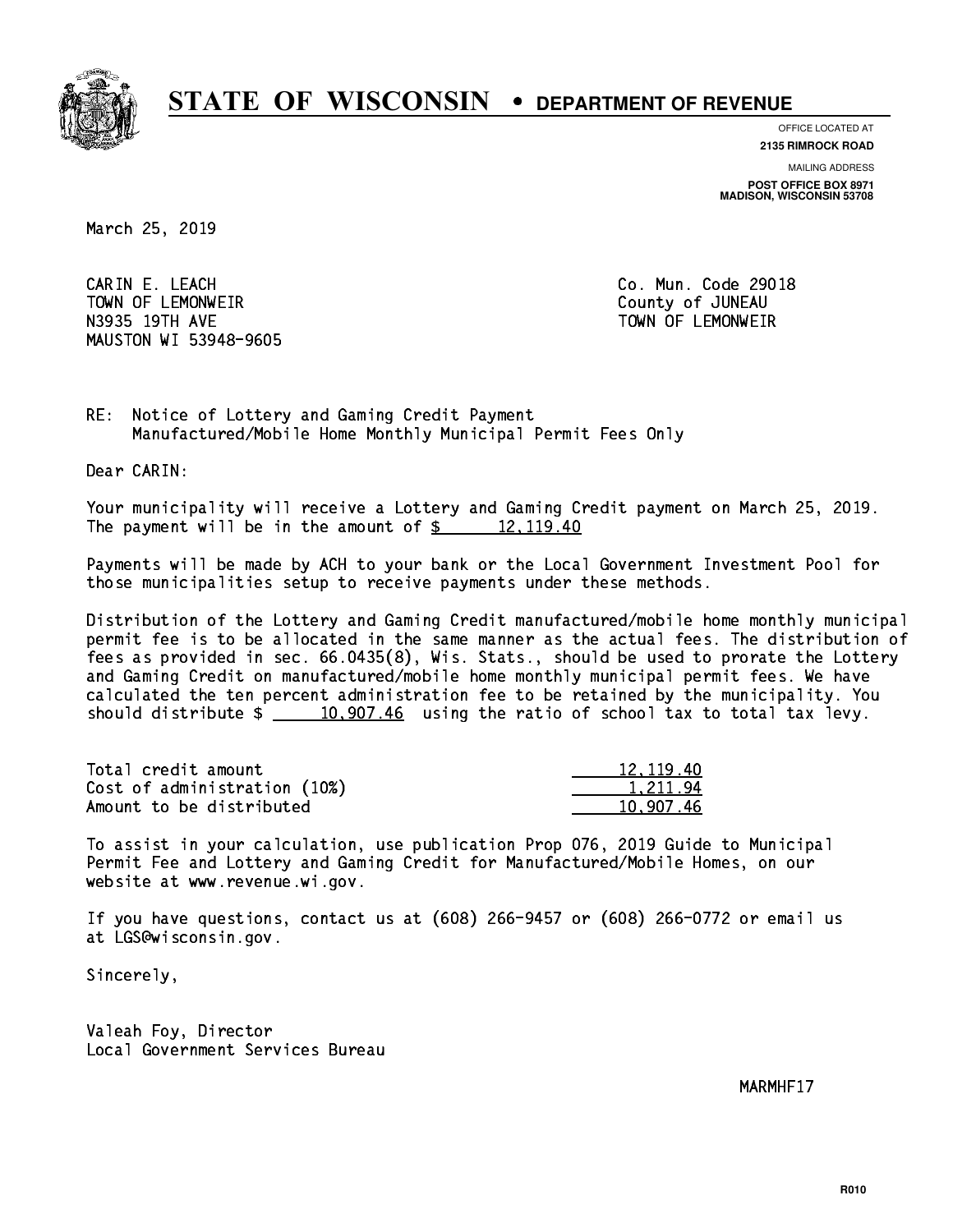

**OFFICE LOCATED AT**

**2135 RIMROCK ROAD**

**MAILING ADDRESS POST OFFICE BOX 8971 MADISON, WISCONSIN 53708**

March 25, 2019

 CARIN E. LEACH Co. Mun. Code 29018 TOWN OF LEMONWEIR County of JUNEAU N3935 19TH AVE TOWN OF LEMONWEIR MAUSTON WI 53948-9605

RE: Notice of Lottery and Gaming Credit Payment Manufactured/Mobile Home Monthly Municipal Permit Fees Only

Dear CARIN:

 Your municipality will receive a Lottery and Gaming Credit payment on March 25, 2019. The payment will be in the amount of  $\frac{2}{3}$  12,119.40

 Payments will be made by ACH to your bank or the Local Government Investment Pool for those municipalities setup to receive payments under these methods.

 Distribution of the Lottery and Gaming Credit manufactured/mobile home monthly municipal permit fee is to be allocated in the same manner as the actual fees. The distribution of fees as provided in sec. 66.0435(8), Wis. Stats., should be used to prorate the Lottery and Gaming Credit on manufactured/mobile home monthly municipal permit fees. We have calculated the ten percent administration fee to be retained by the municipality. You should distribute  $\frac{10,907.46}{2}$  using the ratio of school tax to total tax levy.

| Total credit amount          | 12, 119.40 |
|------------------------------|------------|
| Cost of administration (10%) | 1.211.94   |
| Amount to be distributed     | 10.907.46  |

 To assist in your calculation, use publication Prop 076, 2019 Guide to Municipal Permit Fee and Lottery and Gaming Credit for Manufactured/Mobile Homes, on our website at www.revenue.wi.gov.

 If you have questions, contact us at (608) 266-9457 or (608) 266-0772 or email us at LGS@wisconsin.gov.

Sincerely,

 Valeah Foy, Director Local Government Services Bureau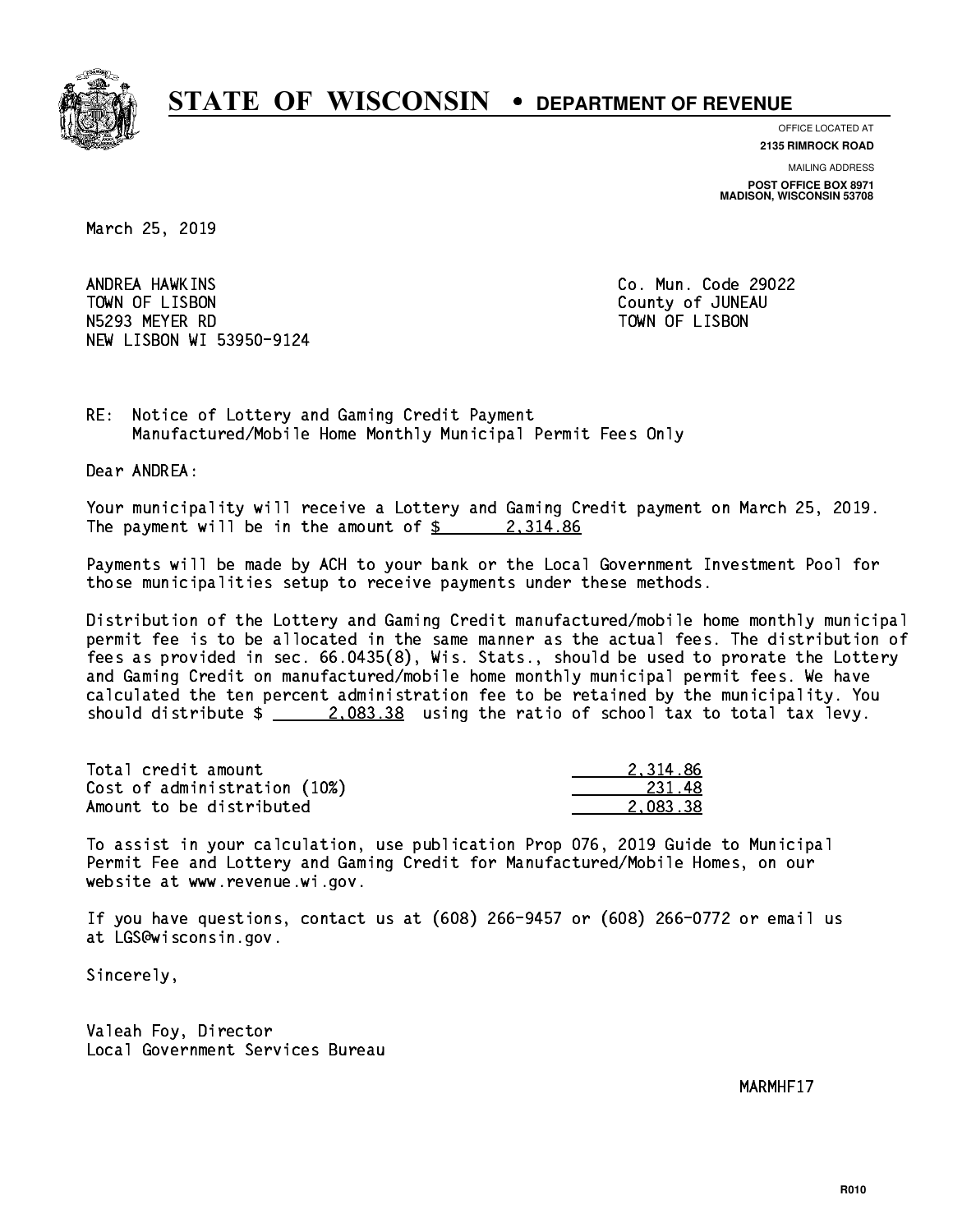

**OFFICE LOCATED AT 2135 RIMROCK ROAD**

**MAILING ADDRESS**

**POST OFFICE BOX 8971 MADISON, WISCONSIN 53708**

March 25, 2019

ANDREA HAWKINS TOWN OF LISBON COUNTY OF A LISBON N5293 MEYER RD TOWN OF LISBON NEW LISBON WI 53950-9124

Co. Mun. Code 29022

RE: Notice of Lottery and Gaming Credit Payment Manufactured/Mobile Home Monthly Municipal Permit Fees Only

Dear ANDREA:

 Your municipality will receive a Lottery and Gaming Credit payment on March 25, 2019. The payment will be in the amount of  $\frac{2}{3}$  2,314.86

 Payments will be made by ACH to your bank or the Local Government Investment Pool for those municipalities setup to receive payments under these methods.

 Distribution of the Lottery and Gaming Credit manufactured/mobile home monthly municipal permit fee is to be allocated in the same manner as the actual fees. The distribution of fees as provided in sec. 66.0435(8), Wis. Stats., should be used to prorate the Lottery and Gaming Credit on manufactured/mobile home monthly municipal permit fees. We have calculated the ten percent administration fee to be retained by the municipality. You should distribute  $\frac{2.083.38}{2.083.38}$  using the ratio of school tax to total tax levy.

| Total credit amount          | 2.314.86 |
|------------------------------|----------|
| Cost of administration (10%) | -231.48  |
| Amount to be distributed     | 2.083.38 |

 To assist in your calculation, use publication Prop 076, 2019 Guide to Municipal Permit Fee and Lottery and Gaming Credit for Manufactured/Mobile Homes, on our website at www.revenue.wi.gov.

 If you have questions, contact us at (608) 266-9457 or (608) 266-0772 or email us at LGS@wisconsin.gov.

Sincerely,

 Valeah Foy, Director Local Government Services Bureau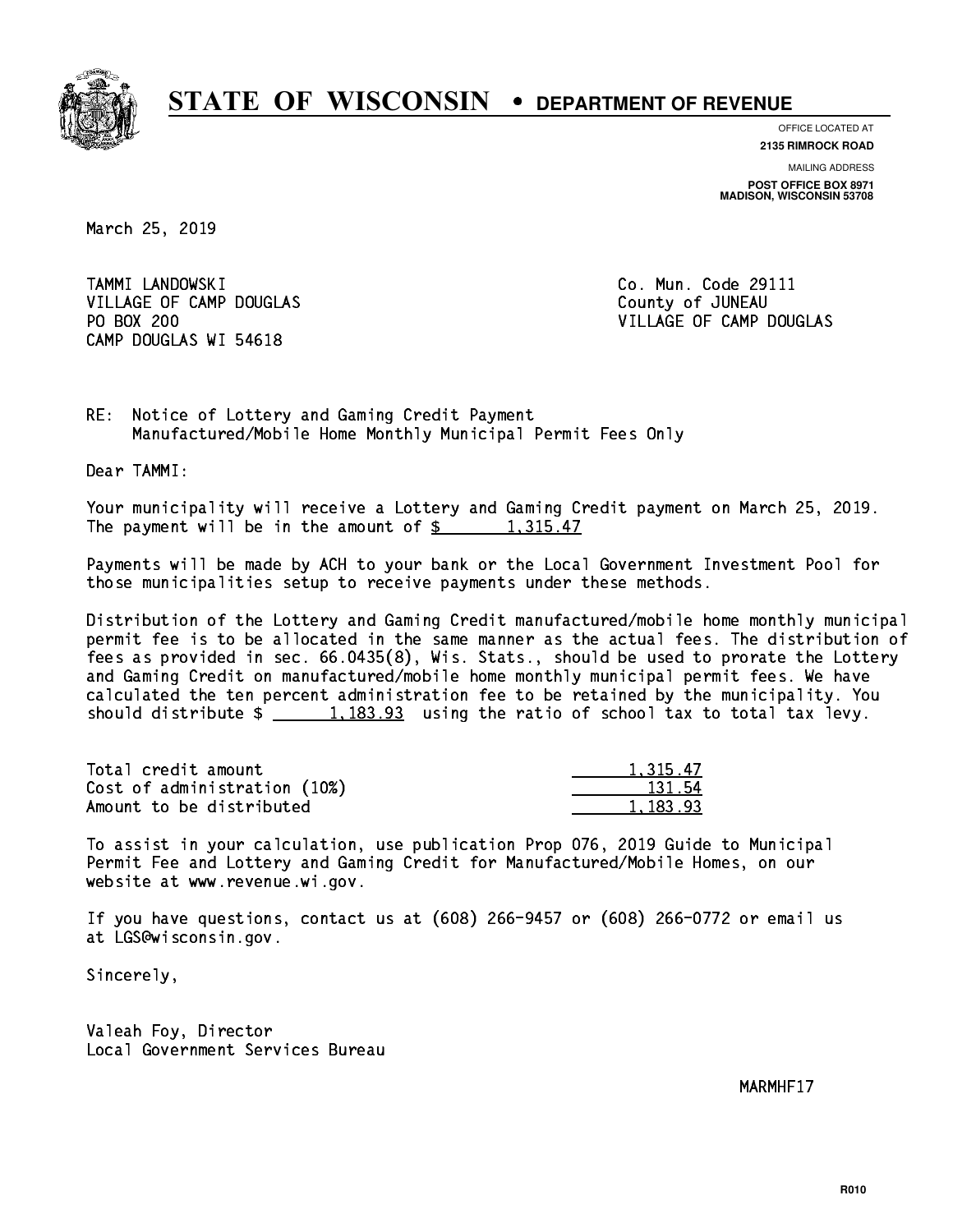

**OFFICE LOCATED AT 2135 RIMROCK ROAD**

**MAILING ADDRESS POST OFFICE BOX 8971 MADISON, WISCONSIN 53708**

March 25, 2019

 TAMMI LANDOWSKI Co. Mun. Code 29111 VILLAGE OF CAMP DOUGLAS County of JUNEAU PO BOX 200 CAMP DOUGLAS WI 54618

VILLAGE OF CAMP DOUGLAS

RE: Notice of Lottery and Gaming Credit Payment Manufactured/Mobile Home Monthly Municipal Permit Fees Only

Dear TAMMI:

 Your municipality will receive a Lottery and Gaming Credit payment on March 25, 2019. The payment will be in the amount of  $\frac{2}{3}$  1,315.47

 Payments will be made by ACH to your bank or the Local Government Investment Pool for those municipalities setup to receive payments under these methods.

 Distribution of the Lottery and Gaming Credit manufactured/mobile home monthly municipal permit fee is to be allocated in the same manner as the actual fees. The distribution of fees as provided in sec. 66.0435(8), Wis. Stats., should be used to prorate the Lottery and Gaming Credit on manufactured/mobile home monthly municipal permit fees. We have calculated the ten percent administration fee to be retained by the municipality. You should distribute  $\frac{1}{2}$   $\frac{1,183.93}{2}$  using the ratio of school tax to total tax levy.

| Total credit amount          | 1.315.47 |
|------------------------------|----------|
| Cost of administration (10%) | 131.54   |
| Amount to be distributed     | 1.183.93 |

 To assist in your calculation, use publication Prop 076, 2019 Guide to Municipal Permit Fee and Lottery and Gaming Credit for Manufactured/Mobile Homes, on our website at www.revenue.wi.gov.

 If you have questions, contact us at (608) 266-9457 or (608) 266-0772 or email us at LGS@wisconsin.gov.

Sincerely,

 Valeah Foy, Director Local Government Services Bureau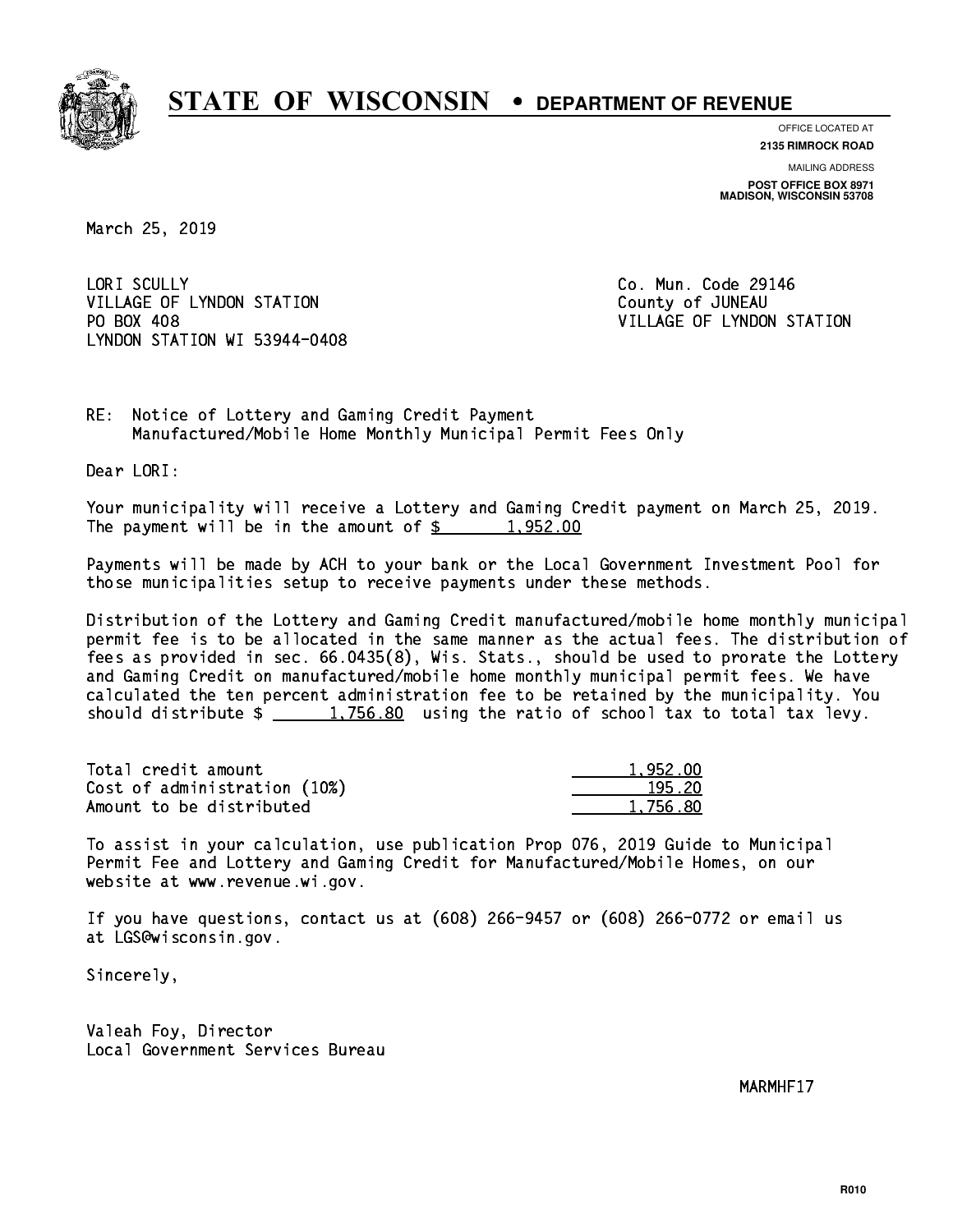

**OFFICE LOCATED AT 2135 RIMROCK ROAD**

**MAILING ADDRESS POST OFFICE BOX 8971 MADISON, WISCONSIN 53708**

March 25, 2019

LORI SCULLY VILLAGE OF LYNDON STATION COUNTY OF JUNEAU PO BOX 408 LYNDON STATION WI 53944-0408

Co. Mun. Code 29146 VILLAGE OF LYNDON STATION

RE: Notice of Lottery and Gaming Credit Payment Manufactured/Mobile Home Monthly Municipal Permit Fees Only

Dear LORI:

 Your municipality will receive a Lottery and Gaming Credit payment on March 25, 2019. The payment will be in the amount of  $\frac{2}{3}$  1,952.00

 Payments will be made by ACH to your bank or the Local Government Investment Pool for those municipalities setup to receive payments under these methods.

 Distribution of the Lottery and Gaming Credit manufactured/mobile home monthly municipal permit fee is to be allocated in the same manner as the actual fees. The distribution of fees as provided in sec. 66.0435(8), Wis. Stats., should be used to prorate the Lottery and Gaming Credit on manufactured/mobile home monthly municipal permit fees. We have calculated the ten percent administration fee to be retained by the municipality. You should distribute  $\frac{1,756.80}{1,756.80}$  using the ratio of school tax to total tax levy.

| Total credit amount          | 1.952.00 |
|------------------------------|----------|
| Cost of administration (10%) | 195.20   |
| Amount to be distributed     | 1,756.80 |

 To assist in your calculation, use publication Prop 076, 2019 Guide to Municipal Permit Fee and Lottery and Gaming Credit for Manufactured/Mobile Homes, on our website at www.revenue.wi.gov.

 If you have questions, contact us at (608) 266-9457 or (608) 266-0772 or email us at LGS@wisconsin.gov.

Sincerely,

 Valeah Foy, Director Local Government Services Bureau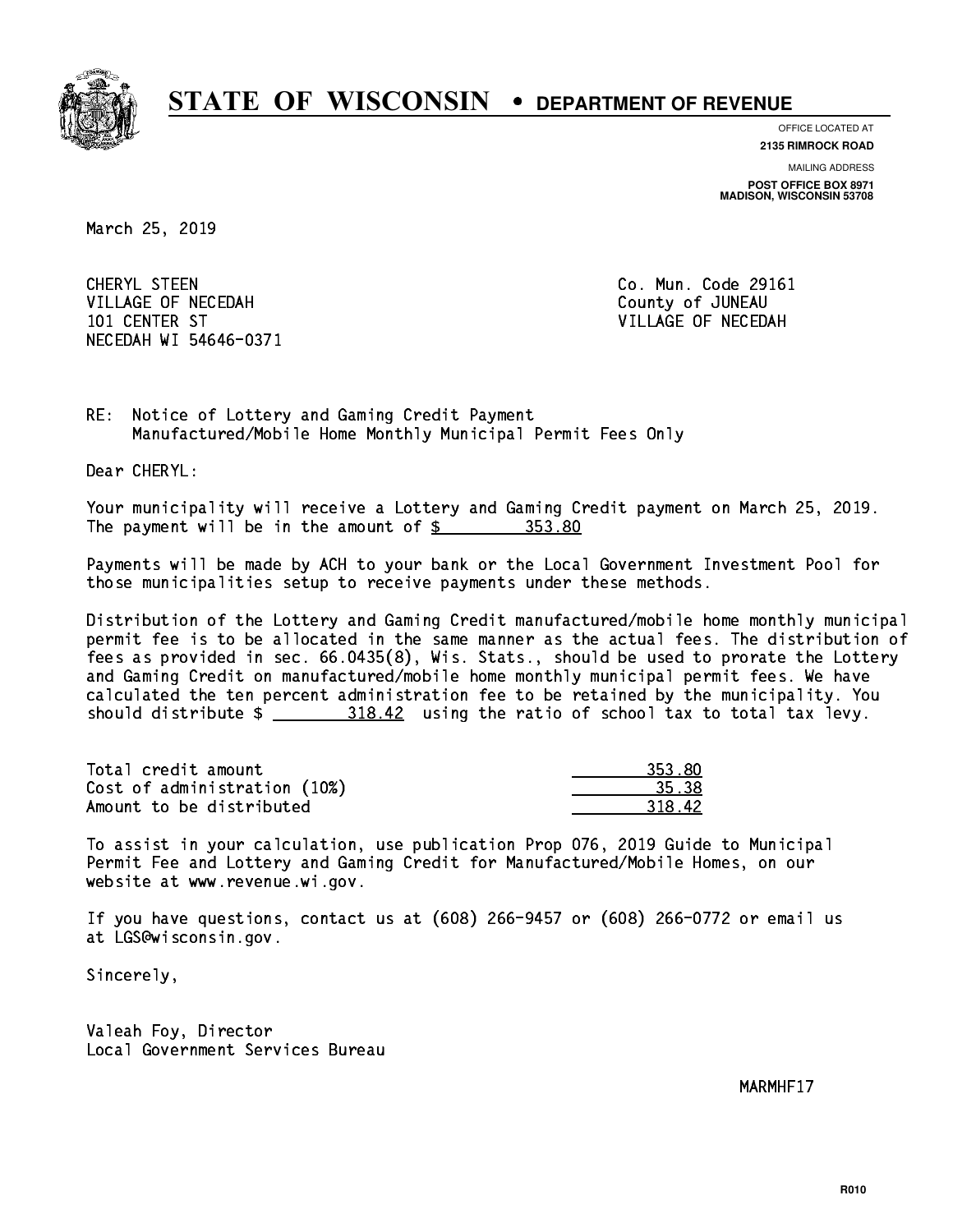

**OFFICE LOCATED AT**

**2135 RIMROCK ROAD**

**MAILING ADDRESS POST OFFICE BOX 8971 MADISON, WISCONSIN 53708**

March 25, 2019

 CHERYL STEEN Co. Mun. Code 29161 VILLAGE OF NECEDAH COUNTY OF JUNEAU 101 CENTER ST VILLAGE OF NECEDAH NECEDAH WI 54646-0371

RE: Notice of Lottery and Gaming Credit Payment Manufactured/Mobile Home Monthly Municipal Permit Fees Only

Dear CHERYL:

 Your municipality will receive a Lottery and Gaming Credit payment on March 25, 2019. The payment will be in the amount of \$ 353.80 \_\_\_\_\_\_\_\_\_\_\_\_\_\_\_\_

 Payments will be made by ACH to your bank or the Local Government Investment Pool for those municipalities setup to receive payments under these methods.

 Distribution of the Lottery and Gaming Credit manufactured/mobile home monthly municipal permit fee is to be allocated in the same manner as the actual fees. The distribution of fees as provided in sec. 66.0435(8), Wis. Stats., should be used to prorate the Lottery and Gaming Credit on manufactured/mobile home monthly municipal permit fees. We have calculated the ten percent administration fee to be retained by the municipality. You should distribute  $\frac{2 \frac{318.42}{2}}{2 \frac{318.42}{2}}$  using the ratio of school tax to total tax levy.

| Total credit amount          | 353.80 |
|------------------------------|--------|
| Cost of administration (10%) | 35.38  |
| Amount to be distributed     | 318.42 |

| 62 S<br>रा<br>, |
|-----------------|
|                 |
| 12.<br>-211     |

 To assist in your calculation, use publication Prop 076, 2019 Guide to Municipal Permit Fee and Lottery and Gaming Credit for Manufactured/Mobile Homes, on our website at www.revenue.wi.gov.

 If you have questions, contact us at (608) 266-9457 or (608) 266-0772 or email us at LGS@wisconsin.gov.

Sincerely,

 Valeah Foy, Director Local Government Services Bureau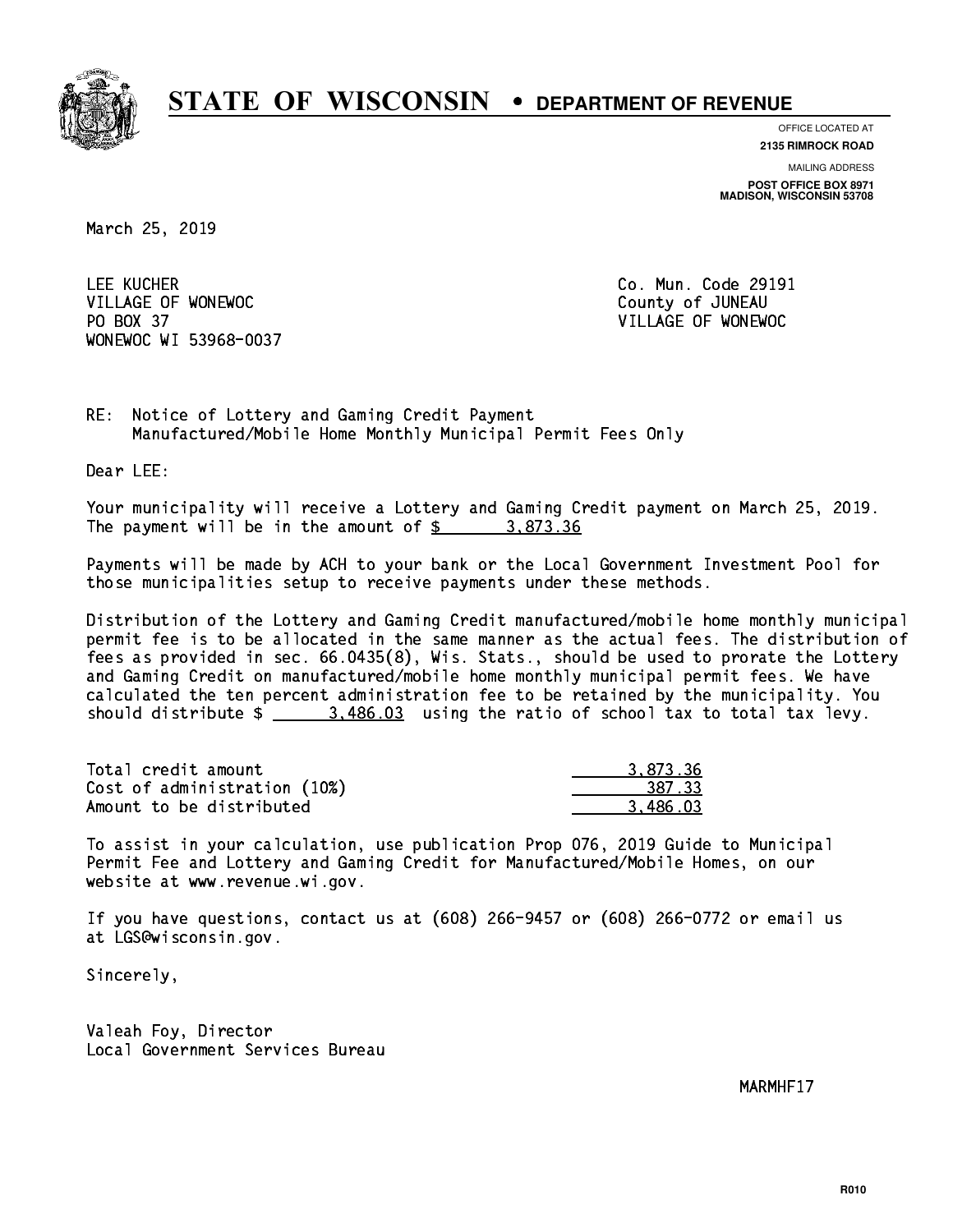

**OFFICE LOCATED AT**

**2135 RIMROCK ROAD**

**MAILING ADDRESS POST OFFICE BOX 8971 MADISON, WISCONSIN 53708**

March 25, 2019

LEE KUCHER VILLAGE OF WONEWOC **COUNTY OF SECOND VILLAGE OF WONEWOC**  PO BOX 37 VILLAGE OF WONEWOC WONEWOC WI 53968-0037

Co. Mun. Code 29191

RE: Notice of Lottery and Gaming Credit Payment Manufactured/Mobile Home Monthly Municipal Permit Fees Only

Dear LEE:

 Your municipality will receive a Lottery and Gaming Credit payment on March 25, 2019. The payment will be in the amount of  $\frac{2}{3}$  3,873.36

 Payments will be made by ACH to your bank or the Local Government Investment Pool for those municipalities setup to receive payments under these methods.

 Distribution of the Lottery and Gaming Credit manufactured/mobile home monthly municipal permit fee is to be allocated in the same manner as the actual fees. The distribution of fees as provided in sec. 66.0435(8), Wis. Stats., should be used to prorate the Lottery and Gaming Credit on manufactured/mobile home monthly municipal permit fees. We have calculated the ten percent administration fee to be retained by the municipality. You should distribute  $\frac{2}{1}$   $\frac{3.486.03}{2}$  using the ratio of school tax to total tax levy.

| Total credit amount          | 3.873.36 |
|------------------------------|----------|
| Cost of administration (10%) | 387.33   |
| Amount to be distributed     | 3.486.03 |

 To assist in your calculation, use publication Prop 076, 2019 Guide to Municipal Permit Fee and Lottery and Gaming Credit for Manufactured/Mobile Homes, on our website at www.revenue.wi.gov.

 If you have questions, contact us at (608) 266-9457 or (608) 266-0772 or email us at LGS@wisconsin.gov.

Sincerely,

 Valeah Foy, Director Local Government Services Bureau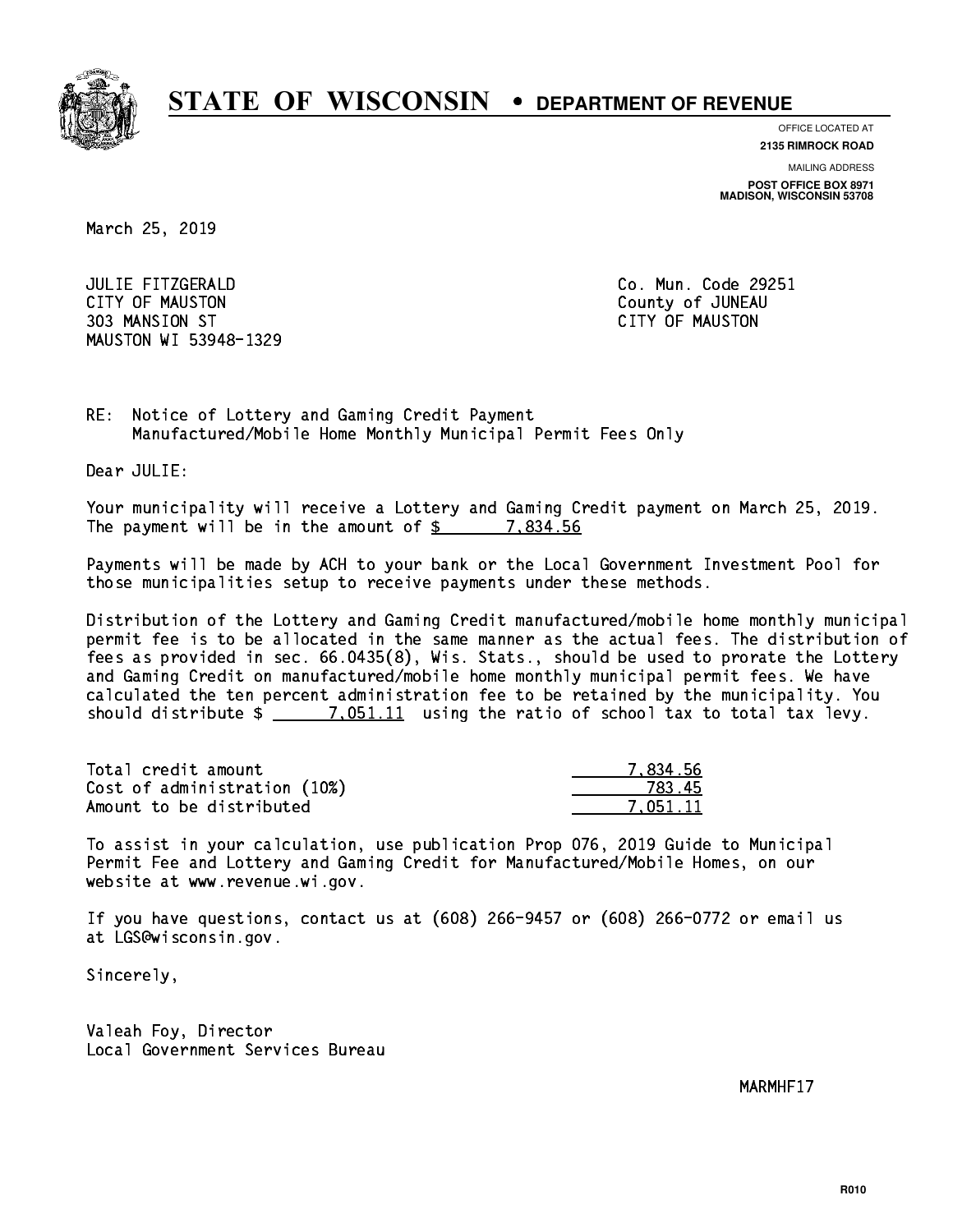

**OFFICE LOCATED AT**

**2135 RIMROCK ROAD**

**MAILING ADDRESS**

**POST OFFICE BOX 8971 MADISON, WISCONSIN 53708**

March 25, 2019

 JULIE FITZGERALD Co. Mun. Code 29251 CITY OF MAUSTON County of JUNEAU 303 MANSION ST CITY OF MAUSTON MAUSTON WI 53948-1329

RE: Notice of Lottery and Gaming Credit Payment Manufactured/Mobile Home Monthly Municipal Permit Fees Only

Dear JULIE:

 Your municipality will receive a Lottery and Gaming Credit payment on March 25, 2019. The payment will be in the amount of  $\frac{2}{3}$  7,834.56

 Payments will be made by ACH to your bank or the Local Government Investment Pool for those municipalities setup to receive payments under these methods.

 Distribution of the Lottery and Gaming Credit manufactured/mobile home monthly municipal permit fee is to be allocated in the same manner as the actual fees. The distribution of fees as provided in sec. 66.0435(8), Wis. Stats., should be used to prorate the Lottery and Gaming Credit on manufactured/mobile home monthly municipal permit fees. We have calculated the ten percent administration fee to be retained by the municipality. You should distribute  $\frac{2}{1}$   $\frac{7.051.11}{7.051.11}$  using the ratio of school tax to total tax levy.

| Total credit amount          | 7.834.56 |
|------------------------------|----------|
| Cost of administration (10%) | 783.45   |
| Amount to be distributed     | 7.051.11 |

 To assist in your calculation, use publication Prop 076, 2019 Guide to Municipal Permit Fee and Lottery and Gaming Credit for Manufactured/Mobile Homes, on our website at www.revenue.wi.gov.

 If you have questions, contact us at (608) 266-9457 or (608) 266-0772 or email us at LGS@wisconsin.gov.

Sincerely,

 Valeah Foy, Director Local Government Services Bureau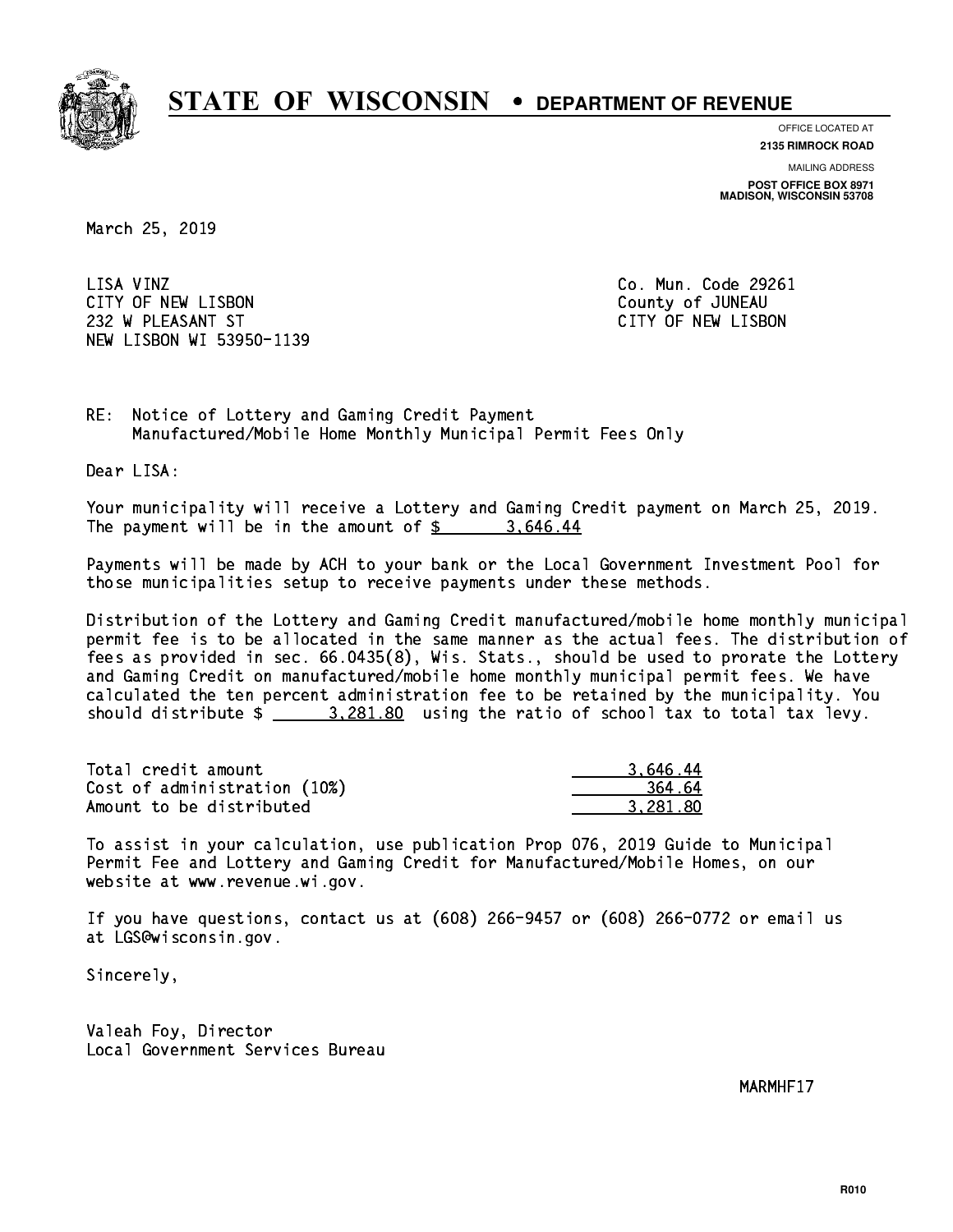

**OFFICE LOCATED AT 2135 RIMROCK ROAD**

**MAILING ADDRESS**

**POST OFFICE BOX 8971 MADISON, WISCONSIN 53708**

March 25, 2019

LISA VINZ CITY OF NEW LISBON County of JUNEAU 232 W PLEASANT ST CITY OF NEW LISBON NEW LISBON WI 53950-1139

Co. Mun. Code 29261

RE: Notice of Lottery and Gaming Credit Payment Manufactured/Mobile Home Monthly Municipal Permit Fees Only

Dear LISA:

 Your municipality will receive a Lottery and Gaming Credit payment on March 25, 2019. The payment will be in the amount of  $\frac{2}{3}$  3,646.44

 Payments will be made by ACH to your bank or the Local Government Investment Pool for those municipalities setup to receive payments under these methods.

 Distribution of the Lottery and Gaming Credit manufactured/mobile home monthly municipal permit fee is to be allocated in the same manner as the actual fees. The distribution of fees as provided in sec. 66.0435(8), Wis. Stats., should be used to prorate the Lottery and Gaming Credit on manufactured/mobile home monthly municipal permit fees. We have calculated the ten percent administration fee to be retained by the municipality. You should distribute  $\frac{2}{2}$   $\frac{3,281.80}{2}$  using the ratio of school tax to total tax levy.

| Total credit amount          | 3.646.44 |
|------------------------------|----------|
| Cost of administration (10%) | 364.64   |
| Amount to be distributed     | 3.281.80 |

 To assist in your calculation, use publication Prop 076, 2019 Guide to Municipal Permit Fee and Lottery and Gaming Credit for Manufactured/Mobile Homes, on our website at www.revenue.wi.gov.

 If you have questions, contact us at (608) 266-9457 or (608) 266-0772 or email us at LGS@wisconsin.gov.

Sincerely,

 Valeah Foy, Director Local Government Services Bureau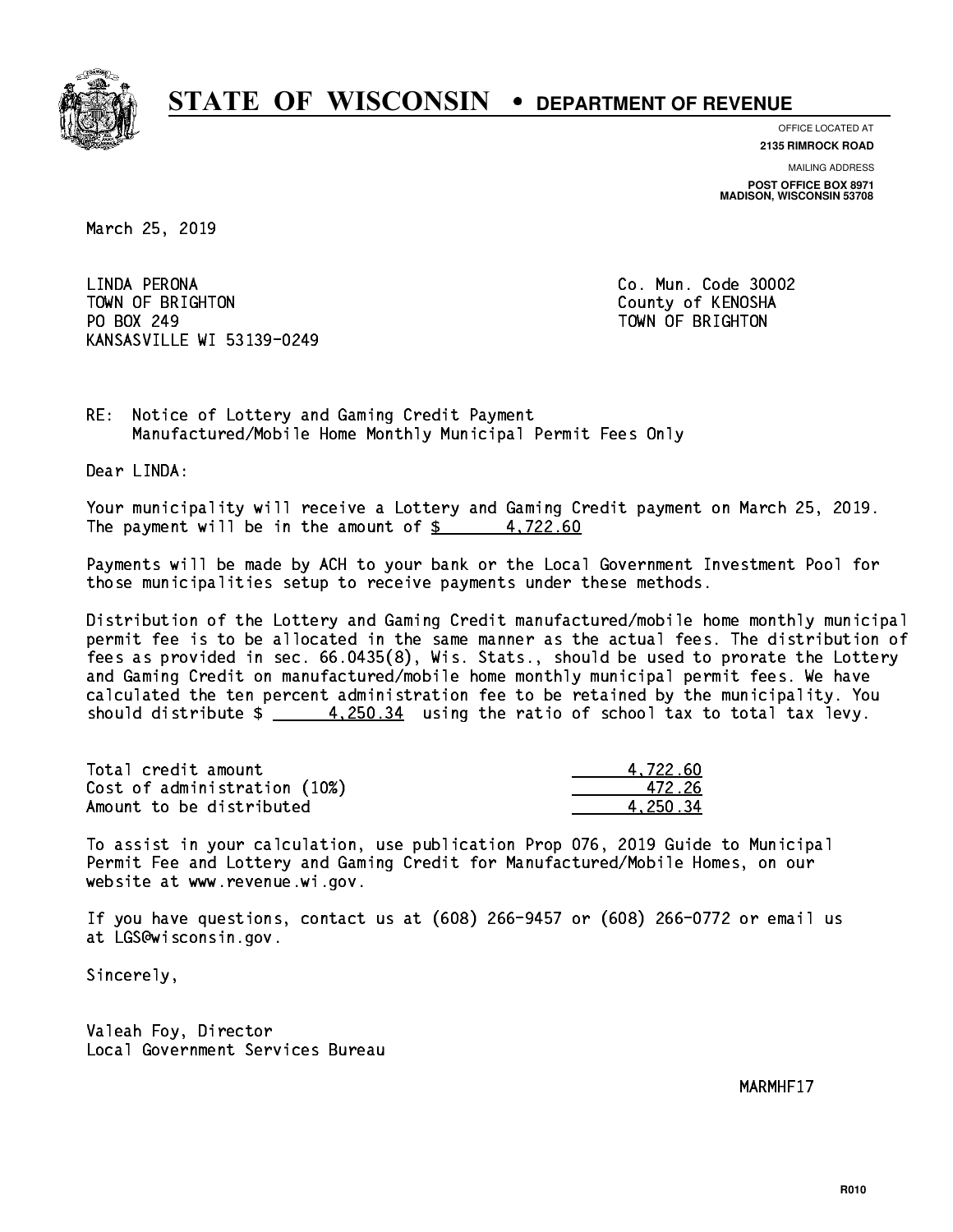

**OFFICE LOCATED AT**

**2135 RIMROCK ROAD**

**MAILING ADDRESS POST OFFICE BOX 8971 MADISON, WISCONSIN 53708**

March 25, 2019

 LINDA PERONA Co. Mun. Code 30002 TOWN OF BRIGHTON County of KENOSHA PO BOX 249 PO BOX 249 TOWN OF BRIGHTON KANSASVILLE WI 53139-0249

RE: Notice of Lottery and Gaming Credit Payment Manufactured/Mobile Home Monthly Municipal Permit Fees Only

Dear LINDA:

 Your municipality will receive a Lottery and Gaming Credit payment on March 25, 2019. The payment will be in the amount of  $\frac{2}{3}$  4,722.60

 Payments will be made by ACH to your bank or the Local Government Investment Pool for those municipalities setup to receive payments under these methods.

 Distribution of the Lottery and Gaming Credit manufactured/mobile home monthly municipal permit fee is to be allocated in the same manner as the actual fees. The distribution of fees as provided in sec. 66.0435(8), Wis. Stats., should be used to prorate the Lottery and Gaming Credit on manufactured/mobile home monthly municipal permit fees. We have calculated the ten percent administration fee to be retained by the municipality. You should distribute  $\frac{4.250.34}{1.250.34}$  using the ratio of school tax to total tax levy.

| Total credit amount          | 4.722.60 |
|------------------------------|----------|
| Cost of administration (10%) | 472.26   |
| Amount to be distributed     | 4.250.34 |

 To assist in your calculation, use publication Prop 076, 2019 Guide to Municipal Permit Fee and Lottery and Gaming Credit for Manufactured/Mobile Homes, on our website at www.revenue.wi.gov.

 If you have questions, contact us at (608) 266-9457 or (608) 266-0772 or email us at LGS@wisconsin.gov.

Sincerely,

 Valeah Foy, Director Local Government Services Bureau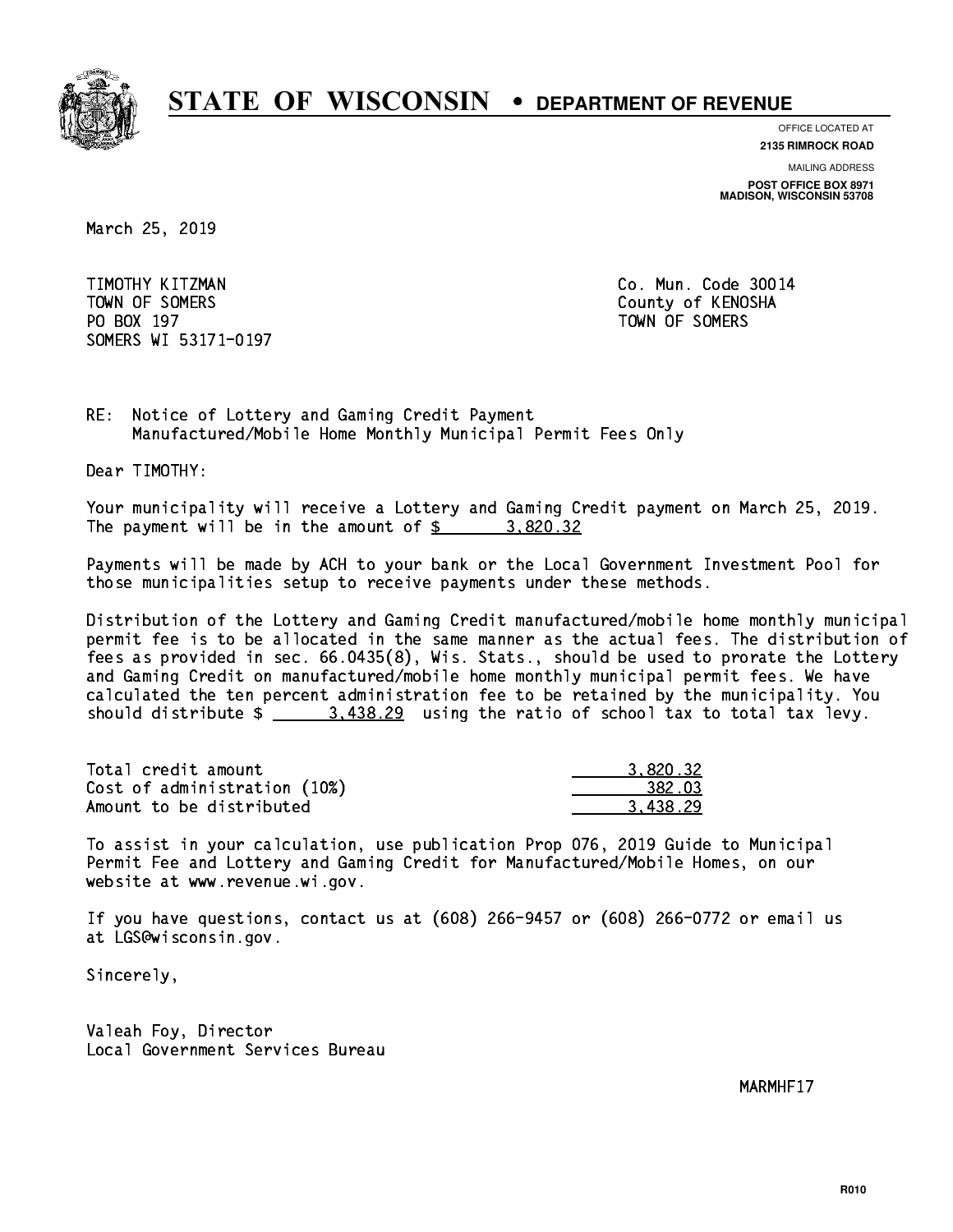

**OFFICE LOCATED AT**

**2135 RIMROCK ROAD**

**MAILING ADDRESS POST OFFICE BOX 8971 MADISON, WISCONSIN 53708**

March 25, 2019

 TIMOTHY KITZMAN Co. Mun. Code 30014 TOWN OF SOMERS County of KENOSHA PO BOX 197 TOWN OF SOMERS SOMERS WI 53171-0197

RE: Notice of Lottery and Gaming Credit Payment Manufactured/Mobile Home Monthly Municipal Permit Fees Only

Dear TIMOTHY:

 Your municipality will receive a Lottery and Gaming Credit payment on March 25, 2019. The payment will be in the amount of  $\frac{2}{3}$  3,820.32

 Payments will be made by ACH to your bank or the Local Government Investment Pool for those municipalities setup to receive payments under these methods.

 Distribution of the Lottery and Gaming Credit manufactured/mobile home monthly municipal permit fee is to be allocated in the same manner as the actual fees. The distribution of fees as provided in sec. 66.0435(8), Wis. Stats., should be used to prorate the Lottery and Gaming Credit on manufactured/mobile home monthly municipal permit fees. We have calculated the ten percent administration fee to be retained by the municipality. You should distribute  $\frac{2}{1}$   $\frac{3.438.29}{2}$  using the ratio of school tax to total tax levy.

| Total credit amount          | 3.820.32 |
|------------------------------|----------|
| Cost of administration (10%) | 382.03   |
| Amount to be distributed     | 3.438.29 |

 To assist in your calculation, use publication Prop 076, 2019 Guide to Municipal Permit Fee and Lottery and Gaming Credit for Manufactured/Mobile Homes, on our website at www.revenue.wi.gov.

 If you have questions, contact us at (608) 266-9457 or (608) 266-0772 or email us at LGS@wisconsin.gov.

Sincerely,

 Valeah Foy, Director Local Government Services Bureau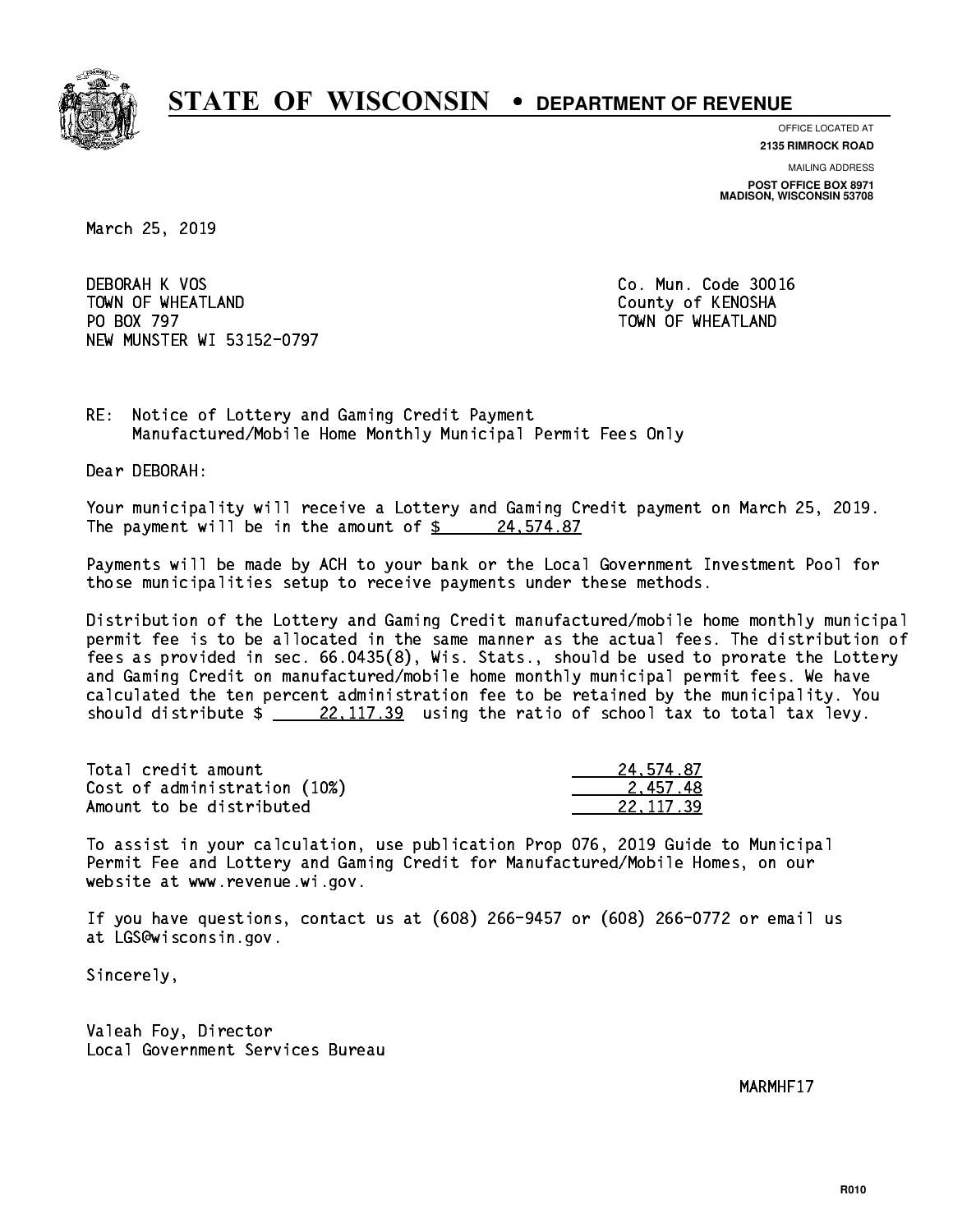

**OFFICE LOCATED AT**

**2135 RIMROCK ROAD**

**MAILING ADDRESS POST OFFICE BOX 8971 MADISON, WISCONSIN 53708**

March 25, 2019

 DEBORAH K VOS Co. Mun. Code 30016 TOWN OF WHEATLAND County of KENOSHA PO BOX 797 NEW MUNSTER WI 53152-0797

TOWN OF WHEATLAND

RE: Notice of Lottery and Gaming Credit Payment Manufactured/Mobile Home Monthly Municipal Permit Fees Only

Dear DEBORAH:

 Your municipality will receive a Lottery and Gaming Credit payment on March 25, 2019. The payment will be in the amount of  $\frac{24.574.87}{24.574.87}$ 

 Payments will be made by ACH to your bank or the Local Government Investment Pool for those municipalities setup to receive payments under these methods.

 Distribution of the Lottery and Gaming Credit manufactured/mobile home monthly municipal permit fee is to be allocated in the same manner as the actual fees. The distribution of fees as provided in sec. 66.0435(8), Wis. Stats., should be used to prorate the Lottery and Gaming Credit on manufactured/mobile home monthly municipal permit fees. We have calculated the ten percent administration fee to be retained by the municipality. You should distribute  $\frac{22,117.39}{22,117.39}$  using the ratio of school tax to total tax levy.

| Total credit amount          | 24.574.87 |
|------------------------------|-----------|
| Cost of administration (10%) | 2.457.48  |
| Amount to be distributed     | 22.117.39 |

 To assist in your calculation, use publication Prop 076, 2019 Guide to Municipal Permit Fee and Lottery and Gaming Credit for Manufactured/Mobile Homes, on our website at www.revenue.wi.gov.

 If you have questions, contact us at (608) 266-9457 or (608) 266-0772 or email us at LGS@wisconsin.gov.

Sincerely,

 Valeah Foy, Director Local Government Services Bureau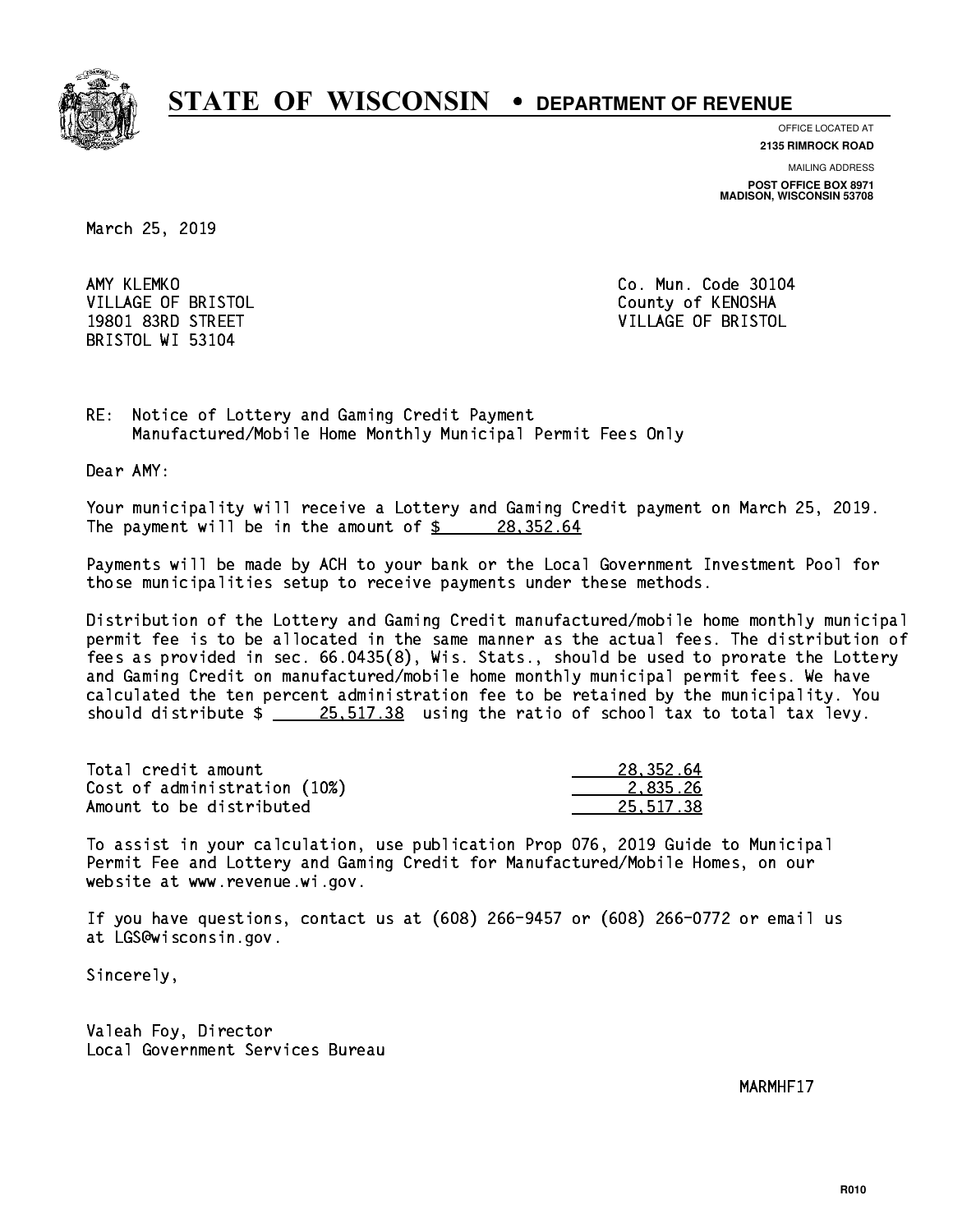

**OFFICE LOCATED AT**

**2135 RIMROCK ROAD**

**MAILING ADDRESS POST OFFICE BOX 8971 MADISON, WISCONSIN 53708**

March 25, 2019

AMY KLEMKO BRISTOL WI 53104

Co. Mun. Code 30104 VILLAGE OF BRISTOL **COUNTY OF SALES AND ACCOUNT OF SALES AND STATES** 19801 83RD STREET VILLAGE OF BRISTOL

RE: Notice of Lottery and Gaming Credit Payment Manufactured/Mobile Home Monthly Municipal Permit Fees Only

Dear AMY:

 Your municipality will receive a Lottery and Gaming Credit payment on March 25, 2019. The payment will be in the amount of  $\frac{28.352.64}{5}$ 

 Payments will be made by ACH to your bank or the Local Government Investment Pool for those municipalities setup to receive payments under these methods.

 Distribution of the Lottery and Gaming Credit manufactured/mobile home monthly municipal permit fee is to be allocated in the same manner as the actual fees. The distribution of fees as provided in sec. 66.0435(8), Wis. Stats., should be used to prorate the Lottery and Gaming Credit on manufactured/mobile home monthly municipal permit fees. We have calculated the ten percent administration fee to be retained by the municipality. You should distribute  $\frac{25.517.38}{25.517.38}$  using the ratio of school tax to total tax levy.

| Total credit amount          | 28,352.64 |
|------------------------------|-----------|
| Cost of administration (10%) | 2.835.26  |
| Amount to be distributed     | 25.517.38 |

 To assist in your calculation, use publication Prop 076, 2019 Guide to Municipal Permit Fee and Lottery and Gaming Credit for Manufactured/Mobile Homes, on our website at www.revenue.wi.gov.

 If you have questions, contact us at (608) 266-9457 or (608) 266-0772 or email us at LGS@wisconsin.gov.

Sincerely,

 Valeah Foy, Director Local Government Services Bureau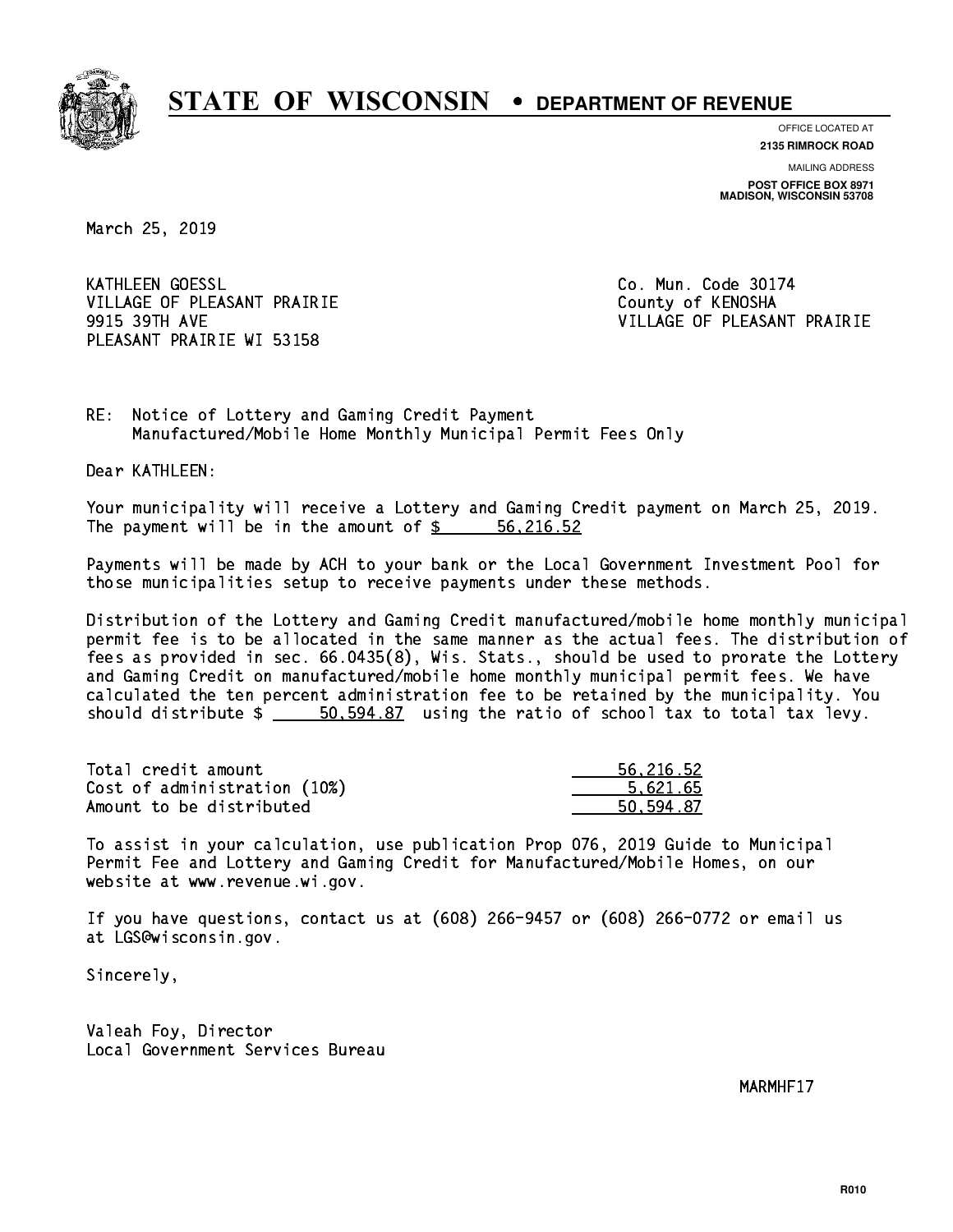

**OFFICE LOCATED AT 2135 RIMROCK ROAD**

**MAILING ADDRESS**

**POST OFFICE BOX 8971 MADISON, WISCONSIN 53708**

March 25, 2019

**KATHLEEN GOESSL** VILLAGE OF PLEASANT PRAIRIE **COUNTY OF COUNTY OF COUNTY** PLEASANT PRAIRIE WI 53158

Co. Mun. Code 30174 9915 39TH AVE VILLAGE OF PLEASANT PRAIRIE

RE: Notice of Lottery and Gaming Credit Payment Manufactured/Mobile Home Monthly Municipal Permit Fees Only

Dear KATHLEEN:

 Your municipality will receive a Lottery and Gaming Credit payment on March 25, 2019. The payment will be in the amount of  $\frac{2}{3}$   $\frac{56}{216.52}$ 

 Payments will be made by ACH to your bank or the Local Government Investment Pool for those municipalities setup to receive payments under these methods.

 Distribution of the Lottery and Gaming Credit manufactured/mobile home monthly municipal permit fee is to be allocated in the same manner as the actual fees. The distribution of fees as provided in sec. 66.0435(8), Wis. Stats., should be used to prorate the Lottery and Gaming Credit on manufactured/mobile home monthly municipal permit fees. We have calculated the ten percent administration fee to be retained by the municipality. You should distribute  $\frac{2}{1}$   $\frac{50,594.87}{2}$  using the ratio of school tax to total tax levy.

| Total credit amount          | 56,216.52 |
|------------------------------|-----------|
| Cost of administration (10%) | 5.621.65  |
| Amount to be distributed     | 50.594.87 |

 To assist in your calculation, use publication Prop 076, 2019 Guide to Municipal Permit Fee and Lottery and Gaming Credit for Manufactured/Mobile Homes, on our website at www.revenue.wi.gov.

 If you have questions, contact us at (608) 266-9457 or (608) 266-0772 or email us at LGS@wisconsin.gov.

Sincerely,

 Valeah Foy, Director Local Government Services Bureau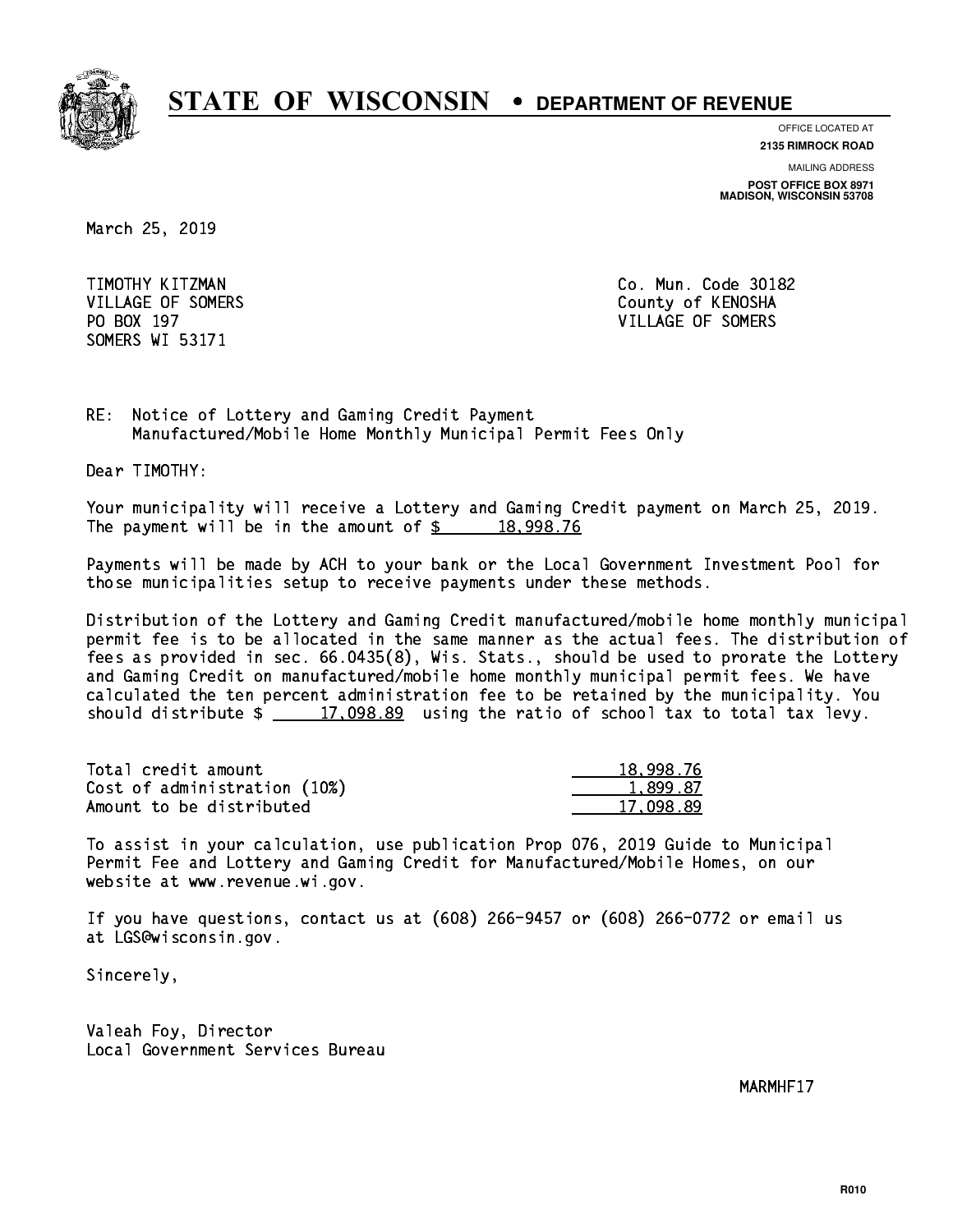

**OFFICE LOCATED AT**

**2135 RIMROCK ROAD**

**MAILING ADDRESS POST OFFICE BOX 8971 MADISON, WISCONSIN 53708**

March 25, 2019

 TIMOTHY KITZMAN Co. Mun. Code 30182 SOMERS WI 53171

VILLAGE OF SOMERS COUNTY OF KENOSHA PO BOX 197 VILLAGE OF SOMERS

RE: Notice of Lottery and Gaming Credit Payment Manufactured/Mobile Home Monthly Municipal Permit Fees Only

Dear TIMOTHY:

 Your municipality will receive a Lottery and Gaming Credit payment on March 25, 2019. The payment will be in the amount of  $\frac{2}{3}$  18,998.76

 Payments will be made by ACH to your bank or the Local Government Investment Pool for those municipalities setup to receive payments under these methods.

 Distribution of the Lottery and Gaming Credit manufactured/mobile home monthly municipal permit fee is to be allocated in the same manner as the actual fees. The distribution of fees as provided in sec. 66.0435(8), Wis. Stats., should be used to prorate the Lottery and Gaming Credit on manufactured/mobile home monthly municipal permit fees. We have calculated the ten percent administration fee to be retained by the municipality. You should distribute  $\frac{2}{17,098.89}$  using the ratio of school tax to total tax levy.

| Total credit amount          | 18,998.76 |
|------------------------------|-----------|
| Cost of administration (10%) | 1.899.87  |
| Amount to be distributed     | 17.098.89 |

 To assist in your calculation, use publication Prop 076, 2019 Guide to Municipal Permit Fee and Lottery and Gaming Credit for Manufactured/Mobile Homes, on our website at www.revenue.wi.gov.

 If you have questions, contact us at (608) 266-9457 or (608) 266-0772 or email us at LGS@wisconsin.gov.

Sincerely,

 Valeah Foy, Director Local Government Services Bureau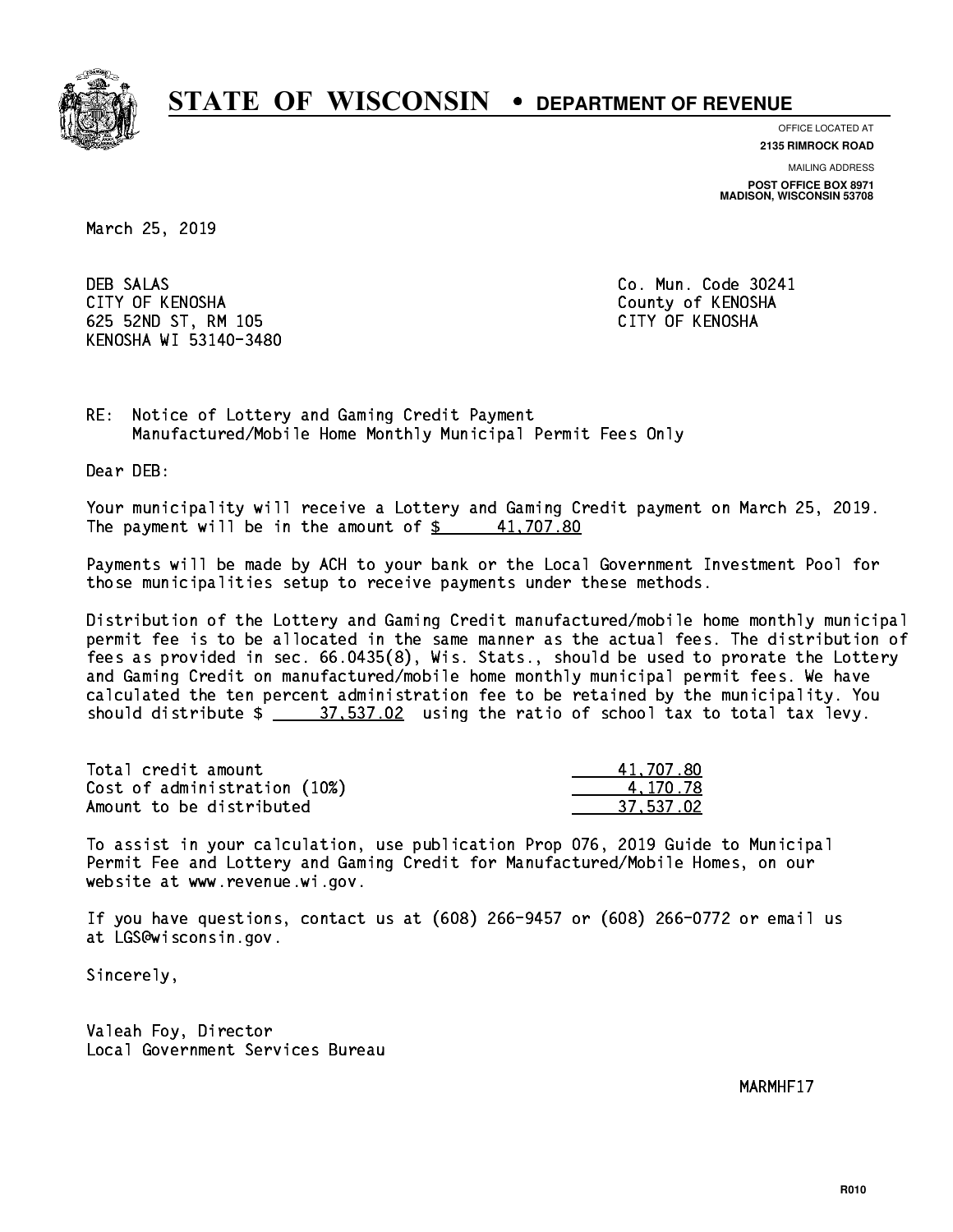

**OFFICE LOCATED AT**

**2135 RIMROCK ROAD**

**MAILING ADDRESS POST OFFICE BOX 8971 MADISON, WISCONSIN 53708**

March 25, 2019

**DEB SALAS**  CITY OF KENOSHA County of KENOSHA 625 52ND ST, RM 105 CITY OF KENOSHA KENOSHA WI 53140-3480

Co. Mun. Code 30241

RE: Notice of Lottery and Gaming Credit Payment Manufactured/Mobile Home Monthly Municipal Permit Fees Only

Dear DEB:

 Your municipality will receive a Lottery and Gaming Credit payment on March 25, 2019. The payment will be in the amount of  $\frac{2}{3}$  41,707.80

 Payments will be made by ACH to your bank or the Local Government Investment Pool for those municipalities setup to receive payments under these methods.

 Distribution of the Lottery and Gaming Credit manufactured/mobile home monthly municipal permit fee is to be allocated in the same manner as the actual fees. The distribution of fees as provided in sec. 66.0435(8), Wis. Stats., should be used to prorate the Lottery and Gaming Credit on manufactured/mobile home monthly municipal permit fees. We have calculated the ten percent administration fee to be retained by the municipality. You should distribute  $\frac{2}{1}$   $\frac{37.537.02}{2}$  using the ratio of school tax to total tax levy.

| Total credit amount          | 41.707.80 |
|------------------------------|-----------|
| Cost of administration (10%) | 4.170.78  |
| Amount to be distributed     | 37.537.02 |

 To assist in your calculation, use publication Prop 076, 2019 Guide to Municipal Permit Fee and Lottery and Gaming Credit for Manufactured/Mobile Homes, on our website at www.revenue.wi.gov.

 If you have questions, contact us at (608) 266-9457 or (608) 266-0772 or email us at LGS@wisconsin.gov.

Sincerely,

 Valeah Foy, Director Local Government Services Bureau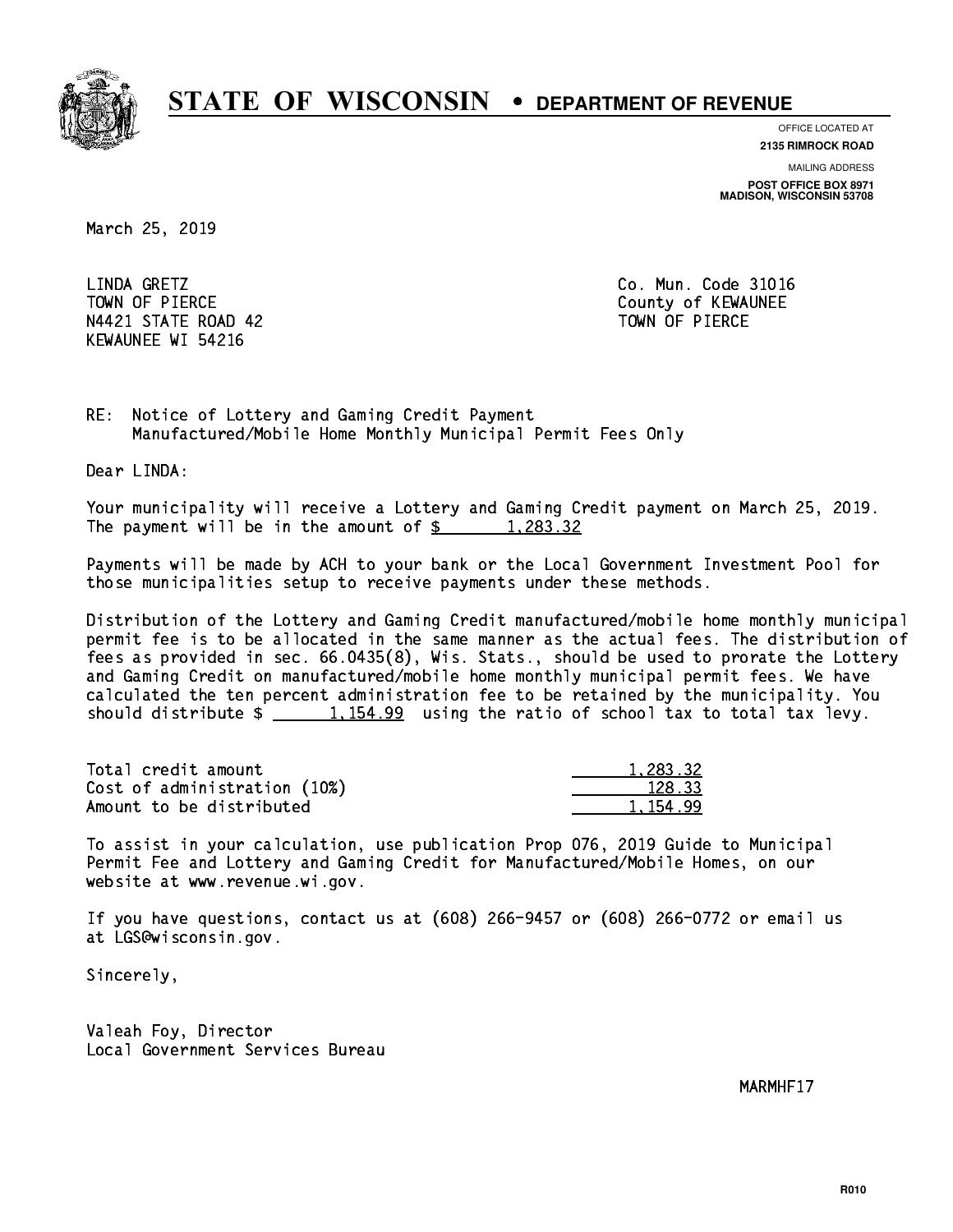

**OFFICE LOCATED AT**

**2135 RIMROCK ROAD**

**MAILING ADDRESS POST OFFICE BOX 8971 MADISON, WISCONSIN 53708**

March 25, 2019

LINDA GRETZ TOWN OF PIERCE **THE COUNTY OF SEXUAL EXAMPLE COUNTY OF KEWAUNEE** N4421 STATE ROAD 42 TOWN OF PIERCE KEWAUNEE WI 54216

Co. Mun. Code 31016

RE: Notice of Lottery and Gaming Credit Payment Manufactured/Mobile Home Monthly Municipal Permit Fees Only

Dear LINDA:

 Your municipality will receive a Lottery and Gaming Credit payment on March 25, 2019. The payment will be in the amount of  $\frac{2}{3}$  1,283.32

 Payments will be made by ACH to your bank or the Local Government Investment Pool for those municipalities setup to receive payments under these methods.

 Distribution of the Lottery and Gaming Credit manufactured/mobile home monthly municipal permit fee is to be allocated in the same manner as the actual fees. The distribution of fees as provided in sec. 66.0435(8), Wis. Stats., should be used to prorate the Lottery and Gaming Credit on manufactured/mobile home monthly municipal permit fees. We have calculated the ten percent administration fee to be retained by the municipality. You should distribute  $\frac{1,154.99}{1,154.99}$  using the ratio of school tax to total tax levy.

| Total credit amount          | 1,283.32   |
|------------------------------|------------|
| Cost of administration (10%) | 128.33     |
| Amount to be distributed     | 1, 154, 99 |

 To assist in your calculation, use publication Prop 076, 2019 Guide to Municipal Permit Fee and Lottery and Gaming Credit for Manufactured/Mobile Homes, on our website at www.revenue.wi.gov.

 If you have questions, contact us at (608) 266-9457 or (608) 266-0772 or email us at LGS@wisconsin.gov.

Sincerely,

 Valeah Foy, Director Local Government Services Bureau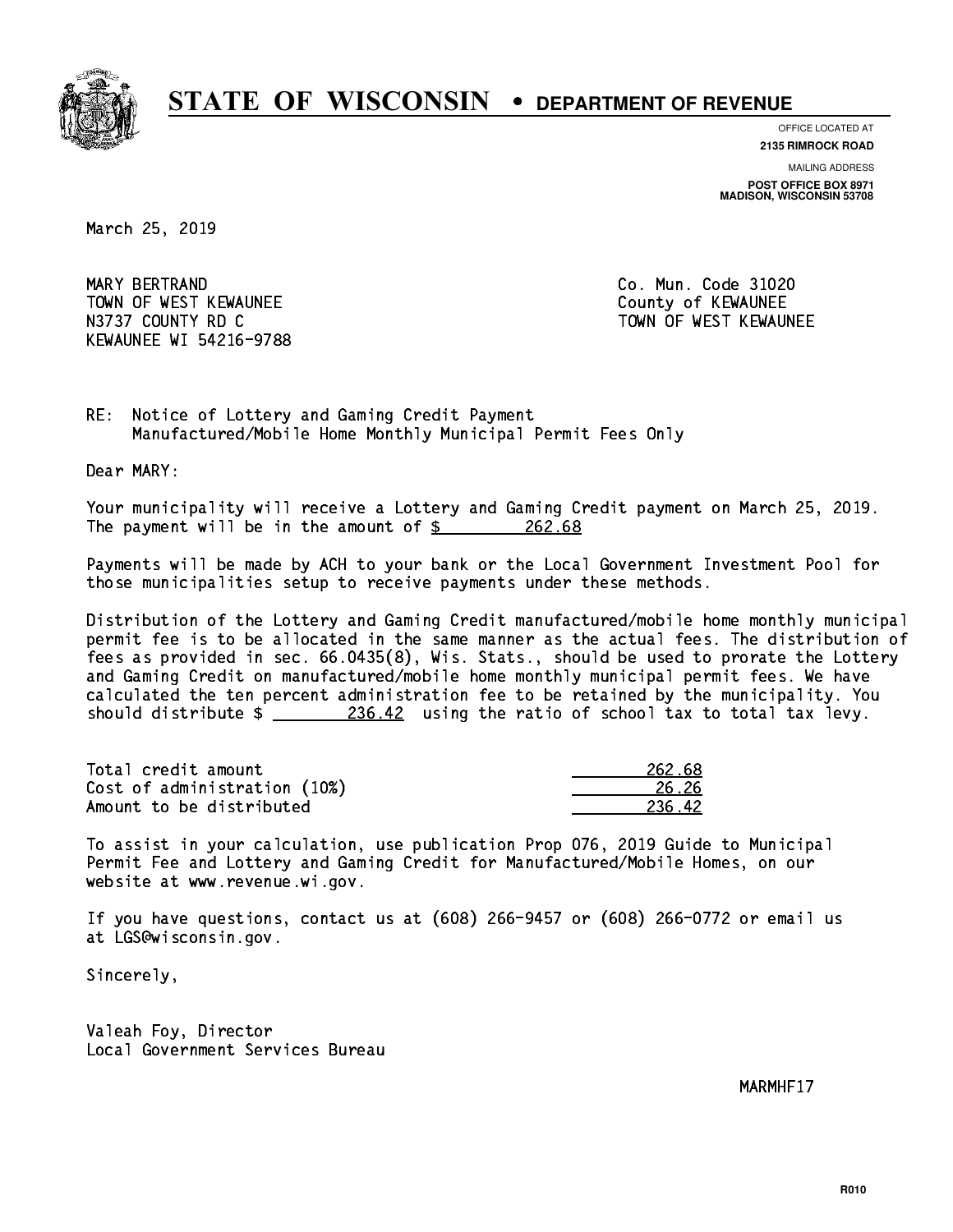

**OFFICE LOCATED AT**

**2135 RIMROCK ROAD**

**MAILING ADDRESS POST OFFICE BOX 8971 MADISON, WISCONSIN 53708**

March 25, 2019

 MARY BERTRAND Co. Mun. Code 31020 TOWN OF WEST KEWAUNEE TOWN OF WEST AND TOWN OF A COUNTY OF A COUNTY OF A COUNTY OF A COUNTY OF A COUNTY OF A COUNTY OF A COUNTY OF A COUNTY OF A COUNTY OF A COUNTY OF A COUNTY OF A COUNTY OF A COUNTY OF A COUNTY OF A COUNT N3737 COUNTY RD C TOWN OF WEST KEWAUNEE KEWAUNEE WI 54216-9788

RE: Notice of Lottery and Gaming Credit Payment Manufactured/Mobile Home Monthly Municipal Permit Fees Only

Dear MARY:

 Your municipality will receive a Lottery and Gaming Credit payment on March 25, 2019. The payment will be in the amount of \$ 262.68 \_\_\_\_\_\_\_\_\_\_\_\_\_\_\_\_

 Payments will be made by ACH to your bank or the Local Government Investment Pool for those municipalities setup to receive payments under these methods.

 Distribution of the Lottery and Gaming Credit manufactured/mobile home monthly municipal permit fee is to be allocated in the same manner as the actual fees. The distribution of fees as provided in sec. 66.0435(8), Wis. Stats., should be used to prorate the Lottery and Gaming Credit on manufactured/mobile home monthly municipal permit fees. We have calculated the ten percent administration fee to be retained by the municipality. You should distribute  $\frac{236.42}{236.42}$  using the ratio of school tax to total tax levy.

Total credit amount Cost of administration (10%) Amount to be distributed

| 262.68      |
|-------------|
| 26.26       |
| 42.<br>クマムー |

 To assist in your calculation, use publication Prop 076, 2019 Guide to Municipal Permit Fee and Lottery and Gaming Credit for Manufactured/Mobile Homes, on our website at www.revenue.wi.gov.

 If you have questions, contact us at (608) 266-9457 or (608) 266-0772 or email us at LGS@wisconsin.gov.

Sincerely,

 Valeah Foy, Director Local Government Services Bureau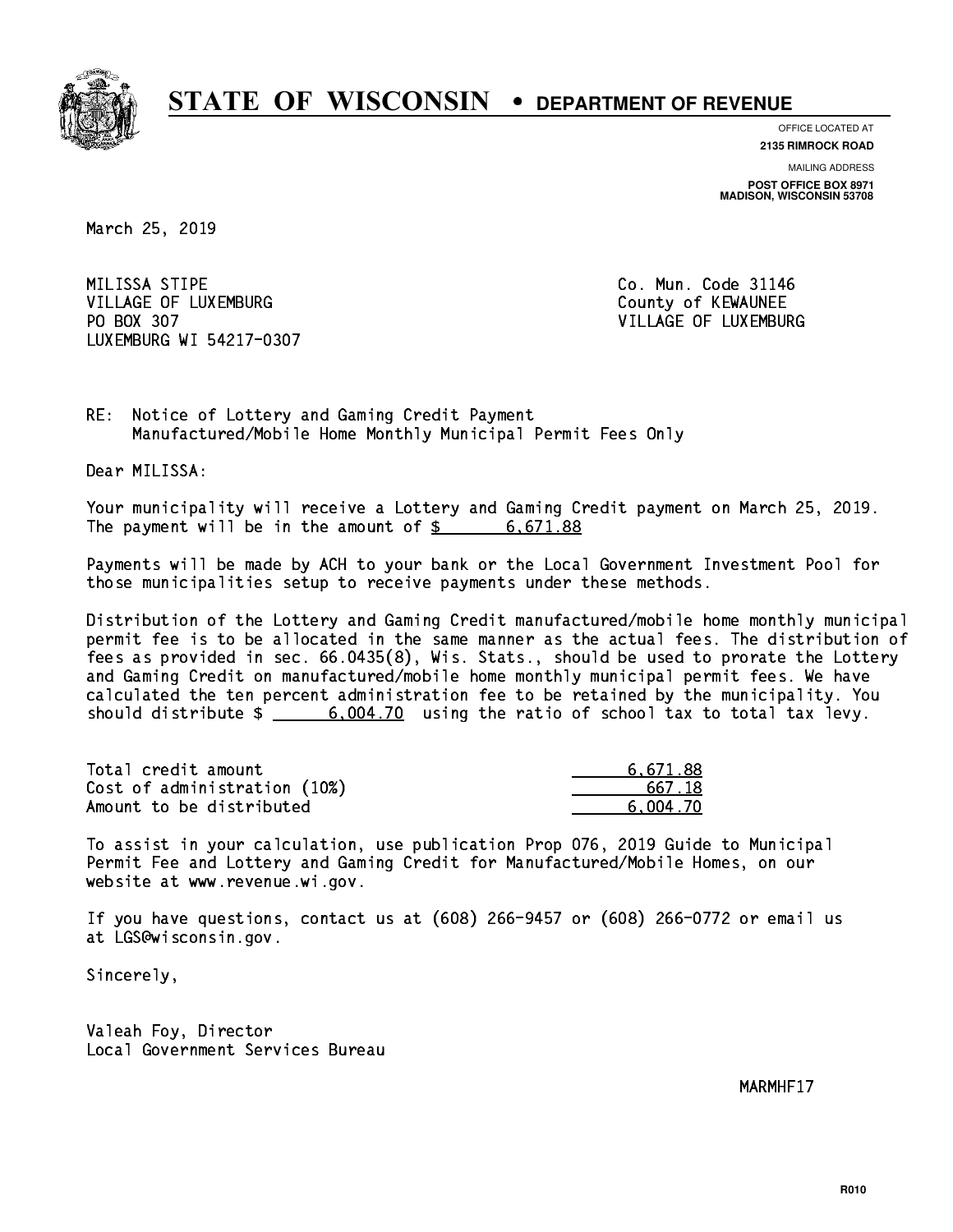

**OFFICE LOCATED AT**

**2135 RIMROCK ROAD**

**MAILING ADDRESS POST OFFICE BOX 8971 MADISON, WISCONSIN 53708**

March 25, 2019

MILISSA STIPE VILLAGE OF LUXEMBURG COUNTY OF KEWAUNEE PO BOX 307 LUXEMBURG WI 54217-0307

Co. Mun. Code 31146 VILLAGE OF LUXEMBURG

RE: Notice of Lottery and Gaming Credit Payment Manufactured/Mobile Home Monthly Municipal Permit Fees Only

Dear MILISSA:

 Your municipality will receive a Lottery and Gaming Credit payment on March 25, 2019. The payment will be in the amount of  $\frac{2}{3}$  6,671.88

 Payments will be made by ACH to your bank or the Local Government Investment Pool for those municipalities setup to receive payments under these methods.

 Distribution of the Lottery and Gaming Credit manufactured/mobile home monthly municipal permit fee is to be allocated in the same manner as the actual fees. The distribution of fees as provided in sec. 66.0435(8), Wis. Stats., should be used to prorate the Lottery and Gaming Credit on manufactured/mobile home monthly municipal permit fees. We have calculated the ten percent administration fee to be retained by the municipality. You should distribute  $\frac{2}{1}$   $\frac{6,004.70}{2}$  using the ratio of school tax to total tax levy.

| Total credit amount          | 6.671.88 |
|------------------------------|----------|
| Cost of administration (10%) | 667.18   |
| Amount to be distributed     | 6,004.70 |

 To assist in your calculation, use publication Prop 076, 2019 Guide to Municipal Permit Fee and Lottery and Gaming Credit for Manufactured/Mobile Homes, on our website at www.revenue.wi.gov.

 If you have questions, contact us at (608) 266-9457 or (608) 266-0772 or email us at LGS@wisconsin.gov.

Sincerely,

 Valeah Foy, Director Local Government Services Bureau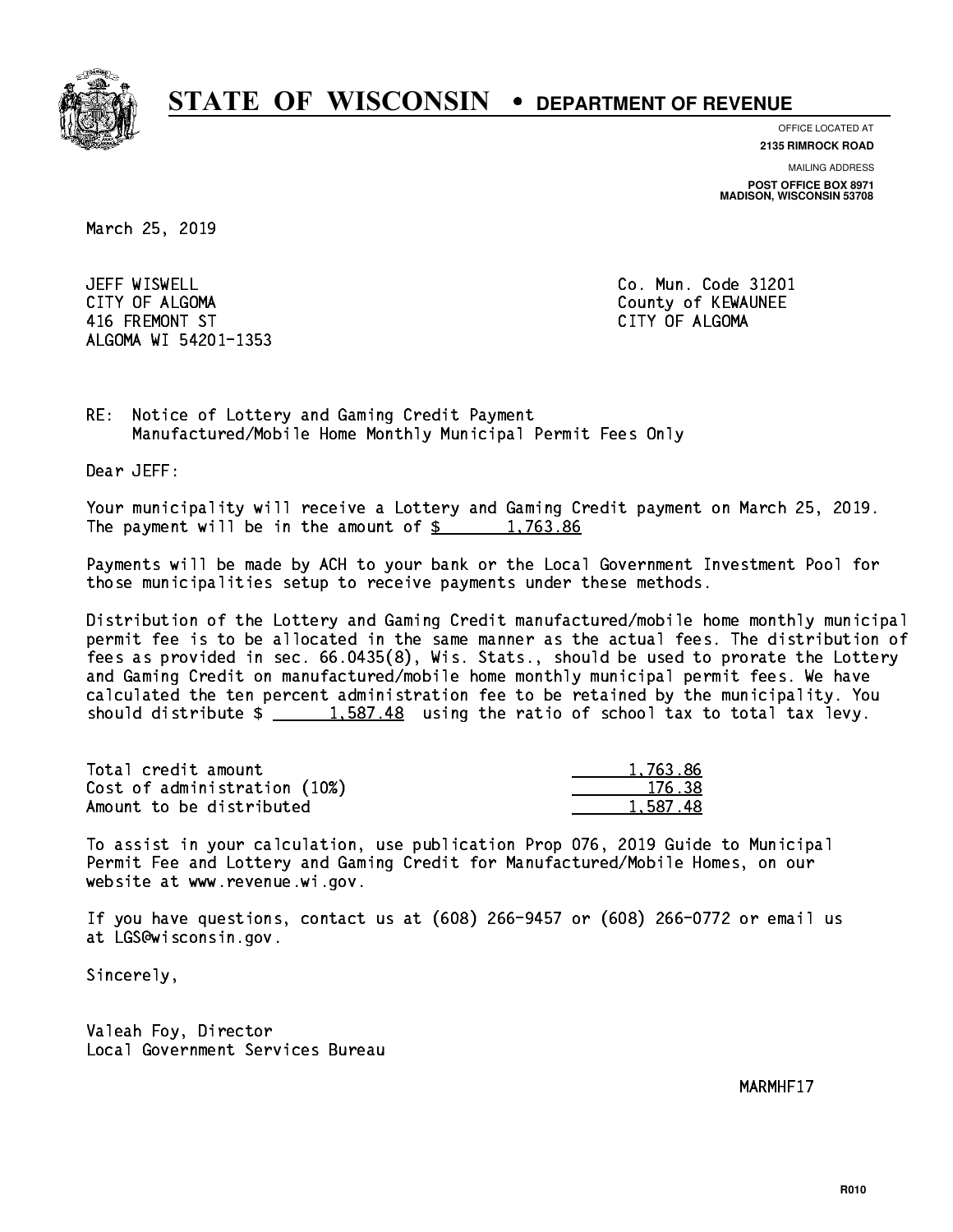

**OFFICE LOCATED AT**

**2135 RIMROCK ROAD**

**MAILING ADDRESS POST OFFICE BOX 8971 MADISON, WISCONSIN 53708**

March 25, 2019

JEFF WISWELL CITY OF ALGOMA COUNTY OF ALGOMA 416 FREMONT ST CITY OF ALGOMA ALGOMA WI 54201-1353

Co. Mun. Code 31201

RE: Notice of Lottery and Gaming Credit Payment Manufactured/Mobile Home Monthly Municipal Permit Fees Only

Dear JEFF:

 Your municipality will receive a Lottery and Gaming Credit payment on March 25, 2019. The payment will be in the amount of  $\frac{2}{3}$  1,763.86

 Payments will be made by ACH to your bank or the Local Government Investment Pool for those municipalities setup to receive payments under these methods.

 Distribution of the Lottery and Gaming Credit manufactured/mobile home monthly municipal permit fee is to be allocated in the same manner as the actual fees. The distribution of fees as provided in sec. 66.0435(8), Wis. Stats., should be used to prorate the Lottery and Gaming Credit on manufactured/mobile home monthly municipal permit fees. We have calculated the ten percent administration fee to be retained by the municipality. You should distribute  $\frac{1.587.48}{1.587.48}$  using the ratio of school tax to total tax levy.

| Total credit amount          | 1,763.86 |
|------------------------------|----------|
| Cost of administration (10%) | 176.38   |
| Amount to be distributed     | 1,587.48 |

 To assist in your calculation, use publication Prop 076, 2019 Guide to Municipal Permit Fee and Lottery and Gaming Credit for Manufactured/Mobile Homes, on our website at www.revenue.wi.gov.

 If you have questions, contact us at (608) 266-9457 or (608) 266-0772 or email us at LGS@wisconsin.gov.

Sincerely,

 Valeah Foy, Director Local Government Services Bureau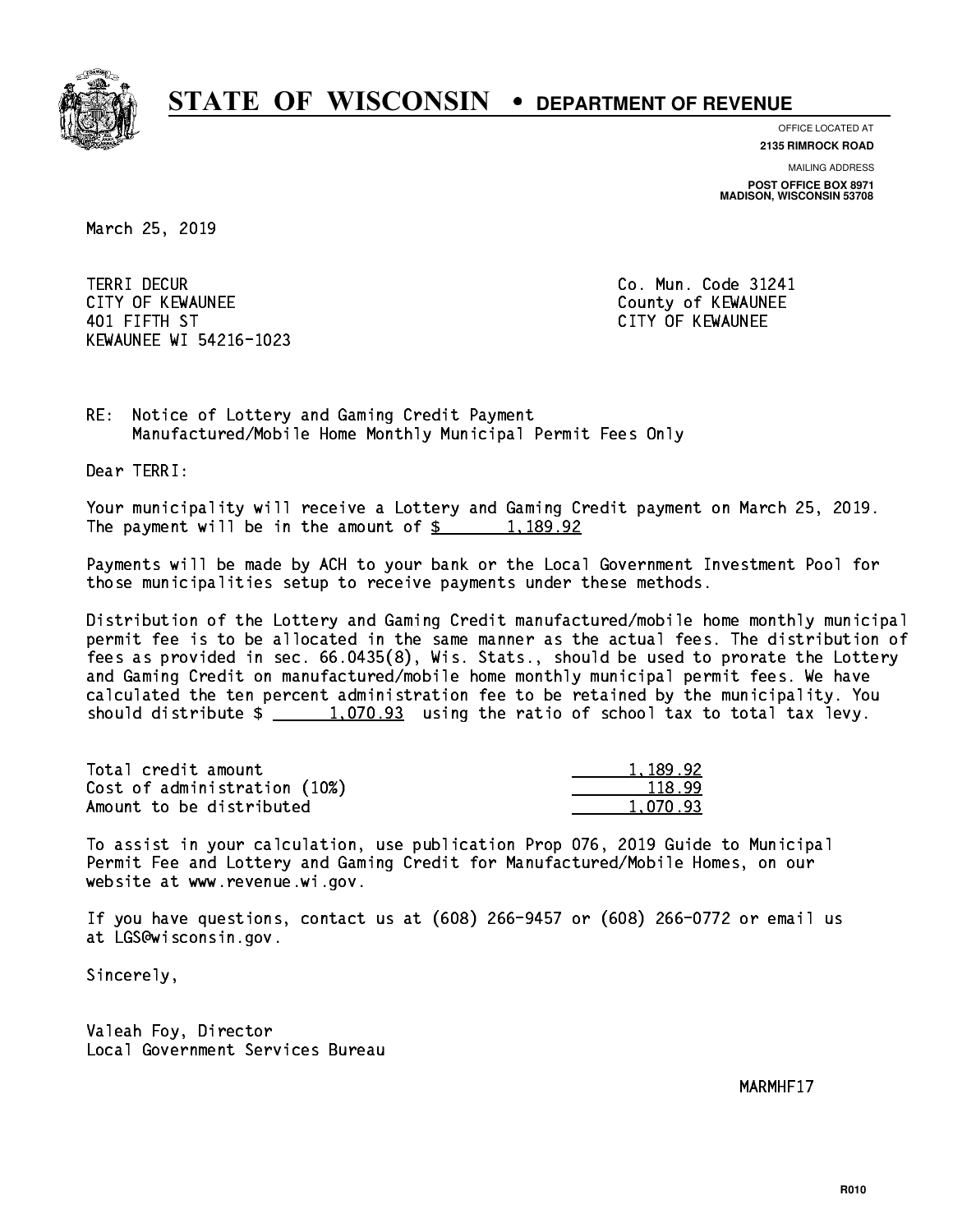

**OFFICE LOCATED AT**

**2135 RIMROCK ROAD**

**MAILING ADDRESS POST OFFICE BOX 8971 MADISON, WISCONSIN 53708**

March 25, 2019

**TERRI DECUR** CITY OF KEWAUNEE CITY OF KEWAUNEE 401 FIFTH ST CITY OF KEWAUNEE KEWAUNEE WI 54216-1023

Co. Mun. Code 31241

RE: Notice of Lottery and Gaming Credit Payment Manufactured/Mobile Home Monthly Municipal Permit Fees Only

Dear TERRI:

 Your municipality will receive a Lottery and Gaming Credit payment on March 25, 2019. The payment will be in the amount of  $\frac{2}{3}$  1,189.92

 Payments will be made by ACH to your bank or the Local Government Investment Pool for those municipalities setup to receive payments under these methods.

 Distribution of the Lottery and Gaming Credit manufactured/mobile home monthly municipal permit fee is to be allocated in the same manner as the actual fees. The distribution of fees as provided in sec. 66.0435(8), Wis. Stats., should be used to prorate the Lottery and Gaming Credit on manufactured/mobile home monthly municipal permit fees. We have calculated the ten percent administration fee to be retained by the municipality. You should distribute  $\frac{1,070.93}{1,070.93}$  using the ratio of school tax to total tax levy.

| Total credit amount          | 1.189.92 |
|------------------------------|----------|
| Cost of administration (10%) | 118.99   |
| Amount to be distributed     | 1.070.93 |

 To assist in your calculation, use publication Prop 076, 2019 Guide to Municipal Permit Fee and Lottery and Gaming Credit for Manufactured/Mobile Homes, on our website at www.revenue.wi.gov.

 If you have questions, contact us at (608) 266-9457 or (608) 266-0772 or email us at LGS@wisconsin.gov.

Sincerely,

 Valeah Foy, Director Local Government Services Bureau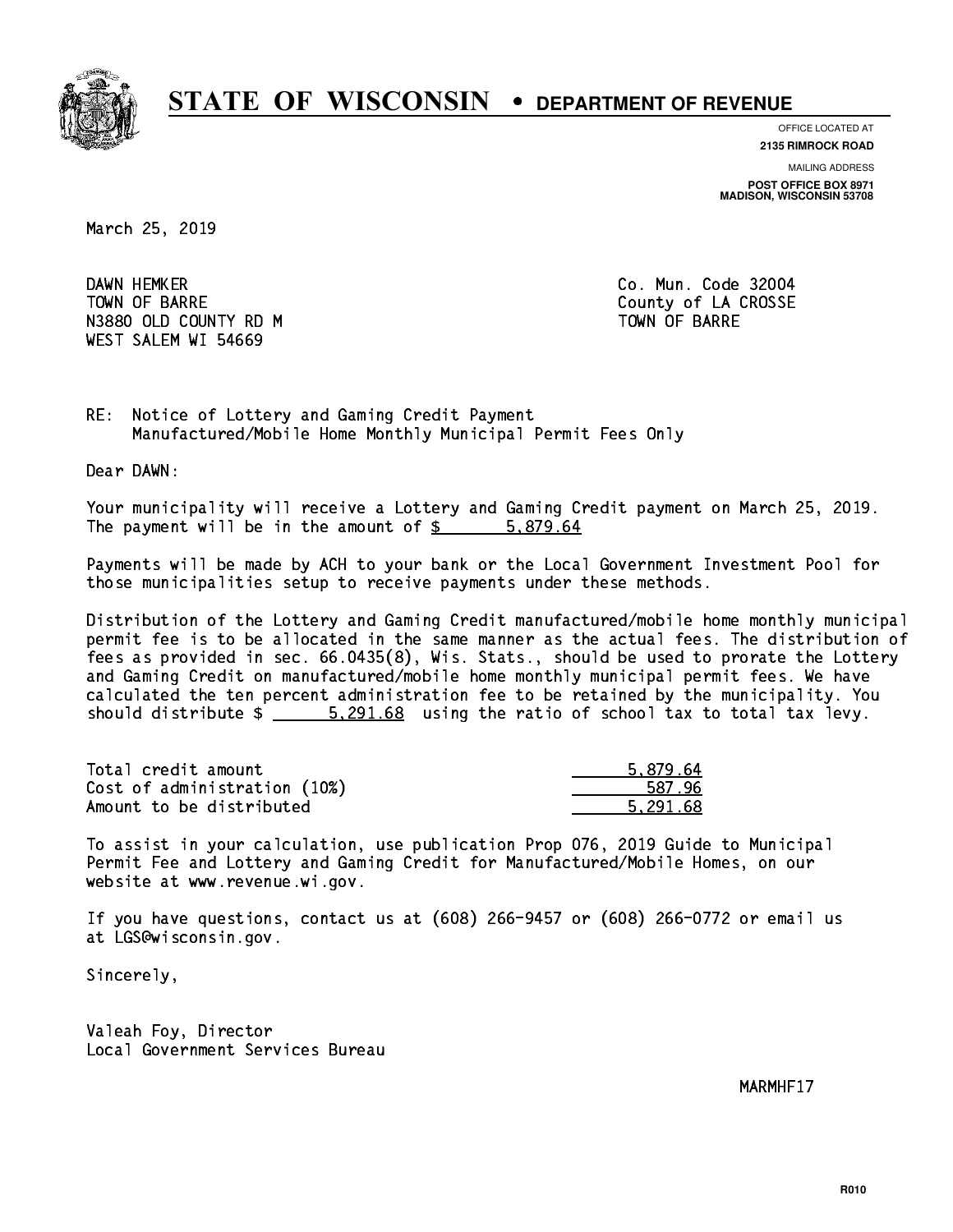

**OFFICE LOCATED AT**

**2135 RIMROCK ROAD**

**MAILING ADDRESS POST OFFICE BOX 8971 MADISON, WISCONSIN 53708**

March 25, 2019

DAWN HEMKER TOWN OF BARRE **COUNTY OF SALES AND SERVICE OF A COUNTY OF LA CROSSE** N3880 OLD COUNTY RD M TOWN OF BARRE WEST SALEM WI 54669

Co. Mun. Code 32004

RE: Notice of Lottery and Gaming Credit Payment Manufactured/Mobile Home Monthly Municipal Permit Fees Only

Dear DAWN:

 Your municipality will receive a Lottery and Gaming Credit payment on March 25, 2019. The payment will be in the amount of \$ 5,879.64 \_\_\_\_\_\_\_\_\_\_\_\_\_\_\_\_

 Payments will be made by ACH to your bank or the Local Government Investment Pool for those municipalities setup to receive payments under these methods.

 Distribution of the Lottery and Gaming Credit manufactured/mobile home monthly municipal permit fee is to be allocated in the same manner as the actual fees. The distribution of fees as provided in sec. 66.0435(8), Wis. Stats., should be used to prorate the Lottery and Gaming Credit on manufactured/mobile home monthly municipal permit fees. We have calculated the ten percent administration fee to be retained by the municipality. You should distribute  $\frac{201.68}{201.68}$  using the ratio of school tax to total tax levy.

| Total credit amount          | 5.879.64 |
|------------------------------|----------|
| Cost of administration (10%) | 587.96   |
| Amount to be distributed     | 5.291.68 |

 To assist in your calculation, use publication Prop 076, 2019 Guide to Municipal Permit Fee and Lottery and Gaming Credit for Manufactured/Mobile Homes, on our website at www.revenue.wi.gov.

 If you have questions, contact us at (608) 266-9457 or (608) 266-0772 or email us at LGS@wisconsin.gov.

Sincerely,

 Valeah Foy, Director Local Government Services Bureau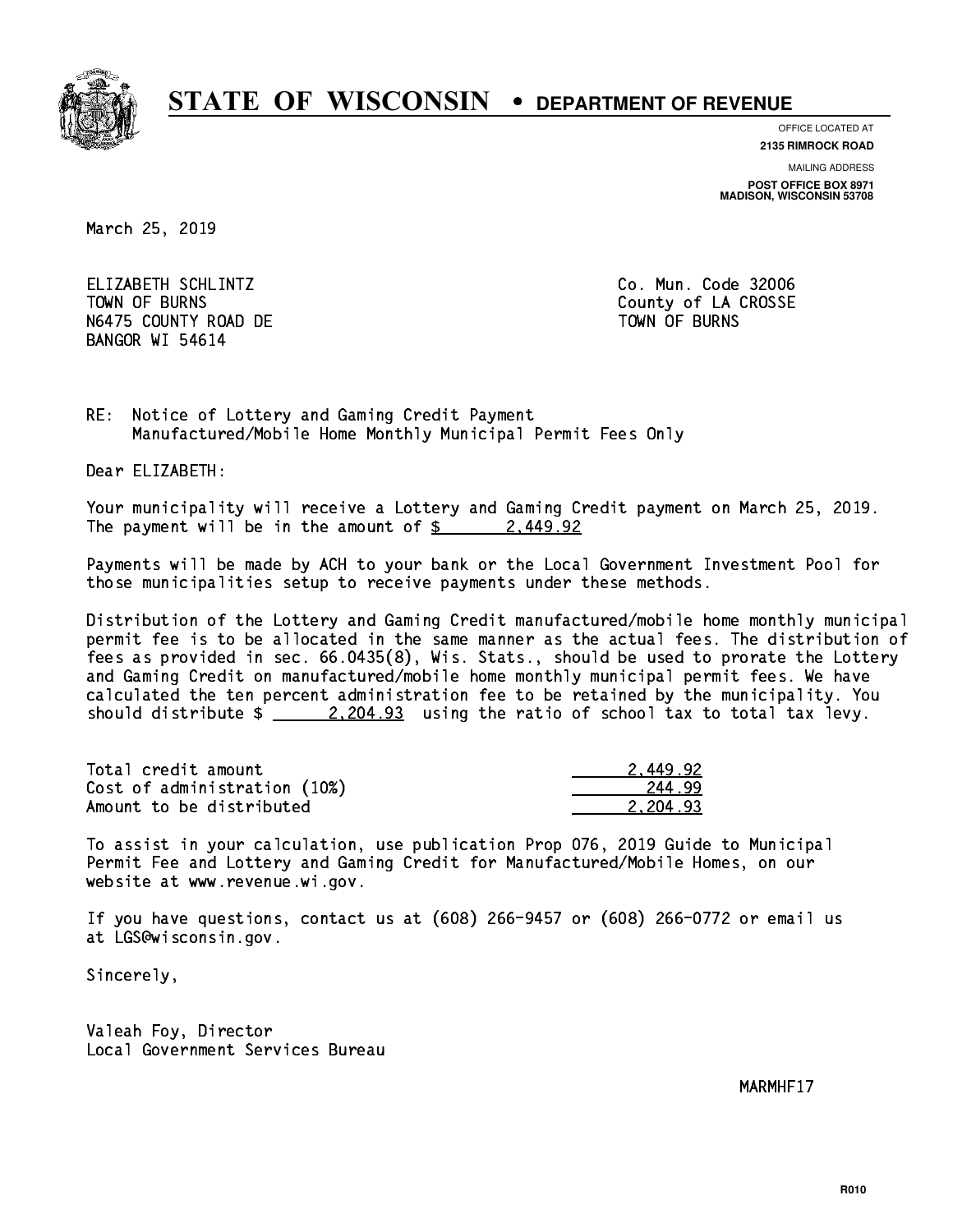

**OFFICE LOCATED AT**

**2135 RIMROCK ROAD**

**MAILING ADDRESS POST OFFICE BOX 8971 MADISON, WISCONSIN 53708**

March 25, 2019

 ELIZABETH SCHLINTZ Co. Mun. Code 32006 TOWN OF BURNS **COUNTY OF A COULD A** COUNTY OF LA CROSSE N6475 COUNTY ROAD DE TOWN OF BURNS BANGOR WI 54614

RE: Notice of Lottery and Gaming Credit Payment Manufactured/Mobile Home Monthly Municipal Permit Fees Only

Dear ELIZABETH:

 Your municipality will receive a Lottery and Gaming Credit payment on March 25, 2019. The payment will be in the amount of  $\frac{2449.92}{240}$ 

 Payments will be made by ACH to your bank or the Local Government Investment Pool for those municipalities setup to receive payments under these methods.

 Distribution of the Lottery and Gaming Credit manufactured/mobile home monthly municipal permit fee is to be allocated in the same manner as the actual fees. The distribution of fees as provided in sec. 66.0435(8), Wis. Stats., should be used to prorate the Lottery and Gaming Credit on manufactured/mobile home monthly municipal permit fees. We have calculated the ten percent administration fee to be retained by the municipality. You should distribute  $\frac{2,204.93}{2}$  using the ratio of school tax to total tax levy.

| Total credit amount          | 2.449.92 |
|------------------------------|----------|
| Cost of administration (10%) | 244.99   |
| Amount to be distributed     | 2.204.93 |

 To assist in your calculation, use publication Prop 076, 2019 Guide to Municipal Permit Fee and Lottery and Gaming Credit for Manufactured/Mobile Homes, on our website at www.revenue.wi.gov.

 If you have questions, contact us at (608) 266-9457 or (608) 266-0772 or email us at LGS@wisconsin.gov.

Sincerely,

 Valeah Foy, Director Local Government Services Bureau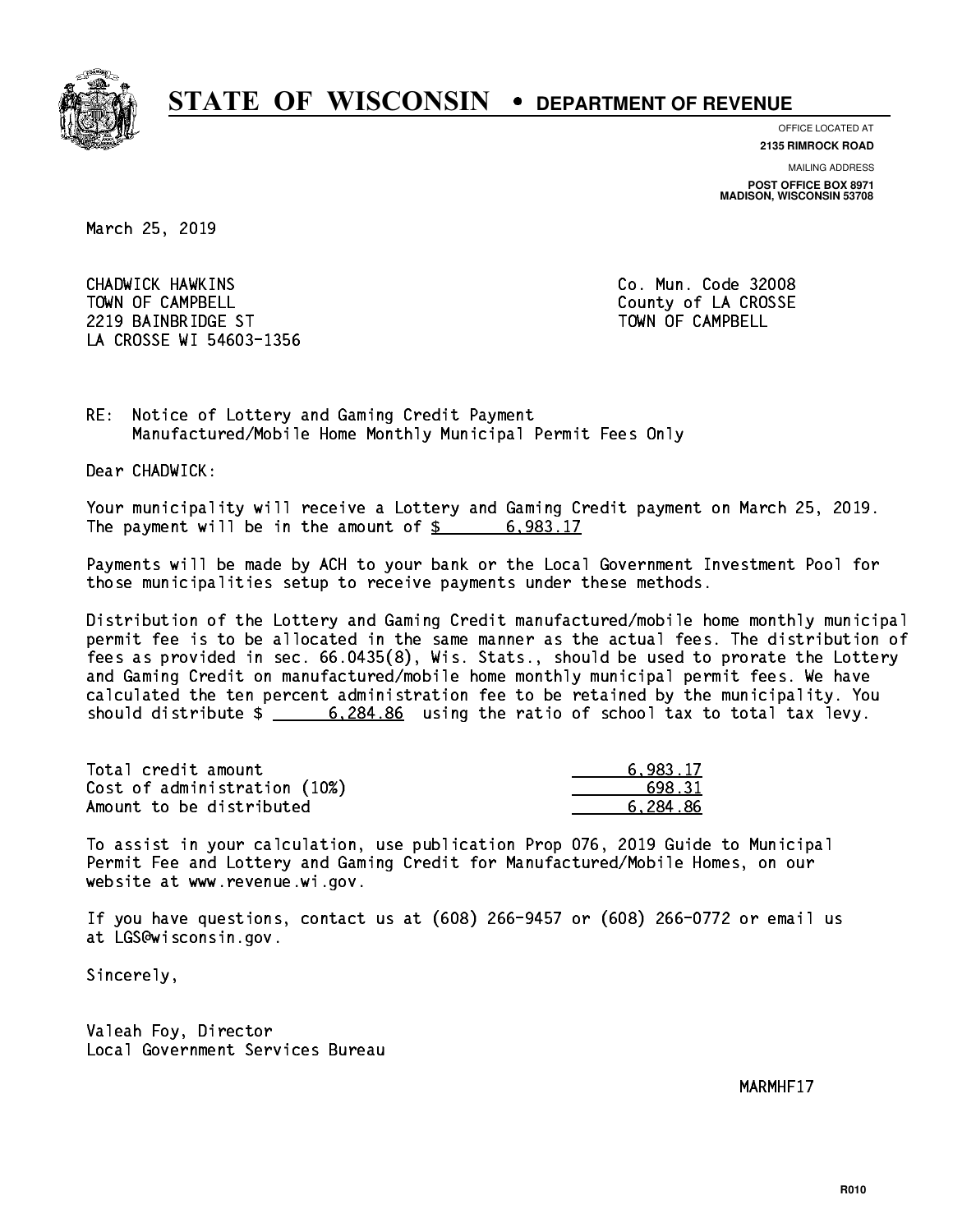

**OFFICE LOCATED AT**

**2135 RIMROCK ROAD**

**MAILING ADDRESS POST OFFICE BOX 8971 MADISON, WISCONSIN 53708**

March 25, 2019

 CHADWICK HAWKINS Co. Mun. Code 32008 TOWN OF CAMPBELL **TOWN OF CAMPBELL**  2219 BAINBRIDGE ST TOWN OF CAMPBELL LA CROSSE WI 54603-1356

RE: Notice of Lottery and Gaming Credit Payment Manufactured/Mobile Home Monthly Municipal Permit Fees Only

Dear CHADWICK:

 Your municipality will receive a Lottery and Gaming Credit payment on March 25, 2019. The payment will be in the amount of  $\frac{2}{3}$  6,983.17

 Payments will be made by ACH to your bank or the Local Government Investment Pool for those municipalities setup to receive payments under these methods.

 Distribution of the Lottery and Gaming Credit manufactured/mobile home monthly municipal permit fee is to be allocated in the same manner as the actual fees. The distribution of fees as provided in sec. 66.0435(8), Wis. Stats., should be used to prorate the Lottery and Gaming Credit on manufactured/mobile home monthly municipal permit fees. We have calculated the ten percent administration fee to be retained by the municipality. You should distribute \$ 6,284.86 using the ratio of school tax to total tax levy. \_\_\_\_\_\_\_\_\_\_\_\_\_\_

| Total credit amount          | 6.983.17 |
|------------------------------|----------|
| Cost of administration (10%) | 698.31   |
| Amount to be distributed     | 6.284.86 |

 To assist in your calculation, use publication Prop 076, 2019 Guide to Municipal Permit Fee and Lottery and Gaming Credit for Manufactured/Mobile Homes, on our website at www.revenue.wi.gov.

 If you have questions, contact us at (608) 266-9457 or (608) 266-0772 or email us at LGS@wisconsin.gov.

Sincerely,

 Valeah Foy, Director Local Government Services Bureau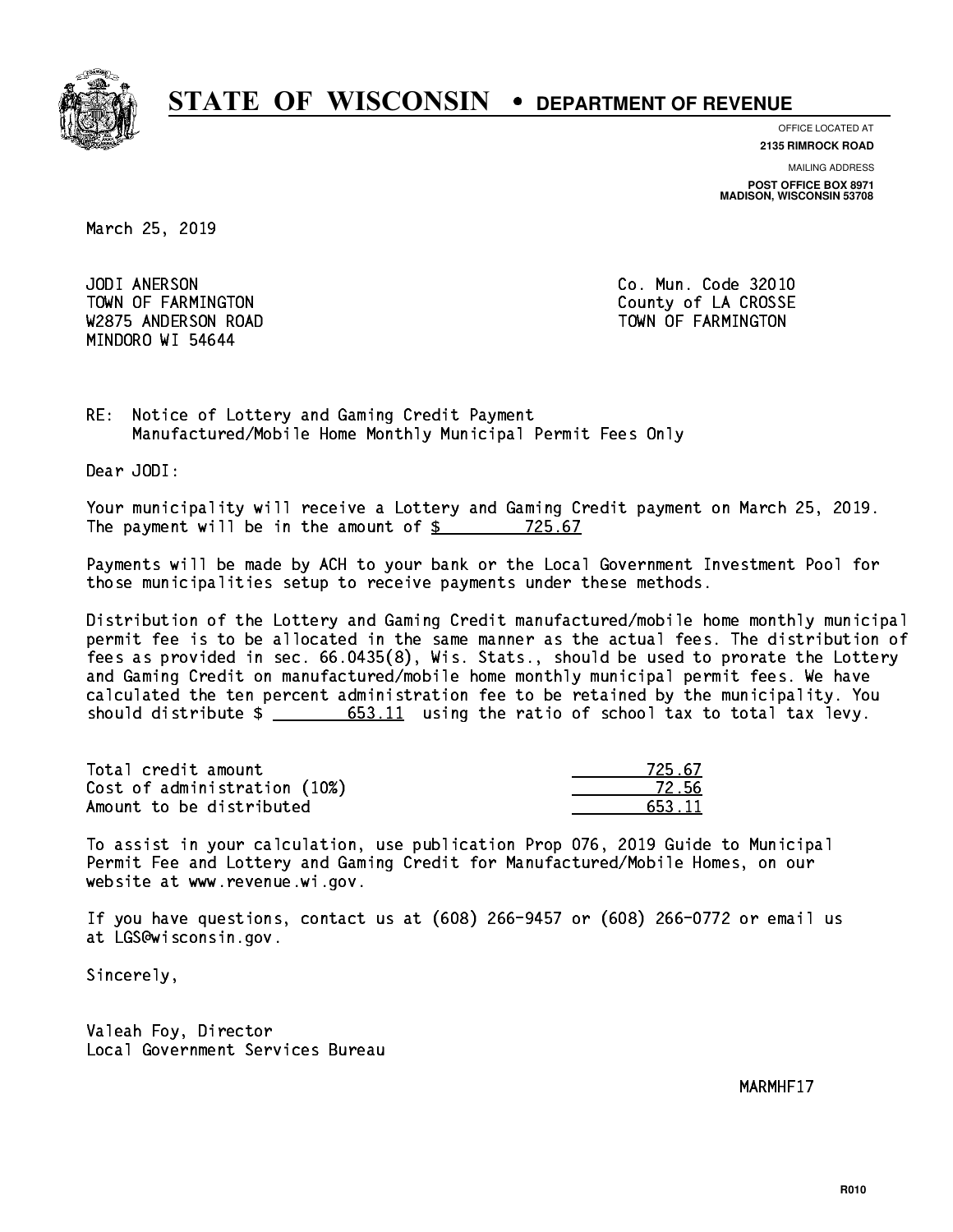

**OFFICE LOCATED AT 2135 RIMROCK ROAD**

**MAILING ADDRESS POST OFFICE BOX 8971 MADISON, WISCONSIN 53708**

March 25, 2019

JODI ANERSON W2875 ANDERSON ROAD TOWN OF FARMINGTON MINDORO WI 54644

Co. Mun. Code 32010 TOWN OF FARMINGTON County of LA CROSSE

RE: Notice of Lottery and Gaming Credit Payment Manufactured/Mobile Home Monthly Municipal Permit Fees Only

Dear JODI:

 Your municipality will receive a Lottery and Gaming Credit payment on March 25, 2019. The payment will be in the amount of  $\frac{25}{2}$  725.67

 Payments will be made by ACH to your bank or the Local Government Investment Pool for those municipalities setup to receive payments under these methods.

 Distribution of the Lottery and Gaming Credit manufactured/mobile home monthly municipal permit fee is to be allocated in the same manner as the actual fees. The distribution of fees as provided in sec. 66.0435(8), Wis. Stats., should be used to prorate the Lottery and Gaming Credit on manufactured/mobile home monthly municipal permit fees. We have calculated the ten percent administration fee to be retained by the municipality. You should distribute  $\frac{2}{1}$   $\frac{653.11}{1}$  using the ratio of school tax to total tax levy.

Total credit amount Cost of administration (10%) Amount to be distributed

| 725.67 |
|--------|
| 72 hh  |
| 653 11 |

 To assist in your calculation, use publication Prop 076, 2019 Guide to Municipal Permit Fee and Lottery and Gaming Credit for Manufactured/Mobile Homes, on our website at www.revenue.wi.gov.

 If you have questions, contact us at (608) 266-9457 or (608) 266-0772 or email us at LGS@wisconsin.gov.

Sincerely,

 Valeah Foy, Director Local Government Services Bureau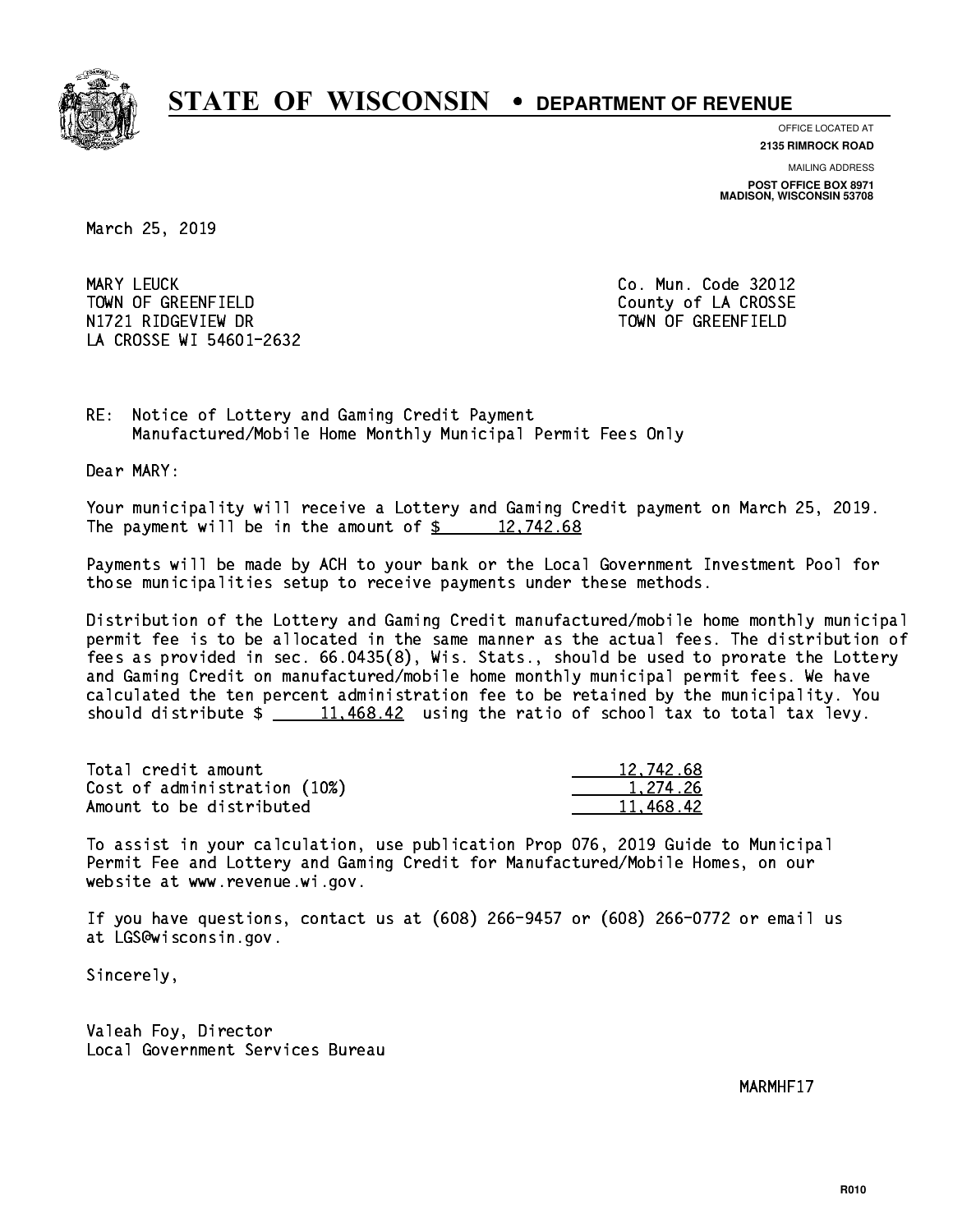

**OFFICE LOCATED AT 2135 RIMROCK ROAD**

**MAILING ADDRESS POST OFFICE BOX 8971 MADISON, WISCONSIN 53708**

March 25, 2019

MARY LEUCK TOWN OF GREENFIELD County of LA CROSSE N1721 RIDGEVIEW DR TOWN OF GREENFIELD LA CROSSE WI 54601-2632

Co. Mun. Code 32012

RE: Notice of Lottery and Gaming Credit Payment Manufactured/Mobile Home Monthly Municipal Permit Fees Only

Dear MARY:

 Your municipality will receive a Lottery and Gaming Credit payment on March 25, 2019. The payment will be in the amount of  $\frac{2}{3}$  12,742.68

 Payments will be made by ACH to your bank or the Local Government Investment Pool for those municipalities setup to receive payments under these methods.

 Distribution of the Lottery and Gaming Credit manufactured/mobile home monthly municipal permit fee is to be allocated in the same manner as the actual fees. The distribution of fees as provided in sec. 66.0435(8), Wis. Stats., should be used to prorate the Lottery and Gaming Credit on manufactured/mobile home monthly municipal permit fees. We have calculated the ten percent administration fee to be retained by the municipality. You should distribute  $\frac{11,468.42}{2}$  using the ratio of school tax to total tax levy.

| Total credit amount          | 12,742.68 |
|------------------------------|-----------|
| Cost of administration (10%) | 1.274.26  |
| Amount to be distributed     | 11.468.42 |

 To assist in your calculation, use publication Prop 076, 2019 Guide to Municipal Permit Fee and Lottery and Gaming Credit for Manufactured/Mobile Homes, on our website at www.revenue.wi.gov.

 If you have questions, contact us at (608) 266-9457 or (608) 266-0772 or email us at LGS@wisconsin.gov.

Sincerely,

 Valeah Foy, Director Local Government Services Bureau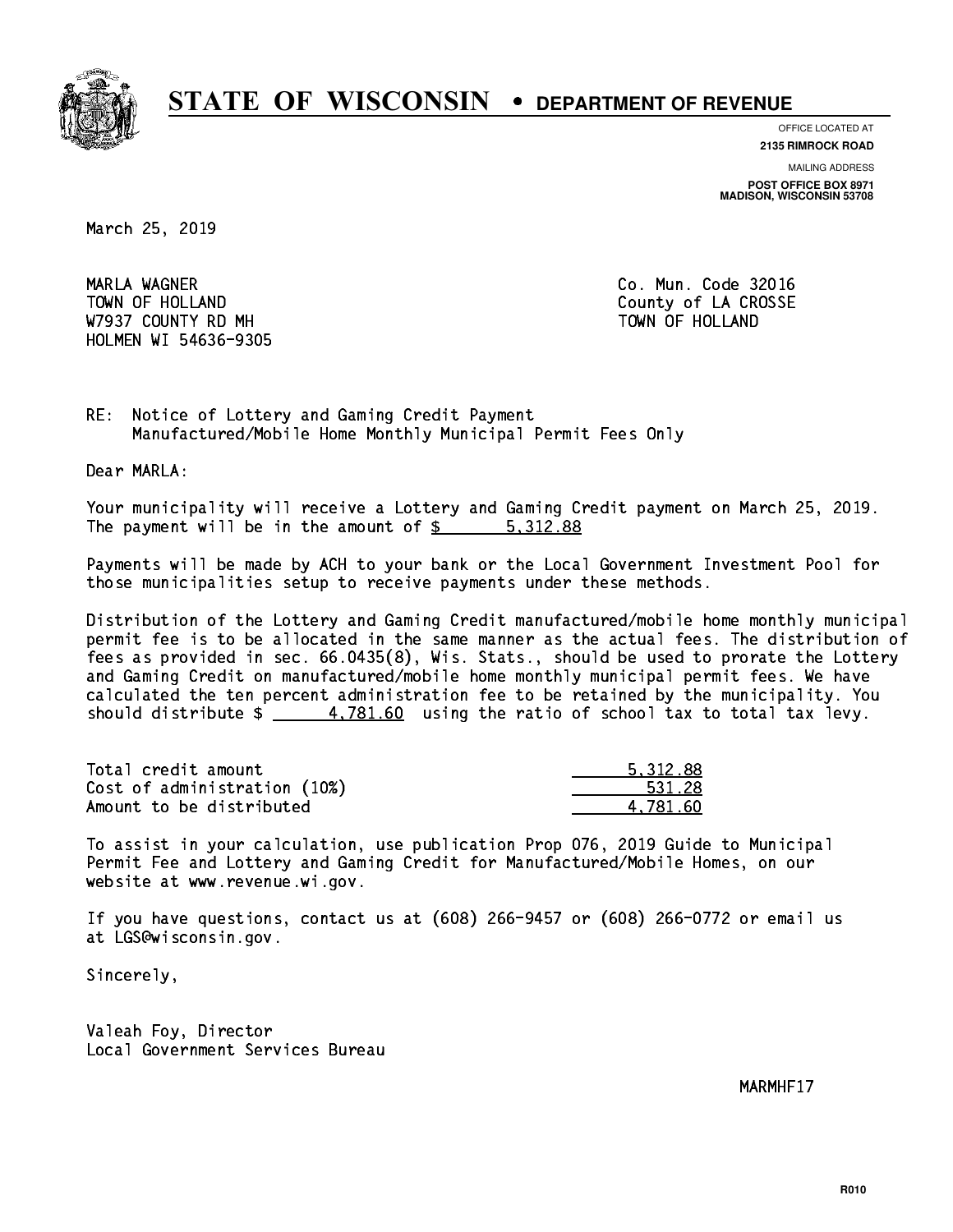

**OFFICE LOCATED AT**

**2135 RIMROCK ROAD**

**MAILING ADDRESS POST OFFICE BOX 8971 MADISON, WISCONSIN 53708**

March 25, 2019

 MARLA WAGNER Co. Mun. Code 32016 TOWN OF HOLLAND **COUNTY OF SALES AND COUNTY OF LA CROSSE** W7937 COUNTY RD MH TOWN OF HOLLAND HOLMEN WI 54636-9305

RE: Notice of Lottery and Gaming Credit Payment Manufactured/Mobile Home Monthly Municipal Permit Fees Only

Dear MARLA:

 Your municipality will receive a Lottery and Gaming Credit payment on March 25, 2019. The payment will be in the amount of \$ 5,312.88 \_\_\_\_\_\_\_\_\_\_\_\_\_\_\_\_

 Payments will be made by ACH to your bank or the Local Government Investment Pool for those municipalities setup to receive payments under these methods.

 Distribution of the Lottery and Gaming Credit manufactured/mobile home monthly municipal permit fee is to be allocated in the same manner as the actual fees. The distribution of fees as provided in sec. 66.0435(8), Wis. Stats., should be used to prorate the Lottery and Gaming Credit on manufactured/mobile home monthly municipal permit fees. We have calculated the ten percent administration fee to be retained by the municipality. You should distribute  $\frac{2}{1} - \frac{4,781.60}{160}$  using the ratio of school tax to total tax levy.

| Total credit amount          | 5.312.88 |
|------------------------------|----------|
| Cost of administration (10%) | 531.28   |
| Amount to be distributed     | 4.781.60 |

 To assist in your calculation, use publication Prop 076, 2019 Guide to Municipal Permit Fee and Lottery and Gaming Credit for Manufactured/Mobile Homes, on our website at www.revenue.wi.gov.

 If you have questions, contact us at (608) 266-9457 or (608) 266-0772 or email us at LGS@wisconsin.gov.

Sincerely,

 Valeah Foy, Director Local Government Services Bureau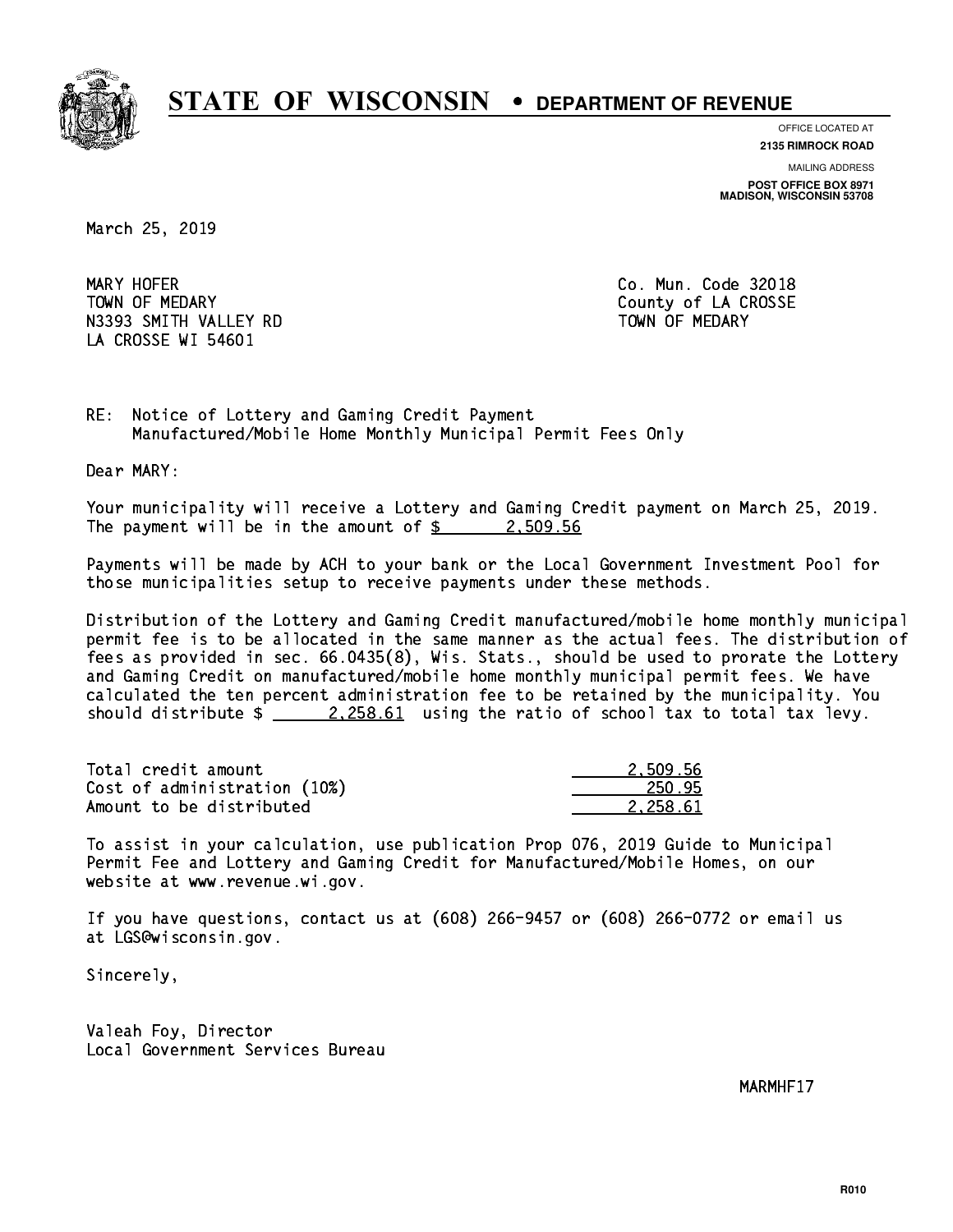

**OFFICE LOCATED AT**

**2135 RIMROCK ROAD**

**MAILING ADDRESS POST OFFICE BOX 8971 MADISON, WISCONSIN 53708**

March 25, 2019

MARY HOFER TOWN OF MEDARY **COUNTY** COUNTY COUNTY OF LA CROSSE N3393 SMITH VALLEY RD TOWN OF MEDARY LA CROSSE WI 54601

Co. Mun. Code 32018

RE: Notice of Lottery and Gaming Credit Payment Manufactured/Mobile Home Monthly Municipal Permit Fees Only

Dear MARY:

 Your municipality will receive a Lottery and Gaming Credit payment on March 25, 2019. The payment will be in the amount of  $\frac{2}{3}$  2,509.56

 Payments will be made by ACH to your bank or the Local Government Investment Pool for those municipalities setup to receive payments under these methods.

 Distribution of the Lottery and Gaming Credit manufactured/mobile home monthly municipal permit fee is to be allocated in the same manner as the actual fees. The distribution of fees as provided in sec. 66.0435(8), Wis. Stats., should be used to prorate the Lottery and Gaming Credit on manufactured/mobile home monthly municipal permit fees. We have calculated the ten percent administration fee to be retained by the municipality. You should distribute  $\frac{2.258.61}{2.258.61}$  using the ratio of school tax to total tax levy.

| Total credit amount          | 2.509.56 |
|------------------------------|----------|
| Cost of administration (10%) | 250.95   |
| Amount to be distributed     | 2.258.61 |

 To assist in your calculation, use publication Prop 076, 2019 Guide to Municipal Permit Fee and Lottery and Gaming Credit for Manufactured/Mobile Homes, on our website at www.revenue.wi.gov.

 If you have questions, contact us at (608) 266-9457 or (608) 266-0772 or email us at LGS@wisconsin.gov.

Sincerely,

 Valeah Foy, Director Local Government Services Bureau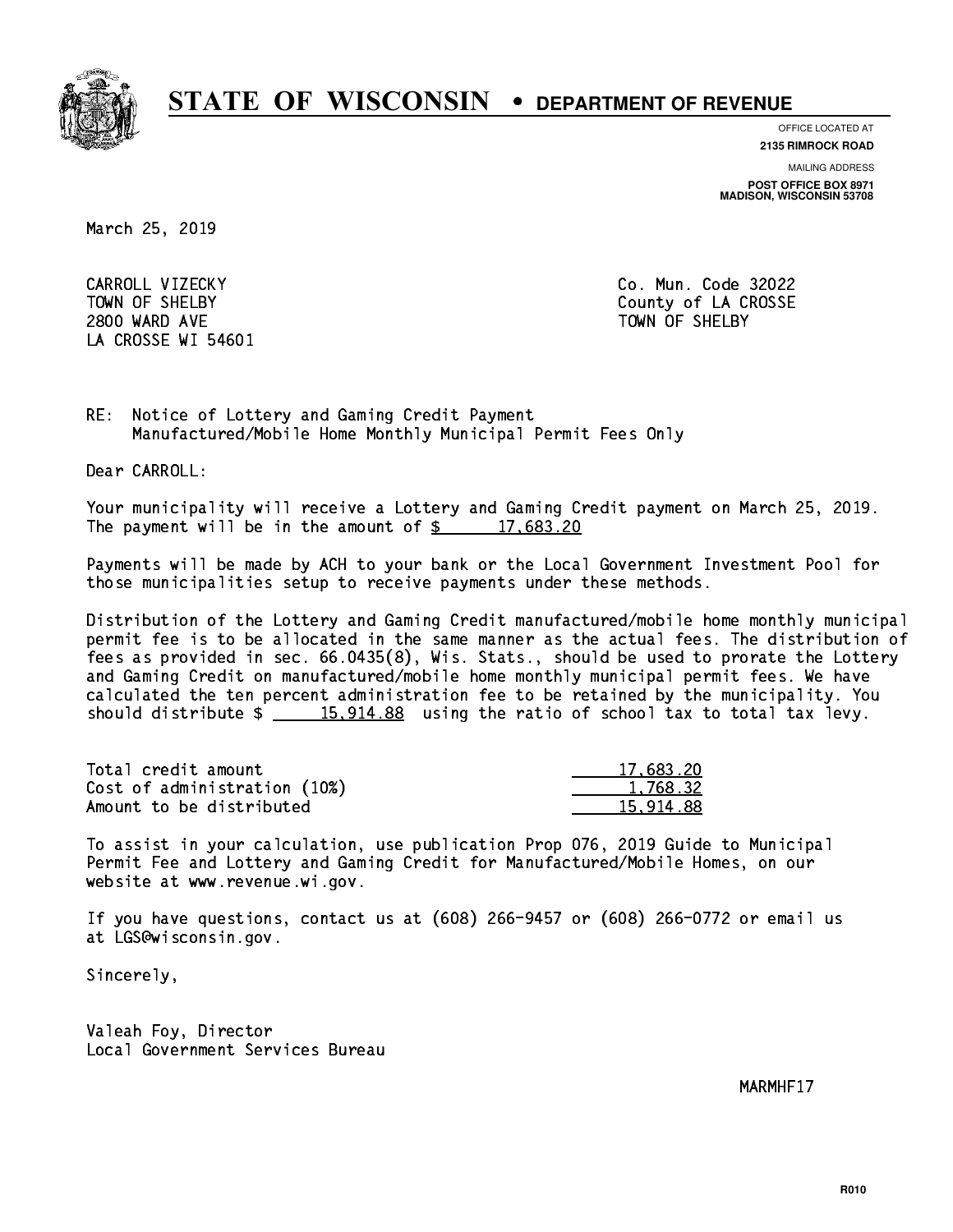

**OFFICE LOCATED AT 2135 RIMROCK ROAD**

**MAILING ADDRESS POST OFFICE BOX 8971 MADISON, WISCONSIN 53708**

March 25, 2019

 CARROLL VIZECKY Co. Mun. Code 32022 2800 WARD AVE TOWN OF SHELBY LA CROSSE WI 54601

TOWN OF SHELBY **COUNTY** COUNTY OF LA CROSSE

RE: Notice of Lottery and Gaming Credit Payment Manufactured/Mobile Home Monthly Municipal Permit Fees Only

Dear CARROLL:

 Your municipality will receive a Lottery and Gaming Credit payment on March 25, 2019. The payment will be in the amount of  $\frac{2}{3}$  17,683.20

 Payments will be made by ACH to your bank or the Local Government Investment Pool for those municipalities setup to receive payments under these methods.

 Distribution of the Lottery and Gaming Credit manufactured/mobile home monthly municipal permit fee is to be allocated in the same manner as the actual fees. The distribution of fees as provided in sec. 66.0435(8), Wis. Stats., should be used to prorate the Lottery and Gaming Credit on manufactured/mobile home monthly municipal permit fees. We have calculated the ten percent administration fee to be retained by the municipality. You should distribute  $\frac{15,914.88}{2}$  using the ratio of school tax to total tax levy.

| Total credit amount          | 17,683.20 |
|------------------------------|-----------|
| Cost of administration (10%) | 1.768.32  |
| Amount to be distributed     | 15.914.88 |

 To assist in your calculation, use publication Prop 076, 2019 Guide to Municipal Permit Fee and Lottery and Gaming Credit for Manufactured/Mobile Homes, on our website at www.revenue.wi.gov.

 If you have questions, contact us at (608) 266-9457 or (608) 266-0772 or email us at LGS@wisconsin.gov.

Sincerely,

 Valeah Foy, Director Local Government Services Bureau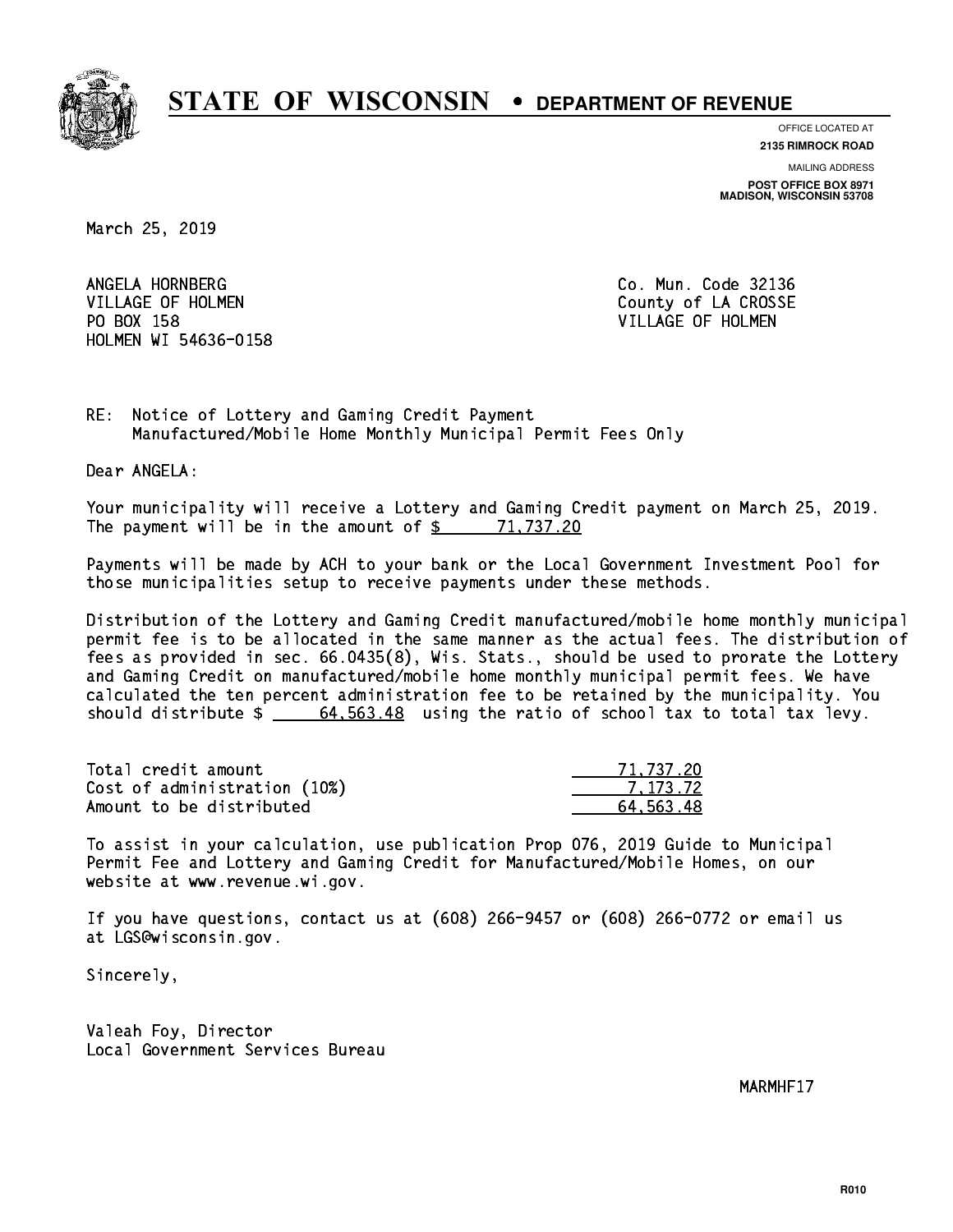

**OFFICE LOCATED AT**

**2135 RIMROCK ROAD**

**MAILING ADDRESS POST OFFICE BOX 8971 MADISON, WISCONSIN 53708**

March 25, 2019

ANGELA HORNBERG VILLAGE OF HOLMEN COUNTY OF LA CROSSE PO BOX 158 VILLAGE OF HOLMEN HOLMEN WI 54636-0158

Co. Mun. Code 32136

RE: Notice of Lottery and Gaming Credit Payment Manufactured/Mobile Home Monthly Municipal Permit Fees Only

Dear ANGELA:

 Your municipality will receive a Lottery and Gaming Credit payment on March 25, 2019. The payment will be in the amount of  $\frac{2}{3}$  71,737.20

 Payments will be made by ACH to your bank or the Local Government Investment Pool for those municipalities setup to receive payments under these methods.

 Distribution of the Lottery and Gaming Credit manufactured/mobile home monthly municipal permit fee is to be allocated in the same manner as the actual fees. The distribution of fees as provided in sec. 66.0435(8), Wis. Stats., should be used to prorate the Lottery and Gaming Credit on manufactured/mobile home monthly municipal permit fees. We have calculated the ten percent administration fee to be retained by the municipality. You should distribute  $\frac{2}{1}$   $\frac{64,563.48}{2}$  using the ratio of school tax to total tax levy.

| Total credit amount          | 71,737.20 |
|------------------------------|-----------|
| Cost of administration (10%) | 7.173.72  |
| Amount to be distributed     | 64.563.48 |

 To assist in your calculation, use publication Prop 076, 2019 Guide to Municipal Permit Fee and Lottery and Gaming Credit for Manufactured/Mobile Homes, on our website at www.revenue.wi.gov.

 If you have questions, contact us at (608) 266-9457 or (608) 266-0772 or email us at LGS@wisconsin.gov.

Sincerely,

 Valeah Foy, Director Local Government Services Bureau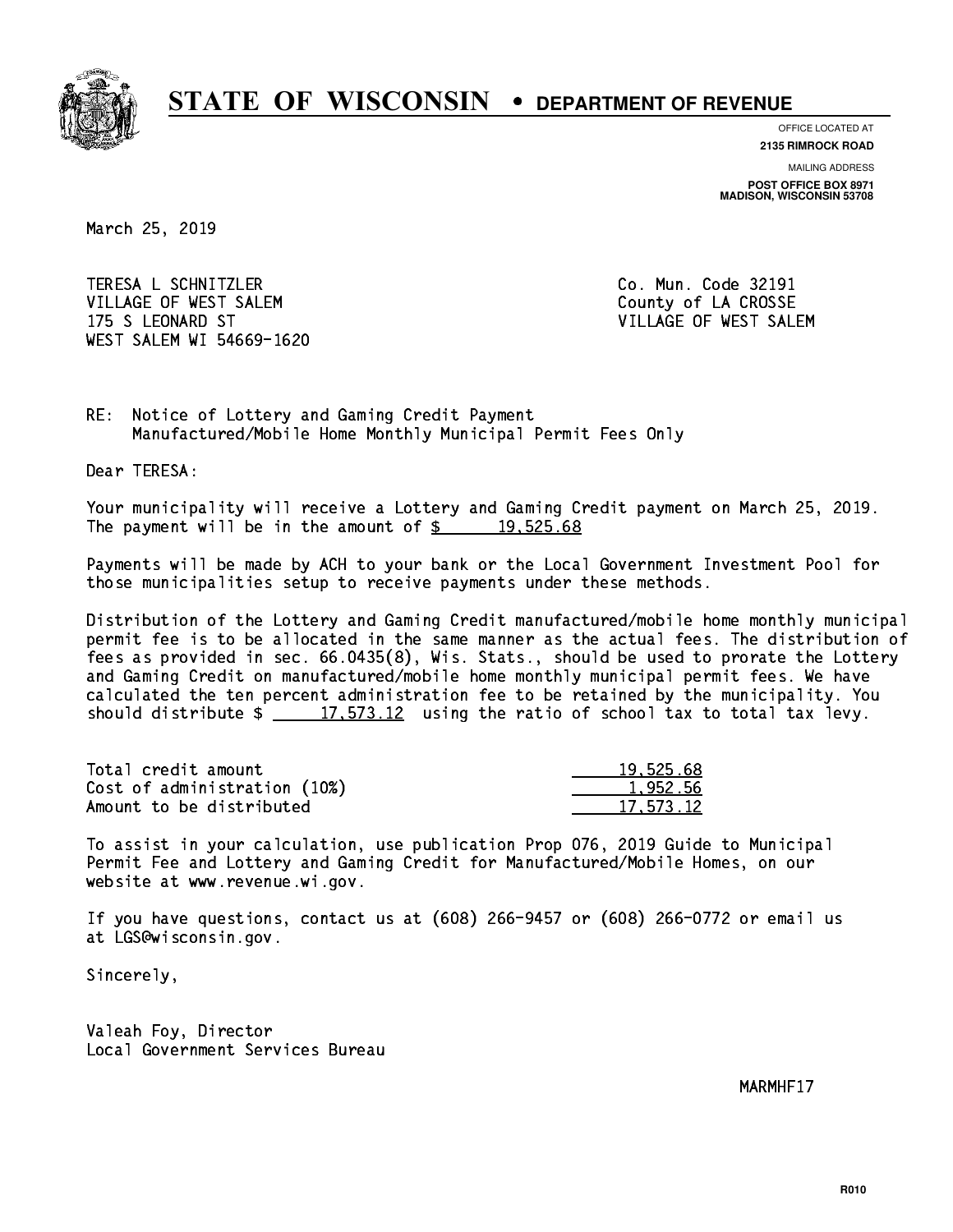

**OFFICE LOCATED AT**

**2135 RIMROCK ROAD**

**MAILING ADDRESS POST OFFICE BOX 8971 MADISON, WISCONSIN 53708**

March 25, 2019

 TERESA L SCHNITZLER Co. Mun. Code 32191 VILLAGE OF WEST SALEM **COULD ACCOUNT OF LA CROSSE**  175 S LEONARD ST VILLAGE OF WEST SALEM WEST SALEM WI 54669-1620

RE: Notice of Lottery and Gaming Credit Payment Manufactured/Mobile Home Monthly Municipal Permit Fees Only

Dear TERESA:

 Your municipality will receive a Lottery and Gaming Credit payment on March 25, 2019. The payment will be in the amount of  $\frac{2}{3}$  19,525.68

 Payments will be made by ACH to your bank or the Local Government Investment Pool for those municipalities setup to receive payments under these methods.

 Distribution of the Lottery and Gaming Credit manufactured/mobile home monthly municipal permit fee is to be allocated in the same manner as the actual fees. The distribution of fees as provided in sec. 66.0435(8), Wis. Stats., should be used to prorate the Lottery and Gaming Credit on manufactured/mobile home monthly municipal permit fees. We have calculated the ten percent administration fee to be retained by the municipality. You should distribute  $\frac{17,573.12}{2}$  using the ratio of school tax to total tax levy.

| Total credit amount          | 19,525.68 |
|------------------------------|-----------|
| Cost of administration (10%) | 1.952.56  |
| Amount to be distributed     | 17.573.12 |

 To assist in your calculation, use publication Prop 076, 2019 Guide to Municipal Permit Fee and Lottery and Gaming Credit for Manufactured/Mobile Homes, on our website at www.revenue.wi.gov.

 If you have questions, contact us at (608) 266-9457 or (608) 266-0772 or email us at LGS@wisconsin.gov.

Sincerely,

 Valeah Foy, Director Local Government Services Bureau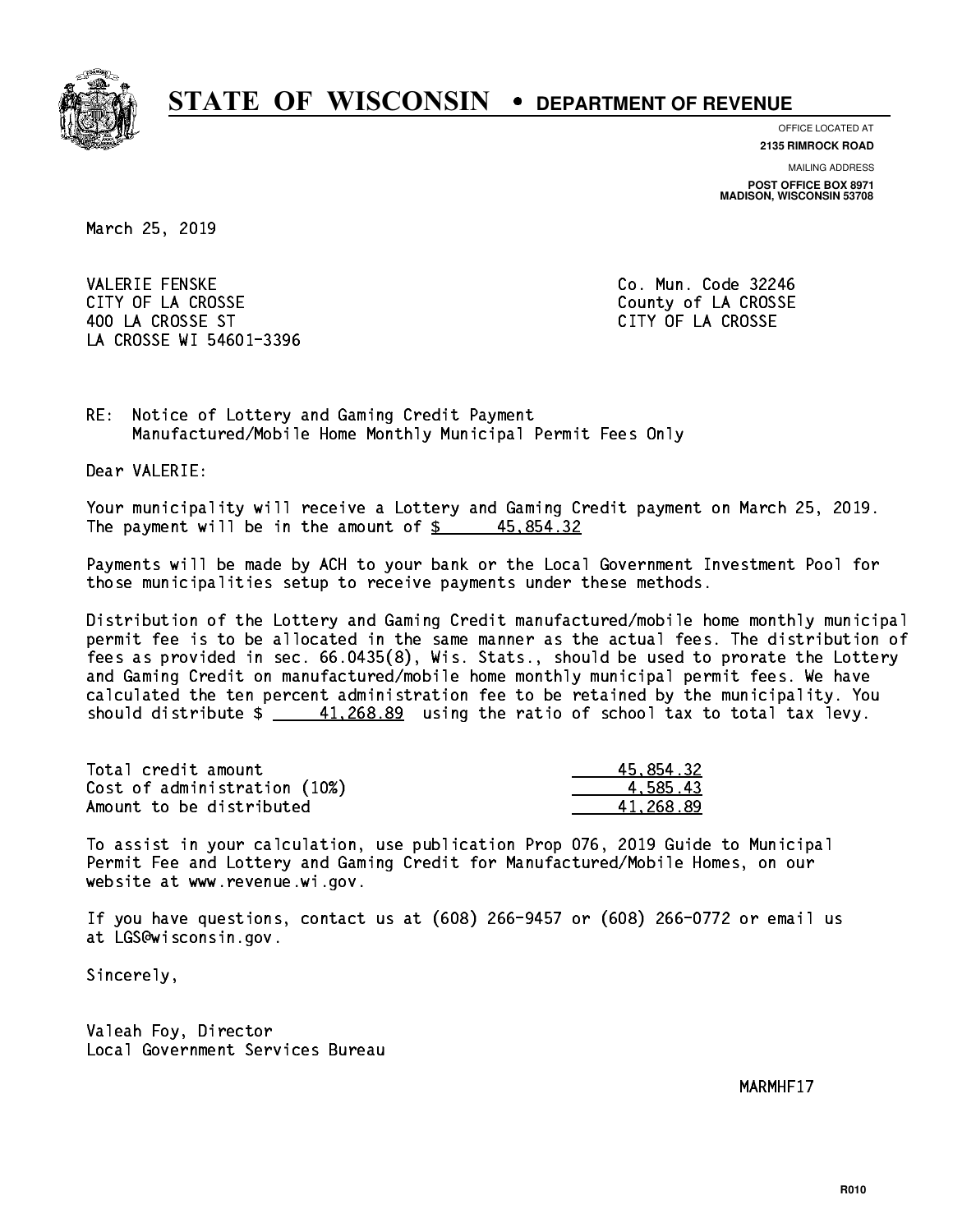

**OFFICE LOCATED AT**

**2135 RIMROCK ROAD**

**MAILING ADDRESS POST OFFICE BOX 8971 MADISON, WISCONSIN 53708**

March 25, 2019

**VALERIE FENSKE** CITY OF LA CROSSE COUNTY OF LA CROSSE 400 LA CROSSE ST CITY OF LA CROSSE LA CROSSE WI 54601-3396

Co. Mun. Code 32246

RE: Notice of Lottery and Gaming Credit Payment Manufactured/Mobile Home Monthly Municipal Permit Fees Only

Dear VALERIE:

 Your municipality will receive a Lottery and Gaming Credit payment on March 25, 2019. The payment will be in the amount of  $\frac{2}{3}$  45,854.32

 Payments will be made by ACH to your bank or the Local Government Investment Pool for those municipalities setup to receive payments under these methods.

 Distribution of the Lottery and Gaming Credit manufactured/mobile home monthly municipal permit fee is to be allocated in the same manner as the actual fees. The distribution of fees as provided in sec. 66.0435(8), Wis. Stats., should be used to prorate the Lottery and Gaming Credit on manufactured/mobile home monthly municipal permit fees. We have calculated the ten percent administration fee to be retained by the municipality. You should distribute  $\frac{41,268.89}{2}$  using the ratio of school tax to total tax levy.

| Total credit amount          | 45,854.32 |
|------------------------------|-----------|
| Cost of administration (10%) | 4.585.43  |
| Amount to be distributed     | 41.268.89 |

 To assist in your calculation, use publication Prop 076, 2019 Guide to Municipal Permit Fee and Lottery and Gaming Credit for Manufactured/Mobile Homes, on our website at www.revenue.wi.gov.

 If you have questions, contact us at (608) 266-9457 or (608) 266-0772 or email us at LGS@wisconsin.gov.

Sincerely,

 Valeah Foy, Director Local Government Services Bureau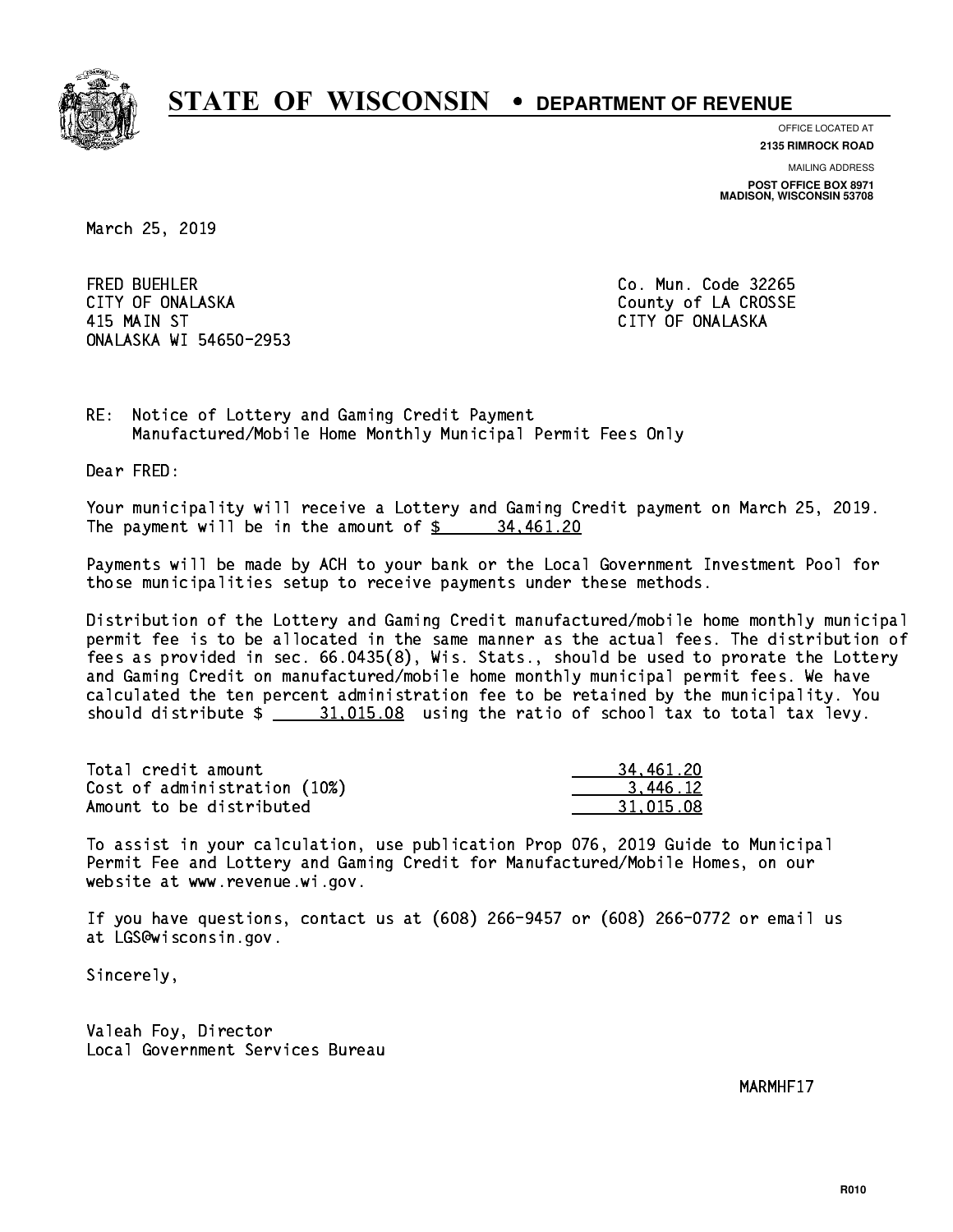

**OFFICE LOCATED AT 2135 RIMROCK ROAD**

**MAILING ADDRESS POST OFFICE BOX 8971 MADISON, WISCONSIN 53708**

March 25, 2019

 FRED BUEHLER Co. Mun. Code 32265 CITY OF ONALASKA COUNTY COUNTY OF COUNTY OF COUNTY OF LA CROSSE 415 MAIN ST CITY OF ONALASKA ONALASKA WI 54650-2953

RE: Notice of Lottery and Gaming Credit Payment Manufactured/Mobile Home Monthly Municipal Permit Fees Only

Dear FRED:

 Your municipality will receive a Lottery and Gaming Credit payment on March 25, 2019. The payment will be in the amount of  $\frac{2}{3}$  34,461.20

 Payments will be made by ACH to your bank or the Local Government Investment Pool for those municipalities setup to receive payments under these methods.

 Distribution of the Lottery and Gaming Credit manufactured/mobile home monthly municipal permit fee is to be allocated in the same manner as the actual fees. The distribution of fees as provided in sec. 66.0435(8), Wis. Stats., should be used to prorate the Lottery and Gaming Credit on manufactured/mobile home monthly municipal permit fees. We have calculated the ten percent administration fee to be retained by the municipality. You should distribute  $\frac{21.015.08}{21.015.08}$  using the ratio of school tax to total tax levy.

| Total credit amount          | 34.461.20 |
|------------------------------|-----------|
| Cost of administration (10%) | 3.446.12  |
| Amount to be distributed     | 31.015.08 |

 To assist in your calculation, use publication Prop 076, 2019 Guide to Municipal Permit Fee and Lottery and Gaming Credit for Manufactured/Mobile Homes, on our website at www.revenue.wi.gov.

 If you have questions, contact us at (608) 266-9457 or (608) 266-0772 or email us at LGS@wisconsin.gov.

Sincerely,

 Valeah Foy, Director Local Government Services Bureau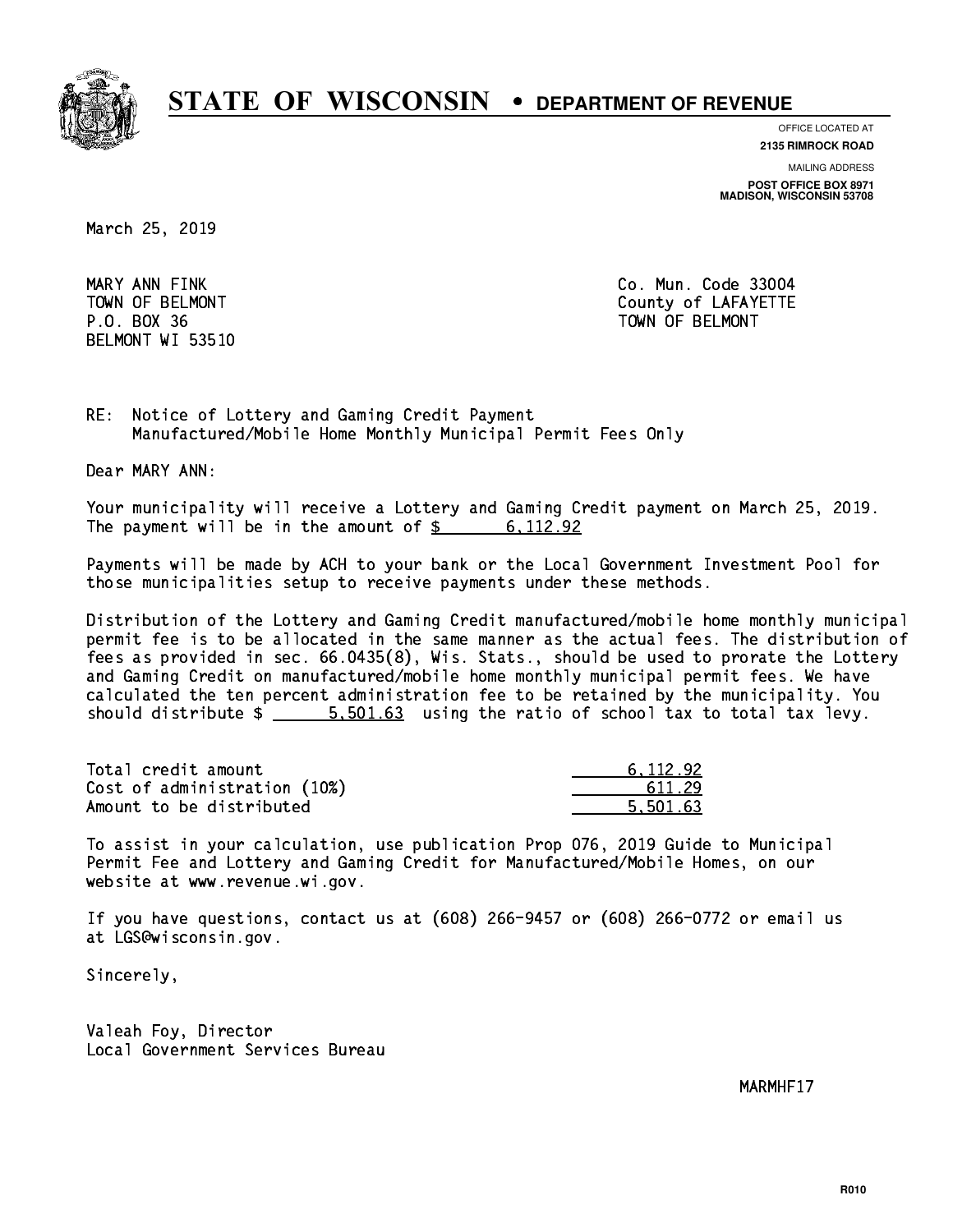

**OFFICE LOCATED AT**

**2135 RIMROCK ROAD**

**MAILING ADDRESS POST OFFICE BOX 8971 MADISON, WISCONSIN 53708**

March 25, 2019

MARY ANN FINK BELMONT WI 53510

Co. Mun. Code 33004 TOWN OF BELMONT COUNTY COUNTY OF LAFAYETTE P.O. BOX 36 TOWN OF BELMONT

RE: Notice of Lottery and Gaming Credit Payment Manufactured/Mobile Home Monthly Municipal Permit Fees Only

Dear MARY ANN:

 Your municipality will receive a Lottery and Gaming Credit payment on March 25, 2019. The payment will be in the amount of  $\frac{2}{3}$  6,112.92

 Payments will be made by ACH to your bank or the Local Government Investment Pool for those municipalities setup to receive payments under these methods.

 Distribution of the Lottery and Gaming Credit manufactured/mobile home monthly municipal permit fee is to be allocated in the same manner as the actual fees. The distribution of fees as provided in sec. 66.0435(8), Wis. Stats., should be used to prorate the Lottery and Gaming Credit on manufactured/mobile home monthly municipal permit fees. We have calculated the ten percent administration fee to be retained by the municipality. You should distribute  $\frac{2}{1}$   $\frac{5}{501.63}$  using the ratio of school tax to total tax levy.

| Total credit amount          | 6.112.92 |
|------------------------------|----------|
| Cost of administration (10%) | 611.29   |
| Amount to be distributed     | 5.501.63 |

 To assist in your calculation, use publication Prop 076, 2019 Guide to Municipal Permit Fee and Lottery and Gaming Credit for Manufactured/Mobile Homes, on our website at www.revenue.wi.gov.

 If you have questions, contact us at (608) 266-9457 or (608) 266-0772 or email us at LGS@wisconsin.gov.

Sincerely,

 Valeah Foy, Director Local Government Services Bureau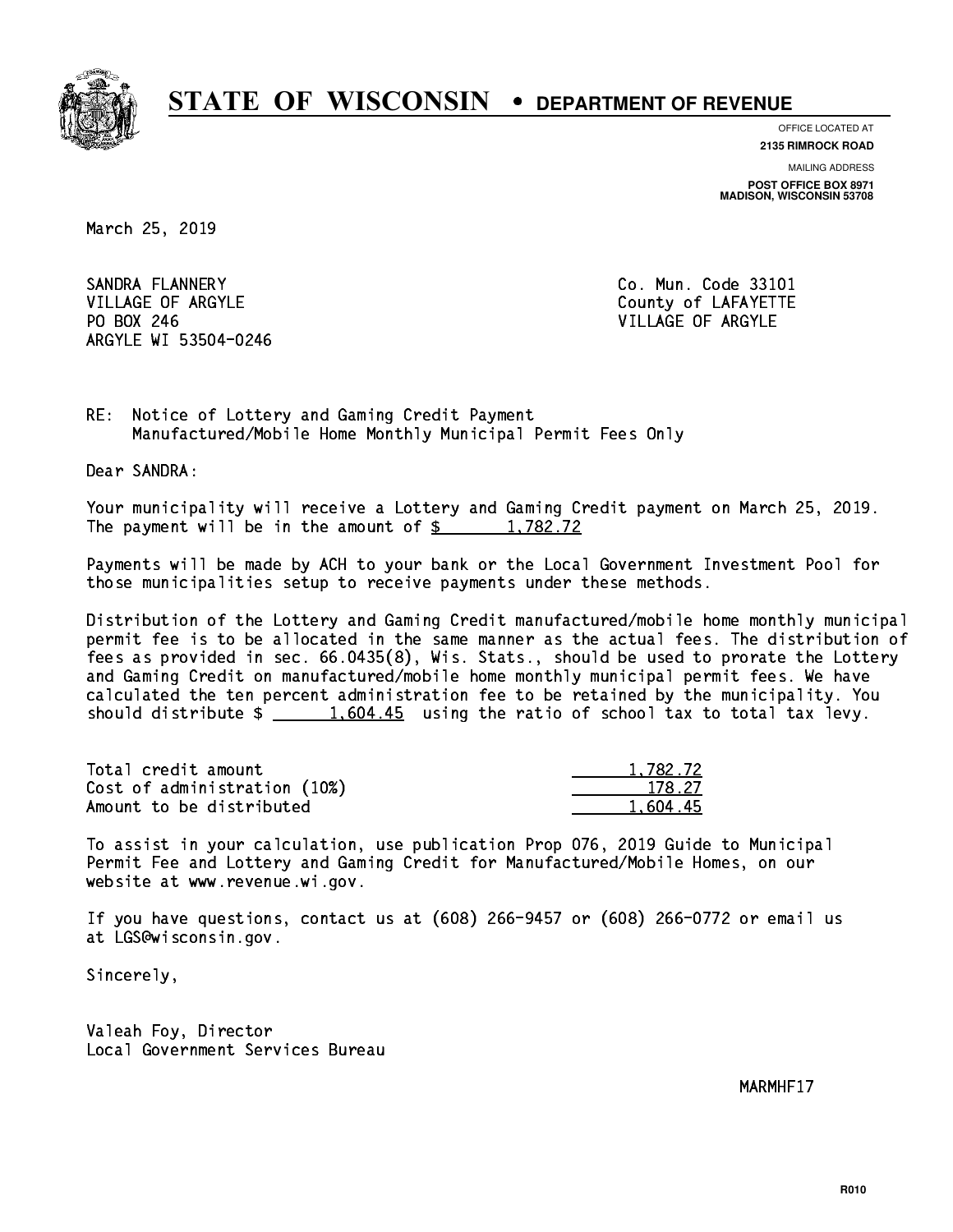

**OFFICE LOCATED AT**

**2135 RIMROCK ROAD**

**MAILING ADDRESS POST OFFICE BOX 8971 MADISON, WISCONSIN 53708**

March 25, 2019

SANDRA FLANNERY VILLAGE OF ARGYLE COUNTY OF LAFAYETTE PO BOX 246 VILLAGE OF ARGYLE ARGYLE WI 53504-0246

Co. Mun. Code 33101

RE: Notice of Lottery and Gaming Credit Payment Manufactured/Mobile Home Monthly Municipal Permit Fees Only

Dear SANDRA:

 Your municipality will receive a Lottery and Gaming Credit payment on March 25, 2019. The payment will be in the amount of  $\frac{2}{3}$  1,782.72

 Payments will be made by ACH to your bank or the Local Government Investment Pool for those municipalities setup to receive payments under these methods.

 Distribution of the Lottery and Gaming Credit manufactured/mobile home monthly municipal permit fee is to be allocated in the same manner as the actual fees. The distribution of fees as provided in sec. 66.0435(8), Wis. Stats., should be used to prorate the Lottery and Gaming Credit on manufactured/mobile home monthly municipal permit fees. We have calculated the ten percent administration fee to be retained by the municipality. You should distribute  $\frac{1,604.45}{1,604.45}$  using the ratio of school tax to total tax levy.

| Total credit amount          | 1,782.72 |
|------------------------------|----------|
| Cost of administration (10%) | 178.27   |
| Amount to be distributed     | 1.604.45 |

 To assist in your calculation, use publication Prop 076, 2019 Guide to Municipal Permit Fee and Lottery and Gaming Credit for Manufactured/Mobile Homes, on our website at www.revenue.wi.gov.

 If you have questions, contact us at (608) 266-9457 or (608) 266-0772 or email us at LGS@wisconsin.gov.

Sincerely,

 Valeah Foy, Director Local Government Services Bureau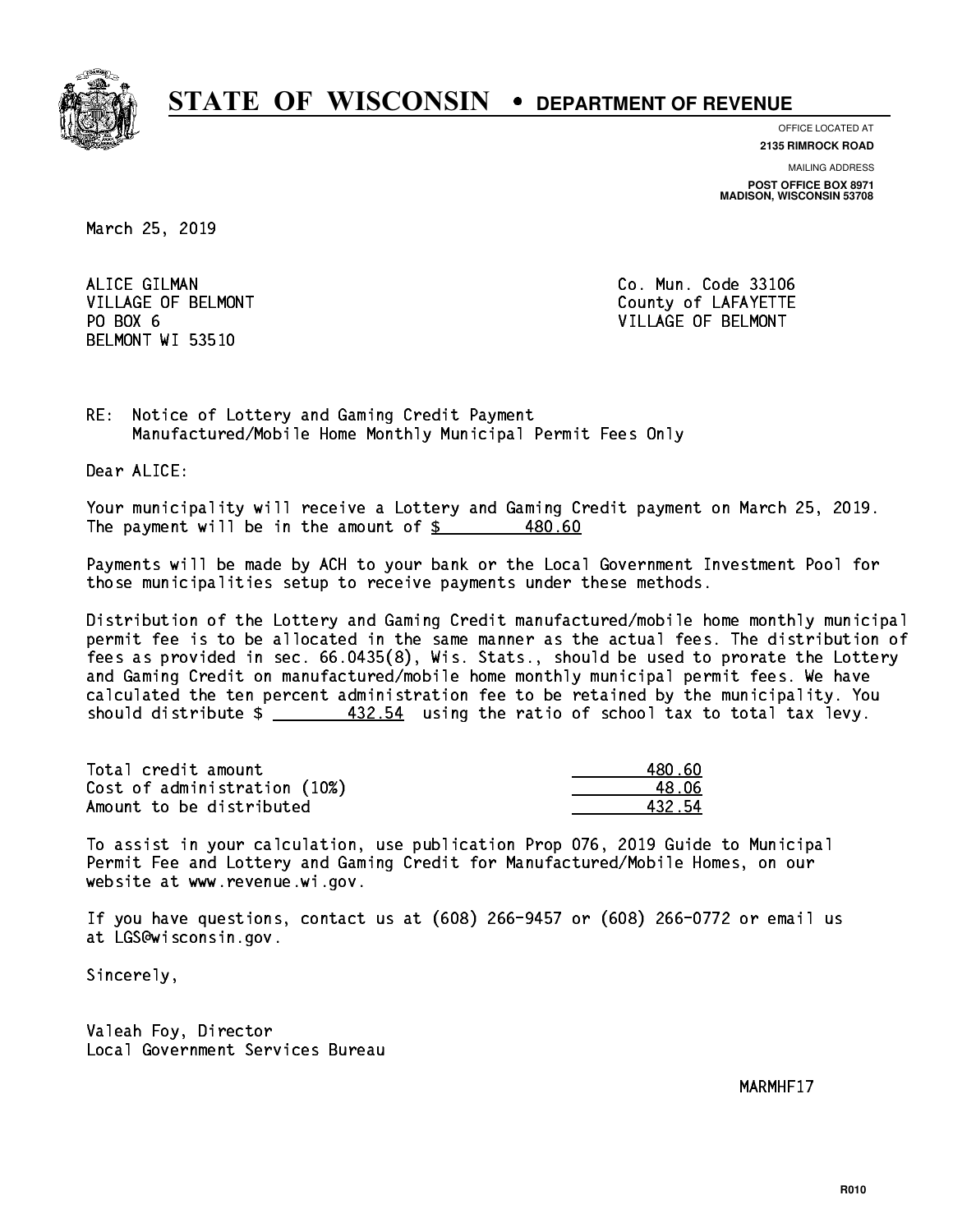

**OFFICE LOCATED AT**

**2135 RIMROCK ROAD**

**MAILING ADDRESS POST OFFICE BOX 8971 MADISON, WISCONSIN 53708**

March 25, 2019

ALICE GILMAN PO BOX 6 BELMONT WI 53510

Co. Mun. Code 33106 VILLAGE OF BELMONT COUNTS AND THE COUNTY OF LAFAYETTE VILLAGE OF BELMONT

RE: Notice of Lottery and Gaming Credit Payment Manufactured/Mobile Home Monthly Municipal Permit Fees Only

Dear ALICE:

 Your municipality will receive a Lottery and Gaming Credit payment on March 25, 2019. The payment will be in the amount of  $\frac{2}{3}$ 480.60

 Payments will be made by ACH to your bank or the Local Government Investment Pool for those municipalities setup to receive payments under these methods.

 Distribution of the Lottery and Gaming Credit manufactured/mobile home monthly municipal permit fee is to be allocated in the same manner as the actual fees. The distribution of fees as provided in sec. 66.0435(8), Wis. Stats., should be used to prorate the Lottery and Gaming Credit on manufactured/mobile home monthly municipal permit fees. We have calculated the ten percent administration fee to be retained by the municipality. You should distribute  $\frac{432.54}{2}$  using the ratio of school tax to total tax levy.

Total credit amount Cost of administration (10%) Amount to be distributed

| IN 60  |
|--------|
| 8 N S  |
| 432.54 |

 To assist in your calculation, use publication Prop 076, 2019 Guide to Municipal Permit Fee and Lottery and Gaming Credit for Manufactured/Mobile Homes, on our website at www.revenue.wi.gov.

 If you have questions, contact us at (608) 266-9457 or (608) 266-0772 or email us at LGS@wisconsin.gov.

Sincerely,

 Valeah Foy, Director Local Government Services Bureau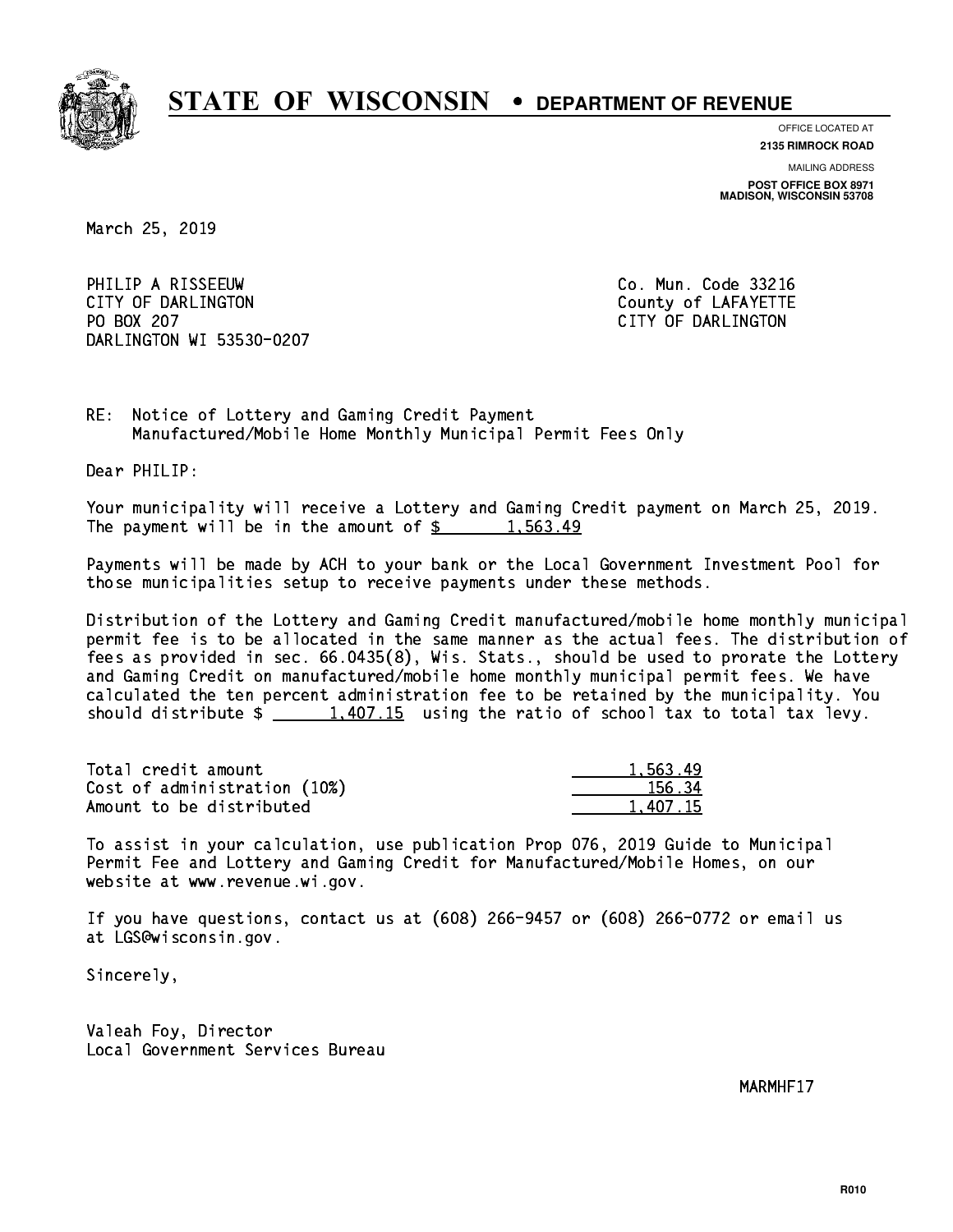

**OFFICE LOCATED AT 2135 RIMROCK ROAD**

**MAILING ADDRESS POST OFFICE BOX 8971 MADISON, WISCONSIN 53708**

March 25, 2019

PHILIP A RISSEEUW Co. Mun. Code 33216 CITY OF DARLINGTON County of LAFAYETTE PO BOX 207 DARLINGTON WI 53530-0207

CITY OF DARLINGTON

RE: Notice of Lottery and Gaming Credit Payment Manufactured/Mobile Home Monthly Municipal Permit Fees Only

Dear PHILIP:

 Your municipality will receive a Lottery and Gaming Credit payment on March 25, 2019. The payment will be in the amount of  $\frac{2}{3}$  1,563.49

 Payments will be made by ACH to your bank or the Local Government Investment Pool for those municipalities setup to receive payments under these methods.

 Distribution of the Lottery and Gaming Credit manufactured/mobile home monthly municipal permit fee is to be allocated in the same manner as the actual fees. The distribution of fees as provided in sec. 66.0435(8), Wis. Stats., should be used to prorate the Lottery and Gaming Credit on manufactured/mobile home monthly municipal permit fees. We have calculated the ten percent administration fee to be retained by the municipality. You should distribute  $\frac{1,407.15}{1,407.15}$  using the ratio of school tax to total tax levy.

| Total credit amount          | 1,563.49 |
|------------------------------|----------|
| Cost of administration (10%) | 156.34   |
| Amount to be distributed     | 1.407.15 |

 To assist in your calculation, use publication Prop 076, 2019 Guide to Municipal Permit Fee and Lottery and Gaming Credit for Manufactured/Mobile Homes, on our website at www.revenue.wi.gov.

 If you have questions, contact us at (608) 266-9457 or (608) 266-0772 or email us at LGS@wisconsin.gov.

Sincerely,

 Valeah Foy, Director Local Government Services Bureau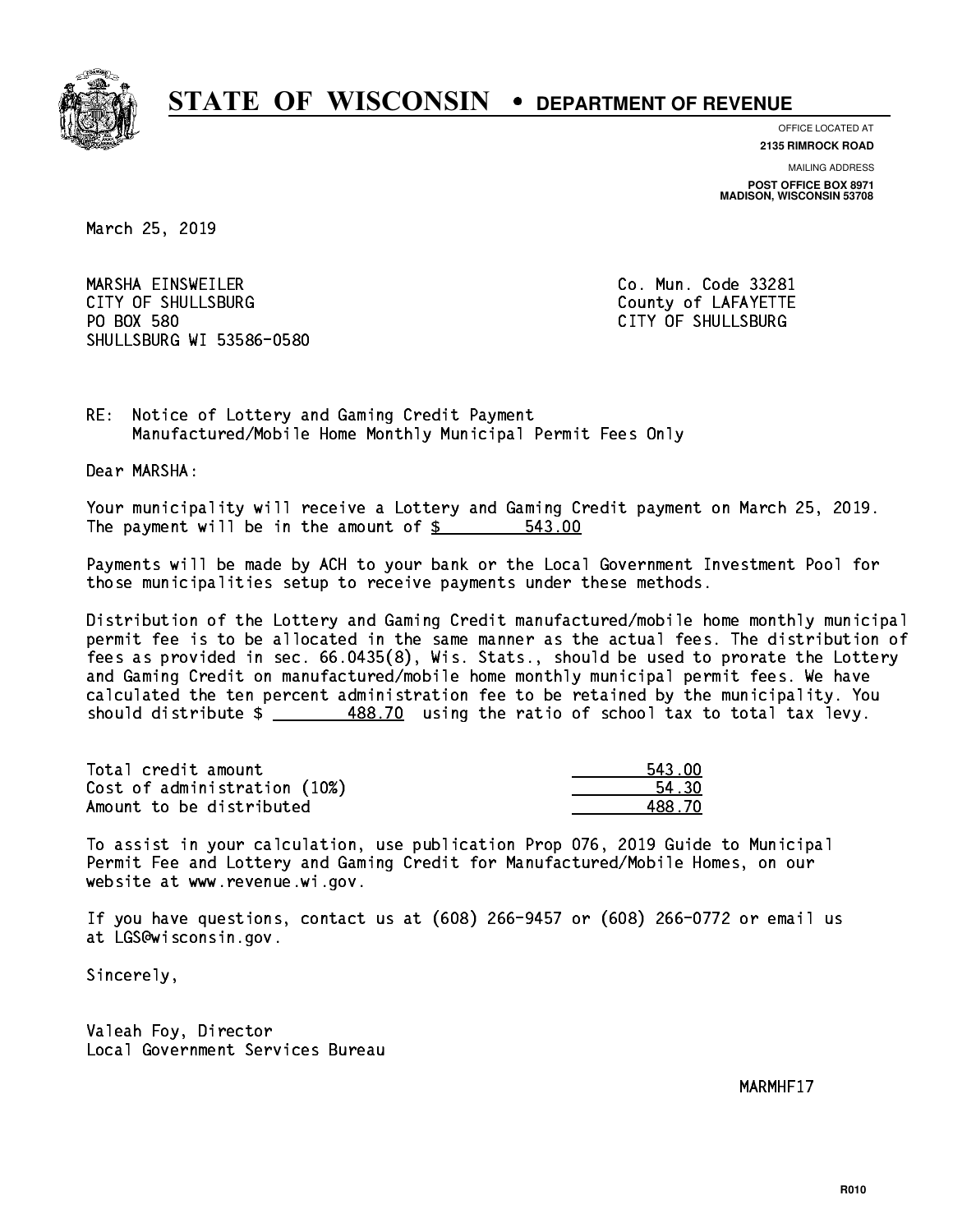

**OFFICE LOCATED AT**

**2135 RIMROCK ROAD**

**MAILING ADDRESS POST OFFICE BOX 8971 MADISON, WISCONSIN 53708**

March 25, 2019

 MARSHA EINSWEILER Co. Mun. Code 33281 CITY OF SHULLSBURG COUNTY COUNTY OF LAFAYETTE PO BOX 580 SHULLSBURG WI 53586-0580

CITY OF SHULLSBURG

RE: Notice of Lottery and Gaming Credit Payment Manufactured/Mobile Home Monthly Municipal Permit Fees Only

Dear MARSHA:

 Your municipality will receive a Lottery and Gaming Credit payment on March 25, 2019. The payment will be in the amount of \$ 543.00 \_\_\_\_\_\_\_\_\_\_\_\_\_\_\_\_

 Payments will be made by ACH to your bank or the Local Government Investment Pool for those municipalities setup to receive payments under these methods.

 Distribution of the Lottery and Gaming Credit manufactured/mobile home monthly municipal permit fee is to be allocated in the same manner as the actual fees. The distribution of fees as provided in sec. 66.0435(8), Wis. Stats., should be used to prorate the Lottery and Gaming Credit on manufactured/mobile home monthly municipal permit fees. We have calculated the ten percent administration fee to be retained by the municipality. You should distribute  $\frac{488.70}{1}$  using the ratio of school tax to total tax levy.

| Total credit amount          | 543.00 |
|------------------------------|--------|
| Cost of administration (10%) | 54.30  |
| Amount to be distributed     | 488.70 |

 To assist in your calculation, use publication Prop 076, 2019 Guide to Municipal Permit Fee and Lottery and Gaming Credit for Manufactured/Mobile Homes, on our website at www.revenue.wi.gov.

 If you have questions, contact us at (608) 266-9457 or (608) 266-0772 or email us at LGS@wisconsin.gov.

Sincerely,

 Valeah Foy, Director Local Government Services Bureau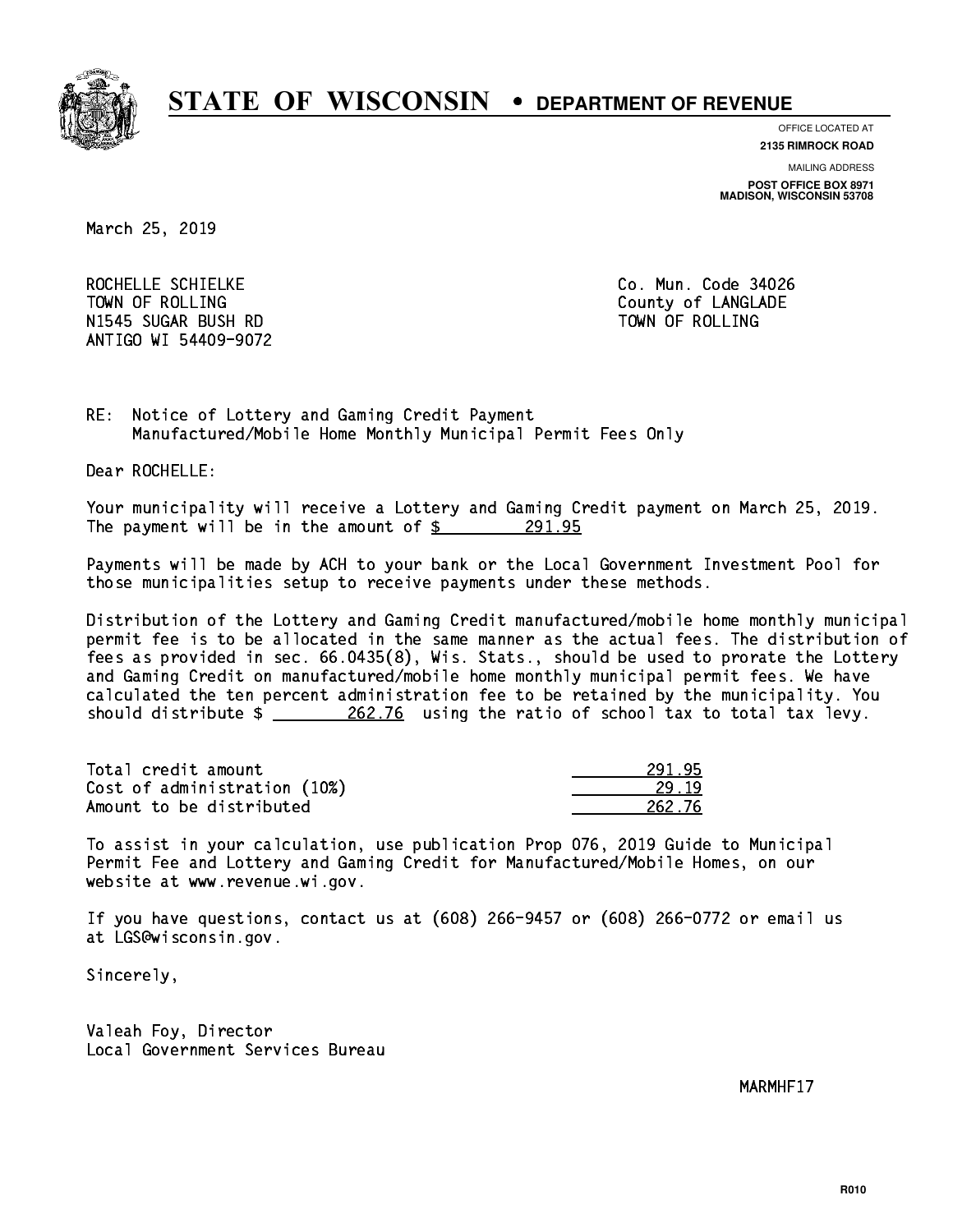

**OFFICE LOCATED AT**

**2135 RIMROCK ROAD**

**MAILING ADDRESS POST OFFICE BOX 8971 MADISON, WISCONSIN 53708**

March 25, 2019

ROCHELLE SCHIELKE CO. Mun. Code 34026 TOWN OF ROLLING **COUNTY OF ROLLING** N1545 SUGAR BUSH RD TOWN OF ROLLING ANTIGO WI 54409-9072

RE: Notice of Lottery and Gaming Credit Payment Manufactured/Mobile Home Monthly Municipal Permit Fees Only

Dear ROCHELLE:

 Your municipality will receive a Lottery and Gaming Credit payment on March 25, 2019. The payment will be in the amount of  $\frac{291.95}{291.95}$ 

 Payments will be made by ACH to your bank or the Local Government Investment Pool for those municipalities setup to receive payments under these methods.

 Distribution of the Lottery and Gaming Credit manufactured/mobile home monthly municipal permit fee is to be allocated in the same manner as the actual fees. The distribution of fees as provided in sec. 66.0435(8), Wis. Stats., should be used to prorate the Lottery and Gaming Credit on manufactured/mobile home monthly municipal permit fees. We have calculated the ten percent administration fee to be retained by the municipality. You should distribute  $\frac{262.76}{202.76}$  using the ratio of school tax to total tax levy.

Total credit amount Cost of administration (10%) Amount to be distributed

| o            |
|--------------|
| 32. 76<br>., |

 To assist in your calculation, use publication Prop 076, 2019 Guide to Municipal Permit Fee and Lottery and Gaming Credit for Manufactured/Mobile Homes, on our website at www.revenue.wi.gov.

 If you have questions, contact us at (608) 266-9457 or (608) 266-0772 or email us at LGS@wisconsin.gov.

Sincerely,

 Valeah Foy, Director Local Government Services Bureau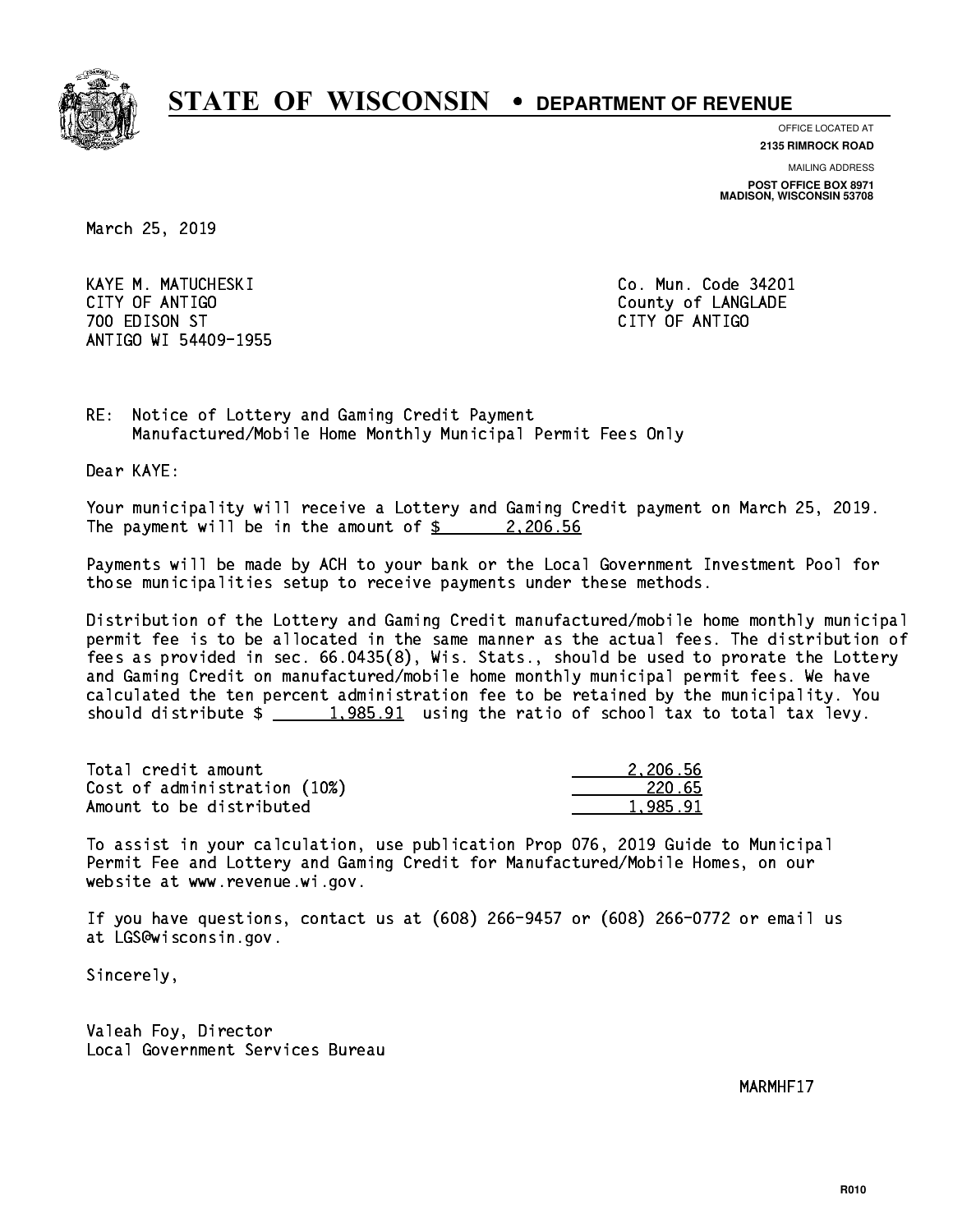

**OFFICE LOCATED AT**

**2135 RIMROCK ROAD**

**MAILING ADDRESS**

**POST OFFICE BOX 8971 MADISON, WISCONSIN 53708**

March 25, 2019

 KAYE M. MATUCHESKI Co. Mun. Code 34201 CITY OF ANTIGO COUNTY OF ANTIGO 700 EDISON ST CITY OF ANTIGO ANTIGO WI 54409-1955

RE: Notice of Lottery and Gaming Credit Payment Manufactured/Mobile Home Monthly Municipal Permit Fees Only

Dear KAYE:

 Your municipality will receive a Lottery and Gaming Credit payment on March 25, 2019. The payment will be in the amount of  $\frac{2}{3}$  2,206.56

 Payments will be made by ACH to your bank or the Local Government Investment Pool for those municipalities setup to receive payments under these methods.

 Distribution of the Lottery and Gaming Credit manufactured/mobile home monthly municipal permit fee is to be allocated in the same manner as the actual fees. The distribution of fees as provided in sec. 66.0435(8), Wis. Stats., should be used to prorate the Lottery and Gaming Credit on manufactured/mobile home monthly municipal permit fees. We have calculated the ten percent administration fee to be retained by the municipality. You should distribute  $\frac{1,985.91}{1,985.91}$  using the ratio of school tax to total tax levy.

| Total credit amount          | 2.206.56 |
|------------------------------|----------|
| Cost of administration (10%) | 220.65   |
| Amount to be distributed     | 1.985.91 |

 To assist in your calculation, use publication Prop 076, 2019 Guide to Municipal Permit Fee and Lottery and Gaming Credit for Manufactured/Mobile Homes, on our website at www.revenue.wi.gov.

 If you have questions, contact us at (608) 266-9457 or (608) 266-0772 or email us at LGS@wisconsin.gov.

Sincerely,

 Valeah Foy, Director Local Government Services Bureau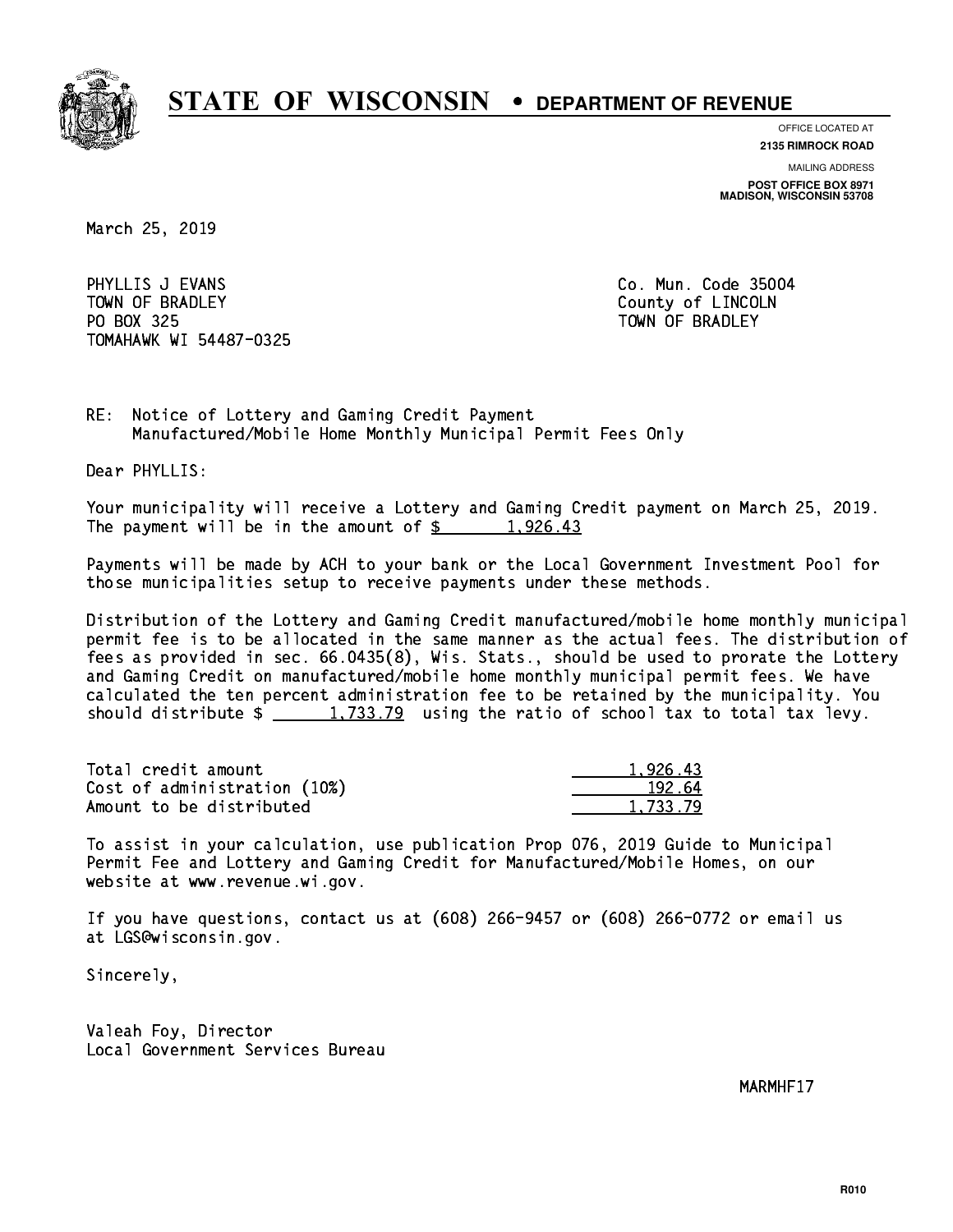

**OFFICE LOCATED AT**

**2135 RIMROCK ROAD**

**MAILING ADDRESS POST OFFICE BOX 8971 MADISON, WISCONSIN 53708**

March 25, 2019

PHYLLIS J EVANS **Co. Mun. Code 35004** TOWN OF BRADLEY **COUNTY COULD AND ACCOUNT OF COULD A** PO BOX 325 PO BOX 325 TOWN OF BRADLEY TOMAHAWK WI 54487-0325

RE: Notice of Lottery and Gaming Credit Payment Manufactured/Mobile Home Monthly Municipal Permit Fees Only

Dear PHYLLIS:

 Your municipality will receive a Lottery and Gaming Credit payment on March 25, 2019. The payment will be in the amount of  $\frac{2}{3}$  1,926.43

 Payments will be made by ACH to your bank or the Local Government Investment Pool for those municipalities setup to receive payments under these methods.

 Distribution of the Lottery and Gaming Credit manufactured/mobile home monthly municipal permit fee is to be allocated in the same manner as the actual fees. The distribution of fees as provided in sec. 66.0435(8), Wis. Stats., should be used to prorate the Lottery and Gaming Credit on manufactured/mobile home monthly municipal permit fees. We have calculated the ten percent administration fee to be retained by the municipality. You should distribute  $\frac{1,733.79}{2}$  using the ratio of school tax to total tax levy.

| Total credit amount          | 1.926.43 |
|------------------------------|----------|
| Cost of administration (10%) | 192.64   |
| Amount to be distributed     | 1.733.79 |

 To assist in your calculation, use publication Prop 076, 2019 Guide to Municipal Permit Fee and Lottery and Gaming Credit for Manufactured/Mobile Homes, on our website at www.revenue.wi.gov.

 If you have questions, contact us at (608) 266-9457 or (608) 266-0772 or email us at LGS@wisconsin.gov.

Sincerely,

 Valeah Foy, Director Local Government Services Bureau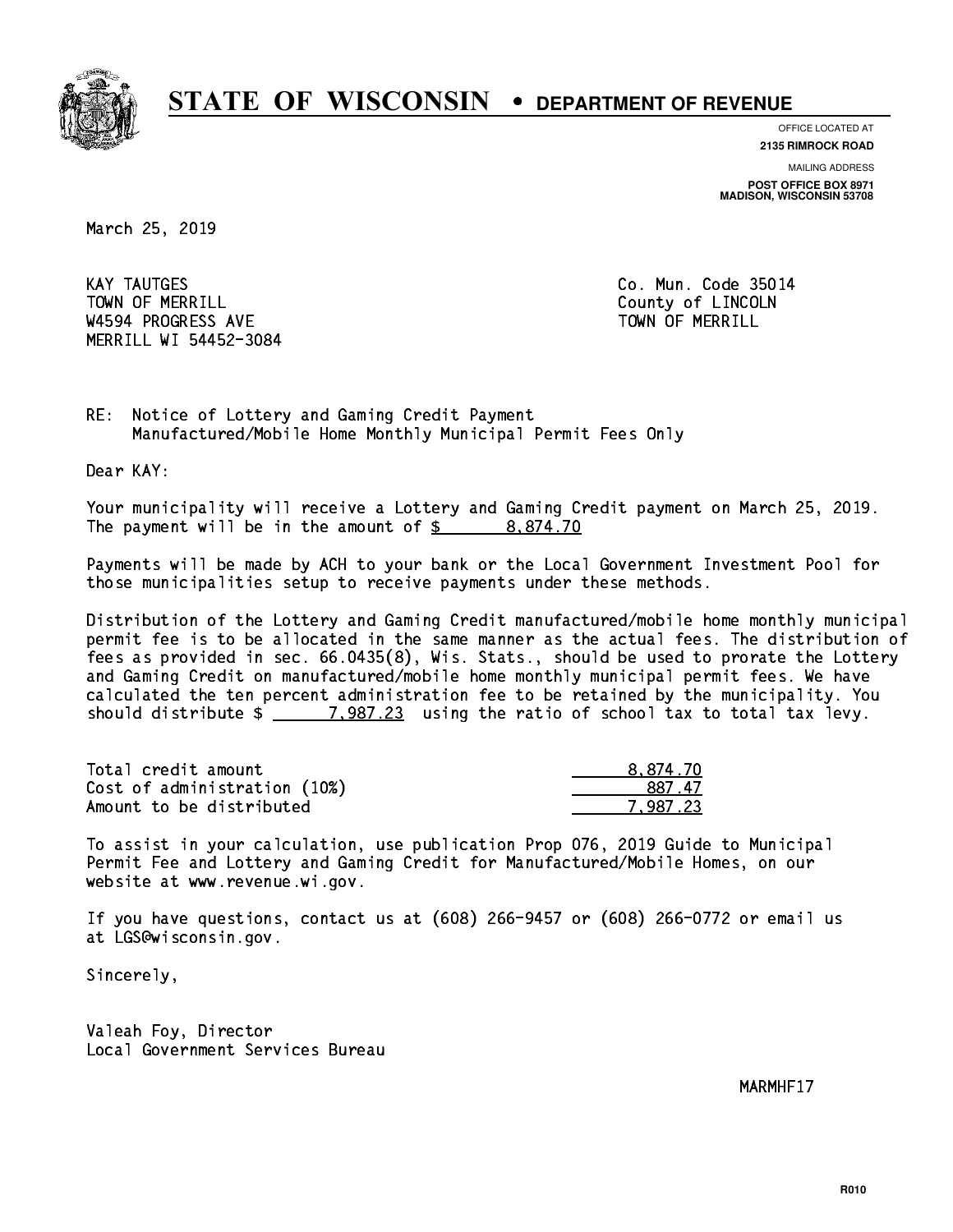

**OFFICE LOCATED AT**

**2135 RIMROCK ROAD**

**MAILING ADDRESS POST OFFICE BOX 8971 MADISON, WISCONSIN 53708**

March 25, 2019

**KAY TAUTGES** TOWN OF MERRILL **TOWN OF MERRILL** W4594 PROGRESS AVE TOWN OF MERRILL MERRILL WI 54452-3084

Co. Mun. Code 35014

RE: Notice of Lottery and Gaming Credit Payment Manufactured/Mobile Home Monthly Municipal Permit Fees Only

Dear KAY:

 Your municipality will receive a Lottery and Gaming Credit payment on March 25, 2019. The payment will be in the amount of  $\frac{2}{3}$  8,874.70

 Payments will be made by ACH to your bank or the Local Government Investment Pool for those municipalities setup to receive payments under these methods.

 Distribution of the Lottery and Gaming Credit manufactured/mobile home monthly municipal permit fee is to be allocated in the same manner as the actual fees. The distribution of fees as provided in sec. 66.0435(8), Wis. Stats., should be used to prorate the Lottery and Gaming Credit on manufactured/mobile home monthly municipal permit fees. We have calculated the ten percent administration fee to be retained by the municipality. You should distribute  $\frac{2}{2}$   $\frac{7,987.23}{2}$  using the ratio of school tax to total tax levy.

| Total credit amount          | 8.874.70 |
|------------------------------|----------|
| Cost of administration (10%) | 887 47   |
| Amount to be distributed     | 7.987.23 |

 To assist in your calculation, use publication Prop 076, 2019 Guide to Municipal Permit Fee and Lottery and Gaming Credit for Manufactured/Mobile Homes, on our website at www.revenue.wi.gov.

 If you have questions, contact us at (608) 266-9457 or (608) 266-0772 or email us at LGS@wisconsin.gov.

Sincerely,

 Valeah Foy, Director Local Government Services Bureau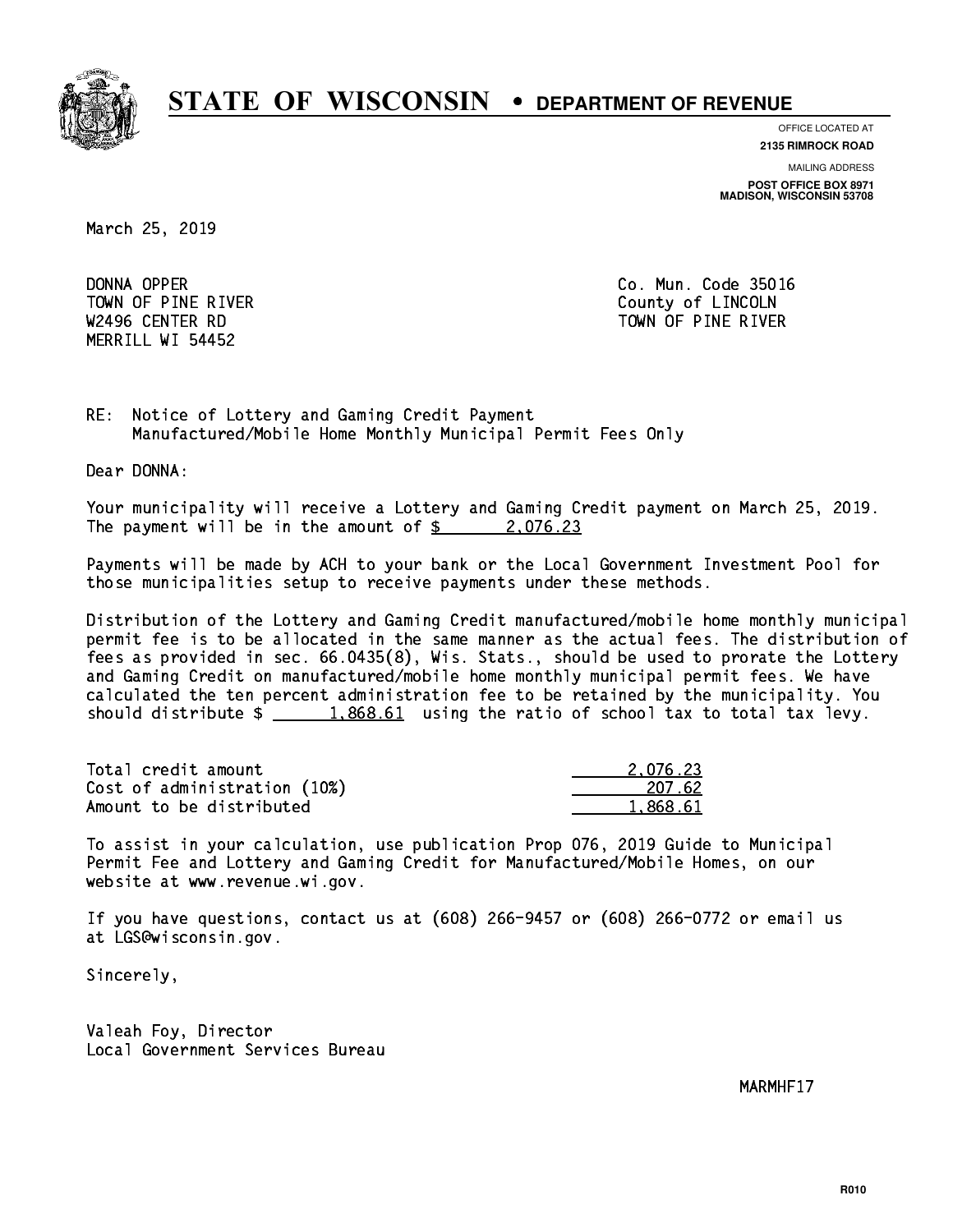

**OFFICE LOCATED AT**

**2135 RIMROCK ROAD**

**MAILING ADDRESS POST OFFICE BOX 8971 MADISON, WISCONSIN 53708**

March 25, 2019

DONNA OPPER TOWN OF PINE RIVER **COUNTY COUNTY OF LINCOLN** MERRILL WI 54452

Co. Mun. Code 35016 W2496 CENTER RD TOWN OF PINE RIVER

RE: Notice of Lottery and Gaming Credit Payment Manufactured/Mobile Home Monthly Municipal Permit Fees Only

Dear DONNA:

 Your municipality will receive a Lottery and Gaming Credit payment on March 25, 2019. The payment will be in the amount of  $\frac{2.076.23}{2.022}$ 

 Payments will be made by ACH to your bank or the Local Government Investment Pool for those municipalities setup to receive payments under these methods.

 Distribution of the Lottery and Gaming Credit manufactured/mobile home monthly municipal permit fee is to be allocated in the same manner as the actual fees. The distribution of fees as provided in sec. 66.0435(8), Wis. Stats., should be used to prorate the Lottery and Gaming Credit on manufactured/mobile home monthly municipal permit fees. We have calculated the ten percent administration fee to be retained by the municipality. You should distribute  $\frac{1,868.61}{1,868.61}$  using the ratio of school tax to total tax levy.

| Total credit amount          | 2.076.23 |
|------------------------------|----------|
| Cost of administration (10%) | 207.62   |
| Amount to be distributed     | 1,868.61 |

 To assist in your calculation, use publication Prop 076, 2019 Guide to Municipal Permit Fee and Lottery and Gaming Credit for Manufactured/Mobile Homes, on our website at www.revenue.wi.gov.

 If you have questions, contact us at (608) 266-9457 or (608) 266-0772 or email us at LGS@wisconsin.gov.

Sincerely,

 Valeah Foy, Director Local Government Services Bureau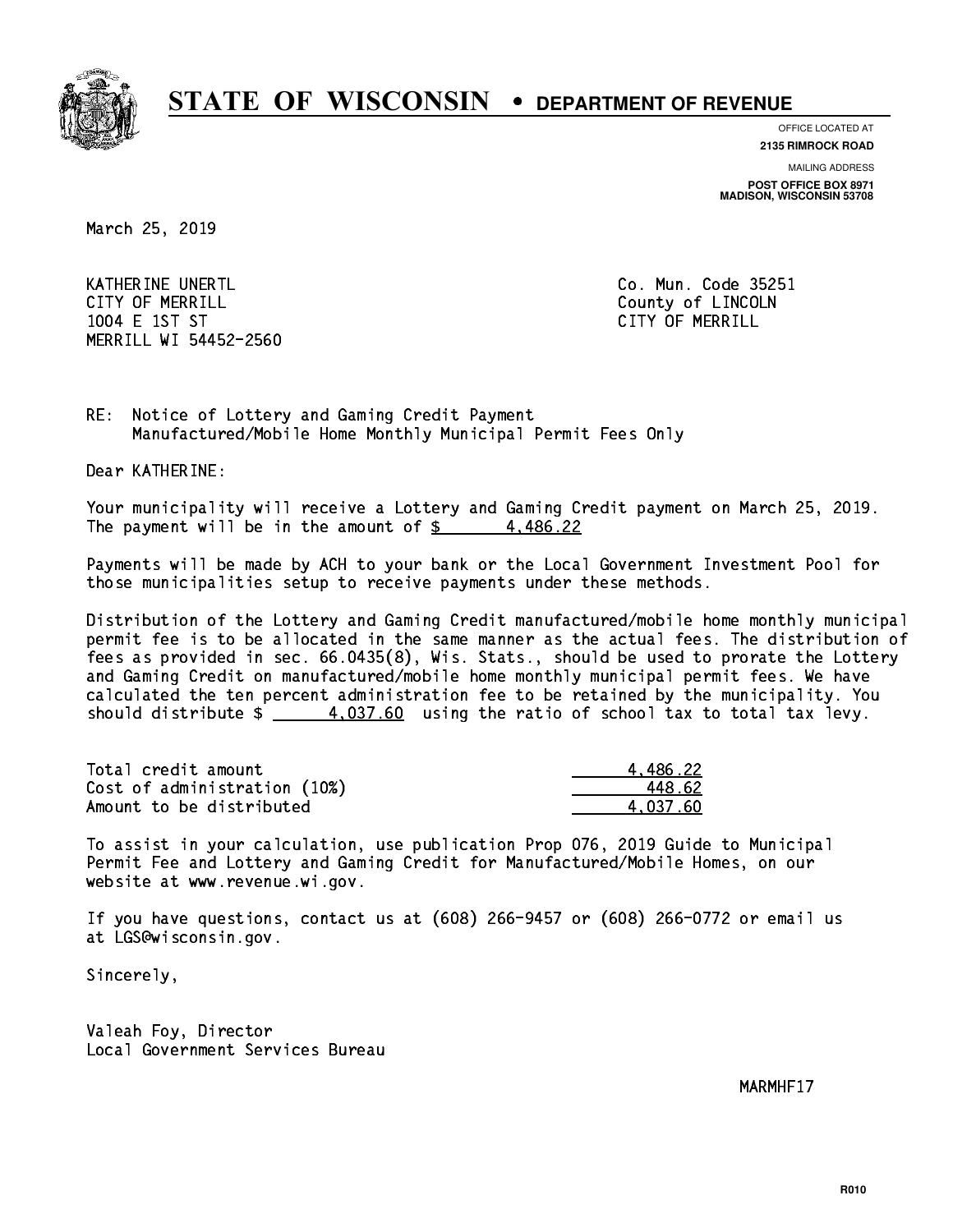

**OFFICE LOCATED AT**

**2135 RIMROCK ROAD**

**MAILING ADDRESS POST OFFICE BOX 8971 MADISON, WISCONSIN 53708**

March 25, 2019

KATHERINE UNERTL Communication of the contract of the contract of the code 25251 CITY OF MERRILL **COUNTY COUNTY OF LINCOLN**  1004 E 1ST ST CITY OF MERRILL MERRILL WI 54452-2560

RE: Notice of Lottery and Gaming Credit Payment Manufactured/Mobile Home Monthly Municipal Permit Fees Only

Dear KATHERINE:

 Your municipality will receive a Lottery and Gaming Credit payment on March 25, 2019. The payment will be in the amount of  $\frac{2}{3}$  4,486.22

 Payments will be made by ACH to your bank or the Local Government Investment Pool for those municipalities setup to receive payments under these methods.

 Distribution of the Lottery and Gaming Credit manufactured/mobile home monthly municipal permit fee is to be allocated in the same manner as the actual fees. The distribution of fees as provided in sec. 66.0435(8), Wis. Stats., should be used to prorate the Lottery and Gaming Credit on manufactured/mobile home monthly municipal permit fees. We have calculated the ten percent administration fee to be retained by the municipality. You should distribute  $\frac{4.037.60}{2}$  using the ratio of school tax to total tax levy.

| Total credit amount          | 4.486.22 |
|------------------------------|----------|
| Cost of administration (10%) | 448.62   |
| Amount to be distributed     | 4.037.60 |

 To assist in your calculation, use publication Prop 076, 2019 Guide to Municipal Permit Fee and Lottery and Gaming Credit for Manufactured/Mobile Homes, on our website at www.revenue.wi.gov.

 If you have questions, contact us at (608) 266-9457 or (608) 266-0772 or email us at LGS@wisconsin.gov.

Sincerely,

 Valeah Foy, Director Local Government Services Bureau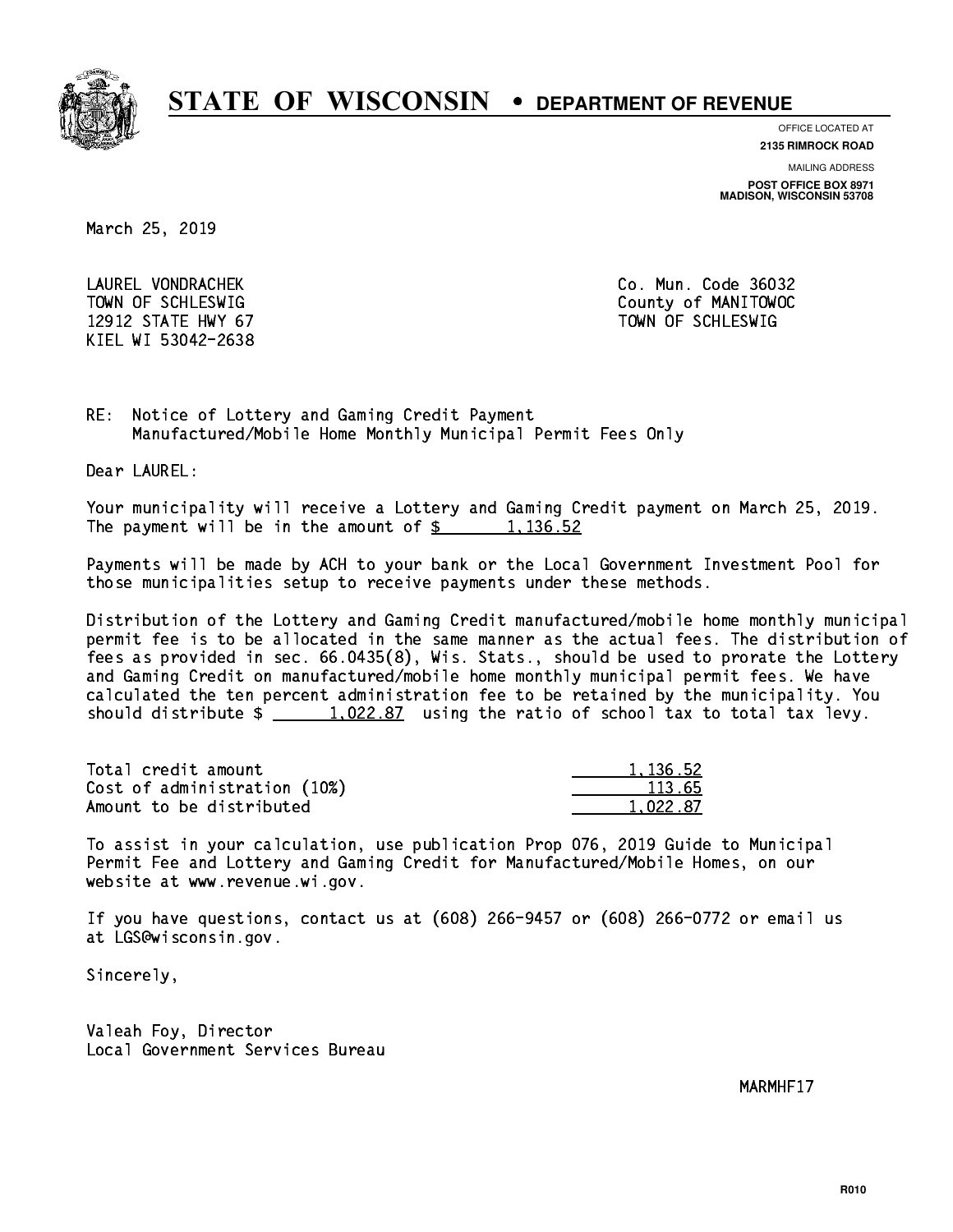

**OFFICE LOCATED AT**

**2135 RIMROCK ROAD**

**MAILING ADDRESS**

**POST OFFICE BOX 8971 MADISON, WISCONSIN 53708**

March 25, 2019

 LAUREL VONDRACHEK Co. Mun. Code 36032 12912 STATE HWY 67 TOWN OF SCHLESWIG KIEL WI 53042-2638

TOWN OF SCHLESWIG County of MANITOWOC

RE: Notice of Lottery and Gaming Credit Payment Manufactured/Mobile Home Monthly Municipal Permit Fees Only

Dear LAUREL:

 Your municipality will receive a Lottery and Gaming Credit payment on March 25, 2019. The payment will be in the amount of  $\frac{2}{3}$  1,136.52

 Payments will be made by ACH to your bank or the Local Government Investment Pool for those municipalities setup to receive payments under these methods.

 Distribution of the Lottery and Gaming Credit manufactured/mobile home monthly municipal permit fee is to be allocated in the same manner as the actual fees. The distribution of fees as provided in sec. 66.0435(8), Wis. Stats., should be used to prorate the Lottery and Gaming Credit on manufactured/mobile home monthly municipal permit fees. We have calculated the ten percent administration fee to be retained by the municipality. You should distribute  $\frac{1.022.87}{1.022.87}$  using the ratio of school tax to total tax levy.

| Total credit amount          | 1,136.52 |
|------------------------------|----------|
| Cost of administration (10%) | 113.65   |
| Amount to be distributed     | 1.022.87 |

 To assist in your calculation, use publication Prop 076, 2019 Guide to Municipal Permit Fee and Lottery and Gaming Credit for Manufactured/Mobile Homes, on our website at www.revenue.wi.gov.

 If you have questions, contact us at (608) 266-9457 or (608) 266-0772 or email us at LGS@wisconsin.gov.

Sincerely,

 Valeah Foy, Director Local Government Services Bureau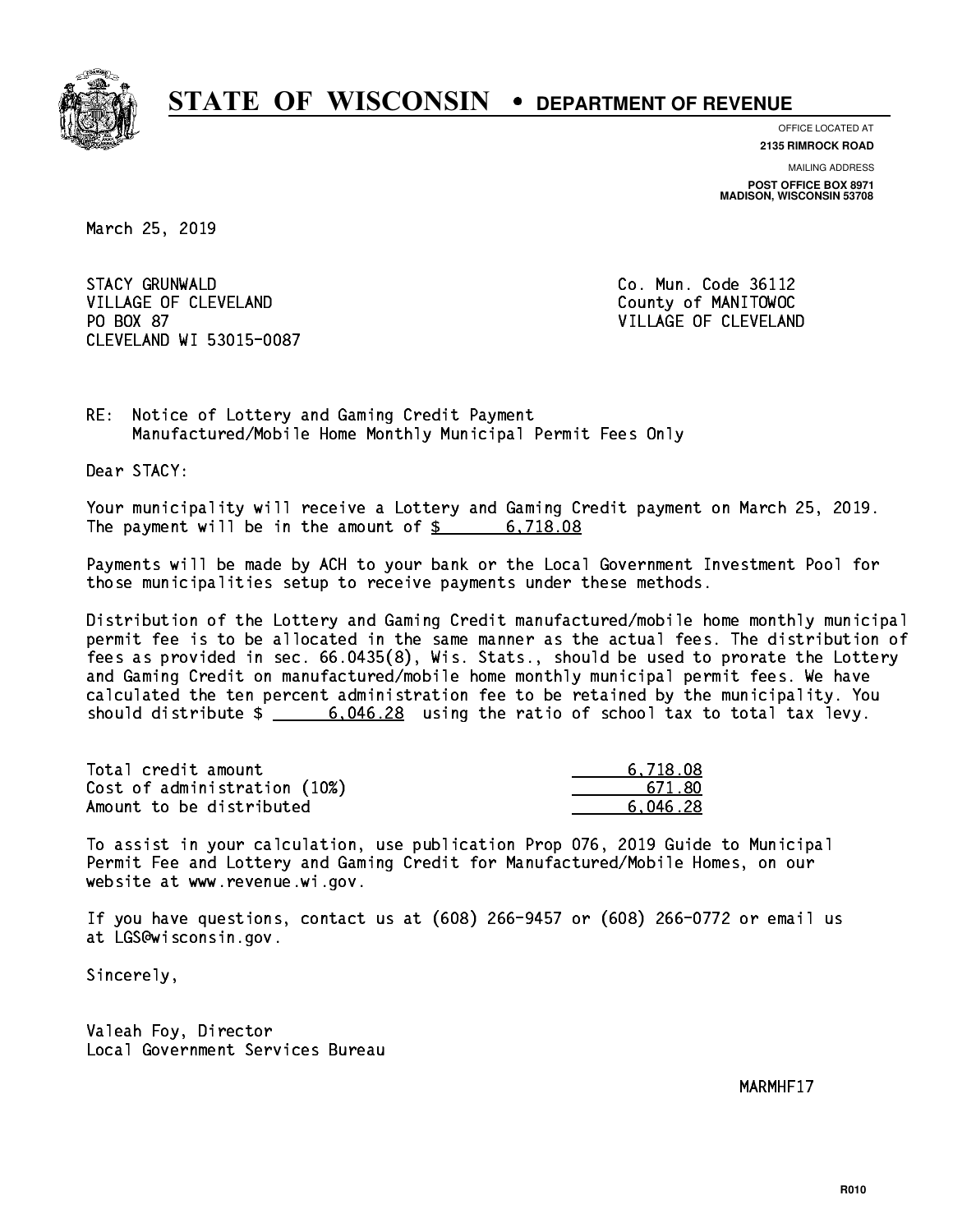

**OFFICE LOCATED AT 2135 RIMROCK ROAD**

**MAILING ADDRESS POST OFFICE BOX 8971 MADISON, WISCONSIN 53708**

March 25, 2019

**STACY GRUNWALD** VILLAGE OF CLEVELAND County of MANITOWOC PO BOX 87 CLEVELAND WI 53015-0087

Co. Mun. Code 36112 VILLAGE OF CLEVELAND

RE: Notice of Lottery and Gaming Credit Payment Manufactured/Mobile Home Monthly Municipal Permit Fees Only

Dear STACY:

 Your municipality will receive a Lottery and Gaming Credit payment on March 25, 2019. The payment will be in the amount of  $\frac{2}{3}$  6,718.08

 Payments will be made by ACH to your bank or the Local Government Investment Pool for those municipalities setup to receive payments under these methods.

 Distribution of the Lottery and Gaming Credit manufactured/mobile home monthly municipal permit fee is to be allocated in the same manner as the actual fees. The distribution of fees as provided in sec. 66.0435(8), Wis. Stats., should be used to prorate the Lottery and Gaming Credit on manufactured/mobile home monthly municipal permit fees. We have calculated the ten percent administration fee to be retained by the municipality. You should distribute  $\frac{20}{1000}$   $\frac{6.046.28}{2000}$  using the ratio of school tax to total tax levy.

| Total credit amount          | 6.718.08 |
|------------------------------|----------|
| Cost of administration (10%) | 671.80   |
| Amount to be distributed     | 6.046.28 |

 To assist in your calculation, use publication Prop 076, 2019 Guide to Municipal Permit Fee and Lottery and Gaming Credit for Manufactured/Mobile Homes, on our website at www.revenue.wi.gov.

 If you have questions, contact us at (608) 266-9457 or (608) 266-0772 or email us at LGS@wisconsin.gov.

Sincerely,

 Valeah Foy, Director Local Government Services Bureau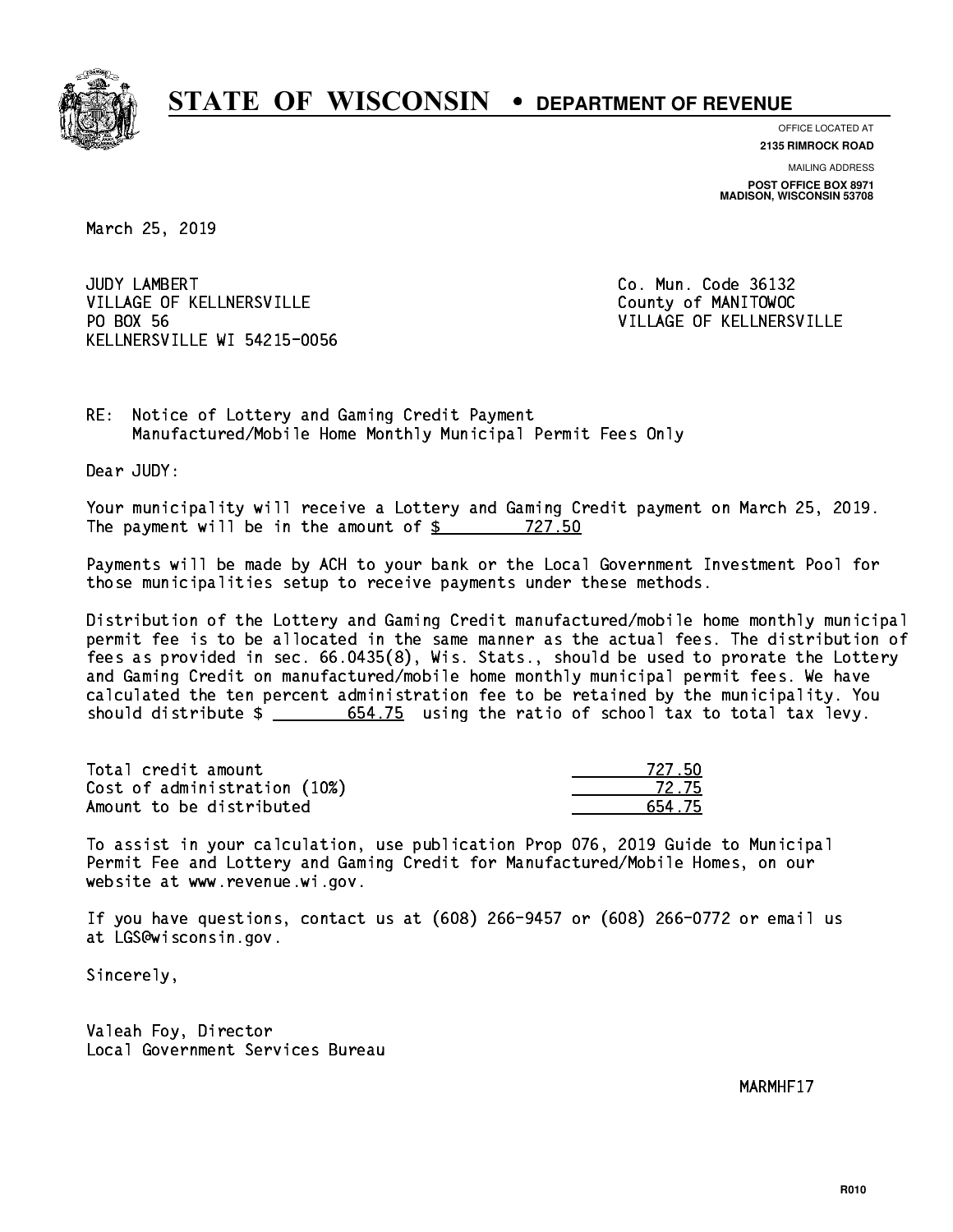

**OFFICE LOCATED AT**

**2135 RIMROCK ROAD**

**MAILING ADDRESS POST OFFICE BOX 8971 MADISON, WISCONSIN 53708**

March 25, 2019

JUDY LAMBERT VILLAGE OF KELLNERSVILLE COUNTY OF MANITOWOC PO BOX 56 KELLNERSVILLE WI 54215-0056

Co. Mun. Code 36132 VILLAGE OF KELLNERSVILLE

RE: Notice of Lottery and Gaming Credit Payment Manufactured/Mobile Home Monthly Municipal Permit Fees Only

Dear JUDY:

 Your municipality will receive a Lottery and Gaming Credit payment on March 25, 2019. The payment will be in the amount of  $\frac{27.50}{27.50}$ 

 Payments will be made by ACH to your bank or the Local Government Investment Pool for those municipalities setup to receive payments under these methods.

 Distribution of the Lottery and Gaming Credit manufactured/mobile home monthly municipal permit fee is to be allocated in the same manner as the actual fees. The distribution of fees as provided in sec. 66.0435(8), Wis. Stats., should be used to prorate the Lottery and Gaming Credit on manufactured/mobile home monthly municipal permit fees. We have calculated the ten percent administration fee to be retained by the municipality. You should distribute  $\frac{2}{1}$   $\frac{654.75}{2}$  using the ratio of school tax to total tax levy.

Total credit amount Cost of administration (10%) Amount to be distributed

| 727 50 |
|--------|
| 72.75  |
| - 75   |

 To assist in your calculation, use publication Prop 076, 2019 Guide to Municipal Permit Fee and Lottery and Gaming Credit for Manufactured/Mobile Homes, on our website at www.revenue.wi.gov.

 If you have questions, contact us at (608) 266-9457 or (608) 266-0772 or email us at LGS@wisconsin.gov.

Sincerely,

 Valeah Foy, Director Local Government Services Bureau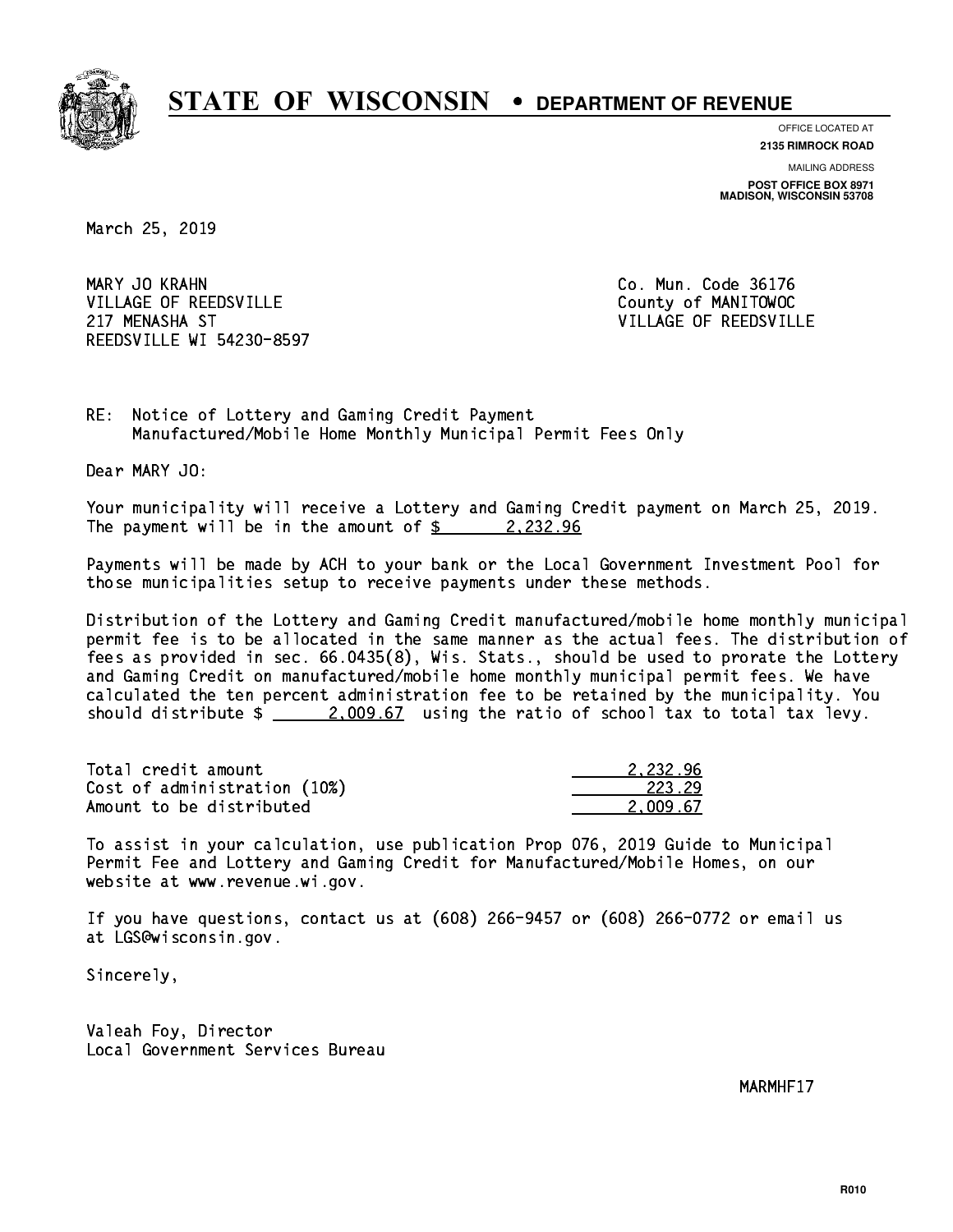

**OFFICE LOCATED AT**

**2135 RIMROCK ROAD**

**MAILING ADDRESS POST OFFICE BOX 8971 MADISON, WISCONSIN 53708**

March 25, 2019

MARY JO KRAHN VILLAGE OF REEDSVILLE COUNTY OF MANITOWOC 217 MENASHA ST VILLAGE OF REEDSVILLE REEDSVILLE WI 54230-8597

Co. Mun. Code 36176

RE: Notice of Lottery and Gaming Credit Payment Manufactured/Mobile Home Monthly Municipal Permit Fees Only

Dear MARY JO:

 Your municipality will receive a Lottery and Gaming Credit payment on March 25, 2019. The payment will be in the amount of  $\frac{2}{3}$  2,232.96

 Payments will be made by ACH to your bank or the Local Government Investment Pool for those municipalities setup to receive payments under these methods.

 Distribution of the Lottery and Gaming Credit manufactured/mobile home monthly municipal permit fee is to be allocated in the same manner as the actual fees. The distribution of fees as provided in sec. 66.0435(8), Wis. Stats., should be used to prorate the Lottery and Gaming Credit on manufactured/mobile home monthly municipal permit fees. We have calculated the ten percent administration fee to be retained by the municipality. You should distribute  $\frac{2,009.67}{2}$  using the ratio of school tax to total tax levy.

| Total credit amount          | 2.232.96 |
|------------------------------|----------|
| Cost of administration (10%) | 223.29   |
| Amount to be distributed     | 2.009.67 |

 To assist in your calculation, use publication Prop 076, 2019 Guide to Municipal Permit Fee and Lottery and Gaming Credit for Manufactured/Mobile Homes, on our website at www.revenue.wi.gov.

 If you have questions, contact us at (608) 266-9457 or (608) 266-0772 or email us at LGS@wisconsin.gov.

Sincerely,

 Valeah Foy, Director Local Government Services Bureau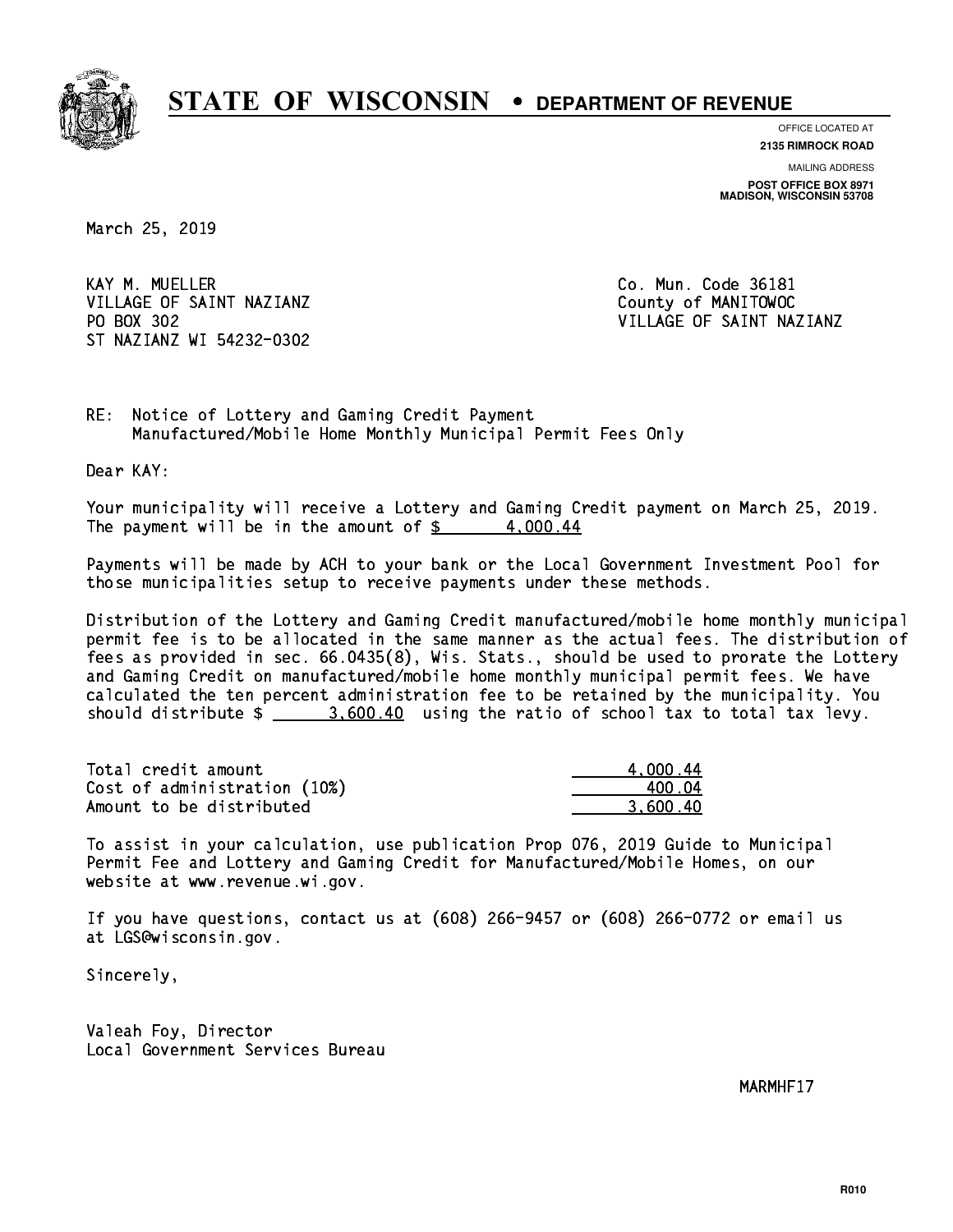

**OFFICE LOCATED AT 2135 RIMROCK ROAD**

**MAILING ADDRESS**

**POST OFFICE BOX 8971 MADISON, WISCONSIN 53708**

March 25, 2019

KAY M. MUELLER VILLAGE OF SAINT NAZIANZ County of MANITOWOC PO BOX 302 ST NAZIANZ WI 54232-0302

Co. Mun. Code 36181 VILLAGE OF SAINT NAZIANZ

RE: Notice of Lottery and Gaming Credit Payment Manufactured/Mobile Home Monthly Municipal Permit Fees Only

Dear KAY:

 Your municipality will receive a Lottery and Gaming Credit payment on March 25, 2019. The payment will be in the amount of  $\frac{2}{3}$  4,000.44

 Payments will be made by ACH to your bank or the Local Government Investment Pool for those municipalities setup to receive payments under these methods.

 Distribution of the Lottery and Gaming Credit manufactured/mobile home monthly municipal permit fee is to be allocated in the same manner as the actual fees. The distribution of fees as provided in sec. 66.0435(8), Wis. Stats., should be used to prorate the Lottery and Gaming Credit on manufactured/mobile home monthly municipal permit fees. We have calculated the ten percent administration fee to be retained by the municipality. You should distribute  $\frac{2}{2}$   $\frac{3,600.40}{2}$  using the ratio of school tax to total tax levy.

| Total credit amount          | 4.000.44 |
|------------------------------|----------|
| Cost of administration (10%) | 400 N4   |
| Amount to be distributed     | 3.600.40 |

 To assist in your calculation, use publication Prop 076, 2019 Guide to Municipal Permit Fee and Lottery and Gaming Credit for Manufactured/Mobile Homes, on our website at www.revenue.wi.gov.

 If you have questions, contact us at (608) 266-9457 or (608) 266-0772 or email us at LGS@wisconsin.gov.

Sincerely,

 Valeah Foy, Director Local Government Services Bureau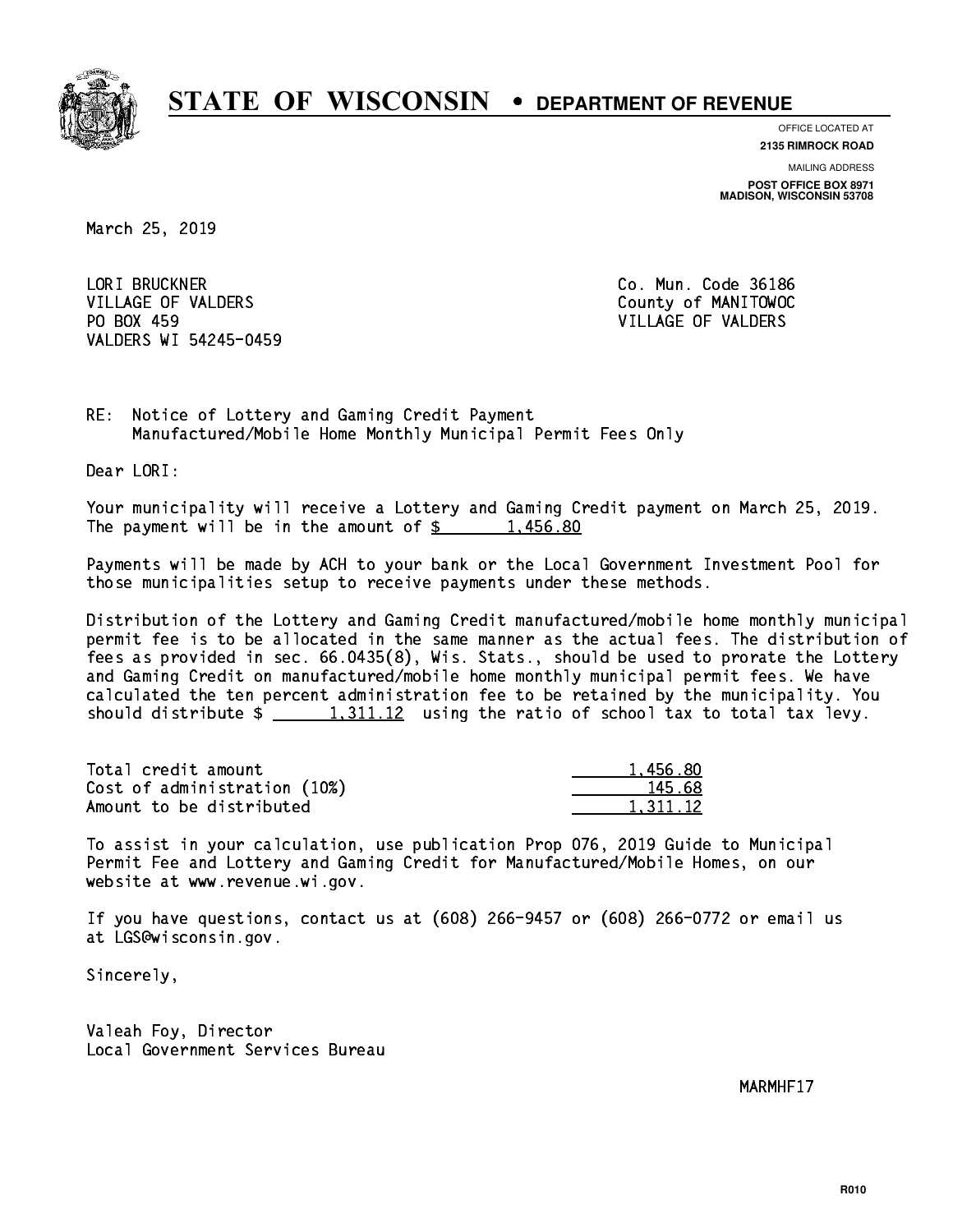

**OFFICE LOCATED AT**

**2135 RIMROCK ROAD**

**MAILING ADDRESS POST OFFICE BOX 8971 MADISON, WISCONSIN 53708**

March 25, 2019

 LORI BRUCKNER Co. Mun. Code 36186 VILLAGE OF VALDERS County of MANITOWOC PO BOX 459 VILLAGE OF VALDERS VALDERS WI 54245-0459

RE: Notice of Lottery and Gaming Credit Payment Manufactured/Mobile Home Monthly Municipal Permit Fees Only

Dear LORI:

 Your municipality will receive a Lottery and Gaming Credit payment on March 25, 2019. The payment will be in the amount of  $\frac{2}{3}$  1,456.80

 Payments will be made by ACH to your bank or the Local Government Investment Pool for those municipalities setup to receive payments under these methods.

 Distribution of the Lottery and Gaming Credit manufactured/mobile home monthly municipal permit fee is to be allocated in the same manner as the actual fees. The distribution of fees as provided in sec. 66.0435(8), Wis. Stats., should be used to prorate the Lottery and Gaming Credit on manufactured/mobile home monthly municipal permit fees. We have calculated the ten percent administration fee to be retained by the municipality. You should distribute  $\frac{1,311.12}{1,311.12}$  using the ratio of school tax to total tax levy.

| Total credit amount          | 1.456.80 |
|------------------------------|----------|
| Cost of administration (10%) | 145.68   |
| Amount to be distributed     | 1.311.12 |

 To assist in your calculation, use publication Prop 076, 2019 Guide to Municipal Permit Fee and Lottery and Gaming Credit for Manufactured/Mobile Homes, on our website at www.revenue.wi.gov.

 If you have questions, contact us at (608) 266-9457 or (608) 266-0772 or email us at LGS@wisconsin.gov.

Sincerely,

 Valeah Foy, Director Local Government Services Bureau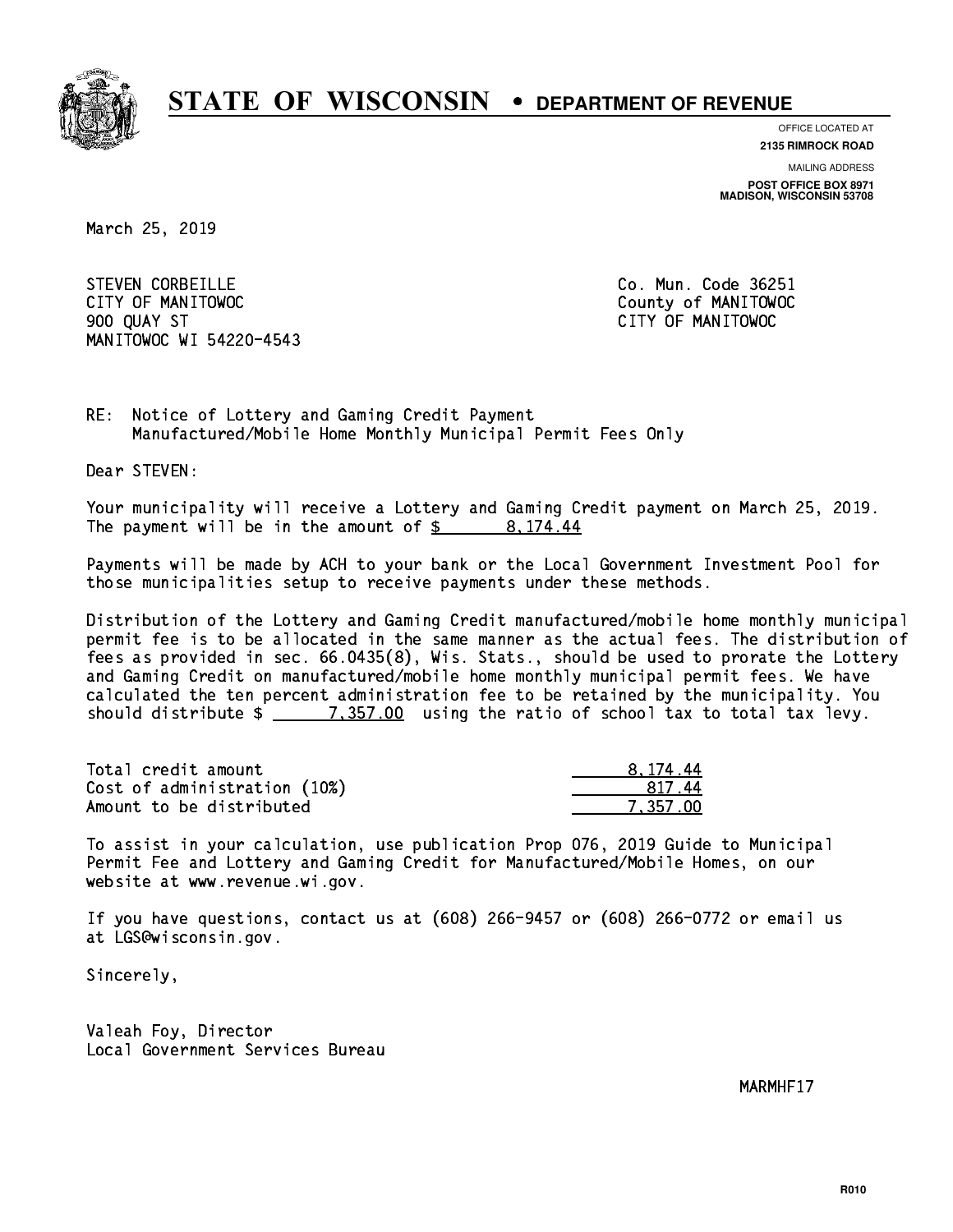

**OFFICE LOCATED AT**

**2135 RIMROCK ROAD**

**MAILING ADDRESS POST OFFICE BOX 8971 MADISON, WISCONSIN 53708**

March 25, 2019

STEVEN CORBEILLE **CO. Mun. Code 36251**  CITY OF MANITOWOC County of MANITOWOC 900 QUAY ST CITY OF MANITOWOC MANITOWOC WI 54220-4543

RE: Notice of Lottery and Gaming Credit Payment Manufactured/Mobile Home Monthly Municipal Permit Fees Only

Dear STEVEN:

 Your municipality will receive a Lottery and Gaming Credit payment on March 25, 2019. The payment will be in the amount of  $\frac{2}{3}$  8,174.44

 Payments will be made by ACH to your bank or the Local Government Investment Pool for those municipalities setup to receive payments under these methods.

 Distribution of the Lottery and Gaming Credit manufactured/mobile home monthly municipal permit fee is to be allocated in the same manner as the actual fees. The distribution of fees as provided in sec. 66.0435(8), Wis. Stats., should be used to prorate the Lottery and Gaming Credit on manufactured/mobile home monthly municipal permit fees. We have calculated the ten percent administration fee to be retained by the municipality. You should distribute  $\frac{2}{2}$   $\frac{7,357.00}{2}$  using the ratio of school tax to total tax levy.

| Total credit amount          | 8.174.44 |
|------------------------------|----------|
| Cost of administration (10%) | 81744    |
| Amount to be distributed     | 7,357.00 |

 To assist in your calculation, use publication Prop 076, 2019 Guide to Municipal Permit Fee and Lottery and Gaming Credit for Manufactured/Mobile Homes, on our website at www.revenue.wi.gov.

 If you have questions, contact us at (608) 266-9457 or (608) 266-0772 or email us at LGS@wisconsin.gov.

Sincerely,

 Valeah Foy, Director Local Government Services Bureau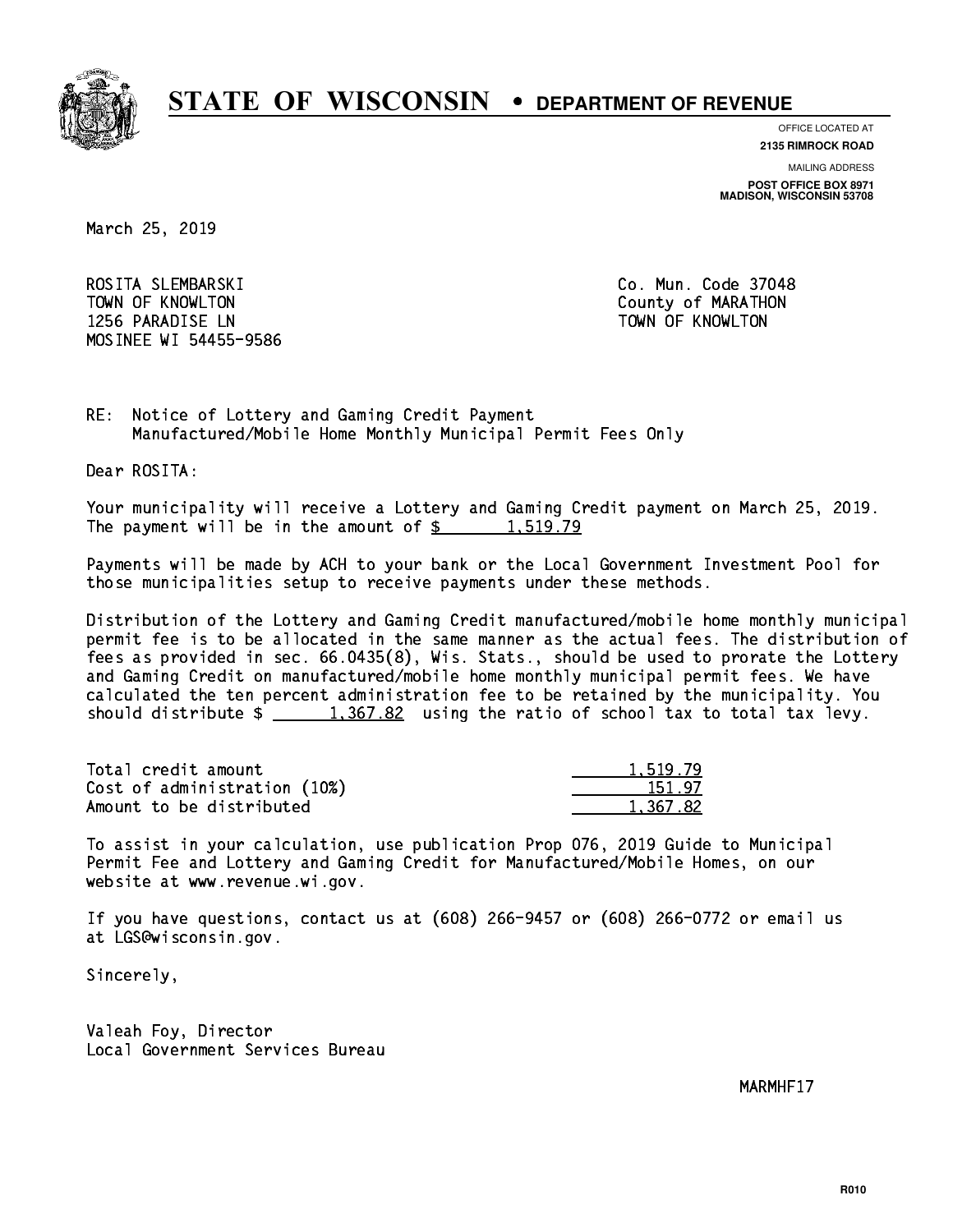

**OFFICE LOCATED AT**

**2135 RIMROCK ROAD**

**MAILING ADDRESS POST OFFICE BOX 8971 MADISON, WISCONSIN 53708**

March 25, 2019

 ROSITA SLEMBARSKI Co. Mun. Code 37048 TOWN OF KNOWLTON County of MARATHON 1256 PARADISE LN TOWN OF KNOWLTON MOSINEE WI 54455-9586

RE: Notice of Lottery and Gaming Credit Payment Manufactured/Mobile Home Monthly Municipal Permit Fees Only

Dear ROSITA:

 Your municipality will receive a Lottery and Gaming Credit payment on March 25, 2019. The payment will be in the amount of  $\frac{2}{3}$  1,519.79

 Payments will be made by ACH to your bank or the Local Government Investment Pool for those municipalities setup to receive payments under these methods.

 Distribution of the Lottery and Gaming Credit manufactured/mobile home monthly municipal permit fee is to be allocated in the same manner as the actual fees. The distribution of fees as provided in sec. 66.0435(8), Wis. Stats., should be used to prorate the Lottery and Gaming Credit on manufactured/mobile home monthly municipal permit fees. We have calculated the ten percent administration fee to be retained by the municipality. You should distribute  $\frac{1,367.82}{1,367.82}$  using the ratio of school tax to total tax levy.

| Total credit amount          | 1.519.79 |
|------------------------------|----------|
| Cost of administration (10%) | 151.97   |
| Amount to be distributed     | 1.367.82 |

 To assist in your calculation, use publication Prop 076, 2019 Guide to Municipal Permit Fee and Lottery and Gaming Credit for Manufactured/Mobile Homes, on our website at www.revenue.wi.gov.

 If you have questions, contact us at (608) 266-9457 or (608) 266-0772 or email us at LGS@wisconsin.gov.

Sincerely,

 Valeah Foy, Director Local Government Services Bureau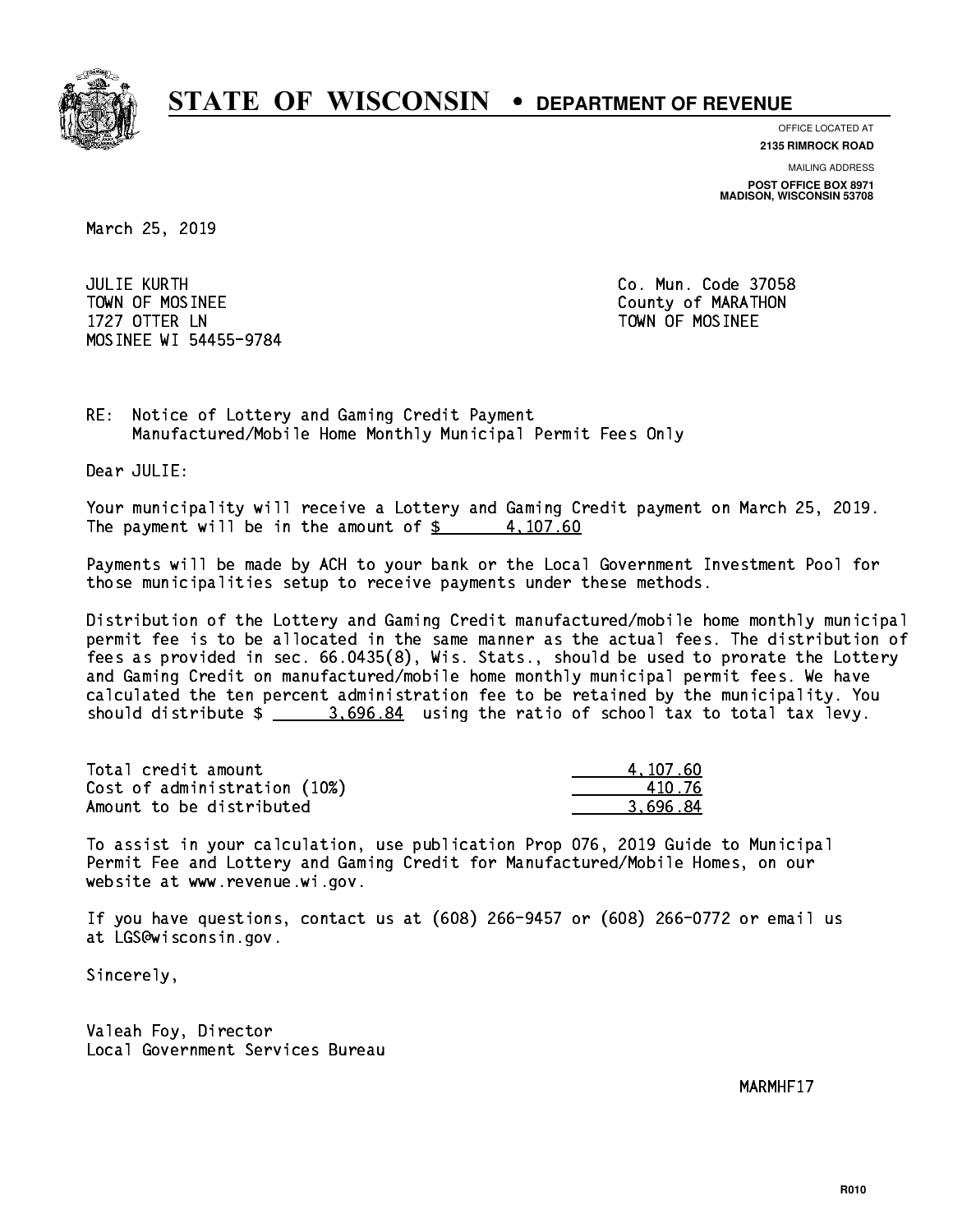

**OFFICE LOCATED AT**

**2135 RIMROCK ROAD**

**MAILING ADDRESS POST OFFICE BOX 8971 MADISON, WISCONSIN 53708**

March 25, 2019

 JULIE KURTH Co. Mun. Code 37058 TOWN OF MOSINEE County of MARATHON 1727 OTTER LN TOWN OF MOSINEE MOSINEE WI 54455-9784

RE: Notice of Lottery and Gaming Credit Payment Manufactured/Mobile Home Monthly Municipal Permit Fees Only

Dear JULIE:

 Your municipality will receive a Lottery and Gaming Credit payment on March 25, 2019. The payment will be in the amount of  $\frac{2}{3}$  4,107.60

 Payments will be made by ACH to your bank or the Local Government Investment Pool for those municipalities setup to receive payments under these methods.

 Distribution of the Lottery and Gaming Credit manufactured/mobile home monthly municipal permit fee is to be allocated in the same manner as the actual fees. The distribution of fees as provided in sec. 66.0435(8), Wis. Stats., should be used to prorate the Lottery and Gaming Credit on manufactured/mobile home monthly municipal permit fees. We have calculated the ten percent administration fee to be retained by the municipality. You should distribute  $\frac{2}{2}$   $\frac{3.696.84}{2}$  using the ratio of school tax to total tax levy.

| Total credit amount          | 4,107.60 |
|------------------------------|----------|
| Cost of administration (10%) | 410.76   |
| Amount to be distributed     | 3.696.84 |

 To assist in your calculation, use publication Prop 076, 2019 Guide to Municipal Permit Fee and Lottery and Gaming Credit for Manufactured/Mobile Homes, on our website at www.revenue.wi.gov.

 If you have questions, contact us at (608) 266-9457 or (608) 266-0772 or email us at LGS@wisconsin.gov.

Sincerely,

 Valeah Foy, Director Local Government Services Bureau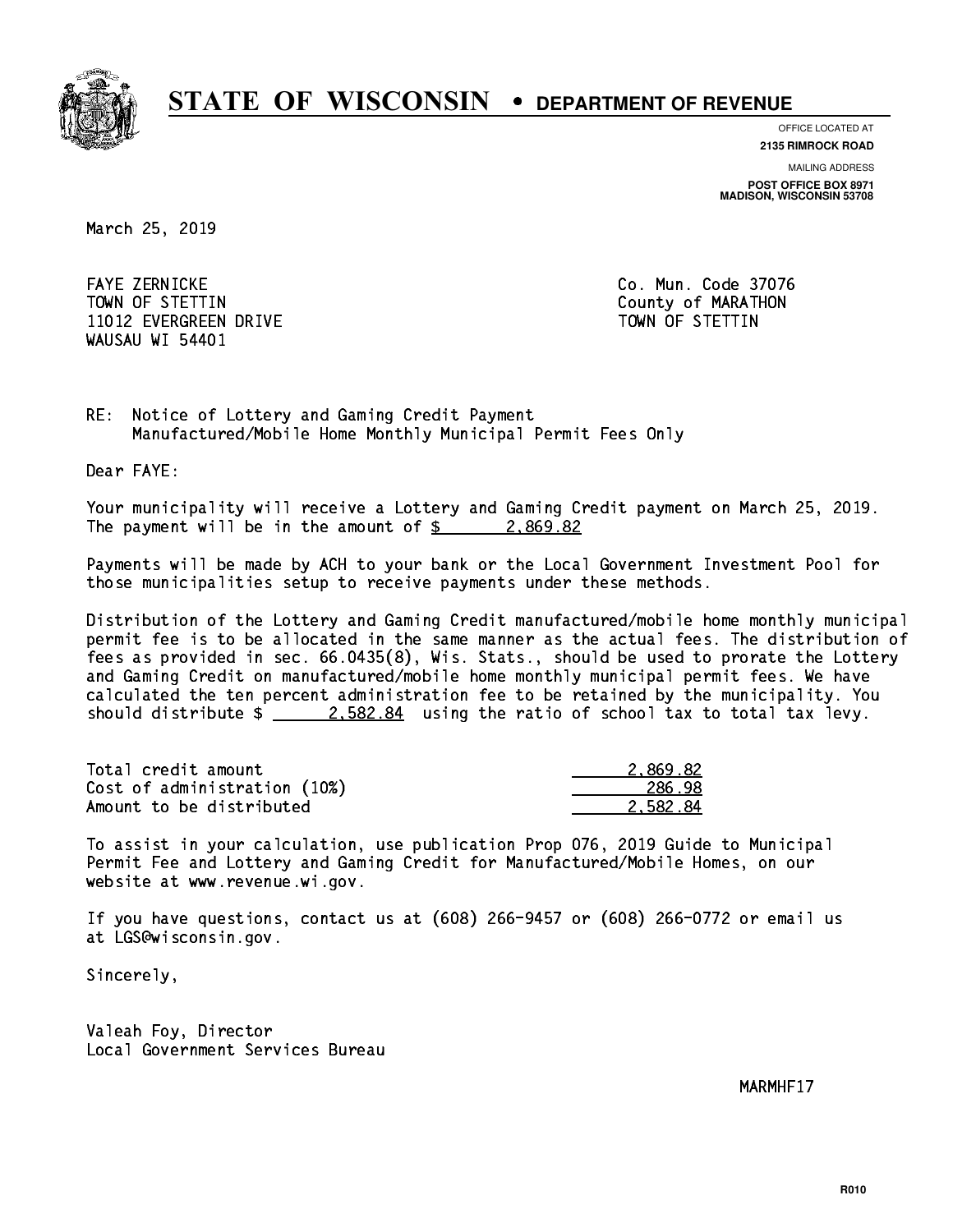

**OFFICE LOCATED AT**

**2135 RIMROCK ROAD**

**MAILING ADDRESS POST OFFICE BOX 8971 MADISON, WISCONSIN 53708**

March 25, 2019

 FAYE ZERNICKE Co. Mun. Code 37076 TOWN OF STETTIN COUNTY OF MARATHON 11012 EVERGREEN DRIVE TOWN OF STETTIN WAUSAU WI 54401

RE: Notice of Lottery and Gaming Credit Payment Manufactured/Mobile Home Monthly Municipal Permit Fees Only

Dear FAYE:

 Your municipality will receive a Lottery and Gaming Credit payment on March 25, 2019. The payment will be in the amount of  $\frac{2}{3}$  2,869.82

 Payments will be made by ACH to your bank or the Local Government Investment Pool for those municipalities setup to receive payments under these methods.

 Distribution of the Lottery and Gaming Credit manufactured/mobile home monthly municipal permit fee is to be allocated in the same manner as the actual fees. The distribution of fees as provided in sec. 66.0435(8), Wis. Stats., should be used to prorate the Lottery and Gaming Credit on manufactured/mobile home monthly municipal permit fees. We have calculated the ten percent administration fee to be retained by the municipality. You should distribute  $\frac{2.582.84}{2.582.84}$  using the ratio of school tax to total tax levy.

| Total credit amount          | 2.869.82 |
|------------------------------|----------|
| Cost of administration (10%) | 286.98   |
| Amount to be distributed     | 2.582.84 |

 To assist in your calculation, use publication Prop 076, 2019 Guide to Municipal Permit Fee and Lottery and Gaming Credit for Manufactured/Mobile Homes, on our website at www.revenue.wi.gov.

 If you have questions, contact us at (608) 266-9457 or (608) 266-0772 or email us at LGS@wisconsin.gov.

Sincerely,

 Valeah Foy, Director Local Government Services Bureau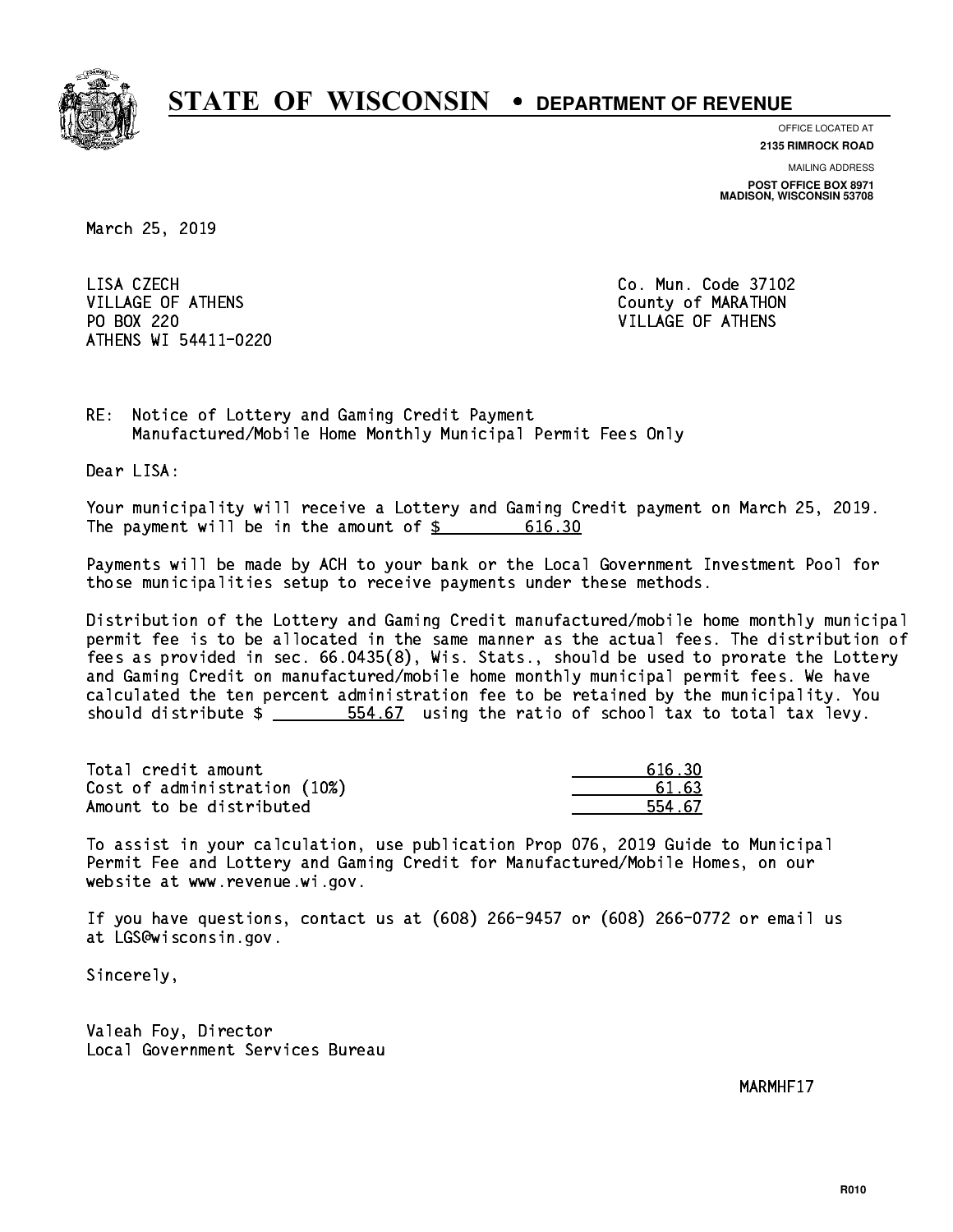

**OFFICE LOCATED AT**

**2135 RIMROCK ROAD**

**MAILING ADDRESS POST OFFICE BOX 8971 MADISON, WISCONSIN 53708**

March 25, 2019

LISA CZECH VILLAGE OF ATHENS County of MARATHON PO BOX 220 VILLAGE OF ATHENS ATHENS WI 54411-0220

Co. Mun. Code 37102

RE: Notice of Lottery and Gaming Credit Payment Manufactured/Mobile Home Monthly Municipal Permit Fees Only

Dear LISA:

 Your municipality will receive a Lottery and Gaming Credit payment on March 25, 2019. The payment will be in the amount of  $\frac{2}{3}$  616.30

 Payments will be made by ACH to your bank or the Local Government Investment Pool for those municipalities setup to receive payments under these methods.

 Distribution of the Lottery and Gaming Credit manufactured/mobile home monthly municipal permit fee is to be allocated in the same manner as the actual fees. The distribution of fees as provided in sec. 66.0435(8), Wis. Stats., should be used to prorate the Lottery and Gaming Credit on manufactured/mobile home monthly municipal permit fees. We have calculated the ten percent administration fee to be retained by the municipality. You should distribute  $\frac{2}{1}$   $\frac{554.67}{1000}$  using the ratio of school tax to total tax levy.

| Total credit amount          | 616.30 |
|------------------------------|--------|
| Cost of administration (10%) | 61.63  |
| Amount to be distributed     | 554.67 |

| 616.30       |
|--------------|
| 61.63        |
| 4.67<br>SE a |

 To assist in your calculation, use publication Prop 076, 2019 Guide to Municipal Permit Fee and Lottery and Gaming Credit for Manufactured/Mobile Homes, on our website at www.revenue.wi.gov.

 If you have questions, contact us at (608) 266-9457 or (608) 266-0772 or email us at LGS@wisconsin.gov.

Sincerely,

 Valeah Foy, Director Local Government Services Bureau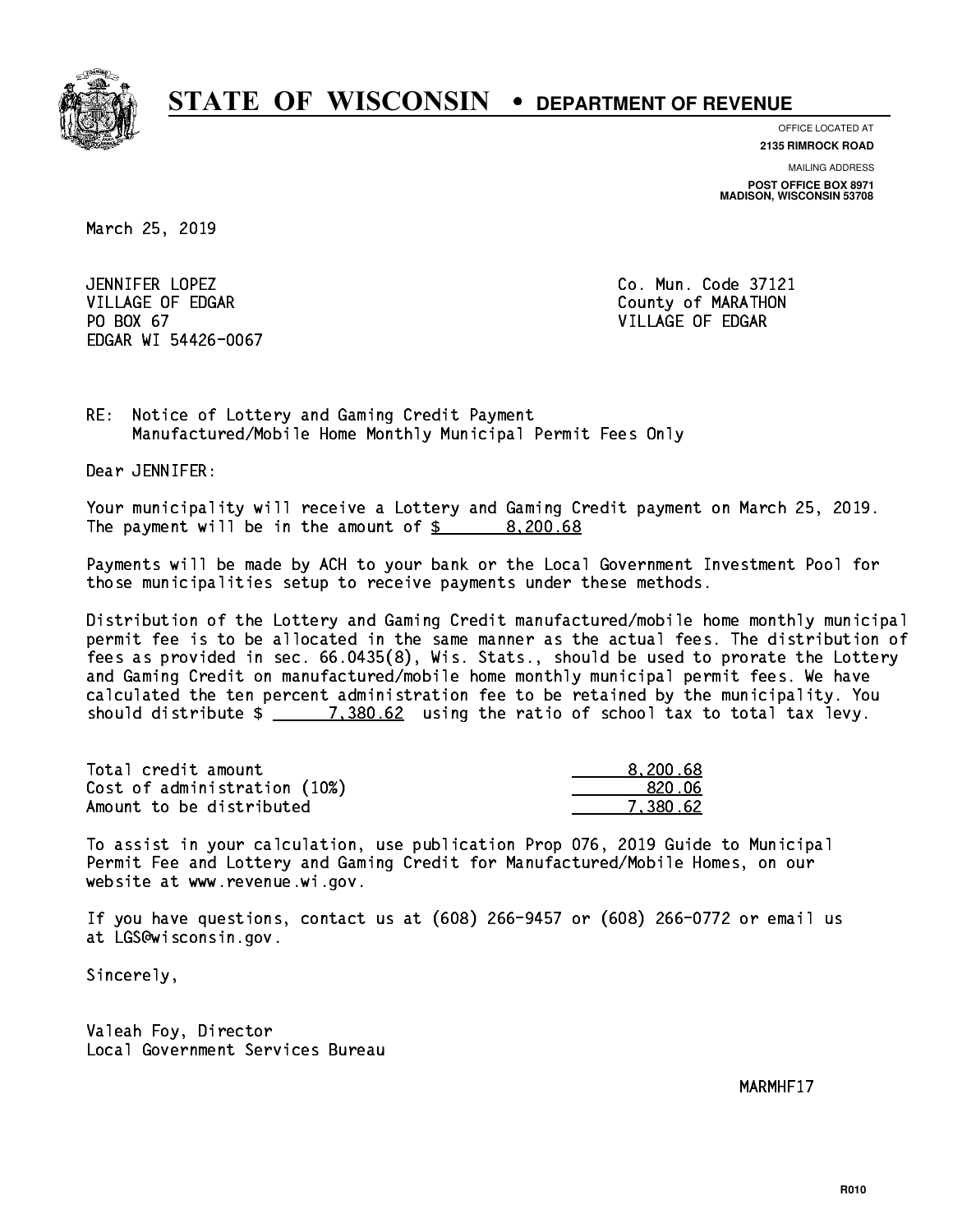

**OFFICE LOCATED AT**

**2135 RIMROCK ROAD**

**MAILING ADDRESS POST OFFICE BOX 8971 MADISON, WISCONSIN 53708**

March 25, 2019

JENNIFER LOPEZ VILLAGE OF EDGAR County of MARATHON PO BOX 67 VILLAGE OF EDGAR EDGAR WI 54426-0067

Co. Mun. Code 37121

RE: Notice of Lottery and Gaming Credit Payment Manufactured/Mobile Home Monthly Municipal Permit Fees Only

Dear JENNIFER:

 Your municipality will receive a Lottery and Gaming Credit payment on March 25, 2019. The payment will be in the amount of  $\frac{2}{3}$  8,200.68

 Payments will be made by ACH to your bank or the Local Government Investment Pool for those municipalities setup to receive payments under these methods.

 Distribution of the Lottery and Gaming Credit manufactured/mobile home monthly municipal permit fee is to be allocated in the same manner as the actual fees. The distribution of fees as provided in sec. 66.0435(8), Wis. Stats., should be used to prorate the Lottery and Gaming Credit on manufactured/mobile home monthly municipal permit fees. We have calculated the ten percent administration fee to be retained by the municipality. You should distribute  $\frac{2}{2}$   $\frac{7,380.62}{2}$  using the ratio of school tax to total tax levy.

| Total credit amount          | 8,200.68 |
|------------------------------|----------|
| Cost of administration (10%) | 820.06   |
| Amount to be distributed     | 7.380.62 |

 To assist in your calculation, use publication Prop 076, 2019 Guide to Municipal Permit Fee and Lottery and Gaming Credit for Manufactured/Mobile Homes, on our website at www.revenue.wi.gov.

 If you have questions, contact us at (608) 266-9457 or (608) 266-0772 or email us at LGS@wisconsin.gov.

Sincerely,

 Valeah Foy, Director Local Government Services Bureau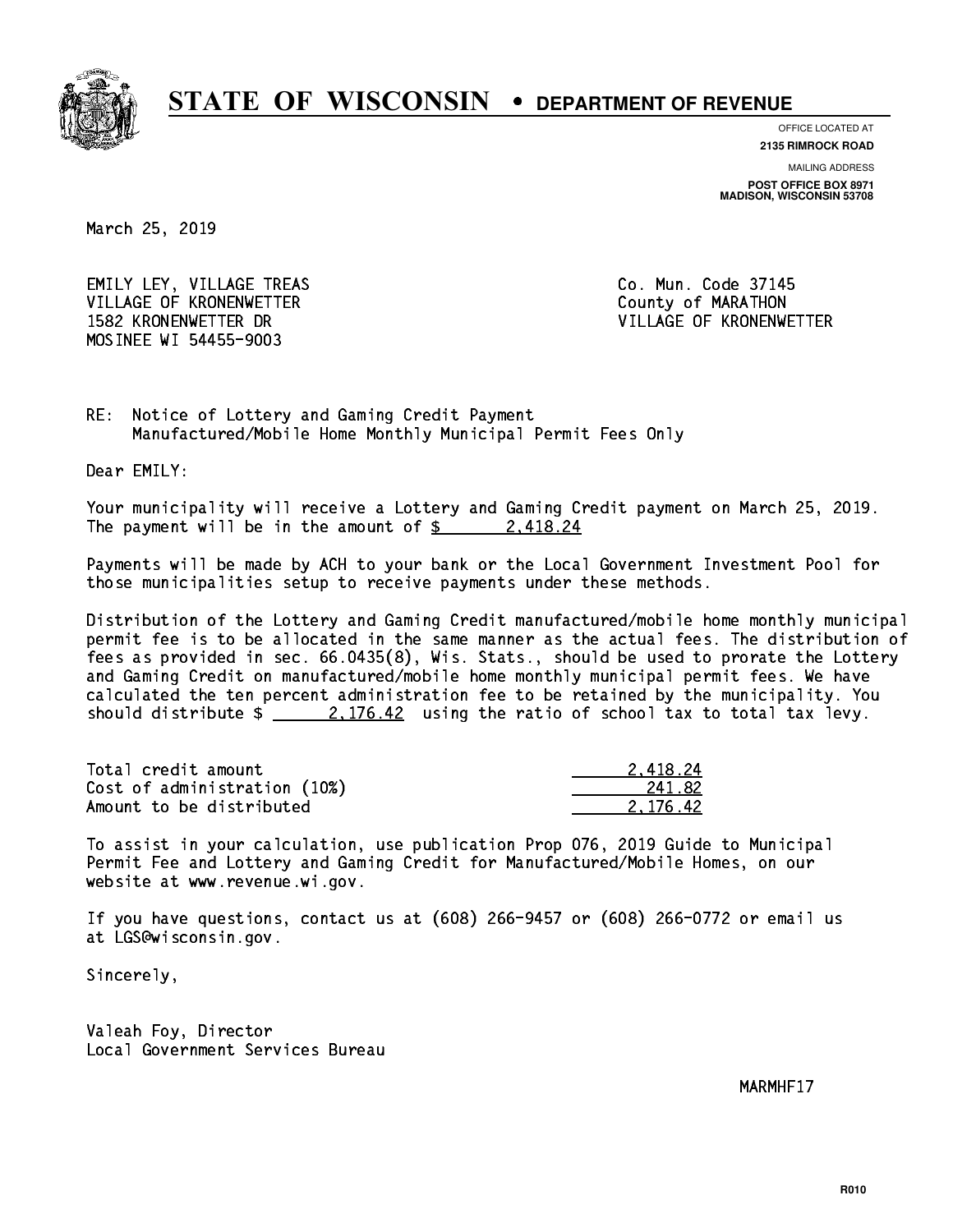

**OFFICE LOCATED AT 2135 RIMROCK ROAD**

**MAILING ADDRESS POST OFFICE BOX 8971 MADISON, WISCONSIN 53708**

March 25, 2019

EMILY LEY, VILLAGE TREAS CO. Mun. Code 37145 VILLAGE OF KRONENWETTER County of MARATHON 1582 KRONENWETTER DR VILLAGE OF KRONENWETTER MOSINEE WI 54455-9003

RE: Notice of Lottery and Gaming Credit Payment Manufactured/Mobile Home Monthly Municipal Permit Fees Only

Dear EMILY:

 Your municipality will receive a Lottery and Gaming Credit payment on March 25, 2019. The payment will be in the amount of  $\frac{24}{2}$ 

 Payments will be made by ACH to your bank or the Local Government Investment Pool for those municipalities setup to receive payments under these methods.

 Distribution of the Lottery and Gaming Credit manufactured/mobile home monthly municipal permit fee is to be allocated in the same manner as the actual fees. The distribution of fees as provided in sec. 66.0435(8), Wis. Stats., should be used to prorate the Lottery and Gaming Credit on manufactured/mobile home monthly municipal permit fees. We have calculated the ten percent administration fee to be retained by the municipality. You should distribute  $\frac{2.176.42}{ }$  using the ratio of school tax to total tax levy.

| Total credit amount          | 2.418.24 |
|------------------------------|----------|
| Cost of administration (10%) | 241.82   |
| Amount to be distributed     | 2.176.42 |

 To assist in your calculation, use publication Prop 076, 2019 Guide to Municipal Permit Fee and Lottery and Gaming Credit for Manufactured/Mobile Homes, on our website at www.revenue.wi.gov.

 If you have questions, contact us at (608) 266-9457 or (608) 266-0772 or email us at LGS@wisconsin.gov.

Sincerely,

 Valeah Foy, Director Local Government Services Bureau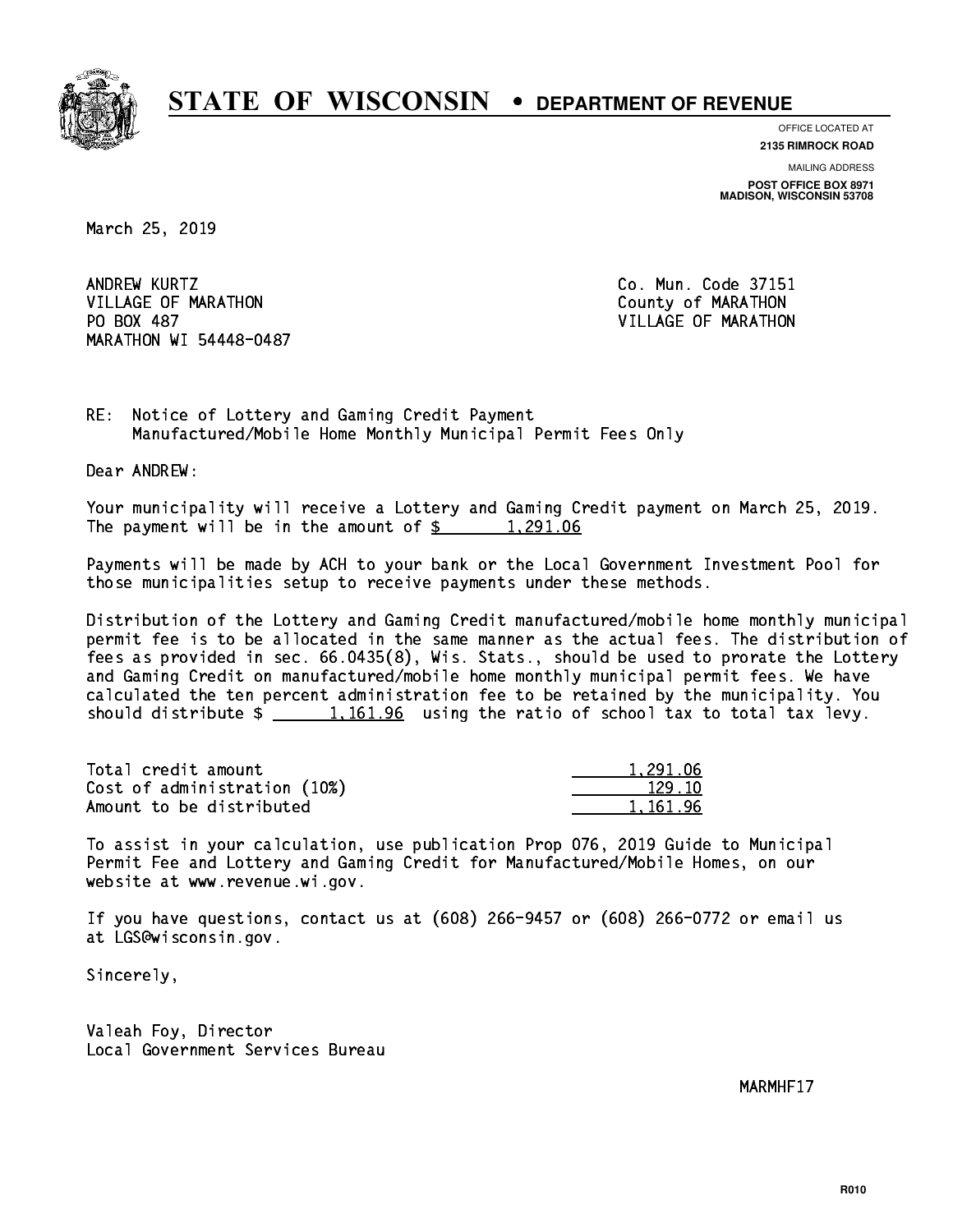

**OFFICE LOCATED AT 2135 RIMROCK ROAD**

**MAILING ADDRESS POST OFFICE BOX 8971 MADISON, WISCONSIN 53708**

March 25, 2019

ANDREW KURTZ VILLAGE OF MARATHON COUNTY OF MARATHON PO BOX 487 MARATHON WI 54448-0487

Co. Mun. Code 37151 VILLAGE OF MARATHON

RE: Notice of Lottery and Gaming Credit Payment Manufactured/Mobile Home Monthly Municipal Permit Fees Only

Dear ANDREW:

 Your municipality will receive a Lottery and Gaming Credit payment on March 25, 2019. The payment will be in the amount of  $\frac{2}{3}$  1,291.06

 Payments will be made by ACH to your bank or the Local Government Investment Pool for those municipalities setup to receive payments under these methods.

 Distribution of the Lottery and Gaming Credit manufactured/mobile home monthly municipal permit fee is to be allocated in the same manner as the actual fees. The distribution of fees as provided in sec. 66.0435(8), Wis. Stats., should be used to prorate the Lottery and Gaming Credit on manufactured/mobile home monthly municipal permit fees. We have calculated the ten percent administration fee to be retained by the municipality. You should distribute  $\frac{1,161.96}{2}$  using the ratio of school tax to total tax levy.

| Total credit amount          | 1,291.06 |
|------------------------------|----------|
| Cost of administration (10%) | 129.10   |
| Amount to be distributed     | 1,161.96 |

 To assist in your calculation, use publication Prop 076, 2019 Guide to Municipal Permit Fee and Lottery and Gaming Credit for Manufactured/Mobile Homes, on our website at www.revenue.wi.gov.

 If you have questions, contact us at (608) 266-9457 or (608) 266-0772 or email us at LGS@wisconsin.gov.

Sincerely,

 Valeah Foy, Director Local Government Services Bureau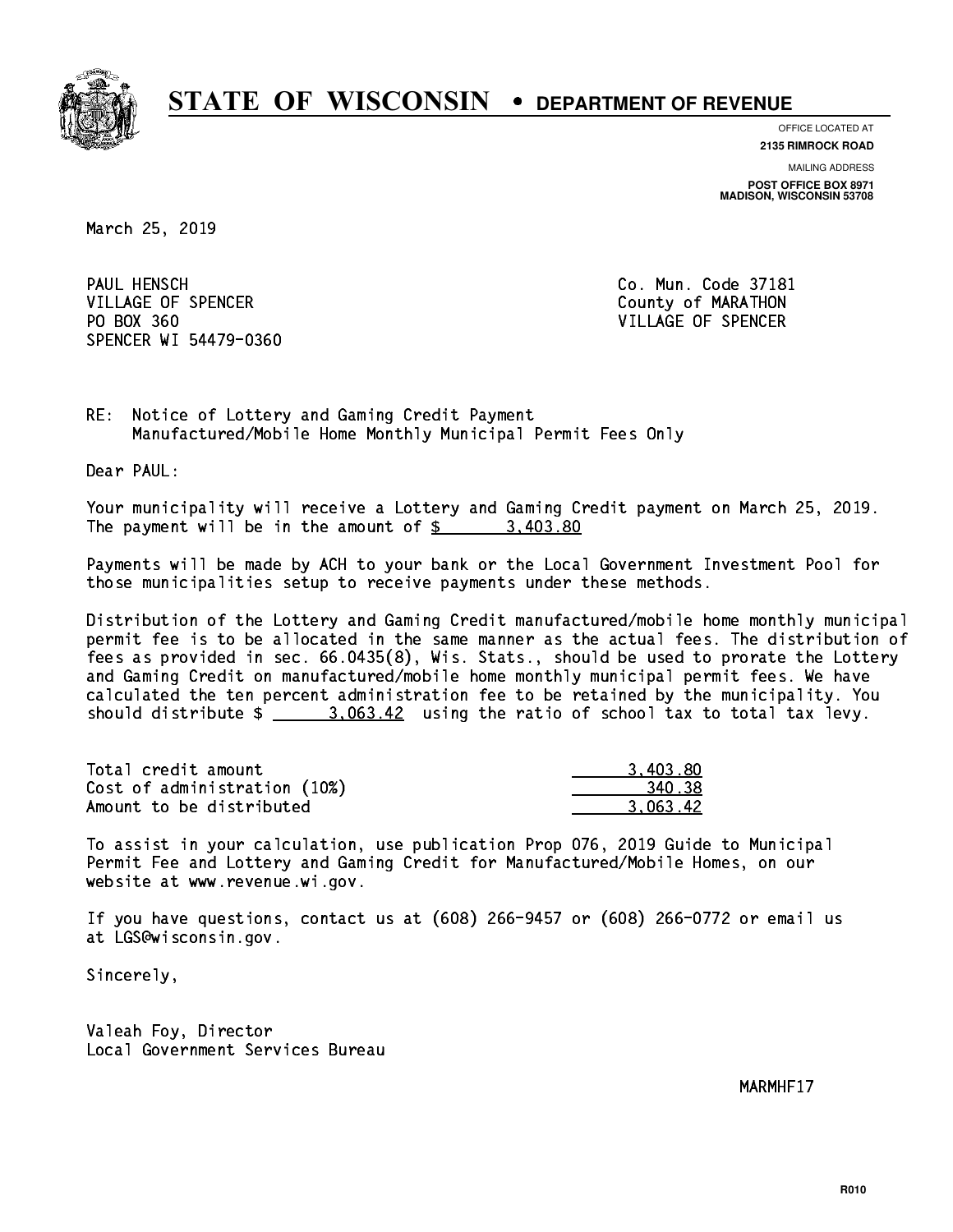

**OFFICE LOCATED AT 2135 RIMROCK ROAD**

**MAILING ADDRESS POST OFFICE BOX 8971 MADISON, WISCONSIN 53708**

March 25, 2019

PAUL HENSCH VILLAGE OF SPENCER COUNTY OF MARATHON PO BOX 360 VILLAGE OF SPENCER SPENCER WI 54479-0360

Co. Mun. Code 37181

RE: Notice of Lottery and Gaming Credit Payment Manufactured/Mobile Home Monthly Municipal Permit Fees Only

Dear PAUL:

 Your municipality will receive a Lottery and Gaming Credit payment on March 25, 2019. The payment will be in the amount of  $\frac{2}{3}$  3,403.80

 Payments will be made by ACH to your bank or the Local Government Investment Pool for those municipalities setup to receive payments under these methods.

 Distribution of the Lottery and Gaming Credit manufactured/mobile home monthly municipal permit fee is to be allocated in the same manner as the actual fees. The distribution of fees as provided in sec. 66.0435(8), Wis. Stats., should be used to prorate the Lottery and Gaming Credit on manufactured/mobile home monthly municipal permit fees. We have calculated the ten percent administration fee to be retained by the municipality. You should distribute  $\frac{2}{2}$   $\frac{3.063.42}{2}$  using the ratio of school tax to total tax levy.

| Total credit amount          | 3.403.80 |
|------------------------------|----------|
| Cost of administration (10%) | 340.38   |
| Amount to be distributed     | 3.063.42 |

 To assist in your calculation, use publication Prop 076, 2019 Guide to Municipal Permit Fee and Lottery and Gaming Credit for Manufactured/Mobile Homes, on our website at www.revenue.wi.gov.

 If you have questions, contact us at (608) 266-9457 or (608) 266-0772 or email us at LGS@wisconsin.gov.

Sincerely,

 Valeah Foy, Director Local Government Services Bureau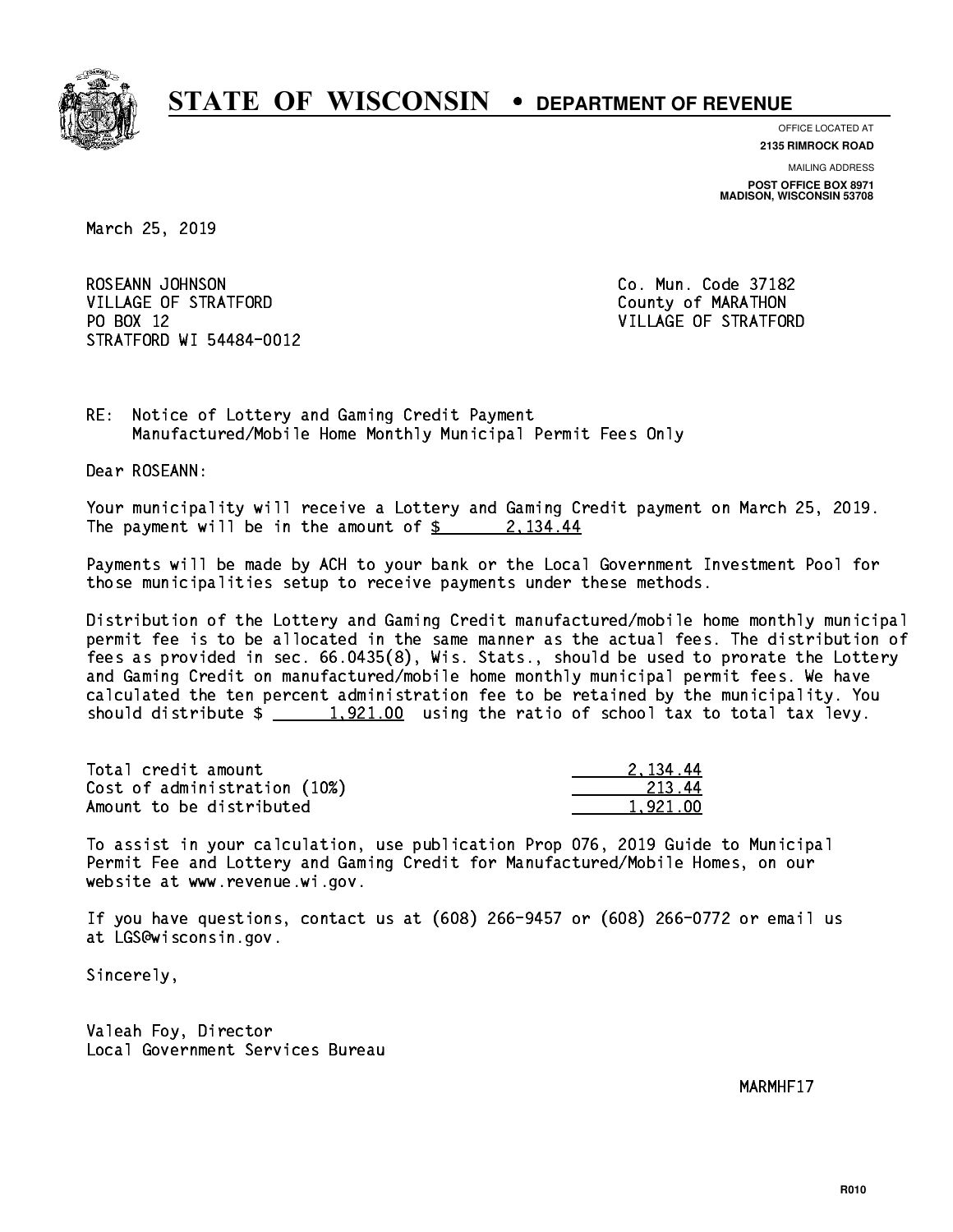

**OFFICE LOCATED AT**

**2135 RIMROCK ROAD**

**MAILING ADDRESS POST OFFICE BOX 8971 MADISON, WISCONSIN 53708**

March 25, 2019

ROSEANN JOHNSON CO. Mun. Code 37182 VILLAGE OF STRATFORD County of MARATHON PO BOX 12 STRATFORD WI 54484-0012

VILLAGE OF STRATFORD

RE: Notice of Lottery and Gaming Credit Payment Manufactured/Mobile Home Monthly Municipal Permit Fees Only

Dear ROSEANN:

 Your municipality will receive a Lottery and Gaming Credit payment on March 25, 2019. The payment will be in the amount of  $\frac{2}{3}$  2, 134.44

 Payments will be made by ACH to your bank or the Local Government Investment Pool for those municipalities setup to receive payments under these methods.

 Distribution of the Lottery and Gaming Credit manufactured/mobile home monthly municipal permit fee is to be allocated in the same manner as the actual fees. The distribution of fees as provided in sec. 66.0435(8), Wis. Stats., should be used to prorate the Lottery and Gaming Credit on manufactured/mobile home monthly municipal permit fees. We have calculated the ten percent administration fee to be retained by the municipality. You should distribute  $\frac{1,921.00}{1,921.00}$  using the ratio of school tax to total tax levy.

| Total credit amount          | 2.134.44 |
|------------------------------|----------|
| Cost of administration (10%) | -213.44  |
| Amount to be distributed     | 1.921.00 |

 To assist in your calculation, use publication Prop 076, 2019 Guide to Municipal Permit Fee and Lottery and Gaming Credit for Manufactured/Mobile Homes, on our website at www.revenue.wi.gov.

 If you have questions, contact us at (608) 266-9457 or (608) 266-0772 or email us at LGS@wisconsin.gov.

Sincerely,

 Valeah Foy, Director Local Government Services Bureau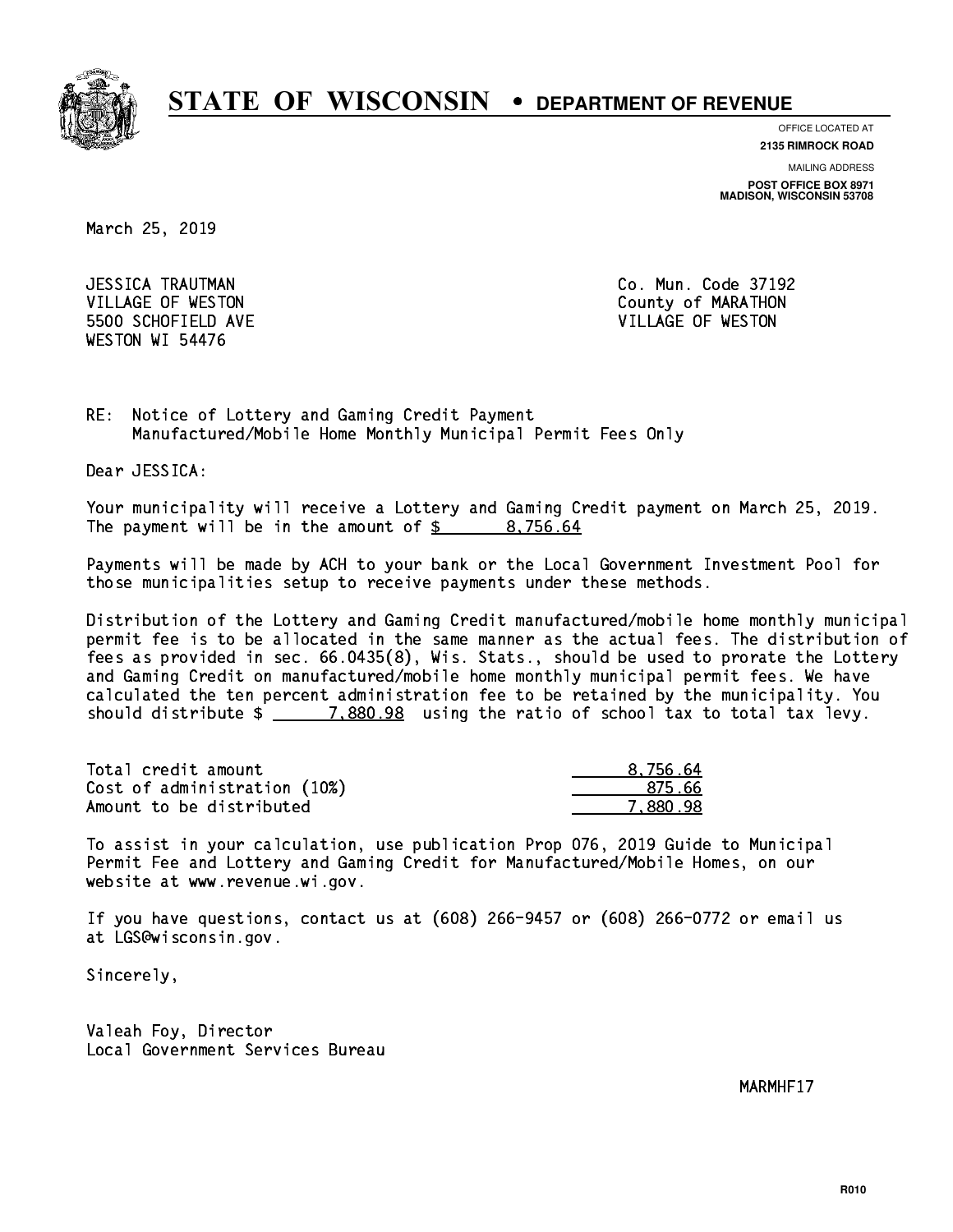

**OFFICE LOCATED AT**

**2135 RIMROCK ROAD**

**MAILING ADDRESS**

**POST OFFICE BOX 8971 MADISON, WISCONSIN 53708**

March 25, 2019

 JESSICA TRAUTMAN Co. Mun. Code 37192 5500 SCHOFIELD AVE VILLAGE OF WESTON WESTON WI 54476

VILLAGE OF WESTON COUNTY OF MARATHON

RE: Notice of Lottery and Gaming Credit Payment Manufactured/Mobile Home Monthly Municipal Permit Fees Only

Dear JESSICA:

 Your municipality will receive a Lottery and Gaming Credit payment on March 25, 2019. The payment will be in the amount of  $\frac{2}{3}$  8,756.64

 Payments will be made by ACH to your bank or the Local Government Investment Pool for those municipalities setup to receive payments under these methods.

 Distribution of the Lottery and Gaming Credit manufactured/mobile home monthly municipal permit fee is to be allocated in the same manner as the actual fees. The distribution of fees as provided in sec. 66.0435(8), Wis. Stats., should be used to prorate the Lottery and Gaming Credit on manufactured/mobile home monthly municipal permit fees. We have calculated the ten percent administration fee to be retained by the municipality. You should distribute  $\frac{2}{2}$   $\frac{7,880.98}{2}$  using the ratio of school tax to total tax levy.

| Total credit amount          | 8.756.64 |
|------------------------------|----------|
| Cost of administration (10%) | 875.66   |
| Amount to be distributed     | 7.880.98 |

 To assist in your calculation, use publication Prop 076, 2019 Guide to Municipal Permit Fee and Lottery and Gaming Credit for Manufactured/Mobile Homes, on our website at www.revenue.wi.gov.

 If you have questions, contact us at (608) 266-9457 or (608) 266-0772 or email us at LGS@wisconsin.gov.

Sincerely,

 Valeah Foy, Director Local Government Services Bureau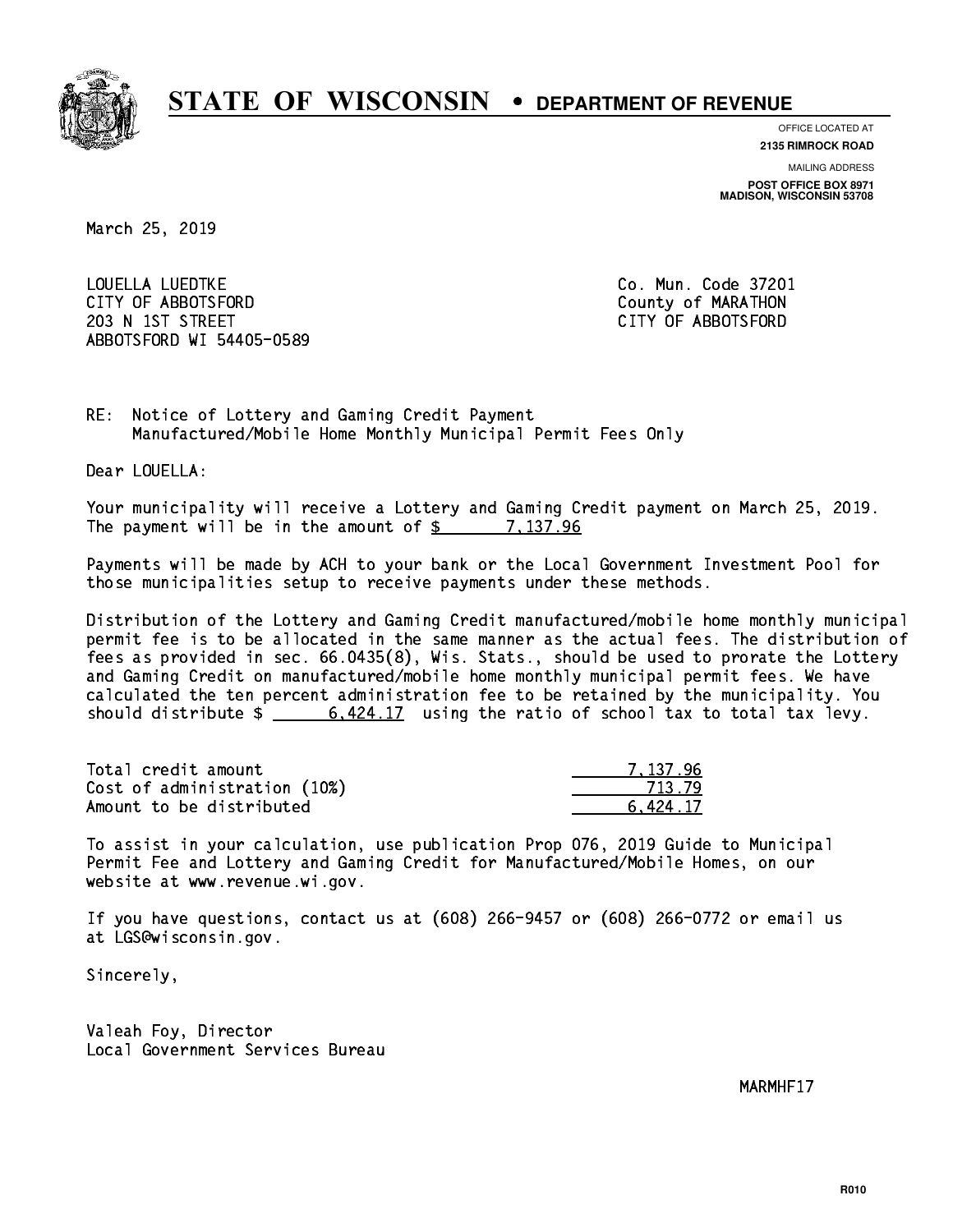

**OFFICE LOCATED AT**

**2135 RIMROCK ROAD**

**MAILING ADDRESS POST OFFICE BOX 8971 MADISON, WISCONSIN 53708**

March 25, 2019

 LOUELLA LUEDTKE Co. Mun. Code 37201 CITY OF ABBOTSFORD County of MARATHON 203 N 1ST STREET CITY OF ABBOTSFORD ABBOTSFORD WI 54405-0589

RE: Notice of Lottery and Gaming Credit Payment Manufactured/Mobile Home Monthly Municipal Permit Fees Only

Dear LOUELLA:

 Your municipality will receive a Lottery and Gaming Credit payment on March 25, 2019. The payment will be in the amount of  $\frac{2}{3}$  7,137.96

 Payments will be made by ACH to your bank or the Local Government Investment Pool for those municipalities setup to receive payments under these methods.

 Distribution of the Lottery and Gaming Credit manufactured/mobile home monthly municipal permit fee is to be allocated in the same manner as the actual fees. The distribution of fees as provided in sec. 66.0435(8), Wis. Stats., should be used to prorate the Lottery and Gaming Credit on manufactured/mobile home monthly municipal permit fees. We have calculated the ten percent administration fee to be retained by the municipality. You should distribute  $\frac{2}{10}$   $\frac{6,424.17}{2}$  using the ratio of school tax to total tax levy.

| Total credit amount          | 7.137.96 |
|------------------------------|----------|
| Cost of administration (10%) | 713.79   |
| Amount to be distributed     | 6.424.17 |

 To assist in your calculation, use publication Prop 076, 2019 Guide to Municipal Permit Fee and Lottery and Gaming Credit for Manufactured/Mobile Homes, on our website at www.revenue.wi.gov.

 If you have questions, contact us at (608) 266-9457 or (608) 266-0772 or email us at LGS@wisconsin.gov.

Sincerely,

 Valeah Foy, Director Local Government Services Bureau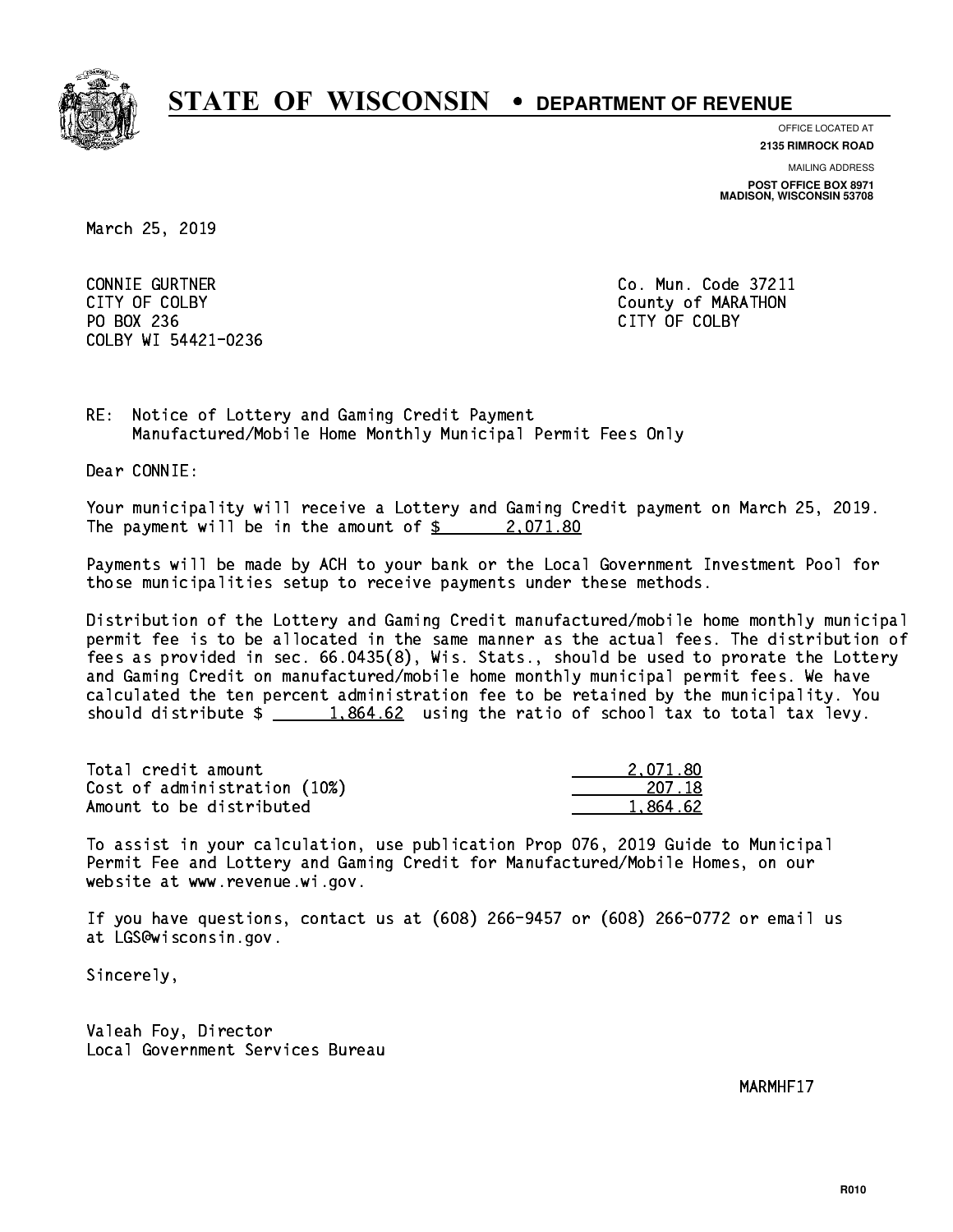

**OFFICE LOCATED AT**

**2135 RIMROCK ROAD**

**MAILING ADDRESS POST OFFICE BOX 8971 MADISON, WISCONSIN 53708**

March 25, 2019

 CONNIE GURTNER Co. Mun. Code 37211 PO BOX 236 PO BOX 236 CITY OF COLBY COLBY WI 54421-0236

CITY OF COLBY COUNTY COUNTY OF COUNTY COUNTY OF MARATHON

RE: Notice of Lottery and Gaming Credit Payment Manufactured/Mobile Home Monthly Municipal Permit Fees Only

Dear CONNIE:

 Your municipality will receive a Lottery and Gaming Credit payment on March 25, 2019. The payment will be in the amount of  $\frac{2071.80}{200}$ 

 Payments will be made by ACH to your bank or the Local Government Investment Pool for those municipalities setup to receive payments under these methods.

 Distribution of the Lottery and Gaming Credit manufactured/mobile home monthly municipal permit fee is to be allocated in the same manner as the actual fees. The distribution of fees as provided in sec. 66.0435(8), Wis. Stats., should be used to prorate the Lottery and Gaming Credit on manufactured/mobile home monthly municipal permit fees. We have calculated the ten percent administration fee to be retained by the municipality. You should distribute  $\frac{1.864.62}{1.864.62}$  using the ratio of school tax to total tax levy.

| Total credit amount          | 2.071.80 |
|------------------------------|----------|
| Cost of administration (10%) | 207.18   |
| Amount to be distributed     | 1.864.62 |

 To assist in your calculation, use publication Prop 076, 2019 Guide to Municipal Permit Fee and Lottery and Gaming Credit for Manufactured/Mobile Homes, on our website at www.revenue.wi.gov.

 If you have questions, contact us at (608) 266-9457 or (608) 266-0772 or email us at LGS@wisconsin.gov.

Sincerely,

 Valeah Foy, Director Local Government Services Bureau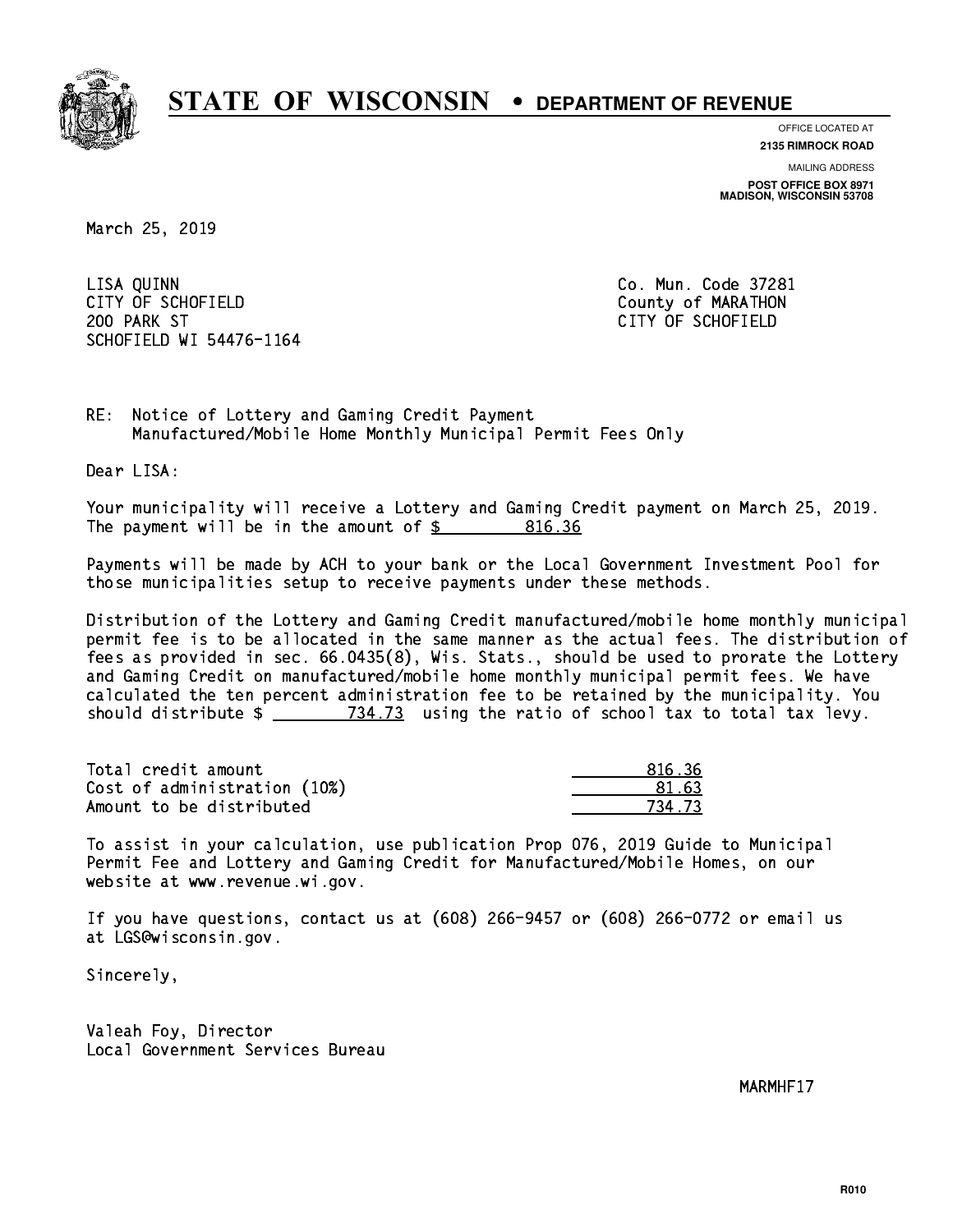

**OFFICE LOCATED AT**

**2135 RIMROCK ROAD**

**MAILING ADDRESS POST OFFICE BOX 8971 MADISON, WISCONSIN 53708**

March 25, 2019

 LISA QUINN Co. Mun. Code 37281 CITY OF SCHOFIELD County of MARATHON 200 PARK ST CITY OF SCHOFIELD SCHOFIELD WI 54476-1164

RE: Notice of Lottery and Gaming Credit Payment Manufactured/Mobile Home Monthly Municipal Permit Fees Only

Dear LISA:

 Your municipality will receive a Lottery and Gaming Credit payment on March 25, 2019. The payment will be in the amount of  $\frac{2}{3}$  816.36

 Payments will be made by ACH to your bank or the Local Government Investment Pool for those municipalities setup to receive payments under these methods.

 Distribution of the Lottery and Gaming Credit manufactured/mobile home monthly municipal permit fee is to be allocated in the same manner as the actual fees. The distribution of fees as provided in sec. 66.0435(8), Wis. Stats., should be used to prorate the Lottery and Gaming Credit on manufactured/mobile home monthly municipal permit fees. We have calculated the ten percent administration fee to be retained by the municipality. You should distribute  $\frac{2}{2}$   $\frac{734.73}{2}$  using the ratio of school tax to total tax levy.

Total credit amount Cost of administration (10%) Amount to be distributed

| 81636     |
|-----------|
| 163       |
| 7<br>- 73 |

 To assist in your calculation, use publication Prop 076, 2019 Guide to Municipal Permit Fee and Lottery and Gaming Credit for Manufactured/Mobile Homes, on our website at www.revenue.wi.gov.

 If you have questions, contact us at (608) 266-9457 or (608) 266-0772 or email us at LGS@wisconsin.gov.

Sincerely,

 Valeah Foy, Director Local Government Services Bureau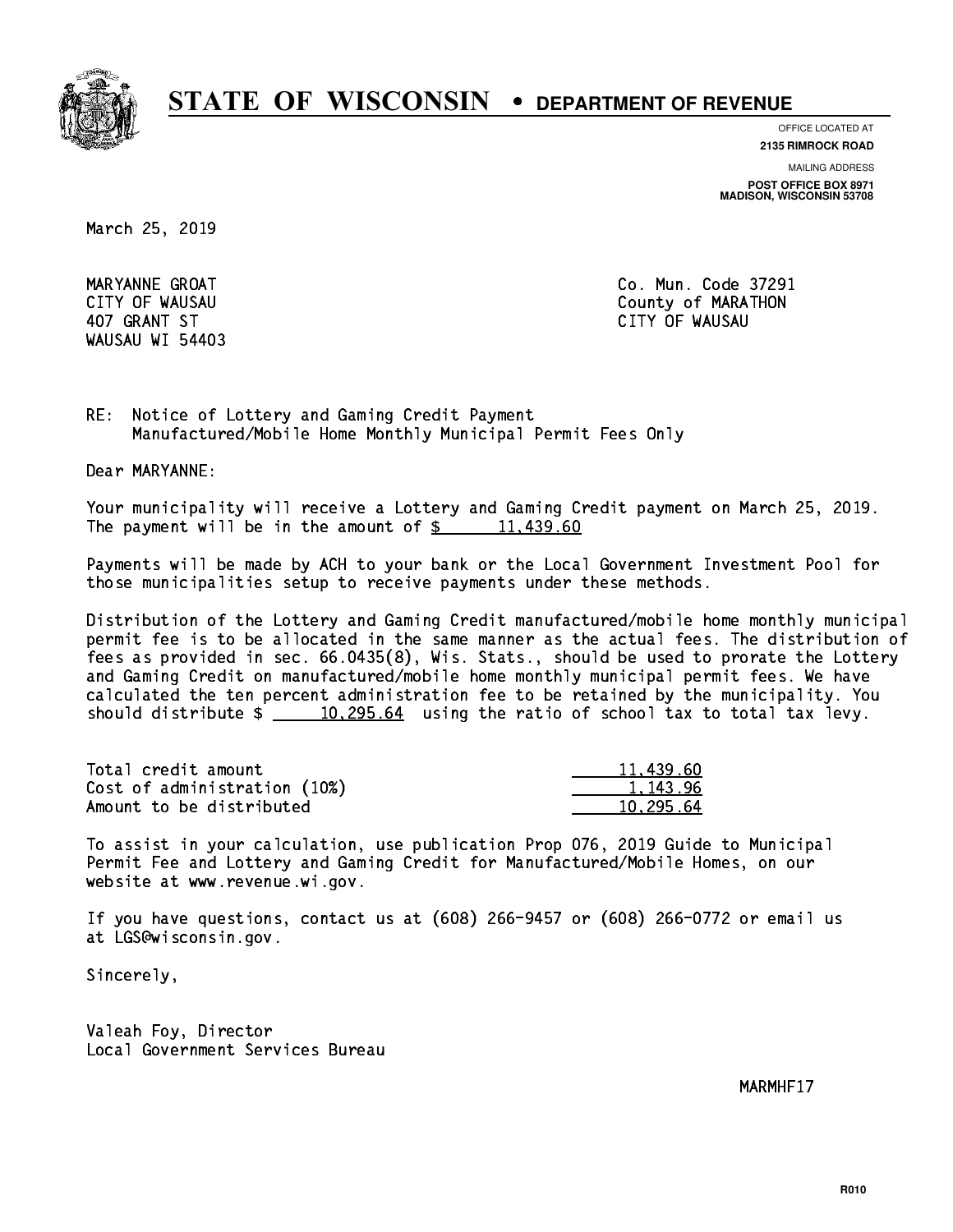

**OFFICE LOCATED AT**

**2135 RIMROCK ROAD**

**MAILING ADDRESS**

**POST OFFICE BOX 8971 MADISON, WISCONSIN 53708**

March 25, 2019

WAUSAU WI 54403

 MARYANNE GROAT Co. Mun. Code 37291 CITY OF WAUSAU COUNTY OF MARATHON 407 GRANT ST CITY OF WAUSAU

RE: Notice of Lottery and Gaming Credit Payment Manufactured/Mobile Home Monthly Municipal Permit Fees Only

Dear MARYANNE:

 Your municipality will receive a Lottery and Gaming Credit payment on March 25, 2019. The payment will be in the amount of  $\frac{2}{3}$  11,439.60

 Payments will be made by ACH to your bank or the Local Government Investment Pool for those municipalities setup to receive payments under these methods.

 Distribution of the Lottery and Gaming Credit manufactured/mobile home monthly municipal permit fee is to be allocated in the same manner as the actual fees. The distribution of fees as provided in sec. 66.0435(8), Wis. Stats., should be used to prorate the Lottery and Gaming Credit on manufactured/mobile home monthly municipal permit fees. We have calculated the ten percent administration fee to be retained by the municipality. You should distribute  $\frac{10,295.64}{2}$  using the ratio of school tax to total tax levy.

| Total credit amount          | 11,439.60 |
|------------------------------|-----------|
| Cost of administration (10%) | 1.143.96  |
| Amount to be distributed     | 10.295.64 |

 To assist in your calculation, use publication Prop 076, 2019 Guide to Municipal Permit Fee and Lottery and Gaming Credit for Manufactured/Mobile Homes, on our website at www.revenue.wi.gov.

 If you have questions, contact us at (608) 266-9457 or (608) 266-0772 or email us at LGS@wisconsin.gov.

Sincerely,

 Valeah Foy, Director Local Government Services Bureau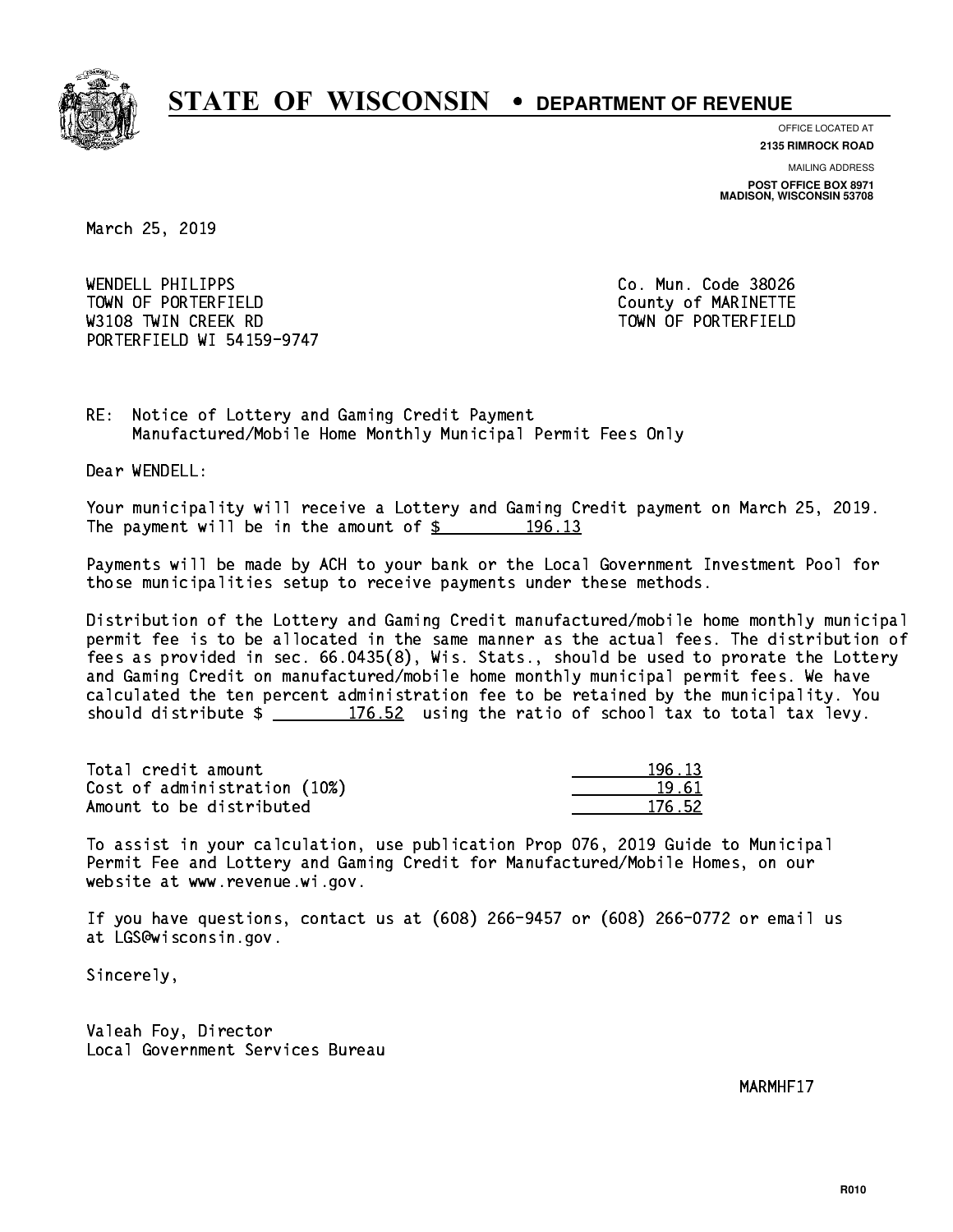

**OFFICE LOCATED AT 2135 RIMROCK ROAD**

**MAILING ADDRESS**

**POST OFFICE BOX 8971 MADISON, WISCONSIN 53708**

March 25, 2019

 WENDELL PHILIPPS Co. Mun. Code 38026 TOWN OF PORTERFIELD **TOWN** OF PORTERFIELD W3108 TWIN CREEK RD TOWN OF PORTERFIELD PORTERFIELD WI 54159-9747

RE: Notice of Lottery and Gaming Credit Payment Manufactured/Mobile Home Monthly Municipal Permit Fees Only

Dear WENDELL:

 Your municipality will receive a Lottery and Gaming Credit payment on March 25, 2019. The payment will be in the amount of  $\frac{2}{3}$  196.13

 Payments will be made by ACH to your bank or the Local Government Investment Pool for those municipalities setup to receive payments under these methods.

 Distribution of the Lottery and Gaming Credit manufactured/mobile home monthly municipal permit fee is to be allocated in the same manner as the actual fees. The distribution of fees as provided in sec. 66.0435(8), Wis. Stats., should be used to prorate the Lottery and Gaming Credit on manufactured/mobile home monthly municipal permit fees. We have calculated the ten percent administration fee to be retained by the municipality. You should distribute  $\frac{2}{2}$   $\frac{176.52}{2}$  using the ratio of school tax to total tax levy.

Total credit amount Cost of administration (10%) Amount to be distributed

| ਂ 13        |
|-------------|
| 61          |
| 5.52<br>17) |

 To assist in your calculation, use publication Prop 076, 2019 Guide to Municipal Permit Fee and Lottery and Gaming Credit for Manufactured/Mobile Homes, on our website at www.revenue.wi.gov.

 If you have questions, contact us at (608) 266-9457 or (608) 266-0772 or email us at LGS@wisconsin.gov.

Sincerely,

 Valeah Foy, Director Local Government Services Bureau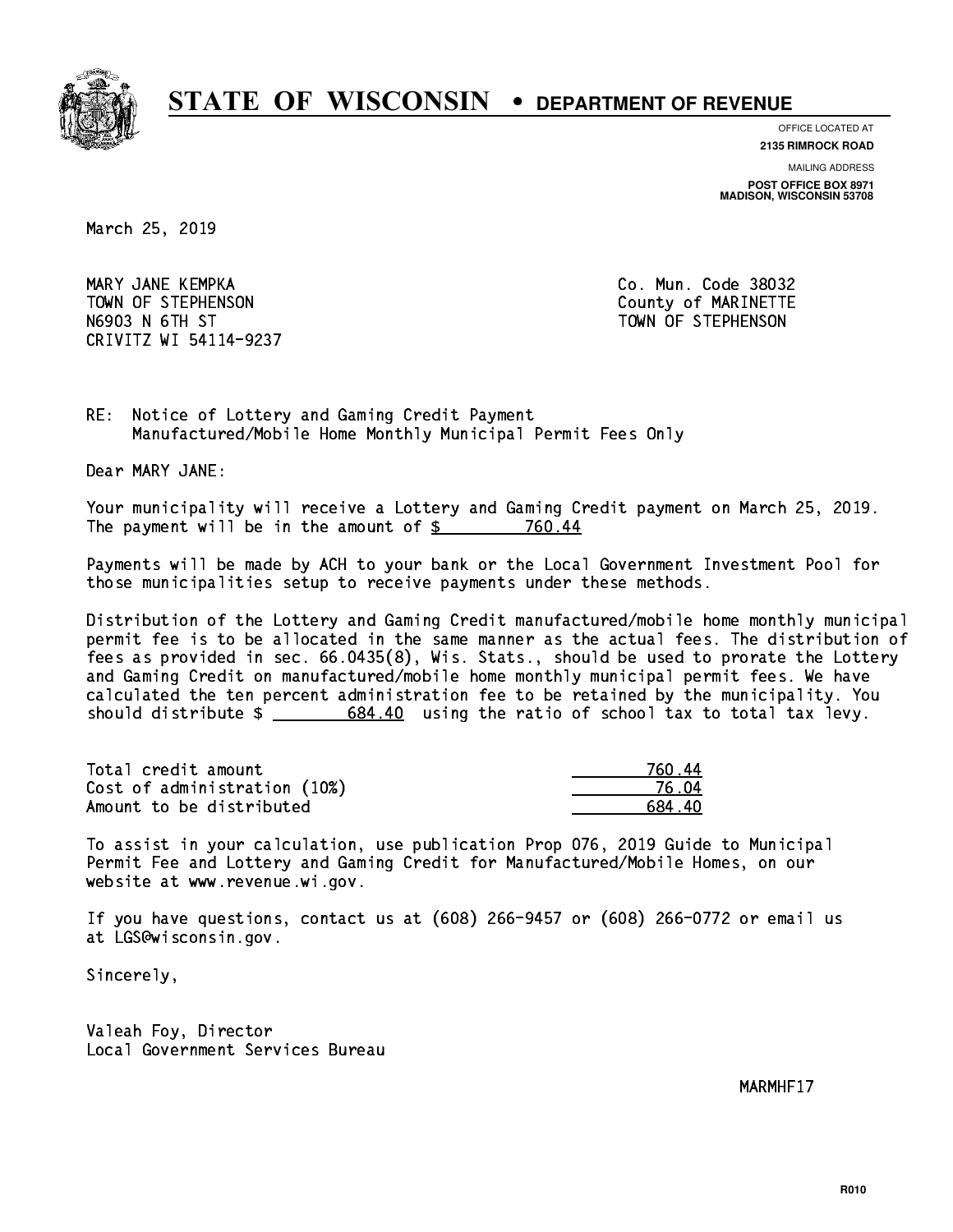

**OFFICE LOCATED AT**

**2135 RIMROCK ROAD**

**MAILING ADDRESS**

**POST OFFICE BOX 8971 MADISON, WISCONSIN 53708**

March 25, 2019

 MARY JANE KEMPKA Co. Mun. Code 38032 TOWN OF STEPHENSON COUNTY OF MARINETTE N6903 N 6TH ST TOWN OF STEPHENSON CRIVITZ WI 54114-9237

RE: Notice of Lottery and Gaming Credit Payment Manufactured/Mobile Home Monthly Municipal Permit Fees Only

Dear MARY JANE:

 Your municipality will receive a Lottery and Gaming Credit payment on March 25, 2019. The payment will be in the amount of \$ 760.44 \_\_\_\_\_\_\_\_\_\_\_\_\_\_\_\_

 Payments will be made by ACH to your bank or the Local Government Investment Pool for those municipalities setup to receive payments under these methods.

 Distribution of the Lottery and Gaming Credit manufactured/mobile home monthly municipal permit fee is to be allocated in the same manner as the actual fees. The distribution of fees as provided in sec. 66.0435(8), Wis. Stats., should be used to prorate the Lottery and Gaming Credit on manufactured/mobile home monthly municipal permit fees. We have calculated the ten percent administration fee to be retained by the municipality. You should distribute  $\frac{2}{1-\frac{684.40}{1-\frac{684.40}{1-\frac{684.40}{1-\frac{684.60}{1-\frac{684.60}{1-\frac{684.60}{1-\frac{684.60}{1-\frac{684.60}{1-\frac{684.60}{1-\frac{684.60}{1-\frac{684.60}{1-\frac{684.60}{1-\frac{684.60}{1-\frac{684.60}{1-\frac{684.60}{1-\frac{684.60}{1-\frac{684.60}{1-\frac{684.60$ 

| Total credit amount          | 760 44 |
|------------------------------|--------|
| Cost of administration (10%) | 76 N4  |
| Amount to be distributed     | 684 40 |

 To assist in your calculation, use publication Prop 076, 2019 Guide to Municipal Permit Fee and Lottery and Gaming Credit for Manufactured/Mobile Homes, on our website at www.revenue.wi.gov.

 If you have questions, contact us at (608) 266-9457 or (608) 266-0772 or email us at LGS@wisconsin.gov.

Sincerely,

 Valeah Foy, Director Local Government Services Bureau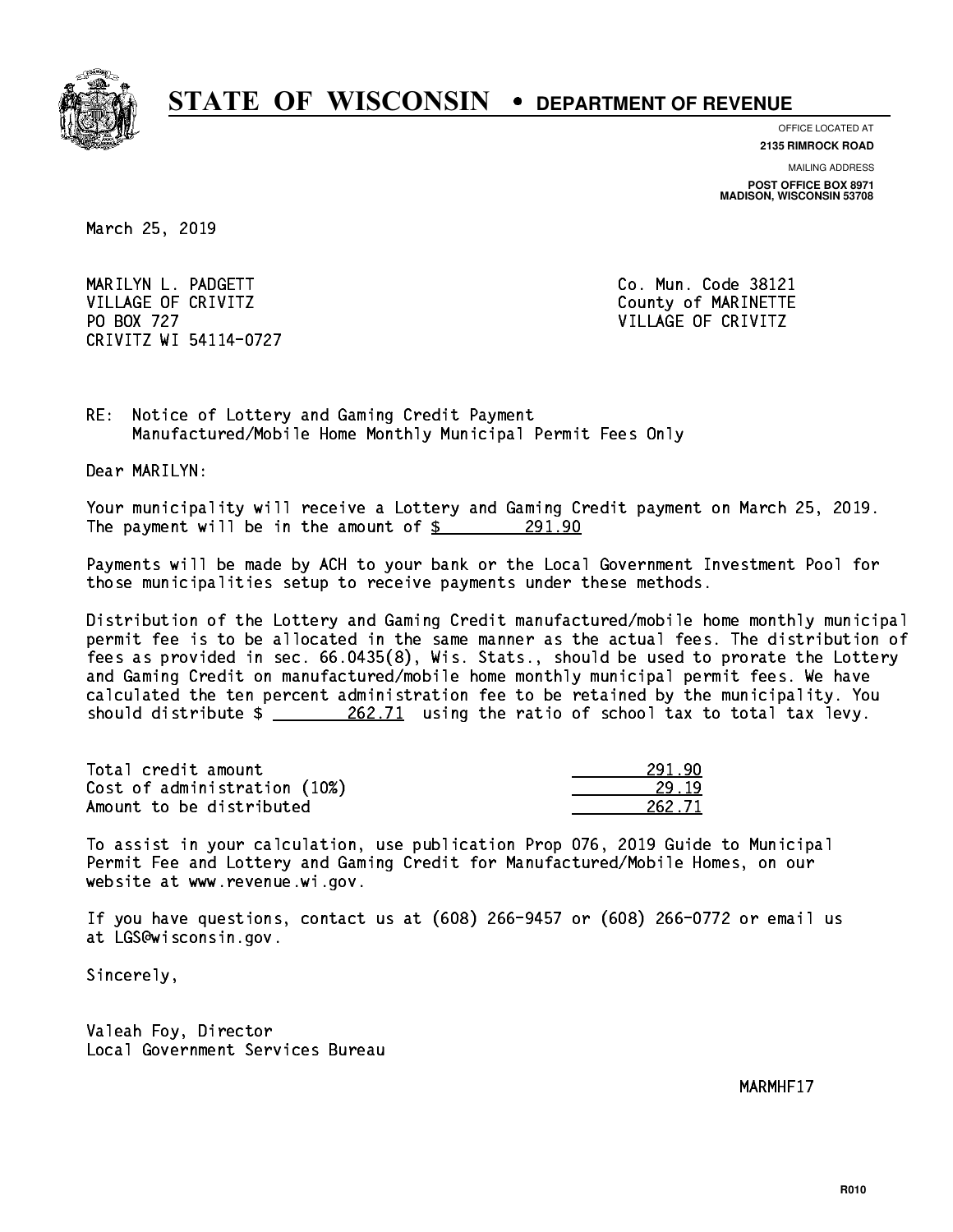

**OFFICE LOCATED AT 2135 RIMROCK ROAD**

**MAILING ADDRESS POST OFFICE BOX 8971 MADISON, WISCONSIN 53708**

March 25, 2019

 MARILYN L. PADGETT Co. Mun. Code 38121 VILLAGE OF CRIVITZ COUNTY COUNTY OF MARINETTE PO BOX 727 VILLAGE OF CRIVITZ CRIVITZ WI 54114-0727

RE: Notice of Lottery and Gaming Credit Payment Manufactured/Mobile Home Monthly Municipal Permit Fees Only

Dear MARILYN:

 Your municipality will receive a Lottery and Gaming Credit payment on March 25, 2019. The payment will be in the amount of  $\frac{291.90}{291.90}$ 

 Payments will be made by ACH to your bank or the Local Government Investment Pool for those municipalities setup to receive payments under these methods.

 Distribution of the Lottery and Gaming Credit manufactured/mobile home monthly municipal permit fee is to be allocated in the same manner as the actual fees. The distribution of fees as provided in sec. 66.0435(8), Wis. Stats., should be used to prorate the Lottery and Gaming Credit on manufactured/mobile home monthly municipal permit fees. We have calculated the ten percent administration fee to be retained by the municipality. You should distribute  $\frac{262.71}{262.71}$  using the ratio of school tax to total tax levy.

Total credit amount 291.90 Cost of administration (10%) Amount to be distributed 262.71

29.19

 To assist in your calculation, use publication Prop 076, 2019 Guide to Municipal Permit Fee and Lottery and Gaming Credit for Manufactured/Mobile Homes, on our website at www.revenue.wi.gov.

 If you have questions, contact us at (608) 266-9457 or (608) 266-0772 or email us at LGS@wisconsin.gov.

Sincerely,

 Valeah Foy, Director Local Government Services Bureau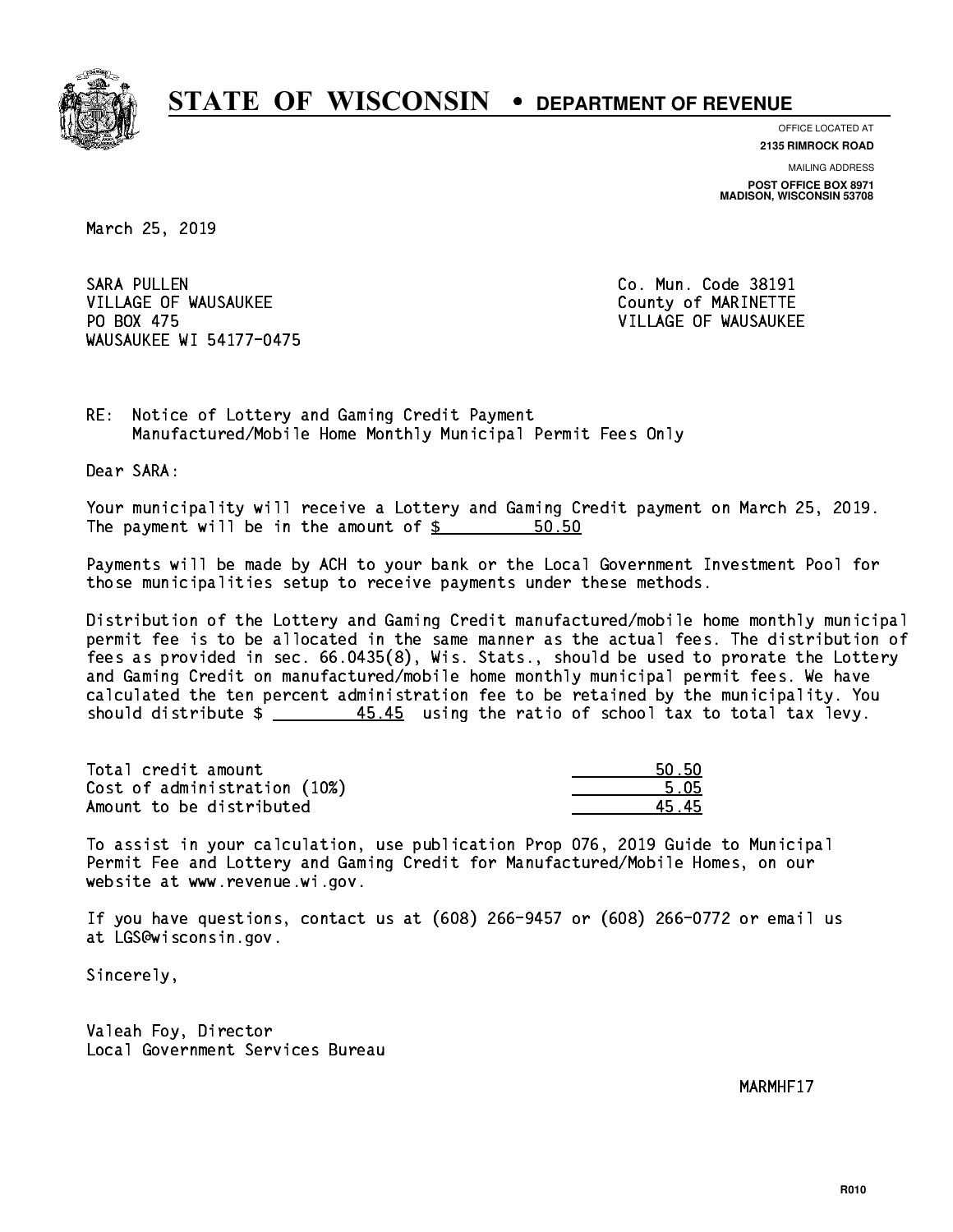

**OFFICE LOCATED AT 2135 RIMROCK ROAD**

**MAILING ADDRESS POST OFFICE BOX 8971 MADISON, WISCONSIN 53708**

March 25, 2019

SARA PULLEN VILLAGE OF WAUSAUKEE COUNTY OF MARINETTE PO BOX 475 WAUSAUKEE WI 54177-0475

Co. Mun. Code 38191 VILLAGE OF WAUSAUKEE

RE: Notice of Lottery and Gaming Credit Payment Manufactured/Mobile Home Monthly Municipal Permit Fees Only

Dear SARA:

 Your municipality will receive a Lottery and Gaming Credit payment on March 25, 2019. The payment will be in the amount of  $\frac{2}{3}$ 50.50

 Payments will be made by ACH to your bank or the Local Government Investment Pool for those municipalities setup to receive payments under these methods.

 Distribution of the Lottery and Gaming Credit manufactured/mobile home monthly municipal permit fee is to be allocated in the same manner as the actual fees. The distribution of fees as provided in sec. 66.0435(8), Wis. Stats., should be used to prorate the Lottery and Gaming Credit on manufactured/mobile home monthly municipal permit fees. We have calculated the ten percent administration fee to be retained by the municipality. You should distribute  $\frac{45.45}{10.45}$  using the ratio of school tax to total tax levy.

Total credit amount Cost of administration (10%) Amount to be distributed

| ьΩ               |
|------------------|
| 5 N5<br>21       |
| , <del>. .</del> |

 To assist in your calculation, use publication Prop 076, 2019 Guide to Municipal Permit Fee and Lottery and Gaming Credit for Manufactured/Mobile Homes, on our website at www.revenue.wi.gov.

 If you have questions, contact us at (608) 266-9457 or (608) 266-0772 or email us at LGS@wisconsin.gov.

Sincerely,

 Valeah Foy, Director Local Government Services Bureau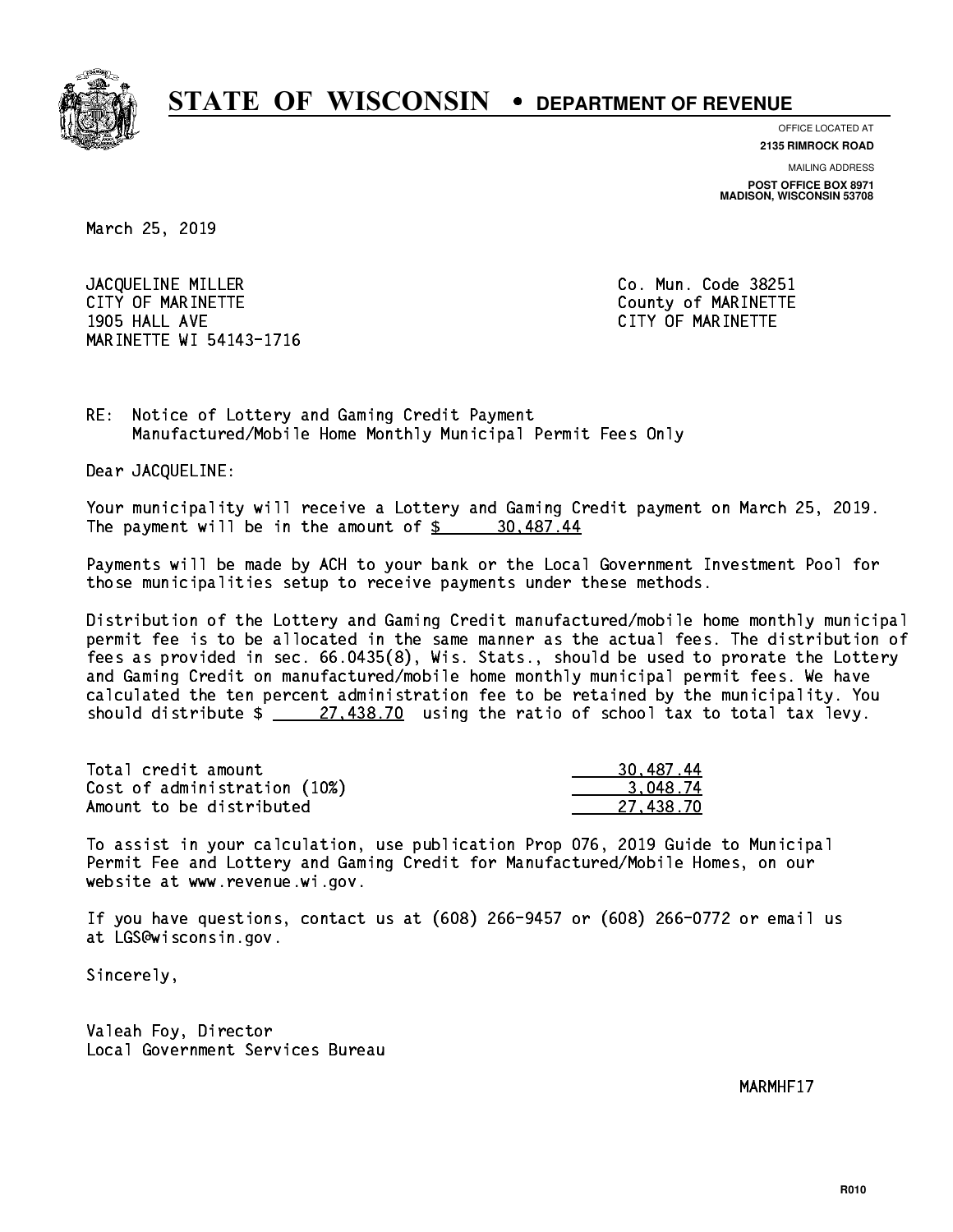

**OFFICE LOCATED AT**

**2135 RIMROCK ROAD**

**MAILING ADDRESS POST OFFICE BOX 8971 MADISON, WISCONSIN 53708**

March 25, 2019

JACQUELINE MILLER Co. Mun. Code 38251 CITY OF MARINETTE COUNTY COUNTY OF MARINETTE 1905 HALL AVE CITY OF MARINETTE MARINETTE WI 54143-1716

RE: Notice of Lottery and Gaming Credit Payment Manufactured/Mobile Home Monthly Municipal Permit Fees Only

Dear JACQUELINE:

 Your municipality will receive a Lottery and Gaming Credit payment on March 25, 2019. The payment will be in the amount of  $\frac{2}{3}$  30,487.44

 Payments will be made by ACH to your bank or the Local Government Investment Pool for those municipalities setup to receive payments under these methods.

 Distribution of the Lottery and Gaming Credit manufactured/mobile home monthly municipal permit fee is to be allocated in the same manner as the actual fees. The distribution of fees as provided in sec. 66.0435(8), Wis. Stats., should be used to prorate the Lottery and Gaming Credit on manufactured/mobile home monthly municipal permit fees. We have calculated the ten percent administration fee to be retained by the municipality. You should distribute  $\frac{27.438.70}{27.438.70}$  using the ratio of school tax to total tax levy.

| Total credit amount          | 30,487.44 |
|------------------------------|-----------|
| Cost of administration (10%) | 3.048.74  |
| Amount to be distributed     | 27.438.70 |

 To assist in your calculation, use publication Prop 076, 2019 Guide to Municipal Permit Fee and Lottery and Gaming Credit for Manufactured/Mobile Homes, on our website at www.revenue.wi.gov.

 If you have questions, contact us at (608) 266-9457 or (608) 266-0772 or email us at LGS@wisconsin.gov.

Sincerely,

 Valeah Foy, Director Local Government Services Bureau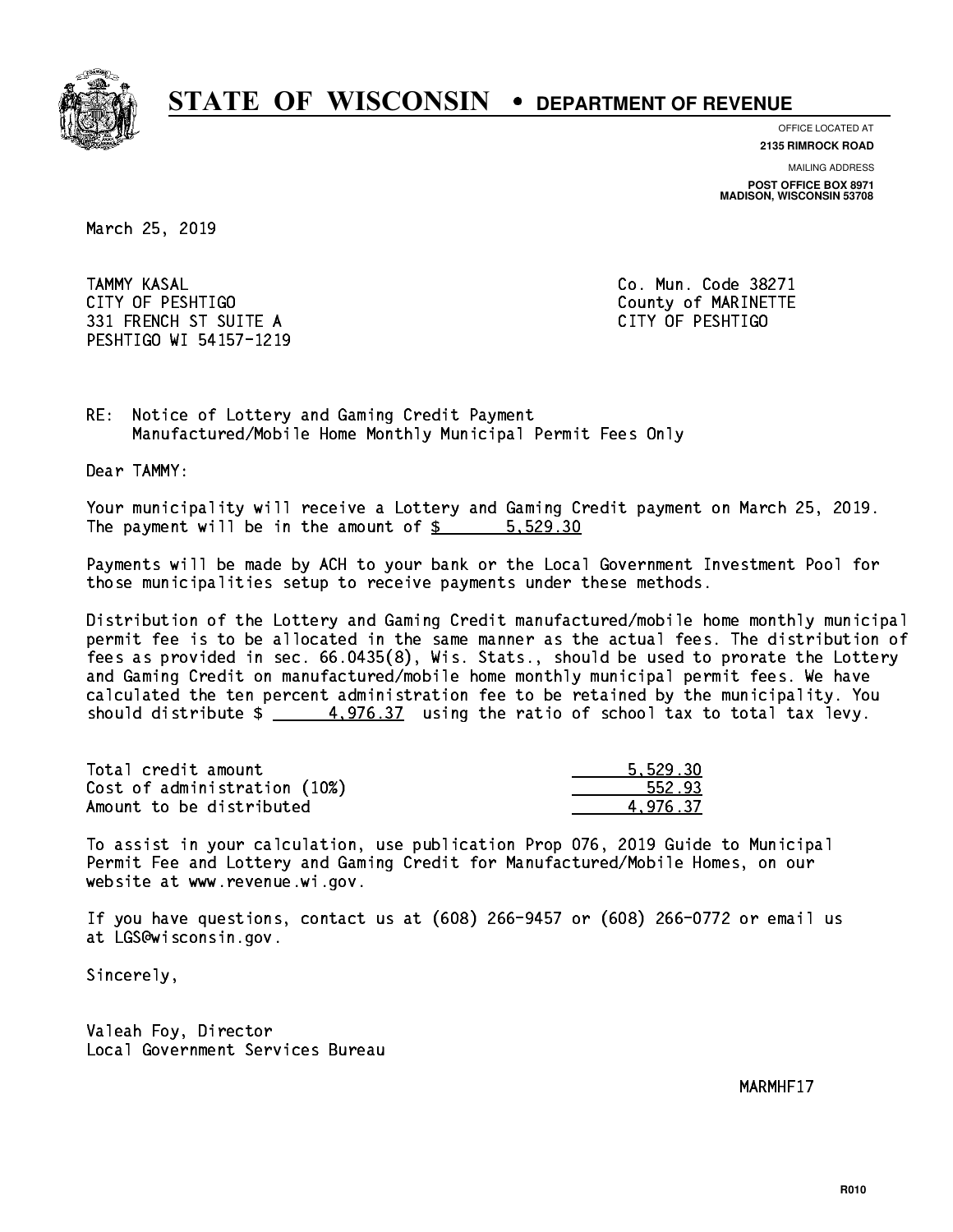

**OFFICE LOCATED AT**

**2135 RIMROCK ROAD**

**MAILING ADDRESS**

**POST OFFICE BOX 8971 MADISON, WISCONSIN 53708**

March 25, 2019

**TAMMY KASAL**  CITY OF PESHTIGO County of MARINETTE 331 FRENCH ST SUITE A CITY OF PESHTIGO PESHTIGO WI 54157-1219

Co. Mun. Code 38271

RE: Notice of Lottery and Gaming Credit Payment Manufactured/Mobile Home Monthly Municipal Permit Fees Only

Dear TAMMY:

 Your municipality will receive a Lottery and Gaming Credit payment on March 25, 2019. The payment will be in the amount of  $\frac{2}{3}$   $\frac{5,529.30}{2}$ 

 Payments will be made by ACH to your bank or the Local Government Investment Pool for those municipalities setup to receive payments under these methods.

 Distribution of the Lottery and Gaming Credit manufactured/mobile home monthly municipal permit fee is to be allocated in the same manner as the actual fees. The distribution of fees as provided in sec. 66.0435(8), Wis. Stats., should be used to prorate the Lottery and Gaming Credit on manufactured/mobile home monthly municipal permit fees. We have calculated the ten percent administration fee to be retained by the municipality. You should distribute  $\frac{4.976.37}{4.976.37}$  using the ratio of school tax to total tax levy.

| Total credit amount          | 5.529.30 |
|------------------------------|----------|
| Cost of administration (10%) | 552.93   |
| Amount to be distributed     | 4.976.37 |

 To assist in your calculation, use publication Prop 076, 2019 Guide to Municipal Permit Fee and Lottery and Gaming Credit for Manufactured/Mobile Homes, on our website at www.revenue.wi.gov.

 If you have questions, contact us at (608) 266-9457 or (608) 266-0772 or email us at LGS@wisconsin.gov.

Sincerely,

 Valeah Foy, Director Local Government Services Bureau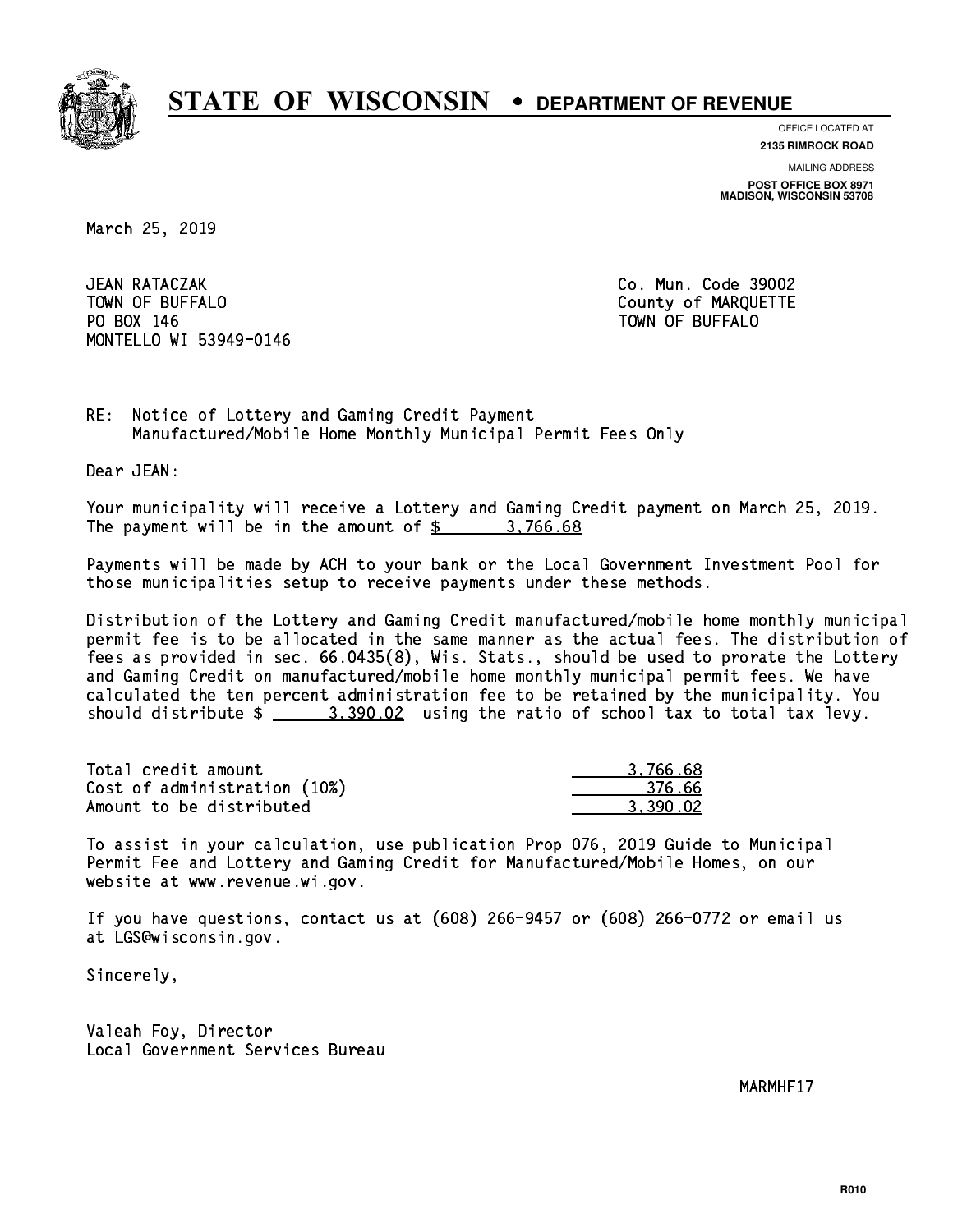

**OFFICE LOCATED AT**

**2135 RIMROCK ROAD**

**MAILING ADDRESS POST OFFICE BOX 8971 MADISON, WISCONSIN 53708**

March 25, 2019

JEAN RATACZAK TOWN OF BUFFALO **COUNTY OF ALCOHOL**  PO BOX 146 TOWN OF BUFFALO MONTELLO WI 53949-0146

Co. Mun. Code 39002

RE: Notice of Lottery and Gaming Credit Payment Manufactured/Mobile Home Monthly Municipal Permit Fees Only

Dear JEAN:

 Your municipality will receive a Lottery and Gaming Credit payment on March 25, 2019. The payment will be in the amount of  $\frac{2}{3}$  3,766.68

 Payments will be made by ACH to your bank or the Local Government Investment Pool for those municipalities setup to receive payments under these methods.

 Distribution of the Lottery and Gaming Credit manufactured/mobile home monthly municipal permit fee is to be allocated in the same manner as the actual fees. The distribution of fees as provided in sec. 66.0435(8), Wis. Stats., should be used to prorate the Lottery and Gaming Credit on manufactured/mobile home monthly municipal permit fees. We have calculated the ten percent administration fee to be retained by the municipality. You should distribute  $\frac{2}{2}$   $\frac{3,390.02}{2}$  using the ratio of school tax to total tax levy.

| Total credit amount          | 3.766.68 |
|------------------------------|----------|
| Cost of administration (10%) | -376.66  |
| Amount to be distributed     | 3.390.02 |

 To assist in your calculation, use publication Prop 076, 2019 Guide to Municipal Permit Fee and Lottery and Gaming Credit for Manufactured/Mobile Homes, on our website at www.revenue.wi.gov.

 If you have questions, contact us at (608) 266-9457 or (608) 266-0772 or email us at LGS@wisconsin.gov.

Sincerely,

 Valeah Foy, Director Local Government Services Bureau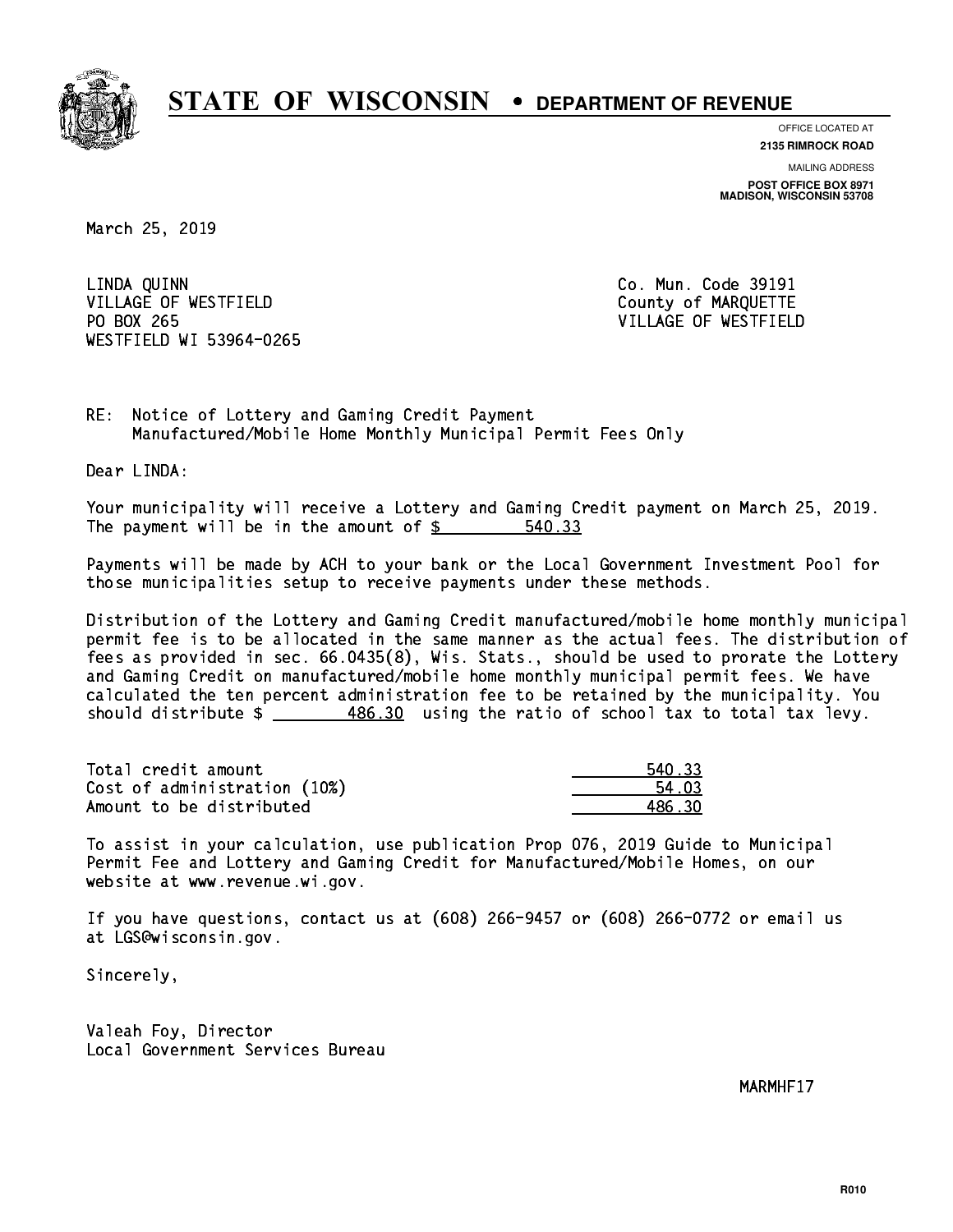

**OFFICE LOCATED AT**

**2135 RIMROCK ROAD**

**MAILING ADDRESS POST OFFICE BOX 8971 MADISON, WISCONSIN 53708**

March 25, 2019

 LINDA QUINN Co. Mun. Code 39191 VILLAGE OF WESTFIELD County of MARQUETTE PO BOX 265 WESTFIELD WI 53964-0265

VILLAGE OF WESTFIELD

RE: Notice of Lottery and Gaming Credit Payment Manufactured/Mobile Home Monthly Municipal Permit Fees Only

Dear LINDA:

 Your municipality will receive a Lottery and Gaming Credit payment on March 25, 2019. The payment will be in the amount of \$ 540.33 \_\_\_\_\_\_\_\_\_\_\_\_\_\_\_\_

 Payments will be made by ACH to your bank or the Local Government Investment Pool for those municipalities setup to receive payments under these methods.

 Distribution of the Lottery and Gaming Credit manufactured/mobile home monthly municipal permit fee is to be allocated in the same manner as the actual fees. The distribution of fees as provided in sec. 66.0435(8), Wis. Stats., should be used to prorate the Lottery and Gaming Credit on manufactured/mobile home monthly municipal permit fees. We have calculated the ten percent administration fee to be retained by the municipality. You should distribute  $\frac{486.30}{1}$  using the ratio of school tax to total tax levy.

Total credit amount 2008 2008 2009 2008 2009 2010 2021 2031 2040 2051 2061 2072 208 209 209 209 209 209 209 20 Cost of administration (10%) 54.03 \_\_\_\_\_\_\_\_\_\_\_\_\_\_ Amount to be distributed and the set of the 486.30 and 486.30 and 486.30 and 486.30 and 486.30 and 486.30 and 4

 To assist in your calculation, use publication Prop 076, 2019 Guide to Municipal Permit Fee and Lottery and Gaming Credit for Manufactured/Mobile Homes, on our website at www.revenue.wi.gov.

 If you have questions, contact us at (608) 266-9457 or (608) 266-0772 or email us at LGS@wisconsin.gov.

Sincerely,

 Valeah Foy, Director Local Government Services Bureau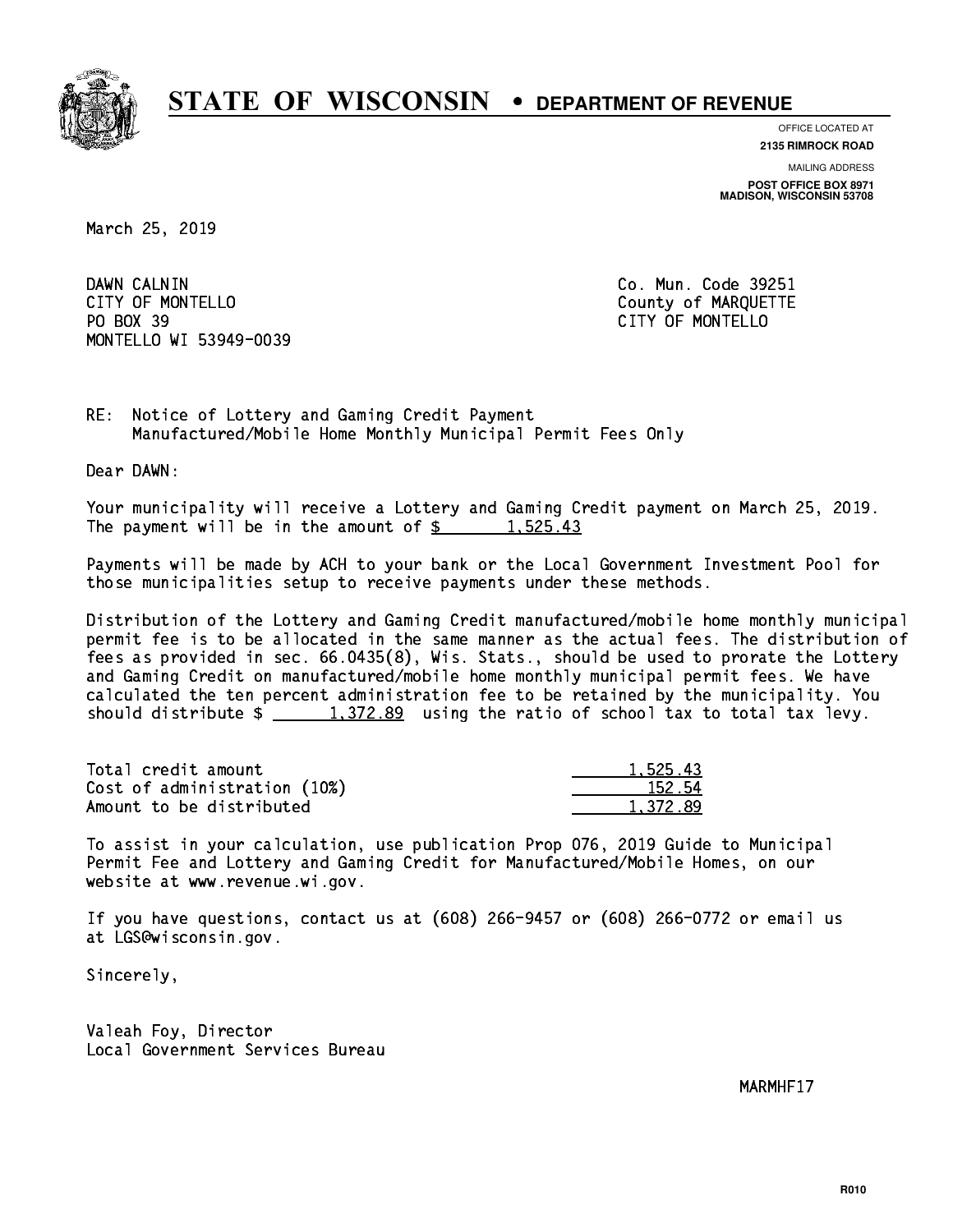

**OFFICE LOCATED AT**

**2135 RIMROCK ROAD**

**MAILING ADDRESS POST OFFICE BOX 8971 MADISON, WISCONSIN 53708**

March 25, 2019

DAWN CALNIN CITY OF MONTELLO **COUNTY OF MARQUETTE** PO BOX 39 PO BOX 39 CITY OF MONTELLO MONTELLO WI 53949-0039

Co. Mun. Code 39251

RE: Notice of Lottery and Gaming Credit Payment Manufactured/Mobile Home Monthly Municipal Permit Fees Only

Dear DAWN:

 Your municipality will receive a Lottery and Gaming Credit payment on March 25, 2019. The payment will be in the amount of  $\frac{2}{3}$  1,525.43

 Payments will be made by ACH to your bank or the Local Government Investment Pool for those municipalities setup to receive payments under these methods.

 Distribution of the Lottery and Gaming Credit manufactured/mobile home monthly municipal permit fee is to be allocated in the same manner as the actual fees. The distribution of fees as provided in sec. 66.0435(8), Wis. Stats., should be used to prorate the Lottery and Gaming Credit on manufactured/mobile home monthly municipal permit fees. We have calculated the ten percent administration fee to be retained by the municipality. You should distribute  $\frac{1,372.89}{1,372.89}$  using the ratio of school tax to total tax levy.

| Total credit amount          | 1,525.43 |
|------------------------------|----------|
| Cost of administration (10%) | 152.54   |
| Amount to be distributed     | 1.372.89 |

 To assist in your calculation, use publication Prop 076, 2019 Guide to Municipal Permit Fee and Lottery and Gaming Credit for Manufactured/Mobile Homes, on our website at www.revenue.wi.gov.

 If you have questions, contact us at (608) 266-9457 or (608) 266-0772 or email us at LGS@wisconsin.gov.

Sincerely,

 Valeah Foy, Director Local Government Services Bureau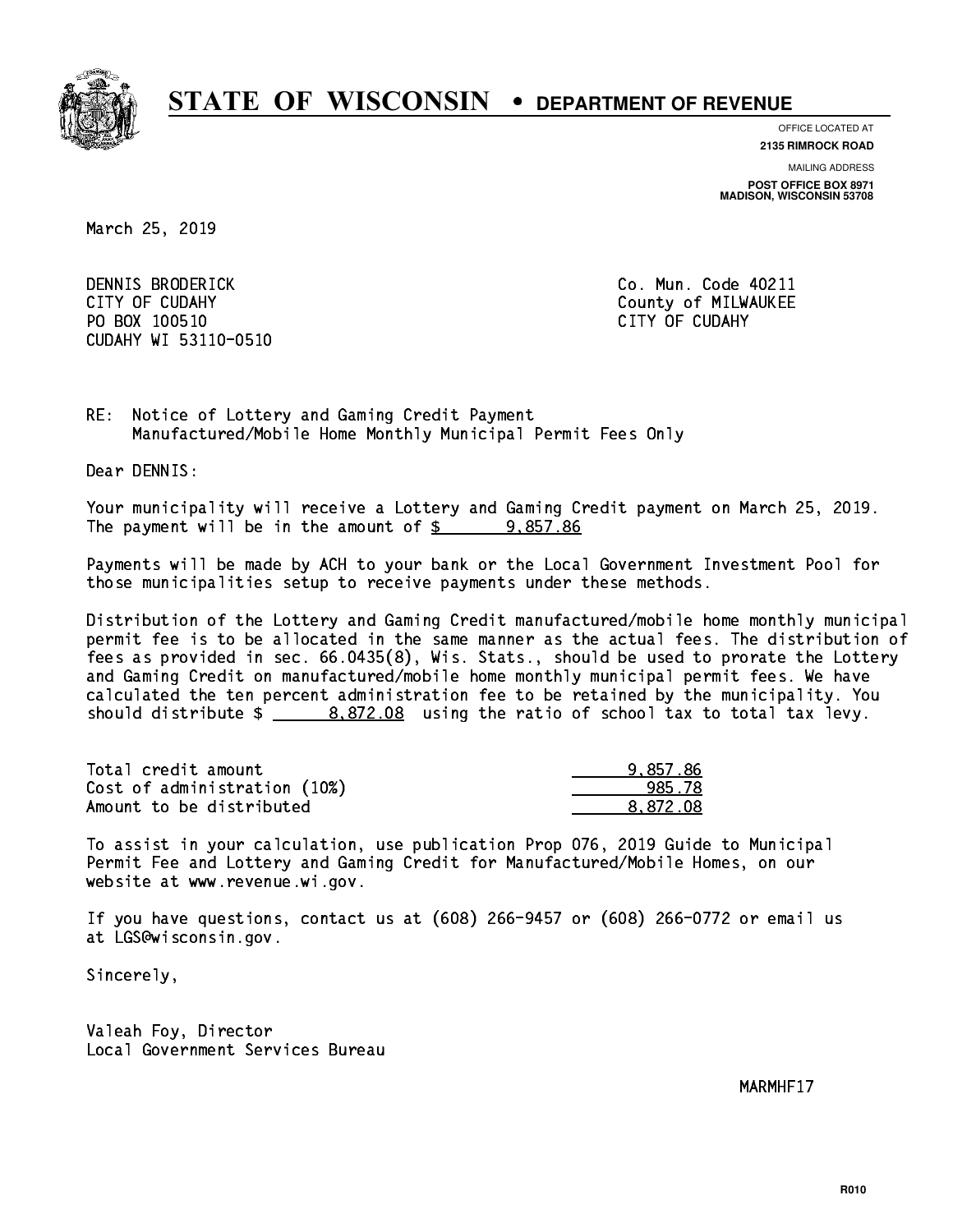

**OFFICE LOCATED AT 2135 RIMROCK ROAD**

**MAILING ADDRESS**

**POST OFFICE BOX 8971 MADISON, WISCONSIN 53708**

March 25, 2019

 DENNIS BRODERICK Co. Mun. Code 40211 CITY OF CUDAHY COUNTY COUNTY COUNTY OF MILWAUKEE PO BOX 100510 CITY OF CUDAHY CUDAHY WI 53110-0510

RE: Notice of Lottery and Gaming Credit Payment Manufactured/Mobile Home Monthly Municipal Permit Fees Only

Dear DENNIS:

 Your municipality will receive a Lottery and Gaming Credit payment on March 25, 2019. The payment will be in the amount of  $\frac{2}{3}$  9,857.86

 Payments will be made by ACH to your bank or the Local Government Investment Pool for those municipalities setup to receive payments under these methods.

 Distribution of the Lottery and Gaming Credit manufactured/mobile home monthly municipal permit fee is to be allocated in the same manner as the actual fees. The distribution of fees as provided in sec. 66.0435(8), Wis. Stats., should be used to prorate the Lottery and Gaming Credit on manufactured/mobile home monthly municipal permit fees. We have calculated the ten percent administration fee to be retained by the municipality. You should distribute  $\frac{2}{1}$   $\frac{8,872.08}{2}$  using the ratio of school tax to total tax levy.

| Total credit amount          | 9.857.86 |
|------------------------------|----------|
| Cost of administration (10%) | 985.78   |
| Amount to be distributed     | 8.872.08 |

 To assist in your calculation, use publication Prop 076, 2019 Guide to Municipal Permit Fee and Lottery and Gaming Credit for Manufactured/Mobile Homes, on our website at www.revenue.wi.gov.

 If you have questions, contact us at (608) 266-9457 or (608) 266-0772 or email us at LGS@wisconsin.gov.

Sincerely,

 Valeah Foy, Director Local Government Services Bureau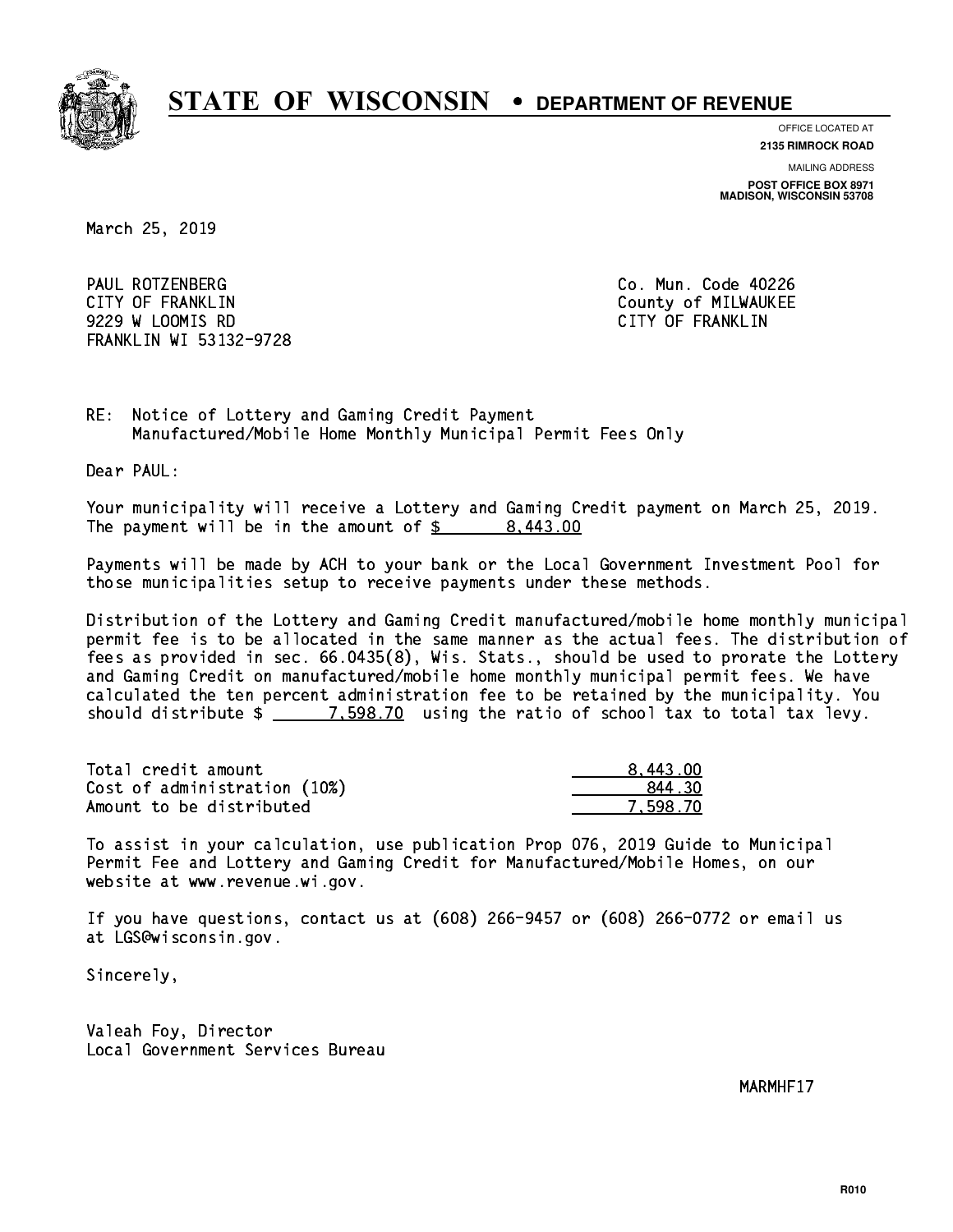

**OFFICE LOCATED AT**

**2135 RIMROCK ROAD**

**MAILING ADDRESS**

**POST OFFICE BOX 8971 MADISON, WISCONSIN 53708**

March 25, 2019

 PAUL ROTZENBERG Co. Mun. Code 40226 CITY OF FRANKLIN COUNTY OF FRANKLIN 9229 W LOOMIS RD CITY OF FRANKLIN FRANKLIN WI 53132-9728

RE: Notice of Lottery and Gaming Credit Payment Manufactured/Mobile Home Monthly Municipal Permit Fees Only

Dear PAUL:

 Your municipality will receive a Lottery and Gaming Credit payment on March 25, 2019. The payment will be in the amount of  $\frac{2}{3}$  8,443.00

 Payments will be made by ACH to your bank or the Local Government Investment Pool for those municipalities setup to receive payments under these methods.

 Distribution of the Lottery and Gaming Credit manufactured/mobile home monthly municipal permit fee is to be allocated in the same manner as the actual fees. The distribution of fees as provided in sec. 66.0435(8), Wis. Stats., should be used to prorate the Lottery and Gaming Credit on manufactured/mobile home monthly municipal permit fees. We have calculated the ten percent administration fee to be retained by the municipality. You should distribute  $\frac{2}{2}$   $\frac{7.598.70}{2}$  using the ratio of school tax to total tax levy.

| Total credit amount          | 8.443.00 |
|------------------------------|----------|
| Cost of administration (10%) | 844.30   |
| Amount to be distributed     | 7.598.70 |

 To assist in your calculation, use publication Prop 076, 2019 Guide to Municipal Permit Fee and Lottery and Gaming Credit for Manufactured/Mobile Homes, on our website at www.revenue.wi.gov.

 If you have questions, contact us at (608) 266-9457 or (608) 266-0772 or email us at LGS@wisconsin.gov.

Sincerely,

 Valeah Foy, Director Local Government Services Bureau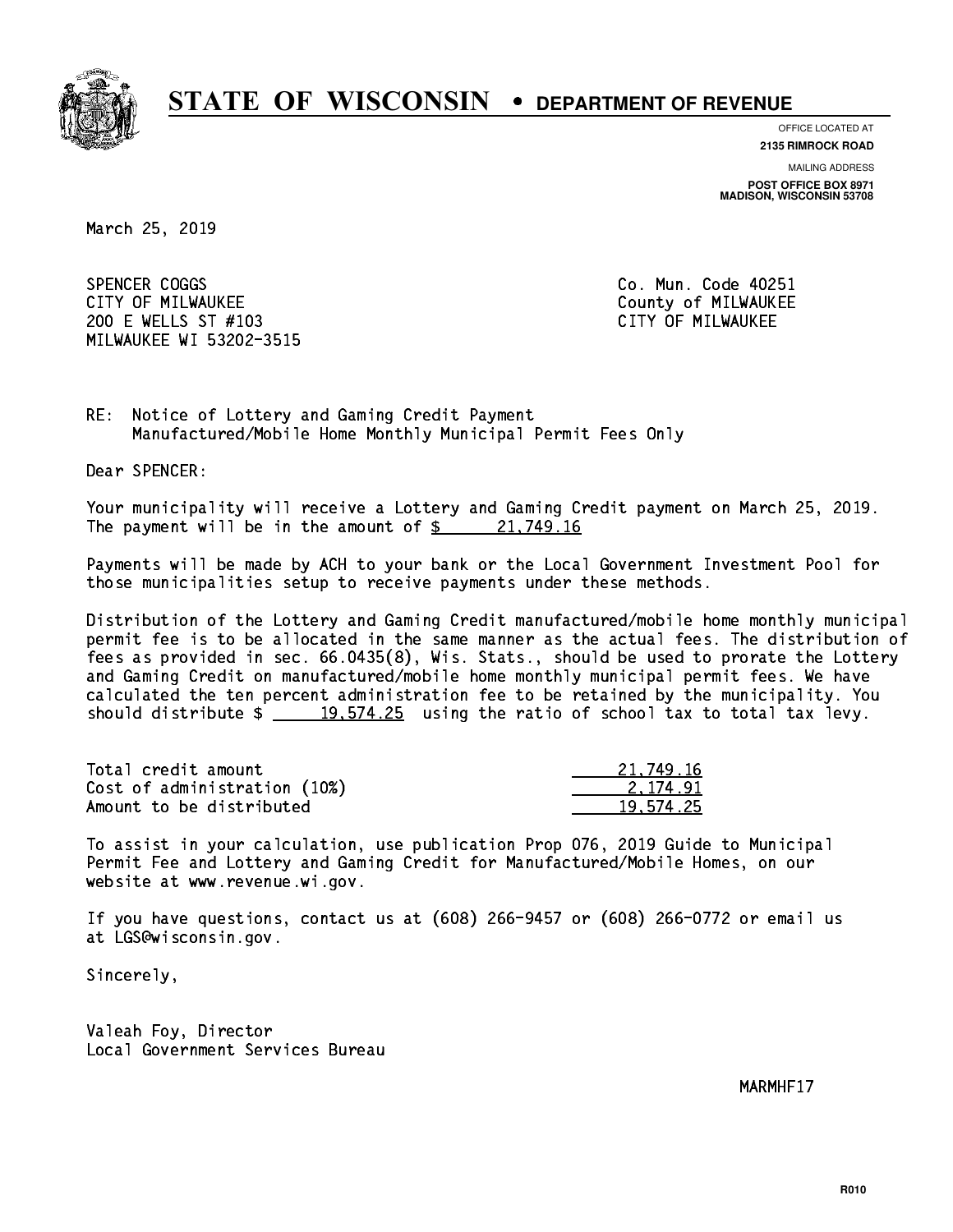

**OFFICE LOCATED AT**

**2135 RIMROCK ROAD**

**MAILING ADDRESS**

**POST OFFICE BOX 8971 MADISON, WISCONSIN 53708**

March 25, 2019

SPENCER COGGS CITY OF MILWAUKEE CITY OF MILWAUKEE 200 E WELLS ST #103 CITY OF MILWAUKEE MILWAUKEE WI 53202-3515

Co. Mun. Code 40251

RE: Notice of Lottery and Gaming Credit Payment Manufactured/Mobile Home Monthly Municipal Permit Fees Only

Dear SPENCER:

 Your municipality will receive a Lottery and Gaming Credit payment on March 25, 2019. The payment will be in the amount of  $\frac{21,749.16}{21,749.16}$ 

 Payments will be made by ACH to your bank or the Local Government Investment Pool for those municipalities setup to receive payments under these methods.

 Distribution of the Lottery and Gaming Credit manufactured/mobile home monthly municipal permit fee is to be allocated in the same manner as the actual fees. The distribution of fees as provided in sec. 66.0435(8), Wis. Stats., should be used to prorate the Lottery and Gaming Credit on manufactured/mobile home monthly municipal permit fees. We have calculated the ten percent administration fee to be retained by the municipality. You should distribute  $\frac{19,574.25}{2}$  using the ratio of school tax to total tax levy.

| Total credit amount          | 21,749.16 |
|------------------------------|-----------|
| Cost of administration (10%) | 2.174.91  |
| Amount to be distributed     | 19.574.25 |

 To assist in your calculation, use publication Prop 076, 2019 Guide to Municipal Permit Fee and Lottery and Gaming Credit for Manufactured/Mobile Homes, on our website at www.revenue.wi.gov.

 If you have questions, contact us at (608) 266-9457 or (608) 266-0772 or email us at LGS@wisconsin.gov.

Sincerely,

 Valeah Foy, Director Local Government Services Bureau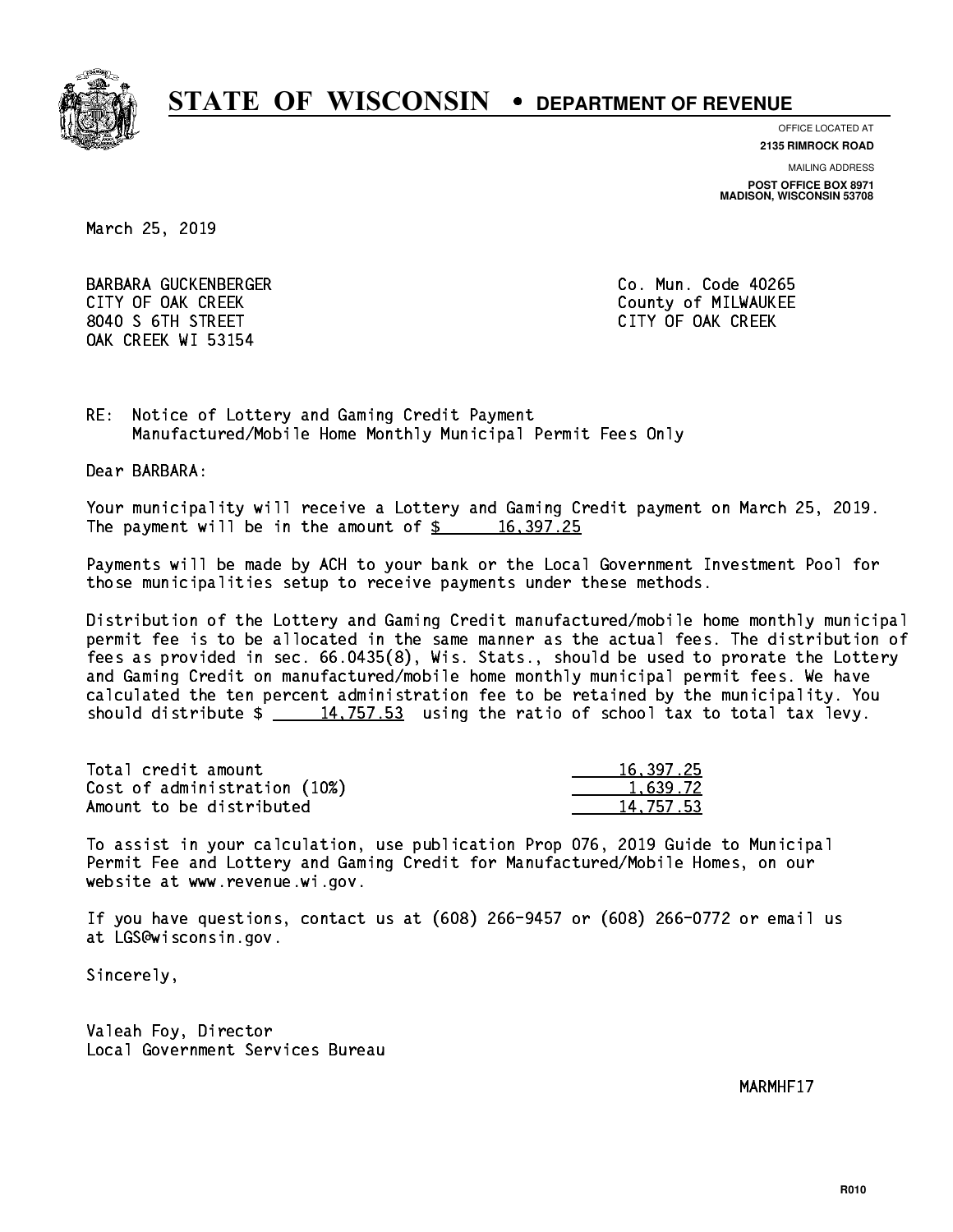

**OFFICE LOCATED AT**

**2135 RIMROCK ROAD**

**MAILING ADDRESS**

**POST OFFICE BOX 8971 MADISON, WISCONSIN 53708**

March 25, 2019

 BARBARA GUCKENBERGER Co. Mun. Code 40265 CITY OF OAK CREEK COUNTY COUNTY OF MILWAUKEE 8040 S 6TH STREET CITY OF OAK CREEK OAK CREEK WI 53154

RE: Notice of Lottery and Gaming Credit Payment Manufactured/Mobile Home Monthly Municipal Permit Fees Only

Dear BARBARA:

 Your municipality will receive a Lottery and Gaming Credit payment on March 25, 2019. The payment will be in the amount of  $\frac{2}{3}$  16,397.25

 Payments will be made by ACH to your bank or the Local Government Investment Pool for those municipalities setup to receive payments under these methods.

 Distribution of the Lottery and Gaming Credit manufactured/mobile home monthly municipal permit fee is to be allocated in the same manner as the actual fees. The distribution of fees as provided in sec. 66.0435(8), Wis. Stats., should be used to prorate the Lottery and Gaming Credit on manufactured/mobile home monthly municipal permit fees. We have calculated the ten percent administration fee to be retained by the municipality. You should distribute  $\frac{14,757.53}{2}$  using the ratio of school tax to total tax levy.

| Total credit amount          | 16, 397, 25 |
|------------------------------|-------------|
| Cost of administration (10%) | 1.639.72    |
| Amount to be distributed     | 14.757.53   |

 To assist in your calculation, use publication Prop 076, 2019 Guide to Municipal Permit Fee and Lottery and Gaming Credit for Manufactured/Mobile Homes, on our website at www.revenue.wi.gov.

 If you have questions, contact us at (608) 266-9457 or (608) 266-0772 or email us at LGS@wisconsin.gov.

Sincerely,

 Valeah Foy, Director Local Government Services Bureau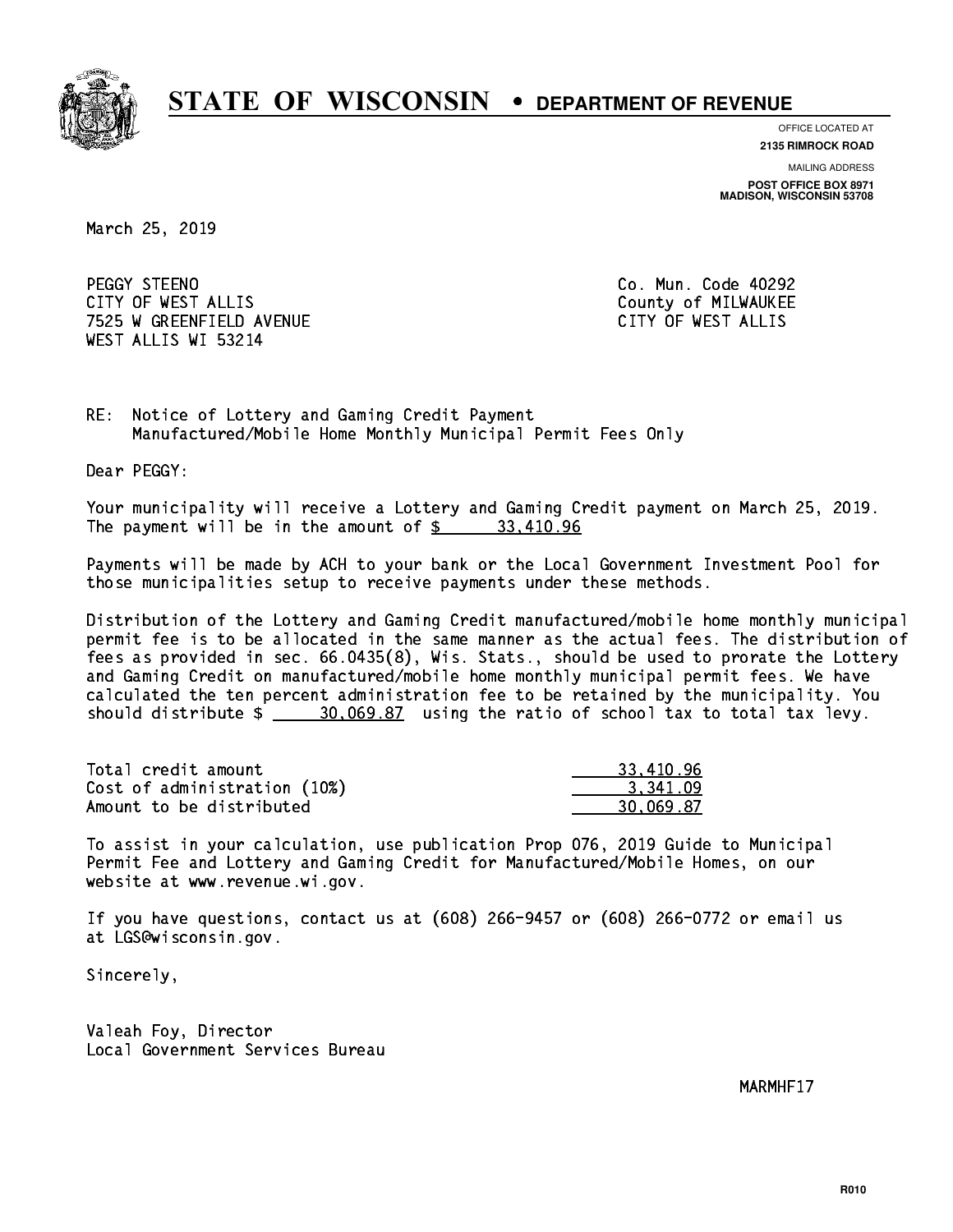

**OFFICE LOCATED AT**

**2135 RIMROCK ROAD**

**MAILING ADDRESS**

**POST OFFICE BOX 8971 MADISON, WISCONSIN 53708**

March 25, 2019

PEGGY STEENO CITY OF WEST ALLIS COUNTY COUNTY OF MILWAUKEE 7525 W GREENFIELD AVENUE CITY OF WEST ALLIS WEST ALLIS WI 53214

Co. Mun. Code 40292

RE: Notice of Lottery and Gaming Credit Payment Manufactured/Mobile Home Monthly Municipal Permit Fees Only

Dear PEGGY:

 Your municipality will receive a Lottery and Gaming Credit payment on March 25, 2019. The payment will be in the amount of  $\frac{2}{3}$  33,410.96

 Payments will be made by ACH to your bank or the Local Government Investment Pool for those municipalities setup to receive payments under these methods.

 Distribution of the Lottery and Gaming Credit manufactured/mobile home monthly municipal permit fee is to be allocated in the same manner as the actual fees. The distribution of fees as provided in sec. 66.0435(8), Wis. Stats., should be used to prorate the Lottery and Gaming Credit on manufactured/mobile home monthly municipal permit fees. We have calculated the ten percent administration fee to be retained by the municipality. You should distribute  $\frac{20,069.87}{2}$  using the ratio of school tax to total tax levy.

| Total credit amount          | 33,410.96 |
|------------------------------|-----------|
| Cost of administration (10%) | 3.341.09  |
| Amount to be distributed     | 30.069.87 |

 To assist in your calculation, use publication Prop 076, 2019 Guide to Municipal Permit Fee and Lottery and Gaming Credit for Manufactured/Mobile Homes, on our website at www.revenue.wi.gov.

 If you have questions, contact us at (608) 266-9457 or (608) 266-0772 or email us at LGS@wisconsin.gov.

Sincerely,

 Valeah Foy, Director Local Government Services Bureau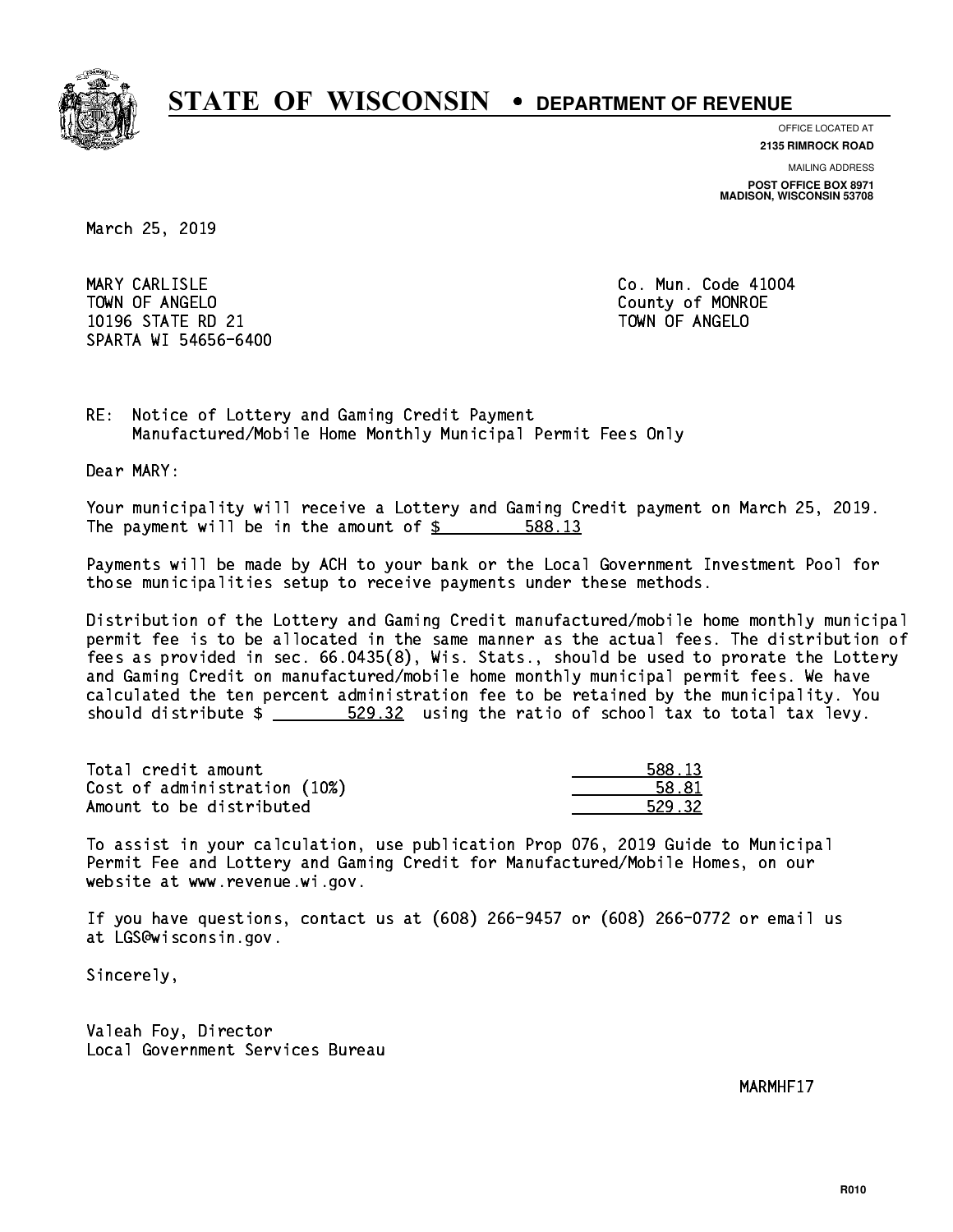

**OFFICE LOCATED AT**

**MAILING ADDRESS 2135 RIMROCK ROAD**

**POST OFFICE BOX 8971 MADISON, WISCONSIN 53708**

March 25, 2019

MARY CARLISLE TOWN OF ANGELO County of MONROE 10196 STATE RD 21 TOWN OF ANGELO SPARTA WI 54656-6400

Co. Mun. Code 41004

RE: Notice of Lottery and Gaming Credit Payment Manufactured/Mobile Home Monthly Municipal Permit Fees Only

Dear MARY:

 Your municipality will receive a Lottery and Gaming Credit payment on March 25, 2019. The payment will be in the amount of \$ 588.13 \_\_\_\_\_\_\_\_\_\_\_\_\_\_\_\_

 Payments will be made by ACH to your bank or the Local Government Investment Pool for those municipalities setup to receive payments under these methods.

 Distribution of the Lottery and Gaming Credit manufactured/mobile home monthly municipal permit fee is to be allocated in the same manner as the actual fees. The distribution of fees as provided in sec. 66.0435(8), Wis. Stats., should be used to prorate the Lottery and Gaming Credit on manufactured/mobile home monthly municipal permit fees. We have calculated the ten percent administration fee to be retained by the municipality. You should distribute  $\frac{20.32}{2}$  using the ratio of school tax to total tax levy.

| Total credit amount          | 588.13 |
|------------------------------|--------|
| Cost of administration (10%) | 58.81  |
| Amount to be distributed     | 529.32 |

| $^{\circ}$ 13 |
|---------------|
| 81            |
| 9.32          |

 To assist in your calculation, use publication Prop 076, 2019 Guide to Municipal Permit Fee and Lottery and Gaming Credit for Manufactured/Mobile Homes, on our website at www.revenue.wi.gov.

 If you have questions, contact us at (608) 266-9457 or (608) 266-0772 or email us at LGS@wisconsin.gov.

Sincerely,

 Valeah Foy, Director Local Government Services Bureau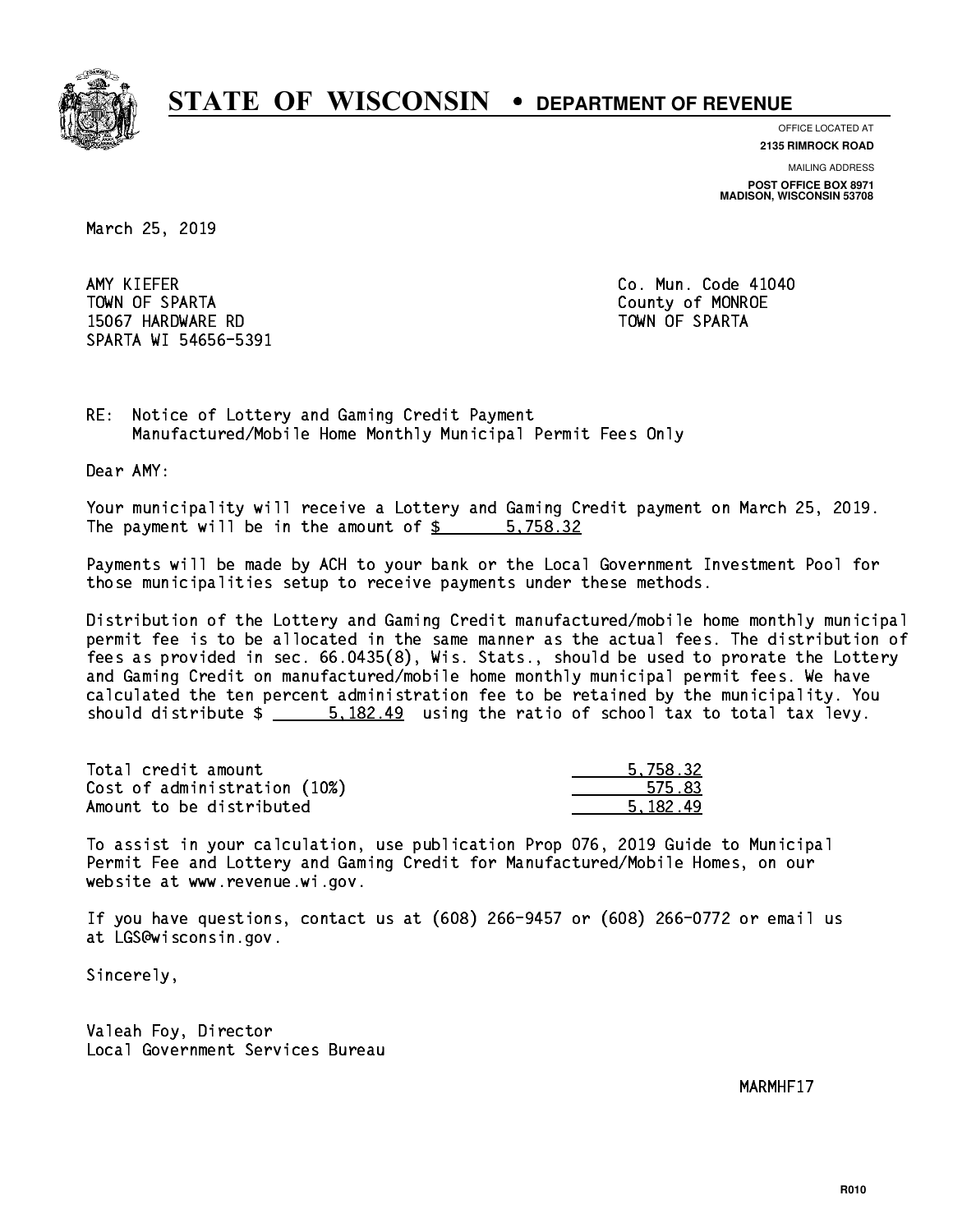

**OFFICE LOCATED AT**

**2135 RIMROCK ROAD**

**MAILING ADDRESS POST OFFICE BOX 8971 MADISON, WISCONSIN 53708**

March 25, 2019

AMY KIEFER TOWN OF SPARTA County of MONROE 15067 HARDWARE RD TOWN OF SPARTA SPARTA WI 54656-5391

Co. Mun. Code 41040

RE: Notice of Lottery and Gaming Credit Payment Manufactured/Mobile Home Monthly Municipal Permit Fees Only

Dear AMY:

 Your municipality will receive a Lottery and Gaming Credit payment on March 25, 2019. The payment will be in the amount of \$ 5,758.32 \_\_\_\_\_\_\_\_\_\_\_\_\_\_\_\_

 Payments will be made by ACH to your bank or the Local Government Investment Pool for those municipalities setup to receive payments under these methods.

 Distribution of the Lottery and Gaming Credit manufactured/mobile home monthly municipal permit fee is to be allocated in the same manner as the actual fees. The distribution of fees as provided in sec. 66.0435(8), Wis. Stats., should be used to prorate the Lottery and Gaming Credit on manufactured/mobile home monthly municipal permit fees. We have calculated the ten percent administration fee to be retained by the municipality. You should distribute  $\frac{2}{1}$   $\frac{5.182.49}{2}$  using the ratio of school tax to total tax levy.

| Total credit amount          | 5.758.32 |
|------------------------------|----------|
| Cost of administration (10%) | 575.83   |
| Amount to be distributed     | 5.182.49 |

 To assist in your calculation, use publication Prop 076, 2019 Guide to Municipal Permit Fee and Lottery and Gaming Credit for Manufactured/Mobile Homes, on our website at www.revenue.wi.gov.

 If you have questions, contact us at (608) 266-9457 or (608) 266-0772 or email us at LGS@wisconsin.gov.

Sincerely,

 Valeah Foy, Director Local Government Services Bureau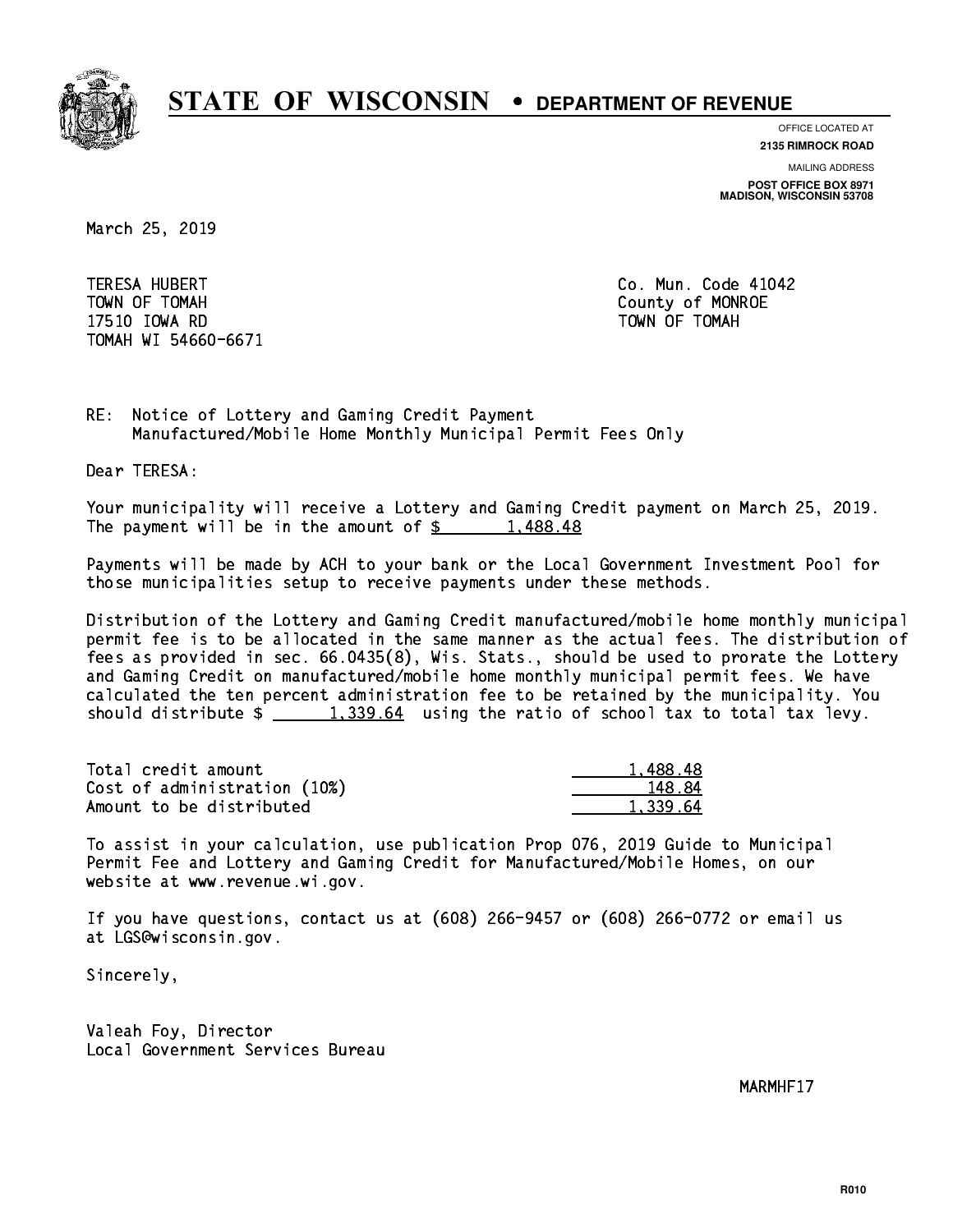

**OFFICE LOCATED AT**

**MAILING ADDRESS 2135 RIMROCK ROAD**

**POST OFFICE BOX 8971 MADISON, WISCONSIN 53708**

March 25, 2019

 TERESA HUBERT Co. Mun. Code 41042 TOWN OF TOMAH County of MONROE 17510 IOWA RD TOWN OF TOMAH TOMAH WI 54660-6671

RE: Notice of Lottery and Gaming Credit Payment Manufactured/Mobile Home Monthly Municipal Permit Fees Only

Dear TERESA:

 Your municipality will receive a Lottery and Gaming Credit payment on March 25, 2019. The payment will be in the amount of  $\frac{2}{3}$  1,488.48

 Payments will be made by ACH to your bank or the Local Government Investment Pool for those municipalities setup to receive payments under these methods.

 Distribution of the Lottery and Gaming Credit manufactured/mobile home monthly municipal permit fee is to be allocated in the same manner as the actual fees. The distribution of fees as provided in sec. 66.0435(8), Wis. Stats., should be used to prorate the Lottery and Gaming Credit on manufactured/mobile home monthly municipal permit fees. We have calculated the ten percent administration fee to be retained by the municipality. You should distribute  $\frac{1,339.64}{1,339.64}$  using the ratio of school tax to total tax levy.

| Total credit amount          | 1,488.48 |
|------------------------------|----------|
| Cost of administration (10%) | 148.84   |
| Amount to be distributed     | 1,339.64 |

 To assist in your calculation, use publication Prop 076, 2019 Guide to Municipal Permit Fee and Lottery and Gaming Credit for Manufactured/Mobile Homes, on our website at www.revenue.wi.gov.

 If you have questions, contact us at (608) 266-9457 or (608) 266-0772 or email us at LGS@wisconsin.gov.

Sincerely,

 Valeah Foy, Director Local Government Services Bureau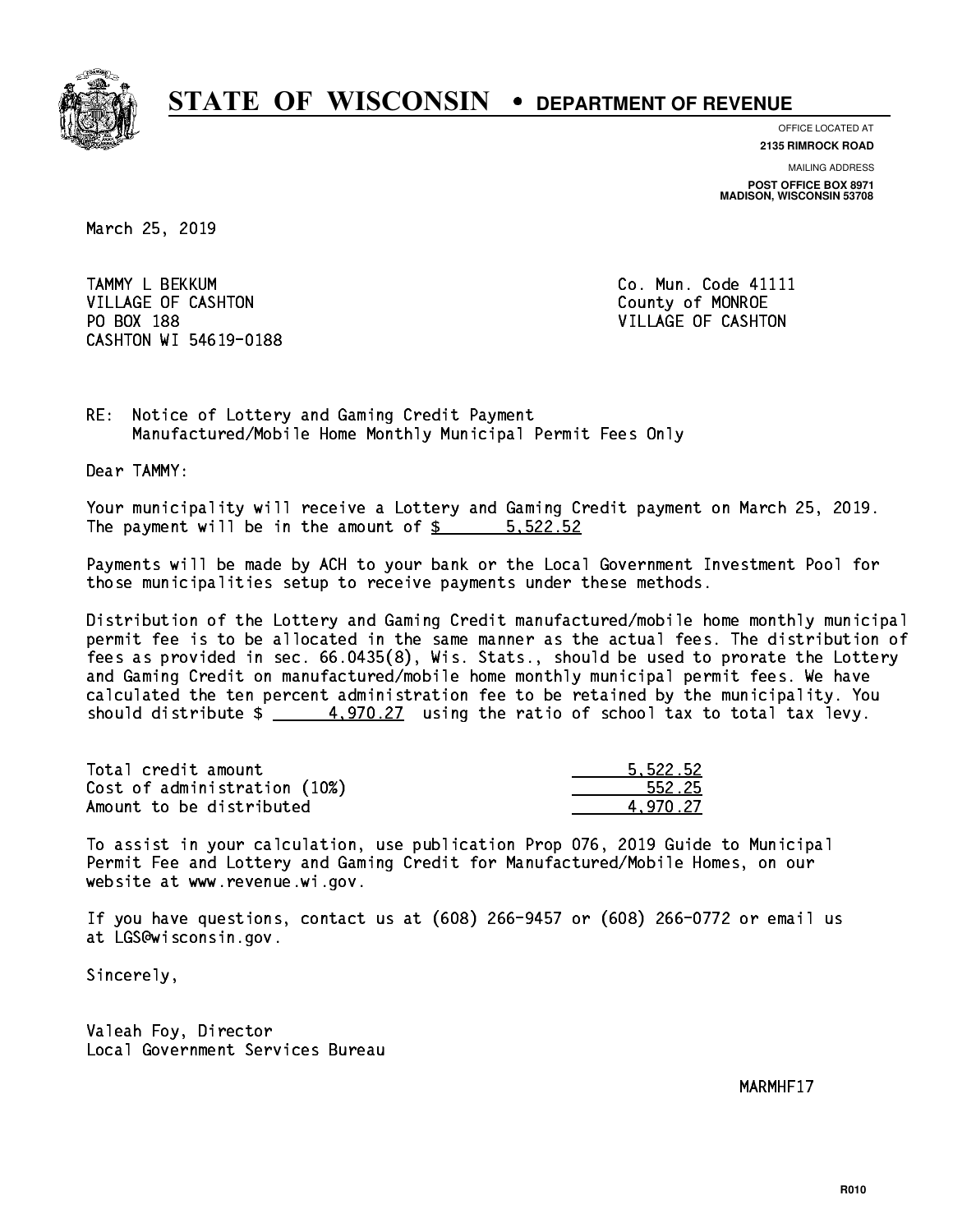

**OFFICE LOCATED AT**

**2135 RIMROCK ROAD**

**MAILING ADDRESS POST OFFICE BOX 8971 MADISON, WISCONSIN 53708**

March 25, 2019

TAMMY L BEKKUM **Communist Communist Communist Communist Communist Communist Communist Communist Communist Communist Communist Communist Communist Communist Communist Communist Communist Communist Communist Communist Commun** VILLAGE OF CASHTON COUNTY OF MONROE PO BOX 188 VILLAGE OF CASHTON CASHTON WI 54619-0188

RE: Notice of Lottery and Gaming Credit Payment Manufactured/Mobile Home Monthly Municipal Permit Fees Only

Dear TAMMY:

 Your municipality will receive a Lottery and Gaming Credit payment on March 25, 2019. The payment will be in the amount of \$ 5,522.52 \_\_\_\_\_\_\_\_\_\_\_\_\_\_\_\_

 Payments will be made by ACH to your bank or the Local Government Investment Pool for those municipalities setup to receive payments under these methods.

 Distribution of the Lottery and Gaming Credit manufactured/mobile home monthly municipal permit fee is to be allocated in the same manner as the actual fees. The distribution of fees as provided in sec. 66.0435(8), Wis. Stats., should be used to prorate the Lottery and Gaming Credit on manufactured/mobile home monthly municipal permit fees. We have calculated the ten percent administration fee to be retained by the municipality. You should distribute  $\frac{4,970.27}{2}$  using the ratio of school tax to total tax levy.

| Total credit amount          | 5.522.52 |
|------------------------------|----------|
| Cost of administration (10%) | 552.25   |
| Amount to be distributed     | 4.970.27 |

 To assist in your calculation, use publication Prop 076, 2019 Guide to Municipal Permit Fee and Lottery and Gaming Credit for Manufactured/Mobile Homes, on our website at www.revenue.wi.gov.

 If you have questions, contact us at (608) 266-9457 or (608) 266-0772 or email us at LGS@wisconsin.gov.

Sincerely,

 Valeah Foy, Director Local Government Services Bureau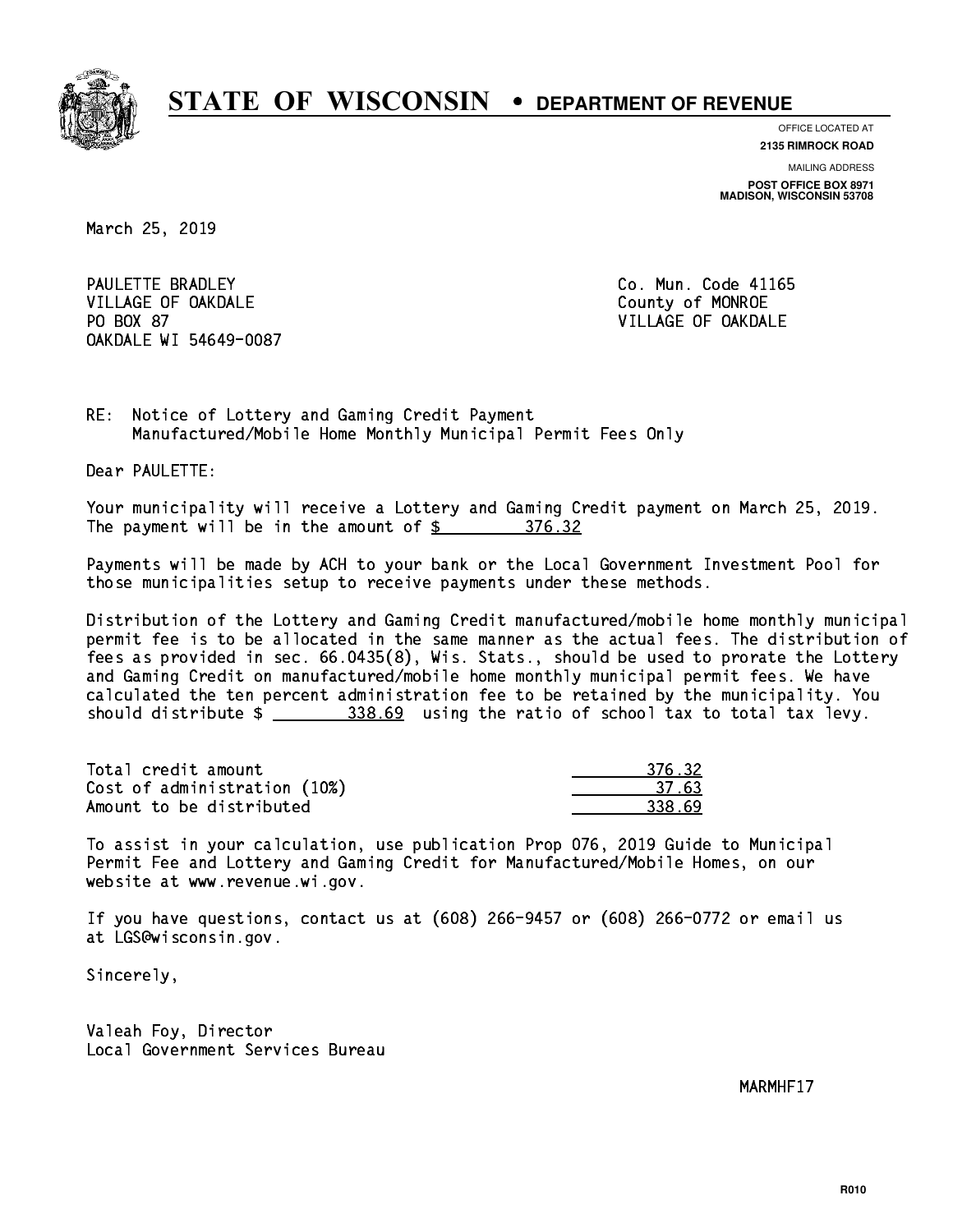

**OFFICE LOCATED AT**

**2135 RIMROCK ROAD**

**MAILING ADDRESS POST OFFICE BOX 8971 MADISON, WISCONSIN 53708**

March 25, 2019

PAULETTE BRADLEY VILLAGE OF OAKDALE COUNTY OF MONROE PO BOX 87 OAKDALE WI 54649-0087

Co. Mun. Code 41165 VILLAGE OF OAKDALE

RE: Notice of Lottery and Gaming Credit Payment Manufactured/Mobile Home Monthly Municipal Permit Fees Only

Dear PAULETTE:

 Your municipality will receive a Lottery and Gaming Credit payment on March 25, 2019. The payment will be in the amount of \$ 376.32 \_\_\_\_\_\_\_\_\_\_\_\_\_\_\_\_

 Payments will be made by ACH to your bank or the Local Government Investment Pool for those municipalities setup to receive payments under these methods.

 Distribution of the Lottery and Gaming Credit manufactured/mobile home monthly municipal permit fee is to be allocated in the same manner as the actual fees. The distribution of fees as provided in sec. 66.0435(8), Wis. Stats., should be used to prorate the Lottery and Gaming Credit on manufactured/mobile home monthly municipal permit fees. We have calculated the ten percent administration fee to be retained by the municipality. You should distribute  $\frac{2}{2}$   $\frac{338.69}{2}$  using the ratio of school tax to total tax levy.

Total credit amount Cost of administration (10%) Amount to be distributed

| 376.32      |
|-------------|
| 37.63       |
| - 52<br>ny. |

 To assist in your calculation, use publication Prop 076, 2019 Guide to Municipal Permit Fee and Lottery and Gaming Credit for Manufactured/Mobile Homes, on our website at www.revenue.wi.gov.

 If you have questions, contact us at (608) 266-9457 or (608) 266-0772 or email us at LGS@wisconsin.gov.

Sincerely,

 Valeah Foy, Director Local Government Services Bureau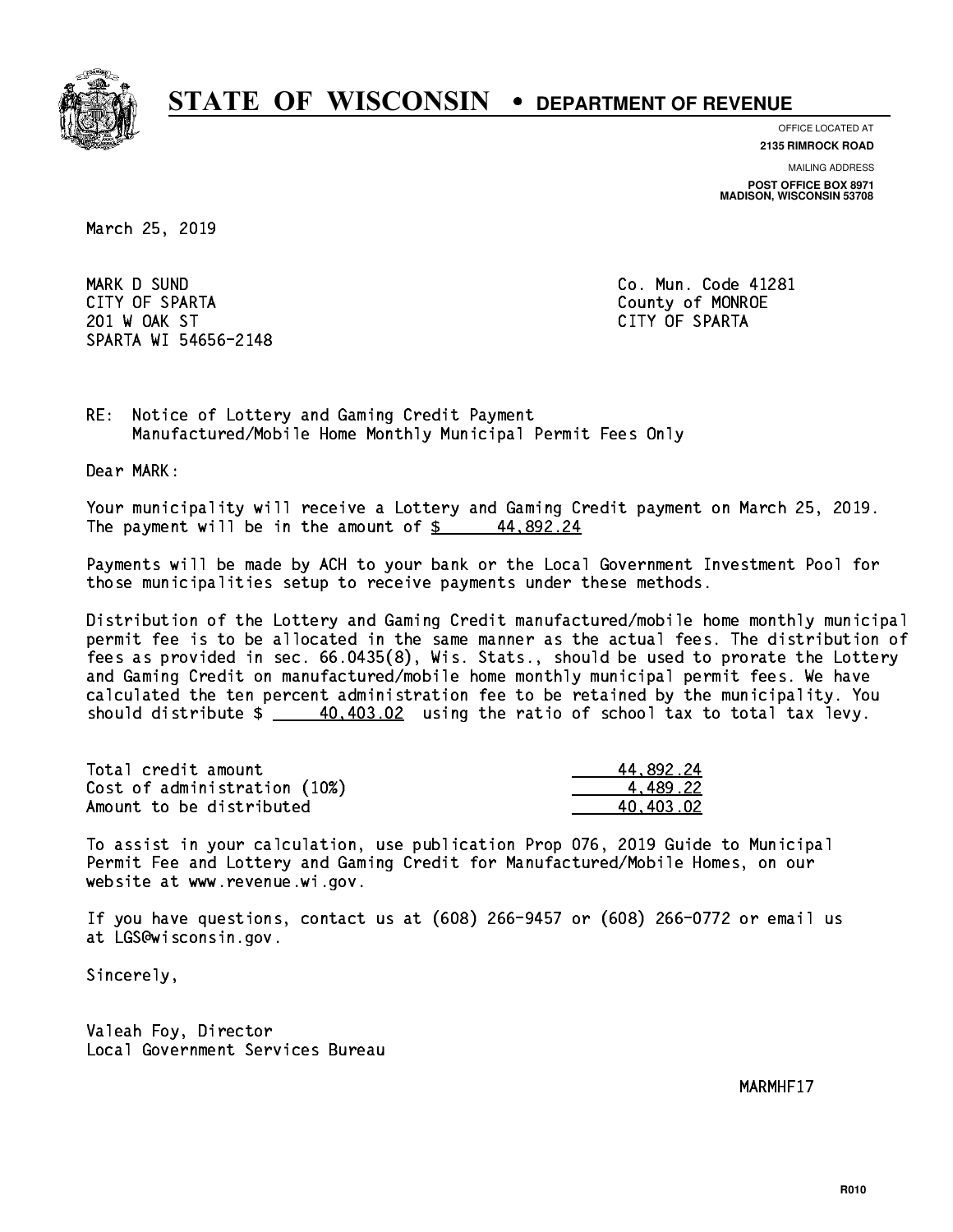

**OFFICE LOCATED AT**

**2135 RIMROCK ROAD**

**MAILING ADDRESS**

**POST OFFICE BOX 8971 MADISON, WISCONSIN 53708**

March 25, 2019

 MARK D SUND Co. Mun. Code 41281 CITY OF SPARTA County of MONROE 201 W OAK ST CITY OF SPARTA SPARTA WI 54656-2148

RE: Notice of Lottery and Gaming Credit Payment Manufactured/Mobile Home Monthly Municipal Permit Fees Only

Dear MARK:

 Your municipality will receive a Lottery and Gaming Credit payment on March 25, 2019. The payment will be in the amount of  $\frac{2}{3}$  44,892.24

 Payments will be made by ACH to your bank or the Local Government Investment Pool for those municipalities setup to receive payments under these methods.

 Distribution of the Lottery and Gaming Credit manufactured/mobile home monthly municipal permit fee is to be allocated in the same manner as the actual fees. The distribution of fees as provided in sec. 66.0435(8), Wis. Stats., should be used to prorate the Lottery and Gaming Credit on manufactured/mobile home monthly municipal permit fees. We have calculated the ten percent administration fee to be retained by the municipality. You should distribute  $\frac{40,403.02}{2}$  using the ratio of school tax to total tax levy.

| Total credit amount          | 44,892.24 |
|------------------------------|-----------|
| Cost of administration (10%) | 4.489.22  |
| Amount to be distributed     | 40.403.02 |

 To assist in your calculation, use publication Prop 076, 2019 Guide to Municipal Permit Fee and Lottery and Gaming Credit for Manufactured/Mobile Homes, on our website at www.revenue.wi.gov.

 If you have questions, contact us at (608) 266-9457 or (608) 266-0772 or email us at LGS@wisconsin.gov.

Sincerely,

 Valeah Foy, Director Local Government Services Bureau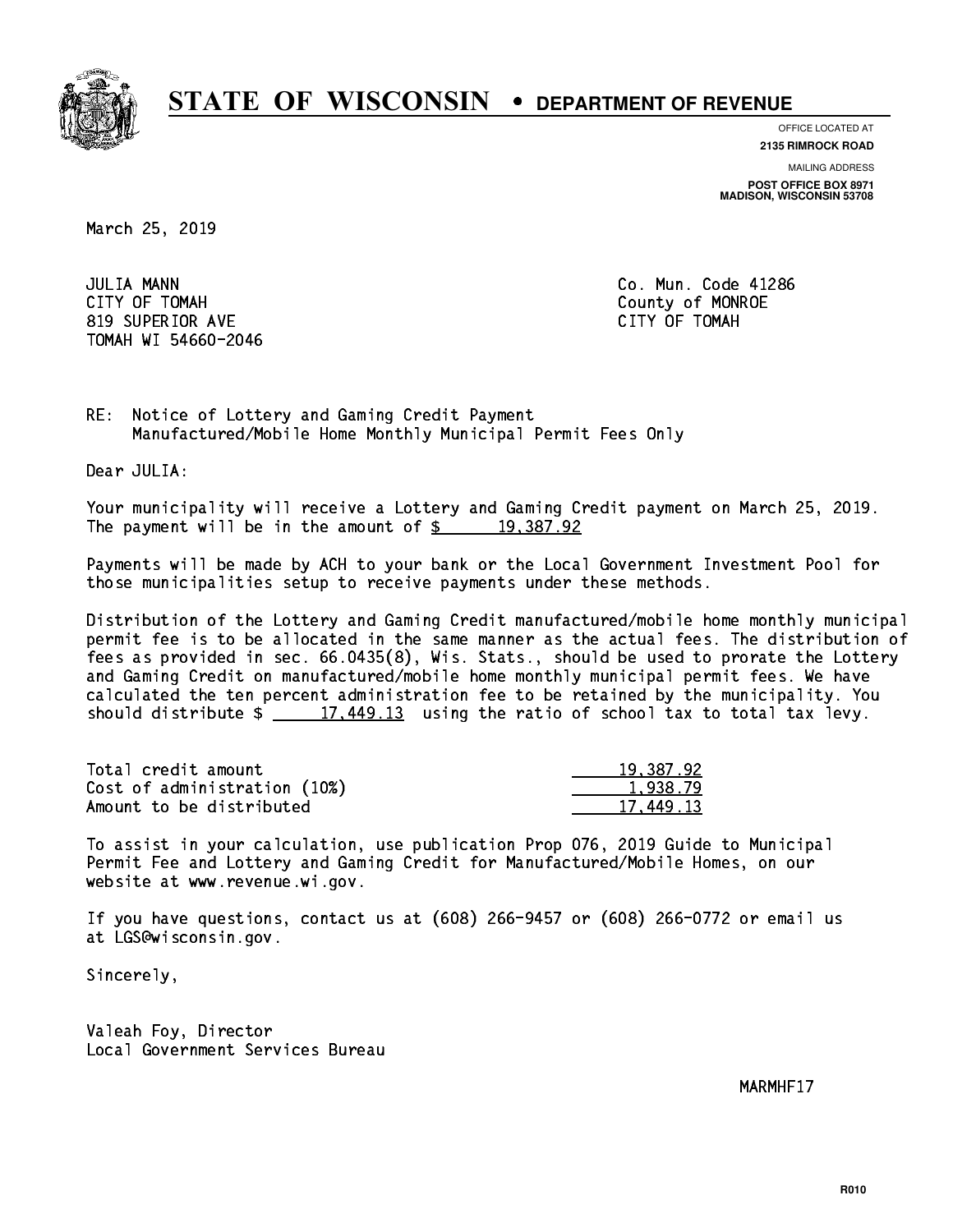

**OFFICE LOCATED AT 2135 RIMROCK ROAD**

**MAILING ADDRESS POST OFFICE BOX 8971 MADISON, WISCONSIN 53708**

March 25, 2019

**JULIA MANN**  CITY OF TOMAH County of MONROE 819 SUPERIOR AVE CITY OF TOMAH TOMAH WI 54660-2046

Co. Mun. Code 41286

RE: Notice of Lottery and Gaming Credit Payment Manufactured/Mobile Home Monthly Municipal Permit Fees Only

Dear JULIA:

 Your municipality will receive a Lottery and Gaming Credit payment on March 25, 2019. The payment will be in the amount of  $\frac{2}{3}$  19,387.92

 Payments will be made by ACH to your bank or the Local Government Investment Pool for those municipalities setup to receive payments under these methods.

 Distribution of the Lottery and Gaming Credit manufactured/mobile home monthly municipal permit fee is to be allocated in the same manner as the actual fees. The distribution of fees as provided in sec. 66.0435(8), Wis. Stats., should be used to prorate the Lottery and Gaming Credit on manufactured/mobile home monthly municipal permit fees. We have calculated the ten percent administration fee to be retained by the municipality. You should distribute  $\frac{2}{17,449.13}$  using the ratio of school tax to total tax levy.

| Total credit amount          | 19,387.92 |
|------------------------------|-----------|
| Cost of administration (10%) | 1.938.79  |
| Amount to be distributed     | 17.449.13 |

 To assist in your calculation, use publication Prop 076, 2019 Guide to Municipal Permit Fee and Lottery and Gaming Credit for Manufactured/Mobile Homes, on our website at www.revenue.wi.gov.

 If you have questions, contact us at (608) 266-9457 or (608) 266-0772 or email us at LGS@wisconsin.gov.

Sincerely,

 Valeah Foy, Director Local Government Services Bureau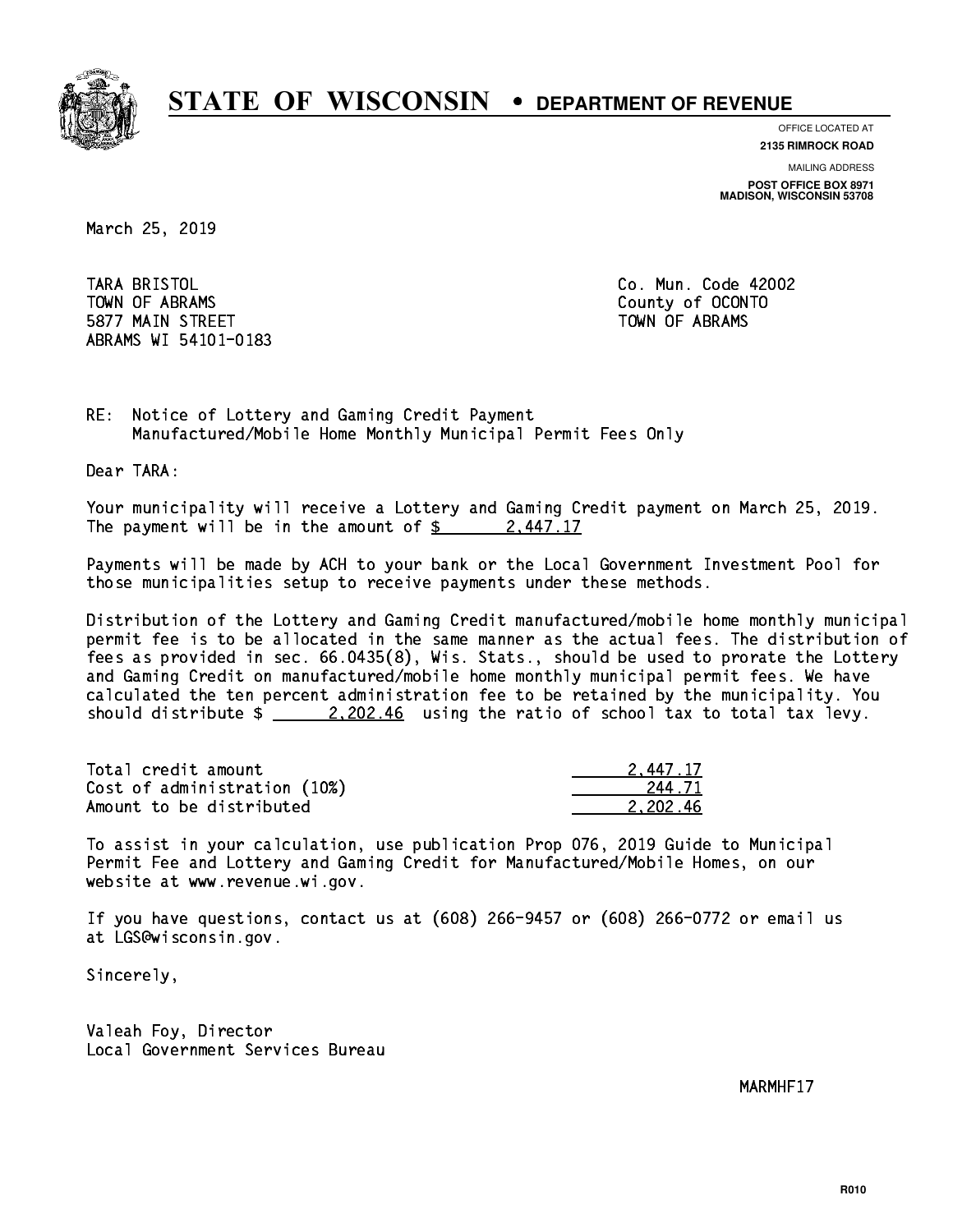

**OFFICE LOCATED AT 2135 RIMROCK ROAD**

**MAILING ADDRESS**

**POST OFFICE BOX 8971 MADISON, WISCONSIN 53708**

March 25, 2019

TARA BRISTOL TOWN OF ABRAMS County of OCONTO 5877 MAIN STREET TOWN OF ABRAMS ABRAMS WI 54101-0183

Co. Mun. Code 42002

RE: Notice of Lottery and Gaming Credit Payment Manufactured/Mobile Home Monthly Municipal Permit Fees Only

Dear TARA:

 Your municipality will receive a Lottery and Gaming Credit payment on March 25, 2019. The payment will be in the amount of  $\frac{2}{3}$  2,447.17

 Payments will be made by ACH to your bank or the Local Government Investment Pool for those municipalities setup to receive payments under these methods.

 Distribution of the Lottery and Gaming Credit manufactured/mobile home monthly municipal permit fee is to be allocated in the same manner as the actual fees. The distribution of fees as provided in sec. 66.0435(8), Wis. Stats., should be used to prorate the Lottery and Gaming Credit on manufactured/mobile home monthly municipal permit fees. We have calculated the ten percent administration fee to be retained by the municipality. You should distribute  $\frac{2,202.46}{2,202.46}$  using the ratio of school tax to total tax levy.

| Total credit amount          | 2.447.17 |
|------------------------------|----------|
| Cost of administration (10%) | 244.71   |
| Amount to be distributed     | 2.202.46 |

 To assist in your calculation, use publication Prop 076, 2019 Guide to Municipal Permit Fee and Lottery and Gaming Credit for Manufactured/Mobile Homes, on our website at www.revenue.wi.gov.

 If you have questions, contact us at (608) 266-9457 or (608) 266-0772 or email us at LGS@wisconsin.gov.

Sincerely,

 Valeah Foy, Director Local Government Services Bureau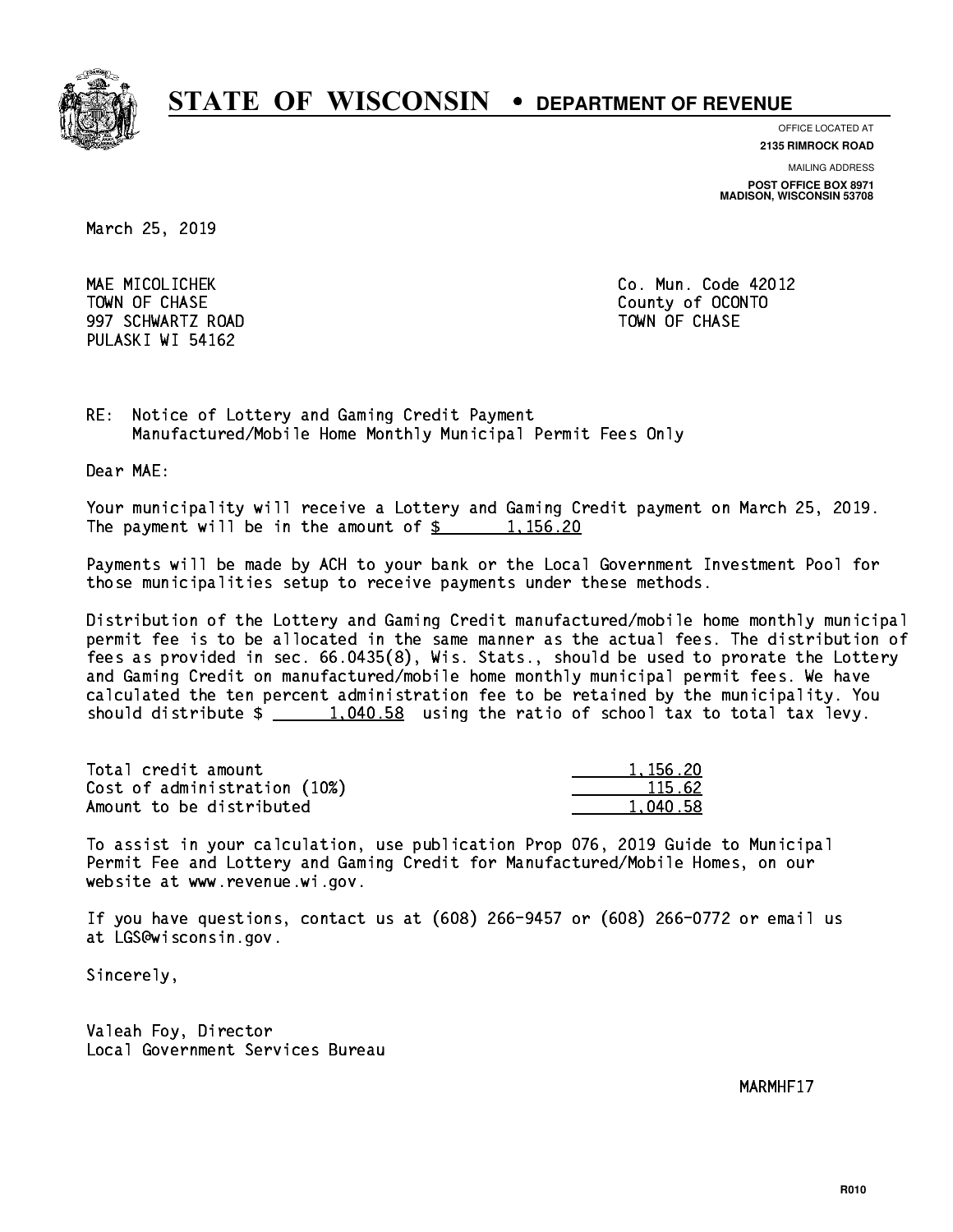

**OFFICE LOCATED AT**

**2135 RIMROCK ROAD**

**MAILING ADDRESS POST OFFICE BOX 8971 MADISON, WISCONSIN 53708**

March 25, 2019

 MAE MICOLICHEK Co. Mun. Code 42012 997 SCHWARTZ ROAD TOWN OF CHASE PULASKI WI 54162

TOWN OF CHASE County of OCONTO

RE: Notice of Lottery and Gaming Credit Payment Manufactured/Mobile Home Monthly Municipal Permit Fees Only

Dear MAE:

 Your municipality will receive a Lottery and Gaming Credit payment on March 25, 2019. The payment will be in the amount of  $\frac{2}{3}$  1,156.20

 Payments will be made by ACH to your bank or the Local Government Investment Pool for those municipalities setup to receive payments under these methods.

 Distribution of the Lottery and Gaming Credit manufactured/mobile home monthly municipal permit fee is to be allocated in the same manner as the actual fees. The distribution of fees as provided in sec. 66.0435(8), Wis. Stats., should be used to prorate the Lottery and Gaming Credit on manufactured/mobile home monthly municipal permit fees. We have calculated the ten percent administration fee to be retained by the municipality. You should distribute  $\frac{1,040.58}{1,040.58}$  using the ratio of school tax to total tax levy.

| Total credit amount          | 1.156.20 |
|------------------------------|----------|
| Cost of administration (10%) | 115.62   |
| Amount to be distributed     | 1,040.58 |

 To assist in your calculation, use publication Prop 076, 2019 Guide to Municipal Permit Fee and Lottery and Gaming Credit for Manufactured/Mobile Homes, on our website at www.revenue.wi.gov.

 If you have questions, contact us at (608) 266-9457 or (608) 266-0772 or email us at LGS@wisconsin.gov.

Sincerely,

 Valeah Foy, Director Local Government Services Bureau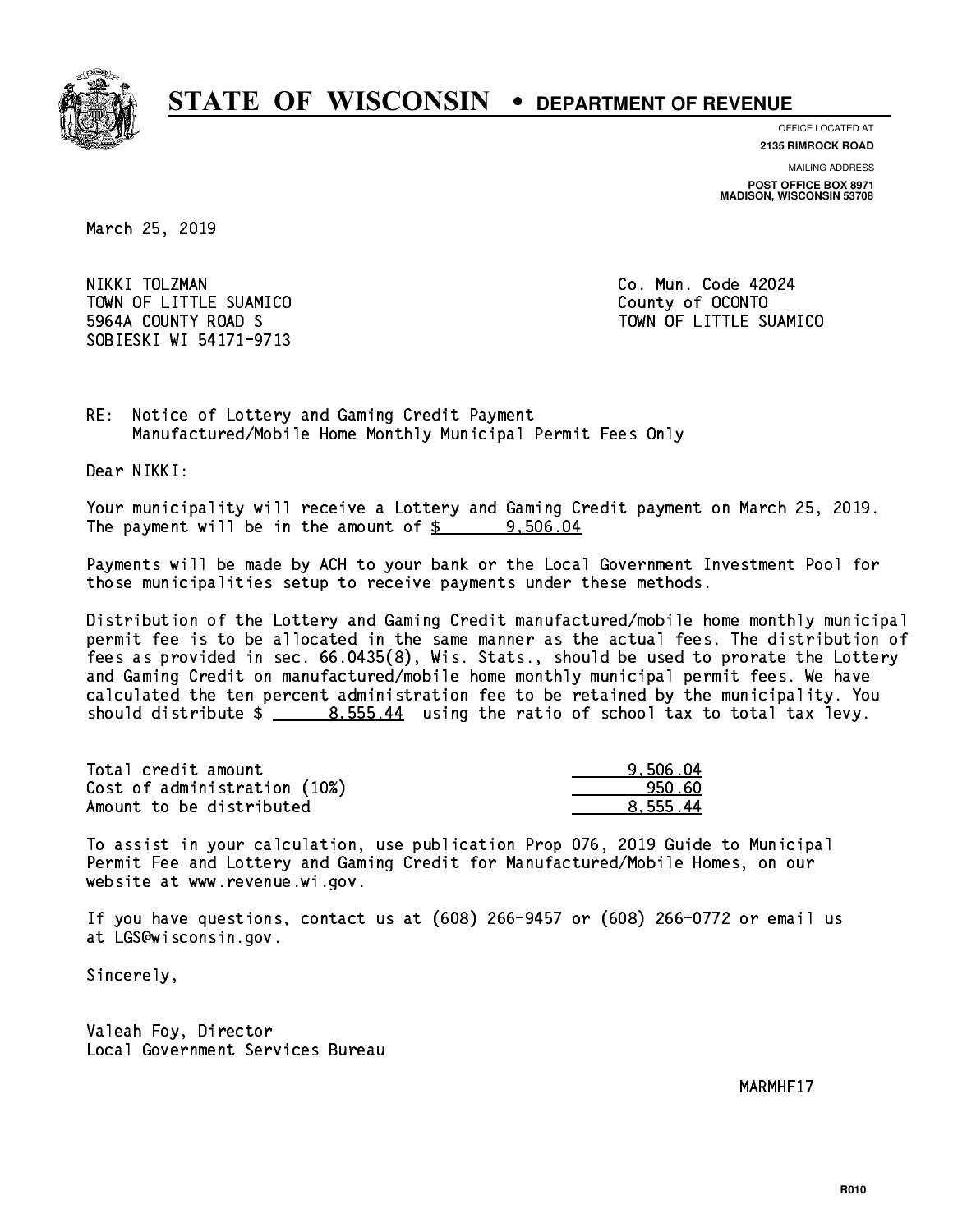

**OFFICE LOCATED AT**

**2135 RIMROCK ROAD**

**MAILING ADDRESS POST OFFICE BOX 8971 MADISON, WISCONSIN 53708**

March 25, 2019

 NIKKI TOLZMAN Co. Mun. Code 42024 TOWN OF LITTLE SUAMICO **COUNTY COUNTY COUNTY**  5964A COUNTY ROAD S TOWN OF LITTLE SUAMICO SOBIESKI WI 54171-9713

RE: Notice of Lottery and Gaming Credit Payment Manufactured/Mobile Home Monthly Municipal Permit Fees Only

Dear NIKKI:

 Your municipality will receive a Lottery and Gaming Credit payment on March 25, 2019. The payment will be in the amount of  $\frac{2}{3}$  9,506.04

 Payments will be made by ACH to your bank or the Local Government Investment Pool for those municipalities setup to receive payments under these methods.

 Distribution of the Lottery and Gaming Credit manufactured/mobile home monthly municipal permit fee is to be allocated in the same manner as the actual fees. The distribution of fees as provided in sec. 66.0435(8), Wis. Stats., should be used to prorate the Lottery and Gaming Credit on manufactured/mobile home monthly municipal permit fees. We have calculated the ten percent administration fee to be retained by the municipality. You should distribute  $\frac{2}{1}$   $\frac{8.555.44}{2}$  using the ratio of school tax to total tax levy.

| Total credit amount          | 9.506.04 |
|------------------------------|----------|
| Cost of administration (10%) | 950.60   |
| Amount to be distributed     | 8.555.44 |

 To assist in your calculation, use publication Prop 076, 2019 Guide to Municipal Permit Fee and Lottery and Gaming Credit for Manufactured/Mobile Homes, on our website at www.revenue.wi.gov.

 If you have questions, contact us at (608) 266-9457 or (608) 266-0772 or email us at LGS@wisconsin.gov.

Sincerely,

 Valeah Foy, Director Local Government Services Bureau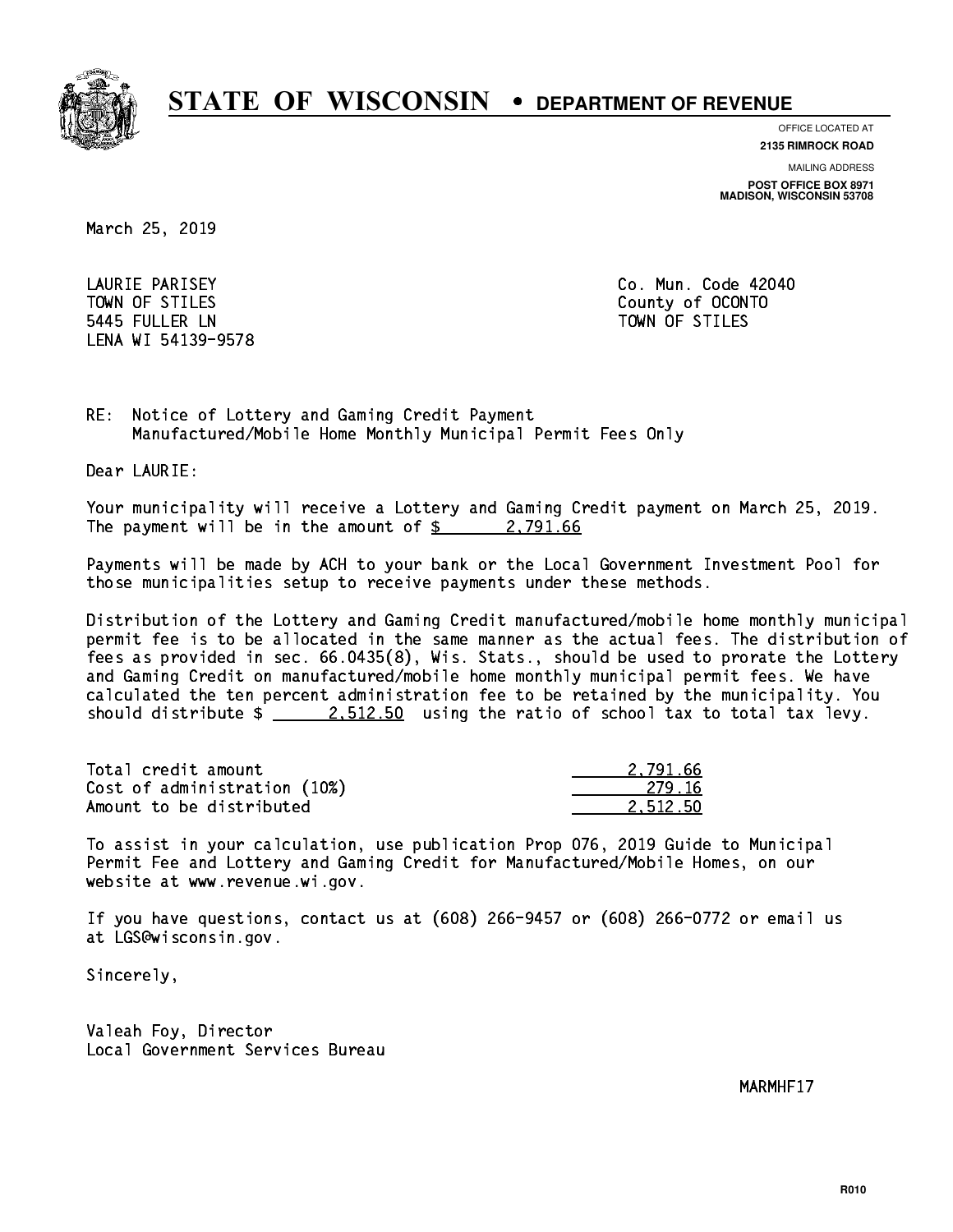

**OFFICE LOCATED AT**

**2135 RIMROCK ROAD**

**MAILING ADDRESS**

**POST OFFICE BOX 8971 MADISON, WISCONSIN 53708**

March 25, 2019

LAURIE PARISEY TOWN OF STILES County of OCONTO 5445 FULLER LN TOWN OF STILES LENA WI 54139-9578

Co. Mun. Code 42040

RE: Notice of Lottery and Gaming Credit Payment Manufactured/Mobile Home Monthly Municipal Permit Fees Only

Dear LAURIE:

 Your municipality will receive a Lottery and Gaming Credit payment on March 25, 2019. The payment will be in the amount of  $\frac{2,791.66}{2,791.66}$ 

 Payments will be made by ACH to your bank or the Local Government Investment Pool for those municipalities setup to receive payments under these methods.

 Distribution of the Lottery and Gaming Credit manufactured/mobile home monthly municipal permit fee is to be allocated in the same manner as the actual fees. The distribution of fees as provided in sec. 66.0435(8), Wis. Stats., should be used to prorate the Lottery and Gaming Credit on manufactured/mobile home monthly municipal permit fees. We have calculated the ten percent administration fee to be retained by the municipality. You should distribute  $\frac{2.512.50}{2.512.50}$  using the ratio of school tax to total tax levy.

| Total credit amount          | 2.791.66 |
|------------------------------|----------|
| Cost of administration (10%) | -279.16  |
| Amount to be distributed     | 2.512.50 |

 To assist in your calculation, use publication Prop 076, 2019 Guide to Municipal Permit Fee and Lottery and Gaming Credit for Manufactured/Mobile Homes, on our website at www.revenue.wi.gov.

 If you have questions, contact us at (608) 266-9457 or (608) 266-0772 or email us at LGS@wisconsin.gov.

Sincerely,

 Valeah Foy, Director Local Government Services Bureau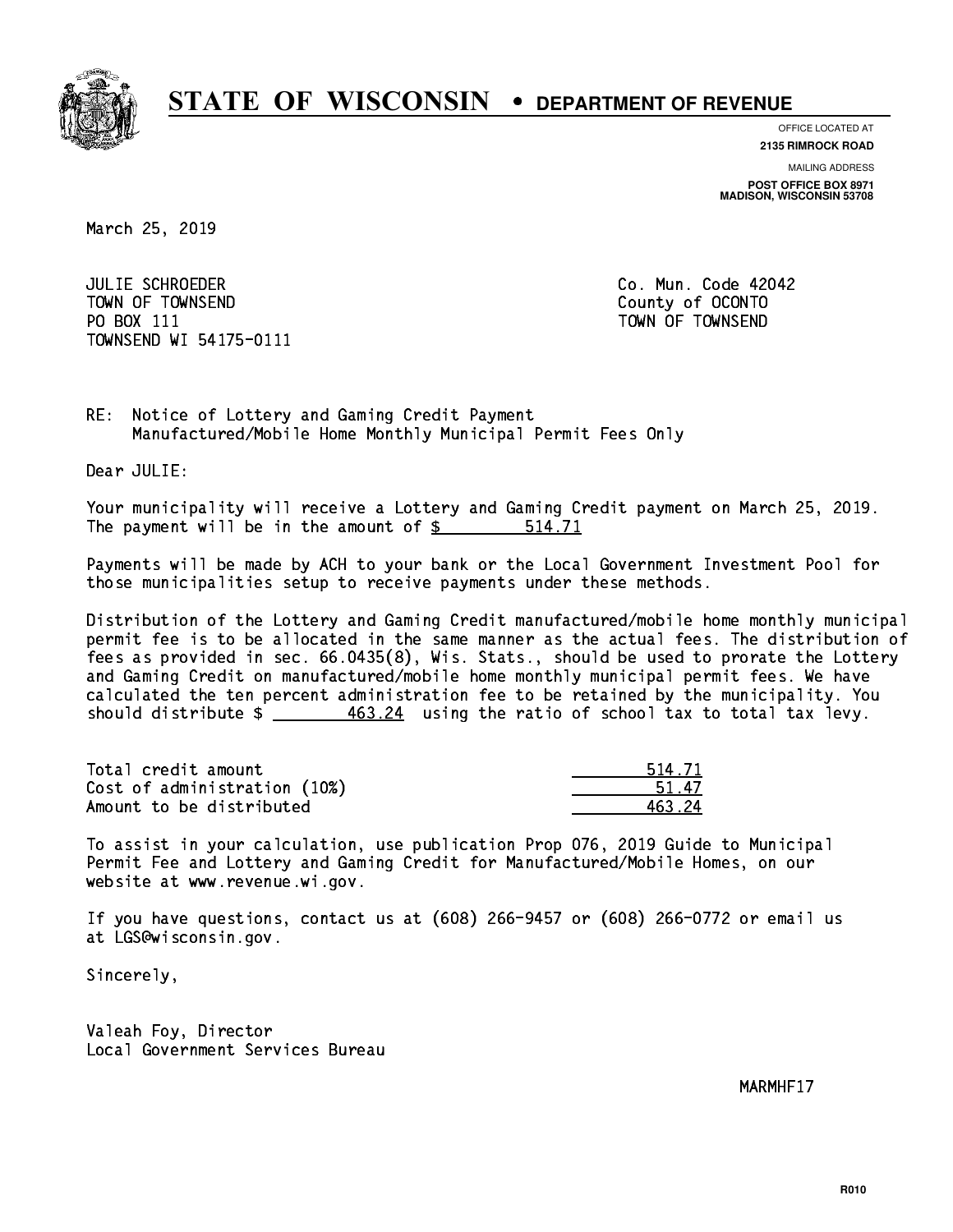

**OFFICE LOCATED AT**

**MAILING ADDRESS 2135 RIMROCK ROAD**

**POST OFFICE BOX 8971 MADISON, WISCONSIN 53708**

March 25, 2019

**JULIE SCHROEDER**  TOWN OF TOWNSEND County of OCONTO PO BOX 111 PO BOX 111 TOWN OF TOWNSEND TOWNSEND WI 54175-0111

Co. Mun. Code 42042

RE: Notice of Lottery and Gaming Credit Payment Manufactured/Mobile Home Monthly Municipal Permit Fees Only

Dear JULIE:

 Your municipality will receive a Lottery and Gaming Credit payment on March 25, 2019. The payment will be in the amount of  $\frac{2}{3}$ 514.71

 Payments will be made by ACH to your bank or the Local Government Investment Pool for those municipalities setup to receive payments under these methods.

 Distribution of the Lottery and Gaming Credit manufactured/mobile home monthly municipal permit fee is to be allocated in the same manner as the actual fees. The distribution of fees as provided in sec. 66.0435(8), Wis. Stats., should be used to prorate the Lottery and Gaming Credit on manufactured/mobile home monthly municipal permit fees. We have calculated the ten percent administration fee to be retained by the municipality. You should distribute  $\frac{463.24}{1000}$  using the ratio of school tax to total tax levy.

Total credit amount Cost of administration (10%) Amount to be distributed

| . 71 |
|------|
| 17   |
| 3 24 |

 To assist in your calculation, use publication Prop 076, 2019 Guide to Municipal Permit Fee and Lottery and Gaming Credit for Manufactured/Mobile Homes, on our website at www.revenue.wi.gov.

 If you have questions, contact us at (608) 266-9457 or (608) 266-0772 or email us at LGS@wisconsin.gov.

Sincerely,

 Valeah Foy, Director Local Government Services Bureau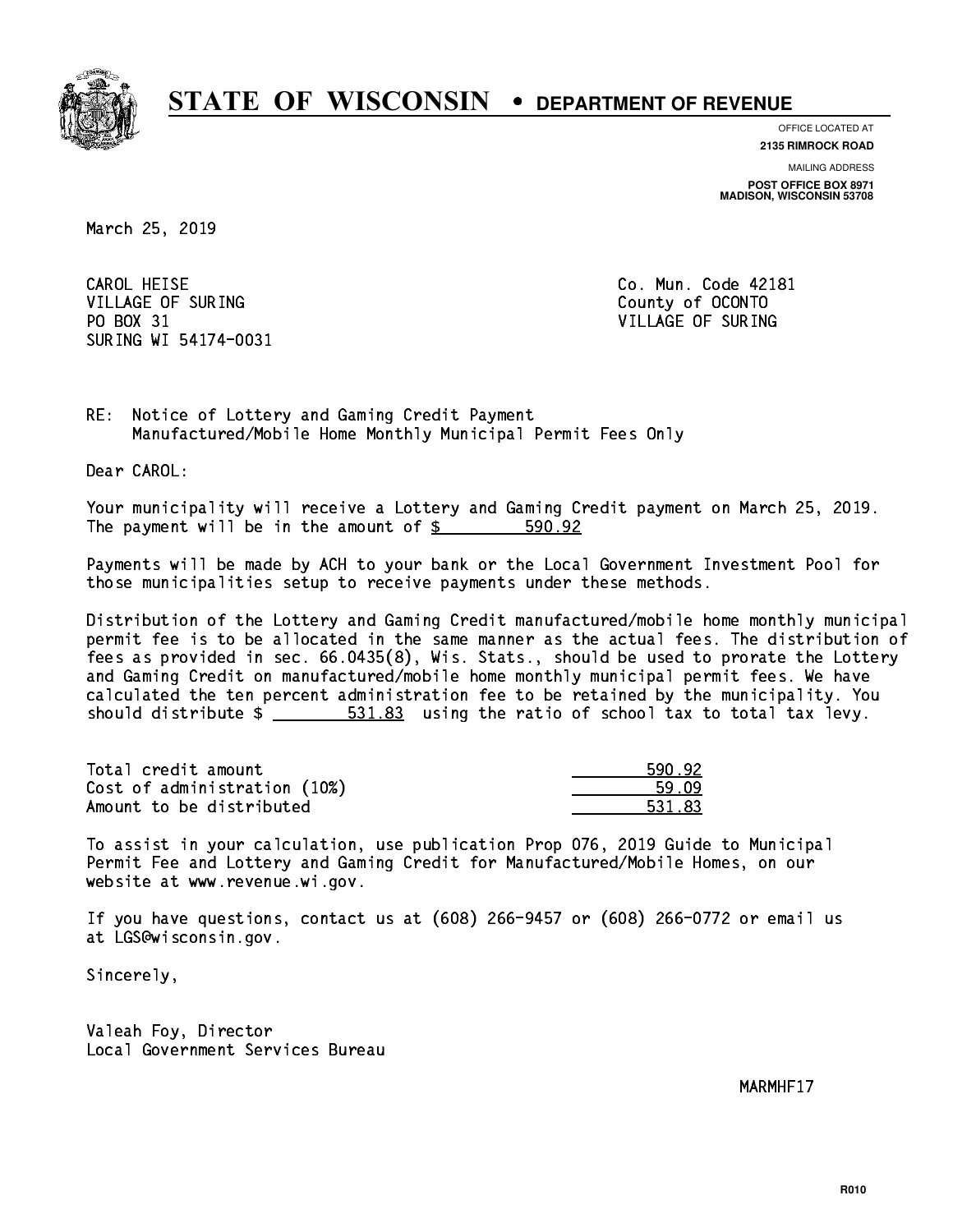

**OFFICE LOCATED AT 2135 RIMROCK ROAD**

**MAILING ADDRESS**

**POST OFFICE BOX 8971 MADISON, WISCONSIN 53708**

March 25, 2019

CAROL HEISE VILLAGE OF SURING COUNTY COUNTY OF OCONTO PO BOX 31 VILLAGE OF SURING SURING WI 54174-0031

Co. Mun. Code 42181

RE: Notice of Lottery and Gaming Credit Payment Manufactured/Mobile Home Monthly Municipal Permit Fees Only

Dear CAROL:

 Your municipality will receive a Lottery and Gaming Credit payment on March 25, 2019. The payment will be in the amount of \$ 590.92 \_\_\_\_\_\_\_\_\_\_\_\_\_\_\_\_

 Payments will be made by ACH to your bank or the Local Government Investment Pool for those municipalities setup to receive payments under these methods.

 Distribution of the Lottery and Gaming Credit manufactured/mobile home monthly municipal permit fee is to be allocated in the same manner as the actual fees. The distribution of fees as provided in sec. 66.0435(8), Wis. Stats., should be used to prorate the Lottery and Gaming Credit on manufactured/mobile home monthly municipal permit fees. We have calculated the ten percent administration fee to be retained by the municipality. You should distribute  $\frac{2}{1}$   $\frac{531.83}{2}$  using the ratio of school tax to total tax levy.

| Total credit amount          | 590.92 |
|------------------------------|--------|
| Cost of administration (10%) | 59.09  |
| Amount to be distributed     | 531.83 |

 To assist in your calculation, use publication Prop 076, 2019 Guide to Municipal Permit Fee and Lottery and Gaming Credit for Manufactured/Mobile Homes, on our website at www.revenue.wi.gov.

 If you have questions, contact us at (608) 266-9457 or (608) 266-0772 or email us at LGS@wisconsin.gov.

Sincerely,

 Valeah Foy, Director Local Government Services Bureau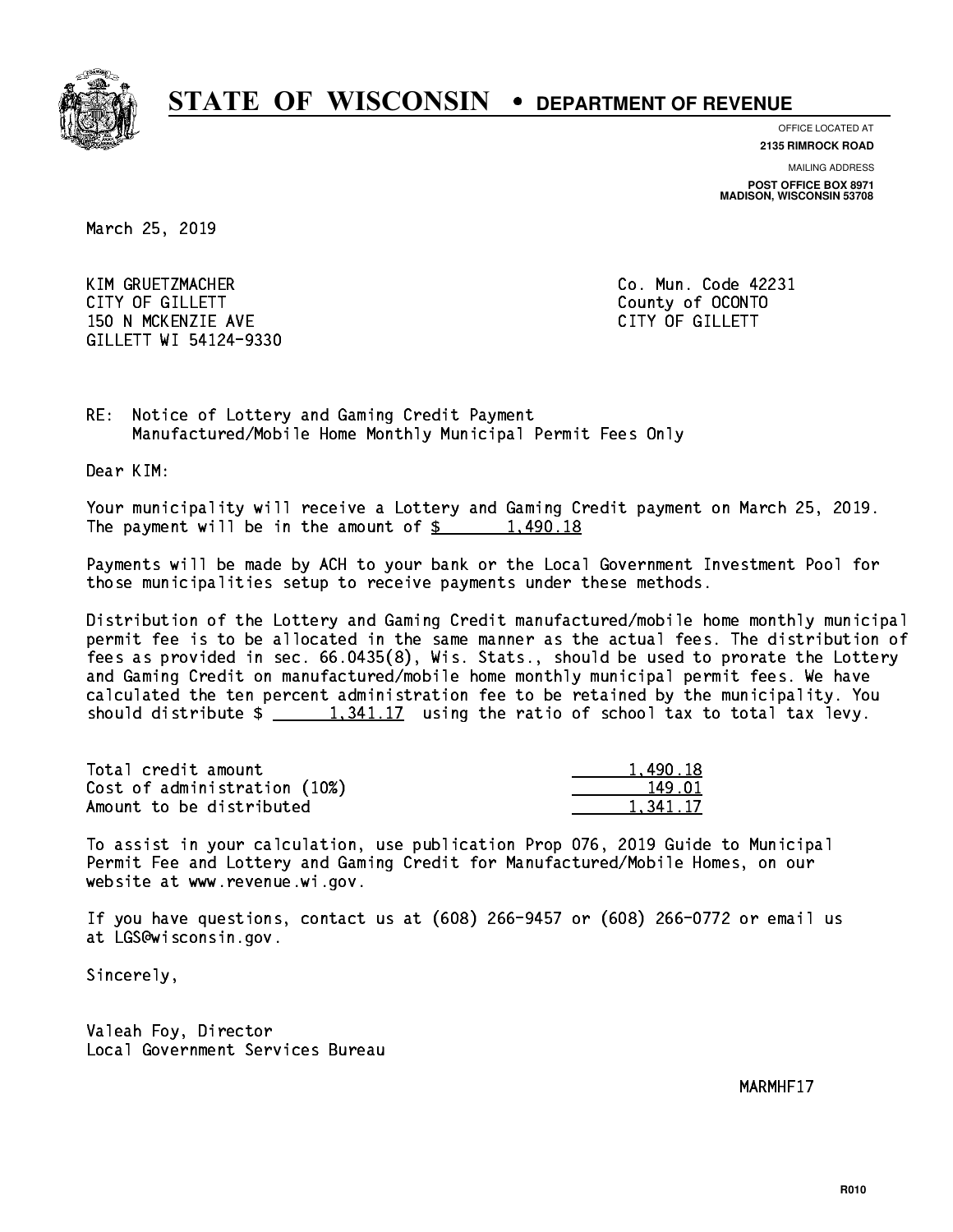

**OFFICE LOCATED AT**

**MAILING ADDRESS 2135 RIMROCK ROAD**

**POST OFFICE BOX 8971 MADISON, WISCONSIN 53708**

March 25, 2019

 KIM GRUETZMACHER Co. Mun. Code 42231 CITY OF GILLETT County of OCONTO 150 N MCKENZIE AVE **CITY OF GILLETT** GILLETT WI 54124-9330

RE: Notice of Lottery and Gaming Credit Payment Manufactured/Mobile Home Monthly Municipal Permit Fees Only

Dear KIM:

 Your municipality will receive a Lottery and Gaming Credit payment on March 25, 2019. The payment will be in the amount of  $\frac{2}{3}$  1,490.18

 Payments will be made by ACH to your bank or the Local Government Investment Pool for those municipalities setup to receive payments under these methods.

 Distribution of the Lottery and Gaming Credit manufactured/mobile home monthly municipal permit fee is to be allocated in the same manner as the actual fees. The distribution of fees as provided in sec. 66.0435(8), Wis. Stats., should be used to prorate the Lottery and Gaming Credit on manufactured/mobile home monthly municipal permit fees. We have calculated the ten percent administration fee to be retained by the municipality. You should distribute  $\frac{1,341.17}{1,341.17}$  using the ratio of school tax to total tax levy.

| Total credit amount          | 1,490.18 |
|------------------------------|----------|
| Cost of administration (10%) | 149.01   |
| Amount to be distributed     | 1.341.17 |

 To assist in your calculation, use publication Prop 076, 2019 Guide to Municipal Permit Fee and Lottery and Gaming Credit for Manufactured/Mobile Homes, on our website at www.revenue.wi.gov.

 If you have questions, contact us at (608) 266-9457 or (608) 266-0772 or email us at LGS@wisconsin.gov.

Sincerely,

 Valeah Foy, Director Local Government Services Bureau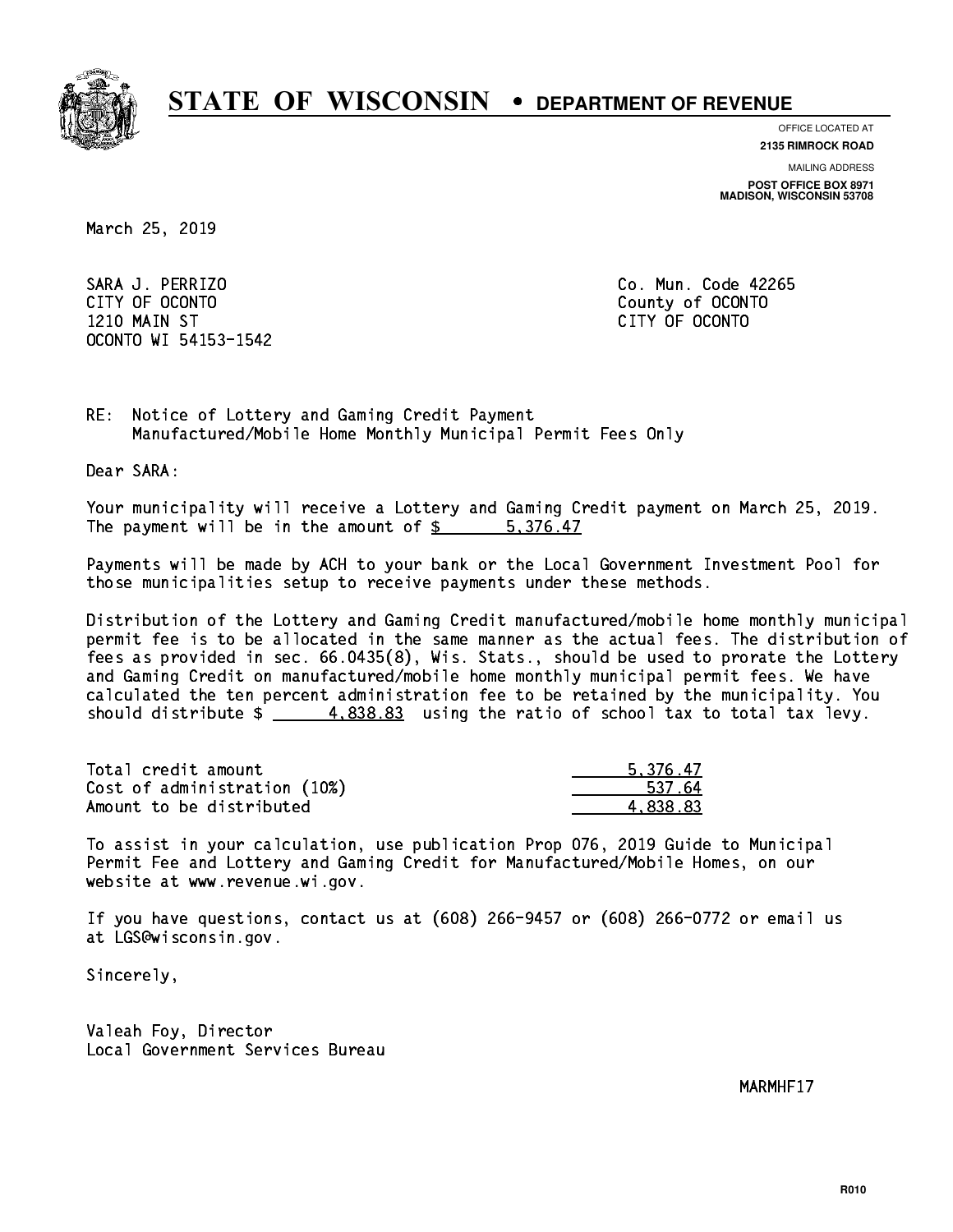

**OFFICE LOCATED AT**

**2135 RIMROCK ROAD**

**MAILING ADDRESS**

**POST OFFICE BOX 8971 MADISON, WISCONSIN 53708**

March 25, 2019

 SARA J. PERRIZO Co. Mun. Code 42265 CITY OF OCONTO County of OCONTO 1210 MAIN ST CITY OF OCONTO OCONTO WI 54153-1542

RE: Notice of Lottery and Gaming Credit Payment Manufactured/Mobile Home Monthly Municipal Permit Fees Only

Dear SARA:

 Your municipality will receive a Lottery and Gaming Credit payment on March 25, 2019. The payment will be in the amount of \$ 5,376.47 \_\_\_\_\_\_\_\_\_\_\_\_\_\_\_\_

 Payments will be made by ACH to your bank or the Local Government Investment Pool for those municipalities setup to receive payments under these methods.

 Distribution of the Lottery and Gaming Credit manufactured/mobile home monthly municipal permit fee is to be allocated in the same manner as the actual fees. The distribution of fees as provided in sec. 66.0435(8), Wis. Stats., should be used to prorate the Lottery and Gaming Credit on manufactured/mobile home monthly municipal permit fees. We have calculated the ten percent administration fee to be retained by the municipality. You should distribute  $\frac{4.838.83}{2}$  using the ratio of school tax to total tax levy.

| Total credit amount          | 5.376.47 |
|------------------------------|----------|
| Cost of administration (10%) | 537.64   |
| Amount to be distributed     | 4.838.83 |

 To assist in your calculation, use publication Prop 076, 2019 Guide to Municipal Permit Fee and Lottery and Gaming Credit for Manufactured/Mobile Homes, on our website at www.revenue.wi.gov.

 If you have questions, contact us at (608) 266-9457 or (608) 266-0772 or email us at LGS@wisconsin.gov.

Sincerely,

 Valeah Foy, Director Local Government Services Bureau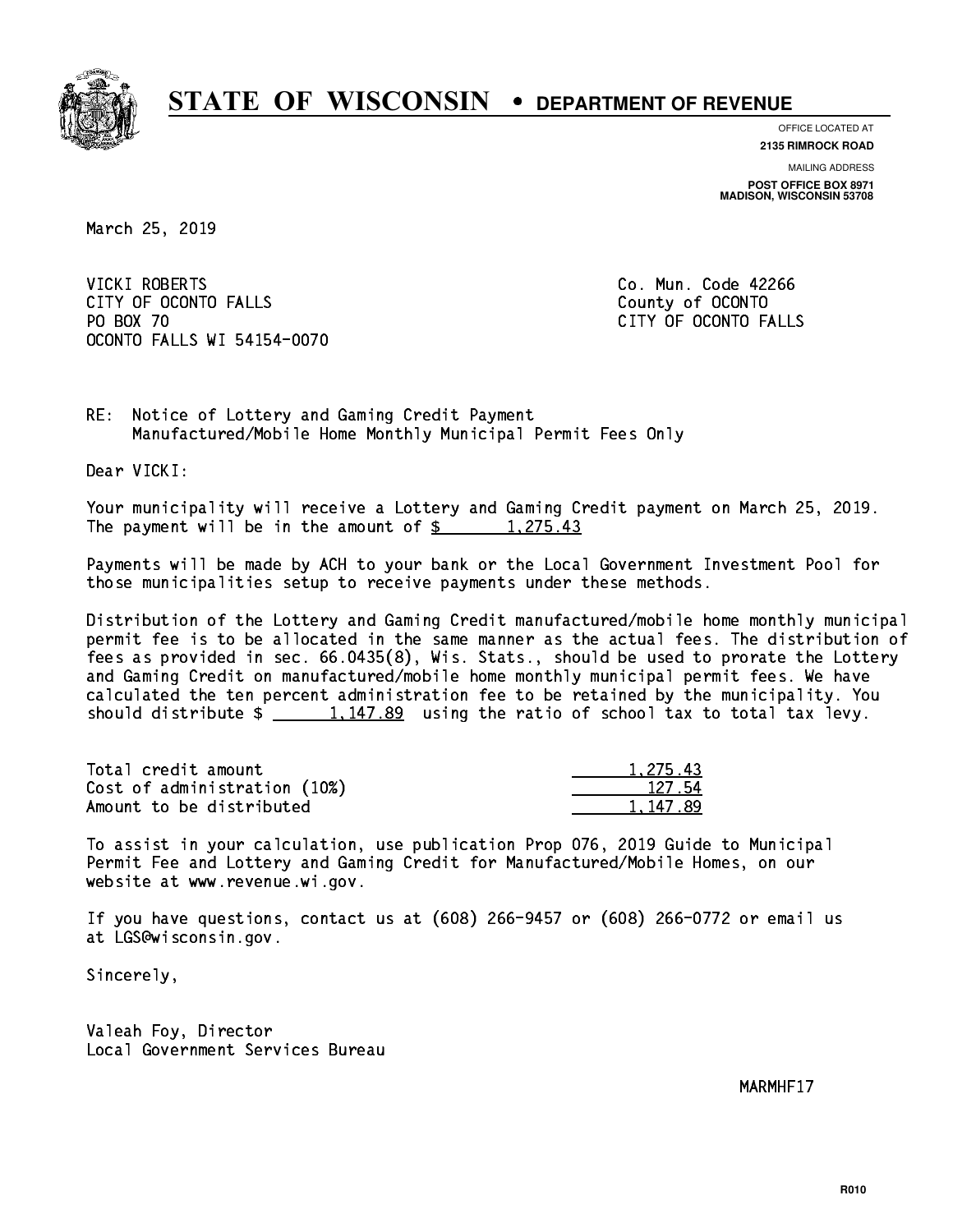

**OFFICE LOCATED AT**

**2135 RIMROCK ROAD**

**MAILING ADDRESS POST OFFICE BOX 8971 MADISON, WISCONSIN 53708**

March 25, 2019

VICKI ROBERTS CITY OF OCONTO FALLS **COUNTY COUNTY OF OCONTO** PO BOX 70 CITY OF OCONTO FALLS OCONTO FALLS WI 54154-0070

Co. Mun. Code 42266

RE: Notice of Lottery and Gaming Credit Payment Manufactured/Mobile Home Monthly Municipal Permit Fees Only

Dear VICKI:

 Your municipality will receive a Lottery and Gaming Credit payment on March 25, 2019. The payment will be in the amount of  $\frac{2}{3}$  1,275.43

 Payments will be made by ACH to your bank or the Local Government Investment Pool for those municipalities setup to receive payments under these methods.

 Distribution of the Lottery and Gaming Credit manufactured/mobile home monthly municipal permit fee is to be allocated in the same manner as the actual fees. The distribution of fees as provided in sec. 66.0435(8), Wis. Stats., should be used to prorate the Lottery and Gaming Credit on manufactured/mobile home monthly municipal permit fees. We have calculated the ten percent administration fee to be retained by the municipality. You should distribute  $\frac{1,147.89}{2}$  using the ratio of school tax to total tax levy.

| Total credit amount          | 1.275.43 |
|------------------------------|----------|
| Cost of administration (10%) | 127.54   |
| Amount to be distributed     | 1.147.89 |

147.89

 To assist in your calculation, use publication Prop 076, 2019 Guide to Municipal Permit Fee and Lottery and Gaming Credit for Manufactured/Mobile Homes, on our website at www.revenue.wi.gov.

 If you have questions, contact us at (608) 266-9457 or (608) 266-0772 or email us at LGS@wisconsin.gov.

Sincerely,

 Valeah Foy, Director Local Government Services Bureau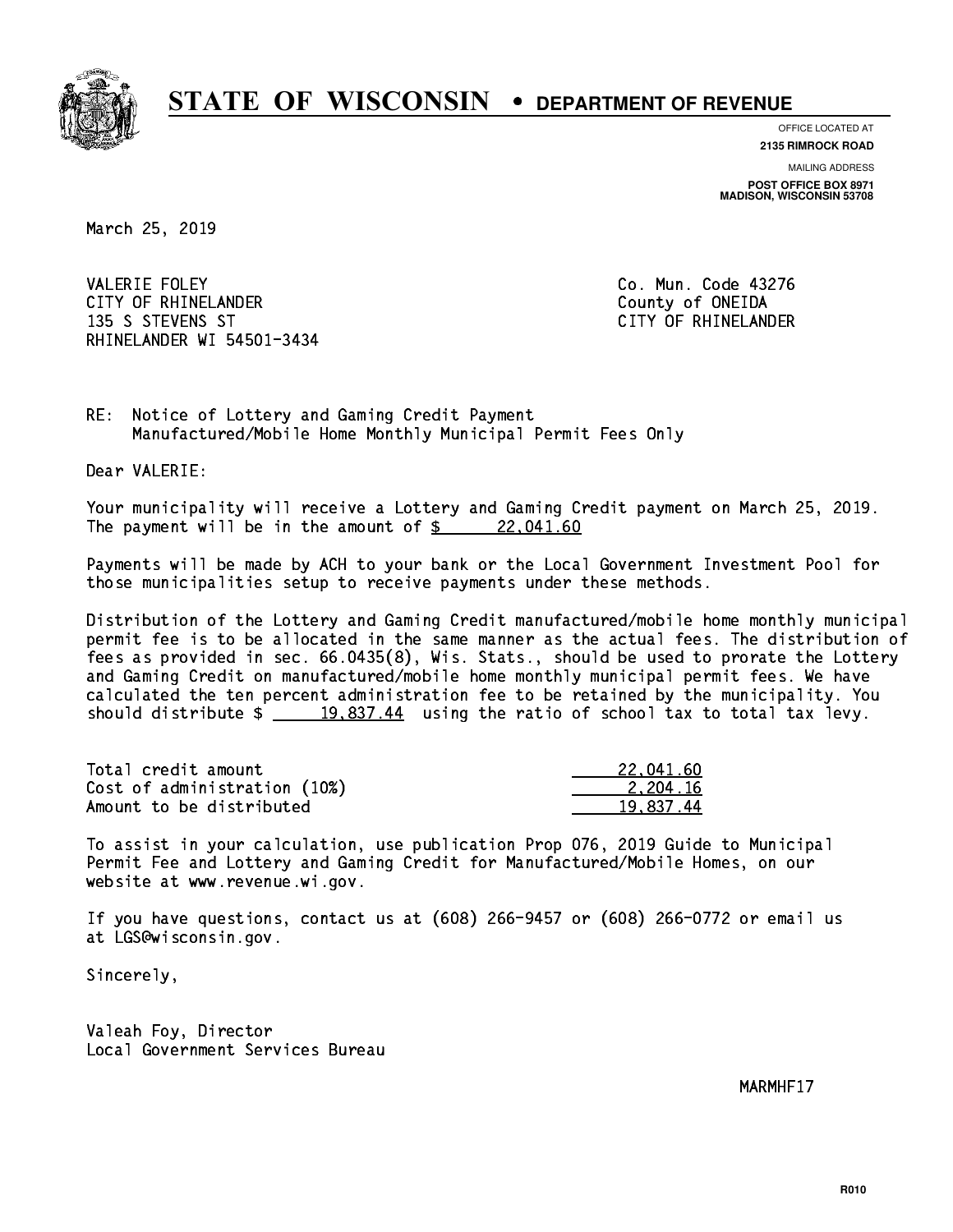

**OFFICE LOCATED AT**

**2135 RIMROCK ROAD**

**MAILING ADDRESS POST OFFICE BOX 8971 MADISON, WISCONSIN 53708**

March 25, 2019

**VALERIE FOLEY** CITY OF RHINELANDER COUNTY COUNTY OF ONEIDA 135 S STEVENS ST CITY OF RHINELANDER RHINELANDER WI 54501-3434

Co. Mun. Code 43276

RE: Notice of Lottery and Gaming Credit Payment Manufactured/Mobile Home Monthly Municipal Permit Fees Only

Dear VALERIE:

 Your municipality will receive a Lottery and Gaming Credit payment on March 25, 2019. The payment will be in the amount of  $\frac{22,041.60}{22,041.60}$ 

 Payments will be made by ACH to your bank or the Local Government Investment Pool for those municipalities setup to receive payments under these methods.

 Distribution of the Lottery and Gaming Credit manufactured/mobile home monthly municipal permit fee is to be allocated in the same manner as the actual fees. The distribution of fees as provided in sec. 66.0435(8), Wis. Stats., should be used to prorate the Lottery and Gaming Credit on manufactured/mobile home monthly municipal permit fees. We have calculated the ten percent administration fee to be retained by the municipality. You should distribute  $\frac{19,837.44}{2}$  using the ratio of school tax to total tax levy.

| Total credit amount          | 22.041.60 |
|------------------------------|-----------|
| Cost of administration (10%) | 2.204.16  |
| Amount to be distributed     | 19.837.44 |

 To assist in your calculation, use publication Prop 076, 2019 Guide to Municipal Permit Fee and Lottery and Gaming Credit for Manufactured/Mobile Homes, on our website at www.revenue.wi.gov.

 If you have questions, contact us at (608) 266-9457 or (608) 266-0772 or email us at LGS@wisconsin.gov.

Sincerely,

 Valeah Foy, Director Local Government Services Bureau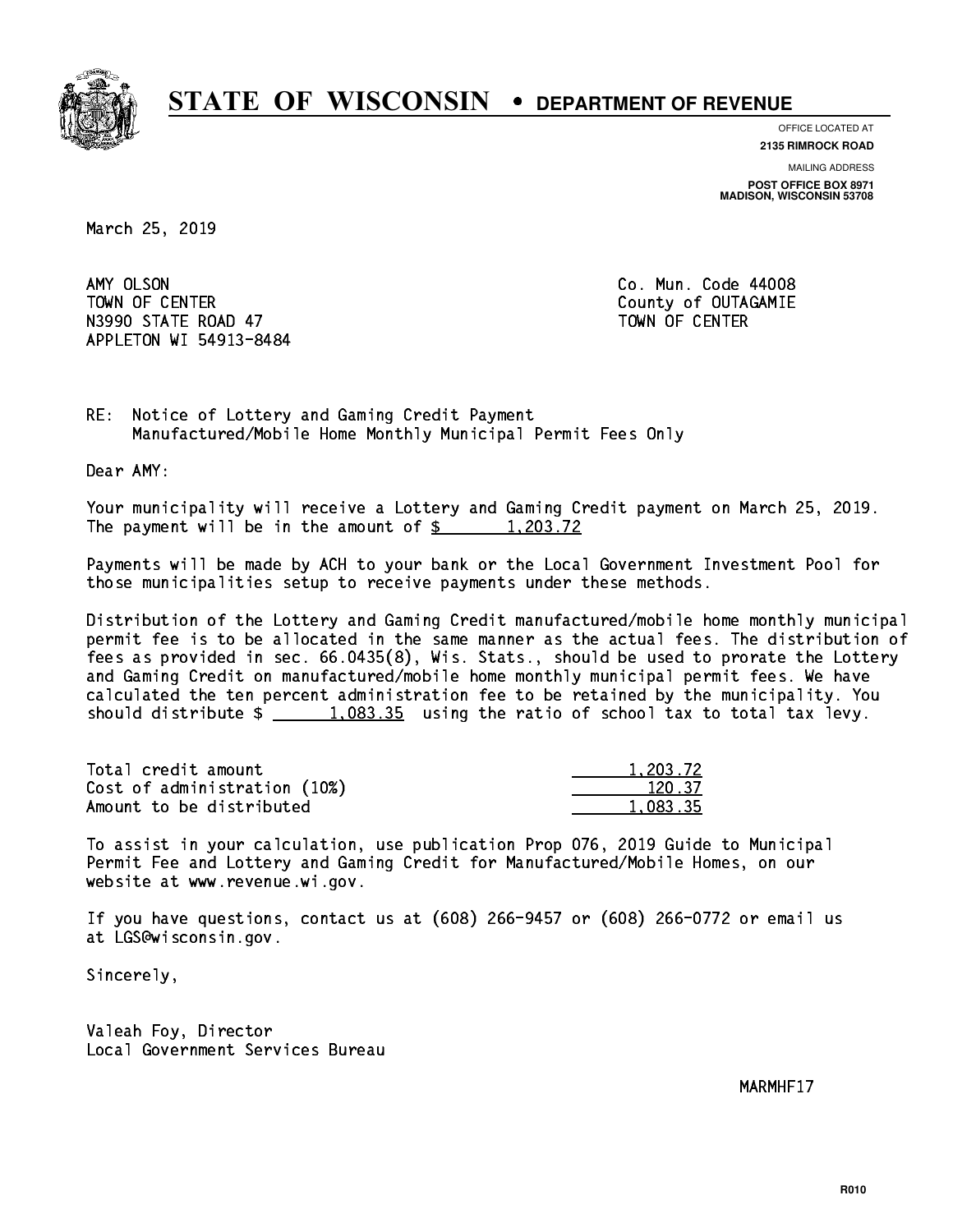

**OFFICE LOCATED AT**

**2135 RIMROCK ROAD**

**MAILING ADDRESS POST OFFICE BOX 8971 MADISON, WISCONSIN 53708**

March 25, 2019

AMY OLSON TOWN OF CENTER **COUNTY OF COUNTY COUNTY OF COULD A** N3990 STATE ROAD 47 TOWN OF CENTER APPLETON WI 54913-8484

Co. Mun. Code 44008

RE: Notice of Lottery and Gaming Credit Payment Manufactured/Mobile Home Monthly Municipal Permit Fees Only

Dear AMY:

 Your municipality will receive a Lottery and Gaming Credit payment on March 25, 2019. The payment will be in the amount of  $\frac{2}{3}$  1,203.72

 Payments will be made by ACH to your bank or the Local Government Investment Pool for those municipalities setup to receive payments under these methods.

 Distribution of the Lottery and Gaming Credit manufactured/mobile home monthly municipal permit fee is to be allocated in the same manner as the actual fees. The distribution of fees as provided in sec. 66.0435(8), Wis. Stats., should be used to prorate the Lottery and Gaming Credit on manufactured/mobile home monthly municipal permit fees. We have calculated the ten percent administration fee to be retained by the municipality. You should distribute  $\frac{1.083.35}{1.083.35}$  using the ratio of school tax to total tax levy.

| Total credit amount          | 1.203.72 |
|------------------------------|----------|
| Cost of administration (10%) | 120.37   |
| Amount to be distributed     | 1.083.35 |

 To assist in your calculation, use publication Prop 076, 2019 Guide to Municipal Permit Fee and Lottery and Gaming Credit for Manufactured/Mobile Homes, on our website at www.revenue.wi.gov.

 If you have questions, contact us at (608) 266-9457 or (608) 266-0772 or email us at LGS@wisconsin.gov.

Sincerely,

 Valeah Foy, Director Local Government Services Bureau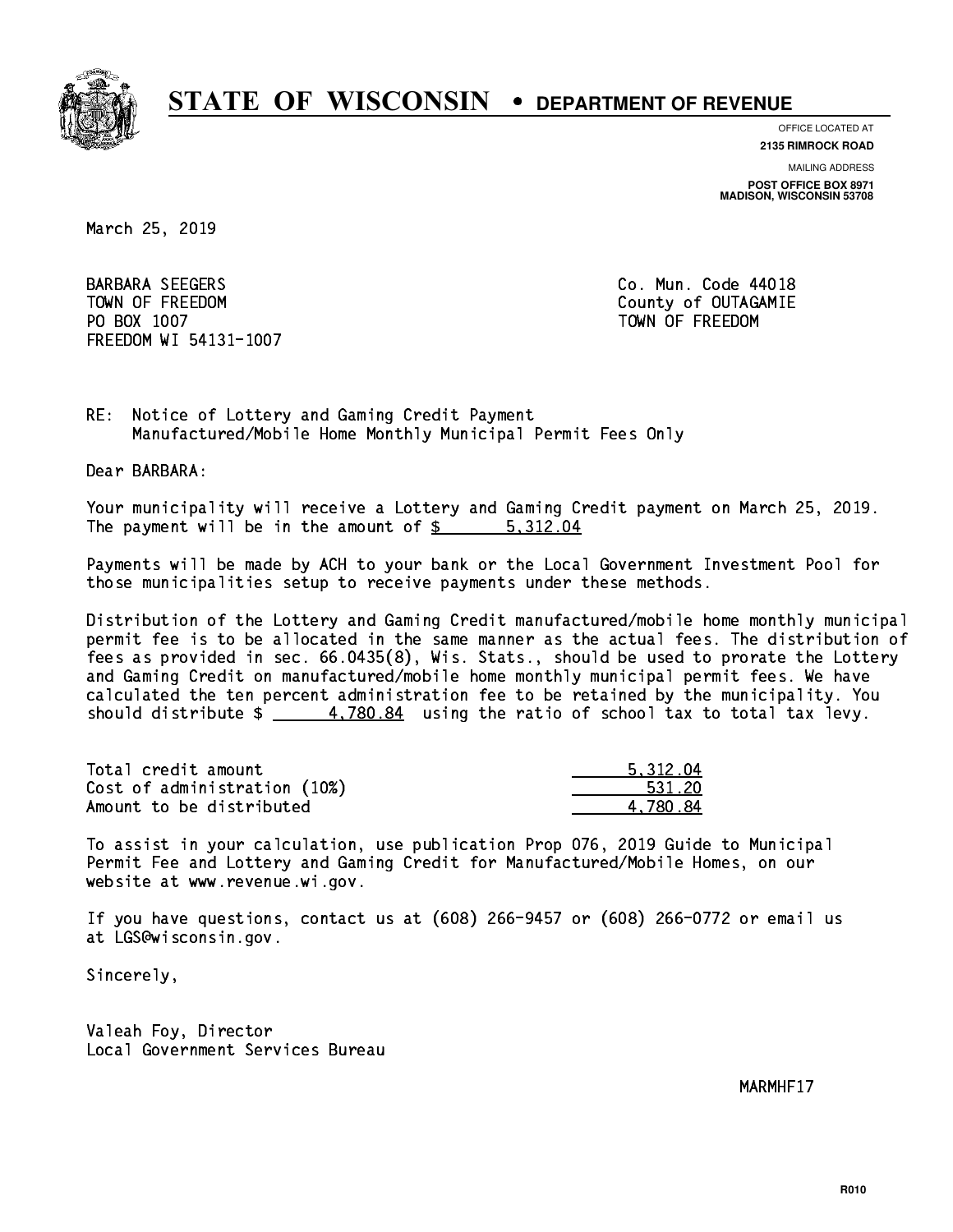

**OFFICE LOCATED AT 2135 RIMROCK ROAD**

**MAILING ADDRESS**

**POST OFFICE BOX 8971 MADISON, WISCONSIN 53708**

March 25, 2019

 BARBARA SEEGERS Co. Mun. Code 44018 TOWN OF FREEDOM County of OUTAGAMIE PO BOX 1007 TOWN OF FREEDOM FREEDOM WI 54131-1007

RE: Notice of Lottery and Gaming Credit Payment Manufactured/Mobile Home Monthly Municipal Permit Fees Only

Dear BARBARA:

 Your municipality will receive a Lottery and Gaming Credit payment on March 25, 2019. The payment will be in the amount of \$ 5,312.04 \_\_\_\_\_\_\_\_\_\_\_\_\_\_\_\_

 Payments will be made by ACH to your bank or the Local Government Investment Pool for those municipalities setup to receive payments under these methods.

 Distribution of the Lottery and Gaming Credit manufactured/mobile home monthly municipal permit fee is to be allocated in the same manner as the actual fees. The distribution of fees as provided in sec. 66.0435(8), Wis. Stats., should be used to prorate the Lottery and Gaming Credit on manufactured/mobile home monthly municipal permit fees. We have calculated the ten percent administration fee to be retained by the municipality. You should distribute  $\frac{4.780.84}{2}$  using the ratio of school tax to total tax levy.

| Total credit amount          | 5.312.04 |
|------------------------------|----------|
| Cost of administration (10%) | 531.20   |
| Amount to be distributed     | 4.780.84 |

 To assist in your calculation, use publication Prop 076, 2019 Guide to Municipal Permit Fee and Lottery and Gaming Credit for Manufactured/Mobile Homes, on our website at www.revenue.wi.gov.

 If you have questions, contact us at (608) 266-9457 or (608) 266-0772 or email us at LGS@wisconsin.gov.

Sincerely,

 Valeah Foy, Director Local Government Services Bureau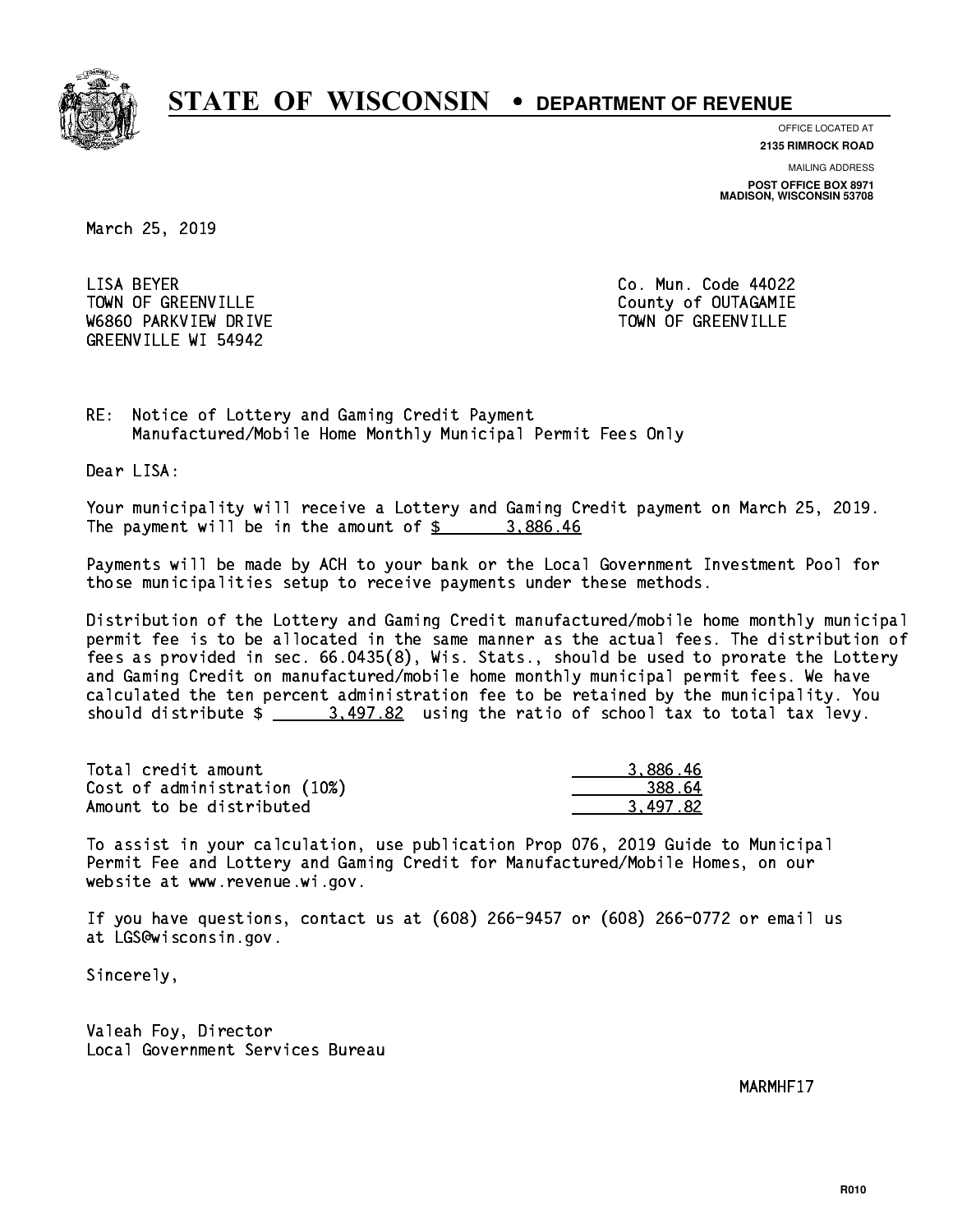

**OFFICE LOCATED AT**

**2135 RIMROCK ROAD**

**MAILING ADDRESS POST OFFICE BOX 8971 MADISON, WISCONSIN 53708**

March 25, 2019

LISA BEYER TOWN OF GREENVILLE TOWN OF GREENVILLE W6860 PARKVIEW DRIVE TOWN OF GREENVILLE GREENVILLE WI 54942

Co. Mun. Code 44022

RE: Notice of Lottery and Gaming Credit Payment Manufactured/Mobile Home Monthly Municipal Permit Fees Only

Dear LISA:

 Your municipality will receive a Lottery and Gaming Credit payment on March 25, 2019. The payment will be in the amount of  $\frac{2}{3}$  3,886.46

 Payments will be made by ACH to your bank or the Local Government Investment Pool for those municipalities setup to receive payments under these methods.

 Distribution of the Lottery and Gaming Credit manufactured/mobile home monthly municipal permit fee is to be allocated in the same manner as the actual fees. The distribution of fees as provided in sec. 66.0435(8), Wis. Stats., should be used to prorate the Lottery and Gaming Credit on manufactured/mobile home monthly municipal permit fees. We have calculated the ten percent administration fee to be retained by the municipality. You should distribute  $\frac{2}{1}$   $\frac{3.497.82}{1.82}$  using the ratio of school tax to total tax levy.

| Total credit amount          | 3.886.46 |
|------------------------------|----------|
| Cost of administration (10%) | 388.64   |
| Amount to be distributed     | 3.497.82 |

 To assist in your calculation, use publication Prop 076, 2019 Guide to Municipal Permit Fee and Lottery and Gaming Credit for Manufactured/Mobile Homes, on our website at www.revenue.wi.gov.

 If you have questions, contact us at (608) 266-9457 or (608) 266-0772 or email us at LGS@wisconsin.gov.

Sincerely,

 Valeah Foy, Director Local Government Services Bureau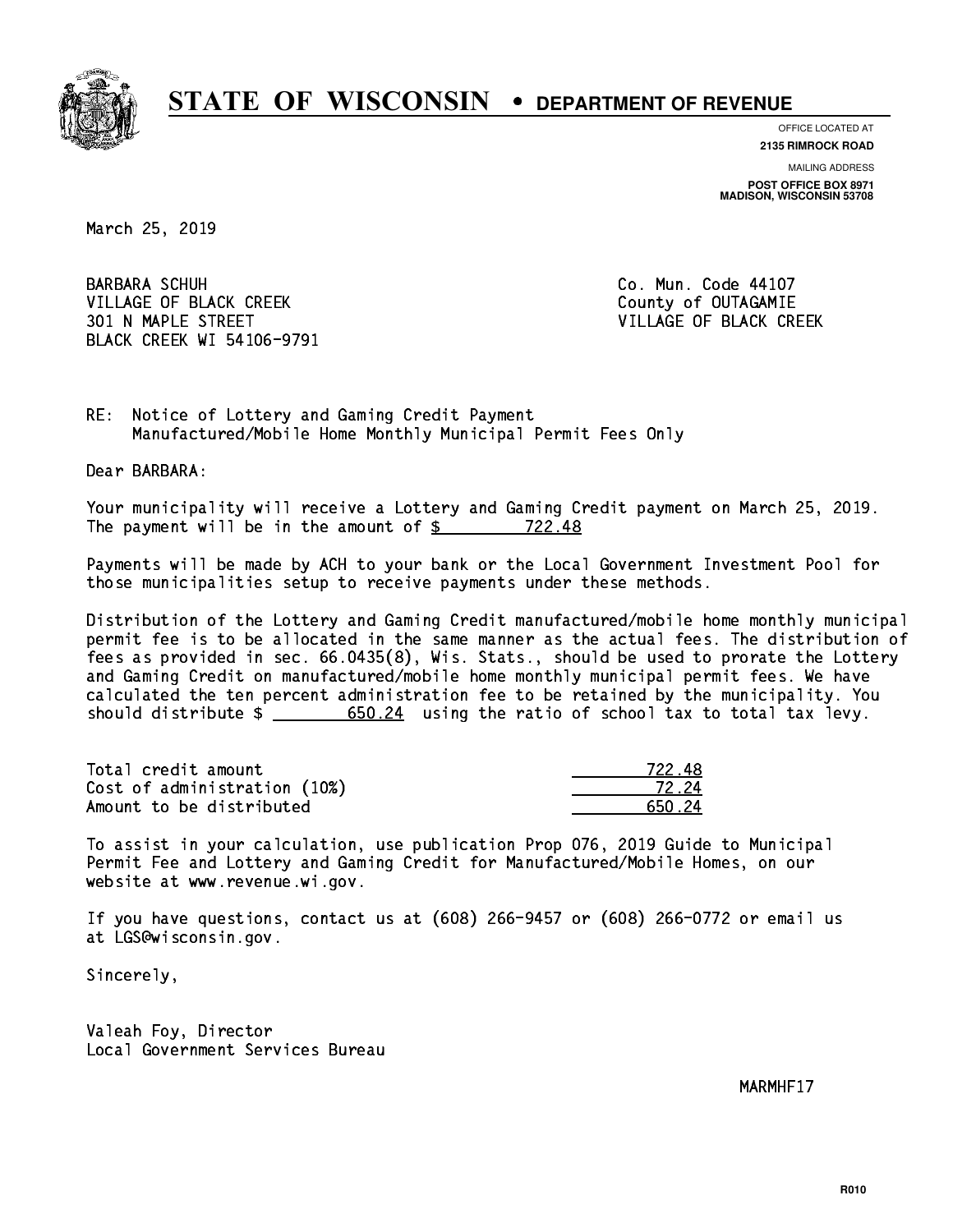

**OFFICE LOCATED AT**

**2135 RIMROCK ROAD**

**MAILING ADDRESS POST OFFICE BOX 8971 MADISON, WISCONSIN 53708**

March 25, 2019

**BARBARA SCHUH** VILLAGE OF BLACK CREEK COUNTY OF OUTAGAMIE 301 N MAPLE STREET VILLAGE OF BLACK CREEK BLACK CREEK WI 54106-9791

Co. Mun. Code 44107

RE: Notice of Lottery and Gaming Credit Payment Manufactured/Mobile Home Monthly Municipal Permit Fees Only

Dear BARBARA:

 Your municipality will receive a Lottery and Gaming Credit payment on March 25, 2019. The payment will be in the amount of  $\frac{22.48}{22.48}$ 

 Payments will be made by ACH to your bank or the Local Government Investment Pool for those municipalities setup to receive payments under these methods.

 Distribution of the Lottery and Gaming Credit manufactured/mobile home monthly municipal permit fee is to be allocated in the same manner as the actual fees. The distribution of fees as provided in sec. 66.0435(8), Wis. Stats., should be used to prorate the Lottery and Gaming Credit on manufactured/mobile home monthly municipal permit fees. We have calculated the ten percent administration fee to be retained by the municipality. You should distribute  $\frac{24}{1000}$  =  $\frac{650.24}{2000}$  using the ratio of school tax to total tax levy.

Total credit amount Cost of administration (10%) Amount to be distributed

| 48<br>722 J |
|-------------|
| 72.24       |
| I 24        |

 To assist in your calculation, use publication Prop 076, 2019 Guide to Municipal Permit Fee and Lottery and Gaming Credit for Manufactured/Mobile Homes, on our website at www.revenue.wi.gov.

 If you have questions, contact us at (608) 266-9457 or (608) 266-0772 or email us at LGS@wisconsin.gov.

Sincerely,

 Valeah Foy, Director Local Government Services Bureau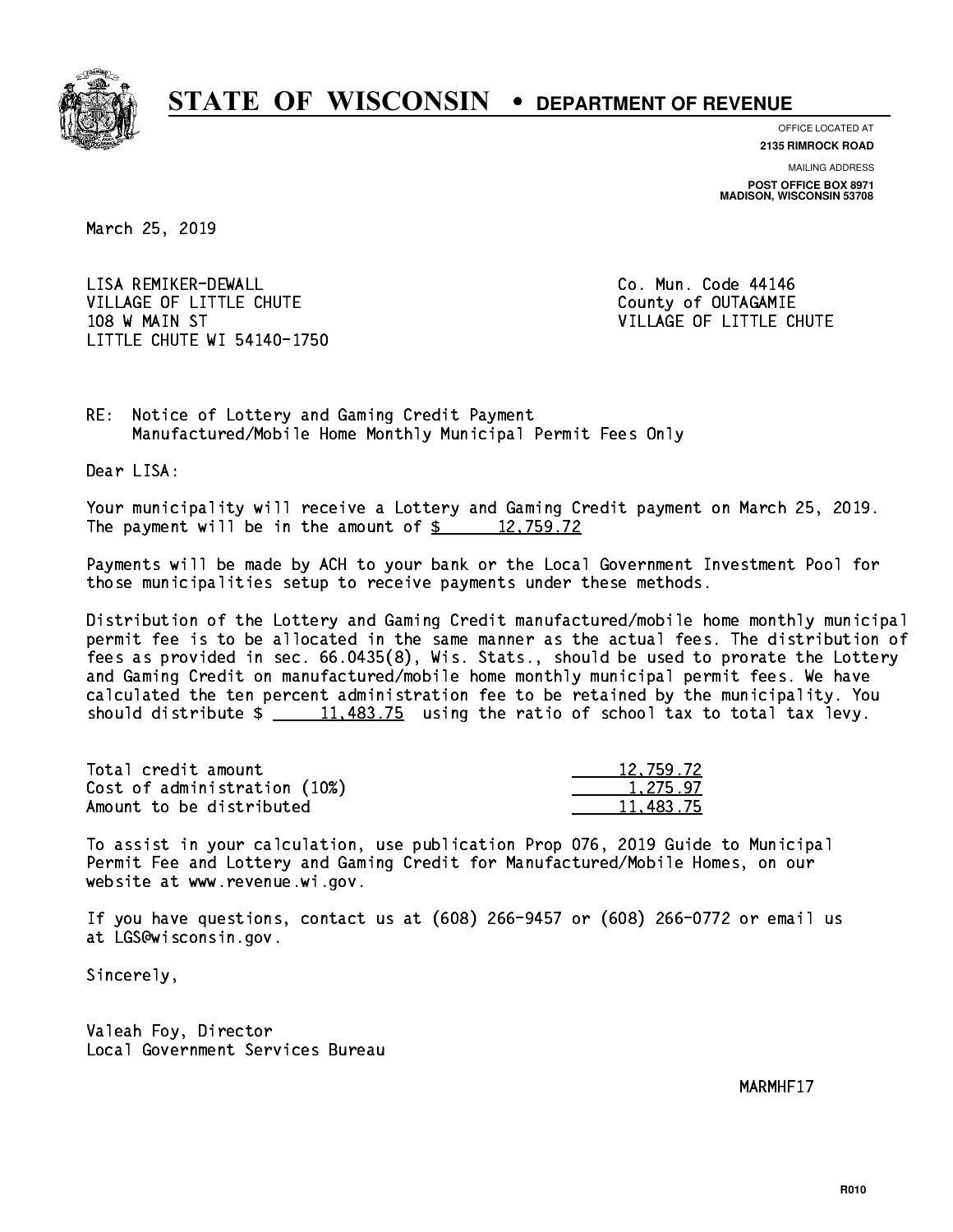

**OFFICE LOCATED AT**

**2135 RIMROCK ROAD**

**MAILING ADDRESS POST OFFICE BOX 8971 MADISON, WISCONSIN 53708**

March 25, 2019

 LISA REMIKER-DEWALL Co. Mun. Code 44146 VILLAGE OF LITTLE CHUTE COUNTY OF OUTAGAMIE 108 W MAIN ST VILLAGE OF LITTLE CHUTE LITTLE CHUTE WI 54140-1750

RE: Notice of Lottery and Gaming Credit Payment Manufactured/Mobile Home Monthly Municipal Permit Fees Only

Dear LISA:

 Your municipality will receive a Lottery and Gaming Credit payment on March 25, 2019. The payment will be in the amount of  $\frac{2}{3}$  12,759.72

 Payments will be made by ACH to your bank or the Local Government Investment Pool for those municipalities setup to receive payments under these methods.

 Distribution of the Lottery and Gaming Credit manufactured/mobile home monthly municipal permit fee is to be allocated in the same manner as the actual fees. The distribution of fees as provided in sec. 66.0435(8), Wis. Stats., should be used to prorate the Lottery and Gaming Credit on manufactured/mobile home monthly municipal permit fees. We have calculated the ten percent administration fee to be retained by the municipality. You should distribute  $\frac{11,483.75}{2}$  using the ratio of school tax to total tax levy.

| Total credit amount          | 12,759.72 |
|------------------------------|-----------|
| Cost of administration (10%) | 1.275.97  |
| Amount to be distributed     | 11.483.75 |

 To assist in your calculation, use publication Prop 076, 2019 Guide to Municipal Permit Fee and Lottery and Gaming Credit for Manufactured/Mobile Homes, on our website at www.revenue.wi.gov.

 If you have questions, contact us at (608) 266-9457 or (608) 266-0772 or email us at LGS@wisconsin.gov.

Sincerely,

 Valeah Foy, Director Local Government Services Bureau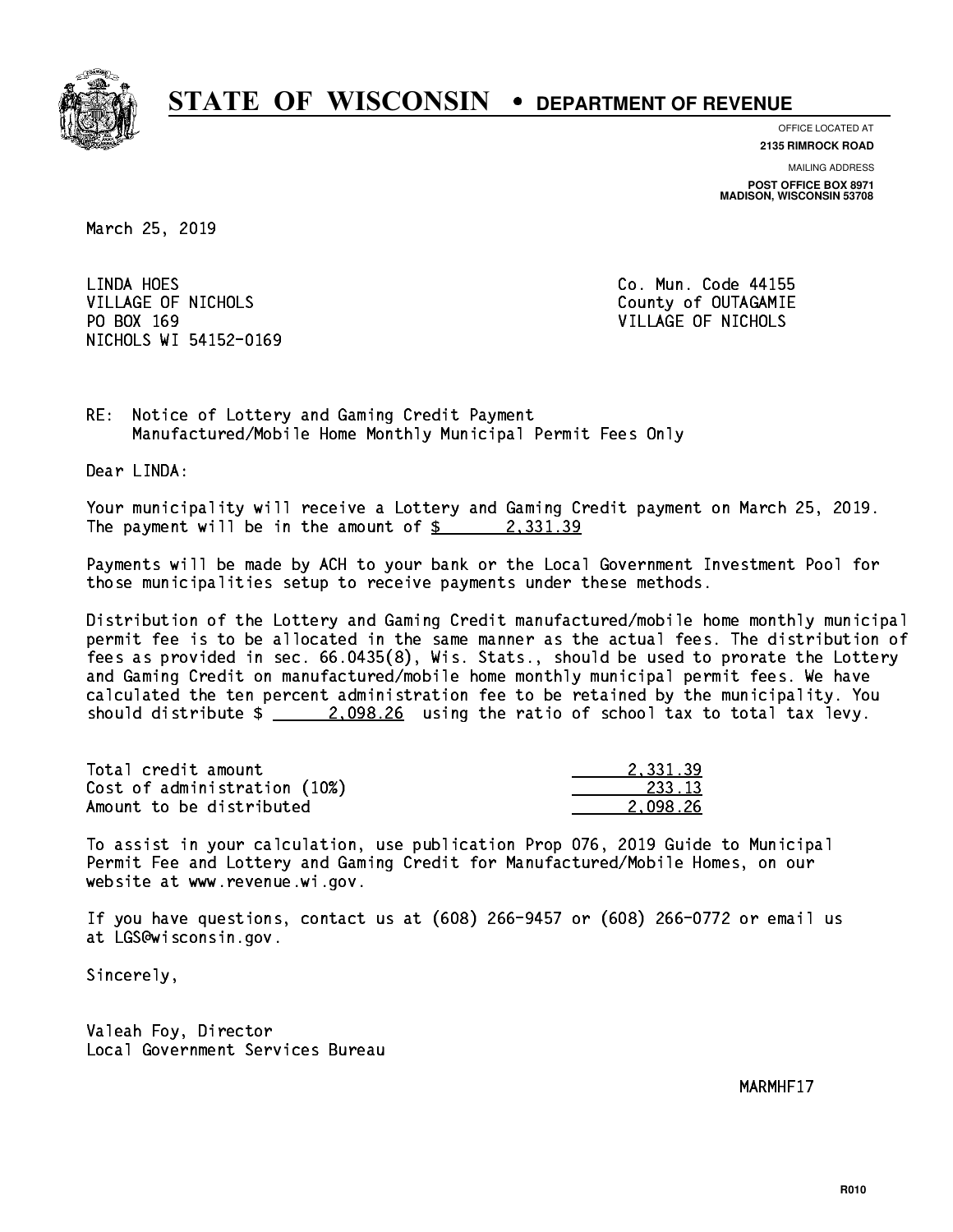

**OFFICE LOCATED AT**

**2135 RIMROCK ROAD**

**MAILING ADDRESS POST OFFICE BOX 8971 MADISON, WISCONSIN 53708**

March 25, 2019

LINDA HOES VILLAGE OF NICHOLS COUNTY OF OUTAGAMIE PO BOX 169 VILLAGE OF NICHOLS NICHOLS WI 54152-0169

Co. Mun. Code 44155

RE: Notice of Lottery and Gaming Credit Payment Manufactured/Mobile Home Monthly Municipal Permit Fees Only

Dear LINDA:

 Your municipality will receive a Lottery and Gaming Credit payment on March 25, 2019. The payment will be in the amount of  $\frac{2}{3}$  2,331.39

 Payments will be made by ACH to your bank or the Local Government Investment Pool for those municipalities setup to receive payments under these methods.

 Distribution of the Lottery and Gaming Credit manufactured/mobile home monthly municipal permit fee is to be allocated in the same manner as the actual fees. The distribution of fees as provided in sec. 66.0435(8), Wis. Stats., should be used to prorate the Lottery and Gaming Credit on manufactured/mobile home monthly municipal permit fees. We have calculated the ten percent administration fee to be retained by the municipality. You should distribute  $\frac{2.098.26}{2.098.26}$  using the ratio of school tax to total tax levy.

| Total credit amount          | 2.331.39 |
|------------------------------|----------|
| Cost of administration (10%) | 233.13   |
| Amount to be distributed     | 2.098.26 |

 To assist in your calculation, use publication Prop 076, 2019 Guide to Municipal Permit Fee and Lottery and Gaming Credit for Manufactured/Mobile Homes, on our website at www.revenue.wi.gov.

 If you have questions, contact us at (608) 266-9457 or (608) 266-0772 or email us at LGS@wisconsin.gov.

Sincerely,

 Valeah Foy, Director Local Government Services Bureau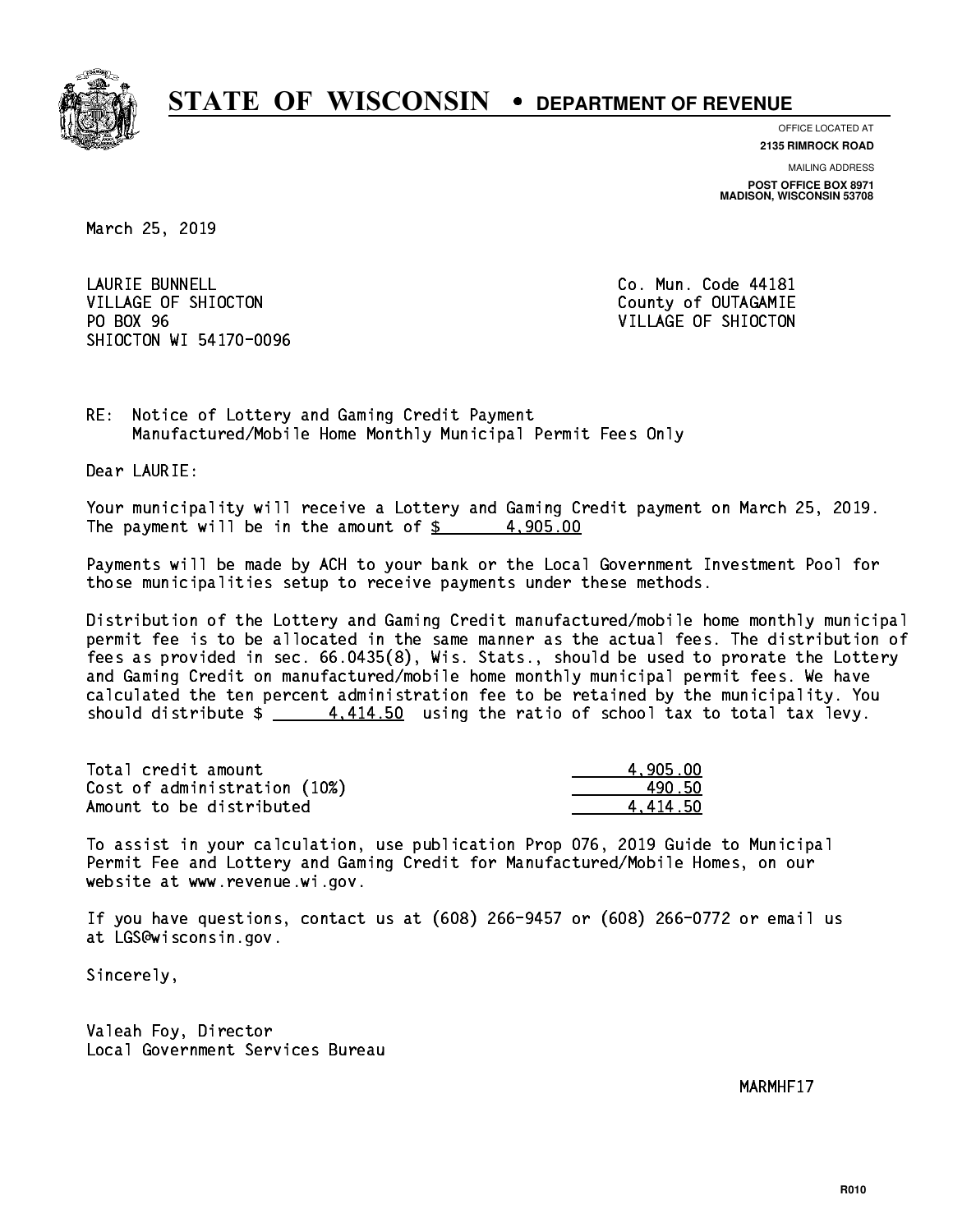

**OFFICE LOCATED AT**

**2135 RIMROCK ROAD**

**MAILING ADDRESS POST OFFICE BOX 8971 MADISON, WISCONSIN 53708**

March 25, 2019

**LAURIE BUNNELL** VILLAGE OF SHIOCTON COUNTY OF OUTAGAMIE PO BOX 96 SHIOCTON WI 54170-0096

Co. Mun. Code 44181 VILLAGE OF SHIOCTON

RE: Notice of Lottery and Gaming Credit Payment Manufactured/Mobile Home Monthly Municipal Permit Fees Only

Dear LAURIE:

 Your municipality will receive a Lottery and Gaming Credit payment on March 25, 2019. The payment will be in the amount of  $\frac{2}{3}$  4,905.00

 Payments will be made by ACH to your bank or the Local Government Investment Pool for those municipalities setup to receive payments under these methods.

 Distribution of the Lottery and Gaming Credit manufactured/mobile home monthly municipal permit fee is to be allocated in the same manner as the actual fees. The distribution of fees as provided in sec. 66.0435(8), Wis. Stats., should be used to prorate the Lottery and Gaming Credit on manufactured/mobile home monthly municipal permit fees. We have calculated the ten percent administration fee to be retained by the municipality. You should distribute  $\frac{2}{1}$   $\frac{4,414.50}{2}$  using the ratio of school tax to total tax levy.

| Total credit amount          | 4.905.00 |
|------------------------------|----------|
| Cost of administration (10%) | 490.50   |
| Amount to be distributed     | 4.414.50 |

 To assist in your calculation, use publication Prop 076, 2019 Guide to Municipal Permit Fee and Lottery and Gaming Credit for Manufactured/Mobile Homes, on our website at www.revenue.wi.gov.

 If you have questions, contact us at (608) 266-9457 or (608) 266-0772 or email us at LGS@wisconsin.gov.

Sincerely,

 Valeah Foy, Director Local Government Services Bureau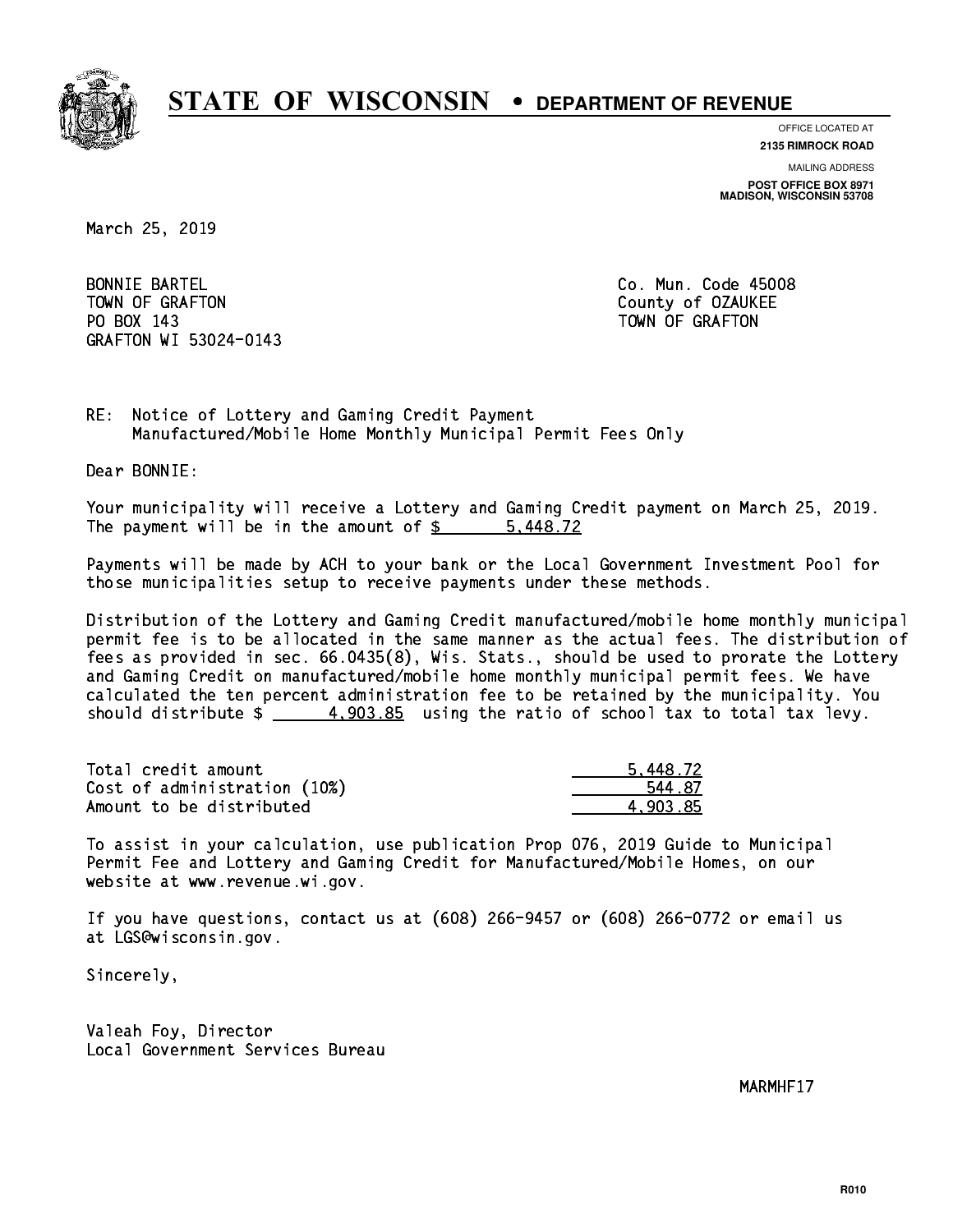

**OFFICE LOCATED AT 2135 RIMROCK ROAD**

**MAILING ADDRESS POST OFFICE BOX 8971 MADISON, WISCONSIN 53708**

March 25, 2019

**BONNIE BARTEL** TOWN OF GRAFTON COUNTY OF OUR COUNTY OF OUR COUNTY OF OUR COUNTY OF OUR COUNTY OF OUR COUNTY OF OUR COUNTY OF THE ONLY AND THE OUR COUNTY OF OUR COUNTY OF OUR COUNTY OF OUR COUNTY OF OUR COUNTY OF OUR COUNTY OF OUR COUNTY PO BOX 143 TOWN OF GRAFTON GRAFTON WI 53024-0143

Co. Mun. Code 45008

RE: Notice of Lottery and Gaming Credit Payment Manufactured/Mobile Home Monthly Municipal Permit Fees Only

Dear BONNIE:

 Your municipality will receive a Lottery and Gaming Credit payment on March 25, 2019. The payment will be in the amount of \$ 5,448.72 \_\_\_\_\_\_\_\_\_\_\_\_\_\_\_\_

 Payments will be made by ACH to your bank or the Local Government Investment Pool for those municipalities setup to receive payments under these methods.

 Distribution of the Lottery and Gaming Credit manufactured/mobile home monthly municipal permit fee is to be allocated in the same manner as the actual fees. The distribution of fees as provided in sec. 66.0435(8), Wis. Stats., should be used to prorate the Lottery and Gaming Credit on manufactured/mobile home monthly municipal permit fees. We have calculated the ten percent administration fee to be retained by the municipality. You should distribute  $\frac{4}{1003.85}$  using the ratio of school tax to total tax levy.

| Total credit amount          | 5.448.72 |
|------------------------------|----------|
| Cost of administration (10%) | 544 87   |
| Amount to be distributed     | 4.903.85 |

 To assist in your calculation, use publication Prop 076, 2019 Guide to Municipal Permit Fee and Lottery and Gaming Credit for Manufactured/Mobile Homes, on our website at www.revenue.wi.gov.

 If you have questions, contact us at (608) 266-9457 or (608) 266-0772 or email us at LGS@wisconsin.gov.

Sincerely,

 Valeah Foy, Director Local Government Services Bureau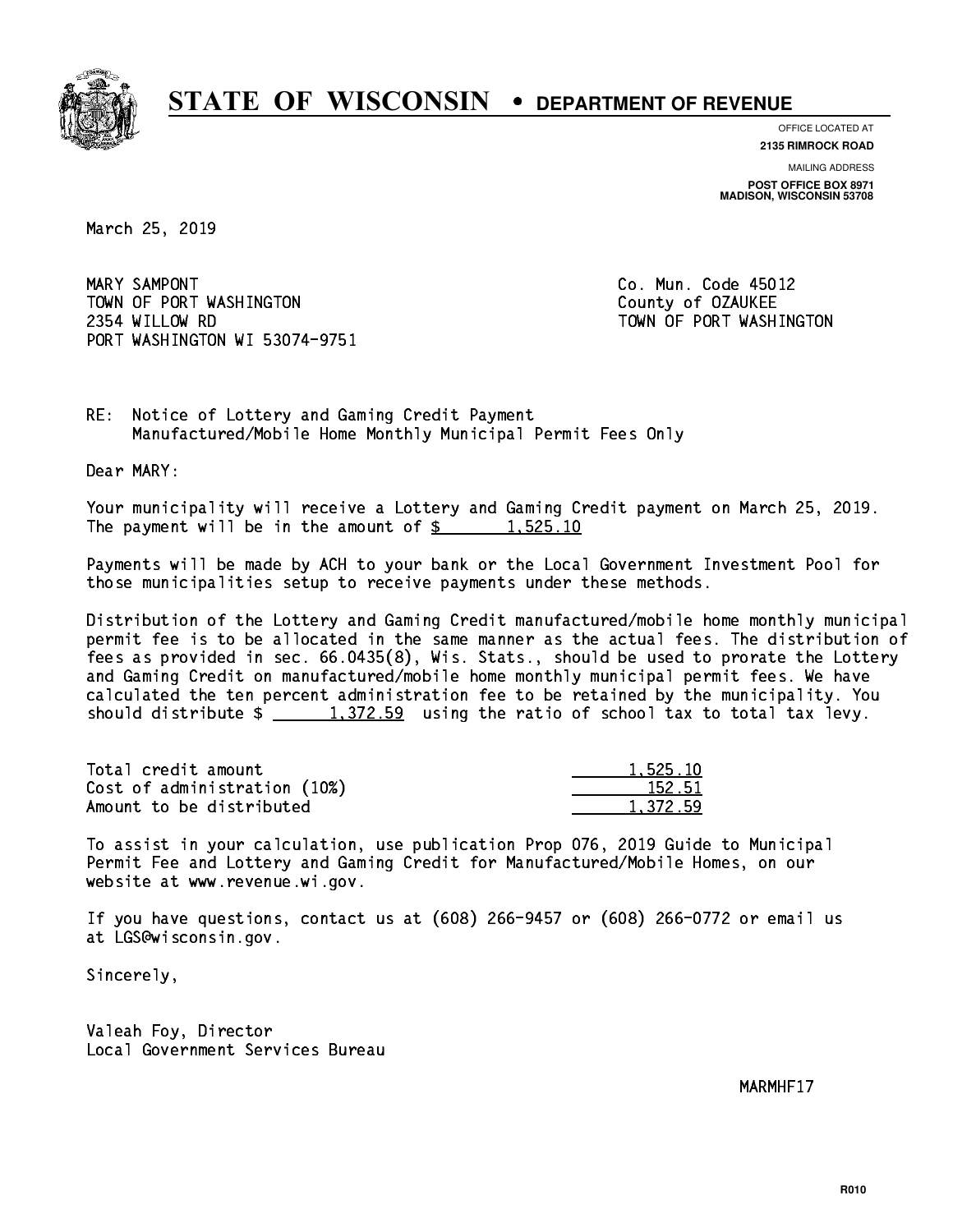

**OFFICE LOCATED AT**

**2135 RIMROCK ROAD**

**MAILING ADDRESS POST OFFICE BOX 8971 MADISON, WISCONSIN 53708**

March 25, 2019

MARY SAMPONT TOWN OF PORT WASHINGTON County of OZAUKEE 2354 WILLOW RD TOWN OF PORT WASHINGTON PORT WASHINGTON WI 53074-9751

Co. Mun. Code 45012

RE: Notice of Lottery and Gaming Credit Payment Manufactured/Mobile Home Monthly Municipal Permit Fees Only

Dear MARY:

 Your municipality will receive a Lottery and Gaming Credit payment on March 25, 2019. The payment will be in the amount of  $\frac{2}{3}$  1,525.10

 Payments will be made by ACH to your bank or the Local Government Investment Pool for those municipalities setup to receive payments under these methods.

 Distribution of the Lottery and Gaming Credit manufactured/mobile home monthly municipal permit fee is to be allocated in the same manner as the actual fees. The distribution of fees as provided in sec. 66.0435(8), Wis. Stats., should be used to prorate the Lottery and Gaming Credit on manufactured/mobile home monthly municipal permit fees. We have calculated the ten percent administration fee to be retained by the municipality. You should distribute  $\frac{1,372.59}{1,372.59}$  using the ratio of school tax to total tax levy.

| Total credit amount          | 1.525.10 |
|------------------------------|----------|
| Cost of administration (10%) | 152.51   |
| Amount to be distributed     | 1.372.59 |

 To assist in your calculation, use publication Prop 076, 2019 Guide to Municipal Permit Fee and Lottery and Gaming Credit for Manufactured/Mobile Homes, on our website at www.revenue.wi.gov.

 If you have questions, contact us at (608) 266-9457 or (608) 266-0772 or email us at LGS@wisconsin.gov.

Sincerely,

 Valeah Foy, Director Local Government Services Bureau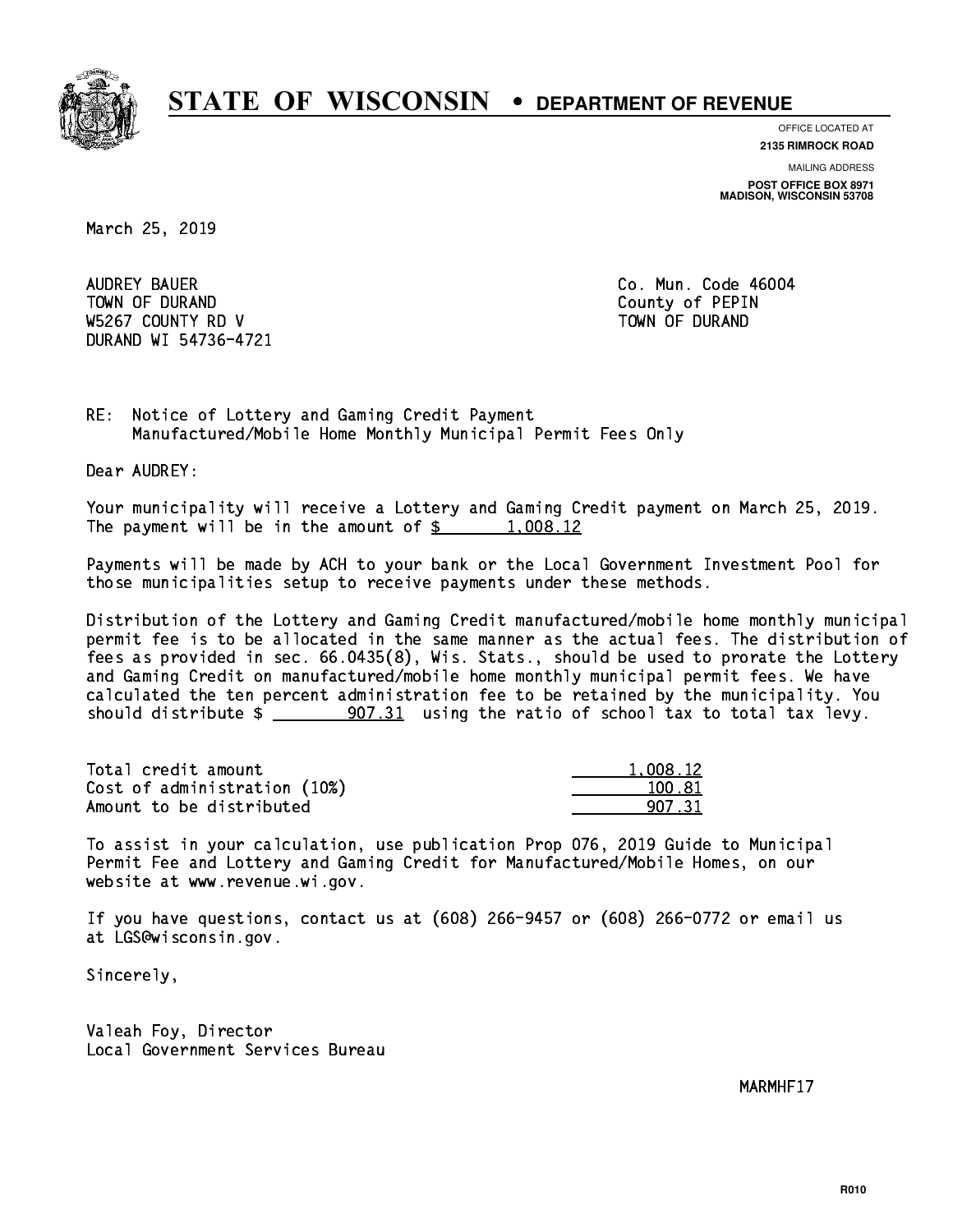

**OFFICE LOCATED AT 2135 RIMROCK ROAD**

**MAILING ADDRESS**

**POST OFFICE BOX 8971 MADISON, WISCONSIN 53708**

March 25, 2019

 AUDREY BAUER Co. Mun. Code 46004 TOWN OF DURAND COUNTY OF PERIODIC COUNTY OF PERIODIC COUNTY OF PERIODIC COUNTY OF PERIODIC COUNTY OF PERIODIC W5267 COUNTY RD V TOWN OF DURAND DURAND WI 54736-4721

RE: Notice of Lottery and Gaming Credit Payment Manufactured/Mobile Home Monthly Municipal Permit Fees Only

Dear AUDREY:

 Your municipality will receive a Lottery and Gaming Credit payment on March 25, 2019. The payment will be in the amount of  $\frac{2}{3}$  1,008.12

 Payments will be made by ACH to your bank or the Local Government Investment Pool for those municipalities setup to receive payments under these methods.

 Distribution of the Lottery and Gaming Credit manufactured/mobile home monthly municipal permit fee is to be allocated in the same manner as the actual fees. The distribution of fees as provided in sec. 66.0435(8), Wis. Stats., should be used to prorate the Lottery and Gaming Credit on manufactured/mobile home monthly municipal permit fees. We have calculated the ten percent administration fee to be retained by the municipality. You should distribute  $\frac{207.31}{1000}$  using the ratio of school tax to total tax levy.

| Total credit amount          | 1.008.12 |
|------------------------------|----------|
| Cost of administration (10%) | 100.81   |
| Amount to be distributed     | 907 31   |

 To assist in your calculation, use publication Prop 076, 2019 Guide to Municipal Permit Fee and Lottery and Gaming Credit for Manufactured/Mobile Homes, on our website at www.revenue.wi.gov.

 If you have questions, contact us at (608) 266-9457 or (608) 266-0772 or email us at LGS@wisconsin.gov.

Sincerely,

 Valeah Foy, Director Local Government Services Bureau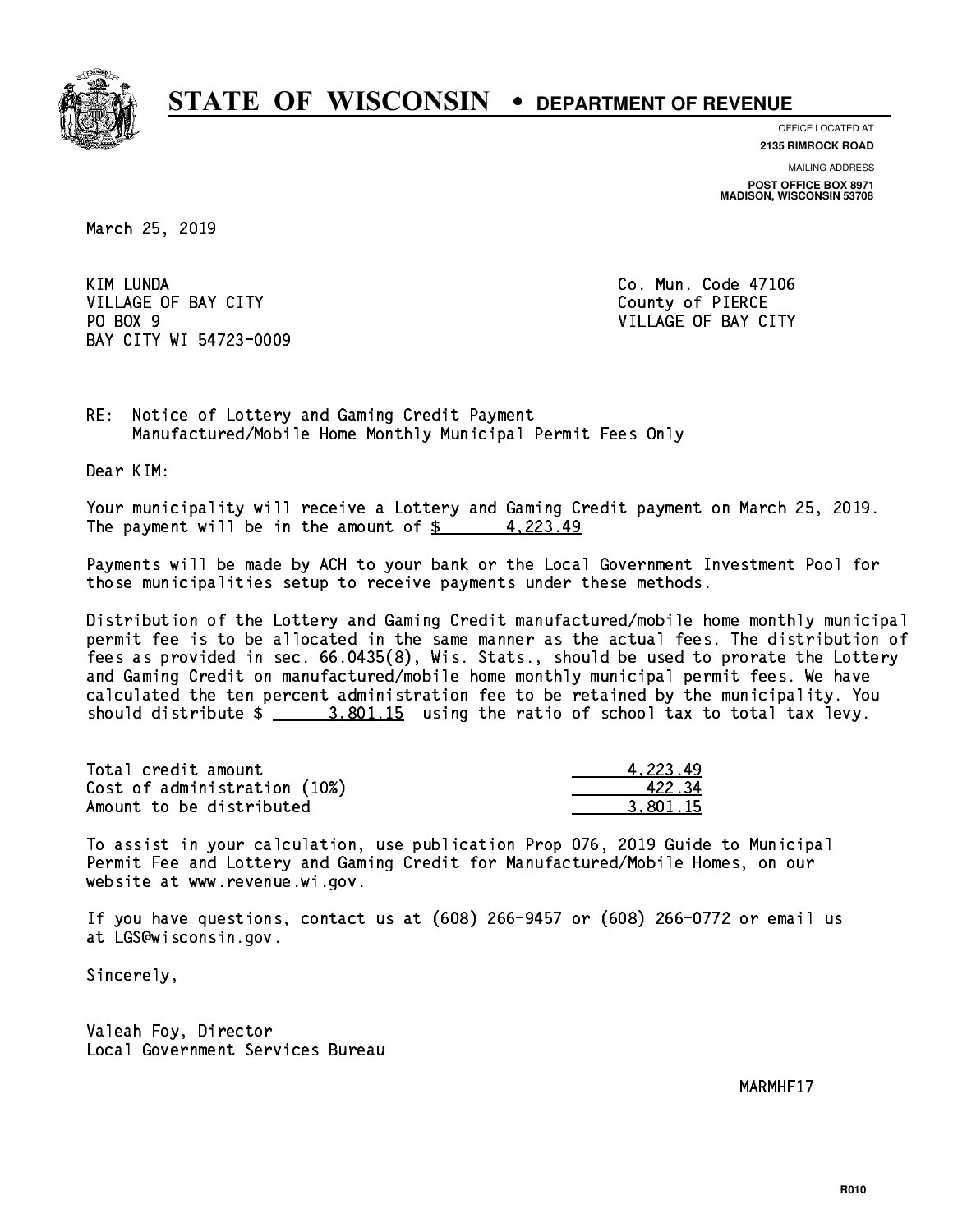

**OFFICE LOCATED AT**

**2135 RIMROCK ROAD**

**MAILING ADDRESS POST OFFICE BOX 8971 MADISON, WISCONSIN 53708**

March 25, 2019

**KIM LUNDA** VILLAGE OF BAY CITY COUNTY County of PIERCE PO BOX 9 BAY CITY WI 54723-0009

Co. Mun. Code 47106 VILLAGE OF BAY CITY

RE: Notice of Lottery and Gaming Credit Payment Manufactured/Mobile Home Monthly Municipal Permit Fees Only

Dear KIM:

 Your municipality will receive a Lottery and Gaming Credit payment on March 25, 2019. The payment will be in the amount of  $\frac{2}{3}$  4,223.49

 Payments will be made by ACH to your bank or the Local Government Investment Pool for those municipalities setup to receive payments under these methods.

 Distribution of the Lottery and Gaming Credit manufactured/mobile home monthly municipal permit fee is to be allocated in the same manner as the actual fees. The distribution of fees as provided in sec. 66.0435(8), Wis. Stats., should be used to prorate the Lottery and Gaming Credit on manufactured/mobile home monthly municipal permit fees. We have calculated the ten percent administration fee to be retained by the municipality. You should distribute  $\frac{2.801.15}{2}$  using the ratio of school tax to total tax levy.

| Total credit amount          | 4.223.49 |
|------------------------------|----------|
| Cost of administration (10%) | 42234    |
| Amount to be distributed     | 3.801.15 |

 To assist in your calculation, use publication Prop 076, 2019 Guide to Municipal Permit Fee and Lottery and Gaming Credit for Manufactured/Mobile Homes, on our website at www.revenue.wi.gov.

 If you have questions, contact us at (608) 266-9457 or (608) 266-0772 or email us at LGS@wisconsin.gov.

Sincerely,

 Valeah Foy, Director Local Government Services Bureau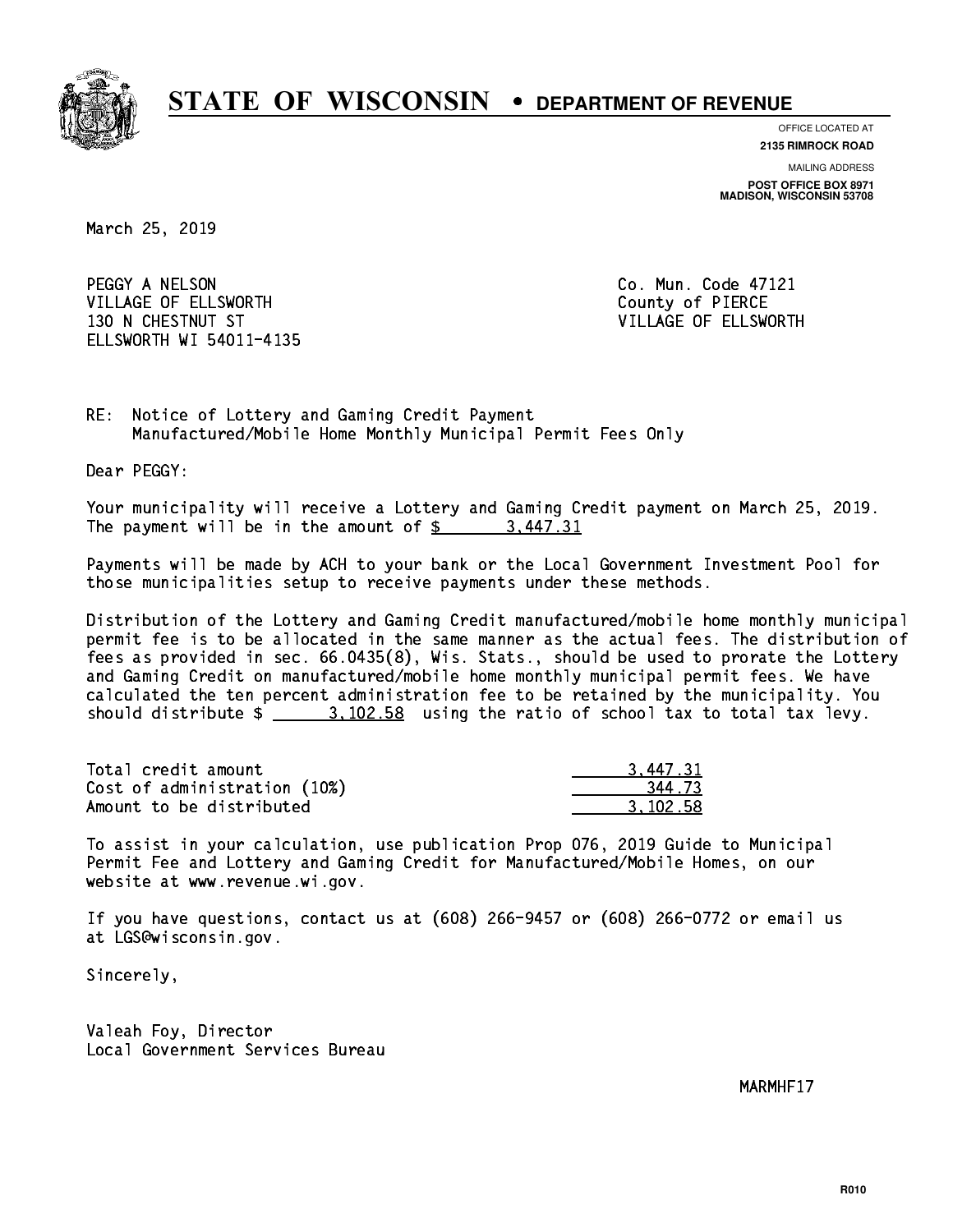

**OFFICE LOCATED AT**

**2135 RIMROCK ROAD**

**MAILING ADDRESS POST OFFICE BOX 8971 MADISON, WISCONSIN 53708**

March 25, 2019

PEGGY A NELSON CO. Mun. Code 47121 VILLAGE OF ELLSWORTH COUNTY OF PIERCE 130 N CHESTNUT ST VILLAGE OF ELLSWORTH ELLSWORTH WI 54011-4135

RE: Notice of Lottery and Gaming Credit Payment Manufactured/Mobile Home Monthly Municipal Permit Fees Only

Dear PEGGY:

 Your municipality will receive a Lottery and Gaming Credit payment on March 25, 2019. The payment will be in the amount of  $\frac{2}{3}$  3,447.31

 Payments will be made by ACH to your bank or the Local Government Investment Pool for those municipalities setup to receive payments under these methods.

 Distribution of the Lottery and Gaming Credit manufactured/mobile home monthly municipal permit fee is to be allocated in the same manner as the actual fees. The distribution of fees as provided in sec. 66.0435(8), Wis. Stats., should be used to prorate the Lottery and Gaming Credit on manufactured/mobile home monthly municipal permit fees. We have calculated the ten percent administration fee to be retained by the municipality. You should distribute  $\frac{2}{1}$   $\frac{3}{102.58}$  using the ratio of school tax to total tax levy.

| Total credit amount          | 3,447.31 |
|------------------------------|----------|
| Cost of administration (10%) | 344.73   |
| Amount to be distributed     | 3.102.58 |

 To assist in your calculation, use publication Prop 076, 2019 Guide to Municipal Permit Fee and Lottery and Gaming Credit for Manufactured/Mobile Homes, on our website at www.revenue.wi.gov.

 If you have questions, contact us at (608) 266-9457 or (608) 266-0772 or email us at LGS@wisconsin.gov.

Sincerely,

 Valeah Foy, Director Local Government Services Bureau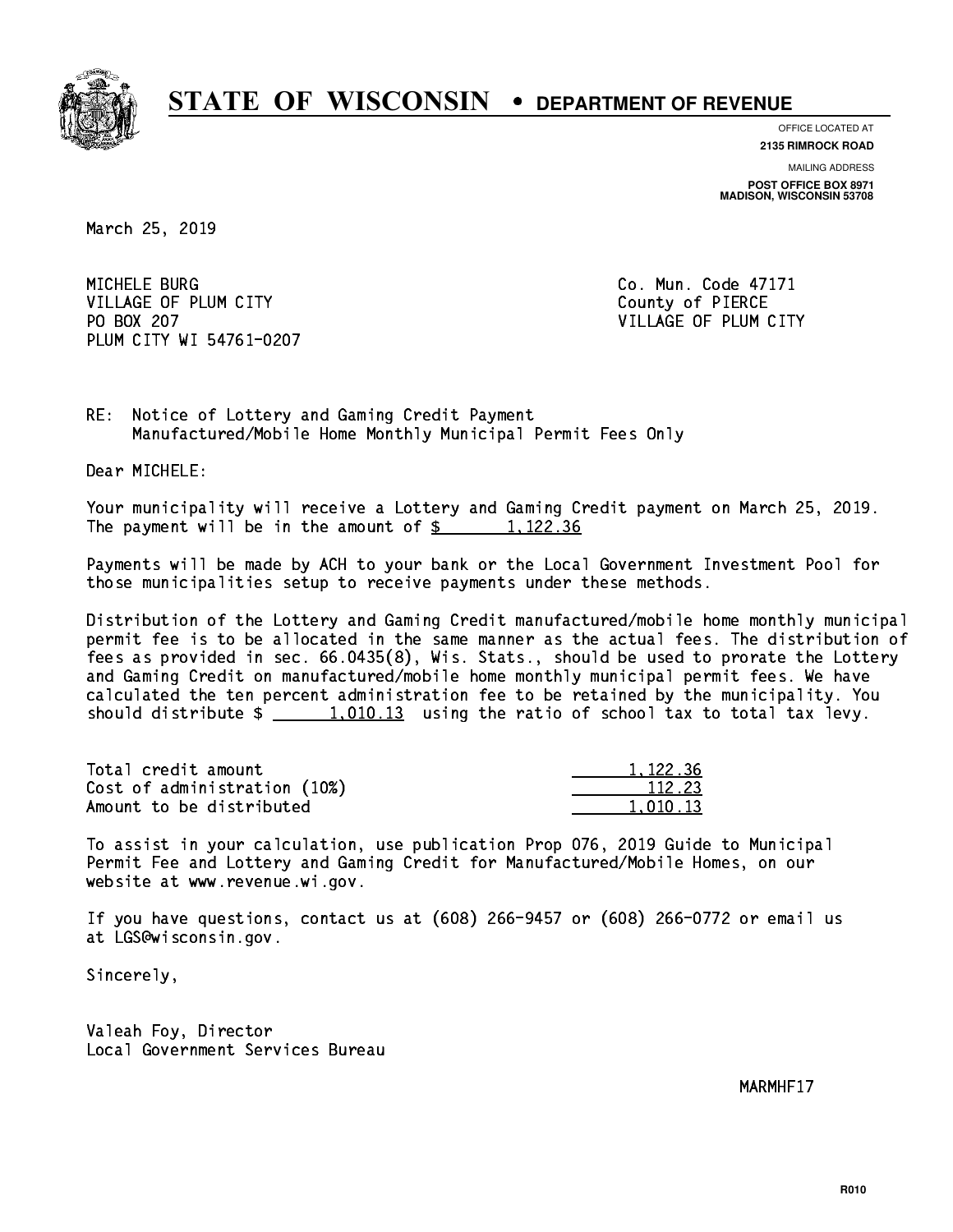

**OFFICE LOCATED AT**

**2135 RIMROCK ROAD**

**MAILING ADDRESS POST OFFICE BOX 8971 MADISON, WISCONSIN 53708**

March 25, 2019

MICHELE BURG VILLAGE OF PLUM CITY COUNTY County of PIERCE PO BOX 207 PLUM CITY WI 54761-0207

Co. Mun. Code 47171 VILLAGE OF PLUM CITY

RE: Notice of Lottery and Gaming Credit Payment Manufactured/Mobile Home Monthly Municipal Permit Fees Only

Dear MICHELE:

 Your municipality will receive a Lottery and Gaming Credit payment on March 25, 2019. The payment will be in the amount of  $\frac{2}{3}$  1,122.36

 Payments will be made by ACH to your bank or the Local Government Investment Pool for those municipalities setup to receive payments under these methods.

 Distribution of the Lottery and Gaming Credit manufactured/mobile home monthly municipal permit fee is to be allocated in the same manner as the actual fees. The distribution of fees as provided in sec. 66.0435(8), Wis. Stats., should be used to prorate the Lottery and Gaming Credit on manufactured/mobile home monthly municipal permit fees. We have calculated the ten percent administration fee to be retained by the municipality. You should distribute  $\frac{1}{2}$   $\frac{1}{2}$   $\frac{1}{2}$  using the ratio of school tax to total tax levy.

Total credit amount Cost of administration (10%) Amount to be distributed

| 1,122.36        |
|-----------------|
| 112.23          |
| 1. 13<br>- 11 1 |

 To assist in your calculation, use publication Prop 076, 2019 Guide to Municipal Permit Fee and Lottery and Gaming Credit for Manufactured/Mobile Homes, on our website at www.revenue.wi.gov.

 If you have questions, contact us at (608) 266-9457 or (608) 266-0772 or email us at LGS@wisconsin.gov.

Sincerely,

 Valeah Foy, Director Local Government Services Bureau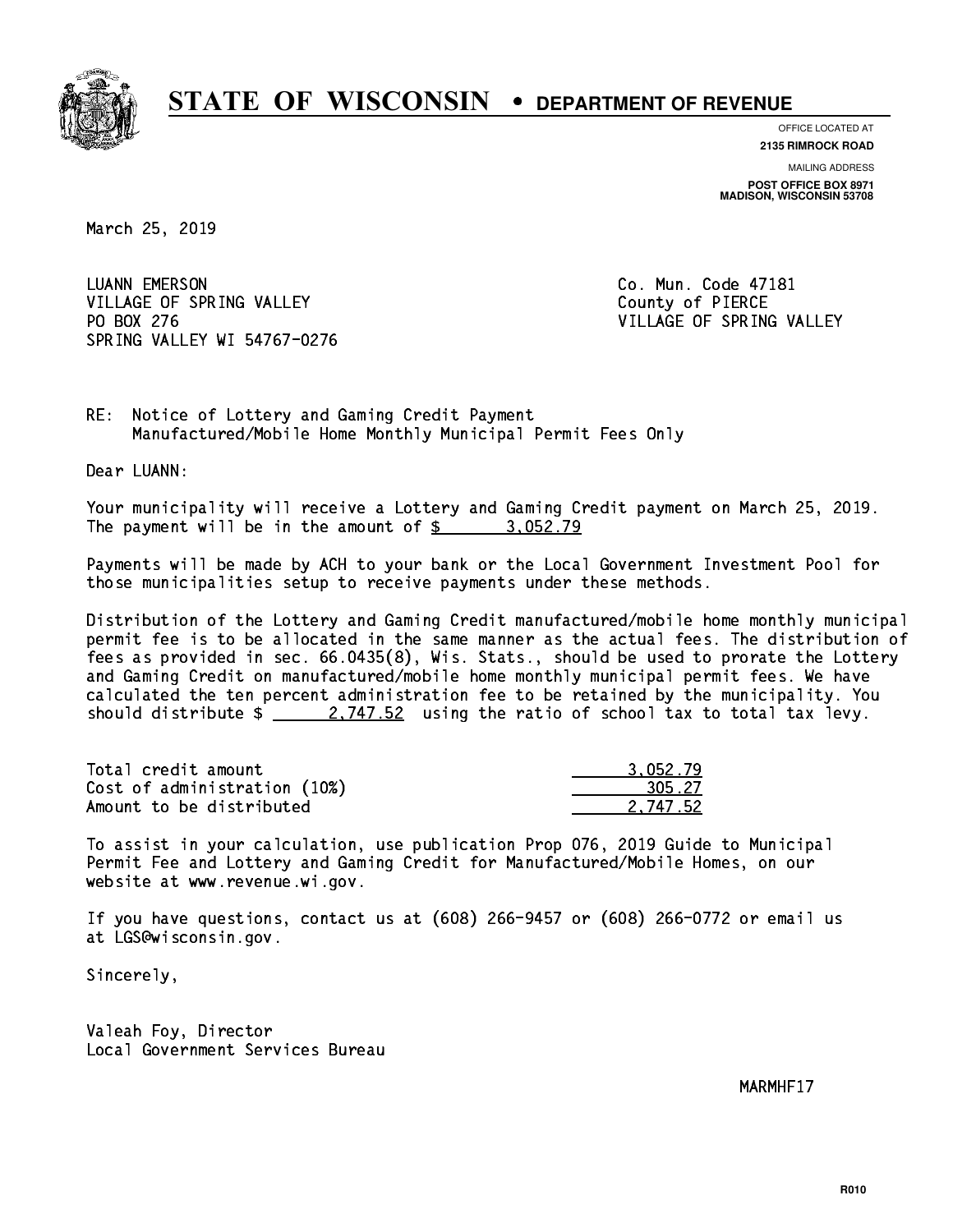

**OFFICE LOCATED AT**

**2135 RIMROCK ROAD**

**MAILING ADDRESS POST OFFICE BOX 8971 MADISON, WISCONSIN 53708**

March 25, 2019

 LUANN EMERSON Co. Mun. Code 47181 VILLAGE OF SPRING VALLEY COUNTY OF PIERCE PO BOX 276 VILLAGE OF SPRING VALLEY SPRING VALLEY WI 54767-0276

RE: Notice of Lottery and Gaming Credit Payment Manufactured/Mobile Home Monthly Municipal Permit Fees Only

Dear LUANN:

 Your municipality will receive a Lottery and Gaming Credit payment on March 25, 2019. The payment will be in the amount of  $\frac{2}{3}$  3,052.79

 Payments will be made by ACH to your bank or the Local Government Investment Pool for those municipalities setup to receive payments under these methods.

 Distribution of the Lottery and Gaming Credit manufactured/mobile home monthly municipal permit fee is to be allocated in the same manner as the actual fees. The distribution of fees as provided in sec. 66.0435(8), Wis. Stats., should be used to prorate the Lottery and Gaming Credit on manufactured/mobile home monthly municipal permit fees. We have calculated the ten percent administration fee to be retained by the municipality. You should distribute  $\frac{2.747.52}{2.747.52}$  using the ratio of school tax to total tax levy.

| Total credit amount          | 3.052.79 |
|------------------------------|----------|
| Cost of administration (10%) | 305.27   |
| Amount to be distributed     | 2.747.52 |

 To assist in your calculation, use publication Prop 076, 2019 Guide to Municipal Permit Fee and Lottery and Gaming Credit for Manufactured/Mobile Homes, on our website at www.revenue.wi.gov.

 If you have questions, contact us at (608) 266-9457 or (608) 266-0772 or email us at LGS@wisconsin.gov.

Sincerely,

 Valeah Foy, Director Local Government Services Bureau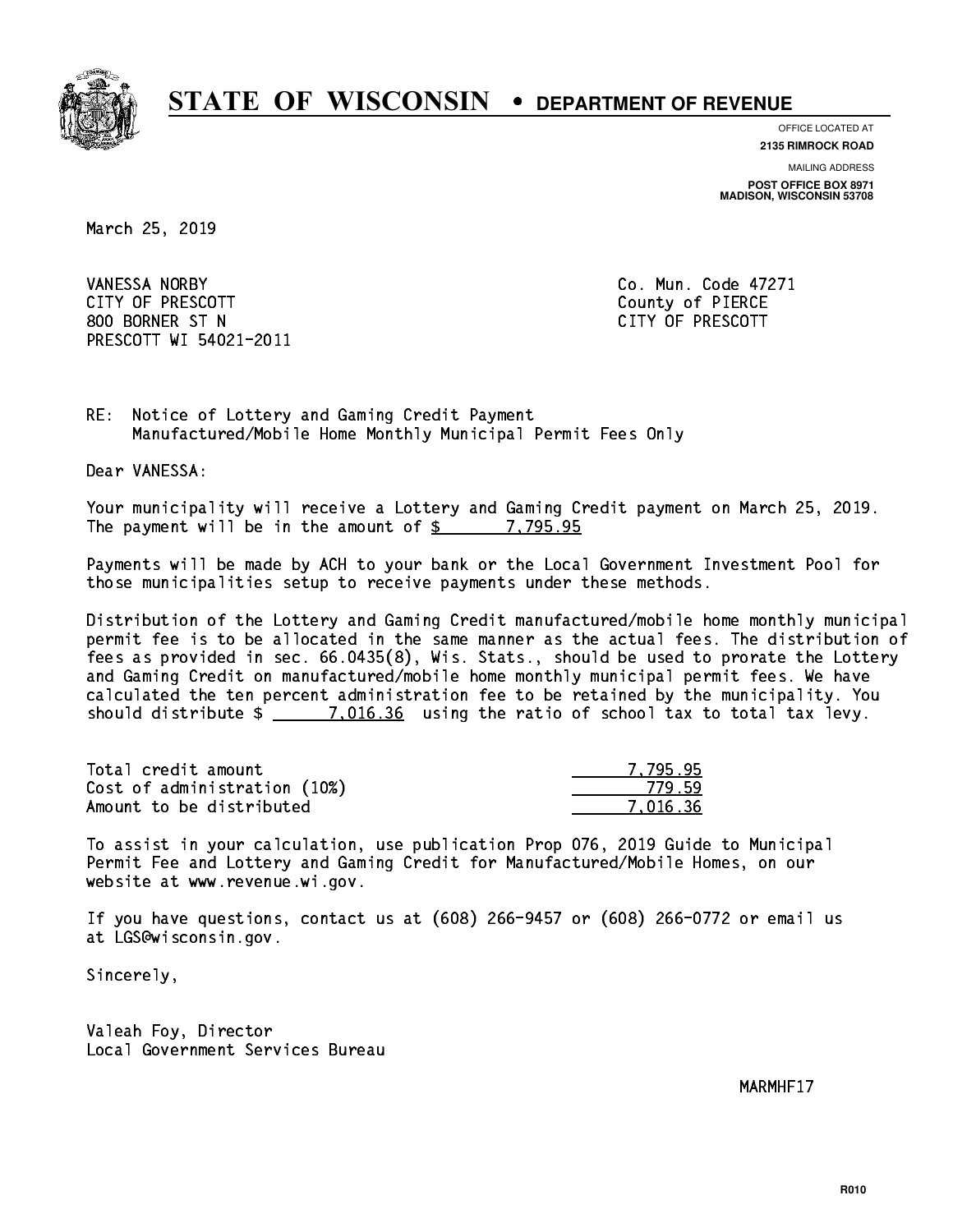

**OFFICE LOCATED AT 2135 RIMROCK ROAD**

**MAILING ADDRESS**

**POST OFFICE BOX 8971 MADISON, WISCONSIN 53708**

March 25, 2019

 VANESSA NORBY Co. Mun. Code 47271 CITY OF PRESCOTT County of PIERCE 800 BORNER ST N CITY OF PRESCOTT PRESCOTT WI 54021-2011

RE: Notice of Lottery and Gaming Credit Payment Manufactured/Mobile Home Monthly Municipal Permit Fees Only

Dear VANESSA:

 Your municipality will receive a Lottery and Gaming Credit payment on March 25, 2019. The payment will be in the amount of  $\frac{2}{3}$  7,795.95

 Payments will be made by ACH to your bank or the Local Government Investment Pool for those municipalities setup to receive payments under these methods.

 Distribution of the Lottery and Gaming Credit manufactured/mobile home monthly municipal permit fee is to be allocated in the same manner as the actual fees. The distribution of fees as provided in sec. 66.0435(8), Wis. Stats., should be used to prorate the Lottery and Gaming Credit on manufactured/mobile home monthly municipal permit fees. We have calculated the ten percent administration fee to be retained by the municipality. You should distribute  $\frac{2}{2}$   $\frac{7.016.36}{2}$  using the ratio of school tax to total tax levy.

| Total credit amount          | 7.795.95 |
|------------------------------|----------|
| Cost of administration (10%) | 779.59   |
| Amount to be distributed     | 7.016.36 |

 To assist in your calculation, use publication Prop 076, 2019 Guide to Municipal Permit Fee and Lottery and Gaming Credit for Manufactured/Mobile Homes, on our website at www.revenue.wi.gov.

 If you have questions, contact us at (608) 266-9457 or (608) 266-0772 or email us at LGS@wisconsin.gov.

Sincerely,

 Valeah Foy, Director Local Government Services Bureau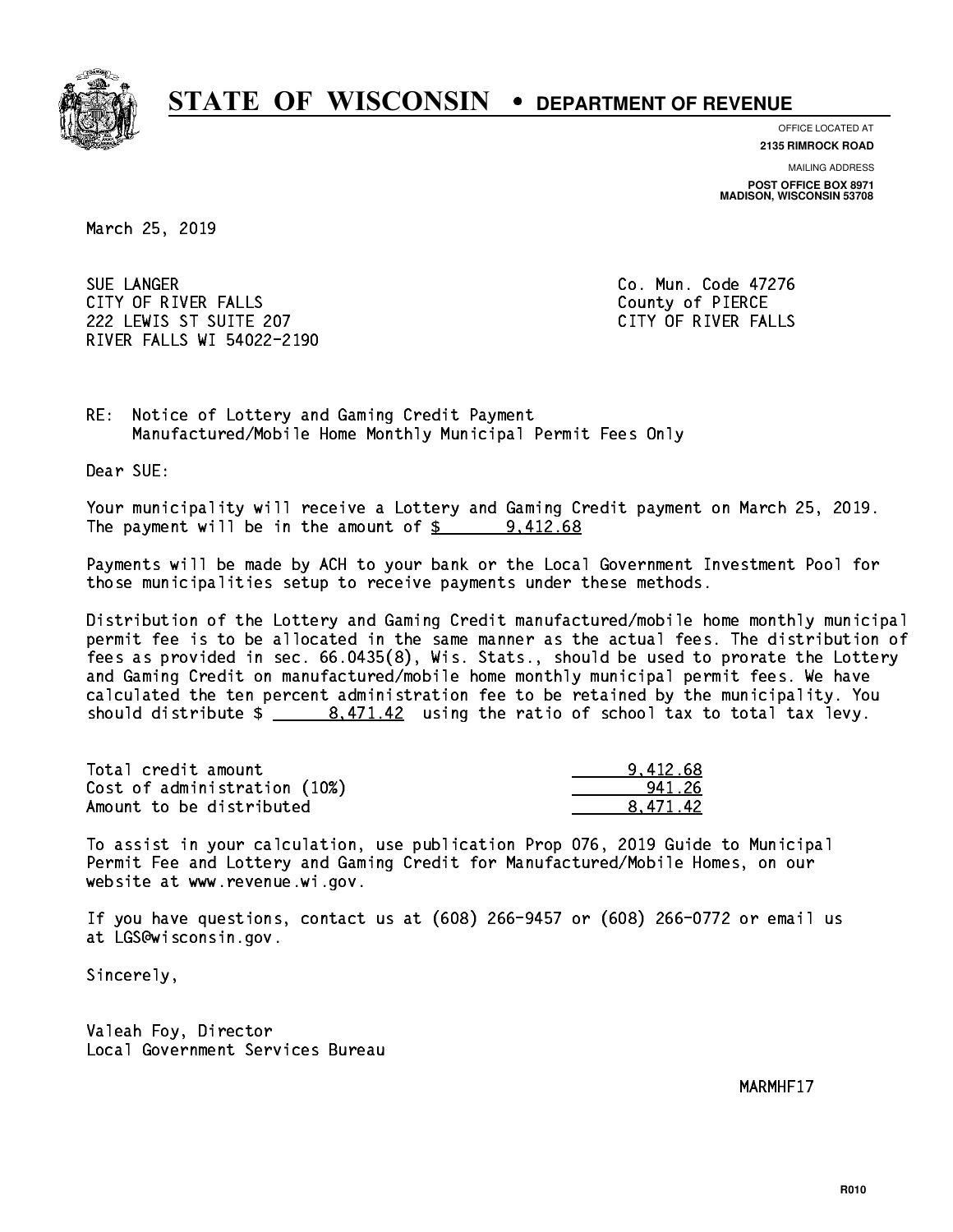

**OFFICE LOCATED AT**

**2135 RIMROCK ROAD**

**MAILING ADDRESS POST OFFICE BOX 8971 MADISON, WISCONSIN 53708**

March 25, 2019

SUE LANGER CITY OF RIVER FALLS COUNTY OF PIERCE 222 LEWIS ST SUITE 207 CITY OF RIVER FALLS RIVER FALLS WI 54022-2190

Co. Mun. Code 47276

RE: Notice of Lottery and Gaming Credit Payment Manufactured/Mobile Home Monthly Municipal Permit Fees Only

Dear SUE:

 Your municipality will receive a Lottery and Gaming Credit payment on March 25, 2019. The payment will be in the amount of  $\frac{2}{3}$  9,412.68

 Payments will be made by ACH to your bank or the Local Government Investment Pool for those municipalities setup to receive payments under these methods.

 Distribution of the Lottery and Gaming Credit manufactured/mobile home monthly municipal permit fee is to be allocated in the same manner as the actual fees. The distribution of fees as provided in sec. 66.0435(8), Wis. Stats., should be used to prorate the Lottery and Gaming Credit on manufactured/mobile home monthly municipal permit fees. We have calculated the ten percent administration fee to be retained by the municipality. You should distribute  $\frac{2}{1.471.42}$  using the ratio of school tax to total tax levy.

| Total credit amount          | 9.412.68 |
|------------------------------|----------|
| Cost of administration (10%) | 941 26   |
| Amount to be distributed     | 8.471.42 |

 To assist in your calculation, use publication Prop 076, 2019 Guide to Municipal Permit Fee and Lottery and Gaming Credit for Manufactured/Mobile Homes, on our website at www.revenue.wi.gov.

 If you have questions, contact us at (608) 266-9457 or (608) 266-0772 or email us at LGS@wisconsin.gov.

Sincerely,

 Valeah Foy, Director Local Government Services Bureau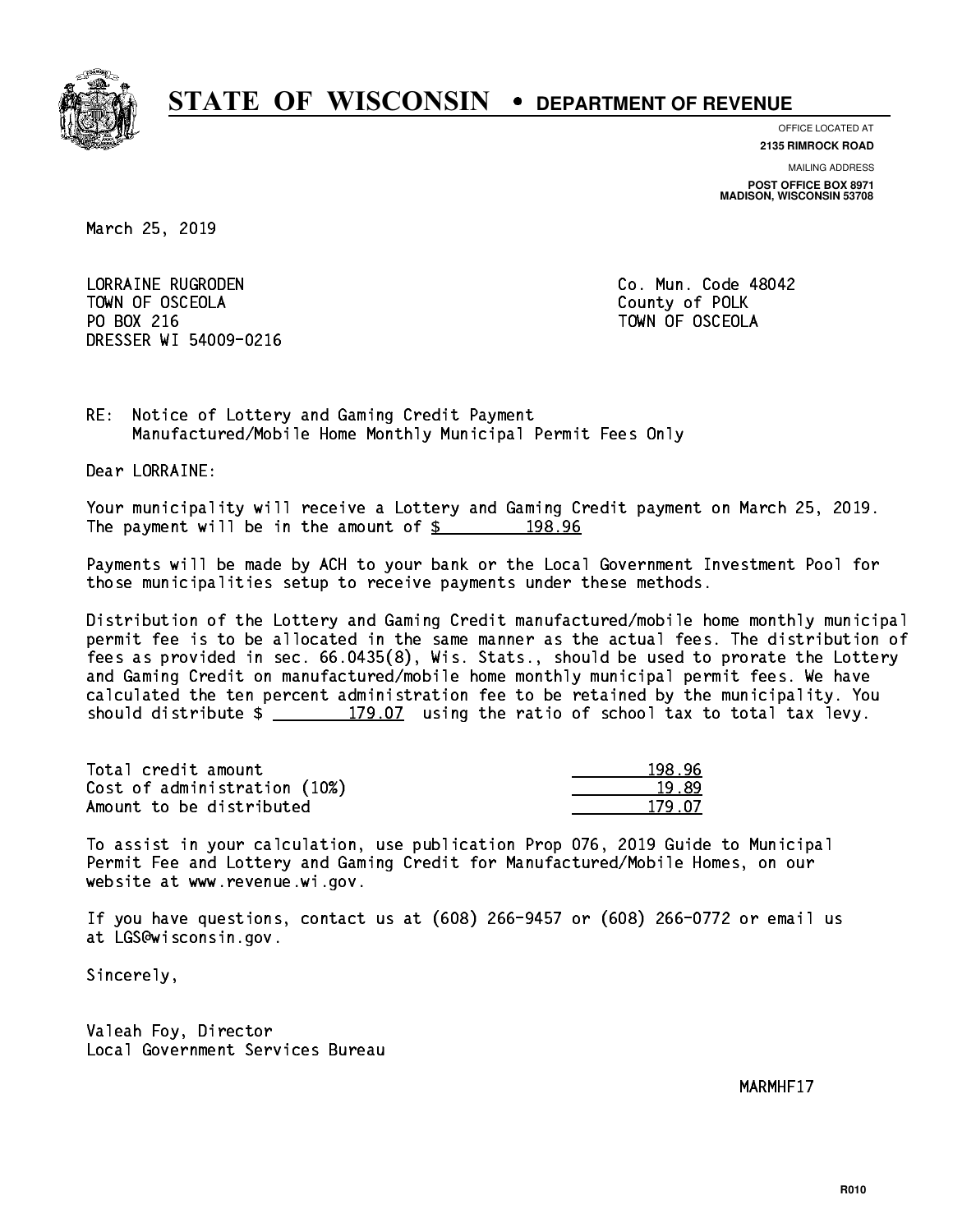

**OFFICE LOCATED AT 2135 RIMROCK ROAD**

**MAILING ADDRESS POST OFFICE BOX 8971 MADISON, WISCONSIN 53708**

March 25, 2019

 LORRAINE RUGRODEN Co. Mun. Code 48042 TOWN OF OSCEOLA County of POLK PO BOX 216 TOWN OF OSCEOLA DRESSER WI 54009-0216

RE: Notice of Lottery and Gaming Credit Payment Manufactured/Mobile Home Monthly Municipal Permit Fees Only

Dear LORRAINE:

 Your municipality will receive a Lottery and Gaming Credit payment on March 25, 2019. The payment will be in the amount of  $\frac{2}{3}$  198.96

 Payments will be made by ACH to your bank or the Local Government Investment Pool for those municipalities setup to receive payments under these methods.

 Distribution of the Lottery and Gaming Credit manufactured/mobile home monthly municipal permit fee is to be allocated in the same manner as the actual fees. The distribution of fees as provided in sec. 66.0435(8), Wis. Stats., should be used to prorate the Lottery and Gaming Credit on manufactured/mobile home monthly municipal permit fees. We have calculated the ten percent administration fee to be retained by the municipality. You should distribute  $\frac{2}{2}$   $\frac{179.07}{2}$  using the ratio of school tax to total tax levy.

Total credit amount 198.96 Cost of administration (10%) 19.89 \_\_\_\_\_\_\_\_\_\_\_\_\_\_ Amount to be distributed 179.07

 To assist in your calculation, use publication Prop 076, 2019 Guide to Municipal Permit Fee and Lottery and Gaming Credit for Manufactured/Mobile Homes, on our website at www.revenue.wi.gov.

 If you have questions, contact us at (608) 266-9457 or (608) 266-0772 or email us at LGS@wisconsin.gov.

Sincerely,

 Valeah Foy, Director Local Government Services Bureau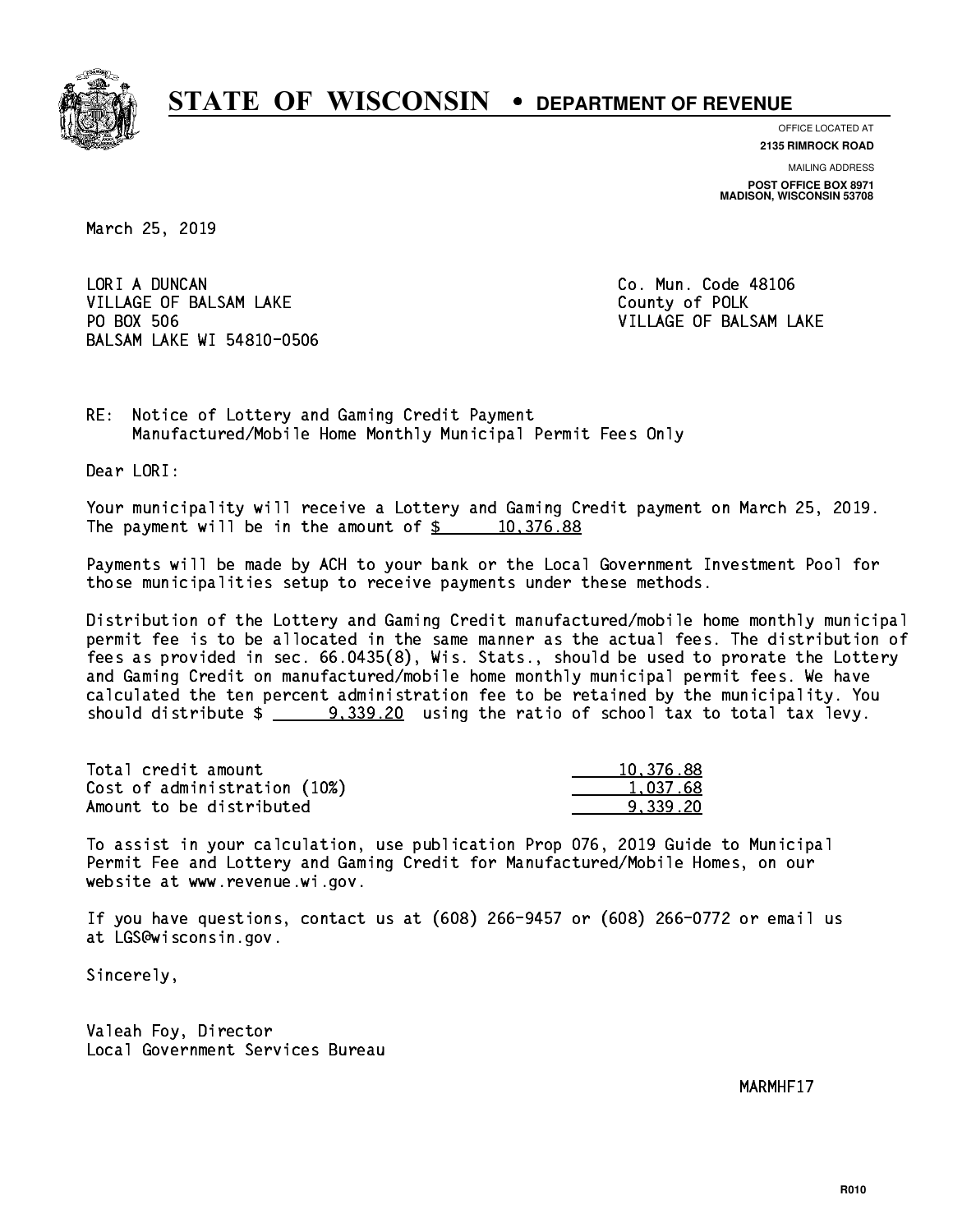

**OFFICE LOCATED AT**

**2135 RIMROCK ROAD**

**MAILING ADDRESS POST OFFICE BOX 8971 MADISON, WISCONSIN 53708**

March 25, 2019

LORI A DUNCAN VILLAGE OF BALSAM LAKE County of POLK PO BOX 506 BALSAM LAKE WI 54810-0506

Co. Mun. Code 48106 VILLAGE OF BALSAM LAKE

RE: Notice of Lottery and Gaming Credit Payment Manufactured/Mobile Home Monthly Municipal Permit Fees Only

Dear LORI:

 Your municipality will receive a Lottery and Gaming Credit payment on March 25, 2019. The payment will be in the amount of  $\frac{2}{3}$  10,376.88

 Payments will be made by ACH to your bank or the Local Government Investment Pool for those municipalities setup to receive payments under these methods.

 Distribution of the Lottery and Gaming Credit manufactured/mobile home monthly municipal permit fee is to be allocated in the same manner as the actual fees. The distribution of fees as provided in sec. 66.0435(8), Wis. Stats., should be used to prorate the Lottery and Gaming Credit on manufactured/mobile home monthly municipal permit fees. We have calculated the ten percent administration fee to be retained by the municipality. You should distribute  $\frac{2}{2}$   $\frac{9,339.20}{2}$  using the ratio of school tax to total tax levy.

| Total credit amount          | 10.376.88 |
|------------------------------|-----------|
| Cost of administration (10%) | 1.037.68  |
| Amount to be distributed     | 9.339.20  |

 To assist in your calculation, use publication Prop 076, 2019 Guide to Municipal Permit Fee and Lottery and Gaming Credit for Manufactured/Mobile Homes, on our website at www.revenue.wi.gov.

 If you have questions, contact us at (608) 266-9457 or (608) 266-0772 or email us at LGS@wisconsin.gov.

Sincerely,

 Valeah Foy, Director Local Government Services Bureau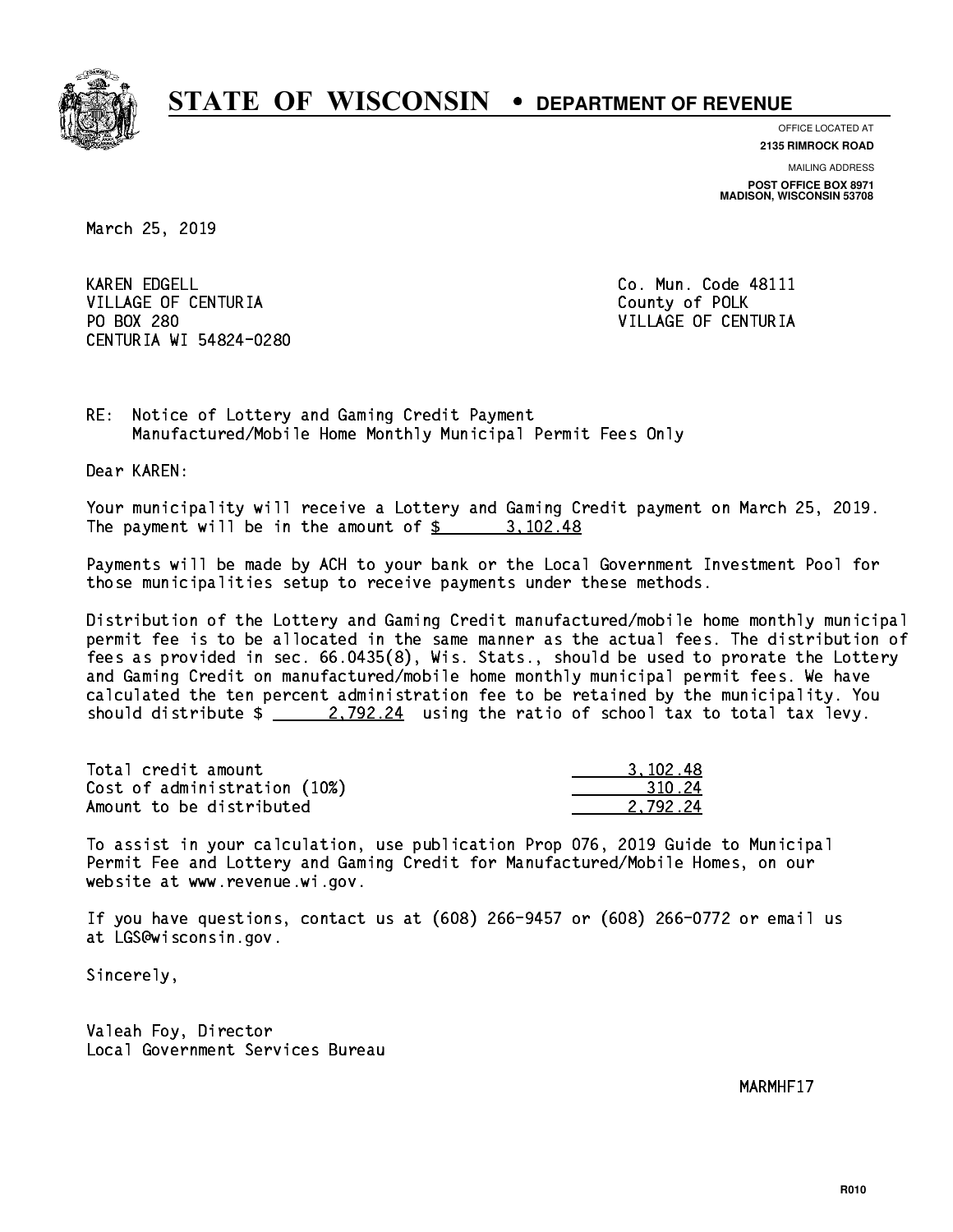

**OFFICE LOCATED AT**

**2135 RIMROCK ROAD**

**MAILING ADDRESS POST OFFICE BOX 8971 MADISON, WISCONSIN 53708**

March 25, 2019

**KAREN EDGELL** VILLAGE OF CENTURIA COUNTY OF POLK PO BOX 280 CENTURIA WI 54824-0280

Co. Mun. Code 48111 VILLAGE OF CENTURIA

RE: Notice of Lottery and Gaming Credit Payment Manufactured/Mobile Home Monthly Municipal Permit Fees Only

Dear KAREN:

 Your municipality will receive a Lottery and Gaming Credit payment on March 25, 2019. The payment will be in the amount of  $\frac{2}{3}$  3,102.48

 Payments will be made by ACH to your bank or the Local Government Investment Pool for those municipalities setup to receive payments under these methods.

 Distribution of the Lottery and Gaming Credit manufactured/mobile home monthly municipal permit fee is to be allocated in the same manner as the actual fees. The distribution of fees as provided in sec. 66.0435(8), Wis. Stats., should be used to prorate the Lottery and Gaming Credit on manufactured/mobile home monthly municipal permit fees. We have calculated the ten percent administration fee to be retained by the municipality. You should distribute  $\frac{2.792.24}{2.792.24}$  using the ratio of school tax to total tax levy.

| Total credit amount          | 3.102.48 |
|------------------------------|----------|
| Cost of administration (10%) | 310.24   |
| Amount to be distributed     | 2.792.24 |

 To assist in your calculation, use publication Prop 076, 2019 Guide to Municipal Permit Fee and Lottery and Gaming Credit for Manufactured/Mobile Homes, on our website at www.revenue.wi.gov.

 If you have questions, contact us at (608) 266-9457 or (608) 266-0772 or email us at LGS@wisconsin.gov.

Sincerely,

 Valeah Foy, Director Local Government Services Bureau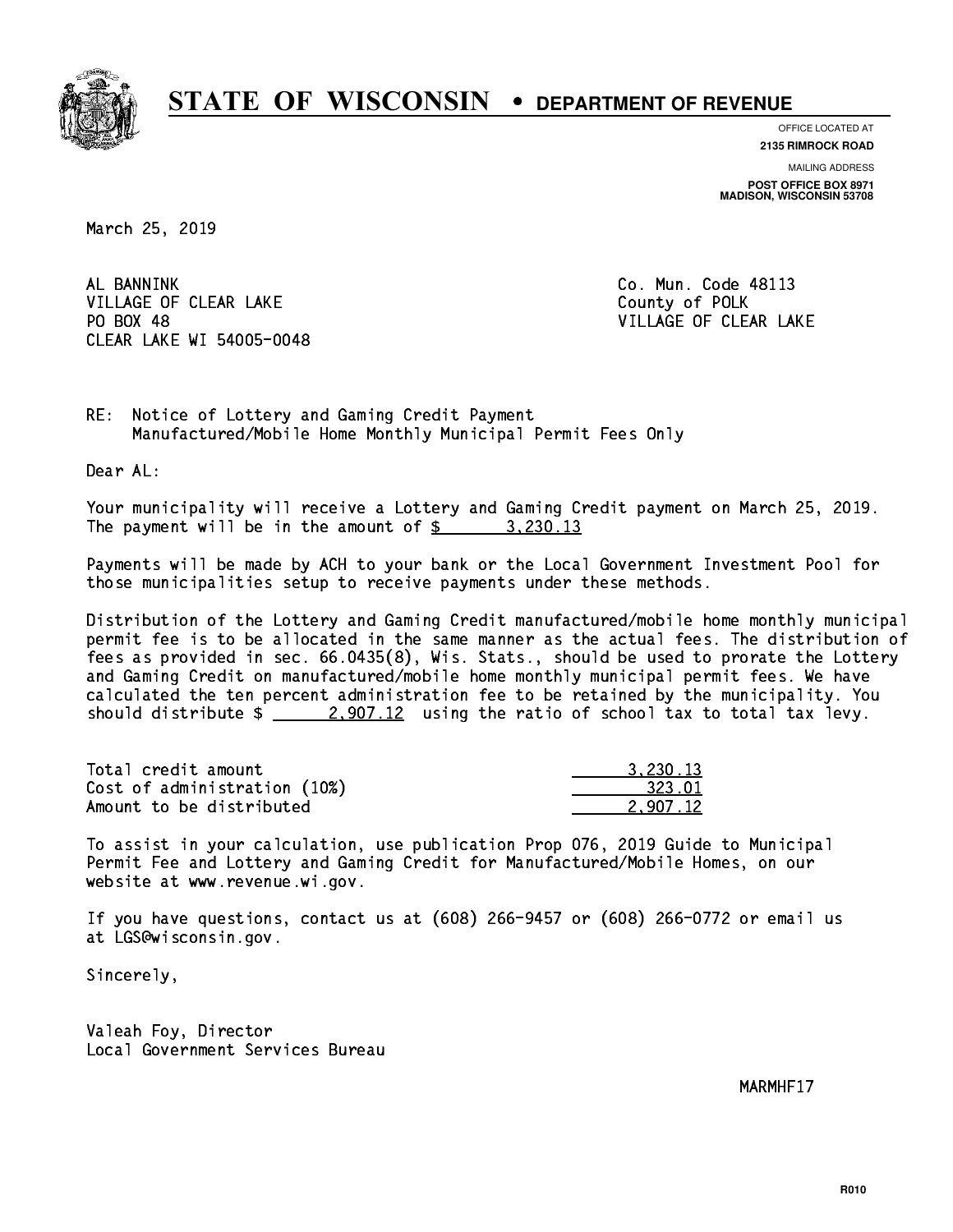

**OFFICE LOCATED AT**

**2135 RIMROCK ROAD**

**MAILING ADDRESS POST OFFICE BOX 8971 MADISON, WISCONSIN 53708**

March 25, 2019

AL BANNINK VILLAGE OF CLEAR LAKE County of POLK PO BOX 48 CLEAR LAKE WI 54005-0048

Co. Mun. Code 48113 VILLAGE OF CLEAR LAKE

RE: Notice of Lottery and Gaming Credit Payment Manufactured/Mobile Home Monthly Municipal Permit Fees Only

Dear AL:

 Your municipality will receive a Lottery and Gaming Credit payment on March 25, 2019. The payment will be in the amount of  $\frac{2}{3}$  3,230.13

 Payments will be made by ACH to your bank or the Local Government Investment Pool for those municipalities setup to receive payments under these methods.

 Distribution of the Lottery and Gaming Credit manufactured/mobile home monthly municipal permit fee is to be allocated in the same manner as the actual fees. The distribution of fees as provided in sec. 66.0435(8), Wis. Stats., should be used to prorate the Lottery and Gaming Credit on manufactured/mobile home monthly municipal permit fees. We have calculated the ten percent administration fee to be retained by the municipality. You should distribute  $\frac{2,907.12}{2}$  using the ratio of school tax to total tax levy.

| Total credit amount          | 3.230.13 |
|------------------------------|----------|
| Cost of administration (10%) | 323.01   |
| Amount to be distributed     | 2.907.12 |

 To assist in your calculation, use publication Prop 076, 2019 Guide to Municipal Permit Fee and Lottery and Gaming Credit for Manufactured/Mobile Homes, on our website at www.revenue.wi.gov.

 If you have questions, contact us at (608) 266-9457 or (608) 266-0772 or email us at LGS@wisconsin.gov.

Sincerely,

 Valeah Foy, Director Local Government Services Bureau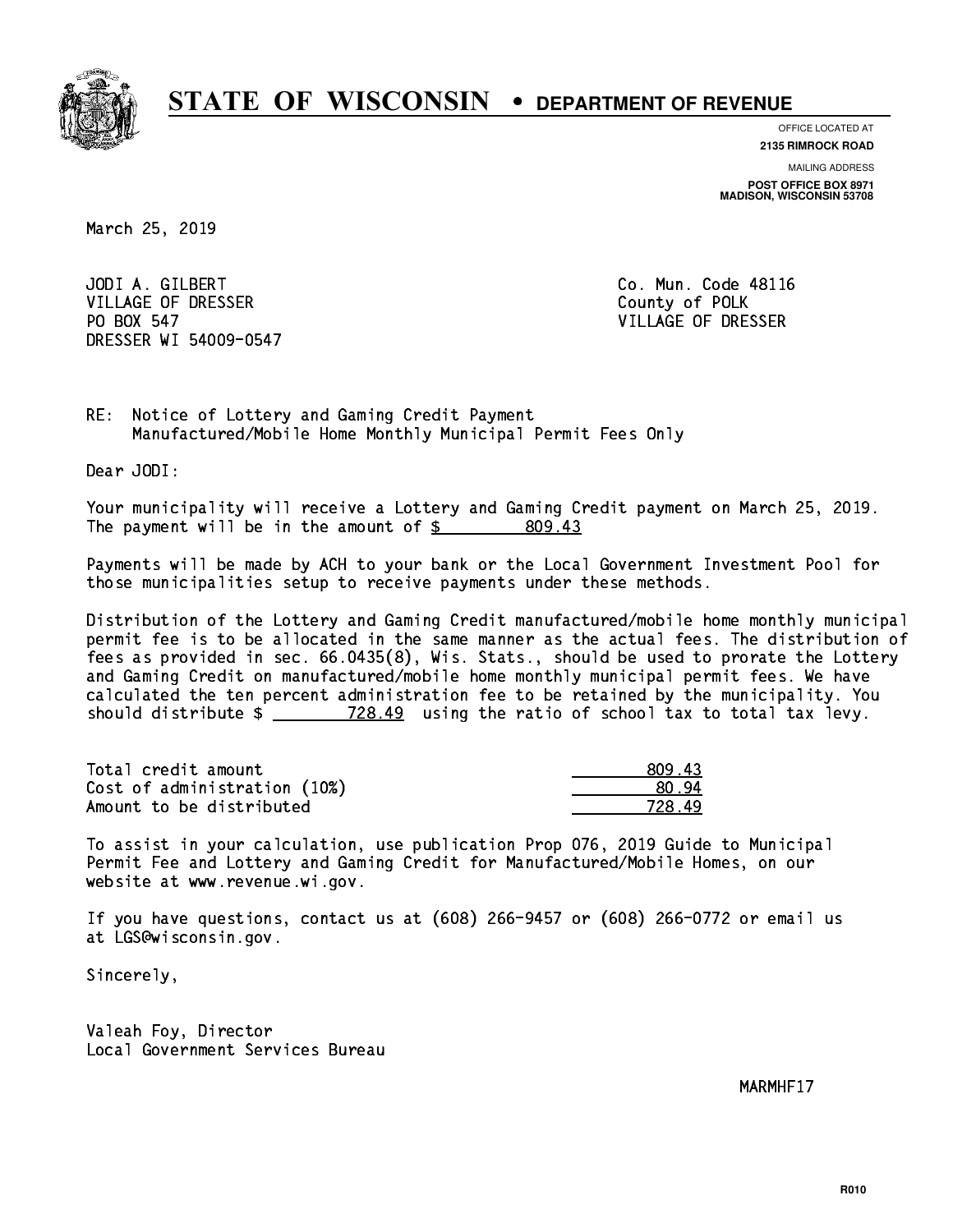

**OFFICE LOCATED AT**

**2135 RIMROCK ROAD**

**MAILING ADDRESS POST OFFICE BOX 8971 MADISON, WISCONSIN 53708**

March 25, 2019

 JODI A. GILBERT Co. Mun. Code 48116 VILLAGE OF DRESSER County of POLK PO BOX 547 DRESSER WI 54009-0547

VILLAGE OF DRESSER

RE: Notice of Lottery and Gaming Credit Payment Manufactured/Mobile Home Monthly Municipal Permit Fees Only

Dear JODI:

 Your municipality will receive a Lottery and Gaming Credit payment on March 25, 2019. The payment will be in the amount of \$ 809.43 \_\_\_\_\_\_\_\_\_\_\_\_\_\_\_\_

 Payments will be made by ACH to your bank or the Local Government Investment Pool for those municipalities setup to receive payments under these methods.

 Distribution of the Lottery and Gaming Credit manufactured/mobile home monthly municipal permit fee is to be allocated in the same manner as the actual fees. The distribution of fees as provided in sec. 66.0435(8), Wis. Stats., should be used to prorate the Lottery and Gaming Credit on manufactured/mobile home monthly municipal permit fees. We have calculated the ten percent administration fee to be retained by the municipality. You should distribute  $\frac{28.49}{28.49}$  using the ratio of school tax to total tax levy.

| Total credit amount          | 809.43 |
|------------------------------|--------|
| Cost of administration (10%) | .80.94 |
| Amount to be distributed     | 728 49 |

728.49

 To assist in your calculation, use publication Prop 076, 2019 Guide to Municipal Permit Fee and Lottery and Gaming Credit for Manufactured/Mobile Homes, on our website at www.revenue.wi.gov.

 If you have questions, contact us at (608) 266-9457 or (608) 266-0772 or email us at LGS@wisconsin.gov.

Sincerely,

 Valeah Foy, Director Local Government Services Bureau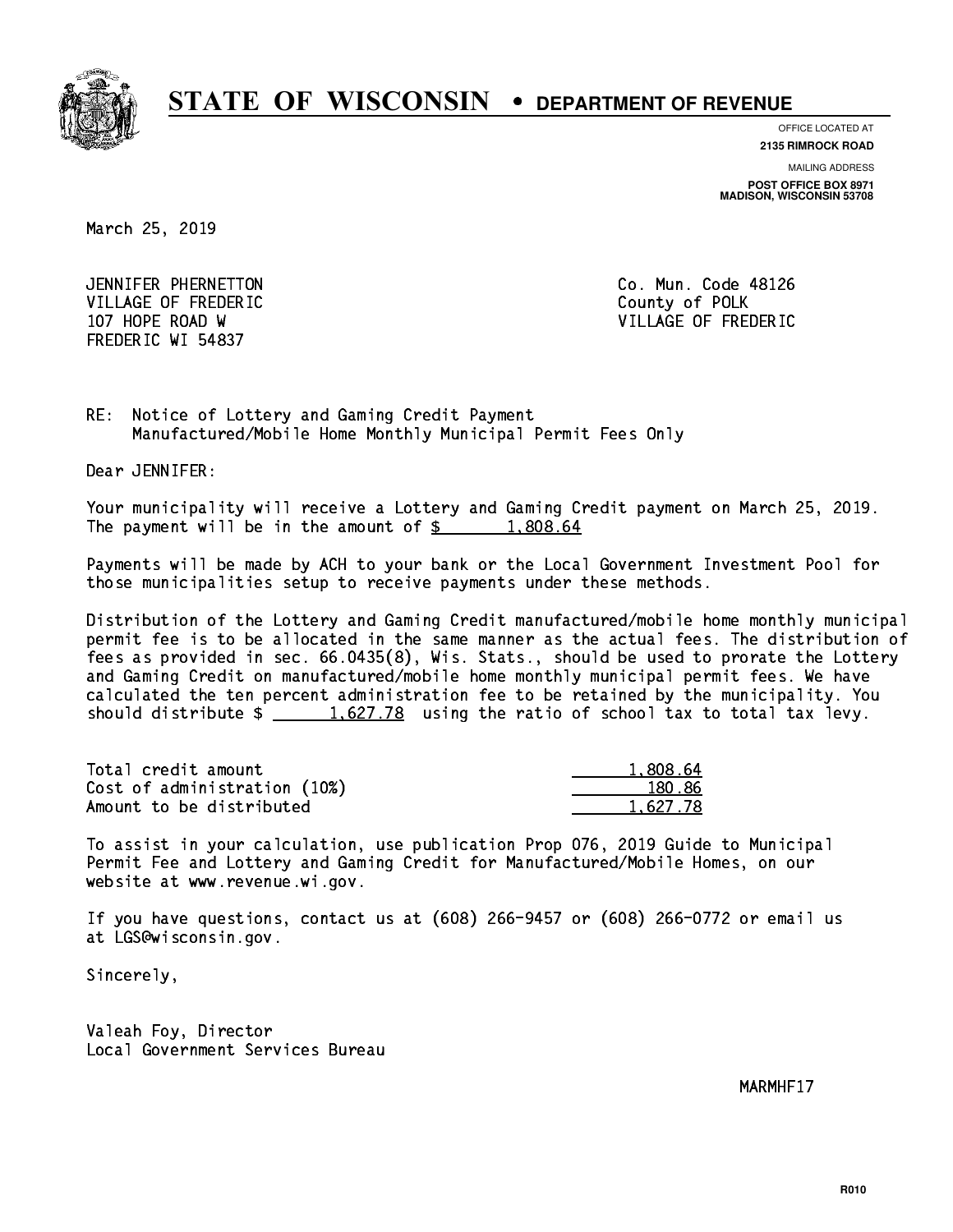

**OFFICE LOCATED AT**

**2135 RIMROCK ROAD**

**MAILING ADDRESS POST OFFICE BOX 8971 MADISON, WISCONSIN 53708**

March 25, 2019

 JENNIFER PHERNETTON Co. Mun. Code 48126 VILLAGE OF FREDERIC **COUNTY OF SALES AND ACCOUNT** COUNTY OF POLK 107 HOPE ROAD W VILLAGE OF FREDERIC FREDERIC WI 54837

RE: Notice of Lottery and Gaming Credit Payment Manufactured/Mobile Home Monthly Municipal Permit Fees Only

Dear JENNIFER:

 Your municipality will receive a Lottery and Gaming Credit payment on March 25, 2019. The payment will be in the amount of  $\frac{2}{3}$  1,808.64

 Payments will be made by ACH to your bank or the Local Government Investment Pool for those municipalities setup to receive payments under these methods.

 Distribution of the Lottery and Gaming Credit manufactured/mobile home monthly municipal permit fee is to be allocated in the same manner as the actual fees. The distribution of fees as provided in sec. 66.0435(8), Wis. Stats., should be used to prorate the Lottery and Gaming Credit on manufactured/mobile home monthly municipal permit fees. We have calculated the ten percent administration fee to be retained by the municipality. You should distribute  $\frac{2}{1,627.78}$  using the ratio of school tax to total tax levy.

| Total credit amount          | 1,808.64 |
|------------------------------|----------|
| Cost of administration (10%) | 180.86   |
| Amount to be distributed     | 1.627.78 |

 To assist in your calculation, use publication Prop 076, 2019 Guide to Municipal Permit Fee and Lottery and Gaming Credit for Manufactured/Mobile Homes, on our website at www.revenue.wi.gov.

 If you have questions, contact us at (608) 266-9457 or (608) 266-0772 or email us at LGS@wisconsin.gov.

Sincerely,

 Valeah Foy, Director Local Government Services Bureau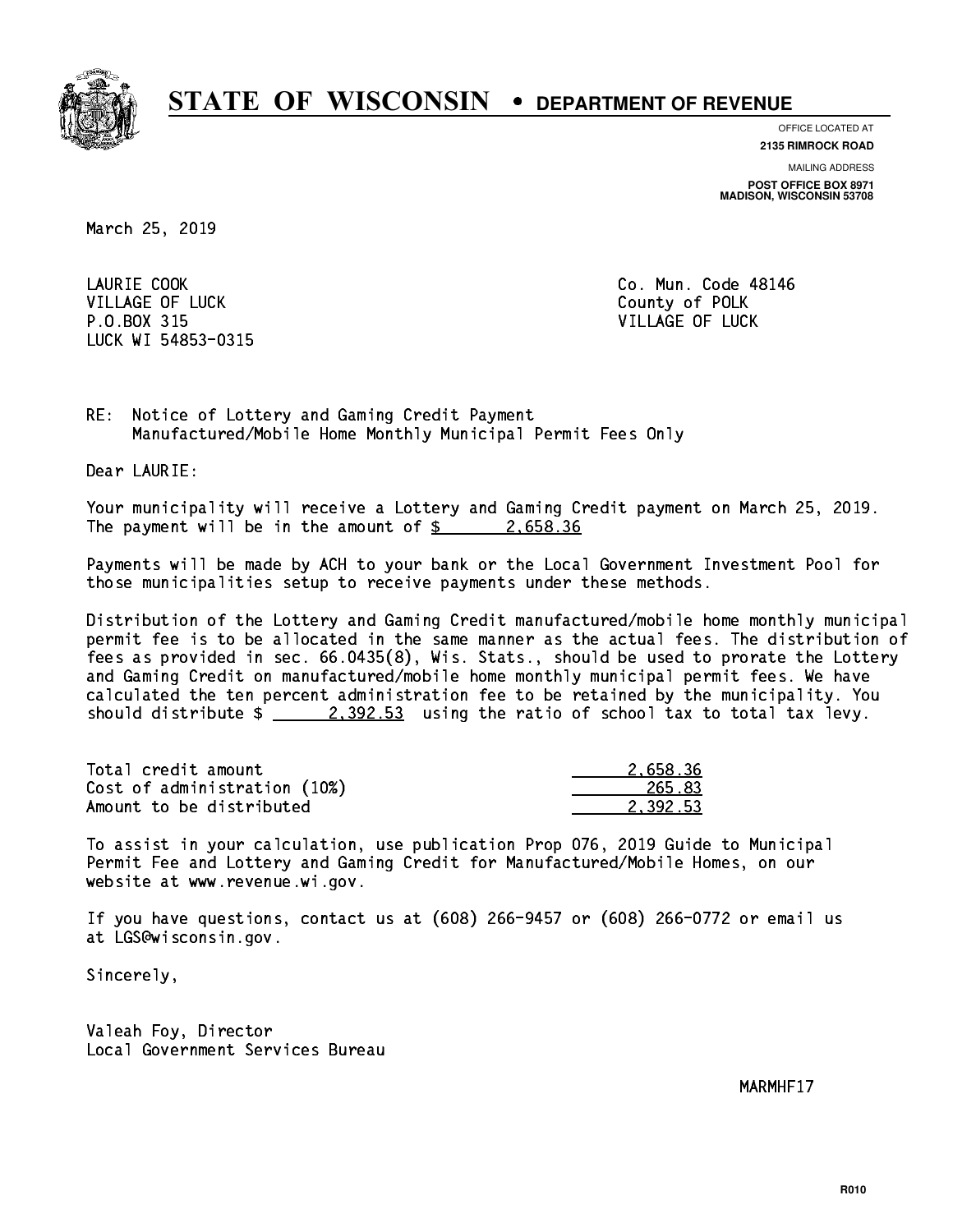

**OFFICE LOCATED AT**

**MAILING ADDRESS 2135 RIMROCK ROAD**

**POST OFFICE BOX 8971 MADISON, WISCONSIN 53708**

March 25, 2019

LAURIE COOK VILLAGE OF LUCK County of POLK P.O.BOX 315 VILLAGE OF LUCK LUCK WI 54853-0315

Co. Mun. Code 48146

RE: Notice of Lottery and Gaming Credit Payment Manufactured/Mobile Home Monthly Municipal Permit Fees Only

Dear LAURIE:

 Your municipality will receive a Lottery and Gaming Credit payment on March 25, 2019. The payment will be in the amount of  $\frac{2.658.36}{2.25}$ 

 Payments will be made by ACH to your bank or the Local Government Investment Pool for those municipalities setup to receive payments under these methods.

 Distribution of the Lottery and Gaming Credit manufactured/mobile home monthly municipal permit fee is to be allocated in the same manner as the actual fees. The distribution of fees as provided in sec. 66.0435(8), Wis. Stats., should be used to prorate the Lottery and Gaming Credit on manufactured/mobile home monthly municipal permit fees. We have calculated the ten percent administration fee to be retained by the municipality. You should distribute  $\frac{2,392.53}{2}$  using the ratio of school tax to total tax levy.

| Total credit amount          | 2.658.36 |
|------------------------------|----------|
| Cost of administration (10%) | 265.83   |
| Amount to be distributed     | 2.392.53 |

 To assist in your calculation, use publication Prop 076, 2019 Guide to Municipal Permit Fee and Lottery and Gaming Credit for Manufactured/Mobile Homes, on our website at www.revenue.wi.gov.

 If you have questions, contact us at (608) 266-9457 or (608) 266-0772 or email us at LGS@wisconsin.gov.

Sincerely,

 Valeah Foy, Director Local Government Services Bureau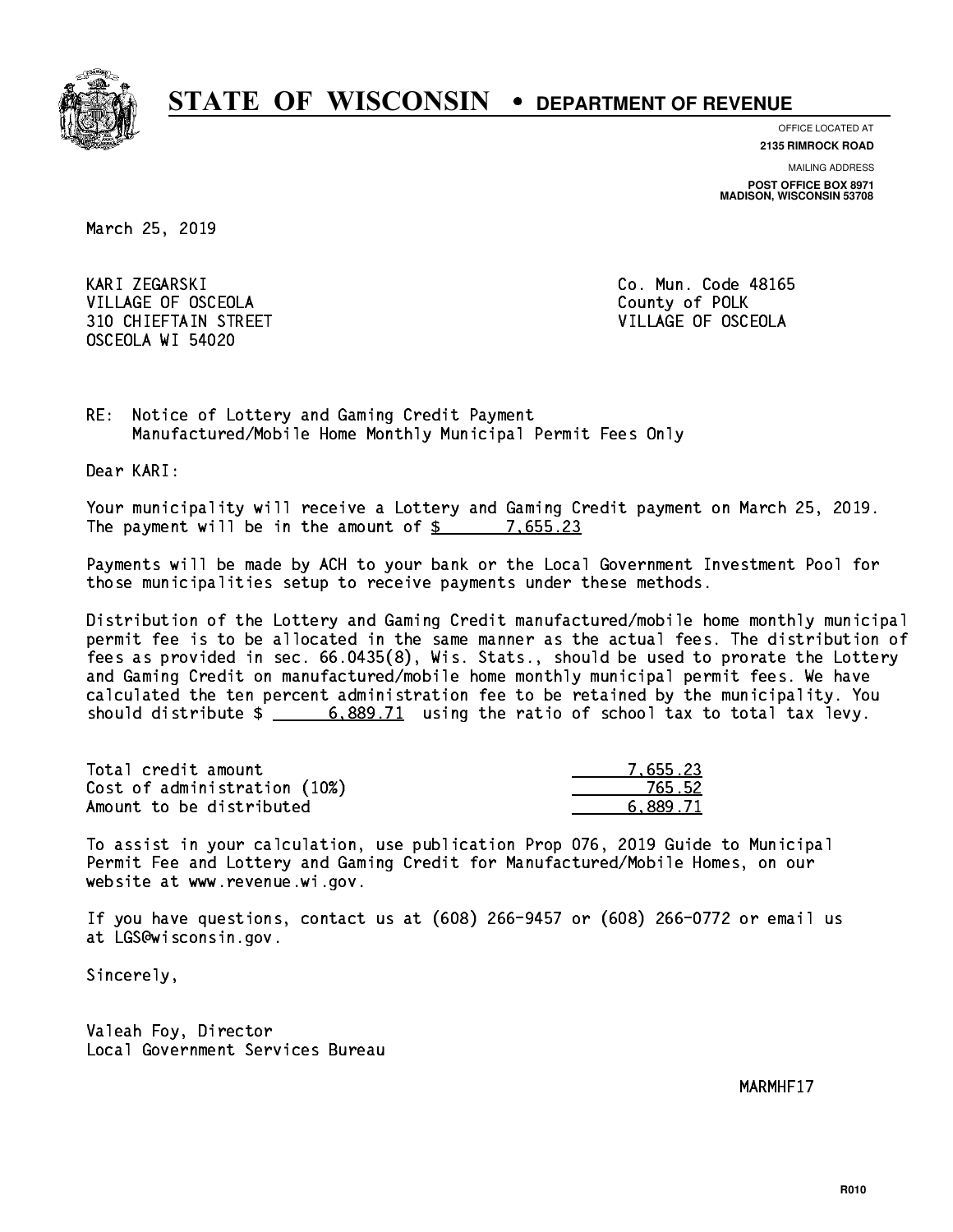

**OFFICE LOCATED AT 2135 RIMROCK ROAD**

**MAILING ADDRESS**

**POST OFFICE BOX 8971 MADISON, WISCONSIN 53708**

March 25, 2019

 KARI ZEGARSKI Co. Mun. Code 48165 VILLAGE OF OSCEOLA COUNTY OF POLK 310 CHIEFTAIN STREET VILLAGE OF OSCEOLA OSCEOLA WI 54020

 RE: Notice of Lottery and Gaming Credit Payment Manufactured/Mobile Home Monthly Municipal Permit Fees Only

Dear KARI:

 Your municipality will receive a Lottery and Gaming Credit payment on March 25, 2019. The payment will be in the amount of  $\frac{2}{3}$  7,655.23

 Payments will be made by ACH to your bank or the Local Government Investment Pool for those municipalities setup to receive payments under these methods.

 Distribution of the Lottery and Gaming Credit manufactured/mobile home monthly municipal permit fee is to be allocated in the same manner as the actual fees. The distribution of fees as provided in sec. 66.0435(8), Wis. Stats., should be used to prorate the Lottery and Gaming Credit on manufactured/mobile home monthly municipal permit fees. We have calculated the ten percent administration fee to be retained by the municipality. You should distribute  $\frac{2}{1}$  6,889.71 using the ratio of school tax to total tax levy.

| Total credit amount          | 7.655.23 |
|------------------------------|----------|
| Cost of administration (10%) | 765.52   |
| Amount to be distributed     | 6.889.71 |

 To assist in your calculation, use publication Prop 076, 2019 Guide to Municipal Permit Fee and Lottery and Gaming Credit for Manufactured/Mobile Homes, on our website at www.revenue.wi.gov.

 If you have questions, contact us at (608) 266-9457 or (608) 266-0772 or email us at LGS@wisconsin.gov.

Sincerely,

 Valeah Foy, Director Local Government Services Bureau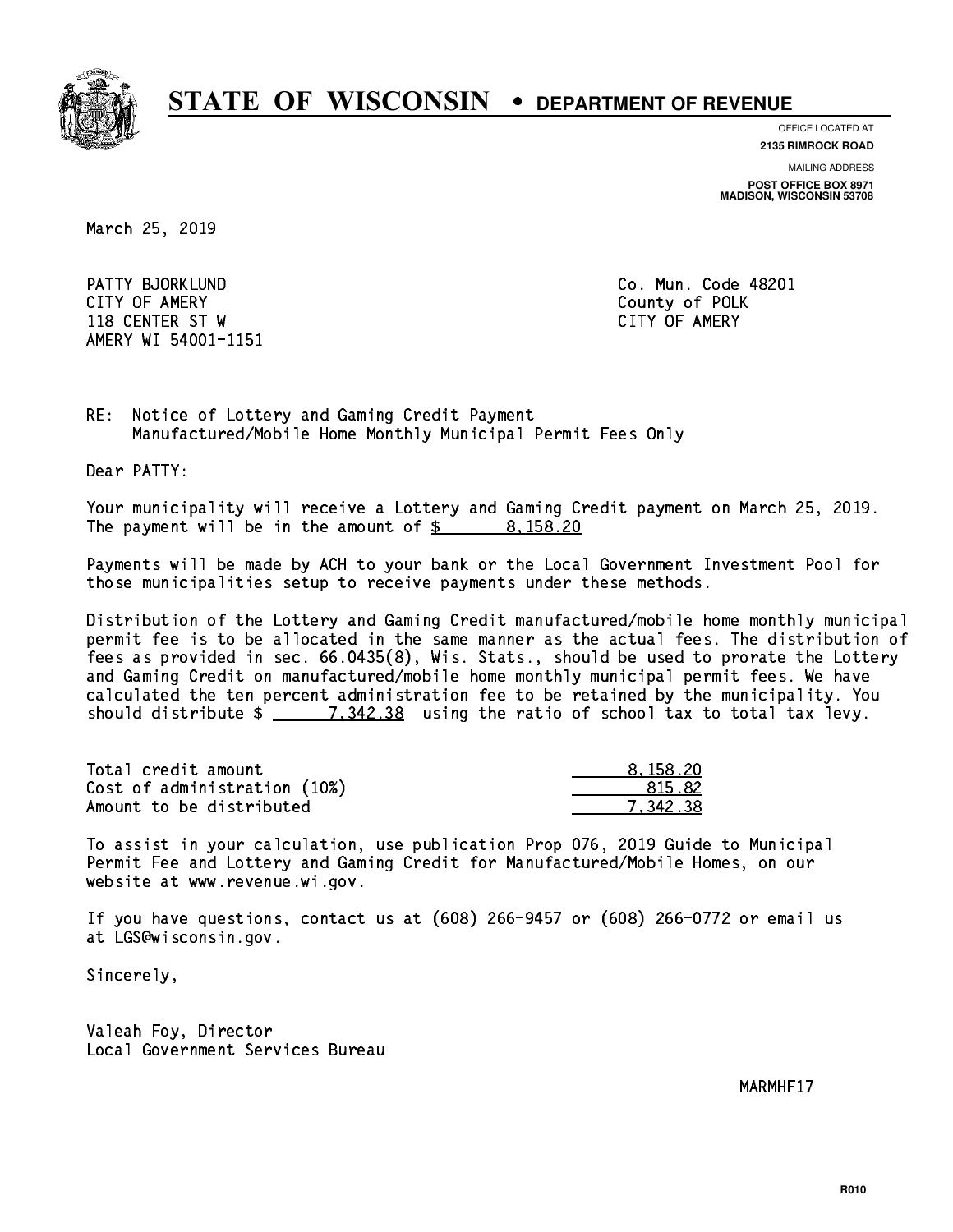

**OFFICE LOCATED AT**

**MAILING ADDRESS 2135 RIMROCK ROAD**

**POST OFFICE BOX 8971 MADISON, WISCONSIN 53708**

March 25, 2019

 PATTY BJORKLUND Co. Mun. Code 48201 CITY OF AMERY County of POLK 118 CENTER ST W CITY OF AMERY AMERY WI 54001-1151

RE: Notice of Lottery and Gaming Credit Payment Manufactured/Mobile Home Monthly Municipal Permit Fees Only

Dear PATTY:

 Your municipality will receive a Lottery and Gaming Credit payment on March 25, 2019. The payment will be in the amount of \$ 8,158.20 \_\_\_\_\_\_\_\_\_\_\_\_\_\_\_\_

 Payments will be made by ACH to your bank or the Local Government Investment Pool for those municipalities setup to receive payments under these methods.

 Distribution of the Lottery and Gaming Credit manufactured/mobile home monthly municipal permit fee is to be allocated in the same manner as the actual fees. The distribution of fees as provided in sec. 66.0435(8), Wis. Stats., should be used to prorate the Lottery and Gaming Credit on manufactured/mobile home monthly municipal permit fees. We have calculated the ten percent administration fee to be retained by the municipality. You should distribute  $\frac{2}{2}$   $\frac{7,342.38}{2}$  using the ratio of school tax to total tax levy.

| Total credit amount          | 8.158.20 |
|------------------------------|----------|
| Cost of administration (10%) | 815.82   |
| Amount to be distributed     | 7.342.38 |

 To assist in your calculation, use publication Prop 076, 2019 Guide to Municipal Permit Fee and Lottery and Gaming Credit for Manufactured/Mobile Homes, on our website at www.revenue.wi.gov.

 If you have questions, contact us at (608) 266-9457 or (608) 266-0772 or email us at LGS@wisconsin.gov.

Sincerely,

 Valeah Foy, Director Local Government Services Bureau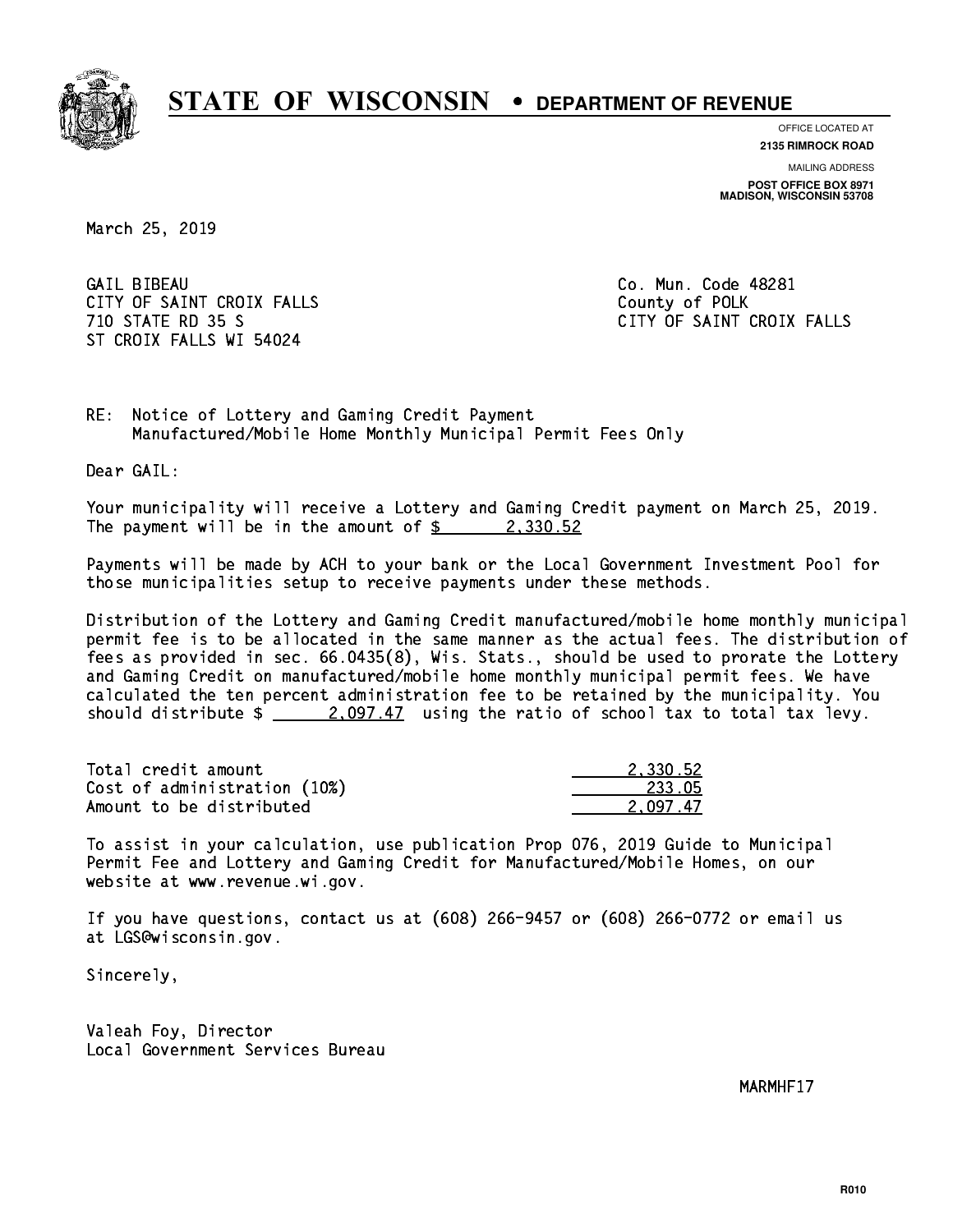

**OFFICE LOCATED AT**

**2135 RIMROCK ROAD**

**MAILING ADDRESS POST OFFICE BOX 8971 MADISON, WISCONSIN 53708**

March 25, 2019

**GAIL BIBEAU** CITY OF SAINT CROIX FALLS COUNTY OF POLK ST CROIX FALLS WI 54024

Co. Mun. Code 48281 710 STATE RD 35 S CITY OF SAINT CROIX FALLS

RE: Notice of Lottery and Gaming Credit Payment Manufactured/Mobile Home Monthly Municipal Permit Fees Only

Dear GAIL:

 Your municipality will receive a Lottery and Gaming Credit payment on March 25, 2019. The payment will be in the amount of  $\frac{2}{3}$  2,330.52

 Payments will be made by ACH to your bank or the Local Government Investment Pool for those municipalities setup to receive payments under these methods.

 Distribution of the Lottery and Gaming Credit manufactured/mobile home monthly municipal permit fee is to be allocated in the same manner as the actual fees. The distribution of fees as provided in sec. 66.0435(8), Wis. Stats., should be used to prorate the Lottery and Gaming Credit on manufactured/mobile home monthly municipal permit fees. We have calculated the ten percent administration fee to be retained by the municipality. You should distribute  $\frac{2.097.47}{2.097.47}$  using the ratio of school tax to total tax levy.

| Total credit amount          | 2.330.52 |
|------------------------------|----------|
| Cost of administration (10%) | -233.05  |
| Amount to be distributed     | 2.097.47 |

 To assist in your calculation, use publication Prop 076, 2019 Guide to Municipal Permit Fee and Lottery and Gaming Credit for Manufactured/Mobile Homes, on our website at www.revenue.wi.gov.

 If you have questions, contact us at (608) 266-9457 or (608) 266-0772 or email us at LGS@wisconsin.gov.

Sincerely,

 Valeah Foy, Director Local Government Services Bureau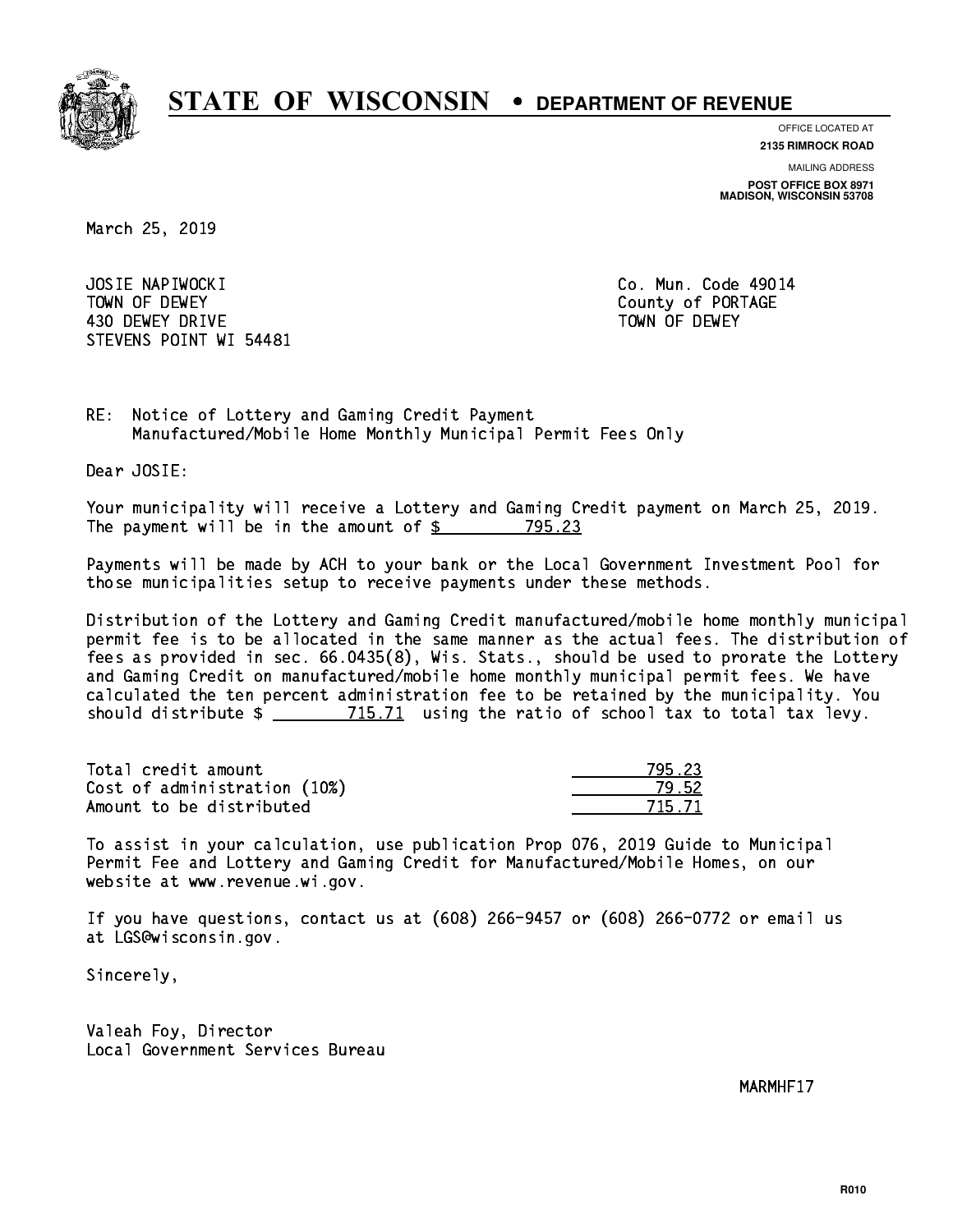

**OFFICE LOCATED AT**

**2135 RIMROCK ROAD**

**MAILING ADDRESS POST OFFICE BOX 8971 MADISON, WISCONSIN 53708**

March 25, 2019

 JOSIE NAPIWOCKI Co. Mun. Code 49014 TOWN OF DEWEY COUNTY OF RESERVE TOWN OF DEWEY 430 DEWEY DRIVE TOWN OF DEWEY STEVENS POINT WI 54481

RE: Notice of Lottery and Gaming Credit Payment Manufactured/Mobile Home Monthly Municipal Permit Fees Only

Dear JOSIE:

 Your municipality will receive a Lottery and Gaming Credit payment on March 25, 2019. The payment will be in the amount of \$ 795.23 \_\_\_\_\_\_\_\_\_\_\_\_\_\_\_\_

 Payments will be made by ACH to your bank or the Local Government Investment Pool for those municipalities setup to receive payments under these methods.

 Distribution of the Lottery and Gaming Credit manufactured/mobile home monthly municipal permit fee is to be allocated in the same manner as the actual fees. The distribution of fees as provided in sec. 66.0435(8), Wis. Stats., should be used to prorate the Lottery and Gaming Credit on manufactured/mobile home monthly municipal permit fees. We have calculated the ten percent administration fee to be retained by the municipality. You should distribute  $\frac{2}{2}$   $\frac{715.71}{2}$  using the ratio of school tax to total tax levy.

Total credit amount Cost of administration (10%) Amount to be distributed

| - 23                |
|---------------------|
| 52.                 |
| -73<br>$\mathbf{I}$ |

 To assist in your calculation, use publication Prop 076, 2019 Guide to Municipal Permit Fee and Lottery and Gaming Credit for Manufactured/Mobile Homes, on our website at www.revenue.wi.gov.

 If you have questions, contact us at (608) 266-9457 or (608) 266-0772 or email us at LGS@wisconsin.gov.

Sincerely,

 Valeah Foy, Director Local Government Services Bureau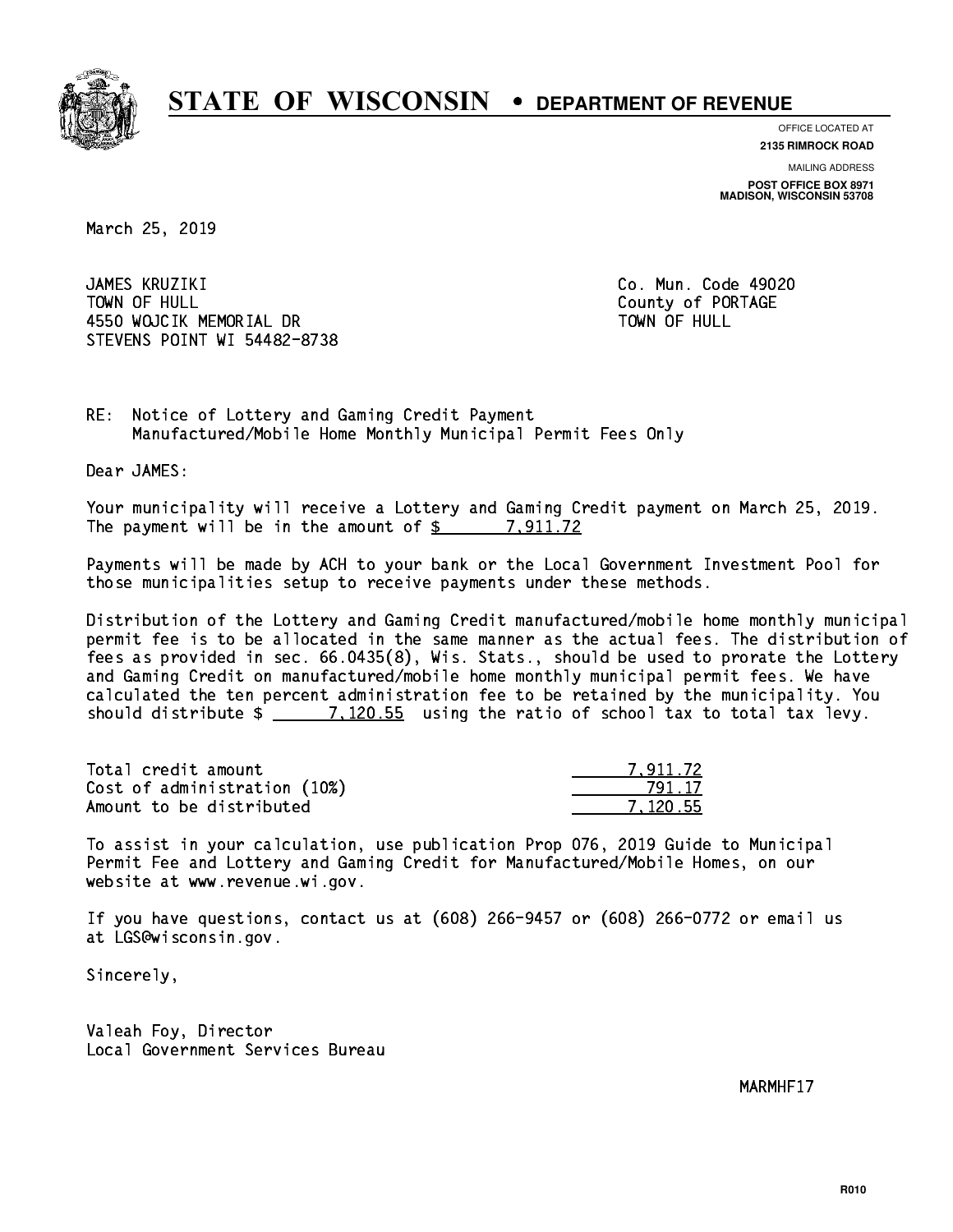

**OFFICE LOCATED AT**

**2135 RIMROCK ROAD**

**MAILING ADDRESS POST OFFICE BOX 8971 MADISON, WISCONSIN 53708**

March 25, 2019

 JAMES KRUZIKI Co. Mun. Code 49020 TOWN OF HULL County of PORTAGE 4550 WOJCIK MEMORIAL DR STEVENS POINT WI 54482-8738

TOWN OF HULL

RE: Notice of Lottery and Gaming Credit Payment Manufactured/Mobile Home Monthly Municipal Permit Fees Only

Dear JAMES:

 Your municipality will receive a Lottery and Gaming Credit payment on March 25, 2019. The payment will be in the amount of  $\frac{2}{3}$  7,911.72

 Payments will be made by ACH to your bank or the Local Government Investment Pool for those municipalities setup to receive payments under these methods.

 Distribution of the Lottery and Gaming Credit manufactured/mobile home monthly municipal permit fee is to be allocated in the same manner as the actual fees. The distribution of fees as provided in sec. 66.0435(8), Wis. Stats., should be used to prorate the Lottery and Gaming Credit on manufactured/mobile home monthly municipal permit fees. We have calculated the ten percent administration fee to be retained by the municipality. You should distribute  $\frac{2}{2}$   $\frac{7,120.55}{2}$  using the ratio of school tax to total tax levy.

| Total credit amount          | 7.911.72 |
|------------------------------|----------|
| Cost of administration (10%) | 791.17   |
| Amount to be distributed     | 7.120.55 |

 To assist in your calculation, use publication Prop 076, 2019 Guide to Municipal Permit Fee and Lottery and Gaming Credit for Manufactured/Mobile Homes, on our website at www.revenue.wi.gov.

 If you have questions, contact us at (608) 266-9457 or (608) 266-0772 or email us at LGS@wisconsin.gov.

Sincerely,

 Valeah Foy, Director Local Government Services Bureau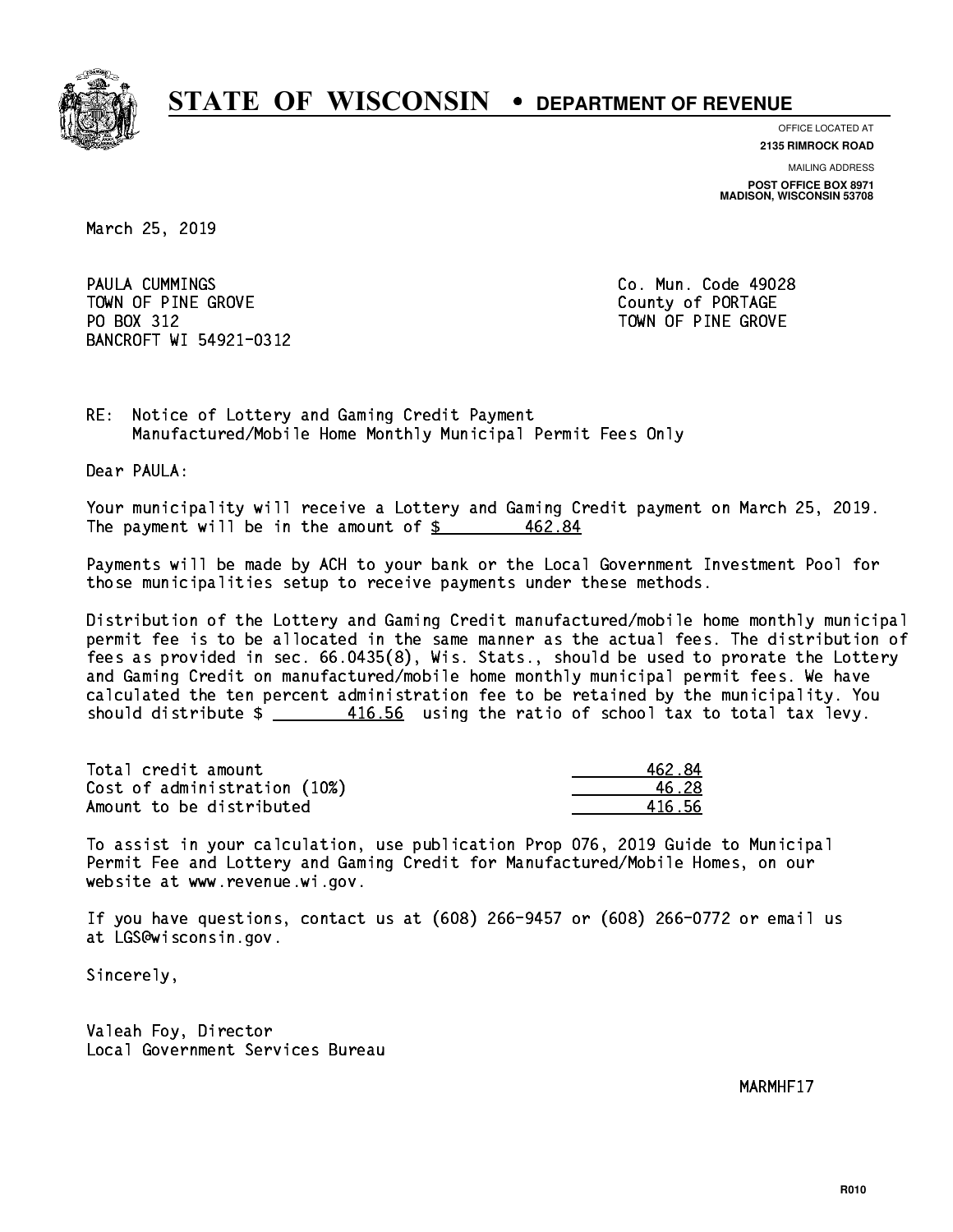

**OFFICE LOCATED AT**

**2135 RIMROCK ROAD**

**MAILING ADDRESS POST OFFICE BOX 8971 MADISON, WISCONSIN 53708**

March 25, 2019

PAULA CUMMINGS TOWN OF PINE GROVE TOWN OF PORTAGE PO BOX 312 BANCROFT WI 54921-0312

Co. Mun. Code 49028 TOWN OF PINE GROVE

RE: Notice of Lottery and Gaming Credit Payment Manufactured/Mobile Home Monthly Municipal Permit Fees Only

Dear PAULA:

 Your municipality will receive a Lottery and Gaming Credit payment on March 25, 2019. The payment will be in the amount of \$ 462.84 \_\_\_\_\_\_\_\_\_\_\_\_\_\_\_\_

 Payments will be made by ACH to your bank or the Local Government Investment Pool for those municipalities setup to receive payments under these methods.

 Distribution of the Lottery and Gaming Credit manufactured/mobile home monthly municipal permit fee is to be allocated in the same manner as the actual fees. The distribution of fees as provided in sec. 66.0435(8), Wis. Stats., should be used to prorate the Lottery and Gaming Credit on manufactured/mobile home monthly municipal permit fees. We have calculated the ten percent administration fee to be retained by the municipality. You should distribute  $\frac{416.56}{2}$  using the ratio of school tax to total tax levy.

Total credit amount 162.84 Cost of administration (10%) 46.28 \_\_\_\_\_\_\_\_\_\_\_\_\_\_ Amount to be distributed and the set of  $416.56$ 

 To assist in your calculation, use publication Prop 076, 2019 Guide to Municipal Permit Fee and Lottery and Gaming Credit for Manufactured/Mobile Homes, on our website at www.revenue.wi.gov.

 If you have questions, contact us at (608) 266-9457 or (608) 266-0772 or email us at LGS@wisconsin.gov.

Sincerely,

 Valeah Foy, Director Local Government Services Bureau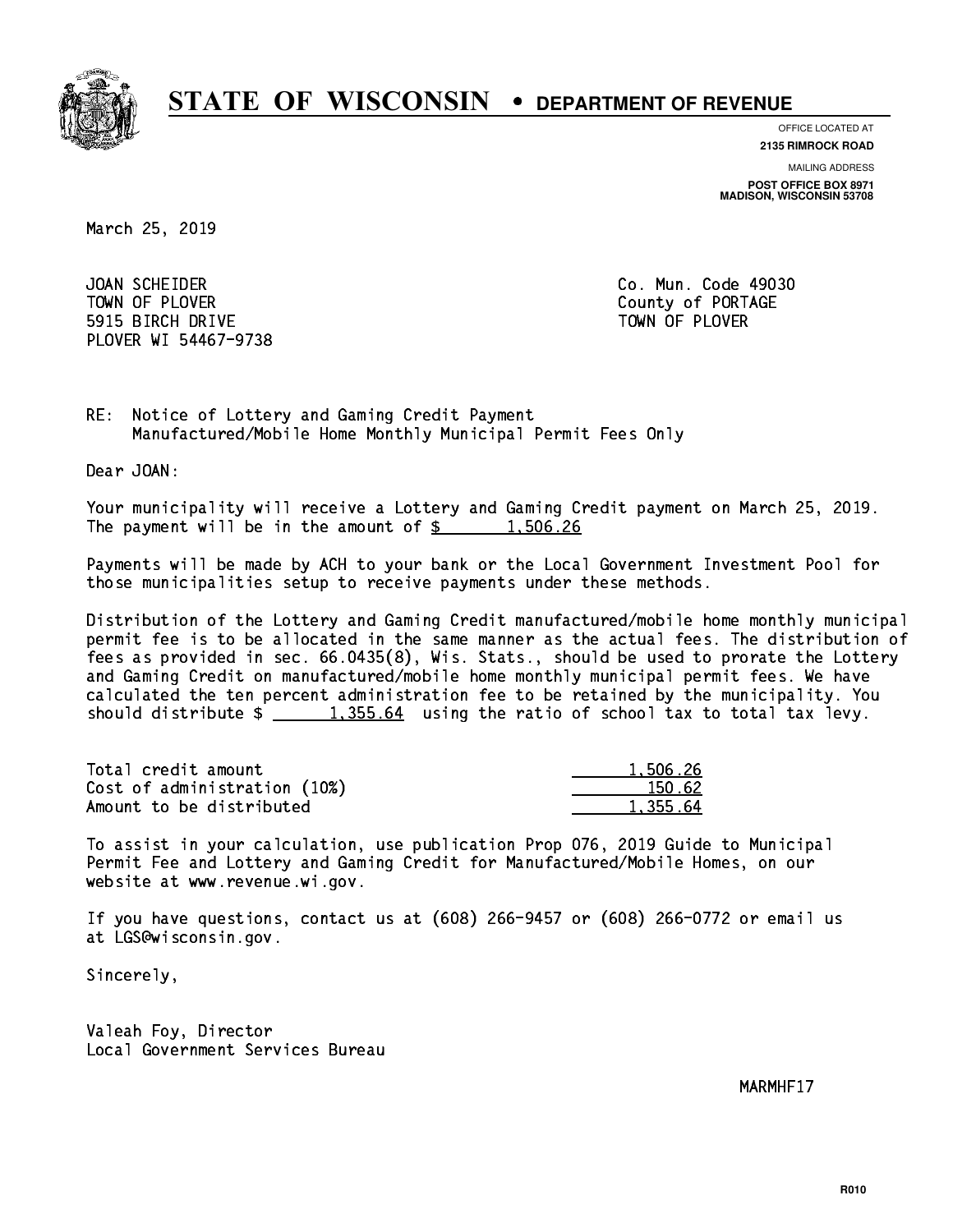

**OFFICE LOCATED AT**

**2135 RIMROCK ROAD**

**MAILING ADDRESS**

**POST OFFICE BOX 8971 MADISON, WISCONSIN 53708**

March 25, 2019

 JOAN SCHEIDER Co. Mun. Code 49030 TOWN OF PLOVER **COUNTY OF PORTAGE**  5915 BIRCH DRIVE TOWN OF PLOVER PLOVER WI 54467-9738

RE: Notice of Lottery and Gaming Credit Payment Manufactured/Mobile Home Monthly Municipal Permit Fees Only

Dear JOAN:

 Your municipality will receive a Lottery and Gaming Credit payment on March 25, 2019. The payment will be in the amount of  $\frac{2}{3}$  1,506.26

 Payments will be made by ACH to your bank or the Local Government Investment Pool for those municipalities setup to receive payments under these methods.

 Distribution of the Lottery and Gaming Credit manufactured/mobile home monthly municipal permit fee is to be allocated in the same manner as the actual fees. The distribution of fees as provided in sec. 66.0435(8), Wis. Stats., should be used to prorate the Lottery and Gaming Credit on manufactured/mobile home monthly municipal permit fees. We have calculated the ten percent administration fee to be retained by the municipality. You should distribute  $\frac{1,355.64}{1,355.64}$  using the ratio of school tax to total tax levy.

| Total credit amount          | 1,506.26 |
|------------------------------|----------|
| Cost of administration (10%) | 150.62   |
| Amount to be distributed     | 1,355.64 |

 To assist in your calculation, use publication Prop 076, 2019 Guide to Municipal Permit Fee and Lottery and Gaming Credit for Manufactured/Mobile Homes, on our website at www.revenue.wi.gov.

 If you have questions, contact us at (608) 266-9457 or (608) 266-0772 or email us at LGS@wisconsin.gov.

Sincerely,

 Valeah Foy, Director Local Government Services Bureau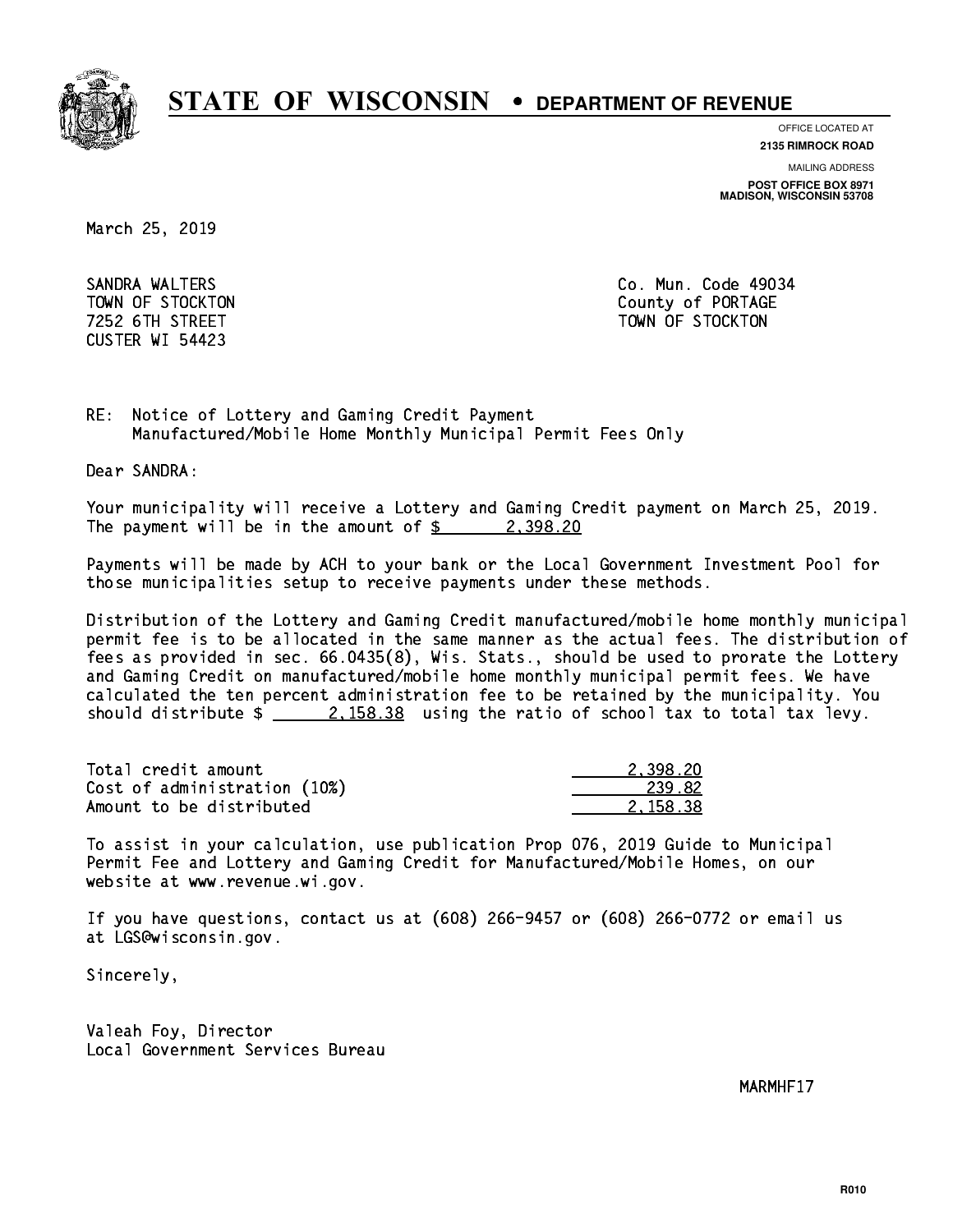

**OFFICE LOCATED AT**

**2135 RIMROCK ROAD**

**MAILING ADDRESS**

**POST OFFICE BOX 8971 MADISON, WISCONSIN 53708**

March 25, 2019

 SANDRA WALTERS Co. Mun. Code 49034 CUSTER WI 54423

 TOWN OF STOCKTON County of PORTAGE 7252 6TH STREET TOWN OF STOCKTON

RE: Notice of Lottery and Gaming Credit Payment Manufactured/Mobile Home Monthly Municipal Permit Fees Only

Dear SANDRA:

 Your municipality will receive a Lottery and Gaming Credit payment on March 25, 2019. The payment will be in the amount of  $\frac{2}{3}$  2,398.20

 Payments will be made by ACH to your bank or the Local Government Investment Pool for those municipalities setup to receive payments under these methods.

 Distribution of the Lottery and Gaming Credit manufactured/mobile home monthly municipal permit fee is to be allocated in the same manner as the actual fees. The distribution of fees as provided in sec. 66.0435(8), Wis. Stats., should be used to prorate the Lottery and Gaming Credit on manufactured/mobile home monthly municipal permit fees. We have calculated the ten percent administration fee to be retained by the municipality. You should distribute  $\frac{2.158.38}{2.158.38}$  using the ratio of school tax to total tax levy.

| Total credit amount          | 2.398.20 |
|------------------------------|----------|
| Cost of administration (10%) | -239.82  |
| Amount to be distributed     | 2.158.38 |

 To assist in your calculation, use publication Prop 076, 2019 Guide to Municipal Permit Fee and Lottery and Gaming Credit for Manufactured/Mobile Homes, on our website at www.revenue.wi.gov.

 If you have questions, contact us at (608) 266-9457 or (608) 266-0772 or email us at LGS@wisconsin.gov.

Sincerely,

 Valeah Foy, Director Local Government Services Bureau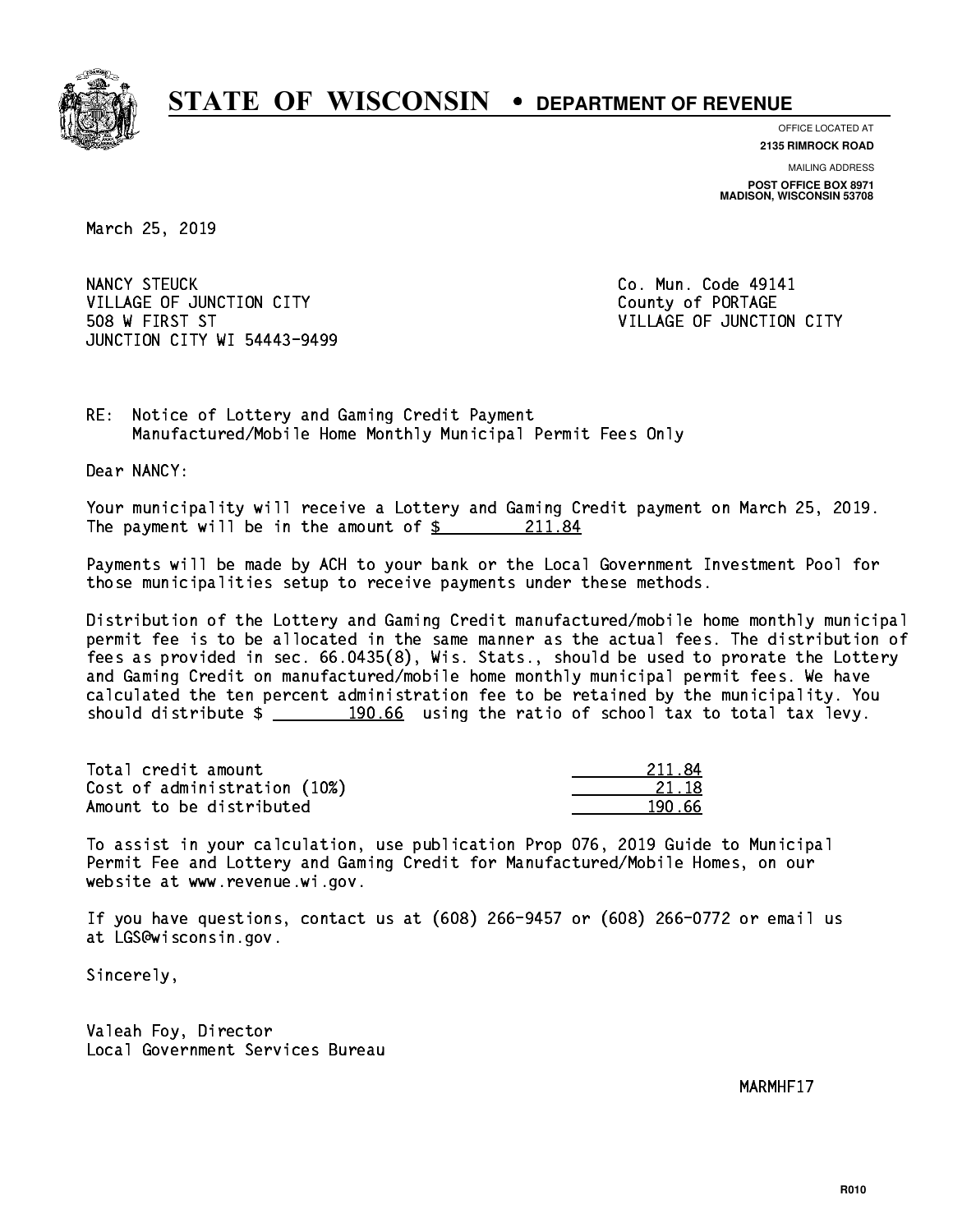

**OFFICE LOCATED AT 2135 RIMROCK ROAD**

**MAILING ADDRESS**

**POST OFFICE BOX 8971 MADISON, WISCONSIN 53708**

March 25, 2019

NANCY STEUCK VILLAGE OF JUNCTION CITY COUNTY County of PORTAGE 508 W FIRST ST VILLAGE OF JUNCTION CITY JUNCTION CITY WI 54443-9499

Co. Mun. Code 49141

RE: Notice of Lottery and Gaming Credit Payment Manufactured/Mobile Home Monthly Municipal Permit Fees Only

Dear NANCY:

 Your municipality will receive a Lottery and Gaming Credit payment on March 25, 2019. The payment will be in the amount of  $\frac{211.84}{211.84}$ 

 Payments will be made by ACH to your bank or the Local Government Investment Pool for those municipalities setup to receive payments under these methods.

 Distribution of the Lottery and Gaming Credit manufactured/mobile home monthly municipal permit fee is to be allocated in the same manner as the actual fees. The distribution of fees as provided in sec. 66.0435(8), Wis. Stats., should be used to prorate the Lottery and Gaming Credit on manufactured/mobile home monthly municipal permit fees. We have calculated the ten percent administration fee to be retained by the municipality. You should distribute  $\frac{190.66}{190.66}$  using the ratio of school tax to total tax levy.

Total credit amount Cost of administration (10%) Amount to be distributed

| ₹Δ<br>211. |
|------------|
| 21 18      |
| ናና         |

 To assist in your calculation, use publication Prop 076, 2019 Guide to Municipal Permit Fee and Lottery and Gaming Credit for Manufactured/Mobile Homes, on our website at www.revenue.wi.gov.

 If you have questions, contact us at (608) 266-9457 or (608) 266-0772 or email us at LGS@wisconsin.gov.

Sincerely,

 Valeah Foy, Director Local Government Services Bureau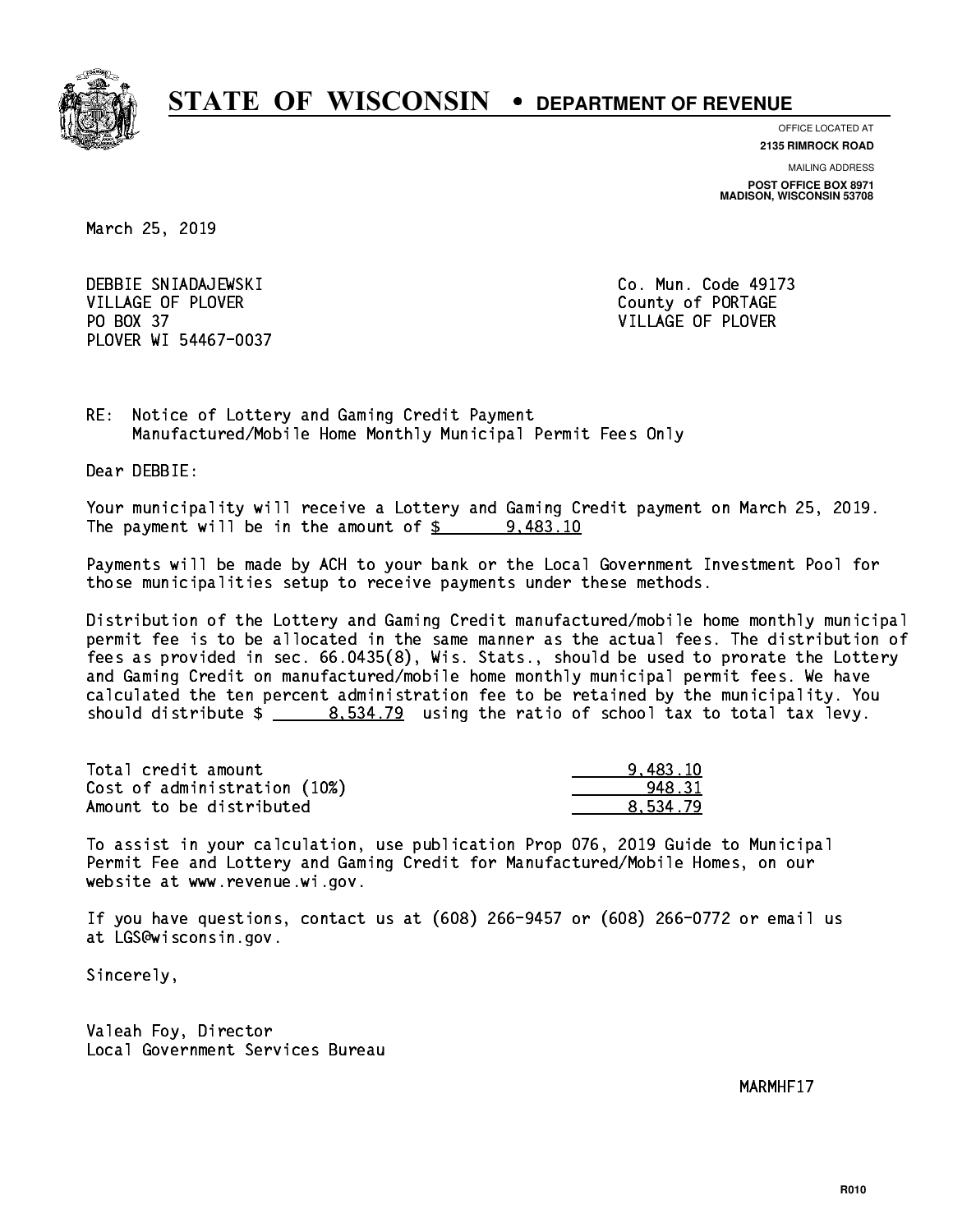

**OFFICE LOCATED AT**

**2135 RIMROCK ROAD**

**MAILING ADDRESS POST OFFICE BOX 8971 MADISON, WISCONSIN 53708**

March 25, 2019

 DEBBIE SNIADAJEWSKI Co. Mun. Code 49173 VILLAGE OF PLOVER COUNTY OF PORTAGE PO BOX 37 VILLAGE OF PLOVER PLOVER WI 54467-0037

RE: Notice of Lottery and Gaming Credit Payment Manufactured/Mobile Home Monthly Municipal Permit Fees Only

Dear DEBBIE:

 Your municipality will receive a Lottery and Gaming Credit payment on March 25, 2019. The payment will be in the amount of  $\frac{2}{3}$  9,483.10

 Payments will be made by ACH to your bank or the Local Government Investment Pool for those municipalities setup to receive payments under these methods.

 Distribution of the Lottery and Gaming Credit manufactured/mobile home monthly municipal permit fee is to be allocated in the same manner as the actual fees. The distribution of fees as provided in sec. 66.0435(8), Wis. Stats., should be used to prorate the Lottery and Gaming Credit on manufactured/mobile home monthly municipal permit fees. We have calculated the ten percent administration fee to be retained by the municipality. You should distribute  $\frac{2}{1}$   $\frac{8.534.79}{2}$  using the ratio of school tax to total tax levy.

| Total credit amount          | 9.483.10 |
|------------------------------|----------|
| Cost of administration (10%) | 948.31   |
| Amount to be distributed     | 8.534.79 |

 To assist in your calculation, use publication Prop 076, 2019 Guide to Municipal Permit Fee and Lottery and Gaming Credit for Manufactured/Mobile Homes, on our website at www.revenue.wi.gov.

 If you have questions, contact us at (608) 266-9457 or (608) 266-0772 or email us at LGS@wisconsin.gov.

Sincerely,

 Valeah Foy, Director Local Government Services Bureau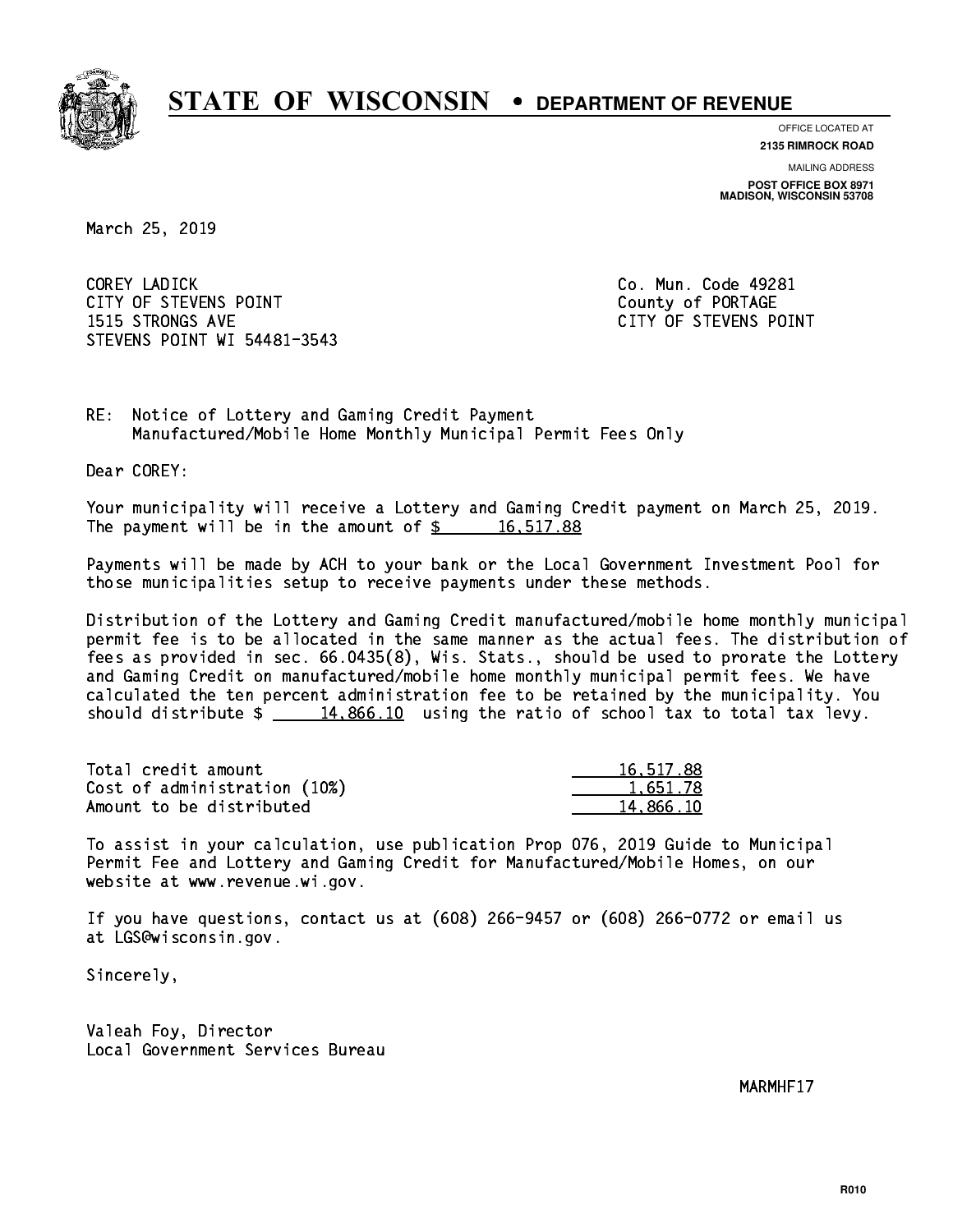

**OFFICE LOCATED AT**

**2135 RIMROCK ROAD**

**MAILING ADDRESS POST OFFICE BOX 8971 MADISON, WISCONSIN 53708**

March 25, 2019

 COREY LADICK Co. Mun. Code 49281 CITY OF STEVENS POINT COUNTS AND COUNTY OF PORTAGE 1515 STRONGS AVE CITY OF STEVENS POINT STEVENS POINT WI 54481-3543

RE: Notice of Lottery and Gaming Credit Payment Manufactured/Mobile Home Monthly Municipal Permit Fees Only

Dear COREY:

 Your municipality will receive a Lottery and Gaming Credit payment on March 25, 2019. The payment will be in the amount of  $\frac{2}{3}$  16,517.88

 Payments will be made by ACH to your bank or the Local Government Investment Pool for those municipalities setup to receive payments under these methods.

 Distribution of the Lottery and Gaming Credit manufactured/mobile home monthly municipal permit fee is to be allocated in the same manner as the actual fees. The distribution of fees as provided in sec. 66.0435(8), Wis. Stats., should be used to prorate the Lottery and Gaming Credit on manufactured/mobile home monthly municipal permit fees. We have calculated the ten percent administration fee to be retained by the municipality. You should distribute  $\frac{14,866.10}{2}$  using the ratio of school tax to total tax levy.

| Total credit amount          | 16,517.88 |
|------------------------------|-----------|
| Cost of administration (10%) | 1.651.78  |
| Amount to be distributed     | 14.866.10 |

 To assist in your calculation, use publication Prop 076, 2019 Guide to Municipal Permit Fee and Lottery and Gaming Credit for Manufactured/Mobile Homes, on our website at www.revenue.wi.gov.

 If you have questions, contact us at (608) 266-9457 or (608) 266-0772 or email us at LGS@wisconsin.gov.

Sincerely,

 Valeah Foy, Director Local Government Services Bureau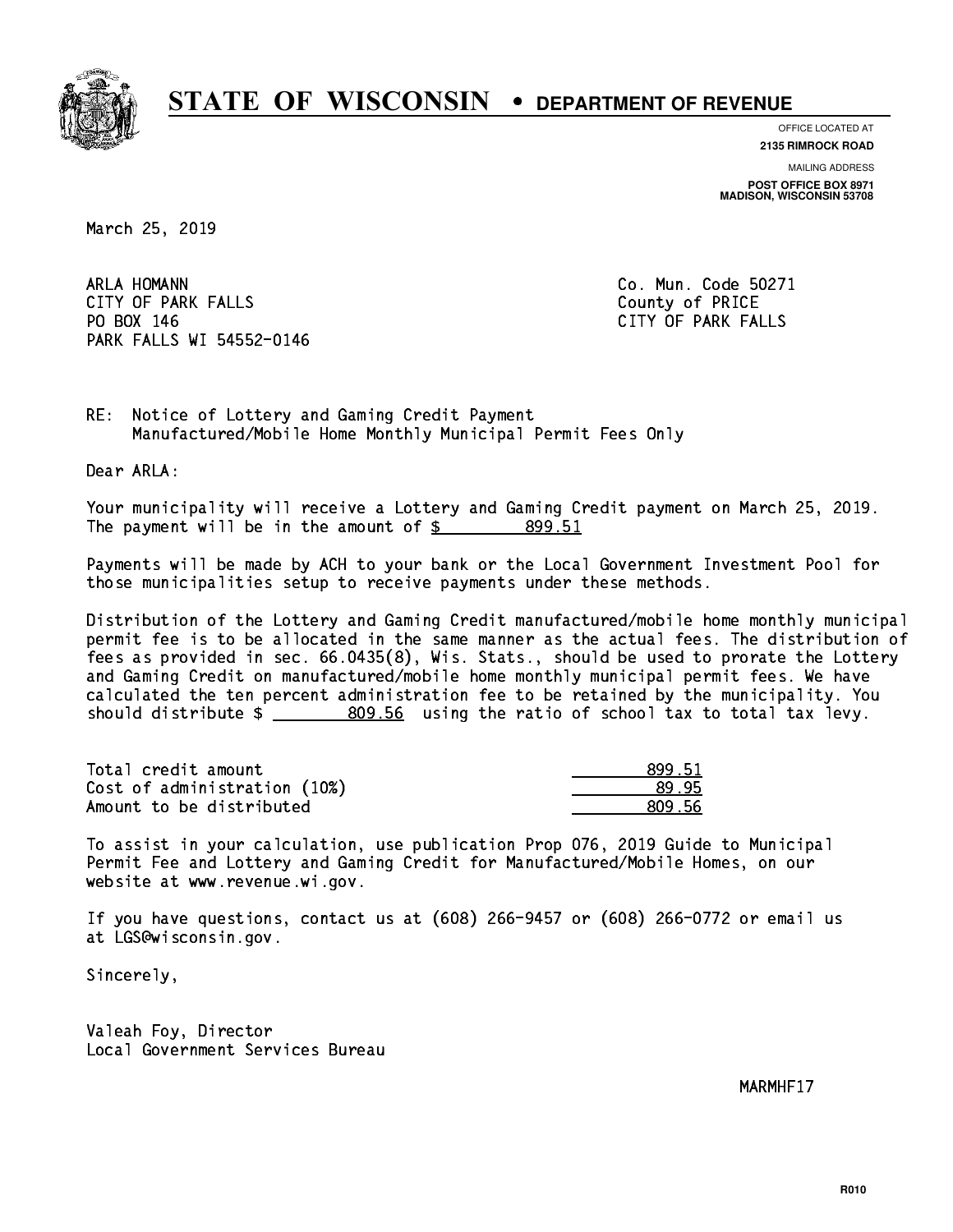

**OFFICE LOCATED AT**

**2135 RIMROCK ROAD**

**MAILING ADDRESS POST OFFICE BOX 8971 MADISON, WISCONSIN 53708**

March 25, 2019

ARLA HOMANN CITY OF PARK FALLS **COUNTY OF PARK** FALLS PO BOX 146 PARK FALLS WI 54552-0146

Co. Mun. Code 50271 CITY OF PARK FALLS

RE: Notice of Lottery and Gaming Credit Payment Manufactured/Mobile Home Monthly Municipal Permit Fees Only

Dear ARLA:

 Your municipality will receive a Lottery and Gaming Credit payment on March 25, 2019. The payment will be in the amount of \$ 899.51 \_\_\_\_\_\_\_\_\_\_\_\_\_\_\_\_

 Payments will be made by ACH to your bank or the Local Government Investment Pool for those municipalities setup to receive payments under these methods.

 Distribution of the Lottery and Gaming Credit manufactured/mobile home monthly municipal permit fee is to be allocated in the same manner as the actual fees. The distribution of fees as provided in sec. 66.0435(8), Wis. Stats., should be used to prorate the Lottery and Gaming Credit on manufactured/mobile home monthly municipal permit fees. We have calculated the ten percent administration fee to be retained by the municipality. You should distribute \$ 809.56 using the ratio of school tax to total tax levy. \_\_\_\_\_\_\_\_\_\_\_\_\_\_

| Total credit amount          | 899.51 |
|------------------------------|--------|
| Cost of administration (10%) | 89.95  |
| Amount to be distributed     | 809.56 |

 To assist in your calculation, use publication Prop 076, 2019 Guide to Municipal Permit Fee and Lottery and Gaming Credit for Manufactured/Mobile Homes, on our website at www.revenue.wi.gov.

 If you have questions, contact us at (608) 266-9457 or (608) 266-0772 or email us at LGS@wisconsin.gov.

Sincerely,

 Valeah Foy, Director Local Government Services Bureau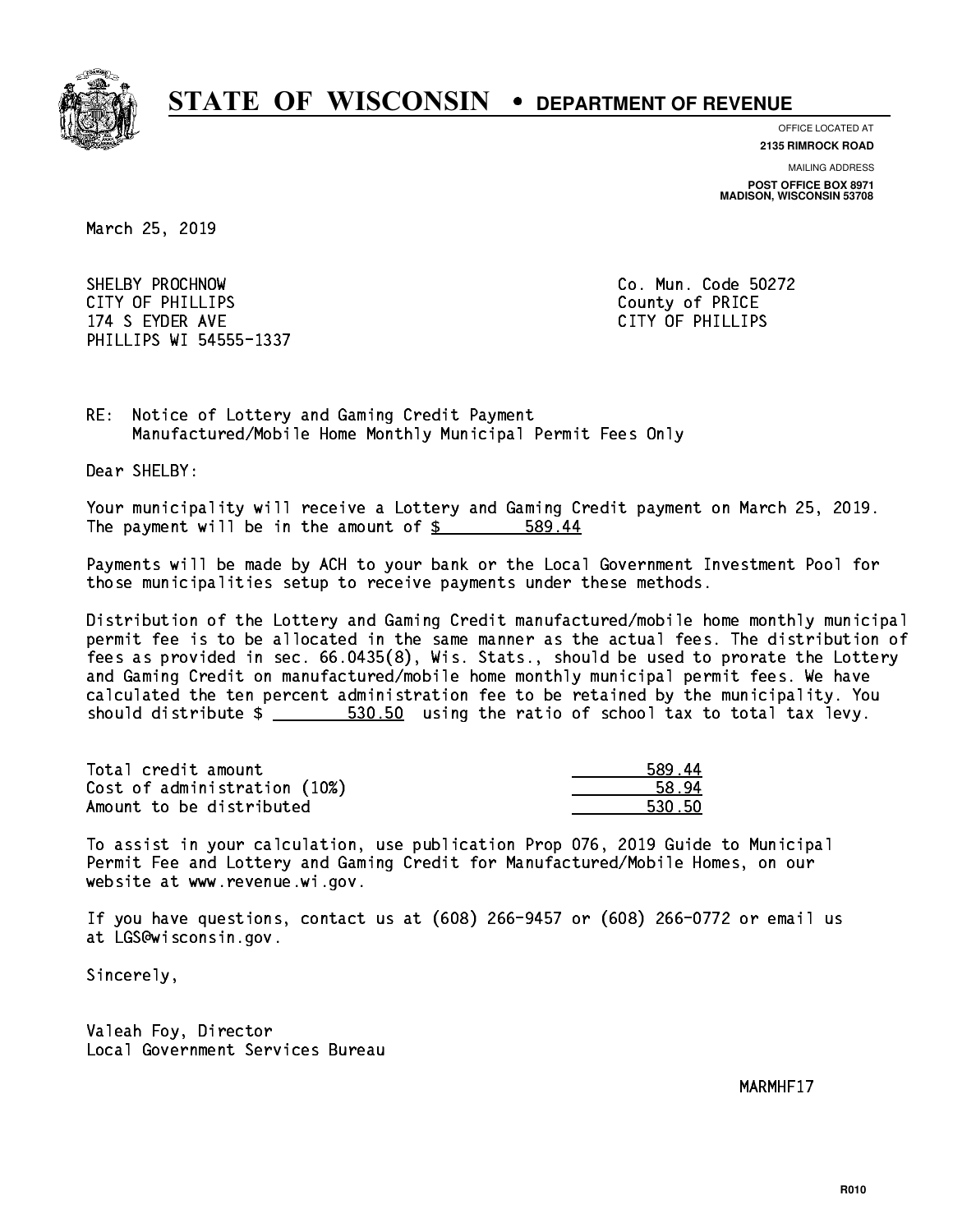

**OFFICE LOCATED AT 2135 RIMROCK ROAD**

**MAILING ADDRESS**

**POST OFFICE BOX 8971 MADISON, WISCONSIN 53708**

March 25, 2019

 SHELBY PROCHNOW Co. Mun. Code 50272 CITY OF PHILLIPS County of PRICE 174 S EYDER AVE CITY OF PHILLIPS PHILLIPS WI 54555-1337

RE: Notice of Lottery and Gaming Credit Payment Manufactured/Mobile Home Monthly Municipal Permit Fees Only

Dear SHELBY:

 Your municipality will receive a Lottery and Gaming Credit payment on March 25, 2019. The payment will be in the amount of \$ 589.44 \_\_\_\_\_\_\_\_\_\_\_\_\_\_\_\_

 Payments will be made by ACH to your bank or the Local Government Investment Pool for those municipalities setup to receive payments under these methods.

 Distribution of the Lottery and Gaming Credit manufactured/mobile home monthly municipal permit fee is to be allocated in the same manner as the actual fees. The distribution of fees as provided in sec. 66.0435(8), Wis. Stats., should be used to prorate the Lottery and Gaming Credit on manufactured/mobile home monthly municipal permit fees. We have calculated the ten percent administration fee to be retained by the municipality. You should distribute  $\frac{2}{1-x} = \frac{530.50}{1-x}$  using the ratio of school tax to total tax levy.

| Total credit amount          | 589.44 |
|------------------------------|--------|
| Cost of administration (10%) | 58.94  |
| Amount to be distributed     | 530.50 |

| л          |
|------------|
| λΔ         |
| 5Λ<br>31 L |

 To assist in your calculation, use publication Prop 076, 2019 Guide to Municipal Permit Fee and Lottery and Gaming Credit for Manufactured/Mobile Homes, on our website at www.revenue.wi.gov.

 If you have questions, contact us at (608) 266-9457 or (608) 266-0772 or email us at LGS@wisconsin.gov.

Sincerely,

 Valeah Foy, Director Local Government Services Bureau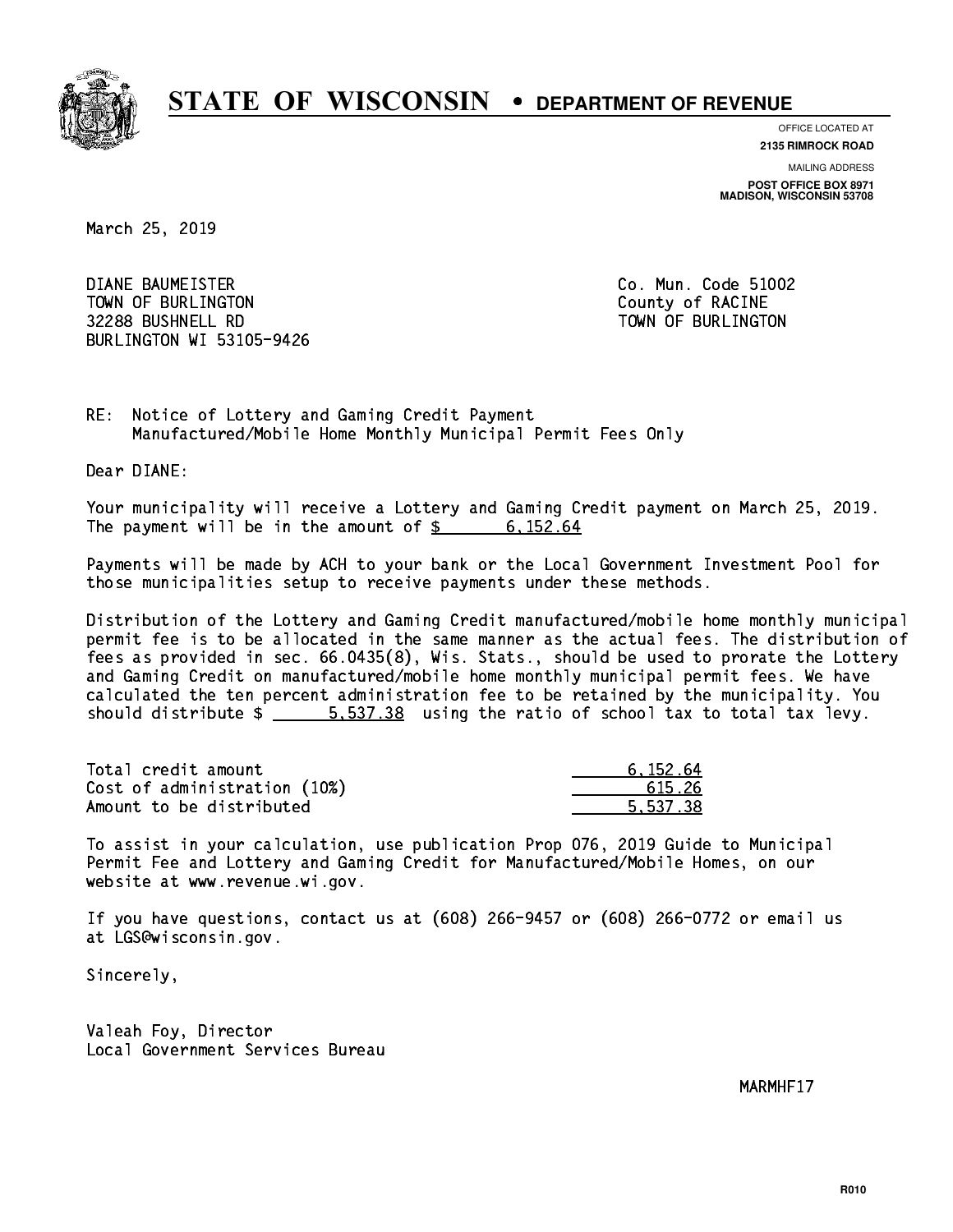

**OFFICE LOCATED AT**

**2135 RIMROCK ROAD**

**MAILING ADDRESS POST OFFICE BOX 8971 MADISON, WISCONSIN 53708**

March 25, 2019

 DIANE BAUMEISTER Co. Mun. Code 51002 TOWN OF BURLINGTON COUNTY OF RACINE 32288 BUSHNELL RD TOWN OF BURLINGTON BURLINGTON WI 53105-9426

RE: Notice of Lottery and Gaming Credit Payment Manufactured/Mobile Home Monthly Municipal Permit Fees Only

Dear DIANE:

 Your municipality will receive a Lottery and Gaming Credit payment on March 25, 2019. The payment will be in the amount of  $\frac{2}{3}$  6,152.64

 Payments will be made by ACH to your bank or the Local Government Investment Pool for those municipalities setup to receive payments under these methods.

 Distribution of the Lottery and Gaming Credit manufactured/mobile home monthly municipal permit fee is to be allocated in the same manner as the actual fees. The distribution of fees as provided in sec. 66.0435(8), Wis. Stats., should be used to prorate the Lottery and Gaming Credit on manufactured/mobile home monthly municipal permit fees. We have calculated the ten percent administration fee to be retained by the municipality. You should distribute  $\frac{2}{1}$   $\frac{5.537.38}{2}$  using the ratio of school tax to total tax levy.

| Total credit amount          | 6.152.64 |
|------------------------------|----------|
| Cost of administration (10%) | 615.26   |
| Amount to be distributed     | 5.537.38 |

 To assist in your calculation, use publication Prop 076, 2019 Guide to Municipal Permit Fee and Lottery and Gaming Credit for Manufactured/Mobile Homes, on our website at www.revenue.wi.gov.

 If you have questions, contact us at (608) 266-9457 or (608) 266-0772 or email us at LGS@wisconsin.gov.

Sincerely,

 Valeah Foy, Director Local Government Services Bureau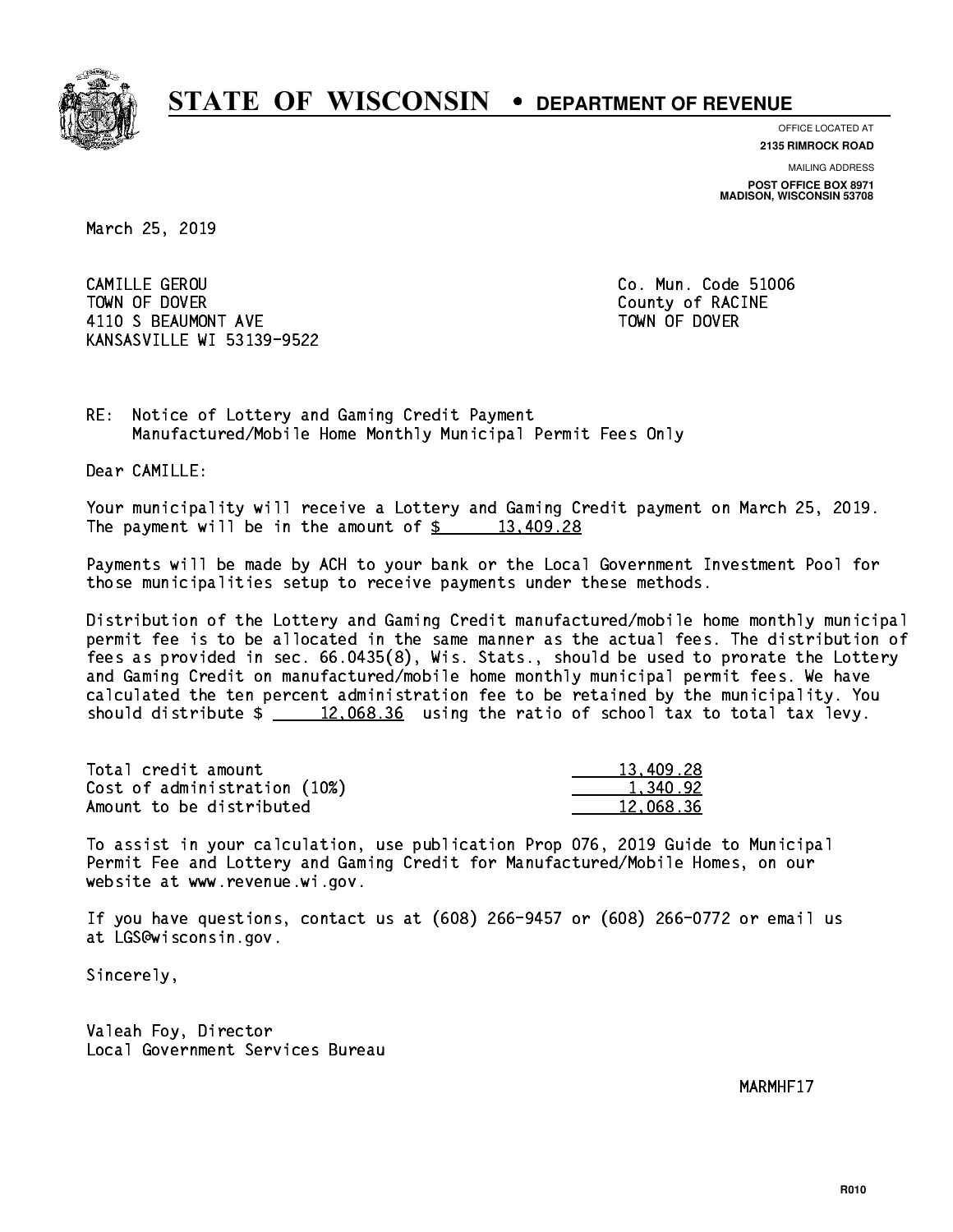

**OFFICE LOCATED AT**

**2135 RIMROCK ROAD**

**MAILING ADDRESS POST OFFICE BOX 8971 MADISON, WISCONSIN 53708**

March 25, 2019

 CAMILLE GEROU Co. Mun. Code 51006 TOWN OF DOVER COUNTY OF RACINE 4110 S BEAUMONT AVE **TOWN OF DOVER** KANSASVILLE WI 53139-9522

RE: Notice of Lottery and Gaming Credit Payment Manufactured/Mobile Home Monthly Municipal Permit Fees Only

Dear CAMILLE:

 Your municipality will receive a Lottery and Gaming Credit payment on March 25, 2019. The payment will be in the amount of  $\frac{28}{13,409.28}$ 

 Payments will be made by ACH to your bank or the Local Government Investment Pool for those municipalities setup to receive payments under these methods.

 Distribution of the Lottery and Gaming Credit manufactured/mobile home monthly municipal permit fee is to be allocated in the same manner as the actual fees. The distribution of fees as provided in sec. 66.0435(8), Wis. Stats., should be used to prorate the Lottery and Gaming Credit on manufactured/mobile home monthly municipal permit fees. We have calculated the ten percent administration fee to be retained by the municipality. You should distribute  $\frac{2}{2}$   $\frac{12,068.36}{2}$  using the ratio of school tax to total tax levy.

| Total credit amount          | 13,409.28 |
|------------------------------|-----------|
| Cost of administration (10%) | 1.340.92  |
| Amount to be distributed     | 12.068.36 |

 To assist in your calculation, use publication Prop 076, 2019 Guide to Municipal Permit Fee and Lottery and Gaming Credit for Manufactured/Mobile Homes, on our website at www.revenue.wi.gov.

 If you have questions, contact us at (608) 266-9457 or (608) 266-0772 or email us at LGS@wisconsin.gov.

Sincerely,

 Valeah Foy, Director Local Government Services Bureau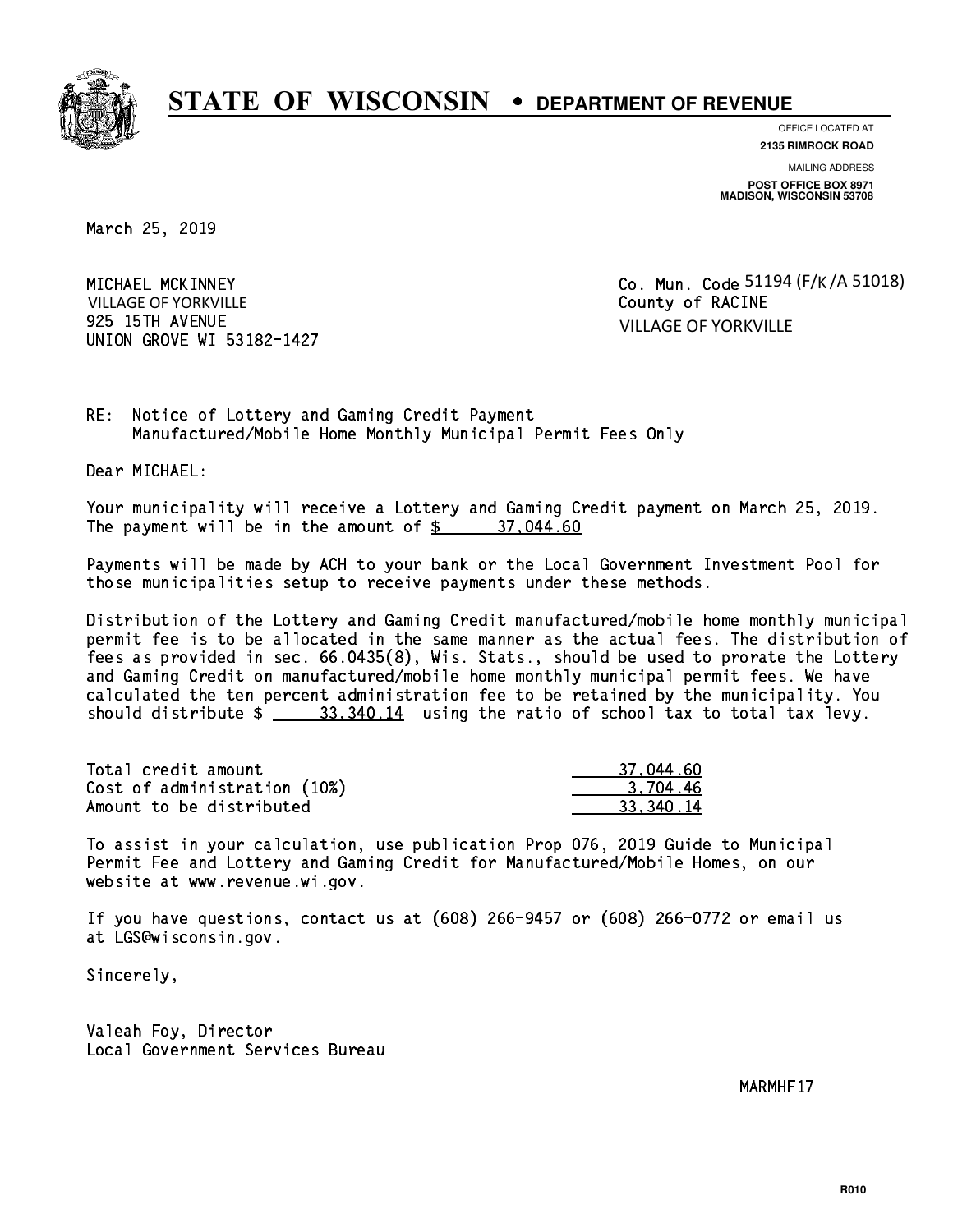

**OFFICE LOCATED AT**

**2135 RIMROCK ROAD**

**MAILING ADDRESS**

**POST OFFICE BOX 8971 MADISON, WISCONSIN 53708**

March 25, 2019

MICHAEL MCKINNEY 925 15TH AVENUE UNION GROVE WI 53182-1427 VILLAGE OF YORKVILLE

County of RACINE 51194 (F/<sub>K</sub> /A 51018) VILLAGE OF YORKVILLE

RE: Notice of Lottery and Gaming Credit Payment Manufactured/Mobile Home Monthly Municipal Permit Fees Only

Dear MICHAEL:

 Your municipality will receive a Lottery and Gaming Credit payment on March 25, 2019. The payment will be in the amount of  $\frac{2}{3}$  37,044.60

 Payments will be made by ACH to your bank or the Local Government Investment Pool for those municipalities setup to receive payments under these methods.

 Distribution of the Lottery and Gaming Credit manufactured/mobile home monthly municipal permit fee is to be allocated in the same manner as the actual fees. The distribution of fees as provided in sec. 66.0435(8), Wis. Stats., should be used to prorate the Lottery and Gaming Credit on manufactured/mobile home monthly municipal permit fees. We have calculated the ten percent administration fee to be retained by the municipality. You should distribute  $\frac{23,340.14}{2}$  using the ratio of school tax to total tax levy.

| Total credit amount          | 37,044.60   |
|------------------------------|-------------|
| Cost of administration (10%) | 3.704.46    |
| Amount to be distributed     | 33, 340, 14 |

 To assist in your calculation, use publication Prop 076, 2019 Guide to Municipal Permit Fee and Lottery and Gaming Credit for Manufactured/Mobile Homes, on our website at www.revenue.wi.gov.

 If you have questions, contact us at (608) 266-9457 or (608) 266-0772 or email us at LGS@wisconsin.gov.

Sincerely,

 Valeah Foy, Director Local Government Services Bureau

MARMHF17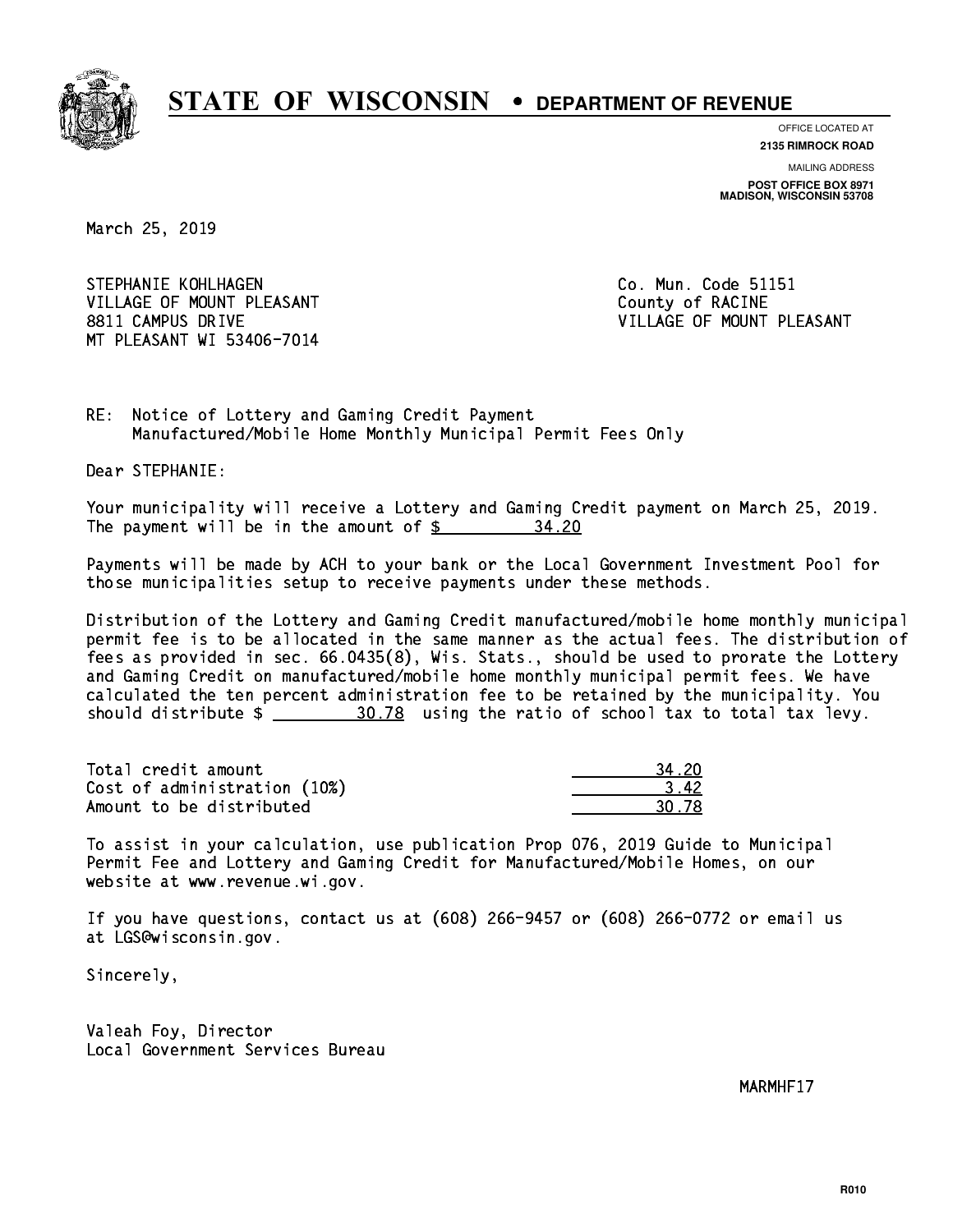

**OFFICE LOCATED AT**

**2135 RIMROCK ROAD**

**MAILING ADDRESS POST OFFICE BOX 8971 MADISON, WISCONSIN 53708**

March 25, 2019

STEPHANIE KOHLHAGEN **Co. Mun. Code 51151** VILLAGE OF MOUNT PLEASANT COUNTY OF RACINE 8811 CAMPUS DRIVE VILLAGE OF MOUNT PLEASANT MT PLEASANT WI 53406-7014

RE: Notice of Lottery and Gaming Credit Payment Manufactured/Mobile Home Monthly Municipal Permit Fees Only

Dear STEPHANIE:

 Your municipality will receive a Lottery and Gaming Credit payment on March 25, 2019. The payment will be in the amount of  $\frac{2}{3}$ 34.20

 Payments will be made by ACH to your bank or the Local Government Investment Pool for those municipalities setup to receive payments under these methods.

 Distribution of the Lottery and Gaming Credit manufactured/mobile home monthly municipal permit fee is to be allocated in the same manner as the actual fees. The distribution of fees as provided in sec. 66.0435(8), Wis. Stats., should be used to prorate the Lottery and Gaming Credit on manufactured/mobile home monthly municipal permit fees. We have calculated the ten percent administration fee to be retained by the municipality. You should distribute  $\frac{20.78}{20.78}$  using the ratio of school tax to total tax levy.

Total credit amount Cost of administration (10%) Amount to be distributed

| î.        |
|-----------|
| .,<br>17. |
| 92<br>n   |

 To assist in your calculation, use publication Prop 076, 2019 Guide to Municipal Permit Fee and Lottery and Gaming Credit for Manufactured/Mobile Homes, on our website at www.revenue.wi.gov.

 If you have questions, contact us at (608) 266-9457 or (608) 266-0772 or email us at LGS@wisconsin.gov.

Sincerely,

 Valeah Foy, Director Local Government Services Bureau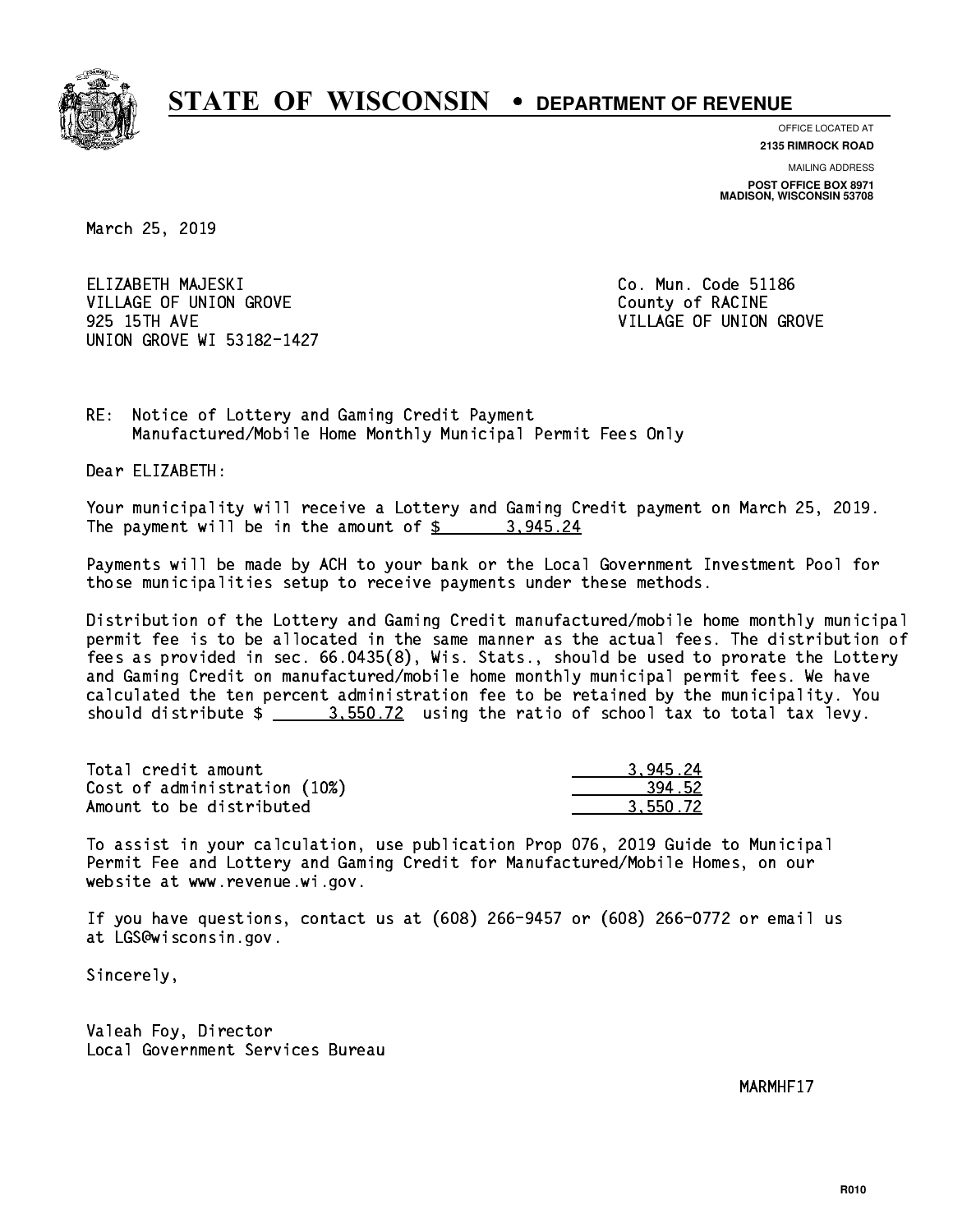

**OFFICE LOCATED AT**

**2135 RIMROCK ROAD**

**MAILING ADDRESS POST OFFICE BOX 8971 MADISON, WISCONSIN 53708**

March 25, 2019

 ELIZABETH MAJESKI Co. Mun. Code 51186 VILLAGE OF UNION GROVE COUNTY OF RACINE 925 15TH AVE VILLAGE OF UNION GROVE UNION GROVE WI 53182-1427

RE: Notice of Lottery and Gaming Credit Payment Manufactured/Mobile Home Monthly Municipal Permit Fees Only

Dear ELIZABETH:

 Your municipality will receive a Lottery and Gaming Credit payment on March 25, 2019. The payment will be in the amount of  $\frac{2}{3}$  3,945.24

 Payments will be made by ACH to your bank or the Local Government Investment Pool for those municipalities setup to receive payments under these methods.

 Distribution of the Lottery and Gaming Credit manufactured/mobile home monthly municipal permit fee is to be allocated in the same manner as the actual fees. The distribution of fees as provided in sec. 66.0435(8), Wis. Stats., should be used to prorate the Lottery and Gaming Credit on manufactured/mobile home monthly municipal permit fees. We have calculated the ten percent administration fee to be retained by the municipality. You should distribute  $\frac{2}{2}$   $\frac{3.550.72}{2}$  using the ratio of school tax to total tax levy.

| Total credit amount          | 3.945.24 |
|------------------------------|----------|
| Cost of administration (10%) | 394.52   |
| Amount to be distributed     | 3.550.72 |

 To assist in your calculation, use publication Prop 076, 2019 Guide to Municipal Permit Fee and Lottery and Gaming Credit for Manufactured/Mobile Homes, on our website at www.revenue.wi.gov.

 If you have questions, contact us at (608) 266-9457 or (608) 266-0772 or email us at LGS@wisconsin.gov.

Sincerely,

 Valeah Foy, Director Local Government Services Bureau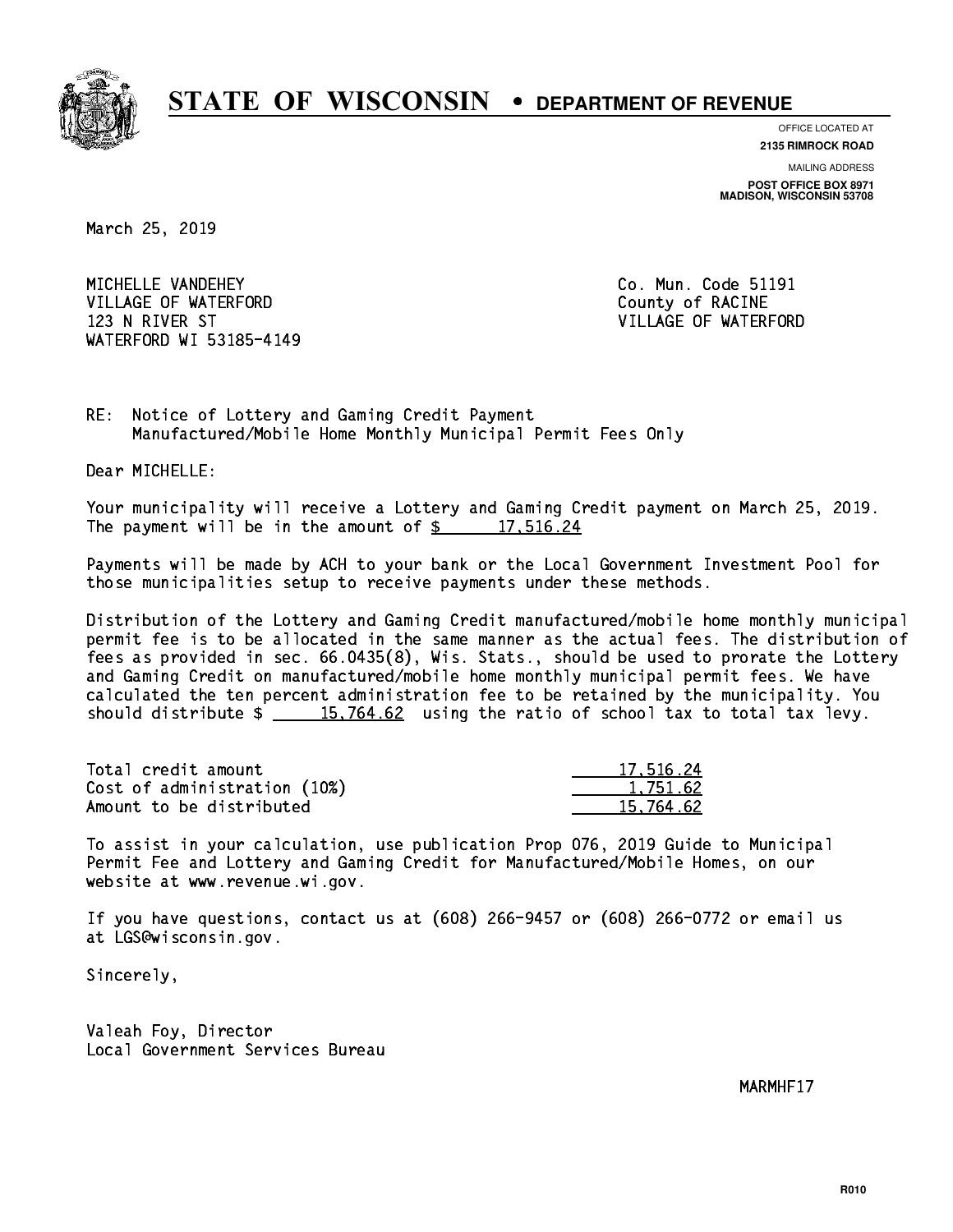

**OFFICE LOCATED AT**

**2135 RIMROCK ROAD**

**MAILING ADDRESS POST OFFICE BOX 8971 MADISON, WISCONSIN 53708**

March 25, 2019

 MICHELLE VANDEHEY Co. Mun. Code 51191 VILLAGE OF WATERFORD County of RACINE 123 N RIVER ST VILLAGE OF WATERFORD WATERFORD WI 53185-4149

RE: Notice of Lottery and Gaming Credit Payment Manufactured/Mobile Home Monthly Municipal Permit Fees Only

Dear MICHELLE:

 Your municipality will receive a Lottery and Gaming Credit payment on March 25, 2019. The payment will be in the amount of  $\frac{2}{17.516.24}$ 

 Payments will be made by ACH to your bank or the Local Government Investment Pool for those municipalities setup to receive payments under these methods.

 Distribution of the Lottery and Gaming Credit manufactured/mobile home monthly municipal permit fee is to be allocated in the same manner as the actual fees. The distribution of fees as provided in sec. 66.0435(8), Wis. Stats., should be used to prorate the Lottery and Gaming Credit on manufactured/mobile home monthly municipal permit fees. We have calculated the ten percent administration fee to be retained by the municipality. You should distribute  $\frac{15,764.62}{15,764.62}$  using the ratio of school tax to total tax levy.

| Total credit amount          | 17.516.24 |
|------------------------------|-----------|
| Cost of administration (10%) | 1.751.62  |
| Amount to be distributed     | 15,764.62 |

 To assist in your calculation, use publication Prop 076, 2019 Guide to Municipal Permit Fee and Lottery and Gaming Credit for Manufactured/Mobile Homes, on our website at www.revenue.wi.gov.

 If you have questions, contact us at (608) 266-9457 or (608) 266-0772 or email us at LGS@wisconsin.gov.

Sincerely,

 Valeah Foy, Director Local Government Services Bureau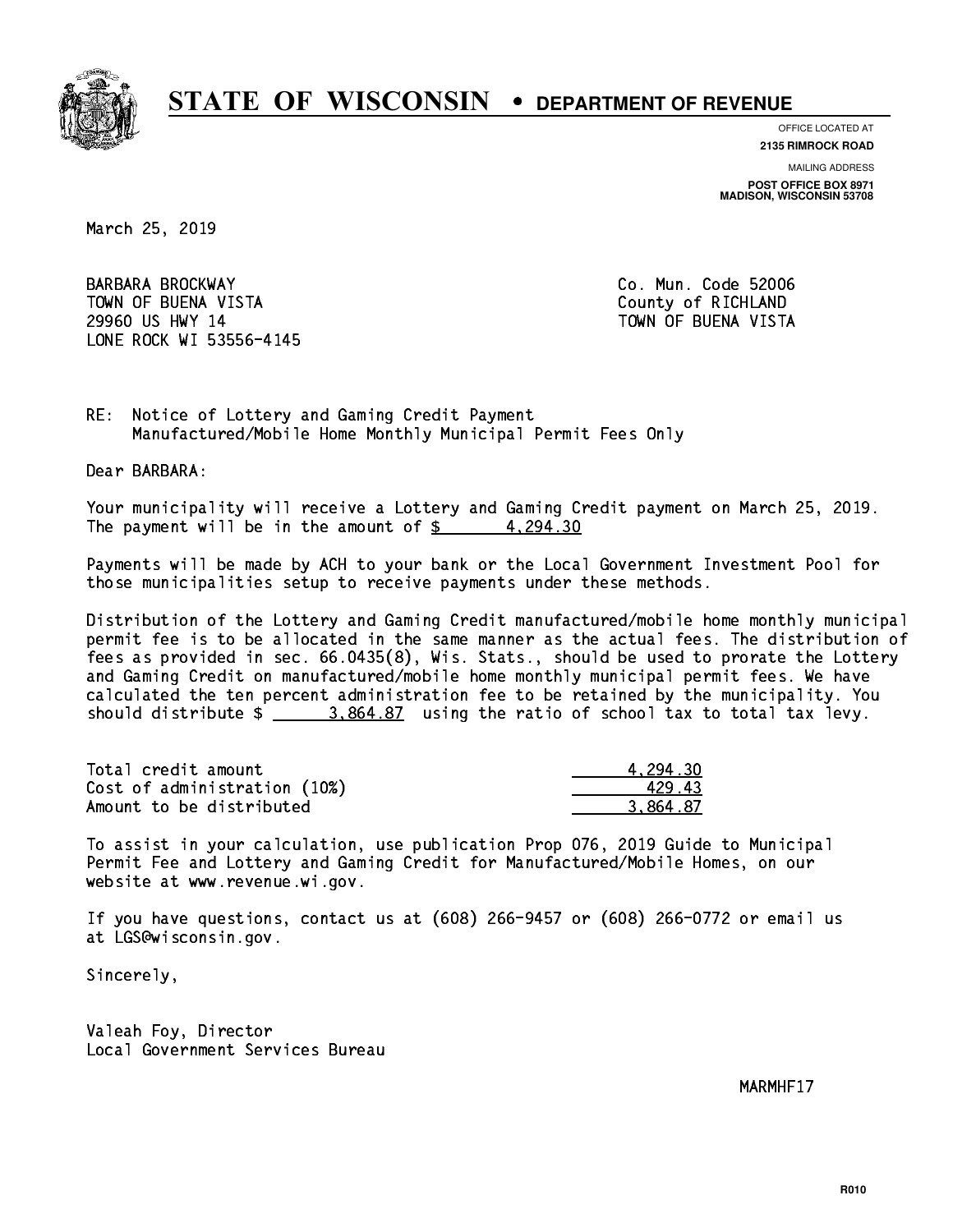

**OFFICE LOCATED AT**

**2135 RIMROCK ROAD**

**MAILING ADDRESS**

**POST OFFICE BOX 8971 MADISON, WISCONSIN 53708**

March 25, 2019

 BARBARA BROCKWAY Co. Mun. Code 52006 TOWN OF BUENA VISTA County of RICHLAND 29960 US HWY 14 TOWN OF BUENA VISTA LONE ROCK WI 53556-4145

RE: Notice of Lottery and Gaming Credit Payment Manufactured/Mobile Home Monthly Municipal Permit Fees Only

Dear BARBARA:

 Your municipality will receive a Lottery and Gaming Credit payment on March 25, 2019. The payment will be in the amount of  $\frac{2}{3}$  4,294.30

 Payments will be made by ACH to your bank or the Local Government Investment Pool for those municipalities setup to receive payments under these methods.

 Distribution of the Lottery and Gaming Credit manufactured/mobile home monthly municipal permit fee is to be allocated in the same manner as the actual fees. The distribution of fees as provided in sec. 66.0435(8), Wis. Stats., should be used to prorate the Lottery and Gaming Credit on manufactured/mobile home monthly municipal permit fees. We have calculated the ten percent administration fee to be retained by the municipality. You should distribute  $\frac{2}{2}$   $\frac{3.864.87}{2}$  using the ratio of school tax to total tax levy.

| Total credit amount          | 4.294.30 |
|------------------------------|----------|
| Cost of administration (10%) | 42943    |
| Amount to be distributed     | 3.864.87 |

 To assist in your calculation, use publication Prop 076, 2019 Guide to Municipal Permit Fee and Lottery and Gaming Credit for Manufactured/Mobile Homes, on our website at www.revenue.wi.gov.

 If you have questions, contact us at (608) 266-9457 or (608) 266-0772 or email us at LGS@wisconsin.gov.

Sincerely,

 Valeah Foy, Director Local Government Services Bureau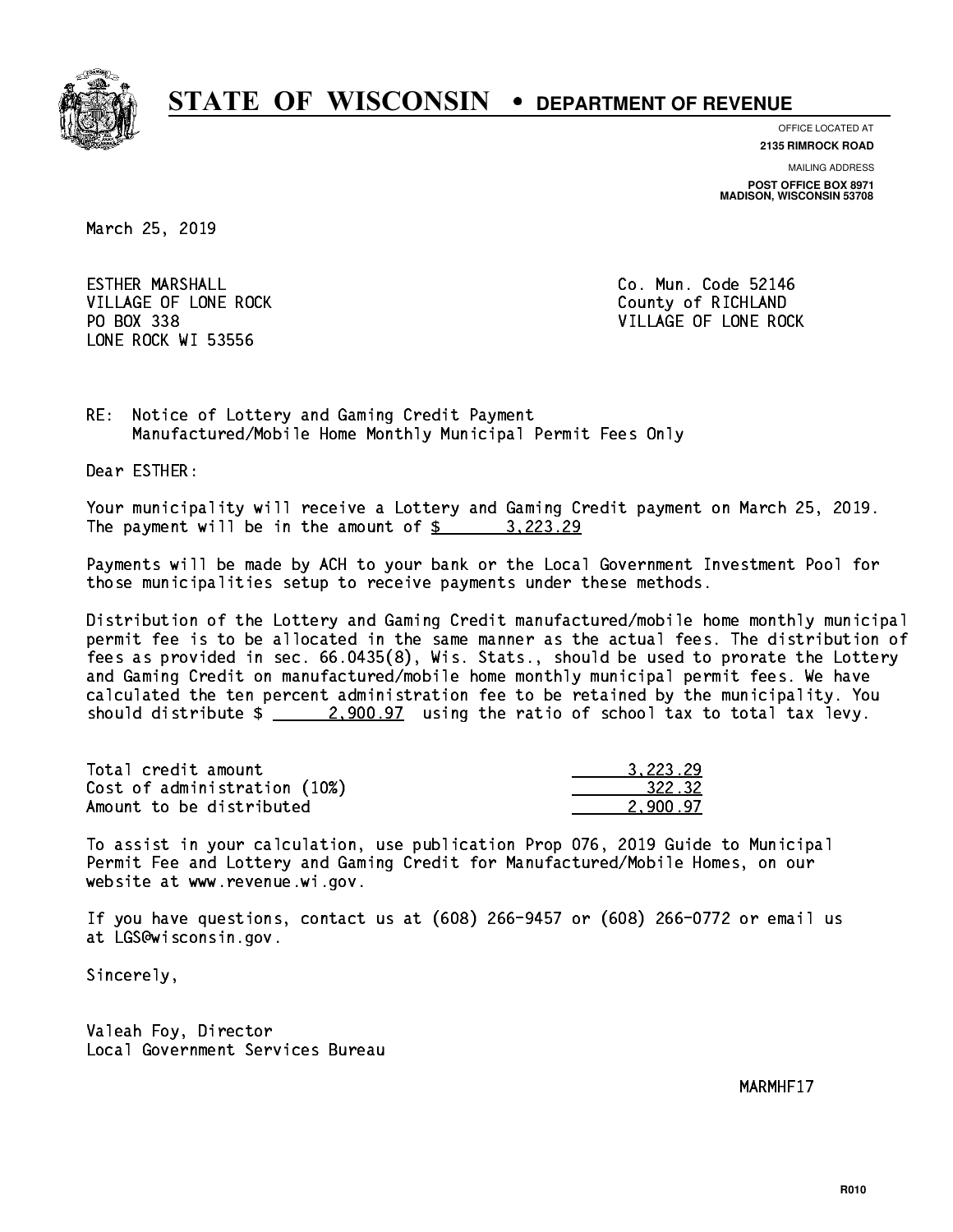

**OFFICE LOCATED AT**

**2135 RIMROCK ROAD**

**MAILING ADDRESS POST OFFICE BOX 8971 MADISON, WISCONSIN 53708**

March 25, 2019

**ESTHER MARSHALL** VILLAGE OF LONE ROCK County of RICHLAND PO BOX 338 LONE ROCK WI 53556

Co. Mun. Code 52146 VILLAGE OF LONE ROCK

RE: Notice of Lottery and Gaming Credit Payment Manufactured/Mobile Home Monthly Municipal Permit Fees Only

Dear ESTHER:

 Your municipality will receive a Lottery and Gaming Credit payment on March 25, 2019. The payment will be in the amount of \$ 3,223.29 \_\_\_\_\_\_\_\_\_\_\_\_\_\_\_\_

 Payments will be made by ACH to your bank or the Local Government Investment Pool for those municipalities setup to receive payments under these methods.

 Distribution of the Lottery and Gaming Credit manufactured/mobile home monthly municipal permit fee is to be allocated in the same manner as the actual fees. The distribution of fees as provided in sec. 66.0435(8), Wis. Stats., should be used to prorate the Lottery and Gaming Credit on manufactured/mobile home monthly municipal permit fees. We have calculated the ten percent administration fee to be retained by the municipality. You should distribute  $\frac{2,900.97}{2}$  using the ratio of school tax to total tax levy.

| Total credit amount          | 3.223.29 |
|------------------------------|----------|
| Cost of administration (10%) | 322.32   |
| Amount to be distributed     | 2.900.97 |

 To assist in your calculation, use publication Prop 076, 2019 Guide to Municipal Permit Fee and Lottery and Gaming Credit for Manufactured/Mobile Homes, on our website at www.revenue.wi.gov.

 If you have questions, contact us at (608) 266-9457 or (608) 266-0772 or email us at LGS@wisconsin.gov.

Sincerely,

 Valeah Foy, Director Local Government Services Bureau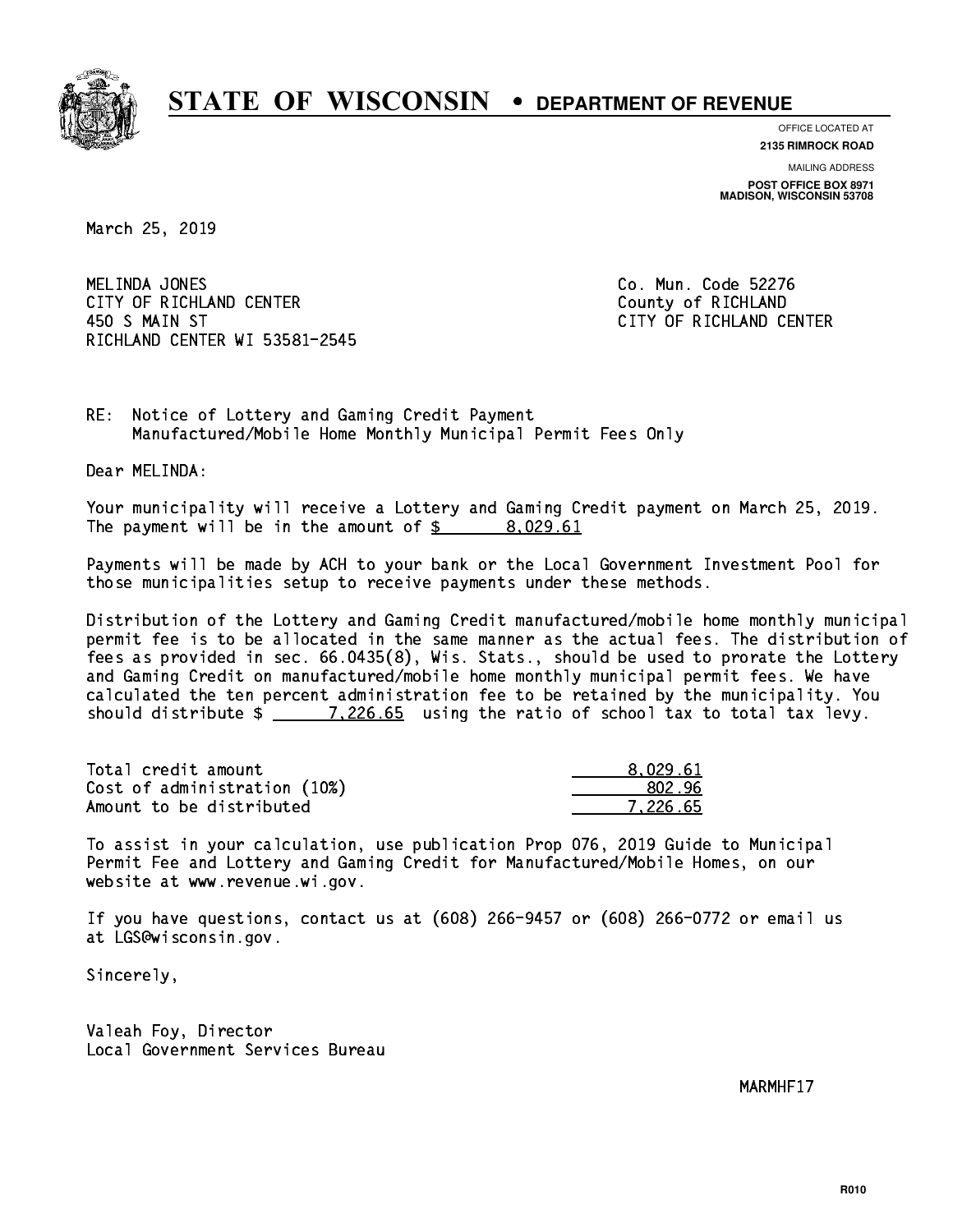

**OFFICE LOCATED AT**

**2135 RIMROCK ROAD**

**MAILING ADDRESS POST OFFICE BOX 8971 MADISON, WISCONSIN 53708**

March 25, 2019

MELINDA JONES CITY OF RICHLAND CENTER **COUNTY OF RICHLAND**  450 S MAIN ST CITY OF RICHLAND CENTER RICHLAND CENTER WI 53581-2545

Co. Mun. Code 52276

RE: Notice of Lottery and Gaming Credit Payment Manufactured/Mobile Home Monthly Municipal Permit Fees Only

Dear MELINDA:

 Your municipality will receive a Lottery and Gaming Credit payment on March 25, 2019. The payment will be in the amount of  $\frac{2}{3}$  8,029.61

 Payments will be made by ACH to your bank or the Local Government Investment Pool for those municipalities setup to receive payments under these methods.

 Distribution of the Lottery and Gaming Credit manufactured/mobile home monthly municipal permit fee is to be allocated in the same manner as the actual fees. The distribution of fees as provided in sec. 66.0435(8), Wis. Stats., should be used to prorate the Lottery and Gaming Credit on manufactured/mobile home monthly municipal permit fees. We have calculated the ten percent administration fee to be retained by the municipality. You should distribute \$ 7,226.65 using the ratio of school tax to total tax levy. \_\_\_\_\_\_\_\_\_\_\_\_\_\_

| Total credit amount          | 8.029.61 |
|------------------------------|----------|
| Cost of administration (10%) | 802.96   |
| Amount to be distributed     | 7.226.65 |

 To assist in your calculation, use publication Prop 076, 2019 Guide to Municipal Permit Fee and Lottery and Gaming Credit for Manufactured/Mobile Homes, on our website at www.revenue.wi.gov.

 If you have questions, contact us at (608) 266-9457 or (608) 266-0772 or email us at LGS@wisconsin.gov.

Sincerely,

 Valeah Foy, Director Local Government Services Bureau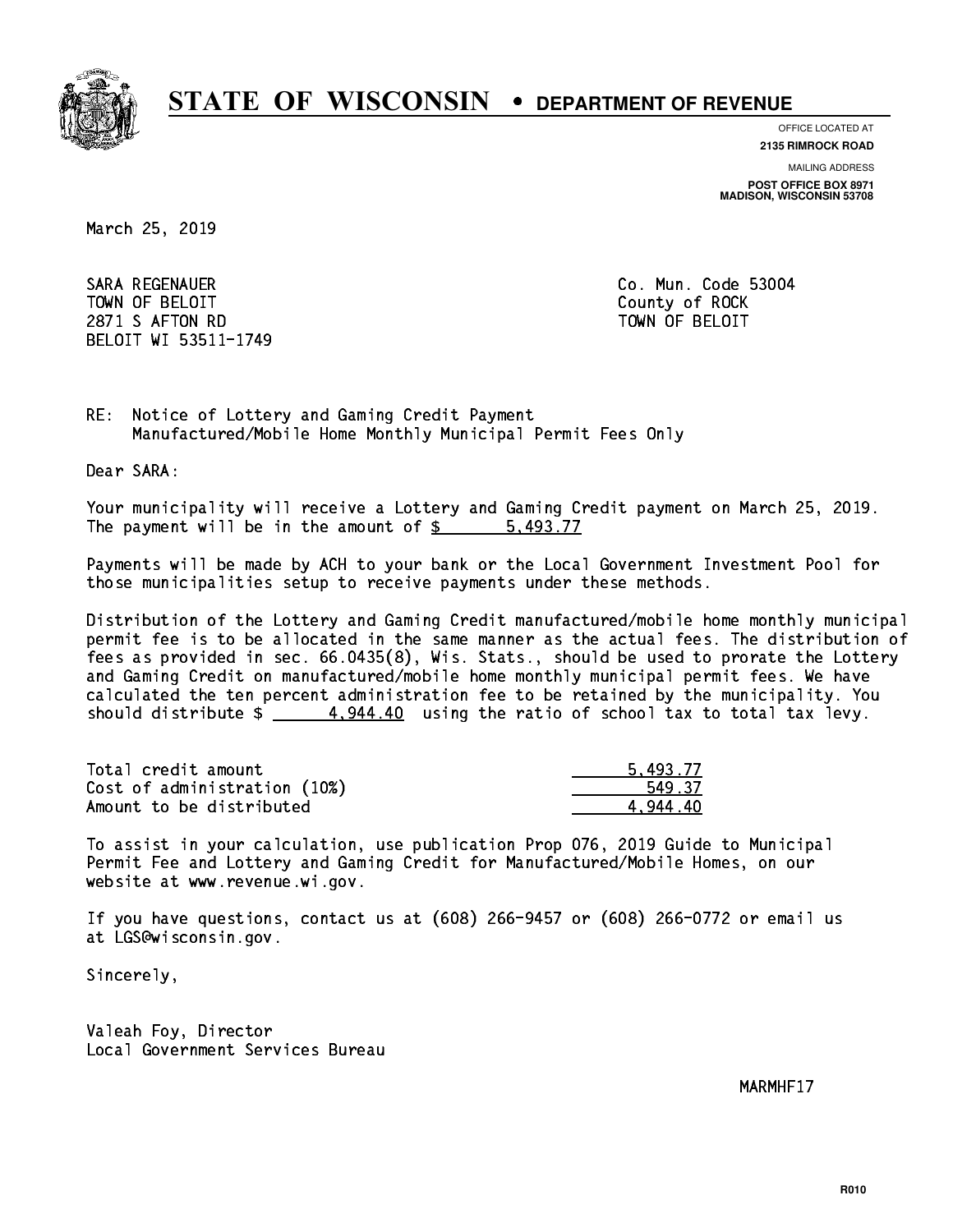

**OFFICE LOCATED AT**

**2135 RIMROCK ROAD**

**MAILING ADDRESS**

**POST OFFICE BOX 8971 MADISON, WISCONSIN 53708**

March 25, 2019

 SARA REGENAUER Co. Mun. Code 53004 TOWN OF BELOIT County of ROCK 2871 S AFTON RD TOWN OF BELOIT BELOIT WI 53511-1749

RE: Notice of Lottery and Gaming Credit Payment Manufactured/Mobile Home Monthly Municipal Permit Fees Only

Dear SARA:

 Your municipality will receive a Lottery and Gaming Credit payment on March 25, 2019. The payment will be in the amount of \$ 5,493.77 \_\_\_\_\_\_\_\_\_\_\_\_\_\_\_\_

 Payments will be made by ACH to your bank or the Local Government Investment Pool for those municipalities setup to receive payments under these methods.

 Distribution of the Lottery and Gaming Credit manufactured/mobile home monthly municipal permit fee is to be allocated in the same manner as the actual fees. The distribution of fees as provided in sec. 66.0435(8), Wis. Stats., should be used to prorate the Lottery and Gaming Credit on manufactured/mobile home monthly municipal permit fees. We have calculated the ten percent administration fee to be retained by the municipality. You should distribute  $\frac{4.944.40}{2}$  using the ratio of school tax to total tax levy.

| Total credit amount          | 5.493.77 |
|------------------------------|----------|
| Cost of administration (10%) | 549.37   |
| Amount to be distributed     | 4.944.40 |

 To assist in your calculation, use publication Prop 076, 2019 Guide to Municipal Permit Fee and Lottery and Gaming Credit for Manufactured/Mobile Homes, on our website at www.revenue.wi.gov.

 If you have questions, contact us at (608) 266-9457 or (608) 266-0772 or email us at LGS@wisconsin.gov.

Sincerely,

 Valeah Foy, Director Local Government Services Bureau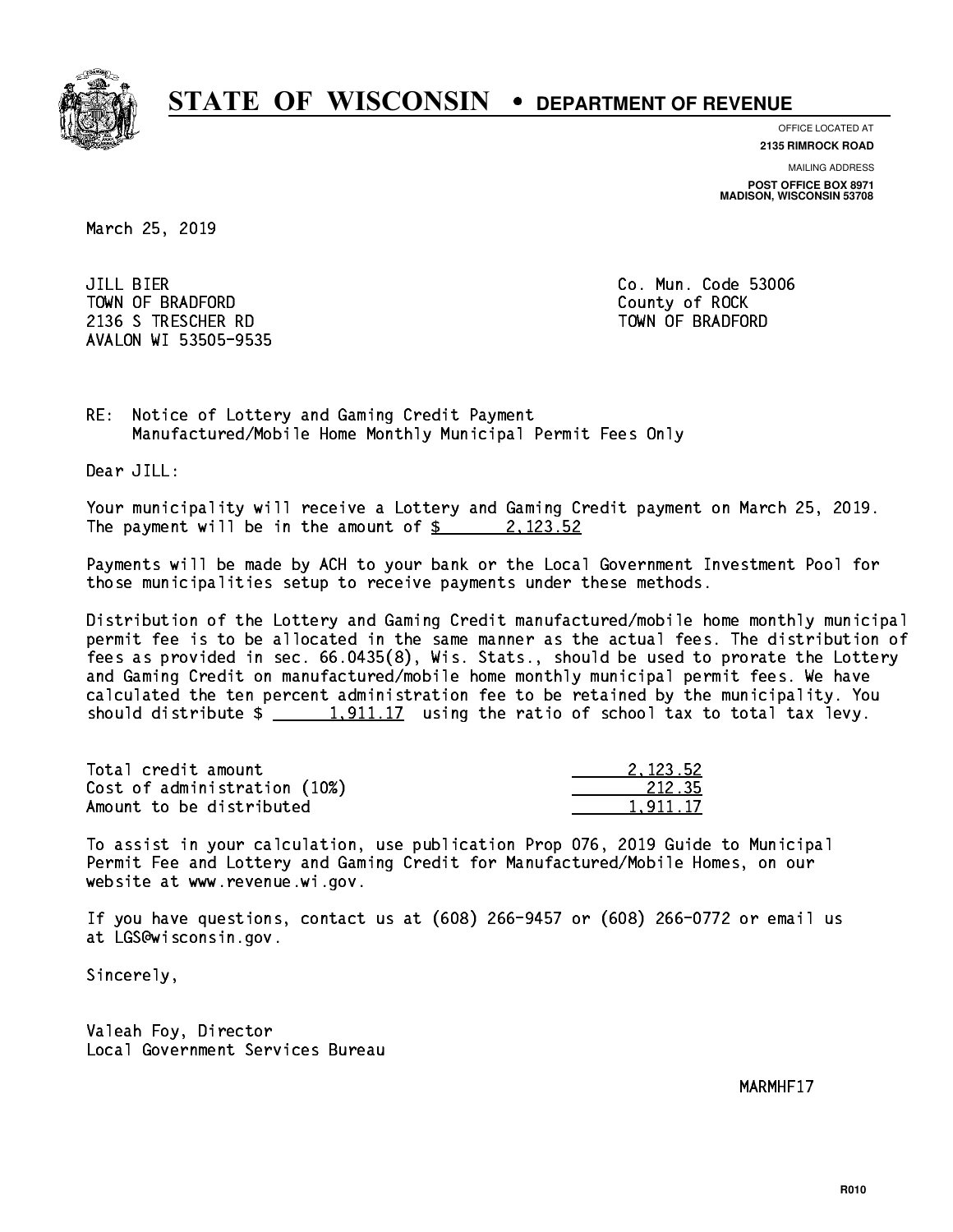

**OFFICE LOCATED AT 2135 RIMROCK ROAD**

**MAILING ADDRESS**

**POST OFFICE BOX 8971 MADISON, WISCONSIN 53708**

March 25, 2019

JILL BIER TOWN OF BRADFORD **COUNTY COUNTY OF ROCK** 2136 S TRESCHER RD TOWN OF BRADFORD AVALON WI 53505-9535

Co. Mun. Code 53006

RE: Notice of Lottery and Gaming Credit Payment Manufactured/Mobile Home Monthly Municipal Permit Fees Only

Dear JILL:

 Your municipality will receive a Lottery and Gaming Credit payment on March 25, 2019. The payment will be in the amount of  $\frac{2}{3}$  2,123.52

 Payments will be made by ACH to your bank or the Local Government Investment Pool for those municipalities setup to receive payments under these methods.

 Distribution of the Lottery and Gaming Credit manufactured/mobile home monthly municipal permit fee is to be allocated in the same manner as the actual fees. The distribution of fees as provided in sec. 66.0435(8), Wis. Stats., should be used to prorate the Lottery and Gaming Credit on manufactured/mobile home monthly municipal permit fees. We have calculated the ten percent administration fee to be retained by the municipality. You should distribute  $\frac{1,911.17}{1,911.17}$  using the ratio of school tax to total tax levy.

| Total credit amount          | 2.123.52 |
|------------------------------|----------|
| Cost of administration (10%) | 212.35   |
| Amount to be distributed     | 1.911.17 |

 To assist in your calculation, use publication Prop 076, 2019 Guide to Municipal Permit Fee and Lottery and Gaming Credit for Manufactured/Mobile Homes, on our website at www.revenue.wi.gov.

 If you have questions, contact us at (608) 266-9457 or (608) 266-0772 or email us at LGS@wisconsin.gov.

Sincerely,

 Valeah Foy, Director Local Government Services Bureau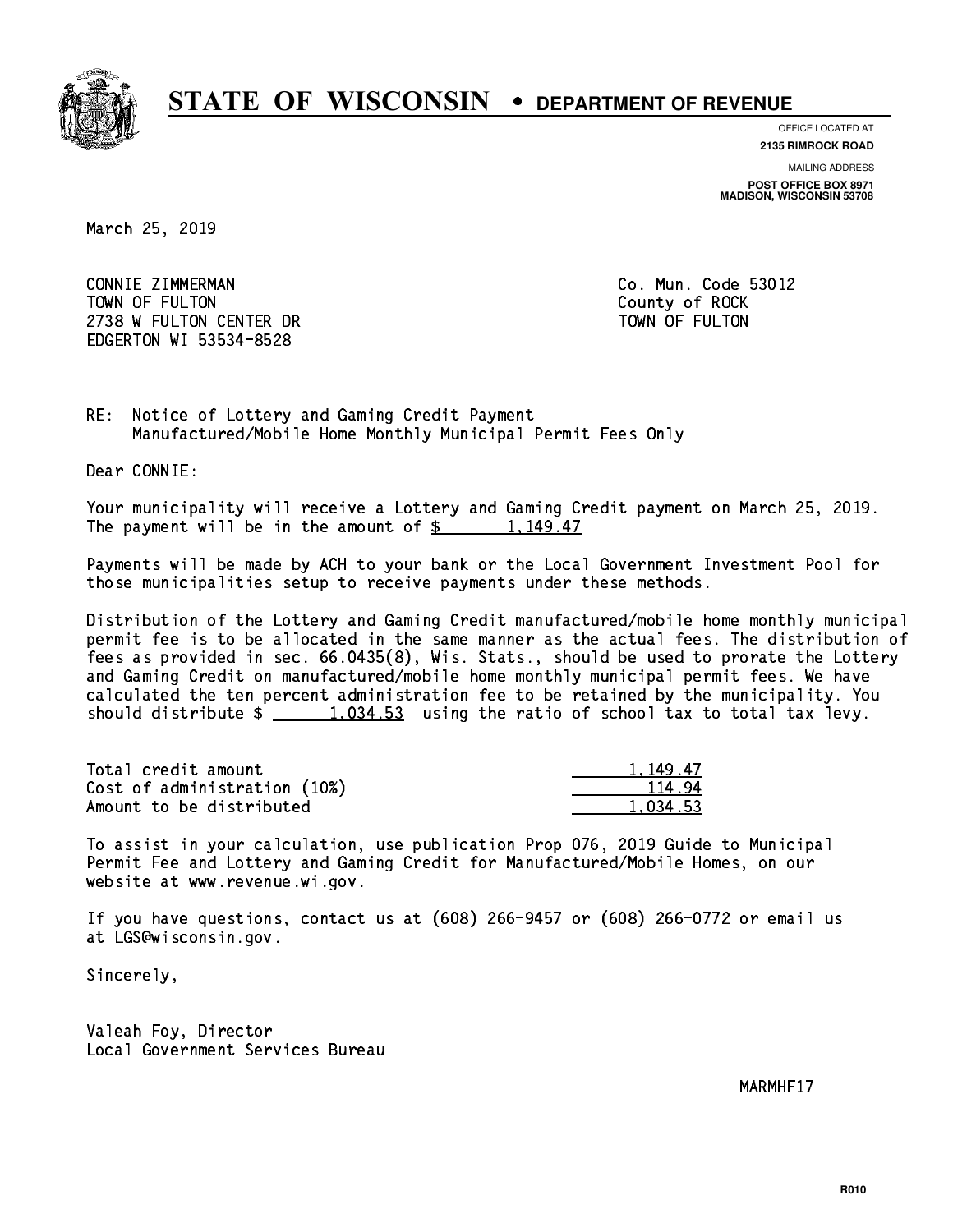

**OFFICE LOCATED AT**

**2135 RIMROCK ROAD**

**MAILING ADDRESS POST OFFICE BOX 8971 MADISON, WISCONSIN 53708**

March 25, 2019

 CONNIE ZIMMERMAN Co. Mun. Code 53012 TOWN OF FULTON County of ROCK 2738 W FULTON CENTER DR TOWN OF FULTON EDGERTON WI 53534-8528

RE: Notice of Lottery and Gaming Credit Payment Manufactured/Mobile Home Monthly Municipal Permit Fees Only

Dear CONNIE:

 Your municipality will receive a Lottery and Gaming Credit payment on March 25, 2019. The payment will be in the amount of  $\frac{2}{3}$  1,149.47

 Payments will be made by ACH to your bank or the Local Government Investment Pool for those municipalities setup to receive payments under these methods.

 Distribution of the Lottery and Gaming Credit manufactured/mobile home monthly municipal permit fee is to be allocated in the same manner as the actual fees. The distribution of fees as provided in sec. 66.0435(8), Wis. Stats., should be used to prorate the Lottery and Gaming Credit on manufactured/mobile home monthly municipal permit fees. We have calculated the ten percent administration fee to be retained by the municipality. You should distribute  $\frac{1.034.53}{1.034.53}$  using the ratio of school tax to total tax levy.

| Total credit amount          | 1.149.47 |
|------------------------------|----------|
| Cost of administration (10%) | 114.94   |
| Amount to be distributed     | 1.034.53 |

 To assist in your calculation, use publication Prop 076, 2019 Guide to Municipal Permit Fee and Lottery and Gaming Credit for Manufactured/Mobile Homes, on our website at www.revenue.wi.gov.

 If you have questions, contact us at (608) 266-9457 or (608) 266-0772 or email us at LGS@wisconsin.gov.

Sincerely,

 Valeah Foy, Director Local Government Services Bureau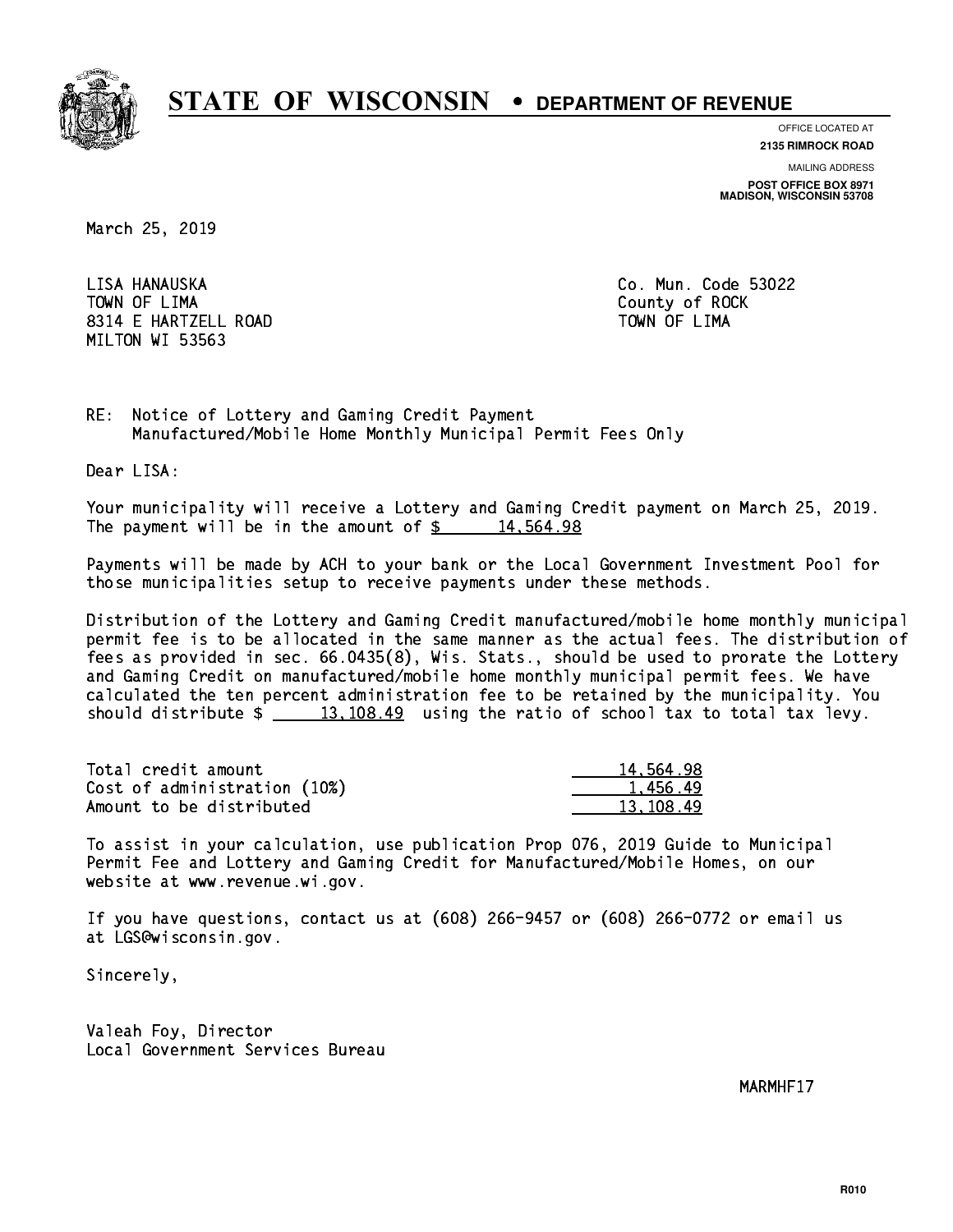

**OFFICE LOCATED AT**

**2135 RIMROCK ROAD**

**MAILING ADDRESS POST OFFICE BOX 8971 MADISON, WISCONSIN 53708**

March 25, 2019

LISA HANAUSKA TOWN OF LIMA County of ROCK 8314 E HARTZELL ROAD TOWN OF LIMA MILTON WI 53563

Co. Mun. Code 53022

RE: Notice of Lottery and Gaming Credit Payment Manufactured/Mobile Home Monthly Municipal Permit Fees Only

Dear LISA:

 Your municipality will receive a Lottery and Gaming Credit payment on March 25, 2019. The payment will be in the amount of  $\frac{2}{3}$  14,564.98

 Payments will be made by ACH to your bank or the Local Government Investment Pool for those municipalities setup to receive payments under these methods.

 Distribution of the Lottery and Gaming Credit manufactured/mobile home monthly municipal permit fee is to be allocated in the same manner as the actual fees. The distribution of fees as provided in sec. 66.0435(8), Wis. Stats., should be used to prorate the Lottery and Gaming Credit on manufactured/mobile home monthly municipal permit fees. We have calculated the ten percent administration fee to be retained by the municipality. You should distribute  $\frac{2}{13,108.49}$  using the ratio of school tax to total tax levy.

| Total credit amount          | 14,564.98 |
|------------------------------|-----------|
| Cost of administration (10%) | 1.456.49  |
| Amount to be distributed     | 13.108.49 |

 To assist in your calculation, use publication Prop 076, 2019 Guide to Municipal Permit Fee and Lottery and Gaming Credit for Manufactured/Mobile Homes, on our website at www.revenue.wi.gov.

 If you have questions, contact us at (608) 266-9457 or (608) 266-0772 or email us at LGS@wisconsin.gov.

Sincerely,

 Valeah Foy, Director Local Government Services Bureau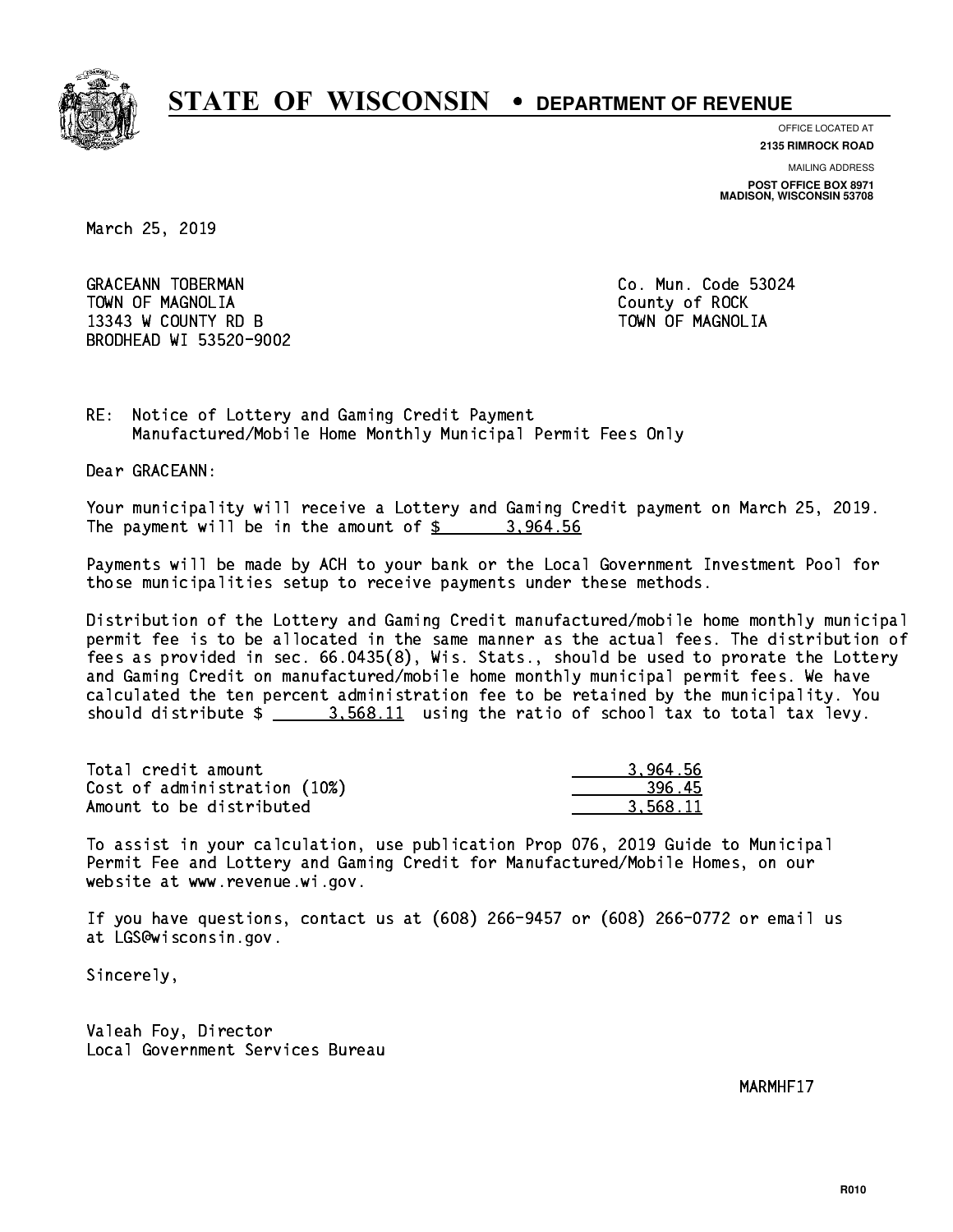

**OFFICE LOCATED AT**

**2135 RIMROCK ROAD**

**MAILING ADDRESS POST OFFICE BOX 8971 MADISON, WISCONSIN 53708**

March 25, 2019

GRACEANN TOBERMAN CONTROLLER CO. Mun. Code 53024 TOWN OF MAGNOLIA COUNTY OF ROCK 13343 W COUNTY RD B TOWN OF MAGNOLIA BRODHEAD WI 53520-9002

RE: Notice of Lottery and Gaming Credit Payment Manufactured/Mobile Home Monthly Municipal Permit Fees Only

Dear GRACEANN:

 Your municipality will receive a Lottery and Gaming Credit payment on March 25, 2019. The payment will be in the amount of  $\frac{2}{3}$  3,964.56

 Payments will be made by ACH to your bank or the Local Government Investment Pool for those municipalities setup to receive payments under these methods.

 Distribution of the Lottery and Gaming Credit manufactured/mobile home monthly municipal permit fee is to be allocated in the same manner as the actual fees. The distribution of fees as provided in sec. 66.0435(8), Wis. Stats., should be used to prorate the Lottery and Gaming Credit on manufactured/mobile home monthly municipal permit fees. We have calculated the ten percent administration fee to be retained by the municipality. You should distribute  $\frac{2}{1}$   $\frac{3.568.11}{2}$  using the ratio of school tax to total tax levy.

| Total credit amount          | 3.964.56 |
|------------------------------|----------|
| Cost of administration (10%) | 396.45   |
| Amount to be distributed     | 3.568.11 |

 To assist in your calculation, use publication Prop 076, 2019 Guide to Municipal Permit Fee and Lottery and Gaming Credit for Manufactured/Mobile Homes, on our website at www.revenue.wi.gov.

 If you have questions, contact us at (608) 266-9457 or (608) 266-0772 or email us at LGS@wisconsin.gov.

Sincerely,

 Valeah Foy, Director Local Government Services Bureau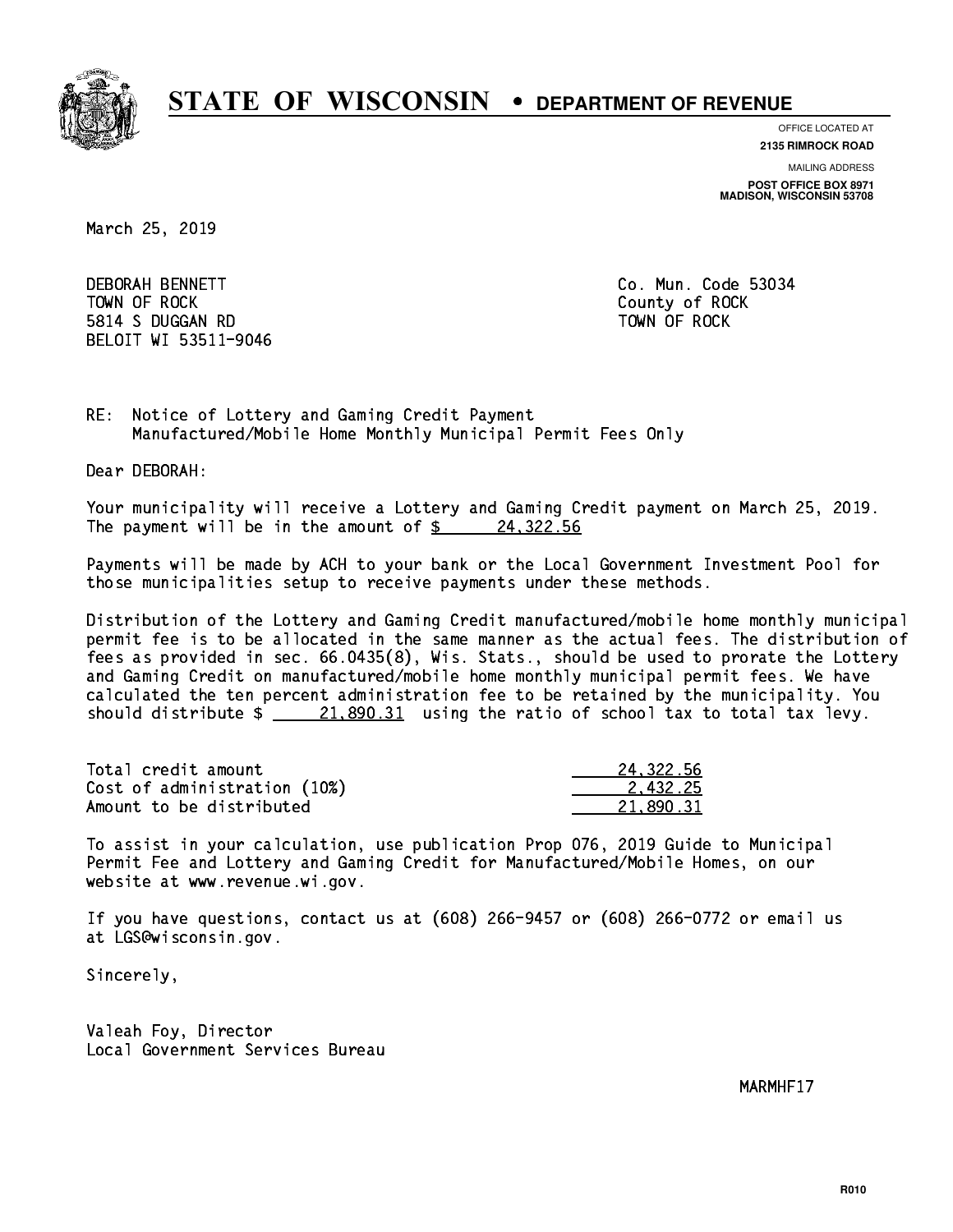

**OFFICE LOCATED AT**

**2135 RIMROCK ROAD**

**MAILING ADDRESS POST OFFICE BOX 8971 MADISON, WISCONSIN 53708**

March 25, 2019

**DEBORAH BENNETT**  TOWN OF ROCK County of ROCK 5814 S DUGGAN RD TOWN OF ROCK BELOIT WI 53511-9046

Co. Mun. Code 53034

RE: Notice of Lottery and Gaming Credit Payment Manufactured/Mobile Home Monthly Municipal Permit Fees Only

Dear DEBORAH:

 Your municipality will receive a Lottery and Gaming Credit payment on March 25, 2019. The payment will be in the amount of  $\frac{24}{322.56}$ 

 Payments will be made by ACH to your bank or the Local Government Investment Pool for those municipalities setup to receive payments under these methods.

 Distribution of the Lottery and Gaming Credit manufactured/mobile home monthly municipal permit fee is to be allocated in the same manner as the actual fees. The distribution of fees as provided in sec. 66.0435(8), Wis. Stats., should be used to prorate the Lottery and Gaming Credit on manufactured/mobile home monthly municipal permit fees. We have calculated the ten percent administration fee to be retained by the municipality. You should distribute  $\frac{21,890.31}{21,890.31}$  using the ratio of school tax to total tax levy.

| Total credit amount          | 24.322.56 |
|------------------------------|-----------|
| Cost of administration (10%) | 2.432.25  |
| Amount to be distributed     | 21.890.31 |

 To assist in your calculation, use publication Prop 076, 2019 Guide to Municipal Permit Fee and Lottery and Gaming Credit for Manufactured/Mobile Homes, on our website at www.revenue.wi.gov.

 If you have questions, contact us at (608) 266-9457 or (608) 266-0772 or email us at LGS@wisconsin.gov.

Sincerely,

 Valeah Foy, Director Local Government Services Bureau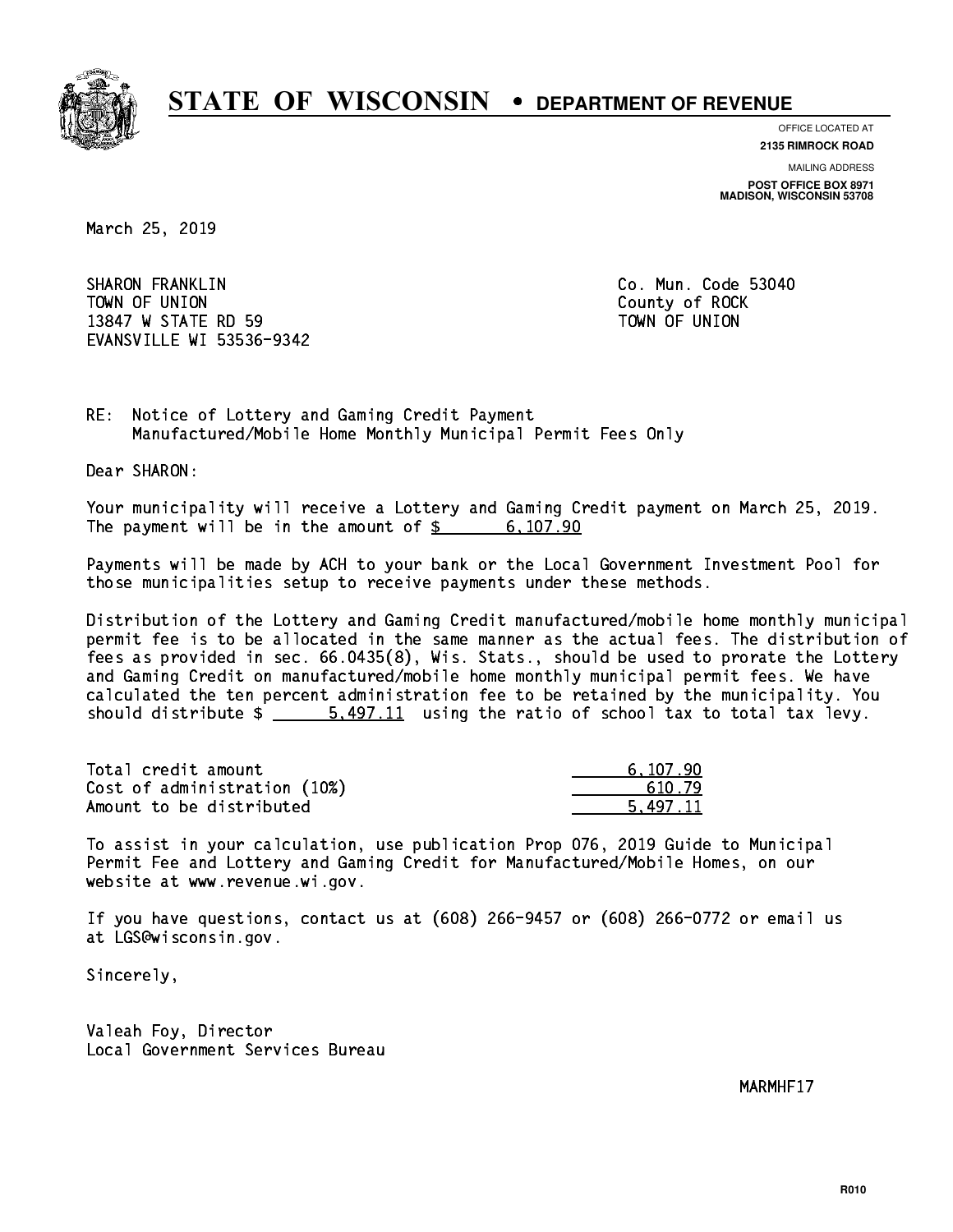

**OFFICE LOCATED AT 2135 RIMROCK ROAD**

**MAILING ADDRESS**

**POST OFFICE BOX 8971 MADISON, WISCONSIN 53708**

March 25, 2019

 SHARON FRANKLIN Co. Mun. Code 53040 TOWN OF UNION County of ROCK 13847 W STATE RD 59 TOWN OF UNION EVANSVILLE WI 53536-9342

RE: Notice of Lottery and Gaming Credit Payment Manufactured/Mobile Home Monthly Municipal Permit Fees Only

Dear SHARON:

 Your municipality will receive a Lottery and Gaming Credit payment on March 25, 2019. The payment will be in the amount of \$ 6,107.90 \_\_\_\_\_\_\_\_\_\_\_\_\_\_\_\_

 Payments will be made by ACH to your bank or the Local Government Investment Pool for those municipalities setup to receive payments under these methods.

 Distribution of the Lottery and Gaming Credit manufactured/mobile home monthly municipal permit fee is to be allocated in the same manner as the actual fees. The distribution of fees as provided in sec. 66.0435(8), Wis. Stats., should be used to prorate the Lottery and Gaming Credit on manufactured/mobile home monthly municipal permit fees. We have calculated the ten percent administration fee to be retained by the municipality. You should distribute  $\frac{2}{1}$  5,497.11 using the ratio of school tax to total tax levy.

| Total credit amount          | 6,107.90 |
|------------------------------|----------|
| Cost of administration (10%) | 610.79   |
| Amount to be distributed     | 5.497.11 |

 To assist in your calculation, use publication Prop 076, 2019 Guide to Municipal Permit Fee and Lottery and Gaming Credit for Manufactured/Mobile Homes, on our website at www.revenue.wi.gov.

 If you have questions, contact us at (608) 266-9457 or (608) 266-0772 or email us at LGS@wisconsin.gov.

Sincerely,

 Valeah Foy, Director Local Government Services Bureau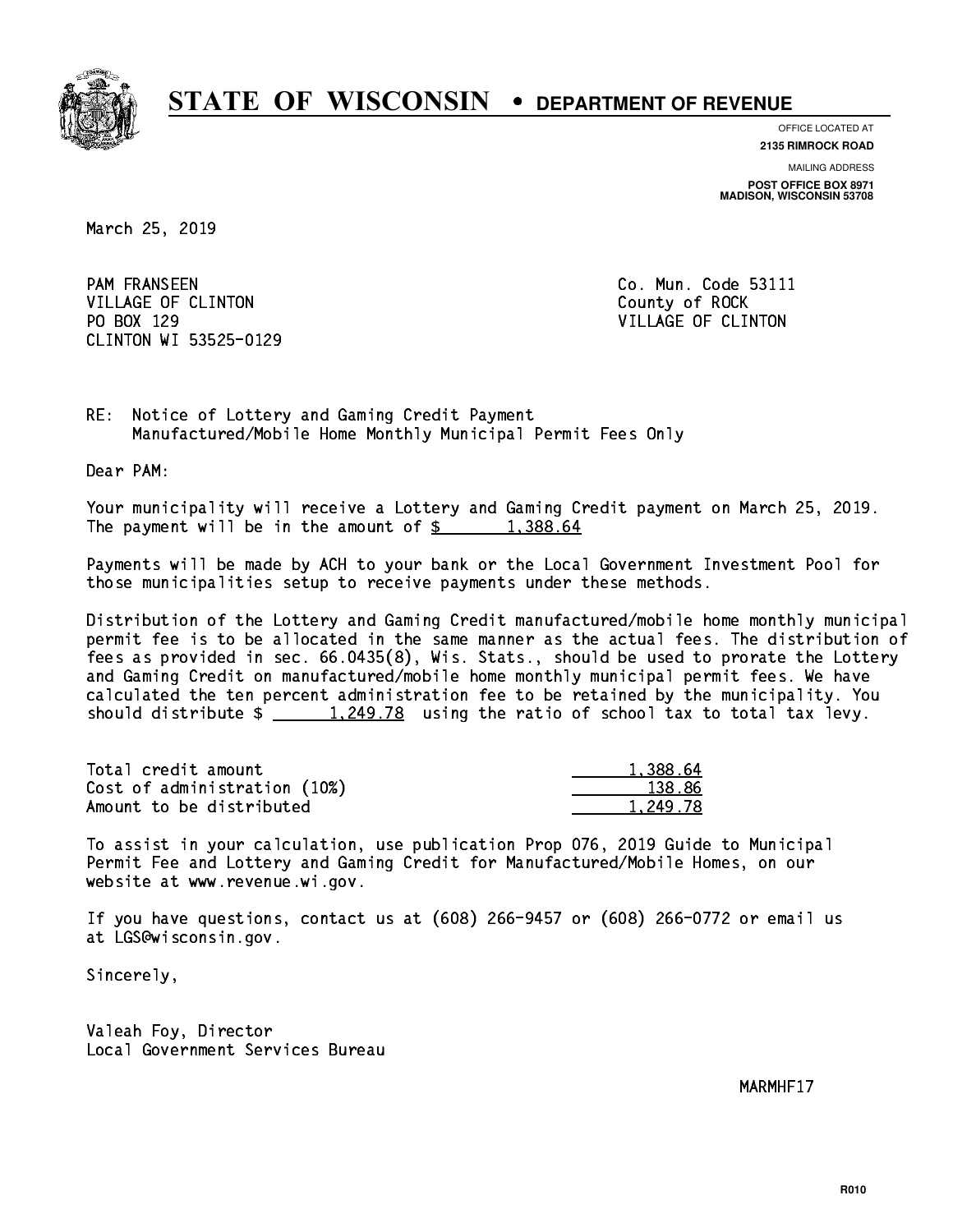

**OFFICE LOCATED AT**

**2135 RIMROCK ROAD**

**MAILING ADDRESS POST OFFICE BOX 8971 MADISON, WISCONSIN 53708**

March 25, 2019

**PAM FRANSEEN** VILLAGE OF CLINTON COUNTY OF ROCK PO BOX 129 VILLAGE OF CLINTON CLINTON WI 53525-0129

Co. Mun. Code 53111

RE: Notice of Lottery and Gaming Credit Payment Manufactured/Mobile Home Monthly Municipal Permit Fees Only

Dear PAM:

 Your municipality will receive a Lottery and Gaming Credit payment on March 25, 2019. The payment will be in the amount of  $\frac{2}{3}$  1,388.64

 Payments will be made by ACH to your bank or the Local Government Investment Pool for those municipalities setup to receive payments under these methods.

 Distribution of the Lottery and Gaming Credit manufactured/mobile home monthly municipal permit fee is to be allocated in the same manner as the actual fees. The distribution of fees as provided in sec. 66.0435(8), Wis. Stats., should be used to prorate the Lottery and Gaming Credit on manufactured/mobile home monthly municipal permit fees. We have calculated the ten percent administration fee to be retained by the municipality. You should distribute  $\frac{1,249.78}{1,249.78}$  using the ratio of school tax to total tax levy.

| Total credit amount          | 1,388.64 |
|------------------------------|----------|
| Cost of administration (10%) | 138.86   |
| Amount to be distributed     | 1.249.78 |

 To assist in your calculation, use publication Prop 076, 2019 Guide to Municipal Permit Fee and Lottery and Gaming Credit for Manufactured/Mobile Homes, on our website at www.revenue.wi.gov.

 If you have questions, contact us at (608) 266-9457 or (608) 266-0772 or email us at LGS@wisconsin.gov.

Sincerely,

 Valeah Foy, Director Local Government Services Bureau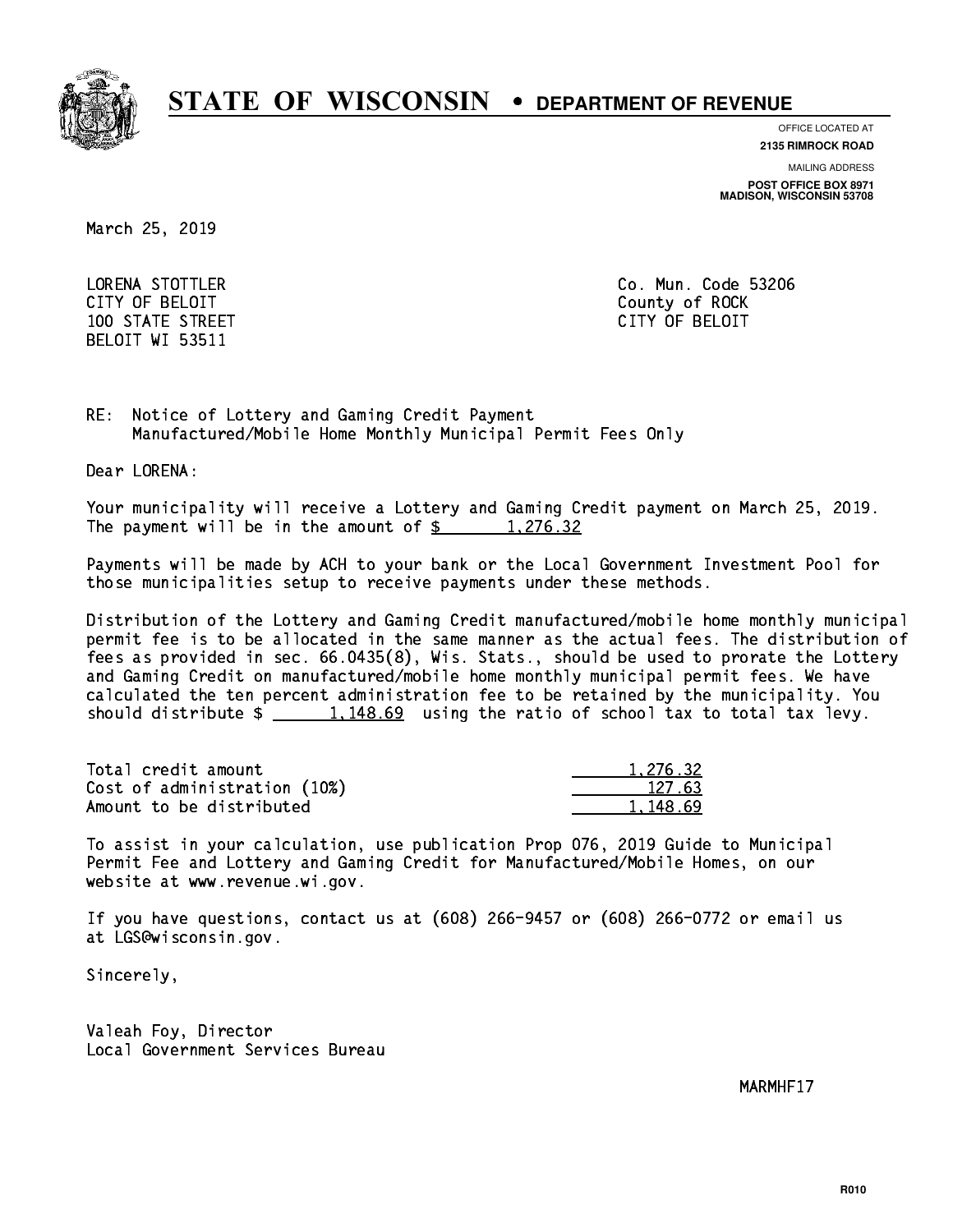

**OFFICE LOCATED AT 2135 RIMROCK ROAD**

**MAILING ADDRESS**

**POST OFFICE BOX 8971 MADISON, WISCONSIN 53708**

March 25, 2019

 LORENA STOTTLER Co. Mun. Code 53206 CITY OF BELOIT County of ROCK 100 STATE STREET CITY OF BELOIT BELOIT WI 53511

RE: Notice of Lottery and Gaming Credit Payment Manufactured/Mobile Home Monthly Municipal Permit Fees Only

Dear LORENA:

 Your municipality will receive a Lottery and Gaming Credit payment on March 25, 2019. The payment will be in the amount of  $\frac{2}{3}$  1,276.32

 Payments will be made by ACH to your bank or the Local Government Investment Pool for those municipalities setup to receive payments under these methods.

 Distribution of the Lottery and Gaming Credit manufactured/mobile home monthly municipal permit fee is to be allocated in the same manner as the actual fees. The distribution of fees as provided in sec. 66.0435(8), Wis. Stats., should be used to prorate the Lottery and Gaming Credit on manufactured/mobile home monthly municipal permit fees. We have calculated the ten percent administration fee to be retained by the municipality. You should distribute  $\frac{1,148.69}{1,148.69}$  using the ratio of school tax to total tax levy.

| Total credit amount          | 1.276.32 |
|------------------------------|----------|
| Cost of administration (10%) | 127.63   |
| Amount to be distributed     | 1.148.69 |

 To assist in your calculation, use publication Prop 076, 2019 Guide to Municipal Permit Fee and Lottery and Gaming Credit for Manufactured/Mobile Homes, on our website at www.revenue.wi.gov.

 If you have questions, contact us at (608) 266-9457 or (608) 266-0772 or email us at LGS@wisconsin.gov.

Sincerely,

 Valeah Foy, Director Local Government Services Bureau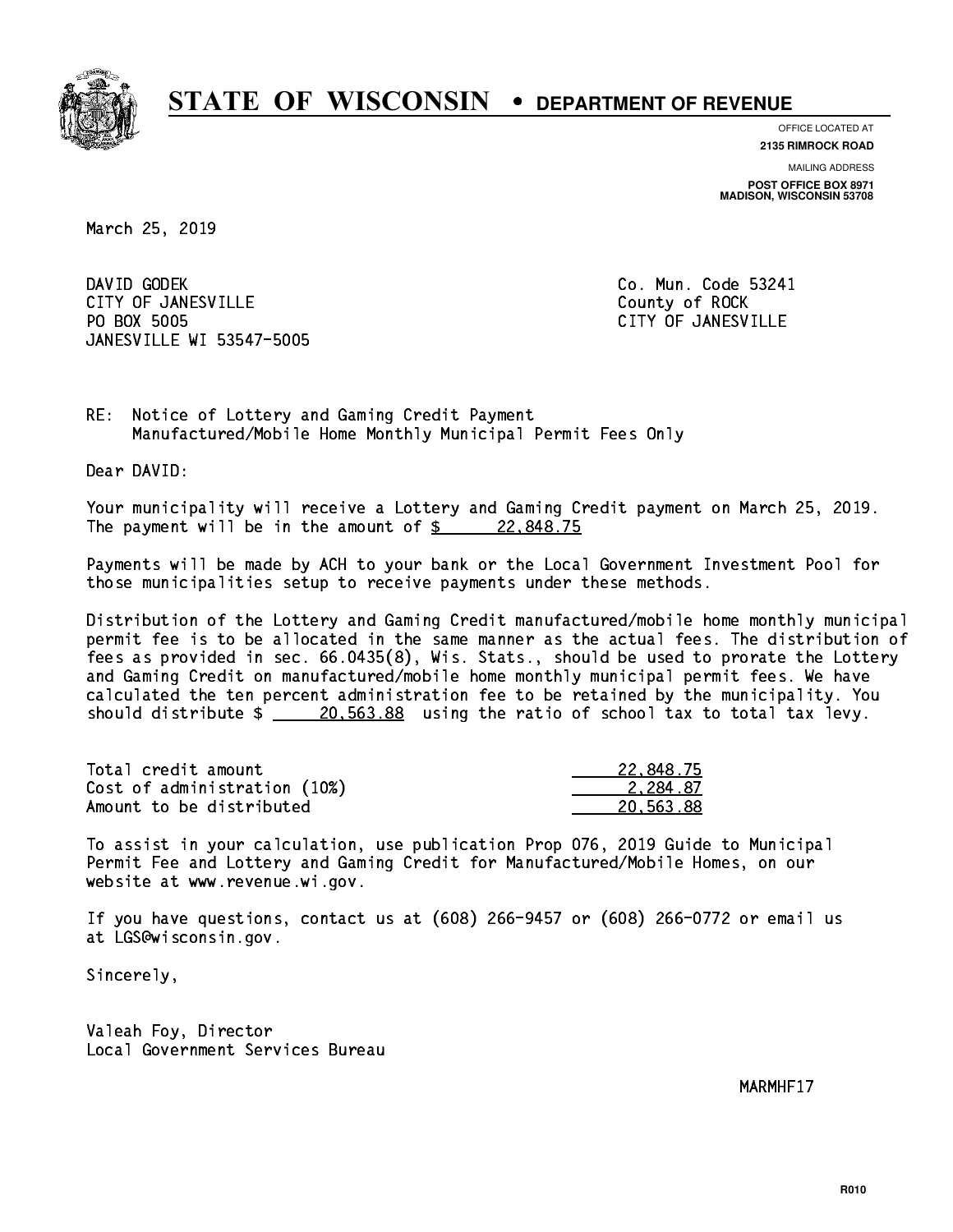

**OFFICE LOCATED AT**

**2135 RIMROCK ROAD**

**MAILING ADDRESS POST OFFICE BOX 8971 MADISON, WISCONSIN 53708**

March 25, 2019

DAVID GODEK CITY OF JANESVILLE **COUNTY COUNTY OF ROCK** PO BOX 5005 JANESVILLE WI 53547-5005

Co. Mun. Code 53241 CITY OF JANESVILLE

RE: Notice of Lottery and Gaming Credit Payment Manufactured/Mobile Home Monthly Municipal Permit Fees Only

Dear DAVID:

 Your municipality will receive a Lottery and Gaming Credit payment on March 25, 2019. The payment will be in the amount of  $\frac{22.848.75}{5}$ 

 Payments will be made by ACH to your bank or the Local Government Investment Pool for those municipalities setup to receive payments under these methods.

 Distribution of the Lottery and Gaming Credit manufactured/mobile home monthly municipal permit fee is to be allocated in the same manner as the actual fees. The distribution of fees as provided in sec. 66.0435(8), Wis. Stats., should be used to prorate the Lottery and Gaming Credit on manufactured/mobile home monthly municipal permit fees. We have calculated the ten percent administration fee to be retained by the municipality. You should distribute  $\frac{20.563.88}{20.563.88}$  using the ratio of school tax to total tax levy.

| Total credit amount          | 22,848.75 |
|------------------------------|-----------|
| Cost of administration (10%) | 2.284.87  |
| Amount to be distributed     | 20.563.88 |

 To assist in your calculation, use publication Prop 076, 2019 Guide to Municipal Permit Fee and Lottery and Gaming Credit for Manufactured/Mobile Homes, on our website at www.revenue.wi.gov.

 If you have questions, contact us at (608) 266-9457 or (608) 266-0772 or email us at LGS@wisconsin.gov.

Sincerely,

 Valeah Foy, Director Local Government Services Bureau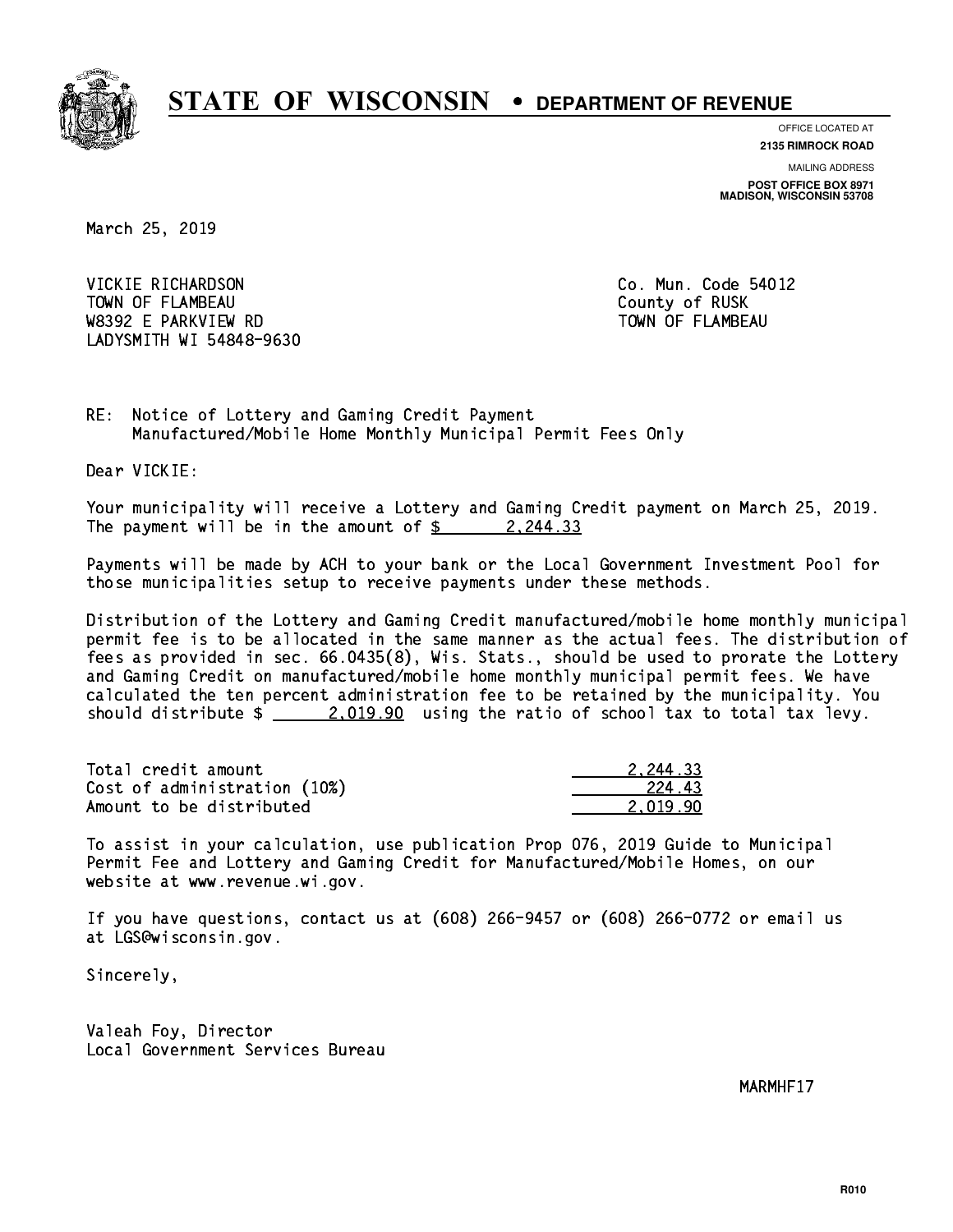

**OFFICE LOCATED AT**

**2135 RIMROCK ROAD**

**MAILING ADDRESS POST OFFICE BOX 8971 MADISON, WISCONSIN 53708**

March 25, 2019

 VICKIE RICHARDSON Co. Mun. Code 54012 TOWN OF FLAMBEAU COUNTY OF RUSK W8392 E PARKVIEW RD TOWN OF FLAMBEAU LADYSMITH WI 54848-9630

RE: Notice of Lottery and Gaming Credit Payment Manufactured/Mobile Home Monthly Municipal Permit Fees Only

Dear VICKIE:

 Your municipality will receive a Lottery and Gaming Credit payment on March 25, 2019. The payment will be in the amount of  $\frac{2}{3}$  2,244.33

 Payments will be made by ACH to your bank or the Local Government Investment Pool for those municipalities setup to receive payments under these methods.

 Distribution of the Lottery and Gaming Credit manufactured/mobile home monthly municipal permit fee is to be allocated in the same manner as the actual fees. The distribution of fees as provided in sec. 66.0435(8), Wis. Stats., should be used to prorate the Lottery and Gaming Credit on manufactured/mobile home monthly municipal permit fees. We have calculated the ten percent administration fee to be retained by the municipality. You should distribute  $\frac{2.019.90}{2.019.90}$  using the ratio of school tax to total tax levy.

| Total credit amount          | 2.244.33 |
|------------------------------|----------|
| Cost of administration (10%) | 224.43   |
| Amount to be distributed     | 2.019.90 |

 To assist in your calculation, use publication Prop 076, 2019 Guide to Municipal Permit Fee and Lottery and Gaming Credit for Manufactured/Mobile Homes, on our website at www.revenue.wi.gov.

 If you have questions, contact us at (608) 266-9457 or (608) 266-0772 or email us at LGS@wisconsin.gov.

Sincerely,

 Valeah Foy, Director Local Government Services Bureau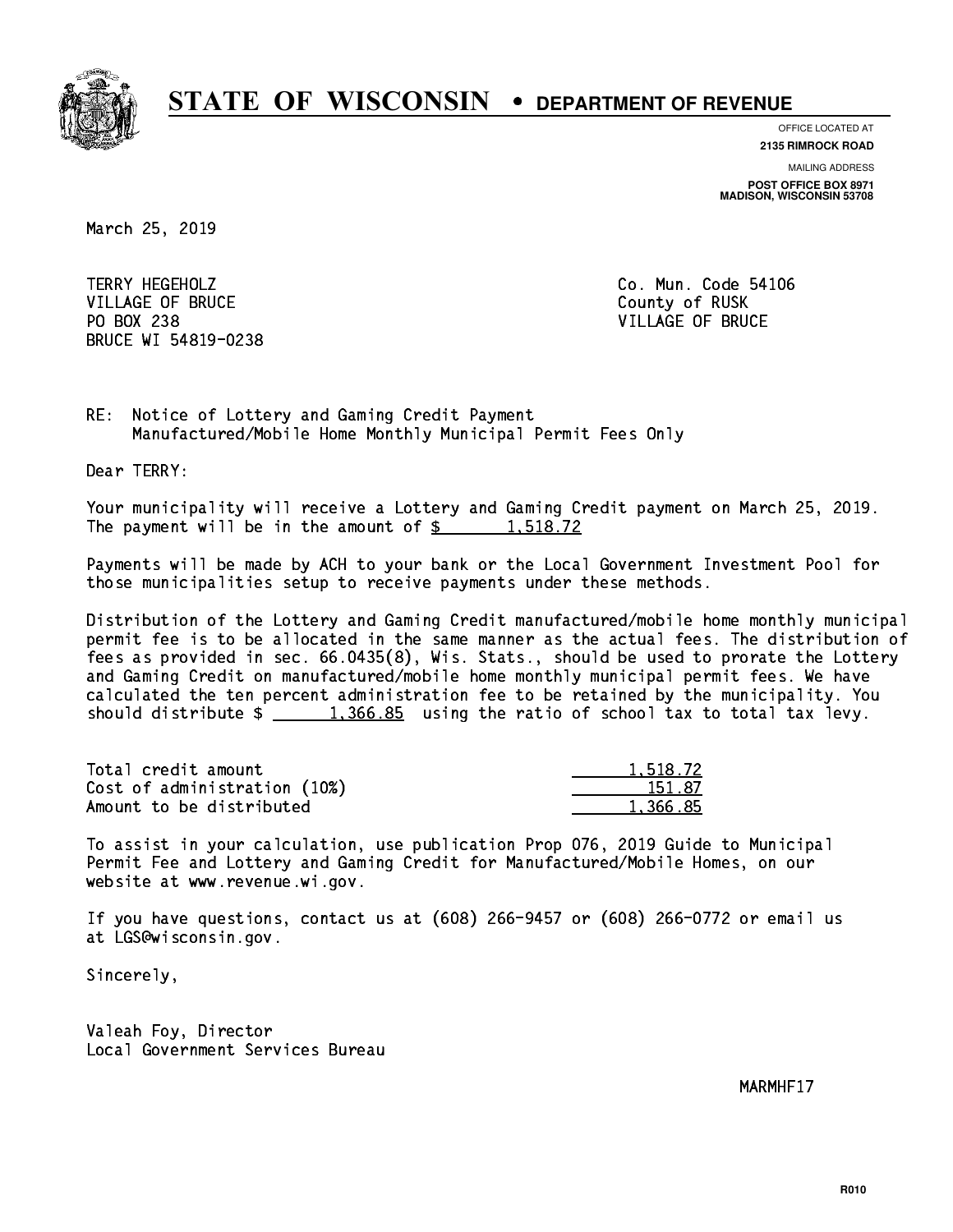

**OFFICE LOCATED AT**

**2135 RIMROCK ROAD**

**MAILING ADDRESS POST OFFICE BOX 8971 MADISON, WISCONSIN 53708**

March 25, 2019

TERRY HEGEHOLZ VILLAGE OF BRUCE COUNTY OF RUSK PO BOX 238 VILLAGE OF BRUCE BRUCE WI 54819-0238

Co. Mun. Code 54106

RE: Notice of Lottery and Gaming Credit Payment Manufactured/Mobile Home Monthly Municipal Permit Fees Only

Dear TERRY:

 Your municipality will receive a Lottery and Gaming Credit payment on March 25, 2019. The payment will be in the amount of  $\frac{2}{3}$  1,518.72

 Payments will be made by ACH to your bank or the Local Government Investment Pool for those municipalities setup to receive payments under these methods.

 Distribution of the Lottery and Gaming Credit manufactured/mobile home monthly municipal permit fee is to be allocated in the same manner as the actual fees. The distribution of fees as provided in sec. 66.0435(8), Wis. Stats., should be used to prorate the Lottery and Gaming Credit on manufactured/mobile home monthly municipal permit fees. We have calculated the ten percent administration fee to be retained by the municipality. You should distribute  $\frac{1,366.85}{1,366.85}$  using the ratio of school tax to total tax levy.

| Total credit amount          | 1,518.72 |
|------------------------------|----------|
| Cost of administration (10%) | 151.87   |
| Amount to be distributed     | 1,366.85 |

 To assist in your calculation, use publication Prop 076, 2019 Guide to Municipal Permit Fee and Lottery and Gaming Credit for Manufactured/Mobile Homes, on our website at www.revenue.wi.gov.

 If you have questions, contact us at (608) 266-9457 or (608) 266-0772 or email us at LGS@wisconsin.gov.

Sincerely,

 Valeah Foy, Director Local Government Services Bureau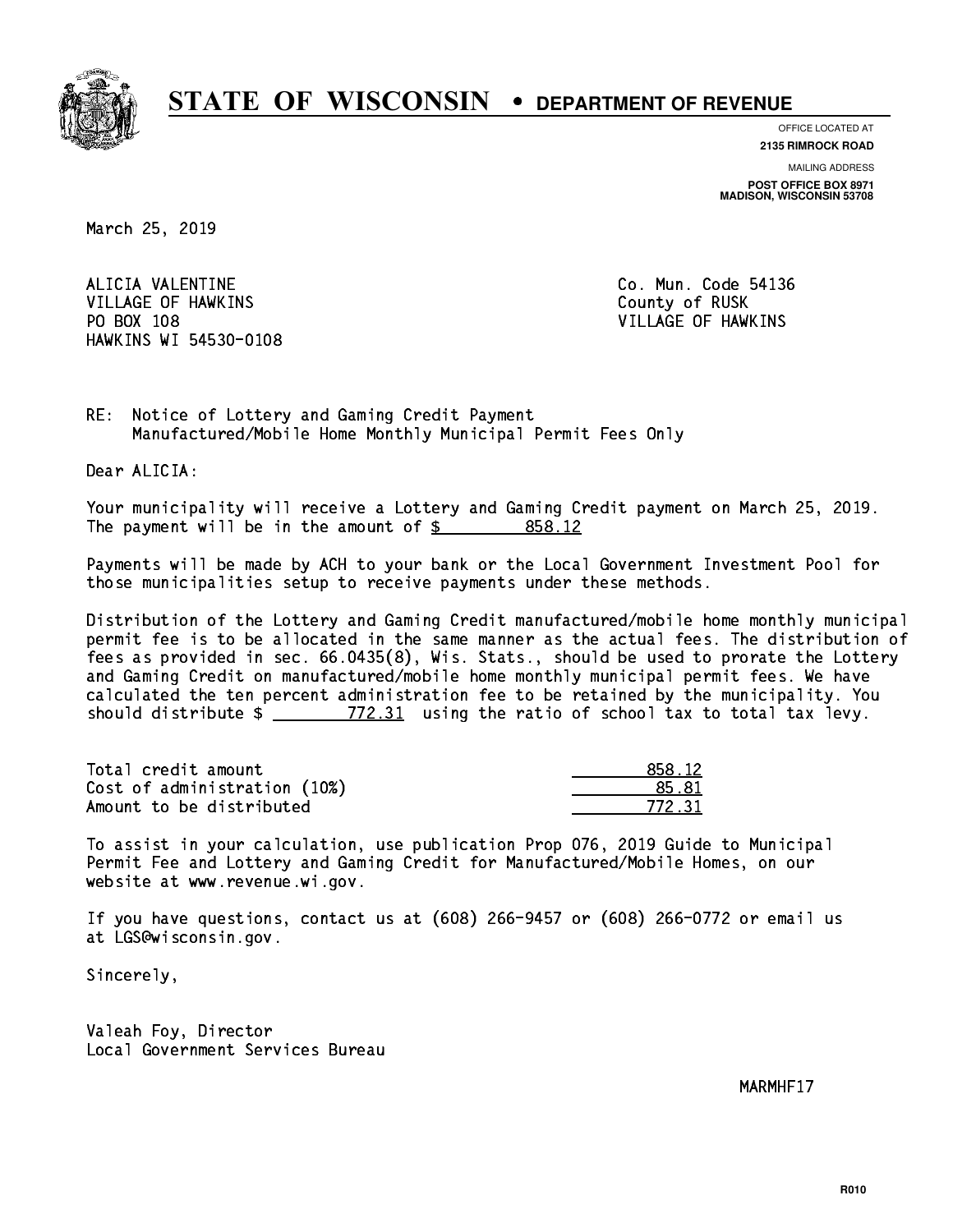

**OFFICE LOCATED AT**

**2135 RIMROCK ROAD**

**MAILING ADDRESS POST OFFICE BOX 8971 MADISON, WISCONSIN 53708**

March 25, 2019

 ALICIA VALENTINE Co. Mun. Code 54136 VILLAGE OF HAWKINS COUNTY OF RUSK PO BOX 108 VILLAGE OF HAWKINS HAWKINS WI 54530-0108

RE: Notice of Lottery and Gaming Credit Payment Manufactured/Mobile Home Monthly Municipal Permit Fees Only

Dear ALICIA:

 Your municipality will receive a Lottery and Gaming Credit payment on March 25, 2019. The payment will be in the amount of \$ 858.12 \_\_\_\_\_\_\_\_\_\_\_\_\_\_\_\_

 Payments will be made by ACH to your bank or the Local Government Investment Pool for those municipalities setup to receive payments under these methods.

 Distribution of the Lottery and Gaming Credit manufactured/mobile home monthly municipal permit fee is to be allocated in the same manner as the actual fees. The distribution of fees as provided in sec. 66.0435(8), Wis. Stats., should be used to prorate the Lottery and Gaming Credit on manufactured/mobile home monthly municipal permit fees. We have calculated the ten percent administration fee to be retained by the municipality. You should distribute  $\frac{2}{2}$   $\frac{772.31}{2}$  using the ratio of school tax to total tax levy.

Total credit amount Cost of administration (10%) Amount to be distributed

| $\blacksquare$ 12 |
|-------------------|
| 81                |
| 772 21            |

 To assist in your calculation, use publication Prop 076, 2019 Guide to Municipal Permit Fee and Lottery and Gaming Credit for Manufactured/Mobile Homes, on our website at www.revenue.wi.gov.

 If you have questions, contact us at (608) 266-9457 or (608) 266-0772 or email us at LGS@wisconsin.gov.

Sincerely,

 Valeah Foy, Director Local Government Services Bureau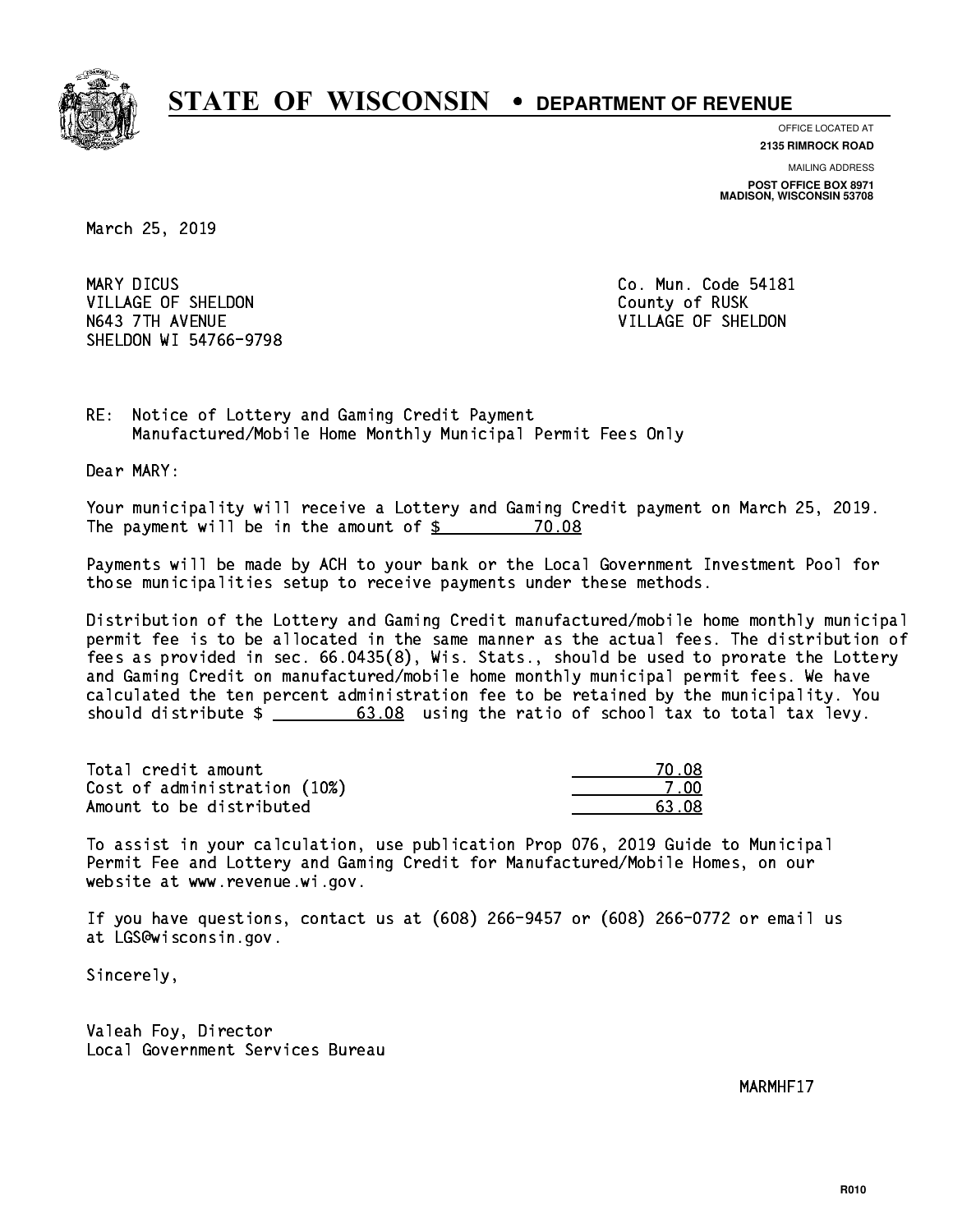

**OFFICE LOCATED AT**

**2135 RIMROCK ROAD**

**MAILING ADDRESS POST OFFICE BOX 8971 MADISON, WISCONSIN 53708**

March 25, 2019

MARY DICUS VILLAGE OF SHELDON COUNTY OF RUSK N643 7TH AVENUE VILLAGE OF SHELDON SHELDON WI 54766-9798

Co. Mun. Code 54181

RE: Notice of Lottery and Gaming Credit Payment Manufactured/Mobile Home Monthly Municipal Permit Fees Only

Dear MARY:

 Your municipality will receive a Lottery and Gaming Credit payment on March 25, 2019. The payment will be in the amount of  $$ 70.08$ 

 Payments will be made by ACH to your bank or the Local Government Investment Pool for those municipalities setup to receive payments under these methods.

 Distribution of the Lottery and Gaming Credit manufactured/mobile home monthly municipal permit fee is to be allocated in the same manner as the actual fees. The distribution of fees as provided in sec. 66.0435(8), Wis. Stats., should be used to prorate the Lottery and Gaming Credit on manufactured/mobile home monthly municipal permit fees. We have calculated the ten percent administration fee to be retained by the municipality. You should distribute  $\frac{2}{1}$   $\frac{63.08}{63.08}$  using the ratio of school tax to total tax levy.

Total credit amount 70.08 Cost of administration (10%) 7.00 \_\_\_\_\_\_\_\_\_\_\_\_\_\_ Amount to be distributed **63.08**  $\overline{63.08}$ 

 To assist in your calculation, use publication Prop 076, 2019 Guide to Municipal Permit Fee and Lottery and Gaming Credit for Manufactured/Mobile Homes, on our website at www.revenue.wi.gov.

 If you have questions, contact us at (608) 266-9457 or (608) 266-0772 or email us at LGS@wisconsin.gov.

Sincerely,

 Valeah Foy, Director Local Government Services Bureau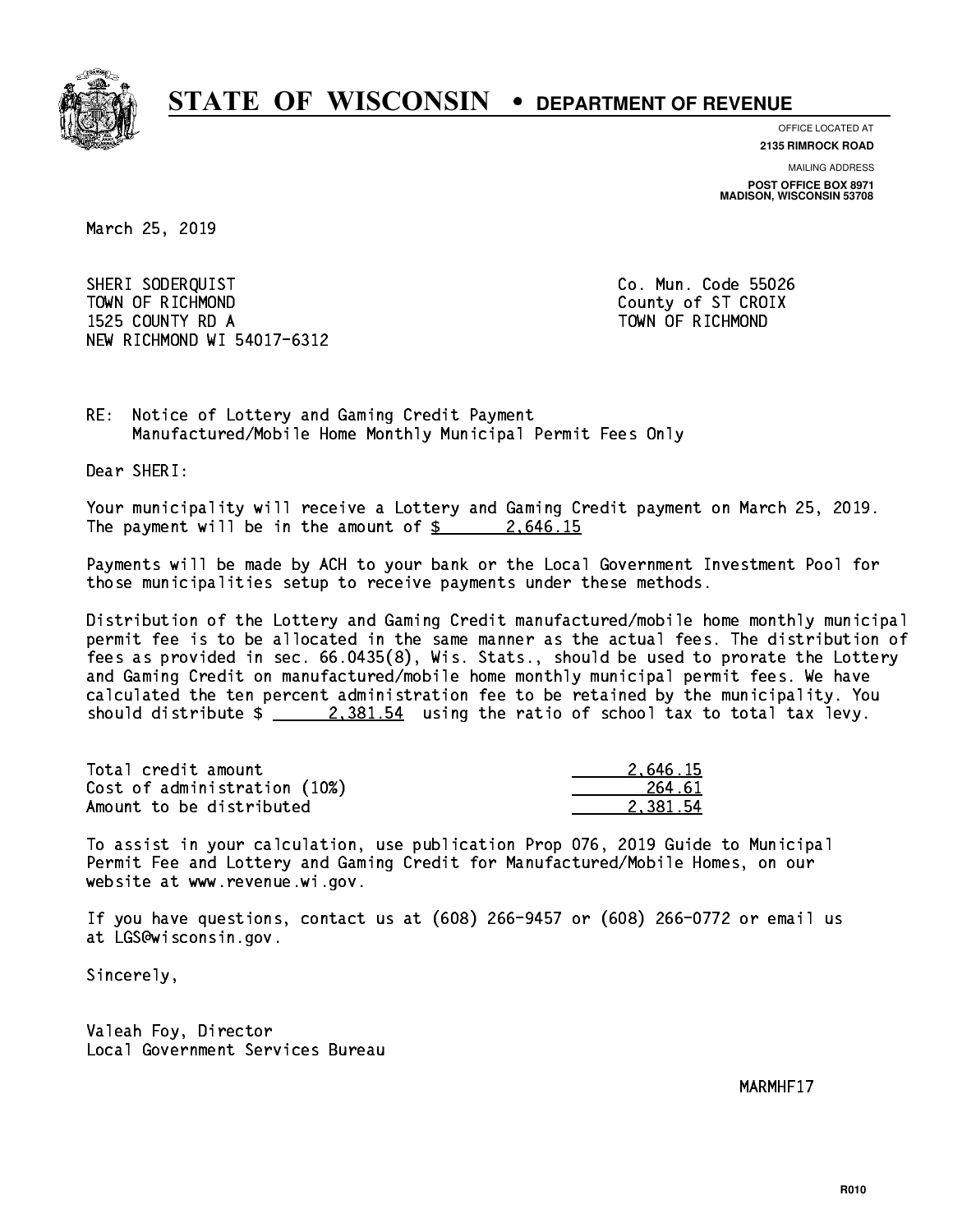

**OFFICE LOCATED AT**

**2135 RIMROCK ROAD**

**MAILING ADDRESS POST OFFICE BOX 8971 MADISON, WISCONSIN 53708**

March 25, 2019

 SHERI SODERQUIST Co. Mun. Code 55026 TOWN OF RICHMOND COUNTY COUNTY OF ST CROIX 1525 COUNTY RD A TOWN OF RICHMOND NEW RICHMOND WI 54017-6312

RE: Notice of Lottery and Gaming Credit Payment Manufactured/Mobile Home Monthly Municipal Permit Fees Only

Dear SHERI:

 Your municipality will receive a Lottery and Gaming Credit payment on March 25, 2019. The payment will be in the amount of  $\frac{2.646.15}{2.25}$ 

 Payments will be made by ACH to your bank or the Local Government Investment Pool for those municipalities setup to receive payments under these methods.

 Distribution of the Lottery and Gaming Credit manufactured/mobile home monthly municipal permit fee is to be allocated in the same manner as the actual fees. The distribution of fees as provided in sec. 66.0435(8), Wis. Stats., should be used to prorate the Lottery and Gaming Credit on manufactured/mobile home monthly municipal permit fees. We have calculated the ten percent administration fee to be retained by the municipality. You should distribute  $\frac{2,381.54}{2}$  using the ratio of school tax to total tax levy.

| Total credit amount          | 2.646.15 |
|------------------------------|----------|
| Cost of administration (10%) | 264.61   |
| Amount to be distributed     | 2.381.54 |

 To assist in your calculation, use publication Prop 076, 2019 Guide to Municipal Permit Fee and Lottery and Gaming Credit for Manufactured/Mobile Homes, on our website at www.revenue.wi.gov.

 If you have questions, contact us at (608) 266-9457 or (608) 266-0772 or email us at LGS@wisconsin.gov.

Sincerely,

 Valeah Foy, Director Local Government Services Bureau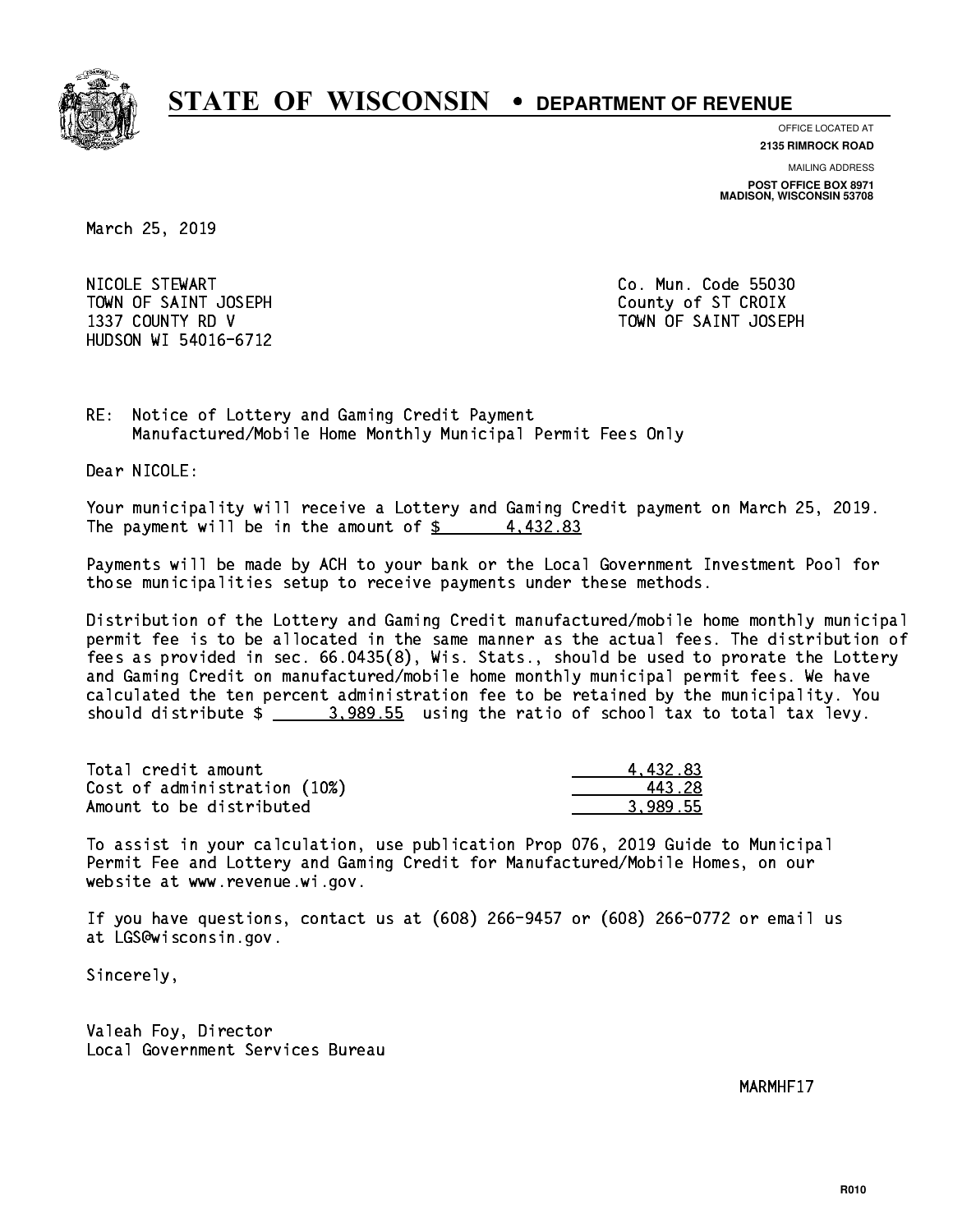

**OFFICE LOCATED AT**

**2135 RIMROCK ROAD**

**MAILING ADDRESS**

**POST OFFICE BOX 8971 MADISON, WISCONSIN 53708**

March 25, 2019

 NICOLE STEWART Co. Mun. Code 55030 TOWN OF SAINT JOSEPH COUNTY OF STICROIX HUDSON WI 54016-6712

1337 COUNTY RD V TOWN OF SAINT JOSEPH

RE: Notice of Lottery and Gaming Credit Payment Manufactured/Mobile Home Monthly Municipal Permit Fees Only

Dear NICOLE:

 Your municipality will receive a Lottery and Gaming Credit payment on March 25, 2019. The payment will be in the amount of  $\frac{2}{3}$  4,432.83

 Payments will be made by ACH to your bank or the Local Government Investment Pool for those municipalities setup to receive payments under these methods.

 Distribution of the Lottery and Gaming Credit manufactured/mobile home monthly municipal permit fee is to be allocated in the same manner as the actual fees. The distribution of fees as provided in sec. 66.0435(8), Wis. Stats., should be used to prorate the Lottery and Gaming Credit on manufactured/mobile home monthly municipal permit fees. We have calculated the ten percent administration fee to be retained by the municipality. You should distribute  $\frac{2}{2}$   $\frac{3.989.55}{2}$  using the ratio of school tax to total tax levy.

| Total credit amount          | 4.432.83 |
|------------------------------|----------|
| Cost of administration (10%) | 443.28   |
| Amount to be distributed     | 3.989.55 |

 To assist in your calculation, use publication Prop 076, 2019 Guide to Municipal Permit Fee and Lottery and Gaming Credit for Manufactured/Mobile Homes, on our website at www.revenue.wi.gov.

 If you have questions, contact us at (608) 266-9457 or (608) 266-0772 or email us at LGS@wisconsin.gov.

Sincerely,

 Valeah Foy, Director Local Government Services Bureau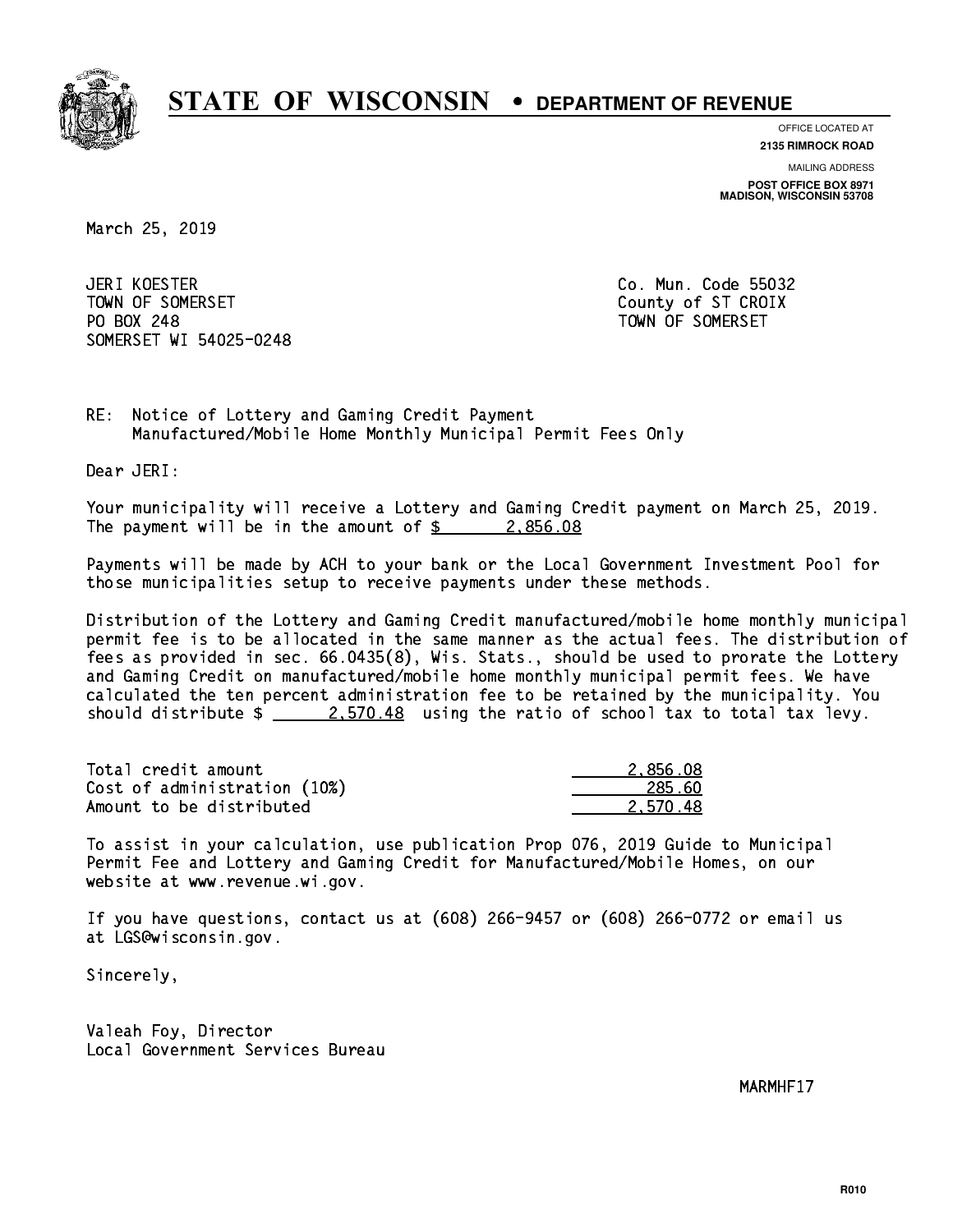

**OFFICE LOCATED AT**

**2135 RIMROCK ROAD**

**MAILING ADDRESS POST OFFICE BOX 8971 MADISON, WISCONSIN 53708**

March 25, 2019

JERI KOESTER TOWN OF SOMERSET COUNTY OF STATES COUNTY OF STATES OF STATES OF STATES OF STATES OF STATES OF STATES OF STATES PO BOX 248 PO BOX 248 TOWN OF SOMERSET SOMERSET WI 54025-0248

Co. Mun. Code 55032

RE: Notice of Lottery and Gaming Credit Payment Manufactured/Mobile Home Monthly Municipal Permit Fees Only

Dear JERI:

 Your municipality will receive a Lottery and Gaming Credit payment on March 25, 2019. The payment will be in the amount of  $\frac{2.856.08}{2.856.08}$ 

 Payments will be made by ACH to your bank or the Local Government Investment Pool for those municipalities setup to receive payments under these methods.

 Distribution of the Lottery and Gaming Credit manufactured/mobile home monthly municipal permit fee is to be allocated in the same manner as the actual fees. The distribution of fees as provided in sec. 66.0435(8), Wis. Stats., should be used to prorate the Lottery and Gaming Credit on manufactured/mobile home monthly municipal permit fees. We have calculated the ten percent administration fee to be retained by the municipality. You should distribute  $\frac{2.570.48}{2.570.48}$  using the ratio of school tax to total tax levy.

| Total credit amount          | 2.856.08 |
|------------------------------|----------|
| Cost of administration (10%) | 285.60   |
| Amount to be distributed     | 2.570.48 |

 To assist in your calculation, use publication Prop 076, 2019 Guide to Municipal Permit Fee and Lottery and Gaming Credit for Manufactured/Mobile Homes, on our website at www.revenue.wi.gov.

 If you have questions, contact us at (608) 266-9457 or (608) 266-0772 or email us at LGS@wisconsin.gov.

Sincerely,

 Valeah Foy, Director Local Government Services Bureau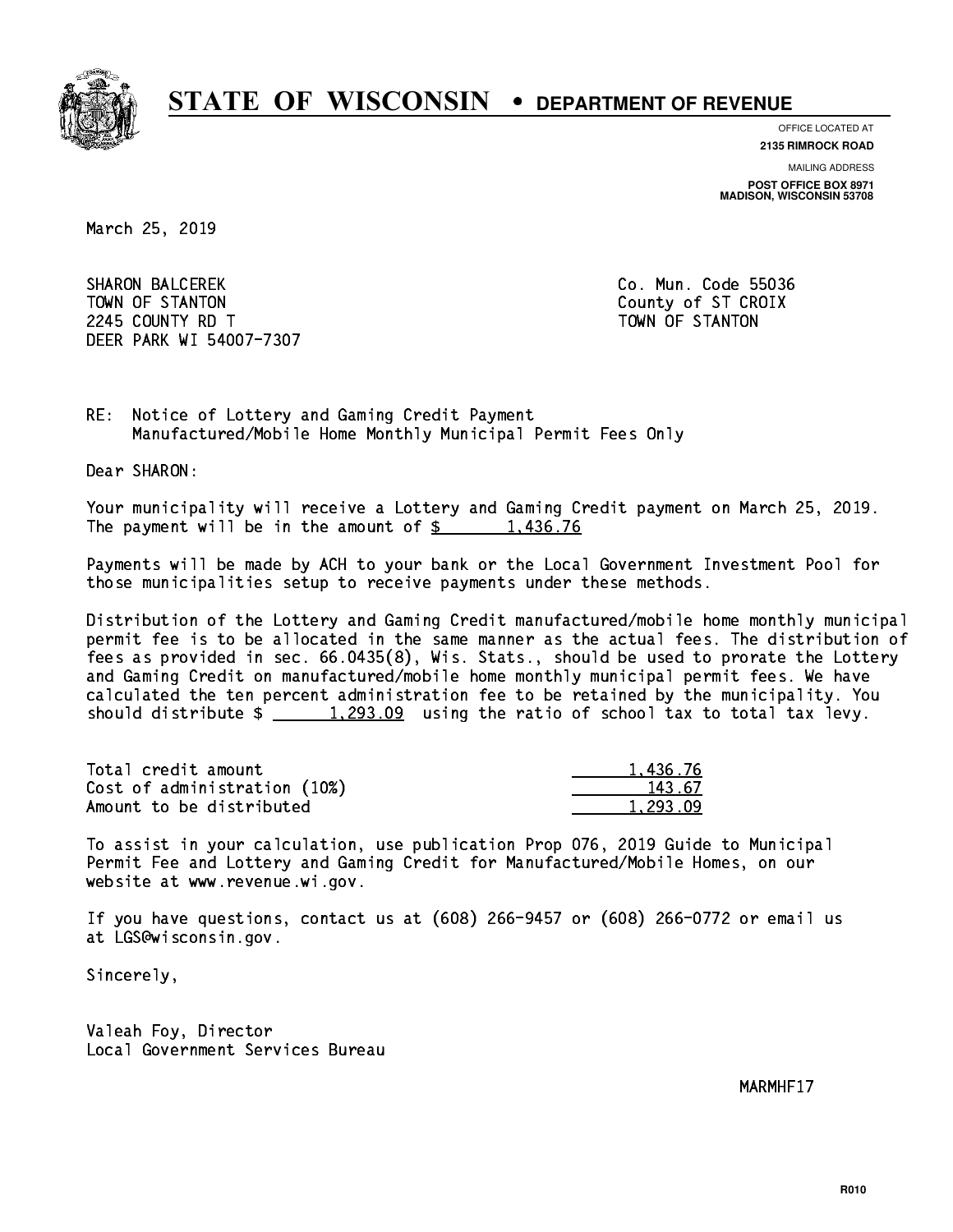

**OFFICE LOCATED AT**

**2135 RIMROCK ROAD**

**MAILING ADDRESS POST OFFICE BOX 8971 MADISON, WISCONSIN 53708**

March 25, 2019

 SHARON BALCEREK Co. Mun. Code 55036 TOWN OF STANTON COUNTY OF STANTON 224 COUNTY RD T TOWN OF STANDARD COUNTY ROLL AND STRUCTURE OF STANDARD COUNTY AND ALL COUNTY OF STANDARD COUNTY. DEER PARK WI 54007-7307

RE: Notice of Lottery and Gaming Credit Payment Manufactured/Mobile Home Monthly Municipal Permit Fees Only

Dear SHARON:

 Your municipality will receive a Lottery and Gaming Credit payment on March 25, 2019. The payment will be in the amount of  $\frac{2}{3}$  1,436.76

 Payments will be made by ACH to your bank or the Local Government Investment Pool for those municipalities setup to receive payments under these methods.

 Distribution of the Lottery and Gaming Credit manufactured/mobile home monthly municipal permit fee is to be allocated in the same manner as the actual fees. The distribution of fees as provided in sec. 66.0435(8), Wis. Stats., should be used to prorate the Lottery and Gaming Credit on manufactured/mobile home monthly municipal permit fees. We have calculated the ten percent administration fee to be retained by the municipality. You should distribute  $\frac{1}{293.09}$  using the ratio of school tax to total tax levy.

| Total credit amount          | 1.436.76 |
|------------------------------|----------|
| Cost of administration (10%) | 143.67   |
| Amount to be distributed     | 1,293.09 |

 To assist in your calculation, use publication Prop 076, 2019 Guide to Municipal Permit Fee and Lottery and Gaming Credit for Manufactured/Mobile Homes, on our website at www.revenue.wi.gov.

 If you have questions, contact us at (608) 266-9457 or (608) 266-0772 or email us at LGS@wisconsin.gov.

Sincerely,

 Valeah Foy, Director Local Government Services Bureau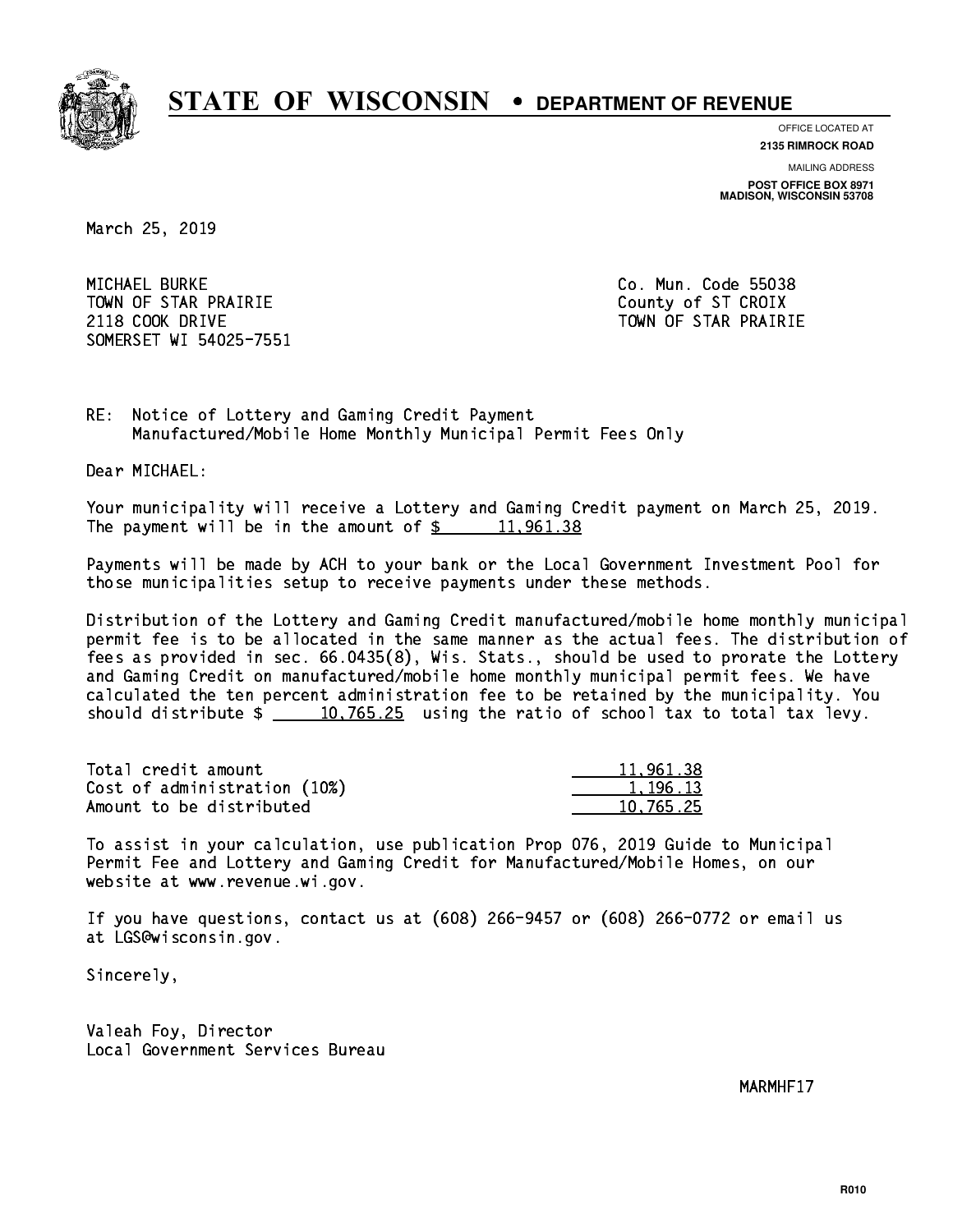

**OFFICE LOCATED AT**

**2135 RIMROCK ROAD**

**MAILING ADDRESS POST OFFICE BOX 8971 MADISON, WISCONSIN 53708**

March 25, 2019

 MICHAEL BURKE Co. Mun. Code 55038 TOWN OF STAR PRAIRIE **COUNTY COUNTY OF STAR PRAIRIE** 2118 COOK DRIVE TOWN OF STAR PRAIRIE SOMERSET WI 54025-7551

RE: Notice of Lottery and Gaming Credit Payment Manufactured/Mobile Home Monthly Municipal Permit Fees Only

Dear MICHAEL:

 Your municipality will receive a Lottery and Gaming Credit payment on March 25, 2019. The payment will be in the amount of  $\frac{2}{3}$  11,961.38

 Payments will be made by ACH to your bank or the Local Government Investment Pool for those municipalities setup to receive payments under these methods.

 Distribution of the Lottery and Gaming Credit manufactured/mobile home monthly municipal permit fee is to be allocated in the same manner as the actual fees. The distribution of fees as provided in sec. 66.0435(8), Wis. Stats., should be used to prorate the Lottery and Gaming Credit on manufactured/mobile home monthly municipal permit fees. We have calculated the ten percent administration fee to be retained by the municipality. You should distribute  $\frac{10,765.25}{2}$  using the ratio of school tax to total tax levy.

| Total credit amount          | 11,961.38 |
|------------------------------|-----------|
| Cost of administration (10%) | 1.196.13  |
| Amount to be distributed     | 10.765.25 |

 To assist in your calculation, use publication Prop 076, 2019 Guide to Municipal Permit Fee and Lottery and Gaming Credit for Manufactured/Mobile Homes, on our website at www.revenue.wi.gov.

 If you have questions, contact us at (608) 266-9457 or (608) 266-0772 or email us at LGS@wisconsin.gov.

Sincerely,

 Valeah Foy, Director Local Government Services Bureau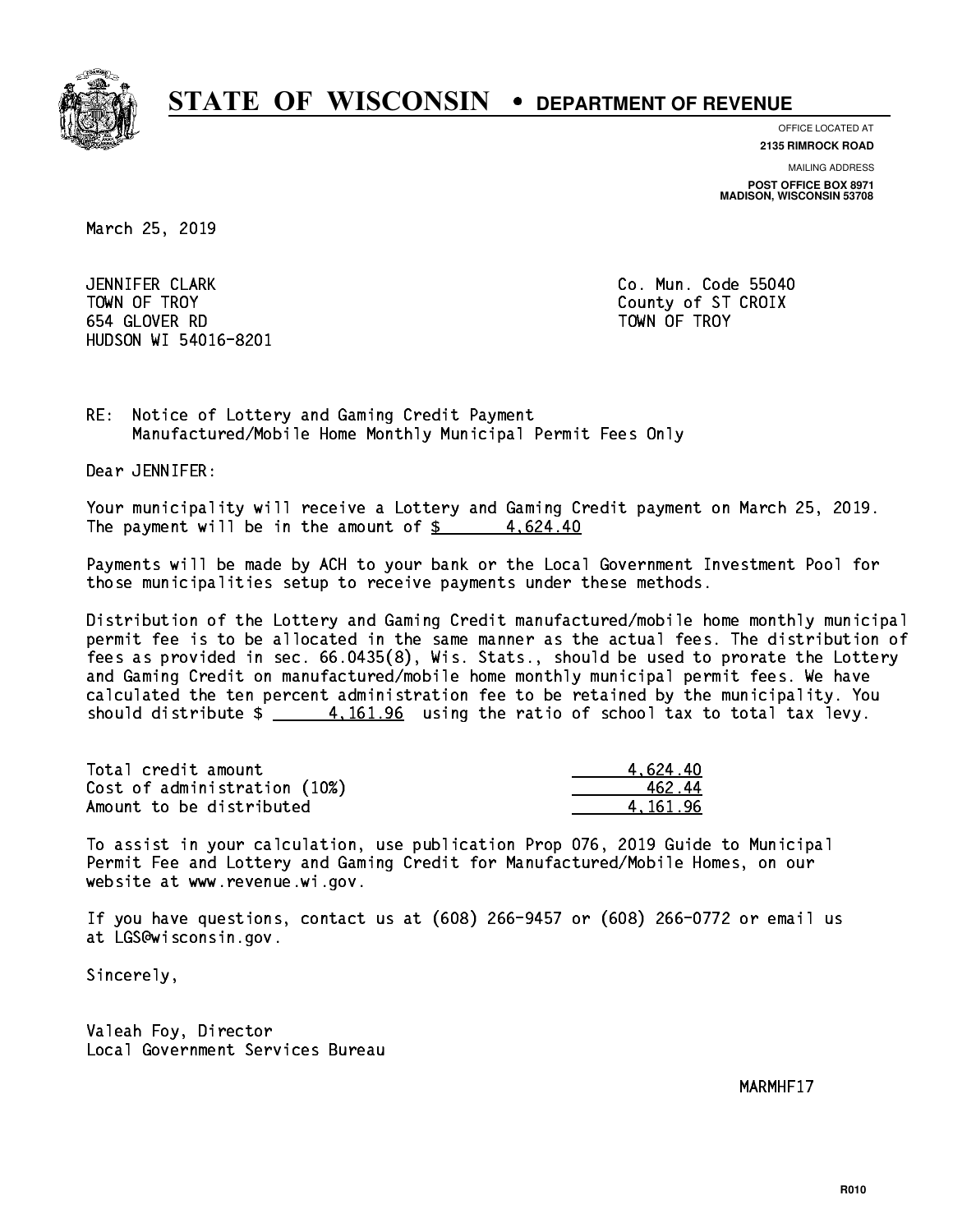

**OFFICE LOCATED AT**

**2135 RIMROCK ROAD**

**MAILING ADDRESS POST OFFICE BOX 8971 MADISON, WISCONSIN 53708**

March 25, 2019

 JENNIFER CLARK Co. Mun. Code 55040 TOWN OF TROY County of ST CROIX 654 GLOVER RD TOWN OF TROY HUDSON WI 54016-8201

RE: Notice of Lottery and Gaming Credit Payment Manufactured/Mobile Home Monthly Municipal Permit Fees Only

Dear JENNIFER:

 Your municipality will receive a Lottery and Gaming Credit payment on March 25, 2019. The payment will be in the amount of  $\frac{2}{3}$  4,624.40

 Payments will be made by ACH to your bank or the Local Government Investment Pool for those municipalities setup to receive payments under these methods.

 Distribution of the Lottery and Gaming Credit manufactured/mobile home monthly municipal permit fee is to be allocated in the same manner as the actual fees. The distribution of fees as provided in sec. 66.0435(8), Wis. Stats., should be used to prorate the Lottery and Gaming Credit on manufactured/mobile home monthly municipal permit fees. We have calculated the ten percent administration fee to be retained by the municipality. You should distribute  $\frac{4.161.96}{2}$  using the ratio of school tax to total tax levy.

| Total credit amount          | 4.624.40 |
|------------------------------|----------|
| Cost of administration (10%) | 462.44   |
| Amount to be distributed     | 4.161.96 |

 To assist in your calculation, use publication Prop 076, 2019 Guide to Municipal Permit Fee and Lottery and Gaming Credit for Manufactured/Mobile Homes, on our website at www.revenue.wi.gov.

 If you have questions, contact us at (608) 266-9457 or (608) 266-0772 or email us at LGS@wisconsin.gov.

Sincerely,

 Valeah Foy, Director Local Government Services Bureau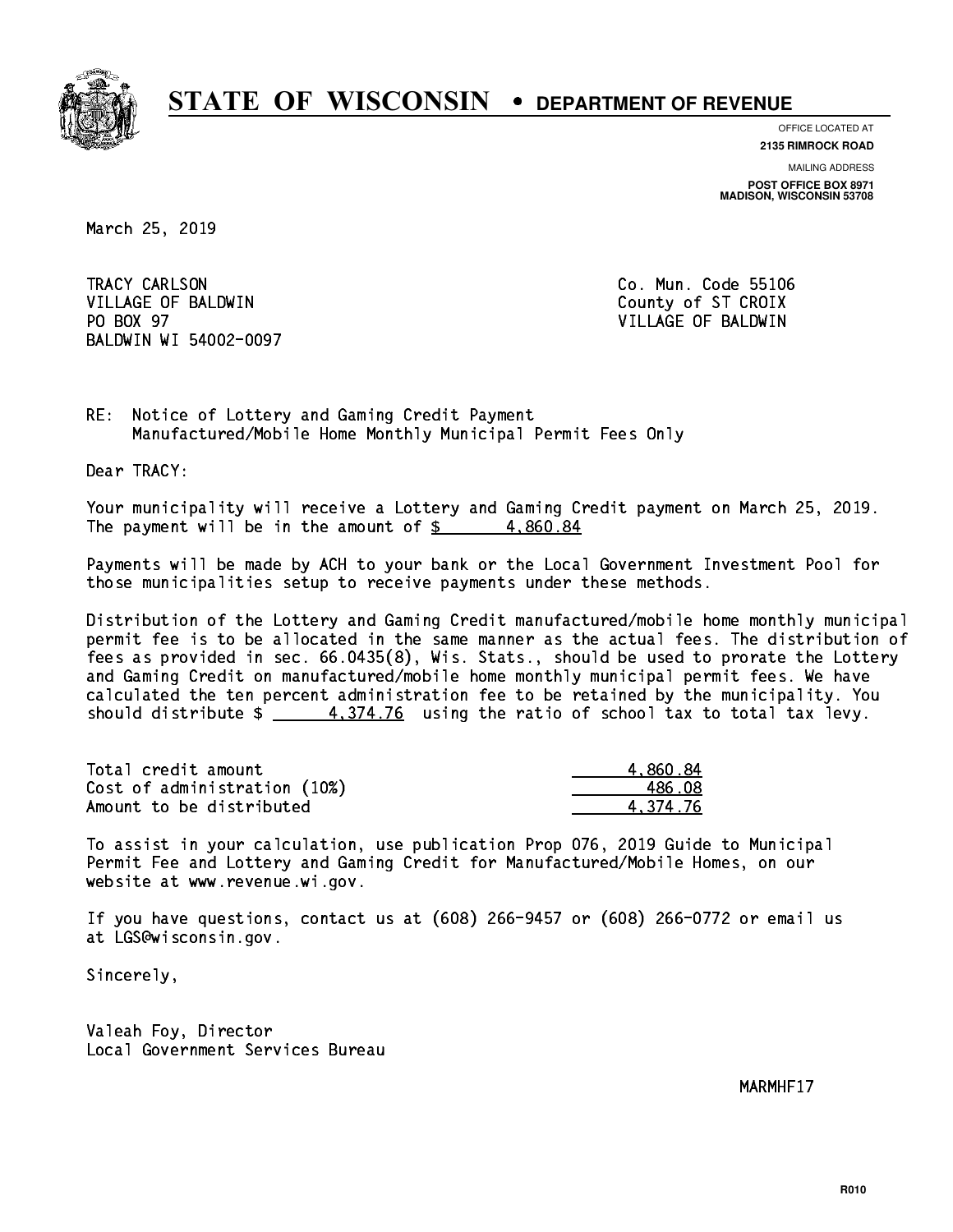

**OFFICE LOCATED AT 2135 RIMROCK ROAD**

**MAILING ADDRESS POST OFFICE BOX 8971 MADISON, WISCONSIN 53708**

March 25, 2019

TRACY CARLSON VILLAGE OF BALDWIN COUNTY COUNTY OF ST CROIX PO BOX 97 BALDWIN WI 54002-0097

Co. Mun. Code 55106 VILLAGE OF BALDWIN

RE: Notice of Lottery and Gaming Credit Payment Manufactured/Mobile Home Monthly Municipal Permit Fees Only

Dear TRACY:

 Your municipality will receive a Lottery and Gaming Credit payment on March 25, 2019. The payment will be in the amount of  $\frac{2}{3}$  4,860.84

 Payments will be made by ACH to your bank or the Local Government Investment Pool for those municipalities setup to receive payments under these methods.

 Distribution of the Lottery and Gaming Credit manufactured/mobile home monthly municipal permit fee is to be allocated in the same manner as the actual fees. The distribution of fees as provided in sec. 66.0435(8), Wis. Stats., should be used to prorate the Lottery and Gaming Credit on manufactured/mobile home monthly municipal permit fees. We have calculated the ten percent administration fee to be retained by the municipality. You should distribute  $\frac{4}{374.76}$  using the ratio of school tax to total tax levy.

| Total credit amount          | 4.860.84 |
|------------------------------|----------|
| Cost of administration (10%) | 486.08   |
| Amount to be distributed     | 4.374.76 |

 To assist in your calculation, use publication Prop 076, 2019 Guide to Municipal Permit Fee and Lottery and Gaming Credit for Manufactured/Mobile Homes, on our website at www.revenue.wi.gov.

 If you have questions, contact us at (608) 266-9457 or (608) 266-0772 or email us at LGS@wisconsin.gov.

Sincerely,

 Valeah Foy, Director Local Government Services Bureau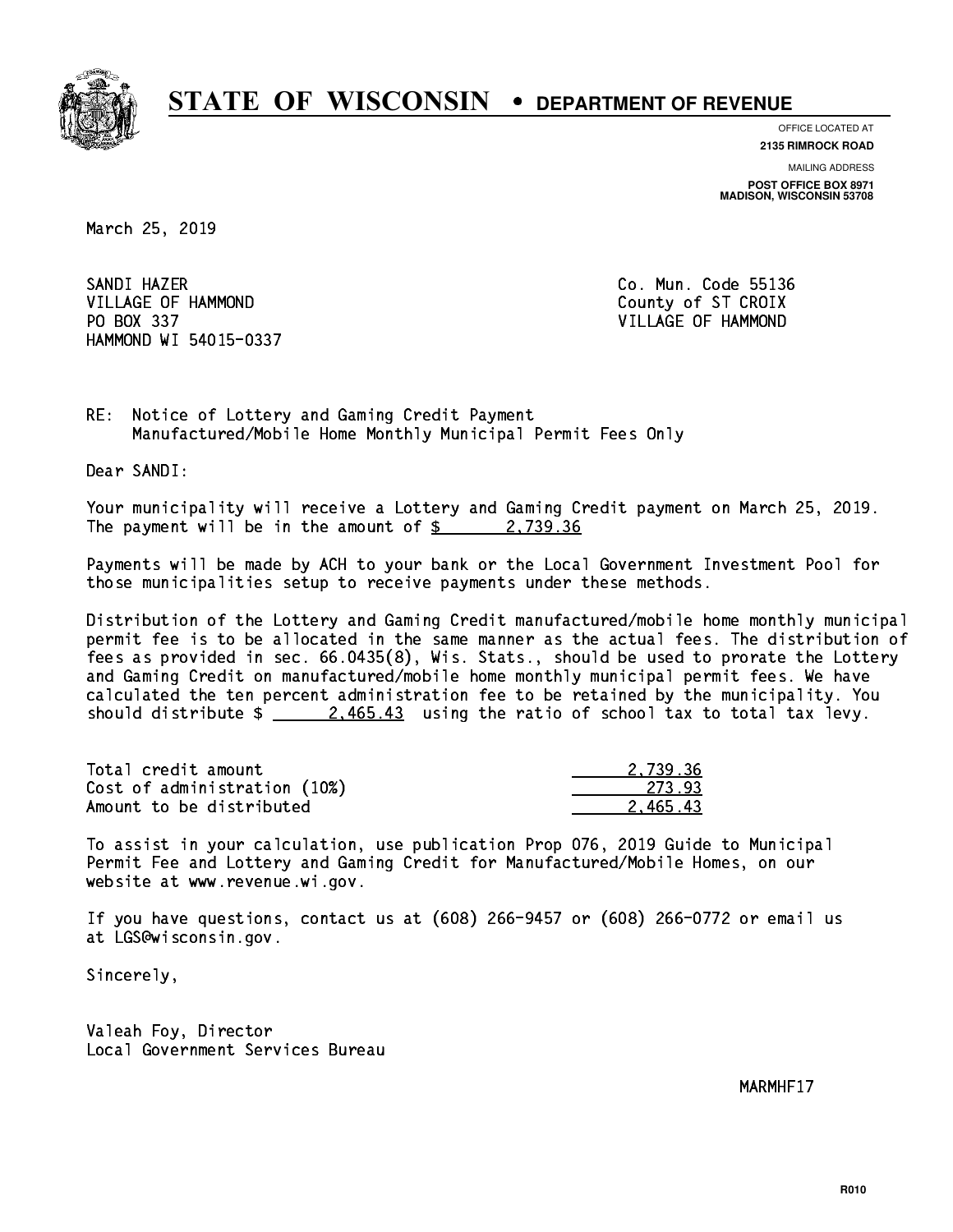

**OFFICE LOCATED AT 2135 RIMROCK ROAD**

**MAILING ADDRESS POST OFFICE BOX 8971 MADISON, WISCONSIN 53708**

March 25, 2019

SANDI HAZER SANDI HAZER CO. MUN. CO. MUN. CO. MUN. CO. MUN. CO. MUN. CO. MUN. CO. MUN. CO. MUN. CO. MUN. CO. MUN. CO. MUN. VILLAGE OF HAMMOND County of ST CROIX PO BOX 337 VILLAGE OF HAMMOND HAMMOND WI 54015-0337

RE: Notice of Lottery and Gaming Credit Payment Manufactured/Mobile Home Monthly Municipal Permit Fees Only

Dear SANDI:

 Your municipality will receive a Lottery and Gaming Credit payment on March 25, 2019. The payment will be in the amount of  $\frac{2}{3}$  2,739.36

 Payments will be made by ACH to your bank or the Local Government Investment Pool for those municipalities setup to receive payments under these methods.

 Distribution of the Lottery and Gaming Credit manufactured/mobile home monthly municipal permit fee is to be allocated in the same manner as the actual fees. The distribution of fees as provided in sec. 66.0435(8), Wis. Stats., should be used to prorate the Lottery and Gaming Credit on manufactured/mobile home monthly municipal permit fees. We have calculated the ten percent administration fee to be retained by the municipality. You should distribute  $\frac{2.465.43}{2.465.43}$  using the ratio of school tax to total tax levy.

| Total credit amount          | 2.739.36 |
|------------------------------|----------|
| Cost of administration (10%) | 273.93   |
| Amount to be distributed     | 2.465.43 |

 To assist in your calculation, use publication Prop 076, 2019 Guide to Municipal Permit Fee and Lottery and Gaming Credit for Manufactured/Mobile Homes, on our website at www.revenue.wi.gov.

 If you have questions, contact us at (608) 266-9457 or (608) 266-0772 or email us at LGS@wisconsin.gov.

Sincerely,

 Valeah Foy, Director Local Government Services Bureau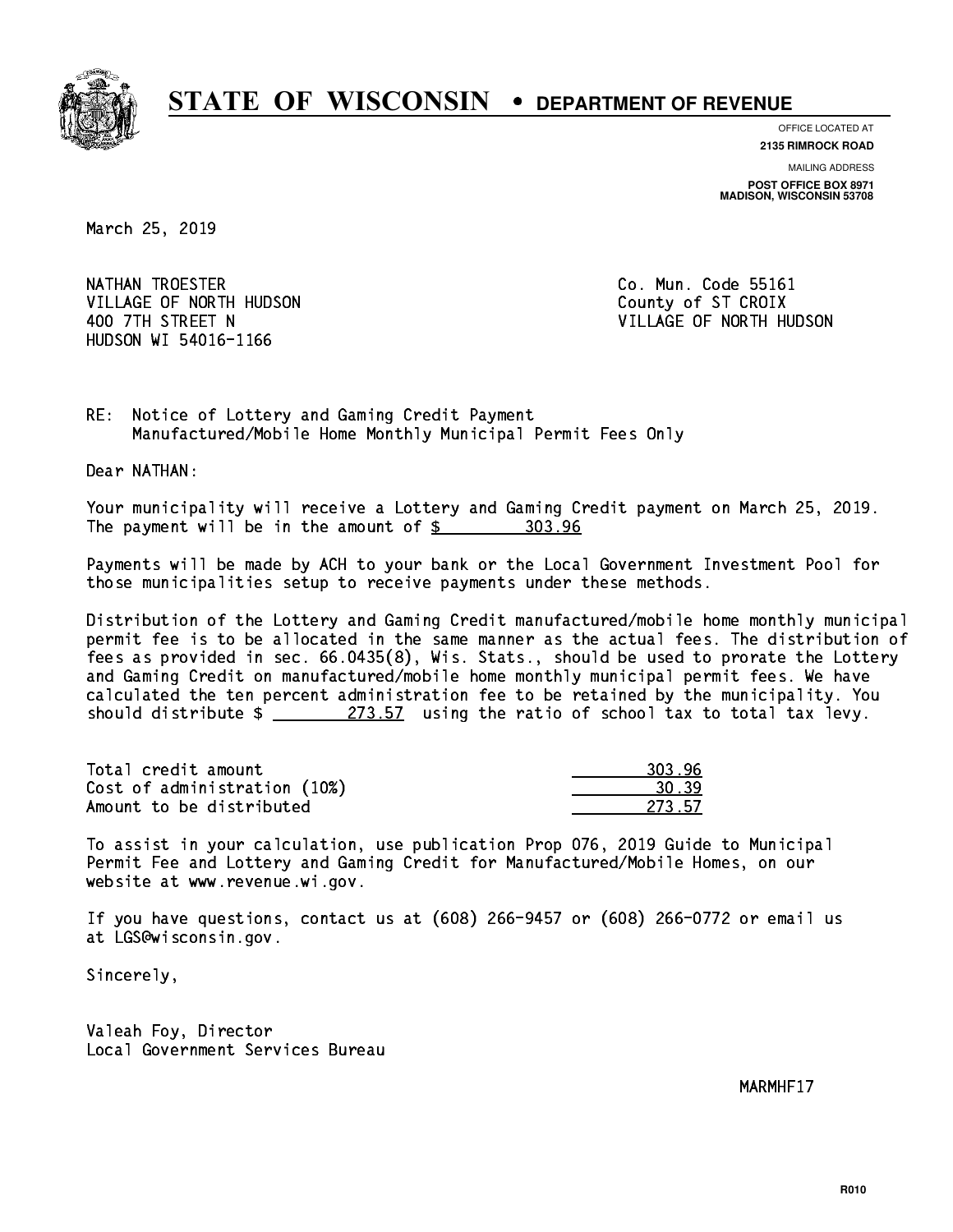

**OFFICE LOCATED AT**

**2135 RIMROCK ROAD**

**MAILING ADDRESS POST OFFICE BOX 8971 MADISON, WISCONSIN 53708**

March 25, 2019

NATHAN TROESTER **Co. Mun. Code 55161** VILLAGE OF NORTH HUDSON COUNTY OF ST CROIX HUDSON WI 54016-1166

400 7TH STREET N VILLAGE OF NORTH HUDSON

RE: Notice of Lottery and Gaming Credit Payment Manufactured/Mobile Home Monthly Municipal Permit Fees Only

Dear NATHAN:

 Your municipality will receive a Lottery and Gaming Credit payment on March 25, 2019. The payment will be in the amount of  $$ 303.96$ 

 Payments will be made by ACH to your bank or the Local Government Investment Pool for those municipalities setup to receive payments under these methods.

 Distribution of the Lottery and Gaming Credit manufactured/mobile home monthly municipal permit fee is to be allocated in the same manner as the actual fees. The distribution of fees as provided in sec. 66.0435(8), Wis. Stats., should be used to prorate the Lottery and Gaming Credit on manufactured/mobile home monthly municipal permit fees. We have calculated the ten percent administration fee to be retained by the municipality. You should distribute  $\frac{273.57}{273.57}$  using the ratio of school tax to total tax levy.

Total credit amount Cost of administration (10%) Amount to be distributed

 To assist in your calculation, use publication Prop 076, 2019 Guide to Municipal Permit Fee and Lottery and Gaming Credit for Manufactured/Mobile Homes, on our website at www.revenue.wi.gov.

 If you have questions, contact us at (608) 266-9457 or (608) 266-0772 or email us at LGS@wisconsin.gov.

Sincerely,

 Valeah Foy, Director Local Government Services Bureau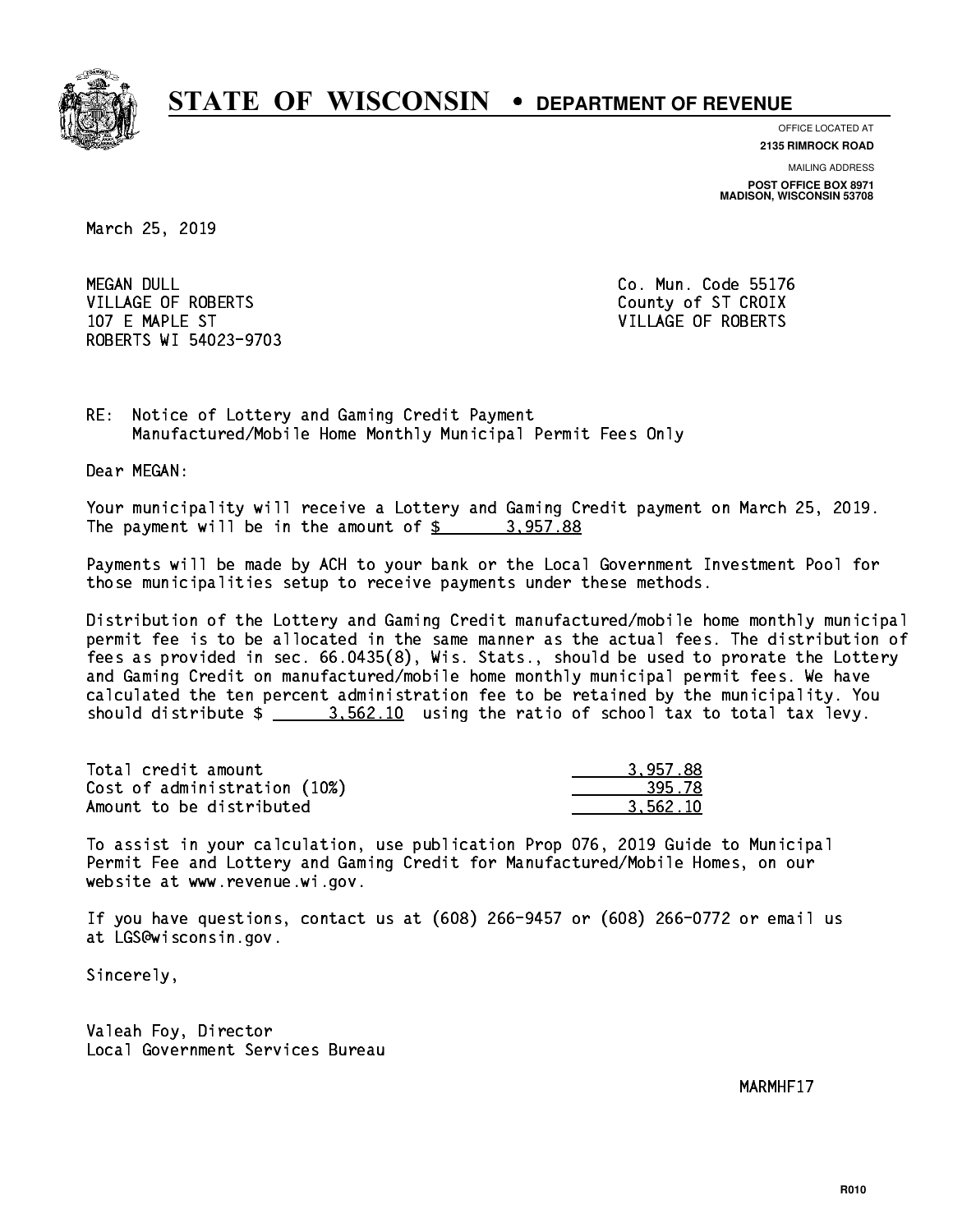

**OFFICE LOCATED AT 2135 RIMROCK ROAD**

**MAILING ADDRESS POST OFFICE BOX 8971 MADISON, WISCONSIN 53708**

March 25, 2019

**MEGAN DULL** VILLAGE OF ROBERTS COUNTY OF ST CROIX 107 E MAPLE ST VILLAGE OF ROBERTS ROBERTS WI 54023-9703

Co. Mun. Code 55176

RE: Notice of Lottery and Gaming Credit Payment Manufactured/Mobile Home Monthly Municipal Permit Fees Only

Dear MEGAN:

 Your municipality will receive a Lottery and Gaming Credit payment on March 25, 2019. The payment will be in the amount of  $\frac{2}{3}$  3,957.88

 Payments will be made by ACH to your bank or the Local Government Investment Pool for those municipalities setup to receive payments under these methods.

 Distribution of the Lottery and Gaming Credit manufactured/mobile home monthly municipal permit fee is to be allocated in the same manner as the actual fees. The distribution of fees as provided in sec. 66.0435(8), Wis. Stats., should be used to prorate the Lottery and Gaming Credit on manufactured/mobile home monthly municipal permit fees. We have calculated the ten percent administration fee to be retained by the municipality. You should distribute  $\frac{2}{1}$   $\frac{3.562.10}{10}$  using the ratio of school tax to total tax levy.

| Total credit amount          | 3.957.88 |
|------------------------------|----------|
| Cost of administration (10%) | 395.78   |
| Amount to be distributed     | 3.562.10 |

 To assist in your calculation, use publication Prop 076, 2019 Guide to Municipal Permit Fee and Lottery and Gaming Credit for Manufactured/Mobile Homes, on our website at www.revenue.wi.gov.

 If you have questions, contact us at (608) 266-9457 or (608) 266-0772 or email us at LGS@wisconsin.gov.

Sincerely,

 Valeah Foy, Director Local Government Services Bureau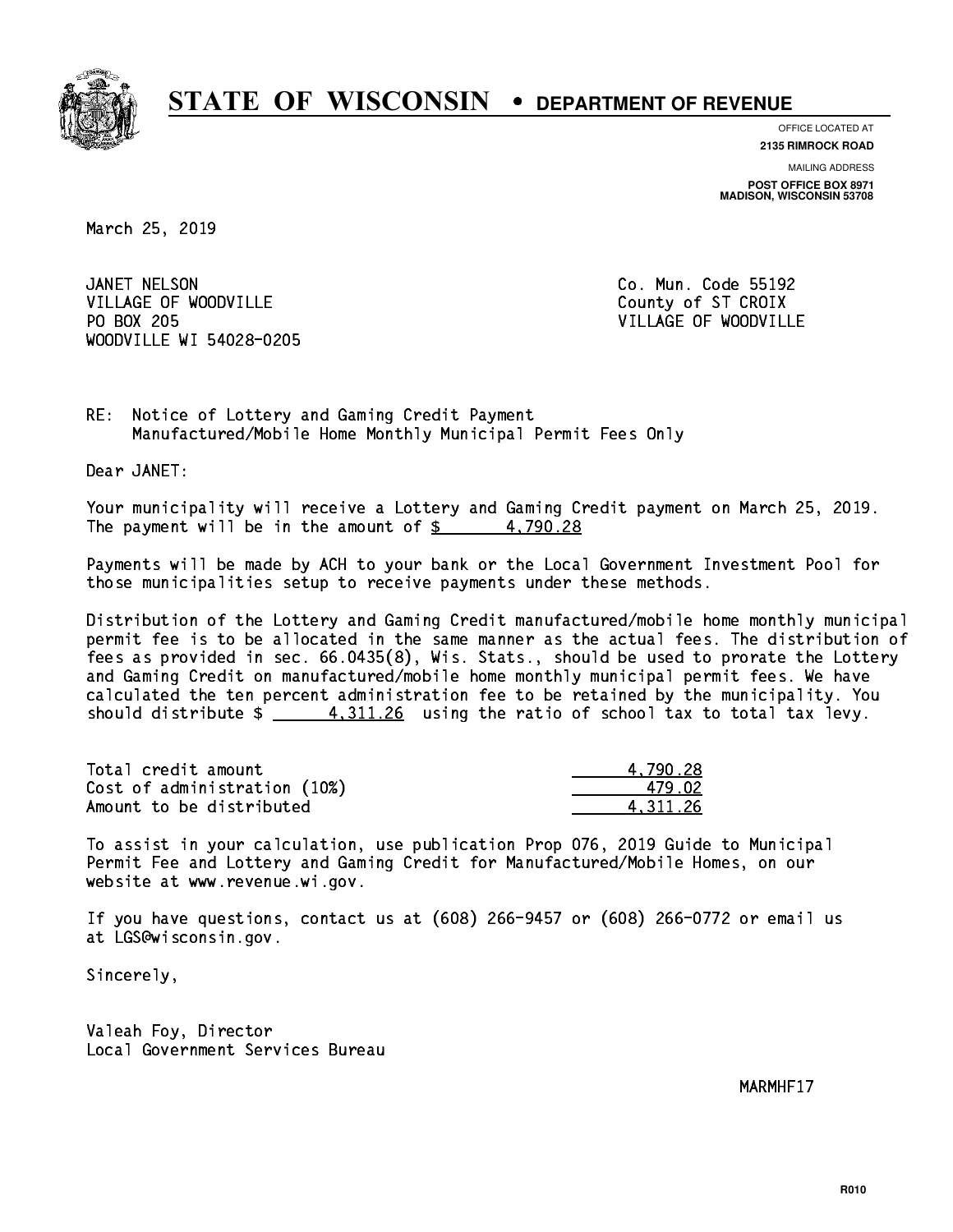

**OFFICE LOCATED AT**

**2135 RIMROCK ROAD**

**MAILING ADDRESS POST OFFICE BOX 8971 MADISON, WISCONSIN 53708**

March 25, 2019

JANET NELSON VILLAGE OF WOODVILLE COUNTY OF ST CROIX PO BOX 205 WOODVILLE WI 54028-0205

Co. Mun. Code 55192 VILLAGE OF WOODVILLE

RE: Notice of Lottery and Gaming Credit Payment Manufactured/Mobile Home Monthly Municipal Permit Fees Only

Dear JANET:

 Your municipality will receive a Lottery and Gaming Credit payment on March 25, 2019. The payment will be in the amount of  $\frac{2}{3}$  4,790.28

 Payments will be made by ACH to your bank or the Local Government Investment Pool for those municipalities setup to receive payments under these methods.

 Distribution of the Lottery and Gaming Credit manufactured/mobile home monthly municipal permit fee is to be allocated in the same manner as the actual fees. The distribution of fees as provided in sec. 66.0435(8), Wis. Stats., should be used to prorate the Lottery and Gaming Credit on manufactured/mobile home monthly municipal permit fees. We have calculated the ten percent administration fee to be retained by the municipality. You should distribute  $\frac{4,311.26}{2}$  using the ratio of school tax to total tax levy.

| Total credit amount          | 4.790.28 |
|------------------------------|----------|
| Cost of administration (10%) | 479 N2   |
| Amount to be distributed     | 4.311.26 |

 To assist in your calculation, use publication Prop 076, 2019 Guide to Municipal Permit Fee and Lottery and Gaming Credit for Manufactured/Mobile Homes, on our website at www.revenue.wi.gov.

 If you have questions, contact us at (608) 266-9457 or (608) 266-0772 or email us at LGS@wisconsin.gov.

Sincerely,

 Valeah Foy, Director Local Government Services Bureau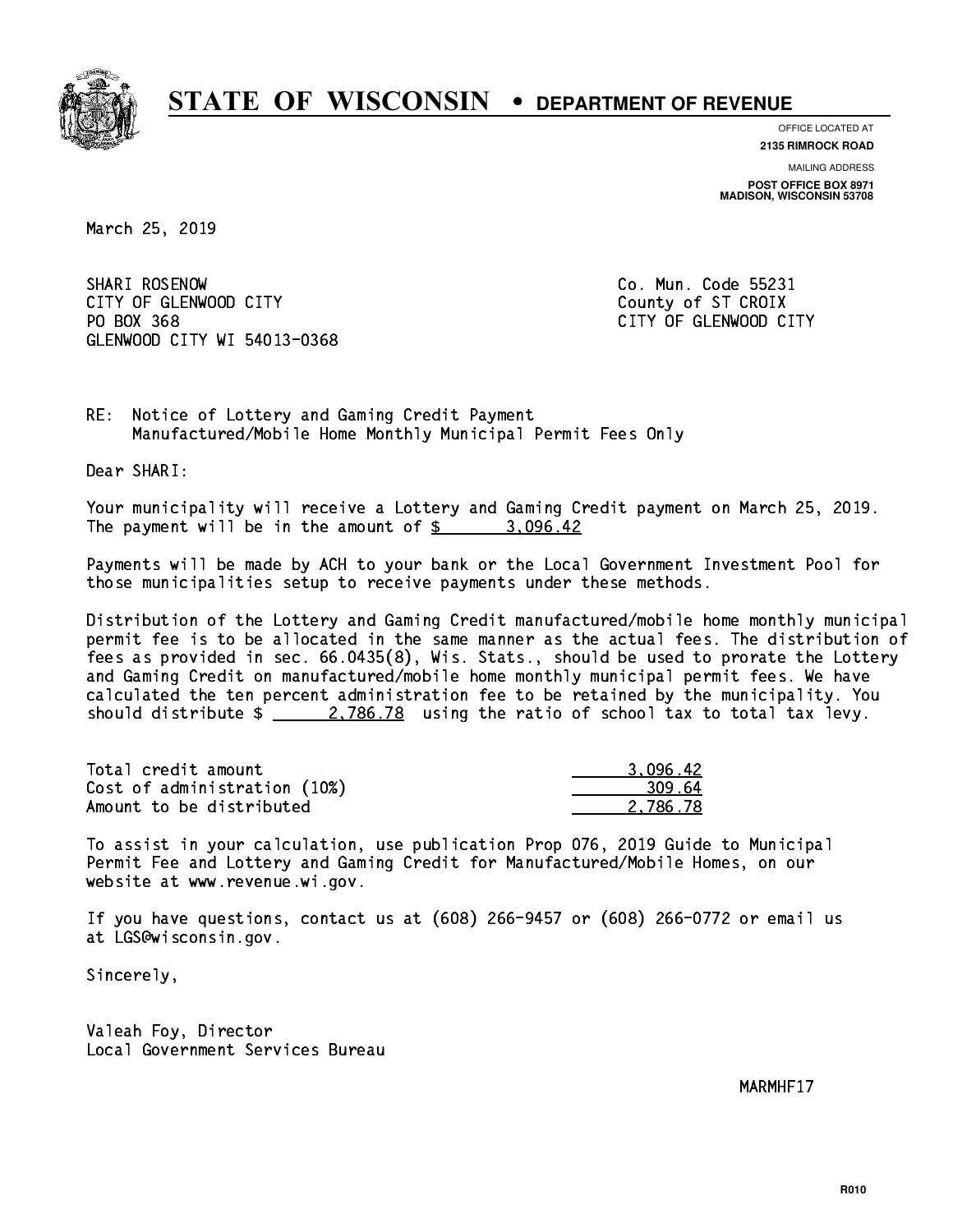

**OFFICE LOCATED AT**

**2135 RIMROCK ROAD**

**MAILING ADDRESS POST OFFICE BOX 8971 MADISON, WISCONSIN 53708**

March 25, 2019

SHARI ROSENOW CITY OF GLENWOOD CITY COUNTY COUNTY COUNTY OF ST CROIX PO BOX 368 GLENWOOD CITY WI 54013-0368

Co. Mun. Code 55231 CITY OF GLENWOOD CITY

RE: Notice of Lottery and Gaming Credit Payment Manufactured/Mobile Home Monthly Municipal Permit Fees Only

Dear SHARI:

 Your municipality will receive a Lottery and Gaming Credit payment on March 25, 2019. The payment will be in the amount of  $\frac{2}{3}$  3,096.42

 Payments will be made by ACH to your bank or the Local Government Investment Pool for those municipalities setup to receive payments under these methods.

 Distribution of the Lottery and Gaming Credit manufactured/mobile home monthly municipal permit fee is to be allocated in the same manner as the actual fees. The distribution of fees as provided in sec. 66.0435(8), Wis. Stats., should be used to prorate the Lottery and Gaming Credit on manufactured/mobile home monthly municipal permit fees. We have calculated the ten percent administration fee to be retained by the municipality. You should distribute  $\frac{2.786.78}{2.786.78}$  using the ratio of school tax to total tax levy.

| Total credit amount          | 3.096.42 |
|------------------------------|----------|
| Cost of administration (10%) | 309.64   |
| Amount to be distributed     | 2.786.78 |

 To assist in your calculation, use publication Prop 076, 2019 Guide to Municipal Permit Fee and Lottery and Gaming Credit for Manufactured/Mobile Homes, on our website at www.revenue.wi.gov.

 If you have questions, contact us at (608) 266-9457 or (608) 266-0772 or email us at LGS@wisconsin.gov.

Sincerely,

 Valeah Foy, Director Local Government Services Bureau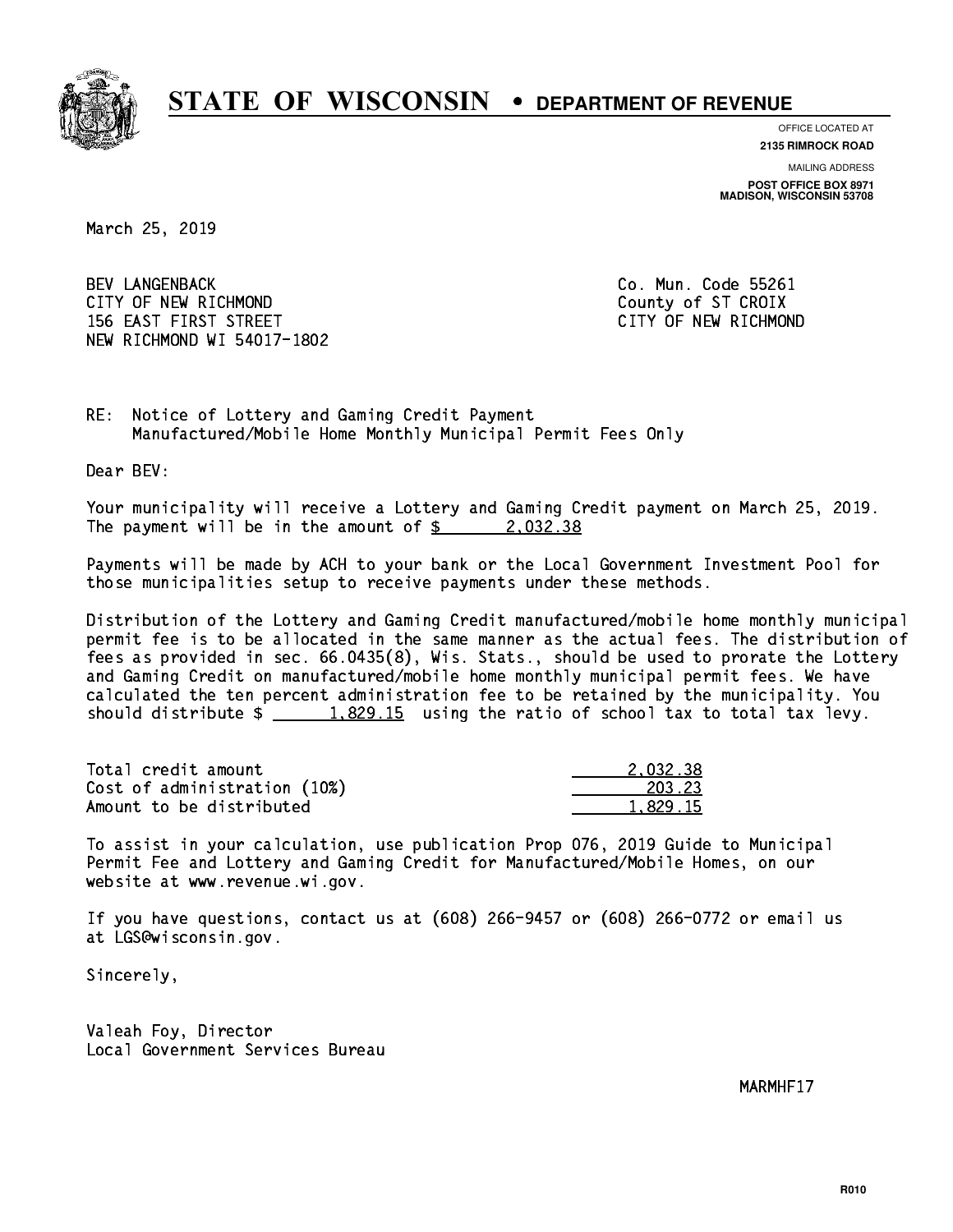

**OFFICE LOCATED AT**

**2135 RIMROCK ROAD**

**MAILING ADDRESS POST OFFICE BOX 8971 MADISON, WISCONSIN 53708**

March 25, 2019

 BEV LANGENBACK Co. Mun. Code 55261 CITY OF NEW RICHMOND COUNTY OF ST CROIX 156 EAST FIRST STREET CITY OF NEW RICHMOND NEW RICHMOND WI 54017-1802

RE: Notice of Lottery and Gaming Credit Payment Manufactured/Mobile Home Monthly Municipal Permit Fees Only

Dear BEV:

 Your municipality will receive a Lottery and Gaming Credit payment on March 25, 2019. The payment will be in the amount of  $\frac{2}{3}$  2,032.38

 Payments will be made by ACH to your bank or the Local Government Investment Pool for those municipalities setup to receive payments under these methods.

 Distribution of the Lottery and Gaming Credit manufactured/mobile home monthly municipal permit fee is to be allocated in the same manner as the actual fees. The distribution of fees as provided in sec. 66.0435(8), Wis. Stats., should be used to prorate the Lottery and Gaming Credit on manufactured/mobile home monthly municipal permit fees. We have calculated the ten percent administration fee to be retained by the municipality. You should distribute  $\frac{1.829.15}{1.829.15}$  using the ratio of school tax to total tax levy.

| Total credit amount          | 2.032.38 |
|------------------------------|----------|
| Cost of administration (10%) | 203.23   |
| Amount to be distributed     | 1.829.15 |

 To assist in your calculation, use publication Prop 076, 2019 Guide to Municipal Permit Fee and Lottery and Gaming Credit for Manufactured/Mobile Homes, on our website at www.revenue.wi.gov.

 If you have questions, contact us at (608) 266-9457 or (608) 266-0772 or email us at LGS@wisconsin.gov.

Sincerely,

 Valeah Foy, Director Local Government Services Bureau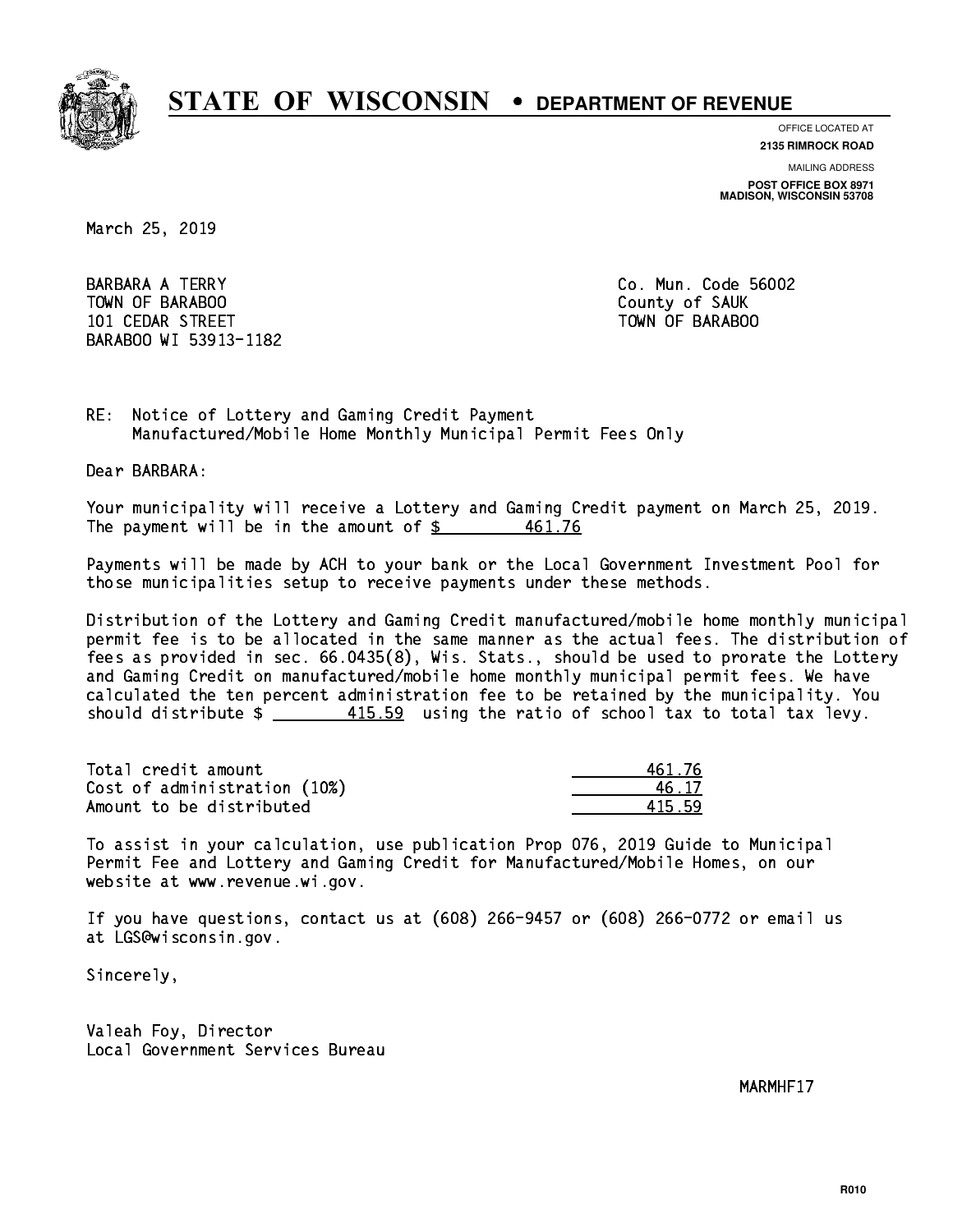

**OFFICE LOCATED AT 2135 RIMROCK ROAD**

**MAILING ADDRESS**

**POST OFFICE BOX 8971 MADISON, WISCONSIN 53708**

March 25, 2019

**BARBARA A TERRY** TOWN OF BARABOO **County of SAUK**  101 CEDAR STREET TOWN OF BARABOO BARABOO WI 53913-1182

Co. Mun. Code 56002

RE: Notice of Lottery and Gaming Credit Payment Manufactured/Mobile Home Monthly Municipal Permit Fees Only

Dear BARBARA:

 Your municipality will receive a Lottery and Gaming Credit payment on March 25, 2019. The payment will be in the amount of  $\frac{2}{3}$  461.76

 Payments will be made by ACH to your bank or the Local Government Investment Pool for those municipalities setup to receive payments under these methods.

 Distribution of the Lottery and Gaming Credit manufactured/mobile home monthly municipal permit fee is to be allocated in the same manner as the actual fees. The distribution of fees as provided in sec. 66.0435(8), Wis. Stats., should be used to prorate the Lottery and Gaming Credit on manufactured/mobile home monthly municipal permit fees. We have calculated the ten percent administration fee to be retained by the municipality. You should distribute  $\frac{415.59}{2}$  using the ratio of school tax to total tax levy.

Total credit amount Cost of administration (10%) Amount to be distributed

| 461.76 |
|--------|
| i. 17  |
| 5.59   |

 To assist in your calculation, use publication Prop 076, 2019 Guide to Municipal Permit Fee and Lottery and Gaming Credit for Manufactured/Mobile Homes, on our website at www.revenue.wi.gov.

 If you have questions, contact us at (608) 266-9457 or (608) 266-0772 or email us at LGS@wisconsin.gov.

Sincerely,

 Valeah Foy, Director Local Government Services Bureau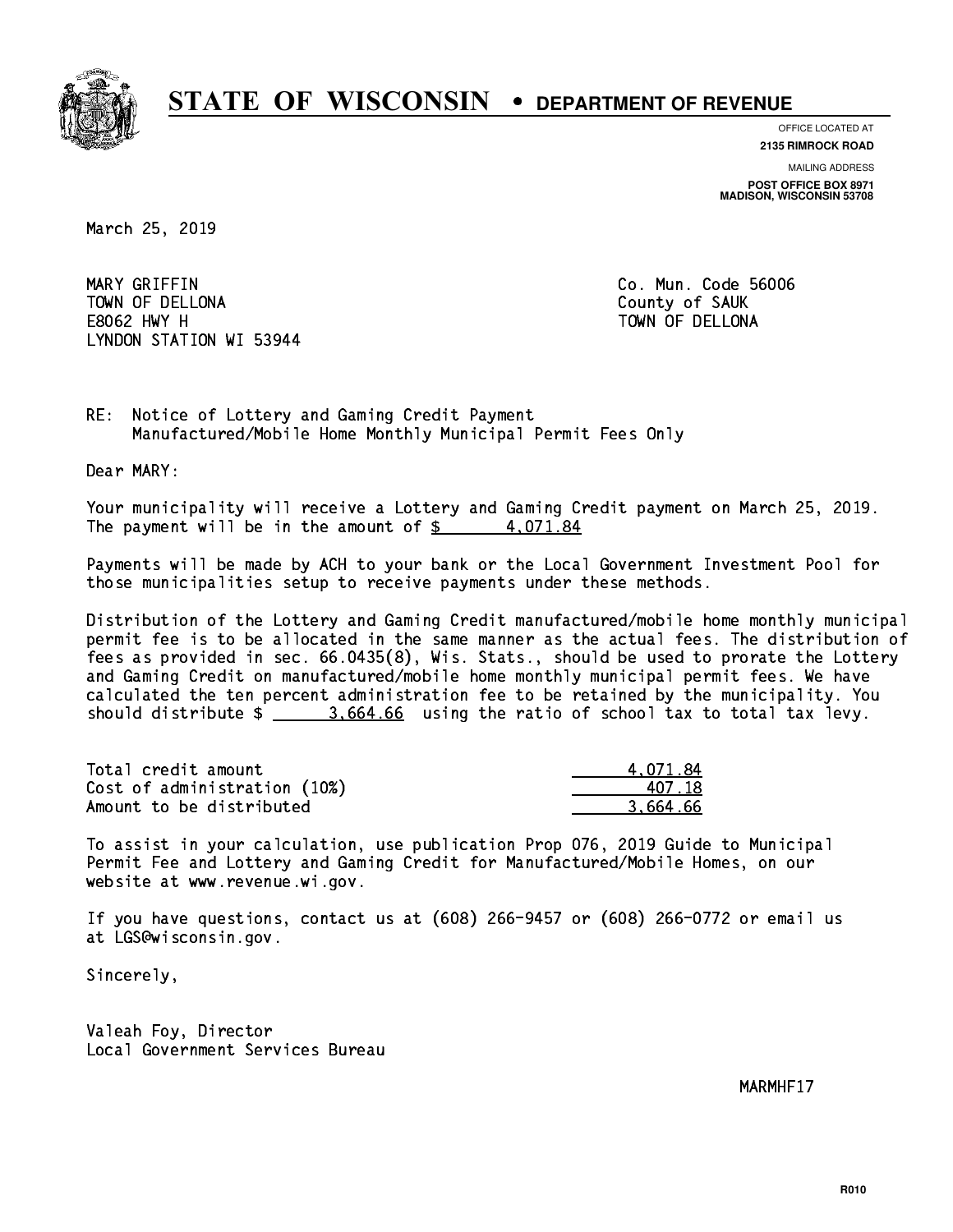

**OFFICE LOCATED AT 2135 RIMROCK ROAD**

**MAILING ADDRESS POST OFFICE BOX 8971 MADISON, WISCONSIN 53708**

March 25, 2019

 MARY GRIFFIN Co. Mun. Code 56006 TOWN OF DELLONA County of SAUK E8062 HWY H TOWN OF DELLONA LYNDON STATION WI 53944

RE: Notice of Lottery and Gaming Credit Payment Manufactured/Mobile Home Monthly Municipal Permit Fees Only

Dear MARY:

 Your municipality will receive a Lottery and Gaming Credit payment on March 25, 2019. The payment will be in the amount of  $\frac{2}{3}$  4,071.84

 Payments will be made by ACH to your bank or the Local Government Investment Pool for those municipalities setup to receive payments under these methods.

 Distribution of the Lottery and Gaming Credit manufactured/mobile home monthly municipal permit fee is to be allocated in the same manner as the actual fees. The distribution of fees as provided in sec. 66.0435(8), Wis. Stats., should be used to prorate the Lottery and Gaming Credit on manufactured/mobile home monthly municipal permit fees. We have calculated the ten percent administration fee to be retained by the municipality. You should distribute \$ 3,664.66 using the ratio of school tax to total tax levy. \_\_\_\_\_\_\_\_\_\_\_\_\_\_

| Total credit amount          | 4.071.84 |
|------------------------------|----------|
| Cost of administration (10%) | 407 18   |
| Amount to be distributed     | 3.664.66 |

 To assist in your calculation, use publication Prop 076, 2019 Guide to Municipal Permit Fee and Lottery and Gaming Credit for Manufactured/Mobile Homes, on our website at www.revenue.wi.gov.

 If you have questions, contact us at (608) 266-9457 or (608) 266-0772 or email us at LGS@wisconsin.gov.

Sincerely,

 Valeah Foy, Director Local Government Services Bureau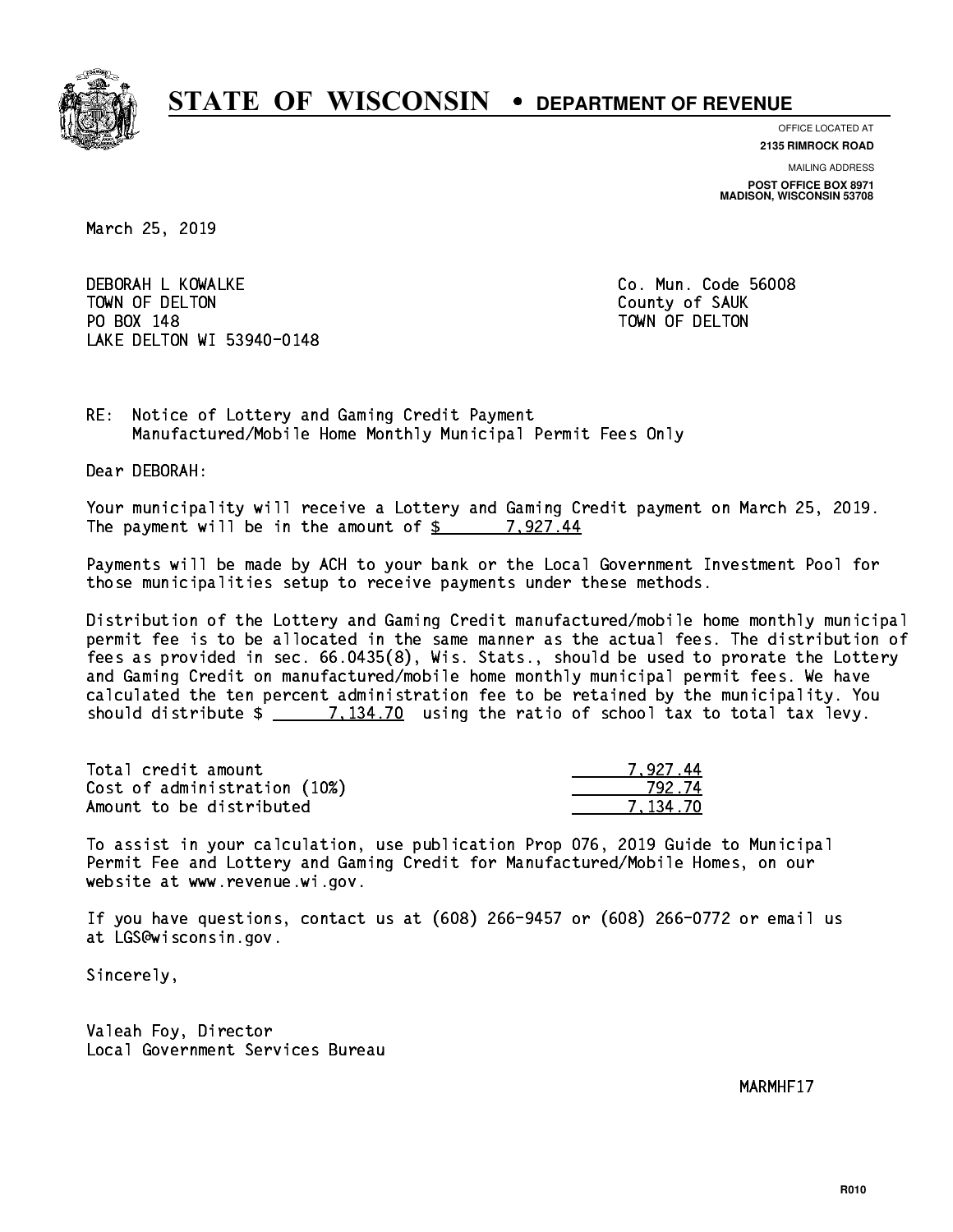

**OFFICE LOCATED AT 2135 RIMROCK ROAD**

**MAILING ADDRESS**

**POST OFFICE BOX 8971 MADISON, WISCONSIN 53708**

March 25, 2019

 DEBORAH L KOWALKE Co. Mun. Code 56008 TOWN OF DELTON County of SAUK PO BOX 148 PO BOX 148 TOWN OF DELTON LAKE DELTON WI 53940-0148

RE: Notice of Lottery and Gaming Credit Payment Manufactured/Mobile Home Monthly Municipal Permit Fees Only

Dear DEBORAH:

 Your municipality will receive a Lottery and Gaming Credit payment on March 25, 2019. The payment will be in the amount of  $\frac{2}{3}$  7,927.44

 Payments will be made by ACH to your bank or the Local Government Investment Pool for those municipalities setup to receive payments under these methods.

 Distribution of the Lottery and Gaming Credit manufactured/mobile home monthly municipal permit fee is to be allocated in the same manner as the actual fees. The distribution of fees as provided in sec. 66.0435(8), Wis. Stats., should be used to prorate the Lottery and Gaming Credit on manufactured/mobile home monthly municipal permit fees. We have calculated the ten percent administration fee to be retained by the municipality. You should distribute  $\frac{2}{2}$   $\frac{7,134.70}{2}$  using the ratio of school tax to total tax levy.

| Total credit amount          | 7.927.44 |
|------------------------------|----------|
| Cost of administration (10%) | 792.74   |
| Amount to be distributed     | 7.134.70 |

 To assist in your calculation, use publication Prop 076, 2019 Guide to Municipal Permit Fee and Lottery and Gaming Credit for Manufactured/Mobile Homes, on our website at www.revenue.wi.gov.

 If you have questions, contact us at (608) 266-9457 or (608) 266-0772 or email us at LGS@wisconsin.gov.

Sincerely,

 Valeah Foy, Director Local Government Services Bureau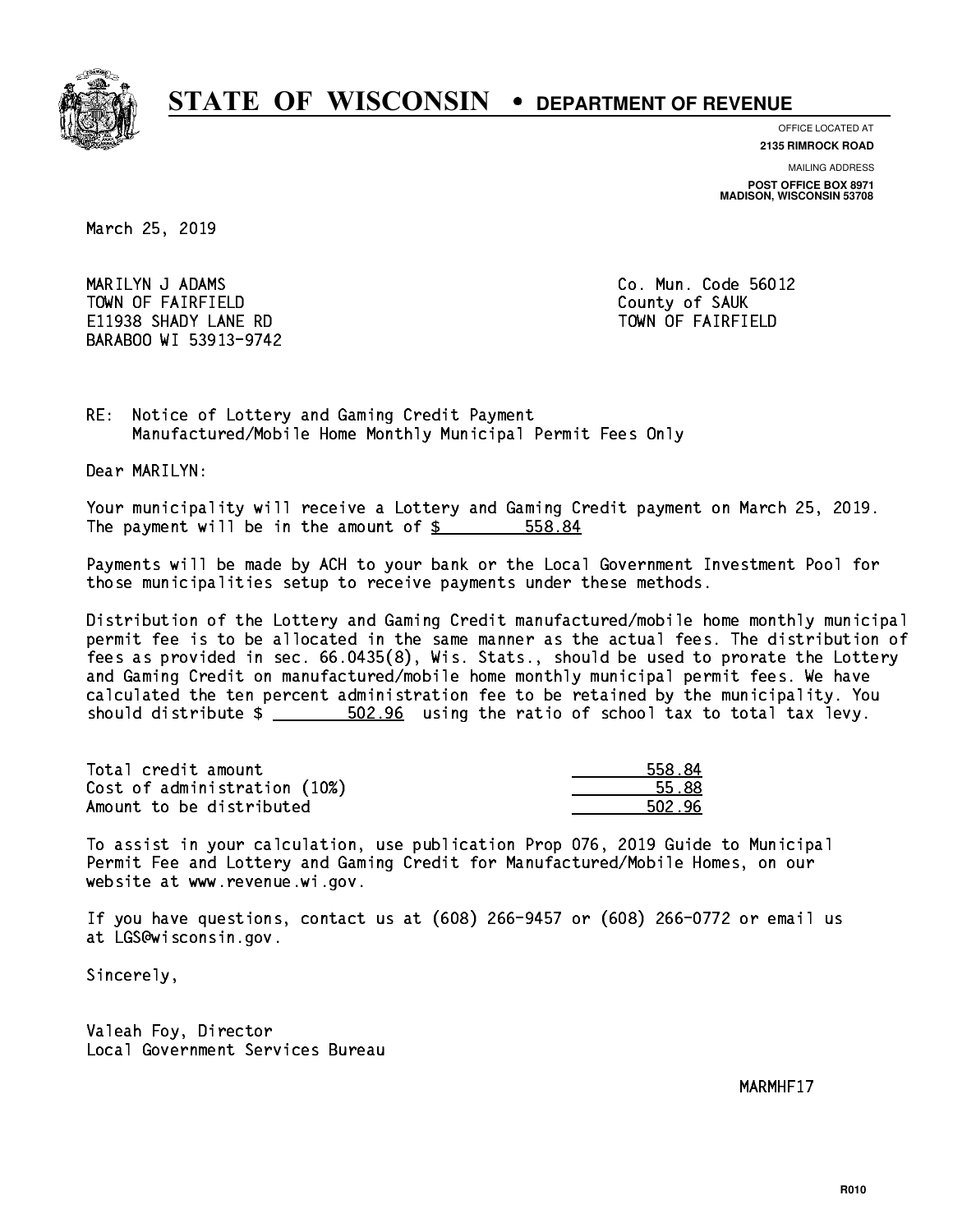

**OFFICE LOCATED AT**

**2135 RIMROCK ROAD**

**MAILING ADDRESS POST OFFICE BOX 8971 MADISON, WISCONSIN 53708**

March 25, 2019

 MARILYN J ADAMS Co. Mun. Code 56012 TOWN OF FAIRFIELD County of SAUK E11938 SHADY LANE RD TOWN OF FAIRFIELD BARABOO WI 53913-9742

RE: Notice of Lottery and Gaming Credit Payment Manufactured/Mobile Home Monthly Municipal Permit Fees Only

Dear MARILYN:

 Your municipality will receive a Lottery and Gaming Credit payment on March 25, 2019. The payment will be in the amount of \$ 558.84 \_\_\_\_\_\_\_\_\_\_\_\_\_\_\_\_

 Payments will be made by ACH to your bank or the Local Government Investment Pool for those municipalities setup to receive payments under these methods.

 Distribution of the Lottery and Gaming Credit manufactured/mobile home monthly municipal permit fee is to be allocated in the same manner as the actual fees. The distribution of fees as provided in sec. 66.0435(8), Wis. Stats., should be used to prorate the Lottery and Gaming Credit on manufactured/mobile home monthly municipal permit fees. We have calculated the ten percent administration fee to be retained by the municipality. You should distribute  $\frac{2}{1}$   $\frac{502.96}{1000}$  using the ratio of school tax to total tax levy.

Total credit amount Cost of administration (10%) Amount to be distributed

| 558.84 |
|--------|
| 55.88  |
| 502.96 |

 To assist in your calculation, use publication Prop 076, 2019 Guide to Municipal Permit Fee and Lottery and Gaming Credit for Manufactured/Mobile Homes, on our website at www.revenue.wi.gov.

 If you have questions, contact us at (608) 266-9457 or (608) 266-0772 or email us at LGS@wisconsin.gov.

Sincerely,

 Valeah Foy, Director Local Government Services Bureau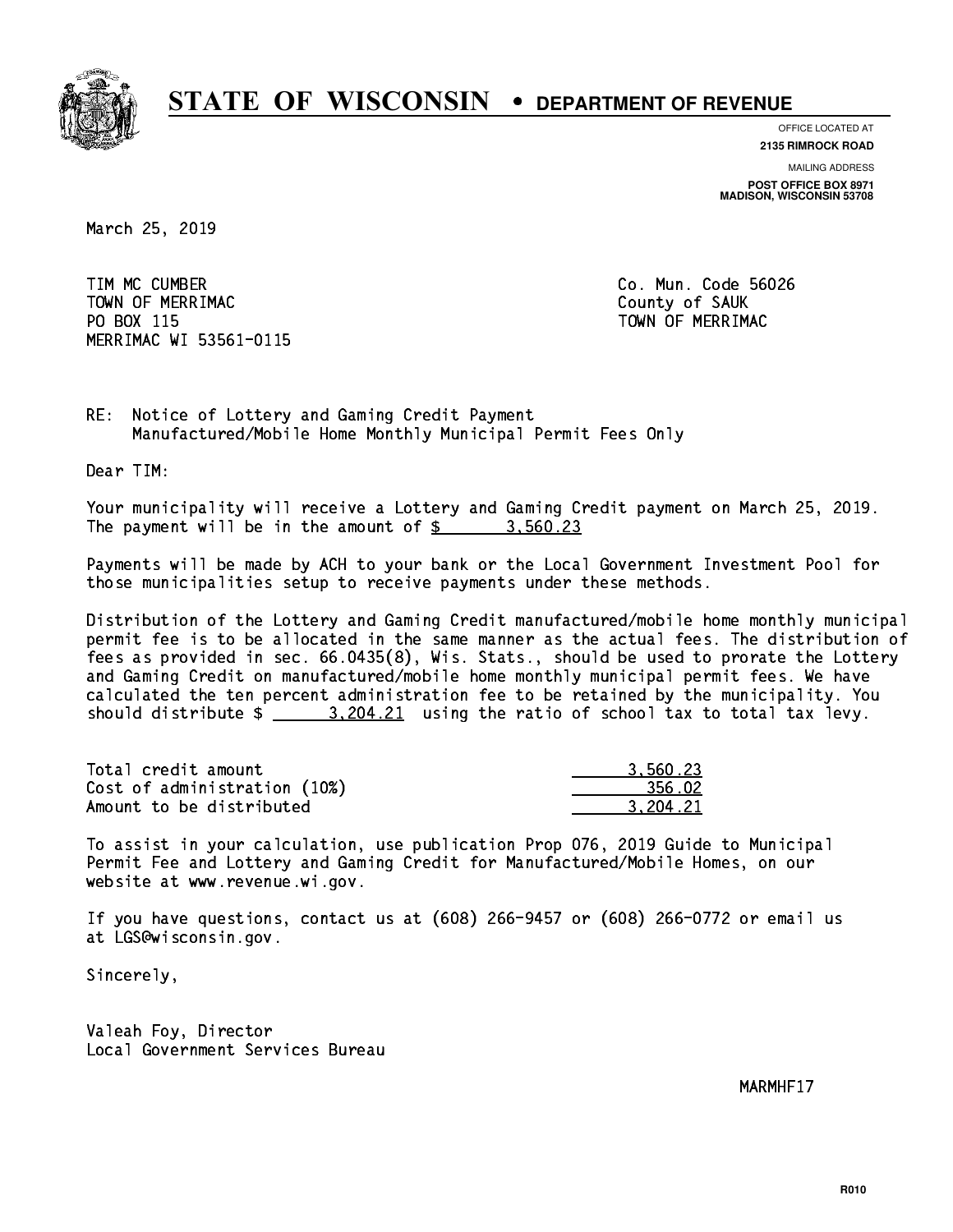

**OFFICE LOCATED AT**

**2135 RIMROCK ROAD**

**MAILING ADDRESS POST OFFICE BOX 8971 MADISON, WISCONSIN 53708**

March 25, 2019

 TIM MC CUMBER Co. Mun. Code 56026 TOWN OF MERRIMAC COUNTY OF SAUK PO BOX 115 MERRIMAC WI 53561-0115

TOWN OF MERRIMAC

RE: Notice of Lottery and Gaming Credit Payment Manufactured/Mobile Home Monthly Municipal Permit Fees Only

Dear TIM:

 Your municipality will receive a Lottery and Gaming Credit payment on March 25, 2019. The payment will be in the amount of  $\frac{2}{3}$  3,560.23

 Payments will be made by ACH to your bank or the Local Government Investment Pool for those municipalities setup to receive payments under these methods.

 Distribution of the Lottery and Gaming Credit manufactured/mobile home monthly municipal permit fee is to be allocated in the same manner as the actual fees. The distribution of fees as provided in sec. 66.0435(8), Wis. Stats., should be used to prorate the Lottery and Gaming Credit on manufactured/mobile home monthly municipal permit fees. We have calculated the ten percent administration fee to be retained by the municipality. You should distribute  $\frac{2}{2}$   $\frac{3,204.21}{2}$  using the ratio of school tax to total tax levy.

| Total credit amount          | 3.560.23 |
|------------------------------|----------|
| Cost of administration (10%) | 356.02   |
| Amount to be distributed     | 3.204.21 |

 To assist in your calculation, use publication Prop 076, 2019 Guide to Municipal Permit Fee and Lottery and Gaming Credit for Manufactured/Mobile Homes, on our website at www.revenue.wi.gov.

 If you have questions, contact us at (608) 266-9457 or (608) 266-0772 or email us at LGS@wisconsin.gov.

Sincerely,

 Valeah Foy, Director Local Government Services Bureau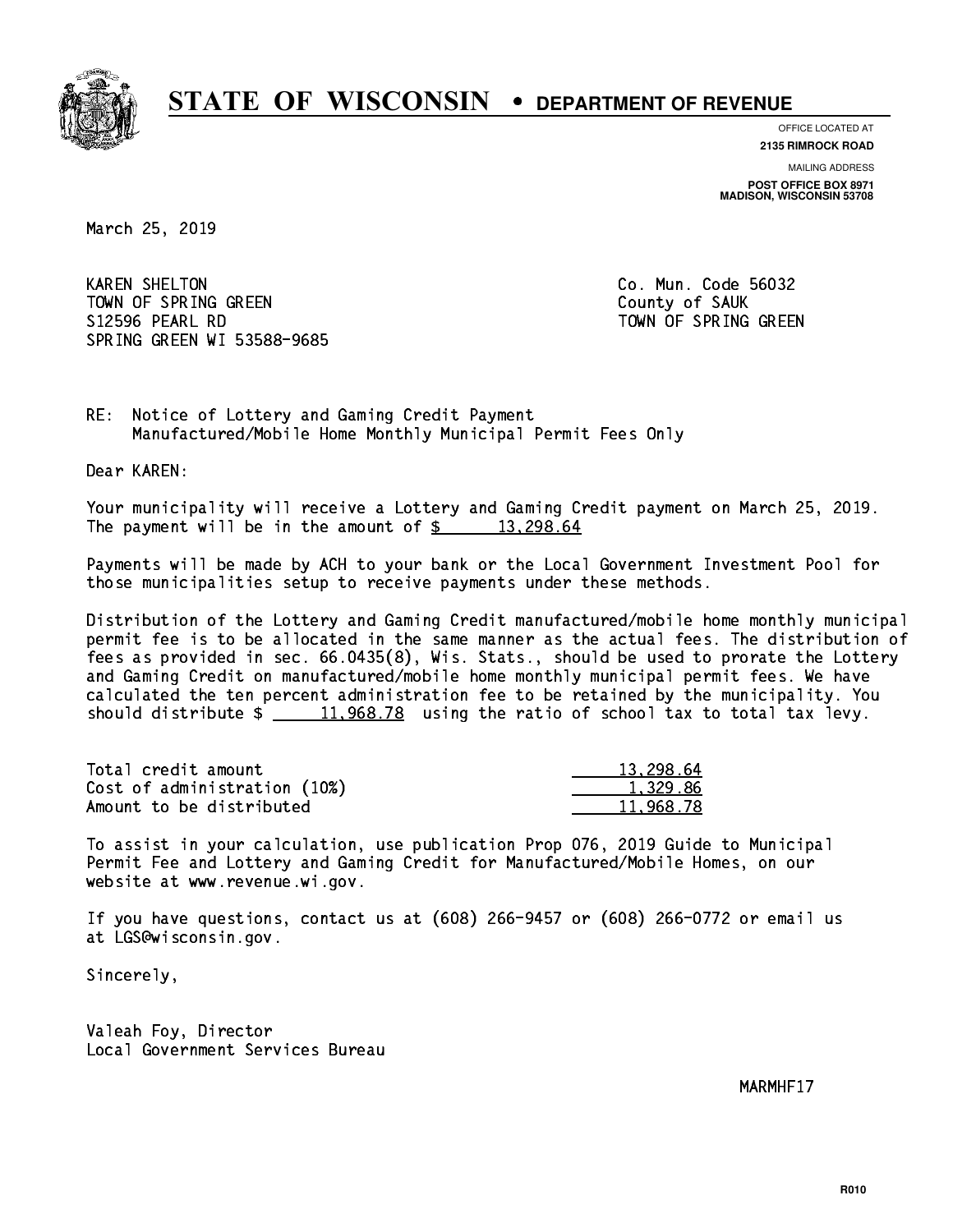

**OFFICE LOCATED AT**

**2135 RIMROCK ROAD**

**MAILING ADDRESS POST OFFICE BOX 8971 MADISON, WISCONSIN 53708**

March 25, 2019

**KAREN SHELTON** TOWN OF SPRING GREEN COUNTY OF SAUK S12596 PEARL RD TOWN OF SPRING GREEN SPRING GREEN WI 53588-9685

Co. Mun. Code 56032

RE: Notice of Lottery and Gaming Credit Payment Manufactured/Mobile Home Monthly Municipal Permit Fees Only

Dear KAREN:

 Your municipality will receive a Lottery and Gaming Credit payment on March 25, 2019. The payment will be in the amount of  $\frac{2}{3}$  13,298.64

 Payments will be made by ACH to your bank or the Local Government Investment Pool for those municipalities setup to receive payments under these methods.

 Distribution of the Lottery and Gaming Credit manufactured/mobile home monthly municipal permit fee is to be allocated in the same manner as the actual fees. The distribution of fees as provided in sec. 66.0435(8), Wis. Stats., should be used to prorate the Lottery and Gaming Credit on manufactured/mobile home monthly municipal permit fees. We have calculated the ten percent administration fee to be retained by the municipality. You should distribute  $\frac{11,968.78}{2}$  using the ratio of school tax to total tax levy.

| Total credit amount          | 13,298.64 |
|------------------------------|-----------|
| Cost of administration (10%) | 1.329.86  |
| Amount to be distributed     | 11.968.78 |

 To assist in your calculation, use publication Prop 076, 2019 Guide to Municipal Permit Fee and Lottery and Gaming Credit for Manufactured/Mobile Homes, on our website at www.revenue.wi.gov.

 If you have questions, contact us at (608) 266-9457 or (608) 266-0772 or email us at LGS@wisconsin.gov.

Sincerely,

 Valeah Foy, Director Local Government Services Bureau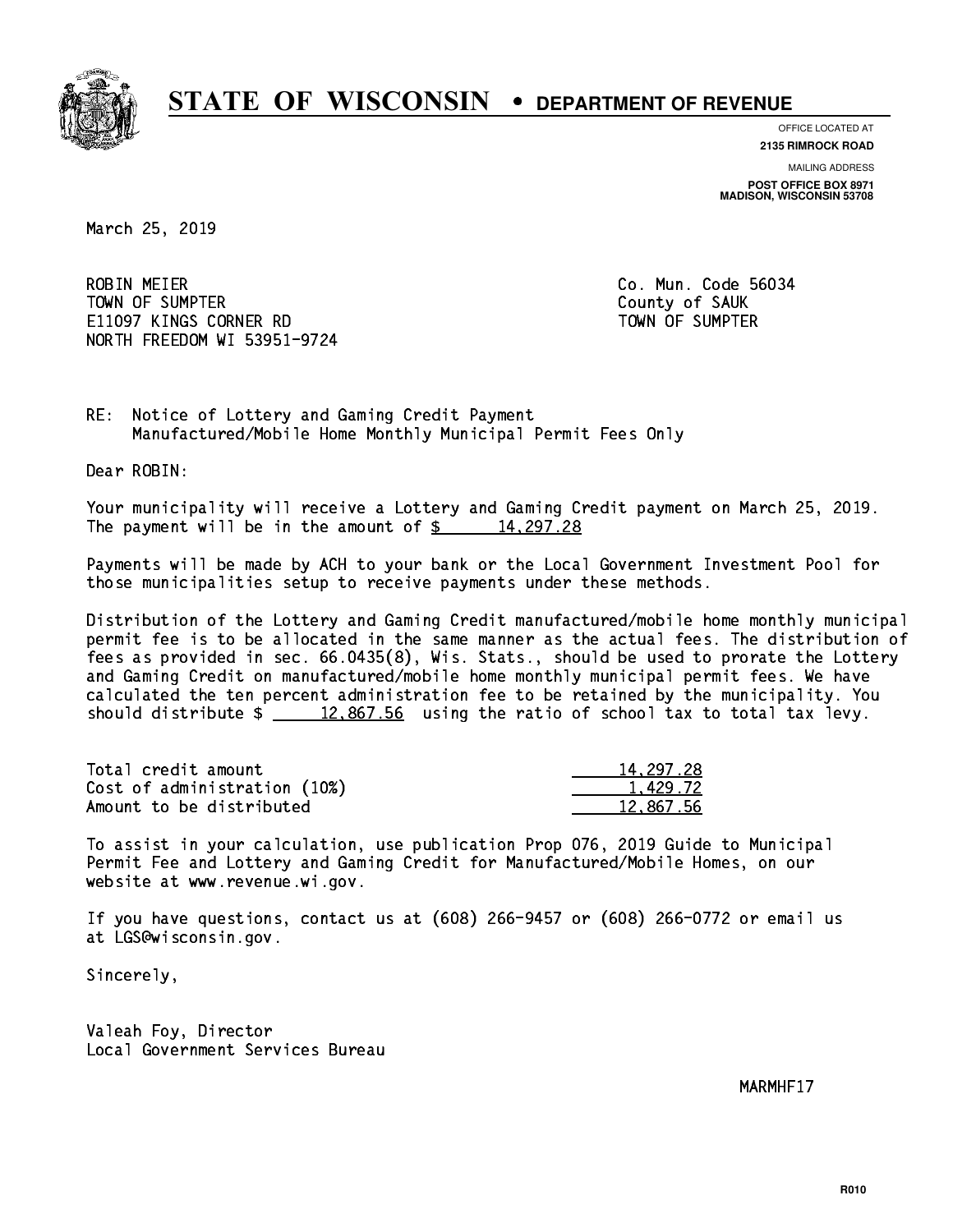

**OFFICE LOCATED AT**

**MAILING ADDRESS 2135 RIMROCK ROAD**

**POST OFFICE BOX 8971 MADISON, WISCONSIN 53708**

March 25, 2019

**ROBIN MEIER**  TOWN OF SUMPTER County of SAUK E11097 KINGS CORNER RD TOWN OF SUMPTER NORTH FREEDOM WI 53951-9724

Co. Mun. Code 56034

RE: Notice of Lottery and Gaming Credit Payment Manufactured/Mobile Home Monthly Municipal Permit Fees Only

Dear ROBIN:

 Your municipality will receive a Lottery and Gaming Credit payment on March 25, 2019. The payment will be in the amount of  $\frac{2}{3}$  14,297.28

 Payments will be made by ACH to your bank or the Local Government Investment Pool for those municipalities setup to receive payments under these methods.

 Distribution of the Lottery and Gaming Credit manufactured/mobile home monthly municipal permit fee is to be allocated in the same manner as the actual fees. The distribution of fees as provided in sec. 66.0435(8), Wis. Stats., should be used to prorate the Lottery and Gaming Credit on manufactured/mobile home monthly municipal permit fees. We have calculated the ten percent administration fee to be retained by the municipality. You should distribute  $\frac{2}{2}$   $\frac{12,867.56}{2}$  using the ratio of school tax to total tax levy.

| Total credit amount          | 14, 297, 28 |
|------------------------------|-------------|
| Cost of administration (10%) | 1.429.72    |
| Amount to be distributed     | 12.867.56   |

 To assist in your calculation, use publication Prop 076, 2019 Guide to Municipal Permit Fee and Lottery and Gaming Credit for Manufactured/Mobile Homes, on our website at www.revenue.wi.gov.

 If you have questions, contact us at (608) 266-9457 or (608) 266-0772 or email us at LGS@wisconsin.gov.

Sincerely,

 Valeah Foy, Director Local Government Services Bureau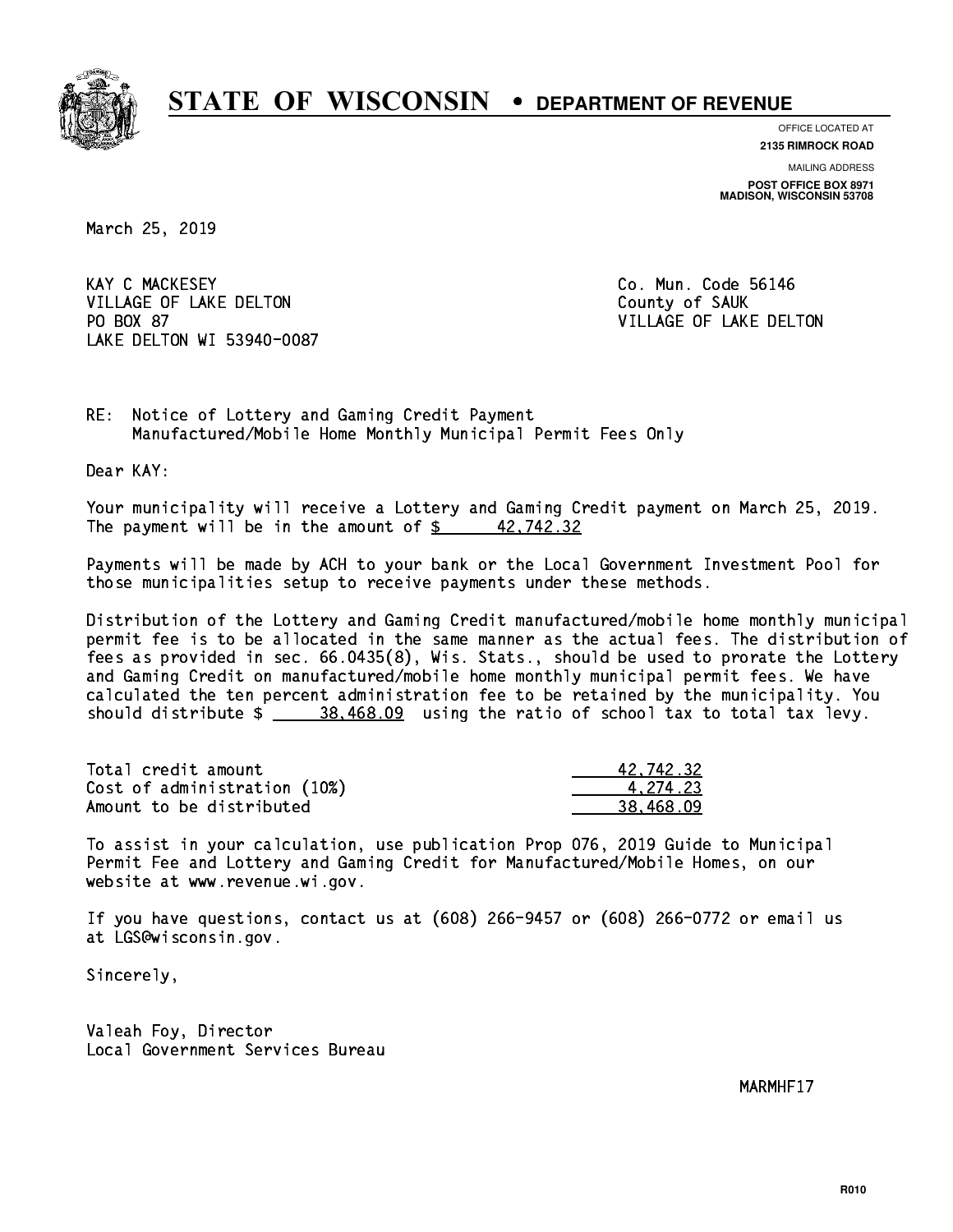

**OFFICE LOCATED AT**

**2135 RIMROCK ROAD**

**MAILING ADDRESS POST OFFICE BOX 8971 MADISON, WISCONSIN 53708**

March 25, 2019

**KAY C MACKESEY** VILLAGE OF LAKE DELTON COUNTY OF SAUK PO BOX 87 LAKE DELTON WI 53940-0087

Co. Mun. Code 56146 VILLAGE OF LAKE DELTON

RE: Notice of Lottery and Gaming Credit Payment Manufactured/Mobile Home Monthly Municipal Permit Fees Only

Dear KAY:

 Your municipality will receive a Lottery and Gaming Credit payment on March 25, 2019. The payment will be in the amount of  $\frac{2}{3}$  42,742.32

 Payments will be made by ACH to your bank or the Local Government Investment Pool for those municipalities setup to receive payments under these methods.

 Distribution of the Lottery and Gaming Credit manufactured/mobile home monthly municipal permit fee is to be allocated in the same manner as the actual fees. The distribution of fees as provided in sec. 66.0435(8), Wis. Stats., should be used to prorate the Lottery and Gaming Credit on manufactured/mobile home monthly municipal permit fees. We have calculated the ten percent administration fee to be retained by the municipality. You should distribute  $\frac{28.468.09}{2}$  using the ratio of school tax to total tax levy.

| Total credit amount          | 42.742.32 |
|------------------------------|-----------|
| Cost of administration (10%) | 4.274.23  |
| Amount to be distributed     | 38.468.09 |

 To assist in your calculation, use publication Prop 076, 2019 Guide to Municipal Permit Fee and Lottery and Gaming Credit for Manufactured/Mobile Homes, on our website at www.revenue.wi.gov.

 If you have questions, contact us at (608) 266-9457 or (608) 266-0772 or email us at LGS@wisconsin.gov.

Sincerely,

 Valeah Foy, Director Local Government Services Bureau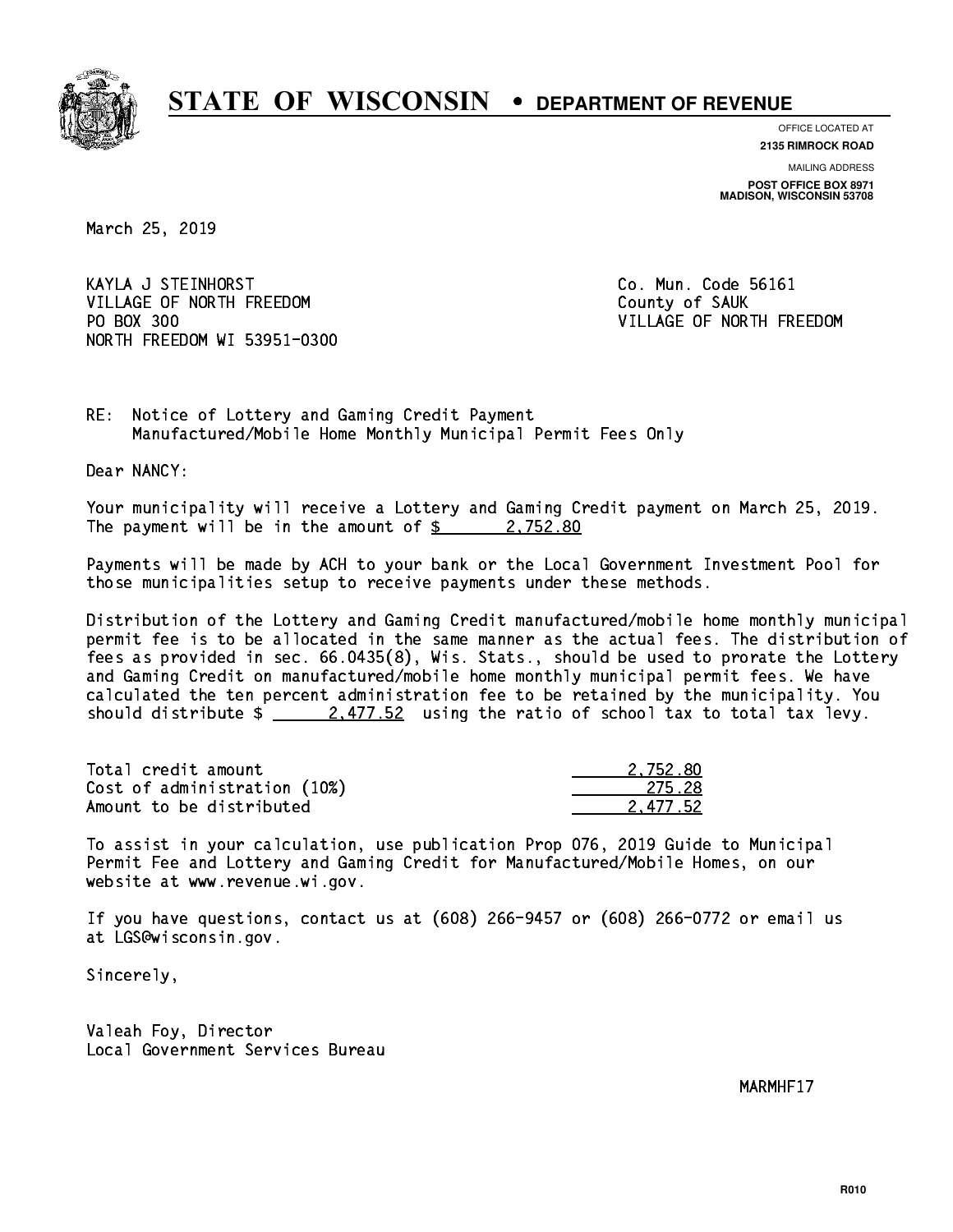

**OFFICE LOCATED AT**

**2135 RIMROCK ROAD**

**MAILING ADDRESS POST OFFICE BOX 8971 MADISON, WISCONSIN 53708**

March 25, 2019

 KAYLA J STEINHORST Co. Mun. Code 56161 VILLAGE OF NORTH FREEDOM County of SAUK PO BOX 300 NORTH FREEDOM WI 53951-0300

VILLAGE OF NORTH FREEDOM

RE: Notice of Lottery and Gaming Credit Payment Manufactured/Mobile Home Monthly Municipal Permit Fees Only

Dear NANCY:

 Your municipality will receive a Lottery and Gaming Credit payment on March 25, 2019. The payment will be in the amount of  $\frac{2}{3}$  2,752.80

 Payments will be made by ACH to your bank or the Local Government Investment Pool for those municipalities setup to receive payments under these methods.

 Distribution of the Lottery and Gaming Credit manufactured/mobile home monthly municipal permit fee is to be allocated in the same manner as the actual fees. The distribution of fees as provided in sec. 66.0435(8), Wis. Stats., should be used to prorate the Lottery and Gaming Credit on manufactured/mobile home monthly municipal permit fees. We have calculated the ten percent administration fee to be retained by the municipality. You should distribute  $\frac{2.477.52}{2.477.52}$  using the ratio of school tax to total tax levy.

| Total credit amount          | 2.752.80 |
|------------------------------|----------|
| Cost of administration (10%) | 275.28   |
| Amount to be distributed     | 2.477.52 |

 To assist in your calculation, use publication Prop 076, 2019 Guide to Municipal Permit Fee and Lottery and Gaming Credit for Manufactured/Mobile Homes, on our website at www.revenue.wi.gov.

 If you have questions, contact us at (608) 266-9457 or (608) 266-0772 or email us at LGS@wisconsin.gov.

Sincerely,

 Valeah Foy, Director Local Government Services Bureau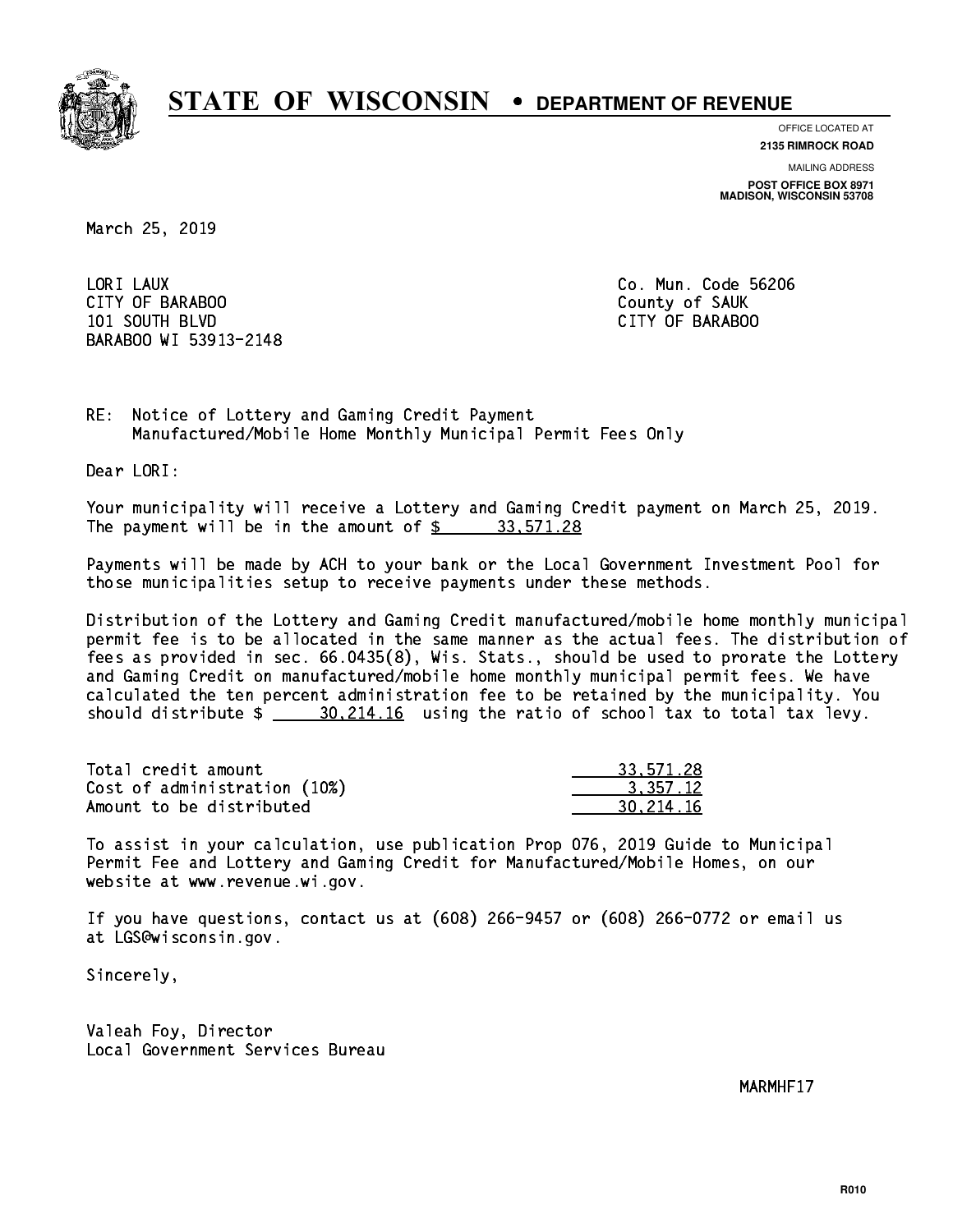

**OFFICE LOCATED AT**

**MAILING ADDRESS 2135 RIMROCK ROAD**

**POST OFFICE BOX 8971 MADISON, WISCONSIN 53708**

March 25, 2019

LORI LAUX CITY OF BARABOO County of SAUK 101 SOUTH BLVD CITY OF BARABOO BARABOO WI 53913-2148

Co. Mun. Code 56206

RE: Notice of Lottery and Gaming Credit Payment Manufactured/Mobile Home Monthly Municipal Permit Fees Only

Dear LORI:

 Your municipality will receive a Lottery and Gaming Credit payment on March 25, 2019. The payment will be in the amount of  $\frac{2}{3}$  33,571.28

 Payments will be made by ACH to your bank or the Local Government Investment Pool for those municipalities setup to receive payments under these methods.

 Distribution of the Lottery and Gaming Credit manufactured/mobile home monthly municipal permit fee is to be allocated in the same manner as the actual fees. The distribution of fees as provided in sec. 66.0435(8), Wis. Stats., should be used to prorate the Lottery and Gaming Credit on manufactured/mobile home monthly municipal permit fees. We have calculated the ten percent administration fee to be retained by the municipality. You should distribute  $\frac{20,214.16}{20,214.16}$  using the ratio of school tax to total tax levy.

| Total credit amount          | 33.571.28 |
|------------------------------|-----------|
| Cost of administration (10%) | 3.357.12  |
| Amount to be distributed     | 30.214.16 |

 To assist in your calculation, use publication Prop 076, 2019 Guide to Municipal Permit Fee and Lottery and Gaming Credit for Manufactured/Mobile Homes, on our website at www.revenue.wi.gov.

 If you have questions, contact us at (608) 266-9457 or (608) 266-0772 or email us at LGS@wisconsin.gov.

Sincerely,

 Valeah Foy, Director Local Government Services Bureau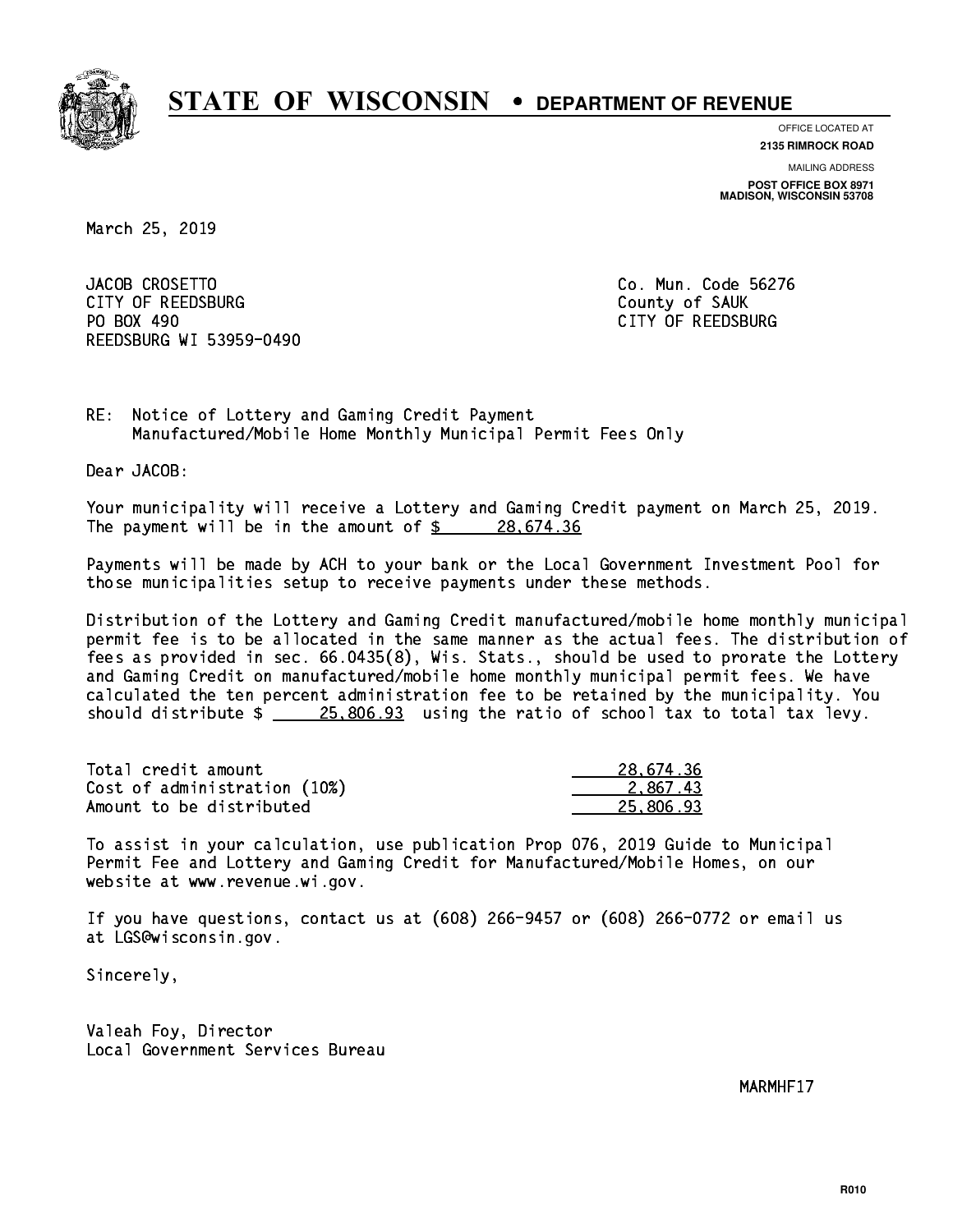

**OFFICE LOCATED AT**

**2135 RIMROCK ROAD**

**MAILING ADDRESS POST OFFICE BOX 8971 MADISON, WISCONSIN 53708**

March 25, 2019

JACOB CROSETTO CITY OF REEDSBURG COUNTY COUNTY OF SAUK PO BOX 490 REEDSBURG WI 53959-0490

Co. Mun. Code 56276 CITY OF REEDSBURG

RE: Notice of Lottery and Gaming Credit Payment Manufactured/Mobile Home Monthly Municipal Permit Fees Only

Dear JACOB:

 Your municipality will receive a Lottery and Gaming Credit payment on March 25, 2019. The payment will be in the amount of  $\frac{28.674.36}{5}$ 

 Payments will be made by ACH to your bank or the Local Government Investment Pool for those municipalities setup to receive payments under these methods.

 Distribution of the Lottery and Gaming Credit manufactured/mobile home monthly municipal permit fee is to be allocated in the same manner as the actual fees. The distribution of fees as provided in sec. 66.0435(8), Wis. Stats., should be used to prorate the Lottery and Gaming Credit on manufactured/mobile home monthly municipal permit fees. We have calculated the ten percent administration fee to be retained by the municipality. You should distribute  $\frac{25,806.93}{25,806.93}$  using the ratio of school tax to total tax levy.

| Total credit amount          | 28,674.36 |
|------------------------------|-----------|
| Cost of administration (10%) | 2.867.43  |
| Amount to be distributed     | 25.806.93 |

 To assist in your calculation, use publication Prop 076, 2019 Guide to Municipal Permit Fee and Lottery and Gaming Credit for Manufactured/Mobile Homes, on our website at www.revenue.wi.gov.

 If you have questions, contact us at (608) 266-9457 or (608) 266-0772 or email us at LGS@wisconsin.gov.

Sincerely,

 Valeah Foy, Director Local Government Services Bureau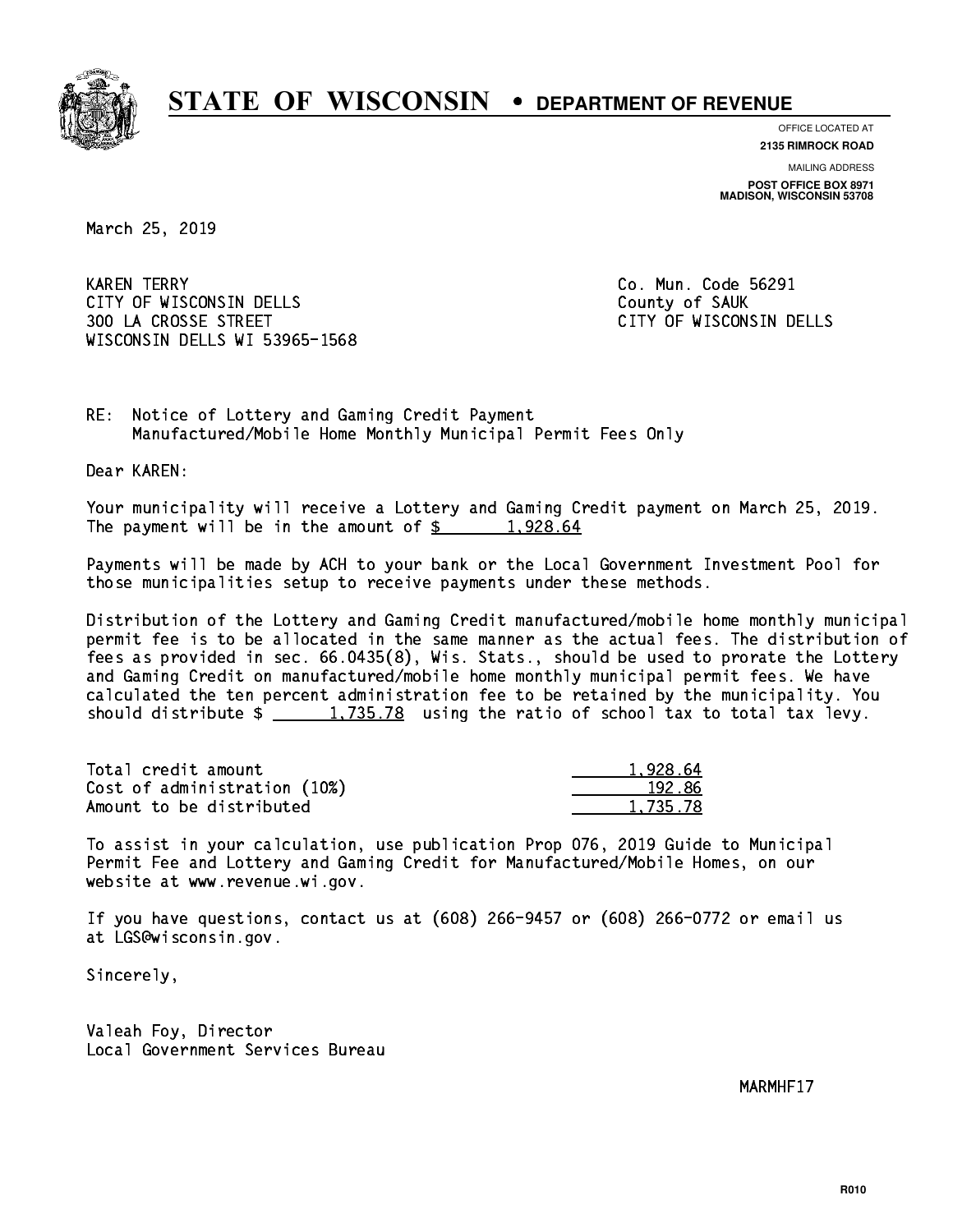

**OFFICE LOCATED AT**

**2135 RIMROCK ROAD**

**MAILING ADDRESS POST OFFICE BOX 8971 MADISON, WISCONSIN 53708**

March 25, 2019

**KAREN TERRY** CITY OF WISCONSIN DELLS COUNTY OF SAUK 300 LA CROSSE STREET CITY OF WISCONSIN DELLS WISCONSIN DELLS WI 53965-1568

Co. Mun. Code 56291

RE: Notice of Lottery and Gaming Credit Payment Manufactured/Mobile Home Monthly Municipal Permit Fees Only

Dear KAREN:

 Your municipality will receive a Lottery and Gaming Credit payment on March 25, 2019. The payment will be in the amount of  $\frac{2}{3}$  1,928.64

 Payments will be made by ACH to your bank or the Local Government Investment Pool for those municipalities setup to receive payments under these methods.

 Distribution of the Lottery and Gaming Credit manufactured/mobile home monthly municipal permit fee is to be allocated in the same manner as the actual fees. The distribution of fees as provided in sec. 66.0435(8), Wis. Stats., should be used to prorate the Lottery and Gaming Credit on manufactured/mobile home monthly municipal permit fees. We have calculated the ten percent administration fee to be retained by the municipality. You should distribute  $\frac{1,735.78}{2}$  using the ratio of school tax to total tax levy.

| Total credit amount          | 1.928.64 |
|------------------------------|----------|
| Cost of administration (10%) | 192.86   |
| Amount to be distributed     | 1,735.78 |

 To assist in your calculation, use publication Prop 076, 2019 Guide to Municipal Permit Fee and Lottery and Gaming Credit for Manufactured/Mobile Homes, on our website at www.revenue.wi.gov.

 If you have questions, contact us at (608) 266-9457 or (608) 266-0772 or email us at LGS@wisconsin.gov.

Sincerely,

 Valeah Foy, Director Local Government Services Bureau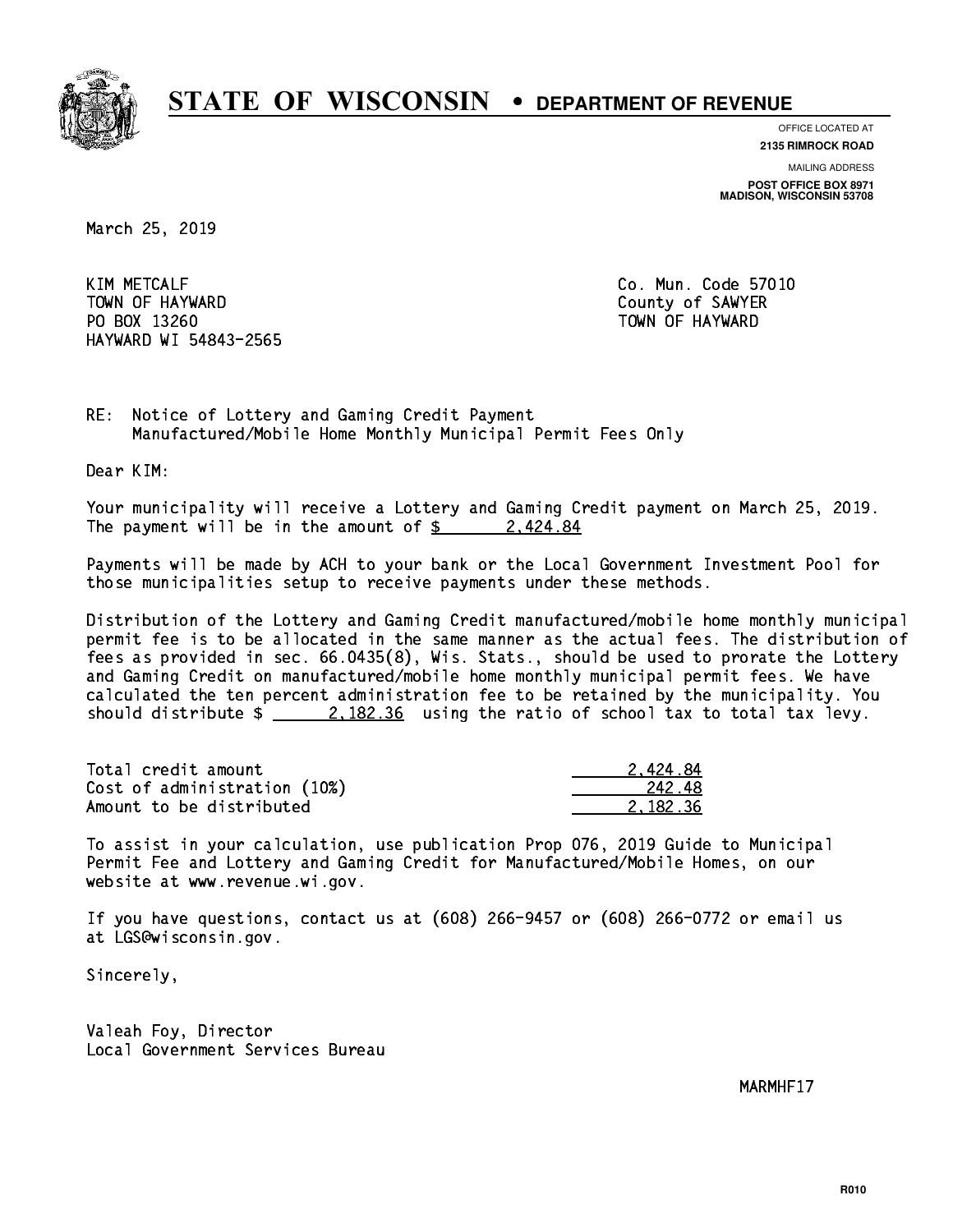

**OFFICE LOCATED AT**

**2135 RIMROCK ROAD**

**MAILING ADDRESS POST OFFICE BOX 8971 MADISON, WISCONSIN 53708**

March 25, 2019

**KIM METCALF** TOWN OF HAYWARD COUNTY OF SAMPLE COUNTY OF SAMPLER PO BOX 13260 TOWN OF HAYWARD HAYWARD WI 54843-2565

Co. Mun. Code 57010

RE: Notice of Lottery and Gaming Credit Payment Manufactured/Mobile Home Monthly Municipal Permit Fees Only

Dear KIM:

 Your municipality will receive a Lottery and Gaming Credit payment on March 25, 2019. The payment will be in the amount of  $\frac{2.424.84}{5}$ 

 Payments will be made by ACH to your bank or the Local Government Investment Pool for those municipalities setup to receive payments under these methods.

 Distribution of the Lottery and Gaming Credit manufactured/mobile home monthly municipal permit fee is to be allocated in the same manner as the actual fees. The distribution of fees as provided in sec. 66.0435(8), Wis. Stats., should be used to prorate the Lottery and Gaming Credit on manufactured/mobile home monthly municipal permit fees. We have calculated the ten percent administration fee to be retained by the municipality. You should distribute  $\frac{2.182.36}{2.182.36}$  using the ratio of school tax to total tax levy.

| Total credit amount          | 2.424.84 |
|------------------------------|----------|
| Cost of administration (10%) | -242.48  |
| Amount to be distributed     | 2.182.36 |

 To assist in your calculation, use publication Prop 076, 2019 Guide to Municipal Permit Fee and Lottery and Gaming Credit for Manufactured/Mobile Homes, on our website at www.revenue.wi.gov.

 If you have questions, contact us at (608) 266-9457 or (608) 266-0772 or email us at LGS@wisconsin.gov.

Sincerely,

 Valeah Foy, Director Local Government Services Bureau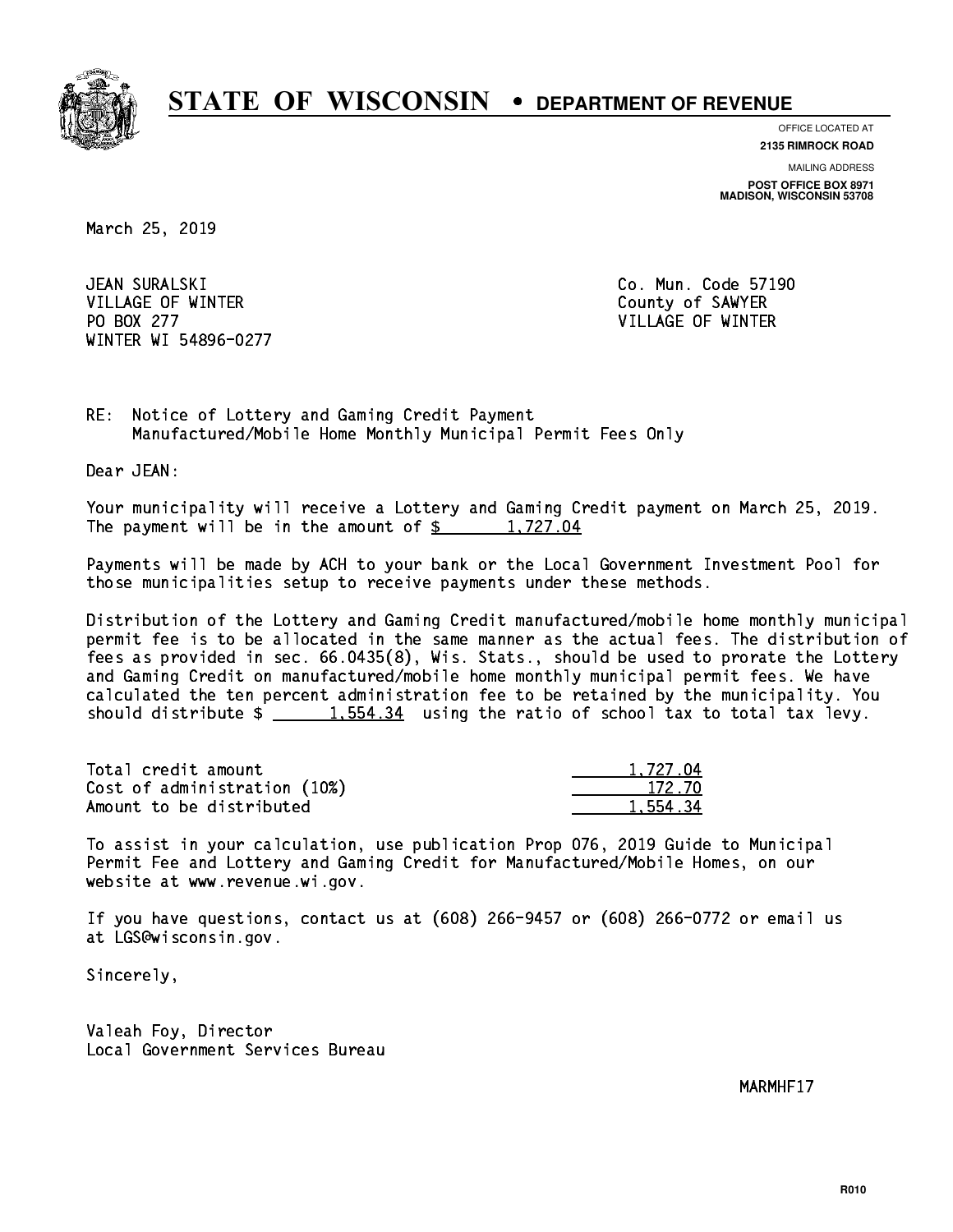

**OFFICE LOCATED AT**

**2135 RIMROCK ROAD**

**MAILING ADDRESS POST OFFICE BOX 8971 MADISON, WISCONSIN 53708**

March 25, 2019

JEAN SURALSKI VILLAGE OF WINTER COUNTY OF SAMPLE COUNTY OF SAMPLE COUNTY OF SAMPLE COUNTY OF SAMPLE COUNTY OF SAMPLE COUNTY OF SAMPLE COUNTY OF SAMPLE COUNTY OF SAMPLE COUNTY OF SAMPLE COUNTY OF SAMPLE COUNTY OF SAMPLE COUNTY OF SAMPLE PO BOX 277 VILLAGE OF WINTER WINTER WI 54896-0277

Co. Mun. Code 57190

RE: Notice of Lottery and Gaming Credit Payment Manufactured/Mobile Home Monthly Municipal Permit Fees Only

Dear JEAN:

 Your municipality will receive a Lottery and Gaming Credit payment on March 25, 2019. The payment will be in the amount of  $\frac{2}{3}$  1,727.04

 Payments will be made by ACH to your bank or the Local Government Investment Pool for those municipalities setup to receive payments under these methods.

 Distribution of the Lottery and Gaming Credit manufactured/mobile home monthly municipal permit fee is to be allocated in the same manner as the actual fees. The distribution of fees as provided in sec. 66.0435(8), Wis. Stats., should be used to prorate the Lottery and Gaming Credit on manufactured/mobile home monthly municipal permit fees. We have calculated the ten percent administration fee to be retained by the municipality. You should distribute  $\frac{2}{1,554.34}$  using the ratio of school tax to total tax levy.

| Total credit amount          | 1.727.04 |
|------------------------------|----------|
| Cost of administration (10%) | 172.70   |
| Amount to be distributed     | 1,554.34 |

 To assist in your calculation, use publication Prop 076, 2019 Guide to Municipal Permit Fee and Lottery and Gaming Credit for Manufactured/Mobile Homes, on our website at www.revenue.wi.gov.

 If you have questions, contact us at (608) 266-9457 or (608) 266-0772 or email us at LGS@wisconsin.gov.

Sincerely,

 Valeah Foy, Director Local Government Services Bureau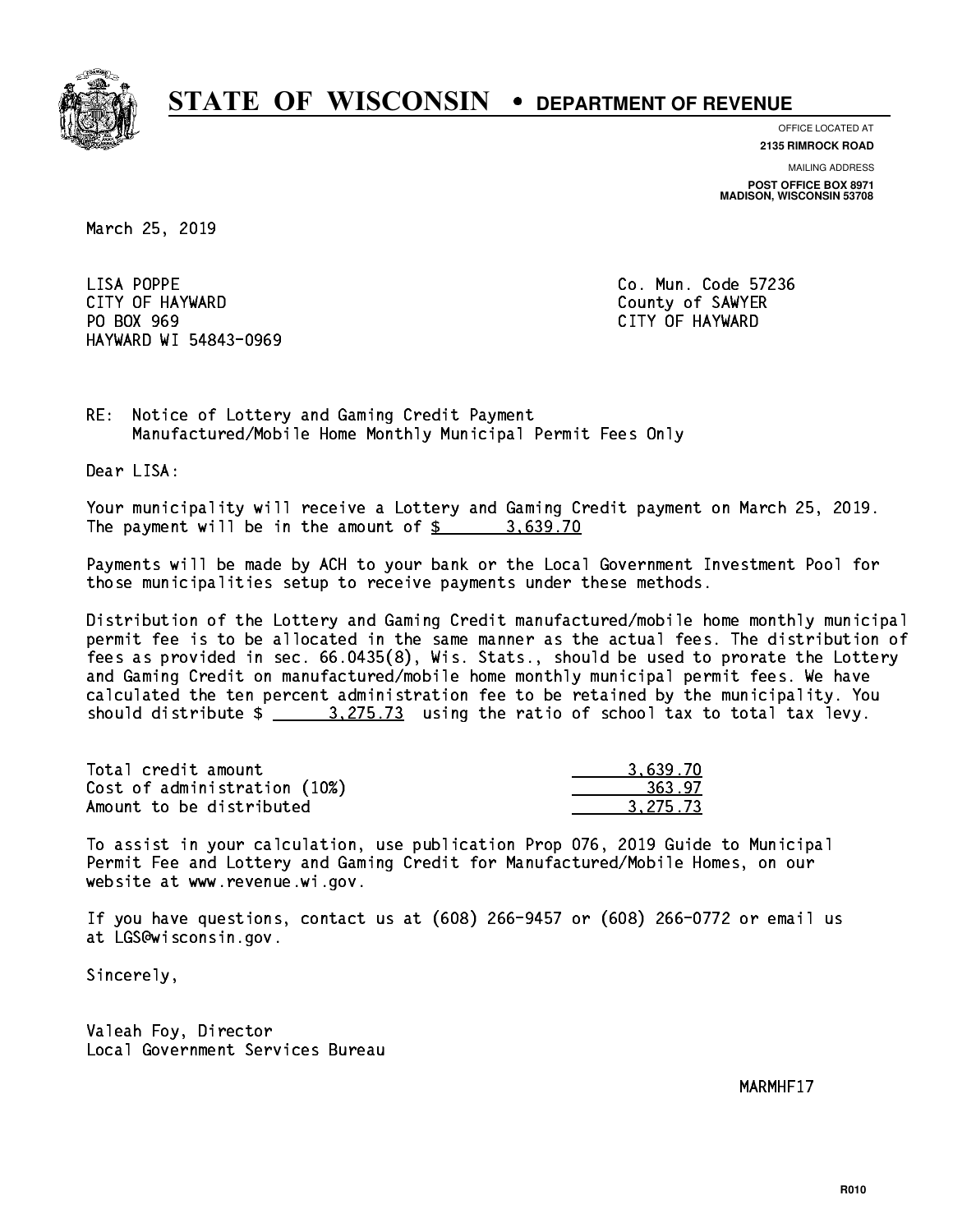

**OFFICE LOCATED AT**

**2135 RIMROCK ROAD**

**MAILING ADDRESS POST OFFICE BOX 8971 MADISON, WISCONSIN 53708**

March 25, 2019

LISA POPPE CITY OF HAYWARD COUNTY OF SAWYER PO BOX 969 PO BOX 969 CITY OF HAYWARD HAYWARD WI 54843-0969

Co. Mun. Code 57236

RE: Notice of Lottery and Gaming Credit Payment Manufactured/Mobile Home Monthly Municipal Permit Fees Only

Dear LISA:

 Your municipality will receive a Lottery and Gaming Credit payment on March 25, 2019. The payment will be in the amount of \$ 3,639.70 \_\_\_\_\_\_\_\_\_\_\_\_\_\_\_\_

 Payments will be made by ACH to your bank or the Local Government Investment Pool for those municipalities setup to receive payments under these methods.

 Distribution of the Lottery and Gaming Credit manufactured/mobile home monthly municipal permit fee is to be allocated in the same manner as the actual fees. The distribution of fees as provided in sec. 66.0435(8), Wis. Stats., should be used to prorate the Lottery and Gaming Credit on manufactured/mobile home monthly municipal permit fees. We have calculated the ten percent administration fee to be retained by the municipality. You should distribute  $\frac{2}{2}$   $\frac{3.275.73}{2}$  using the ratio of school tax to total tax levy.

| Total credit amount          | 3.639.70 |
|------------------------------|----------|
| Cost of administration (10%) | 363.97   |
| Amount to be distributed     | 3.275.73 |

 To assist in your calculation, use publication Prop 076, 2019 Guide to Municipal Permit Fee and Lottery and Gaming Credit for Manufactured/Mobile Homes, on our website at www.revenue.wi.gov.

 If you have questions, contact us at (608) 266-9457 or (608) 266-0772 or email us at LGS@wisconsin.gov.

Sincerely,

 Valeah Foy, Director Local Government Services Bureau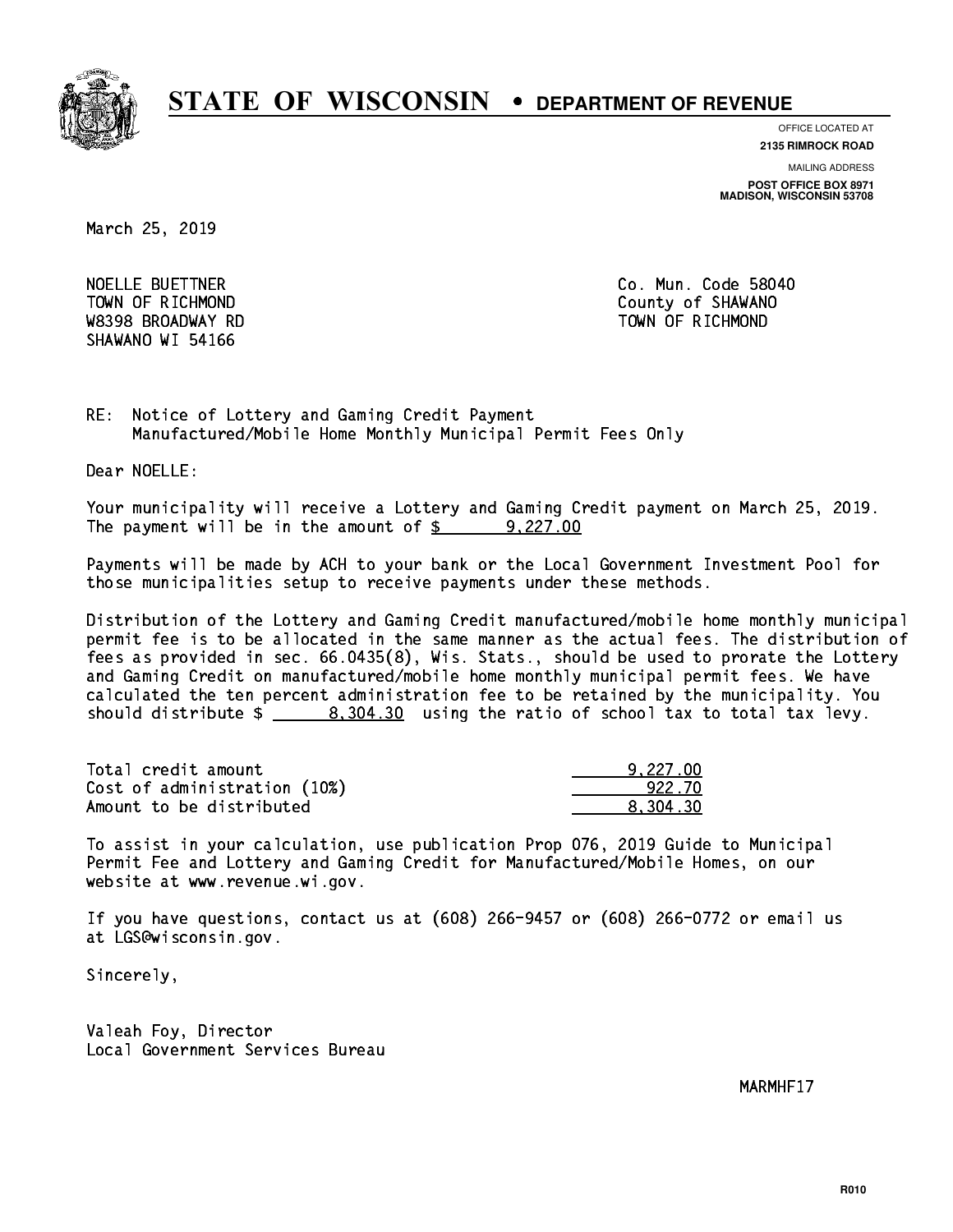

**OFFICE LOCATED AT**

**2135 RIMROCK ROAD**

**MAILING ADDRESS POST OFFICE BOX 8971 MADISON, WISCONSIN 53708**

March 25, 2019

NOELLE BUETTNER **Co. Mun. Code 58040**  W8398 BROADWAY RD TOWN OF RICHMOND SHAWANO WI 54166

TOWN OF RICHMOND COUNTY OF SHAWANO

RE: Notice of Lottery and Gaming Credit Payment Manufactured/Mobile Home Monthly Municipal Permit Fees Only

Dear NOELLE:

 Your municipality will receive a Lottery and Gaming Credit payment on March 25, 2019. The payment will be in the amount of \$ 9,227.00 \_\_\_\_\_\_\_\_\_\_\_\_\_\_\_\_

 Payments will be made by ACH to your bank or the Local Government Investment Pool for those municipalities setup to receive payments under these methods.

 Distribution of the Lottery and Gaming Credit manufactured/mobile home monthly municipal permit fee is to be allocated in the same manner as the actual fees. The distribution of fees as provided in sec. 66.0435(8), Wis. Stats., should be used to prorate the Lottery and Gaming Credit on manufactured/mobile home monthly municipal permit fees. We have calculated the ten percent administration fee to be retained by the municipality. You should distribute  $\frac{2}{1}$   $\frac{8,304.30}{1}$  using the ratio of school tax to total tax levy.

| Total credit amount          | 9,227.00 |
|------------------------------|----------|
| Cost of administration (10%) | 922.70   |
| Amount to be distributed     | 8.304.30 |

 To assist in your calculation, use publication Prop 076, 2019 Guide to Municipal Permit Fee and Lottery and Gaming Credit for Manufactured/Mobile Homes, on our website at www.revenue.wi.gov.

 If you have questions, contact us at (608) 266-9457 or (608) 266-0772 or email us at LGS@wisconsin.gov.

Sincerely,

 Valeah Foy, Director Local Government Services Bureau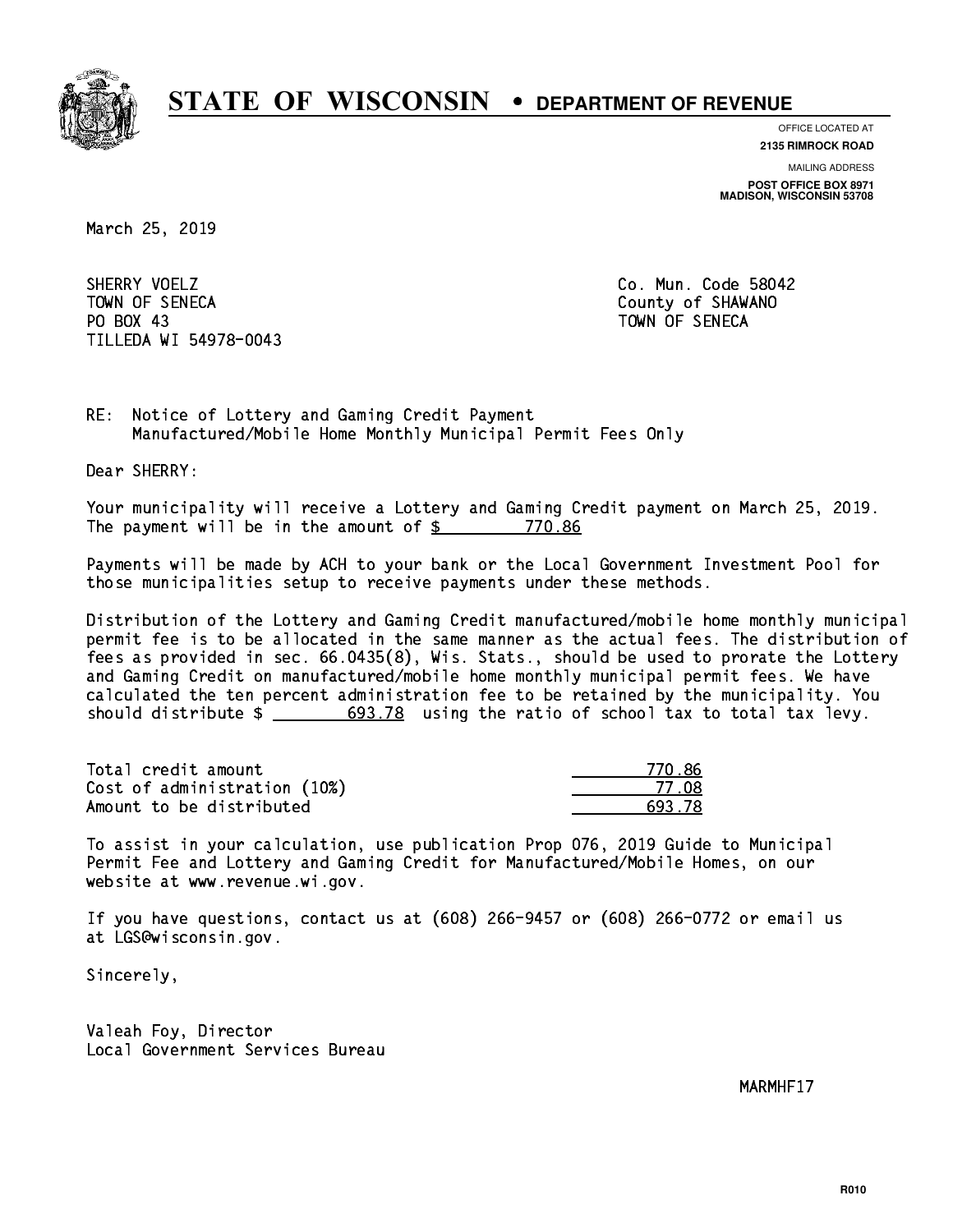

**OFFICE LOCATED AT**

**2135 RIMROCK ROAD**

**MAILING ADDRESS**

**POST OFFICE BOX 8971 MADISON, WISCONSIN 53708**

March 25, 2019

SHERRY VOELZ TOWN OF SENECA County of SHAWANO PO BOX 43 PO BOX 43 TOWN OF SENECA TILLEDA WI 54978-0043

Co. Mun. Code 58042

RE: Notice of Lottery and Gaming Credit Payment Manufactured/Mobile Home Monthly Municipal Permit Fees Only

Dear SHERRY:

 Your municipality will receive a Lottery and Gaming Credit payment on March 25, 2019. The payment will be in the amount of \$ 770.86 \_\_\_\_\_\_\_\_\_\_\_\_\_\_\_\_

 Payments will be made by ACH to your bank or the Local Government Investment Pool for those municipalities setup to receive payments under these methods.

 Distribution of the Lottery and Gaming Credit manufactured/mobile home monthly municipal permit fee is to be allocated in the same manner as the actual fees. The distribution of fees as provided in sec. 66.0435(8), Wis. Stats., should be used to prorate the Lottery and Gaming Credit on manufactured/mobile home monthly municipal permit fees. We have calculated the ten percent administration fee to be retained by the municipality. You should distribute  $\frac{2}{1}$   $\frac{693.78}{2}$  using the ratio of school tax to total tax levy.

Total credit amount Cost of administration (10%) Amount to be distributed

| N. 86<br>-71 |
|--------------|
| 77.NR        |
| 13. 78       |

 To assist in your calculation, use publication Prop 076, 2019 Guide to Municipal Permit Fee and Lottery and Gaming Credit for Manufactured/Mobile Homes, on our website at www.revenue.wi.gov.

 If you have questions, contact us at (608) 266-9457 or (608) 266-0772 or email us at LGS@wisconsin.gov.

Sincerely,

 Valeah Foy, Director Local Government Services Bureau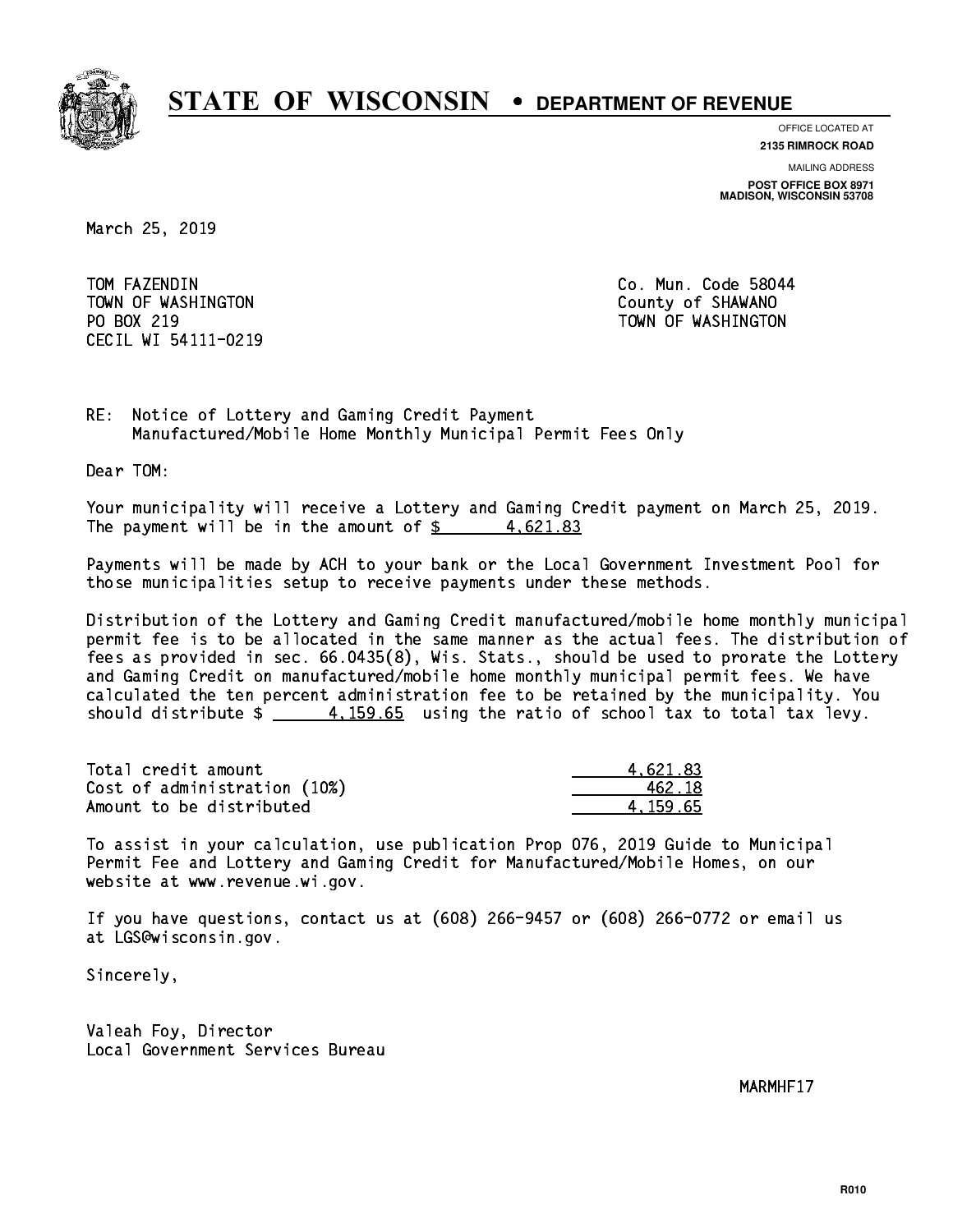

**OFFICE LOCATED AT**

**2135 RIMROCK ROAD**

**MAILING ADDRESS**

**POST OFFICE BOX 8971 MADISON, WISCONSIN 53708**

March 25, 2019

TOM FAZENDIN TOWN OF WASHINGTON COUNTY OF SHAWANO PO BOX 219 CECIL WI 54111-0219

Co. Mun. Code 58044 TOWN OF WASHINGTON

RE: Notice of Lottery and Gaming Credit Payment Manufactured/Mobile Home Monthly Municipal Permit Fees Only

Dear TOM:

 Your municipality will receive a Lottery and Gaming Credit payment on March 25, 2019. The payment will be in the amount of  $\frac{2}{3}$  4,621.83

 Payments will be made by ACH to your bank or the Local Government Investment Pool for those municipalities setup to receive payments under these methods.

 Distribution of the Lottery and Gaming Credit manufactured/mobile home monthly municipal permit fee is to be allocated in the same manner as the actual fees. The distribution of fees as provided in sec. 66.0435(8), Wis. Stats., should be used to prorate the Lottery and Gaming Credit on manufactured/mobile home monthly municipal permit fees. We have calculated the ten percent administration fee to be retained by the municipality. You should distribute  $\frac{4.159.65}{2}$  using the ratio of school tax to total tax levy.

| Total credit amount          | 4.621.83 |
|------------------------------|----------|
| Cost of administration (10%) | 462.18   |
| Amount to be distributed     | 4.159.65 |

 To assist in your calculation, use publication Prop 076, 2019 Guide to Municipal Permit Fee and Lottery and Gaming Credit for Manufactured/Mobile Homes, on our website at www.revenue.wi.gov.

 If you have questions, contact us at (608) 266-9457 or (608) 266-0772 or email us at LGS@wisconsin.gov.

Sincerely,

 Valeah Foy, Director Local Government Services Bureau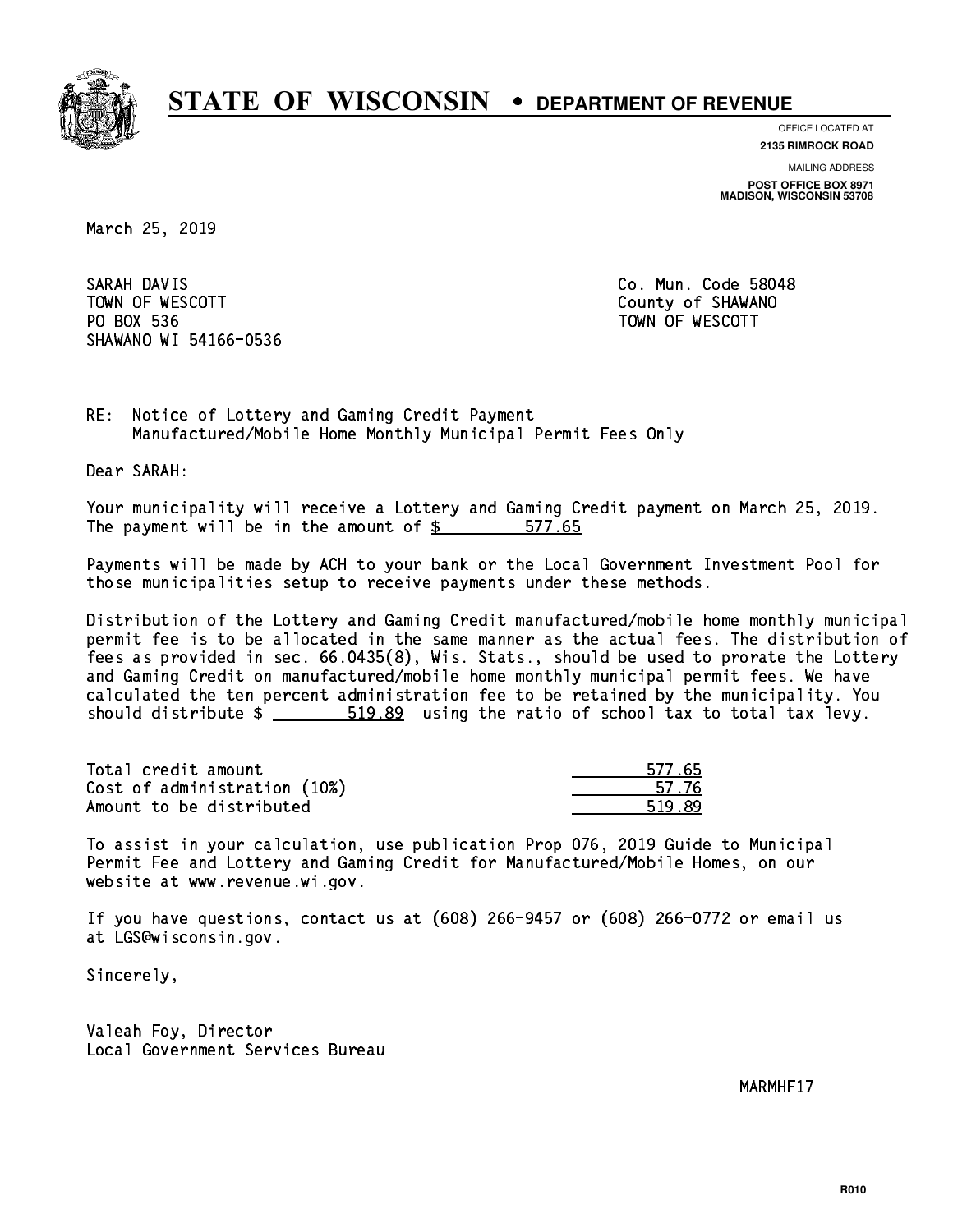

**OFFICE LOCATED AT**

**2135 RIMROCK ROAD**

**MAILING ADDRESS**

**POST OFFICE BOX 8971 MADISON, WISCONSIN 53708**

March 25, 2019

SARAH DAVIS TOWN OF WESCOTT COUNTY OF SHAWANO PO BOX 536 PO BOX 536 TOWN OF WESCOTT SHAWANO WI 54166-0536

Co. Mun. Code 58048

RE: Notice of Lottery and Gaming Credit Payment Manufactured/Mobile Home Monthly Municipal Permit Fees Only

Dear SARAH:

 Your municipality will receive a Lottery and Gaming Credit payment on March 25, 2019. The payment will be in the amount of \$ 577.65 \_\_\_\_\_\_\_\_\_\_\_\_\_\_\_\_

 Payments will be made by ACH to your bank or the Local Government Investment Pool for those municipalities setup to receive payments under these methods.

 Distribution of the Lottery and Gaming Credit manufactured/mobile home monthly municipal permit fee is to be allocated in the same manner as the actual fees. The distribution of fees as provided in sec. 66.0435(8), Wis. Stats., should be used to prorate the Lottery and Gaming Credit on manufactured/mobile home monthly municipal permit fees. We have calculated the ten percent administration fee to be retained by the municipality. You should distribute  $\frac{2}{1}$   $\frac{519.89}{2}$  using the ratio of school tax to total tax levy.

Total credit amount Cost of administration (10%) Amount to be distributed

| 55.<br>577<br>ΞI |
|------------------|
| 57. 76           |
|                  |

 To assist in your calculation, use publication Prop 076, 2019 Guide to Municipal Permit Fee and Lottery and Gaming Credit for Manufactured/Mobile Homes, on our website at www.revenue.wi.gov.

 If you have questions, contact us at (608) 266-9457 or (608) 266-0772 or email us at LGS@wisconsin.gov.

Sincerely,

 Valeah Foy, Director Local Government Services Bureau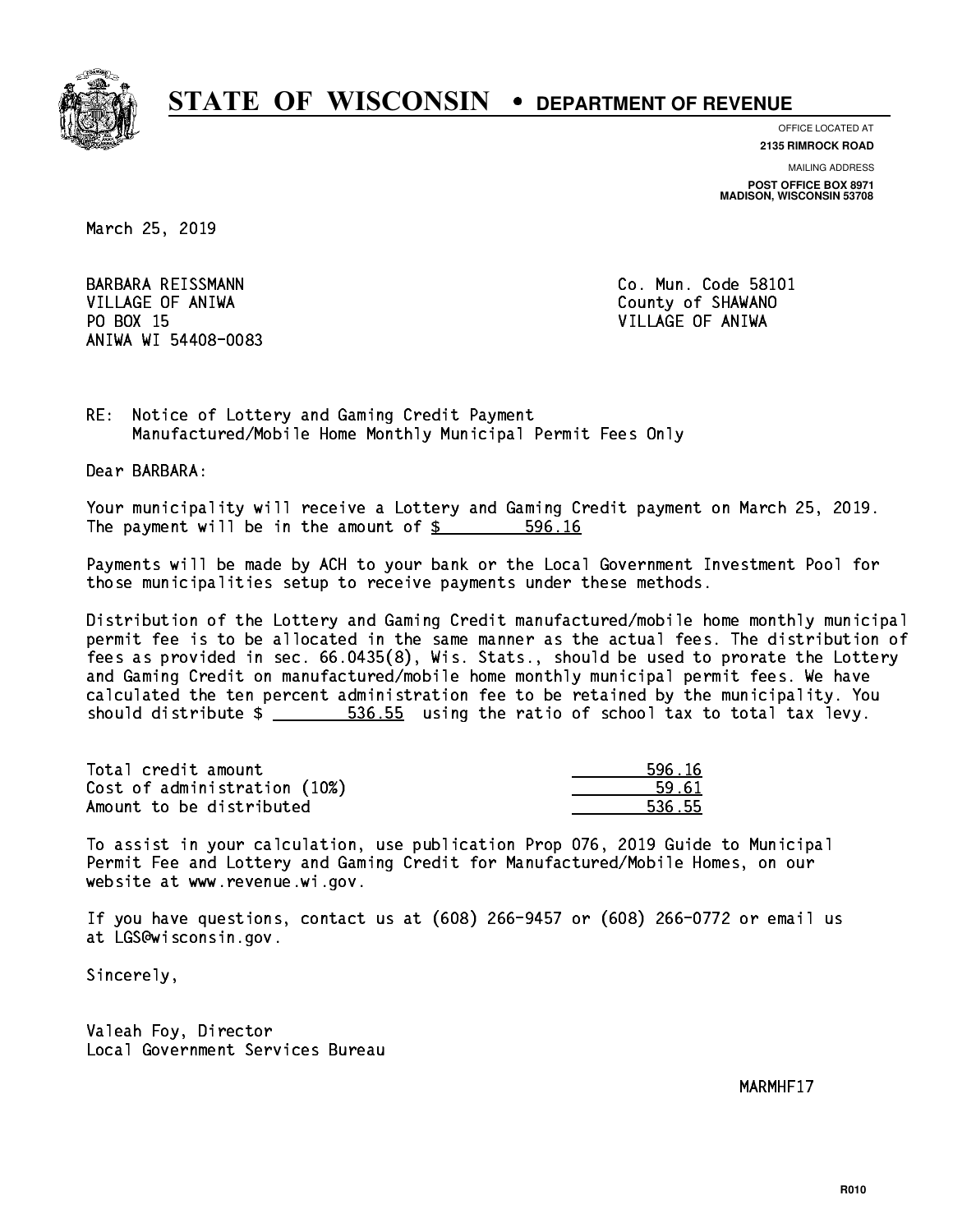

**OFFICE LOCATED AT 2135 RIMROCK ROAD**

**MAILING ADDRESS POST OFFICE BOX 8971 MADISON, WISCONSIN 53708**

March 25, 2019

 VILLAGE OF ANIWA County of SHAWANO PO BOX 15 PO BOX 15 VILLAGE OF ANIWA ANIWA WI 54408-0083

BARBARA REISSMANN Co. Mun. Code 58101

RE: Notice of Lottery and Gaming Credit Payment Manufactured/Mobile Home Monthly Municipal Permit Fees Only

Dear BARBARA:

 Your municipality will receive a Lottery and Gaming Credit payment on March 25, 2019. The payment will be in the amount of \$ 596.16 \_\_\_\_\_\_\_\_\_\_\_\_\_\_\_\_

 Payments will be made by ACH to your bank or the Local Government Investment Pool for those municipalities setup to receive payments under these methods.

 Distribution of the Lottery and Gaming Credit manufactured/mobile home monthly municipal permit fee is to be allocated in the same manner as the actual fees. The distribution of fees as provided in sec. 66.0435(8), Wis. Stats., should be used to prorate the Lottery and Gaming Credit on manufactured/mobile home monthly municipal permit fees. We have calculated the ten percent administration fee to be retained by the municipality. You should distribute  $\frac{2}{1}$   $\frac{536.55}{2}$  using the ratio of school tax to total tax levy.

Total credit amount Cost of administration (10%) Amount to be distributed

| ; 16       |
|------------|
| 61         |
| 55<br>L 21 |

 To assist in your calculation, use publication Prop 076, 2019 Guide to Municipal Permit Fee and Lottery and Gaming Credit for Manufactured/Mobile Homes, on our website at www.revenue.wi.gov.

 If you have questions, contact us at (608) 266-9457 or (608) 266-0772 or email us at LGS@wisconsin.gov.

Sincerely,

 Valeah Foy, Director Local Government Services Bureau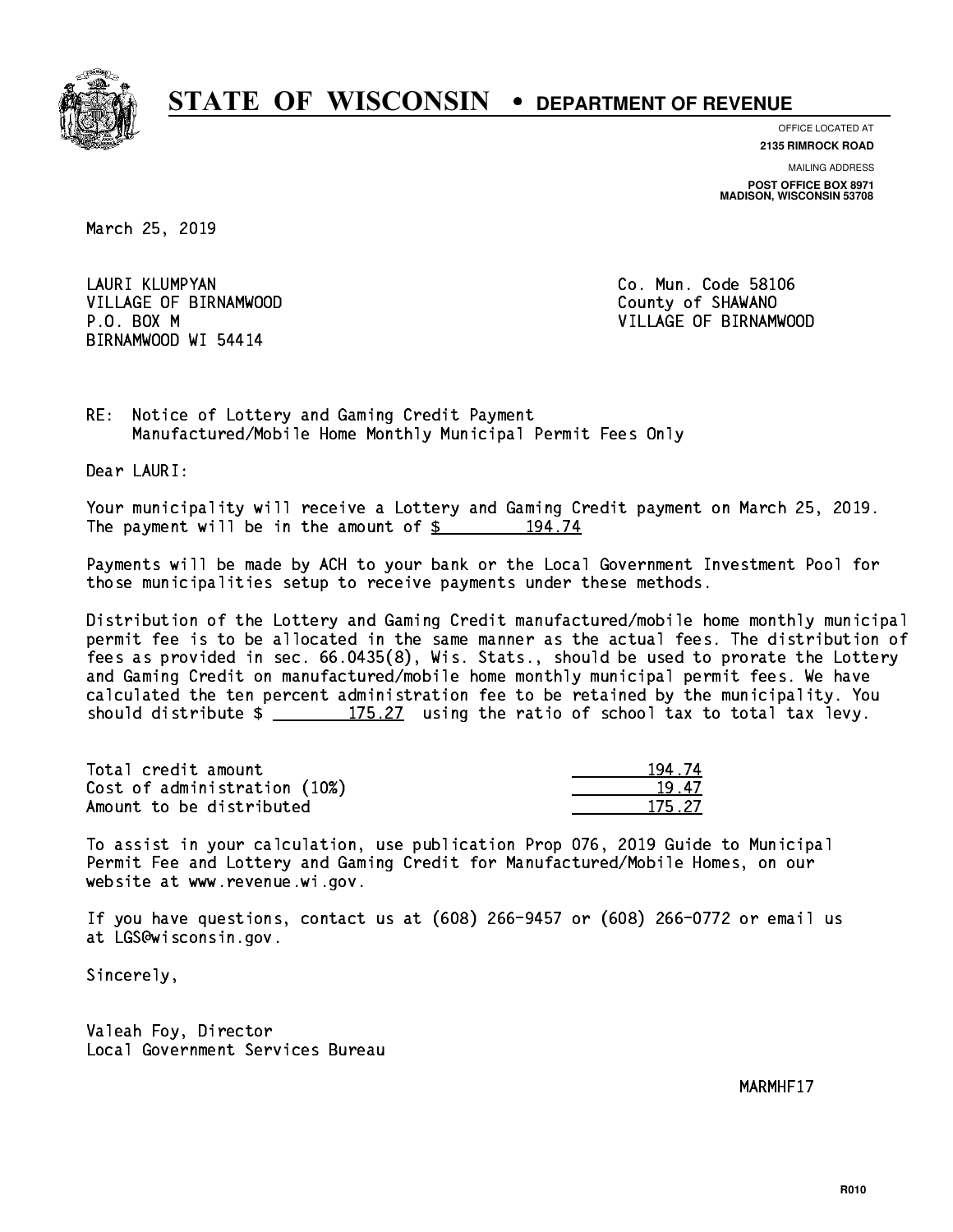

**OFFICE LOCATED AT**

**2135 RIMROCK ROAD**

**MAILING ADDRESS POST OFFICE BOX 8971 MADISON, WISCONSIN 53708**

March 25, 2019

LAURI KLUMPYAN VILLAGE OF BIRNAMWOOD County of SHAWANO BIRNAMWOOD WI 54414

Co. Mun. Code 58106 P.O. BOX M VILLAGE OF BIRNAMWOOD

RE: Notice of Lottery and Gaming Credit Payment Manufactured/Mobile Home Monthly Municipal Permit Fees Only

Dear LAURI:

 Your municipality will receive a Lottery and Gaming Credit payment on March 25, 2019. The payment will be in the amount of  $\frac{2}{3}$  194.74

 Payments will be made by ACH to your bank or the Local Government Investment Pool for those municipalities setup to receive payments under these methods.

 Distribution of the Lottery and Gaming Credit manufactured/mobile home monthly municipal permit fee is to be allocated in the same manner as the actual fees. The distribution of fees as provided in sec. 66.0435(8), Wis. Stats., should be used to prorate the Lottery and Gaming Credit on manufactured/mobile home monthly municipal permit fees. We have calculated the ten percent administration fee to be retained by the municipality. You should distribute  $\frac{175.27}{175.27}$  using the ratio of school tax to total tax levy.

Total credit amount Cost of administration (10%) Amount to be distributed

| . 74       |
|------------|
| l /        |
| 5.21<br>17 |

 To assist in your calculation, use publication Prop 076, 2019 Guide to Municipal Permit Fee and Lottery and Gaming Credit for Manufactured/Mobile Homes, on our website at www.revenue.wi.gov.

 If you have questions, contact us at (608) 266-9457 or (608) 266-0772 or email us at LGS@wisconsin.gov.

Sincerely,

 Valeah Foy, Director Local Government Services Bureau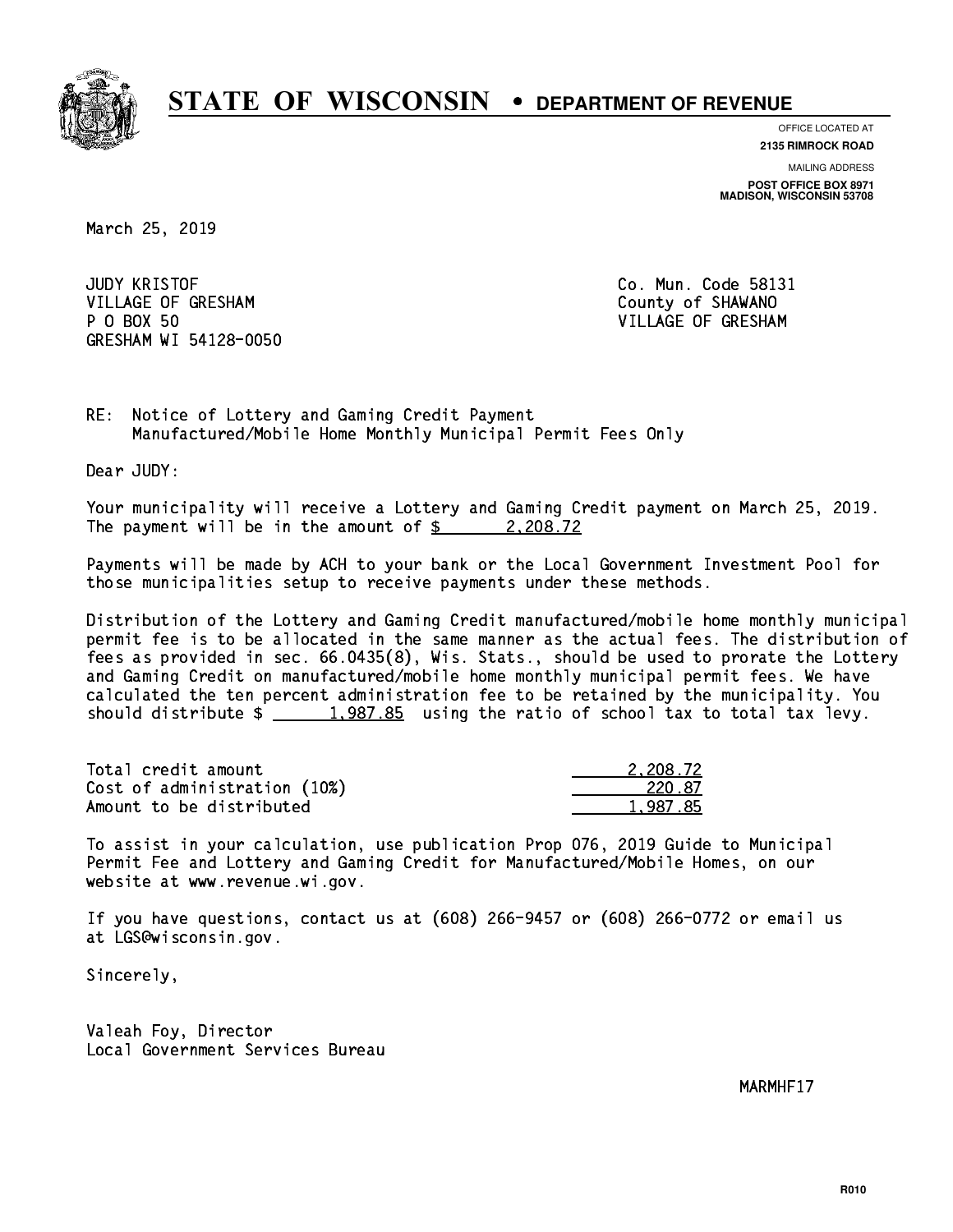

**OFFICE LOCATED AT**

**2135 RIMROCK ROAD**

**MAILING ADDRESS POST OFFICE BOX 8971 MADISON, WISCONSIN 53708**

March 25, 2019

**JUDY KRISTOF** VILLAGE OF GRESHAM COUNTY OF SHAWANO P 0 BOX 50 GRESHAM WI 54128-0050

Co. Mun. Code 58131 VILLAGE OF GRESHAM

RE: Notice of Lottery and Gaming Credit Payment Manufactured/Mobile Home Monthly Municipal Permit Fees Only

Dear JUDY:

 Your municipality will receive a Lottery and Gaming Credit payment on March 25, 2019. The payment will be in the amount of  $\frac{2}{3}$  2,208.72

 Payments will be made by ACH to your bank or the Local Government Investment Pool for those municipalities setup to receive payments under these methods.

 Distribution of the Lottery and Gaming Credit manufactured/mobile home monthly municipal permit fee is to be allocated in the same manner as the actual fees. The distribution of fees as provided in sec. 66.0435(8), Wis. Stats., should be used to prorate the Lottery and Gaming Credit on manufactured/mobile home monthly municipal permit fees. We have calculated the ten percent administration fee to be retained by the municipality. You should distribute  $\frac{1,987.85}{2}$  using the ratio of school tax to total tax levy.

| Total credit amount          | 2,208.72 |
|------------------------------|----------|
| Cost of administration (10%) | 220.87   |
| Amount to be distributed     | 1.987.85 |

 To assist in your calculation, use publication Prop 076, 2019 Guide to Municipal Permit Fee and Lottery and Gaming Credit for Manufactured/Mobile Homes, on our website at www.revenue.wi.gov.

 If you have questions, contact us at (608) 266-9457 or (608) 266-0772 or email us at LGS@wisconsin.gov.

Sincerely,

 Valeah Foy, Director Local Government Services Bureau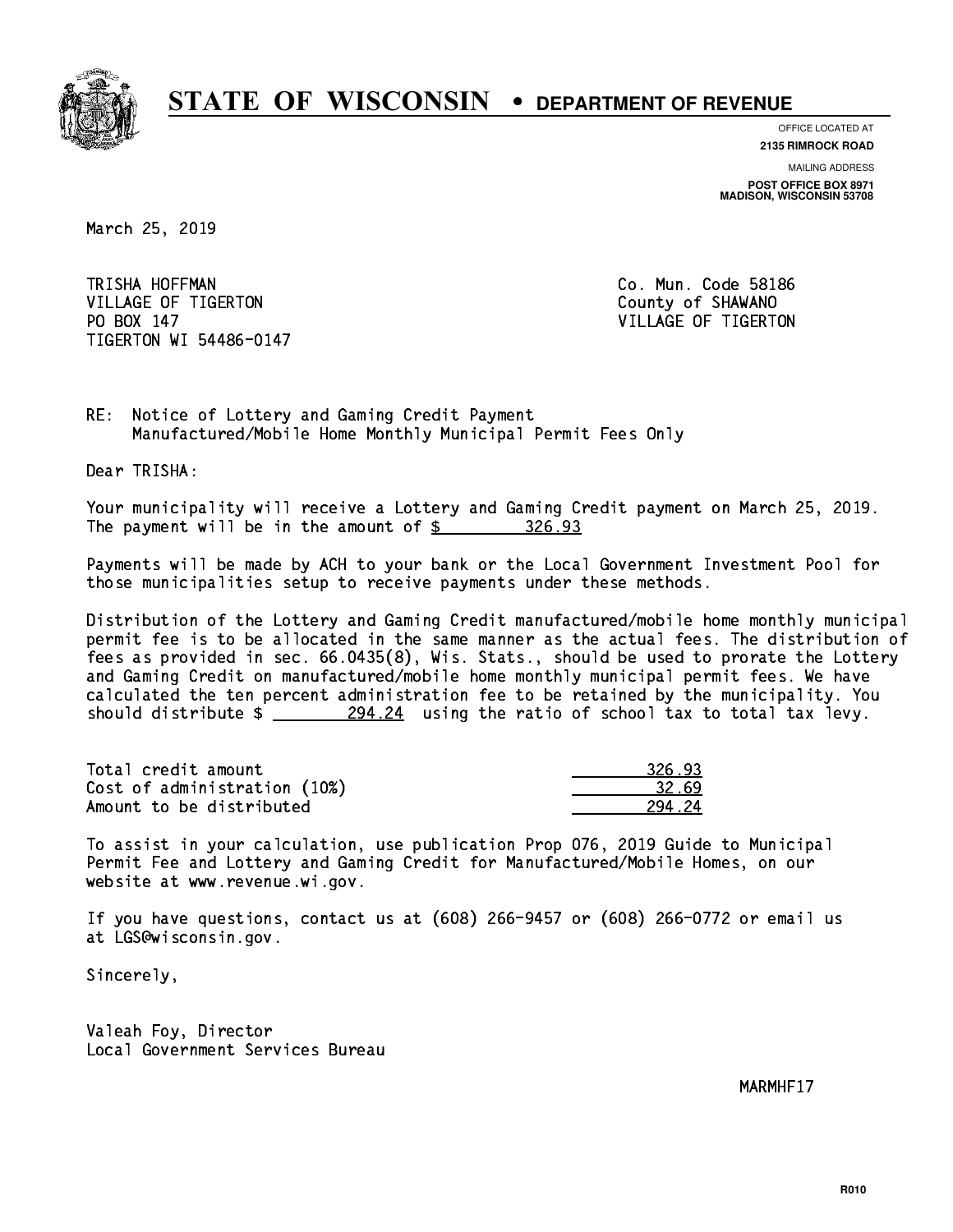

**OFFICE LOCATED AT**

**2135 RIMROCK ROAD**

**MAILING ADDRESS POST OFFICE BOX 8971 MADISON, WISCONSIN 53708**

March 25, 2019

TRISHA HOFFMAN VILLAGE OF TIGERTON COUNTY OF SHAWANO PO BOX 147 TIGERTON WI 54486-0147

Co. Mun. Code 58186 VILLAGE OF TIGERTON

RE: Notice of Lottery and Gaming Credit Payment Manufactured/Mobile Home Monthly Municipal Permit Fees Only

Dear TRISHA:

 Your municipality will receive a Lottery and Gaming Credit payment on March 25, 2019. The payment will be in the amount of  $\frac{26.93}{20.93}$ 

 Payments will be made by ACH to your bank or the Local Government Investment Pool for those municipalities setup to receive payments under these methods.

 Distribution of the Lottery and Gaming Credit manufactured/mobile home monthly municipal permit fee is to be allocated in the same manner as the actual fees. The distribution of fees as provided in sec. 66.0435(8), Wis. Stats., should be used to prorate the Lottery and Gaming Credit on manufactured/mobile home monthly municipal permit fees. We have calculated the ten percent administration fee to be retained by the municipality. You should distribute  $\frac{294.24}{294.24}$  using the ratio of school tax to total tax levy.

Total credit amount Cost of administration (10%) Amount to be distributed

| 93<br>326 - |
|-------------|
| 32.69       |
| .24         |

 To assist in your calculation, use publication Prop 076, 2019 Guide to Municipal Permit Fee and Lottery and Gaming Credit for Manufactured/Mobile Homes, on our website at www.revenue.wi.gov.

 If you have questions, contact us at (608) 266-9457 or (608) 266-0772 or email us at LGS@wisconsin.gov.

Sincerely,

 Valeah Foy, Director Local Government Services Bureau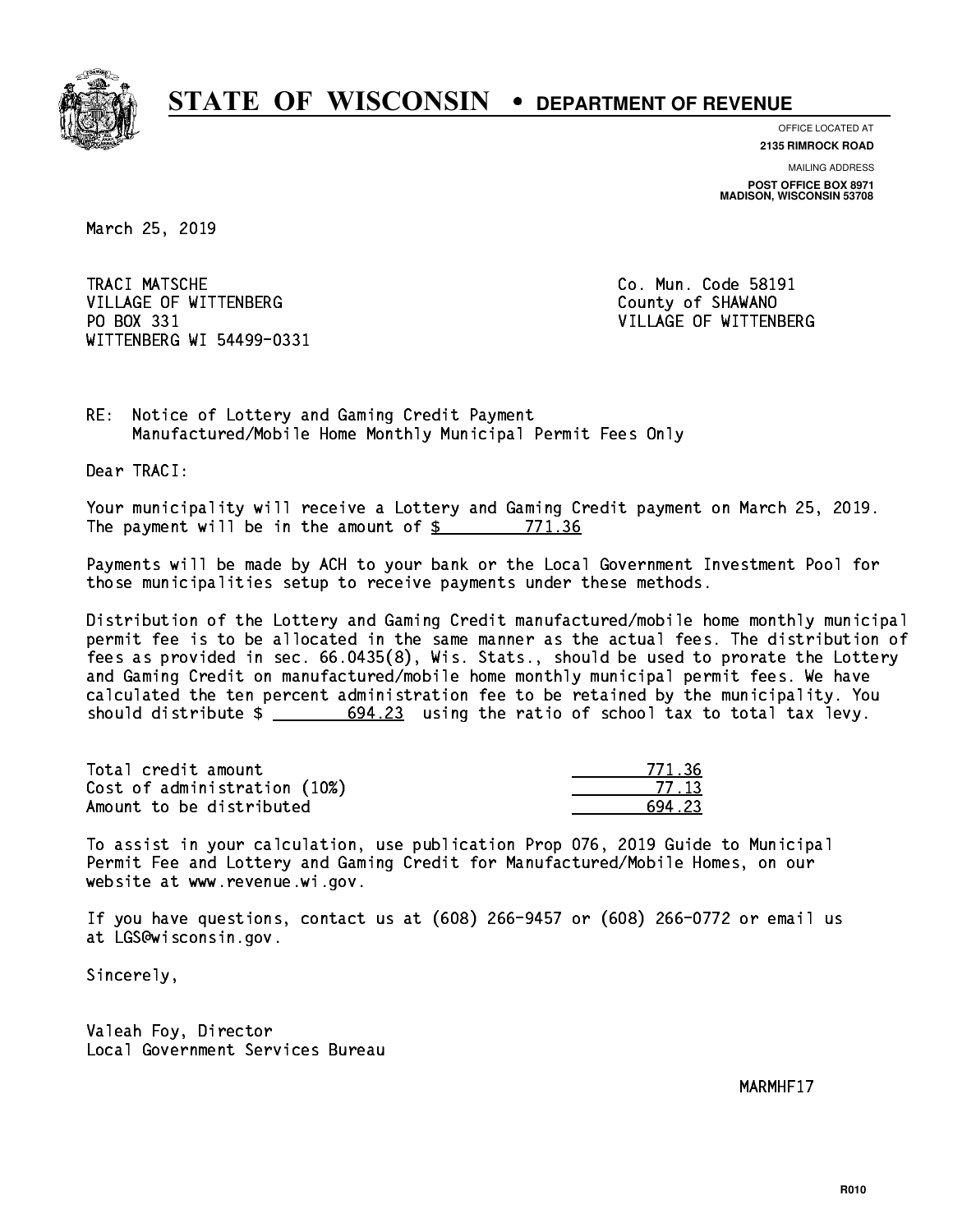

**OFFICE LOCATED AT**

**2135 RIMROCK ROAD**

**MAILING ADDRESS POST OFFICE BOX 8971 MADISON, WISCONSIN 53708**

March 25, 2019

TRACI MATSCHE VILLAGE OF WITTENBERG COUNTY OF SHAWANO PO BOX 331 WITTENBERG WI 54499-0331

Co. Mun. Code 58191 VILLAGE OF WITTENBERG

RE: Notice of Lottery and Gaming Credit Payment Manufactured/Mobile Home Monthly Municipal Permit Fees Only

Dear TRACI:

 Your municipality will receive a Lottery and Gaming Credit payment on March 25, 2019. The payment will be in the amount of \$ 771.36 \_\_\_\_\_\_\_\_\_\_\_\_\_\_\_\_

 Payments will be made by ACH to your bank or the Local Government Investment Pool for those municipalities setup to receive payments under these methods.

 Distribution of the Lottery and Gaming Credit manufactured/mobile home monthly municipal permit fee is to be allocated in the same manner as the actual fees. The distribution of fees as provided in sec. 66.0435(8), Wis. Stats., should be used to prorate the Lottery and Gaming Credit on manufactured/mobile home monthly municipal permit fees. We have calculated the ten percent administration fee to be retained by the municipality. You should distribute  $\frac{23}{1000}$  694.23 using the ratio of school tax to total tax levy.

Total credit amount Cost of administration (10%) Amount to be distributed

| - 76 |
|------|
| - 12 |
| 23   |

 To assist in your calculation, use publication Prop 076, 2019 Guide to Municipal Permit Fee and Lottery and Gaming Credit for Manufactured/Mobile Homes, on our website at www.revenue.wi.gov.

 If you have questions, contact us at (608) 266-9457 or (608) 266-0772 or email us at LGS@wisconsin.gov.

Sincerely,

 Valeah Foy, Director Local Government Services Bureau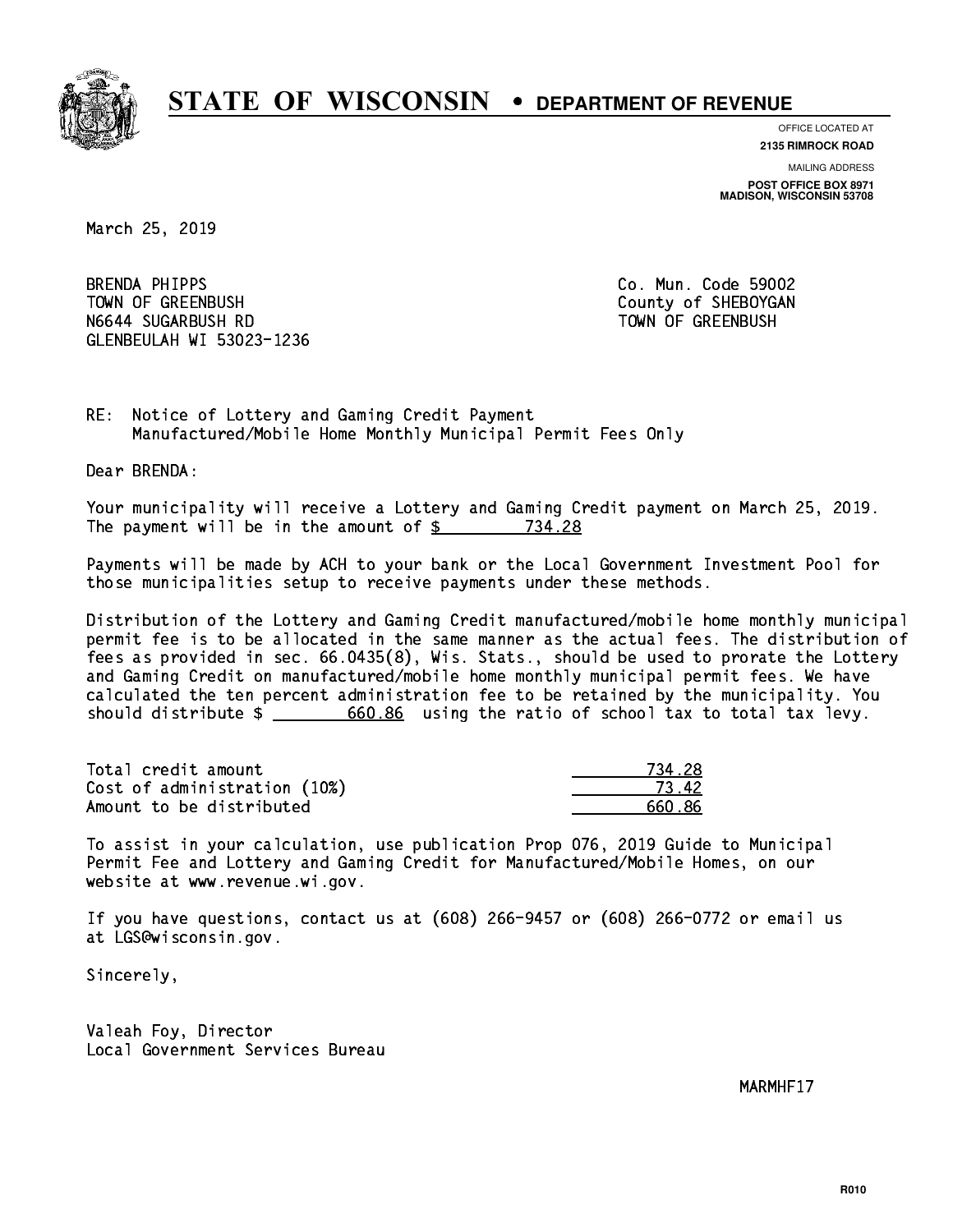

**OFFICE LOCATED AT 2135 RIMROCK ROAD**

**MAILING ADDRESS**

**POST OFFICE BOX 8971 MADISON, WISCONSIN 53708**

March 25, 2019

**BRENDA PHIPPS** TOWN OF GREENBUSH County of SHEBOYGAN N6644 SUGARBUSH RD TOWN OF GREENBUSH GLENBEULAH WI 53023-1236

Co. Mun. Code 59002

RE: Notice of Lottery and Gaming Credit Payment Manufactured/Mobile Home Monthly Municipal Permit Fees Only

Dear BRENDA:

 Your municipality will receive a Lottery and Gaming Credit payment on March 25, 2019. The payment will be in the amount of \$ 734.28 \_\_\_\_\_\_\_\_\_\_\_\_\_\_\_\_

 Payments will be made by ACH to your bank or the Local Government Investment Pool for those municipalities setup to receive payments under these methods.

 Distribution of the Lottery and Gaming Credit manufactured/mobile home monthly municipal permit fee is to be allocated in the same manner as the actual fees. The distribution of fees as provided in sec. 66.0435(8), Wis. Stats., should be used to prorate the Lottery and Gaming Credit on manufactured/mobile home monthly municipal permit fees. We have calculated the ten percent administration fee to be retained by the municipality. You should distribute  $\frac{2}{1}$   $\frac{660.86}{2}$  using the ratio of school tax to total tax levy.

| Total credit amount          | 734 28 |
|------------------------------|--------|
| Cost of administration (10%) | 73.42  |
| Amount to be distributed     | 660 86 |

 To assist in your calculation, use publication Prop 076, 2019 Guide to Municipal Permit Fee and Lottery and Gaming Credit for Manufactured/Mobile Homes, on our website at www.revenue.wi.gov.

 If you have questions, contact us at (608) 266-9457 or (608) 266-0772 or email us at LGS@wisconsin.gov.

Sincerely,

 Valeah Foy, Director Local Government Services Bureau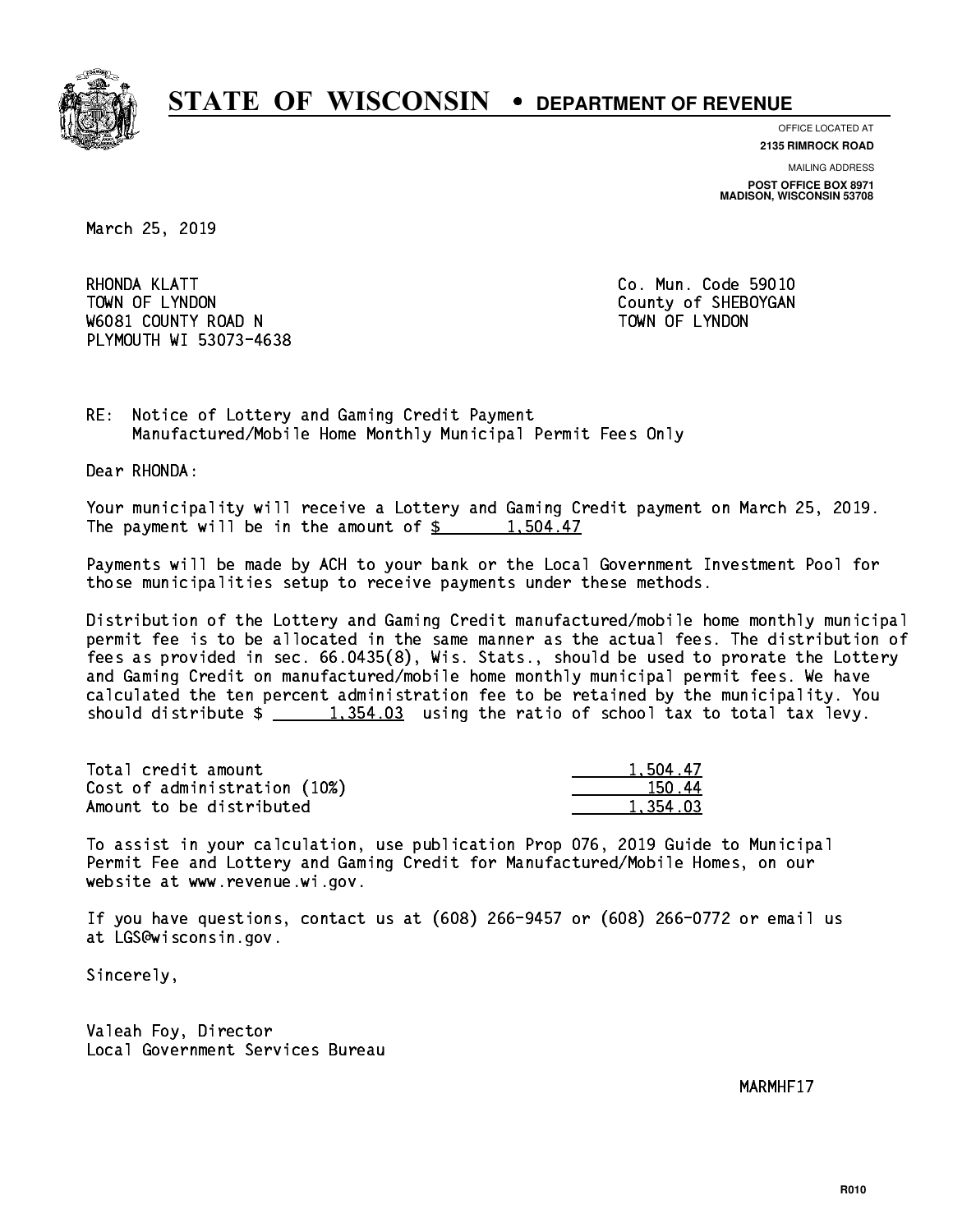

**OFFICE LOCATED AT**

**2135 RIMROCK ROAD**

**MAILING ADDRESS POST OFFICE BOX 8971 MADISON, WISCONSIN 53708**

March 25, 2019

RHONDA KLATT TOWN OF LYNDON COUNTY OF SHEBOYGAN W6081 COUNTY ROAD N TOWN OF LYNDON PLYMOUTH WI 53073-4638

Co. Mun. Code 59010

RE: Notice of Lottery and Gaming Credit Payment Manufactured/Mobile Home Monthly Municipal Permit Fees Only

Dear RHONDA:

 Your municipality will receive a Lottery and Gaming Credit payment on March 25, 2019. The payment will be in the amount of  $\frac{2}{3}$  1,504.47

 Payments will be made by ACH to your bank or the Local Government Investment Pool for those municipalities setup to receive payments under these methods.

 Distribution of the Lottery and Gaming Credit manufactured/mobile home monthly municipal permit fee is to be allocated in the same manner as the actual fees. The distribution of fees as provided in sec. 66.0435(8), Wis. Stats., should be used to prorate the Lottery and Gaming Credit on manufactured/mobile home monthly municipal permit fees. We have calculated the ten percent administration fee to be retained by the municipality. You should distribute  $\frac{1,354.03}{1,354.03}$  using the ratio of school tax to total tax levy.

| Total credit amount          | 1.504.47 |
|------------------------------|----------|
| Cost of administration (10%) | 150.44   |
| Amount to be distributed     | 1.354.03 |

 To assist in your calculation, use publication Prop 076, 2019 Guide to Municipal Permit Fee and Lottery and Gaming Credit for Manufactured/Mobile Homes, on our website at www.revenue.wi.gov.

 If you have questions, contact us at (608) 266-9457 or (608) 266-0772 or email us at LGS@wisconsin.gov.

Sincerely,

 Valeah Foy, Director Local Government Services Bureau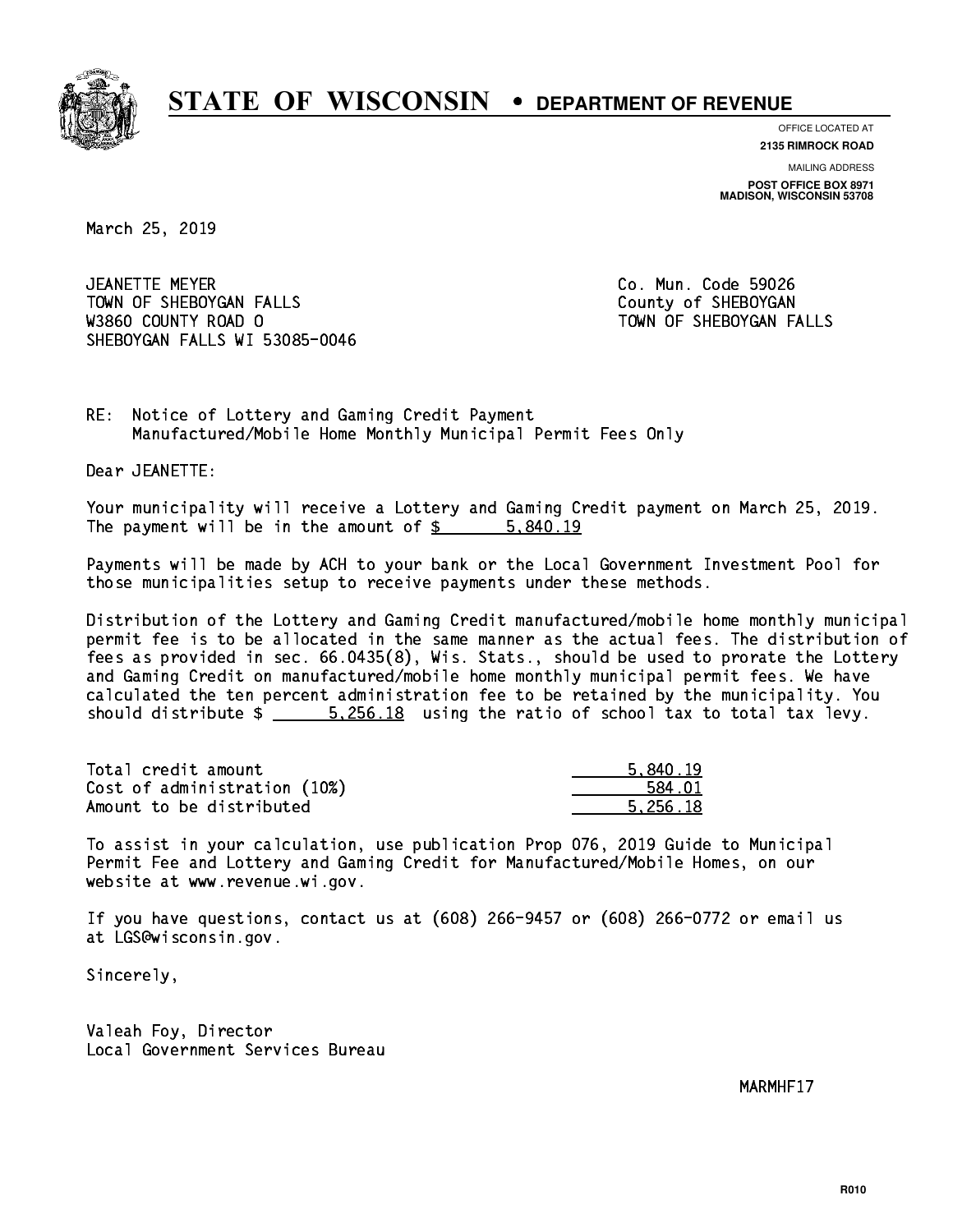

**OFFICE LOCATED AT**

**2135 RIMROCK ROAD**

**MAILING ADDRESS POST OFFICE BOX 8971 MADISON, WISCONSIN 53708**

March 25, 2019

 JEANETTE MEYER Co. Mun. Code 59026 TOWN OF SHEBOYGAN FALLS **COUNTY OF SHEBOYGAN**  W3860 COUNTY ROAD O TOWN OF SHEBOYGAN FALLS SHEBOYGAN FALLS WI 53085-0046

RE: Notice of Lottery and Gaming Credit Payment Manufactured/Mobile Home Monthly Municipal Permit Fees Only

Dear JEANETTE:

 Your municipality will receive a Lottery and Gaming Credit payment on March 25, 2019. The payment will be in the amount of \$ 5,840.19 \_\_\_\_\_\_\_\_\_\_\_\_\_\_\_\_

 Payments will be made by ACH to your bank or the Local Government Investment Pool for those municipalities setup to receive payments under these methods.

 Distribution of the Lottery and Gaming Credit manufactured/mobile home monthly municipal permit fee is to be allocated in the same manner as the actual fees. The distribution of fees as provided in sec. 66.0435(8), Wis. Stats., should be used to prorate the Lottery and Gaming Credit on manufactured/mobile home monthly municipal permit fees. We have calculated the ten percent administration fee to be retained by the municipality. You should distribute  $\frac{25 - 5}{256.18}$  using the ratio of school tax to total tax levy.

| Total credit amount          | 5.840.19 |
|------------------------------|----------|
| Cost of administration (10%) | 584.01   |
| Amount to be distributed     | 5.256.18 |

 To assist in your calculation, use publication Prop 076, 2019 Guide to Municipal Permit Fee and Lottery and Gaming Credit for Manufactured/Mobile Homes, on our website at www.revenue.wi.gov.

 If you have questions, contact us at (608) 266-9457 or (608) 266-0772 or email us at LGS@wisconsin.gov.

Sincerely,

 Valeah Foy, Director Local Government Services Bureau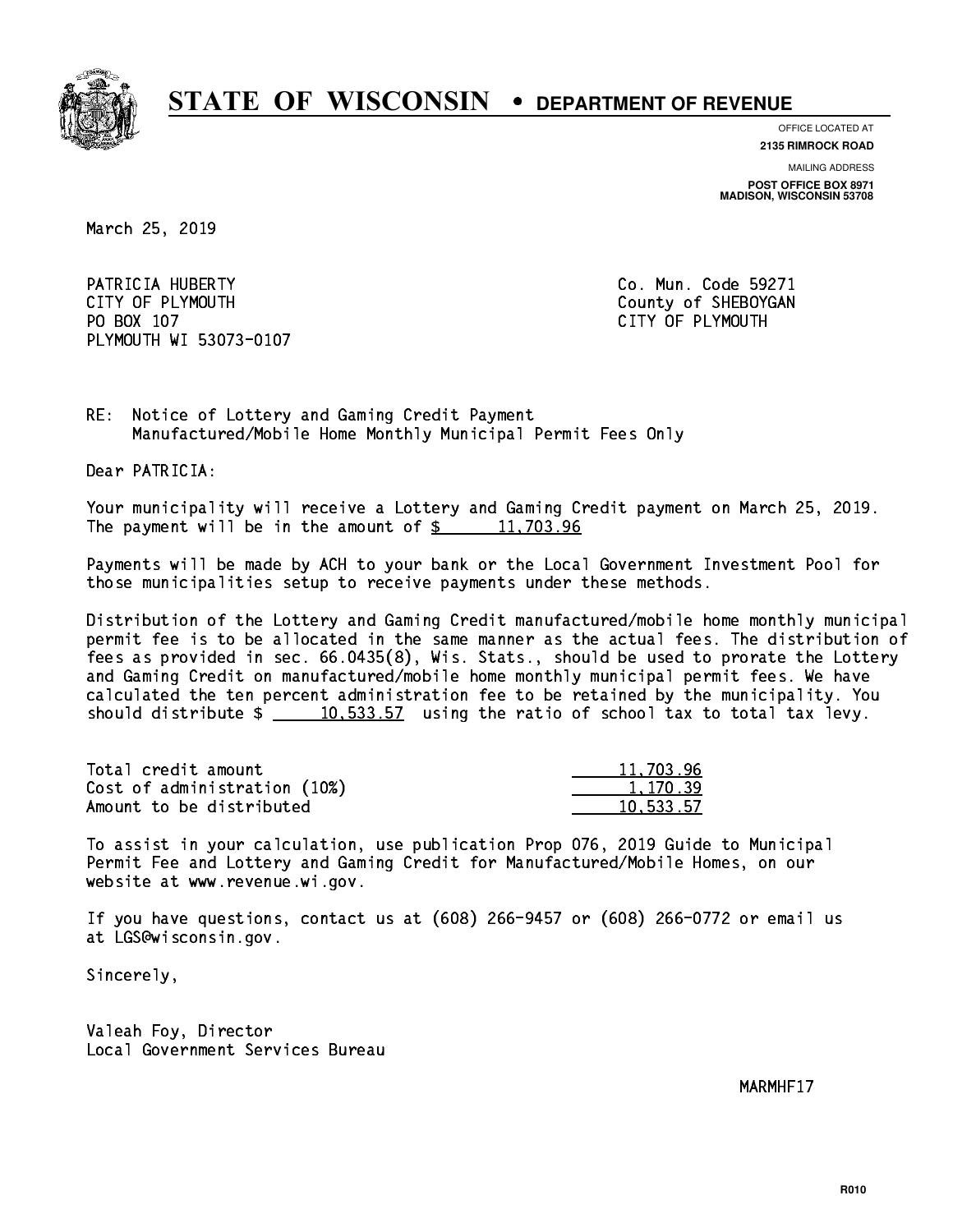

**OFFICE LOCATED AT**

**2135 RIMROCK ROAD**

**MAILING ADDRESS**

**POST OFFICE BOX 8971 MADISON, WISCONSIN 53708**

March 25, 2019

PATRICIA HUBERTY **Co. Mun. Code 59271** CITY OF PLYMOUTH CITY OF PLYMOUTH PO BOX 107 CITY OF PLYMOUTH PLYMOUTH WI 53073-0107

RE: Notice of Lottery and Gaming Credit Payment Manufactured/Mobile Home Monthly Municipal Permit Fees Only

Dear PATRICIA:

 Your municipality will receive a Lottery and Gaming Credit payment on March 25, 2019. The payment will be in the amount of  $\frac{2}{3}$  11,703.96

 Payments will be made by ACH to your bank or the Local Government Investment Pool for those municipalities setup to receive payments under these methods.

 Distribution of the Lottery and Gaming Credit manufactured/mobile home monthly municipal permit fee is to be allocated in the same manner as the actual fees. The distribution of fees as provided in sec. 66.0435(8), Wis. Stats., should be used to prorate the Lottery and Gaming Credit on manufactured/mobile home monthly municipal permit fees. We have calculated the ten percent administration fee to be retained by the municipality. You should distribute  $\frac{10,533.57}{2}$  using the ratio of school tax to total tax levy.

| Total credit amount          | 11,703.96 |
|------------------------------|-----------|
| Cost of administration (10%) | 1.170.39  |
| Amount to be distributed     | 10.533.57 |

 To assist in your calculation, use publication Prop 076, 2019 Guide to Municipal Permit Fee and Lottery and Gaming Credit for Manufactured/Mobile Homes, on our website at www.revenue.wi.gov.

 If you have questions, contact us at (608) 266-9457 or (608) 266-0772 or email us at LGS@wisconsin.gov.

Sincerely,

 Valeah Foy, Director Local Government Services Bureau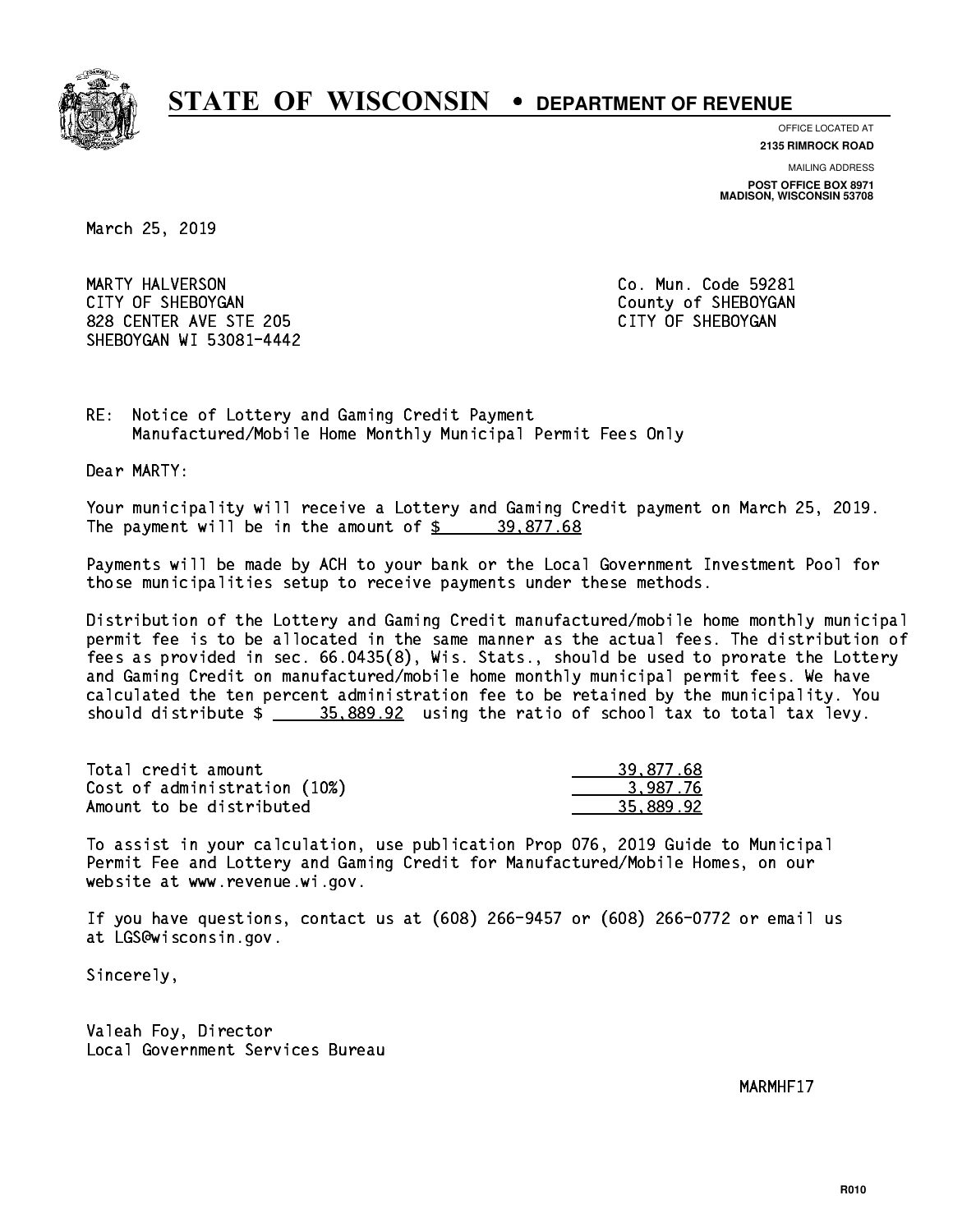

**OFFICE LOCATED AT**

**2135 RIMROCK ROAD**

**MAILING ADDRESS POST OFFICE BOX 8971 MADISON, WISCONSIN 53708**

March 25, 2019

 MARTY HALVERSON Co. Mun. Code 59281 CITY OF SHEBOYGAN COUNTY OF SHEBOYGAN 828 CENTER AVE STE 205 CITY OF SHEBOYGAN SHEBOYGAN WI 53081-4442

RE: Notice of Lottery and Gaming Credit Payment Manufactured/Mobile Home Monthly Municipal Permit Fees Only

Dear MARTY:

 Your municipality will receive a Lottery and Gaming Credit payment on March 25, 2019. The payment will be in the amount of  $\frac{2}{3}$  39,877.68

 Payments will be made by ACH to your bank or the Local Government Investment Pool for those municipalities setup to receive payments under these methods.

 Distribution of the Lottery and Gaming Credit manufactured/mobile home monthly municipal permit fee is to be allocated in the same manner as the actual fees. The distribution of fees as provided in sec. 66.0435(8), Wis. Stats., should be used to prorate the Lottery and Gaming Credit on manufactured/mobile home monthly municipal permit fees. We have calculated the ten percent administration fee to be retained by the municipality. You should distribute  $\frac{25.889.92}{2}$  using the ratio of school tax to total tax levy.

| Total credit amount          | 39,877.68 |
|------------------------------|-----------|
| Cost of administration (10%) | 3.987.76  |
| Amount to be distributed     | 35.889.92 |

 To assist in your calculation, use publication Prop 076, 2019 Guide to Municipal Permit Fee and Lottery and Gaming Credit for Manufactured/Mobile Homes, on our website at www.revenue.wi.gov.

 If you have questions, contact us at (608) 266-9457 or (608) 266-0772 or email us at LGS@wisconsin.gov.

Sincerely,

 Valeah Foy, Director Local Government Services Bureau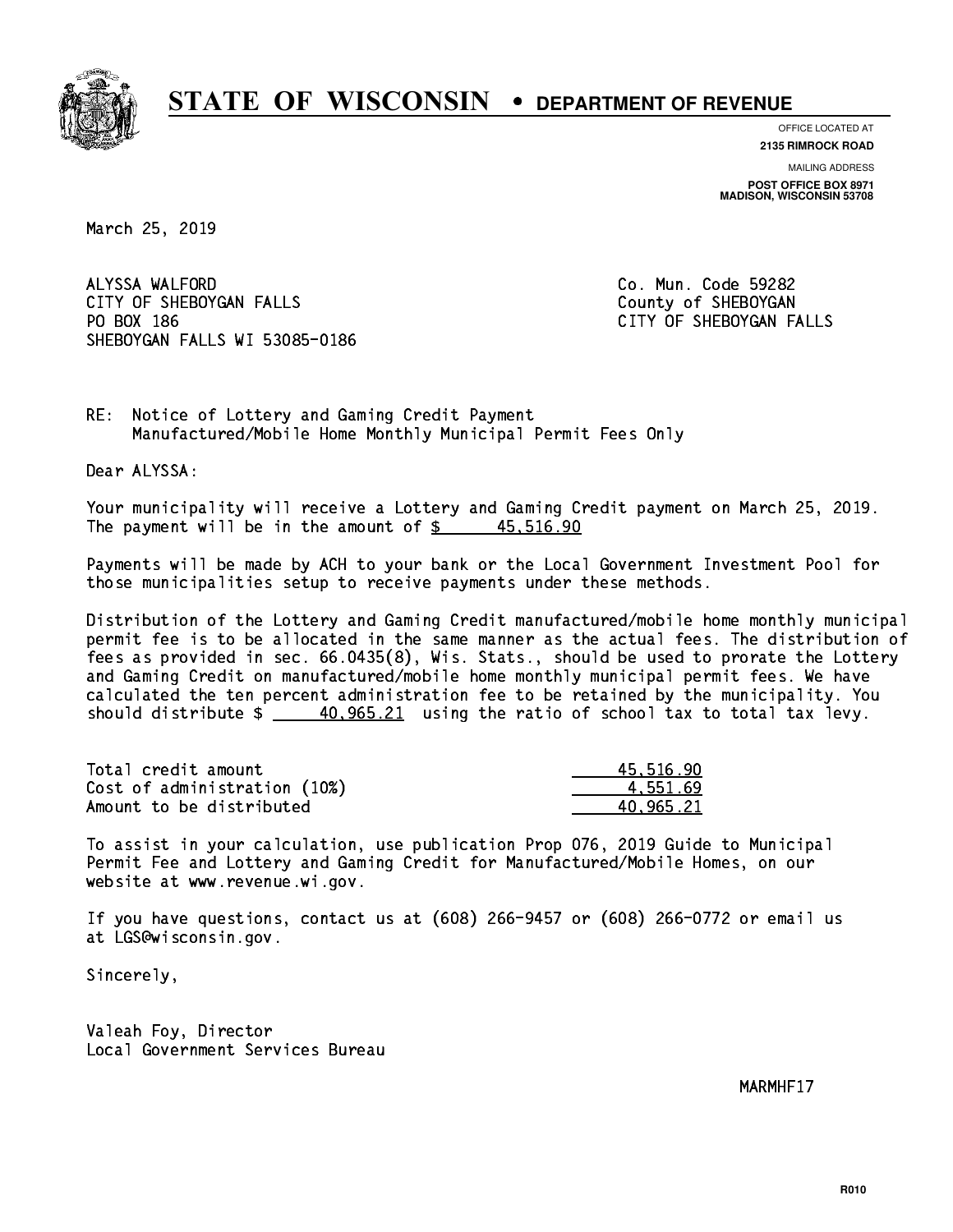

**OFFICE LOCATED AT**

**2135 RIMROCK ROAD**

**MAILING ADDRESS POST OFFICE BOX 8971 MADISON, WISCONSIN 53708**

March 25, 2019

 ALYSSA WALFORD Co. Mun. Code 59282 CITY OF SHEBOYGAN FALLS COUNTY OF SHEBOYGAN PO BOX 186 SHEBOYGAN FALLS WI 53085-0186

CITY OF SHEBOYGAN FALLS

RE: Notice of Lottery and Gaming Credit Payment Manufactured/Mobile Home Monthly Municipal Permit Fees Only

Dear ALYSSA:

 Your municipality will receive a Lottery and Gaming Credit payment on March 25, 2019. The payment will be in the amount of  $\frac{2}{3}$  45,516.90

 Payments will be made by ACH to your bank or the Local Government Investment Pool for those municipalities setup to receive payments under these methods.

 Distribution of the Lottery and Gaming Credit manufactured/mobile home monthly municipal permit fee is to be allocated in the same manner as the actual fees. The distribution of fees as provided in sec. 66.0435(8), Wis. Stats., should be used to prorate the Lottery and Gaming Credit on manufactured/mobile home monthly municipal permit fees. We have calculated the ten percent administration fee to be retained by the municipality. You should distribute  $\frac{40,965.21}{2}$  using the ratio of school tax to total tax levy.

| Total credit amount          | 45,516.90 |
|------------------------------|-----------|
| Cost of administration (10%) | 4.551.69  |
| Amount to be distributed     | 40.965.21 |

 To assist in your calculation, use publication Prop 076, 2019 Guide to Municipal Permit Fee and Lottery and Gaming Credit for Manufactured/Mobile Homes, on our website at www.revenue.wi.gov.

 If you have questions, contact us at (608) 266-9457 or (608) 266-0772 or email us at LGS@wisconsin.gov.

Sincerely,

 Valeah Foy, Director Local Government Services Bureau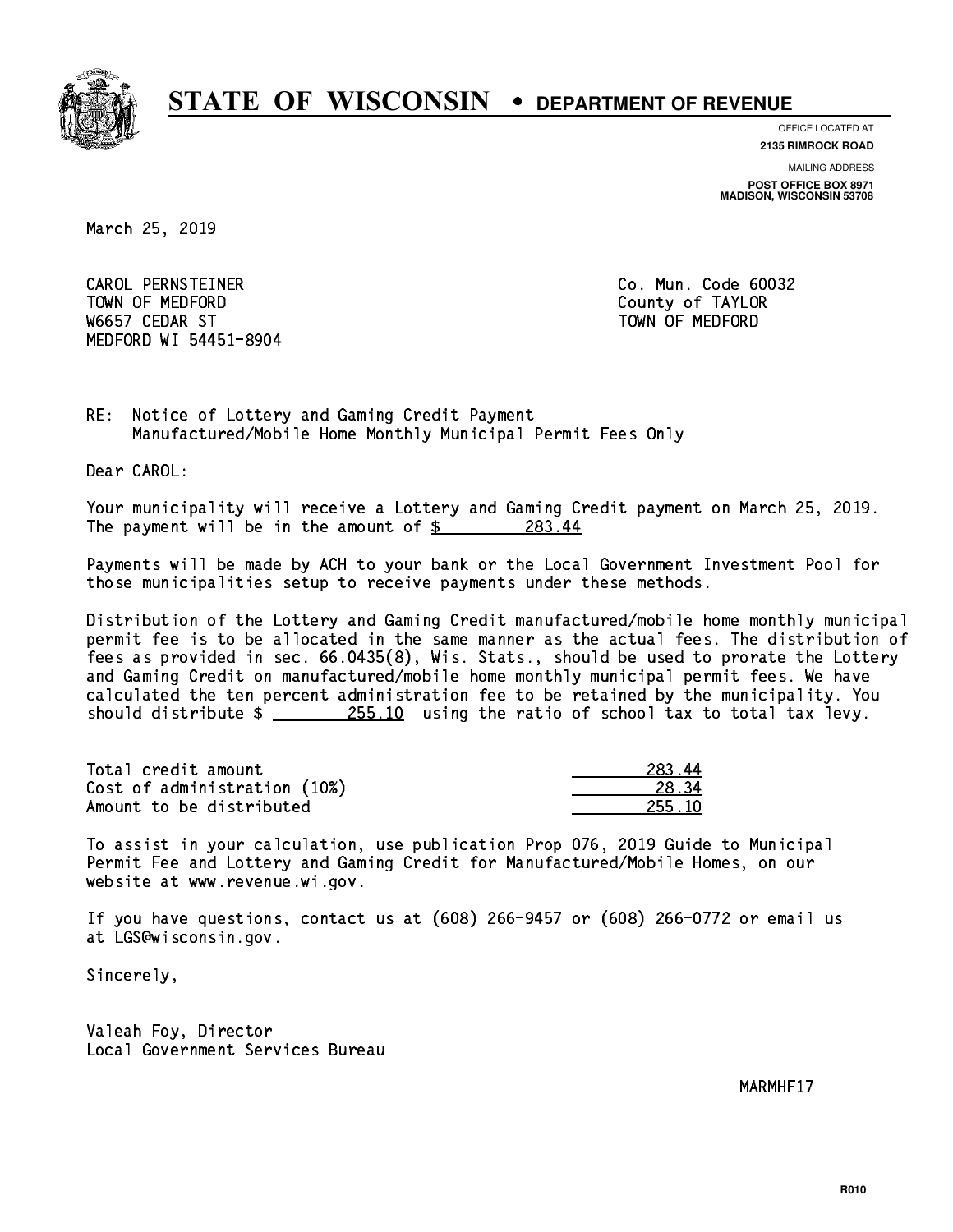

**OFFICE LOCATED AT**

**2135 RIMROCK ROAD**

**MAILING ADDRESS POST OFFICE BOX 8971 MADISON, WISCONSIN 53708**

March 25, 2019

 CAROL PERNSTEINER Co. Mun. Code 60032 TOWN OF MEDICINE COUNTY OF MEDICINE COUNTY OF TAXABLE COUNTY OF TAXABLE COUNTY OF TAXABLE COUNTY OF TAXABLE CO W6657 CEDAR ST TOWN OF MEDFORD MEDFORD WI 54451-8904

RE: Notice of Lottery and Gaming Credit Payment Manufactured/Mobile Home Monthly Municipal Permit Fees Only

Dear CAROL:

 Your municipality will receive a Lottery and Gaming Credit payment on March 25, 2019. The payment will be in the amount of  $$$  283.44

 Payments will be made by ACH to your bank or the Local Government Investment Pool for those municipalities setup to receive payments under these methods.

 Distribution of the Lottery and Gaming Credit manufactured/mobile home monthly municipal permit fee is to be allocated in the same manner as the actual fees. The distribution of fees as provided in sec. 66.0435(8), Wis. Stats., should be used to prorate the Lottery and Gaming Credit on manufactured/mobile home monthly municipal permit fees. We have calculated the ten percent administration fee to be retained by the municipality. You should distribute  $\frac{255.10}{10}$  using the ratio of school tax to total tax levy.

Total credit amount Cost of administration (10%) Amount to be distributed

| 283.                 |
|----------------------|
| 34<br>$\mathbf{x}$ . |
| 55 1Ո<br>.,          |

 To assist in your calculation, use publication Prop 076, 2019 Guide to Municipal Permit Fee and Lottery and Gaming Credit for Manufactured/Mobile Homes, on our website at www.revenue.wi.gov.

 If you have questions, contact us at (608) 266-9457 or (608) 266-0772 or email us at LGS@wisconsin.gov.

Sincerely,

 Valeah Foy, Director Local Government Services Bureau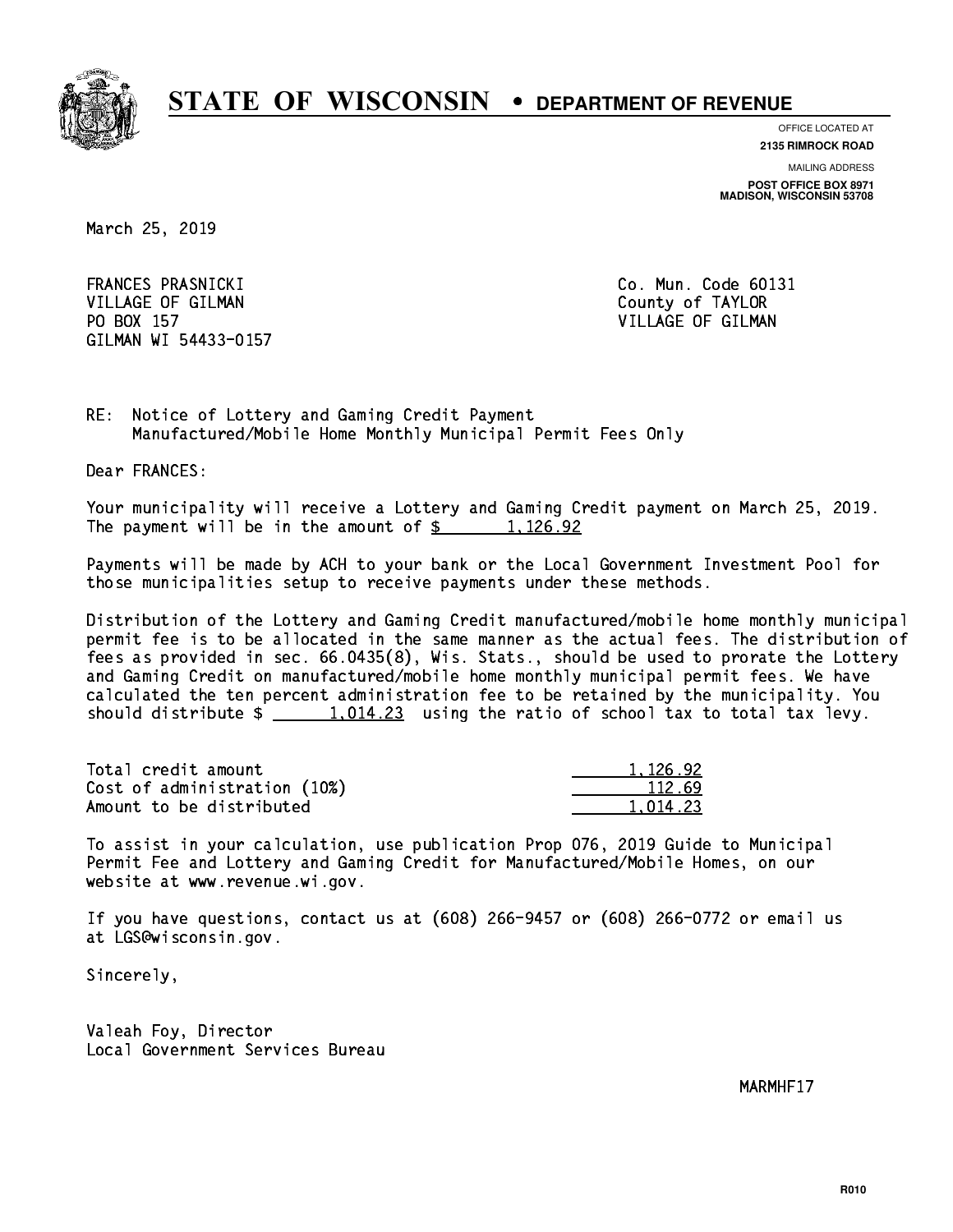

**OFFICE LOCATED AT**

**2135 RIMROCK ROAD**

**MAILING ADDRESS POST OFFICE BOX 8971 MADISON, WISCONSIN 53708**

March 25, 2019

 FRANCES PRASNICKI Co. Mun. Code 60131 VILLAGE OF GILMAN COUNTY OF TAYLOR PO BOX 157 VILLAGE OF GILMAN GILMAN WI 54433-0157

RE: Notice of Lottery and Gaming Credit Payment Manufactured/Mobile Home Monthly Municipal Permit Fees Only

Dear FRANCES:

 Your municipality will receive a Lottery and Gaming Credit payment on March 25, 2019. The payment will be in the amount of  $\frac{2}{3}$  1,126.92

 Payments will be made by ACH to your bank or the Local Government Investment Pool for those municipalities setup to receive payments under these methods.

 Distribution of the Lottery and Gaming Credit manufactured/mobile home monthly municipal permit fee is to be allocated in the same manner as the actual fees. The distribution of fees as provided in sec. 66.0435(8), Wis. Stats., should be used to prorate the Lottery and Gaming Credit on manufactured/mobile home monthly municipal permit fees. We have calculated the ten percent administration fee to be retained by the municipality. You should distribute  $\frac{1,014.23}{1,014.23}$  using the ratio of school tax to total tax levy.

| Total credit amount          | 1.126.92 |
|------------------------------|----------|
| Cost of administration (10%) | 112.69   |
| Amount to be distributed     | 1.014.23 |

 To assist in your calculation, use publication Prop 076, 2019 Guide to Municipal Permit Fee and Lottery and Gaming Credit for Manufactured/Mobile Homes, on our website at www.revenue.wi.gov.

 If you have questions, contact us at (608) 266-9457 or (608) 266-0772 or email us at LGS@wisconsin.gov.

Sincerely,

 Valeah Foy, Director Local Government Services Bureau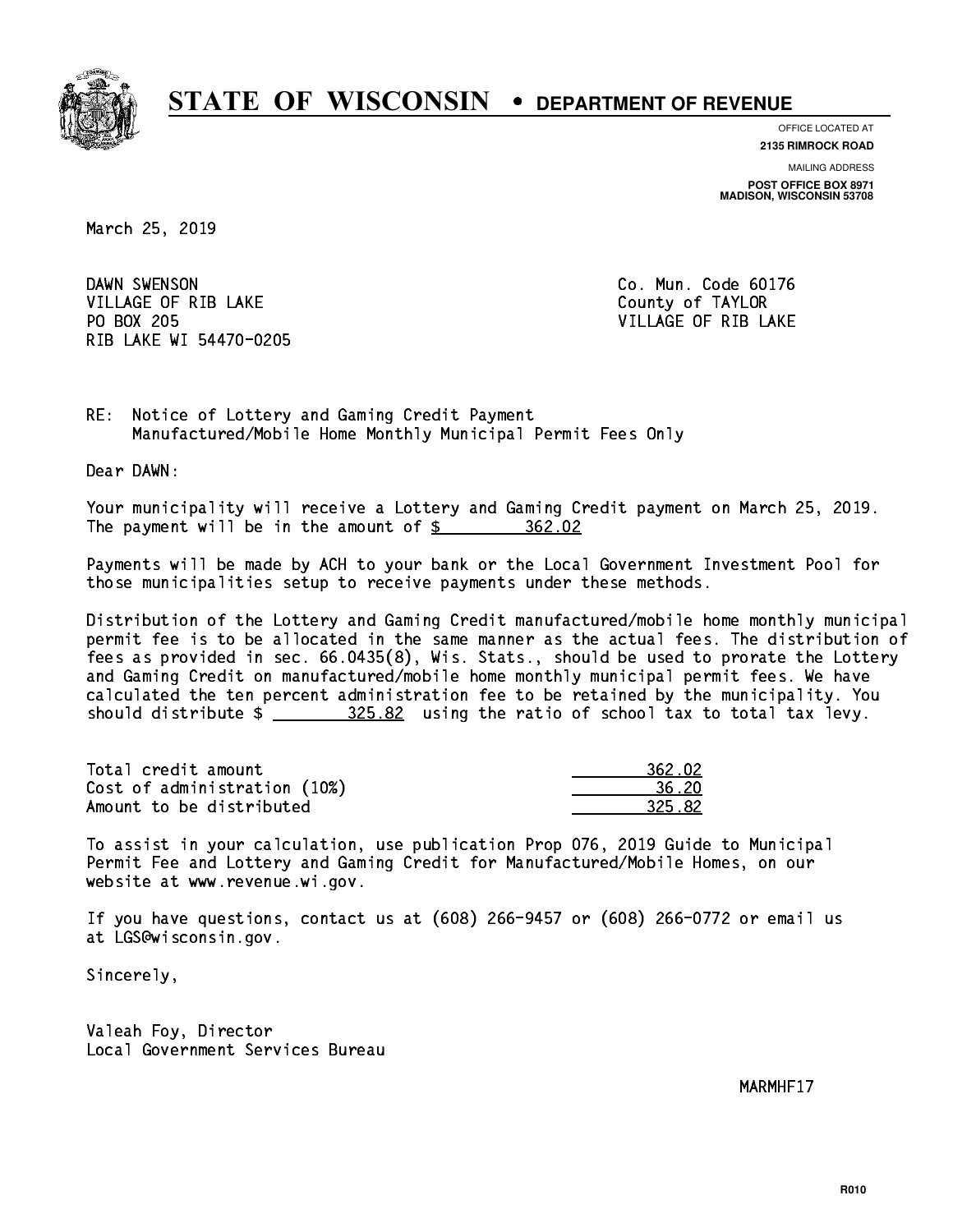

**OFFICE LOCATED AT**

**2135 RIMROCK ROAD**

**MAILING ADDRESS POST OFFICE BOX 8971 MADISON, WISCONSIN 53708**

March 25, 2019

DAWN SWENSON VILLAGE OF RIB LAKE County of TAYLOR PO BOX 205 RIB LAKE WI 54470-0205

Co. Mun. Code 60176 VILLAGE OF RIB LAKE

RE: Notice of Lottery and Gaming Credit Payment Manufactured/Mobile Home Monthly Municipal Permit Fees Only

Dear DAWN:

 Your municipality will receive a Lottery and Gaming Credit payment on March 25, 2019. The payment will be in the amount of  $\frac{2}{362.02}$ 

 Payments will be made by ACH to your bank or the Local Government Investment Pool for those municipalities setup to receive payments under these methods.

 Distribution of the Lottery and Gaming Credit manufactured/mobile home monthly municipal permit fee is to be allocated in the same manner as the actual fees. The distribution of fees as provided in sec. 66.0435(8), Wis. Stats., should be used to prorate the Lottery and Gaming Credit on manufactured/mobile home monthly municipal permit fees. We have calculated the ten percent administration fee to be retained by the municipality. You should distribute  $\frac{25.82}{100}$  using the ratio of school tax to total tax levy.

| Total credit amount          | 362.02 |
|------------------------------|--------|
| Cost of administration (10%) | 36.20  |
| Amount to be distributed     | 325.82 |

 To assist in your calculation, use publication Prop 076, 2019 Guide to Municipal Permit Fee and Lottery and Gaming Credit for Manufactured/Mobile Homes, on our website at www.revenue.wi.gov.

 If you have questions, contact us at (608) 266-9457 or (608) 266-0772 or email us at LGS@wisconsin.gov.

Sincerely,

 Valeah Foy, Director Local Government Services Bureau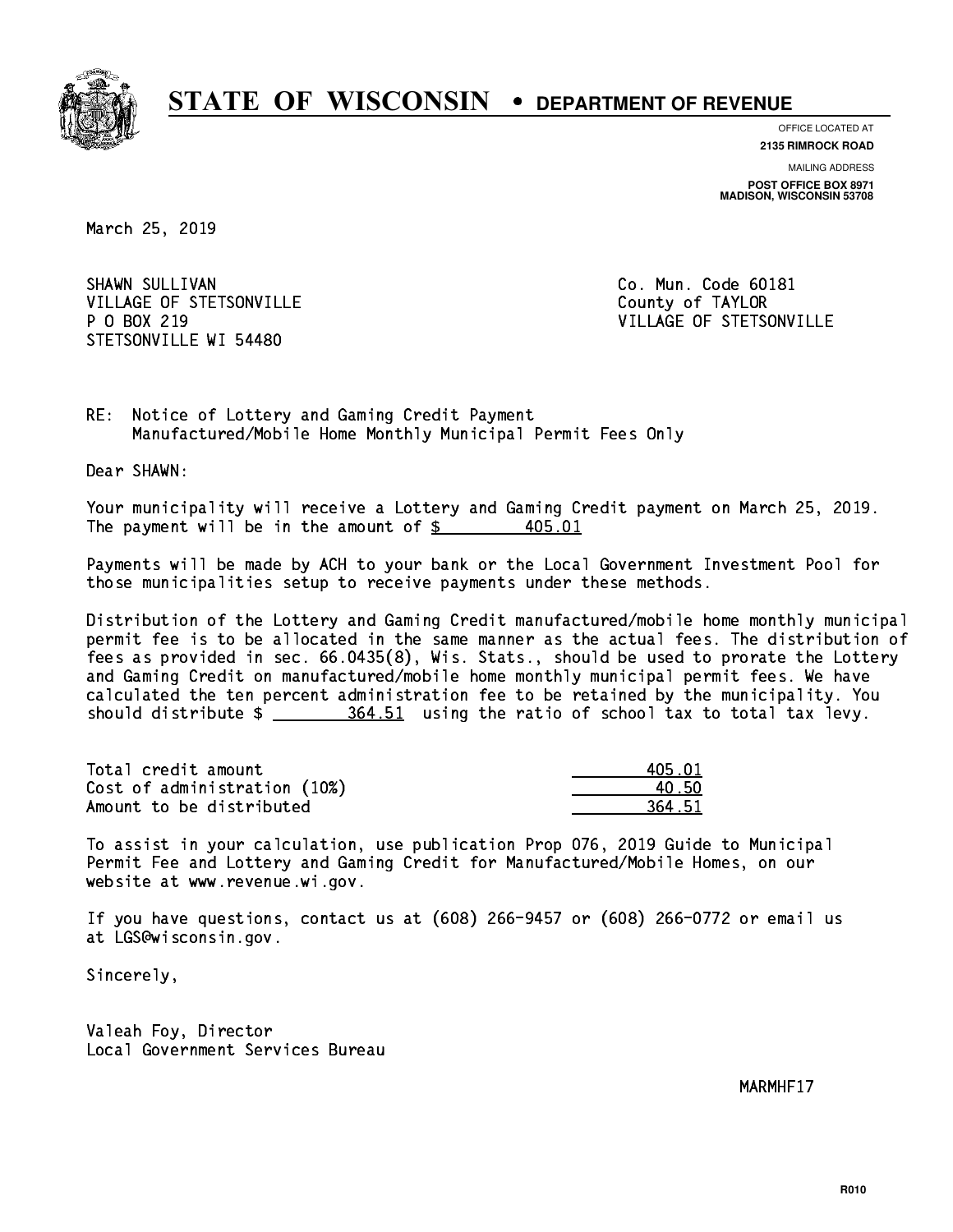

**OFFICE LOCATED AT**

**2135 RIMROCK ROAD**

**MAILING ADDRESS POST OFFICE BOX 8971 MADISON, WISCONSIN 53708**

March 25, 2019

SHAWN SULLIVAN VILLAGE OF STETSONVILLE COUNTY OF TAYLOR P 0 BOX 219 STETSONVILLE WI 54480

Co. Mun. Code 60181 VILLAGE OF STETSONVILLE

RE: Notice of Lottery and Gaming Credit Payment Manufactured/Mobile Home Monthly Municipal Permit Fees Only

Dear SHAWN:

 Your municipality will receive a Lottery and Gaming Credit payment on March 25, 2019. The payment will be in the amount of \$ 405.01 \_\_\_\_\_\_\_\_\_\_\_\_\_\_\_\_ 405.01

 Payments will be made by ACH to your bank or the Local Government Investment Pool for those municipalities setup to receive payments under these methods.

 Distribution of the Lottery and Gaming Credit manufactured/mobile home monthly municipal permit fee is to be allocated in the same manner as the actual fees. The distribution of fees as provided in sec. 66.0435(8), Wis. Stats., should be used to prorate the Lottery and Gaming Credit on manufactured/mobile home monthly municipal permit fees. We have calculated the ten percent administration fee to be retained by the municipality. You should distribute  $\frac{264.51}{1000}$  using the ratio of school tax to total tax levy.

| Total credit amount          | 405.01 |
|------------------------------|--------|
| Cost of administration (10%) | 40.50  |
| Amount to be distributed     | 364.51 |

 To assist in your calculation, use publication Prop 076, 2019 Guide to Municipal Permit Fee and Lottery and Gaming Credit for Manufactured/Mobile Homes, on our website at www.revenue.wi.gov.

 If you have questions, contact us at (608) 266-9457 or (608) 266-0772 or email us at LGS@wisconsin.gov.

Sincerely,

 Valeah Foy, Director Local Government Services Bureau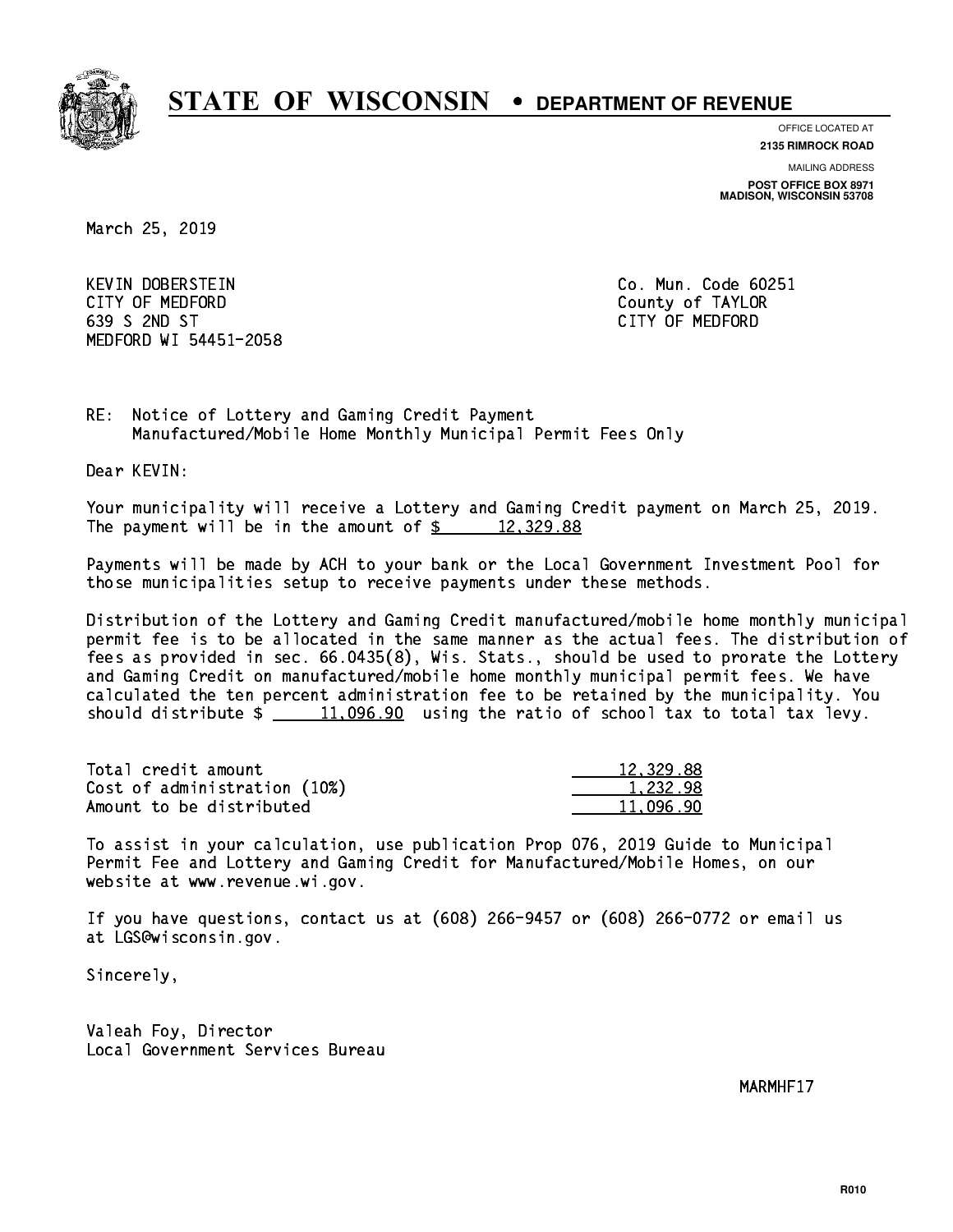

**OFFICE LOCATED AT**

**2135 RIMROCK ROAD**

**MAILING ADDRESS POST OFFICE BOX 8971 MADISON, WISCONSIN 53708**

March 25, 2019

 KEVIN DOBERSTEIN Co. Mun. Code 60251 CITY OF MEDFORD County of TAYLOR 639 S 2ND ST CITY OF MEDFORD MEDFORD WI 54451-2058

RE: Notice of Lottery and Gaming Credit Payment Manufactured/Mobile Home Monthly Municipal Permit Fees Only

Dear KEVIN:

 Your municipality will receive a Lottery and Gaming Credit payment on March 25, 2019. The payment will be in the amount of  $\frac{2}{3}$  12,329.88

 Payments will be made by ACH to your bank or the Local Government Investment Pool for those municipalities setup to receive payments under these methods.

 Distribution of the Lottery and Gaming Credit manufactured/mobile home monthly municipal permit fee is to be allocated in the same manner as the actual fees. The distribution of fees as provided in sec. 66.0435(8), Wis. Stats., should be used to prorate the Lottery and Gaming Credit on manufactured/mobile home monthly municipal permit fees. We have calculated the ten percent administration fee to be retained by the municipality. You should distribute  $\frac{11,096.90}{2}$  using the ratio of school tax to total tax levy.

| Total credit amount          | 12,329.88 |
|------------------------------|-----------|
| Cost of administration (10%) | 1.232.98  |
| Amount to be distributed     | 11.096.90 |

 To assist in your calculation, use publication Prop 076, 2019 Guide to Municipal Permit Fee and Lottery and Gaming Credit for Manufactured/Mobile Homes, on our website at www.revenue.wi.gov.

 If you have questions, contact us at (608) 266-9457 or (608) 266-0772 or email us at LGS@wisconsin.gov.

Sincerely,

 Valeah Foy, Director Local Government Services Bureau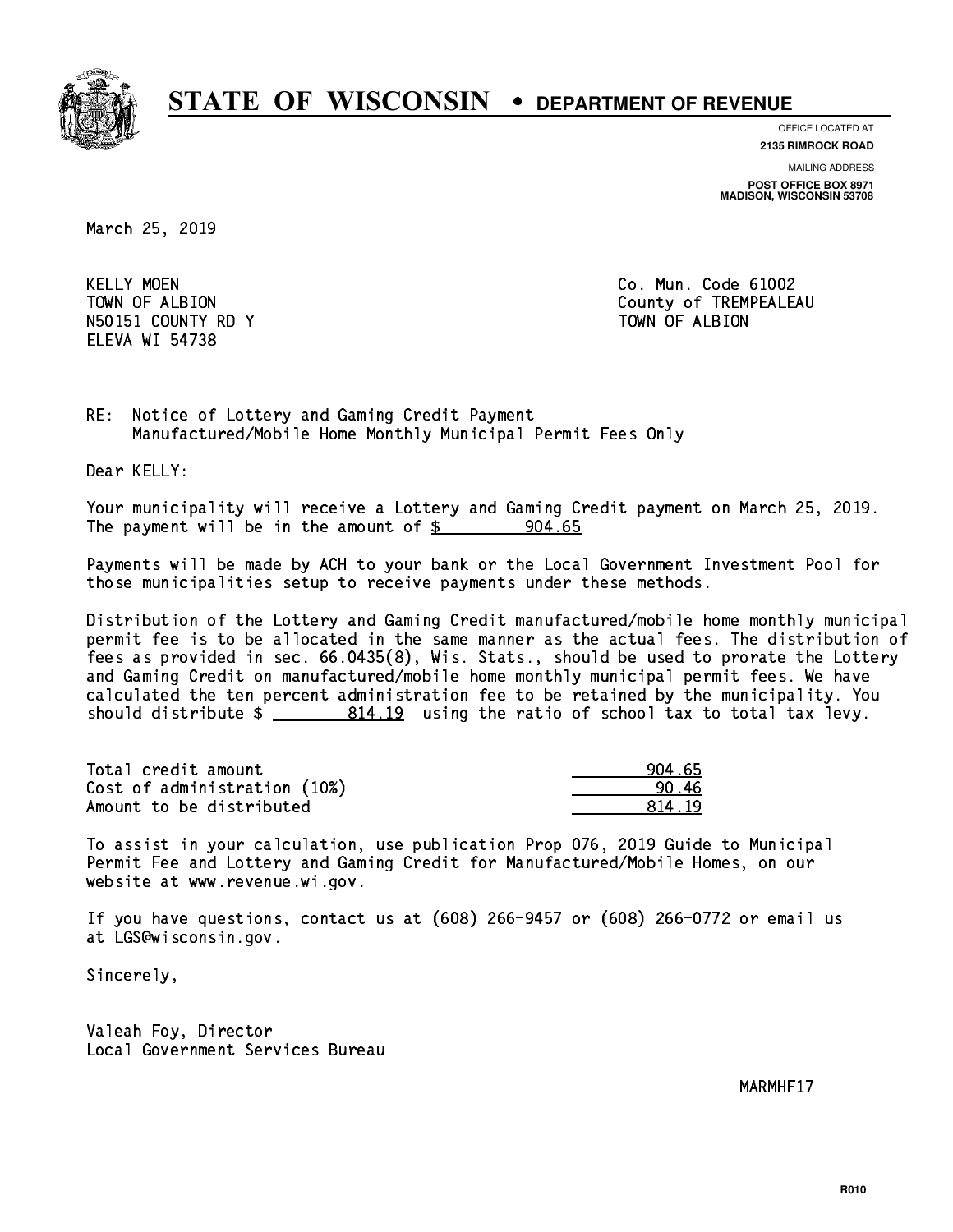

**OFFICE LOCATED AT**

**2135 RIMROCK ROAD**

**MAILING ADDRESS POST OFFICE BOX 8971 MADISON, WISCONSIN 53708**

March 25, 2019

**KELLY MOEN** N50151 COUNTY RD Y TOWN OF ALBION ELEVA WI 54738

Co. Mun. Code 61002 TOWN OF ALBION COUNTY OF TREMPEALEAU

RE: Notice of Lottery and Gaming Credit Payment Manufactured/Mobile Home Monthly Municipal Permit Fees Only

Dear KELLY:

 Your municipality will receive a Lottery and Gaming Credit payment on March 25, 2019. The payment will be in the amount of  $\frac{2}{3}$  904.65

 Payments will be made by ACH to your bank or the Local Government Investment Pool for those municipalities setup to receive payments under these methods.

 Distribution of the Lottery and Gaming Credit manufactured/mobile home monthly municipal permit fee is to be allocated in the same manner as the actual fees. The distribution of fees as provided in sec. 66.0435(8), Wis. Stats., should be used to prorate the Lottery and Gaming Credit on manufactured/mobile home monthly municipal permit fees. We have calculated the ten percent administration fee to be retained by the municipality. You should distribute  $\frac{2}{2}$   $\frac{814.19}{2}$  using the ratio of school tax to total tax levy.

| Total credit amount          | 904.65 |
|------------------------------|--------|
| Cost of administration (10%) | 90.46  |
| Amount to be distributed     | 814 19 |

 To assist in your calculation, use publication Prop 076, 2019 Guide to Municipal Permit Fee and Lottery and Gaming Credit for Manufactured/Mobile Homes, on our website at www.revenue.wi.gov.

 If you have questions, contact us at (608) 266-9457 or (608) 266-0772 or email us at LGS@wisconsin.gov.

Sincerely,

 Valeah Foy, Director Local Government Services Bureau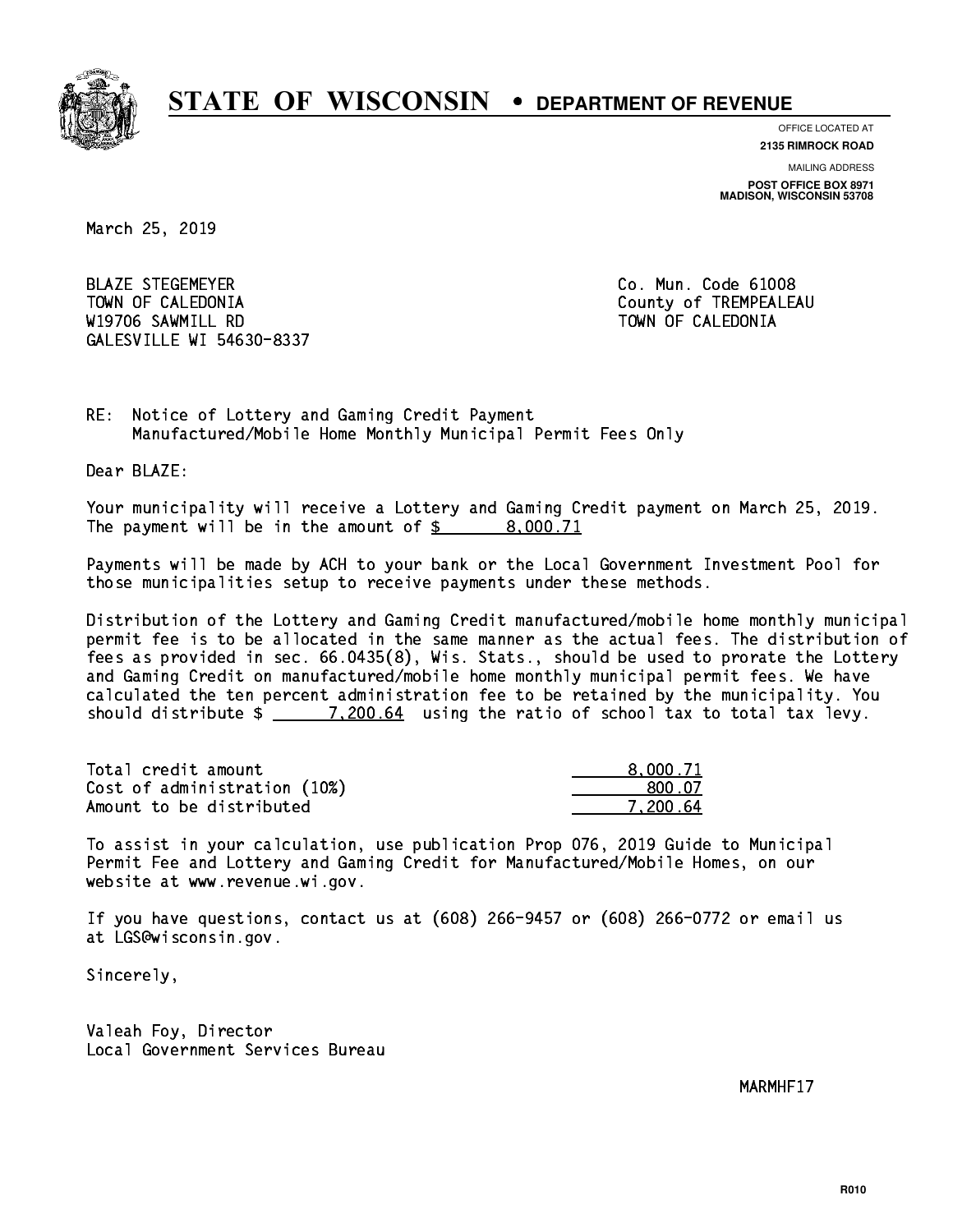

**OFFICE LOCATED AT**

**2135 RIMROCK ROAD**

**MAILING ADDRESS POST OFFICE BOX 8971 MADISON, WISCONSIN 53708**

March 25, 2019

 BLAZE STEGEMEYER Co. Mun. Code 61008 TOWN OF CALEDONIA County of TREMPEALEAU W19706 SAWMILL RD TOWN OF CALEDONIA GALESVILLE WI 54630-8337

RE: Notice of Lottery and Gaming Credit Payment Manufactured/Mobile Home Monthly Municipal Permit Fees Only

Dear BLAZE:

 Your municipality will receive a Lottery and Gaming Credit payment on March 25, 2019. The payment will be in the amount of  $\frac{2}{3}$  8,000.71

 Payments will be made by ACH to your bank or the Local Government Investment Pool for those municipalities setup to receive payments under these methods.

 Distribution of the Lottery and Gaming Credit manufactured/mobile home monthly municipal permit fee is to be allocated in the same manner as the actual fees. The distribution of fees as provided in sec. 66.0435(8), Wis. Stats., should be used to prorate the Lottery and Gaming Credit on manufactured/mobile home monthly municipal permit fees. We have calculated the ten percent administration fee to be retained by the municipality. You should distribute  $\frac{200.64}{1.200.64}$  using the ratio of school tax to total tax levy.

| Total credit amount          | 8,000.71 |
|------------------------------|----------|
| Cost of administration (10%) | 800.07   |
| Amount to be distributed     | 7.200.64 |

 To assist in your calculation, use publication Prop 076, 2019 Guide to Municipal Permit Fee and Lottery and Gaming Credit for Manufactured/Mobile Homes, on our website at www.revenue.wi.gov.

 If you have questions, contact us at (608) 266-9457 or (608) 266-0772 or email us at LGS@wisconsin.gov.

Sincerely,

 Valeah Foy, Director Local Government Services Bureau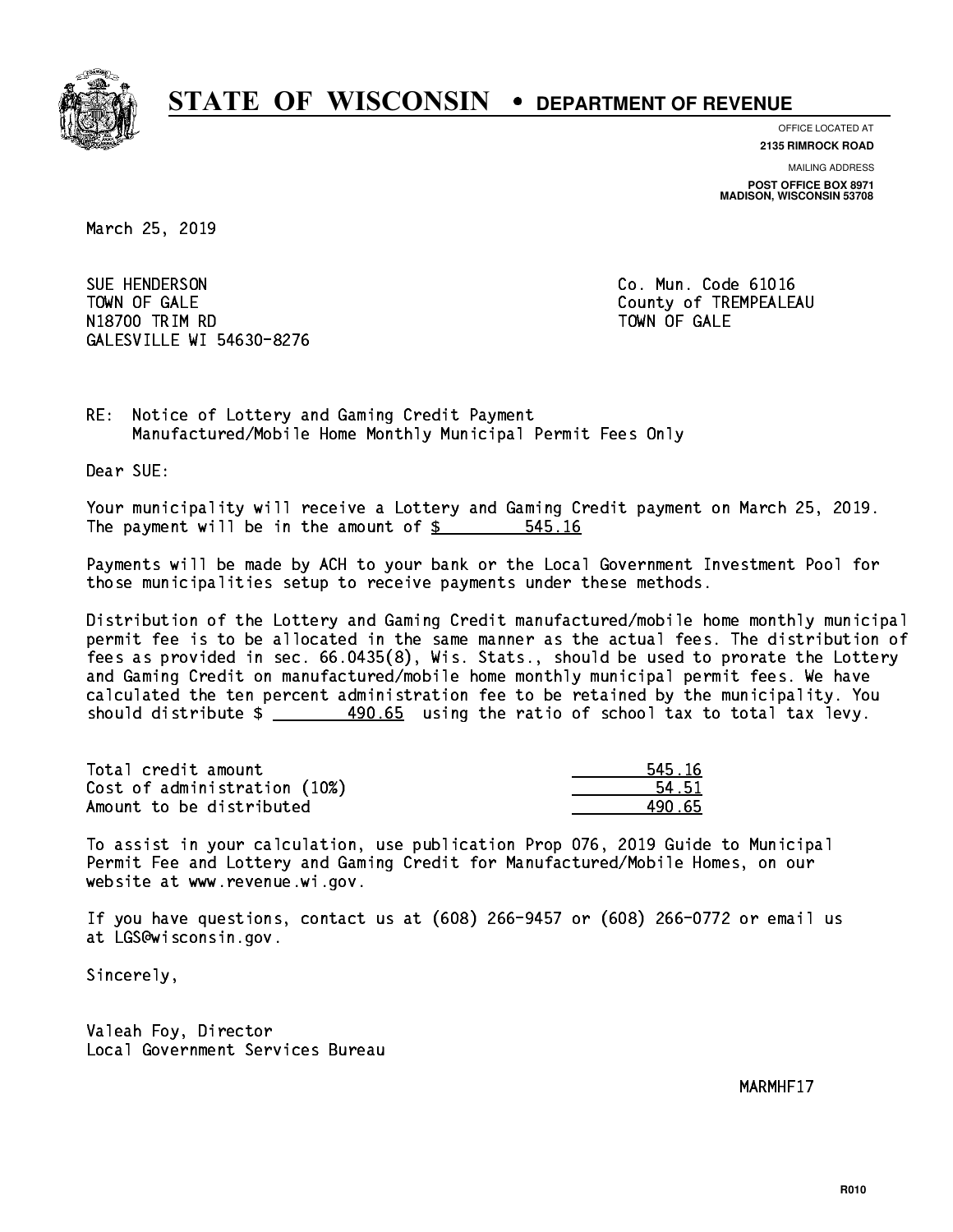

**OFFICE LOCATED AT**

**2135 RIMROCK ROAD**

**MAILING ADDRESS POST OFFICE BOX 8971 MADISON, WISCONSIN 53708**

March 25, 2019

SUE HENDERSON TOWN OF GALE **COUNTY OF SALE** N1880 TRIM RD TOWN OF GALERY COMPUTER STATES OF GALERY COMPUTER STATES OF GALERY COMPUTER STATES OF GALERY COMPUTERS GALESVILLE WI 54630-8276

Co. Mun. Code 61016 TOWN OF GALE

RE: Notice of Lottery and Gaming Credit Payment Manufactured/Mobile Home Monthly Municipal Permit Fees Only

Dear SUE:

 Your municipality will receive a Lottery and Gaming Credit payment on March 25, 2019. The payment will be in the amount of  $\frac{2}{3}$ 545.16

 Payments will be made by ACH to your bank or the Local Government Investment Pool for those municipalities setup to receive payments under these methods.

 Distribution of the Lottery and Gaming Credit manufactured/mobile home monthly municipal permit fee is to be allocated in the same manner as the actual fees. The distribution of fees as provided in sec. 66.0435(8), Wis. Stats., should be used to prorate the Lottery and Gaming Credit on manufactured/mobile home monthly municipal permit fees. We have calculated the ten percent administration fee to be retained by the municipality. You should distribute  $\frac{490.65}{2}$  using the ratio of school tax to total tax levy.

| Total credit amount          | 545.16 |
|------------------------------|--------|
| Cost of administration (10%) | 54.51  |
| Amount to be distributed     | 490 65 |

| 5.16 |
|------|
| l 51 |
| 65   |

 To assist in your calculation, use publication Prop 076, 2019 Guide to Municipal Permit Fee and Lottery and Gaming Credit for Manufactured/Mobile Homes, on our website at www.revenue.wi.gov.

 If you have questions, contact us at (608) 266-9457 or (608) 266-0772 or email us at LGS@wisconsin.gov.

Sincerely,

 Valeah Foy, Director Local Government Services Bureau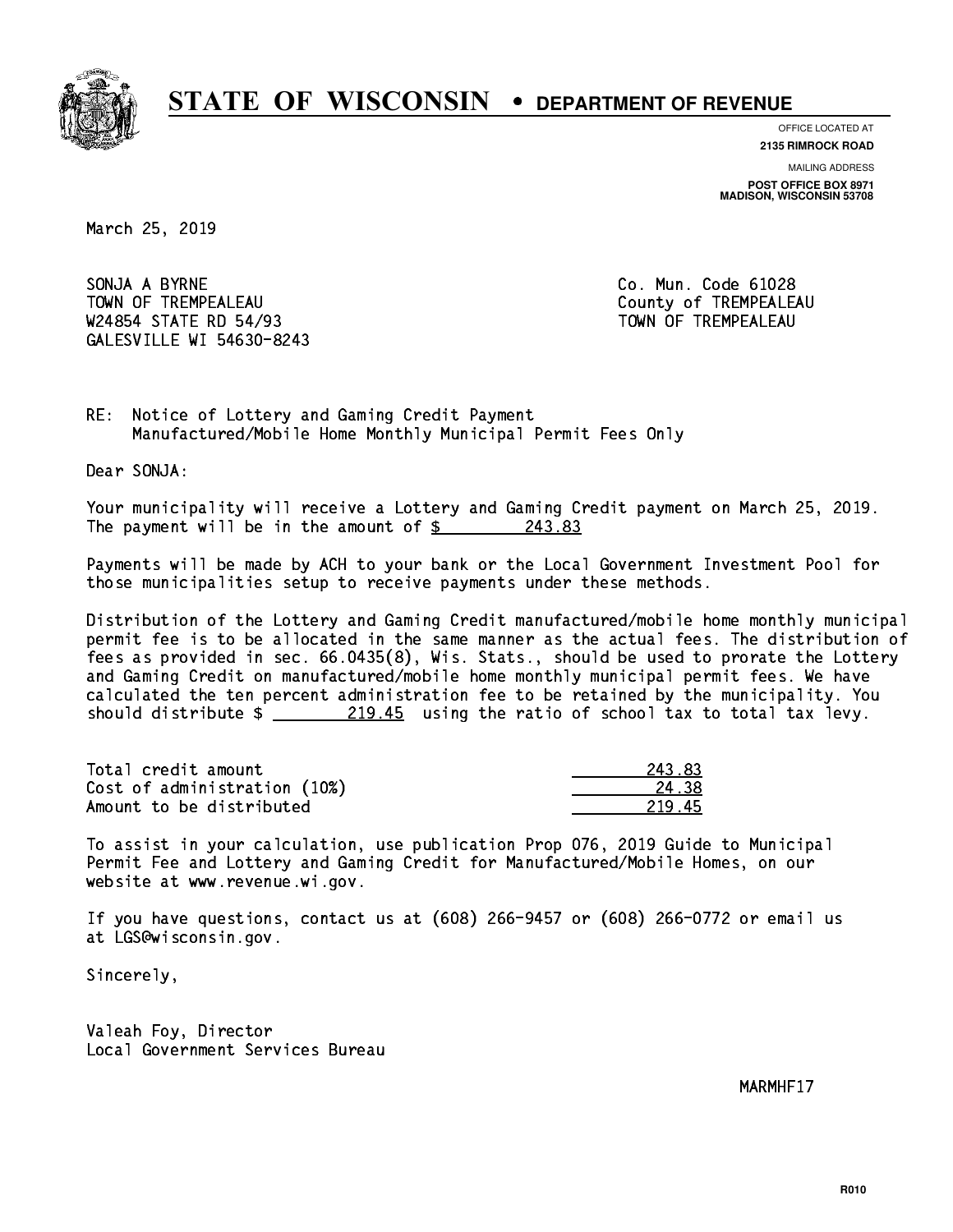

**OFFICE LOCATED AT**

**2135 RIMROCK ROAD**

**MAILING ADDRESS POST OFFICE BOX 8971 MADISON, WISCONSIN 53708**

March 25, 2019

SONJA A BYRNE CO. Mun. Code 61028 TOWN OF TREMPEALEAU **TOWA COUNTY OF TREMPEALEAU** W24854 STATE RD 54/93 TOWN OF TREMPEALEAU GALESVILLE WI 54630-8243

RE: Notice of Lottery and Gaming Credit Payment Manufactured/Mobile Home Monthly Municipal Permit Fees Only

Dear SONJA:

 Your municipality will receive a Lottery and Gaming Credit payment on March 25, 2019. The payment will be in the amount of  $\frac{243.83}{243.83}$ 

 Payments will be made by ACH to your bank or the Local Government Investment Pool for those municipalities setup to receive payments under these methods.

 Distribution of the Lottery and Gaming Credit manufactured/mobile home monthly municipal permit fee is to be allocated in the same manner as the actual fees. The distribution of fees as provided in sec. 66.0435(8), Wis. Stats., should be used to prorate the Lottery and Gaming Credit on manufactured/mobile home monthly municipal permit fees. We have calculated the ten percent administration fee to be retained by the municipality. You should distribute  $\frac{219.45}{219.45}$  using the ratio of school tax to total tax levy.

| Total credit amount          | 243.83 |
|------------------------------|--------|
| Cost of administration (10%) | 24.38  |
| Amount to be distributed     | 21945  |

| - 83      |
|-----------|
| 11 Z.R    |
| .հ<br>21. |

 To assist in your calculation, use publication Prop 076, 2019 Guide to Municipal Permit Fee and Lottery and Gaming Credit for Manufactured/Mobile Homes, on our website at www.revenue.wi.gov.

 If you have questions, contact us at (608) 266-9457 or (608) 266-0772 or email us at LGS@wisconsin.gov.

Sincerely,

 Valeah Foy, Director Local Government Services Bureau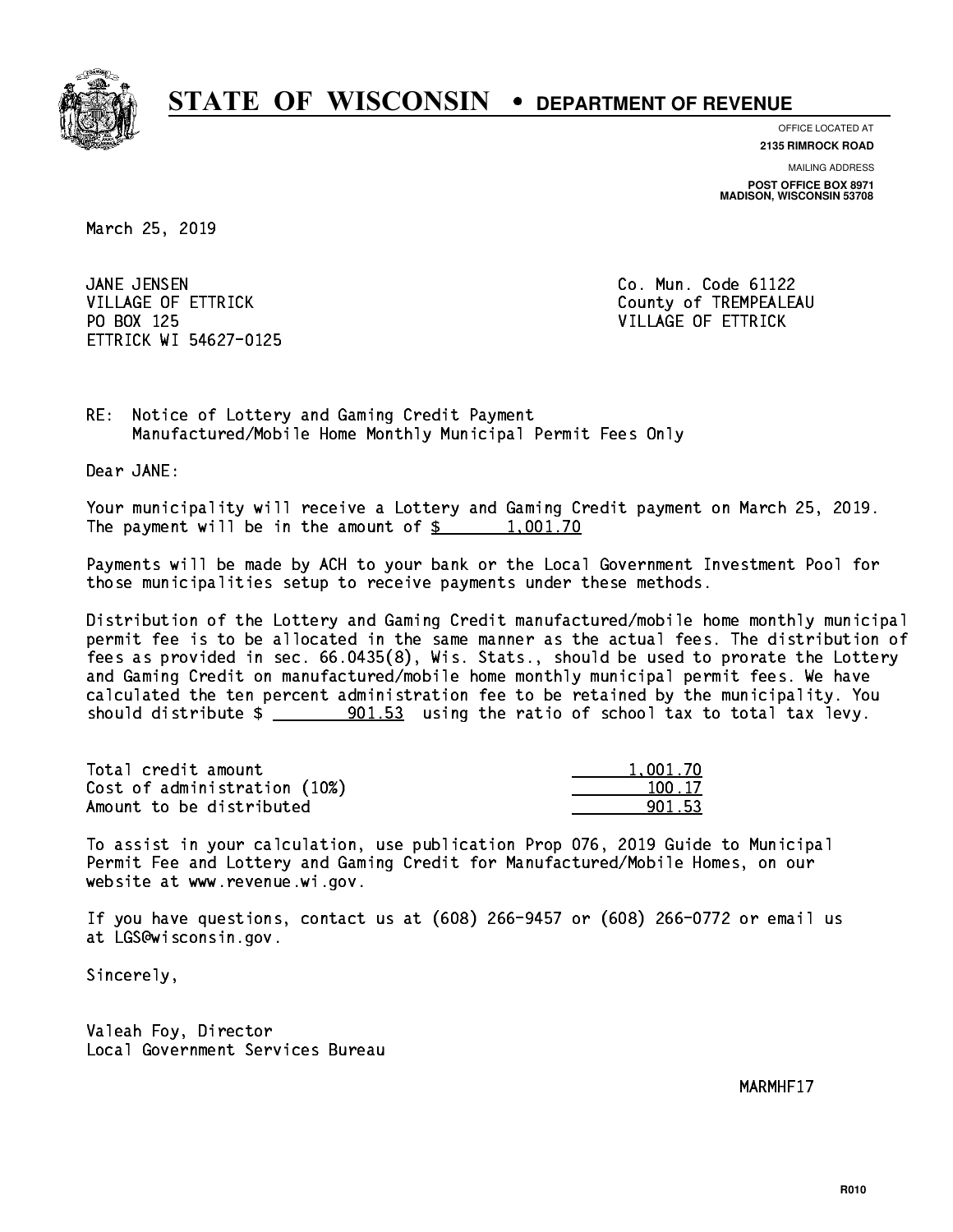

**OFFICE LOCATED AT**

**2135 RIMROCK ROAD**

**MAILING ADDRESS POST OFFICE BOX 8971 MADISON, WISCONSIN 53708**

March 25, 2019

JANE JENSEN PO BOX 125 VILLAGE OF ETTRICK ETTRICK WI 54627-0125

Co. Mun. Code 61122 VILLAGE OF ETTRICK County of TREMPEALEAU

RE: Notice of Lottery and Gaming Credit Payment Manufactured/Mobile Home Monthly Municipal Permit Fees Only

Dear JANE:

 Your municipality will receive a Lottery and Gaming Credit payment on March 25, 2019. The payment will be in the amount of  $\frac{2}{3}$  1,001.70

 Payments will be made by ACH to your bank or the Local Government Investment Pool for those municipalities setup to receive payments under these methods.

 Distribution of the Lottery and Gaming Credit manufactured/mobile home monthly municipal permit fee is to be allocated in the same manner as the actual fees. The distribution of fees as provided in sec. 66.0435(8), Wis. Stats., should be used to prorate the Lottery and Gaming Credit on manufactured/mobile home monthly municipal permit fees. We have calculated the ten percent administration fee to be retained by the municipality. You should distribute  $\frac{1}{2}$   $\frac{901.53}{2}$  using the ratio of school tax to total tax levy.

| Total credit amount          | 1,001.70 |
|------------------------------|----------|
| Cost of administration (10%) | 100.17   |
| Amount to be distributed     | 901.53   |

 To assist in your calculation, use publication Prop 076, 2019 Guide to Municipal Permit Fee and Lottery and Gaming Credit for Manufactured/Mobile Homes, on our website at www.revenue.wi.gov.

 If you have questions, contact us at (608) 266-9457 or (608) 266-0772 or email us at LGS@wisconsin.gov.

Sincerely,

 Valeah Foy, Director Local Government Services Bureau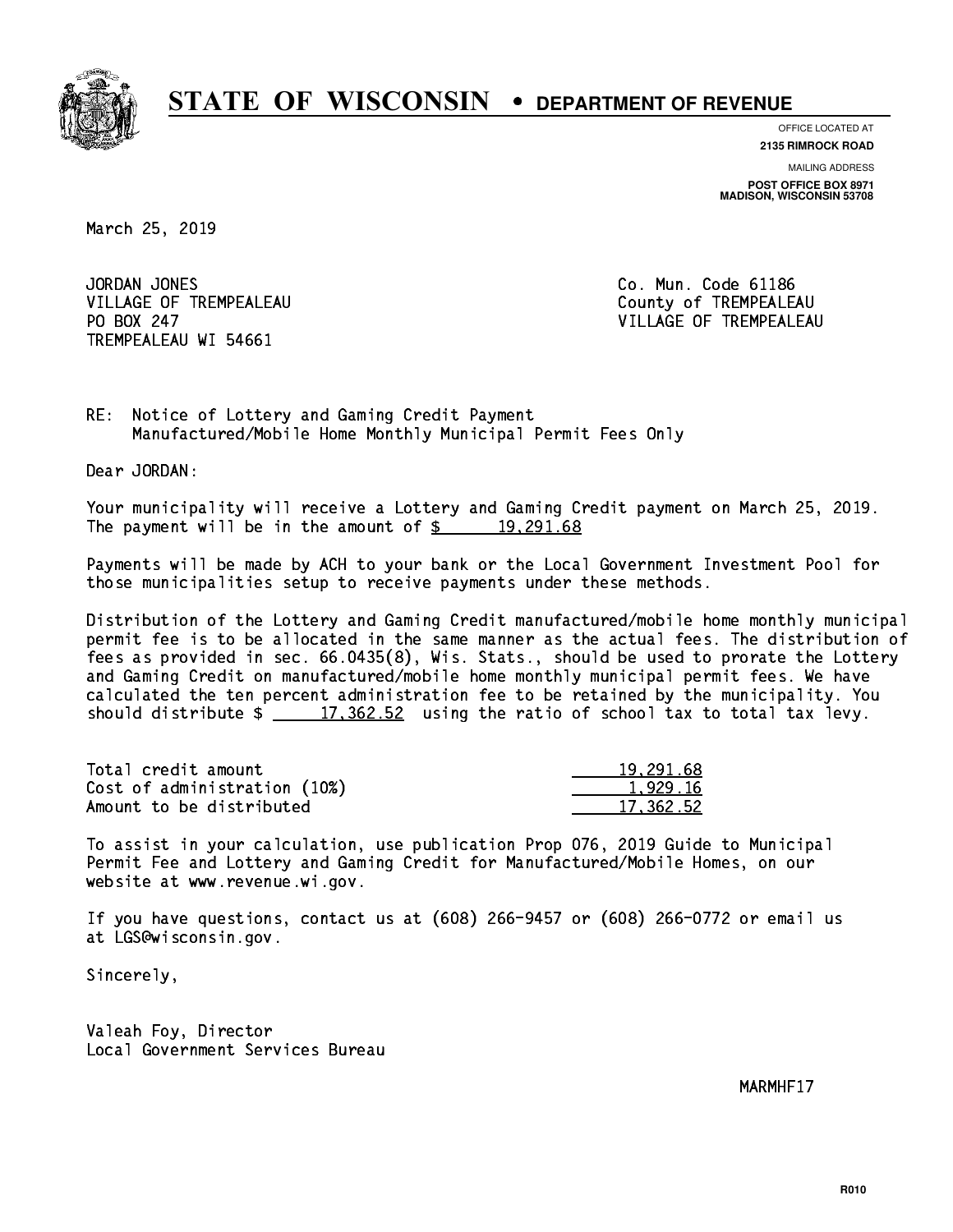

**OFFICE LOCATED AT**

**2135 RIMROCK ROAD**

**MAILING ADDRESS POST OFFICE BOX 8971 MADISON, WISCONSIN 53708**

March 25, 2019

JORDAN JONES VILLAGE OF TREMPEALEAU County of TREMPEALEAU PO BOX 247 TREMPEALEAU WI 54661

Co. Mun. Code 61186 VILLAGE OF TREMPEALEAU

RE: Notice of Lottery and Gaming Credit Payment Manufactured/Mobile Home Monthly Municipal Permit Fees Only

Dear JORDAN:

 Your municipality will receive a Lottery and Gaming Credit payment on March 25, 2019. The payment will be in the amount of  $\frac{2}{3}$  19,291.68

 Payments will be made by ACH to your bank or the Local Government Investment Pool for those municipalities setup to receive payments under these methods.

 Distribution of the Lottery and Gaming Credit manufactured/mobile home monthly municipal permit fee is to be allocated in the same manner as the actual fees. The distribution of fees as provided in sec. 66.0435(8), Wis. Stats., should be used to prorate the Lottery and Gaming Credit on manufactured/mobile home monthly municipal permit fees. We have calculated the ten percent administration fee to be retained by the municipality. You should distribute  $\frac{2}{17,362.52}$  using the ratio of school tax to total tax levy.

| Total credit amount          | 19,291.68 |
|------------------------------|-----------|
| Cost of administration (10%) | 1.929.16  |
| Amount to be distributed     | 17.362.52 |

 To assist in your calculation, use publication Prop 076, 2019 Guide to Municipal Permit Fee and Lottery and Gaming Credit for Manufactured/Mobile Homes, on our website at www.revenue.wi.gov.

 If you have questions, contact us at (608) 266-9457 or (608) 266-0772 or email us at LGS@wisconsin.gov.

Sincerely,

 Valeah Foy, Director Local Government Services Bureau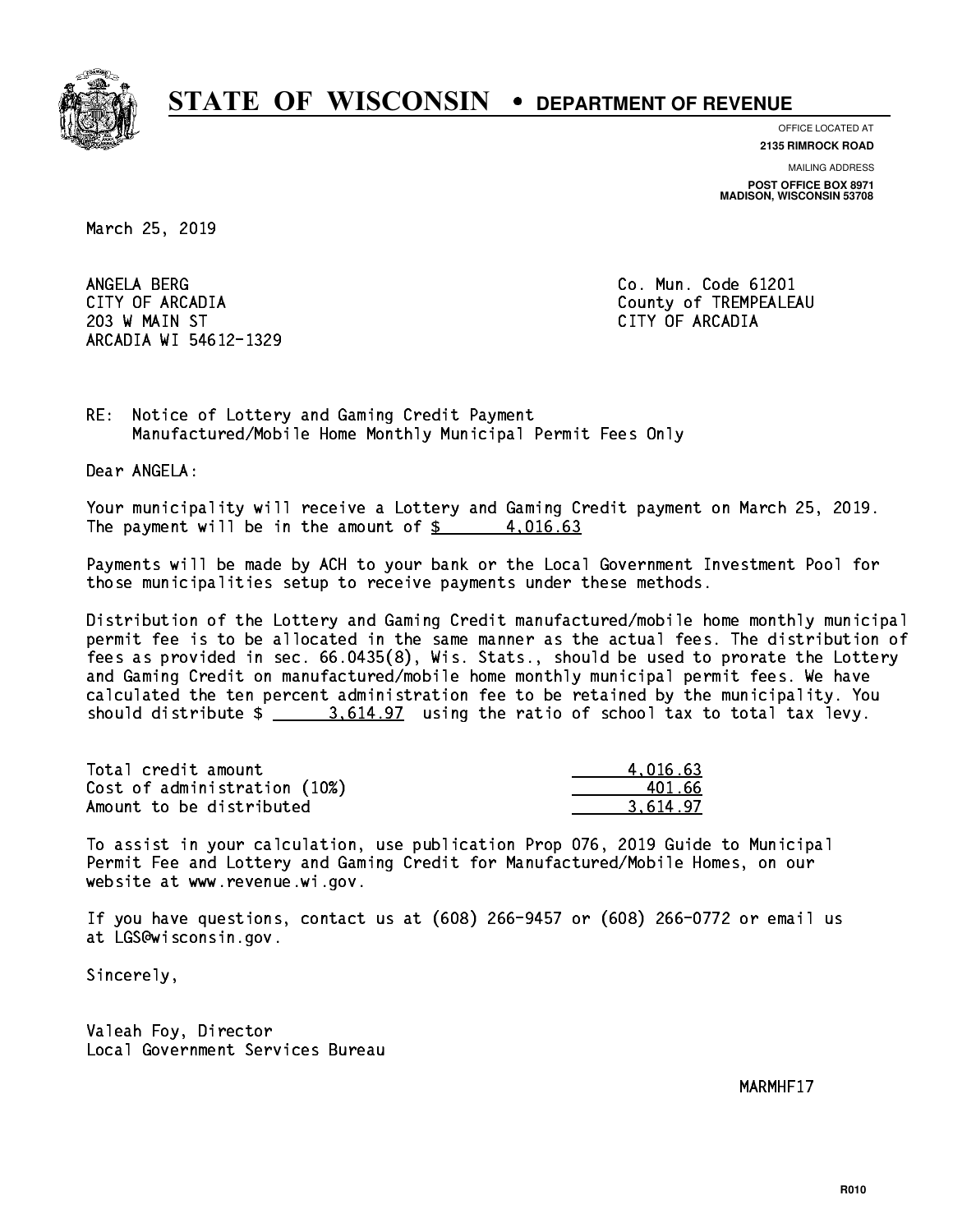

**OFFICE LOCATED AT**

**2135 RIMROCK ROAD**

**MAILING ADDRESS POST OFFICE BOX 8971 MADISON, WISCONSIN 53708**

March 25, 2019

ANGELA BERG 203 W MAIN ST CITY OF ARCADIA ARCADIA WI 54612-1329

Co. Mun. Code 61201 CITY OF ARCADIA County of TREMPEALEAU

RE: Notice of Lottery and Gaming Credit Payment Manufactured/Mobile Home Monthly Municipal Permit Fees Only

Dear ANGELA:

 Your municipality will receive a Lottery and Gaming Credit payment on March 25, 2019. The payment will be in the amount of  $\frac{2}{3}$  4,016.63

 Payments will be made by ACH to your bank or the Local Government Investment Pool for those municipalities setup to receive payments under these methods.

 Distribution of the Lottery and Gaming Credit manufactured/mobile home monthly municipal permit fee is to be allocated in the same manner as the actual fees. The distribution of fees as provided in sec. 66.0435(8), Wis. Stats., should be used to prorate the Lottery and Gaming Credit on manufactured/mobile home monthly municipal permit fees. We have calculated the ten percent administration fee to be retained by the municipality. You should distribute  $\frac{2.514.97}{2.614.97}$  using the ratio of school tax to total tax levy.

| Total credit amount          | 4.016.63 |
|------------------------------|----------|
| Cost of administration (10%) | 401 66   |
| Amount to be distributed     | 3.614.97 |

 To assist in your calculation, use publication Prop 076, 2019 Guide to Municipal Permit Fee and Lottery and Gaming Credit for Manufactured/Mobile Homes, on our website at www.revenue.wi.gov.

 If you have questions, contact us at (608) 266-9457 or (608) 266-0772 or email us at LGS@wisconsin.gov.

Sincerely,

 Valeah Foy, Director Local Government Services Bureau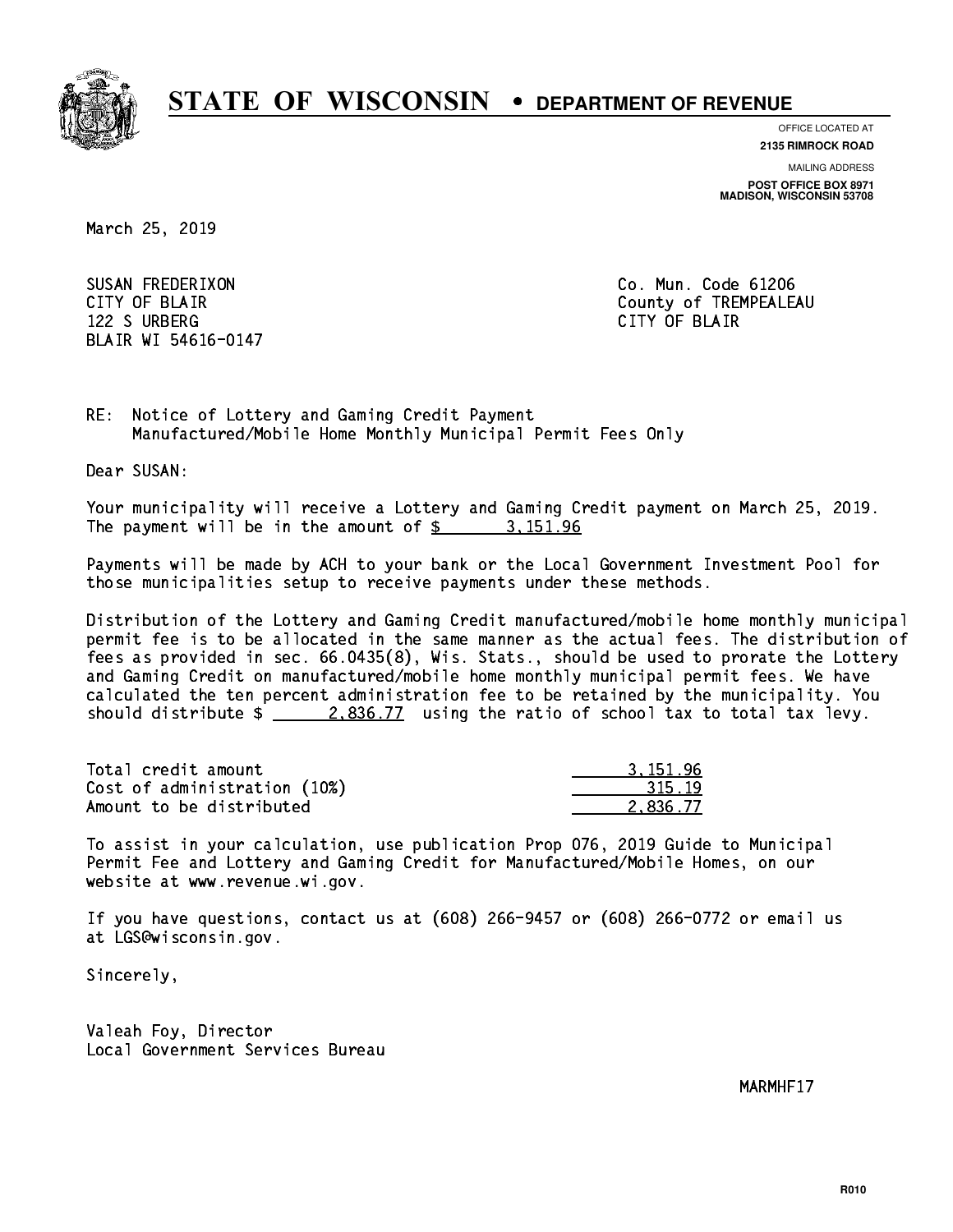

**OFFICE LOCATED AT**

**2135 RIMROCK ROAD**

**MAILING ADDRESS POST OFFICE BOX 8971 MADISON, WISCONSIN 53708**

March 25, 2019

 SUSAN FREDERIXON Co. Mun. Code 61206 122 S URBERG CITY OF BLAIR BLAIR WI 54616-0147

CITY OF BLAIR County of TREMPEALEAU

RE: Notice of Lottery and Gaming Credit Payment Manufactured/Mobile Home Monthly Municipal Permit Fees Only

Dear SUSAN:

 Your municipality will receive a Lottery and Gaming Credit payment on March 25, 2019. The payment will be in the amount of  $\frac{2}{3}$  3, 151.96

 Payments will be made by ACH to your bank or the Local Government Investment Pool for those municipalities setup to receive payments under these methods.

 Distribution of the Lottery and Gaming Credit manufactured/mobile home monthly municipal permit fee is to be allocated in the same manner as the actual fees. The distribution of fees as provided in sec. 66.0435(8), Wis. Stats., should be used to prorate the Lottery and Gaming Credit on manufactured/mobile home monthly municipal permit fees. We have calculated the ten percent administration fee to be retained by the municipality. You should distribute  $\frac{2.836.77}{2.836.77}$  using the ratio of school tax to total tax levy.

| Total credit amount          | 3.151.96 |
|------------------------------|----------|
| Cost of administration (10%) | 315.19   |
| Amount to be distributed     | 2.836.77 |

 To assist in your calculation, use publication Prop 076, 2019 Guide to Municipal Permit Fee and Lottery and Gaming Credit for Manufactured/Mobile Homes, on our website at www.revenue.wi.gov.

 If you have questions, contact us at (608) 266-9457 or (608) 266-0772 or email us at LGS@wisconsin.gov.

Sincerely,

 Valeah Foy, Director Local Government Services Bureau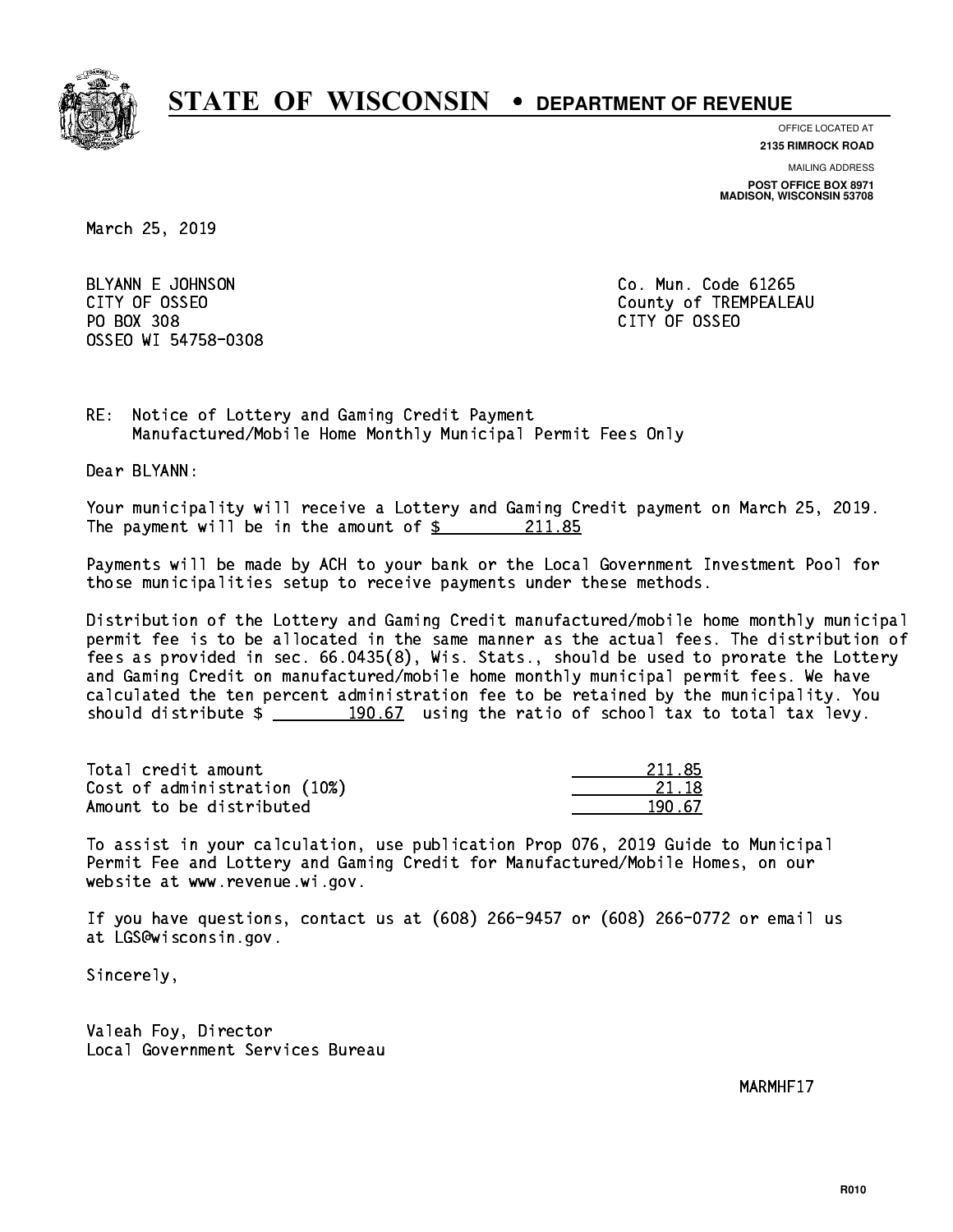

**OFFICE LOCATED AT**

**2135 RIMROCK ROAD**

**MAILING ADDRESS POST OFFICE BOX 8971 MADISON, WISCONSIN 53708**

March 25, 2019

BLYANN E JOHNSON CO. Mun. Code 61265 PO BOX 308 PO BOX 308 CITY OF OSSEO OSSEO WI 54758-0308

CITY OF OSSEO COUNTY OF OSSEO

RE: Notice of Lottery and Gaming Credit Payment Manufactured/Mobile Home Monthly Municipal Permit Fees Only

Dear BLYANN:

 Your municipality will receive a Lottery and Gaming Credit payment on March 25, 2019. The payment will be in the amount of  $\frac{211.85}{211.85}$ 

 Payments will be made by ACH to your bank or the Local Government Investment Pool for those municipalities setup to receive payments under these methods.

 Distribution of the Lottery and Gaming Credit manufactured/mobile home monthly municipal permit fee is to be allocated in the same manner as the actual fees. The distribution of fees as provided in sec. 66.0435(8), Wis. Stats., should be used to prorate the Lottery and Gaming Credit on manufactured/mobile home monthly municipal permit fees. We have calculated the ten percent administration fee to be retained by the municipality. You should distribute  $\frac{190.67}{190.67}$  using the ratio of school tax to total tax levy.

Total credit amount Cost of administration (10%) Amount to be distributed

| 211 85 |
|--------|
| 21 18  |
| -57    |

 To assist in your calculation, use publication Prop 076, 2019 Guide to Municipal Permit Fee and Lottery and Gaming Credit for Manufactured/Mobile Homes, on our website at www.revenue.wi.gov.

 If you have questions, contact us at (608) 266-9457 or (608) 266-0772 or email us at LGS@wisconsin.gov.

Sincerely,

 Valeah Foy, Director Local Government Services Bureau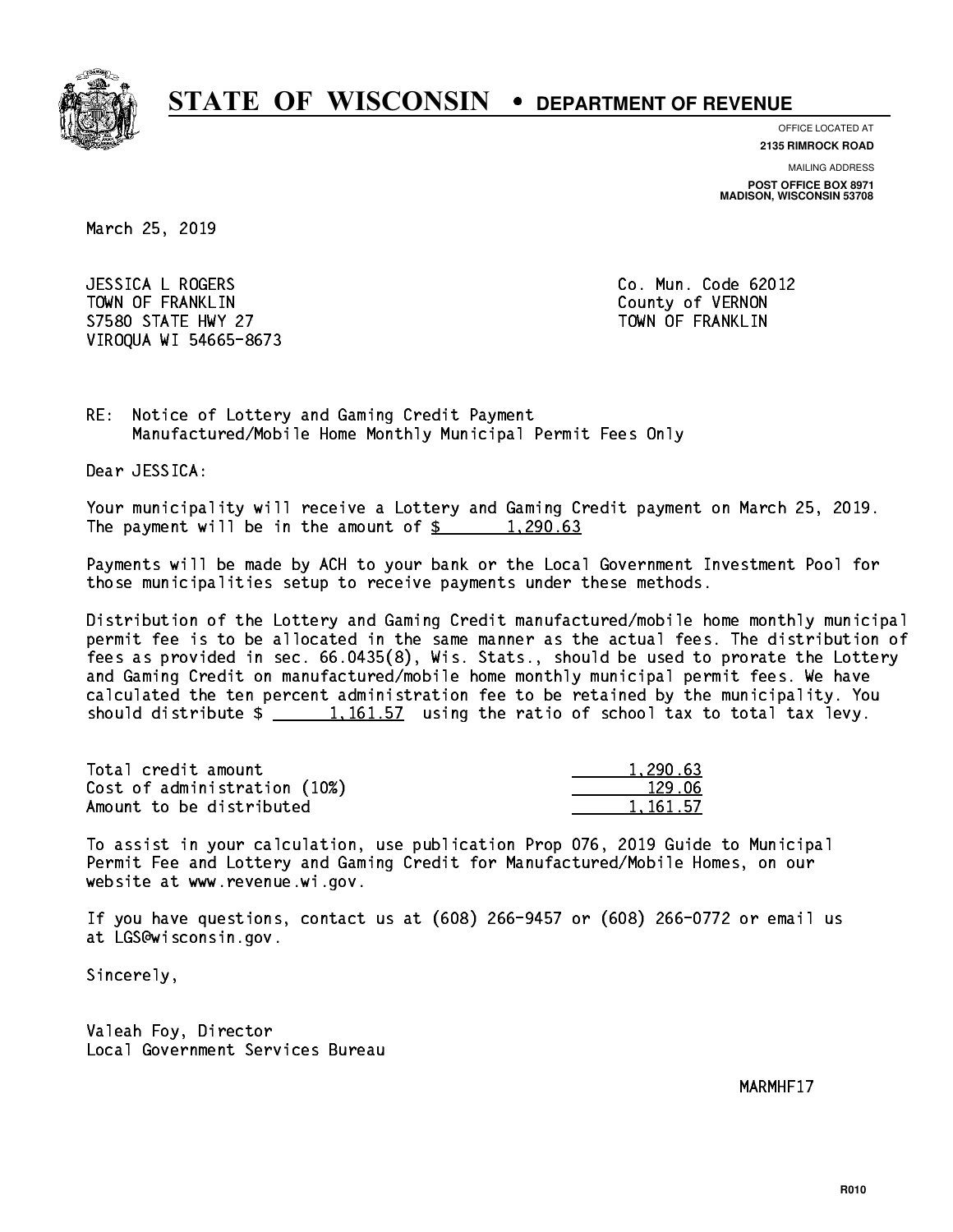

**OFFICE LOCATED AT**

**2135 RIMROCK ROAD**

**MAILING ADDRESS POST OFFICE BOX 8971 MADISON, WISCONSIN 53708**

March 25, 2019

 JESSICA L ROGERS Co. Mun. Code 62012 TOWN OF FRANKLIN County of VERNON S7580 STATE HWY 27 TOWN OF FRANKLIN VIROQUA WI 54665-8673

RE: Notice of Lottery and Gaming Credit Payment Manufactured/Mobile Home Monthly Municipal Permit Fees Only

Dear JESSICA:

 Your municipality will receive a Lottery and Gaming Credit payment on March 25, 2019. The payment will be in the amount of  $\frac{2}{3}$  1,290.63

 Payments will be made by ACH to your bank or the Local Government Investment Pool for those municipalities setup to receive payments under these methods.

 Distribution of the Lottery and Gaming Credit manufactured/mobile home monthly municipal permit fee is to be allocated in the same manner as the actual fees. The distribution of fees as provided in sec. 66.0435(8), Wis. Stats., should be used to prorate the Lottery and Gaming Credit on manufactured/mobile home monthly municipal permit fees. We have calculated the ten percent administration fee to be retained by the municipality. You should distribute  $\frac{1,161.57}{1,161.57}$  using the ratio of school tax to total tax levy.

| Total credit amount          | 1,290.63 |
|------------------------------|----------|
| Cost of administration (10%) | 129.06   |
| Amount to be distributed     | 1.161.57 |

 To assist in your calculation, use publication Prop 076, 2019 Guide to Municipal Permit Fee and Lottery and Gaming Credit for Manufactured/Mobile Homes, on our website at www.revenue.wi.gov.

 If you have questions, contact us at (608) 266-9457 or (608) 266-0772 or email us at LGS@wisconsin.gov.

Sincerely,

 Valeah Foy, Director Local Government Services Bureau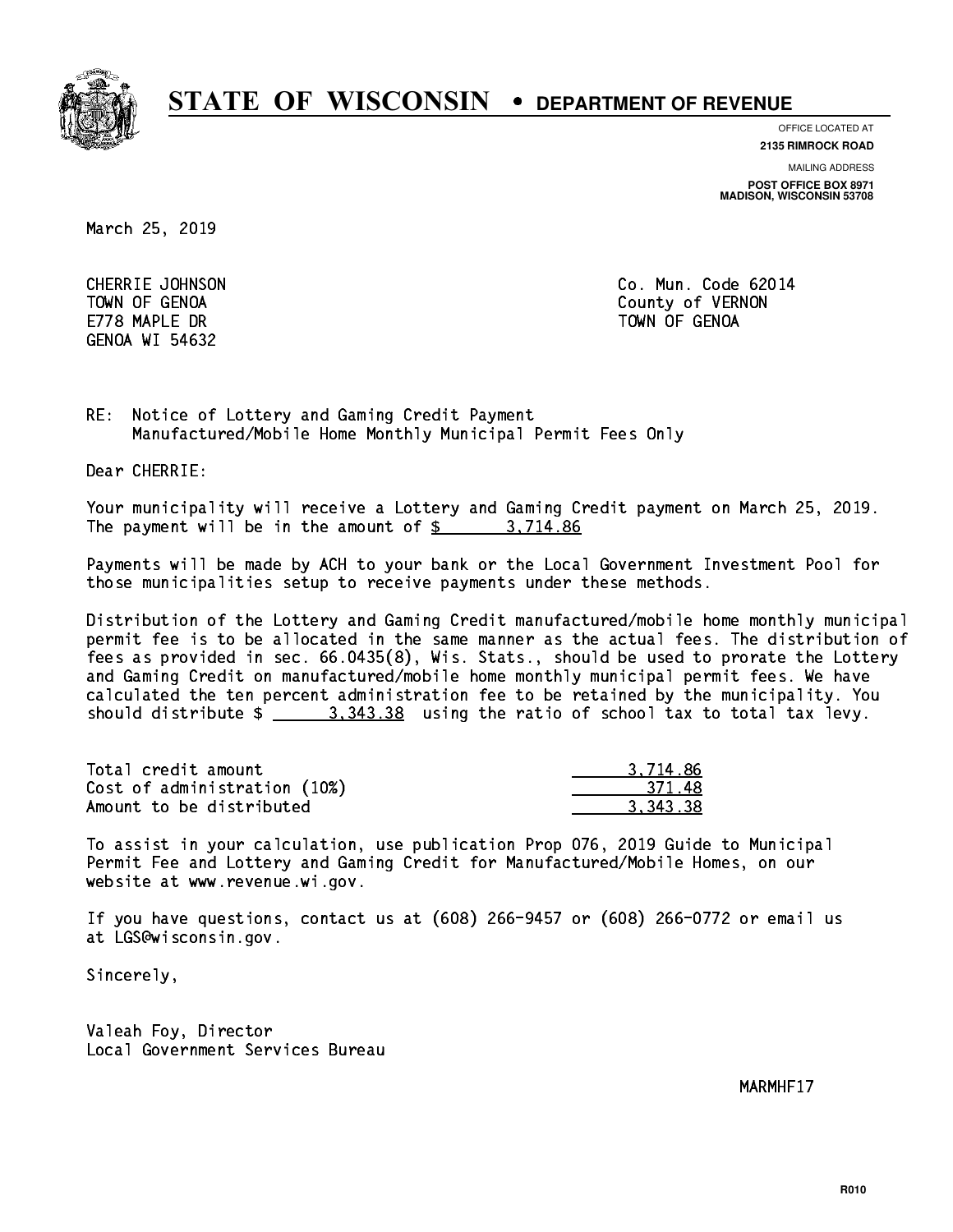

**OFFICE LOCATED AT**

**2135 RIMROCK ROAD**

**MAILING ADDRESS**

**POST OFFICE BOX 8971 MADISON, WISCONSIN 53708**

March 25, 2019

E778 MAPLE DR TOWN OF GENOA GENOA WI 54632

 CHERRIE JOHNSON Co. Mun. Code 62014 TOWN OF GENOA County of VERNON

RE: Notice of Lottery and Gaming Credit Payment Manufactured/Mobile Home Monthly Municipal Permit Fees Only

Dear CHERRIE:

 Your municipality will receive a Lottery and Gaming Credit payment on March 25, 2019. The payment will be in the amount of \$ 3,714.86 \_\_\_\_\_\_\_\_\_\_\_\_\_\_\_\_

 Payments will be made by ACH to your bank or the Local Government Investment Pool for those municipalities setup to receive payments under these methods.

 Distribution of the Lottery and Gaming Credit manufactured/mobile home monthly municipal permit fee is to be allocated in the same manner as the actual fees. The distribution of fees as provided in sec. 66.0435(8), Wis. Stats., should be used to prorate the Lottery and Gaming Credit on manufactured/mobile home monthly municipal permit fees. We have calculated the ten percent administration fee to be retained by the municipality. You should distribute  $\frac{2}{2}$   $\frac{3.343.38}{2}$  using the ratio of school tax to total tax levy.

| Total credit amount          | 3.714.86 |
|------------------------------|----------|
| Cost of administration (10%) | -371.48  |
| Amount to be distributed     | 3.343.38 |

 To assist in your calculation, use publication Prop 076, 2019 Guide to Municipal Permit Fee and Lottery and Gaming Credit for Manufactured/Mobile Homes, on our website at www.revenue.wi.gov.

 If you have questions, contact us at (608) 266-9457 or (608) 266-0772 or email us at LGS@wisconsin.gov.

Sincerely,

 Valeah Foy, Director Local Government Services Bureau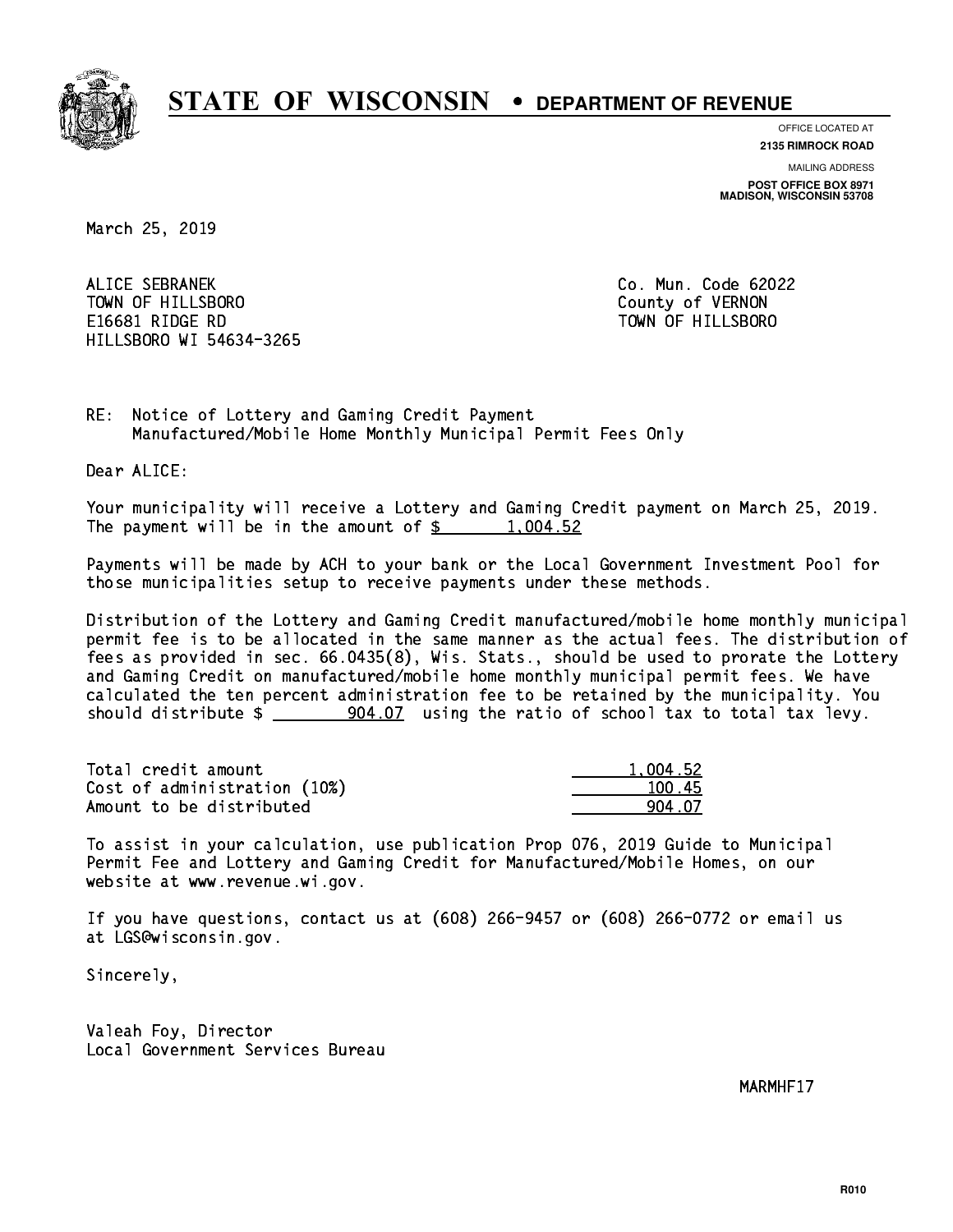

**OFFICE LOCATED AT 2135 RIMROCK ROAD**

**MAILING ADDRESS POST OFFICE BOX 8971 MADISON, WISCONSIN 53708**

March 25, 2019

 ALICE SEBRANEK Co. Mun. Code 62022 TOWN OF HILLSBORO County of VERNON E16681 RIDGE RD TOWN OF HILLSBORO HILLSBORO WI 54634-3265

RE: Notice of Lottery and Gaming Credit Payment Manufactured/Mobile Home Monthly Municipal Permit Fees Only

Dear ALICE:

 Your municipality will receive a Lottery and Gaming Credit payment on March 25, 2019. The payment will be in the amount of  $\frac{2}{3}$  1,004.52

 Payments will be made by ACH to your bank or the Local Government Investment Pool for those municipalities setup to receive payments under these methods.

 Distribution of the Lottery and Gaming Credit manufactured/mobile home monthly municipal permit fee is to be allocated in the same manner as the actual fees. The distribution of fees as provided in sec. 66.0435(8), Wis. Stats., should be used to prorate the Lottery and Gaming Credit on manufactured/mobile home monthly municipal permit fees. We have calculated the ten percent administration fee to be retained by the municipality. You should distribute  $\frac{204.07}{1000}$  using the ratio of school tax to total tax levy.

| Total credit amount          | 1,004.52 |
|------------------------------|----------|
| Cost of administration (10%) | 100.45   |
| Amount to be distributed     | 904.07   |

 To assist in your calculation, use publication Prop 076, 2019 Guide to Municipal Permit Fee and Lottery and Gaming Credit for Manufactured/Mobile Homes, on our website at www.revenue.wi.gov.

 If you have questions, contact us at (608) 266-9457 or (608) 266-0772 or email us at LGS@wisconsin.gov.

Sincerely,

 Valeah Foy, Director Local Government Services Bureau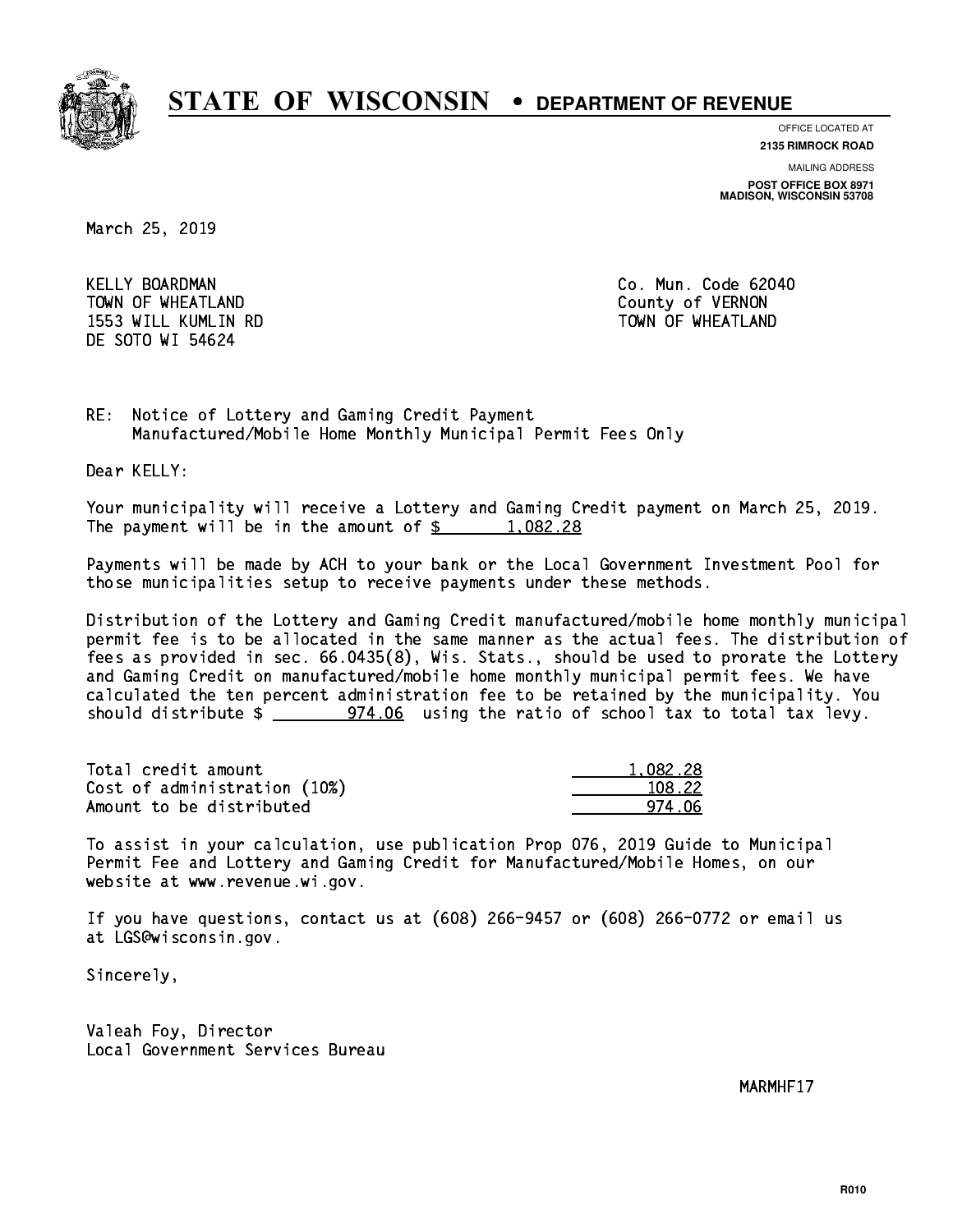

**OFFICE LOCATED AT**

**2135 RIMROCK ROAD**

**MAILING ADDRESS POST OFFICE BOX 8971 MADISON, WISCONSIN 53708**

March 25, 2019

 KELLY BOARDMAN Co. Mun. Code 62040 TOWN OF WHEATLAND County of VERNON 1553 WILL KUMLIN RD TOWN OF WHEATLAND DE SOTO WI 54624

RE: Notice of Lottery and Gaming Credit Payment Manufactured/Mobile Home Monthly Municipal Permit Fees Only

Dear KELLY:

 Your municipality will receive a Lottery and Gaming Credit payment on March 25, 2019. The payment will be in the amount of  $\frac{2}{3}$  1,082.28

 Payments will be made by ACH to your bank or the Local Government Investment Pool for those municipalities setup to receive payments under these methods.

 Distribution of the Lottery and Gaming Credit manufactured/mobile home monthly municipal permit fee is to be allocated in the same manner as the actual fees. The distribution of fees as provided in sec. 66.0435(8), Wis. Stats., should be used to prorate the Lottery and Gaming Credit on manufactured/mobile home monthly municipal permit fees. We have calculated the ten percent administration fee to be retained by the municipality. You should distribute  $\frac{2}{2}$  974.06 using the ratio of school tax to total tax levy.

| Total credit amount          | 1.082.28 |
|------------------------------|----------|
| Cost of administration (10%) | 108.22   |
| Amount to be distributed     | 974 NA   |

 To assist in your calculation, use publication Prop 076, 2019 Guide to Municipal Permit Fee and Lottery and Gaming Credit for Manufactured/Mobile Homes, on our website at www.revenue.wi.gov.

 If you have questions, contact us at (608) 266-9457 or (608) 266-0772 or email us at LGS@wisconsin.gov.

Sincerely,

 Valeah Foy, Director Local Government Services Bureau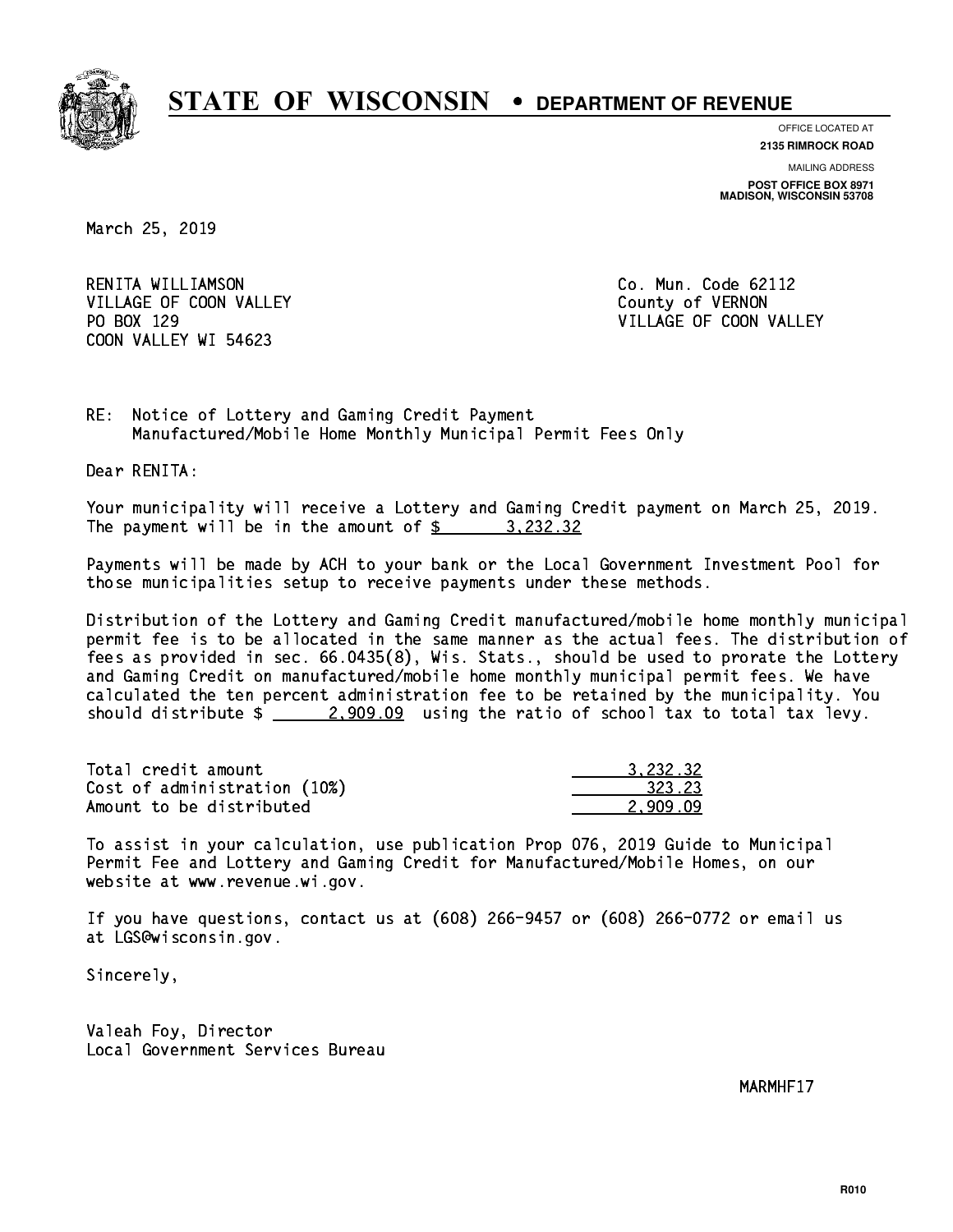

**OFFICE LOCATED AT**

**2135 RIMROCK ROAD**

**MAILING ADDRESS POST OFFICE BOX 8971 MADISON, WISCONSIN 53708**

March 25, 2019

 RENITA WILLIAMSON Co. Mun. Code 62112 VILLAGE OF COON VALLEY COUNTY OF VERNON PO BOX 129 COON VALLEY WI 54623

VILLAGE OF COON VALLEY

RE: Notice of Lottery and Gaming Credit Payment Manufactured/Mobile Home Monthly Municipal Permit Fees Only

Dear RENITA:

 Your municipality will receive a Lottery and Gaming Credit payment on March 25, 2019. The payment will be in the amount of \$ 3,232.32 \_\_\_\_\_\_\_\_\_\_\_\_\_\_\_\_

 Payments will be made by ACH to your bank or the Local Government Investment Pool for those municipalities setup to receive payments under these methods.

 Distribution of the Lottery and Gaming Credit manufactured/mobile home monthly municipal permit fee is to be allocated in the same manner as the actual fees. The distribution of fees as provided in sec. 66.0435(8), Wis. Stats., should be used to prorate the Lottery and Gaming Credit on manufactured/mobile home monthly municipal permit fees. We have calculated the ten percent administration fee to be retained by the municipality. You should distribute  $\frac{2,909.09}{2}$  using the ratio of school tax to total tax levy.

| Total credit amount          | 3.232.32 |
|------------------------------|----------|
| Cost of administration (10%) | 323.23   |
| Amount to be distributed     | 2.909.09 |

 To assist in your calculation, use publication Prop 076, 2019 Guide to Municipal Permit Fee and Lottery and Gaming Credit for Manufactured/Mobile Homes, on our website at www.revenue.wi.gov.

 If you have questions, contact us at (608) 266-9457 or (608) 266-0772 or email us at LGS@wisconsin.gov.

Sincerely,

 Valeah Foy, Director Local Government Services Bureau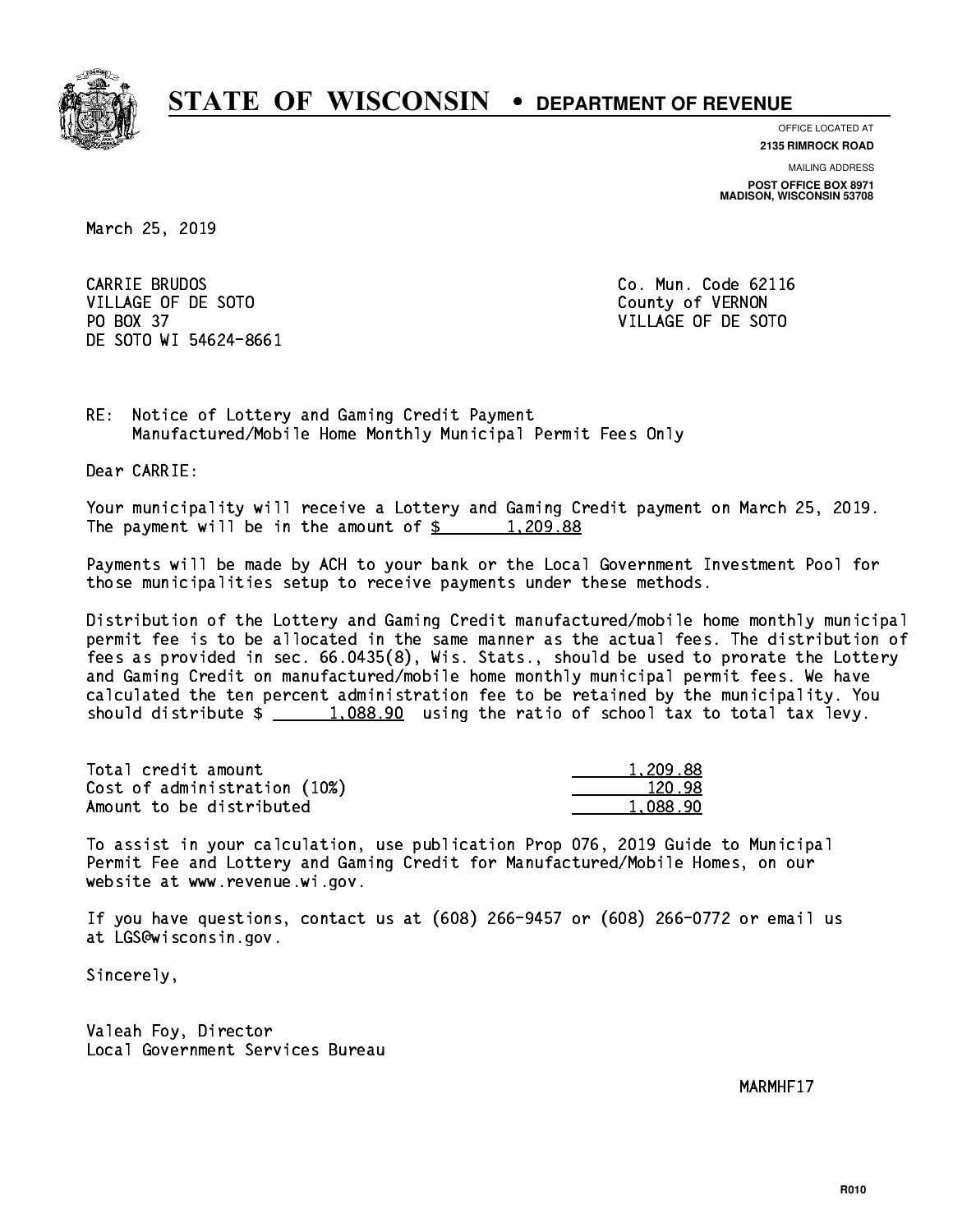

**OFFICE LOCATED AT**

**2135 RIMROCK ROAD**

**MAILING ADDRESS POST OFFICE BOX 8971 MADISON, WISCONSIN 53708**

March 25, 2019

CARRIE BRUDOS VILLAGE OF DE SOTO COUNTY OF VERNON PO BOX 37 VILLAGE OF DE SOTO DE SOTO WI 54624-8661

Co. Mun. Code 62116

RE: Notice of Lottery and Gaming Credit Payment Manufactured/Mobile Home Monthly Municipal Permit Fees Only

Dear CARRIE:

 Your municipality will receive a Lottery and Gaming Credit payment on March 25, 2019. The payment will be in the amount of  $\frac{2}{3}$  1,209.88

 Payments will be made by ACH to your bank or the Local Government Investment Pool for those municipalities setup to receive payments under these methods.

 Distribution of the Lottery and Gaming Credit manufactured/mobile home monthly municipal permit fee is to be allocated in the same manner as the actual fees. The distribution of fees as provided in sec. 66.0435(8), Wis. Stats., should be used to prorate the Lottery and Gaming Credit on manufactured/mobile home monthly municipal permit fees. We have calculated the ten percent administration fee to be retained by the municipality. You should distribute  $\frac{1,088.90}{1,088.90}$  using the ratio of school tax to total tax levy.

| Total credit amount          | 1,209.88 |
|------------------------------|----------|
| Cost of administration (10%) | 120.98   |
| Amount to be distributed     | 1.088.90 |

 To assist in your calculation, use publication Prop 076, 2019 Guide to Municipal Permit Fee and Lottery and Gaming Credit for Manufactured/Mobile Homes, on our website at www.revenue.wi.gov.

 If you have questions, contact us at (608) 266-9457 or (608) 266-0772 or email us at LGS@wisconsin.gov.

Sincerely,

 Valeah Foy, Director Local Government Services Bureau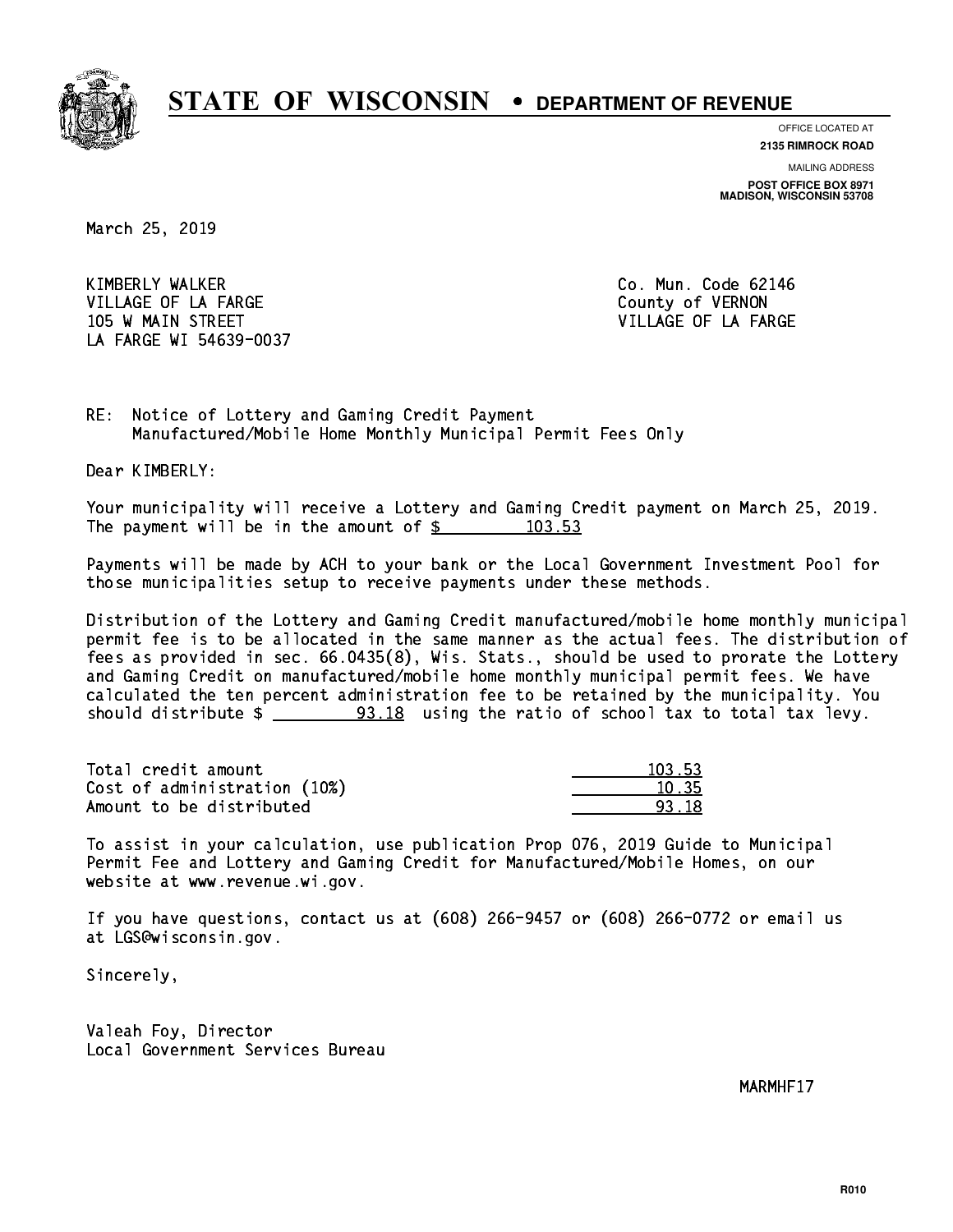

**OFFICE LOCATED AT**

**2135 RIMROCK ROAD**

**MAILING ADDRESS POST OFFICE BOX 8971 MADISON, WISCONSIN 53708**

March 25, 2019

 KIMBERLY WALKER Co. Mun. Code 62146 VILLAGE OF LA FARGE COUNTY OF VERNON 105 W MAIN STREET A RESERVE TO A STREET A STREET A STREET A STREET A STREET A STREET A STREET A STREET A STREET LA FARGE WI 54639-0037

RE: Notice of Lottery and Gaming Credit Payment Manufactured/Mobile Home Monthly Municipal Permit Fees Only

Dear KIMBERLY:

 Your municipality will receive a Lottery and Gaming Credit payment on March 25, 2019. The payment will be in the amount of  $\frac{2}{3}$  103.53

 Payments will be made by ACH to your bank or the Local Government Investment Pool for those municipalities setup to receive payments under these methods.

 Distribution of the Lottery and Gaming Credit manufactured/mobile home monthly municipal permit fee is to be allocated in the same manner as the actual fees. The distribution of fees as provided in sec. 66.0435(8), Wis. Stats., should be used to prorate the Lottery and Gaming Credit on manufactured/mobile home monthly municipal permit fees. We have calculated the ten percent administration fee to be retained by the municipality. You should distribute  $\frac{2}{2}$   $\frac{93.18}{2}$  using the ratio of school tax to total tax levy.

Total credit amount Cost of administration (10%) Amount to be distributed

| 103.53 |
|--------|
| 1.35   |
| 18     |

 To assist in your calculation, use publication Prop 076, 2019 Guide to Municipal Permit Fee and Lottery and Gaming Credit for Manufactured/Mobile Homes, on our website at www.revenue.wi.gov.

 If you have questions, contact us at (608) 266-9457 or (608) 266-0772 or email us at LGS@wisconsin.gov.

Sincerely,

 Valeah Foy, Director Local Government Services Bureau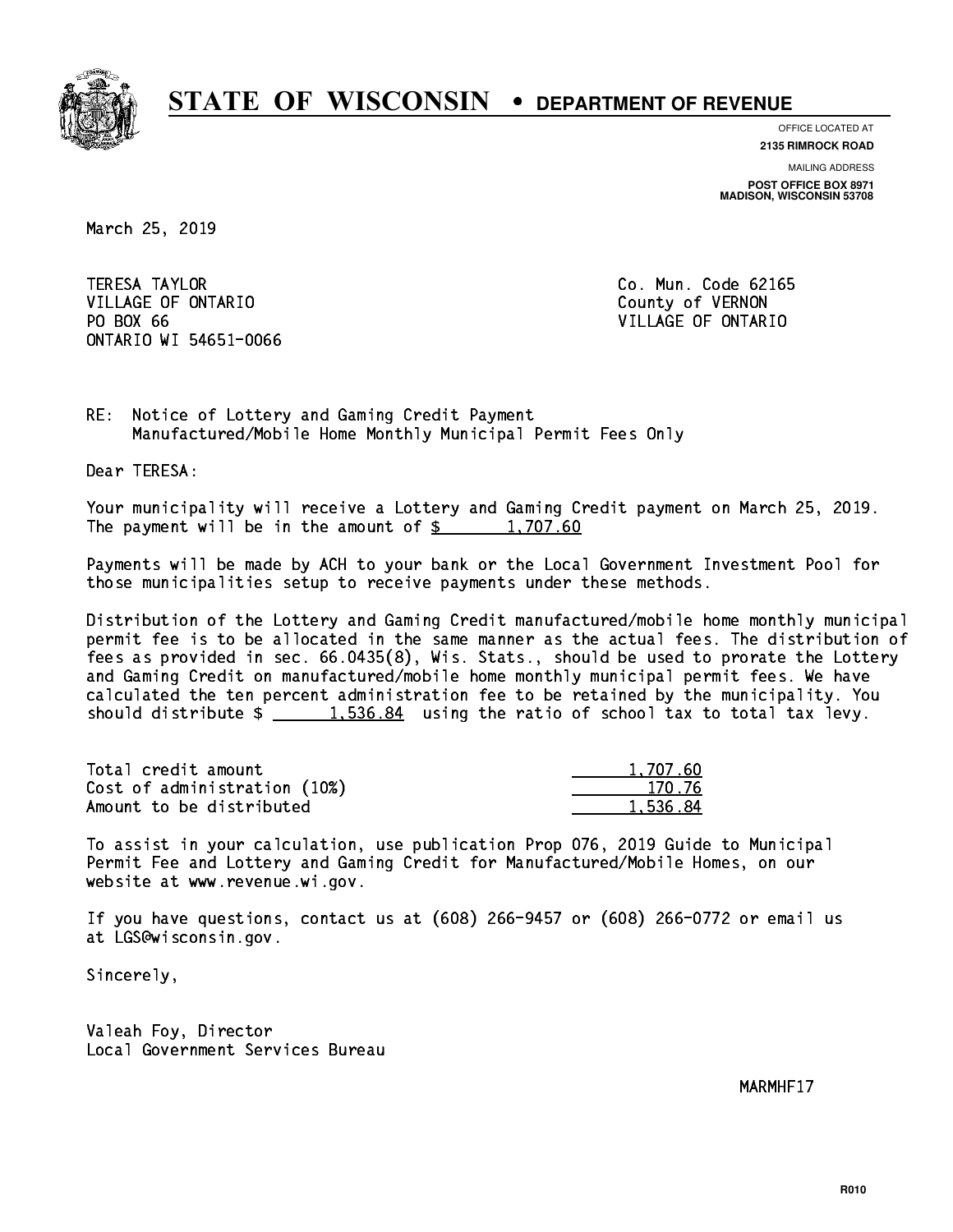

**OFFICE LOCATED AT 2135 RIMROCK ROAD**

**MAILING ADDRESS POST OFFICE BOX 8971 MADISON, WISCONSIN 53708**

March 25, 2019

**TERESA TAYLOR** VILLAGE OF ONTARIO **COUNTY OF SERVICE OF STATE OF STATE OF STATE OF STATE OF STATE OF STATE OF STATE OF STATE OF STATE OF STATE OF STATE OF STATE OF STATE OF STATE OF STATE OF STATE OF STATE OF STATE OF STATE OF STATE OF S** PO BOX 66 ONTARIO WI 54651-0066

Co. Mun. Code 62165 VILLAGE OF ONTARIO

RE: Notice of Lottery and Gaming Credit Payment Manufactured/Mobile Home Monthly Municipal Permit Fees Only

Dear TERESA:

 Your municipality will receive a Lottery and Gaming Credit payment on March 25, 2019. The payment will be in the amount of  $\frac{2}{3}$  1,707.60

 Payments will be made by ACH to your bank or the Local Government Investment Pool for those municipalities setup to receive payments under these methods.

 Distribution of the Lottery and Gaming Credit manufactured/mobile home monthly municipal permit fee is to be allocated in the same manner as the actual fees. The distribution of fees as provided in sec. 66.0435(8), Wis. Stats., should be used to prorate the Lottery and Gaming Credit on manufactured/mobile home monthly municipal permit fees. We have calculated the ten percent administration fee to be retained by the municipality. You should distribute  $\frac{1.536.84}{1.536.84}$  using the ratio of school tax to total tax levy.

| Total credit amount          | 1,707.60 |
|------------------------------|----------|
| Cost of administration (10%) | 170.76   |
| Amount to be distributed     | 1.536.84 |

 To assist in your calculation, use publication Prop 076, 2019 Guide to Municipal Permit Fee and Lottery and Gaming Credit for Manufactured/Mobile Homes, on our website at www.revenue.wi.gov.

 If you have questions, contact us at (608) 266-9457 or (608) 266-0772 or email us at LGS@wisconsin.gov.

Sincerely,

 Valeah Foy, Director Local Government Services Bureau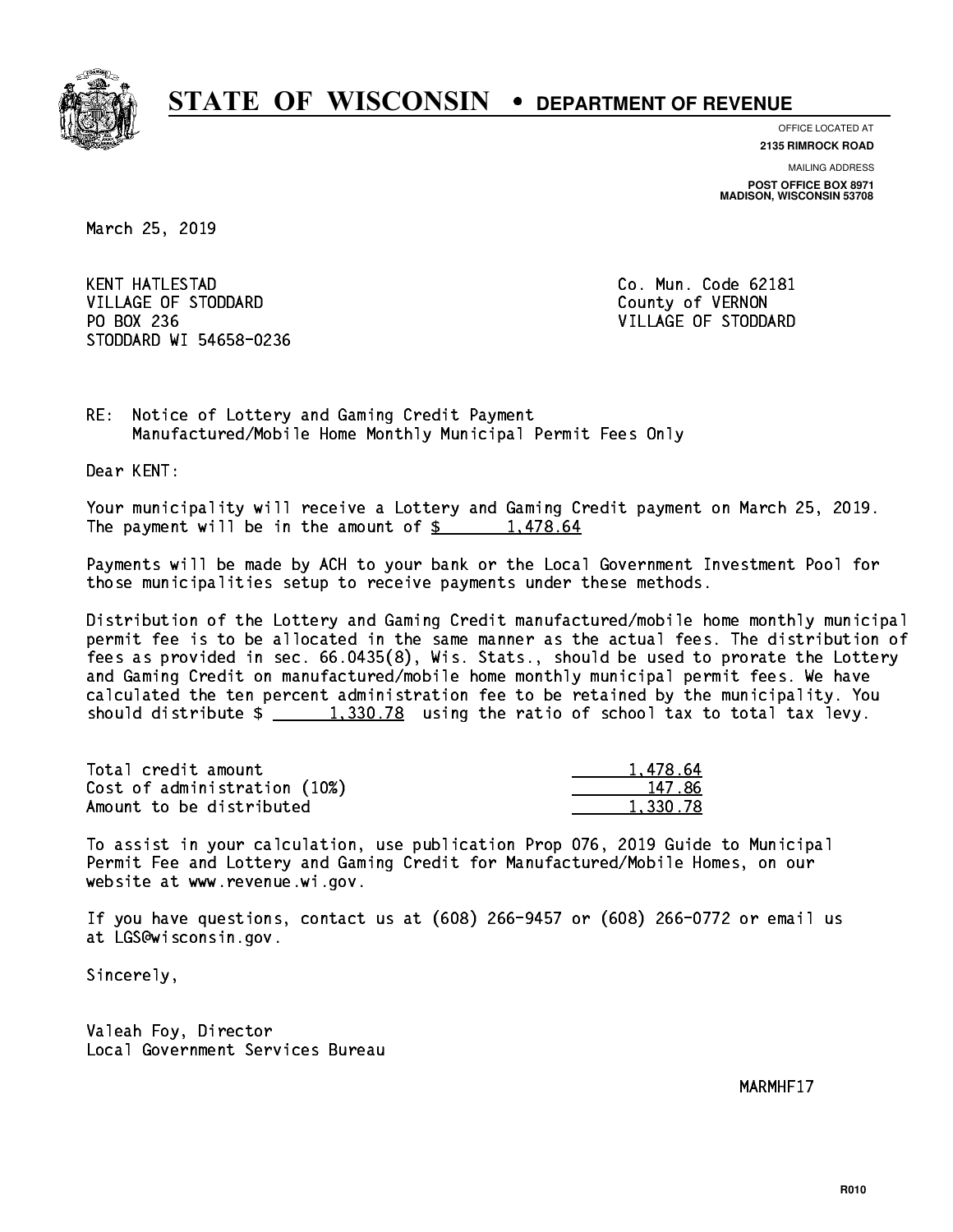

**OFFICE LOCATED AT**

**2135 RIMROCK ROAD**

**MAILING ADDRESS POST OFFICE BOX 8971 MADISON, WISCONSIN 53708**

March 25, 2019

**KENT HATLESTAD** VILLAGE OF STODDARD County of VERNON PO BOX 236 VILLAGE OF STODDARD STODDARD WI 54658-0236

Co. Mun. Code 62181

RE: Notice of Lottery and Gaming Credit Payment Manufactured/Mobile Home Monthly Municipal Permit Fees Only

Dear KENT:

 Your municipality will receive a Lottery and Gaming Credit payment on March 25, 2019. The payment will be in the amount of  $\frac{2}{3}$  1,478.64

 Payments will be made by ACH to your bank or the Local Government Investment Pool for those municipalities setup to receive payments under these methods.

 Distribution of the Lottery and Gaming Credit manufactured/mobile home monthly municipal permit fee is to be allocated in the same manner as the actual fees. The distribution of fees as provided in sec. 66.0435(8), Wis. Stats., should be used to prorate the Lottery and Gaming Credit on manufactured/mobile home monthly municipal permit fees. We have calculated the ten percent administration fee to be retained by the municipality. You should distribute  $\frac{1,330.78}{2}$  using the ratio of school tax to total tax levy.

| Total credit amount          | 1.478.64 |
|------------------------------|----------|
| Cost of administration (10%) | 147.86   |
| Amount to be distributed     | 1.330.78 |

 To assist in your calculation, use publication Prop 076, 2019 Guide to Municipal Permit Fee and Lottery and Gaming Credit for Manufactured/Mobile Homes, on our website at www.revenue.wi.gov.

 If you have questions, contact us at (608) 266-9457 or (608) 266-0772 or email us at LGS@wisconsin.gov.

Sincerely,

 Valeah Foy, Director Local Government Services Bureau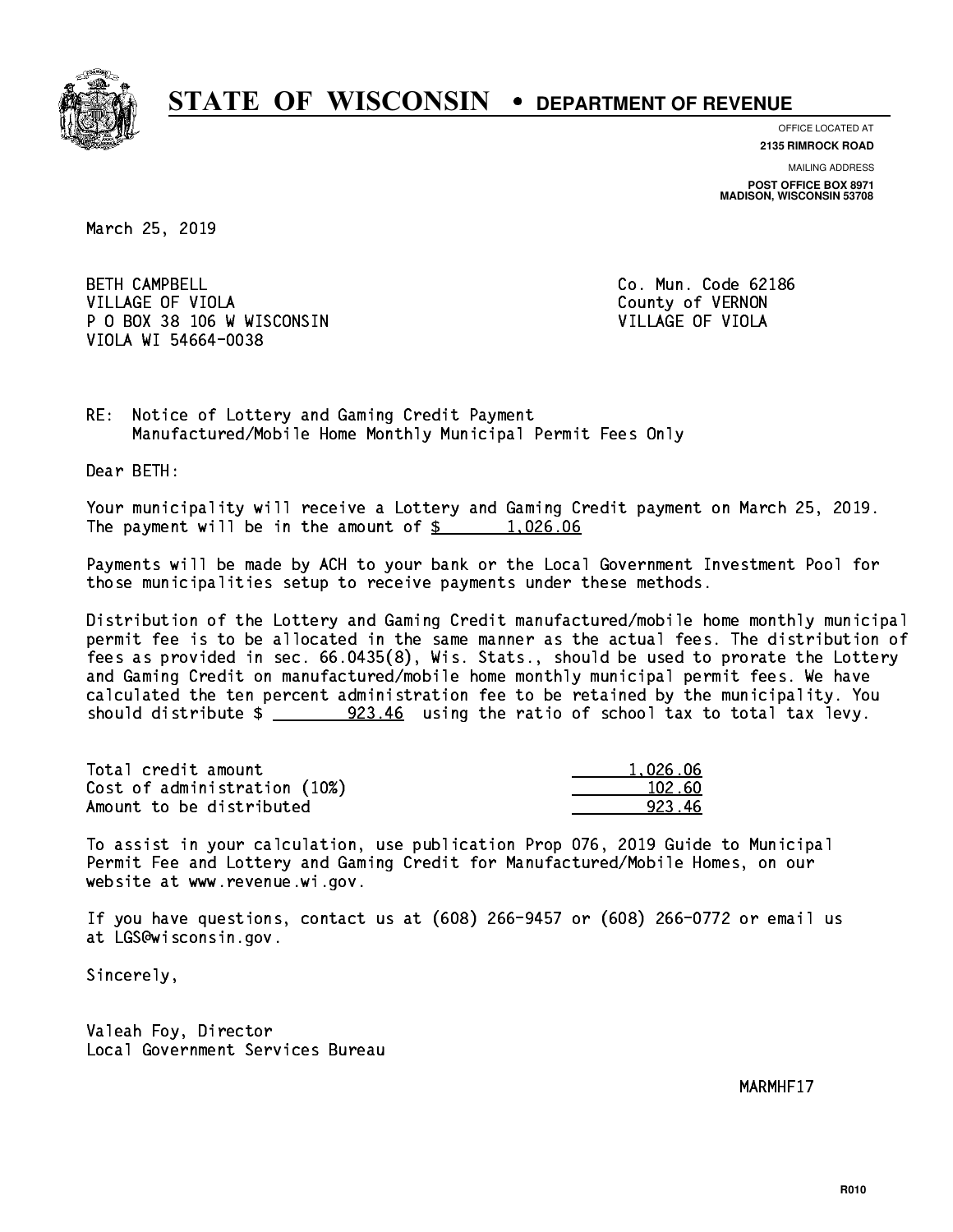

**OFFICE LOCATED AT 2135 RIMROCK ROAD**

**MAILING ADDRESS**

**POST OFFICE BOX 8971 MADISON, WISCONSIN 53708**

March 25, 2019

**BETH CAMPBELL** VILLAGE OF VIOLA **COUNTY OF VIOLA**  P O BOX 38 106 W WISCONSIN VILLAGE OF VIOLA VIOLA WI 54664-0038

Co. Mun. Code 62186

RE: Notice of Lottery and Gaming Credit Payment Manufactured/Mobile Home Monthly Municipal Permit Fees Only

Dear BETH:

 Your municipality will receive a Lottery and Gaming Credit payment on March 25, 2019. The payment will be in the amount of  $\frac{2}{3}$  1,026.06

 Payments will be made by ACH to your bank or the Local Government Investment Pool for those municipalities setup to receive payments under these methods.

 Distribution of the Lottery and Gaming Credit manufactured/mobile home monthly municipal permit fee is to be allocated in the same manner as the actual fees. The distribution of fees as provided in sec. 66.0435(8), Wis. Stats., should be used to prorate the Lottery and Gaming Credit on manufactured/mobile home monthly municipal permit fees. We have calculated the ten percent administration fee to be retained by the municipality. You should distribute  $\frac{223.46}{223.46}$  using the ratio of school tax to total tax levy.

| Total credit amount          | 1.026.06 |
|------------------------------|----------|
| Cost of administration (10%) | 102.60   |
| Amount to be distributed     | 923 46   |

 To assist in your calculation, use publication Prop 076, 2019 Guide to Municipal Permit Fee and Lottery and Gaming Credit for Manufactured/Mobile Homes, on our website at www.revenue.wi.gov.

 If you have questions, contact us at (608) 266-9457 or (608) 266-0772 or email us at LGS@wisconsin.gov.

Sincerely,

 Valeah Foy, Director Local Government Services Bureau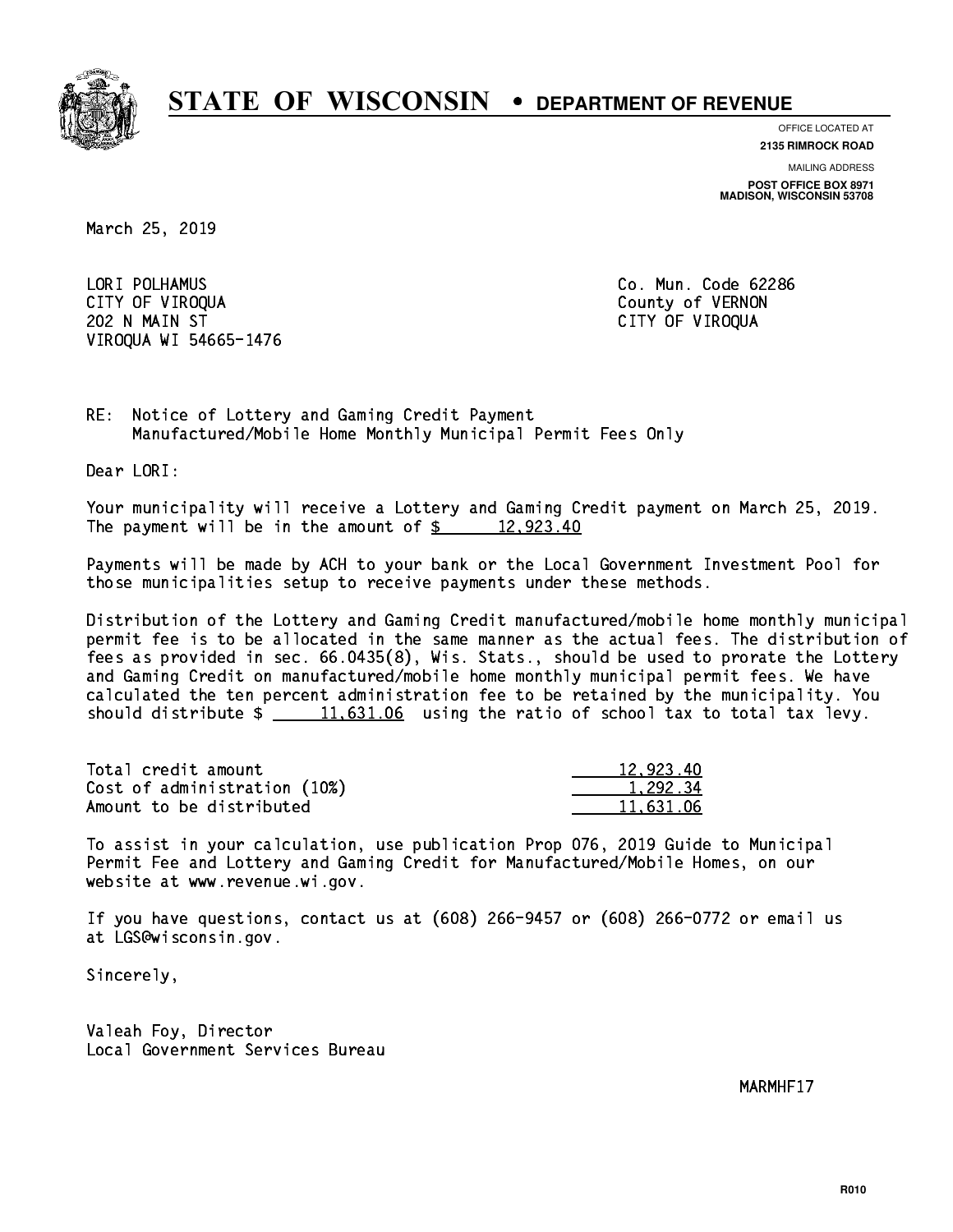

**OFFICE LOCATED AT**

**2135 RIMROCK ROAD**

**MAILING ADDRESS POST OFFICE BOX 8971 MADISON, WISCONSIN 53708**

March 25, 2019

 LORI POLHAMUS Co. Mun. Code 62286 CITY OF VIROQUA COUNTY OF VERNON 202 N MAIN ST CITY OF VIROQUA VIROQUA WI 54665-1476

RE: Notice of Lottery and Gaming Credit Payment Manufactured/Mobile Home Monthly Municipal Permit Fees Only

Dear LORI:

 Your municipality will receive a Lottery and Gaming Credit payment on March 25, 2019. The payment will be in the amount of  $\frac{2}{3}$  12,923.40

 Payments will be made by ACH to your bank or the Local Government Investment Pool for those municipalities setup to receive payments under these methods.

 Distribution of the Lottery and Gaming Credit manufactured/mobile home monthly municipal permit fee is to be allocated in the same manner as the actual fees. The distribution of fees as provided in sec. 66.0435(8), Wis. Stats., should be used to prorate the Lottery and Gaming Credit on manufactured/mobile home monthly municipal permit fees. We have calculated the ten percent administration fee to be retained by the municipality. You should distribute  $\frac{11,631.06}{2}$  using the ratio of school tax to total tax levy.

| Total credit amount          | 12,923.40 |
|------------------------------|-----------|
| Cost of administration (10%) | 1.292.34  |
| Amount to be distributed     | 11.631.06 |

 To assist in your calculation, use publication Prop 076, 2019 Guide to Municipal Permit Fee and Lottery and Gaming Credit for Manufactured/Mobile Homes, on our website at www.revenue.wi.gov.

 If you have questions, contact us at (608) 266-9457 or (608) 266-0772 or email us at LGS@wisconsin.gov.

Sincerely,

 Valeah Foy, Director Local Government Services Bureau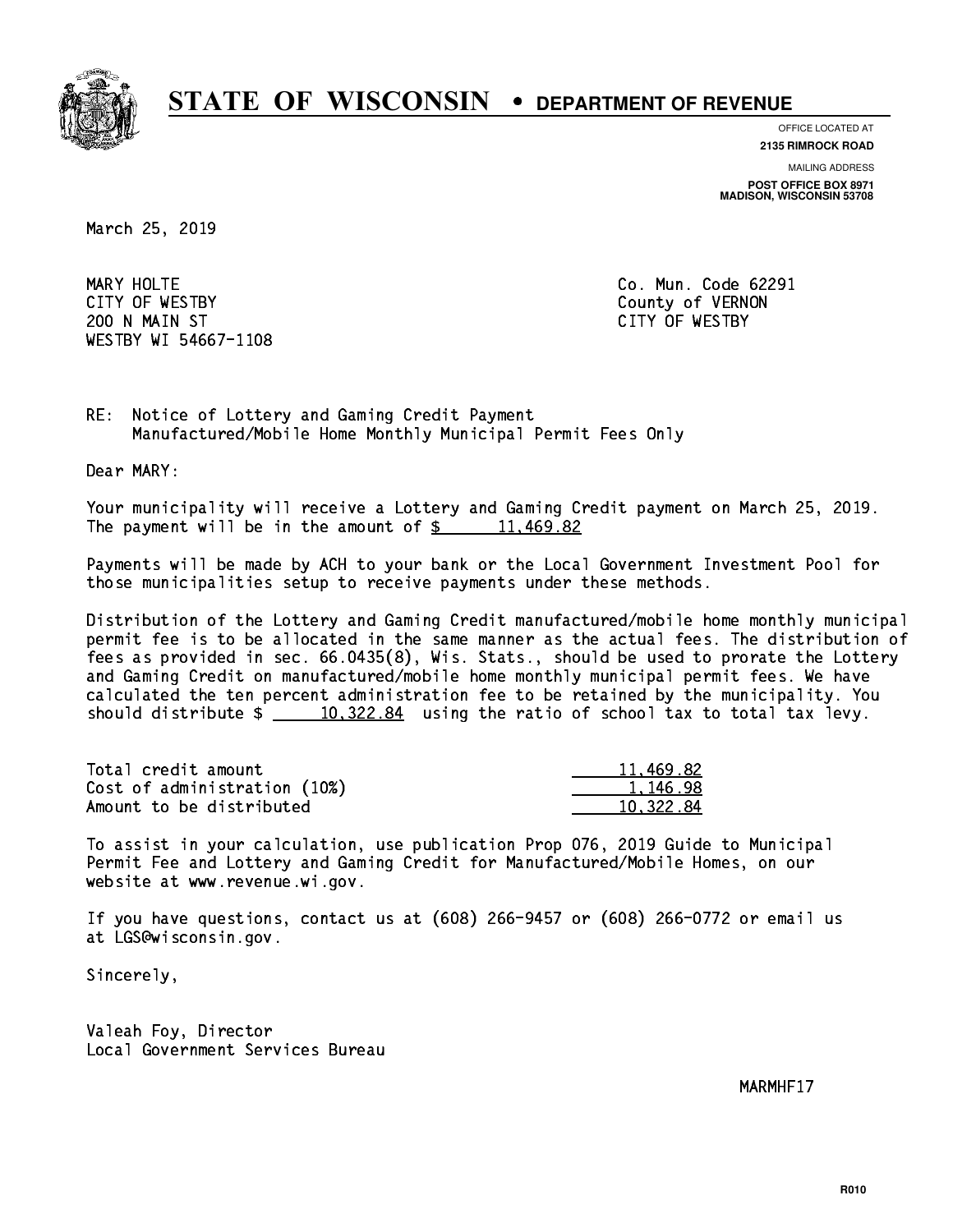

**OFFICE LOCATED AT**

**2135 RIMROCK ROAD**

**MAILING ADDRESS**

**POST OFFICE BOX 8971 MADISON, WISCONSIN 53708**

March 25, 2019

MARY HOLTE CITY OF WESTBY County of VERNON 200 N MAIN ST CITY OF WESTBY WESTBY WI 54667-1108

Co. Mun. Code 62291

RE: Notice of Lottery and Gaming Credit Payment Manufactured/Mobile Home Monthly Municipal Permit Fees Only

Dear MARY:

 Your municipality will receive a Lottery and Gaming Credit payment on March 25, 2019. The payment will be in the amount of  $\frac{2}{3}$  11,469.82

 Payments will be made by ACH to your bank or the Local Government Investment Pool for those municipalities setup to receive payments under these methods.

 Distribution of the Lottery and Gaming Credit manufactured/mobile home monthly municipal permit fee is to be allocated in the same manner as the actual fees. The distribution of fees as provided in sec. 66.0435(8), Wis. Stats., should be used to prorate the Lottery and Gaming Credit on manufactured/mobile home monthly municipal permit fees. We have calculated the ten percent administration fee to be retained by the municipality. You should distribute  $\frac{10,322.84}{10,322.84}$  using the ratio of school tax to total tax levy.

| Total credit amount          | 11,469.82 |
|------------------------------|-----------|
| Cost of administration (10%) | 1.146.98  |
| Amount to be distributed     | 10.322.84 |

 To assist in your calculation, use publication Prop 076, 2019 Guide to Municipal Permit Fee and Lottery and Gaming Credit for Manufactured/Mobile Homes, on our website at www.revenue.wi.gov.

 If you have questions, contact us at (608) 266-9457 or (608) 266-0772 or email us at LGS@wisconsin.gov.

Sincerely,

 Valeah Foy, Director Local Government Services Bureau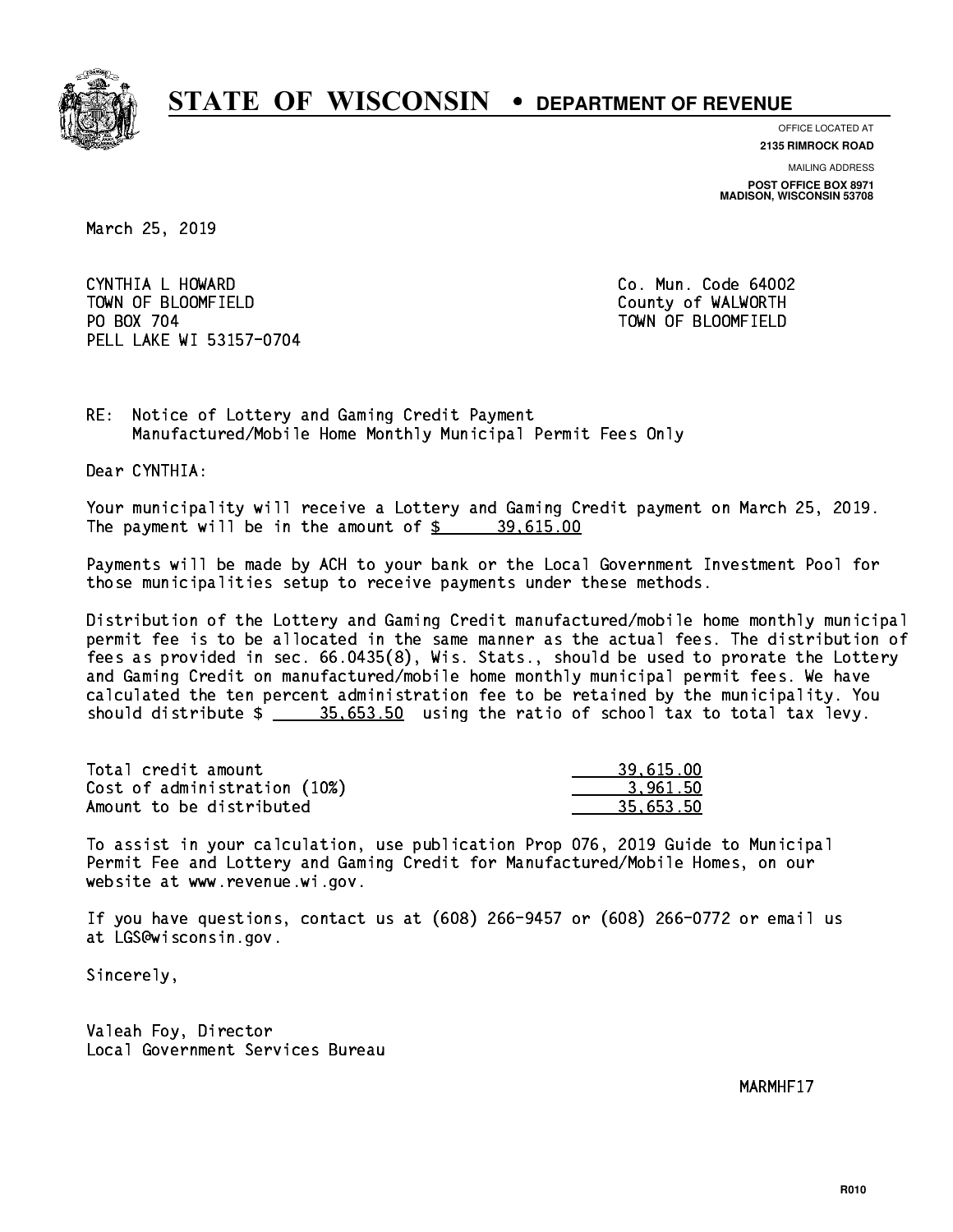

**OFFICE LOCATED AT**

**2135 RIMROCK ROAD**

**MAILING ADDRESS**

**POST OFFICE BOX 8971 MADISON, WISCONSIN 53708**

March 25, 2019

 CYNTHIA L HOWARD Co. Mun. Code 64002 TOWN OF BLOOMFIELD County of WALWORTH PO BOX 704 PELL LAKE WI 53157-0704

TOWN OF BLOOMFIELD

RE: Notice of Lottery and Gaming Credit Payment Manufactured/Mobile Home Monthly Municipal Permit Fees Only

Dear CYNTHIA:

 Your municipality will receive a Lottery and Gaming Credit payment on March 25, 2019. The payment will be in the amount of  $\frac{2}{3}$  39,615.00

 Payments will be made by ACH to your bank or the Local Government Investment Pool for those municipalities setup to receive payments under these methods.

 Distribution of the Lottery and Gaming Credit manufactured/mobile home monthly municipal permit fee is to be allocated in the same manner as the actual fees. The distribution of fees as provided in sec. 66.0435(8), Wis. Stats., should be used to prorate the Lottery and Gaming Credit on manufactured/mobile home monthly municipal permit fees. We have calculated the ten percent administration fee to be retained by the municipality. You should distribute  $\frac{25.653.50}{2}$  using the ratio of school tax to total tax levy.

| Total credit amount          | 39.615.00 |
|------------------------------|-----------|
| Cost of administration (10%) | 3.961.50  |
| Amount to be distributed     | 35.653.50 |

 To assist in your calculation, use publication Prop 076, 2019 Guide to Municipal Permit Fee and Lottery and Gaming Credit for Manufactured/Mobile Homes, on our website at www.revenue.wi.gov.

 If you have questions, contact us at (608) 266-9457 or (608) 266-0772 or email us at LGS@wisconsin.gov.

Sincerely,

 Valeah Foy, Director Local Government Services Bureau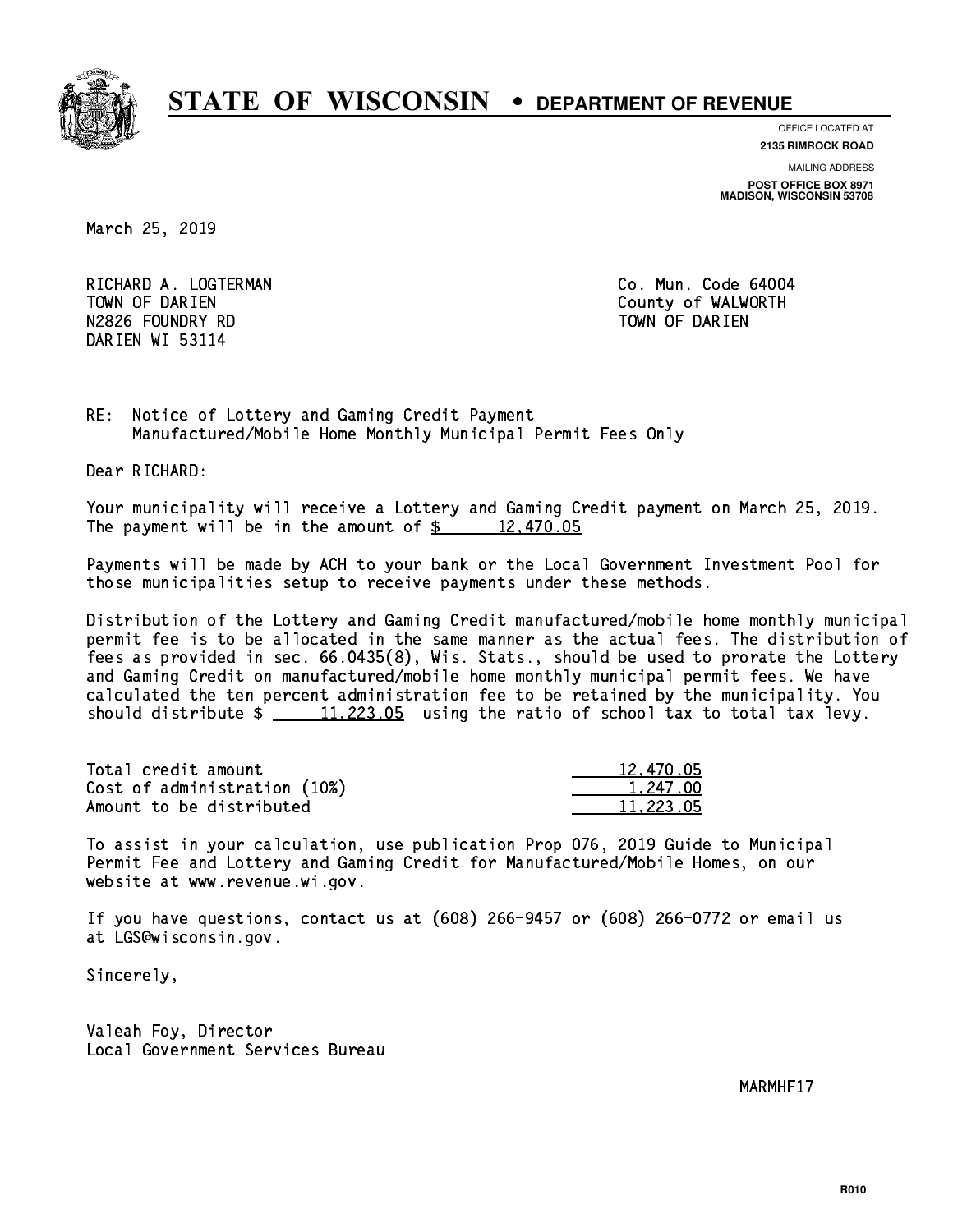

**OFFICE LOCATED AT**

**2135 RIMROCK ROAD**

**MAILING ADDRESS**

**POST OFFICE BOX 8971 MADISON, WISCONSIN 53708**

March 25, 2019

RICHARD A. LOGTERMAN **Co. Mun. Code 64004** TOWN OF DARIEN County of WALWORTH N2826 FOUNDRY RD TOWN OF DARIEN DARIEN WI 53114

RE: Notice of Lottery and Gaming Credit Payment Manufactured/Mobile Home Monthly Municipal Permit Fees Only

Dear RICHARD:

 Your municipality will receive a Lottery and Gaming Credit payment on March 25, 2019. The payment will be in the amount of  $\frac{2}{3}$  12,470.05

 Payments will be made by ACH to your bank or the Local Government Investment Pool for those municipalities setup to receive payments under these methods.

 Distribution of the Lottery and Gaming Credit manufactured/mobile home monthly municipal permit fee is to be allocated in the same manner as the actual fees. The distribution of fees as provided in sec. 66.0435(8), Wis. Stats., should be used to prorate the Lottery and Gaming Credit on manufactured/mobile home monthly municipal permit fees. We have calculated the ten percent administration fee to be retained by the municipality. You should distribute  $\frac{11,223.05}{2}$  using the ratio of school tax to total tax levy.

| Total credit amount          | 12,470.05 |
|------------------------------|-----------|
| Cost of administration (10%) | 1.247.00  |
| Amount to be distributed     | 11,223.05 |

 To assist in your calculation, use publication Prop 076, 2019 Guide to Municipal Permit Fee and Lottery and Gaming Credit for Manufactured/Mobile Homes, on our website at www.revenue.wi.gov.

 If you have questions, contact us at (608) 266-9457 or (608) 266-0772 or email us at LGS@wisconsin.gov.

Sincerely,

 Valeah Foy, Director Local Government Services Bureau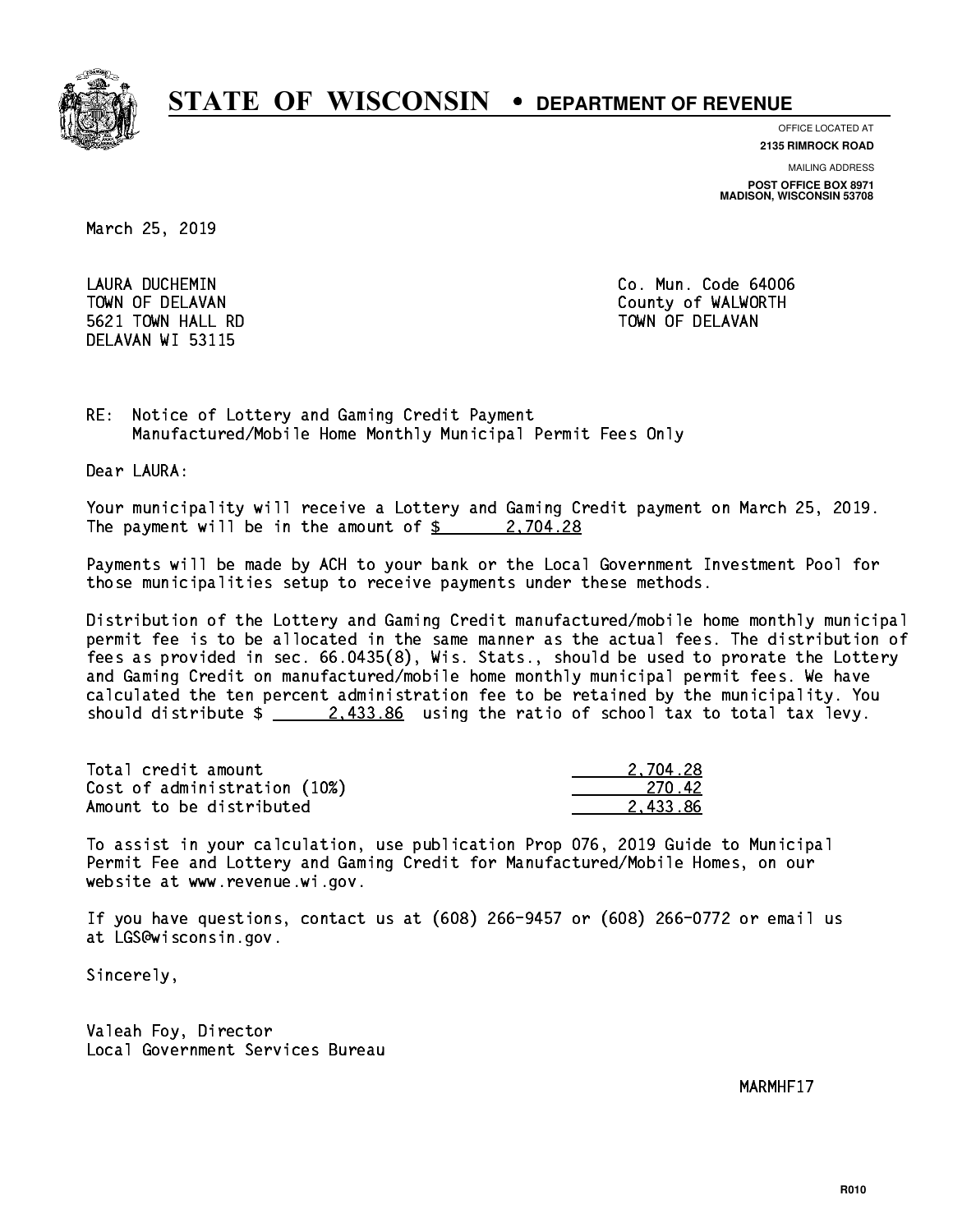

**OFFICE LOCATED AT**

**2135 RIMROCK ROAD**

**MAILING ADDRESS**

**POST OFFICE BOX 8971 MADISON, WISCONSIN 53708**

March 25, 2019

 LAURA DUCHEMIN Co. Mun. Code 64006 5621 TOWN HALL RD TOWN OF DELAVAN DELAVAN WI 53115

TOWN OF DELAVAN County of WALWORTH

RE: Notice of Lottery and Gaming Credit Payment Manufactured/Mobile Home Monthly Municipal Permit Fees Only

Dear LAURA:

 Your municipality will receive a Lottery and Gaming Credit payment on March 25, 2019. The payment will be in the amount of  $\frac{2}{3}$  2,704.28

 Payments will be made by ACH to your bank or the Local Government Investment Pool for those municipalities setup to receive payments under these methods.

 Distribution of the Lottery and Gaming Credit manufactured/mobile home monthly municipal permit fee is to be allocated in the same manner as the actual fees. The distribution of fees as provided in sec. 66.0435(8), Wis. Stats., should be used to prorate the Lottery and Gaming Credit on manufactured/mobile home monthly municipal permit fees. We have calculated the ten percent administration fee to be retained by the municipality. You should distribute  $\frac{2.433.86}{2.433.86}$  using the ratio of school tax to total tax levy.

| Total credit amount          | 2.704.28  |
|------------------------------|-----------|
| Cost of administration (10%) | -270 - 42 |
| Amount to be distributed     | 2.433.86  |

 To assist in your calculation, use publication Prop 076, 2019 Guide to Municipal Permit Fee and Lottery and Gaming Credit for Manufactured/Mobile Homes, on our website at www.revenue.wi.gov.

 If you have questions, contact us at (608) 266-9457 or (608) 266-0772 or email us at LGS@wisconsin.gov.

Sincerely,

 Valeah Foy, Director Local Government Services Bureau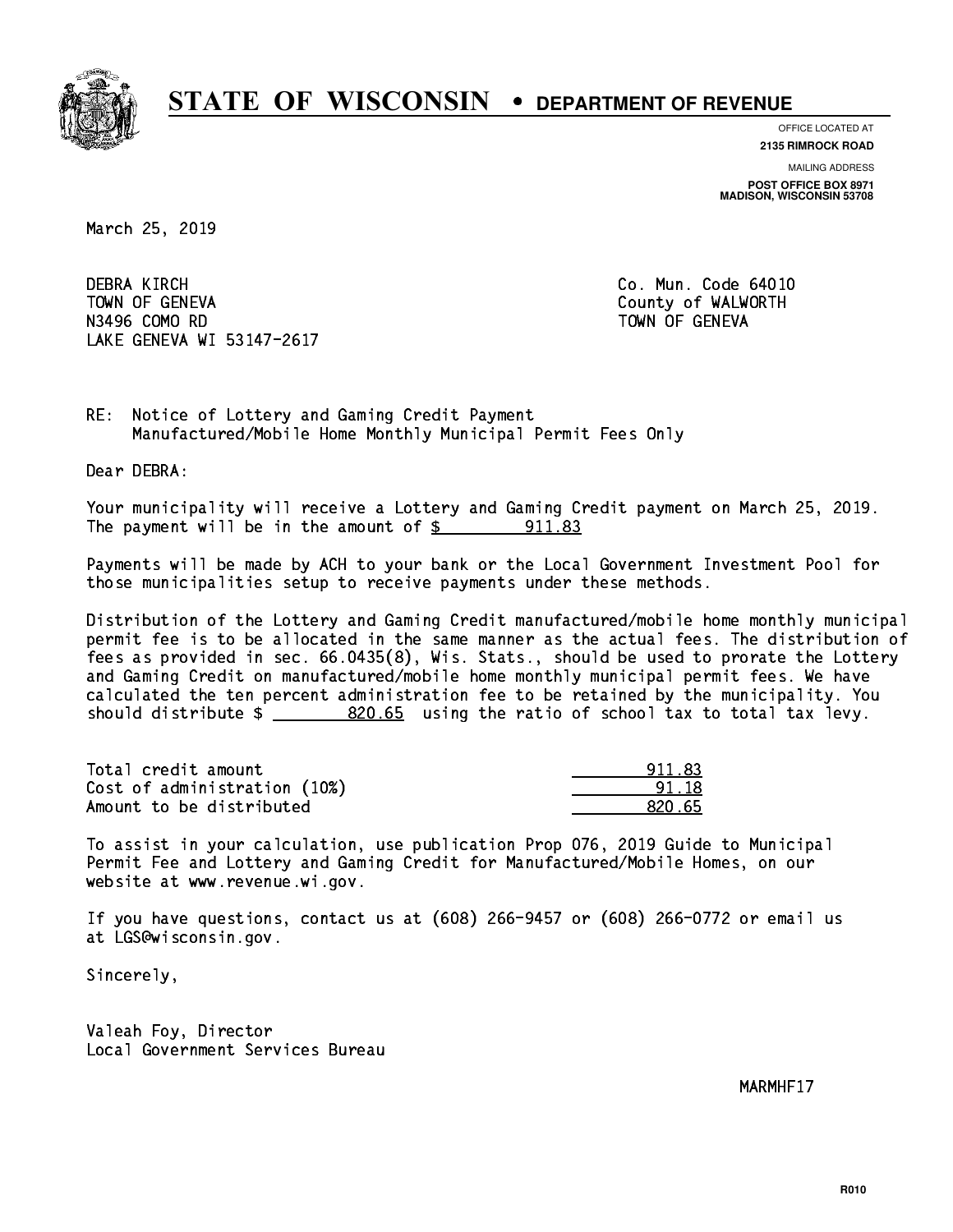

**OFFICE LOCATED AT**

**2135 RIMROCK ROAD**

**MAILING ADDRESS**

**POST OFFICE BOX 8971 MADISON, WISCONSIN 53708**

March 25, 2019

**DEBRA KIRCH**  TOWN OF GENEVA County of WALWORTH N3496 COMO RD TOWN OF GENEVA LAKE GENEVA WI 53147-2617

Co. Mun. Code 64010

RE: Notice of Lottery and Gaming Credit Payment Manufactured/Mobile Home Monthly Municipal Permit Fees Only

Dear DEBRA:

 Your municipality will receive a Lottery and Gaming Credit payment on March 25, 2019. The payment will be in the amount of  $\frac{2}{3}$  911.83

 Payments will be made by ACH to your bank or the Local Government Investment Pool for those municipalities setup to receive payments under these methods.

 Distribution of the Lottery and Gaming Credit manufactured/mobile home monthly municipal permit fee is to be allocated in the same manner as the actual fees. The distribution of fees as provided in sec. 66.0435(8), Wis. Stats., should be used to prorate the Lottery and Gaming Credit on manufactured/mobile home monthly municipal permit fees. We have calculated the ten percent administration fee to be retained by the municipality. You should distribute  $\frac{20.65}{2}$  using the ratio of school tax to total tax levy.

| Total credit amount          | 911.83  |
|------------------------------|---------|
| Cost of administration (10%) | 91.18   |
| Amount to be distributed     | -820-65 |

 To assist in your calculation, use publication Prop 076, 2019 Guide to Municipal Permit Fee and Lottery and Gaming Credit for Manufactured/Mobile Homes, on our website at www.revenue.wi.gov.

 If you have questions, contact us at (608) 266-9457 or (608) 266-0772 or email us at LGS@wisconsin.gov.

Sincerely,

 Valeah Foy, Director Local Government Services Bureau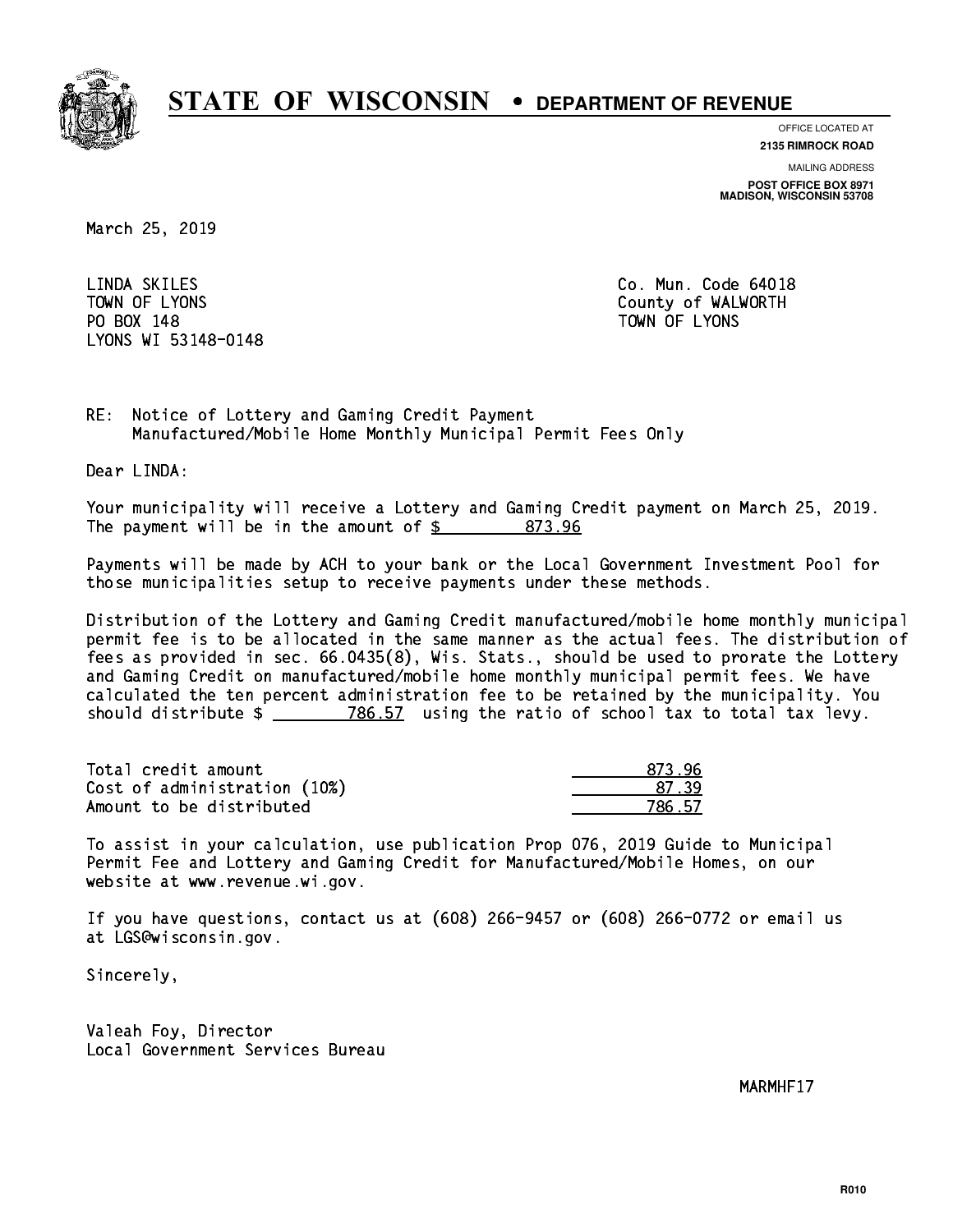

**OFFICE LOCATED AT**

**2135 RIMROCK ROAD**

**MAILING ADDRESS**

**POST OFFICE BOX 8971 MADISON, WISCONSIN 53708**

March 25, 2019

 LINDA SKILES Co. Mun. Code 64018 PO BOX 148 PO BOX 148 TOWN OF LYONS LYONS WI 53148-0148

TOWN OF LYONS **County of WALWORTH** 

RE: Notice of Lottery and Gaming Credit Payment Manufactured/Mobile Home Monthly Municipal Permit Fees Only

Dear LINDA:

 Your municipality will receive a Lottery and Gaming Credit payment on March 25, 2019. The payment will be in the amount of  $\frac{2}{3}$  873.96

 Payments will be made by ACH to your bank or the Local Government Investment Pool for those municipalities setup to receive payments under these methods.

 Distribution of the Lottery and Gaming Credit manufactured/mobile home monthly municipal permit fee is to be allocated in the same manner as the actual fees. The distribution of fees as provided in sec. 66.0435(8), Wis. Stats., should be used to prorate the Lottery and Gaming Credit on manufactured/mobile home monthly municipal permit fees. We have calculated the ten percent administration fee to be retained by the municipality. You should distribute  $\frac{2}{2}$   $\frac{786.57}{2}$  using the ratio of school tax to total tax levy.

| Total credit amount          | 873.96 |
|------------------------------|--------|
| Cost of administration (10%) | 87 39  |
| Amount to be distributed     | 786.57 |

 To assist in your calculation, use publication Prop 076, 2019 Guide to Municipal Permit Fee and Lottery and Gaming Credit for Manufactured/Mobile Homes, on our website at www.revenue.wi.gov.

 If you have questions, contact us at (608) 266-9457 or (608) 266-0772 or email us at LGS@wisconsin.gov.

Sincerely,

 Valeah Foy, Director Local Government Services Bureau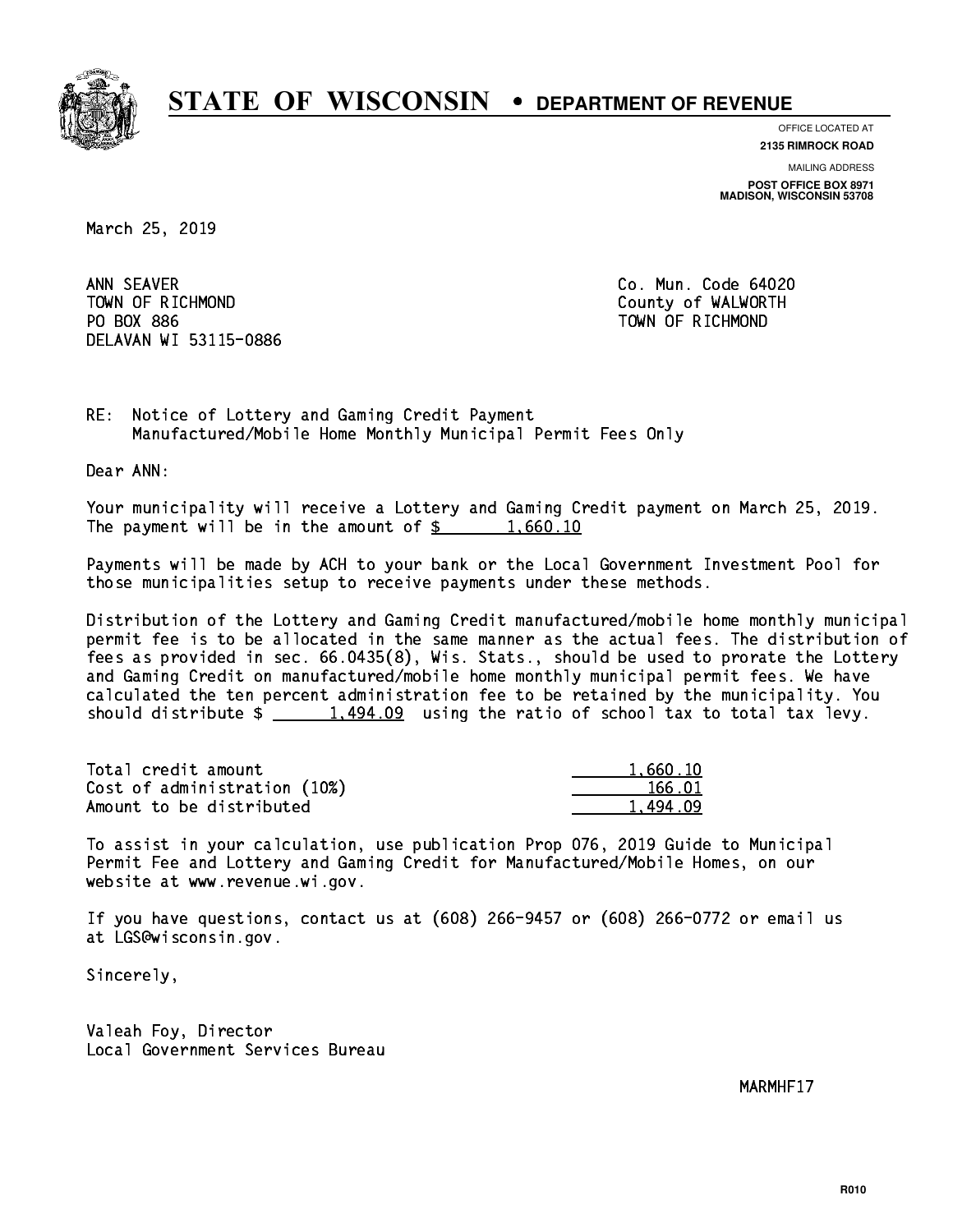

**OFFICE LOCATED AT**

**2135 RIMROCK ROAD**

**MAILING ADDRESS**

**POST OFFICE BOX 8971 MADISON, WISCONSIN 53708**

March 25, 2019

ANN SEAVER TOWN OF RICHMOND County of WALWORTH PO BOX 886 PO BOX 886 TOWN OF RICHMOND DELAVAN WI 53115-0886

Co. Mun. Code 64020

RE: Notice of Lottery and Gaming Credit Payment Manufactured/Mobile Home Monthly Municipal Permit Fees Only

Dear ANN:

 Your municipality will receive a Lottery and Gaming Credit payment on March 25, 2019. The payment will be in the amount of  $\frac{2}{3}$  1,660.10

 Payments will be made by ACH to your bank or the Local Government Investment Pool for those municipalities setup to receive payments under these methods.

 Distribution of the Lottery and Gaming Credit manufactured/mobile home monthly municipal permit fee is to be allocated in the same manner as the actual fees. The distribution of fees as provided in sec. 66.0435(8), Wis. Stats., should be used to prorate the Lottery and Gaming Credit on manufactured/mobile home monthly municipal permit fees. We have calculated the ten percent administration fee to be retained by the municipality. You should distribute  $\frac{1,494.09}{1,494.09}$  using the ratio of school tax to total tax levy.

| Total credit amount          | 1,660.10 |
|------------------------------|----------|
| Cost of administration (10%) | 166.01   |
| Amount to be distributed     | 1.494.09 |

 To assist in your calculation, use publication Prop 076, 2019 Guide to Municipal Permit Fee and Lottery and Gaming Credit for Manufactured/Mobile Homes, on our website at www.revenue.wi.gov.

 If you have questions, contact us at (608) 266-9457 or (608) 266-0772 or email us at LGS@wisconsin.gov.

Sincerely,

 Valeah Foy, Director Local Government Services Bureau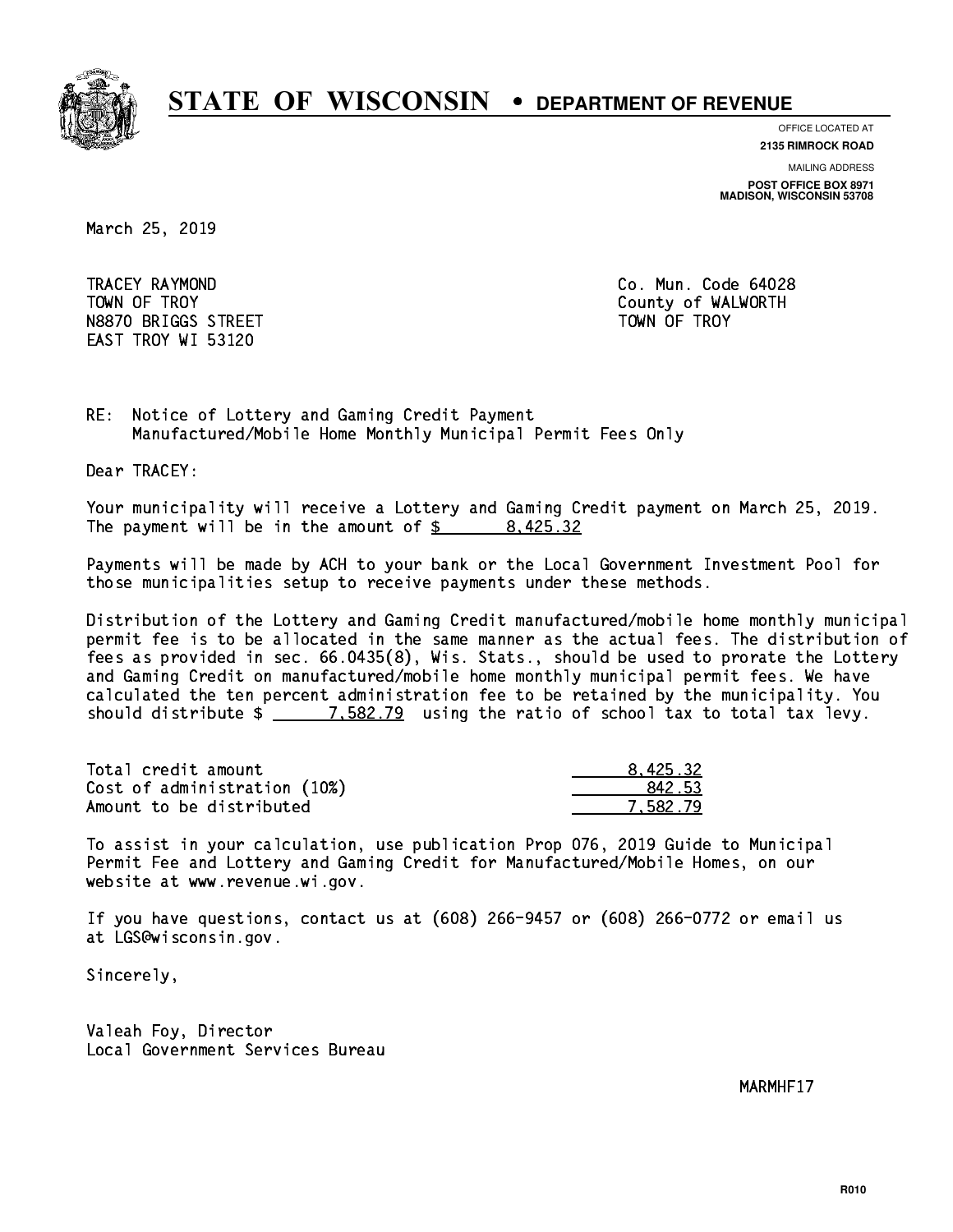

**OFFICE LOCATED AT**

**2135 RIMROCK ROAD**

**MAILING ADDRESS**

**POST OFFICE BOX 8971 MADISON, WISCONSIN 53708**

March 25, 2019

 TRACEY RAYMOND Co. Mun. Code 64028 TOWN OF TROY **COUNTY COUNTY COUNTY OF WALWORTH** N8870 BRIGGS STREET TOWN OF TROY EAST TROY WI 53120

RE: Notice of Lottery and Gaming Credit Payment Manufactured/Mobile Home Monthly Municipal Permit Fees Only

Dear TRACEY:

 Your municipality will receive a Lottery and Gaming Credit payment on March 25, 2019. The payment will be in the amount of  $\frac{2}{3}$  8,425.32

 Payments will be made by ACH to your bank or the Local Government Investment Pool for those municipalities setup to receive payments under these methods.

 Distribution of the Lottery and Gaming Credit manufactured/mobile home monthly municipal permit fee is to be allocated in the same manner as the actual fees. The distribution of fees as provided in sec. 66.0435(8), Wis. Stats., should be used to prorate the Lottery and Gaming Credit on manufactured/mobile home monthly municipal permit fees. We have calculated the ten percent administration fee to be retained by the municipality. You should distribute  $\frac{2}{2}$   $\frac{7.582.79}{2}$  using the ratio of school tax to total tax levy.

| Total credit amount          | 8.425.32 |
|------------------------------|----------|
| Cost of administration (10%) | 842.53   |
| Amount to be distributed     | 7.582.79 |

 To assist in your calculation, use publication Prop 076, 2019 Guide to Municipal Permit Fee and Lottery and Gaming Credit for Manufactured/Mobile Homes, on our website at www.revenue.wi.gov.

 If you have questions, contact us at (608) 266-9457 or (608) 266-0772 or email us at LGS@wisconsin.gov.

Sincerely,

 Valeah Foy, Director Local Government Services Bureau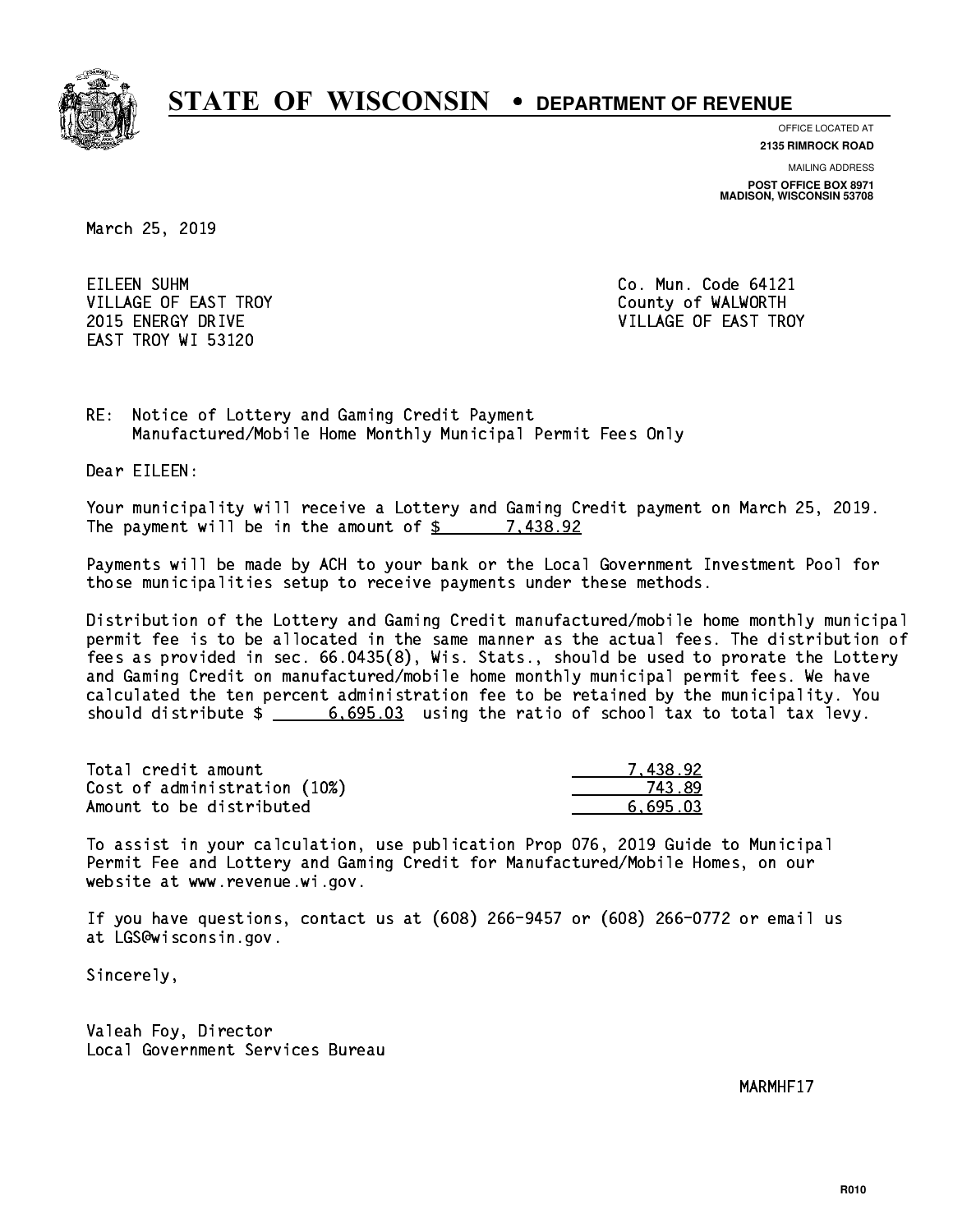

**OFFICE LOCATED AT**

**2135 RIMROCK ROAD**

**MAILING ADDRESS**

**POST OFFICE BOX 8971 MADISON, WISCONSIN 53708**

March 25, 2019

EILEEN SUHM CORPORATION CO. Mun. Code 64121 VILLAGE OF EAST TROY COUNTY COUNTY OF WALWORTH EAST TROY WI 53120

2015 ENERGY DRIVE VILLAGE OF EAST TROY

RE: Notice of Lottery and Gaming Credit Payment Manufactured/Mobile Home Monthly Municipal Permit Fees Only

Dear EILEEN:

 Your municipality will receive a Lottery and Gaming Credit payment on March 25, 2019. The payment will be in the amount of  $\frac{2}{3}$  7,438.92

 Payments will be made by ACH to your bank or the Local Government Investment Pool for those municipalities setup to receive payments under these methods.

 Distribution of the Lottery and Gaming Credit manufactured/mobile home monthly municipal permit fee is to be allocated in the same manner as the actual fees. The distribution of fees as provided in sec. 66.0435(8), Wis. Stats., should be used to prorate the Lottery and Gaming Credit on manufactured/mobile home monthly municipal permit fees. We have calculated the ten percent administration fee to be retained by the municipality. You should distribute  $\frac{2}{1}$   $\frac{6,695.03}{2}$  using the ratio of school tax to total tax levy.

| Total credit amount          | 7.438.92 |
|------------------------------|----------|
| Cost of administration (10%) | 743.89   |
| Amount to be distributed     | 6.695.03 |

 To assist in your calculation, use publication Prop 076, 2019 Guide to Municipal Permit Fee and Lottery and Gaming Credit for Manufactured/Mobile Homes, on our website at www.revenue.wi.gov.

 If you have questions, contact us at (608) 266-9457 or (608) 266-0772 or email us at LGS@wisconsin.gov.

Sincerely,

 Valeah Foy, Director Local Government Services Bureau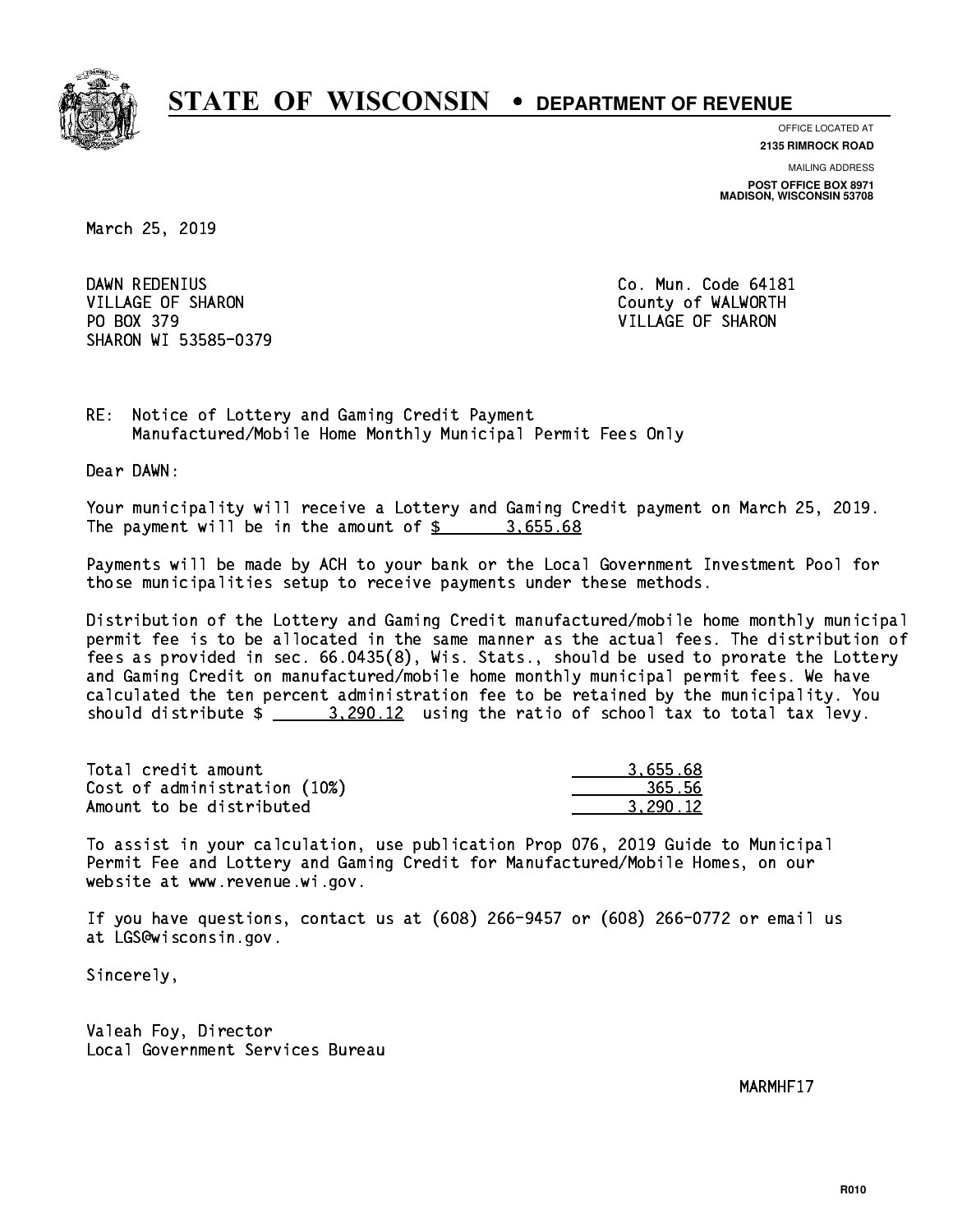

**OFFICE LOCATED AT**

**2135 RIMROCK ROAD**

**MAILING ADDRESS**

**POST OFFICE BOX 8971 MADISON, WISCONSIN 53708**

March 25, 2019

DAWN REDENIUS VILLAGE OF SHARON COUNTY OF WALWORTH PO BOX 379 VILLAGE OF SHARON SHARON WI 53585-0379

Co. Mun. Code 64181

RE: Notice of Lottery and Gaming Credit Payment Manufactured/Mobile Home Monthly Municipal Permit Fees Only

Dear DAWN:

 Your municipality will receive a Lottery and Gaming Credit payment on March 25, 2019. The payment will be in the amount of \$ 3,655.68 \_\_\_\_\_\_\_\_\_\_\_\_\_\_\_\_

 Payments will be made by ACH to your bank or the Local Government Investment Pool for those municipalities setup to receive payments under these methods.

 Distribution of the Lottery and Gaming Credit manufactured/mobile home monthly municipal permit fee is to be allocated in the same manner as the actual fees. The distribution of fees as provided in sec. 66.0435(8), Wis. Stats., should be used to prorate the Lottery and Gaming Credit on manufactured/mobile home monthly municipal permit fees. We have calculated the ten percent administration fee to be retained by the municipality. You should distribute  $\frac{2}{2}$   $\frac{3,290.12}{2}$  using the ratio of school tax to total tax levy.

| Total credit amount          | 3.655.68 |
|------------------------------|----------|
| Cost of administration (10%) | 365.56   |
| Amount to be distributed     | 3.290.12 |

 To assist in your calculation, use publication Prop 076, 2019 Guide to Municipal Permit Fee and Lottery and Gaming Credit for Manufactured/Mobile Homes, on our website at www.revenue.wi.gov.

 If you have questions, contact us at (608) 266-9457 or (608) 266-0772 or email us at LGS@wisconsin.gov.

Sincerely,

 Valeah Foy, Director Local Government Services Bureau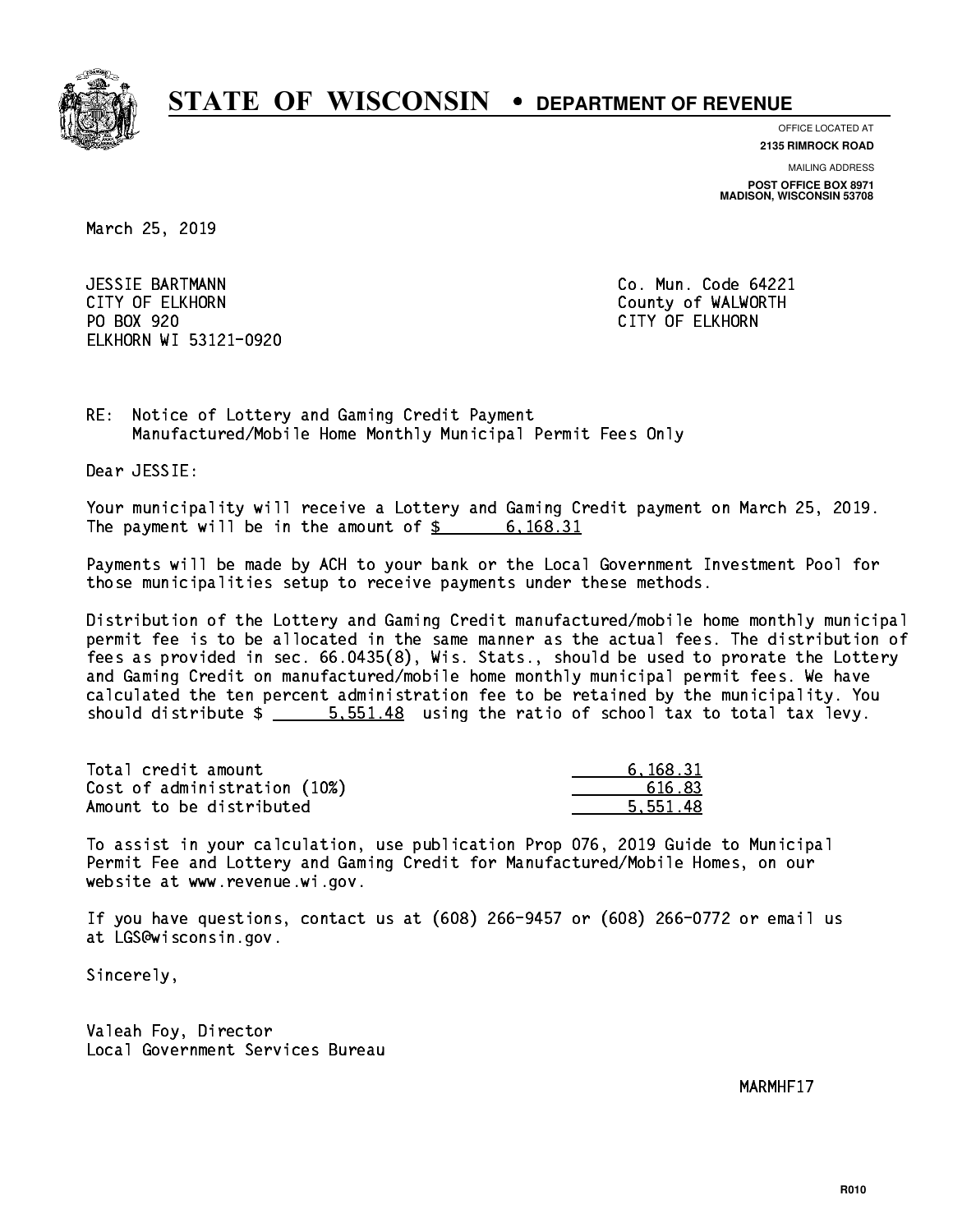

**OFFICE LOCATED AT**

**2135 RIMROCK ROAD**

**MAILING ADDRESS**

**POST OFFICE BOX 8971 MADISON, WISCONSIN 53708**

March 25, 2019

 JESSIE BARTMANN Co. Mun. Code 64221 CITY OF ELKHORN County of WALWORTH PO BOX 920 PO BOX 920 CITY OF ELKHORN ELKHORN WI 53121-0920

RE: Notice of Lottery and Gaming Credit Payment Manufactured/Mobile Home Monthly Municipal Permit Fees Only

Dear JESSIE:

 Your municipality will receive a Lottery and Gaming Credit payment on March 25, 2019. The payment will be in the amount of \$ 6,168.31 \_\_\_\_\_\_\_\_\_\_\_\_\_\_\_\_

 Payments will be made by ACH to your bank or the Local Government Investment Pool for those municipalities setup to receive payments under these methods.

 Distribution of the Lottery and Gaming Credit manufactured/mobile home monthly municipal permit fee is to be allocated in the same manner as the actual fees. The distribution of fees as provided in sec. 66.0435(8), Wis. Stats., should be used to prorate the Lottery and Gaming Credit on manufactured/mobile home monthly municipal permit fees. We have calculated the ten percent administration fee to be retained by the municipality. You should distribute  $\frac{2}{1}$   $\frac{5}{1.551.48}$  using the ratio of school tax to total tax levy.

| Total credit amount          | 6.168.31 |
|------------------------------|----------|
| Cost of administration (10%) | 616.83   |
| Amount to be distributed     | 5.551.48 |

 To assist in your calculation, use publication Prop 076, 2019 Guide to Municipal Permit Fee and Lottery and Gaming Credit for Manufactured/Mobile Homes, on our website at www.revenue.wi.gov.

 If you have questions, contact us at (608) 266-9457 or (608) 266-0772 or email us at LGS@wisconsin.gov.

Sincerely,

 Valeah Foy, Director Local Government Services Bureau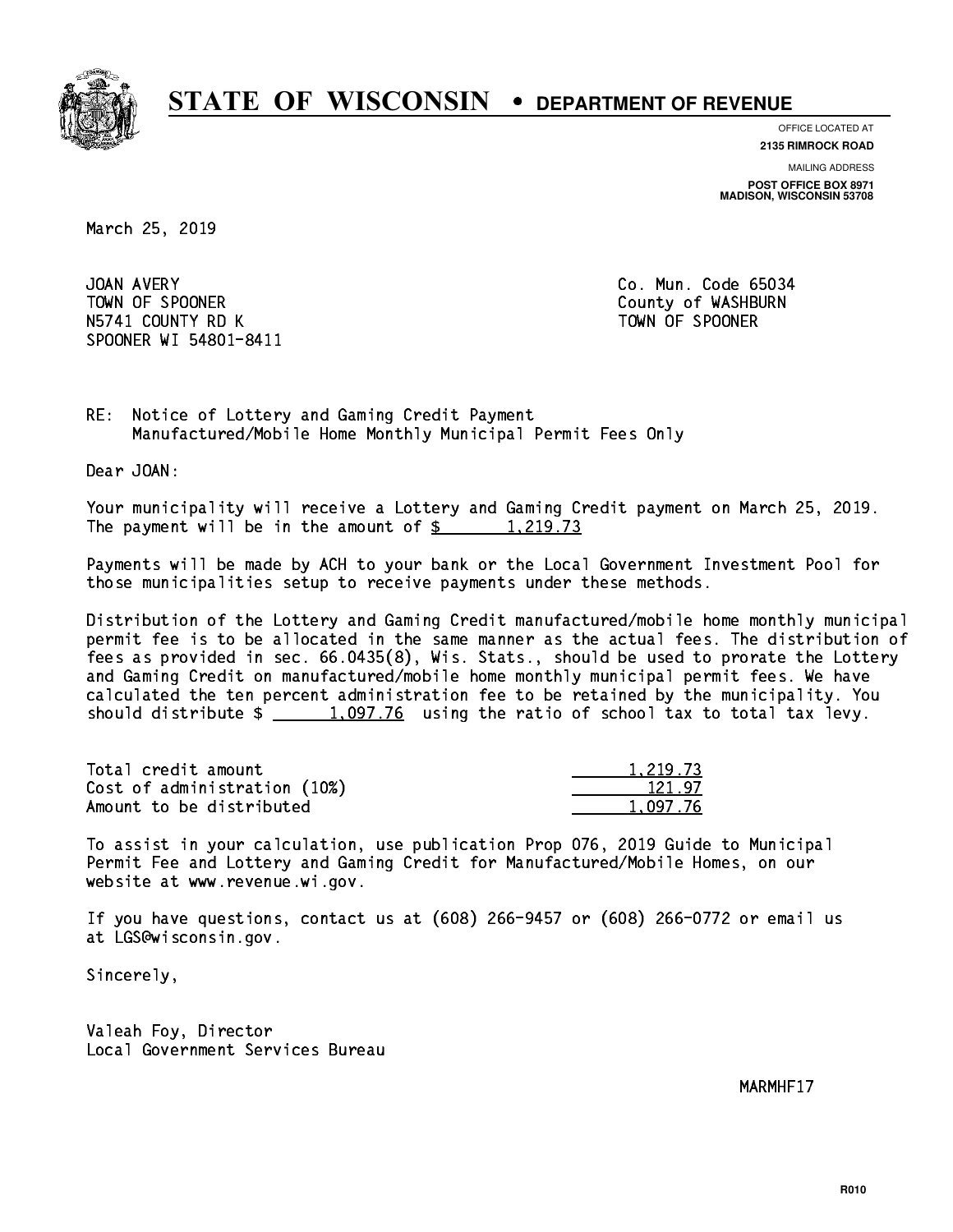

**OFFICE LOCATED AT 2135 RIMROCK ROAD**

**MAILING ADDRESS**

**POST OFFICE BOX 8971 MADISON, WISCONSIN 53708**

March 25, 2019

JOAN AVERY TOWN OF SPOONER County of WASHBURN N5741 COUNTY RD K TOWN OF SPOONER SPOONER WI 54801-8411

Co. Mun. Code 65034

RE: Notice of Lottery and Gaming Credit Payment Manufactured/Mobile Home Monthly Municipal Permit Fees Only

Dear JOAN:

 Your municipality will receive a Lottery and Gaming Credit payment on March 25, 2019. The payment will be in the amount of  $\frac{2}{3}$  1,219.73

 Payments will be made by ACH to your bank or the Local Government Investment Pool for those municipalities setup to receive payments under these methods.

 Distribution of the Lottery and Gaming Credit manufactured/mobile home monthly municipal permit fee is to be allocated in the same manner as the actual fees. The distribution of fees as provided in sec. 66.0435(8), Wis. Stats., should be used to prorate the Lottery and Gaming Credit on manufactured/mobile home monthly municipal permit fees. We have calculated the ten percent administration fee to be retained by the municipality. You should distribute  $\frac{1,097.76}{2}$  using the ratio of school tax to total tax levy.

| Total credit amount          | 1,219.73 |
|------------------------------|----------|
| Cost of administration (10%) | 121.97   |
| Amount to be distributed     | 1.097.76 |

 To assist in your calculation, use publication Prop 076, 2019 Guide to Municipal Permit Fee and Lottery and Gaming Credit for Manufactured/Mobile Homes, on our website at www.revenue.wi.gov.

 If you have questions, contact us at (608) 266-9457 or (608) 266-0772 or email us at LGS@wisconsin.gov.

Sincerely,

 Valeah Foy, Director Local Government Services Bureau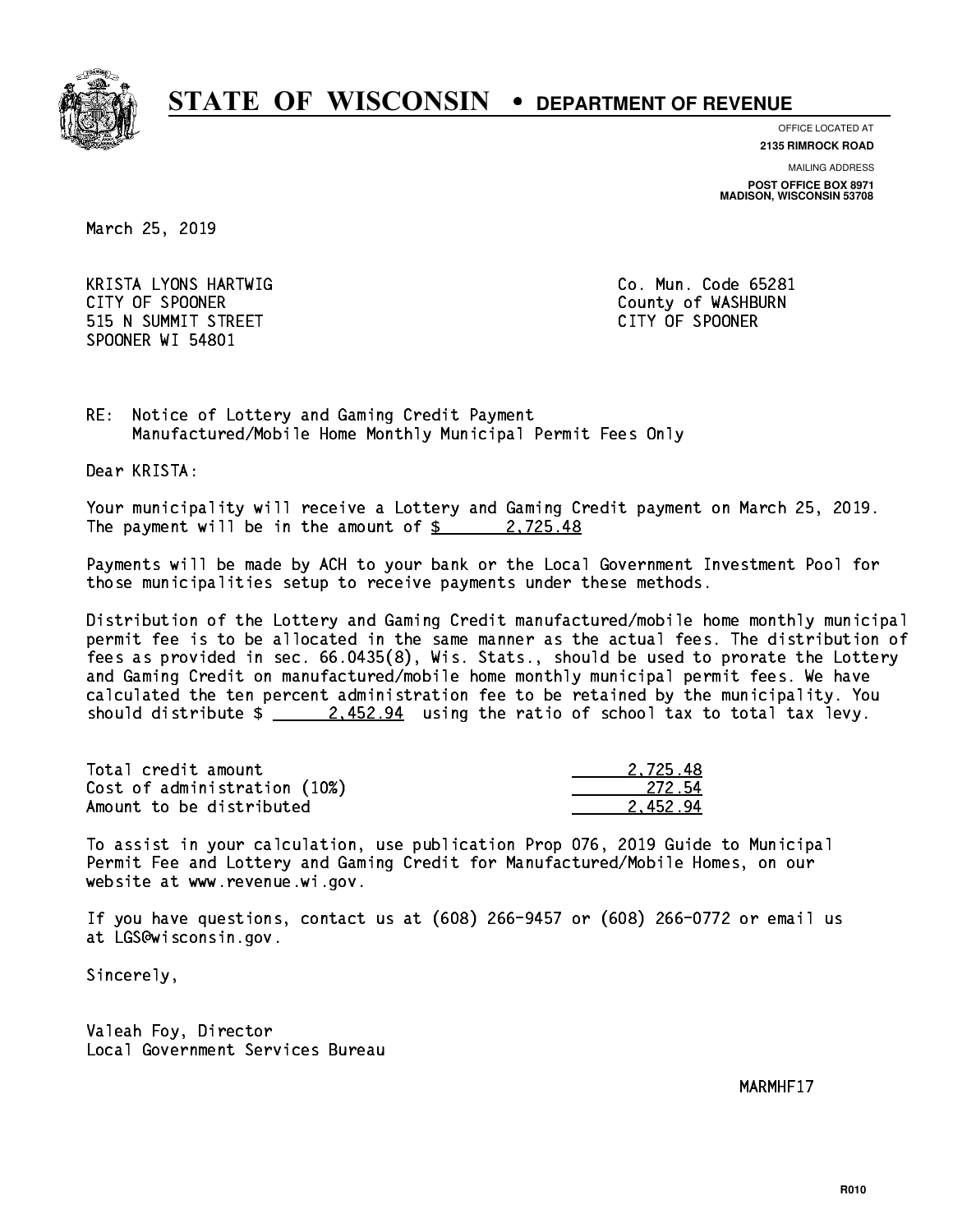

**OFFICE LOCATED AT**

**2135 RIMROCK ROAD**

**MAILING ADDRESS**

**POST OFFICE BOX 8971 MADISON, WISCONSIN 53708**

March 25, 2019

 KRISTA LYONS HARTWIG Co. Mun. Code 65281 CITY OF SPOONER COUNTY OF SPOONER 515 N SUMMIT STREET CITY OF SPOONER SPOONER WI 54801

RE: Notice of Lottery and Gaming Credit Payment Manufactured/Mobile Home Monthly Municipal Permit Fees Only

Dear KRISTA:

 Your municipality will receive a Lottery and Gaming Credit payment on March 25, 2019. The payment will be in the amount of  $\frac{2}{3}$  2,725.48

 Payments will be made by ACH to your bank or the Local Government Investment Pool for those municipalities setup to receive payments under these methods.

 Distribution of the Lottery and Gaming Credit manufactured/mobile home monthly municipal permit fee is to be allocated in the same manner as the actual fees. The distribution of fees as provided in sec. 66.0435(8), Wis. Stats., should be used to prorate the Lottery and Gaming Credit on manufactured/mobile home monthly municipal permit fees. We have calculated the ten percent administration fee to be retained by the municipality. You should distribute  $\frac{2.452.94}{2.452.94}$  using the ratio of school tax to total tax levy.

| Total credit amount          | 2.725.48 |
|------------------------------|----------|
| Cost of administration (10%) | 272 54   |
| Amount to be distributed     | 2.452.94 |

 To assist in your calculation, use publication Prop 076, 2019 Guide to Municipal Permit Fee and Lottery and Gaming Credit for Manufactured/Mobile Homes, on our website at www.revenue.wi.gov.

 If you have questions, contact us at (608) 266-9457 or (608) 266-0772 or email us at LGS@wisconsin.gov.

Sincerely,

 Valeah Foy, Director Local Government Services Bureau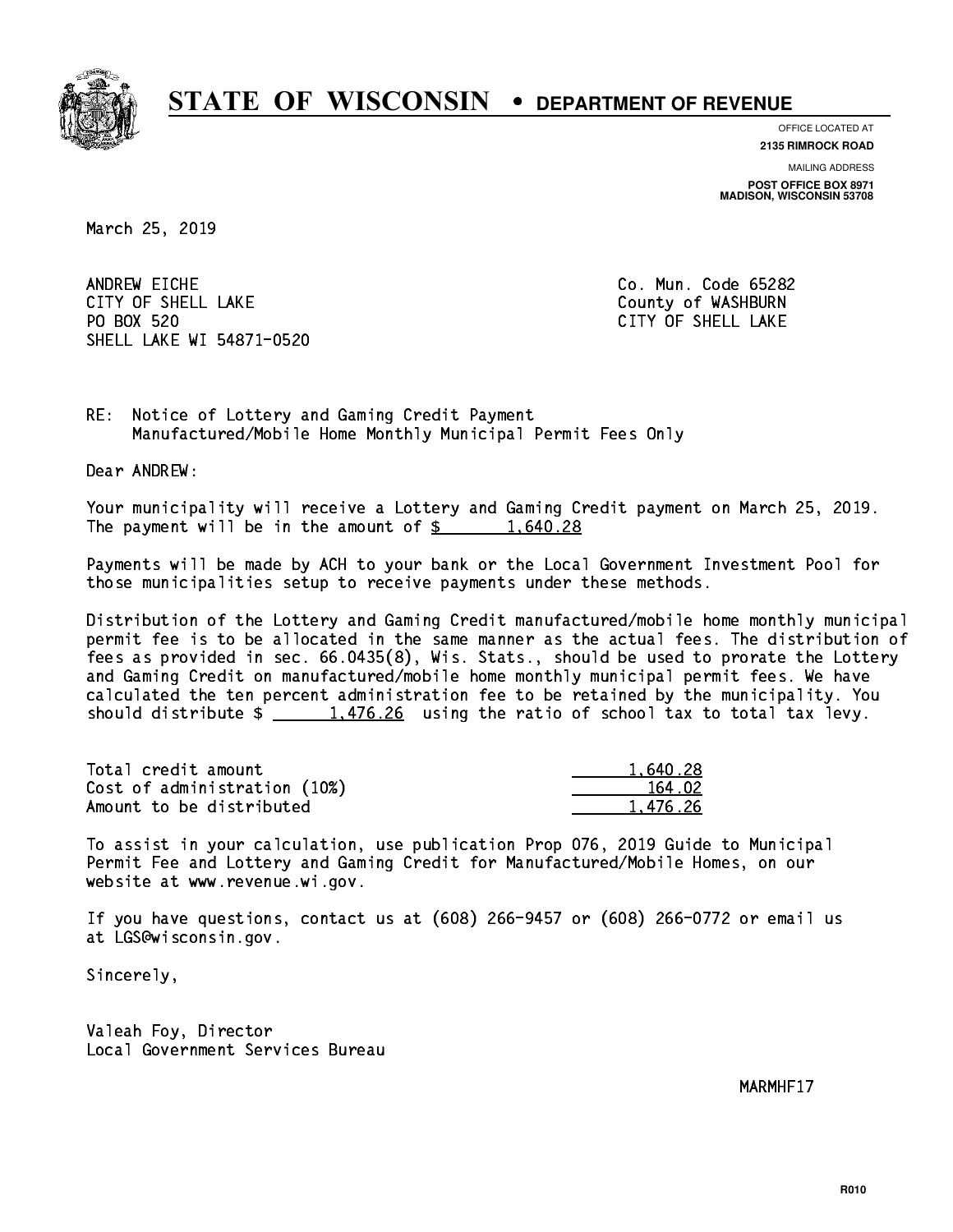

**OFFICE LOCATED AT**

**2135 RIMROCK ROAD**

**MAILING ADDRESS**

**POST OFFICE BOX 8971 MADISON, WISCONSIN 53708**

March 25, 2019

ANDREW EICHE CITY OF SHELL LAKE COUNTY OF WASHBURN PO BOX 520 SHELL LAKE WI 54871-0520

Co. Mun. Code 65282 CITY OF SHELL LAKE

RE: Notice of Lottery and Gaming Credit Payment Manufactured/Mobile Home Monthly Municipal Permit Fees Only

Dear ANDREW:

 Your municipality will receive a Lottery and Gaming Credit payment on March 25, 2019. The payment will be in the amount of  $\frac{28}{1,640.28}$ 

 Payments will be made by ACH to your bank or the Local Government Investment Pool for those municipalities setup to receive payments under these methods.

 Distribution of the Lottery and Gaming Credit manufactured/mobile home monthly municipal permit fee is to be allocated in the same manner as the actual fees. The distribution of fees as provided in sec. 66.0435(8), Wis. Stats., should be used to prorate the Lottery and Gaming Credit on manufactured/mobile home monthly municipal permit fees. We have calculated the ten percent administration fee to be retained by the municipality. You should distribute  $\frac{1,476.26}{1,476.26}$  using the ratio of school tax to total tax levy.

| Total credit amount          | 1,640.28 |
|------------------------------|----------|
| Cost of administration (10%) | 164.02   |
| Amount to be distributed     | 1,476.26 |

 To assist in your calculation, use publication Prop 076, 2019 Guide to Municipal Permit Fee and Lottery and Gaming Credit for Manufactured/Mobile Homes, on our website at www.revenue.wi.gov.

 If you have questions, contact us at (608) 266-9457 or (608) 266-0772 or email us at LGS@wisconsin.gov.

Sincerely,

 Valeah Foy, Director Local Government Services Bureau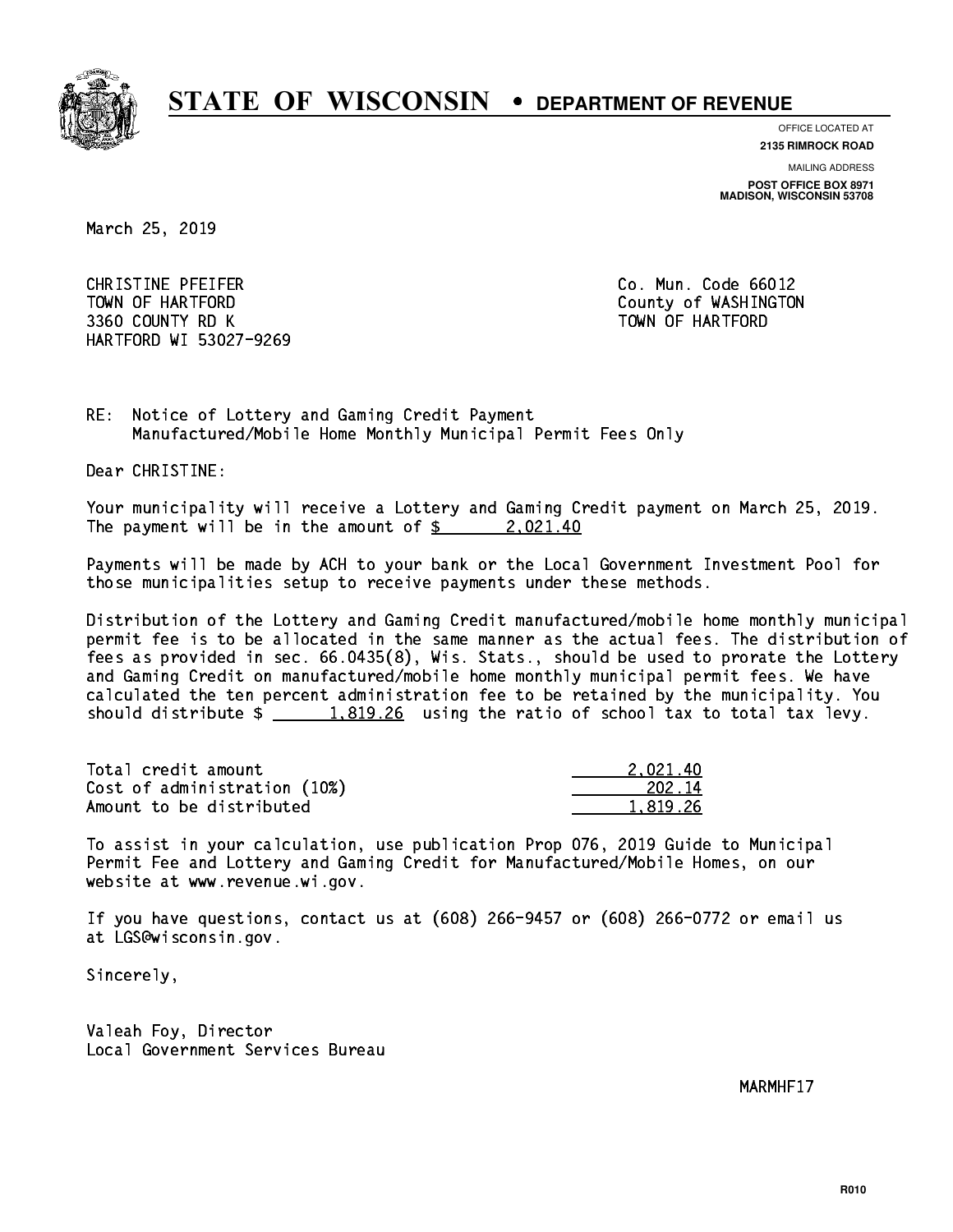

**OFFICE LOCATED AT**

**2135 RIMROCK ROAD**

**MAILING ADDRESS**

**POST OFFICE BOX 8971 MADISON, WISCONSIN 53708**

March 25, 2019

 CHRISTINE PFEIFER Co. Mun. Code 66012 TOWN OF HARTFORD County of WASHINGTON 3360 COUNTY RD K TOWN OF HARTFORD HARTFORD WI 53027-9269

RE: Notice of Lottery and Gaming Credit Payment Manufactured/Mobile Home Monthly Municipal Permit Fees Only

Dear CHRISTINE:

 Your municipality will receive a Lottery and Gaming Credit payment on March 25, 2019. The payment will be in the amount of  $\frac{2}{3}$  2,021.40

 Payments will be made by ACH to your bank or the Local Government Investment Pool for those municipalities setup to receive payments under these methods.

 Distribution of the Lottery and Gaming Credit manufactured/mobile home monthly municipal permit fee is to be allocated in the same manner as the actual fees. The distribution of fees as provided in sec. 66.0435(8), Wis. Stats., should be used to prorate the Lottery and Gaming Credit on manufactured/mobile home monthly municipal permit fees. We have calculated the ten percent administration fee to be retained by the municipality. You should distribute  $\frac{1.819.26}{1.819.26}$  using the ratio of school tax to total tax levy.

| Total credit amount          | 2.021.40 |
|------------------------------|----------|
| Cost of administration (10%) | 202.14   |
| Amount to be distributed     | 1.819.26 |

 To assist in your calculation, use publication Prop 076, 2019 Guide to Municipal Permit Fee and Lottery and Gaming Credit for Manufactured/Mobile Homes, on our website at www.revenue.wi.gov.

 If you have questions, contact us at (608) 266-9457 or (608) 266-0772 or email us at LGS@wisconsin.gov.

Sincerely,

 Valeah Foy, Director Local Government Services Bureau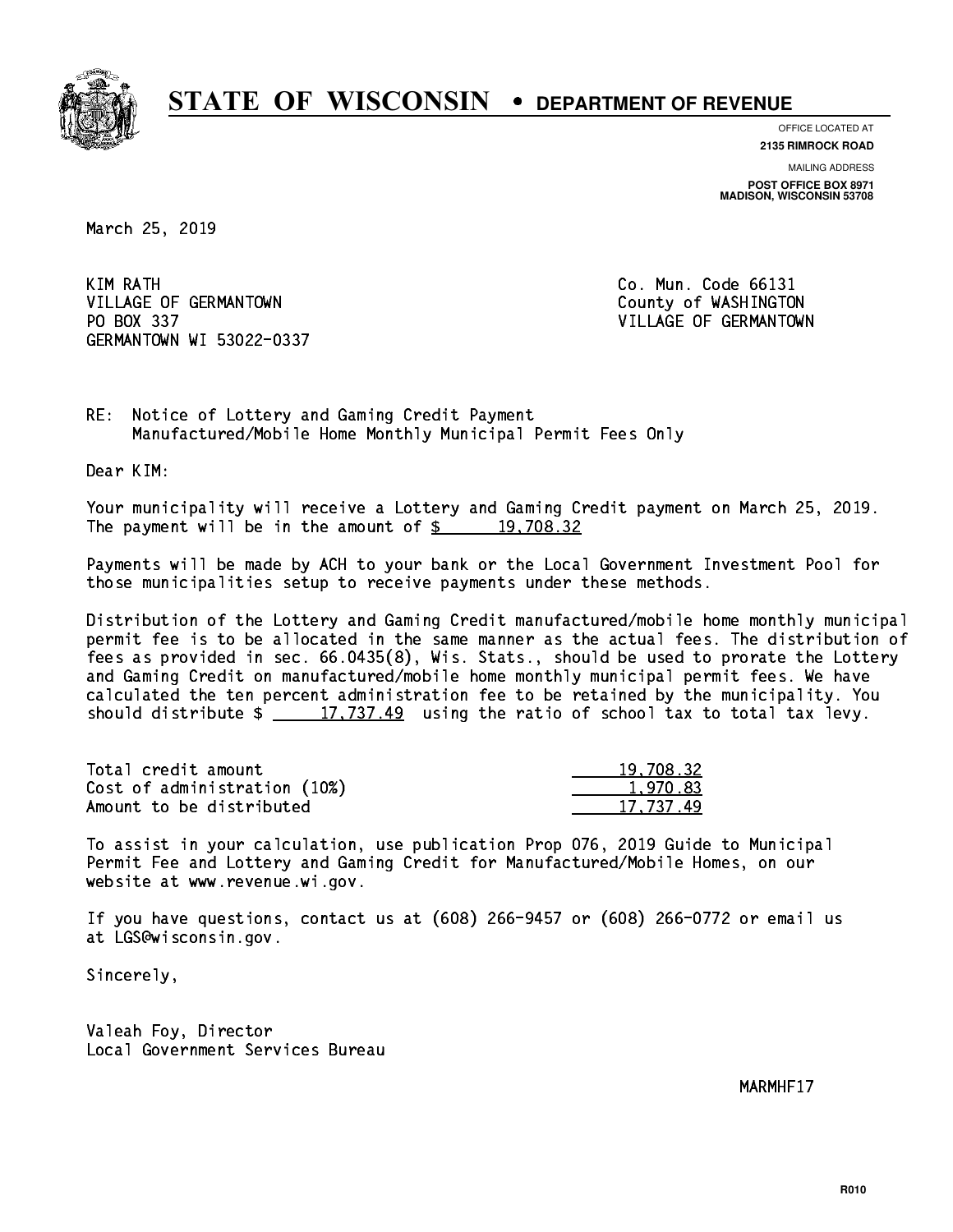

**OFFICE LOCATED AT**

**2135 RIMROCK ROAD**

**MAILING ADDRESS POST OFFICE BOX 8971 MADISON, WISCONSIN 53708**

March 25, 2019

KIM RATH VILLAGE OF GERMANTOWN COUNTY OF WASHINGTON PO BOX 337 VILLAGE OF GERMANTOWN GERMANTOWN WI 53022-0337

Co. Mun. Code 66131

RE: Notice of Lottery and Gaming Credit Payment Manufactured/Mobile Home Monthly Municipal Permit Fees Only

Dear KIM:

 Your municipality will receive a Lottery and Gaming Credit payment on March 25, 2019. The payment will be in the amount of  $\frac{2}{3}$  19,708.32

 Payments will be made by ACH to your bank or the Local Government Investment Pool for those municipalities setup to receive payments under these methods.

 Distribution of the Lottery and Gaming Credit manufactured/mobile home monthly municipal permit fee is to be allocated in the same manner as the actual fees. The distribution of fees as provided in sec. 66.0435(8), Wis. Stats., should be used to prorate the Lottery and Gaming Credit on manufactured/mobile home monthly municipal permit fees. We have calculated the ten percent administration fee to be retained by the municipality. You should distribute  $\frac{2}{\pi}$   $\frac{17,737.49}{\pi}$  using the ratio of school tax to total tax levy.

| Total credit amount          | 19,708.32 |
|------------------------------|-----------|
| Cost of administration (10%) | 1.970.83  |
| Amount to be distributed     | 17.737.49 |

 To assist in your calculation, use publication Prop 076, 2019 Guide to Municipal Permit Fee and Lottery and Gaming Credit for Manufactured/Mobile Homes, on our website at www.revenue.wi.gov.

 If you have questions, contact us at (608) 266-9457 or (608) 266-0772 or email us at LGS@wisconsin.gov.

Sincerely,

 Valeah Foy, Director Local Government Services Bureau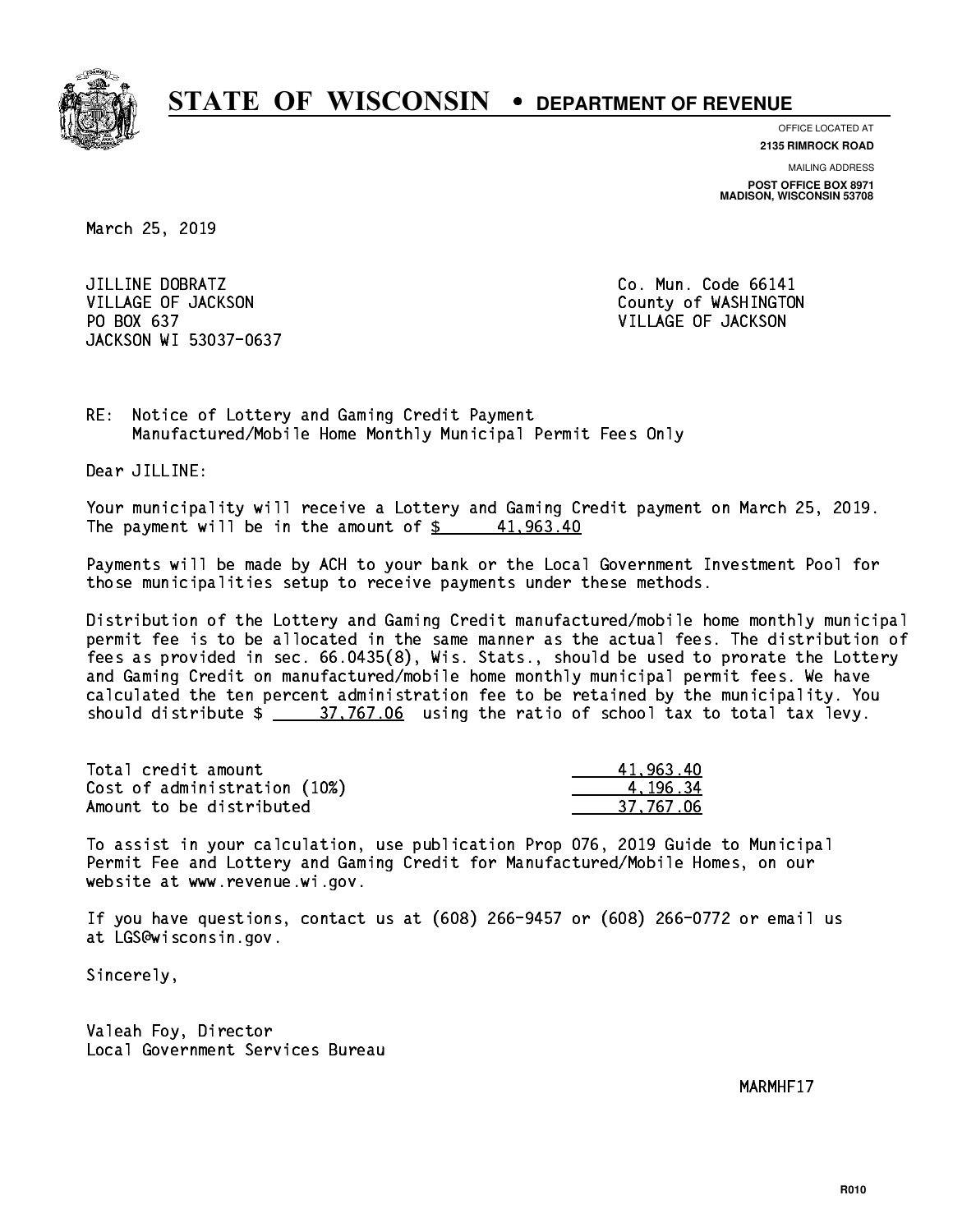

**OFFICE LOCATED AT 2135 RIMROCK ROAD**

**MAILING ADDRESS**

**POST OFFICE BOX 8971 MADISON, WISCONSIN 53708**

March 25, 2019

JILLINE DOBRATZ VILLAGE OF JACKSON COUNTY OF WASHINGTON PO BOX 637 VILLAGE OF JACKSON JACKSON WI 53037-0637

Co. Mun. Code 66141

RE: Notice of Lottery and Gaming Credit Payment Manufactured/Mobile Home Monthly Municipal Permit Fees Only

Dear JILLINE:

 Your municipality will receive a Lottery and Gaming Credit payment on March 25, 2019. The payment will be in the amount of  $\frac{2}{3}$  41,963.40

 Payments will be made by ACH to your bank or the Local Government Investment Pool for those municipalities setup to receive payments under these methods.

 Distribution of the Lottery and Gaming Credit manufactured/mobile home monthly municipal permit fee is to be allocated in the same manner as the actual fees. The distribution of fees as provided in sec. 66.0435(8), Wis. Stats., should be used to prorate the Lottery and Gaming Credit on manufactured/mobile home monthly municipal permit fees. We have calculated the ten percent administration fee to be retained by the municipality. You should distribute  $\frac{27.767.06}{27.767.06}$  using the ratio of school tax to total tax levy.

| Total credit amount          | 41.963.40 |
|------------------------------|-----------|
| Cost of administration (10%) | 4.196.34  |
| Amount to be distributed     | 37.767.06 |

 To assist in your calculation, use publication Prop 076, 2019 Guide to Municipal Permit Fee and Lottery and Gaming Credit for Manufactured/Mobile Homes, on our website at www.revenue.wi.gov.

 If you have questions, contact us at (608) 266-9457 or (608) 266-0772 or email us at LGS@wisconsin.gov.

Sincerely,

 Valeah Foy, Director Local Government Services Bureau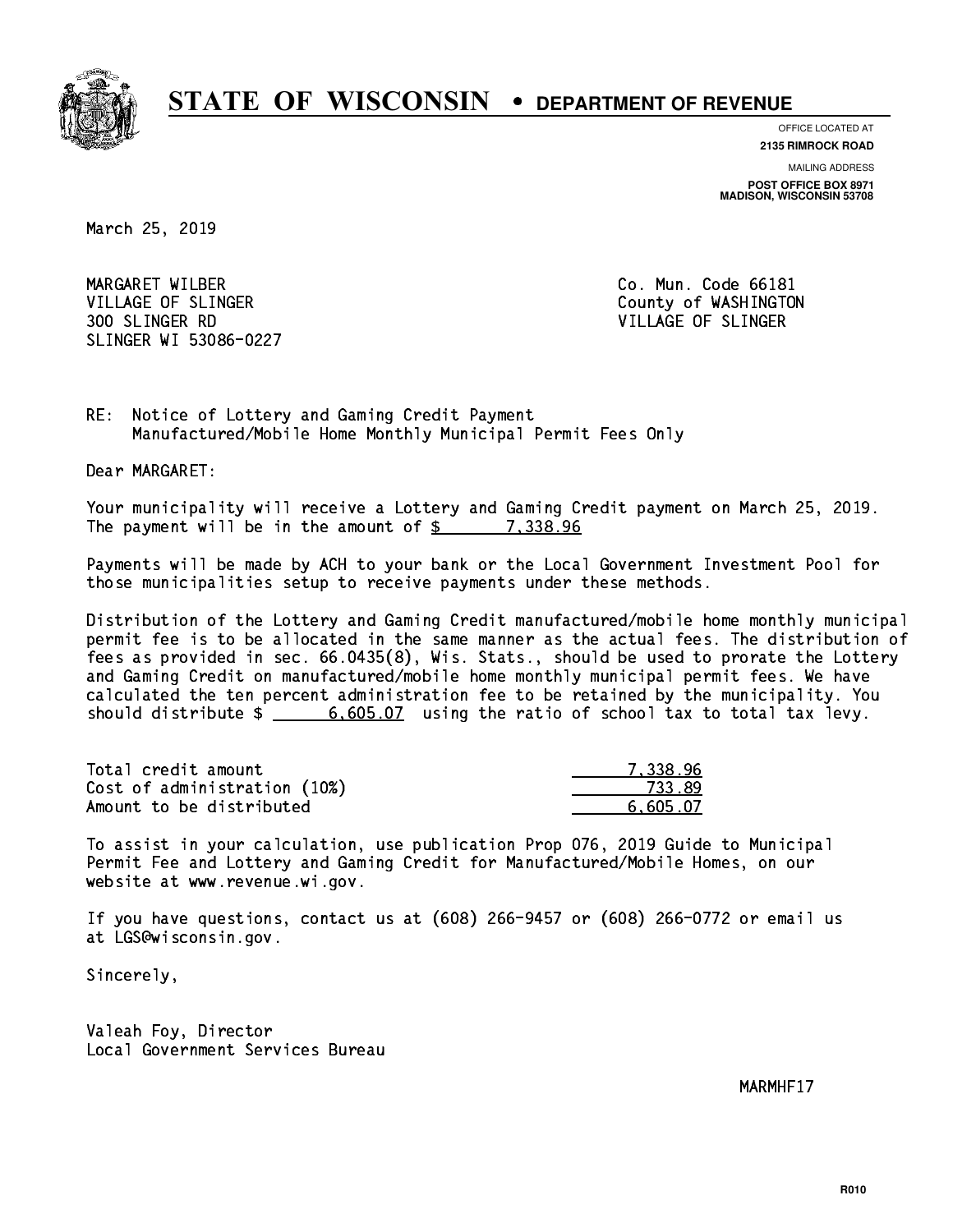

**OFFICE LOCATED AT**

**2135 RIMROCK ROAD**

**MAILING ADDRESS**

**POST OFFICE BOX 8971 MADISON, WISCONSIN 53708**

March 25, 2019

 MARGARET WILBER Co. Mun. Code 66181 VILLAGE OF SLINGER COUNTY OF WASHINGTON 300 SLINGER RD VILLAGE OF SLINGER SLINGER WI 53086-0227

RE: Notice of Lottery and Gaming Credit Payment Manufactured/Mobile Home Monthly Municipal Permit Fees Only

Dear MARGARET:

 Your municipality will receive a Lottery and Gaming Credit payment on March 25, 2019. The payment will be in the amount of  $\frac{2}{3}$  7,338.96

 Payments will be made by ACH to your bank or the Local Government Investment Pool for those municipalities setup to receive payments under these methods.

 Distribution of the Lottery and Gaming Credit manufactured/mobile home monthly municipal permit fee is to be allocated in the same manner as the actual fees. The distribution of fees as provided in sec. 66.0435(8), Wis. Stats., should be used to prorate the Lottery and Gaming Credit on manufactured/mobile home monthly municipal permit fees. We have calculated the ten percent administration fee to be retained by the municipality. You should distribute  $\frac{2}{1}$   $\frac{6,605.07}{2}$  using the ratio of school tax to total tax levy.

| Total credit amount          | 7.338.96 |
|------------------------------|----------|
| Cost of administration (10%) | 733.89   |
| Amount to be distributed     | 6.605.07 |

 To assist in your calculation, use publication Prop 076, 2019 Guide to Municipal Permit Fee and Lottery and Gaming Credit for Manufactured/Mobile Homes, on our website at www.revenue.wi.gov.

 If you have questions, contact us at (608) 266-9457 or (608) 266-0772 or email us at LGS@wisconsin.gov.

Sincerely,

 Valeah Foy, Director Local Government Services Bureau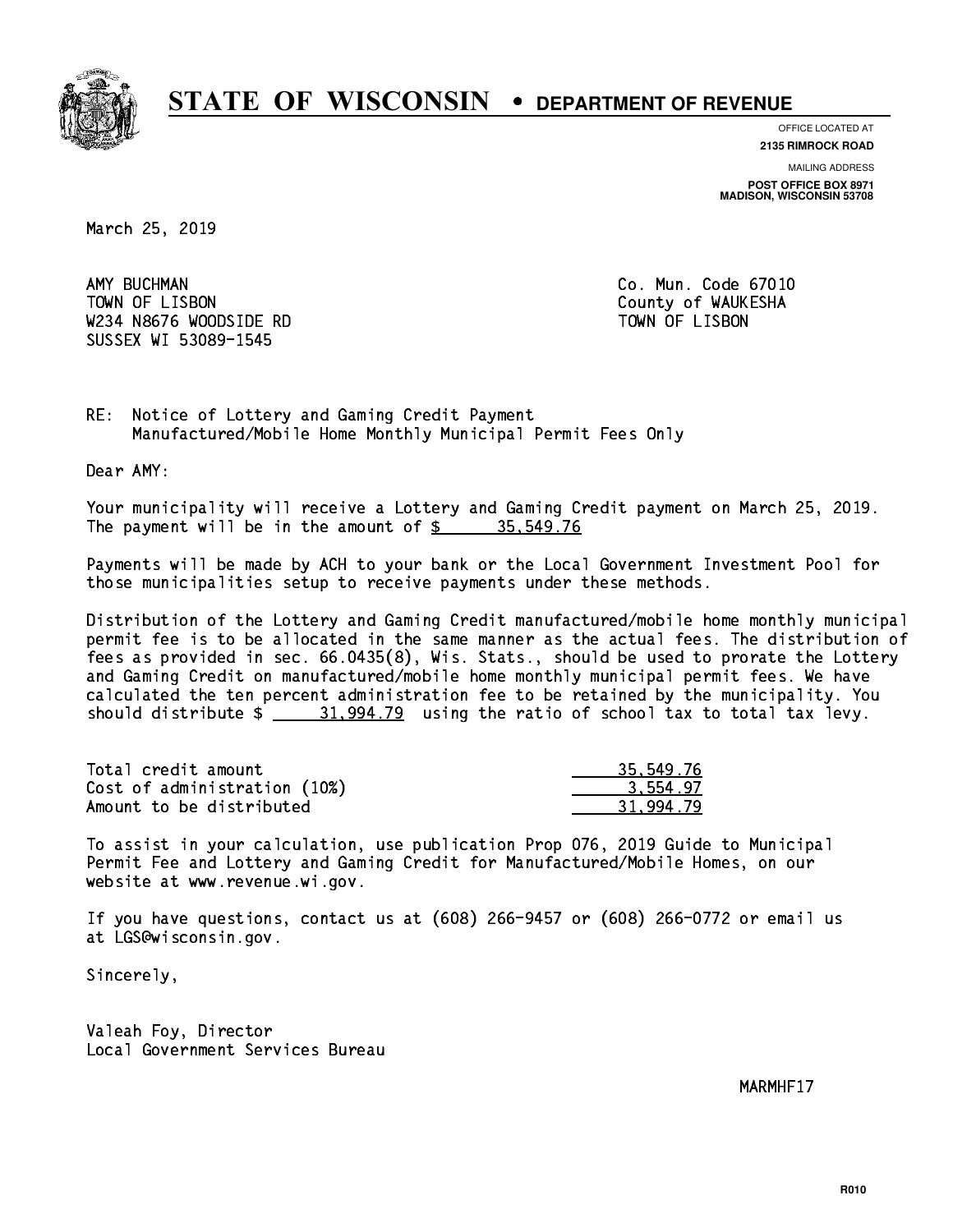

**OFFICE LOCATED AT**

**2135 RIMROCK ROAD**

**MAILING ADDRESS POST OFFICE BOX 8971 MADISON, WISCONSIN 53708**

March 25, 2019

AMY BUCHMAN TOWN OF LISBON County of WAUKESHA W234 N8676 WOODSIDE RD TOWN OF LISBON SUSSEX WI 53089-1545

Co. Mun. Code 67010

RE: Notice of Lottery and Gaming Credit Payment Manufactured/Mobile Home Monthly Municipal Permit Fees Only

Dear AMY:

 Your municipality will receive a Lottery and Gaming Credit payment on March 25, 2019. The payment will be in the amount of  $\frac{2}{3}$  35,549.76

 Payments will be made by ACH to your bank or the Local Government Investment Pool for those municipalities setup to receive payments under these methods.

 Distribution of the Lottery and Gaming Credit manufactured/mobile home monthly municipal permit fee is to be allocated in the same manner as the actual fees. The distribution of fees as provided in sec. 66.0435(8), Wis. Stats., should be used to prorate the Lottery and Gaming Credit on manufactured/mobile home monthly municipal permit fees. We have calculated the ten percent administration fee to be retained by the municipality. You should distribute  $\frac{21,994.79}{21,994.79}$  using the ratio of school tax to total tax levy.

| Total credit amount          | 35,549.76 |
|------------------------------|-----------|
| Cost of administration (10%) | 3.554.97  |
| Amount to be distributed     | 31.994.79 |

 To assist in your calculation, use publication Prop 076, 2019 Guide to Municipal Permit Fee and Lottery and Gaming Credit for Manufactured/Mobile Homes, on our website at www.revenue.wi.gov.

 If you have questions, contact us at (608) 266-9457 or (608) 266-0772 or email us at LGS@wisconsin.gov.

Sincerely,

 Valeah Foy, Director Local Government Services Bureau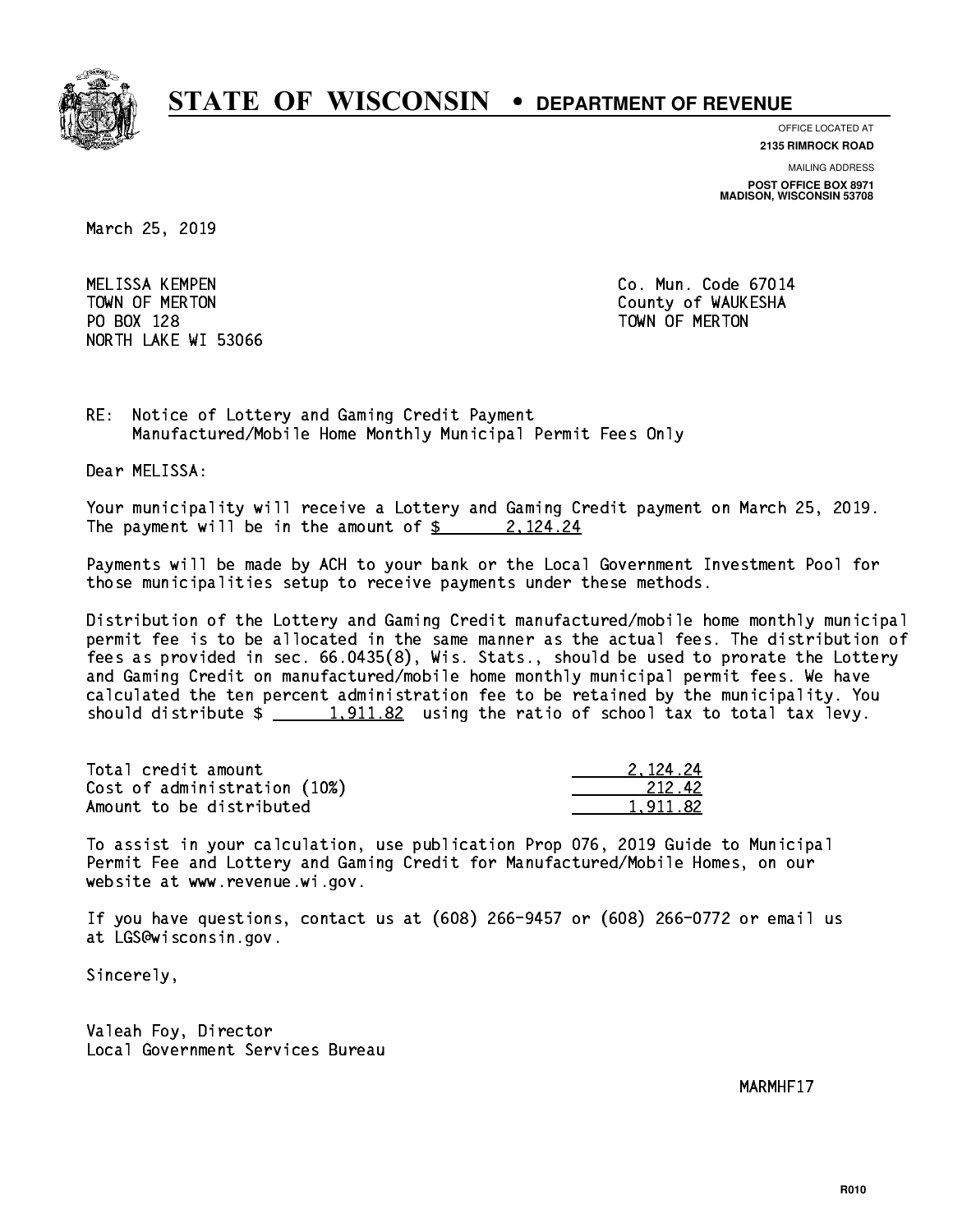

**OFFICE LOCATED AT**

**2135 RIMROCK ROAD**

**MAILING ADDRESS**

**POST OFFICE BOX 8971 MADISON, WISCONSIN 53708**

March 25, 2019

 MELISSA KEMPEN Co. Mun. Code 67014 PO BOX 128 TOWN OF MERTON NORTH LAKE WI 53066

TOWN OF MERTON County of WAUKESHA

RE: Notice of Lottery and Gaming Credit Payment Manufactured/Mobile Home Monthly Municipal Permit Fees Only

Dear MELISSA:

 Your municipality will receive a Lottery and Gaming Credit payment on March 25, 2019. The payment will be in the amount of  $\frac{2}{3}$  2, 124.24

 Payments will be made by ACH to your bank or the Local Government Investment Pool for those municipalities setup to receive payments under these methods.

 Distribution of the Lottery and Gaming Credit manufactured/mobile home monthly municipal permit fee is to be allocated in the same manner as the actual fees. The distribution of fees as provided in sec. 66.0435(8), Wis. Stats., should be used to prorate the Lottery and Gaming Credit on manufactured/mobile home monthly municipal permit fees. We have calculated the ten percent administration fee to be retained by the municipality. You should distribute  $\frac{1,911.82}{1,911.82}$  using the ratio of school tax to total tax levy.

| Total credit amount          | 2.124.24 |
|------------------------------|----------|
| Cost of administration (10%) | 212.42   |
| Amount to be distributed     | 1.911.82 |

 To assist in your calculation, use publication Prop 076, 2019 Guide to Municipal Permit Fee and Lottery and Gaming Credit for Manufactured/Mobile Homes, on our website at www.revenue.wi.gov.

 If you have questions, contact us at (608) 266-9457 or (608) 266-0772 or email us at LGS@wisconsin.gov.

Sincerely,

 Valeah Foy, Director Local Government Services Bureau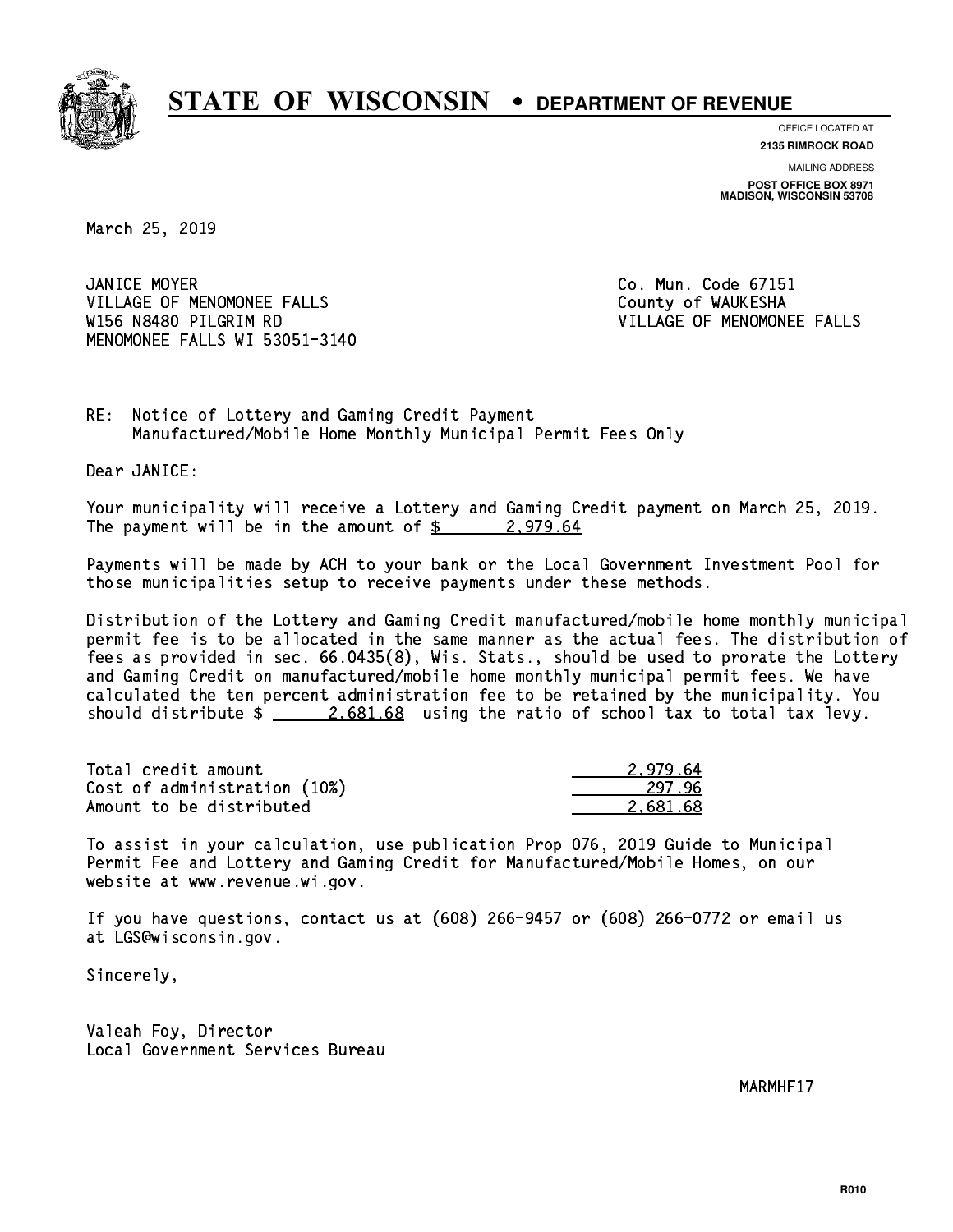

**OFFICE LOCATED AT**

**2135 RIMROCK ROAD**

**MAILING ADDRESS POST OFFICE BOX 8971 MADISON, WISCONSIN 53708**

March 25, 2019

JANICE MOYER VILLAGE OF MENOMONEE FALLS **COUNTY OF WAUKESHA**  W156 N8480 PILGRIM RD VILLAGE OF MENOMONEE FALLS MENOMONEE FALLS WI 53051-3140

Co. Mun. Code 67151

RE: Notice of Lottery and Gaming Credit Payment Manufactured/Mobile Home Monthly Municipal Permit Fees Only

Dear JANICE:

 Your municipality will receive a Lottery and Gaming Credit payment on March 25, 2019. The payment will be in the amount of  $\frac{2}{9}$  2,979.64

 Payments will be made by ACH to your bank or the Local Government Investment Pool for those municipalities setup to receive payments under these methods.

 Distribution of the Lottery and Gaming Credit manufactured/mobile home monthly municipal permit fee is to be allocated in the same manner as the actual fees. The distribution of fees as provided in sec. 66.0435(8), Wis. Stats., should be used to prorate the Lottery and Gaming Credit on manufactured/mobile home monthly municipal permit fees. We have calculated the ten percent administration fee to be retained by the municipality. You should distribute  $\frac{2.681.68}{2.081.68}$  using the ratio of school tax to total tax levy.

| Total credit amount          | 2.979.64 |
|------------------------------|----------|
| Cost of administration (10%) | 297.96   |
| Amount to be distributed     | 2.681.68 |

 To assist in your calculation, use publication Prop 076, 2019 Guide to Municipal Permit Fee and Lottery and Gaming Credit for Manufactured/Mobile Homes, on our website at www.revenue.wi.gov.

 If you have questions, contact us at (608) 266-9457 or (608) 266-0772 or email us at LGS@wisconsin.gov.

Sincerely,

 Valeah Foy, Director Local Government Services Bureau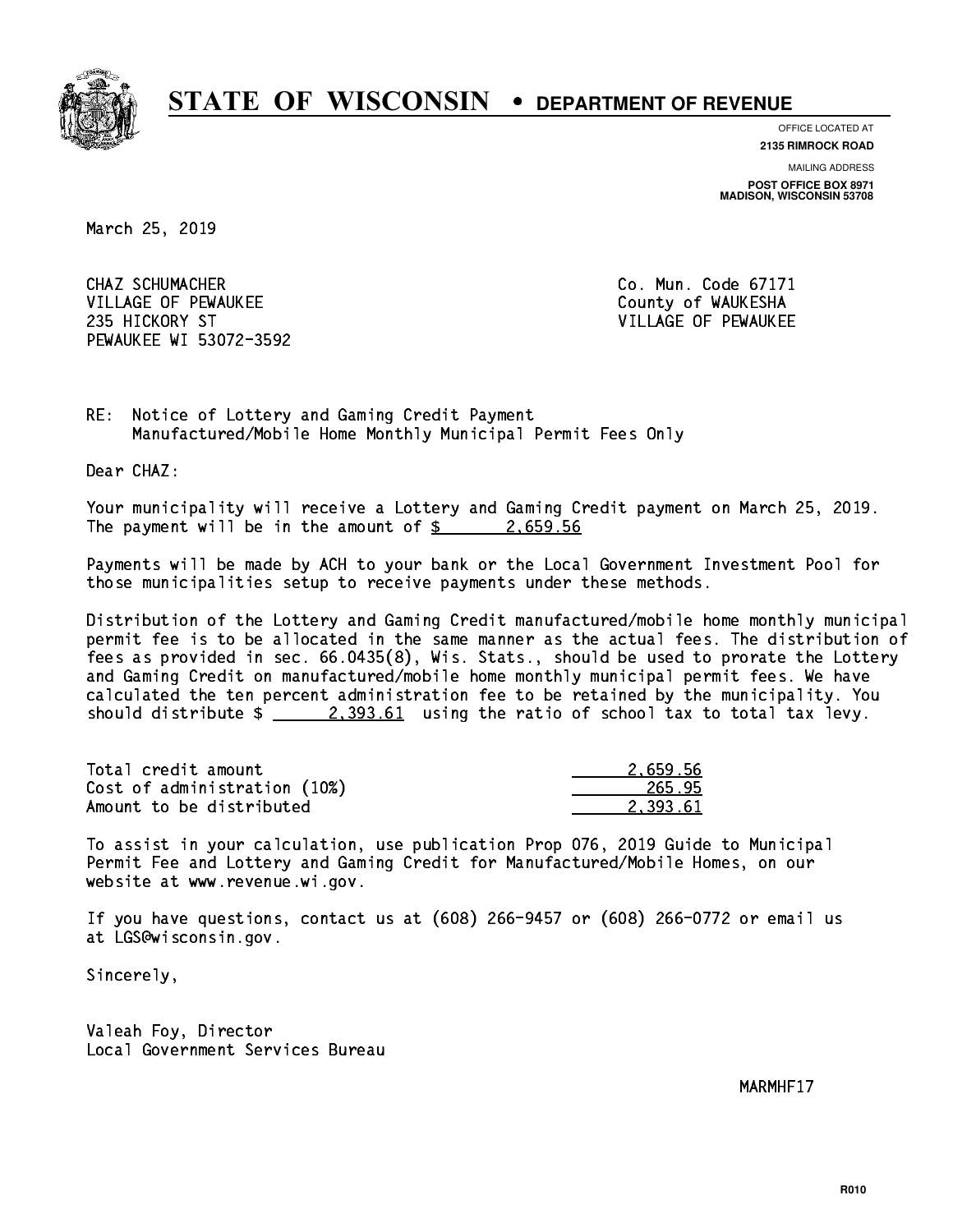

**OFFICE LOCATED AT**

**2135 RIMROCK ROAD**

**MAILING ADDRESS POST OFFICE BOX 8971 MADISON, WISCONSIN 53708**

March 25, 2019

 CHAZ SCHUMACHER Co. Mun. Code 67171 VILLAGE OF PEWAUKEE COUNTY OF WAUKESHA 235 HICKORY ST VILLAGE OF PEWAUKEE PEWAUKEE WI 53072-3592

RE: Notice of Lottery and Gaming Credit Payment Manufactured/Mobile Home Monthly Municipal Permit Fees Only

Dear CHAZ:

 Your municipality will receive a Lottery and Gaming Credit payment on March 25, 2019. The payment will be in the amount of  $\frac{2.659.56}{2.659.56}$ 

 Payments will be made by ACH to your bank or the Local Government Investment Pool for those municipalities setup to receive payments under these methods.

 Distribution of the Lottery and Gaming Credit manufactured/mobile home monthly municipal permit fee is to be allocated in the same manner as the actual fees. The distribution of fees as provided in sec. 66.0435(8), Wis. Stats., should be used to prorate the Lottery and Gaming Credit on manufactured/mobile home monthly municipal permit fees. We have calculated the ten percent administration fee to be retained by the municipality. You should distribute  $\frac{2,393.61}{2}$  using the ratio of school tax to total tax levy.

| Total credit amount          | 2.659.56 |
|------------------------------|----------|
| Cost of administration (10%) | 265.95   |
| Amount to be distributed     | 2.393.61 |

 To assist in your calculation, use publication Prop 076, 2019 Guide to Municipal Permit Fee and Lottery and Gaming Credit for Manufactured/Mobile Homes, on our website at www.revenue.wi.gov.

 If you have questions, contact us at (608) 266-9457 or (608) 266-0772 or email us at LGS@wisconsin.gov.

Sincerely,

 Valeah Foy, Director Local Government Services Bureau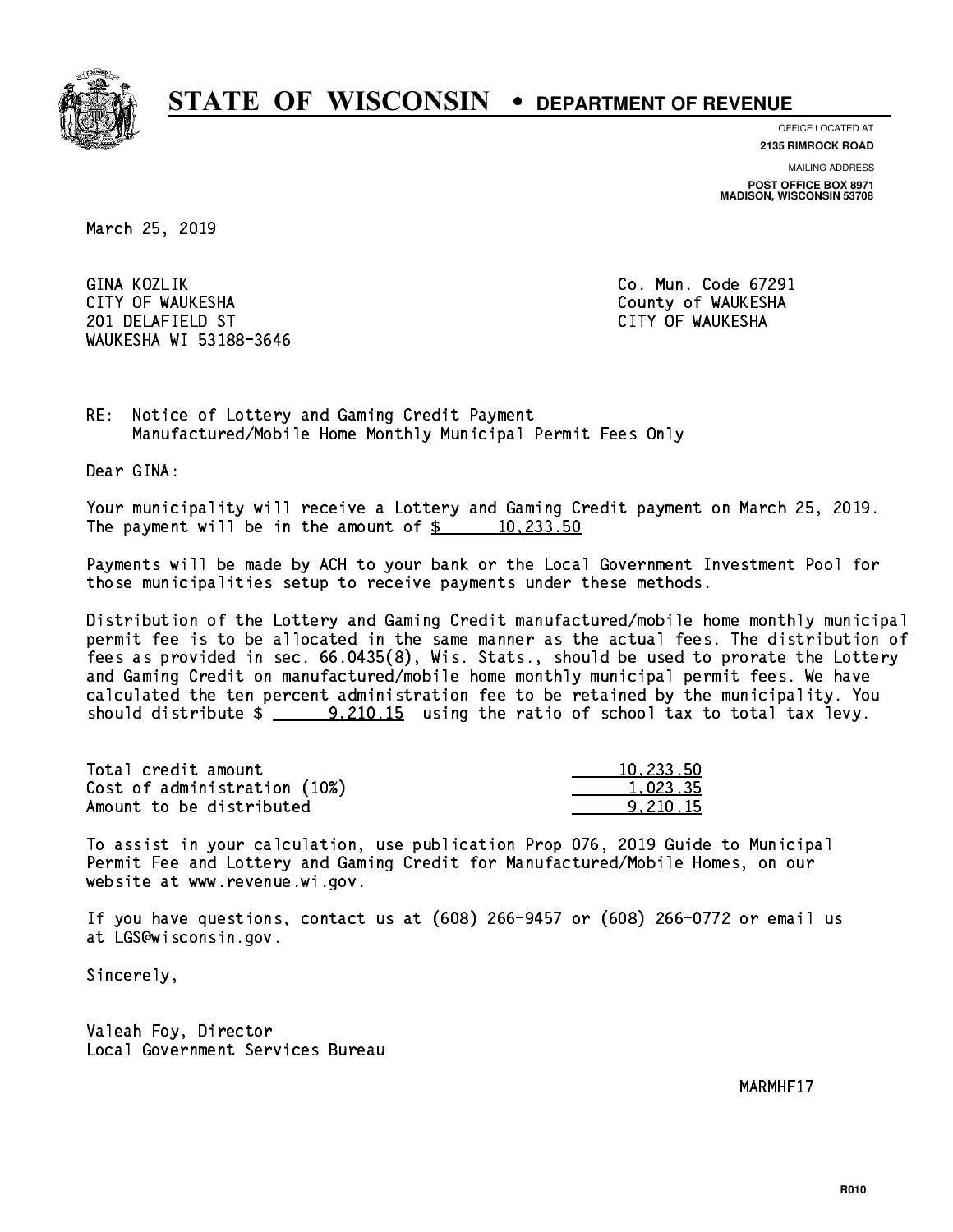

**OFFICE LOCATED AT**

**2135 RIMROCK ROAD**

**MAILING ADDRESS POST OFFICE BOX 8971 MADISON, WISCONSIN 53708**

March 25, 2019

GINA KOZLIK CITY OF WAUKESHA County of WAUKESHA 201 DELAFIELD ST CITY OF WAUKESHA WAUKESHA WI 53188-3646

Co. Mun. Code 67291

RE: Notice of Lottery and Gaming Credit Payment Manufactured/Mobile Home Monthly Municipal Permit Fees Only

Dear GINA:

 Your municipality will receive a Lottery and Gaming Credit payment on March 25, 2019. The payment will be in the amount of  $\frac{233.50}{20}$ 

 Payments will be made by ACH to your bank or the Local Government Investment Pool for those municipalities setup to receive payments under these methods.

 Distribution of the Lottery and Gaming Credit manufactured/mobile home monthly municipal permit fee is to be allocated in the same manner as the actual fees. The distribution of fees as provided in sec. 66.0435(8), Wis. Stats., should be used to prorate the Lottery and Gaming Credit on manufactured/mobile home monthly municipal permit fees. We have calculated the ten percent administration fee to be retained by the municipality. You should distribute  $\frac{20.210.15}{20.15}$  using the ratio of school tax to total tax levy.

| Total credit amount          | 10.233.50 |
|------------------------------|-----------|
| Cost of administration (10%) | 1.023.35  |
| Amount to be distributed     | 9.210.15  |

 To assist in your calculation, use publication Prop 076, 2019 Guide to Municipal Permit Fee and Lottery and Gaming Credit for Manufactured/Mobile Homes, on our website at www.revenue.wi.gov.

 If you have questions, contact us at (608) 266-9457 or (608) 266-0772 or email us at LGS@wisconsin.gov.

Sincerely,

 Valeah Foy, Director Local Government Services Bureau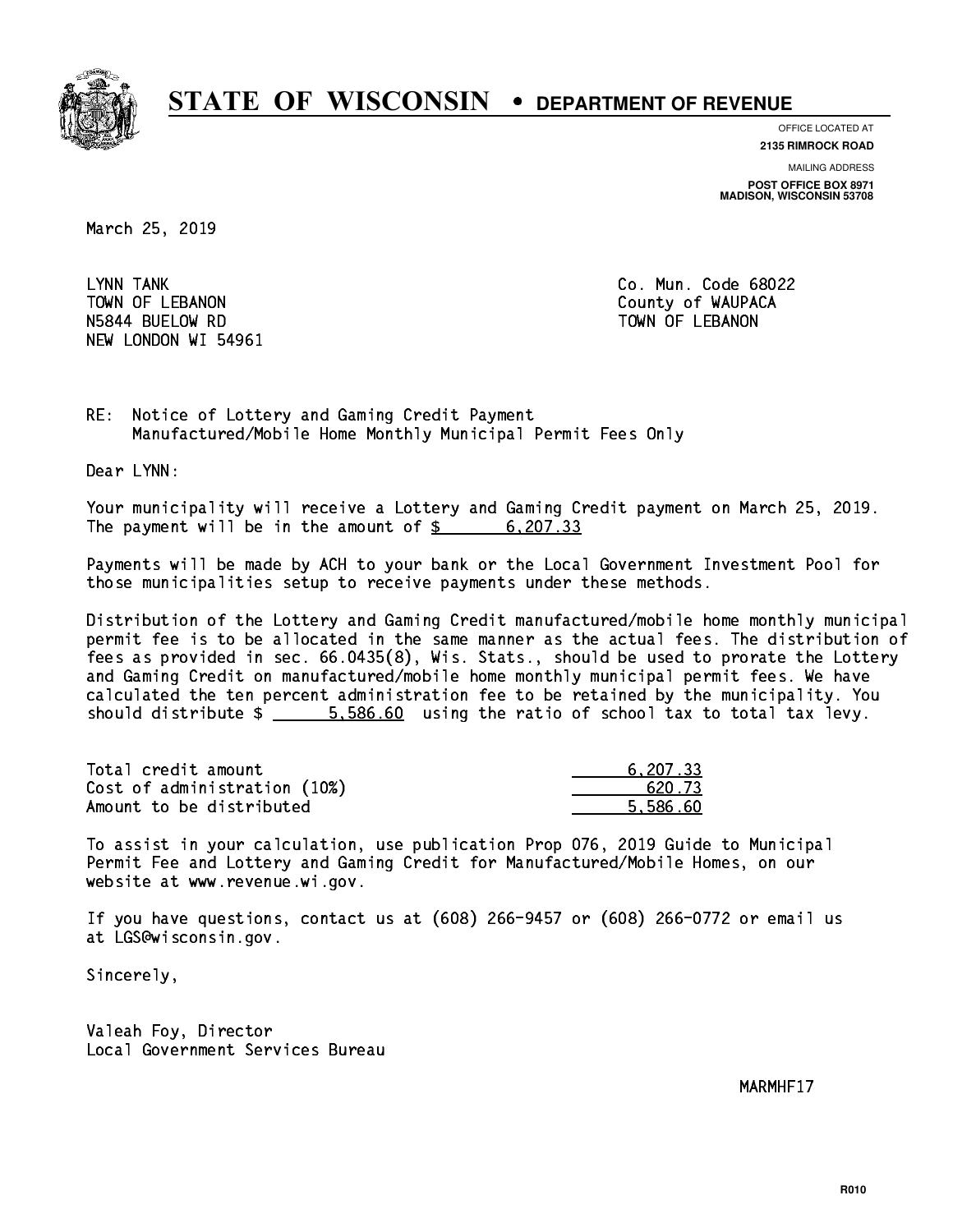

**OFFICE LOCATED AT 2135 RIMROCK ROAD**

**MAILING ADDRESS**

**POST OFFICE BOX 8971 MADISON, WISCONSIN 53708**

March 25, 2019

LYNN TANK TOWN OF LEBANON **COUNTY OF SEARCH COULD A** COUNTY OF WAUPACA NSA A BUELOW RD TOWN OF LEBANON OF LEBANON RD TOWN OF LEBANON RD TOWN OF LEBANON RD TOWN OF LEBANON RD TOWN OF NEW LONDON WI 54961

Co. Mun. Code 68022

RE: Notice of Lottery and Gaming Credit Payment Manufactured/Mobile Home Monthly Municipal Permit Fees Only

Dear LYNN:

 Your municipality will receive a Lottery and Gaming Credit payment on March 25, 2019. The payment will be in the amount of  $\frac{207.33}{200}$ 

 Payments will be made by ACH to your bank or the Local Government Investment Pool for those municipalities setup to receive payments under these methods.

 Distribution of the Lottery and Gaming Credit manufactured/mobile home monthly municipal permit fee is to be allocated in the same manner as the actual fees. The distribution of fees as provided in sec. 66.0435(8), Wis. Stats., should be used to prorate the Lottery and Gaming Credit on manufactured/mobile home monthly municipal permit fees. We have calculated the ten percent administration fee to be retained by the municipality. You should distribute  $\frac{2}{1}$   $\frac{5}{586.60}$  using the ratio of school tax to total tax levy.

| Total credit amount          | 6,207.33 |
|------------------------------|----------|
| Cost of administration (10%) | 620.73   |
| Amount to be distributed     | 5.586.60 |

 To assist in your calculation, use publication Prop 076, 2019 Guide to Municipal Permit Fee and Lottery and Gaming Credit for Manufactured/Mobile Homes, on our website at www.revenue.wi.gov.

 If you have questions, contact us at (608) 266-9457 or (608) 266-0772 or email us at LGS@wisconsin.gov.

Sincerely,

 Valeah Foy, Director Local Government Services Bureau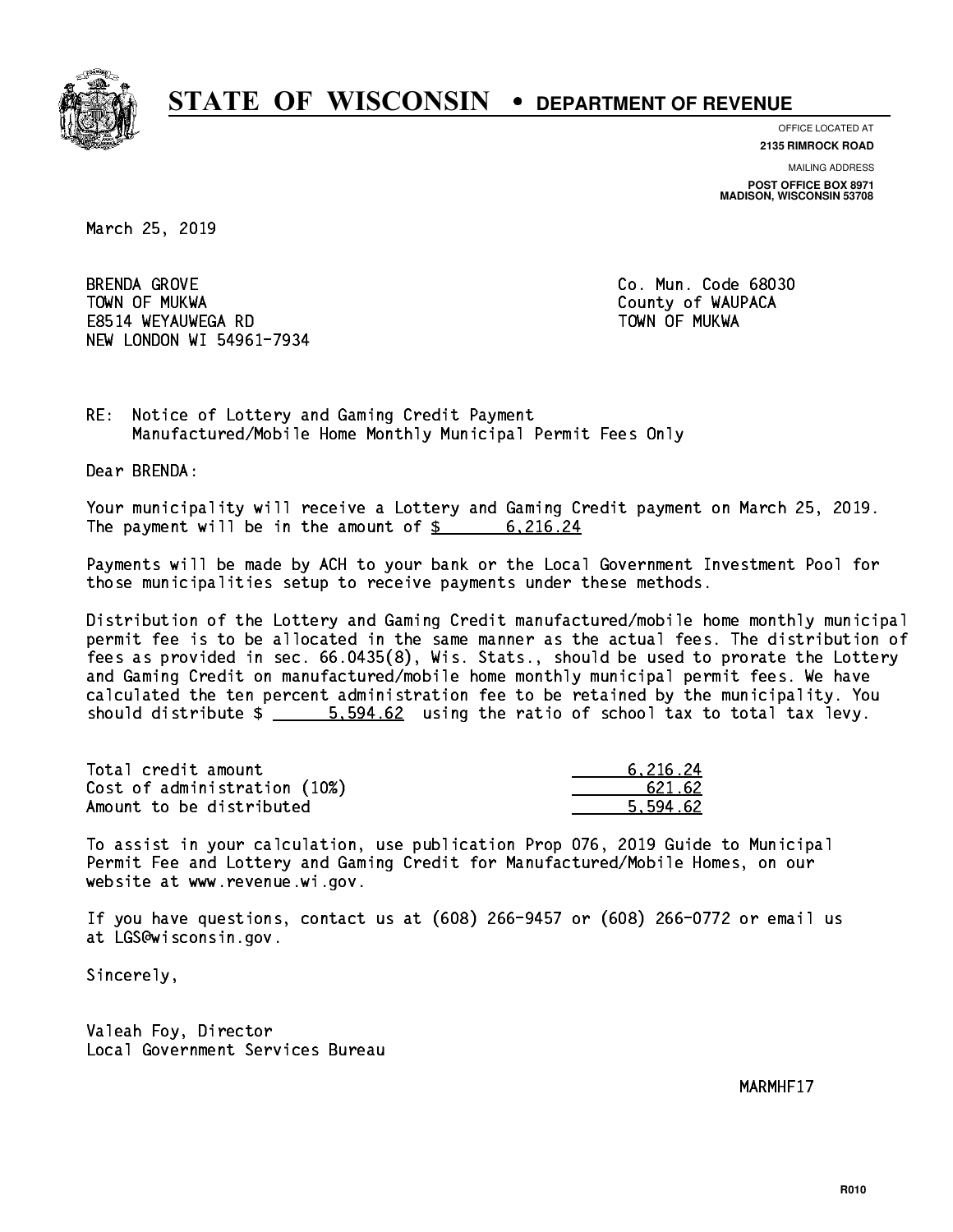

**OFFICE LOCATED AT 2135 RIMROCK ROAD**

**MAILING ADDRESS**

**POST OFFICE BOX 8971 MADISON, WISCONSIN 53708**

March 25, 2019

**BRENDA GROVE**  TOWN OF MUKWA County of WAUPACA E8514 WEYAUWEGA RD TOWN OF MUKWA NEW LONDON WI 54961-7934

Co. Mun. Code 68030

RE: Notice of Lottery and Gaming Credit Payment Manufactured/Mobile Home Monthly Municipal Permit Fees Only

Dear BRENDA:

 Your municipality will receive a Lottery and Gaming Credit payment on March 25, 2019. The payment will be in the amount of  $\frac{2}{3}$  6,216.24

 Payments will be made by ACH to your bank or the Local Government Investment Pool for those municipalities setup to receive payments under these methods.

 Distribution of the Lottery and Gaming Credit manufactured/mobile home monthly municipal permit fee is to be allocated in the same manner as the actual fees. The distribution of fees as provided in sec. 66.0435(8), Wis. Stats., should be used to prorate the Lottery and Gaming Credit on manufactured/mobile home monthly municipal permit fees. We have calculated the ten percent administration fee to be retained by the municipality. You should distribute  $\frac{2}{1}$   $\frac{5.594.62}{2}$  using the ratio of school tax to total tax levy.

| Total credit amount          | 6.216.24 |
|------------------------------|----------|
| Cost of administration (10%) | 621.62   |
| Amount to be distributed     | 5.594.62 |

 To assist in your calculation, use publication Prop 076, 2019 Guide to Municipal Permit Fee and Lottery and Gaming Credit for Manufactured/Mobile Homes, on our website at www.revenue.wi.gov.

 If you have questions, contact us at (608) 266-9457 or (608) 266-0772 or email us at LGS@wisconsin.gov.

Sincerely,

 Valeah Foy, Director Local Government Services Bureau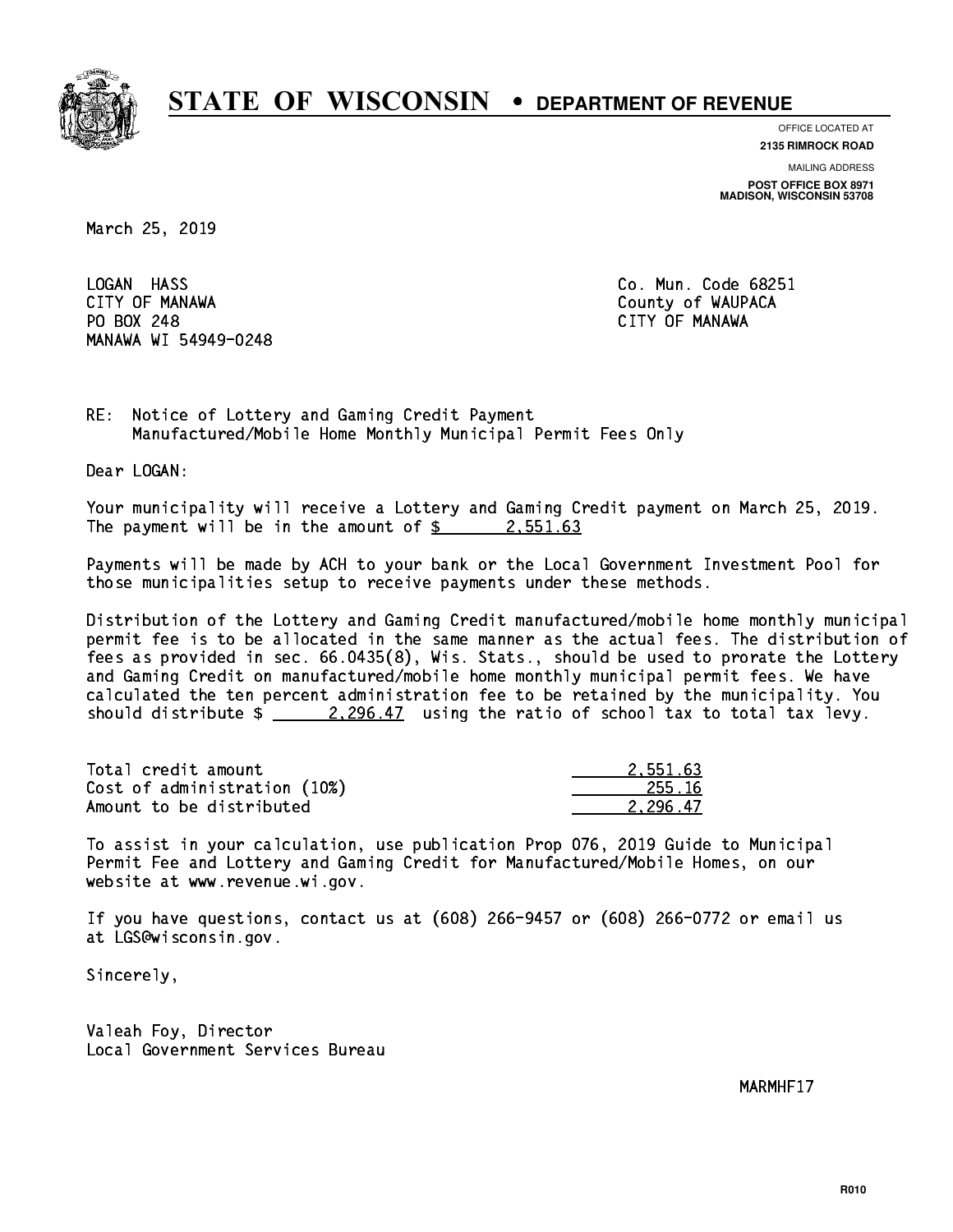

**OFFICE LOCATED AT**

**2135 RIMROCK ROAD**

**MAILING ADDRESS**

**POST OFFICE BOX 8971 MADISON, WISCONSIN 53708**

March 25, 2019

LOGAN HASS CITY OF MANAWA County of WAUPACA PO BOX 248 CITY OF MANAWA MANAWA WI 54949-0248

Co. Mun. Code 68251

RE: Notice of Lottery and Gaming Credit Payment Manufactured/Mobile Home Monthly Municipal Permit Fees Only

Dear LOGAN:

 Your municipality will receive a Lottery and Gaming Credit payment on March 25, 2019. The payment will be in the amount of  $\frac{2}{3}$  2,551.63

 Payments will be made by ACH to your bank or the Local Government Investment Pool for those municipalities setup to receive payments under these methods.

 Distribution of the Lottery and Gaming Credit manufactured/mobile home monthly municipal permit fee is to be allocated in the same manner as the actual fees. The distribution of fees as provided in sec. 66.0435(8), Wis. Stats., should be used to prorate the Lottery and Gaming Credit on manufactured/mobile home monthly municipal permit fees. We have calculated the ten percent administration fee to be retained by the municipality. You should distribute  $\frac{2.296.47}{ }$  using the ratio of school tax to total tax levy.

| Total credit amount          | 2.551.63 |
|------------------------------|----------|
| Cost of administration (10%) | -255.16  |
| Amount to be distributed     | 2.296.47 |

 To assist in your calculation, use publication Prop 076, 2019 Guide to Municipal Permit Fee and Lottery and Gaming Credit for Manufactured/Mobile Homes, on our website at www.revenue.wi.gov.

 If you have questions, contact us at (608) 266-9457 or (608) 266-0772 or email us at LGS@wisconsin.gov.

Sincerely,

 Valeah Foy, Director Local Government Services Bureau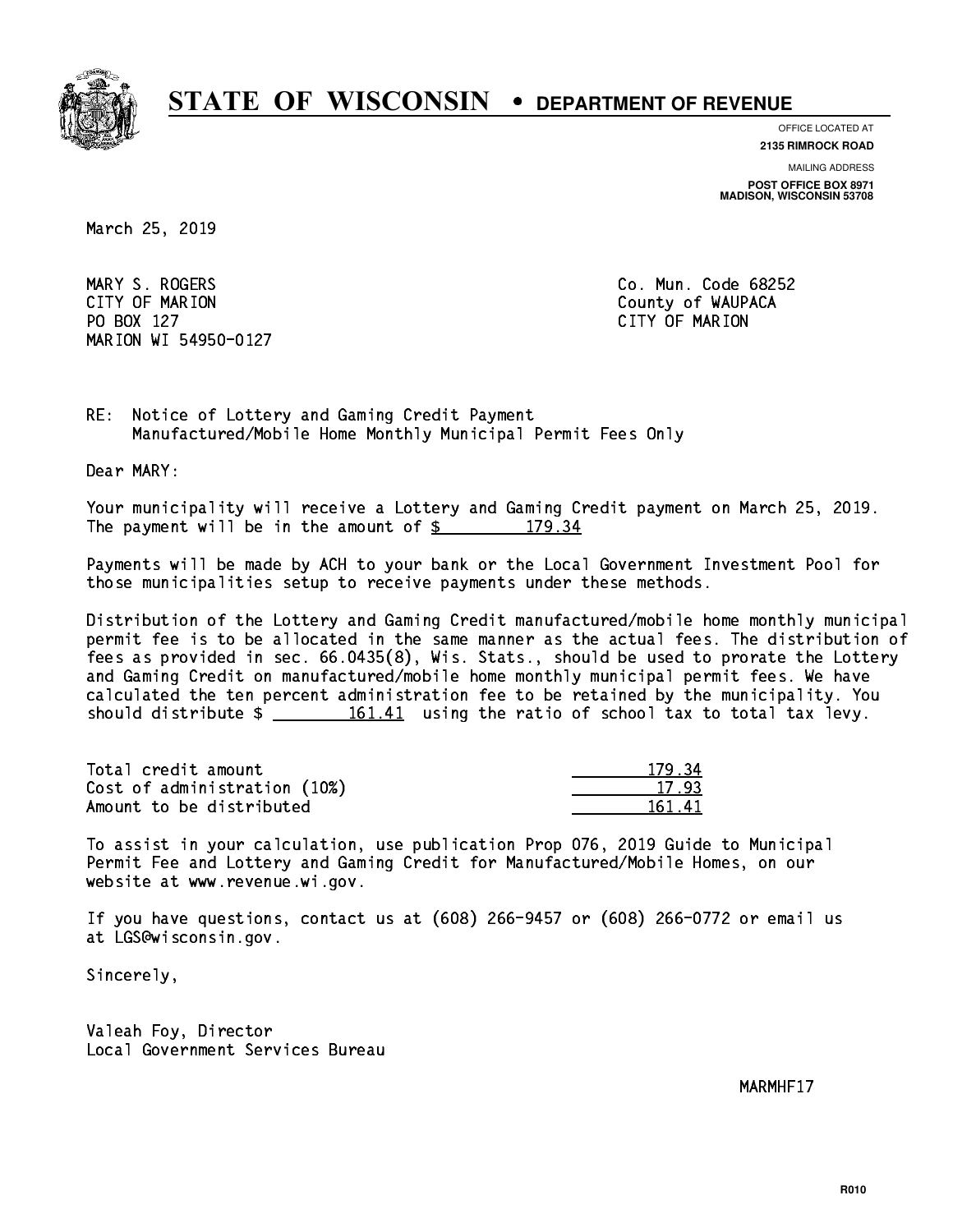

**OFFICE LOCATED AT**

**2135 RIMROCK ROAD**

**MAILING ADDRESS**

**POST OFFICE BOX 8971 MADISON, WISCONSIN 53708**

March 25, 2019

 MARY S. ROGERS Co. Mun. Code 68252 CITY OF MARION COUNTY COUNTY OF MARION PO BOX 127 CITY OF MARION MARION WI 54950-0127

RE: Notice of Lottery and Gaming Credit Payment Manufactured/Mobile Home Monthly Municipal Permit Fees Only

Dear MARY:

 Your municipality will receive a Lottery and Gaming Credit payment on March 25, 2019. The payment will be in the amount of  $\frac{2}{3}$  179.34

 Payments will be made by ACH to your bank or the Local Government Investment Pool for those municipalities setup to receive payments under these methods.

 Distribution of the Lottery and Gaming Credit manufactured/mobile home monthly municipal permit fee is to be allocated in the same manner as the actual fees. The distribution of fees as provided in sec. 66.0435(8), Wis. Stats., should be used to prorate the Lottery and Gaming Credit on manufactured/mobile home monthly municipal permit fees. We have calculated the ten percent administration fee to be retained by the municipality. You should distribute  $\frac{161.41}{2}$  using the ratio of school tax to total tax levy.

Total credit amount Cost of administration (10%) Amount to be distributed

| 34              |
|-----------------|
| 17.93           |
| 61.<br>Т.<br>ւլ |

 To assist in your calculation, use publication Prop 076, 2019 Guide to Municipal Permit Fee and Lottery and Gaming Credit for Manufactured/Mobile Homes, on our website at www.revenue.wi.gov.

 If you have questions, contact us at (608) 266-9457 or (608) 266-0772 or email us at LGS@wisconsin.gov.

Sincerely,

 Valeah Foy, Director Local Government Services Bureau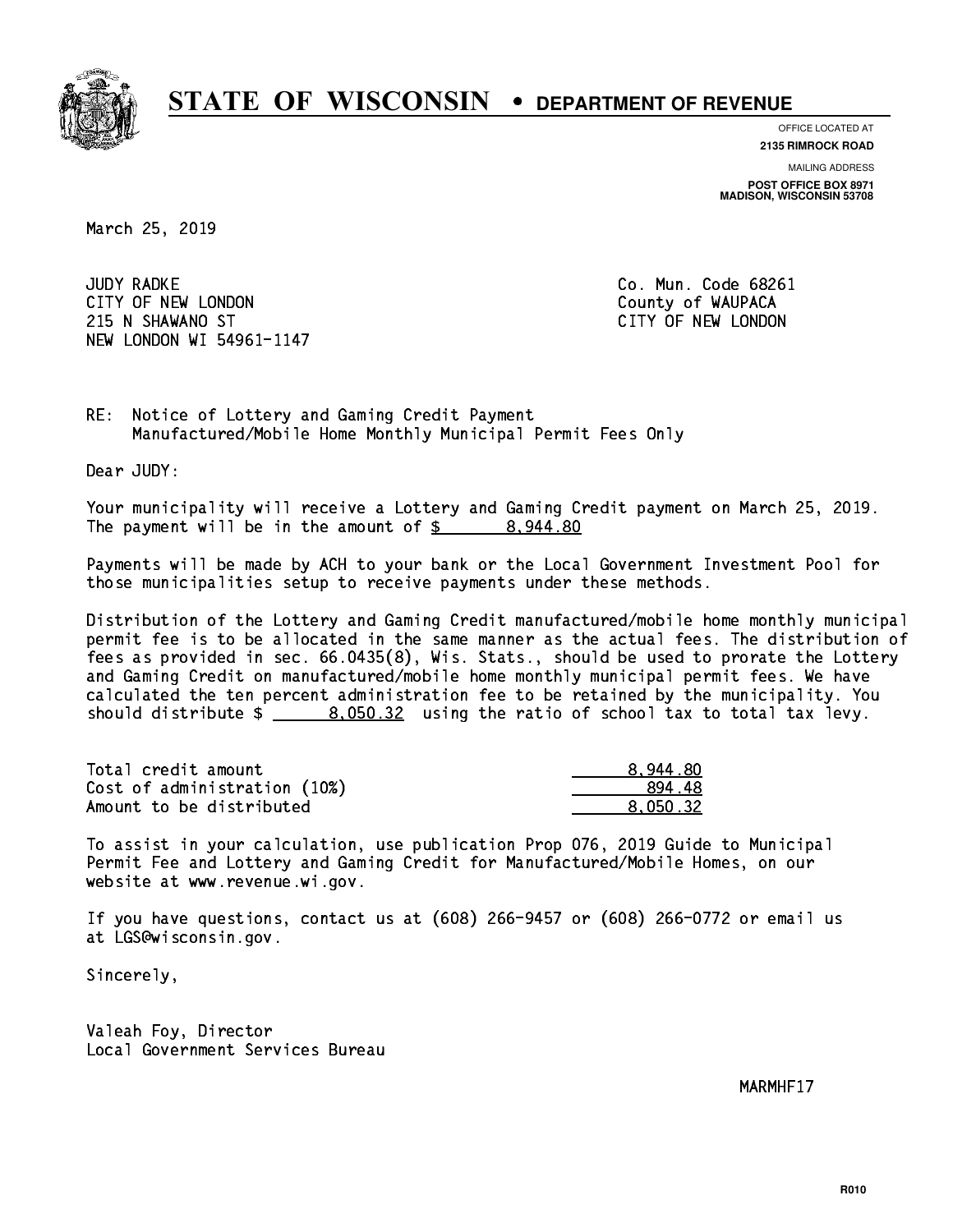

**OFFICE LOCATED AT**

**2135 RIMROCK ROAD**

**MAILING ADDRESS POST OFFICE BOX 8971 MADISON, WISCONSIN 53708**

March 25, 2019

**JUDY RADKE** CITY OF NEW LONDON COUNTY OF WAUPACA 215 N SHAWANO ST CITY OF NEW LONDON NEW LONDON WI 54961-1147

Co. Mun. Code 68261

RE: Notice of Lottery and Gaming Credit Payment Manufactured/Mobile Home Monthly Municipal Permit Fees Only

Dear JUDY:

 Your municipality will receive a Lottery and Gaming Credit payment on March 25, 2019. The payment will be in the amount of  $\frac{2}{3}$  8,944.80

 Payments will be made by ACH to your bank or the Local Government Investment Pool for those municipalities setup to receive payments under these methods.

 Distribution of the Lottery and Gaming Credit manufactured/mobile home monthly municipal permit fee is to be allocated in the same manner as the actual fees. The distribution of fees as provided in sec. 66.0435(8), Wis. Stats., should be used to prorate the Lottery and Gaming Credit on manufactured/mobile home monthly municipal permit fees. We have calculated the ten percent administration fee to be retained by the municipality. You should distribute  $\frac{2}{2}$   $\frac{8.050.32}{2}$  using the ratio of school tax to total tax levy.

| Total credit amount          | 8.944.80 |
|------------------------------|----------|
| Cost of administration (10%) | 89448    |
| Amount to be distributed     | 8.050.32 |

 To assist in your calculation, use publication Prop 076, 2019 Guide to Municipal Permit Fee and Lottery and Gaming Credit for Manufactured/Mobile Homes, on our website at www.revenue.wi.gov.

 If you have questions, contact us at (608) 266-9457 or (608) 266-0772 or email us at LGS@wisconsin.gov.

Sincerely,

 Valeah Foy, Director Local Government Services Bureau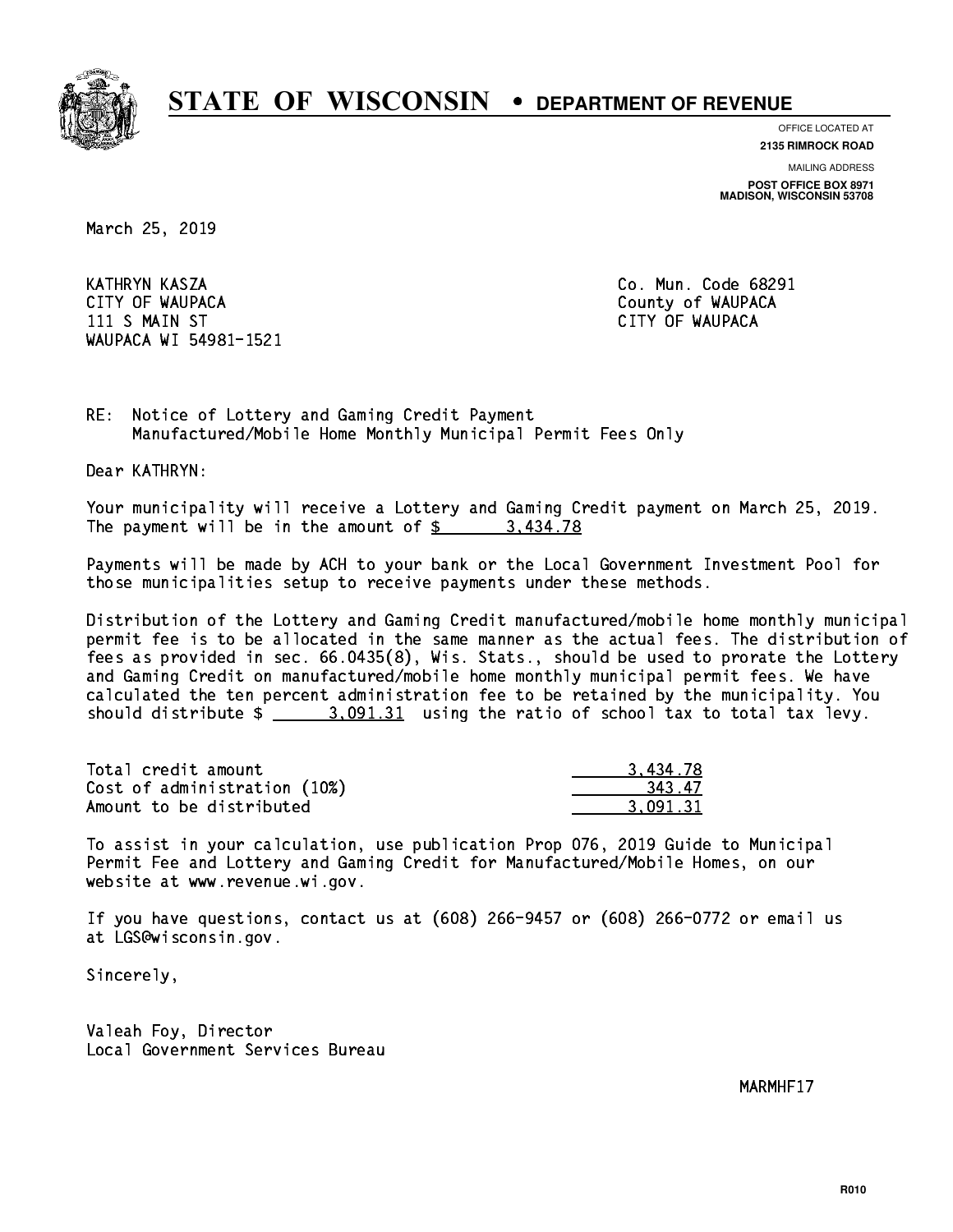

**OFFICE LOCATED AT**

**2135 RIMROCK ROAD**

**MAILING ADDRESS**

**POST OFFICE BOX 8971 MADISON, WISCONSIN 53708**

March 25, 2019

 KATHRYN KASZA Co. Mun. Code 68291 CITY OF WAUPACA **COULD ACCOUNT OF WAUPACA** 11 S MAIN ST CITY OF WAUPACA CHANGE OF WAUPACA CHANGE OF WAUPACA CHANGE OF WAUPACA CHANGE OF WAUPACA CHANGE OF WAUPACA WI 54981-1521

RE: Notice of Lottery and Gaming Credit Payment Manufactured/Mobile Home Monthly Municipal Permit Fees Only

Dear KATHRYN:

 Your municipality will receive a Lottery and Gaming Credit payment on March 25, 2019. The payment will be in the amount of \$ 3,434.78 \_\_\_\_\_\_\_\_\_\_\_\_\_\_\_\_

 Payments will be made by ACH to your bank or the Local Government Investment Pool for those municipalities setup to receive payments under these methods.

 Distribution of the Lottery and Gaming Credit manufactured/mobile home monthly municipal permit fee is to be allocated in the same manner as the actual fees. The distribution of fees as provided in sec. 66.0435(8), Wis. Stats., should be used to prorate the Lottery and Gaming Credit on manufactured/mobile home monthly municipal permit fees. We have calculated the ten percent administration fee to be retained by the municipality. You should distribute  $\frac{2}{2}$   $\frac{3.091.31}{2}$  using the ratio of school tax to total tax levy.

| Total credit amount          | 3.434.78 |
|------------------------------|----------|
| Cost of administration (10%) | 343.47   |
| Amount to be distributed     | 3.091.31 |

 To assist in your calculation, use publication Prop 076, 2019 Guide to Municipal Permit Fee and Lottery and Gaming Credit for Manufactured/Mobile Homes, on our website at www.revenue.wi.gov.

 If you have questions, contact us at (608) 266-9457 or (608) 266-0772 or email us at LGS@wisconsin.gov.

Sincerely,

 Valeah Foy, Director Local Government Services Bureau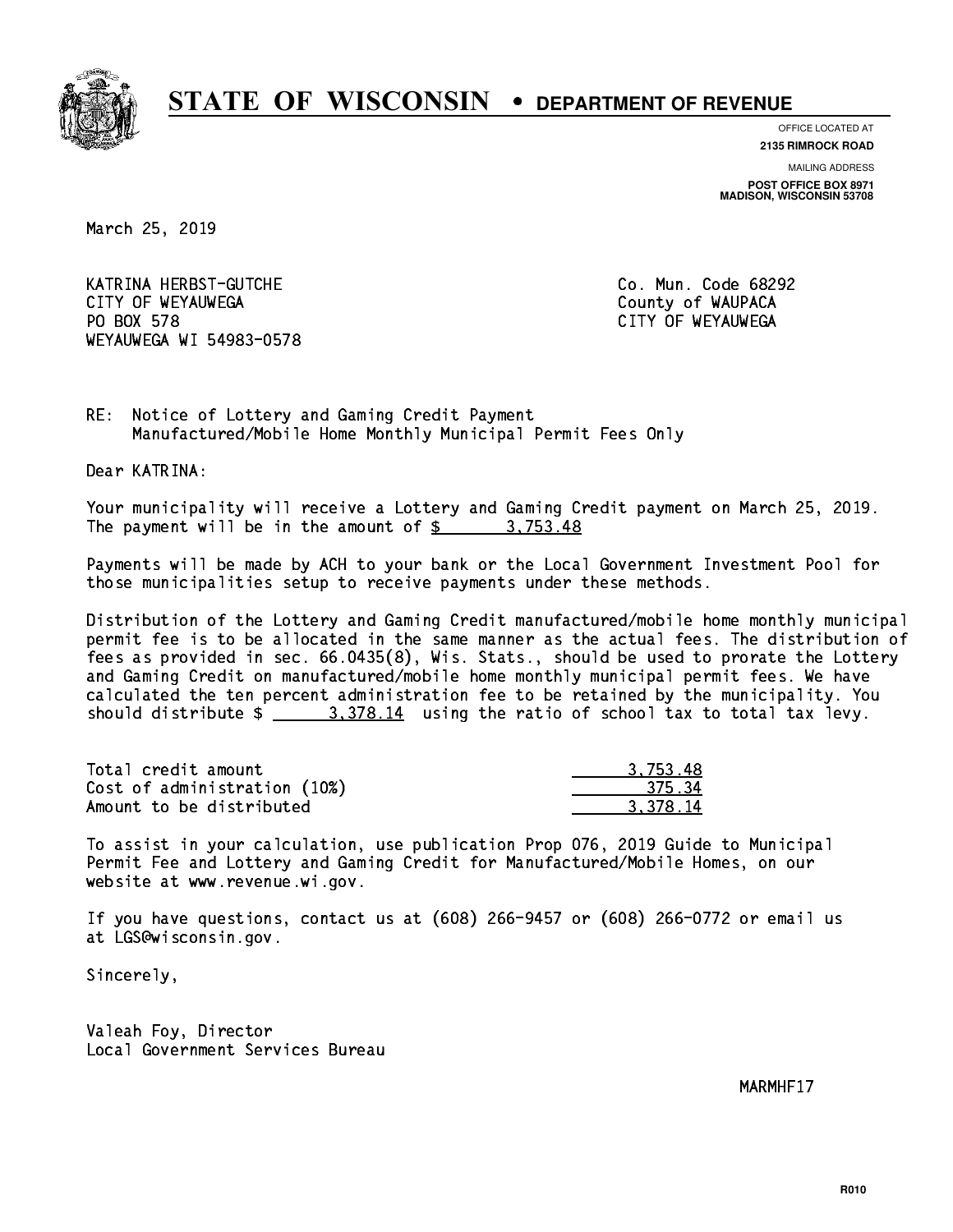

**OFFICE LOCATED AT**

**2135 RIMROCK ROAD**

**MAILING ADDRESS POST OFFICE BOX 8971 MADISON, WISCONSIN 53708**

March 25, 2019

 KATRINA HERBST-GUTCHE Co. Mun. Code 68292 CITY OF WEYAUWEGA **COULD ACCOUNT OF SEXUAL COULD A** COUNTY OF WAUPACA PO BOX 578 WEYAUWEGA WI 54983-0578

CITY OF WEYAUWEGA

RE: Notice of Lottery and Gaming Credit Payment Manufactured/Mobile Home Monthly Municipal Permit Fees Only

Dear KATRINA:

 Your municipality will receive a Lottery and Gaming Credit payment on March 25, 2019. The payment will be in the amount of  $\frac{2}{3}$  3,753.48

 Payments will be made by ACH to your bank or the Local Government Investment Pool for those municipalities setup to receive payments under these methods.

 Distribution of the Lottery and Gaming Credit manufactured/mobile home monthly municipal permit fee is to be allocated in the same manner as the actual fees. The distribution of fees as provided in sec. 66.0435(8), Wis. Stats., should be used to prorate the Lottery and Gaming Credit on manufactured/mobile home monthly municipal permit fees. We have calculated the ten percent administration fee to be retained by the municipality. You should distribute  $\frac{2}{1}$   $\frac{3}{378.14}$  using the ratio of school tax to total tax levy.

| Total credit amount          | 3.753.48 |
|------------------------------|----------|
| Cost of administration (10%) | 375.34   |
| Amount to be distributed     | 3.378.14 |

 To assist in your calculation, use publication Prop 076, 2019 Guide to Municipal Permit Fee and Lottery and Gaming Credit for Manufactured/Mobile Homes, on our website at www.revenue.wi.gov.

 If you have questions, contact us at (608) 266-9457 or (608) 266-0772 or email us at LGS@wisconsin.gov.

Sincerely,

 Valeah Foy, Director Local Government Services Bureau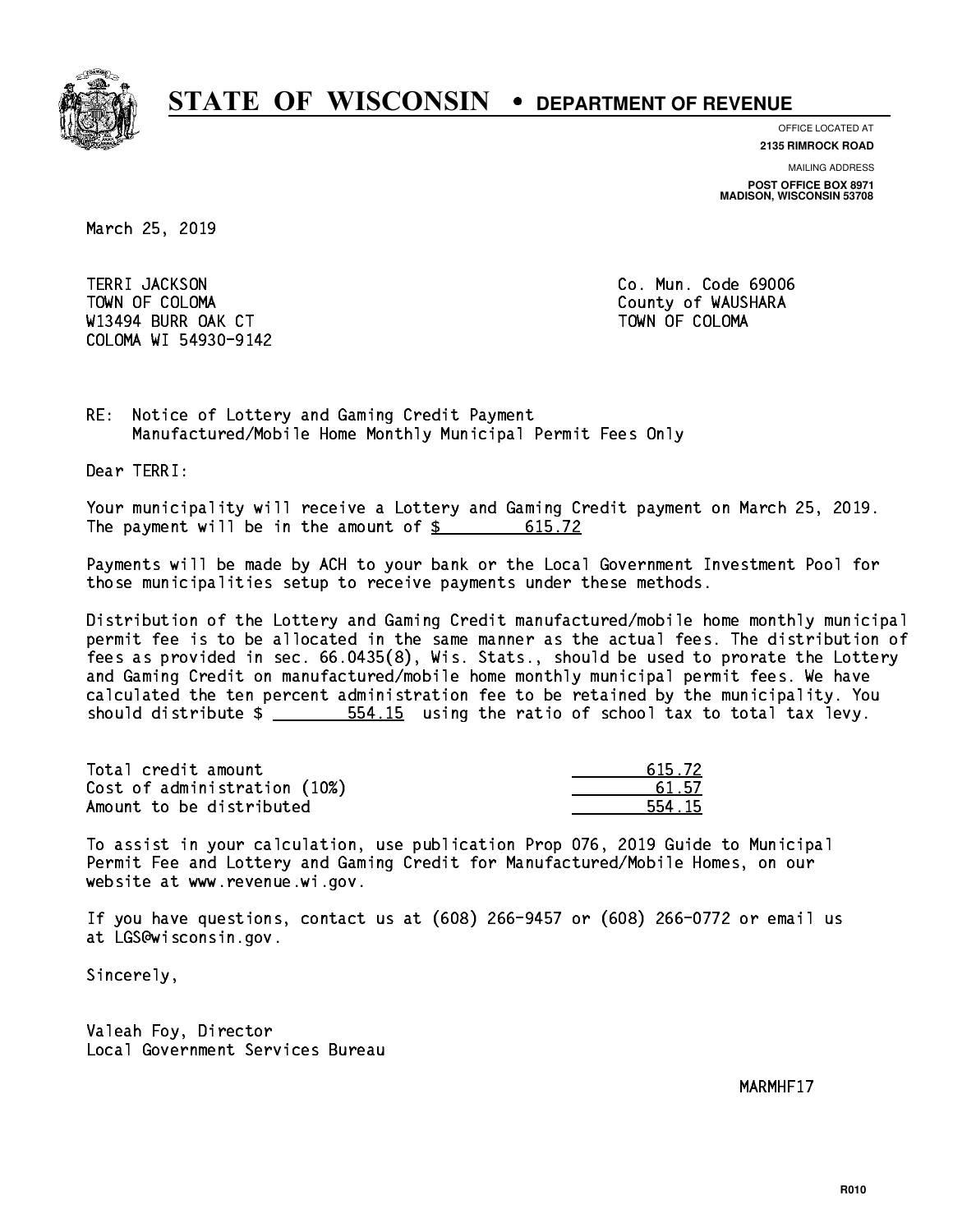

**OFFICE LOCATED AT**

**2135 RIMROCK ROAD**

**MAILING ADDRESS**

**POST OFFICE BOX 8971 MADISON, WISCONSIN 53708**

March 25, 2019

**TERRI JACKSON** TOWN OF COLOMA COUNTY OF WAUSHARA W13494 BURR OAK CT AND TOWN OF COLOMA COLOMA WI 54930-9142

Co. Mun. Code 69006

RE: Notice of Lottery and Gaming Credit Payment Manufactured/Mobile Home Monthly Municipal Permit Fees Only

Dear TERRI:

 Your municipality will receive a Lottery and Gaming Credit payment on March 25, 2019. The payment will be in the amount of \$ 615.72 \_\_\_\_\_\_\_\_\_\_\_\_\_\_\_\_

 Payments will be made by ACH to your bank or the Local Government Investment Pool for those municipalities setup to receive payments under these methods.

 Distribution of the Lottery and Gaming Credit manufactured/mobile home monthly municipal permit fee is to be allocated in the same manner as the actual fees. The distribution of fees as provided in sec. 66.0435(8), Wis. Stats., should be used to prorate the Lottery and Gaming Credit on manufactured/mobile home monthly municipal permit fees. We have calculated the ten percent administration fee to be retained by the municipality. You should distribute  $\frac{2}{10}$   $\frac{554.15}{100}$  using the ratio of school tax to total tax levy.

Total credit amount  $\qquad \qquad \qquad$  615.72 Cost of administration (10%) 61.57 \_\_\_\_\_\_\_\_\_\_\_\_\_\_ Amount to be distributed 554.15

 To assist in your calculation, use publication Prop 076, 2019 Guide to Municipal Permit Fee and Lottery and Gaming Credit for Manufactured/Mobile Homes, on our website at www.revenue.wi.gov.

 If you have questions, contact us at (608) 266-9457 or (608) 266-0772 or email us at LGS@wisconsin.gov.

Sincerely,

 Valeah Foy, Director Local Government Services Bureau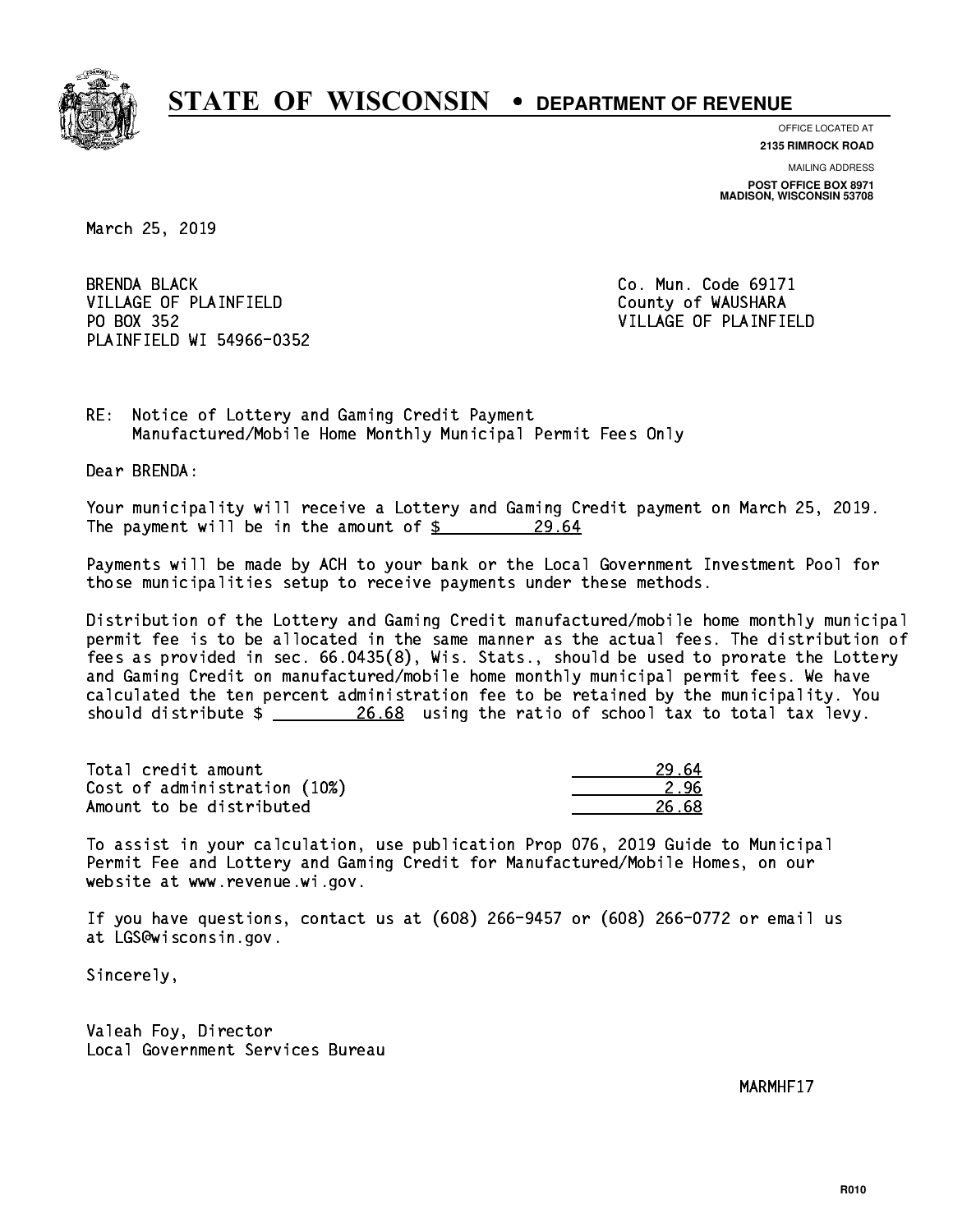

**OFFICE LOCATED AT**

**2135 RIMROCK ROAD**

**MAILING ADDRESS POST OFFICE BOX 8971 MADISON, WISCONSIN 53708**

March 25, 2019

**BRENDA BLACK** VILLAGE OF PLAINFIELD County of WAUSHARA PO BOX 352 PLAINFIELD WI 54966-0352

Co. Mun. Code 69171 VILLAGE OF PLAINFIELD

RE: Notice of Lottery and Gaming Credit Payment Manufactured/Mobile Home Monthly Municipal Permit Fees Only

Dear BRENDA:

 Your municipality will receive a Lottery and Gaming Credit payment on March 25, 2019. The payment will be in the amount of  $\frac{29.64}{5}$ 

 Payments will be made by ACH to your bank or the Local Government Investment Pool for those municipalities setup to receive payments under these methods.

 Distribution of the Lottery and Gaming Credit manufactured/mobile home monthly municipal permit fee is to be allocated in the same manner as the actual fees. The distribution of fees as provided in sec. 66.0435(8), Wis. Stats., should be used to prorate the Lottery and Gaming Credit on manufactured/mobile home monthly municipal permit fees. We have calculated the ten percent administration fee to be retained by the municipality. You should distribute  $\frac{26.68}{20.68}$  using the ratio of school tax to total tax levy.

Total credit amount 29.64 Cost of administration (10%) 2.96 Amount to be distributed 26.68

 To assist in your calculation, use publication Prop 076, 2019 Guide to Municipal Permit Fee and Lottery and Gaming Credit for Manufactured/Mobile Homes, on our website at www.revenue.wi.gov.

 If you have questions, contact us at (608) 266-9457 or (608) 266-0772 or email us at LGS@wisconsin.gov.

Sincerely,

 Valeah Foy, Director Local Government Services Bureau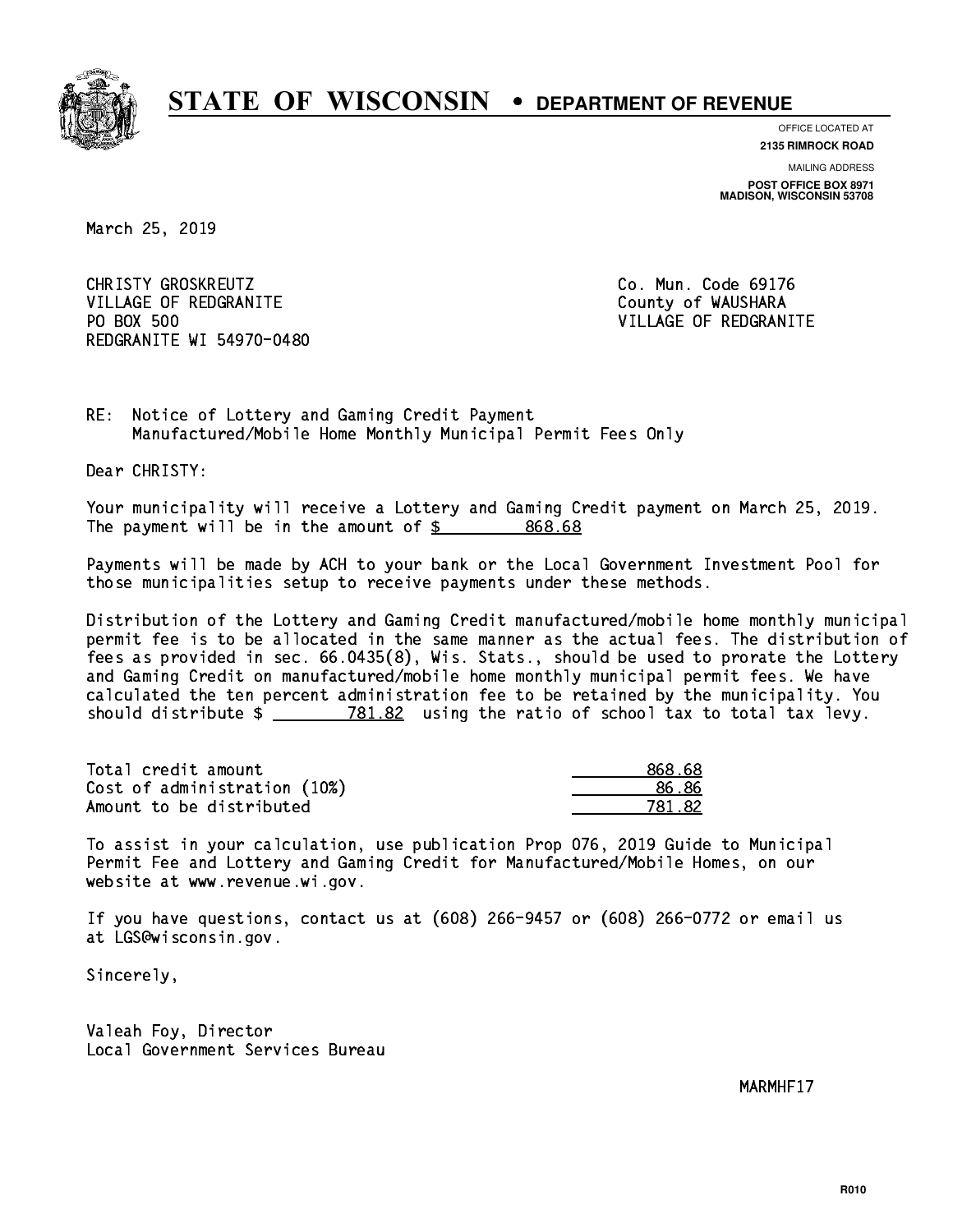

**OFFICE LOCATED AT**

**2135 RIMROCK ROAD**

**MAILING ADDRESS POST OFFICE BOX 8971 MADISON, WISCONSIN 53708**

March 25, 2019

CHRISTY GROSKREUTZ **CHRISTY GROSKREUTZ Co. Mun. Code 69176** VILLAGE OF REDGRANITE COUNTY OF WAUSHARA PO BOX 500 REDGRANITE WI 54970-0480

VILLAGE OF REDGRANITE

RE: Notice of Lottery and Gaming Credit Payment Manufactured/Mobile Home Monthly Municipal Permit Fees Only

Dear CHRISTY:

 Your municipality will receive a Lottery and Gaming Credit payment on March 25, 2019. The payment will be in the amount of  $$ 868.68$ 

 Payments will be made by ACH to your bank or the Local Government Investment Pool for those municipalities setup to receive payments under these methods.

 Distribution of the Lottery and Gaming Credit manufactured/mobile home monthly municipal permit fee is to be allocated in the same manner as the actual fees. The distribution of fees as provided in sec. 66.0435(8), Wis. Stats., should be used to prorate the Lottery and Gaming Credit on manufactured/mobile home monthly municipal permit fees. We have calculated the ten percent administration fee to be retained by the municipality. You should distribute  $\frac{2}{2}$   $\frac{781.82}{2}$  using the ratio of school tax to total tax levy.

Total credit amount Cost of administration (10%) Amount to be distributed

| 868.68 |
|--------|
| 6.86   |
| 781.82 |

 To assist in your calculation, use publication Prop 076, 2019 Guide to Municipal Permit Fee and Lottery and Gaming Credit for Manufactured/Mobile Homes, on our website at www.revenue.wi.gov.

 If you have questions, contact us at (608) 266-9457 or (608) 266-0772 or email us at LGS@wisconsin.gov.

Sincerely,

 Valeah Foy, Director Local Government Services Bureau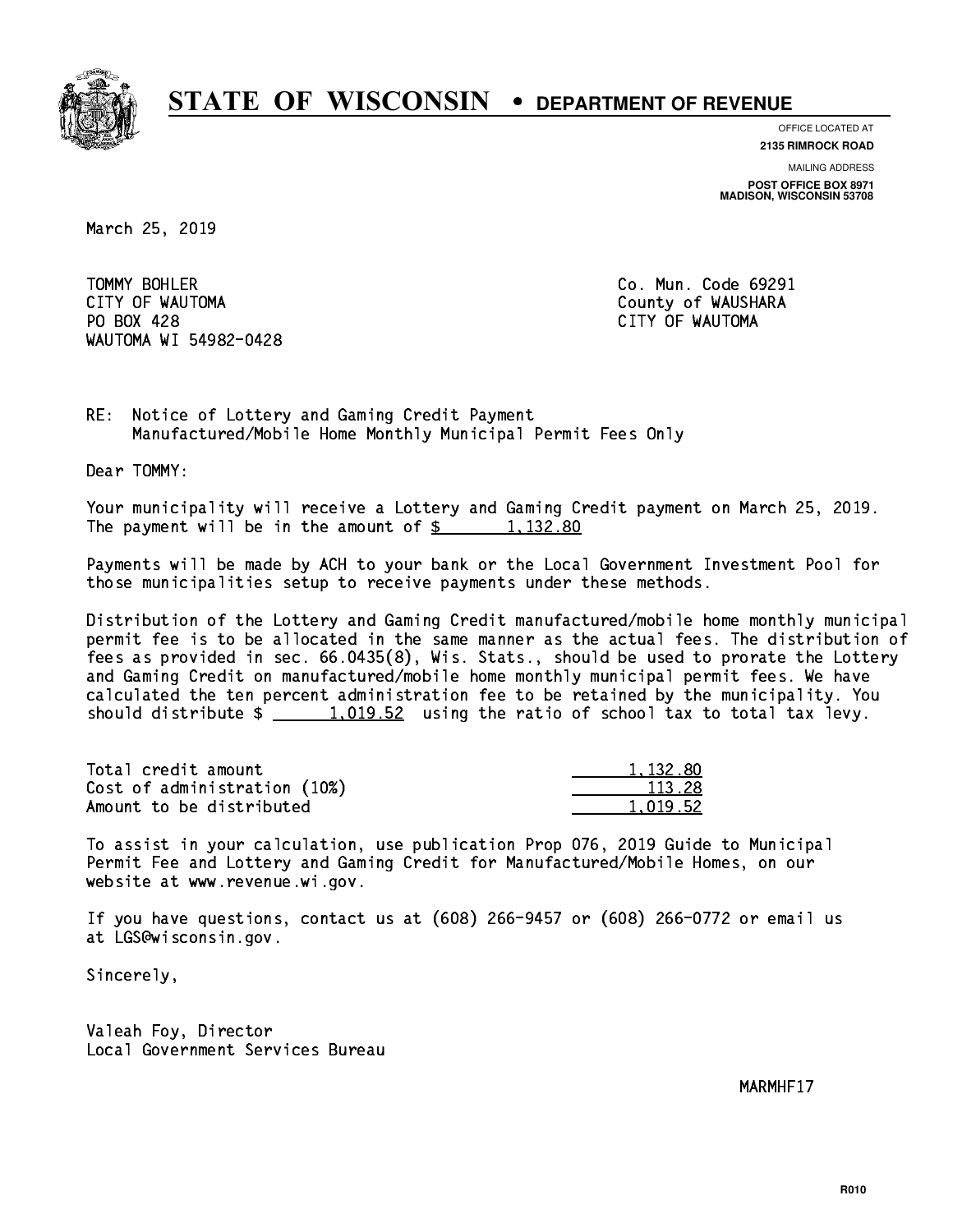

**OFFICE LOCATED AT**

**2135 RIMROCK ROAD**

**MAILING ADDRESS**

**POST OFFICE BOX 8971 MADISON, WISCONSIN 53708**

March 25, 2019

TOMMY BOHLER CITY OF WAUTOMA County of WAUSHARA PO BOX 428 CITY OF WAUTOMA WAUTOMA WI 54982-0428

Co. Mun. Code 69291

RE: Notice of Lottery and Gaming Credit Payment Manufactured/Mobile Home Monthly Municipal Permit Fees Only

Dear TOMMY:

 Your municipality will receive a Lottery and Gaming Credit payment on March 25, 2019. The payment will be in the amount of  $\frac{2}{3}$  1,132.80

 Payments will be made by ACH to your bank or the Local Government Investment Pool for those municipalities setup to receive payments under these methods.

 Distribution of the Lottery and Gaming Credit manufactured/mobile home monthly municipal permit fee is to be allocated in the same manner as the actual fees. The distribution of fees as provided in sec. 66.0435(8), Wis. Stats., should be used to prorate the Lottery and Gaming Credit on manufactured/mobile home monthly municipal permit fees. We have calculated the ten percent administration fee to be retained by the municipality. You should distribute  $\frac{1}{2}$   $\frac{1}{2}$   $\frac{1}{2}$  using the ratio of school tax to total tax levy.

| Total credit amount          | 1,132.80 |
|------------------------------|----------|
| Cost of administration (10%) | 113.28   |
| Amount to be distributed     | 1.019.52 |

 To assist in your calculation, use publication Prop 076, 2019 Guide to Municipal Permit Fee and Lottery and Gaming Credit for Manufactured/Mobile Homes, on our website at www.revenue.wi.gov.

 If you have questions, contact us at (608) 266-9457 or (608) 266-0772 or email us at LGS@wisconsin.gov.

Sincerely,

 Valeah Foy, Director Local Government Services Bureau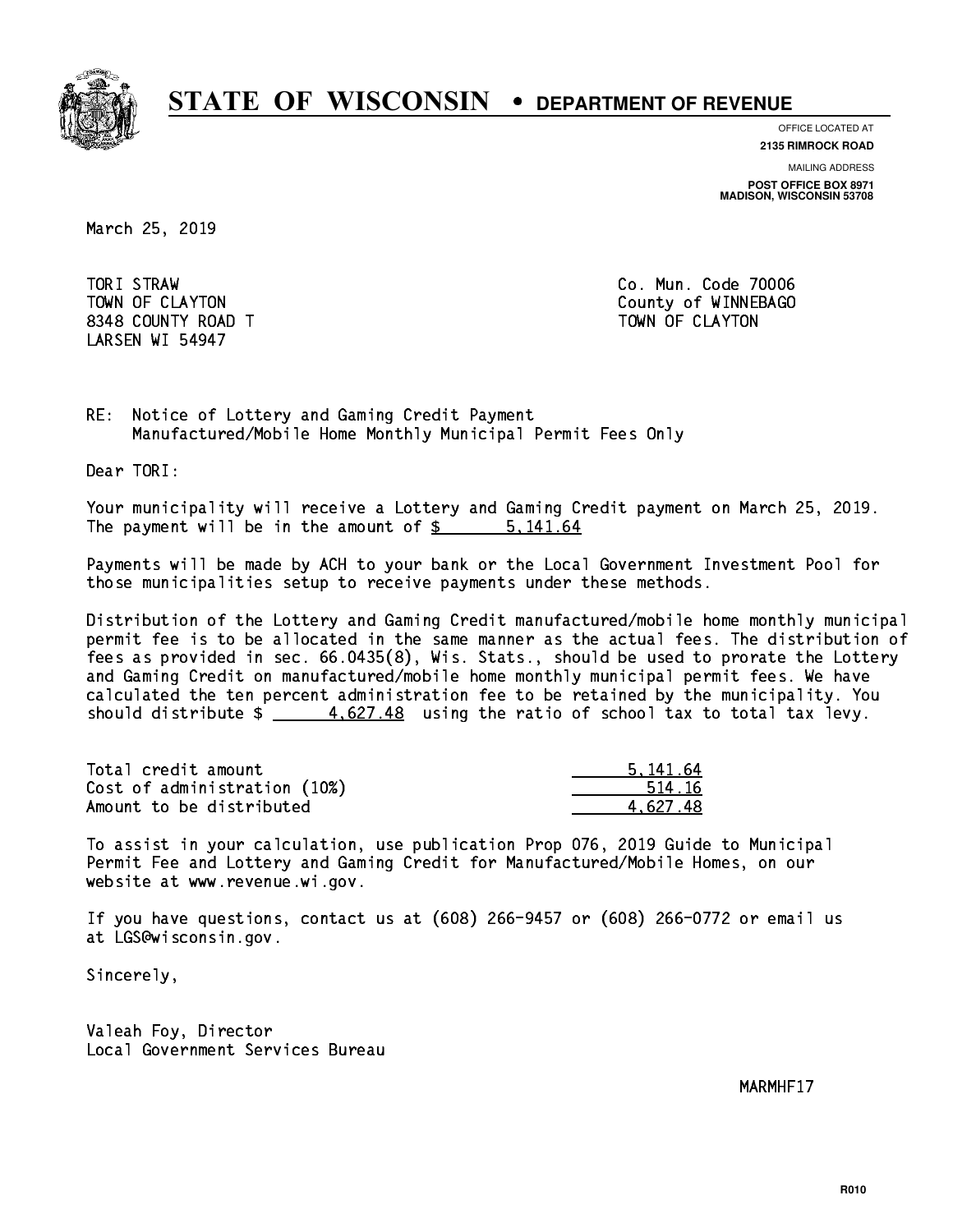

**OFFICE LOCATED AT**

**2135 RIMROCK ROAD**

**MAILING ADDRESS POST OFFICE BOX 8971 MADISON, WISCONSIN 53708**

March 25, 2019

TORI STRAW 8348 COUNTY ROAD TWO COUNTY AND TOWN OF CLAYTON LARSEN WI 54947

Co. Mun. Code 70006 TOWN OF CLAYTON COUNTY OF WINNEBAGO

RE: Notice of Lottery and Gaming Credit Payment Manufactured/Mobile Home Monthly Municipal Permit Fees Only

Dear TORI:

 Your municipality will receive a Lottery and Gaming Credit payment on March 25, 2019. The payment will be in the amount of \$ 5,141.64 \_\_\_\_\_\_\_\_\_\_\_\_\_\_\_\_

 Payments will be made by ACH to your bank or the Local Government Investment Pool for those municipalities setup to receive payments under these methods.

 Distribution of the Lottery and Gaming Credit manufactured/mobile home monthly municipal permit fee is to be allocated in the same manner as the actual fees. The distribution of fees as provided in sec. 66.0435(8), Wis. Stats., should be used to prorate the Lottery and Gaming Credit on manufactured/mobile home monthly municipal permit fees. We have calculated the ten percent administration fee to be retained by the municipality. You should distribute  $\frac{2}{1} - \frac{4.627.48}{1.627.48}$  using the ratio of school tax to total tax levy.

| Total credit amount          | 5.141.64 |
|------------------------------|----------|
| Cost of administration (10%) | 514.16   |
| Amount to be distributed     | 4.627.48 |

 To assist in your calculation, use publication Prop 076, 2019 Guide to Municipal Permit Fee and Lottery and Gaming Credit for Manufactured/Mobile Homes, on our website at www.revenue.wi.gov.

 If you have questions, contact us at (608) 266-9457 or (608) 266-0772 or email us at LGS@wisconsin.gov.

Sincerely,

 Valeah Foy, Director Local Government Services Bureau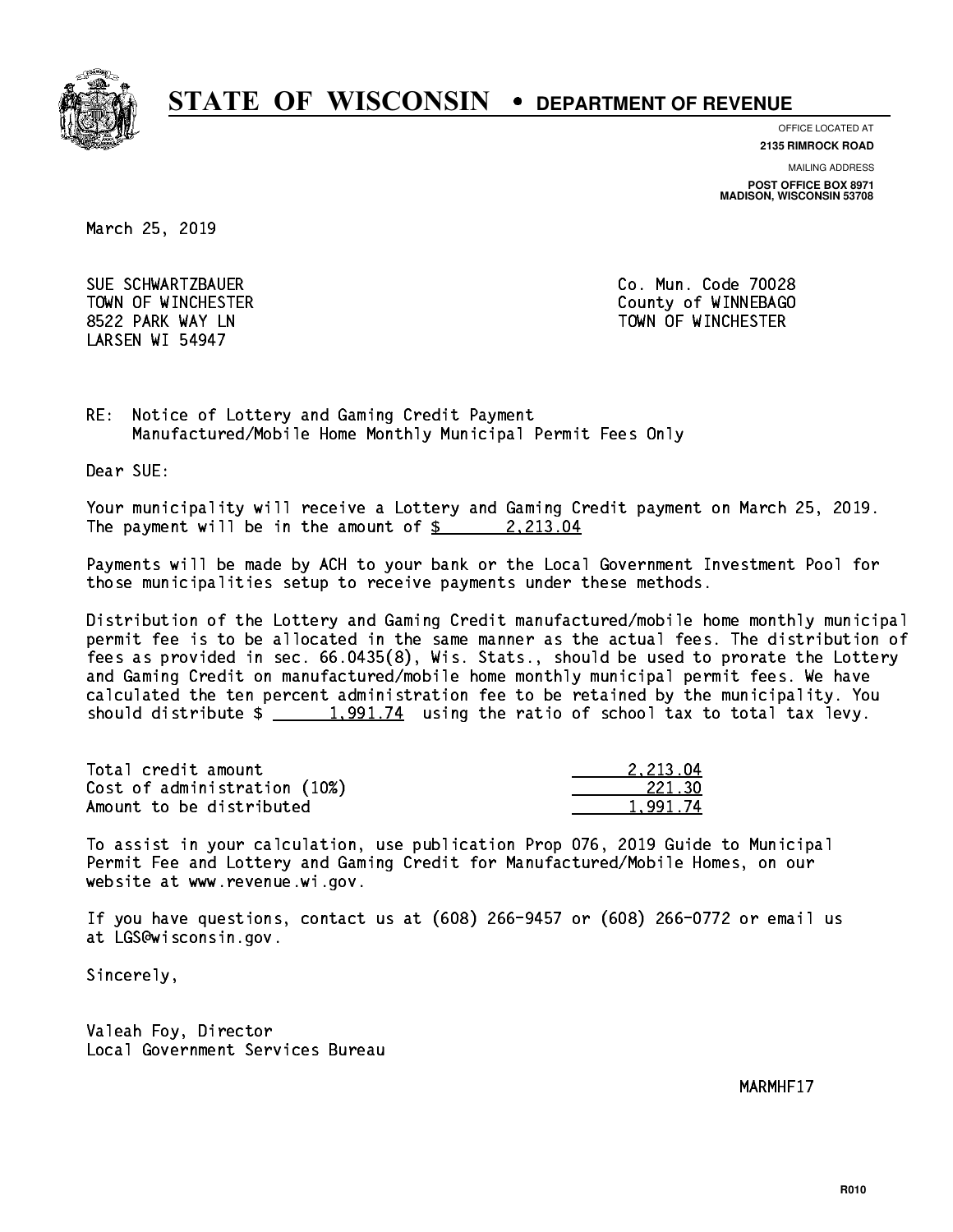

**OFFICE LOCATED AT**

**2135 RIMROCK ROAD**

**MAILING ADDRESS**

**POST OFFICE BOX 8971 MADISON, WISCONSIN 53708**

March 25, 2019

 SUE SCHWARTZBAUER Co. Mun. Code 70028 LARSEN WI 54947

 TOWN OF WINCHESTER County of WINNEBAGO 8522 PARK WAY LN TOWN OF WINCHESTER

RE: Notice of Lottery and Gaming Credit Payment Manufactured/Mobile Home Monthly Municipal Permit Fees Only

Dear SUE:

 Your municipality will receive a Lottery and Gaming Credit payment on March 25, 2019. The payment will be in the amount of  $\frac{2}{2}$  2,213.04

 Payments will be made by ACH to your bank or the Local Government Investment Pool for those municipalities setup to receive payments under these methods.

 Distribution of the Lottery and Gaming Credit manufactured/mobile home monthly municipal permit fee is to be allocated in the same manner as the actual fees. The distribution of fees as provided in sec. 66.0435(8), Wis. Stats., should be used to prorate the Lottery and Gaming Credit on manufactured/mobile home monthly municipal permit fees. We have calculated the ten percent administration fee to be retained by the municipality. You should distribute  $\frac{1,991.74}{1,991.74}$  using the ratio of school tax to total tax levy.

| Total credit amount          | 2.213.04 |
|------------------------------|----------|
| Cost of administration (10%) | 221.30   |
| Amount to be distributed     | 1.991.74 |

 To assist in your calculation, use publication Prop 076, 2019 Guide to Municipal Permit Fee and Lottery and Gaming Credit for Manufactured/Mobile Homes, on our website at www.revenue.wi.gov.

 If you have questions, contact us at (608) 266-9457 or (608) 266-0772 or email us at LGS@wisconsin.gov.

Sincerely,

 Valeah Foy, Director Local Government Services Bureau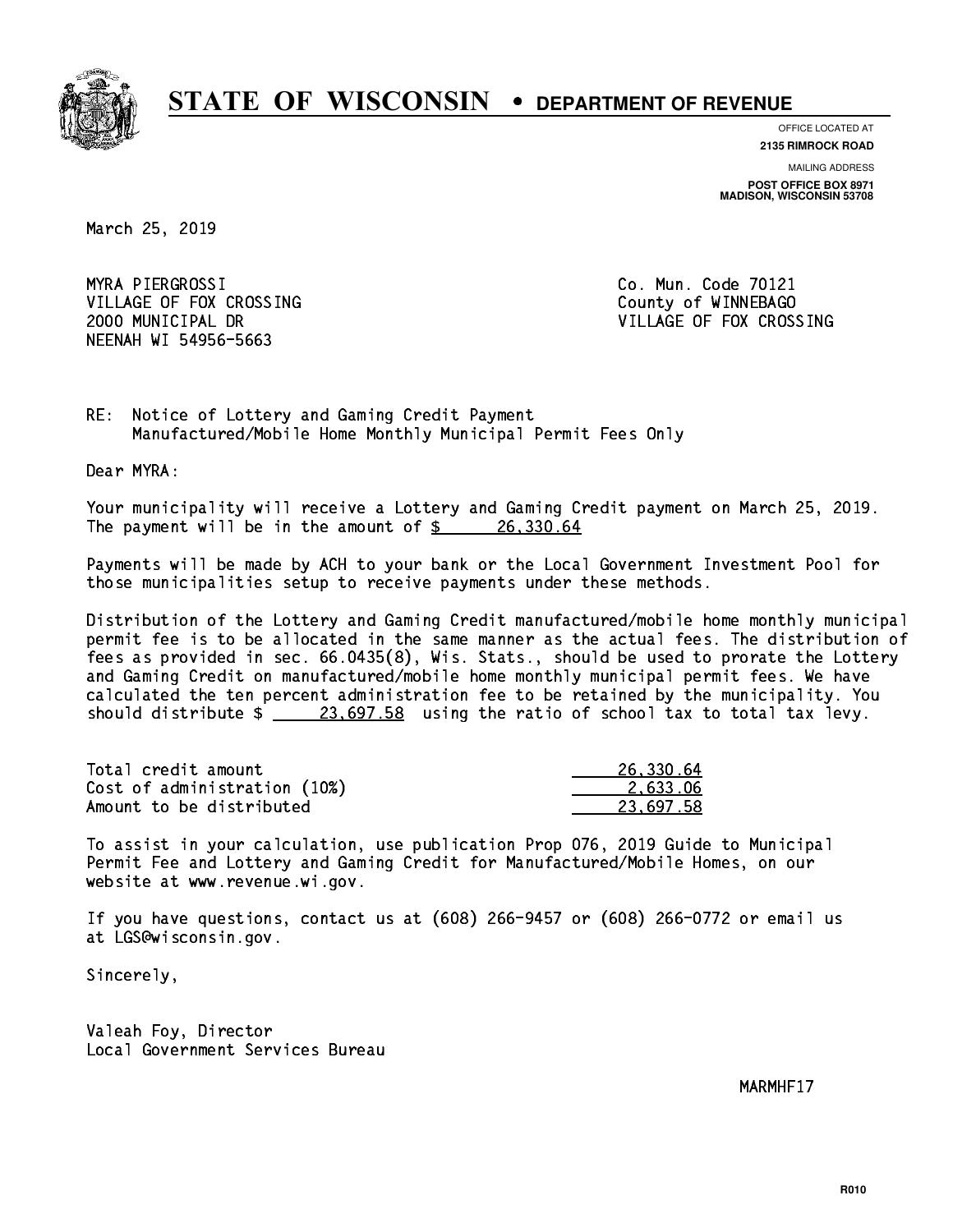

**OFFICE LOCATED AT**

**2135 RIMROCK ROAD**

**MAILING ADDRESS POST OFFICE BOX 8971 MADISON, WISCONSIN 53708**

March 25, 2019

 MYRA PIERGROSSI Co. Mun. Code 70121 VILLAGE OF FOX CROSSING COUNTY OF WINNEBAGO NEENAH WI 54956-5663

2000 MUNICIPAL DR VILLAGE OF FOX CROSSING

RE: Notice of Lottery and Gaming Credit Payment Manufactured/Mobile Home Monthly Municipal Permit Fees Only

Dear MYRA:

 Your municipality will receive a Lottery and Gaming Credit payment on March 25, 2019. The payment will be in the amount of  $\frac{26,330.64}{20}$ 

 Payments will be made by ACH to your bank or the Local Government Investment Pool for those municipalities setup to receive payments under these methods.

 Distribution of the Lottery and Gaming Credit manufactured/mobile home monthly municipal permit fee is to be allocated in the same manner as the actual fees. The distribution of fees as provided in sec. 66.0435(8), Wis. Stats., should be used to prorate the Lottery and Gaming Credit on manufactured/mobile home monthly municipal permit fees. We have calculated the ten percent administration fee to be retained by the municipality. You should distribute  $\frac{236697.58}{23697.58}$  using the ratio of school tax to total tax levy.

| Total credit amount          | 26,330.64 |
|------------------------------|-----------|
| Cost of administration (10%) | 2.633.06  |
| Amount to be distributed     | 23.697.58 |

 To assist in your calculation, use publication Prop 076, 2019 Guide to Municipal Permit Fee and Lottery and Gaming Credit for Manufactured/Mobile Homes, on our website at www.revenue.wi.gov.

 If you have questions, contact us at (608) 266-9457 or (608) 266-0772 or email us at LGS@wisconsin.gov.

Sincerely,

 Valeah Foy, Director Local Government Services Bureau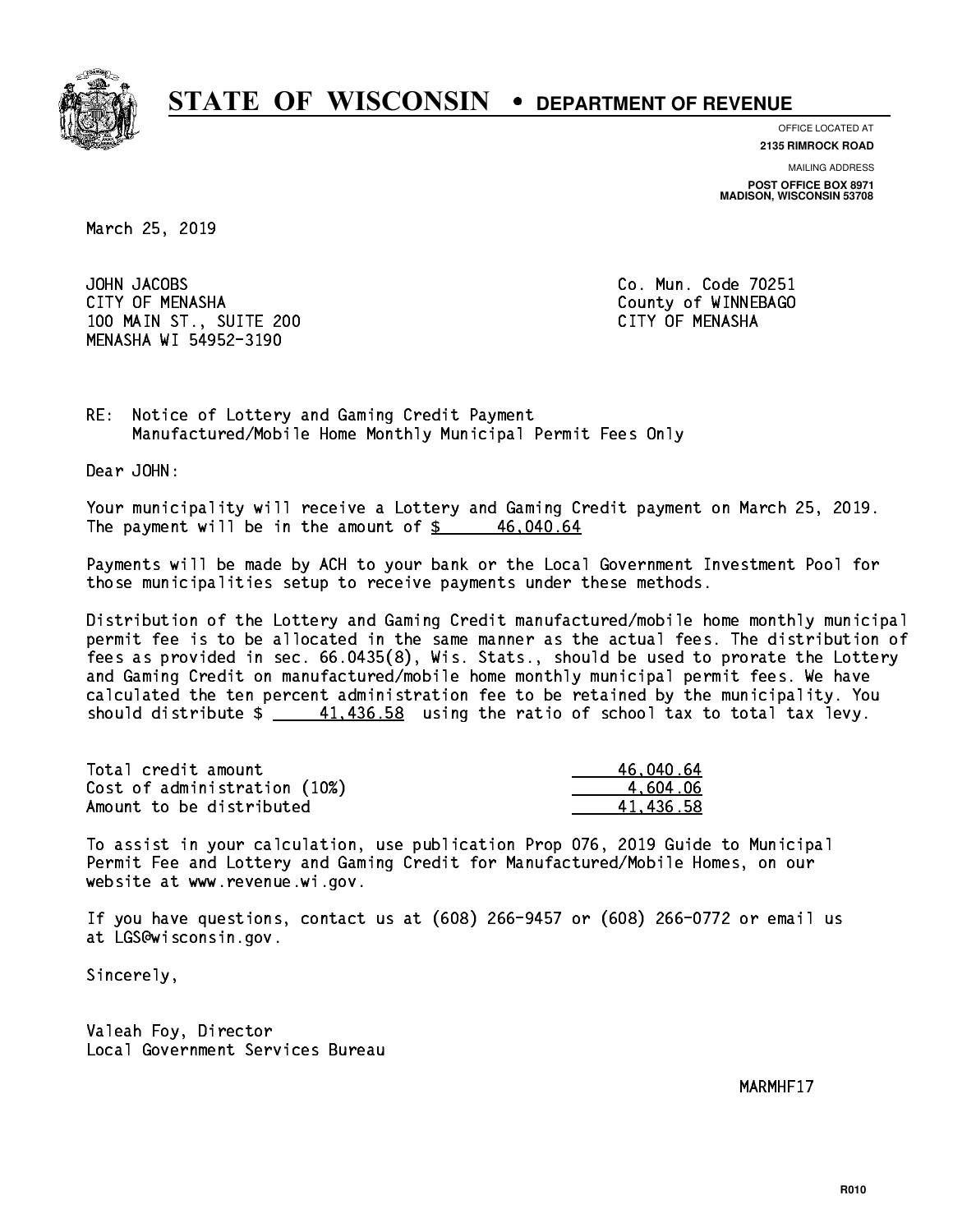

**OFFICE LOCATED AT**

**2135 RIMROCK ROAD**

**MAILING ADDRESS**

**POST OFFICE BOX 8971 MADISON, WISCONSIN 53708**

March 25, 2019

JOHN JACOBS CITY OF MENASHA COUNTY OF MENASHA 100 MAIN ST., SUITE 200 CITY OF MENASHA MENASHA WI 54952-3190

Co. Mun. Code 70251

RE: Notice of Lottery and Gaming Credit Payment Manufactured/Mobile Home Monthly Municipal Permit Fees Only

Dear JOHN:

 Your municipality will receive a Lottery and Gaming Credit payment on March 25, 2019. The payment will be in the amount of  $\frac{2}{3}$  46,040.64

 Payments will be made by ACH to your bank or the Local Government Investment Pool for those municipalities setup to receive payments under these methods.

 Distribution of the Lottery and Gaming Credit manufactured/mobile home monthly municipal permit fee is to be allocated in the same manner as the actual fees. The distribution of fees as provided in sec. 66.0435(8), Wis. Stats., should be used to prorate the Lottery and Gaming Credit on manufactured/mobile home monthly municipal permit fees. We have calculated the ten percent administration fee to be retained by the municipality. You should distribute  $\frac{41,436.58}{2}$  using the ratio of school tax to total tax levy.

| Total credit amount          | 46.040.64 |
|------------------------------|-----------|
| Cost of administration (10%) | 4.604.06  |
| Amount to be distributed     | 41.436.58 |

 To assist in your calculation, use publication Prop 076, 2019 Guide to Municipal Permit Fee and Lottery and Gaming Credit for Manufactured/Mobile Homes, on our website at www.revenue.wi.gov.

 If you have questions, contact us at (608) 266-9457 or (608) 266-0772 or email us at LGS@wisconsin.gov.

Sincerely,

 Valeah Foy, Director Local Government Services Bureau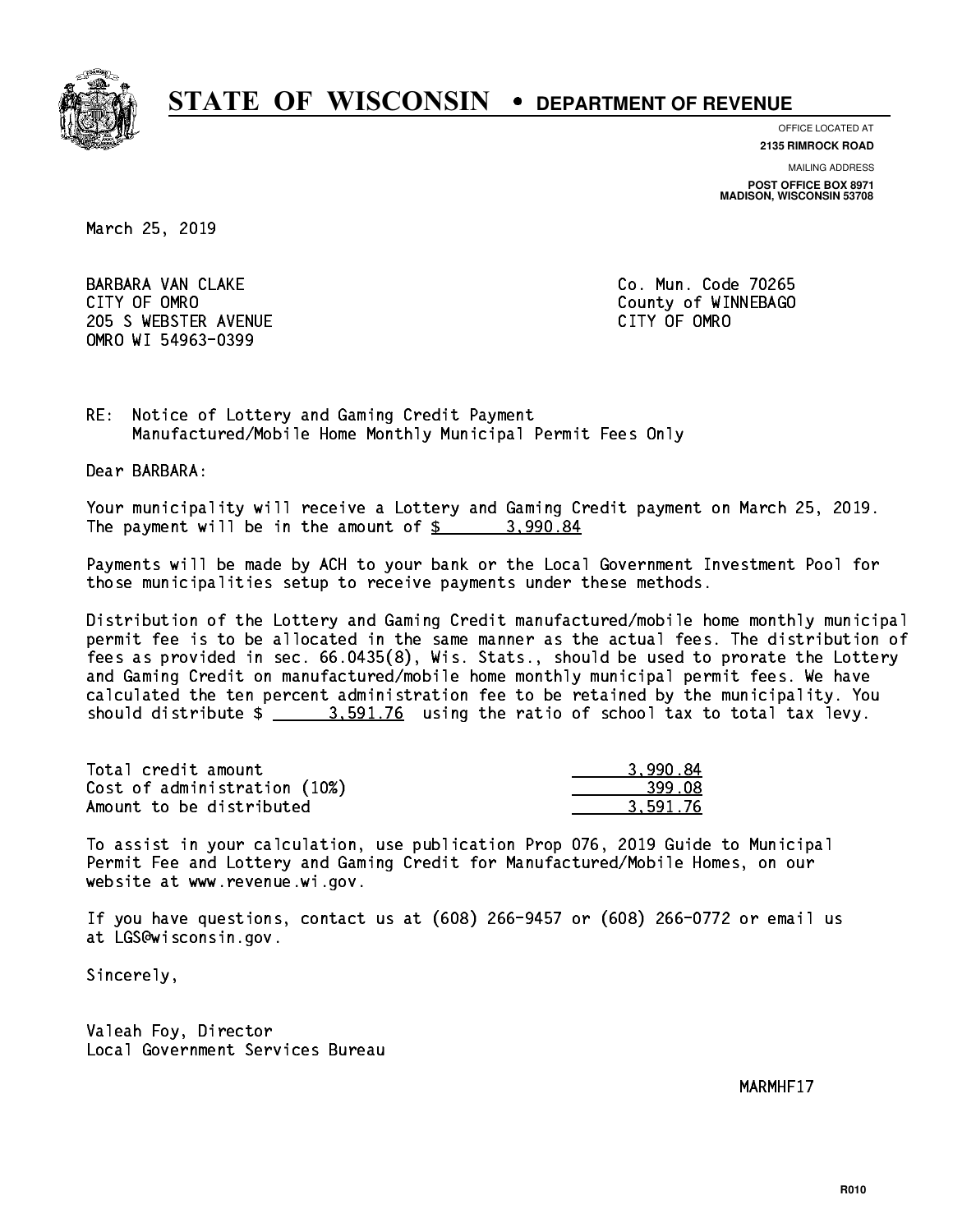

**OFFICE LOCATED AT**

**2135 RIMROCK ROAD**

**MAILING ADDRESS**

**POST OFFICE BOX 8971 MADISON, WISCONSIN 53708**

March 25, 2019

 BARBARA VAN CLAKE Co. Mun. Code 70265 CITY OF OMRO **COUNTY COUNTY OF OMRO** 205 SWEBSTER AVENUE **CITY OF OMRO** OMRO WI 54963-0399

RE: Notice of Lottery and Gaming Credit Payment Manufactured/Mobile Home Monthly Municipal Permit Fees Only

Dear BARBARA:

 Your municipality will receive a Lottery and Gaming Credit payment on March 25, 2019. The payment will be in the amount of  $\frac{2}{3}$  3,990.84

 Payments will be made by ACH to your bank or the Local Government Investment Pool for those municipalities setup to receive payments under these methods.

 Distribution of the Lottery and Gaming Credit manufactured/mobile home monthly municipal permit fee is to be allocated in the same manner as the actual fees. The distribution of fees as provided in sec. 66.0435(8), Wis. Stats., should be used to prorate the Lottery and Gaming Credit on manufactured/mobile home monthly municipal permit fees. We have calculated the ten percent administration fee to be retained by the municipality. You should distribute  $\frac{2}{2}$   $\frac{3.591.76}{2}$  using the ratio of school tax to total tax levy.

| Total credit amount          | 3.990.84 |
|------------------------------|----------|
| Cost of administration (10%) | 399.08   |
| Amount to be distributed     | 3.591.76 |

 To assist in your calculation, use publication Prop 076, 2019 Guide to Municipal Permit Fee and Lottery and Gaming Credit for Manufactured/Mobile Homes, on our website at www.revenue.wi.gov.

 If you have questions, contact us at (608) 266-9457 or (608) 266-0772 or email us at LGS@wisconsin.gov.

Sincerely,

 Valeah Foy, Director Local Government Services Bureau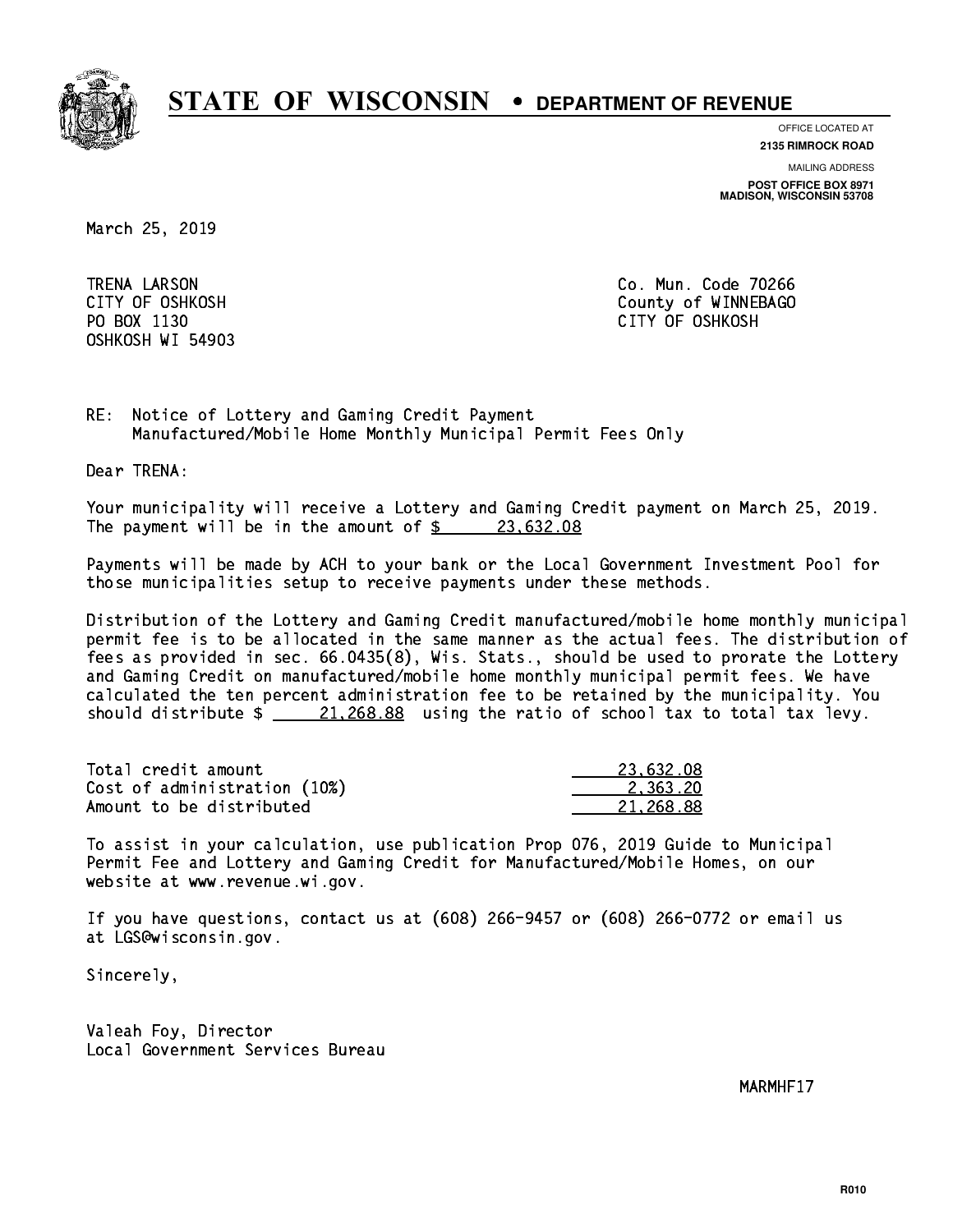

**OFFICE LOCATED AT**

**2135 RIMROCK ROAD**

**MAILING ADDRESS**

**POST OFFICE BOX 8971 MADISON, WISCONSIN 53708**

March 25, 2019

 TRENA LARSON Co. Mun. Code 70266 OSHKOSH WI 54903

 CITY OF OSHKOSH County of WINNEBAGO PO BOX 1130 CITY OF OSHKOSH

RE: Notice of Lottery and Gaming Credit Payment Manufactured/Mobile Home Monthly Municipal Permit Fees Only

Dear TRENA:

 Your municipality will receive a Lottery and Gaming Credit payment on March 25, 2019. The payment will be in the amount of \$ 23,632.08 \_\_\_\_\_\_\_\_\_\_\_\_\_\_\_\_

 Payments will be made by ACH to your bank or the Local Government Investment Pool for those municipalities setup to receive payments under these methods.

 Distribution of the Lottery and Gaming Credit manufactured/mobile home monthly municipal permit fee is to be allocated in the same manner as the actual fees. The distribution of fees as provided in sec. 66.0435(8), Wis. Stats., should be used to prorate the Lottery and Gaming Credit on manufactured/mobile home monthly municipal permit fees. We have calculated the ten percent administration fee to be retained by the municipality. You should distribute  $\frac{21,268.88}{21,268.88}$  using the ratio of school tax to total tax levy.

| Total credit amount          | 23.632.08 |
|------------------------------|-----------|
| Cost of administration (10%) | 2.363.20  |
| Amount to be distributed     | 21.268.88 |

 To assist in your calculation, use publication Prop 076, 2019 Guide to Municipal Permit Fee and Lottery and Gaming Credit for Manufactured/Mobile Homes, on our website at www.revenue.wi.gov.

 If you have questions, contact us at (608) 266-9457 or (608) 266-0772 or email us at LGS@wisconsin.gov.

Sincerely,

 Valeah Foy, Director Local Government Services Bureau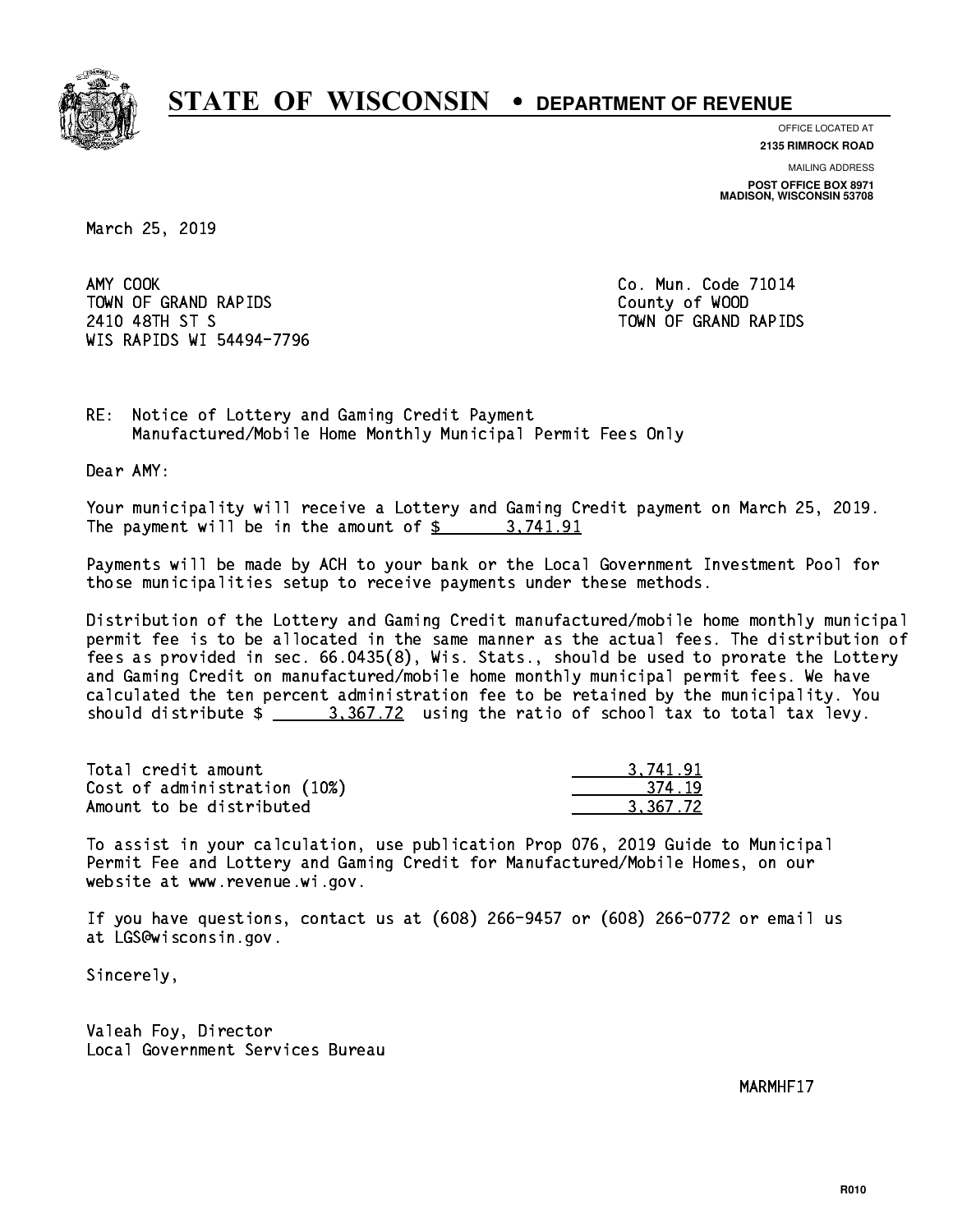

**OFFICE LOCATED AT**

**2135 RIMROCK ROAD**

**MAILING ADDRESS POST OFFICE BOX 8971 MADISON, WISCONSIN 53708**

March 25, 2019

AMY COOK TOWN OF GRAND RAPIDS County of WOOD 2410 48TH ST S TOWN OF GRAND RAPIDS WIS RAPIDS WI 54494-7796

Co. Mun. Code 71014

RE: Notice of Lottery and Gaming Credit Payment Manufactured/Mobile Home Monthly Municipal Permit Fees Only

Dear AMY:

 Your municipality will receive a Lottery and Gaming Credit payment on March 25, 2019. The payment will be in the amount of \$ 3,741.91 \_\_\_\_\_\_\_\_\_\_\_\_\_\_\_\_

 Payments will be made by ACH to your bank or the Local Government Investment Pool for those municipalities setup to receive payments under these methods.

 Distribution of the Lottery and Gaming Credit manufactured/mobile home monthly municipal permit fee is to be allocated in the same manner as the actual fees. The distribution of fees as provided in sec. 66.0435(8), Wis. Stats., should be used to prorate the Lottery and Gaming Credit on manufactured/mobile home monthly municipal permit fees. We have calculated the ten percent administration fee to be retained by the municipality. You should distribute  $\frac{2}{2}$   $\frac{3}{2}$   $\frac{367.72}{2}$  using the ratio of school tax to total tax levy.

| Total credit amount          | 3.741.91 |
|------------------------------|----------|
| Cost of administration (10%) | 374.19   |
| Amount to be distributed     | 3.367.72 |

 To assist in your calculation, use publication Prop 076, 2019 Guide to Municipal Permit Fee and Lottery and Gaming Credit for Manufactured/Mobile Homes, on our website at www.revenue.wi.gov.

 If you have questions, contact us at (608) 266-9457 or (608) 266-0772 or email us at LGS@wisconsin.gov.

Sincerely,

 Valeah Foy, Director Local Government Services Bureau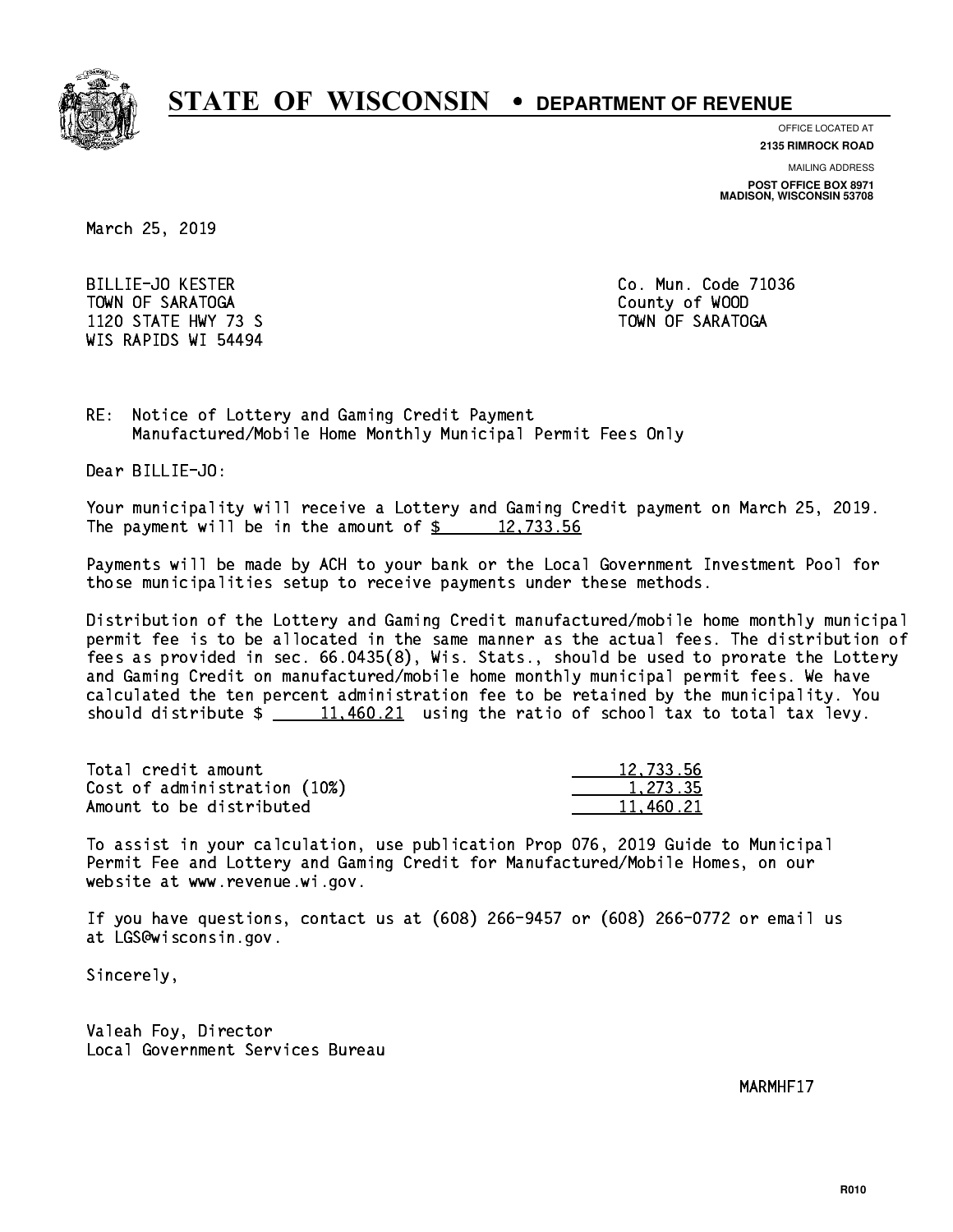

**OFFICE LOCATED AT 2135 RIMROCK ROAD**

**MAILING ADDRESS**

**POST OFFICE BOX 8971 MADISON, WISCONSIN 53708**

March 25, 2019

 BILLIE-JO KESTER Co. Mun. Code 71036 TOWN OF SARATOGA County of WOOD 1120 STATE HWY 73 S TOWN OF SARATOGA WIS RAPIDS WI 54494

RE: Notice of Lottery and Gaming Credit Payment Manufactured/Mobile Home Monthly Municipal Permit Fees Only

Dear BILLIE-JO:

 Your municipality will receive a Lottery and Gaming Credit payment on March 25, 2019. The payment will be in the amount of  $\frac{2}{3}$  12,733.56

 Payments will be made by ACH to your bank or the Local Government Investment Pool for those municipalities setup to receive payments under these methods.

 Distribution of the Lottery and Gaming Credit manufactured/mobile home monthly municipal permit fee is to be allocated in the same manner as the actual fees. The distribution of fees as provided in sec. 66.0435(8), Wis. Stats., should be used to prorate the Lottery and Gaming Credit on manufactured/mobile home monthly municipal permit fees. We have calculated the ten percent administration fee to be retained by the municipality. You should distribute  $\frac{11,460.21}{2}$  using the ratio of school tax to total tax levy.

| Total credit amount          | 12,733.56 |
|------------------------------|-----------|
| Cost of administration (10%) | 1.273.35  |
| Amount to be distributed     | 11,460.21 |

 To assist in your calculation, use publication Prop 076, 2019 Guide to Municipal Permit Fee and Lottery and Gaming Credit for Manufactured/Mobile Homes, on our website at www.revenue.wi.gov.

 If you have questions, contact us at (608) 266-9457 or (608) 266-0772 or email us at LGS@wisconsin.gov.

Sincerely,

 Valeah Foy, Director Local Government Services Bureau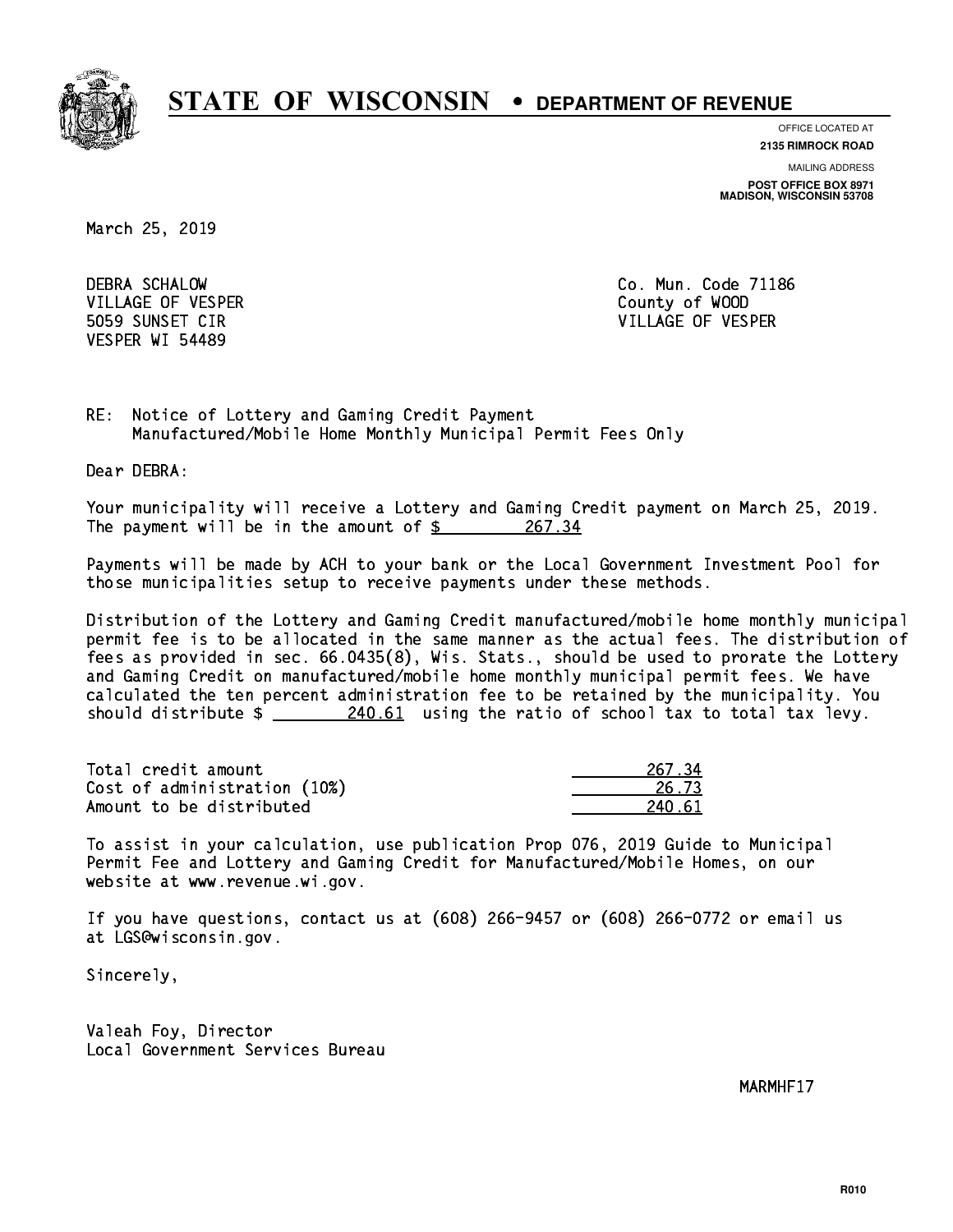

**OFFICE LOCATED AT 2135 RIMROCK ROAD**

**MAILING ADDRESS**

**POST OFFICE BOX 8971 MADISON, WISCONSIN 53708**

March 25, 2019

 DEBRA SCHALOW Co. Mun. Code 71186 VILLAGE OF VESPER COUNTY OF WOOD VESPER WI 54489

5059 SUNSET CIR VILLAGE OF VESPER

RE: Notice of Lottery and Gaming Credit Payment Manufactured/Mobile Home Monthly Municipal Permit Fees Only

Dear DEBRA:

 Your municipality will receive a Lottery and Gaming Credit payment on March 25, 2019. The payment will be in the amount of  $\frac{267.34}{267.34}$ 

 Payments will be made by ACH to your bank or the Local Government Investment Pool for those municipalities setup to receive payments under these methods.

 Distribution of the Lottery and Gaming Credit manufactured/mobile home monthly municipal permit fee is to be allocated in the same manner as the actual fees. The distribution of fees as provided in sec. 66.0435(8), Wis. Stats., should be used to prorate the Lottery and Gaming Credit on manufactured/mobile home monthly municipal permit fees. We have calculated the ten percent administration fee to be retained by the municipality. You should distribute  $\frac{240.61}{1000}$  using the ratio of school tax to total tax levy.

Total credit amount Cost of administration (10%) Amount to be distributed

| 67 RA<br>ν. |
|-------------|
| 573         |
| - 61<br>2   |

 To assist in your calculation, use publication Prop 076, 2019 Guide to Municipal Permit Fee and Lottery and Gaming Credit for Manufactured/Mobile Homes, on our website at www.revenue.wi.gov.

 If you have questions, contact us at (608) 266-9457 or (608) 266-0772 or email us at LGS@wisconsin.gov.

Sincerely,

 Valeah Foy, Director Local Government Services Bureau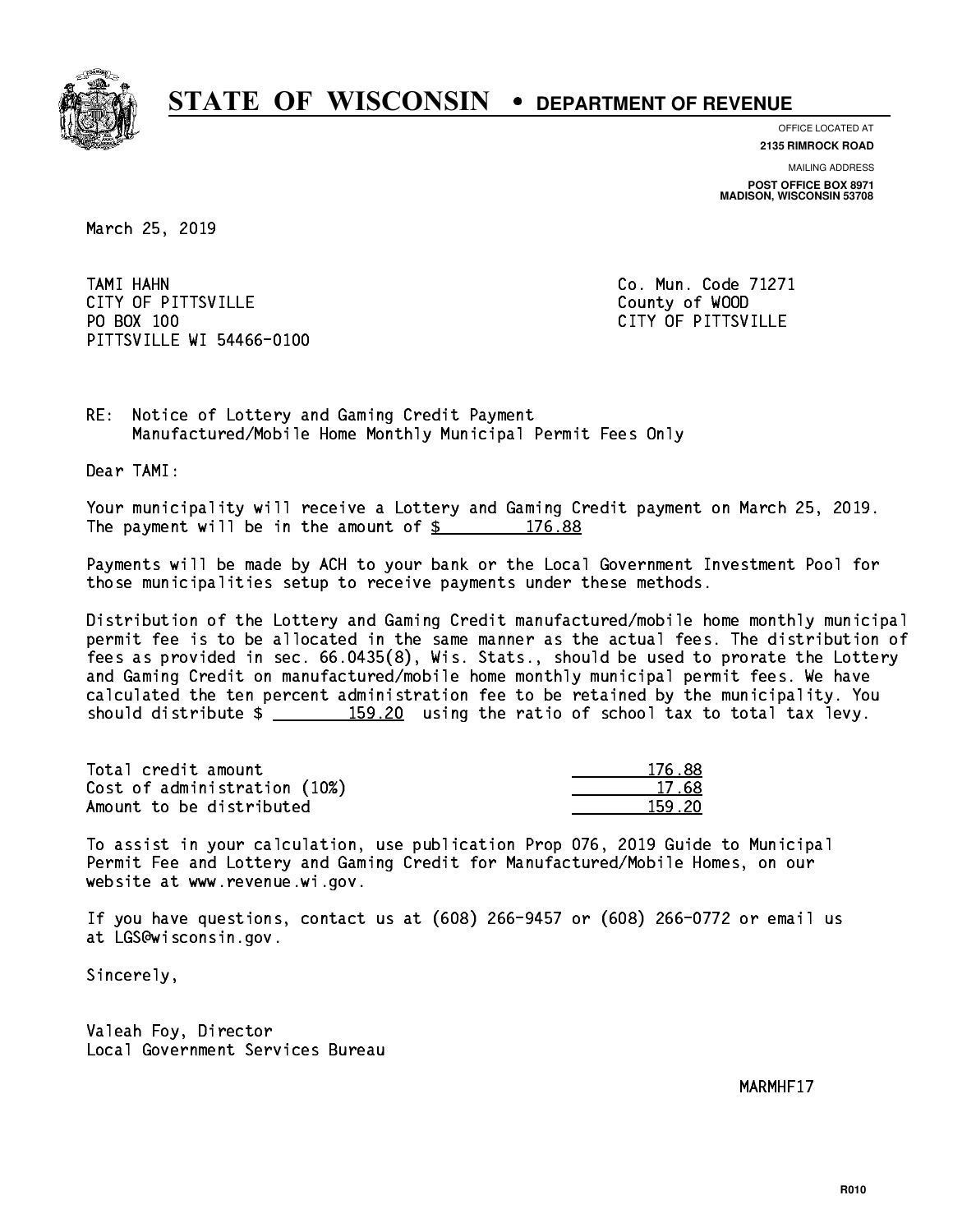

**OFFICE LOCATED AT**

**MAILING ADDRESS 2135 RIMROCK ROAD**

**POST OFFICE BOX 8971 MADISON, WISCONSIN 53708**

March 25, 2019

 TAMI HAHN Co. Mun. Code 71271 CITY OF PITTSVILLE **COUNTY COUNTY OF ALCOHOL** PO BOX 100 PITTSVILLE WI 54466-0100

CITY OF PITTSVILLE

RE: Notice of Lottery and Gaming Credit Payment Manufactured/Mobile Home Monthly Municipal Permit Fees Only

Dear TAMI:

 Your municipality will receive a Lottery and Gaming Credit payment on March 25, 2019. The payment will be in the amount of  $\frac{2}{3}$  176.88

 Payments will be made by ACH to your bank or the Local Government Investment Pool for those municipalities setup to receive payments under these methods.

 Distribution of the Lottery and Gaming Credit manufactured/mobile home monthly municipal permit fee is to be allocated in the same manner as the actual fees. The distribution of fees as provided in sec. 66.0435(8), Wis. Stats., should be used to prorate the Lottery and Gaming Credit on manufactured/mobile home monthly municipal permit fees. We have calculated the ten percent administration fee to be retained by the municipality. You should distribute  $\frac{159.20}{159.20}$  using the ratio of school tax to total tax levy.

Total credit amount Cost of administration (10%) Amount to be distributed

| 6.88<br>176 |
|-------------|
| 17. 68      |
| 1 2N        |

 To assist in your calculation, use publication Prop 076, 2019 Guide to Municipal Permit Fee and Lottery and Gaming Credit for Manufactured/Mobile Homes, on our website at www.revenue.wi.gov.

 If you have questions, contact us at (608) 266-9457 or (608) 266-0772 or email us at LGS@wisconsin.gov.

Sincerely,

 Valeah Foy, Director Local Government Services Bureau